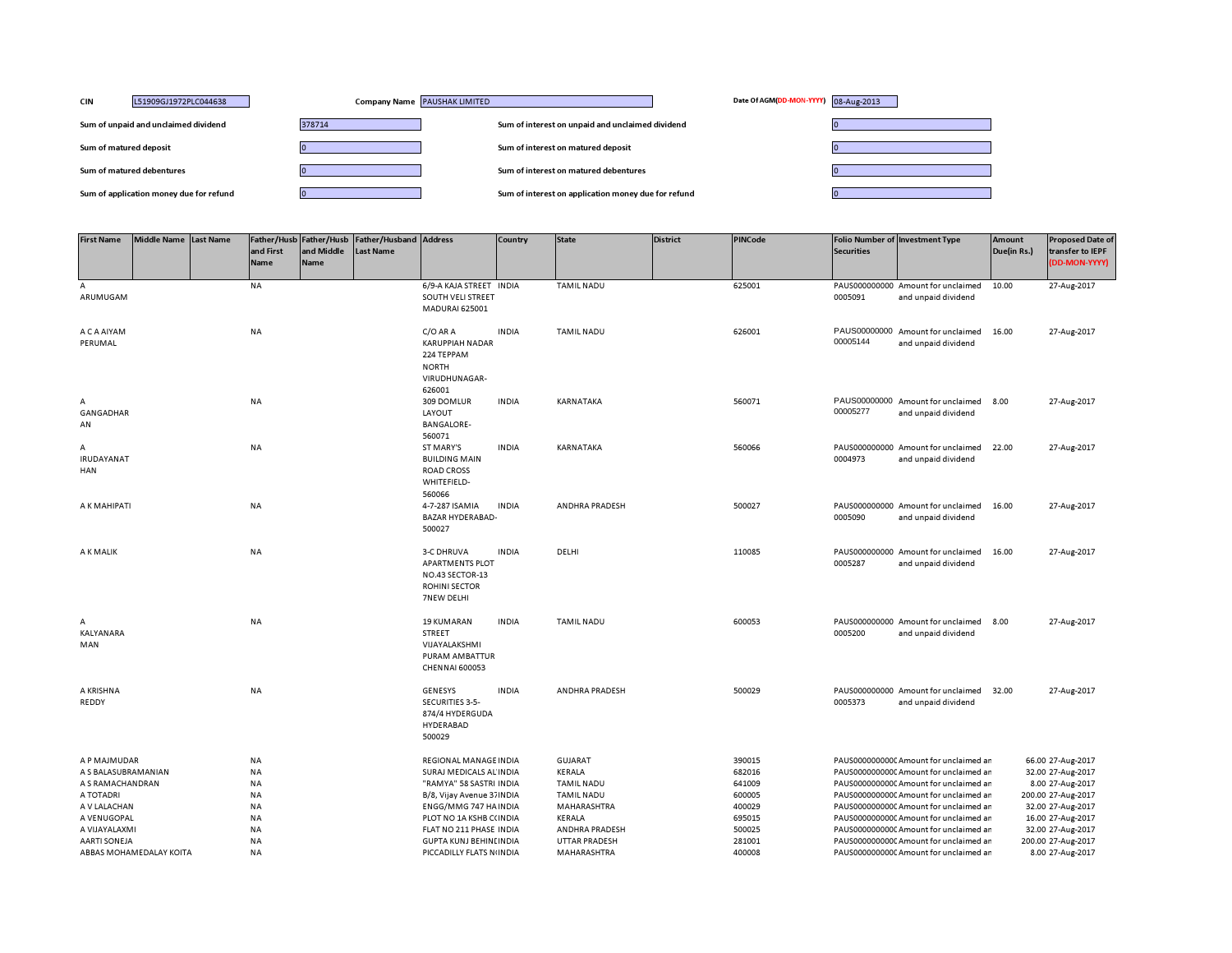| <b>CIN</b><br>L51909GJ1972PLC044638     | Company Name PAUSHAK LIMITED | Date Of AGM(DD-MON-YYYY) 08-Aug-2013                |  |
|-----------------------------------------|------------------------------|-----------------------------------------------------|--|
| Sum of unpaid and unclaimed dividend    | 378714                       | Sum of interest on unpaid and unclaimed dividend    |  |
| Sum of matured deposit                  |                              | Sum of interest on matured deposit                  |  |
| Sum of matured debentures               |                              | Sum of interest on matured debentures               |  |
| Sum of application money due for refund |                              | Sum of interest on application money due for refund |  |

| <b>First Name</b>                                                    | <b>Middle Name</b>      | <b>Last Name</b> | and First<br><b>Name</b>                               | Father/Husb Father/Husb<br>and Middle<br>Name | Father/Husband Address<br><b>Last Name</b> |                                                                                                                                         | Country      | <b>State</b>                                                                   | <b>District</b> | PINCode                                        | <b>Securities</b>        | Folio Number of Investment Type                                                                                                                                                                                 | <b>Amount</b><br>Due(in Rs.) | <b>Proposed Date of</b><br>transfer to IEPF<br><b>DD-MON-YYYY)</b>                                    |
|----------------------------------------------------------------------|-------------------------|------------------|--------------------------------------------------------|-----------------------------------------------|--------------------------------------------|-----------------------------------------------------------------------------------------------------------------------------------------|--------------|--------------------------------------------------------------------------------|-----------------|------------------------------------------------|--------------------------|-----------------------------------------------------------------------------------------------------------------------------------------------------------------------------------------------------------------|------------------------------|-------------------------------------------------------------------------------------------------------|
| A<br>ARUMUGAM                                                        |                         |                  | <b>NA</b>                                              |                                               |                                            | 6/9-A KAJA STREET INDIA<br>SOUTH VELI STREET<br><b>MADURAI 625001</b>                                                                   |              | <b>TAMIL NADU</b>                                                              |                 | 625001                                         | 0005091                  | PAUS000000000 Amount for unclaimed<br>and unpaid dividend                                                                                                                                                       | 10.00                        | 27-Aug-2017                                                                                           |
| A C A AIYAM<br>PERUMAL                                               |                         |                  | <b>NA</b>                                              |                                               |                                            | C/O AR A<br><b>KARUPPIAH NADAR</b><br>224 TEPPAM<br><b>NORTH</b><br>VIRUDHUNAGAR-<br>626001                                             | <b>INDIA</b> | <b>TAMIL NADU</b>                                                              |                 | 626001                                         | PAUS00000000<br>00005144 | Amount for unclaimed<br>and unpaid dividend                                                                                                                                                                     | 16.00                        | 27-Aug-2017                                                                                           |
| А<br>GANGADHAR<br>AN                                                 |                         |                  | NA                                                     |                                               |                                            | 309 DOMLUR<br>LAYOUT<br><b>BANGALORE-</b><br>560071                                                                                     | <b>INDIA</b> | KARNATAKA                                                                      |                 | 560071                                         | 00005277                 | PAUS00000000 Amount for unclaimed<br>and unpaid dividend                                                                                                                                                        | 8.00                         | 27-Aug-2017                                                                                           |
| А<br>IRUDAYANAT<br><b>HAN</b>                                        |                         |                  | <b>NA</b>                                              |                                               |                                            | ST MARY'S<br><b>BUILDING MAIN</b><br><b>ROAD CROSS</b><br>WHITEFIELD-<br>560066                                                         | <b>INDIA</b> | KARNATAKA                                                                      |                 | 560066                                         | 0004973                  | PAUS000000000 Amount for unclaimed<br>and unpaid dividend                                                                                                                                                       | 22.00                        | 27-Aug-2017                                                                                           |
| A K MAHIPATI                                                         |                         |                  | <b>NA</b>                                              |                                               |                                            | 4-7-287 ISAMIA<br><b>BAZAR HYDERABAD-</b><br>500027                                                                                     | <b>INDIA</b> | ANDHRA PRADESH                                                                 |                 | 500027                                         | 0005090                  | PAUS000000000 Amount for unclaimed<br>and unpaid dividend                                                                                                                                                       | 16.00                        | 27-Aug-2017                                                                                           |
| A K MALIK                                                            |                         |                  | <b>NA</b>                                              |                                               |                                            | <b>3-C DHRUVA</b><br><b>APARTMENTS PLOT</b><br>NO.43 SECTOR-13<br><b>ROHINI SECTOR</b><br><b>7NEW DELHI</b>                             | <b>INDIA</b> | DELHI                                                                          |                 | 110085                                         | 0005287                  | PAUS000000000 Amount for unclaimed<br>and unpaid dividend                                                                                                                                                       | 16.00                        | 27-Aug-2017                                                                                           |
| A<br>KALYANARA<br>MAN                                                |                         |                  | NA                                                     |                                               |                                            | <b>19 KUMARAN</b><br><b>STREET</b><br>VIJAYALAKSHMI<br>PURAM AMBATTUR<br><b>CHENNAI 600053</b>                                          | <b>INDIA</b> | <b>TAMIL NADU</b>                                                              |                 | 600053                                         | 0005200                  | PAUS000000000 Amount for unclaimed 8.00<br>and unpaid dividend                                                                                                                                                  |                              | 27-Aug-2017                                                                                           |
| A KRISHNA<br>REDDY                                                   |                         |                  | <b>NA</b>                                              |                                               |                                            | <b>GENESYS</b><br>SECURITIES 3-5-<br>874/4 HYDERGUDA<br><b>HYDERABAD</b><br>500029                                                      | <b>INDIA</b> | <b>ANDHRA PRADESH</b>                                                          |                 | 500029                                         | 0005373                  | PAUS000000000 Amount for unclaimed<br>and unpaid dividend                                                                                                                                                       | 32.00                        | 27-Aug-2017                                                                                           |
| A P MAJMUDAR<br>A S BALASUBRAMANIAN<br>A S RAMACHANDRAN<br>A TOTADRI |                         |                  | <b>NA</b><br><b>NA</b><br><b>NA</b><br>NA              |                                               |                                            | <b>REGIONAL MANAGE INDIA</b><br>SURAJ MEDICALS AL INDIA<br>"RAMYA" 58 SASTRI INDIA<br>B/8, Vijay Avenue 37 INDIA                        |              | <b>GUJARAT</b><br>KERALA<br><b>TAMIL NADU</b><br><b>TAMIL NADU</b>             |                 | 390015<br>682016<br>641009<br>600005           |                          | PAUS0000000000 Amount for unclaimed ar<br>PAUS0000000000CAmount for unclaimed ar<br>PAUS0000000000 Amount for unclaimed ar<br>PAUS0000000000CAmount for unclaimed ar                                            |                              | 66.00 27-Aug-2017<br>32.00 27-Aug-2017<br>8.00 27-Aug-2017<br>200.00 27-Aug-2017                      |
| A V LALACHAN<br>A VENUGOPAL<br>A VIJAYALAXMI<br><b>AARTI SONEJA</b>  | ABBAS MOHAMEDALAY KOITA |                  | <b>NA</b><br>NA<br><b>NA</b><br><b>NA</b><br><b>NA</b> |                                               |                                            | ENGG/MMG 747 HAINDIA<br>PLOT NO 1A KSHB C(INDIA<br>FLAT NO 211 PHASE INDIA<br><b>GUPTA KUNJ BEHINLINDIA</b><br>PICCADILLY FLATS N INDIA |              | MAHARASHTRA<br>KERALA<br>ANDHRA PRADESH<br><b>UTTAR PRADESH</b><br>MAHARASHTRA |                 | 400029<br>695015<br>500025<br>281001<br>400008 |                          | PAUS0000000000 Amount for unclaimed ar<br>PAUS00000000000 Amount for unclaimed ar<br>PAUS0000000000CAmount for unclaimed ar<br>PAUS0000000000 Amount for unclaimed ar<br>PAUS0000000000 Amount for unclaimed ar |                              | 32.00 27-Aug-2017<br>16.00 27-Aug-2017<br>32.00 27-Aug-2017<br>200.00 27-Aug-2017<br>8.00 27-Aug-2017 |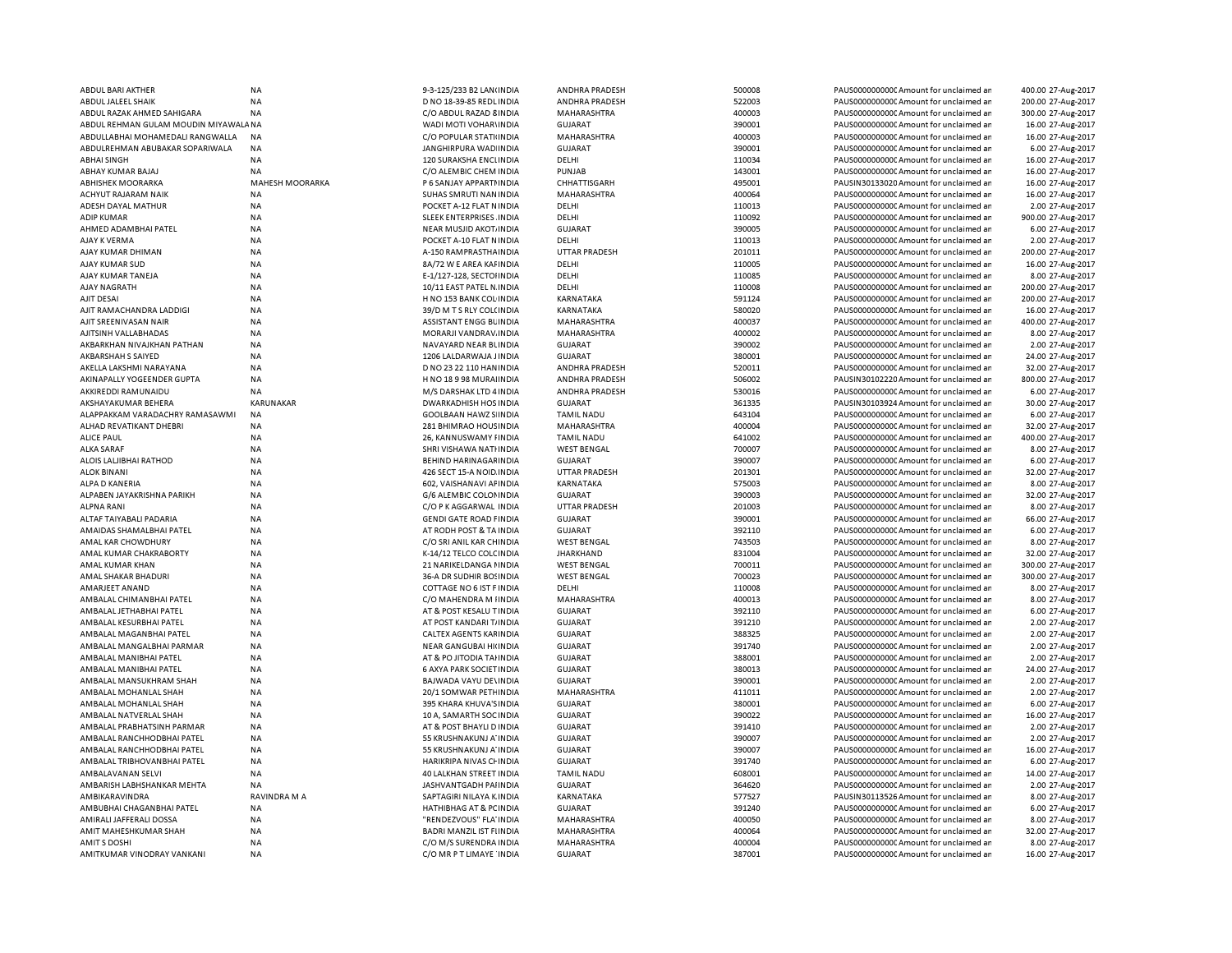| ABDUL BARI AKTHER                     | <b>NA</b>              | 9-3-125/233 B2 LAN(INDIA       | ANDHRA PRADESH        | 500008 | PAUS0000000000CAmount for unclaimed ar  | 400.00 27-Aug-2017 |
|---------------------------------------|------------------------|--------------------------------|-----------------------|--------|-----------------------------------------|--------------------|
| ABDUL JALEEL SHAIK                    | <b>NA</b>              | D NO 18-39-85 REDL INDIA       | ANDHRA PRADESH        | 522003 | PAUS0000000000 Amount for unclaimed ar  | 200.00 27-Aug-2017 |
| ABDUL RAZAK AHMED SAHIGARA            | <b>NA</b>              | C/O ABDUL RAZAD 8 INDIA        | MAHARASHTRA           | 400003 | PAUS0000000000 Amount for unclaimed ar  | 300.00 27-Aug-2017 |
| ABDUL REHMAN GULAM MOUDIN MIYAWALA NA |                        | WADI MOTI VOHARVINDIA          | GUJARAT               | 390001 | PAUS00000000000 Amount for unclaimed ar | 16.00 27-Aug-2017  |
|                                       |                        |                                |                       |        |                                         |                    |
| ABDULLABHAI MOHAMEDALI RANGWALLA      | <b>NA</b>              | C/O POPULAR STATI INDIA        | MAHARASHTRA           | 400003 | PAUS0000000000C Amount for unclaimed ar | 16.00 27-Aug-2017  |
| ABDULREHMAN ABUBAKAR SOPARIWALA       | <b>NA</b>              | JANGHIRPURA WAD INDIA          | <b>GUJARAT</b>        | 390001 | PAUS0000000000CAmount for unclaimed ar  | 6.00 27-Aug-2017   |
| <b>ABHAI SINGH</b>                    | <b>NA</b>              | 120 SURAKSHA ENCLINDIA         | DELHI                 | 110034 | PAUS0000000000CAmount for unclaimed ar  | 16.00 27-Aug-2017  |
| ABHAY KUMAR BAJAJ                     | <b>NA</b>              | C/O ALEMBIC CHEM INDIA         | PUNJAB                | 143001 | PAUS0000000000 Amount for unclaimed ar  | 16.00 27-Aug-2017  |
| <b>ABHISHEK MOORARKA</b>              | <b>MAHESH MOORARKA</b> | P 6 SANJAY APPARTI INDIA       | CHHATTISGARH          | 495001 | PAUSIN30133020 Amount for unclaimed ar  | 16.00 27-Aug-2017  |
| ACHYUT RAJARAM NAIK                   | <b>NA</b>              | SUHAS SMRUTI NAN INDIA         | MAHARASHTRA           | 400064 | PAUS0000000000 Amount for unclaimed ar  | 16.00 27-Aug-2017  |
| ADESH DAYAL MATHUR                    | <b>NA</b>              | POCKET A-12 FLAT N INDIA       | DELHI                 | 110013 | PAUS0000000000 Amount for unclaimed ar  | 2.00 27-Aug-2017   |
|                                       |                        |                                |                       |        |                                         |                    |
| <b>ADIP KUMAR</b>                     | <b>NA</b>              | SLEEK ENTERPRISES INDIA        | DELHI                 | 110092 | PAUS0000000000 Amount for unclaimed ar  | 900.00 27-Aug-2017 |
| AHMED ADAMBHAI PATEL                  | <b>NA</b>              | NEAR MUSJID AKOT INDIA         | <b>GUJARAT</b>        | 390005 | PAUS0000000000 Amount for unclaimed ar  | 6.00 27-Aug-2017   |
| AJAY K VERMA                          | <b>NA</b>              | POCKET A-10 FLAT N INDIA       | DELHI                 | 110013 | PAUS0000000000 Amount for unclaimed ar  | 2.00 27-Aug-2017   |
| AJAY KUMAR DHIMAN                     | <b>NA</b>              | A-150 RAMPRASTHA INDIA         | <b>UTTAR PRADESH</b>  | 201011 | PAUS0000000000 Amount for unclaimed ar  | 200.00 27-Aug-2017 |
| AJAY KUMAR SUD                        | <b>NA</b>              | 8A/72 W E AREA KAFINDIA        | DELHI                 | 110005 | PAUS0000000000CAmount for unclaimed ar  | 16.00 27-Aug-2017  |
| AJAY KUMAR TANEJA                     | <b>NA</b>              | E-1/127-128, SECTOHNDIA        | DELHI                 | 110085 | PAUS0000000000 Amount for unclaimed ar  | 8.00 27-Aug-2017   |
| AJAY NAGRATH                          | <b>NA</b>              | 10/11 EAST PATEL N. INDIA      | DELHI                 | 110008 | PAUS0000000000 Amount for unclaimed ar  | 200.00 27-Aug-2017 |
|                                       |                        |                                |                       |        |                                         |                    |
| AJIT DESAI                            | <b>NA</b>              | H NO 153 BANK COL INDIA        | KARNATAKA             | 591124 | PAUS0000000000CAmount for unclaimed ar  | 200.00 27-Aug-2017 |
| AJIT RAMACHANDRA LADDIGI              | <b>NA</b>              | 39/D M T S RLY COL(INDIA       | KARNATAKA             | 580020 | PAUS0000000000 Amount for unclaimed ar  | 16.00 27-Aug-2017  |
| AJIT SREENIVASAN NAIR                 | <b>NA</b>              | ASSISTANT ENGG BLINDIA         | MAHARASHTRA           | 400037 | PAUS0000000000 Amount for unclaimed ar  | 400.00 27-Aug-2017 |
| AJITSINH VALLABHADAS                  | <b>NA</b>              | MORARJI VANDRAV. INDIA         | MAHARASHTRA           | 400002 | PAUS0000000000 Amount for unclaimed ar  | 8.00 27-Aug-2017   |
| AKBARKHAN NIVAJKHAN PATHAN            | <b>NA</b>              | NAVAYARD NEAR BUNDIA           | <b>GUJARAT</b>        | 390002 | PAUS0000000000 Amount for unclaimed ar  | 2.00 27-Aug-2017   |
| AKBARSHAH S SAIYED                    | NA                     | 1206 LALDARWAJA JINDIA         | <b>GUJARAT</b>        | 380001 | PAUS0000000000C Amount for unclaimed ar | 24.00 27-Aug-2017  |
|                                       |                        |                                |                       | 520011 |                                         |                    |
| AKELLA LAKSHMI NARAYANA               | <b>NA</b>              | D NO 23 22 110 HAN INDIA       | ANDHRA PRADESH        |        | PAUS0000000000 Amount for unclaimed ar  | 32.00 27-Aug-2017  |
| AKINAPALLY YOGEENDER GUPTA            | NA                     | H NO 18 9 98 MURAI INDIA       | <b>ANDHRA PRADESH</b> | 506002 | PAUSIN30102220 Amount for unclaimed ar  | 800.00 27-Aug-2017 |
| AKKIREDDI RAMUNAIDU                   | <b>NA</b>              | M/S DARSHAK LTD 4 INDIA        | ANDHRA PRADESH        | 530016 | PAUS0000000000 Amount for unclaimed ar  | 6.00 27-Aug-2017   |
| AKSHAYAKUMAR BEHERA                   | KARUNAKAR              | <b>DWARKADHISH HOS INDIA</b>   | <b>GUJARAT</b>        | 361335 | PAUSIN30103924 Amount for unclaimed ar  | 30.00 27-Aug-2017  |
| ALAPPAKKAM VARADACHRY RAMASAWMI       | <b>NA</b>              | <b>GOOLBAAN HAWZ S INDIA</b>   | <b>TAMIL NADU</b>     | 643104 | PAUS0000000000 Amount for unclaimed ar  | 6.00 27-Aug-2017   |
| ALHAD REVATIKANT DHEBRI               | <b>NA</b>              | 281 BHIMRAO HOUS INDIA         | MAHARASHTRA           | 400004 | PAUS0000000000CAmount for unclaimed ar  | 32.00 27-Aug-2017  |
| <b>ALICE PAUL</b>                     | <b>NA</b>              | 26, KANNUSWAMY FINDIA          | <b>TAMIL NADU</b>     | 641002 | PAUS0000000000CAmount for unclaimed ar  | 400.00 27-Aug-2017 |
|                                       |                        |                                |                       |        |                                         |                    |
| <b>ALKA SARAF</b>                     | NA                     | SHRI VISHAWA NATHNDIA          | <b>WEST BENGAL</b>    | 700007 | PAUS0000000000CAmount for unclaimed ar  | 8.00 27-Aug-2017   |
| ALOIS LALJIBHAI RATHOD                | <b>NA</b>              | BEHIND HARINAGAF INDIA         | <b>GUJARAT</b>        | 390007 | PAUS0000000000 Amount for unclaimed ar  | 6.00 27-Aug-2017   |
| <b>ALOK BINANI</b>                    | <b>NA</b>              | 426 SECT 15-A NOID INDIA       | <b>UTTAR PRADESH</b>  | 201301 | PAUS0000000000CAmount for unclaimed ar  | 32.00 27-Aug-2017  |
| ALPA D KANERIA                        | <b>NA</b>              | 602, VAISHANAVI AF INDIA       | KARNATAKA             | 575003 | PAUS0000000000 Amount for unclaimed ar  | 8.00 27-Aug-2017   |
| ALPABEN JAYAKRISHNA PARIKH            | <b>NA</b>              | G/6 ALEMBIC COLONINDIA         | <b>GUJARAT</b>        | 390003 | PAUS0000000000 Amount for unclaimed ar  | 32.00 27-Aug-2017  |
| <b>ALPNA RANI</b>                     | NA                     | C/O P K AGGARWAL INDIA         | <b>UTTAR PRADESH</b>  | 201003 | PAUS0000000000 Amount for unclaimed ar  | 8.00 27-Aug-2017   |
| ALTAF TAIYABALI PADARIA               |                        | <b>GENDI GATE ROAD FINDIA</b>  | <b>GUJARAT</b>        | 390001 | PAUS0000000000 Amount for unclaimed ar  |                    |
|                                       | <b>NA</b>              |                                |                       |        |                                         | 66.00 27-Aug-2017  |
| AMAIDAS SHAMALBHAI PATEL              | <b>NA</b>              | AT RODH POST & TA INDIA        | <b>GUJARAT</b>        | 392110 | PAUS0000000000 Amount for unclaimed ar  | 6.00 27-Aug-2017   |
| AMAL KAR CHOWDHURY                    | <b>NA</b>              | C/O SRI ANIL KAR CHINDIA       | <b>WEST BENGAL</b>    | 743503 | PAUS0000000000 Amount for unclaimed ar  | 8.00 27-Aug-2017   |
| AMAL KUMAR CHAKRABORTY                | <b>NA</b>              | K-14/12 TELCO COLC INDIA       | <b>JHARKHAND</b>      | 831004 | PAUS0000000000 Amount for unclaimed ar  | 32.00 27-Aug-2017  |
| AMAL KUMAR KHAN                       | <b>NA</b>              | 21 NARIKELDANGA I INDIA        | <b>WEST BENGAL</b>    | 700011 | PAUS0000000000 Amount for unclaimed ar  | 300.00 27-Aug-2017 |
| AMAL SHAKAR BHADURI                   | NA                     | 36-A DR SUDHIR BOSINDIA        | <b>WEST BENGAL</b>    | 700023 | PAUS0000000000C Amount for unclaimed ar | 300.00 27-Aug-2017 |
| AMARJEET ANAND                        | <b>NA</b>              | COTTAGE NO 6 IST F INDIA       | DELHI                 | 110008 | PAUS0000000000 Amount for unclaimed ar  | 8.00 27-Aug-2017   |
|                                       |                        |                                |                       |        |                                         |                    |
| AMBALAL CHIMANBHAI PATEL              | NA                     | C/O MAHENDRA M IINDIA          | MAHARASHTRA           | 400013 | PAUS0000000000C Amount for unclaimed ar | 8.00 27-Aug-2017   |
| AMBALAL JETHABHAI PATEL               | <b>NA</b>              | AT & POST KESALU T INDIA       | <b>GUJARAT</b>        | 392110 | PAUS0000000000 Amount for unclaimed ar  | 6.00 27-Aug-2017   |
| AMBALAL KESURBHAI PATEL               | NA                     | AT POST KANDARI T/INDIA        | <b>GUJARAT</b>        | 391210 | PAUS0000000000 Amount for unclaimed ar  | 2.00 27-Aug-2017   |
| AMBALAL MAGANBHAI PATEL               | <b>NA</b>              | CALTEX AGENTS KAF INDIA        | <b>GUJARAT</b>        | 388325 | PAUS0000000000CAmount for unclaimed ar  | 2.00 27-Aug-2017   |
| AMBALAL MANGALBHAI PARMAR             | <b>NA</b>              | NEAR GANGUBAI HI(INDIA         | <b>GUJARAT</b>        | 391740 | PAUS0000000000CAmount for unclaimed ar  | 2.00 27-Aug-2017   |
| AMBALAL MANIBHAI PATEL                | <b>NA</b>              | AT & PO JITODIA TAHNDIA        | <b>GUJARAT</b>        | 388001 | PAUS0000000000CAmount for unclaimed ar  | 2.00 27-Aug-2017   |
|                                       |                        |                                |                       | 380013 |                                         |                    |
| AMBALAL MANIBHAI PATEL                | <b>NA</b>              | 6 AXYA PARK SOCIET INDIA       | GUJARAT               |        | PAUS0000000000CAmount for unclaimed ar  | 24.00 27-Aug-2017  |
| AMBALAL MANSUKHRAM SHAH               | <b>NA</b>              | BAJWADA VAYU DE\INDIA          | <b>GUJARAT</b>        | 390001 | PAUS0000000000CAmount for unclaimed ar  | 2.00 27-Aug-2017   |
| AMBALAL MOHANLAL SHAH                 | <b>NA</b>              | 20/1 SOMWAR PETHINDIA          | MAHARASHTRA           | 411011 | PAUS0000000000CAmount for unclaimed ar  | 2.00 27-Aug-2017   |
| AMBALAL MOHANLAL SHAH                 | <b>NA</b>              | 395 KHARA KHUVA'S INDIA        | <b>GUJARAT</b>        | 380001 | PAUS0000000000CAmount for unclaimed ar  | 6.00 27-Aug-2017   |
| AMBALAL NATVERLAL SHAH                | <b>NA</b>              | 10 A, SAMARTH SOC INDIA        | <b>GUJARAT</b>        | 390022 | PAUS0000000000 Amount for unclaimed ar  | 16.00 27-Aug-2017  |
| AMBALAL PRABHATSINH PARMAR            | <b>NA</b>              | AT & POST BHAYLI D INDIA       | <b>GUJARAT</b>        | 391410 | PAUS0000000000 Amount for unclaimed ar  | 2.00 27-Aug-2017   |
| AMBALAL RANCHHODBHAI PATEL            | <b>NA</b>              | 55 KRUSHNAKUNJ A' INDIA        | <b>GUJARAT</b>        | 390007 | PAUS0000000000 Amount for unclaimed ar  | 2.00 27-Aug-2017   |
|                                       |                        |                                |                       |        |                                         |                    |
| AMBALAL RANCHHODBHAI PATEL            | <b>NA</b>              | 55 KRUSHNAKUNJ A' INDIA        | <b>GUJARAT</b>        | 390007 | PAUS0000000000 Amount for unclaimed ar  | 16.00 27-Aug-2017  |
| AMBALAL TRIBHOVAN BHAI PATEL          | <b>NA</b>              | <b>HARIKRIPA NIVAS CHINDIA</b> | <b>GUJARAT</b>        | 391740 | PAUS0000000000 Amount for unclaimed ar  | 6.00 27-Aug-2017   |
| AMBALAVANAN SELVI                     | <b>NA</b>              | 40 LALKHAN STREET INDIA        | <b>TAMIL NADU</b>     | 608001 | PAUS0000000000 Amount for unclaimed ar  | 14.00 27-Aug-2017  |
| AMBARISH LABHSHANKAR MEHTA            | <b>NA</b>              | JASHVANTGADH PAI INDIA         | <b>GUJARAT</b>        | 364620 | PAUS0000000000 Amount for unclaimed ar  | 2.00 27-Aug-2017   |
| AMBIKARAVINDRA                        | RAVINDRA M A           | SAPTAGIRI NILAYA K INDIA       | KARNATAKA             | 577527 | PAUSIN30113526 Amount for unclaimed ar  | 8.00 27-Aug-2017   |
| AMBUBHAI CHAGANBHAI PATEL             | NA                     | HATHIBHAG AT & PC INDIA        | <b>GUJARAT</b>        | 391240 | PAUS0000000000 Amount for unclaimed ar  | 6.00 27-Aug-2017   |
|                                       |                        |                                |                       |        |                                         |                    |
| AMIRALI JAFFERALI DOSSA               | NA                     | "RENDEZVOUS" FLA' INDIA        | <b>MAHARASHTRA</b>    | 400050 | PAUS0000000000 Amount for unclaimed ar  | 8.00 27-Aug-2017   |
| AMIT MAHESHKUMAR SHAH                 | <b>NA</b>              | BADRI MANZIL IST FIINDIA       | MAHARASHTRA           | 400064 | PAUS0000000000 Amount for unclaimed ar  | 32.00 27-Aug-2017  |
| AMIT S DOSHI                          | <b>NA</b>              | C/O M/S SURENDRA INDIA         | MAHARASHTRA           | 400004 | PAUS0000000000CAmount for unclaimed ar  | 8.00 27-Aug-2017   |
| AMITKUMAR VINODRAY VANKANI            | <b>NA</b>              | C/O MR P T LIMAYE INDIA        | <b>GUJARAT</b>        | 387001 | PAUS0000000000C Amount for unclaimed ar | 16.00 27-Aug-2017  |
|                                       |                        |                                |                       |        |                                         |                    |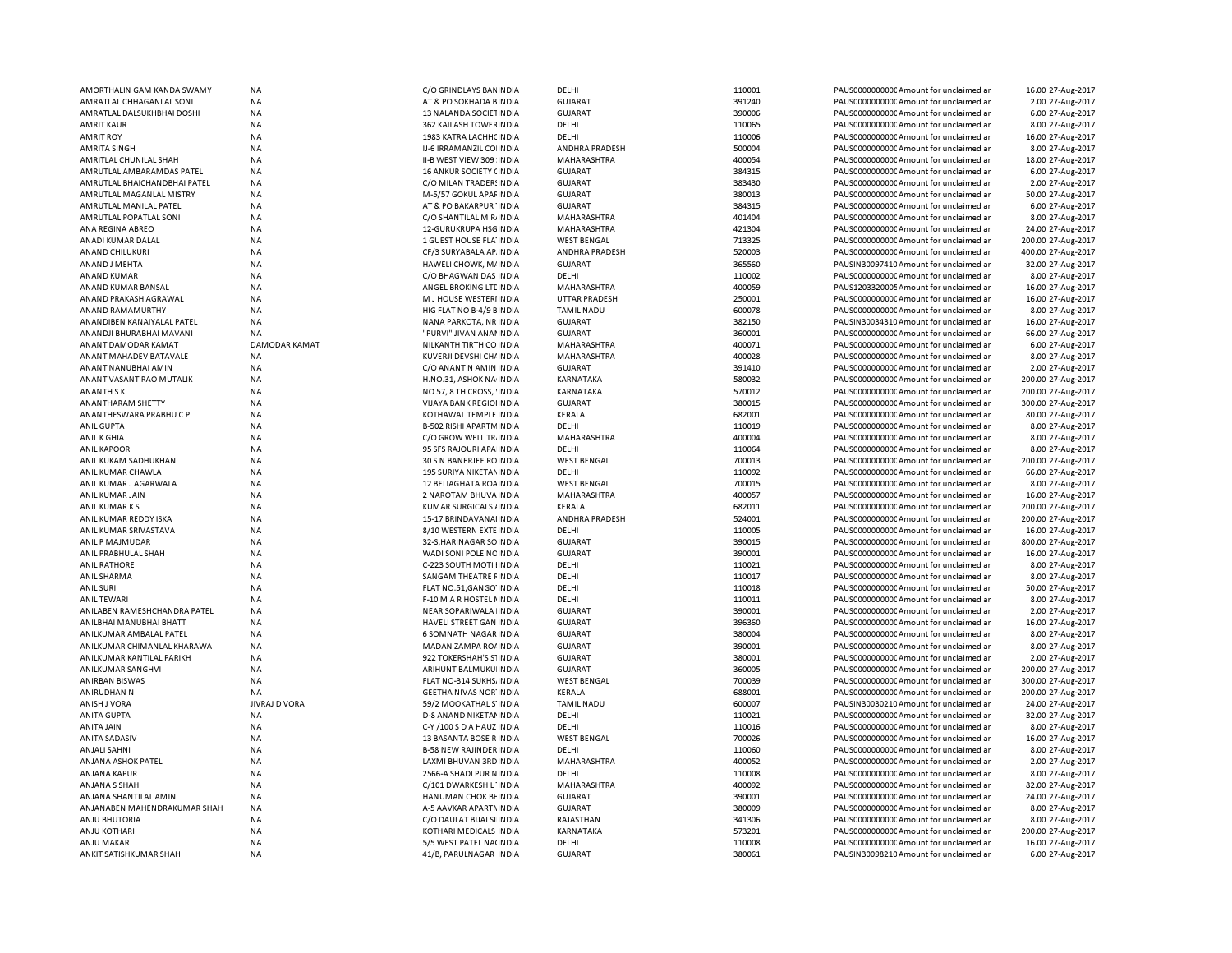| AMORTHALIN GAM KANDA SWAMY   | <b>NA</b>            | C/O GRINDLAYS BANINDIA          | <b>DELHI</b>         | 110001           | PAUS0000000000 Amount for unclaimed an | 16.00 27-Aug-2017  |
|------------------------------|----------------------|---------------------------------|----------------------|------------------|----------------------------------------|--------------------|
| AMRATLAL CHHAGANLAL SONI     | NA                   | AT & PO SOKHADA BINDIA          | <b>GUJARAT</b>       | 391240           | PAUS0000000000 Amount for unclaimed an | 2.00 27-Aug-2017   |
| AMRATLAL DALSUKHBHAI DOSHI   | <b>NA</b>            | 13 NALANDA SOCIETINDIA          | <b>GUJARAT</b>       | 390006           | PAUS0000000000 Amount for unclaimed ar | 6.00 27-Aug-2017   |
| <b>AMRIT KAUR</b>            | <b>NA</b>            | 362 KAILASH TOWEF INDIA         | DELHI                | 110065           | PAUS0000000000 Amount for unclaimed ar | 8.00 27-Aug-2017   |
| <b>AMRIT ROY</b>             | NA                   | 1983 KATRA LACHH( INDIA         | DELHI                | 110006           | PAUS0000000000 Amount for unclaimed ar | 16.00 27-Aug-2017  |
| AMRITA SINGH                 | <b>NA</b>            | IJ-6 IRRAMANZIL CO INDIA        | ANDHRA PRADESH       | 500004           | PAUS0000000000 Amount for unclaimed ar | 8.00 27-Aug-2017   |
| AMRITLAL CHUNILAL SHAH       | NA                   | II-B WEST VIEW 309 INDIA        | MAHARASHTRA          | 400054           | PAUS0000000000 Amount for unclaimed an | 18.00 27-Aug-2017  |
| AMRUTLAL AMBARAMDAS PATEL    | <b>NA</b>            | 16 ANKUR SOCIETY (INDIA         | <b>GUJARAT</b>       | 384315           | PAUS0000000000CAmount for unclaimed ar | 6.00 27-Aug-2017   |
| AMRUTLAL BHAICHANDBHAI PATEL | <b>NA</b>            | C/O MILAN TRADER! INDIA         | <b>GUJARAT</b>       | 383430           | PAUS0000000000CAmount for unclaimed ar | 2.00 27-Aug-2017   |
| AMRUTLAL MAGANLAL MISTRY     | <b>NA</b>            | M-5/57 GOKUL APAI INDIA         | <b>GUJARAT</b>       | 380013           | PAUS0000000000 Amount for unclaimed ar | 50.00 27-Aug-2017  |
| AMRUTLAL MANILAL PATEL       | NA                   | AT & PO BAKARPUR INDIA          | <b>GUJARAT</b>       | 384315           | PAUS0000000000 Amount for unclaimed an | 6.00 27-Aug-2017   |
| AMRUTLAL POPATLAL SONI       | NA                   | C/O SHANTILAL M R INDIA         | MAHARASHTRA          | 401404           | PAUS0000000000CAmount for unclaimed an | 8.00 27-Aug-2017   |
| ANA REGINA ABREO             | <b>NA</b>            | 12-GURUKRUPA HSGINDIA           | MAHARASHTRA          | 421304           | PAUS0000000000 Amount for unclaimed ar | 24.00 27-Aug-2017  |
| ANADI KUMAR DALAL            | <b>NA</b>            | 1 GUEST HOUSE FLA INDIA         | <b>WEST BENGAL</b>   | 713325           | PAUS0000000000 Amount for unclaimed ar | 200.00 27-Aug-2017 |
| ANAND CHILUKURI              | NA                   | CF/3 SURYABALA AP INDIA         | ANDHRA PRADESH       | 520003           | PAUS0000000000 Amount for unclaimed an | 400.00 27-Aug-2017 |
| ANAND J MEHTA                | <b>NA</b>            | HAWELI CHOWK, M/INDIA           | <b>GUJARAT</b>       | 365560           | PAUSIN30097410 Amount for unclaimed ar | 32.00 27-Aug-2017  |
| ANAND KUMAR                  | NA                   | C/O BHAGWAN DAS INDIA           | DELHI                | 110002           | PAUS00000000000Amount for unclaimed ar | 8.00 27-Aug-2017   |
| ANAND KUMAR BANSAL           | <b>NA</b>            | ANGEL BROKING LTI INDIA         | MAHARASHTRA          | 400059           | PAUS1203320005 Amount for unclaimed ar | 16.00 27-Aug-2017  |
|                              |                      |                                 |                      |                  |                                        |                    |
| ANAND PRAKASH AGRAWAL        | <b>NA</b>            | M J HOUSE WESTERHNDIA           | <b>UTTAR PRADESH</b> | 250001           | PAUS0000000000CAmount for unclaimed ar | 16.00 27-Aug-2017  |
| ANAND RAMAMURTHY             | NA                   | HIG FLAT NO B-4/9 EINDIA        | <b>TAMIL NADU</b>    | 600078           | PAUS0000000000 Amount for unclaimed ar | 8.00 27-Aug-2017   |
| ANANDIBEN KANAIYALAL PATEL   | <b>NA</b>            | NANA PARKOTA, NR INDIA          | <b>GUJARAT</b>       | 382150           | PAUSIN30034310 Amount for unclaimed ar | 16.00 27-Aug-2017  |
| ANANDJI BHURABHAI MAVANI     | <b>NA</b>            | "PURVI" JIVAN ANAHNDIA          | <b>GUJARAT</b>       | 360001           | PAUS0000000000CAmount for unclaimed ar | 66.00 27-Aug-2017  |
| ANANT DAMODAR KAMAT          | <b>DAMODAR KAMAT</b> | NILKANTH TIRTH CO INDIA         | MAHARASHTRA          | 400071           | PAUS0000000000CAmount for unclaimed ar | 6.00 27-Aug-2017   |
| ANANT MAHADEV BATAVALE       | <b>NA</b>            | KUVERJI DEVSHI CH/ INDIA        | MAHARASHTRA          | 400028           | PAUS0000000000 Amount for unclaimed an | 8.00 27-Aug-2017   |
| ANANT NANUBHAI AMIN          | NA                   | C/O ANANT N AMIN INDIA          | <b>GUJARAT</b>       | 391410           | PAUS0000000000CAmount for unclaimed ar | 2.00 27-Aug-2017   |
| ANANT VASANT RAO MUTALIK     | <b>NA</b>            | H.NO.31, ASHOK NA INDIA         | KARNATAKA            | 580032           | PAUS0000000000 Amount for unclaimed ar | 200.00 27-Aug-2017 |
| <b>ANANTH SK</b>             | <b>NA</b>            | NO 57, 8 TH CROSS, 'INDIA       | KARNATAKA            | 570012           | PAUS0000000000CAmount for unclaimed ar | 200.00 27-Aug-2017 |
| ANANTHARAM SHETTY            | <b>NA</b>            | VIJAYA BANK REGIOI INDIA        | <b>GUJARAT</b>       | 380015           | PAUS0000000000 Amount for unclaimed an | 300.00 27-Aug-2017 |
| ANANTHESWARA PRABHUCP        | <b>NA</b>            | KOTHAWAL TEMPLE INDIA           | KERALA               | 682001           | PAUS0000000000 Amount for unclaimed ar | 80.00 27-Aug-2017  |
| <b>ANIL GUPTA</b>            | NA                   | <b>B-502 RISHI APARTM INDIA</b> | DELHI                | 110019           | PAUS0000000000CAmount for unclaimed ar | 8.00 27-Aug-2017   |
| ANIL K GHIA                  | NA                   | C/O GROW WELL TR. INDIA         | MAHARASHTRA          | 400004           | PAUS0000000000 Amount for unclaimed ar | 8.00 27-Aug-2017   |
| <b>ANIL KAPOOR</b>           | NA                   | 95 SFS RAJOURI APA INDIA        | DELHI                | 110064           | PAUS0000000000CAmount for unclaimed ar | 8.00 27-Aug-2017   |
| ANIL KUKAM SADHUKHAN         | <b>NA</b>            | 30 S N BANERJEE ROINDIA         | <b>WEST BENGAL</b>   | 700013           | PAUS0000000000 Amount for unclaimed an | 200.00 27-Aug-2017 |
| ANIL KUMAR CHAWLA            | <b>NA</b>            | 195 SURIYA NIKETAN INDIA        | DELHI                | 110092           | PAUS0000000000CAmount for unclaimed ar | 66.00 27-Aug-2017  |
| ANIL KUMAR J AGARWALA        | <b>NA</b>            | 12 BELIAGHATA ROAINDIA          | <b>WEST BENGAL</b>   | 700015           | PAUS0000000000 Amount for unclaimed ar | 8.00 27-Aug-2017   |
| ANIL KUMAR JAIN              | <b>NA</b>            | 2 NAROTAM BHUVA INDIA           | MAHARASHTRA          | 400057           | PAUS00000000000Amount for unclaimed ar | 16.00 27-Aug-2017  |
| ANIL KUMAR KS                | <b>NA</b>            | KUMAR SURGICALS / INDIA         | KERALA               | 682011           | PAUS0000000000CAmount for unclaimed an | 200.00 27-Aug-2017 |
| ANIL KUMAR REDDY ISKA        | <b>NA</b>            | 15-17 BRINDAVANALINDIA          | ANDHRA PRADESH       | 524001           | PAUS0000000000CAmount for unclaimed ar | 200.00 27-Aug-2017 |
| ANIL KUMAR SRIVASTAVA        | <b>NA</b>            | 8/10 WESTERN EXTEINDIA          | DELHI                | 110005           | PAUS0000000000 Amount for unclaimed ar | 16.00 27-Aug-2017  |
| ANIL P MAJMUDAR              | <b>NA</b>            | 32-S, HARINAGAR SO INDIA        | <b>GUJARAT</b>       | 390015           | PAUS0000000000CAmount for unclaimed ar | 800.00 27-Aug-2017 |
|                              |                      |                                 |                      |                  |                                        |                    |
| ANIL PRABHULAL SHAH          | NA                   | WADI SONI POLE NC INDIA         | <b>GUJARAT</b>       | 390001<br>110021 | PAUS0000000000 Amount for unclaimed ar | 16.00 27-Aug-2017  |
| <b>ANIL RATHORE</b>          | NA                   | C-223 SOUTH MOTHINDIA           | DELHI                |                  | PAUS0000000000 Amount for unclaimed ar | 8.00 27-Aug-2017   |
| ANIL SHARMA                  | NA                   | SANGAM THEATRE FINDIA           | DELHI                | 110017           | PAUS0000000000CAmount for unclaimed ar | 8.00 27-Aug-2017   |
| <b>ANIL SURI</b>             | NA                   | FLAT NO.51, GANGO INDIA         | DELHI                | 110018           | PAUS0000000000 Amount for unclaimed ar | 50.00 27-Aug-2017  |
| <b>ANIL TEWARI</b>           | NA                   | F-10 M A R HOSTEL I INDIA       | DELHI                | 110011           | PAUS0000000000 Amount for unclaimed ar | 8.00 27-Aug-2017   |
| ANILABEN RAMESHCHANDRA PATEL | NA                   | NEAR SOPARIWALA INDIA           | <b>GUJARAT</b>       | 390001           | PAUS0000000000 Amount for unclaimed ar | 2.00 27-Aug-2017   |
| ANILBHAI MANUBHAI BHATT      | NA                   | HAVELI STREET GAN INDIA         | <b>GUJARAT</b>       | 396360           | PAUS0000000000 Amount for unclaimed ar | 16.00 27-Aug-2017  |
| ANILKUMAR AMBALAL PATEL      | NA                   | 6 SOMNATH NAGAR INDIA           | <b>GUJARAT</b>       | 380004           | PAUS0000000000 Amount for unclaimed ar | 8.00 27-Aug-2017   |
| ANILKUMAR CHIMANLAL KHARAWA  | <b>NA</b>            | MADAN ZAMPA RO/ INDIA           | <b>GUJARAT</b>       | 390001           | PAUS0000000000CAmount for unclaimed ar | 8.00 27-Aug-2017   |
| ANILKUMAR KANTILAL PARIKH    | NA                   | 922 TOKERSHAH'S S'INDIA         | <b>GUJARAT</b>       | 380001           | PAUS0000000000 Amount for unclaimed an | 2.00 27-Aug-2017   |
| ANILKUMAR SANGHVI            | NA                   | ARIHUNT BALMUKU INDIA           | GUJARAT              | 360005           | PAUS0000000000 Amount for unclaimed ar | 200.00 27-Aug-2017 |
| ANIRBAN BISWAS               | NA                   | FLAT NO-314 SUKHS INDIA         | <b>WEST BENGAL</b>   | 700039           | PAUS0000000000CAmount for unclaimed ar | 300.00 27-Aug-2017 |
| ANIRUDHAN N                  | NA                   | <b>GEETHA NIVAS NOR INDIA</b>   | KERALA               | 688001           | PAUS0000000000 Amount for unclaimed ar | 200.00 27-Aug-2017 |
| ANISH J VORA                 | <b>JIVRAJ D VORA</b> | 59/2 MOOKATHAL S'INDIA          | <b>TAMIL NADU</b>    | 600007           | PAUSIN30030210 Amount for unclaimed ar | 24.00 27-Aug-2017  |
| <b>ANITA GUPTA</b>           | <b>NA</b>            | D-8 ANAND NIKETAI INDIA         | DELHI                | 110021           | PAUS0000000000CAmount for unclaimed ar | 32.00 27-Aug-2017  |
| ANITA JAIN                   | <b>NA</b>            | C-Y /100 S D A HAUZ INDIA       | DELHI                | 110016           | PAUS00000000000Amount for unclaimed ar | 8.00 27-Aug-2017   |
| <b>ANITA SADASIV</b>         | <b>NA</b>            | 13 BASANTA BOSE R INDIA         | <b>WEST BENGAL</b>   | 700026           | PAUS0000000000 Amount for unclaimed ar | 16.00 27-Aug-2017  |
| ANJALI SAHNI                 | <b>NA</b>            | <b>B-58 NEW RAJINDERINDIA</b>   | DELHI                | 110060           | PAUS0000000000CAmount for unclaimed an | 8.00 27-Aug-2017   |
| ANJANA ASHOK PATEL           | <b>NA</b>            | LAXMI BHUVAN 3RD INDIA          | MAHARASHTRA          | 400052           | PAUS0000000000 Amount for unclaimed ar | 2.00 27-Aug-2017   |
| ANJANA KAPUR                 | NA                   | 2566-A SHADI PUR NINDIA         | DELHI                | 110008           | PAUS0000000000CAmount for unclaimed ar | 8.00 27-Aug-2017   |
| ANJANA S SHAH                | <b>NA</b>            | C/101 DWARKESH L'INDIA          | MAHARASHTRA          | 400092           | PAUS0000000000CAmount for unclaimed ar | 82.00 27-Aug-2017  |
| ANJANA SHANTILAL AMIN        | <b>NA</b>            | HANUMAN CHOK BI INDIA           | <b>GUJARAT</b>       | 390001           | PAUS0000000000 Amount for unclaimed ar | 24.00 27-Aug-2017  |
| ANJANABEN MAHENDRAKUMAR SHAH | <b>NA</b>            | A-5 AAVKAR APARTMINDIA          | <b>GUJARAT</b>       | 380009           | PAUS00000000000Amount for unclaimed an | 8.00 27-Aug-2017   |
| <b>ANJU BHUTORIA</b>         | NA                   | C/O DAULAT BIJAI SI INDIA       | RAJASTHAN            | 341306           | PAUS0000000000CAmount for unclaimed ar | 8.00 27-Aug-2017   |
| <b>ANJU KOTHARI</b>          | <b>NA</b>            | KOTHARI MEDICALS INDIA          | KARNATAKA            | 573201           | PAUS0000000000CAmount for unclaimed ar | 200.00 27-Aug-2017 |
| AN III MAKAR                 | <b>NA</b>            | 5/5 WEST PATEL NA(INDIA         | <b>DELHI</b>         | 110008           | PAUS0000000000CAmount for unclaimed ar | 16.00 27-Aug-2017  |
| ANKIT SATISHKUMAR SHAH       | <b>NA</b>            | 41/B, PARULNAGAR INDIA          | <b>GUJARAT</b>       | 380061           | PAUSIN30098210 Amount for unclaimed an | 6.00 27-Aug-2017   |
|                              |                      |                                 |                      |                  |                                        |                    |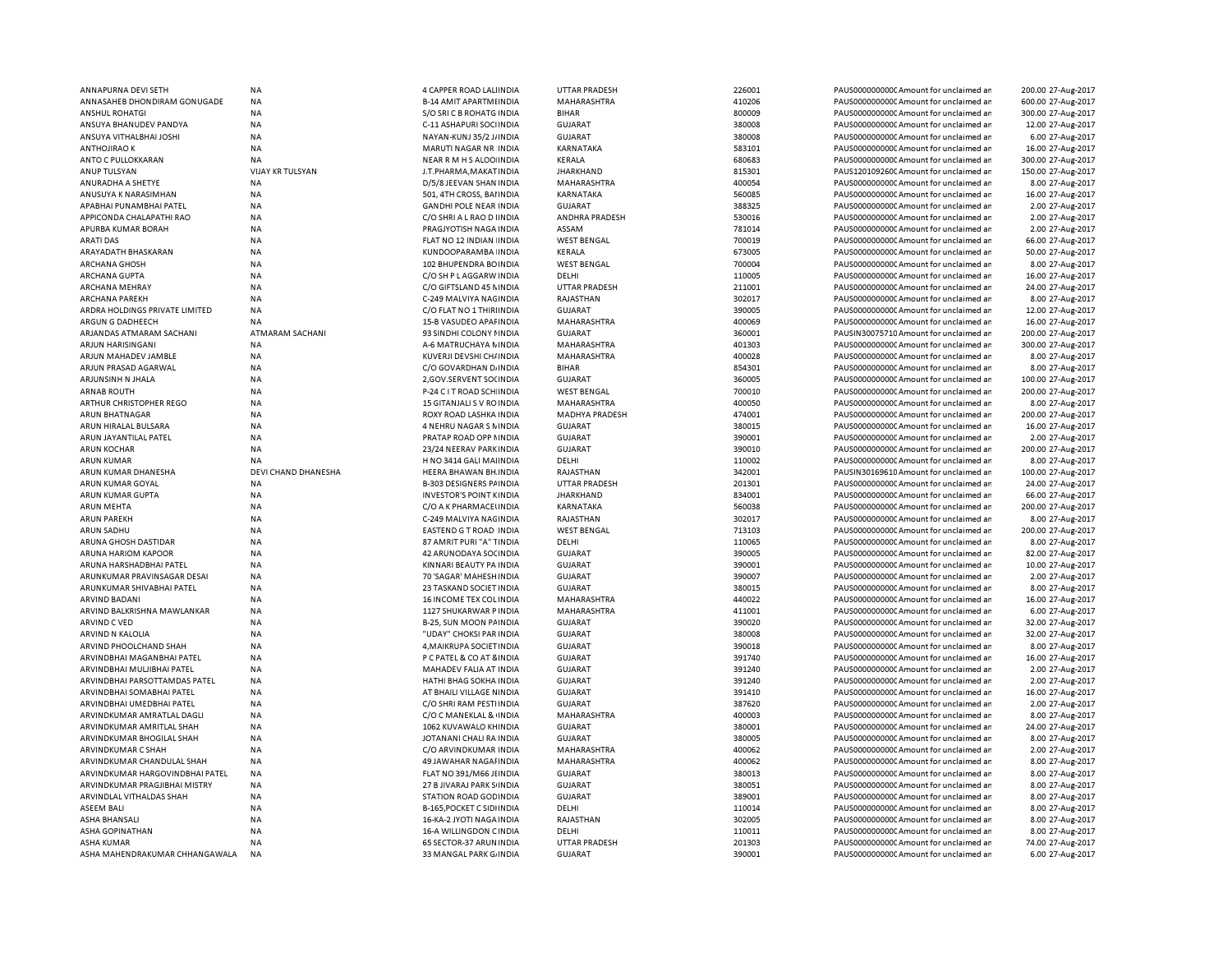| ANNAPURNA DEVI SETH                                 | <b>NA</b>               | 4 CAPPER ROAD LALINDIA                            | UTTAR PRADESH                          | 226001           | PAUS0000000000 Amount for unclaimed ar                                             | 200.00 27-Aug-2017                    |
|-----------------------------------------------------|-------------------------|---------------------------------------------------|----------------------------------------|------------------|------------------------------------------------------------------------------------|---------------------------------------|
| ANNASAHEB DHONDIRAM GONUGADE                        | ΝA                      | <b>B-14 AMIT APARTMI INDIA</b>                    | MAHARASHTRA                            | 410206           | PAUS0000000000C Amount for unclaimed ar                                            | 600.00 27-Aug-2017                    |
| ANSHUL ROHATGI                                      | NA                      | S/O SRI C B ROHATG INDIA                          | <b>BIHAR</b>                           | 800009           | PAUS0000000000 Amount for unclaimed ar                                             | 300.00 27-Aug-2017                    |
| ANSUYA BHANUDEV PANDYA                              | <b>NA</b>               | C-11 ASHAPURI SOCIINDIA                           | <b>GUJARAT</b>                         | 380008           | PAUS0000000000 Amount for unclaimed ar                                             | 12.00 27-Aug-2017                     |
| ANSUYA VITHALBHAI JOSHI                             | <b>NA</b>               | NAYAN-KUNJ 35/2 J/ INDIA                          | <b>GUJARAT</b>                         | 380008           | PAUS0000000000 Amount for unclaimed ar                                             | 6.00 27-Aug-2017                      |
| <b>ANTHOJIRAO K</b>                                 | <b>NA</b>               | MARUTI NAGAR NR INDIA                             | KARNATAKA                              | 583101           | PAUS0000000000CAmount for unclaimed ar                                             | 16.00 27-Aug-2017                     |
| ANTO C PULLOKKARAN                                  | NA                      | NEAR R M H S ALOO INDIA                           | KERALA                                 | 680683           | PAUS0000000000 Amount for unclaimed ar                                             | 300.00 27-Aug-2017                    |
| ANUP TULSYAN                                        | <b>VIJAY KR TULSYAN</b> | J.T.PHARMA, MAKAT IN DIA                          | <b>JHARKHAND</b>                       | 815301           | PAUS1201092600 Amount for unclaimed ar                                             | 150.00 27-Aug-2017                    |
|                                                     |                         |                                                   |                                        |                  |                                                                                    |                                       |
| ANURADHA A SHETYE                                   | <b>NA</b>               | D/5/8 JEEVAN SHAN INDIA                           | MAHARASHTRA                            | 400054           | PAUS0000000000 Amount for unclaimed ar                                             | 8.00 27-Aug-2017                      |
| ANUSUYA K NARASIMHAN                                | <b>NA</b>               | 501, 4TH CROSS, BAI INDIA                         | KARNATAKA                              | 560085           | PAUS0000000000 Amount for unclaimed ar                                             | 16.00 27-Aug-2017                     |
| APABHAI PUNAMBHAI PATEL                             | ΝA                      | <b>GANDHI POLE NEAR INDIA</b>                     | GUJARAT                                | 388325           | PAUS0000000000C Amount for unclaimed ar                                            | 2.00 27-Aug-2017                      |
| APPICONDA CHALAPATHI RAO                            | NA                      | C/O SHRI A L RAO D I INDIA                        | ANDHRA PRADESH                         | 530016           | PAUS0000000000CAmount for unclaimed ar                                             | 2.00 27-Aug-2017                      |
| APURBA KUMAR BORAH                                  | <b>NA</b>               | PRAGJYOTISH NAGA INDIA                            | ASSAM                                  | 781014           | PAUS0000000000CAmount for unclaimed ar                                             | 2.00 27-Aug-2017                      |
| <b>ARATI DAS</b>                                    | <b>NA</b>               | FLAT NO 12 INDIAN INDIA                           | <b>WEST BENGAL</b>                     | 700019           | PAUS0000000000 Amount for unclaimed ar                                             | 66.00 27-Aug-2017                     |
| ARAYADATH BHASKARAN                                 | NA                      | KUNDOOPARAMBA INDIA                               | KERALA                                 | 673005           | PAUS0000000000C Amount for unclaimed ar                                            | 50.00 27-Aug-2017                     |
| ARCHANA GHOSH                                       | NA                      | 102 BHUPENDRA BOINDIA                             | <b>WEST BENGAL</b>                     | 700004           | PAUS0000000000CAmount for unclaimed ar                                             | 8.00 27-Aug-2017                      |
| ARCHANA GUPTA                                       | <b>NA</b>               | C/O SH P L AGGARW INDIA                           | DELHI                                  | 110005           | PAUS0000000000 Amount for unclaimed ar                                             | 16.00 27-Aug-2017                     |
| ARCHANA MEHRAY                                      | <b>NA</b>               | C/O GIFTSLAND 45 NINDIA                           | UTTAR PRADESH                          | 211001           | PAUS0000000000CAmount for unclaimed ar                                             | 24.00 27-Aug-2017                     |
| <b>ARCHANA PAREKH</b>                               | <b>NA</b>               | C-249 MALVIYA NAGINDIA                            | RAJASTHAN                              | 302017           | PAUS0000000000 Amount for unclaimed ar                                             | 8.00 27-Aug-2017                      |
|                                                     |                         |                                                   |                                        |                  |                                                                                    |                                       |
| ARDRA HOLDINGS PRIVATE LIMITED                      | <b>NA</b>               | C/O FLAT NO 1 THIRIINDIA                          | <b>GUJARAT</b>                         | 390005           | PAUS0000000000 Amount for unclaimed ar                                             | 12.00 27-Aug-2017                     |
| ARGUN G DADHEECH                                    | NA                      | 15-B VASUDEO APAI INDIA                           | MAHARASHTRA                            | 400069           | PAUS0000000000CAmount for unclaimed ar                                             | 16.00 27-Aug-2017                     |
| ARJANDAS ATMARAM SACHANI                            | <b>ATMARAM SACHANI</b>  | 93 SINDHI COLONY I INDIA                          | <b>GUJARAT</b>                         | 360001           | PAUSIN30075710 Amount for unclaimed ar                                             | 200.00 27-Aug-2017                    |
| ARJUN HARISINGANI                                   | <b>NA</b>               | A-6 MATRUCHAYA NINDIA                             | <b>MAHARASHTRA</b>                     | 401303           | PAUS0000000000 Amount for unclaimed ar                                             | 300.00 27-Aug-2017                    |
| ARJUN MAHADEV JAMBLE                                | <b>NA</b>               | KUVERJI DEVSHI CH/ INDIA                          | MAHARASHTRA                            | 400028           | PAUS0000000000 Amount for unclaimed ar                                             | 8.00 27-Aug-2017                      |
| ARJUN PRASAD AGARWAL                                | <b>NA</b>               | C/O GOVARDHAN DJINDIA                             | <b>BIHAR</b>                           | 854301           | PAUS0000000000 Amount for unclaimed ar                                             | 8.00 27-Aug-2017                      |
| ARJUNSINH N JHALA                                   | <b>NA</b>               | 2, GOV.SERVENT SO(INDIA                           | <b>GUJARAT</b>                         | 360005           | PAUS0000000000 Amount for unclaimed ar                                             | 100.00 27-Aug-2017                    |
| <b>ARNAB ROUTH</b>                                  | <b>NA</b>               | P-24 C I T ROAD SCH INDIA                         | <b>WEST BENGAL</b>                     | 700010           | PAUS0000000000 Amount for unclaimed ar                                             | 200.00 27-Aug-2017                    |
| ARTHUR CHRISTOPHER REGO                             | NA                      | 15 GITANJALI S V RO INDIA                         | MAHARASHTRA                            | 400050           | PAUS0000000000 Amount for unclaimed ar                                             | 8.00 27-Aug-2017                      |
| <b>ARUN BHATNAGAR</b>                               | <b>NA</b>               | ROXY ROAD LASHKA INDIA                            | <b>MADHYA PRADESH</b>                  | 474001           | PAUS0000000000 Amount for unclaimed ar                                             | 200.00 27-Aug-2017                    |
| ARUN HIRALAL BULSARA                                | NA                      | <b>4 NEHRU NAGAR S NINDIA</b>                     | <b>GUJARAT</b>                         | 380015           | PAUS0000000000CAmount for unclaimed ar                                             | 16.00 27-Aug-2017                     |
|                                                     | <b>NA</b>               |                                                   |                                        | 390001           |                                                                                    | 2.00 27-Aug-2017                      |
| ARUN JAYANTILAL PATEL                               |                         | PRATAP ROAD OPP I INDIA                           | <b>GUJARAT</b>                         |                  | PAUS0000000000 Amount for unclaimed ar                                             |                                       |
| <b>ARUN KOCHAR</b>                                  | NA                      | 23/24 NEERAV PARKINDIA                            | <b>GUJARAT</b>                         | 390010           | PAUS0000000000 Amount for unclaimed ar                                             | 200.00 27-Aug-2017                    |
| <b>ARUN KUMAR</b>                                   | NA                      | H NO 3414 GALI MAI INDIA                          | DELHI                                  | 110002           | PAUS0000000000 Amount for unclaimed ar                                             | 8.00 27-Aug-2017                      |
| ARUN KUMAR DHANESHA                                 | DEVI CHAND DHANESHA     | <b>HEERA BHAWAN BH INDIA</b>                      | RAJASTHAN                              | 342001           | PAUSIN30169610 Amount for unclaimed ar                                             | 100.00 27-Aug-2017                    |
| ARUN KUMAR GOYAL                                    | <b>NA</b>               | <b>B-303 DESIGNERS PAINDIA</b>                    | UTTAR PRADESH                          | 201301           | PAUS0000000000 Amount for unclaimed ar                                             | 24.00 27-Aug-2017                     |
| ARUN KUMAR GUPTA                                    | NA                      | <b>INVESTOR'S POINT KINDIA</b>                    | <b>JHARKHAND</b>                       | 834001           | PAUS0000000000 Amount for unclaimed ar                                             | 66.00 27-Aug-2017                     |
| <b>ARUN MEHTA</b>                                   | NA                      | C/O A K PHARMACELINDIA                            | KARNATAKA                              | 560038           | PAUS0000000000 Amount for unclaimed ar                                             | 200.00 27-Aug-2017                    |
| <b>ARUN PAREKH</b>                                  | <b>NA</b>               | C-249 MALVIYA NAGINDIA                            | RAJASTHAN                              | 302017           | PAUS0000000000 Amount for unclaimed ar                                             | 8.00 27-Aug-2017                      |
| ARUN SADHU                                          | <b>NA</b>               | EASTEND G T ROAD INDIA                            | <b>WEST BENGAL</b>                     | 713103           | PAUS0000000000 Amount for unclaimed ar                                             | 200.00 27-Aug-2017                    |
| ARUNA GHOSH DASTIDAR                                | <b>NA</b>               | 87 AMRIT PURI "A" TINDIA                          | DELHI                                  | 110065           | PAUS0000000000 Amount for unclaimed ar                                             | 8.00 27-Aug-2017                      |
| ARUNA HARIOM KAPOOR                                 | <b>NA</b>               | 42 ARUNODAYA SOCINDIA                             | GUJARAT                                | 390005           | PAUS0000000000CAmount for unclaimed ar                                             | 82.00 27-Aug-2017                     |
|                                                     |                         |                                                   |                                        |                  |                                                                                    |                                       |
| ARUNA HARSHADBHAI PATEL                             | <b>NA</b>               | KINNARI BEAUTY PA INDIA                           | <b>GUJARAT</b>                         | 390001           | PAUS0000000000CAmount for unclaimed ar                                             | 10.00 27-Aug-2017                     |
| ARUNKUMAR PRAVINSAGAR DESAI                         | NA                      | 70 'SAGAR' MAHESH INDIA                           | <b>GUJARAT</b>                         | 390007           | PAUS0000000000CAmount for unclaimed ar                                             | 2.00 27-Aug-2017                      |
| ARUNKUMAR SHIVABHAI PATEL                           | <b>NA</b>               | 23 TASKAND SOCIET INDIA                           | <b>GUJARAT</b>                         | 380015           | PAUS0000000000 Amount for unclaimed ar                                             | 8.00 27-Aug-2017                      |
| ARVIND BADANI                                       | NA                      | 16 INCOME TEX COL INDIA                           | MAHARASHTRA                            | 440022           | PAUS0000000000C Amount for unclaimed ar                                            | 16.00 27-Aug-2017                     |
| ARVIND BALKRISHNA MAWLANKAR                         | <b>NA</b>               | 1127 SHUKARWAR P INDIA                            | <b>MAHARASHTRA</b>                     | 411001           | PAUS0000000000 Amount for unclaimed ar                                             | 6.00 27-Aug-2017                      |
| ARVIND C VED                                        | <b>NA</b>               | B-25, SUN MOON PAINDIA                            | <b>GUJARAT</b>                         | 390020           | PAUS0000000000CAmount for unclaimed ar                                             | 32.00 27-Aug-2017                     |
| ARVIND N KALOLIA                                    | <b>NA</b>               | "UDAY" CHOKSI PAR INDIA                           | GUJARAT                                | 380008           | PAUS0000000000CAmount for unclaimed ar                                             | 32.00 27-Aug-2017                     |
| ARVIND PHOOLCHAND SHAH                              | <b>NA</b>               | 4, MAIKRUPA SOCIET IN DIA                         | GUJARAT                                | 390018           | PAUS0000000000 Amount for unclaimed ar                                             | 8.00 27-Aug-2017                      |
| ARVINDBHAI MAGANBHAI PATEL                          | <b>NA</b>               | P C PATEL & CO AT 8 INDIA                         | GUJARAT                                | 391740           | PAUS0000000000CAmount for unclaimed ar                                             | 16.00 27-Aug-2017                     |
| ARVINDBHAI MULJIBHAI PATEL                          | NA                      | MAHADEV FALIA AT INDIA                            | <b>GUJARAT</b>                         | 391240           | PAUS0000000000 Amount for unclaimed ar                                             | 2.00 27-Aug-2017                      |
| ARVINDBHAI PARSOTTAMDAS PATEL                       | <b>NA</b>               | HATHI BHAG SOKHA INDIA                            | GUJARAT                                | 391240           | PAUS0000000000 Amount for unclaimed ar                                             | 2.00 27-Aug-2017                      |
|                                                     | <b>NA</b>               |                                                   |                                        |                  |                                                                                    |                                       |
| ARVINDBHAI SOMABHAI PATEL                           |                         | AT BHAILI VILLAGE NINDIA                          | <b>GUJARAT</b>                         | 391410           | PAUS0000000000 Amount for unclaimed ar                                             | 16.00 27-Aug-2017                     |
| ARVINDBHAI UMEDBHAI PATEL                           | NA                      | C/O SHRI RAM PESTI INDIA                          | <b>GUJARAT</b>                         | 387620           | PAUS0000000000 Amount for unclaimed ar                                             | 2.00 27-Aug-2017                      |
| ARVINDKUMAR AMRATLAL DAGLI                          | <b>NA</b>               | C/O C MANEKLAL & INDIA                            | MAHARASHTRA                            | 400003           | PAUS0000000000 Amount for unclaimed ar                                             | 8.00 27-Aug-2017                      |
| ARVINDKUMAR AMRITLAL SHAH                           | NA                      | 1062 KUVAWALO KHINDIA                             | <b>GUJARAT</b>                         | 380001           | PAUS0000000000 Amount for unclaimed ar                                             | 24.00 27-Aug-2017                     |
| ARVINDKUMAR BHOGILAL SHAH                           | <b>NA</b>               | JOTANANI CHALI RA INDIA                           | <b>GUJARAT</b>                         | 380005           | PAUS0000000000 Amount for unclaimed ar                                             | 8.00 27-Aug-2017                      |
| ARVINDKUMAR C SHAH                                  | NA                      | C/O ARVINDKUMAR INDIA                             | MAHARASHTRA                            | 400062           | PAUS0000000000 Amount for unclaimed ar                                             | 2.00 27-Aug-2017                      |
| ARVINDKUMAR CHANDULAL SHAH                          | <b>NA</b>               | <b>49 JAWAHAR NAGAI INDIA</b>                     | <b>MAHARASHTRA</b>                     | 400062           | PAUS0000000000 Amount for unclaimed ar                                             | 8.00 27-Aug-2017                      |
| ARVINDKUMAR HARGOVINDBHAI PATEL                     | NA                      | FLAT NO 391/M66 JI INDIA                          | <b>GUJARAT</b>                         | 380013           | PAUS0000000000 Amount for unclaimed ar                                             | 8.00 27-Aug-2017                      |
| ARVINDKUMAR PRAGJIBHAI MISTRY                       | NA                      | 27 B JIVARAJ PARK S INDIA                         | <b>GUJARAT</b>                         | 380051           | PAUS0000000000 Amount for unclaimed ar                                             | 8.00 27-Aug-2017                      |
| ARVINDLAL VITHALDAS SHAH                            | NA                      | STATION ROAD GOD INDIA                            | <b>GUJARAT</b>                         | 389001           | PAUS0000000000C Amount for unclaimed ar                                            | 8.00 27-Aug-2017                      |
|                                                     |                         |                                                   |                                        |                  |                                                                                    |                                       |
| <b>ASEEM BALI</b>                                   | NA                      | B-165, POCKET C SIDI INDIA                        | DELHI                                  | 110014           | PAUS0000000000 Amount for unclaimed ar                                             | 8.00 27-Aug-2017                      |
| ASHA BHANSALI                                       | NA                      | 16-KA-2 JYOTI NAGA INDIA                          | RAJASTHAN                              | 302005           | PAUS0000000000 Amount for unclaimed ar                                             | 8.00 27-Aug-2017                      |
| <b>ASHA GOPINATHAN</b>                              | <b>NA</b>               | 16-A WILLINGDON CINDIA                            | DELHI                                  | 110011           | PAUS0000000000 Amount for unclaimed ar                                             | 8.00 27-Aug-2017                      |
|                                                     |                         |                                                   |                                        |                  |                                                                                    |                                       |
| <b>ASHA KUMAR</b><br>ASHA MAHENDRAKUMAR CHHANGAWALA | <b>NA</b><br><b>NA</b>  | 65 SECTOR-37 ARUN INDIA<br>33 MANGAL PARK GJINDIA | <b>UTTAR PRADESH</b><br><b>GUJARAT</b> | 201303<br>390001 | PAUS0000000000C Amount for unclaimed ar<br>PAUS0000000000C Amount for unclaimed ar | 74.00 27-Aug-2017<br>6.00 27-Aug-2017 |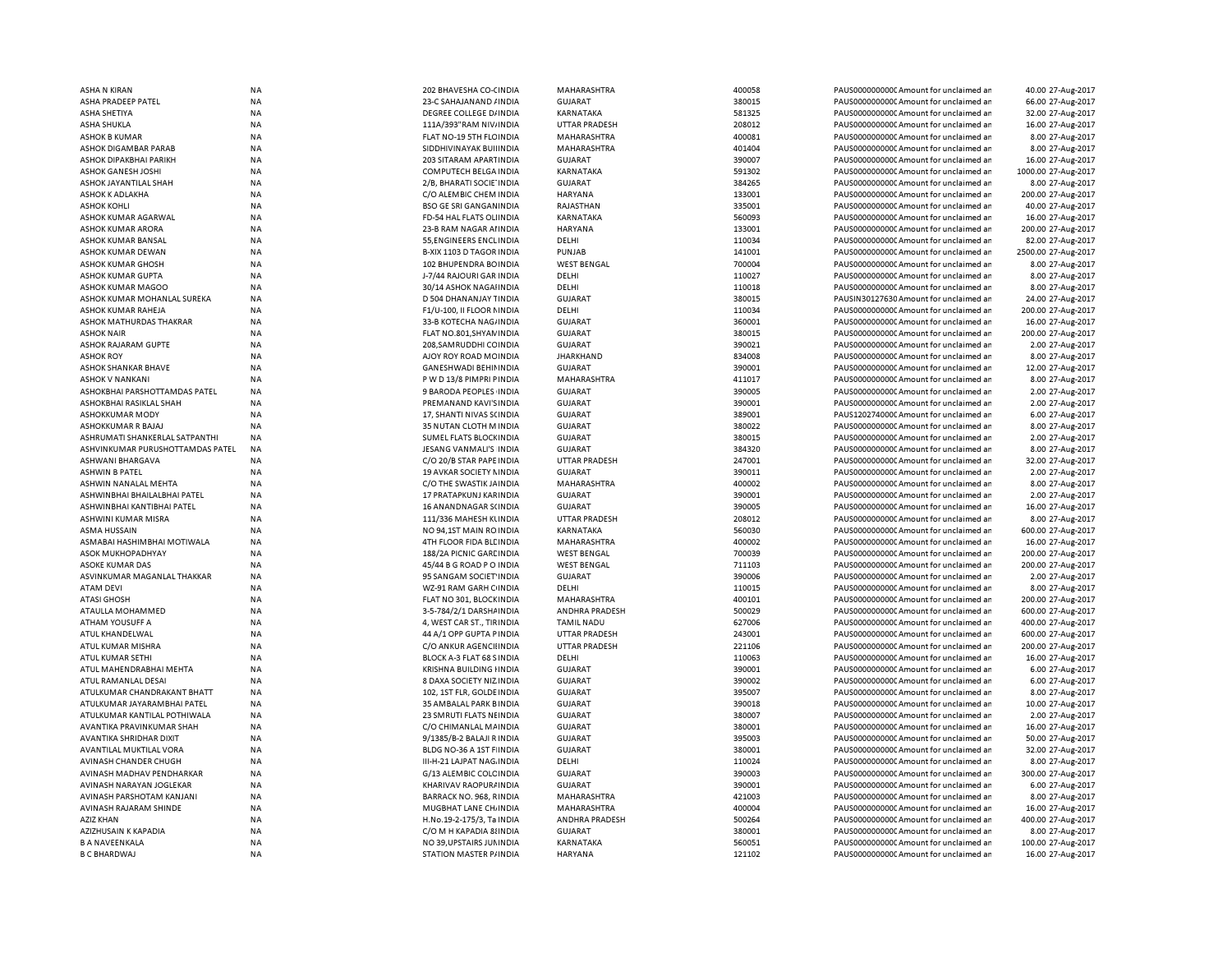| <b>ASHA N KIRAN</b>              | <b>NA</b> | 202 BHAVESHA CO-CINDIA       | MAHARASHTRA           | 400058 | PAUS0000000000 Amount for unclaimed ar  | 40.00 27-Aug-2017   |
|----------------------------------|-----------|------------------------------|-----------------------|--------|-----------------------------------------|---------------------|
| ASHA PRADEEP PATEL               | <b>NA</b> | 23-C SAHAJANAND / INDIA      | <b>GUJARAT</b>        | 380015 | PAUS0000000000 Amount for unclaimed an  | 66.00 27-Aug-2017   |
| <b>ASHA SHETIYA</b>              | <b>NA</b> | DEGREE COLLEGE D/INDIA       | KARNATAKA             | 581325 | PAUS0000000000 Amount for unclaimed ar  | 32.00 27-Aug-2017   |
| <b>ASHA SHUKLA</b>               | <b>NA</b> | 111A/393"RAM NIV/INDIA       | <b>UTTAR PRADESH</b>  | 208012 | PAUS0000000000 Amount for unclaimed ar  | 16.00 27-Aug-2017   |
| <b>ASHOK B KUMAR</b>             | <b>NA</b> | FLAT NO-19 5TH FLC INDIA     | MAHARASHTRA           | 400081 | PAUS0000000000 Amount for unclaimed ar  | 8.00 27-Aug-2017    |
| ASHOK DIGAMBAR PARAB             | <b>NA</b> | SIDDHIVINAYAK BUILINDIA      | MAHARASHTRA           | 401404 | PAUS0000000000 Amount for unclaimed ar  | 8.00 27-Aug-2017    |
| ASHOK DIPAKBHAI PARIKH           | <b>NA</b> | 203 SITARAM APARTINDIA       | <b>GUJARAT</b>        | 390007 | PAUS0000000000 Amount for unclaimed ar  | 16.00 27-Aug-2017   |
| ASHOK GANESH JOSHI               | <b>NA</b> | COMPUTECH BELGA INDIA        | <b>KARNATAKA</b>      | 591302 | PAUS0000000000 Amount for unclaimed ar  | 1000.00 27-Aug-2017 |
| ASHOK JAYANTILAL SHAH            | <b>NA</b> | 2/B, BHARATI SOCIE INDIA     | <b>GUJARAT</b>        | 384265 | PAUS0000000000 Amount for unclaimed ar  | 8.00 27-Aug-2017    |
| ASHOK K ADLAKHA                  | <b>NA</b> | C/O ALEMBIC CHEM INDIA       | <b>HARYANA</b>        | 133001 | PAUS0000000000 Amount for unclaimed ar  | 200.00 27-Aug-2017  |
| <b>ASHOK KOHLI</b>               | ΝA        | BSO GE SRI GANGANINDIA       | RAJASTHAN             | 335001 | PAUS0000000000C Amount for unclaimed ar | 40.00 27-Aug-2017   |
| ASHOK KUMAR AGARWAL              | <b>NA</b> | FD-54 HAL FLATS OLINDIA      | KARNATAKA             | 560093 | PAUS0000000000 Amount for unclaimed ar  | 16.00 27-Aug-2017   |
|                                  |           |                              |                       | 133001 |                                         | 200.00 27-Aug-2017  |
| ASHOK KUMAR ARORA                | <b>NA</b> | 23-B RAM NAGAR AI INDIA      | <b>HARYANA</b>        |        | PAUS0000000000C Amount for unclaimed ar |                     |
| ASHOK KUMAR BANSAL               | <b>NA</b> | 55, ENGINEERS ENCLINDIA      | DELHI                 | 110034 | PAUS0000000000 Amount for unclaimed ar  | 82.00 27-Aug-2017   |
| ASHOK KUMAR DEWAN                | <b>NA</b> | B-XIX 1103 D TAGOR INDIA     | PUNJAB                | 141001 | PAUS0000000000CAmount for unclaimed ar  | 2500.00 27-Aug-2017 |
| ASHOK KUMAR GHOSH                | <b>NA</b> | 102 BHUPENDRA BOINDIA        | <b>WEST BENGAL</b>    | 700004 | PAUS0000000000CAmount for unclaimed ar  | 8.00 27-Aug-2017    |
| ASHOK KUMAR GUPTA                | <b>NA</b> | J-7/44 RAJOURI GAR INDIA     | DELHI                 | 110027 | PAUS0000000000CAmount for unclaimed ar  | 8.00 27-Aug-2017    |
| ASHOK KUMAR MAGOO                | <b>NA</b> | 30/14 ASHOK NAGAIINDIA       | DELHI                 | 110018 | PAUS0000000000 Amount for unclaimed ar  | 8.00 27-Aug-2017    |
| ASHOK KUMAR MOHANLAL SUREKA      | <b>NA</b> | D 504 DHANANJAY TINDIA       | <b>GUJARAT</b>        | 380015 | PAUSIN30127630 Amount for unclaimed ar  | 24.00 27-Aug-2017   |
| ASHOK KUMAR RAHEJA               | <b>NA</b> | F1/U-100, II FLOOR NINDIA    | DELHI                 | 110034 | PAUS0000000000CAmount for unclaimed ar  | 200.00 27-Aug-2017  |
| ASHOK MATHURDAS THAKRAR          | <b>NA</b> | 33-B KOTECHA NAG/INDIA       | <b>GUJARAT</b>        | 360001 | PAUS0000000000CAmount for unclaimed ar  | 16.00 27-Aug-2017   |
| <b>ASHOK NAIR</b>                | <b>NA</b> | FLAT NO.801, SHYAN INDIA     | <b>GUJARAT</b>        | 380015 | PAUS0000000000CAmount for unclaimed ar  | 200.00 27-Aug-2017  |
| ASHOK RAJARAM GUPTE              | <b>NA</b> | 208, SAMRUDDHI CC INDIA      | <b>GUJARAT</b>        | 390021 | PAUS0000000000 Amount for unclaimed ar  | 2.00 27-Aug-2017    |
| <b>ASHOK ROY</b>                 | <b>NA</b> | AJOY ROY ROAD MCINDIA        | <b>JHARKHAND</b>      | 834008 | PAUS0000000000 Amount for unclaimed ar  | 8.00 27-Aug-2017    |
| ASHOK SHANKAR BHAVE              | <b>NA</b> | <b>GANESHWADI BEHININDIA</b> | <b>GUJARAT</b>        | 390001 | PAUS0000000000 Amount for unclaimed ar  | 12.00 27-Aug-2017   |
| <b>ASHOK V NANKANI</b>           | <b>NA</b> | PWD 13/8 PIMPRI PINDIA       | MAHARASHTRA           | 411017 | PAUS0000000000 Amount for unclaimed ar  | 8.00 27-Aug-2017    |
| ASHOKBHAI PARSHOTTAMDAS PATEL    | <b>NA</b> | 9 BARODA PEOPLES INDIA       | <b>GUJARAT</b>        | 390005 | PAUS00000000000Amount for unclaimed ar  | 2.00 27-Aug-2017    |
| ASHOKBHAI RASIKLAL SHAH          | <b>NA</b> | PREMANAND KAVI'S INDIA       | <b>GUJARAT</b>        | 390001 | PAUS0000000000 Amount for unclaimed ar  | 2.00 27-Aug-2017    |
| <b>ASHOKKUMAR MODY</b>           | <b>NA</b> | 17, SHANTI NIVAS S(INDIA     | <b>GUJARAT</b>        | 389001 | PAUS1202740000 Amount for unclaimed ar  | 6.00 27-Aug-2017    |
| ASHOKKUMAR R BAJAJ               | <b>NA</b> |                              |                       | 380022 |                                         |                     |
|                                  |           | 35 NUTAN CLOTH M INDIA       | <b>GUJARAT</b>        |        | PAUS00000000000Amount for unclaimed ar  | 8.00 27-Aug-2017    |
| ASHRUMATI SHANKERLAL SATPANTHI   | <b>NA</b> | SUMEL FLATS BLOCK INDIA      | <b>GUJARAT</b>        | 380015 | PAUS0000000000 Amount for unclaimed ar  | 2.00 27-Aug-2017    |
| ASHVINKUMAR PURUSHOTTAMDAS PATEL | <b>NA</b> | JESANG VANMALI'S INDIA       | <b>GUJARAT</b>        | 384320 | PAUS00000000000Amount for unclaimed ar  | 8.00 27-Aug-2017    |
| ASHWANI BHARGAVA                 | <b>NA</b> | C/O 20/B STAR PAPE INDIA     | <b>UTTAR PRADESH</b>  | 247001 | PAUS0000000000 Amount for unclaimed ar  | 32.00 27-Aug-2017   |
| <b>ASHWIN B PATEL</b>            | <b>NA</b> | 19 AVKAR SOCIETY NINDIA      | <b>GUJARAT</b>        | 390011 | PAUS0000000000CAmount for unclaimed ar  | 2.00 27-Aug-2017    |
| ASHWIN NANALAL MEHTA             | <b>NA</b> | C/O THE SWASTIK JAINDIA      | MAHARASHTRA           | 400002 | PAUS0000000000 Amount for unclaimed ar  | 8.00 27-Aug-2017    |
| ASHWINBHAI BHAILALBHAI PATEL     | <b>NA</b> | 17 PRATAPKUNJ KARINDIA       | <b>GUJARAT</b>        | 390001 | PAUS0000000000CAmount for unclaimed ar  | 2.00 27-Aug-2017    |
| ASHWINBHAI KANTIBHAI PATEL       | <b>NA</b> | 16 ANANDNAGAR S(INDIA        | <b>GUJARAT</b>        | 390005 | PAUS0000000000CAmount for unclaimed ar  | 16.00 27-Aug-2017   |
| ASHWINI KUMAR MISRA              | <b>NA</b> | 111/336 MAHESH KUNDIA        | <b>UTTAR PRADESH</b>  | 208012 | PAUS0000000000 Amount for unclaimed ar  | 8.00 27-Aug-2017    |
| ASMA HUSSAIN                     | <b>NA</b> | NO 94,1ST MAIN ROINDIA       | KARNATAKA             | 560030 | PAUS0000000000 Amount for unclaimed ar  | 600.00 27-Aug-2017  |
| ASMABAI HASHIMBHAI MOTIWALA      | <b>NA</b> | 4TH FLOOR FIDA BLE INDIA     | MAHARASHTRA           | 400002 | PAUS0000000000 Amount for unclaimed ar  | 16.00 27-Aug-2017   |
| ASOK MUKHOPADHYAY                | <b>NA</b> | 188/2A PICNIC GARL INDIA     | <b>WEST BENGAL</b>    | 700039 | PAUS0000000000CAmount for unclaimed ar  | 200.00 27-Aug-2017  |
| ASOKE KUMAR DAS                  | <b>NA</b> | 45/44 B G ROAD P O INDIA     | <b>WEST BENGAL</b>    | 711103 | PAUS0000000000 Amount for unclaimed ar  | 200.00 27-Aug-2017  |
| ASVINKUMAR MAGANLAL THAKKAR      | <b>NA</b> | 95 SANGAM SOCIET INDIA       | <b>GUJARAT</b>        | 390006 | PAUS0000000000CAmount for unclaimed ar  | 2.00 27-Aug-2017    |
| <b>ATAM DEVI</b>                 | <b>NA</b> | WZ-91 RAM GARH C INDIA       | DELHI                 | 110015 | PAUS0000000000 Amount for unclaimed ar  | 8.00 27-Aug-2017    |
| <b>ATASI GHOSH</b>               | <b>NA</b> | FLAT NO 301, BLOCK INDIA     | MAHARASHTRA           | 400101 | PAUS0000000000C Amount for unclaimed ar | 200.00 27-Aug-2017  |
| ATAULLA MOHAMMED                 | <b>NA</b> | 3-5-784/2/1 DARSHAINDIA      | <b>ANDHRA PRADESH</b> | 500029 | PAUS0000000000 Amount for unclaimed ar  | 600.00 27-Aug-2017  |
| ATHAM YOUSUFF A                  | <b>NA</b> | 4, WEST CAR ST., TIRINDIA    | <b>TAMIL NADU</b>     | 627006 | PAUS0000000000C Amount for unclaimed ar | 400.00 27-Aug-2017  |
| ATUL KHANDELWAL                  | <b>NA</b> | 44 A/1 OPP GUPTA P INDIA     | <b>UTTAR PRADESH</b>  | 243001 | PAUS0000000000 Amount for unclaimed ar  | 600.00 27-Aug-2017  |
| ATUL KUMAR MISHRA                | <b>NA</b> | C/O ANKUR AGENCII INDIA      | UTTAR PRADESH         | 221106 | PAUS0000000000 Amount for unclaimed ar  | 200.00 27-Aug-2017  |
| <b>ATUL KUMAR SETHI</b>          |           | BLOCK A-3 FLAT 68 S INDIA    | DELHI                 | 110063 |                                         | 16.00 27-Aug-2017   |
|                                  | <b>NA</b> |                              |                       |        | PAUS0000000000 Amount for unclaimed ar  |                     |
| ATUL MAHENDRABHAI MEHTA          | <b>NA</b> | KRISHNA BUILDING HNDIA       | <b>GUJARAT</b>        | 390001 | PAUS0000000000 Amount for unclaimed ar  | 6.00 27-Aug-2017    |
| ATUL RAMANLAL DESAI              | <b>NA</b> | 8 DAXA SOCIETY NIZ INDIA     | <b>GUJARAT</b>        | 390002 | PAUS0000000000 Amount for unclaimed ar  | 6.00 27-Aug-2017    |
| ATULKUMAR CHANDRAKANT BHATT      | <b>NA</b> | 102, 1ST FLR, GOLDE INDIA    | <b>GUJARAT</b>        | 395007 | PAUS0000000000 Amount for unclaimed ar  | 8.00 27-Aug-2017    |
| ATULKUMAR JAYARAMBHAI PATEL      | <b>NA</b> | 35 AMBALAL PARK BINDIA       | <b>GUJARAT</b>        | 390018 | PAUS0000000000CAmount for unclaimed ar  | 10.00 27-Aug-2017   |
| ATULKUMAR KANTILAL POTHIWALA     | <b>NA</b> | 23 SMRUTI FLATS NEINDIA      | <b>GUJARAT</b>        | 380007 | PAUS0000000000 Amount for unclaimed ar  | 2.00 27-Aug-2017    |
| AVANTIKA PRAVINKUMAR SHAH        | <b>NA</b> | C/O CHIMANLAL MAINDIA        | <b>GUJARAT</b>        | 380001 | PAUS0000000000 Amount for unclaimed ar  | 16.00 27-Aug-2017   |
| <b>AVANTIKA SHRIDHAR DIXIT</b>   | <b>NA</b> | 9/1385/B-2 BALAJI R INDIA    | <b>GUJARAT</b>        | 395003 | PAUS0000000000 Amount for unclaimed ar  | 50.00 27-Aug-2017   |
| AVANTILAL MUKTILAL VORA          | <b>NA</b> | BLDG NO-36 A 1ST F INDIA     | <b>GUJARAT</b>        | 380001 | PAUS0000000000 Amount for unclaimed ar  | 32.00 27-Aug-2017   |
| AVINASH CHANDER CHUGH            | <b>NA</b> | III-H-21 LAJPAT NAG. INDIA   | DELHI                 | 110024 | PAUS0000000000 Amount for unclaimed ar  | 8.00 27-Aug-2017    |
| AVINASH MADHAV PENDHARKAR        | <b>NA</b> | G/13 ALEMBIC COLC INDIA      | <b>GUJARAT</b>        | 390003 | PAUS0000000000 Amount for unclaimed ar  | 300.00 27-Aug-2017  |
| AVINASH NARAYAN JOGLEKAR         | <b>NA</b> | KHARIVAV RAOPUR/INDIA        | <b>GUJARAT</b>        | 390001 | PAUS0000000000 Amount for unclaimed ar  | 6.00 27-Aug-2017    |
| AVINASH PARSHOTAM KANJANI        | <b>NA</b> | BARRACK NO. 968, RINDIA      | MAHARASHTRA           | 421003 | PAUS0000000000 Amount for unclaimed ar  | 8.00 27-Aug-2017    |
| AVINASH RAJARAM SHINDE           | <b>NA</b> | MUGBHAT LANE CH, INDIA       | MAHARASHTRA           | 400004 | PAUS0000000000 Amount for unclaimed ar  | 16.00 27-Aug-2017   |
| <b>AZIZ KHAN</b>                 | <b>NA</b> | H.No.19-2-175/3, Ta INDIA    | ANDHRA PRADESH        | 500264 | PAUS00000000000Amount for unclaimed ar  | 400.00 27-Aug-2017  |
| AZIZHUSAIN K KAPADIA             | <b>NA</b> | C/O M H KAPADIA 8 INDIA      | <b>GUJARAT</b>        | 380001 | PAUS0000000000 Amount for unclaimed ar  | 8.00 27-Aug-2017    |
| <b>B A NAVEENKALA</b>            | <b>NA</b> | NO 39, UPSTAIRS JUNINDIA     | KARNATAKA             | 560051 | PAUS0000000000 Amount for unclaimed ar  | 100.00 27-Aug-2017  |
| <b>B C BHARDWAJ</b>              | <b>NA</b> | STATION MASTER P/INDIA       | <b>HARYANA</b>        | 121102 | PAUS0000000000 Amount for unclaimed ar  | 16.00 27-Aug-2017   |
|                                  |           |                              |                       |        |                                         |                     |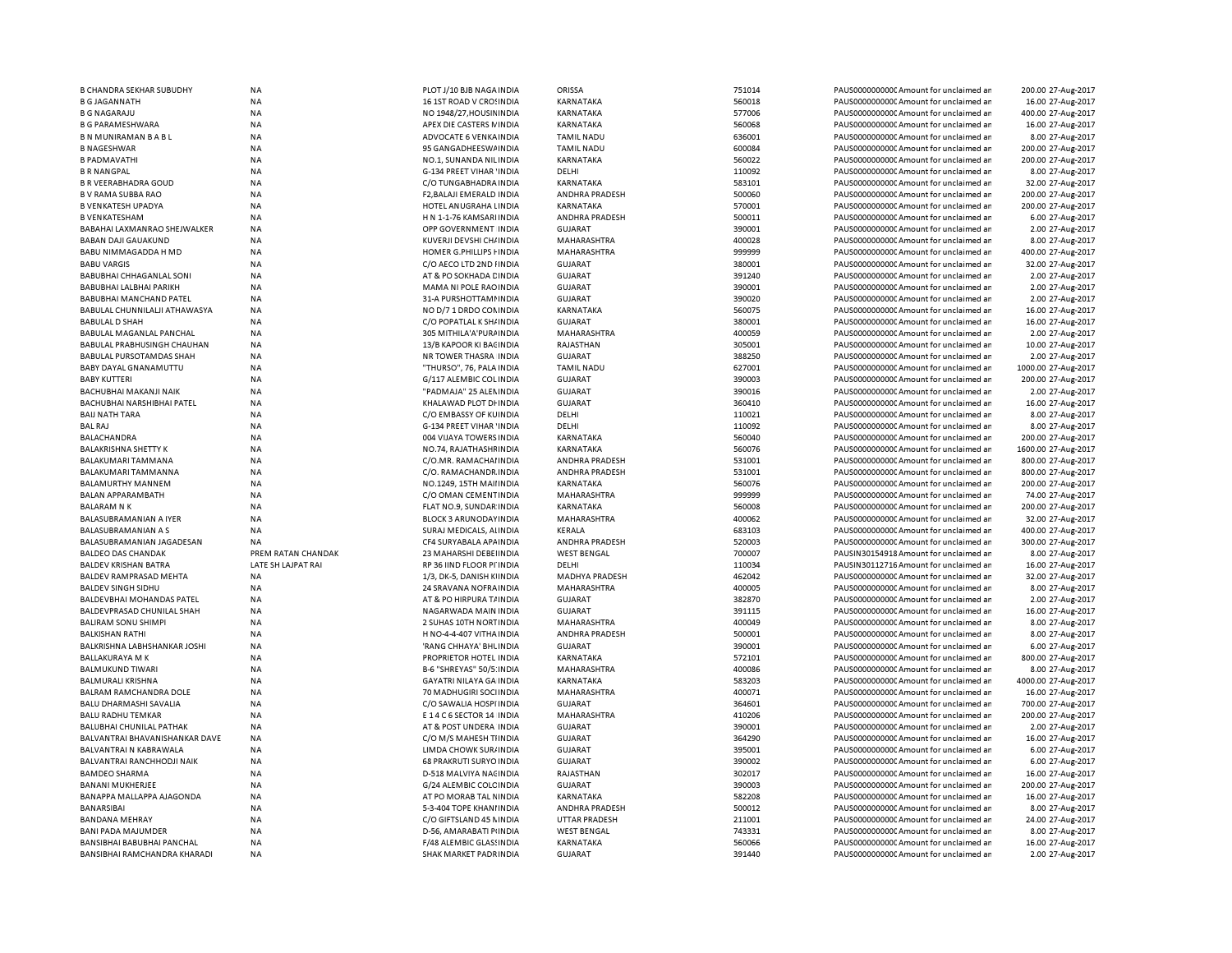| <b>B CHANDRA SEKHAR SUBUDHY</b>                            | <b>NA</b>              | PLOT J/10 BJB NAGA INDIA                         | ORISSA                      | 751014           | PAUS0000000000 Amount for unclaimed ar                                           | 200.00 27-Aug-2017                    |
|------------------------------------------------------------|------------------------|--------------------------------------------------|-----------------------------|------------------|----------------------------------------------------------------------------------|---------------------------------------|
| <b>B G JAGANNATH</b>                                       | <b>NA</b>              | 16 1ST ROAD V CROSINDIA                          | KARNATAKA                   | 560018           | PAUS0000000000 Amount for unclaimed ar                                           | 16.00 27-Aug-2017                     |
| <b>B G NAGARAJU</b>                                        | <b>NA</b>              | NO 1948/27, HOUSIN INDIA                         | KARNATAKA                   | 577006           | PAUS0000000000 Amount for unclaimed ar                                           | 400.00 27-Aug-2017                    |
| <b>B G PARAMESHWARA</b>                                    | <b>NA</b>              | APEX DIE CASTERS NINDIA                          | KARNATAKA                   | 560068           | PAUS0000000000CAmount for unclaimed an                                           | 16.00 27-Aug-2017                     |
| <b>BN MUNIRAMAN BABL</b>                                   | ΝA                     | ADVOCATE 6 VENKA INDIA                           | <b>TAMIL NADU</b>           | 636001           | PAUS0000000000C Amount for unclaimed ar                                          | 8.00 27-Aug-2017                      |
| <b>B NAGESHWAR</b>                                         | <b>NA</b>              | 95 GANGADHEESWAINDIA                             | <b>TAMIL NADU</b>           | 600084           | PAUS0000000000 Amount for unclaimed ar                                           | 200.00 27-Aug-2017                    |
| <b>B PADMAVATHI</b>                                        | ΝA                     | NO.1, SUNANDA NILINDIA                           | KARNATAKA                   | 560022           | PAUS0000000000CAmount for unclaimed ar                                           | 200.00 27-Aug-2017                    |
| <b>B R NANGPAL</b>                                         | <b>NA</b>              | G-134 PREET VIHAR 'INDIA                         | DELHI                       | 110092           | PAUS0000000000 Amount for unclaimed ar                                           | 8.00 27-Aug-2017                      |
|                                                            |                        |                                                  |                             |                  |                                                                                  |                                       |
| <b>B R VEERABHADRA GOUD</b>                                | <b>NA</b>              | C/O TUNGABHADRA INDIA                            | KARNATAKA                   | 583101           | PAUS0000000000C Amount for unclaimed ar                                          | 32.00 27-Aug-2017                     |
| <b>B V RAMA SUBBA RAO</b>                                  | <b>NA</b>              | F2.BALAJI EMERALD INDIA                          | <b>ANDHRA PRADESH</b>       | 500060           | PAUS0000000000 Amount for unclaimed ar                                           | 200.00 27-Aug-2017                    |
| <b>B VENKATESH UPADYA</b>                                  | <b>NA</b>              | HOTEL ANUGRAHA LINDIA                            | KARNATAKA                   | 570001           | PAUS0000000000 Amount for unclaimed ar                                           | 200.00 27-Aug-2017                    |
| <b>B VENKATESHAM</b>                                       | <b>NA</b>              | H N 1-1-76 KAMSARI INDIA                         | ANDHRA PRADESH              | 500011           | PAUS0000000000 Amount for unclaimed ar                                           | 6.00 27-Aug-2017                      |
| BABAHAI LAXMANRAO SHEJWALKER                               | <b>NA</b>              | OPP GOVERNMENT INDIA                             | GUJARAT                     | 390001           | PAUS0000000000 Amount for unclaimed ar                                           | 2.00 27-Aug-2017                      |
| <b>BABAN DAJI GAUAKUND</b>                                 | <b>NA</b>              | KUVERJI DEVSHI CH/ INDIA                         | MAHARASHTRA                 | 400028           | PAUS0000000000 Amount for unclaimed an                                           | 8.00 27-Aug-2017                      |
| BABU NIMMAGADDA H MD                                       | <b>NA</b>              | HOMER G.PHILLIPS I INDIA                         | MAHARASHTRA                 | 999999           | PAUS0000000000 Amount for unclaimed ar                                           | 400.00 27-Aug-2017                    |
| <b>BABU VARGIS</b>                                         | <b>NA</b>              | C/O AECO LTD 2ND HNDIA                           | <b>GUJARAT</b>              | 380001           | PAUS0000000000 Amount for unclaimed an                                           | 32.00 27-Aug-2017                     |
| BABUBHAI CHHAGANLAL SONI                                   | <b>NA</b>              | AT & PO SOKHADA CINDIA                           | GUJARAT                     | 391240           | PAUS0000000000 Amount for unclaimed ar                                           | 2.00 27-Aug-2017                      |
| BABUBHAI LALBHAI PARIKH                                    | <b>NA</b>              | MAMA NI POLE RAO INDIA                           | <b>GUJARAT</b>              | 390001           | PAUS0000000000 Amount for unclaimed ar                                           | 2.00 27-Aug-2017                      |
| BABUBHAI MANCHAND PATEL                                    | <b>NA</b>              | 31-A PURSHOTTAMI INDIA                           | GUJARAT                     | 390020           | PAUS0000000000 Amount for unclaimed ar                                           | 2.00 27-Aug-2017                      |
|                                                            |                        |                                                  |                             |                  |                                                                                  |                                       |
| BABULAL CHUNNILALJI ATHAWASYA                              | <b>NA</b>              | NO D/7 1 DRDO CONINDIA                           | KARNATAKA                   | 560075           | PAUS0000000000 Amount for unclaimed an                                           | 16.00 27-Aug-2017                     |
| <b>BABULAL D SHAH</b>                                      | <b>NA</b>              | C/O POPATLAL K SH/ INDIA                         | <b>GUJARAT</b>              | 380001           | PAUS0000000000CAmount for unclaimed an                                           | 16.00 27-Aug-2017                     |
| BABULAL MAGANLAL PANCHAL                                   | <b>NA</b>              | 305 MITHILA'A'PURA INDIA                         | MAHARASHTRA                 | 400059           | PAUS0000000000 Amount for unclaimed ar                                           | 2.00 27-Aug-2017                      |
| BABULAL PRABHUSINGH CHAUHAN                                | NA                     | 13/B KAPOOR KI BACINDIA                          | RAJASTHAN                   | 305001           | PAUS0000000000 Amount for unclaimed ar                                           | 10.00 27-Aug-2017                     |
| BABULAL PURSOTAMDAS SHAH                                   | <b>NA</b>              | NR TOWER THASRA INDIA                            | <b>GUJARAT</b>              | 388250           | PAUS0000000000C Amount for unclaimed ar                                          | 2.00 27-Aug-2017                      |
| BABY DAYAL GNANAMUTTU                                      | NA                     | "THURSO", 76, PALA INDIA                         | <b>TAMIL NADU</b>           | 627001           | PAUS0000000000 Amount for unclaimed ar                                           | 1000.00 27-Aug-2017                   |
| <b>BABY KUTTERI</b>                                        | <b>NA</b>              | G/117 ALEMBIC COL INDIA                          | <b>GUJARAT</b>              | 390003           | PAUS0000000000C Amount for unclaimed ar                                          | 200.00 27-Aug-2017                    |
| BACHUBHAI MAKANJI NAIK                                     | <b>NA</b>              | "PADMAJA" 25 ALEN INDIA                          | <b>GUJARAT</b>              | 390016           | PAUS0000000000 Amount for unclaimed ar                                           | 2.00 27-Aug-2017                      |
| BACHUBHAI NARSHIBHAI PATEL                                 | <b>NA</b>              | KHALAWAD PLOT DI INDIA                           | GUJARAT                     | 360410           | PAUS0000000000CAmount for unclaimed ar                                           | 16.00 27-Aug-2017                     |
| <b>BAIJ NATH TARA</b>                                      | <b>NA</b>              | C/O EMBASSY OF KUINDIA                           | DELHI                       | 110021           | PAUS0000000000 Amount for unclaimed ar                                           | 8.00 27-Aug-2017                      |
| <b>BAL RAJ</b>                                             | <b>NA</b>              | G-134 PREET VIHAR 'INDIA                         | DELHI                       | 110092           | PAUS0000000000CAmount for unclaimed ar                                           | 8.00 27-Aug-2017                      |
|                                                            |                        |                                                  |                             |                  |                                                                                  |                                       |
| <b>BALACHANDRA</b>                                         | <b>NA</b>              | 004 VIJAYA TOWERS INDIA                          | KARNATAKA                   | 560040           | PAUS0000000000 Amount for unclaimed ar                                           | 200.00 27-Aug-2017                    |
| <b>BALAKRISHNA SHETTY K</b>                                | <b>NA</b>              | NO.74, RAJATHASHF INDIA                          | KARNATAKA                   | 560076           | PAUS0000000000CAmount for unclaimed ar                                           | 1600.00 27-Aug-2017                   |
| BALAKUMARI TAMMANA                                         | <b>NA</b>              | C/O.MR. RAMACHAI INDIA                           | ANDHRA PRADESH              | 531001           | PAUS0000000000 Amount for unclaimed ar                                           | 800.00 27-Aug-2017                    |
| BALAKUMARI TAMMANNA                                        | <b>NA</b>              | C/O. RAMACHANDR INDIA                            | ANDHRA PRADESH              | 531001           | PAUS0000000000 Amount for unclaimed ar                                           | 800.00 27-Aug-2017                    |
| BALAMURTHY MANNEM                                          | <b>NA</b>              | NO.1249, 15TH MAII INDIA                         | <b>KARNATAKA</b>            | 560076           | PAUS0000000000 Amount for unclaimed ar                                           | 200.00 27-Aug-2017                    |
| BALAN APPARAMBATH                                          | <b>NA</b>              | C/O OMAN CEMENTINDIA                             | MAHARASHTRA                 | 999999           | PAUS0000000000 Amount for unclaimed ar                                           | 74.00 27-Aug-2017                     |
| <b>BALARAM N K</b>                                         | <b>NA</b>              | FLAT NO.9, SUNDAR INDIA                          | KARNATAKA                   | 560008           | PAUS0000000000 Amount for unclaimed ar                                           | 200.00 27-Aug-2017                    |
| <b>BALASUBRAMANIAN A IYER</b>                              |                        |                                                  | <b>MAHARASHTRA</b>          | 400062           | PAUS0000000000 Amount for unclaimed ar                                           |                                       |
|                                                            | <b>NA</b>              | <b>BLOCK 3 ARUNODAY INDIA</b>                    |                             |                  |                                                                                  | 32.00 27-Aug-2017                     |
|                                                            |                        |                                                  |                             |                  |                                                                                  |                                       |
| BALASUBRAMANIAN A S                                        | <b>NA</b>              | SURAJ MEDICALS, ALINDIA                          | KERALA                      | 683103           | PAUS0000000000 Amount for unclaimed ar                                           | 400.00 27-Aug-2017                    |
| BALASUBRAMANIAN JAGADESAN                                  | <b>NA</b>              | CF4 SURYABALA APAINDIA                           | <b>ANDHRA PRADESH</b>       | 520003           | PAUS0000000000 Amount for unclaimed ar                                           | 300.00 27-Aug-2017                    |
| <b>BALDEO DAS CHANDAK</b>                                  | PREM RATAN CHANDAK     | 23 MAHARSHI DEBEI INDIA                          | <b>WEST BENGAL</b>          | 700007           | PAUSIN30154918 Amount for unclaimed ar                                           | 8.00 27-Aug-2017                      |
| <b>BALDEV KRISHAN BATRA</b>                                | LATE SH LAJPAT RAI     | RP 36 IIND FLOOR PI INDIA                        | DELHI                       | 110034           | PAUSIN30112716 Amount for unclaimed ar                                           | 16.00 27-Aug-2017                     |
| <b>BALDEV RAMPRASAD MEHTA</b>                              | <b>NA</b>              | 1/3, DK-5, DANISH KIINDIA                        | MADHYA PRADESH              | 462042           | PAUS0000000000C Amount for unclaimed ar                                          | 32.00 27-Aug-2017                     |
| <b>BALDEV SINGH SIDHU</b>                                  | <b>NA</b>              | 24 SRAVANA NOFRA INDIA                           | MAHARASHTRA                 | 400005           | PAUS0000000000 Amount for unclaimed ar                                           | 8.00 27-Aug-2017                      |
| BALDEVBHAI MOHANDAS PATEL                                  | <b>NA</b>              | AT & PO HIRPURA T/ INDIA                         | <b>GUJARAT</b>              | 382870           | PAUS0000000000C Amount for unclaimed ar                                          | 2.00 27-Aug-2017                      |
| BALDEVPRASAD CHUNILAL SHAH                                 | <b>NA</b>              | NAGARWADA MAIN INDIA                             | <b>GUJARAT</b>              | 391115           | PAUS0000000000 Amount for unclaimed ar                                           | 16.00 27-Aug-2017                     |
| <b>BALIRAM SONU SHIMPI</b>                                 | <b>NA</b>              | 2 SUHAS 10TH NORTINDIA                           | MAHARASHTRA                 | 400049           | PAUS0000000000 Amount for unclaimed ar                                           | 8.00 27-Aug-2017                      |
| <b>BALKISHAN RATHI</b>                                     | <b>NA</b>              | H NO-4-4-407 VITHA INDIA                         | ANDHRA PRADESH              | 500001           | PAUS00000000000 Amount for unclaimed an                                          | 8.00 27-Aug-2017                      |
|                                                            | <b>NA</b>              |                                                  | GUJARAT                     | 390001           |                                                                                  |                                       |
| BALKRISHNA LABHSHANKAR JOSHI                               |                        | 'RANG CHHAYA' BHL INDIA                          |                             |                  | PAUS0000000000CAmount for unclaimed ar                                           | 6.00 27-Aug-2017                      |
| <b>BALLAKURAYA M K</b>                                     | <b>NA</b>              | PROPRIETOR HOTEL INDIA                           | KARNATAKA                   | 572101           | PAUS0000000000 Amount for unclaimed an                                           | 800.00 27-Aug-2017                    |
| <b>BALMUKUND TIWARI</b>                                    | <b>NA</b>              | B-6 "SHREYAS" 50/5: INDIA                        | MAHARASHTRA                 | 400086           | PAUS0000000000CAmount for unclaimed ar                                           | 8.00 27-Aug-2017                      |
| BALMURALI KRISHNA                                          | <b>NA</b>              | GAYATRI NILAYA GA INDIA                          | KARNATAKA                   | 583203           | PAUS0000000000 Amount for unclaimed ar                                           | 4000.00 27-Aug-2017                   |
| BALRAM RAMCHANDRA DOLE                                     | <b>NA</b>              | 70 MADHUGIRI SOCIINDIA                           | MAHARASHTRA                 | 400071           | PAUS0000000000CAmount for unclaimed ar                                           | 16.00 27-Aug-2017                     |
| <b>BALU DHARMASHI SAVALIA</b>                              | <b>NA</b>              | C/O SAWALIA HOSPI INDIA                          | <b>GUJARAT</b>              | 364601           | PAUS0000000000CAmount for unclaimed ar                                           | 700.00 27-Aug-2017                    |
| <b>BALU RADHU TEMKAR</b>                                   | <b>NA</b>              | E 14 C 6 SECTOR 14 INDIA                         | <b>MAHARASHTRA</b>          | 410206           | PAUS0000000000 Amount for unclaimed ar                                           | 200.00 27-Aug-2017                    |
| BALUBHAI CHUNILAL PATHAK                                   | <b>NA</b>              | AT & POST UNDERA INDIA                           | <b>GUJARAT</b>              | 390001           | PAUS0000000000 Amount for unclaimed ar                                           | 2.00 27-Aug-2017                      |
| BALVANTRAI BHAVANISHANKAR DAVE                             | <b>NA</b>              | C/O M/S MAHESH TIINDIA                           | <b>GUJARAT</b>              | 364290           | PAUS0000000000 Amount for unclaimed ar                                           | 16.00 27-Aug-2017                     |
| BALVANTRAI N KABRAWALA                                     | <b>NA</b>              | LIMDA CHOWK SUR/ INDIA                           | <b>GUJARAT</b>              | 395001           | PAUS0000000000 Amount for unclaimed ar                                           | 6.00 27-Aug-2017                      |
| <b>BALVANTRAI RANCHHODJI NAIK</b>                          | <b>NA</b>              | <b>68 PRAKRUTI SURYO INDIA</b>                   | <b>GUJARAT</b>              | 390002           | PAUS0000000000 Amount for unclaimed ar                                           | 6.00 27-Aug-2017                      |
| <b>BAMDEO SHARMA</b>                                       | NA                     | D-518 MALVIYA NACINDIA                           | RAJASTHAN                   | 302017           | PAUS0000000000 Amount for unclaimed ar                                           | 16.00 27-Aug-2017                     |
| <b>BANANI MUKHERJEE</b>                                    | <b>NA</b>              | G/24 ALEMBIC COLC INDIA                          | <b>GUJARAT</b>              | 390003           | PAUS0000000000 Amount for unclaimed ar                                           |                                       |
|                                                            |                        |                                                  |                             |                  |                                                                                  | 200.00 27-Aug-2017                    |
| BANAPPA MALLAPPA AJAGONDA                                  | <b>NA</b>              | AT PO MORAB TAL NINDIA                           | KARNATAKA                   | 582208           | PAUS0000000000C Amount for unclaimed ar                                          | 16.00 27-Aug-2017                     |
| BANARSIBAI                                                 | NA                     | 5-3-404 TOPE KHANI INDIA                         | ANDHRA PRADESH              | 500012           | PAUS0000000000 Amount for unclaimed ar                                           | 8.00 27-Aug-2017                      |
| BANDANA MEHRAY                                             | <b>NA</b>              | C/O GIFTSLAND 45 NINDIA                          | <b>UTTAR PRADESH</b>        | 211001           | PAUS0000000000C Amount for unclaimed ar                                          | 24.00 27-Aug-2017                     |
| BANI PADA MAJUMDER                                         | <b>NA</b>              | D-56, AMARABATI PINDIA                           | <b>WEST BENGAL</b>          | 743331           | PAUS0000000000 Amount for unclaimed an                                           | 8.00 27-Aug-2017                      |
| BANSIBHAI BABUBHAI PANCHAL<br>BANSIBHAI RAMCHANDRA KHARADI | <b>NA</b><br><b>NA</b> | F/48 ALEMBIC GLASSINDIA<br>SHAK MARKET PADRINDIA | KARNATAKA<br><b>GUJARAT</b> | 560066<br>391440 | PAUS0000000000 Amount for unclaimed ar<br>PAUS0000000000 Amount for unclaimed an | 16.00 27-Aug-2017<br>2.00 27-Aug-2017 |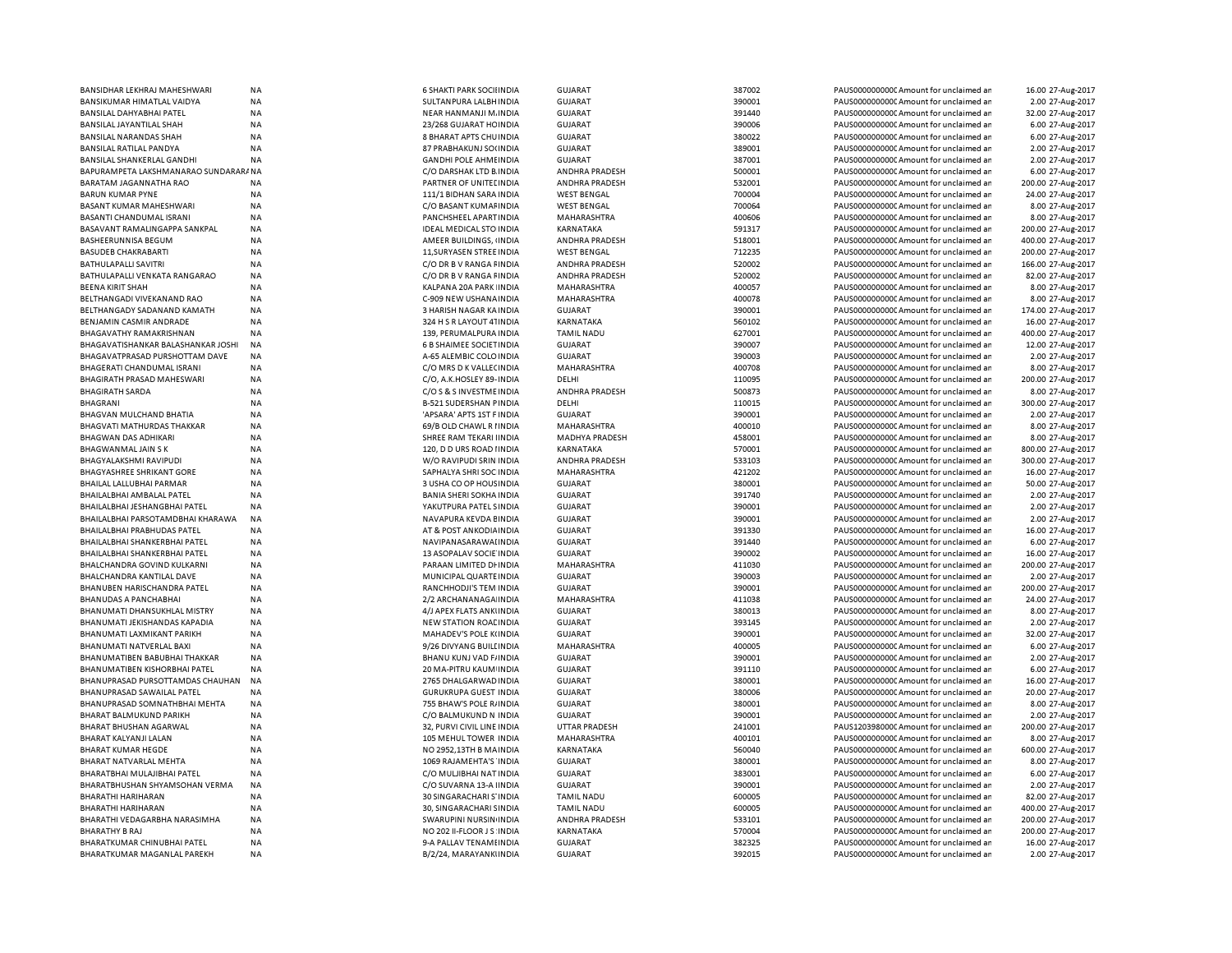| BANSIDHAR LEKHRAJ MAHESHWARI         | <b>NA</b> | <b>6 SHAKTI PARK SOCILINDIA</b> | <b>GUJARAT</b>        | 387002 | PAUS0000000000 Amount for unclaimed ar  | 16.00 27-Aug-2017  |
|--------------------------------------|-----------|---------------------------------|-----------------------|--------|-----------------------------------------|--------------------|
| BANSIKUMAR HIMATLAL VAIDYA           | <b>NA</b> | SULTANPURA LALBH INDIA          | <b>GUJARAT</b>        | 390001 | PAUS0000000000C Amount for unclaimed ar | 2.00 27-Aug-2017   |
| BANSILAL DAHYABHAI PATEL             | <b>NA</b> | NEAR HANMANJI M. INDIA          | <b>GUJARAT</b>        | 391440 | PAUS0000000000 Amount for unclaimed ar  | 32.00 27-Aug-2017  |
| BANSILAL JAYANTILAL SHAH             | NA        | 23/268 GUJARAT HC INDIA         | <b>GUJARAT</b>        | 390006 | PAUS0000000000 Amount for unclaimed ar  | 6.00 27-Aug-2017   |
| BANSILAL NARANDAS SHAH               | <b>NA</b> | 8 BHARAT APTS CHUINDIA          | <b>GUJARAT</b>        | 380022 | PAUS0000000000 Amount for unclaimed ar  | 6.00 27-Aug-2017   |
|                                      |           |                                 |                       |        |                                         |                    |
| BANSILAL RATILAL PANDYA              | <b>NA</b> | 87 PRABHAKUNJ SO(INDIA          | <b>GUJARAT</b>        | 389001 | PAUS0000000000 Amount for unclaimed ar  | 2.00 27-Aug-2017   |
| BANSILAL SHANKERLAL GANDHI           | NA        | <b>GANDHI POLE AHMEINDIA</b>    | <b>GUJARAT</b>        | 387001 | PAUS0000000000 Amount for unclaimed ar  | 2.00 27-Aug-2017   |
| BAPURAMPETA LAKSHMANARAO SUNDARARANA |           | C/O DARSHAK LTD B INDIA         | ANDHRA PRADESH        | 500001 | PAUS0000000000 Amount for unclaimed ar  | 6.00 27-Aug-2017   |
| BARATAM JAGANNATHA RAO               | <b>NA</b> | PARTNER OF UNITED INDIA         | ANDHRA PRADESH        | 532001 | PAUS0000000000 Amount for unclaimed ar  | 200.00 27-Aug-2017 |
| <b>BARUN KUMAR PYNE</b>              | <b>NA</b> | 111/1 BIDHAN SARA INDIA         | <b>WEST BENGAL</b>    | 700004 | PAUS0000000000 Amount for unclaimed ar  | 24.00 27-Aug-2017  |
| BASANT KUMAR MAHESHWARI              | ΝA        | C/O BASANT KUMAFINDIA           | <b>WEST BENGAL</b>    | 700064 | PAUS0000000000 Amount for unclaimed ar  | 8.00 27-Aug-2017   |
| BASANTI CHANDUMAL ISRANI             | <b>NA</b> | PANCHSHEEL APART INDIA          | MAHARASHTRA           | 400606 | PAUS0000000000CAmount for unclaimed ar  |                    |
|                                      |           |                                 |                       |        |                                         | 8.00 27-Aug-2017   |
| BASAVANT RAMALINGAPPA SANKPAL        | <b>NA</b> | <b>IDEAL MEDICAL STO INDIA</b>  | KARNATAKA             | 591317 | PAUS0000000000CAmount for unclaimed ar  | 200.00 27-Aug-2017 |
| BASHEERUNNISA BEGUM                  | <b>NA</b> | AMEER BUILDINGS, INDIA          | ANDHRA PRADESH        | 518001 | PAUS0000000000CAmount for unclaimed ar  | 400.00 27-Aug-2017 |
| <b>BASUDEB CHAKRABARTI</b>           | NA        | 11, SURYASEN STREE IN DIA       | <b>WEST BENGAL</b>    | 712235 | PAUS0000000000CAmount for unclaimed ar  | 200.00 27-Aug-2017 |
| BATHULAPALLI SAVITRI                 | <b>NA</b> | C/O DR B V RANGA FINDIA         | ANDHRA PRADESH        | 520002 | PAUS0000000000CAmount for unclaimed ar  | 166.00 27-Aug-2017 |
| BATHULAPALLI VENKATA RANGARAO        | NA        | C/O DR B V RANGA FINDIA         | <b>ANDHRA PRADESH</b> | 520002 | PAUS0000000000CAmount for unclaimed ar  | 82.00 27-Aug-2017  |
| <b>BEENA KIRIT SHAH</b>              | <b>NA</b> | KALPANA 20A PARK INDIA          | MAHARASHTRA           | 400057 | PAUS0000000000 Amount for unclaimed ar  | 8.00 27-Aug-2017   |
| BELTHANGADI VIVEKANAND RAO           | <b>NA</b> | C-909 NEW USHANA INDIA          | MAHARASHTRA           | 400078 | PAUS0000000000 Amount for unclaimed ar  |                    |
|                                      |           |                                 |                       |        |                                         | 8.00 27-Aug-2017   |
| BELTHANGADY SADANAND KAMATH          | <b>NA</b> | 3 HARISH NAGAR KA INDIA         | <b>GUJARAT</b>        | 390001 | PAUS0000000000CAmount for unclaimed ar  | 174.00 27-Aug-2017 |
| BENJAMIN CASMIR ANDRADE              | <b>NA</b> | 324 H S R LAYOUT 41INDIA        | KARNATAKA             | 560102 | PAUS0000000000CAmount for unclaimed ar  | 16.00 27-Aug-2017  |
| <b>BHAGAVATHY RAMAKRISHNAN</b>       | <b>NA</b> | 139, PERUMALPURA INDIA          | <b>TAMIL NADU</b>     | 627001 | PAUS0000000000CAmount for unclaimed ar  | 400.00 27-Aug-2017 |
| BHAGAVATISHANKAR BALASHANKAR JOSHI   | <b>NA</b> | <b>6 B SHAIMEE SOCIET INDIA</b> | <b>GUJARAT</b>        | 390007 | PAUS0000000000 Amount for unclaimed ar  | 12.00 27-Aug-2017  |
| BHAGAVATPRASAD PURSHOTTAM DAVE       | <b>NA</b> | A-65 ALEMBIC COLO INDIA         | <b>GUJARAT</b>        | 390003 | PAUS0000000000 Amount for unclaimed ar  | 2.00 27-Aug-2017   |
| BHAGERATI CHANDUMAL ISRANI           | <b>NA</b> | C/O MRS D K VALLECINDIA         | MAHARASHTRA           | 400708 | PAUS0000000000 Amount for unclaimed ar  | 8.00 27-Aug-2017   |
|                                      |           |                                 |                       |        |                                         |                    |
| BHAGIRATH PRASAD MAHESWARI           | <b>NA</b> | C/O, A.K.HOSLEY 89- INDIA       | DELHI                 | 110095 | PAUS0000000000 Amount for unclaimed ar  | 200.00 27-Aug-2017 |
| <b>BHAGIRATH SARDA</b>               | <b>NA</b> | C/O S & S INVESTME INDIA        | <b>ANDHRA PRADESH</b> | 500873 | PAUS0000000000 Amount for unclaimed ar  | 8.00 27-Aug-2017   |
| <b>BHAGRANI</b>                      | NA        | <b>B-521 SUDERSHAN PINDIA</b>   | DELHI                 | 110015 | PAUS0000000000 Amount for unclaimed ar  | 300.00 27-Aug-2017 |
| <b>BHAGVAN MULCHAND BHATIA</b>       | <b>NA</b> | 'APSARA' APTS 1ST F INDIA       | <b>GUJARAT</b>        | 390001 | PAUS0000000000 Amount for unclaimed ar  | 2.00 27-Aug-2017   |
| BHAGVATI MATHURDAS THAKKAR           | NA        | 69/B OLD CHAWL R I INDIA        | MAHARASHTRA           | 400010 | PAUS0000000000CAmount for unclaimed ar  | 8.00 27-Aug-2017   |
| BHAGWAN DAS ADHIKARI                 | <b>NA</b> | SHREE RAM TEKARI IINDIA         | MADHYA PRADESH        | 458001 | PAUS0000000000 Amount for unclaimed ar  | 8.00 27-Aug-2017   |
| BHAGWANMAL JAIN S K                  | <b>NA</b> | 120, D D URS ROAD HNDIA         | <b>KARNATAKA</b>      | 570001 | PAUS0000000000 Amount for unclaimed ar  | 800.00 27-Aug-2017 |
|                                      |           |                                 |                       |        |                                         |                    |
| BHAGYALAKSHMI RAVIPUDI               | <b>NA</b> | W/O RAVIPUDI SRIN INDIA         | ANDHRA PRADESH        | 533103 | PAUS0000000000 Amount for unclaimed ar  | 300.00 27-Aug-2017 |
| BHAGYASHREE SHRIKANT GORE            | NA        | SAPHALYA SHRI SOC INDIA         | MAHARASHTRA           | 421202 | PAUS0000000000 Amount for unclaimed ar  | 16.00 27-Aug-2017  |
| BHAILAL LALLUBHAI PARMAR             | NA        | 3 USHA CO OP HOUS INDIA         | <b>GUJARAT</b>        | 380001 | PAUS0000000000 Amount for unclaimed ar  | 50.00 27-Aug-2017  |
| BHAILALBHAI AMBALAL PATEL            | NA        | <b>BANIA SHERI SOKHA INDIA</b>  | <b>GUJARAT</b>        | 391740 | PAUS0000000000 Amount for unclaimed ar  | 2.00 27-Aug-2017   |
| BHAILALBHAI JESHANGBHAI PATEL        | <b>NA</b> | YAKUTPURA PATEL SINDIA          | <b>GUJARAT</b>        | 390001 | PAUS0000000000 Amount for unclaimed ar  | 2.00 27-Aug-2017   |
| BHAILALBHAI PARSOTAMDBHAI KHARAWA    | NA        | NAVAPURA KEVDA EINDIA           | <b>GUJARAT</b>        | 390001 | PAUS0000000000 Amount for unclaimed ar  | 2.00 27-Aug-2017   |
| BHAILALBHAI PRABHUDAS PATEL          | NA        | AT & POST ANKODIA INDIA         | <b>GUJARAT</b>        | 391330 | PAUS0000000000CAmount for unclaimed ar  | 16.00 27-Aug-2017  |
|                                      |           |                                 |                       |        |                                         |                    |
| BHAILALBHAI SHANKERBHAI PATEL        | <b>NA</b> | NAVIPANASARAWAI INDIA           | <b>GUJARAT</b>        | 391440 | PAUS0000000000 Amount for unclaimed ar  | 6.00 27-Aug-2017   |
| BHAILALBHAI SHANKERBHAI PATEL        | <b>NA</b> | 13 ASOPALAV SOCIE INDIA         | <b>GUJARAT</b>        | 390002 | PAUS0000000000CAmount for unclaimed ar  | 16.00 27-Aug-2017  |
| BHALCHANDRA GOVIND KULKARNI          | <b>NA</b> | PARAAN LIMITED DI INDIA         | MAHARASHTRA           | 411030 | PAUS0000000000CAmount for unclaimed ar  | 200.00 27-Aug-2017 |
| BHALCHANDRA KANTILAL DAVE            | NA        | MUNICIPAL QUARTE INDIA          | <b>GUJARAT</b>        | 390003 | PAUS0000000000CAmount for unclaimed ar  | 2.00 27-Aug-2017   |
| BHANUBEN HARISCHANDRA PATEL          | <b>NA</b> | RANCHHODJI'S TEM INDIA          | <b>GUJARAT</b>        | 390001 | PAUS0000000000CAmount for unclaimed ar  | 200.00 27-Aug-2017 |
| <b>BHANUDAS A PANCHABHAI</b>         | <b>NA</b> | 2/2 ARCHANANAGA INDIA           | MAHARASHTRA           | 411038 | PAUS0000000000CAmount for unclaimed ar  | 24.00 27-Aug-2017  |
| BHANUMATI DHANSUKHLAL MISTRY         | <b>NA</b> | 4/J APEX FLATS ANKUNDIA         | <b>GUJARAT</b>        | 380013 | PAUS0000000000 Amount for unclaimed ar  |                    |
|                                      |           |                                 |                       |        |                                         | 8.00 27-Aug-2017   |
| BHANUMATI JEKISHANDAS KAPADIA        | <b>NA</b> | NEW STATION ROAL INDIA          | <b>GUJARAT</b>        | 393145 | PAUS0000000000CAmount for unclaimed ar  | 2.00 27-Aug-2017   |
| BHANUMATI LAXMIKANT PARIKH           | <b>NA</b> | MAHADEV'S POLE K(INDIA          | <b>GUJARAT</b>        | 390001 | PAUS0000000000 Amount for unclaimed ar  | 32.00 27-Aug-2017  |
| BHANUMATI NATVERLAL BAXI             | <b>NA</b> | 9/26 DIVYANG BUILLINDIA         | MAHARASHTRA           | 400005 | PAUS0000000000 Amount for unclaimed ar  | 6.00 27-Aug-2017   |
| BHANUMATIBEN BABUBHAI THAKKAR        | <b>NA</b> | BHANU KUNJ VAD F/INDIA          | <b>GUJARAT</b>        | 390001 | PAUS0000000000 Amount for unclaimed ar  | 2.00 27-Aug-2017   |
| BHANUMATIBEN KISHORBHAI PATEL        | <b>NA</b> | 20 MA-PITRU KAUM INDIA          | <b>GUJARAT</b>        | 391110 | PAUS0000000000 Amount for unclaimed ar  | 6.00 27-Aug-2017   |
| BHANUPRASAD PURSOTTAMDAS CHAUHAN     | <b>NA</b> | 2765 DHALGARWAD INDIA           | <b>GUJARAT</b>        | 380001 | PAUS0000000000 Amount for unclaimed ar  | 16.00 27-Aug-2017  |
|                                      |           |                                 |                       | 380006 |                                         | 20.00 27-Aug-2017  |
| BHANUPRASAD SAWAILAL PATEL           | <b>NA</b> | <b>GURUKRUPA GUEST INDIA</b>    | <b>GUJARAT</b>        |        | PAUS0000000000 Amount for unclaimed ar  |                    |
| BHANUPRASAD SOMNATHBHAI MEHTA        | <b>NA</b> | 755 BHAW'S POLE R/INDIA         | <b>GUJARAT</b>        | 380001 | PAUS0000000000CAmount for unclaimed ar  | 8.00 27-Aug-2017   |
| <b>BHARAT BALMUKUND PARIKH</b>       | <b>NA</b> | C/O BALMUKUND N INDIA           | GUJARAT               | 390001 | PAUS0000000000 Amount for unclaimed ar  | 2.00 27-Aug-2017   |
| BHARAT BHUSHAN AGARWAL               | <b>NA</b> | 32, PURVI CIVIL LINE INDIA      | <b>UTTAR PRADESH</b>  | 241001 | PAUS1203980000 Amount for unclaimed ar  | 200.00 27-Aug-2017 |
| <b>BHARAT KALYANJI LALAN</b>         | <b>NA</b> | 105 MEHUL TOWER INDIA           | MAHARASHTRA           | 400101 | PAUS0000000000CAmount for unclaimed an  | 8.00 27-Aug-2017   |
| <b>BHARAT KUMAR HEGDE</b>            | NA        | NO 2952,13TH B MAINDIA          | KARNATAKA             | 560040 | PAUS0000000000 Amount for unclaimed ar  | 600.00 27-Aug-2017 |
| BHARAT NATVARLAL MEHTA               | <b>NA</b> | 1069 RAJAMEHTA'S INDIA          | <b>GUJARAT</b>        | 380001 | PAUS0000000000 Amount for unclaimed ar  | 8.00 27-Aug-2017   |
|                                      |           |                                 |                       |        |                                         |                    |
| BHARATBHAI MULAJIBHAI PATEL          | <b>NA</b> | C/O MULJIBHAI NAT INDIA         | <b>GUJARAT</b>        | 383001 | PAUS0000000000 Amount for unclaimed ar  | 6.00 27-Aug-2017   |
| BHARATBHUSHAN SHYAMSOHAN VERMA       | <b>NA</b> | C/O SUVARNA 13-A IINDIA         | <b>GUJARAT</b>        | 390001 | PAUS0000000000 Amount for unclaimed ar  | 2.00 27-Aug-2017   |
| BHARATHI HARIHARAN                   | NA        | 30 SINGARACHARI S'INDIA         | <b>TAMIL NADU</b>     | 600005 | PAUS0000000000 Amount for unclaimed ar  | 82.00 27-Aug-2017  |
| BHARATHI HARIHARAN                   | <b>NA</b> | 30, SINGARACHARI SINDIA         | <b>TAMIL NADU</b>     | 600005 | PAUS0000000000 Amount for unclaimed ar  | 400.00 27-Aug-2017 |
| BHARATHI VEDAGARBHA NARASIMHA        | NA        | SWARUPINI NURSIN INDIA          | ANDHRA PRADESH        | 533101 | PAUS0000000000CAmount for unclaimed ar  | 200.00 27-Aug-2017 |
| BHARATHY B RAJ                       | NA        | NO 202 II-FLOOR J S INDIA       | KARNATAKA             | 570004 | PAUS0000000000 Amount for unclaimed ar  | 200.00 27-Aug-2017 |
| BHARATKUMAR CHINUBHAI PATEL          | NA        | 9-A PALLAV TENAMI INDIA         | <b>GUJARAT</b>        | 382325 | PAUS0000000000 Amount for unclaimed ar  | 16.00 27-Aug-2017  |
|                                      |           |                                 |                       |        |                                         |                    |
| BHARATKUMAR MAGANLAL PAREKH          | <b>NA</b> | B/2/24, MARAYANKI INDIA         | <b>GUJARAT</b>        | 392015 | PAUS0000000000C Amount for unclaimed ar | 2.00 27-Aug-2017   |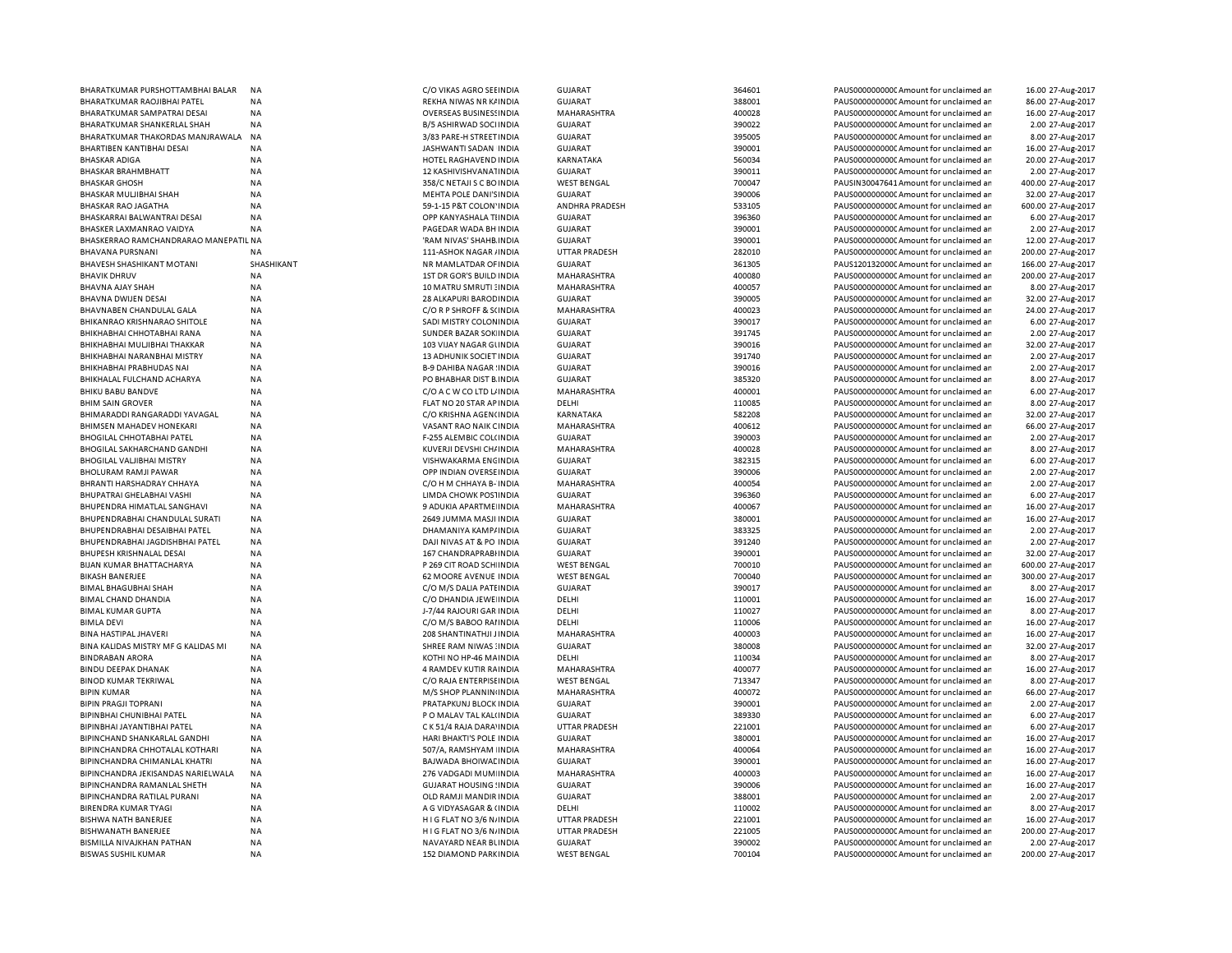| BHARATKUMAR PURSHOTTAMBHAI BALAR      | <b>NA</b>  | C/O VIKAS AGRO SEEINDIA        | <b>GUJARAT</b>       | 364601 | PAUS0000000000 Amount for unclaimed ar  | 16.00 27-Aug-2017  |
|---------------------------------------|------------|--------------------------------|----------------------|--------|-----------------------------------------|--------------------|
| BHARATKUMAR RAOJIBHAI PATEL           | NA         | REKHA NIWAS NR K/ INDIA        | <b>GUJARAT</b>       | 388001 | PAUS0000000000 Amount for unclaimed ar  | 86.00 27-Aug-2017  |
| BHARATKUMAR SAMPATRAI DESAI           | <b>NA</b>  | <b>OVERSEAS BUSINESSINDIA</b>  | MAHARASHTRA          | 400028 | PAUS0000000000 Amount for unclaimed ar  | 16.00 27-Aug-2017  |
|                                       |            |                                |                      | 390022 |                                         | 2.00 27-Aug-2017   |
| BHARATKUMAR SHANKERLAL SHAH           | NA         | B/5 ASHIRWAD SOCI INDIA        | <b>GUJARAT</b>       |        | PAUS0000000000 Amount for unclaimed ar  |                    |
| BHARATKUMAR THAKORDAS MANJRAWALA      | <b>NA</b>  | 3/83 PARE-H STREET INDIA       | <b>GUJARAT</b>       | 395005 | PAUS0000000000 Amount for unclaimed ar  | 8.00 27-Aug-2017   |
| BHARTIBEN KANTIBHAI DESAI             | ΝA         | JASHWANTI SADAN INDIA          | <b>GUJARAT</b>       | 390001 | PAUS0000000000 Amount for unclaimed ar  | 16.00 27-Aug-2017  |
| <b>BHASKAR ADIGA</b>                  | NA         | HOTEL RAGHAVEND INDIA          | KARNATAKA            | 560034 | PAUS0000000000 Amount for unclaimed ar  | 20.00 27-Aug-2017  |
| BHASKAR BRAHMBHATT                    | NA         | 12 KASHIVISHVANA1INDIA         | GUJARAT              | 390011 | PAUS0000000000 Amount for unclaimed ar  | 2.00 27-Aug-2017   |
| <b>BHASKAR GHOSH</b>                  | NA         | 358/C NETAJI S C BO INDIA      | <b>WEST BENGAL</b>   | 700047 | PAUSIN30047641 Amount for unclaimed ar  | 400.00 27-Aug-2017 |
|                                       | NA         | MEHTA POLE DANI'S INDIA        | <b>GUJARAT</b>       | 390006 | PAUS0000000000 Amount for unclaimed ar  | 32.00 27-Aug-2017  |
| BHASKAR MULJIBHAI SHAH                |            |                                |                      |        |                                         |                    |
| BHASKAR RAO JAGATHA                   | NA         | 59-1-15 P&T COLON' INDIA       | ANDHRA PRADESH       | 533105 | PAUS0000000000 Amount for unclaimed ar  | 600.00 27-Aug-2017 |
| BHASKARRAI BALWANTRAI DESAI           | NA         | OPP KANYASHALA TIINDIA         | GUJARAT              | 396360 | PAUS0000000000 Amount for unclaimed ar  | 6.00 27-Aug-2017   |
| BHASKER LAXMANRAO VAIDYA              | NA         | PAGEDAR WADA BH INDIA          | <b>GUJARAT</b>       | 390001 | PAUS0000000000 Amount for unclaimed ar  | 2.00 27-Aug-2017   |
| BHASKERRAO RAMCHANDRARAO MANEPATIL NA |            | 'RAM NIVAS' SHAHB INDIA        | <b>GUJARAT</b>       | 390001 | PAUS0000000000 Amount for unclaimed ar  | 12.00 27-Aug-2017  |
| BHAVANA PURSNANI                      | <b>NA</b>  | 111-ASHOK NAGAR / INDIA        | <b>UTTAR PRADESH</b> | 282010 | PAUS0000000000 Amount for unclaimed ar  | 200.00 27-Aug-2017 |
| BHAVESH SHASHIKANT MOTANI             | SHASHIKANT | NR MAMLATDAR OF INDIA          | <b>GUJARAT</b>       | 361305 | PAUS1201320000 Amount for unclaimed ar  | 166.00 27-Aug-2017 |
|                                       |            |                                |                      |        |                                         |                    |
| <b>BHAVIK DHRUV</b>                   | ΝA         | 1ST DR GOR'S BUILD INDIA       | MAHARASHTRA          | 400080 | PAUS0000000000CAmount for unclaimed ar  | 200.00 27-Aug-2017 |
| BHAVNA AJAY SHAH                      | NA         | 10 MATRU SMRUTI : INDIA        | MAHARASHTRA          | 400057 | PAUS0000000000 Amount for unclaimed ar  | 8.00 27-Aug-2017   |
| BHAVNA DWIJEN DESAI                   | ΝA         | 28 ALKAPURI BAROD INDIA        | <b>GUJARAT</b>       | 390005 | PAUS0000000000C Amount for unclaimed ar | 32.00 27-Aug-2017  |
| BHAVNABEN CHANDULAL GALA              | NA         | C/O R P SHROFF & S(INDIA       | MAHARASHTRA          | 400023 | PAUS0000000000 Amount for unclaimed ar  | 24.00 27-Aug-2017  |
| BHIKANRAO KRISHNARAO SHITOLE          | ΝA         | SADI MISTRY COLONINDIA         | <b>GUJARAT</b>       | 390017 | PAUS0000000000 Amount for unclaimed ar  | 6.00 27-Aug-2017   |
| BHIKHABHAI CHHOTABHAI RANA            | NA         | SUNDER BAZAR SOK INDIA         | <b>GUJARAT</b>       | 391745 | PAUS0000000000 Amount for unclaimed ar  | 2.00 27-Aug-2017   |
|                                       |            |                                |                      |        |                                         |                    |
| BHIKHABHAI MULJIBHAI THAKKAR          | <b>NA</b>  | 103 VIJAY NAGAR GUNDIA         | <b>GUJARAT</b>       | 390016 | PAUS0000000000 Amount for unclaimed ar  | 32.00 27-Aug-2017  |
| BHIKHABHAI NARANBHAI MISTRY           | <b>NA</b>  | 13 ADHUNIK SOCIET INDIA        | <b>GUJARAT</b>       | 391740 | PAUS0000000000CAmount for unclaimed ar  | 2.00 27-Aug-2017   |
| BHIKHABHAI PRABHUDAS NAI              | NA         | <b>B-9 DAHIBA NAGAR INDIA</b>  | <b>GUJARAT</b>       | 390016 | PAUS0000000000CAmount for unclaimed ar  | 2.00 27-Aug-2017   |
| BHIKHALAL FULCHAND ACHARYA            | NA         | PO BHABHAR DIST B. INDIA       | <b>GUJARAT</b>       | 385320 | PAUS0000000000CAmount for unclaimed ar  | 8.00 27-Aug-2017   |
| BHIKU BABU BANDVE                     | NA         | C/O A C W CO LTD L/ INDIA      | MAHARASHTRA          | 400001 | PAUS0000000000 Amount for unclaimed ar  | 6.00 27-Aug-2017   |
|                                       |            |                                | DELHI                | 110085 |                                         |                    |
| <b>BHIM SAIN GROVER</b>               | <b>NA</b>  | FLAT NO 20 STAR AP INDIA       |                      |        | PAUS0000000000CAmount for unclaimed ar  | 8.00 27-Aug-2017   |
| BHIMARADDI RANGARADDI YAVAGAL         | <b>NA</b>  | C/O KRISHNA AGEN(INDIA         | <b>KARNATAKA</b>     | 582208 | PAUS0000000000 Amount for unclaimed ar  | 32.00 27-Aug-2017  |
| BHIMSEN MAHADEV HONEKARI              | NA         | VASANT RAO NAIK CINDIA         | MAHARASHTRA          | 400612 | PAUS0000000000C Amount for unclaimed ar | 66.00 27-Aug-2017  |
| <b>BHOGILAL CHHOTABHAI PATEL</b>      | <b>NA</b>  | <b>F-255 ALEMBIC COL(INDIA</b> | <b>GUJARAT</b>       | 390003 | PAUS0000000000 Amount for unclaimed ar  | 2.00 27-Aug-2017   |
| BHOGILAL SAKHARCHAND GANDHI           | NA         | KUVERJI DEVSHI CH/ INDIA       | MAHARASHTRA          | 400028 | PAUS0000000000C Amount for unclaimed ar | 8.00 27-Aug-2017   |
| <b>BHOGILAL VALJIBHAI MISTRY</b>      | <b>NA</b>  | VISHWAKARMA ENCINDIA           | <b>GUJARAT</b>       | 382315 | PAUS0000000000 Amount for unclaimed ar  | 6.00 27-Aug-2017   |
|                                       |            |                                |                      |        |                                         |                    |
| <b>BHOLURAM RAMJI PAWAR</b>           | NA         | OPP INDIAN OVERSE INDIA        | <b>GUJARAT</b>       | 390006 | PAUS0000000000C Amount for unclaimed ar | 2.00 27-Aug-2017   |
| BHRANTI HARSHADRAY CHHAYA             | <b>NA</b>  | C/O H M CHHAYA B- INDIA        | <b>MAHARASHTRA</b>   | 400054 | PAUS0000000000 Amount for unclaimed ar  | 2.00 27-Aug-2017   |
| BHUPATRAI GHELABHAI VASHI             | NA         | LIMDA CHOWK POSTINDIA          | <b>GUJARAT</b>       | 396360 | PAUS0000000000 Amount for unclaimed ar  | 6.00 27-Aug-2017   |
| BHUPENDRA HIMATLAL SANGHAVI           | NA         | 9 ADUKIA APARTME INDIA         | MAHARASHTRA          | 400067 | PAUS0000000000 Amount for unclaimed ar  | 16.00 27-Aug-2017  |
| BHUPENDRABHAI CHANDULAL SURATI        | NA         | 2649 JUMMA MASJI INDIA         | GUJARAT              | 380001 | PAUS0000000000 Amount for unclaimed ar  | 16.00 27-Aug-2017  |
| BHUPENDRABHAI DESAIBHAI PATEL         | NA         | DHAMANIYA KAMP/INDIA           | <b>GUJARAT</b>       | 383325 | PAUS0000000000 Amount for unclaimed ar  | 2.00 27-Aug-2017   |
| BHUPENDRABHAI JAGDISHBHAI PATEL       | NA         | DAJI NIVAS AT & PO INDIA       | <b>GUJARAT</b>       | 391240 | PAUS0000000000 Amount for unclaimed ar  | 2.00 27-Aug-2017   |
|                                       |            |                                |                      |        |                                         |                    |
| BHUPESH KRISHNALAL DESAI              | <b>NA</b>  | 167 CHANDRAPRABHNDIA           | <b>GUJARAT</b>       | 390001 | PAUS0000000000 Amount for unclaimed ar  | 32.00 27-Aug-2017  |
| <b>BIJAN KUMAR BHATTACHARYA</b>       | <b>NA</b>  | P 269 CIT ROAD SCH INDIA       | <b>WEST BENGAL</b>   | 700010 | PAUS0000000000 Amount for unclaimed ar  | 600.00 27-Aug-2017 |
| <b>BIKASH BANERJEE</b>                | NA         | <b>62 MOORE AVENUE INDIA</b>   | <b>WEST BENGAL</b>   | 700040 | PAUS0000000000 Amount for unclaimed ar  | 300.00 27-Aug-2017 |
| <b>BIMAL BHAGUBHAI SHAH</b>           | <b>NA</b>  | C/O M/S DALIA PATEINDIA        | <b>GUJARAT</b>       | 390017 | PAUS0000000000 Amount for unclaimed ar  | 8.00 27-Aug-2017   |
| BIMAL CHAND DHANDIA                   | NA         | C/O DHANDIA JEWE INDIA         | DELHI                | 110001 | PAUS0000000000 Amount for unclaimed ar  | 16.00 27-Aug-2017  |
| <b>BIMAL KUMAR GUPTA</b>              | <b>NA</b>  |                                | DELHI                | 110027 | PAUS0000000000 Amount for unclaimed ar  |                    |
|                                       |            | J-7/44 RAJOURI GAR INDIA       |                      |        |                                         | 8.00 27-Aug-2017   |
| <b>BIMLA DEVI</b>                     | NA         | C/O M/S BABOO RAI INDIA        | DELHI                | 110006 | PAUS0000000000 Amount for unclaimed ar  | 16.00 27-Aug-2017  |
| BINA HASTIPAL JHAVERI                 | NA         | 208 SHANTINATHJI JINDIA        | MAHARASHTRA          | 400003 | PAUS0000000000 Amount for unclaimed ar  | 16.00 27-Aug-2017  |
| BINA KALIDAS MISTRY MF G KALIDAS MI   | NA         | SHREE RAM NIWAS : INDIA        | <b>GUJARAT</b>       | 380008 | PAUS0000000000 Amount for unclaimed ar  | 32.00 27-Aug-2017  |
| <b>BINDRABAN ARORA</b>                | NA         | KOTHI NO HP-46 MAINDIA         | DELHI                | 110034 | PAUS0000000000 Amount for unclaimed ar  | 8.00 27-Aug-2017   |
| <b>BINDU DEEPAK DHANAK</b>            | NA         | 4 RAMDEV KUTIR RAINDIA         | MAHARASHTRA          | 400077 | PAUS0000000000 Amount for unclaimed ar  | 16.00 27-Aug-2017  |
|                                       |            |                                |                      |        |                                         |                    |
| <b>BINOD KUMAR TEKRIWAL</b>           | NA         | C/O RAJA ENTERPISE INDIA       | <b>WEST BENGAL</b>   | 713347 | PAUS0000000000 Amount for unclaimed ar  | 8.00 27-Aug-2017   |
| <b>BIPIN KUMAR</b>                    | NA         | M/S SHOP PLANNIN INDIA         | MAHARASHTRA          | 400072 | PAUS0000000000 Amount for unclaimed ar  | 66.00 27-Aug-2017  |
| <b>BIPIN PRAGJI TOPRANI</b>           | NA         | PRATAPKUNJ BLOCK INDIA         | <b>GUJARAT</b>       | 390001 | PAUS0000000000 Amount for unclaimed ar  | 2.00 27-Aug-2017   |
| BIPINBHAI CHUNIBHAI PATEL             | NA         | P O MALAV TAL KAL(INDIA        | <b>GUJARAT</b>       | 389330 | PAUS0000000000 Amount for unclaimed ar  | 6.00 27-Aug-2017   |
| BIPINBHAI JAYANTIBHAI PATEL           | NA         | C K 51/4 RAJA DARA' INDIA      | <b>UTTAR PRADESH</b> | 221001 | PAUS0000000000 Amount for unclaimed ar  | 6.00 27-Aug-2017   |
| BIPINCHAND SHANKARLAL GANDHI          | <b>NA</b>  | HARI BHAKTI'S POLE INDIA       | <b>GUJARAT</b>       | 380001 | PAUS0000000000 Amount for unclaimed ar  | 16.00 27-Aug-2017  |
|                                       |            |                                |                      |        |                                         |                    |
| BIPINCHANDRA CHHOTALAL KOTHARI        | NA         | 507/A, RAMSHYAM INDIA          | MAHARASHTRA          | 400064 | PAUS0000000000 Amount for unclaimed ar  | 16.00 27-Aug-2017  |
| BIPINCHANDRA CHIMANLAL KHATRI         | <b>NA</b>  | <b>BAJWADA BHOIWAL INDIA</b>   | <b>GUJARAT</b>       | 390001 | PAUS0000000000 Amount for unclaimed ar  | 16.00 27-Aug-2017  |
| BIPINCHANDRA JEKISANDAS NARIELWALA    | NA         | 276 VADGADI MUM INDIA          | MAHARASHTRA          | 400003 | PAUS0000000000 Amount for unclaimed ar  | 16.00 27-Aug-2017  |
| BIPINCHANDRA RAMANLAL SHETH           | NA         | <b>GUJARAT HOUSING ! INDIA</b> | <b>GUJARAT</b>       | 390006 | PAUS0000000000 Amount for unclaimed ar  | 16.00 27-Aug-2017  |
| BIPINCHANDRA RATILAL PURANI           | ΝA         | OLD RAMJI MANDIR INDIA         | <b>GUJARAT</b>       | 388001 | PAUS0000000000C Amount for unclaimed ar | 2.00 27-Aug-2017   |
|                                       |            |                                |                      |        |                                         |                    |
| BIRENDRA KUMAR TYAGI                  | NA         | A G VIDYASAGAR & (INDIA        | DELHI                | 110002 | PAUS0000000000 Amount for unclaimed ar  | 8.00 27-Aug-2017   |
| BISHWA NATH BANERJEE                  | ΝA         | H I G FLAT NO 3/6 N/ INDIA     | <b>UTTAR PRADESH</b> | 221001 | PAUS0000000000 Amount for unclaimed ar  | 16.00 27-Aug-2017  |
| BISHWANATH BANERJEE                   | NA         | HIG FLAT NO 3/6 N/INDIA        | <b>UTTAR PRADESH</b> | 221005 | PAUS0000000000 Amount for unclaimed ar  | 200.00 27-Aug-2017 |
| BISMILLA NIVAJKHAN PATHAN             | <b>NA</b>  | NAVAYARD NEAR BUNDIA           | <b>GUJARAT</b>       | 390002 | PAUS0000000000CAmount for unclaimed ar  | 2.00 27-Aug-2017   |
| <b>BISWAS SUSHIL KUMAR</b>            | NA         | 152 DIAMOND PARKINDIA          | <b>WEST BENGAL</b>   | 700104 | PAUS0000000000C Amount for unclaimed ar | 200.00 27-Aug-2017 |
|                                       |            |                                |                      |        |                                         |                    |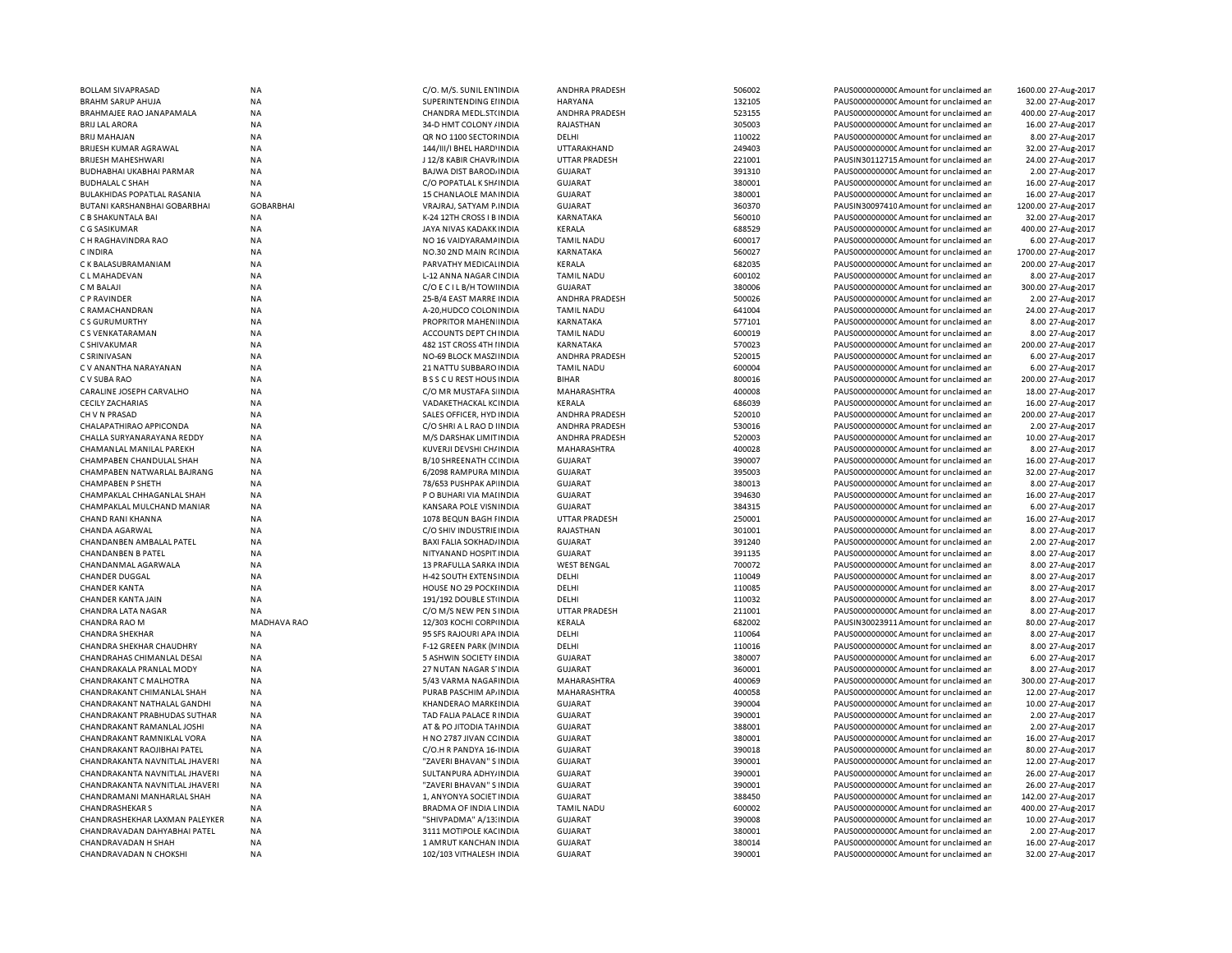| <b>BOLLAM SIVAPRASAD</b>       | <b>NA</b>          | C/O. M/S. SUNIL EN1INDIA       | ANDHRA PRADESH        | 506002 | PAUS0000000000 Amount for unclaimed ar | 1600.00 27-Aug-2017 |
|--------------------------------|--------------------|--------------------------------|-----------------------|--------|----------------------------------------|---------------------|
| <b>BRAHM SARUP AHUJA</b>       | <b>NA</b>          | SUPERINTENDING EIINDIA         | <b>HARYANA</b>        | 132105 | PAUS0000000000 Amount for unclaimed ar | 32.00 27-Aug-2017   |
| BRAHMAJEE RAO JANAPAMALA       | NA                 | CHANDRA MEDL.ST(INDIA          | ANDHRA PRADESH        | 523155 | PAUS0000000000 Amount for unclaimed ar | 400.00 27-Aug-2017  |
| <b>BRIJ LAL ARORA</b>          | ΝA                 | 34-D HMT COLONY / INDIA        | RAJASTHAN             | 305003 | PAUS0000000000 Amount for unclaimed ar | 16.00 27-Aug-2017   |
| <b>BRIJ MAHAJAN</b>            | <b>NA</b>          | QR NO 1100 SECTOR INDIA        | DELHI                 | 110022 | PAUS0000000000 Amount for unclaimed ar | 8.00 27-Aug-2017    |
| BRIJESH KUMAR AGRAWAL          | <b>NA</b>          | 144/III/I BHEL HARD' INDIA     | UTTARAKHAND           | 249403 | PAUS0000000000CAmount for unclaimed ar | 32.00 27-Aug-2017   |
| <b>BRIJESH MAHESHWARI</b>      | <b>NA</b>          | J 12/8 KABIR CHAVR INDIA       | <b>UTTAR PRADESH</b>  | 221001 | PAUSIN30112715 Amount for unclaimed ar | 24.00 27-Aug-2017   |
| BUDHABHAI UKABHAI PARMAR       | <b>NA</b>          | BAJWA DIST BAROD, INDIA        | <b>GUJARAT</b>        | 391310 | PAUS0000000000 Amount for unclaimed ar | 2.00 27-Aug-2017    |
| <b>BUDHALAL C SHAF</b>         | <b>NA</b>          | C/O POPATLAL K SH/ INDIA       | <b>GUJARAT</b>        | 380001 | PAUS0000000000 Amount for unclaimed ar | 16.00 27-Aug-2017   |
| BULAKHIDAS POPATLAL RASANIA    | <b>NA</b>          | 15 CHANLAOLE MANINDIA          | <b>GUJARAT</b>        | 380001 | PAUS0000000000 Amount for unclaimed ar | 16.00 27-Aug-2017   |
| BUTANI KARSHANBHAI GOBARBHAI   | <b>GOBARBHAI</b>   | VRAJRAJ, SATYAM P. INDIA       | <b>GUJARAT</b>        | 360370 | PAUSIN30097410 Amount for unclaimed ar | 1200.00 27-Aug-2017 |
| C B SHAKUNTALA BAI             | <b>NA</b>          | K-24 12TH CROSS I B INDIA      | KARNATAKA             | 560010 | PAUS0000000000CAmount for unclaimed ar | 32.00 27-Aug-2017   |
|                                |                    |                                |                       | 688529 |                                        | 400.00 27-Aug-2017  |
| C G SASIKUMAR                  | NA                 | JAYA NIVAS KADAKK INDIA        | KERALA                |        | PAUS0000000000CAmount for unclaimed ar |                     |
| C H RAGHAVINDRA RAO            | <b>NA</b>          | NO 16 VAIDYARAM / INDIA        | <b>TAMIL NADU</b>     | 600017 | PAUS0000000000CAmount for unclaimed ar | 6.00 27-Aug-2017    |
| C INDIRA                       | <b>NA</b>          | NO.30 2ND MAIN RCINDIA         | KARNATAKA             | 560027 | PAUS0000000000CAmount for unclaimed ar | 1700.00 27-Aug-2017 |
| C K BALASUBRAMANIAM            | <b>NA</b>          | PARVATHY MEDICALINDIA          | KERALA                | 682035 | PAUS0000000000CAmount for unclaimed ar | 200.00 27-Aug-2017  |
| C L MAHADEVAN                  | NA                 | L-12 ANNA NAGAR CINDIA         | <b>TAMIL NADU</b>     | 600102 | PAUS0000000000 Amount for unclaimed ar | 8.00 27-Aug-2017    |
| C M BALAJI                     | <b>NA</b>          | C/O E C I L B/H TOWINDIA       | <b>GUJARAT</b>        | 380006 | PAUS0000000000 Amount for unclaimed ar | 300.00 27-Aug-2017  |
| C P RAVINDER                   | <b>NA</b>          | 25-B/4 EAST MARRE INDIA        | ANDHRA PRADESH        | 500026 | PAUS0000000000 Amount for unclaimed ar | 2.00 27-Aug-2017    |
| C RAMACHANDRAN                 | <b>NA</b>          | A-20, HUDCO COLON IN DIA       | <b>TAMIL NADU</b>     | 641004 | PAUS0000000000CAmount for unclaimed ar | 24.00 27-Aug-2017   |
| C S GURUMURTHY                 | <b>NA</b>          | PROPRITOR MAHEN INDIA          | <b>KARNATAKA</b>      | 577101 | PAUS0000000000CAmount for unclaimed ar | 8.00 27-Aug-2017    |
| C S VENKATARAMAN               | <b>NA</b>          | ACCOUNTS DEPT CHINDIA          | <b>TAMIL NADU</b>     | 600019 | PAUS0000000000CAmount for unclaimed ar | 8.00 27-Aug-2017    |
| C SHIVAKUMAR                   | <b>NA</b>          | 482 1ST CROSS 4TH I INDIA      | KARNATAKA             | 570023 | PAUS0000000000CAmount for unclaimed an | 200.00 27-Aug-2017  |
| C SRINIVASAN                   | <b>NA</b>          | NO-69 BLOCK MASZI INDIA        | ANDHRA PRADESH        | 520015 | PAUS0000000000 Amount for unclaimed ar | 6.00 27-Aug-2017    |
| C V ANANTHA NARAYANAN          | <b>NA</b>          | 21 NATTU SUBBARO INDIA         | <b>TAMIL NADU</b>     | 600004 | PAUS0000000000 Amount for unclaimed ar | 6.00 27-Aug-2017    |
| C V SUBA RAO                   | <b>NA</b>          | <b>BSSCUREST HOUS INDIA</b>    | <b>BIHAR</b>          | 800016 | PAUS0000000000 Amount for unclaimed ar | 200.00 27-Aug-2017  |
| CARALINE JOSEPH CARVALHO       | <b>NA</b>          | C/O MR MUSTAFA S INDIA         | <b>MAHARASHTRA</b>    | 400008 | PAUS00000000000Amount for unclaimed ar | 18.00 27-Aug-2017   |
| <b>CECILY ZACHARIAS</b>        | <b>NA</b>          | VADAKETHACKAL KCINDIA          | KERALA                | 686039 | PAUS0000000000 Amount for unclaimed ar | 16.00 27-Aug-2017   |
| CH V N PRASAD                  | <b>NA</b>          | SALES OFFICER. HYD INDIA       | <b>ANDHRA PRADESH</b> | 520010 | PAUS0000000000 Amount for unclaimed ar | 200.00 27-Aug-2017  |
| CHALAPATHIRAO APPICONDA        | NA                 | C/O SHRI A L RAO D I INDIA     | <b>ANDHRA PRADESH</b> | 530016 | PAUS00000000000Amount for unclaimed ar | 2.00 27-Aug-2017    |
| CHALLA SURYANARAYANA REDDY     | <b>NA</b>          | M/S DARSHAK LIMIT INDIA        | ANDHRA PRADESH        | 520003 | PAUS0000000000 Amount for unclaimed ar | 10.00 27-Aug-2017   |
|                                |                    |                                |                       |        |                                        |                     |
| CHAMANLAL MANILAL PAREKH       | <b>NA</b>          | KUVERJI DEVSHI CH/ INDIA       | MAHARASHTRA           | 400028 | PAUS00000000000Amount for unclaimed ar | 8.00 27-Aug-2017    |
| CHAMPABEN CHANDULAL SHAH       | NA                 | B/10 SHREENATH CCINDIA         | <b>GUJARAT</b>        | 390007 | PAUS0000000000 Amount for unclaimed ar | 16.00 27-Aug-2017   |
| CHAMPABEN NATWARLAL BAJRANG    | NA                 | 6/2098 RAMPURA MINDIA          | <b>GUJARAT</b>        | 395003 | PAUS00000000000Amount for unclaimed ar | 32.00 27-Aug-2017   |
| <b>CHAMPABEN P SHETH</b>       | <b>NA</b>          | 78/653 PUSHPAK AP INDIA        | <b>GUJARAT</b>        | 380013 | PAUS0000000000 Amount for unclaimed ar | 8.00 27-Aug-2017    |
| CHAMPAKLAL CHHAGANLAL SHAH     | <b>NA</b>          | P O BUHARI VIA MAI INDIA       | <b>GUJARAT</b>        | 394630 | PAUS0000000000 Amount for unclaimed ar | 16.00 27-Aug-2017   |
| CHAMPAKLAL MULCHAND MANIAR     | <b>NA</b>          | KANSARA POLE VISNINDIA         | <b>GUJARAT</b>        | 384315 | PAUS0000000000CAmount for unclaimed ar | 6.00 27-Aug-2017    |
| CHAND RANI KHANNA              | NA                 | 1078 BEQUN BAGH FINDIA         | UTTAR PRADESH         | 250001 | PAUS0000000000 Amount for unclaimed ar | 16.00 27-Aug-2017   |
| CHANDA AGARWAL                 | <b>NA</b>          | C/O SHIV INDUSTRIE INDIA       | RAJASTHAN             | 301001 | PAUS0000000000CAmount for unclaimed ar | 8.00 27-Aug-2017    |
| CHANDANBEN AMBALAL PATEL       | <b>NA</b>          | <b>BAXI FALIA SOKHAD/INDIA</b> | <b>GUJARAT</b>        | 391240 | PAUS0000000000 Amount for unclaimed ar | 2.00 27-Aug-2017    |
| <b>CHANDANBEN B PATEL</b>      | <b>NA</b>          | NITYANAND HOSPIT INDIA         | <b>GUJARAT</b>        | 391135 | PAUS0000000000CAmount for unclaimed ar | 8.00 27-Aug-2017    |
| CHANDANMAL AGARWALA            | <b>NA</b>          | 13 PRAFULLA SARKA INDIA        | <b>WEST BENGAL</b>    | 700072 | PAUS0000000000CAmount for unclaimed ar | 8.00 27-Aug-2017    |
| <b>CHANDER DUGGAL</b>          | NA                 | H-42 SOUTH EXTENS INDIA        | DELHI                 | 110049 | PAUS0000000000CAmount for unclaimed ar | 8.00 27-Aug-2017    |
| <b>CHANDER KANTA</b>           | <b>NA</b>          | HOUSE NO 29 POCKLINDIA         | DELHI                 | 110085 | PAUS0000000000CAmount for unclaimed ar | 8.00 27-Aug-2017    |
| CHANDER KANTA JAIN             | NA                 | 191/192 DOUBLE STUNDIA         | DELHI                 | 110032 | PAUS0000000000CAmount for unclaimed ar | 8.00 27-Aug-2017    |
| <b>CHANDRA LATA NAGAR</b>      | <b>NA</b>          | C/O M/S NEW PEN SINDIA         | <b>UTTAR PRADESH</b>  | 211001 | PAUS0000000000 Amount for unclaimed ar | 8.00 27-Aug-2017    |
| CHANDRA RAO M                  | <b>MADHAVA RAO</b> | 12/303 KOCHI CORPINDIA         | KERALA                | 682002 | PAUSIN30023911 Amount for unclaimed ar | 80.00 27-Aug-2017   |
| <b>CHANDRA SHEKHAR</b>         | <b>NA</b>          | 95 SFS RAJOURI APA INDIA       | DELHI                 | 110064 | PAUS0000000000CAmount for unclaimed ar | 8.00 27-Aug-2017    |
| CHANDRA SHEKHAR CHAUDHRY       | <b>NA</b>          | F-12 GREEN PARK (N INDIA       | DELHI                 | 110016 | PAUS0000000000 Amount for unclaimed ar | 8.00 27-Aug-2017    |
| CHANDRAHAS CHIMANLAL DESAI     | <b>NA</b>          | 5 ASHWIN SOCIETY I INDIA       | <b>GUJARAT</b>        | 380007 | PAUS0000000000CAmount for unclaimed ar | 6.00 27-Aug-2017    |
| CHANDRAKALA PRANLAL MODY       | <b>NA</b>          | 27 NUTAN NAGAR S'INDIA         | GUJARAT               | 360001 | PAUS0000000000 Amount for unclaimed ar | 8.00 27-Aug-2017    |
|                                |                    |                                |                       | 400069 |                                        | 300.00 27-Aug-2017  |
| CHANDRAKANT C MALHOTRA         | <b>NA</b>          | 5/43 VARMA NAGAFINDIA          | MAHARASHTRA           |        | PAUS0000000000 Amount for unclaimed ar |                     |
| CHANDRAKANT CHIMANLAL SHAH     | <b>NA</b>          | PURAB PASCHIM AP. INDIA        | MAHARASHTRA           | 400058 | PAUS0000000000 Amount for unclaimed ar | 12.00 27-Aug-2017   |
| CHANDRAKANT NATHALAL GANDHI    | NA                 | KHANDERAO MARKI INDIA          | <b>GUJARAT</b>        | 390004 | PAUS0000000000CAmount for unclaimed ar | 10.00 27-Aug-2017   |
| CHANDRAKANT PRABHUDAS SUTHAR   | NA                 | TAD FALIA PALACE RINDIA        | <b>GUJARAT</b>        | 390001 | PAUS0000000000 Amount for unclaimed ar | 2.00 27-Aug-2017    |
| CHANDRAKANT RAMANLAL JOSHI     | <b>NA</b>          | AT & PO JITODIA TAHNDIA        | <b>GUJARAT</b>        | 388001 | PAUS0000000000 Amount for unclaimed ar | 2.00 27-Aug-2017    |
| CHANDRAKANT RAMNIKLAL VORA     | <b>NA</b>          | H NO 2787 JIVAN CC INDIA       | <b>GUJARAT</b>        | 380001 | PAUS0000000000CAmount for unclaimed an | 16.00 27-Aug-2017   |
| CHANDRAKANT RAOJIBHAI PATEL    | <b>NA</b>          | C/O.H R PANDYA 16- INDIA       | <b>GUJARAT</b>        | 390018 | PAUS0000000000 Amount for unclaimed ar | 80.00 27-Aug-2017   |
| CHANDRAKANTA NAVNITLAL JHAVERI | <b>NA</b>          | "ZAVERI BHAVAN" S INDIA        | <b>GUJARAT</b>        | 390001 | PAUS0000000000 Amount for unclaimed ar | 12.00 27-Aug-2017   |
| CHANDRAKANTA NAVNITLAL JHAVERI | <b>NA</b>          | SULTANPURA ADHY/INDIA          | <b>GUJARAT</b>        | 390001 | PAUS0000000000 Amount for unclaimed ar | 26.00 27-Aug-2017   |
| CHANDRAKANTA NAVNITLAL JHAVERI | <b>NA</b>          | "ZAVERI BHAVAN" S INDIA        | <b>GUJARAT</b>        | 390001 | PAUS0000000000 Amount for unclaimed ar | 26.00 27-Aug-2017   |
| CHANDRAMANI MANHARLAL SHAH     | <b>NA</b>          | 1, ANYONYA SOCIET INDIA        | <b>GUJARAT</b>        | 388450 | PAUS0000000000 Amount for unclaimed ar | 142.00 27-Aug-2017  |
| <b>CHANDRASHEKAR S</b>         | NA                 | BRADMA OF INDIA LINDIA         | <b>TAMIL NADU</b>     | 600002 | PAUS0000000000 Amount for unclaimed ar | 400.00 27-Aug-2017  |
| CHANDRASHEKHAR LAXMAN PALEYKER | ΝA                 | "SHIVPADMA" A/13: INDIA        | <b>GUJARAT</b>        | 390008 | PAUS00000000000Amount for unclaimed ar | 10.00 27-Aug-2017   |
| CHANDRAVADAN DAHYABHAI PATEL   | <b>NA</b>          | 3111 MOTIPOLE KACINDIA         | <b>GUJARAT</b>        | 380001 | PAUS0000000000 Amount for unclaimed ar | 2.00 27-Aug-2017    |
| CHANDRAVADAN H SHAH            | <b>NA</b>          | 1 AMRUT KANCHAN INDIA          | <b>GUJARAT</b>        | 380014 | PAUS0000000000 Amount for unclaimed ar | 16.00 27-Aug-2017   |
| CHANDRAVADAN N CHOKSHI         | <b>NA</b>          | 102/103 VITHALESH INDIA        | <b>GUJARAT</b>        | 390001 | PAUS0000000000 Amount for unclaimed ar | 32.00 27-Aug-2017   |
|                                |                    |                                |                       |        |                                        |                     |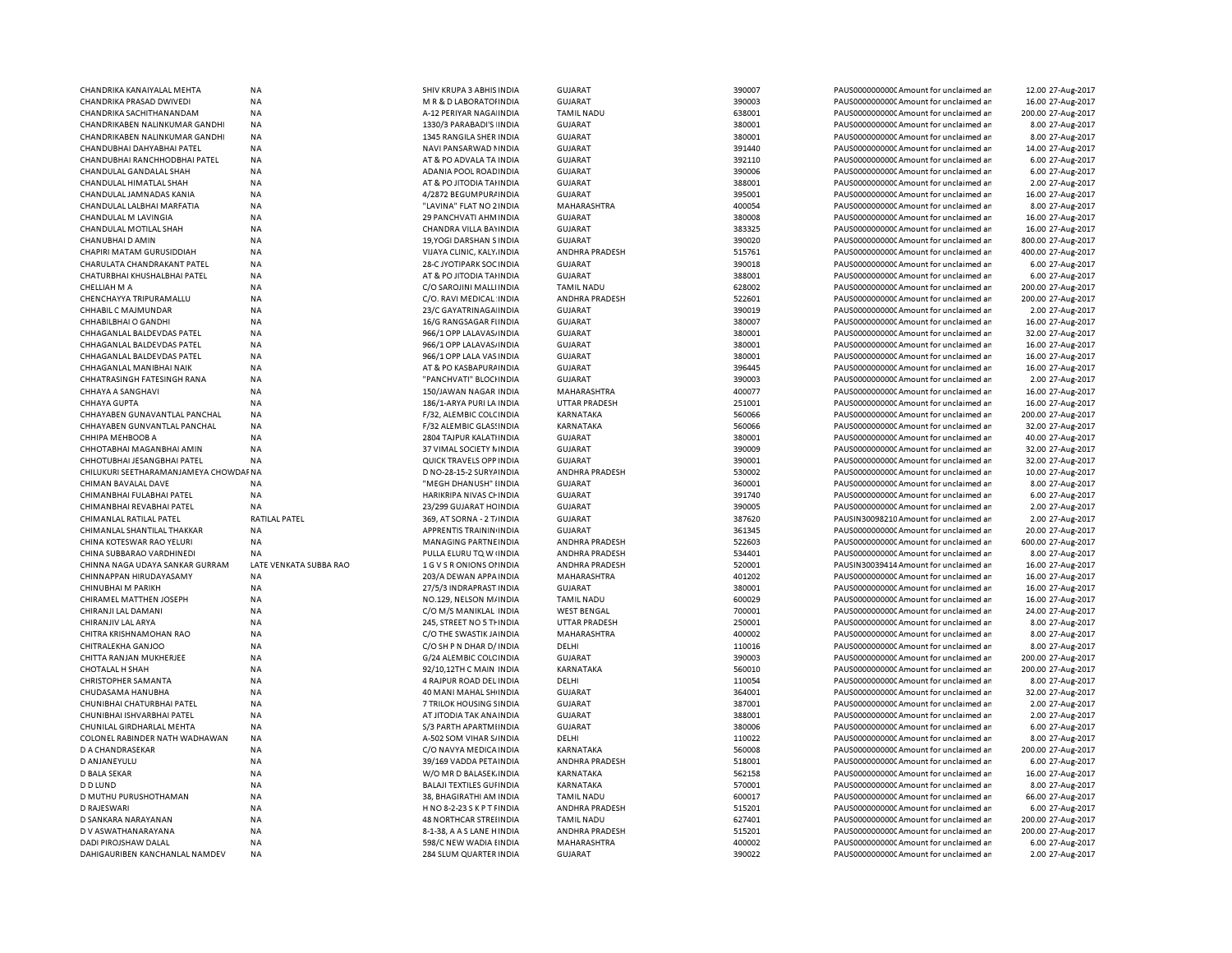| CHANDRIKA KANAIYALAL MEHTA            | ΝA                     | SHIV KRUPA 3 ABHIS INDIA         | GUJARAT              | 390007 | PAUS00000000000 Amount for unclaimed ar | 12.00 27-Aug-2017  |
|---------------------------------------|------------------------|----------------------------------|----------------------|--------|-----------------------------------------|--------------------|
| CHANDRIKA PRASAD DWIVEDI              | NA                     | M R & D LABORATOHNDIA            | GUJARAT              | 390003 | PAUS0000000000CAmount for unclaimed ar  | 16.00 27-Aug-2017  |
| CHANDRIKA SACHITHANANDAM              | <b>NA</b>              | A-12 PERIYAR NAGA INDIA          | <b>TAMIL NADU</b>    | 638001 | PAUS0000000000 Amount for unclaimed ar  | 200.00 27-Aug-2017 |
| CHANDRIKABEN NALINKUMAR GANDHI        | NA                     | 1330/3 PARABADI'S INDIA          | <b>GUJARAT</b>       | 380001 | PAUS0000000000 Amount for unclaimed an  | 8.00 27-Aug-2017   |
|                                       |                        |                                  |                      |        |                                         |                    |
| CHANDRIKABEN NALINKUMAR GANDHI        | NA                     | 1345 RANGILA SHER INDIA          | GUJARAT              | 380001 | PAUS0000000000 Amount for unclaimed ar  | 8.00 27-Aug-2017   |
| CHANDUBHAI DAHYABHAI PATEL            | <b>NA</b>              | NAVI PANSARWAD I INDIA           | GUJARAT              | 391440 | PAUS0000000000 Amount for unclaimed ar  | 14.00 27-Aug-2017  |
| CHANDUBHAI RANCHHODBHAI PATEL         | NA                     | AT & PO ADVALA TA INDIA          | <b>GUJARAT</b>       | 392110 | PAUS0000000000 Amount for unclaimed ar  | 6.00 27-Aug-2017   |
| CHANDULAL GANDALAL SHAH               | NA                     | ADANIA POOL ROAD INDIA           | <b>GUJARAT</b>       | 390006 | PAUS00000000000Amount for unclaimed ar  | 6.00 27-Aug-2017   |
| CHANDULAL HIMATLAL SHAH               | NA                     | AT & PO JITODIA TAHNDIA          | <b>GUJARAT</b>       | 388001 | PAUS0000000000 Amount for unclaimed ar  | 2.00 27-Aug-2017   |
| CHANDULAL JAMNADAS KANIA              | <b>NA</b>              | 4/2872 BEGUMPUR/ INDIA           | <b>GUJARAT</b>       | 395001 | PAUS0000000000 Amount for unclaimed ar  | 16.00 27-Aug-2017  |
|                                       |                        |                                  |                      |        |                                         |                    |
| CHANDULAL LALBHAI MARFATIA            | <b>NA</b>              | "LAVINA" FLAT NO 2 INDIA         | MAHARASHTRA          | 400054 | PAUS0000000000CAmount for unclaimed ar  | 8.00 27-Aug-2017   |
| CHANDULAL M LAVINGIA                  | <b>NA</b>              | 29 PANCHVATI AHM INDIA           | <b>GUJARAT</b>       | 380008 | PAUS0000000000C Amount for unclaimed ar | 16.00 27-Aug-2017  |
| CHANDULAL MOTILAL SHAH                | <b>NA</b>              | CHANDRA VILLA BAYINDIA           | GUJARAT              | 383325 | PAUS0000000000CAmount for unclaimed ar  | 16.00 27-Aug-2017  |
| CHANUBHAI D AMIN                      | <b>NA</b>              | 19, YOGI DARSHAN S INDIA         | <b>GUJARAT</b>       | 390020 | PAUS0000000000CAmount for unclaimed ar  | 800.00 27-Aug-2017 |
| CHAPIRI MATAM GURUSIDDIAH             | <b>NA</b>              | VIJAYA CLINIC, KALY INDIA        | ANDHRA PRADESH       | 515761 | PAUS0000000000 Amount for unclaimed ar  | 400.00 27-Aug-2017 |
| CHARULATA CHANDRAKANT PATEL           | <b>NA</b>              | 28-C JYOTIPARK SOC INDIA         | <b>GUJARAT</b>       | 390018 | PAUS0000000000CAmount for unclaimed ar  | 6.00 27-Aug-2017   |
|                                       |                        |                                  |                      |        |                                         |                    |
| CHATURBHAI KHUSHALBHAI PATEL          | NA                     | AT & PO JITODIA TAHNDIA          | <b>GUJARAT</b>       | 388001 | PAUS0000000000 Amount for unclaimed ar  | 6.00 27-Aug-2017   |
| CHELLIAH M A                          | <b>NA</b>              | C/O SAROJINI MALLI INDIA         | <b>TAMIL NADU</b>    | 628002 | PAUS0000000000CAmount for unclaimed ar  | 200.00 27-Aug-2017 |
| CHENCHAYYA TRIPURAMALLU               | <b>NA</b>              | C/O. RAVI MEDICAL INDIA          | ANDHRA PRADESH       | 522601 | PAUS0000000000 Amount for unclaimed ar  | 200.00 27-Aug-2017 |
| CHHABIL C MAJMUNDAR                   | <b>NA</b>              | 23/C GAYATRINAGA INDIA           | <b>GUJARAT</b>       | 390019 | PAUS0000000000 Amount for unclaimed ar  | 2.00 27-Aug-2017   |
| CHHABILBHAI O GANDHI                  | <b>NA</b>              | 16/G RANGSAGAR FIINDIA           | <b>GUJARAT</b>       | 380007 | PAUS0000000000 Amount for unclaimed ar  | 16.00 27-Aug-2017  |
| CHHAGANLAL BALDEVDAS PATEL            | <b>NA</b>              | 966/1 OPP LALAVAS/ INDIA         | <b>GUJARAT</b>       | 380001 | PAUS0000000000CAmount for unclaimed ar  | 32.00 27-Aug-2017  |
|                                       |                        |                                  |                      |        |                                         |                    |
| CHHAGANLAL BALDEVDAS PATEL            | <b>NA</b>              | 966/1 OPP LALAVAS/ INDIA         | GUJARAT              | 380001 | PAUS0000000000C Amount for unclaimed ar | 16.00 27-Aug-2017  |
| CHHAGANLAL BALDEVDAS PATEL            | <b>NA</b>              | 966/1 OPP LALA VAS INDIA         | <b>GUJARAT</b>       | 380001 | PAUS0000000000 Amount for unclaimed ar  | 16.00 27-Aug-2017  |
| CHHAGANLAL MANIBHAI NAIK              | NA                     | AT & PO KASBAPURA INDIA          | <b>GUJARAT</b>       | 396445 | PAUS0000000000C Amount for unclaimed ar | 16.00 27-Aug-2017  |
| CHHATRASINGH FATESINGH RANA           | <b>NA</b>              | "PANCHVATI" BLOCHNDIA            | <b>GUJARAT</b>       | 390003 | PAUS0000000000 Amount for unclaimed ar  | 2.00 27-Aug-2017   |
| CHHAYA A SANGHAVI                     | NA                     | 150/JAWAN NAGAR INDIA            | MAHARASHTRA          | 400077 | PAUS0000000000 Amount for unclaimed ar  | 16.00 27-Aug-2017  |
|                                       |                        |                                  |                      |        |                                         |                    |
| CHHAYA GUPTA                          | <b>NA</b>              | 186/1-ARYA PURI LA INDIA         | <b>UTTAR PRADESH</b> | 251001 | PAUS0000000000 Amount for unclaimed ar  | 16.00 27-Aug-2017  |
| CHHAYABEN GUNAVANTLAL PANCHAL         | NA                     | F/32, ALEMBIC COLCINDIA          | KARNATAKA            | 560066 | PAUS0000000000 Amount for unclaimed an  | 200.00 27-Aug-2017 |
| CHHAYABEN GUNVANTLAL PANCHAL          | NA                     | F/32 ALEMBIC GLASSINDIA          | KARNATAKA            | 560066 | PAUS0000000000 Amount for unclaimed ar  | 32.00 27-Aug-2017  |
| <b>CHHIPA MEHBOOB A</b>               | NA                     | 2804 TAJPUR KALATI INDIA         | <b>GUJARAT</b>       | 380001 | PAUS0000000000CAmount for unclaimed ar  | 40.00 27-Aug-2017  |
| CHHOTABHAI MAGANBHAI AMIN             | NA                     | 37 VIMAL SOCIETY N INDIA         | <b>GUJARAT</b>       | 390009 | PAUS0000000000 Amount for unclaimed ar  | 32.00 27-Aug-2017  |
| CHHOTUBHAI JESANGBHAI PATEL           | NA                     | QUICK TRAVELS OPP INDIA          | <b>GUJARAT</b>       | 390001 | PAUS00000000000Amount for unclaimed ar  | 32.00 27-Aug-2017  |
|                                       |                        |                                  |                      |        |                                         |                    |
| CHILUKURI SEETHARAMANJAMEYA CHOWDAFNA |                        | D NO-28-15-2 SURYA INDIA         | ANDHRA PRADESH       | 530002 | PAUS0000000000 Amount for unclaimed ar  | 10.00 27-Aug-2017  |
| CHIMAN BAVALAL DAVE                   | <b>NA</b>              | "MEGH DHANUSH" IINDIA            | GUJARAT              | 360001 | PAUS0000000000C Amount for unclaimed ar | 8.00 27-Aug-2017   |
| CHIMANBHAI FULABHAI PATEL             | <b>NA</b>              | HARIKRIPA NIVAS CHINDIA          | GUJARAT              | 391740 | PAUS0000000000CAmount for unclaimed ar  | 6.00 27-Aug-2017   |
| CHIMANBHAI REVABHAI PATEL             | <b>NA</b>              | 23/299 GUJARAT HC INDIA          | <b>GUJARAT</b>       | 390005 | PAUS0000000000 Amount for unclaimed ar  | 2.00 27-Aug-2017   |
| CHIMANLAL RATILAL PATEL               | <b>RATILAL PATEL</b>   | 369, AT SORNA - 2 T/INDIA        | <b>GUJARAT</b>       | 387620 | PAUSIN30098210 Amount for unclaimed ar  | 2.00 27-Aug-2017   |
| CHIMANLAL SHANTILAL THAKKAR           | NA                     | APPRENTIS TRAININ INDIA          | <b>GUJARAT</b>       | 361345 | PAUS0000000000 Amount for unclaimed ar  | 20.00 27-Aug-2017  |
|                                       |                        |                                  |                      |        |                                         |                    |
| CHINA KOTESWAR RAO YELURI             | <b>NA</b>              | MANAGING PARTNE INDIA            | ANDHRA PRADESH       | 522603 | PAUS0000000000CAmount for unclaimed ar  | 600.00 27-Aug-2017 |
| CHINA SUBBARAO VARDHINEDI             | <b>NA</b>              | PULLA ELURU TQ W (INDIA          | ANDHRA PRADESH       | 534401 | PAUS0000000000 Amount for unclaimed ar  | 8.00 27-Aug-2017   |
| CHINNA NAGA UDAYA SANKAR GURRAM       | LATE VENKATA SUBBA RAO | 1 G V S R ONIONS OF INDIA        | ANDHRA PRADESH       | 520001 | PAUSIN30039414 Amount for unclaimed ar  | 16.00 27-Aug-2017  |
| CHINNAPPAN HIRUDAYASAMY               | <b>NA</b>              | 203/A DEWAN APPAINDIA            | <b>MAHARASHTRA</b>   | 401202 | PAUS0000000000 Amount for unclaimed ar  | 16.00 27-Aug-2017  |
| CHINUBHAI M PARIKH                    | NA                     | 27/5/3 INDRAPRAST INDIA          | <b>GUJARAT</b>       | 380001 | PAUS0000000000CAmount for unclaimed ar  | 16.00 27-Aug-2017  |
| CHIRAMEL MATTHEN JOSEPH               | <b>NA</b>              |                                  | <b>TAMIL NADU</b>    | 600029 | PAUS0000000000 Amount for unclaimed ar  | 16.00 27-Aug-2017  |
|                                       |                        | NO.129, NELSON M/INDIA           |                      |        |                                         |                    |
| CHIRANJI LAL DAMANI                   | <b>NA</b>              | C/O M/S MANIKLAL INDIA           | <b>WEST BENGAL</b>   | 700001 | PAUS0000000000 Amount for unclaimed ar  | 24.00 27-Aug-2017  |
| CHIRANJIV LAL ARYA                    | <b>NA</b>              | 245, STREET NO 5 THINDIA         | <b>UTTAR PRADESH</b> | 250001 | PAUS0000000000CAmount for unclaimed ar  | 8.00 27-Aug-2017   |
| CHITRA KRISHNAMOHAN RAO               | NA                     | C/O THE SWASTIK JAINDIA          | MAHARASHTRA          | 400002 | PAUS0000000000 Amount for unclaimed ar  | 8.00 27-Aug-2017   |
| CHITRALEKHA GANJOO                    | <b>NA</b>              | C/O SH P N DHAR D/ INDIA         | DELHI                | 110016 | PAUS0000000000 Amount for unclaimed ar  | 8.00 27-Aug-2017   |
| CHITTA RANJAN MUKHERJEE               | NA                     | G/24 ALEMBIC COLC INDIA          | <b>GUJARAT</b>       | 390003 | PAUS0000000000 Amount for unclaimed ar  | 200.00 27-Aug-2017 |
| <b>CHOTALAL H SHAH</b>                | <b>NA</b>              | 92/10,12TH C MAIN INDIA          | <b>KARNATAKA</b>     | 560010 | PAUS0000000000 Amount for unclaimed ar  | 200.00 27-Aug-2017 |
|                                       |                        |                                  |                      |        |                                         |                    |
| <b>CHRISTOPHER SAMANTA</b>            | NA                     | 4 RAJPUR ROAD DEL INDIA          | DELHI                | 110054 | PAUS0000000000 Amount for unclaimed ar  | 8.00 27-Aug-2017   |
| CHUDASAMA HANUBHA                     | <b>NA</b>              | 40 MANI MAHAL SHINDIA            | <b>GUJARAT</b>       | 364001 | PAUS0000000000 Amount for unclaimed ar  | 32.00 27-Aug-2017  |
| CHUNIBHAI CHATURBHAI PATEL            | NA                     | 7 TRILOK HOUSING SINDIA          | <b>GUJARAT</b>       | 387001 | PAUS0000000000 Amount for unclaimed ar  | 2.00 27-Aug-2017   |
| CHUNIBHAI ISHVARBHAI PATEL            | NA                     | AT JITODIA TAK ANA INDIA         | <b>GUJARAT</b>       | 388001 | PAUS0000000000 Amount for unclaimed ar  | 2.00 27-Aug-2017   |
| CHUNILAL GIRDHARLAL MEHTA             | NA                     | S/3 PARTH APARTMIINDIA           | GUJARAT              | 380006 | PAUS0000000000CAmount for unclaimed ar  | 6.00 27-Aug-2017   |
| COLONEL RABINDER NATH WADHAWAN        | NA                     | A-502 SOM VIHAR S/INDIA          | DELHI                | 110022 | PAUS0000000000 Amount for unclaimed ar  | 8.00 27-Aug-2017   |
|                                       |                        |                                  |                      |        |                                         |                    |
| D A CHANDRASEKAR                      | ΝA                     | C/O NAVYA MEDICA INDIA           | KARNATAKA            | 560008 | PAUS0000000000C Amount for unclaimed ar | 200.00 27-Aug-2017 |
| D ANJANEYULU                          | NA                     | 39/169 VADDA PETAINDIA           | ANDHRA PRADESH       | 518001 | PAUS0000000000CAmount for unclaimed ar  | 6.00 27-Aug-2017   |
| D BALA SEKAR                          | <b>NA</b>              | W/O MR D BALASEK INDIA           | <b>KARNATAKA</b>     | 562158 | PAUS0000000000CAmount for unclaimed ar  | 16.00 27-Aug-2017  |
| <b>D D LUND</b>                       | <b>NA</b>              | <b>BALAJI TEXTILES GUI INDIA</b> | KARNATAKA            | 570001 | PAUS0000000000 Amount for unclaimed ar  | 8.00 27-Aug-2017   |
| D MUTHU PURUSHOTHAMAN                 | <b>NA</b>              | 38, BHAGIRATHI AM INDIA          | <b>TAMIL NADU</b>    | 600017 | PAUS0000000000 Amount for unclaimed ar  | 66.00 27-Aug-2017  |
|                                       |                        |                                  |                      |        |                                         |                    |
| D RAJESWARI                           | NA                     | H NO 8-2-23 S K P T FINDIA       | ANDHRA PRADESH       | 515201 | PAUS0000000000 Amount for unclaimed ar  | 6.00 27-Aug-2017   |
| D SANKARA NARAYANAN                   | <b>NA</b>              | <b>48 NORTHCAR STREIINDIA</b>    | <b>TAMIL NADU</b>    | 627401 | PAUS0000000000 Amount for unclaimed ar  | 200.00 27-Aug-2017 |
| D V ASWATHANARAYANA                   | <b>NA</b>              | 8-1-38, A A S LANE HINDIA        | ANDHRA PRADESH       | 515201 | PAUS0000000000 Amount for unclaimed ar  | 200.00 27-Aug-2017 |
| DADI PIROJSHAW DALAL                  | <b>NA</b>              | 598/C NEW WADIA I INDIA          | MAHARASHTRA          | 400002 | PAUS0000000000 Amount for unclaimed ar  | 6.00 27-Aug-2017   |
| DAHIGAURIBEN KANCHANLAL NAMDEV        | NA                     | 284 SLUM QUARTER INDIA           | <b>GUJARAT</b>       | 390022 | PAUS0000000000 Amount for unclaimed ar  | 2.00 27-Aug-2017   |
|                                       |                        |                                  |                      |        |                                         |                    |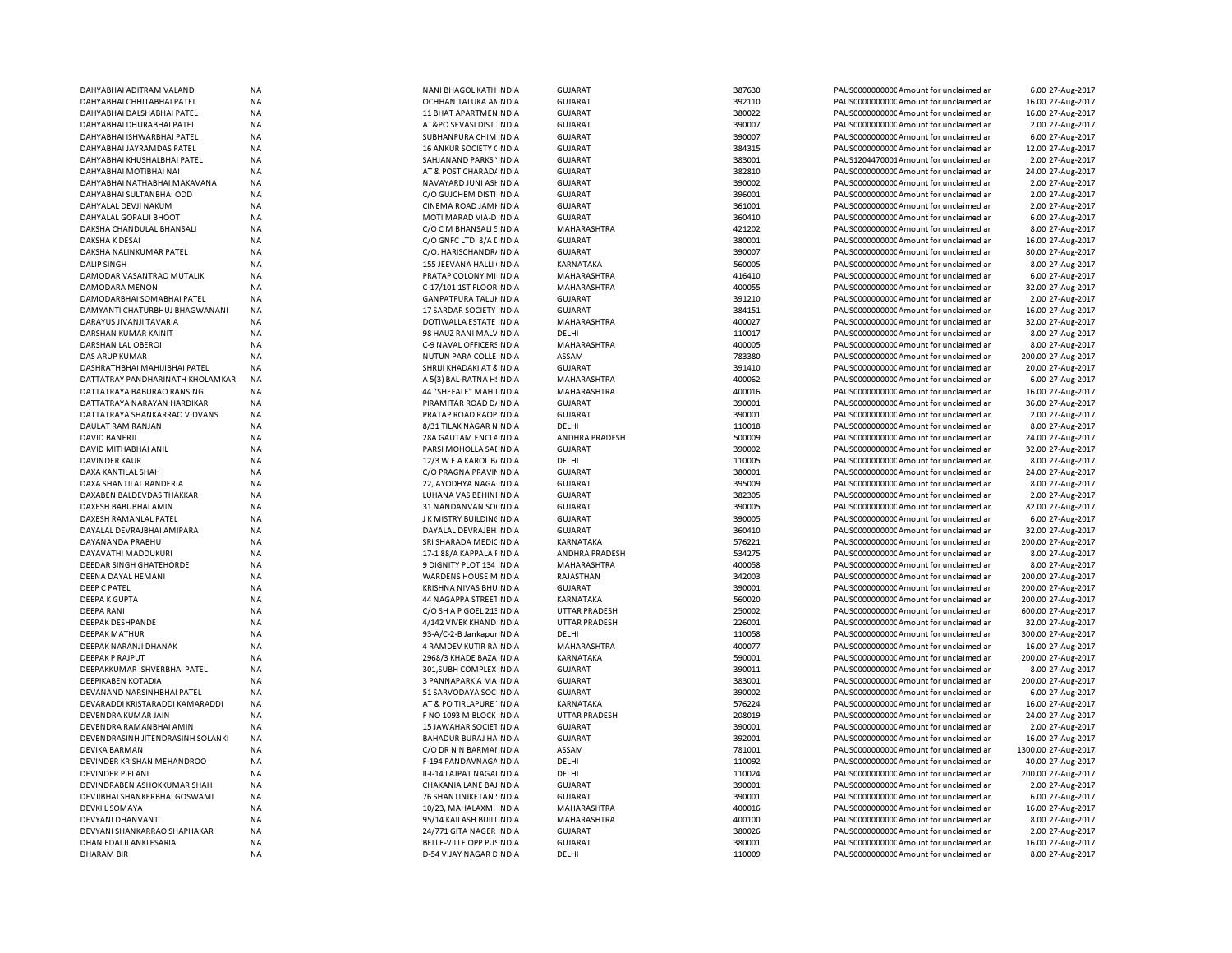| DAHYABHAI ADITRAM VALAND          | <b>NA</b> | NANI BHAGOL KATH INDIA      | GUJARAT               | 387630 | PAUS0000000000 Amount for unclaimed ar  | 6.00 27-Aug-2017    |
|-----------------------------------|-----------|-----------------------------|-----------------------|--------|-----------------------------------------|---------------------|
| DAHYABHAI CHHITABHAI PATEL        | NA        | OCHHAN TALUKA AN INDIA      | <b>GUJARAT</b>        | 392110 | PAUS0000000000 Amount for unclaimed ar  | 16.00 27-Aug-2017   |
| DAHYABHAI DALSHABHAI PATEL        | <b>NA</b> | 11 BHAT APARTMENINDIA       | <b>GUJARAT</b>        | 380022 | PAUS0000000000 Amount for unclaimed ar  | 16.00 27-Aug-2017   |
| DAHYABHAI DHURABHAI PATEL         | NA        | AT&PO SEVASI DIST INDIA     | <b>GUJARAT</b>        | 390007 | PAUS0000000000 Amount for unclaimed ar  | 2.00 27-Aug-2017    |
| DAHYABHAI ISHWARBHAI PATEL        | NA        | SUBHANPURA CHIM INDIA       | <b>GUJARAT</b>        | 390007 | PAUS0000000000 Amount for unclaimed ar  | 6.00 27-Aug-2017    |
| DAHYABHAI JAYRAMDAS PATEL         | NA        | 16 ANKUR SOCIETY (INDIA     | <b>GUJARAT</b>        | 384315 | PAUS0000000000 Amount for unclaimed ar  | 12.00 27-Aug-2017   |
| DAHYABHAI KHUSHALBHAI PATEL       | <b>NA</b> | SAHJANAND PARKS 'INDIA      | <b>GUJARAT</b>        | 383001 | PAUS1204470001Amount for unclaimed ar   | 2.00 27-Aug-2017    |
|                                   |           |                             |                       |        |                                         |                     |
| DAHYABHAI MOTIBHAI NAI            | NA        | AT & POST CHARAD/ INDIA     | GUJARAT               | 382810 | PAUS0000000000 Amount for unclaimed ar  | 24.00 27-Aug-2017   |
| DAHYABHAI NATHABHAI MAKAVANA      | NA        | NAVAYARD JUNI ASHNDIA       | <b>GUJARAT</b>        | 390002 | PAUS0000000000 Amount for unclaimed ar  | 2.00 27-Aug-2017    |
| DAHYABHAI SULTANBHAI ODD          | NA        | C/O GUJCHEM DISTI INDIA     | <b>GUJARAT</b>        | 396001 | PAUS0000000000 Amount for unclaimed ar  | 2.00 27-Aug-2017    |
| DAHYALAL DEVJI NAKUM              | NA        | CINEMA ROAD JAMHNDIA        | <b>GUJARAT</b>        | 361001 | PAUS0000000000 Amount for unclaimed ar  | 2.00 27-Aug-2017    |
| DAHYALAL GOPALJI BHOOT            | <b>NA</b> | MOTI MARAD VIA-D INDIA      | <b>GUJARAT</b>        | 360410 | PAUS0000000000CAmount for unclaimed ar  | 6.00 27-Aug-2017    |
| DAKSHA CHANDULAL BHANSALI         | NA        | C/O C M BHANSALI SINDIA     | MAHARASHTRA           | 421202 | PAUS0000000000 Amount for unclaimed ar  | 8.00 27-Aug-2017    |
| <b>DAKSHA K DESAI</b>             | <b>NA</b> | C/O GNFC LTD. 8/A LINDIA    | <b>GUJARAT</b>        | 380001 | PAUS0000000000CAmount for unclaimed ar  | 16.00 27-Aug-2017   |
| DAKSHA NALINKUMAR PATEL           | NA        | C/O. HARISCHANDR/ INDIA     | <b>GUJARAT</b>        | 390007 | PAUS0000000000 Amount for unclaimed ar  | 80.00 27-Aug-2017   |
| <b>DALIP SINGH</b>                | <b>NA</b> | 155 JEEVANA HALLI INDIA     | <b>KARNATAKA</b>      | 560005 | PAUS0000000000 Amount for unclaimed ar  | 8.00 27-Aug-2017    |
| DAMODAR VASANTRAO MUTALIK         | ΝA        | PRATAP COLONY MI INDIA      | MAHARASHTRA           | 416410 | PAUS0000000000C Amount for unclaimed ar | 6.00 27-Aug-2017    |
| DAMODARA MENON                    | NA        | C-17/101 1ST FLOOR INDIA    | MAHARASHTRA           | 400055 | PAUS0000000000 Amount for unclaimed ar  | 32.00 27-Aug-2017   |
|                                   |           |                             |                       |        |                                         |                     |
| DAMODARBHAI SOMABHAI PATEL        | NA        | <b>GANPATPURA TALUHNDIA</b> | GUJARAT               | 391210 | PAUS0000000000C Amount for unclaimed ar | 2.00 27-Aug-2017    |
| DAMYANTI CHATURBHUJ BHAGWANANI    | NA        | 17 SARDAR SOCIETY INDIA     | <b>GUJARAT</b>        | 384151 | PAUS0000000000 Amount for unclaimed ar  | 16.00 27-Aug-2017   |
| DARAYUS JIVANJI TAVARIA           | NA        | DOTIWALLA ESTATE INDIA      | MAHARASHTRA           | 400027 | PAUS0000000000 Amount for unclaimed ar  | 32.00 27-Aug-2017   |
| DARSHAN KUMAR KAINIT              | NA        | 98 HAUZ RANI MALVINDIA      | DELHI                 | 110017 | PAUS0000000000 Amount for unclaimed ar  | 8.00 27-Aug-2017    |
| DARSHAN LAL OBEROI                | <b>NA</b> | C-9 NAVAL OFFICERS INDIA    | MAHARASHTRA           | 400005 | PAUS0000000000CAmount for unclaimed ar  | 8.00 27-Aug-2017    |
| DAS ARUP KUMAR                    | <b>NA</b> | NUTUN PARA COLLE INDIA      | ASSAM                 | 783380 | PAUS0000000000CAmount for unclaimed ar  | 200.00 27-Aug-2017  |
| DASHRATHBHAI MAHIJIBHAI PATEL     | <b>NA</b> | SHRIJI KHADAKI AT 8 INDIA   | GUJARAT               | 391410 | PAUS0000000000CAmount for unclaimed ar  | 20.00 27-Aug-2017   |
| DATTATRAY PANDHARINATH KHOLAMKAR  | <b>NA</b> | A 5(3) BAL-RATNA H: INDIA   | MAHARASHTRA           | 400062 | PAUS0000000000CAmount for unclaimed ar  | 6.00 27-Aug-2017    |
| DATTATRAYA BABURAO RANSING        | <b>NA</b> | 44 "SHEFALE" MAHII INDIA    | MAHARASHTRA           | 400016 | PAUS0000000000 Amount for unclaimed ar  | 16.00 27-Aug-2017   |
|                                   |           |                             |                       |        |                                         |                     |
| DATTATRAYA NARAYAN HARDIKAR       | <b>NA</b> | PIRAMITAR ROAD D/ INDIA     | GUJARAT               | 390001 | PAUS0000000000CAmount for unclaimed ar  | 36.00 27-Aug-2017   |
| DATTATRAYA SHANKARRAO VIDVANS     | NA        | PRATAP ROAD RAOP INDIA      | GUJARAT               | 390001 | PAUS0000000000CAmount for unclaimed ar  | 2.00 27-Aug-2017    |
| DAULAT RAM RANJAN                 | <b>NA</b> | 8/31 TILAK NAGAR NINDIA     | DELHI                 | 110018 | PAUS0000000000CAmount for unclaimed ar  | 8.00 27-Aug-2017    |
| <b>DAVID BANERJI</b>              | <b>NA</b> | <b>28A GAUTAM ENCLINDIA</b> | <b>ANDHRA PRADESH</b> | 500009 | PAUS0000000000 Amount for unclaimed ar  | 24.00 27-Aug-2017   |
| DAVID MITHABHAI ANIL              | <b>NA</b> | PARSI MOHOLLA SAI INDIA     | <b>GUJARAT</b>        | 390002 | PAUS0000000000C Amount for unclaimed ar | 32.00 27-Aug-2017   |
| <b>DAVINDER KAUR</b>              | <b>NA</b> | 12/3 W E A KAROL B INDIA    | DELHI                 | 110005 | PAUS0000000000 Amount for unclaimed ar  | 8.00 27-Aug-2017    |
| DAXA KANTILAL SHAH                | <b>NA</b> | C/O PRAGNA PRAVILINDIA      | GUJARAT               | 380001 | PAUS0000000000CAmount for unclaimed ar  | 24.00 27-Aug-2017   |
| DAXA SHANTILAL RANDERIA           | <b>NA</b> | 22. AYODHYA NAGA INDIA      | <b>GUJARAT</b>        | 395009 | PAUS0000000000 Amount for unclaimed ar  | 8.00 27-Aug-2017    |
| DAXABEN BALDEVDAS THAKKAR         | <b>NA</b> | LUHANA VAS BEHINIINDIA      | GUJARAT               | 382305 | PAUS0000000000 Amount for unclaimed ar  | 2.00 27-Aug-2017    |
| DAXESH BABUBHAI AMIN              | <b>NA</b> | 31 NANDANVAN SO INDIA       | GUJARAT               | 390005 | PAUS0000000000 Amount for unclaimed ar  | 82.00 27-Aug-2017   |
|                                   | <b>NA</b> | J K MISTRY BUILDIN(INDIA    |                       | 390005 |                                         | 6.00 27-Aug-2017    |
| DAXESH RAMANLAL PATEL             |           |                             | <b>GUJARAT</b>        |        | PAUS0000000000CAmount for unclaimed ar  |                     |
| DAYALAL DEVRAJBHAI AMIPARA        | <b>NA</b> | DAYALAL DEVRAJBH INDIA      | <b>GUJARAT</b>        | 360410 | PAUS0000000000CAmount for unclaimed ar  | 32.00 27-Aug-2017   |
| DAYANANDA PRABHU                  | <b>NA</b> | SRI SHARADA MEDICINDIA      | <b>KARNATAKA</b>      | 576221 | PAUS0000000000CAmount for unclaimed an  | 200.00 27-Aug-2017  |
| DAYAVATHI MADDUKURI               | <b>NA</b> | 17-1 88/A KAPPALA I INDIA   | ANDHRA PRADESH        | 534275 | PAUS0000000000CAmount for unclaimed ar  | 8.00 27-Aug-2017    |
| <b>DEEDAR SINGH GHATEHORDE</b>    | <b>NA</b> | 9 DIGNITY PLOT 134 INDIA    | <b>MAHARASHTRA</b>    | 400058 | PAUS0000000000 Amount for unclaimed ar  | 8.00 27-Aug-2017    |
| DEENA DAYAL HEMANI                | NA        | WARDENS HOUSE MINDIA        | RAJASTHAN             | 342003 | PAUS0000000000 Amount for unclaimed ar  | 200.00 27-Aug-2017  |
| <b>DEEP C PATEL</b>               | <b>NA</b> | KRISHNA NIVAS BHUINDIA      | <b>GUJARAT</b>        | 390001 | PAUS0000000000 Amount for unclaimed ar  | 200.00 27-Aug-2017  |
| <b>DEEPA K GUPTA</b>              | NA        | 44 NAGAPPA STREETINDIA      | KARNATAKA             | 560020 | PAUS0000000000 Amount for unclaimed ar  | 200.00 27-Aug-2017  |
| <b>DEEPA RANI</b>                 | <b>NA</b> | C/O SH A P GOEL 21: INDIA   | <b>UTTAR PRADESH</b>  | 250002 | PAUS0000000000 Amount for unclaimed ar  | 600.00 27-Aug-2017  |
| DEEPAK DESHPANDE                  | NA        | 4/142 VIVEK KHAND INDIA     | <b>UTTAR PRADESH</b>  | 226001 | PAUS0000000000 Amount for unclaimed ar  | 32.00 27-Aug-2017   |
| <b>DEEPAK MATHUR</b>              | NA        | 93-A/C-2-B Jankapur INDIA   | DELHI                 | 110058 | PAUS0000000000 Amount for unclaimed ar  | 300.00 27-Aug-2017  |
|                                   |           |                             |                       |        |                                         |                     |
| DEEPAK NARANJI DHANAK             | NA        | 4 RAMDEV KUTIR RAINDIA      | MAHARASHTRA           | 400077 | PAUS0000000000 Amount for unclaimed ar  | 16.00 27-Aug-2017   |
| DEEPAK P RAJPUT                   | NA        | 2968/3 KHADE BAZA INDIA     | KARNATAKA             | 590001 | PAUS0000000000 Amount for unclaimed ar  | 200.00 27-Aug-2017  |
| DEEPAKKUMAR ISHVERBHAI PATEL      | NA        | 301, SUBH COMPLEX INDIA     | GUJARAT               | 390011 | PAUS0000000000 Amount for unclaimed ar  | 8.00 27-Aug-2017    |
| DEEPIKABEN KOTADIA                | NA        | 3 PANNAPARK A MAINDIA       | <b>GUJARAT</b>        | 383001 | PAUS0000000000 Amount for unclaimed ar  | 200.00 27-Aug-2017  |
| DEVANAND NARSINHBHAI PATEL        | NA        | 51 SARVODAYA SOC INDIA      | <b>GUJARAT</b>        | 390002 | PAUS0000000000 Amount for unclaimed ar  | 6.00 27-Aug-2017    |
| DEVARADDI KRISTARADDI KAMARADDI   | NA        | AT & PO TIRLAPURE INDIA     | KARNATAKA             | 576224 | PAUS0000000000 Amount for unclaimed ar  | 16.00 27-Aug-2017   |
| DEVENDRA KUMAR JAIN               | <b>NA</b> | F NO 1093 M BLOCK INDIA     | <b>UTTAR PRADESH</b>  | 208019 | PAUS0000000000CAmount for unclaimed ar  | 24.00 27-Aug-2017   |
| DEVENDRA RAMANBHAI AMIN           | NA        | 15 JAWAHAR SOCIETINDIA      | <b>GUJARAT</b>        | 390001 | PAUS0000000000 Amount for unclaimed ar  | 2.00 27-Aug-2017    |
| DEVENDRASINH JITENDRASINH SOLANKI | <b>NA</b> | BAHADUR BURAJ HA INDIA      | GUJARAT               | 392001 | PAUS0000000000CAmount for unclaimed ar  | 16.00 27-Aug-2017   |
|                                   |           |                             |                       |        |                                         | 1300.00 27-Aug-2017 |
| DEVIKA BARMAN                     | NA        | C/O DR N N BARMAI INDIA     | ASSAM                 | 781001 | PAUS0000000000 Amount for unclaimed ar  |                     |
| DEVINDER KRISHAN MEHANDROO        | NA        | F-194 PANDAVNAGAINDIA       | DELHI                 | 110092 | PAUS0000000000 Amount for unclaimed ar  | 40.00 27-Aug-2017   |
| <b>DEVINDER PIPLANI</b>           | NA        | II-I-14 LAJPAT NAGAHNDIA    | DELHI                 | 110024 | PAUS0000000000 Amount for unclaimed ar  | 200.00 27-Aug-2017  |
| DEVINDRABEN ASHOKKUMAR SHAH       | <b>NA</b> | CHAKANIA LANE BAJINDIA      | <b>GUJARAT</b>        | 390001 | PAUS0000000000 Amount for unclaimed ar  | 2.00 27-Aug-2017    |
| DEVJIBHAI SHANKERBHAI GOSWAMI     | <b>NA</b> | 76 SHANTINIKETAN : INDIA    | GUJARAT               | 390001 | PAUS0000000000C Amount for unclaimed ar | 6.00 27-Aug-2017    |
| DEVKI L SOMAYA                    | <b>NA</b> | 10/23, MAHALAXMI INDIA      | MAHARASHTRA           | 400016 | PAUS0000000000 Amount for unclaimed ar  | 16.00 27-Aug-2017   |
| DEVYANI DHANVANT                  | <b>NA</b> | 95/14 KAILASH BUILI INDIA   | MAHARASHTRA           | 400100 | PAUS0000000000 Amount for unclaimed ar  | 8.00 27-Aug-2017    |
| DEVYANI SHANKARRAO SHAPHAKAR      | <b>NA</b> | 24/771 GITA NAGER INDIA     | <b>GUJARAT</b>        | 380026 | PAUS0000000000 Amount for unclaimed ar  | 2.00 27-Aug-2017    |
| DHAN EDALJI ANKLESARIA            | <b>NA</b> | BELLE-VILLE OPP PU! INDIA   | <b>GUJARAT</b>        | 380001 | PAUS0000000000C Amount for unclaimed ar | 16.00 27-Aug-2017   |
| <b>DHARAM BIR</b>                 | NA        | D-54 VIJAY NAGAR CINDIA     | DELHI                 | 110009 | PAUS0000000000C Amount for unclaimed ar | 8.00 27-Aug-2017    |
|                                   |           |                             |                       |        |                                         |                     |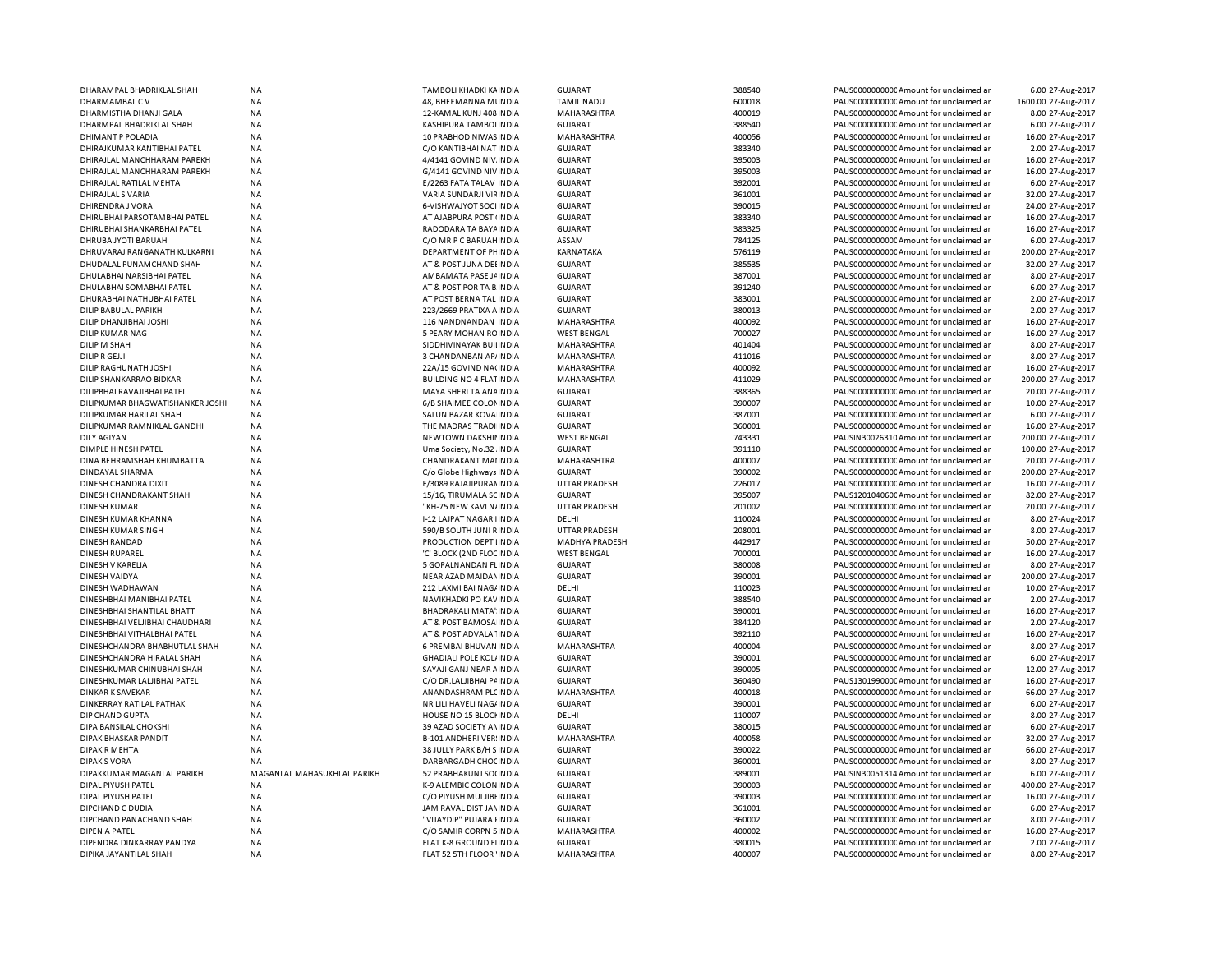| DHARAMPAL BHADRIKLAL SHAH                    | <b>NA</b>                   | TAMBOLI KHADKI KA INDIA         | <b>GUJARAT</b>        | 388540 | PAUS0000000000C Amount for unclaimed ar                                           | 6.00 27-Aug-2017    |
|----------------------------------------------|-----------------------------|---------------------------------|-----------------------|--------|-----------------------------------------------------------------------------------|---------------------|
| DHARMAMBAL CV                                | NA                          | 48, BHEEMANNA MUNDIA            | <b>TAMIL NADU</b>     | 600018 | PAUS0000000000 Amount for unclaimed ar                                            | 1600.00 27-Aug-2017 |
| DHARMISTHA DHANJI GALA                       | <b>NA</b>                   | 12-KAMAL KUNJ 408 INDIA         | MAHARASHTRA           | 400019 | PAUS0000000000 Amount for unclaimed an                                            | 8.00 27-Aug-2017    |
| DHARMPAL BHADRIKLAL SHAH                     | NA                          | KASHIPURA TAMBOLINDIA           | <b>GUJARAT</b>        | 388540 | PAUS0000000000 Amount for unclaimed ar                                            | 6.00 27-Aug-2017    |
| DHIMANT P POLADIA                            | <b>NA</b>                   | 10 PRABHOD NIWAS INDIA          | MAHARASHTRA           | 400056 | PAUS0000000000CAmount for unclaimed ar                                            | 16.00 27-Aug-2017   |
| DHIRAJKUMAR KANTIBHAI PATEL                  | <b>NA</b>                   | C/O KANTIBHAI NAT INDIA         | <b>GUJARAT</b>        | 383340 | PAUS0000000000 Amount for unclaimed ar                                            | 2.00 27-Aug-2017    |
| DHIRAJLAL MANCHHARAM PAREKH                  | <b>NA</b>                   | 4/4141 GOVIND NIV INDIA         | <b>GUJARAT</b>        | 395003 | PAUS0000000000CAmount for unclaimed ar                                            | 16.00 27-Aug-2017   |
| DHIRAJLAL MANCHHARAM PAREKH                  | <b>NA</b>                   | G/4141 GOVIND NIVINDIA          | GUJARAT               | 395003 | PAUS0000000000 Amount for unclaimed ar                                            | 16.00 27-Aug-2017   |
|                                              | <b>NA</b>                   | E/2263 FATA TALAV INDIA         | GUJARAT               | 392001 |                                                                                   | 6.00 27-Aug-2017    |
| DHIRAJLAL RATILAL MEHTA<br>DHIRAJLAL S VARIA | <b>NA</b>                   | VARIA SUNDARJI VIFINDIA         | <b>GUJARAT</b>        | 361001 | PAUS0000000000C Amount for unclaimed ar<br>PAUS0000000000 Amount for unclaimed ar |                     |
|                                              |                             |                                 |                       |        |                                                                                   | 32.00 27-Aug-2017   |
| DHIRENDRA J VORA                             | <b>NA</b>                   | 6-VISHWAJYOT SOCI INDIA         | <b>GUJARAT</b>        | 390015 | PAUS0000000000 Amount for unclaimed an                                            | 24.00 27-Aug-2017   |
| DHIRUBHAI PARSOTAMBHAI PATEL                 | <b>NA</b>                   | AT AJABPURA POST (INDIA         | <b>GUJARAT</b>        | 383340 | PAUS0000000000 Amount for unclaimed an                                            | 16.00 27-Aug-2017   |
| DHIRUBHAI SHANKARBHAI PATEL                  | <b>NA</b>                   | RADODARA TA BAYA INDIA          | <b>GUJARAT</b>        | 383325 | PAUS0000000000 Amount for unclaimed ar                                            | 16.00 27-Aug-2017   |
| DHRUBA JYOTI BARUAH                          | <b>NA</b>                   | C/O MR P C BARUAH INDIA         | ASSAM                 | 784125 | PAUS0000000000 Amount for unclaimed ar                                            | 6.00 27-Aug-2017    |
| DHRUVARAJ RANGANATH KULKARNI                 | <b>NA</b>                   | DEPARTMENT OF PHINDIA           | KARNATAKA             | 576119 | PAUS00000000000 Amount for unclaimed an                                           | 200.00 27-Aug-2017  |
| DHUDALAL PUNAMCHAND SHAH                     | <b>NA</b>                   | AT & POST JUNA DEHNDIA          | GUJARAT               | 385535 | PAUS00000000000 Amount for unclaimed an                                           | 32.00 27-Aug-2017   |
| DHULABHAI NARSIBHAI PATEL                    | <b>NA</b>                   | AMBAMATA PASE J/ INDIA          | GUJARAT               | 387001 | PAUS0000000000 Amount for unclaimed ar                                            | 8.00 27-Aug-2017    |
| DHULABHAI SOMABHAI PATEL                     | <b>NA</b>                   | AT & POST POR TA B INDIA        | <b>GUJARAT</b>        | 391240 | PAUS0000000000 Amount for unclaimed ar                                            | 6.00 27-Aug-2017    |
| DHURABHAI NATHUBHAI PATEL                    | <b>NA</b>                   | AT POST BERNA TAL INDIA         | <b>GUJARAT</b>        | 383001 | PAUS0000000000CAmount for unclaimed an                                            | 2.00 27-Aug-2017    |
| DILIP BABULAL PARIKH                         | NA                          | 223/2669 PRATIXA A INDIA        | <b>GUJARAT</b>        | 380013 | PAUS0000000000 Amount for unclaimed ar                                            | 2.00 27-Aug-2017    |
| DILIP DHANJIBHAI JOSHI                       | <b>NA</b>                   | 116 NANDNANDAN INDIA            | MAHARASHTRA           | 400092 | PAUS0000000000CAmount for unclaimed an                                            | 16.00 27-Aug-2017   |
| DILIP KUMAR NAG                              | NA                          | 5 PEARY MOHAN RCINDIA           | <b>WEST BENGAL</b>    | 700027 | PAUS0000000000 Amount for unclaimed ar                                            | 16.00 27-Aug-2017   |
| DILIP M SHAH                                 | <b>NA</b>                   | SIDDHIVINAYAK BUILINDIA         | MAHARASHTRA           | 401404 | PAUS0000000000 Amount for unclaimed ar                                            | 8.00 27-Aug-2017    |
| DILIP R GEJJI                                | NA                          | 3 CHANDANBAN AP/INDIA           | MAHARASHTRA           | 411016 | PAUS0000000000C Amount for unclaimed ar                                           | 8.00 27-Aug-2017    |
| DILIP RAGHUNATH JOSHI                        | NA                          | 22A/15 GOVIND NA(INDIA          | MAHARASHTRA           | 400092 | PAUS0000000000 Amount for unclaimed ar                                            | 16.00 27-Aug-2017   |
|                                              |                             |                                 |                       |        |                                                                                   | 200.00 27-Aug-2017  |
| DILIP SHANKARRAO BIDKAR                      | ΝA                          | <b>BUILDING NO 4 FLATINDIA</b>  | MAHARASHTRA           | 411029 | PAUS0000000000C Amount for unclaimed ar                                           |                     |
| DILIPBHAI RAVAJIBHAI PATEL                   | <b>NA</b>                   | MAYA SHERI TA ANA INDIA         | GUJARAT               | 388365 | PAUS0000000000 Amount for unclaimed ar                                            | 20.00 27-Aug-2017   |
| DILIPKUMAR BHAGWATISHANKER JOSHI             | <b>NA</b>                   | 6/B SHAIMEE COLONINDIA          | GUJARAT               | 390007 | PAUS0000000000 Amount for unclaimed an                                            | 10.00 27-Aug-2017   |
| DILIPKUMAR HARILAL SHAH                      | <b>NA</b>                   | SALUN BAZAR KOVA INDIA          | GUJARAT               | 387001 | PAUS0000000000 Amount for unclaimed ar                                            | 6.00 27-Aug-2017    |
| DILIPKUMAR RAMNIKLAL GANDHI                  | NA                          | THE MADRAS TRADI INDIA          | <b>GUJARAT</b>        | 360001 | PAUS0000000000CAmount for unclaimed ar                                            | 16.00 27-Aug-2017   |
| <b>DILY AGIYAN</b>                           | <b>NA</b>                   | NEWTOWN DAKSHII INDIA           | <b>WEST BENGAL</b>    | 743331 | PAUSIN30026310 Amount for unclaimed ar                                            | 200.00 27-Aug-2017  |
| DIMPLE HINESH PATEL                          | <b>NA</b>                   | Uma Society, No.32 INDIA        | <b>GUJARAT</b>        | 391110 | PAUS0000000000 Amount for unclaimed ar                                            | 100.00 27-Aug-2017  |
| DINA BEHRAMSHAH KHUMBATTA                    | <b>NA</b>                   | CHANDRAKANT MAI INDIA           | MAHARASHTRA           | 400007 | PAUS0000000000 Amount for unclaimed ar                                            | 20.00 27-Aug-2017   |
| DINDAYAL SHARMA                              | <b>NA</b>                   | C/o Globe Highways INDIA        | <b>GUJARAT</b>        | 390002 | PAUS0000000000 Amount for unclaimed ar                                            | 200.00 27-Aug-2017  |
| DINESH CHANDRA DIXIT                         | <b>NA</b>                   | F/3089 RAJAJIPURAMNDIA          | <b>UTTAR PRADESH</b>  | 226017 | PAUS0000000000 Amount for unclaimed ar                                            | 16.00 27-Aug-2017   |
| DINESH CHANDRAKANT SHAH                      | <b>NA</b>                   | 15/16, TIRUMALA SCINDIA         | <b>GUJARAT</b>        | 395007 | PAUS1201040600 Amount for unclaimed ar                                            | 82.00 27-Aug-2017   |
| <b>DINESH KUMAR</b>                          | NA                          | "KH-75 NEW KAVI N/INDIA         | <b>UTTAR PRADESH</b>  | 201002 | PAUS0000000000 Amount for unclaimed an                                            | 20.00 27-Aug-2017   |
| DINESH KUMAR KHANNA                          | <b>NA</b>                   | <b>I-12 LAJPAT NAGAR IINDIA</b> | DELHI                 | 110024 | PAUS0000000000 Amount for unclaimed ar                                            | 8.00 27-Aug-2017    |
| DINESH KUMAR SINGH                           | NA                          | 590/B SOUTH JUNI RINDIA         | <b>UTTAR PRADESH</b>  | 208001 | PAUS0000000000 Amount for unclaimed ar                                            | 8.00 27-Aug-2017    |
| <b>DINESH RANDAD</b>                         | <b>NA</b>                   | PRODUCTION DEPT IINDIA          | <b>MADHYA PRADESH</b> | 442917 | PAUS0000000000 Amount for unclaimed ar                                            | 50.00 27-Aug-2017   |
| <b>DINESH RUPAREL</b>                        | NA                          | 'C' BLOCK (2ND FLOCINDIA        | <b>WEST BENGAL</b>    | 700001 | PAUS0000000000 Amount for unclaimed ar                                            | 16.00 27-Aug-2017   |
| DINESH V KARELIA                             | <b>NA</b>                   | 5 GOPALNANDAN FLINDIA           | <b>GUJARAT</b>        | 380008 | PAUS0000000000 Amount for unclaimed ar                                            | 8.00 27-Aug-2017    |
| DINESH VAIDYA                                | <b>NA</b>                   | NEAR AZAD MAIDAN INDIA          | <b>GUJARAT</b>        | 390001 | PAUS0000000000C Amount for unclaimed ar                                           | 200.00 27-Aug-2017  |
|                                              |                             |                                 |                       | 110023 |                                                                                   |                     |
| DINESH WADHAWAN                              | <b>NA</b>                   | 212 LAXMI BAI NAG/INDIA         | DELHI                 |        | PAUS0000000000 Amount for unclaimed ar                                            | 10.00 27-Aug-2017   |
| DINESHBHAI MANIBHAI PATEL                    | NA                          | NAVIKHADKI PO KAVINDIA          | <b>GUJARAT</b>        | 388540 | PAUS0000000000 Amount for unclaimed an                                            | 2.00 27-Aug-2017    |
| DINESHBHAI SHANTILAL BHATT                   | NA                          | BHADRAKALI MATA' INDIA          | <b>GUJARAT</b>        | 390001 | PAUS0000000000 Amount for unclaimed ar                                            | 16.00 27-Aug-2017   |
| DINESHBHAI VELJIBHAI CHAUDHARI               | <b>NA</b>                   | AT & POST BAMOSA INDIA          | <b>GUJARAT</b>        | 384120 | PAUS0000000000 Amount for unclaimed ar                                            | 2.00 27-Aug-2017    |
| DINESHBHAI VITHALBHAI PATEL                  | <b>NA</b>                   | AT & POST ADVALA 'INDIA         | GUJARAT               | 392110 | PAUS0000000000CAmount for unclaimed ar                                            | 16.00 27-Aug-2017   |
| DINESHCHANDRA BHABHUTLAL SHAH                | <b>NA</b>                   | 6 PREMBAI BHUVAN INDIA          | MAHARASHTRA           | 400004 | PAUS0000000000 Amount for unclaimed ar                                            | 8.00 27-Aug-2017    |
| DINESHCHANDRA HIRALAL SHAH                   | <b>NA</b>                   | <b>GHADIALI POLE KOL INDIA</b>  | <b>GUJARAT</b>        | 390001 | PAUS0000000000CAmount for unclaimed ar                                            | 6.00 27-Aug-2017    |
| DINESHKUMAR CHINUBHAI SHAH                   | NA                          | SAYAJI GANJ NEAR AINDIA         | <b>GUJARAT</b>        | 390005 | PAUS0000000000CAmount for unclaimed ar                                            | 12.00 27-Aug-2017   |
| DINESHKUMAR LALJIBHAI PATEL                  | <b>NA</b>                   | C/O DR.LALJIBHAI P/ INDIA       | <b>GUJARAT</b>        | 360490 | PAUS1301990000 Amount for unclaimed ar                                            | 16.00 27-Aug-2017   |
| DINKAR K SAVEKAR                             | <b>NA</b>                   | ANANDASHRAM PLC INDIA           | MAHARASHTRA           | 400018 | PAUS0000000000CAmount for unclaimed ar                                            | 66.00 27-Aug-2017   |
| DINKERRAY RATILAL PATHAK                     | <b>NA</b>                   | NR LILI HAVELI NAG/INDIA        | GUJARAT               | 390001 | PAUS00000000000Amount for unclaimed an                                            | 6.00 27-Aug-2017    |
| DIP CHAND GUPTA                              | <b>NA</b>                   | HOUSE NO 15 BLOCHNDIA           | DELHI                 | 110007 | PAUS0000000000 Amount for unclaimed ar                                            | 8.00 27-Aug-2017    |
| DIPA BANSILAL CHOKSHI                        | NA                          | 39 AZAD SOCIETY ANINDIA         | <b>GUJARAT</b>        | 380015 | PAUS0000000000 Amount for unclaimed ar                                            | 6.00 27-Aug-2017    |
| DIPAK BHASKAR PANDIT                         | <b>NA</b>                   | B-101 ANDHERI VER INDIA         | <b>MAHARASHTRA</b>    | 400058 | PAUS0000000000 Amount for unclaimed ar                                            | 32.00 27-Aug-2017   |
| <b>DIPAK R MEHTA</b>                         | NA                          | 38 JULLY PARK B/H S INDIA       | <b>GUJARAT</b>        | 390022 | PAUS0000000000 Amount for unclaimed ar                                            | 66.00 27-Aug-2017   |
| <b>DIPAKS VORA</b>                           | <b>NA</b>                   | <b>DARBARGADH CHOCINDIA</b>     | <b>GUJARAT</b>        | 360001 | PAUS0000000000 Amount for unclaimed ar                                            | 8.00 27-Aug-2017    |
| DIPAKKUMAR MAGANLAL PARIKH                   | MAGANLAL MAHASUKHLAL PARIKH | 52 PRABHAKUNJ SO(INDIA          | <b>GUJARAT</b>        | 389001 | PAUSIN30051314 Amount for unclaimed ar                                            | 6.00 27-Aug-2017    |
| DIPAL PIYUSH PATEL                           | <b>NA</b>                   | K-9 ALEMBIC COLONINDIA          | <b>GUJARAT</b>        | 390003 | PAUS0000000000 Amount for unclaimed ar                                            | 400.00 27-Aug-2017  |
|                                              |                             |                                 |                       |        |                                                                                   |                     |
| DIPAL PIYUSH PATEL                           | NA                          | C/O PIYUSH MULJIBI INDIA        | <b>GUJARAT</b>        | 390003 | PAUS0000000000 Amount for unclaimed an                                            | 16.00 27-Aug-2017   |
| DIPCHAND C DUDIA                             | NA                          | JAM RAVAL DIST JAMINDIA         | <b>GUJARAT</b>        | 361001 | PAUS0000000000 Amount for unclaimed an                                            | 6.00 27-Aug-2017    |
| DIPCHAND PANACHAND SHAH                      | <b>NA</b>                   | "VIJAYDIP" PUJARA I INDIA       | <b>GUJARAT</b>        | 360002 | PAUS0000000000 Amount for unclaimed ar                                            | 8.00 27-Aug-2017    |
| <b>DIPEN A PATEL</b>                         | NA                          | C/O SAMIR CORPN 5 INDIA         | MAHARASHTRA           | 400002 | PAUS0000000000 Amount for unclaimed ar                                            | 16.00 27-Aug-2017   |
| DIPENDRA DINKARRAY PANDYA                    | NA                          | FLAT K-8 GROUND FIINDIA         | <b>GUJARAT</b>        | 380015 | PAUS0000000000 Amount for unclaimed ar                                            | 2.00 27-Aug-2017    |
| DIPIKA JAYANTILAL SHAH                       | NA                          | FLAT 52 5TH FLOOR 'INDIA        | MAHARASHTRA           | 400007 | PAUS0000000000 Amount for unclaimed an                                            | 8.00 27-Aug-2017    |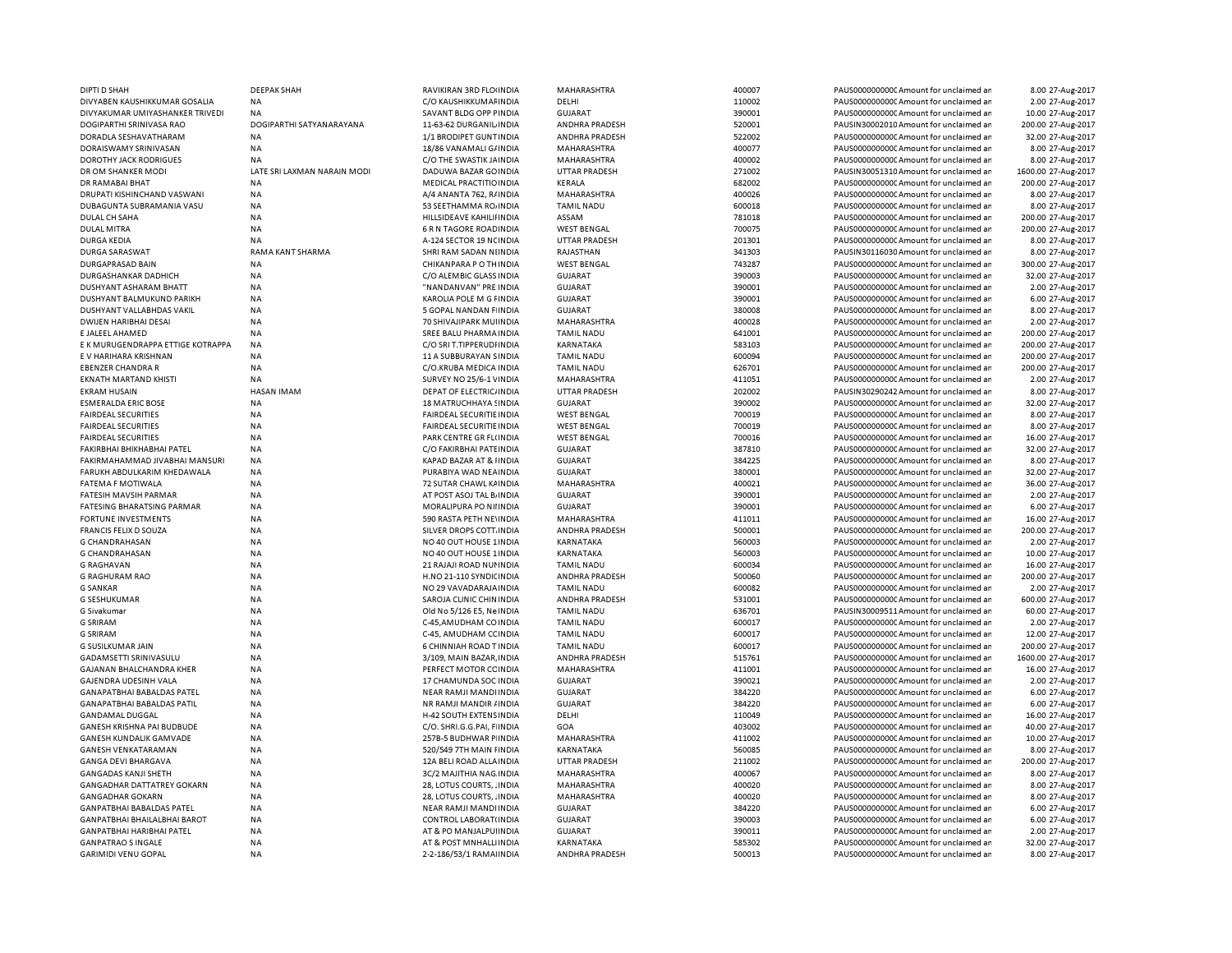| DIPTI D SHAH                      | <b>DEEPAK SHAH</b>          | RAVIKIRAN 3RD FLOUNDIA           | MAHARASHTRA          | 400007 | PAUS0000000000 Amount for unclaimed ar  | 8.00 27-Aug-2017    |
|-----------------------------------|-----------------------------|----------------------------------|----------------------|--------|-----------------------------------------|---------------------|
| DIVYABEN KAUSHIKKUMAR GOSALIA     | <b>NA</b>                   | C/O KAUSHIKKUMAF INDIA           | DELHI                | 110002 | PAUS0000000000C Amount for unclaimed ar | 2.00 27-Aug-2017    |
| DIVYAKUMAR UMIYASHANKER TRIVEDI   | NA                          | SAVANT BLDG OPP FINDIA           | <b>GUJARAT</b>       | 390001 | PAUS0000000000 Amount for unclaimed ar  | 10.00 27-Aug-2017   |
| DOGIPARTHI SRINIVASA RAO          | DOGIPARTHI SATYANARAYANA    | 11-63-62 DURGANIL INDIA          | ANDHRA PRADESH       | 520001 | PAUSIN30002010 Amount for unclaimed ar  | 200.00 27-Aug-2017  |
| DORADLA SESHAVATHARAM             | <b>NA</b>                   | 1/1 BRODIPET GUNT INDIA          | ANDHRA PRADESH       | 522002 | PAUS0000000000 Amount for unclaimed ar  | 32.00 27-Aug-2017   |
| DORAISWAMY SRINIVASAN             | <b>NA</b>                   | 18/86 VANAMALI G/ INDIA          | MAHARASHTRA          | 400077 | PAUS0000000000CAmount for unclaimed ar  | 8.00 27-Aug-2017    |
| <b>DOROTHY JACK RODRIGUES</b>     | <b>NA</b>                   | C/O THE SWASTIK JAINDIA          | MAHARASHTRA          | 400002 | PAUS0000000000 Amount for unclaimed ar  | 8.00 27-Aug-2017    |
| DR OM SHANKER MODI                | LATE SRI LAXMAN NARAIN MODI | DADUWA BAZAR GO INDIA            | <b>UTTAR PRADESH</b> | 271002 | PAUSIN30051310 Amount for unclaimed ar  | 1600.00 27-Aug-2017 |
| DR RAMABAI BHAT                   | <b>NA</b>                   | MEDICAL PRACTITIO INDIA          | KERALA               | 682002 | PAUS0000000000 Amount for unclaimed ar  | 200.00 27-Aug-2017  |
| DRUPATI KISHINCHAND VASWANI       | <b>NA</b>                   | A/4 ANANTA 762, R/ INDIA         | MAHARASHTRA          | 400026 | PAUS0000000000 Amount for unclaimed ar  | 8.00 27-Aug-2017    |
| DUBAGUNTA SUBRAMANIA VASU         | ΝA                          | 53 SEETHAMMA ROJINDIA            | <b>TAMIL NADU</b>    | 600018 | PAUS0000000000 Amount for unclaimed ar  | 8.00 27-Aug-2017    |
| DULAL CH SAHA                     | <b>NA</b>                   | HILLSIDEAVE KAHILII INDIA        | ASSAM                | 781018 | PAUS0000000000CAmount for unclaimed ar  | 200.00 27-Aug-2017  |
| <b>DULAL MITRA</b>                | <b>NA</b>                   | 6 R N TAGORE ROAD INDIA          | <b>WEST BENGAL</b>   | 700075 | PAUS0000000000 Amount for unclaimed ar  | 200.00 27-Aug-2017  |
| <b>DURGA KEDIA</b>                | <b>NA</b>                   | A-124 SECTOR 19 NC INDIA         | <b>UTTAR PRADESH</b> | 201301 | PAUS0000000000CAmount for unclaimed ar  | 8.00 27-Aug-2017    |
| <b>DURGA SARASWAT</b>             | RAMA KANT SHARMA            | SHRI RAM SADAN NIINDIA           | RAJASTHAN            | 341303 | PAUSIN30116030 Amount for unclaimed ar  | 8.00 27-Aug-2017    |
| <b>DURGAPRASAD BAIN</b>           | <b>NA</b>                   | CHIKANPARA P O TH INDIA          | <b>WEST BENGAL</b>   | 743287 | PAUS0000000000CAmount for unclaimed ar  | 300.00 27-Aug-2017  |
| DURGASHANKAR DADHICH              | <b>NA</b>                   | C/O ALEMBIC GLASS INDIA          | <b>GUJARAT</b>       | 390003 | PAUS0000000000 Amount for unclaimed ar  | 32.00 27-Aug-2017   |
| DUSHYANT ASHARAM BHATT            | <b>NA</b>                   | "NANDANVAN" PRE INDIA            | <b>GUJARAT</b>       | 390001 | PAUS0000000000CAmount for unclaimed ar  | 2.00 27-Aug-2017    |
| DUSHYANT BALMUKUND PARIKH         | <b>NA</b>                   | KAROLIA POLE M G FINDIA          | <b>GUJARAT</b>       | 390001 | PAUS0000000000 Amount for unclaimed ar  | 6.00 27-Aug-2017    |
| DUSHYANT VALLABHDAS VAKIL         | <b>NA</b>                   | 5 GOPAL NANDAN FINDIA            | <b>GUJARAT</b>       | 380008 | PAUS0000000000CAmount for unclaimed ar  | 8.00 27-Aug-2017    |
| DWIJEN HARIBHAI DESAI             | <b>NA</b>                   | 70 SHIVAJIPARK MUIINDIA          | <b>MAHARASHTRA</b>   | 400028 | PAUS0000000000Amount for unclaimed ar   | 2.00 27-Aug-2017    |
| <b>E JALEEL AHAMED</b>            | <b>NA</b>                   | SREE BALU PHARMA INDIA           | <b>TAMIL NADL</b>    | 641001 | PAUS0000000000CAmount for unclaimed ar  | 200.00 27-Aug-2017  |
| E K MURUGENDRAPPA ETTIGE KOTRAPPA | <b>NA</b>                   | C/O SRI T.TIPPERUDHNDIA          | KARNATAKA            | 583103 | PAUS0000000000 Amount for unclaimed ar  | 200.00 27-Aug-2017  |
| E V HARIHARA KRISHNAN             | <b>NA</b>                   | 11 A SUBBURAYAN SINDIA           | <b>TAMIL NADU</b>    | 600094 | PAUS0000000000 Amount for unclaimed ar  | 200.00 27-Aug-2017  |
| <b>EBENZER CHANDRA R</b>          | <b>NA</b>                   | C/O.KRUBA MEDICA INDIA           | <b>TAMIL NADU</b>    | 626701 | PAUS0000000000CAmount for unclaimed ar  | 200.00 27-Aug-2017  |
| <b>EKNATH MARTAND KHISTI</b>      | <b>NA</b>                   | SURVEY NO 25/6-1 VINDIA          | MAHARASHTRA          | 411051 | PAUS0000000000 Amount for unclaimed ar  | 2.00 27-Aug-2017    |
| <b>EKRAM HUSAIN</b>               | <b>HASAN IMAM</b>           | DEPAT OF ELECTRIC/INDIA          | <b>UTTAR PRADESH</b> | 202002 | PAUSIN30290242 Amount for unclaimed ar  | 8.00 27-Aug-2017    |
| <b>ESMERALDA ERIC BOSE</b>        | <b>NA</b>                   | 18 MATRUCHHAYA SINDIA            | <b>GUJARAT</b>       | 390002 | PAUS0000000000 Amount for unclaimed ar  | 32.00 27-Aug-2017   |
| <b>FAIRDEAL SECURITIES</b>        | <b>NA</b>                   | <b>FAIRDEAL SECURITIE IN DIA</b> | <b>WEST BENGAL</b>   | 700019 | PAUS0000000000 Amount for unclaimed ar  | 8.00 27-Aug-2017    |
| <b>FAIRDEAL SECURITIES</b>        | <b>NA</b>                   | FAIRDEAL SECURITIE INDIA         | <b>WEST BENGAL</b>   | 700019 | PAUS00000000000Amount for unclaimed ar  | 8.00 27-Aug-2017    |
| <b>FAIRDEAL SECURITIES</b>        | <b>NA</b>                   | PARK CENTRE GR FL(INDIA          | <b>WEST BENGAL</b>   | 700016 | PAUS0000000000 Amount for unclaimed ar  | 16.00 27-Aug-2017   |
| FAKIRBHAI BHIKHABHAI PATEL        | <b>NA</b>                   | C/O FAKIRBHAI PATEINDIA          | <b>GUJARAT</b>       | 387810 | PAUS0000000000 Amount for unclaimed ar  | 32.00 27-Aug-2017   |
| FAKIRMAHAMMAD JIVABHAI MANSURI    | <b>NA</b>                   | KAPAD BAZAR AT & IINDIA          | <b>GUJARAT</b>       | 384225 | PAUS0000000000 Amount for unclaimed ar  | 8.00 27-Aug-2017    |
| FARUKH ABDULKARIM KHEDAWALA       | <b>NA</b>                   | PURABIYA WAD NEA INDIA           | GUJARAT              | 380001 | PAUS00000000000Amount for unclaimed ar  | 32.00 27-Aug-2017   |
| FATEMA F MOTIWALA                 | <b>NA</b>                   | 72 SUTAR CHAWL KAINDIA           | MAHARASHTRA          | 400021 | PAUS0000000000 Amount for unclaimed ar  | 36.00 27-Aug-2017   |
| FATESIH MAVSIH PARMAR             | <b>NA</b>                   | AT POST ASOJ TAL B. INDIA        | <b>GUJARAT</b>       | 390001 | PAUS0000000000 Amount for unclaimed ar  | 2.00 27-Aug-2017    |
| <b>FATESING BHARATSING PARMAR</b> | <b>NA</b>                   | MORALIPURA PO NIIINDIA           | <b>GUJARAT</b>       | 390001 | PAUS0000000000CAmount for unclaimed ar  | 6.00 27-Aug-2017    |
| <b>FORTUNE INVESTMENTS</b>        | <b>NA</b>                   | 590 RASTA PETH NEVINDIA          | MAHARASHTRA          | 411011 | PAUS0000000000 Amount for unclaimed ar  | 16.00 27-Aug-2017   |
| <b>FRANCIS FELIX D SOUZA</b>      | <b>NA</b>                   | SILVER DROPS COTT. INDIA         | ANDHRA PRADESH       | 500001 | PAUS0000000000 Amount for unclaimed ar  | 200.00 27-Aug-2017  |
| <b>G CHANDRAHASAN</b>             | <b>NA</b>                   | NO 40 OUT HOUSE 1 INDIA          | KARNATAKA            | 560003 | PAUS0000000000CAmount for unclaimed ar  | 2.00 27-Aug-2017    |
| <b>G CHANDRAHASAN</b>             | <b>NA</b>                   | NO 40 OUT HOUSE 1 INDIA          | KARNATAKA            | 560003 | PAUS0000000000CAmount for unclaimed ar  | 10.00 27-Aug-2017   |
| <b>G RAGHAVAN</b>                 | <b>NA</b>                   | 21 RAJAJI ROAD NUI INDIA         | <b>TAMIL NADU</b>    | 600034 | PAUS0000000000CAmount for unclaimed ar  | 16.00 27-Aug-2017   |
|                                   |                             |                                  |                      |        |                                         |                     |
| <b>G RAGHURAM RAO</b>             | <b>NA</b>                   | H.NO 21-110 SYNDICINDIA          | ANDHRA PRADESH       | 500060 | PAUS0000000000 Amount for unclaimed ar  | 200.00 27-Aug-2017  |
| <b>G SANKAR</b>                   | <b>NA</b>                   | NO 29 VAVADARAJA INDIA           | <b>TAMIL NADU</b>    | 600082 | PAUS0000000000CAmount for unclaimed ar  | 2.00 27-Aug-2017    |
| <b>G SESHUKUMAR</b>               | <b>NA</b>                   | SAROJA CLINIC CHIN INDIA         | ANDHRA PRADESH       | 531001 | PAUS0000000000 Amount for unclaimed ar  | 600.00 27-Aug-2017  |
| G Sivakumar                       | <b>NA</b>                   | Old No 5/126 E5, Ne INDIA        | <b>TAMIL NADU</b>    | 636701 | PAUSIN30009511 Amount for unclaimed ar  | 60.00 27-Aug-2017   |
| <b>G SRIRAM</b>                   | <b>NA</b>                   | C-45, AMUDHAM CO INDIA           | <b>TAMIL NADU</b>    | 600017 | PAUS0000000000 Amount for unclaimed ar  | 2.00 27-Aug-2017    |
| <b>G SRIRAM</b>                   | <b>NA</b>                   | C-45, AMUDHAM CCINDIA            | <b>TAMIL NADU</b>    | 600017 | PAUS0000000000CAmount for unclaimed ar  | 12.00 27-Aug-2017   |
| <b>G SUSILKUMAR JAIN</b>          | <b>NA</b>                   | 6 CHINNIAH ROAD T INDIA          | <b>TAMIL NADL</b>    | 600017 | PAUS0000000000CAmount for unclaimed ar  | 200.00 27-Aug-2017  |
| GADAMSETTI SRINIVASULU            | <b>NA</b>                   | 3/109, MAIN BAZAR INDIA          | ANDHRA PRADESH       | 515761 | PAUS0000000000CAmount for unclaimed ar  | 1600.00 27-Aug-2017 |
| GAJANAN BHALCHANDRA KHER          | <b>NA</b>                   | PERFECT MOTOR CC INDIA           | MAHARASHTRA          | 411001 | PAUS0000000000 Amount for unclaimed ar  | 16.00 27-Aug-2017   |
| GAJENDRA UDESINH VALA             | <b>NA</b>                   | 17 CHAMUNDA SOC INDIA            | <b>GUJARAT</b>       | 390021 | PAUS0000000000 Amount for unclaimed ar  | 2.00 27-Aug-2017    |
| GANAPATBHAI BABALDAS PATEL        | <b>NA</b>                   | NEAR RAMJI MANDI INDIA           | <b>GUJARAT</b>       | 384220 | PAUS0000000000 Amount for unclaimed ar  | 6.00 27-Aug-2017    |
| <b>GANAPATBHAI BABALDAS PATIL</b> | <b>NA</b>                   | NR RAMJI MANDIR / INDIA          | <b>GUJARAT</b>       | 384220 | PAUS0000000000CAmount for unclaimed ar  | 6.00 27-Aug-2017    |
| <b>GANDAMAL DUGGAL</b>            | <b>NA</b>                   | H-42 SOUTH EXTENS INDIA          | DELHI                | 110049 | PAUS0000000000CAmount for unclaimed ar  | 16.00 27-Aug-2017   |
| GANESH KRISHNA PAI BUDBUDE        | <b>NA</b>                   | C/O. SHRI.G.G.PAI, F INDIA       | GOA                  | 403002 | PAUS0000000000 Amount for unclaimed ar  | 40.00 27-Aug-2017   |
| <b>GANESH KUNDALIK GAMVADE</b>    | <b>NA</b>                   | 257B-5 BUDHWAR P INDIA           | <b>MAHARASHTRA</b>   | 411002 | PAUS0000000000CAmount for unclaimed ar  | 10.00 27-Aug-2017   |
| <b>GANESH VENKATARAMAN</b>        | <b>NA</b>                   | 520/549 7TH MAIN FINDIA          | KARNATAKA            | 560085 | PAUS0000000000 Amount for unclaimed ar  | 8.00 27-Aug-2017    |
| <b>GANGA DEVI BHARGAVA</b>        | <b>NA</b>                   | 12A BELI ROAD ALLA INDIA         | <b>UTTAR PRADESH</b> | 211002 | PAUS0000000000 Amount for unclaimed ar  | 200.00 27-Aug-2017  |
| <b>GANGADAS KANJI SHETH</b>       | <b>NA</b>                   | 3C/2 MAJITHIA NAG INDIA          | MAHARASHTRA          | 400067 | PAUS0000000000 Amount for unclaimed ar  | 8.00 27-Aug-2017    |
| <b>GANGADHAR DATTATREY GOKARN</b> | <b>NA</b>                   | 28, LOTUS COURTS, . INDIA        | MAHARASHTRA          | 400020 | PAUS0000000000 Amount for unclaimed ar  | 8.00 27-Aug-2017    |
| <b>GANGADHAR GOKARN</b>           | <b>NA</b>                   | 28, LOTUS COURTS, . INDIA        | MAHARASHTRA          | 400020 | PAUS0000000000 Amount for unclaimed ar  | 8.00 27-Aug-2017    |
| <b>GANPATBHAI BABALDAS PATEL</b>  | <b>NA</b>                   | NEAR RAMJI MANDI INDIA           | <b>GUJARAT</b>       | 384220 | PAUS0000000000 Amount for unclaimed ar  | 6.00 27-Aug-2017    |
| GANPATBHAI BHAILALBHAI BAROT      | <b>NA</b>                   | CONTROL LABORAT(INDIA            | GUJARAT              | 390003 | PAUS00000000000Amount for unclaimed ar  | 6.00 27-Aug-2017    |
| <b>GANPATBHAI HARIBHAI PATEL</b>  | <b>NA</b>                   | AT & PO MANJALPUHNDIA            | <b>GUJARAT</b>       | 390011 | PAUS0000000000 Amount for unclaimed ar  | 2.00 27-Aug-2017    |
| <b>GANPATRAO S INGALE</b>         | <b>NA</b>                   | AT & POST MNHALLINDIA            | KARNATAKA            | 585302 | PAUS0000000000 Amount for unclaimed ar  | 32.00 27-Aug-2017   |
| <b>GARIMIDI VENU GOPAL</b>        | <b>NA</b>                   | 2-2-186/53/1 RAMAI INDIA         | ANDHRA PRADESH       | 500013 | PAUS0000000000 Amount for unclaimed ar  | 8.00 27-Aug-2017    |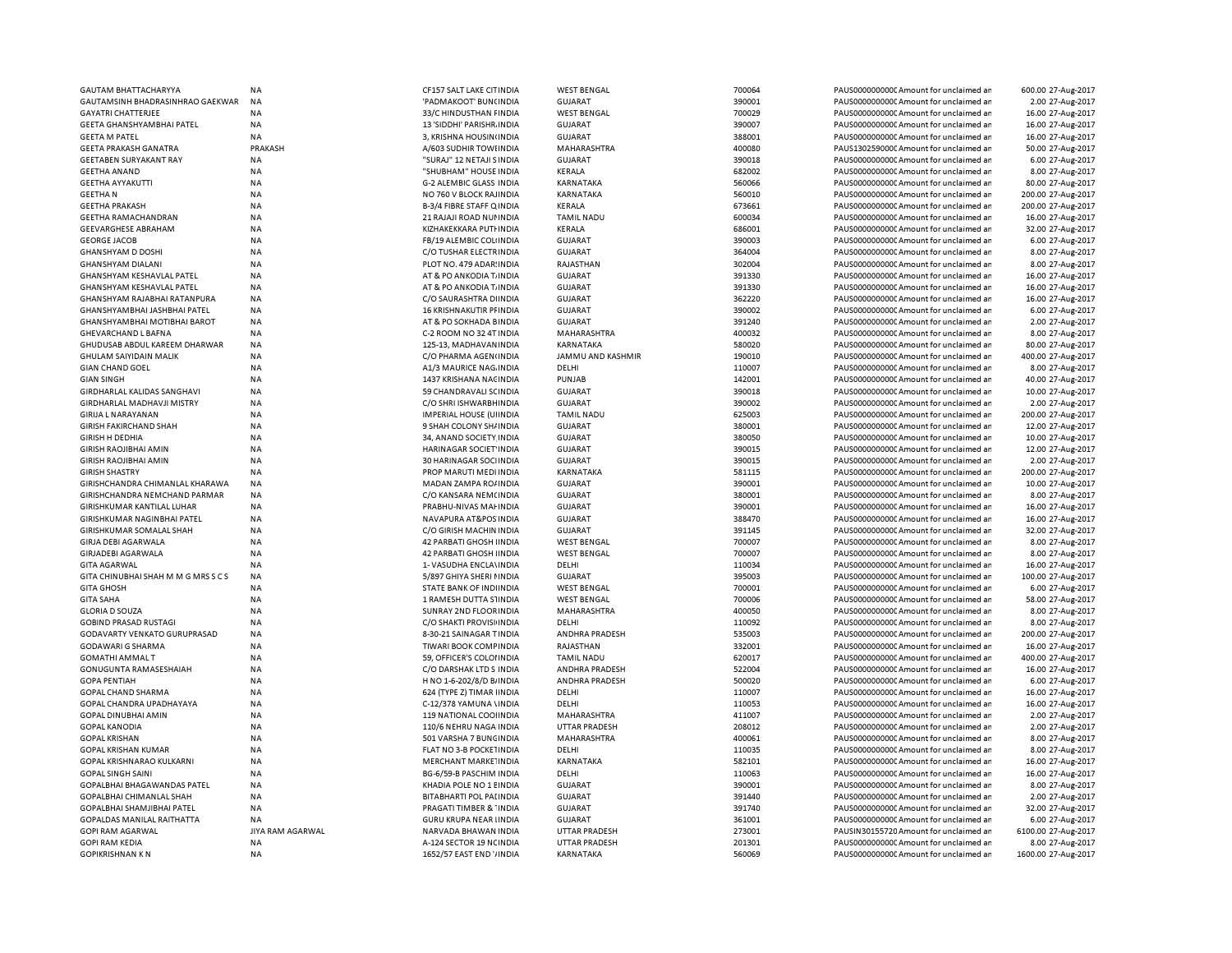| <b>GAUTAM BHATTACHARYYA</b>         | <b>NA</b>        | CF157 SALT LAKE CITINDIA      | <b>WEST BENGAL</b>   | 700064 | PAUS0000000000 Amount for unclaimed an  | 600.00 27-Aug-2017  |
|-------------------------------------|------------------|-------------------------------|----------------------|--------|-----------------------------------------|---------------------|
| GAUTAMSINH BHADRASINHRAO GAEKWAR    | <b>NA</b>        | 'PADMAKOOT' BUN(INDIA         | <b>GUJARAT</b>       | 390001 | PAUS0000000000 Amount for unclaimed ar  | 2.00 27-Aug-2017    |
| <b>GAYATRI CHATTERJEE</b>           | <b>NA</b>        | 33/C HINDUSTHAN FINDIA        | <b>WEST BENGAL</b>   | 700029 | PAUS0000000000 Amount for unclaimed ar  | 16.00 27-Aug-2017   |
| GEETA GHANSHYAMBHAI PATEL           | NA               | 13 'SIDDHI' PARISHR INDIA     | <b>GUJARAT</b>       | 390007 | PAUS0000000000 Amount for unclaimed ar  | 16.00 27-Aug-2017   |
| <b>GEETA M PATEL</b>                | <b>NA</b>        | 3, KRISHNA HOUSIN(INDIA       | <b>GUJARAT</b>       | 388001 | PAUS0000000000 Amount for unclaimed ar  | 16.00 27-Aug-2017   |
| <b>GEETA PRAKASH GANATRA</b>        | PRAKASH          | A/603 SUDHIR TOWHNDIA         | MAHARASHTRA          | 400080 | PAUS1302590000 Amount for unclaimed ar  | 50.00 27-Aug-2017   |
| <b>GEETABEN SURYAKANT RAY</b>       | NA               | "SURAJ" 12 NETAJI SINDIA      | <b>GUJARAT</b>       | 390018 | PAUS0000000000 Amount for unclaimed an  | 6.00 27-Aug-2017    |
| <b>GEETHA ANAND</b>                 | NA               | "SHUBHAM" HOUSE INDIA         | KERALA               | 682002 | PAUS00000000000Amount for unclaimed ar  | 8.00 27-Aug-2017    |
| <b>GEETHA AYYAKUTTI</b>             | <b>NA</b>        | G-2 ALEMBIC GLASS INDIA       | KARNATAKA            | 560066 | PAUS0000000000 Amount for unclaimed ar  | 80.00 27-Aug-2017   |
| <b>GEETHAN</b>                      | NA               | NO 760 V BLOCK RAJINDIA       | KARNATAKA            | 560010 | PAUS0000000000 Amount for unclaimed ar  | 200.00 27-Aug-2017  |
| <b>GEETHA PRAKASH</b>               | <b>NA</b>        | B-3/4 FIBRE STAFF Q INDIA     | KERALA               | 673661 | PAUS0000000000 Amount for unclaimed an  | 200.00 27-Aug-2017  |
| <b>GEETHA RAMACHANDRAN</b>          | <b>NA</b>        | 21 RAJAJI ROAD NUI INDIA      | <b>TAMIL NADU</b>    | 600034 | PAUS0000000000 Amount for unclaimed ar  | 16.00 27-Aug-2017   |
| <b>GEEVARGHESE ABRAHAM</b>          | NA               | KIZHAKEKKARA PUTI INDIA       | KERALA               | 686001 | PAUS0000000000 Amount for unclaimed ar  | 32.00 27-Aug-2017   |
| <b>GEORGE JACOB</b>                 | <b>NA</b>        | FB/19 ALEMBIC COL(INDIA       | <b>GUJARAT</b>       | 390003 | PAUS0000000000 Amount for unclaimed ar  | 6.00 27-Aug-2017    |
| <b>GHANSHYAM D DOSHI</b>            | <b>NA</b>        | C/O TUSHAR ELECTRINDIA        | <b>GUJARAT</b>       | 364004 | PAUS0000000000 Amount for unclaimed an  | 8.00 27-Aug-2017    |
| <b>GHANSHYAM DIALANI</b>            | <b>NA</b>        | PLOT NO. 479 ADAR: INDIA      | RAJASTHAN            | 302004 | PAUS0000000000 Amount for unclaimed ar  | 8.00 27-Aug-2017    |
| GHANSHYAM KESHAVLAL PATEL           | ΝA               | AT & PO ANKODIA T. INDIA      | <b>GUJARAT</b>       | 391330 | PAUS0000000000C Amount for unclaimed ar | 16.00 27-Aug-2017   |
| GHANSHYAM KESHAVLAL PATEL           | <b>NA</b>        | AT & PO ANKODIA T. INDIA      | <b>GUJARAT</b>       | 391330 | PAUS0000000000 Amount for unclaimed ar  | 16.00 27-Aug-2017   |
|                                     | NA               |                               |                      | 362220 |                                         | 16.00 27-Aug-2017   |
| GHANSHYAM RAJABHAI RATANPURA        |                  | C/O SAURASHTRA DI INDIA       | GUJARAT              | 390002 | PAUS0000000000 Amount for unclaimed an  |                     |
| GHANSHYAMBHAI JASHBHAI PATEL        | <b>NA</b>        | 16 KRISHNAKUTIR PI INDIA      | <b>GUJARAT</b>       |        | PAUS0000000000 Amount for unclaimed ar  | 6.00 27-Aug-2017    |
| <b>GHANSHYAMBHAI MOTIBHAI BAROT</b> | NA               | AT & PO SOKHADA BINDIA        | GUJARAT              | 391240 | PAUS0000000000C Amount for unclaimed ar | 2.00 27-Aug-2017    |
| GHEVARCHAND L BAFNA                 | NA               | C-2 ROOM NO 32 4T INDIA       | MAHARASHTRA          | 400032 | PAUS0000000000 Amount for unclaimed ar  | 8.00 27-Aug-2017    |
| GHUDUSAB ABDUL KAREEM DHARWAR       | <b>NA</b>        | 125-13, MADHAVAN INDIA        | KARNATAKA            | 580020 | PAUS0000000000CAmount for unclaimed an  | 80.00 27-Aug-2017   |
| GHULAM SAIYIDAIN MALIK              | <b>NA</b>        | C/O PHARMA AGEN(INDIA         | JAMMU AND KASHMIR    | 190010 | PAUS00000000000Amount for unclaimed an  | 400.00 27-Aug-2017  |
| <b>GIAN CHAND GOEL</b>              | <b>NA</b>        | A1/3 MAURICE NAG. INDIA       | DELHI                | 110007 | PAUS0000000000CAmount for unclaimed ar  | 8.00 27-Aug-2017    |
| <b>GIAN SINGH</b>                   | <b>NA</b>        | 1437 KRISHANA NACINDIA        | PUNJAB               | 142001 | PAUS0000000000CAmount for unclaimed ar  | 40.00 27-Aug-2017   |
| GIRDHARLAL KALIDAS SANGHAVI         | <b>NA</b>        | 59 CHANDRAVALI SCINDIA        | <b>GUJARAT</b>       | 390018 | PAUS0000000000CAmount for unclaimed ar  | 10.00 27-Aug-2017   |
| <b>GIRDHARLAL MADHAVJI MISTRY</b>   | <b>NA</b>        | C/O SHRI ISHWARBH INDIA       | <b>GUJARAT</b>       | 390002 | PAUS00000000000Amount for unclaimed an  | 2.00 27-Aug-2017    |
| <b>GIRIJA L NARAYANAN</b>           | <b>NA</b>        | IMPERIAL HOUSE (UI INDIA      | <b>TAMIL NADU</b>    | 625003 | PAUS0000000000CAmount for unclaimed ar  | 200.00 27-Aug-2017  |
| <b>GIRISH FAKIRCHAND SHAH</b>       | NA               | 9 SHAH COLONY SH/ INDIA       | <b>GUJARAT</b>       | 380001 | PAUS0000000000CAmount for unclaimed ar  | 12.00 27-Aug-2017   |
| <b>GIRISH H DEDHIA</b>              | <b>NA</b>        | 34, ANAND SOCIETY INDIA       | <b>GUJARAT</b>       | 380050 | PAUS0000000000 Amount for unclaimed ar  | 10.00 27-Aug-2017   |
| <b>GIRISH RAOJIBHAI AMIN</b>        | NA               | HARINAGAR SOCIET INDIA        | <b>GUJARAT</b>       | 390015 | PAUS0000000000C Amount for unclaimed an | 12.00 27-Aug-2017   |
| <b>GIRISH RAOJIBHAI AMIN</b>        | <b>NA</b>        | <b>30 HARINAGAR SOCHNDIA</b>  | <b>GUJARAT</b>       | 390015 | PAUS0000000000 Amount for unclaimed ar  | 2.00 27-Aug-2017    |
| <b>GIRISH SHASTRY</b>               | NA               | PROP MARUTI MEDI INDIA        | KARNATAKA            | 581115 | PAUS0000000000C Amount for unclaimed ar | 200.00 27-Aug-2017  |
| GIRISHCHANDRA CHIMANLAL KHARAWA     | <b>NA</b>        | MADAN ZAMPA RO/ INDIA         | <b>GUJARAT</b>       | 390001 | PAUS0000000000 Amount for unclaimed ar  | 10.00 27-Aug-2017   |
| GIRISHCHANDRA NEMCHAND PARMAR       | <b>NA</b>        | C/O KANSARA NEM(INDIA         | <b>GUJARAT</b>       | 380001 | PAUS0000000000 Amount for unclaimed ar  | 8.00 27-Aug-2017    |
| GIRISHKUMAR KANTILAL LUHAR          | <b>NA</b>        | PRABHU-NIVAS MAI INDIA        | <b>GUJARAT</b>       | 390001 | PAUS0000000000 Amount for unclaimed ar  | 16.00 27-Aug-2017   |
| GIRISHKUMAR NAGINBHAI PATEL         | NA               | NAVAPURA AT&POS INDIA         | <b>GUJARAT</b>       | 388470 | PAUS0000000000 Amount for unclaimed ar  | 16.00 27-Aug-2017   |
| GIRISHKUMAR SOMALAL SHAH            | <b>NA</b>        | C/O GIRISH MACHIN INDIA       | <b>GUJARAT</b>       | 391145 | PAUS0000000000 Amount for unclaimed ar  | 32.00 27-Aug-2017   |
| <b>GIRJA DEBI AGARWALA</b>          | <b>NA</b>        | 42 PARBATI GHOSH IINDIA       | <b>WEST BENGAL</b>   | 700007 | PAUS0000000000CAmount for unclaimed an  | 8.00 27-Aug-2017    |
| <b>GIRJADEBI AGARWALA</b>           | <b>NA</b>        | 42 PARBATI GHOSH IINDIA       | <b>WEST BENGAL</b>   | 700007 | PAUS00000000000 Amount for unclaimed an | 8.00 27-Aug-2017    |
| <b>GITA AGARWAL</b>                 | <b>NA</b>        | 1- VASUDHA ENCLA\INDIA        | DELHI                | 110034 | PAUS0000000000CAmount for unclaimed an  | 16.00 27-Aug-2017   |
| GITA CHINUBHAI SHAH M M G MRS S C S | NA               | 5/897 GHIYA SHERI I INDIA     | <b>GUJARAT</b>       | 395003 | PAUS0000000000 Amount for unclaimed ar  | 100.00 27-Aug-2017  |
| <b>GITA GHOSH</b>                   | <b>NA</b>        | STATE BANK OF INDIINDIA       | <b>WEST BENGAL</b>   | 700001 | PAUS0000000000CAmount for unclaimed an  | 6.00 27-Aug-2017    |
|                                     |                  |                               |                      |        |                                         | 58.00 27-Aug-2017   |
| <b>GITA SAHA</b>                    | <b>NA</b>        | 1 RAMESH DUTTA SIINDIA        | <b>WEST BENGAL</b>   | 700006 | PAUS0000000000 Amount for unclaimed an  |                     |
| <b>GLORIA D SOUZA</b>               | <b>NA</b>        | SUNRAY 2ND FLOOR INDIA        | MAHARASHTRA          | 400050 | PAUS0000000000 Amount for unclaimed ar  | 8.00 27-Aug-2017    |
| <b>GOBIND PRASAD RUSTAGI</b>        | NA               | C/O SHAKTI PROVISI INDIA      | DELHI                | 110092 | PAUS0000000000 Amount for unclaimed ar  | 8.00 27-Aug-2017    |
| GODAVARTY VENKATO GURUPRASAD        | <b>NA</b>        | 8-30-21 SAINAGAR TINDIA       | ANDHRA PRADESH       | 535003 | PAUS0000000000 Amount for unclaimed ar  | 200.00 27-Aug-2017  |
| <b>GODAWARI G SHARMA</b>            | <b>NA</b>        | TIWARI BOOK COMFINDIA         | RAJASTHAN            | 332001 | PAUS0000000000CAmount for unclaimed an  | 16.00 27-Aug-2017   |
| <b>GOMATHI AMMALT</b>               | <b>NA</b>        | 59, OFFICER'S COLOHNDIA       | <b>TAMIL NADU</b>    | 620017 | PAUS0000000000 Amount for unclaimed ar  | 400.00 27-Aug-2017  |
| GONUGUNTA RAMASESHAIAH              | <b>NA</b>        | C/O DARSHAK LTD S INDIA       | ANDHRA PRADESH       | 522004 | PAUS0000000000 Amount for unclaimed ar  | 16.00 27-Aug-2017   |
| <b>GOPA PENTIAH</b>                 | NA               | H NO 1-6-202/8/D B/ INDIA     | ANDHRA PRADESH       | 500020 | PAUS0000000000 Amount for unclaimed ar  | 6.00 27-Aug-2017    |
| GOPAL CHAND SHARMA                  | NA               | 624 (TYPE Z) TIMAR IINDIA     | DELHI                | 110007 | PAUS0000000000 Amount for unclaimed ar  | 16.00 27-Aug-2017   |
| GOPAL CHANDRA UPADHAYAYA            | <b>NA</b>        | C-12/378 YAMUNA \INDIA        | DELHI                | 110053 | PAUS0000000000 Amount for unclaimed ar  | 16.00 27-Aug-2017   |
| <b>GOPAL DINUBHAI AMIN</b>          | <b>NA</b>        | 119 NATIONAL COOHNDIA         | MAHARASHTRA          | 411007 | PAUS0000000000 Amount for unclaimed ar  | 2.00 27-Aug-2017    |
| <b>GOPAL KANODIA</b>                | NA               | 110/6 NEHRU NAGA INDIA        | <b>UTTAR PRADESH</b> | 208012 | PAUS0000000000 Amount for unclaimed ar  | 2.00 27-Aug-2017    |
| <b>GOPAL KRISHAN</b>                | <b>NA</b>        | 501 VARSHA 7 BUNCINDIA        | MAHARASHTRA          | 400061 | PAUS0000000000 Amount for unclaimed ar  | 8.00 27-Aug-2017    |
| <b>GOPAL KRISHAN KUMAR</b>          | NA               | FLAT NO 3-B POCKETINDIA       | DELHI                | 110035 | PAUS0000000000 Amount for unclaimed an  | 8.00 27-Aug-2017    |
| <b>GOPAL KRISHNARAO KULKARNI</b>    | <b>NA</b>        | <b>MERCHANT MARKE INDIA</b>   | KARNATAKA            | 582101 | PAUS0000000000 Amount for unclaimed ar  | 16.00 27-Aug-2017   |
| <b>GOPAL SINGH SAINI</b>            | NA               | BG-6/59-B PASCHIM INDIA       | DELHI                | 110063 | PAUS0000000000 Amount for unclaimed ar  | 16.00 27-Aug-2017   |
| GOPALBHAI BHAGAWANDAS PATEL         | <b>NA</b>        | KHADIA POLE NO 1 EINDIA       | <b>GUJARAT</b>       | 390001 | PAUS0000000000 Amount for unclaimed ar  | 8.00 27-Aug-2017    |
| <b>GOPALBHAI CHIMANLAL SHAH</b>     | NA               | BITABHARTI POL PAI INDIA      | <b>GUJARAT</b>       | 391440 | PAUS0000000000C Amount for unclaimed ar | 2.00 27-Aug-2017    |
| GOPALBHAI SHAMJIBHAI PATEL          | <b>NA</b>        | PRAGATI TIMBER & 'INDIA       | <b>GUJARAT</b>       | 391740 | PAUS0000000000 Amount for unclaimed ar  | 32.00 27-Aug-2017   |
| GOPALDAS MANILAL RAITHATTA          | ΝA               | <b>GURU KRUPA NEAR IINDIA</b> | <b>GUJARAT</b>       | 361001 | PAUS00000000000Amount for unclaimed ar  | 6.00 27-Aug-2017    |
| GOPI RAM AGARWAL                    | JIYA RAM AGARWAL | NARVADA BHAWAN INDIA          | <b>UTTAR PRADESH</b> | 273001 | PAUSIN30155720 Amount for unclaimed ar  | 6100.00 27-Aug-2017 |
| <b>GOPI RAM KEDIA</b>               | NA               | A-124 SECTOR 19 NCINDIA       | <b>UTTAR PRADESH</b> | 201301 | PAUS00000000000Amount for unclaimed ar  | 8.00 27-Aug-2017    |
| <b>GOPIKRISHNAN KN</b>              | NA               | 1652/57 EAST END '/ INDIA     | KARNATAKA            | 560069 | PAUS0000000000C Amount for unclaimed an | 1600.00 27-Aug-2017 |
|                                     |                  |                               |                      |        |                                         |                     |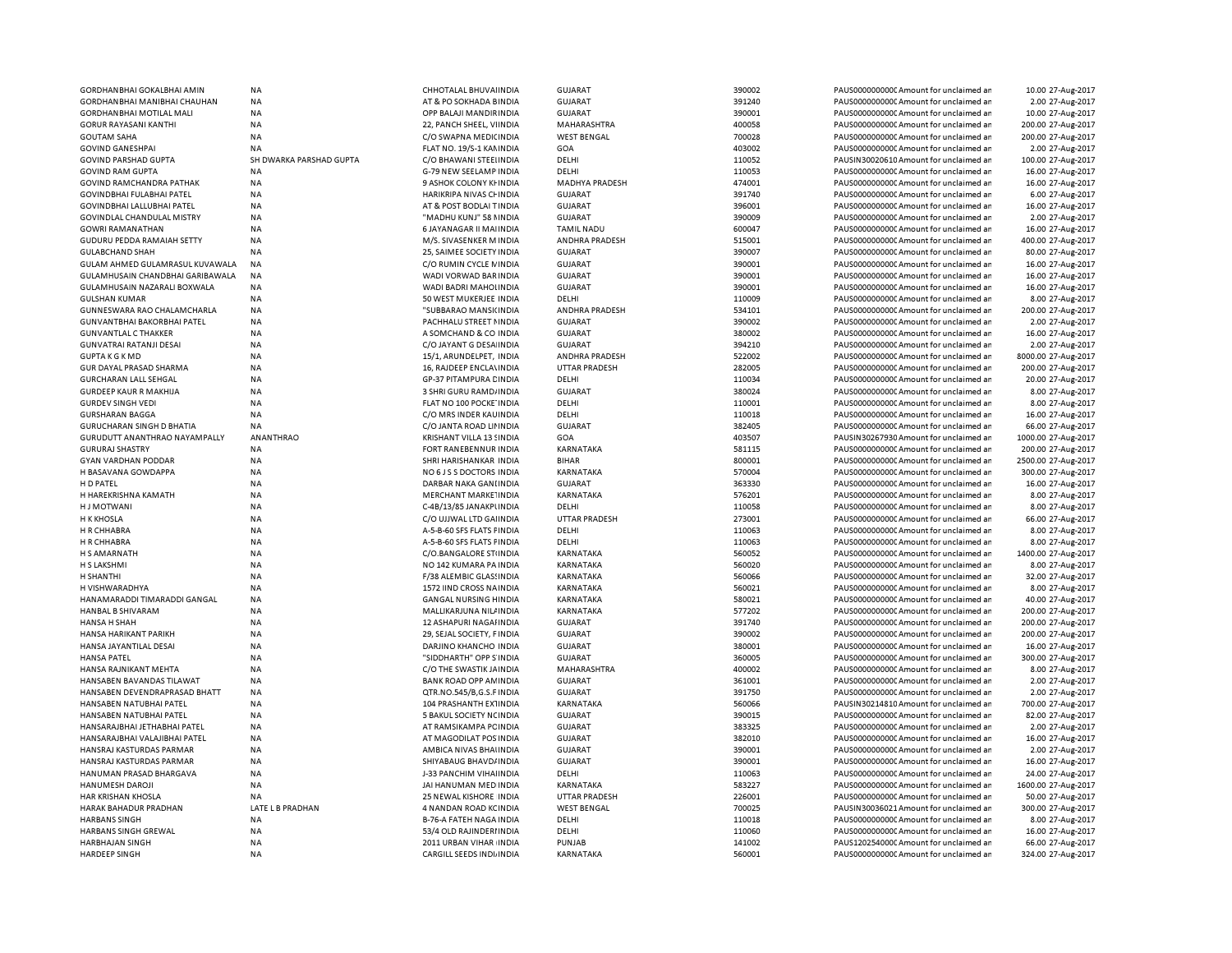| GORDHAN BHAI GOKALBHAI AMIN          | NA                      | CHHOTALAL BHUVAI INDIA         | <b>GUJARAT</b>        | 390002 | PAUS0000000000 Amount for unclaimed ar  | 10.00 27-Aug-2017   |
|--------------------------------------|-------------------------|--------------------------------|-----------------------|--------|-----------------------------------------|---------------------|
| GORDHANBHAI MANIBHAI CHAUHAN         | <b>NA</b>               | AT & PO SOKHADA BINDIA         | <b>GUJARAT</b>        | 391240 | PAUS0000000000 Amount for unclaimed ar  | 2.00 27-Aug-2017    |
| <b>GORDHANBHAI MOTILAL MALI</b>      | <b>NA</b>               | OPP BALAJI MANDIRINDIA         | <b>GUJARAT</b>        | 390001 | PAUS0000000000 Amount for unclaimed ar  | 10.00 27-Aug-2017   |
| <b>GORUR RAYASANI KANTHI</b>         | <b>NA</b>               | 22, PANCH SHEEL, VIINDIA       | MAHARASHTRA           | 400058 | PAUS0000000000 Amount for unclaimed ar  | 200.00 27-Aug-2017  |
| <b>GOUTAM SAHA</b>                   | <b>NA</b>               | C/O SWAPNA MEDICINDIA          | <b>WEST BENGAL</b>    | 700028 | PAUS0000000000 Amount for unclaimed ar  | 200.00 27-Aug-2017  |
| <b>GOVIND GANESHPAI</b>              | <b>NA</b>               | FLAT NO. 19/S-1 KAMINDIA       | GOA                   | 403002 | PAUS0000000000CAmount for unclaimed ar  | 2.00 27-Aug-2017    |
| <b>GOVIND PARSHAD GUPTA</b>          | SH DWARKA PARSHAD GUPTA | C/O BHAWANI STEEIINDIA         | DELHI                 | 110052 | PAUSIN30020610 Amount for unclaimed ar  | 100.00 27-Aug-2017  |
| <b>GOVIND RAM GUPTA</b>              | <b>NA</b>               | G-79 NEW SEELAMP INDIA         | DELHI                 | 110053 | PAUS0000000000 Amount for unclaimed ar  | 16.00 27-Aug-2017   |
|                                      |                         |                                |                       |        |                                         |                     |
| GOVIND RAMCHANDRA PATHAK             | <b>NA</b>               | 9 ASHOK COLONY KI INDIA        | <b>MADHYA PRADESH</b> | 474001 | PAUS0000000000 Amount for unclaimed ar  | 16.00 27-Aug-2017   |
| GOVINDBHAI FULABHAI PATEL            | <b>NA</b>               | HARIKRIPA NIVAS CHINDIA        | <b>GUJARAT</b>        | 391740 | PAUS0000000000 Amount for unclaimed ar  | 6.00 27-Aug-2017    |
| GOVINDBHAI LALLUBHAI PATEL           | NA                      | AT & POST BODLAI T INDIA       | <b>GUJARAT</b>        | 396001 | PAUS0000000000 Amount for unclaimed ar  | 16.00 27-Aug-2017   |
| GOVINDLAL CHANDULAL MISTRY           | <b>NA</b>               | "MADHU KUNJ" 58 NINDIA         | <b>GUJARAT</b>        | 390009 | PAUS0000000000CAmount for unclaimed ar  | 2.00 27-Aug-2017    |
| <b>GOWRI RAMANATHAN</b>              | <b>NA</b>               | 6 JAYANAGAR II MAI INDIA       | <b>TAMIL NADU</b>     | 600047 | PAUS0000000000 Amount for unclaimed ar  | 16.00 27-Aug-2017   |
| GUDURU PEDDA RAMAIAH SETTY           | <b>NA</b>               | M/S. SIVASENKER M INDIA        | ANDHRA PRADESH        | 515001 | PAUS0000000000CAmount for unclaimed ar  | 400.00 27-Aug-2017  |
| <b>GULABCHAND SHAH</b>               | <b>NA</b>               | 25, SAIMEE SOCIETY INDIA       | <b>GUJARAT</b>        | 390007 | PAUS0000000000 Amount for unclaimed ar  | 80.00 27-Aug-2017   |
| GULAM AHMED GULAMRASUL KUVAWALA      | <b>NA</b>               | C/O RUMIN CYCLE NINDIA         | <b>GUJARAT</b>        | 390001 | PAUS0000000000 Amount for unclaimed ar  | 16.00 27-Aug-2017   |
| GULAMHUSAIN CHANDBHAI GARIBAWALA     | <b>NA</b>               | WADI VORWAD BAR INDIA          | <b>GUJARAT</b>        | 390001 | PAUS0000000000C Amount for unclaimed ar | 16.00 27-Aug-2017   |
| GULAMHUSAIN NAZARALI BOXWALA         | ΝA                      | WADI BADRI MAHOLINDIA          | <b>GUJARAT</b>        | 390001 | PAUS0000000000 Amount for unclaimed ar  | 16.00 27-Aug-2017   |
| <b>GULSHAN KUMAR</b>                 | NA                      | 50 WEST MUKERJEE INDIA         | DELHI                 | 110009 | PAUS0000000000C Amount for unclaimed ar | 8.00 27-Aug-2017    |
| GUNNESWARA RAO CHALAMCHARLA          | NA                      | "SUBBARAO MANSI(INDIA          | ANDHRA PRADESH        | 534101 | PAUS0000000000 Amount for unclaimed ar  | 200.00 27-Aug-2017  |
|                                      |                         |                                |                       |        |                                         |                     |
| GUNVANTBHAI BAKORBHAI PATEL          | NA                      | PACHHALU STREET NINDIA         | GUJARAT               | 390002 | PAUS0000000000CAmount for unclaimed ar  | 2.00 27-Aug-2017    |
| <b>GUNVANTLAL C THAKKER</b>          | <b>NA</b>               | A SOMCHAND & CO INDIA          | <b>GUJARAT</b>        | 380002 | PAUS0000000000 Amount for unclaimed ar  | 16.00 27-Aug-2017   |
| <b>GUNVATRAI RATANJI DESAI</b>       | <b>NA</b>               | C/O JAYANT G DESA INDIA        | <b>GUJARAT</b>        | 394210 | PAUS0000000000CAmount for unclaimed ar  | 2.00 27-Aug-2017    |
| <b>GUPTAKGKMD</b>                    | NA                      | 15/1, ARUNDELPET, INDIA        | ANDHRA PRADESH        | 522002 | PAUS0000000000CAmount for unclaimed ar  | 8000.00 27-Aug-2017 |
| GUR DAYAL PRASAD SHARMA              | <b>NA</b>               | 16, RAJDEEP ENCLA\INDIA        | <b>UTTAR PRADESH</b>  | 282005 | PAUS0000000000CAmount for unclaimed ar  | 200.00 27-Aug-2017  |
| <b>GURCHARAN LALL SEHGAL</b>         | NA                      | GP-37 PITAMPURA CINDIA         | DELHI                 | 110034 | PAUS0000000000CAmount for unclaimed ar  | 20.00 27-Aug-2017   |
| <b>GURDEEP KAUR R MAKHIJA</b>        | <b>NA</b>               | 3 SHRI GURU RAMD/INDIA         | GUJARAT               | 380024 | PAUS0000000000CAmount for unclaimed ar  | 8.00 27-Aug-2017    |
| <b>GURDEV SINGH VEDI</b>             | NA                      | FLAT NO 100 POCKE INDIA        | DELHI                 | 110001 | PAUS0000000000CAmount for unclaimed ar  | 8.00 27-Aug-2017    |
| <b>GURSHARAN BAGGA</b>               | <b>NA</b>               | C/O MRS INDER KAU INDIA        | DELHI                 | 110018 | PAUS0000000000CAmount for unclaimed ar  | 16.00 27-Aug-2017   |
| GURUCHARAN SINGH D BHATIA            | NA                      | C/O JANTA ROAD LII INDIA       | <b>GUJARAT</b>        | 382405 | PAUS0000000000CAmount for unclaimed ar  | 66.00 27-Aug-2017   |
| <b>GURUDUTT ANANTHRAO NAYAMPALLY</b> | <b>ANANTHRAO</b>        | KRISHANT VILLA 13 SINDIA       | GOA                   | 403507 | PAUSIN30267930 Amount for unclaimed ar  | 1000.00 27-Aug-2017 |
|                                      |                         |                                |                       |        |                                         |                     |
| <b>GURURAJ SHASTRY</b>               | <b>NA</b>               | FORT RANEBENNUR INDIA          | KARNATAKA             | 581115 | PAUS0000000000CAmount for unclaimed ar  | 200.00 27-Aug-2017  |
| <b>GYAN VARDHAN PODDAR</b>           | <b>NA</b>               | SHRI HARISHANKAR INDIA         | <b>BIHAR</b>          | 800001 | PAUS0000000000 Amount for unclaimed ar  | 2500.00 27-Aug-2017 |
| H BASAVANA GOWDAPPA                  | NA                      | NO 6 J S S DOCTORS INDIA       | KARNATAKA             | 570004 | PAUS0000000000CAmount for unclaimed ar  | 300.00 27-Aug-2017  |
| H D PATEL                            | <b>NA</b>               | DARBAR NAKA GANLINDIA          | <b>GUJARAT</b>        | 363330 | PAUS0000000000 Amount for unclaimed ar  | 16.00 27-Aug-2017   |
| H HAREKRISHNA KAMATH                 | <b>NA</b>               | MERCHANT MARKE INDIA           | KARNATAKA             | 576201 | PAUS0000000000 Amount for unclaimed ar  | 8.00 27-Aug-2017    |
| <b>HJ MOTWANI</b>                    | <b>NA</b>               | C-4B/13/85 JANAKPUNDIA         | DELHI                 | 110058 | PAUS0000000000CAmount for unclaimed ar  | 8.00 27-Aug-2017    |
| <b>H K KHOSLA</b>                    | <b>NA</b>               | C/O UJJWAL LTD GAI INDIA       | <b>UTTAR PRADESH</b>  | 273001 | PAUS0000000000CAmount for unclaimed ar  | 66.00 27-Aug-2017   |
| H R CHHABRA                          | <b>NA</b>               | A-5-B-60 SFS FLATS FINDIA      | DELHI                 | 110063 | PAUS0000000000 Amount for unclaimed ar  | 8.00 27-Aug-2017    |
| H R CHHABRA                          | <b>NA</b>               | A-5-B-60 SFS FLATS FINDIA      | DELHI                 | 110063 | PAUS0000000000CAmount for unclaimed ar  | 8.00 27-Aug-2017    |
| H S AMARNATH                         | <b>NA</b>               | C/O.BANGALORE STIINDIA         | KARNATAKA             | 560052 | PAUS0000000000 Amount for unclaimed ar  | 1400.00 27-Aug-2017 |
| H S LAKSHMI                          | <b>NA</b>               | NO 142 KUMARA PA INDIA         | <b>KARNATAKA</b>      | 560020 | PAUS0000000000 Amount for unclaimed ar  | 8.00 27-Aug-2017    |
| H SHANTHI                            | <b>NA</b>               | F/38 ALEMBIC GLASSINDIA        | KARNATAKA             | 560066 | PAUS0000000000 Amount for unclaimed ar  | 32.00 27-Aug-2017   |
|                                      |                         |                                |                       |        |                                         |                     |
| H VISHWARADHYA                       | <b>NA</b>               | 1572 IIND CROSS NAINDIA        | <b>KARNATAKA</b>      | 560021 | PAUS0000000000 Amount for unclaimed ar  | 8.00 27-Aug-2017    |
| HANAMARADDI TIMARADDI GANGAL         | <b>NA</b>               | <b>GANGAL NURSING HINDIA</b>   | KARNATAKA             | 580021 | PAUS0000000000 Amount for unclaimed ar  | 40.00 27-Aug-2017   |
| <b>HANBAL B SHIVARAM</b>             | <b>NA</b>               | MALLIKARJUNA NILI INDIA        | <b>KARNATAKA</b>      | 577202 | PAUS0000000000 Amount for unclaimed ar  | 200.00 27-Aug-2017  |
| HANSA H SHAH                         | <b>NA</b>               | 12 ASHAPURI NAGAI INDIA        | <b>GUJARAT</b>        | 391740 | PAUS0000000000 Amount for unclaimed ar  | 200.00 27-Aug-2017  |
| HANSA HARIKANT PARIKH                | <b>NA</b>               | 29, SEJAL SOCIETY, FINDIA      | <b>GUJARAT</b>        | 390002 | PAUS0000000000 Amount for unclaimed ar  | 200.00 27-Aug-2017  |
| HANSA JAYANTILAL DESAI               | <b>NA</b>               | DARJINO KHANCHO INDIA          | <b>GUJARAT</b>        | 380001 | PAUS0000000000 Amount for unclaimed ar  | 16.00 27-Aug-2017   |
| HANSA PATEL                          | <b>NA</b>               | "SIDDHARTH" OPP S INDIA        | <b>GUJARAT</b>        | 360005 | PAUS0000000000CAmount for unclaimed ar  | 300.00 27-Aug-2017  |
| HANSA RAJNIKANT MEHTA                | <b>NA</b>               | C/O THE SWASTIK JAINDIA        | MAHARASHTRA           | 400002 | PAUS0000000000 Amount for unclaimed ar  | 8.00 27-Aug-2017    |
| HANSABEN BAVANDAS TILAWAT            | <b>NA</b>               | BANK ROAD OPP AM INDIA         | <b>GUJARAT</b>        | 361001 | PAUS0000000000 Amount for unclaimed ar  | 2.00 27-Aug-2017    |
| HANSABEN DEVENDRAPRASAD BHATT        | <b>NA</b>               | QTR.NO.545/B,G.S.F INDIA       | <b>GUJARAT</b>        | 391750 | PAUS0000000000 Amount for unclaimed ar  | 2.00 27-Aug-2017    |
|                                      |                         |                                |                       |        |                                         |                     |
| HANSABEN NATUBHAI PATEL              | <b>NA</b>               | 104 PRASHANTH EX1INDIA         | KARNATAKA             | 560066 | PAUSIN30214810 Amount for unclaimed ar  | 700.00 27-Aug-2017  |
| HANSABEN NATUBHAI PATEL              | <b>NA</b>               | 5 BAKUL SOCIETY NCINDIA        | <b>GUJARAT</b>        | 390015 | PAUS0000000000 Amount for unclaimed ar  | 82.00 27-Aug-2017   |
| HANSARAJBHAI JETHABHAI PATEL         | <b>NA</b>               | AT RAMSIKAMPA PC INDIA         | <b>GUJARAT</b>        | 383325 | PAUS0000000000 Amount for unclaimed ar  | 2.00 27-Aug-2017    |
| HANSARAJBHAI VALAJIBHAI PATEL        | <b>NA</b>               | AT MAGODILAT POS INDIA         | GUJARAT               | 382010 | PAUS0000000000CAmount for unclaimed ar  | 16.00 27-Aug-2017   |
| HANSRAJ KASTURDAS PARMAR             | <b>NA</b>               | AMBICA NIVAS BHAI INDIA        | <b>GUJARAT</b>        | 390001 | PAUS0000000000 Amount for unclaimed ar  | 2.00 27-Aug-2017    |
| HANSRAJ KASTURDAS PARMAR             | <b>NA</b>               | SHIYABAUG BHAVD/INDIA          | <b>GUJARAT</b>        | 390001 | PAUS0000000000 Amount for unclaimed ar  | 16.00 27-Aug-2017   |
| HANUMAN PRASAD BHARGAVA              | <b>NA</b>               | J-33 PANCHIM VIHAIINDIA        | DELHI                 | 110063 | PAUS0000000000 Amount for unclaimed ar  | 24.00 27-Aug-2017   |
| HANUMESH DAROJI                      | NA                      | JAI HANUMAN MED INDIA          | KARNATAKA             | 583227 | PAUS0000000000 Amount for unclaimed ar  | 1600.00 27-Aug-2017 |
| HAR KRISHAN KHOSLA                   | ΝA                      | 25 NEWAL KISHORE INDIA         | <b>UTTAR PRADESH</b>  | 226001 | PAUS0000000000C Amount for unclaimed ar | 50.00 27-Aug-2017   |
| HARAK BAHADUR PRADHAN                | LATE L B PRADHAN        | 4 NANDAN ROAD KCINDIA          | <b>WEST BENGAL</b>    | 700025 | PAUSIN30036021 Amount for unclaimed ar  | 300.00 27-Aug-2017  |
| <b>HARBANS SINGH</b>                 | <b>NA</b>               | <b>B-76-A FATEH NAGA INDIA</b> | DELHI                 | 110018 | PAUS0000000000 Amount for unclaimed ar  | 8.00 27-Aug-2017    |
|                                      |                         |                                |                       |        |                                         |                     |
| HARBANS SINGH GREWAL                 | <b>NA</b>               | 53/4 OLD RAJINDERIINDIA        | DELHI                 | 110060 | PAUS0000000000CAmount for unclaimed ar  | 16.00 27-Aug-2017   |
| HARBHAJAN SINGH                      | <b>NA</b>               | 2011 URBAN VIHAR INDIA         | PUNJAB                | 141002 | PAUS1202540000 Amount for unclaimed ar  | 66.00 27-Aug-2017   |
| HARDEEP SINGH                        | <b>NA</b>               | CARGILL SEEDS INDIJINDIA       | KARNATAKA             | 560001 | PAUS0000000000C Amount for unclaimed ar | 324.00 27-Aug-2017  |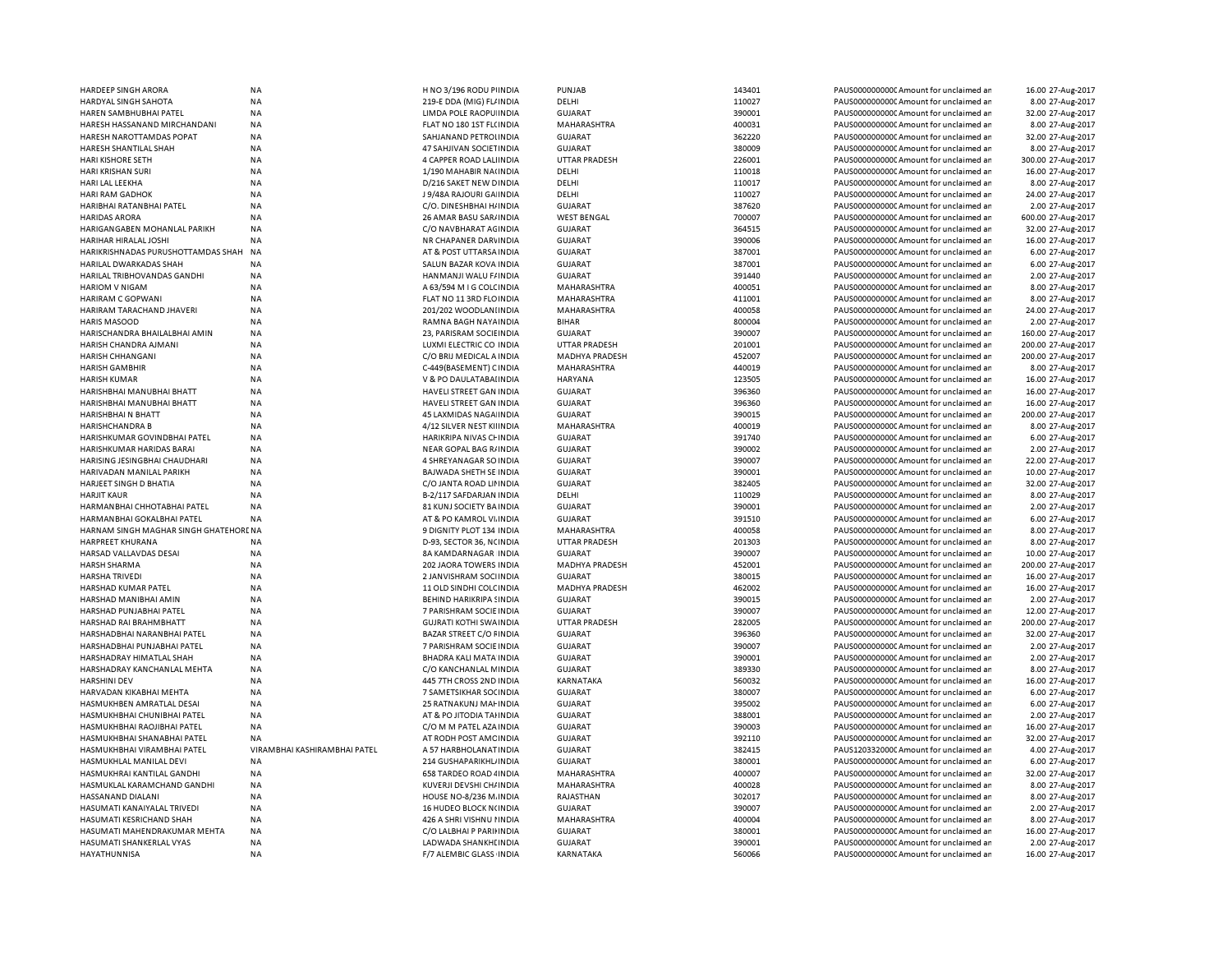| HARDEEP SINGH ARORA                   | <b>NA</b>                    | H NO 3/196 RODU PIINDIA        | PUNJAB                | 143401 | PAUS0000000000 Amount for unclaimed ar | 16.00 27-Aug-2017  |
|---------------------------------------|------------------------------|--------------------------------|-----------------------|--------|----------------------------------------|--------------------|
| HARDYAL SINGH SAHOTA                  | <b>NA</b>                    | 219-E DDA (MIG) FL/ INDIA      | DELHI                 | 110027 | PAUS0000000000 Amount for unclaimed ar | 8.00 27-Aug-2017   |
| HAREN SAMBHUBHAI PATEL                | <b>NA</b>                    | LIMDA POLE RAOPU INDIA         | <b>GUJARAT</b>        | 390001 | PAUS0000000000 Amount for unclaimed ar | 32.00 27-Aug-2017  |
| HARESH HASSANAND MIRCHANDANI          | <b>NA</b>                    | FLAT NO 180 1ST FL(INDIA       | MAHARASHTRA           | 400031 | PAUS0000000000 Amount for unclaimed ar | 8.00 27-Aug-2017   |
| HARESH NAROTTAMDAS POPAT              | <b>NA</b>                    | SAHJANAND PETROLINDIA          | <b>GUJARAT</b>        | 362220 | PAUS0000000000 Amount for unclaimed ar | 32.00 27-Aug-2017  |
| HARESH SHANTILAL SHAH                 | NA                           | 47 SAHJIVAN SOCIETINDIA        | <b>GUJARAT</b>        | 380009 | PAUS00000000000Amount for unclaimed ar | 8.00 27-Aug-2017   |
| HARI KISHORE SETH                     | <b>NA</b>                    | 4 CAPPER ROAD LALIINDIA        | <b>UTTAR PRADESH</b>  | 226001 | PAUS0000000000 Amount for unclaimed ar | 300.00 27-Aug-2017 |
| HARI KRISHAN SURI                     | NA                           | 1/190 MAHABIR NA(INDIA         | DELHI                 | 110018 | PAUS00000000000Amount for unclaimed ar | 16.00 27-Aug-2017  |
| HARI LAL LEEKHA                       | NA                           | D/216 SAKET NEW DINDIA         | DELHI                 | 110017 | PAUS0000000000 Amount for unclaimed ar | 8.00 27-Aug-2017   |
| HARI RAM GADHOK                       | <b>NA</b>                    | J 9/48A RAJOURI GA INDIA       | DELHI                 | 110027 | PAUS0000000000 Amount for unclaimed ar | 24.00 27-Aug-2017  |
| HARIBHAI RATANBHAI PATEL              | <b>NA</b>                    | C/O. DINESHBHAI H/ INDIA       | <b>GUJARAT</b>        | 387620 | PAUS0000000000 Amount for unclaimed ar | 2.00 27-Aug-2017   |
| <b>HARIDAS ARORA</b>                  | NA                           | 26 AMAR BASU SAR/ INDIA        | <b>WEST BENGAL</b>    | 700007 | PAUS0000000000CAmount for unclaimed ar | 600.00 27-Aug-2017 |
| HARIGANGABEN MOHANLAL PARIKH          | NA                           | C/O NAVBHARAT AGINDIA          | <b>GUJARAT</b>        | 364515 | PAUS0000000000 Amount for unclaimed ar | 32.00 27-Aug-2017  |
| HARIHAR HIRALAL JOSHI                 | <b>NA</b>                    | NR CHAPANER DARVINDIA          | <b>GUJARAT</b>        | 390006 | PAUS0000000000CAmount for unclaimed ar | 16.00 27-Aug-2017  |
| HARIKRISHNADAS PURUSHOTTAMDAS SHAH    | NA                           | AT & POST UTTARSA INDIA        | <b>GUJARAT</b>        | 387001 | PAUS0000000000 Amount for unclaimed ar | 6.00 27-Aug-2017   |
| HARILAL DWARKADAS SHAH                | <b>NA</b>                    | SALUN BAZAR KOVA INDIA         | <b>GUJARAT</b>        | 387001 | PAUS0000000000 Amount for unclaimed ar | 6.00 27-Aug-2017   |
| HARILAL TRIBHOVANDAS GANDHI           | ΝA                           | HANMANJI WALU F/INDIA          | GUJARAT               | 391440 | PAUS0000000000 Amount for unclaimed ar | 2.00 27-Aug-2017   |
| <b>HARIOM V NIGAM</b>                 | NA                           | A 63/594 M I G COLCINDIA       | MAHARASHTRA           | 400051 | PAUS0000000000 Amount for unclaimed ar | 8.00 27-Aug-2017   |
|                                       | NA                           |                                |                       | 411001 |                                        | 8.00 27-Aug-2017   |
| HARIRAM C GOPWANI                     |                              | FLAT NO 11 3RD FLOINDIA        | MAHARASHTRA           | 400058 | PAUS0000000000 Amount for unclaimed ar |                    |
| HARIRAM TARACHAND JHAVERI             | <b>NA</b>                    | 201/202 WOODLANIINDIA          | MAHARASHTRA           |        | PAUS0000000000 Amount for unclaimed ar | 24.00 27-Aug-2017  |
| <b>HARIS MASOOD</b>                   | NA                           | RAMNA BAGH NAYA INDIA          | <b>BIHAR</b>          | 800004 | PAUS0000000000CAmount for unclaimed ar | 2.00 27-Aug-2017   |
| HARISCHANDRA BHAILALBHAI AMIN         | NA                           | 23, PARISRAM SOCIEINDIA        | <b>GUJARAT</b>        | 390007 | PAUS0000000000 Amount for unclaimed ar | 160.00 27-Aug-2017 |
| HARISH CHANDRA AJMANI                 | <b>NA</b>                    | LUXMI ELECTRIC CO INDIA        | <b>UTTAR PRADESH</b>  | 201001 | PAUS0000000000CAmount for unclaimed ar | 200.00 27-Aug-2017 |
| HARISH CHHANGANI                      | <b>NA</b>                    | C/O BRIJ MEDICAL A INDIA       | <b>MADHYA PRADESH</b> | 452007 | PAUS0000000000CAmount for unclaimed ar | 200.00 27-Aug-2017 |
| HARISH GAMBHIR                        | <b>NA</b>                    | C-449(BASEMENT) CINDIA         | MAHARASHTRA           | 440019 | PAUS00000000000Amount for unclaimed ar | 8.00 27-Aug-2017   |
| <b>HARISH KUMAR</b>                   | <b>NA</b>                    | V & PO DAULATABAI INDIA        | <b>HARYANA</b>        | 123505 | PAUS0000000000CAmount for unclaimed ar | 16.00 27-Aug-2017  |
| HARISHBHAI MANUBHAI BHATT             | <b>NA</b>                    | HAVELI STREET GAN INDIA        | GUJARAT               | 396360 | PAUS0000000000CAmount for unclaimed ar | 16.00 27-Aug-2017  |
| HARISHBHAI MANUBHAI BHATT             | <b>NA</b>                    | HAVELI STREET GAN INDIA        | <b>GUJARAT</b>        | 396360 | PAUS0000000000CAmount for unclaimed ar | 16.00 27-Aug-2017  |
| HARISHBHAI N BHATT                    | <b>NA</b>                    | 45 LAXMIDAS NAGA INDIA         | <b>GUJARAT</b>        | 390015 | PAUS0000000000CAmount for unclaimed ar | 200.00 27-Aug-2017 |
| HARISHCHANDRA B                       | NA                           | 4/12 SILVER NEST KIIINDIA      | MAHARASHTRA           | 400019 | PAUS0000000000CAmount for unclaimed ar | 8.00 27-Aug-2017   |
| HARISHKUMAR GOVINDBHAI PATEL          | <b>NA</b>                    | HARIKRIPA NIVAS CHINDIA        | <b>GUJARAT</b>        | 391740 | PAUS0000000000 Amount for unclaimed ar | 6.00 27-Aug-2017   |
| HARISHKUMAR HARIDAS BARAI             | NA                           | NEAR GOPAL BAG R/INDIA         | <b>GUJARAT</b>        | 390002 | PAUS0000000000CAmount for unclaimed ar | 2.00 27-Aug-2017   |
| HARISING JESINGBHAI CHAUDHARI         | <b>NA</b>                    | 4 SHREYANAGAR SO INDIA         | <b>GUJARAT</b>        | 390007 | PAUS0000000000 Amount for unclaimed ar | 22.00 27-Aug-2017  |
| HARIVADAN MANILAL PARIKH              | NA                           | BAJWADA SHETH SE INDIA         | <b>GUJARAT</b>        | 390001 | PAUS0000000000CAmount for unclaimed ar | 10.00 27-Aug-2017  |
| HARJEET SINGH D BHATIA                | <b>NA</b>                    | C/O JANTA ROAD LININDIA        | <b>GUJARAT</b>        | 382405 | PAUS0000000000 Amount for unclaimed ar | 32.00 27-Aug-2017  |
| <b>HARJIT KAUR</b>                    | NA                           | B-2/117 SAFDARJAN INDIA        | DELHI                 | 110029 | PAUS0000000000 Amount for unclaimed ar | 8.00 27-Aug-2017   |
| HARMANBHAI CHHOTABHAI PATEL           | <b>NA</b>                    | 81 KUNJ SOCIETY BA INDIA       | <b>GUJARAT</b>        | 390001 | PAUS0000000000CAmount for unclaimed ar | 2.00 27-Aug-2017   |
| HARMANBHAI GOKALBHAI PATEL            | <b>NA</b>                    | AT & PO KAMROL VI. INDIA       | <b>GUJARAT</b>        | 391510 | PAUS0000000000 Amount for unclaimed ar | 6.00 27-Aug-2017   |
| HARNAM SINGH MAGHAR SINGH GHATEHORENA |                              | 9 DIGNITY PLOT 134 INDIA       | MAHARASHTRA           | 400058 | PAUS0000000000CAmount for unclaimed ar | 8.00 27-Aug-2017   |
| HARPREET KHURANA                      | <b>NA</b>                    | D-93, SECTOR 36, NCINDIA       | UTTAR PRADESH         | 201303 | PAUS0000000000Amount for unclaimed ar  | 8.00 27-Aug-2017   |
| HARSAD VALLAVDAS DESAI                | <b>NA</b>                    | 8A KAMDARNAGAR INDIA           | GUJARAT               | 390007 | PAUS0000000000CAmount for unclaimed ar | 10.00 27-Aug-2017  |
| <b>HARSH SHARMA</b>                   | <b>NA</b>                    | <b>202 JAORA TOWERS INDIA</b>  | <b>MADHYA PRADESH</b> | 452001 | PAUS0000000000 Amount for unclaimed ar | 200.00 27-Aug-2017 |
| <b>HARSHA TRIVEDI</b>                 | <b>NA</b>                    | 2 JANVISHRAM SOCHNDIA          | <b>GUJARAT</b>        | 380015 | PAUS0000000000 Amount for unclaimed ar | 16.00 27-Aug-2017  |
| HARSHAD KUMAR PATEL                   | <b>NA</b>                    | 11 OLD SINDHI COLC INDIA       | <b>MADHYA PRADESH</b> | 462002 | PAUS0000000000 Amount for unclaimed ar | 16.00 27-Aug-2017  |
| HARSHAD MANIBHAI AMIN                 | <b>NA</b>                    | <b>BEHIND HARIKRIPA SINDIA</b> | <b>GUJARAT</b>        | 390015 | PAUS0000000000 Amount for unclaimed ar | 2.00 27-Aug-2017   |
| HARSHAD PUNJABHAI PATEL               | <b>NA</b>                    | 7 PARISHRAM SOCIE INDIA        | <b>GUJARAT</b>        | 390007 | PAUS0000000000 Amount for unclaimed ar |                    |
|                                       |                              |                                |                       |        |                                        | 12.00 27-Aug-2017  |
| HARSHAD RAI BRAHMBHATT                | <b>NA</b>                    | <b>GUJRATI KOTHI SWA INDIA</b> | <b>UTTAR PRADESH</b>  | 282005 | PAUS0000000000 Amount for unclaimed ar | 200.00 27-Aug-2017 |
| HARSHADBHAI NARANBHAI PATEL           | <b>NA</b>                    | BAZAR STREET C/O FINDIA        | <b>GUJARAT</b>        | 396360 | PAUS0000000000 Amount for unclaimed ar | 32.00 27-Aug-2017  |
| HARSHADBHAI PUNJABHAI PATEL           | <b>NA</b>                    | 7 PARISHRAM SOCIE INDIA        | <b>GUJARAT</b>        | 390007 | PAUS00000000000Amount for unclaimed ar | 2.00 27-Aug-2017   |
| HARSHADRAY HIMATLAL SHAH              | <b>NA</b>                    | BHADRA KALI MATA INDIA         | <b>GUJARAT</b>        | 390001 | PAUS0000000000 Amount for unclaimed ar | 2.00 27-Aug-2017   |
| HARSHADRAY KANCHANLAL MEHTA           | NA                           | C/O KANCHANLAL MINDIA          | <b>GUJARAT</b>        | 389330 | PAUS0000000000 Amount for unclaimed ar | 8.00 27-Aug-2017   |
| <b>HARSHINI DEV</b>                   | <b>NA</b>                    | 445 7TH CROSS 2ND INDIA        | KARNATAKA             | 560032 | PAUS0000000000 Amount for unclaimed ar | 16.00 27-Aug-2017  |
| HARVADAN KIKABHAI MEHTA               | <b>NA</b>                    | 7 SAMETSIKHAR SOCINDIA         | <b>GUJARAT</b>        | 380007 | PAUS0000000000 Amount for unclaimed ar | 6.00 27-Aug-2017   |
| HASMUKHBEN AMRATLAL DESAI             | <b>NA</b>                    | 25 RATNAKUNJ MAI INDIA         | <b>GUJARAT</b>        | 395002 | PAUS0000000000CAmount for unclaimed ar | 6.00 27-Aug-2017   |
| HASMUKHBHAI CHUNIBHAI PATEL           | NA                           | AT & PO JITODIA TAHNDIA        | <b>GUJARAT</b>        | 388001 | PAUS0000000000CAmount for unclaimed an | 2.00 27-Aug-2017   |
| HASMUKHBHAI RAOJIBHAI PATEL           | <b>NA</b>                    | C/O M M PATEL AZA INDIA        | <b>GUJARAT</b>        | 390003 | PAUS0000000000 Amount for unclaimed ar | 16.00 27-Aug-2017  |
| HASMUKHBHAI SHANABHAI PATEL           | <b>NA</b>                    | AT RODH POST AMC INDIA         | <b>GUJARAT</b>        | 392110 | PAUS0000000000CAmount for unclaimed an | 32.00 27-Aug-2017  |
| HASMUKHBHAI VIRAMBHAI PATEL           | VIRAMBHAI KASHIRAMBHAI PATEL | A 57 HARBHOLANAT INDIA         | <b>GUJARAT</b>        | 382415 | PAUS1203320000 Amount for unclaimed ar | 4.00 27-Aug-2017   |
| HASMUKHLAL MANILAL DEVI               | <b>NA</b>                    | 214 GUSHAPARIKHL INDIA         | <b>GUJARAT</b>        | 380001 | PAUS0000000000CAmount for unclaimed an | 6.00 27-Aug-2017   |
| HASMUKHRAI KANTILAL GANDHI            | <b>NA</b>                    | 658 TARDEO ROAD 4 INDIA        | MAHARASHTRA           | 400007 | PAUS0000000000 Amount for unclaimed ar | 32.00 27-Aug-2017  |
| HASMUKLAL KARAMCHAND GANDHI           | <b>NA</b>                    | KUVERJI DEVSHI CH/ INDIA       | MAHARASHTRA           | 400028 | PAUS0000000000 Amount for unclaimed ar | 8.00 27-Aug-2017   |
| HASSANAND DIALANI                     | NA                           | HOUSE NO-8/236 M. INDIA        | RAJASTHAN             | 302017 | PAUS0000000000 Amount for unclaimed ar | 8.00 27-Aug-2017   |
| HASUMATI KANAIYALAL TRIVEDI           | <b>NA</b>                    | 16 HUDEO BLOCK N(INDIA         | <b>GUJARAT</b>        | 390007 | PAUS0000000000 Amount for unclaimed ar | 2.00 27-Aug-2017   |
| HASUMATI KESRICHAND SHAH              | NA                           | 426 A SHRI VISHNU I INDIA      | MAHARASHTRA           | 400004 | PAUS0000000000CAmount for unclaimed ar | 8.00 27-Aug-2017   |
| HASUMATI MAHENDRAKUMAR MEHTA          | <b>NA</b>                    | C/O LALBHAI P PARIHNDIA        | <b>GUJARAT</b>        | 380001 | PAUS0000000000 Amount for unclaimed ar | 16.00 27-Aug-2017  |
| HASUMATI SHANKERLAL VYAS              | NA                           | LADWADA SHANKHI INDIA          | <b>GUJARAT</b>        | 390001 | PAUS0000000000 Amount for unclaimed ar | 2.00 27-Aug-2017   |
| HAYATHUNNISA                          | <b>NA</b>                    | F/7 ALEMBIC GLASS INDIA        | KARNATAKA             | 560066 | PAUS0000000000 Amount for unclaimed ar | 16.00 27-Aug-2017  |
|                                       |                              |                                |                       |        |                                        |                    |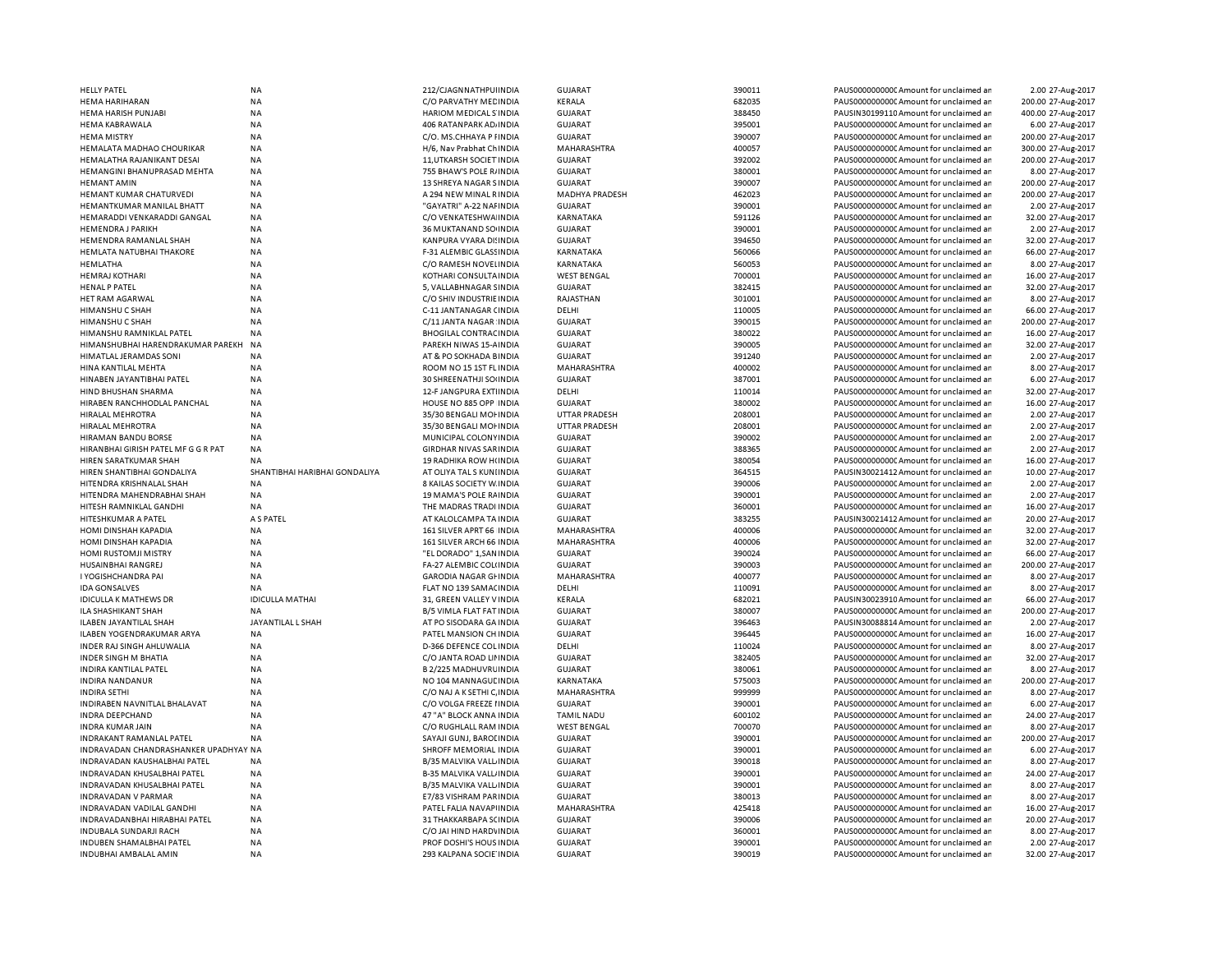| <b>HELLY PATEL</b>                                     | <b>NA</b>                     | 212/CJAGNNATHPUHNDIA                                | <b>GUJARAT</b>                   | 390011           | PAUS0000000000CAmount for unclaimed ar                                            | 2.00 27-Aug-2017                      |
|--------------------------------------------------------|-------------------------------|-----------------------------------------------------|----------------------------------|------------------|-----------------------------------------------------------------------------------|---------------------------------------|
| HEMA HARIHARAN                                         | <b>NA</b>                     | C/O PARVATHY MED INDIA                              | KERALA                           | 682035           | PAUS0000000000 Amount for unclaimed ar                                            | 200.00 27-Aug-2017                    |
| HEMA HARISH PUNJABI                                    | <b>NA</b>                     | HARIOM MEDICAL S'INDIA                              | <b>GUJARAT</b>                   | 388450           | PAUSIN30199110 Amount for unclaimed ar                                            | 400.00 27-Aug-2017                    |
| <b>HEMA KABRAWALA</b>                                  | NA                            | 406 RATANPARK AD, INDIA                             | <b>GUJARAT</b>                   | 395001           | PAUS0000000000 Amount for unclaimed ar                                            | 6.00 27-Aug-2017                      |
| <b>HEMA MISTRY</b>                                     | ΝA                            | C/O. MS.CHHAYA P FINDIA                             | GUJARAT                          | 390007           | PAUS0000000000CAmount for unclaimed ar                                            | 200.00 27-Aug-2017                    |
| HEMALATA MADHAO CHOURIKAR                              | <b>NA</b>                     | H/6, Nav Prabhat Ch INDIA                           | MAHARASHTRA                      | 400057           | PAUS0000000000CAmount for unclaimed ar                                            | 300.00 27-Aug-2017                    |
| HEMALATHA RAJANIKANT DESAI                             | <b>NA</b>                     | 11, UTKARSH SOCIET INDIA                            | GUJARAT                          | 392002           | PAUS0000000000CAmount for unclaimed ar                                            | 200.00 27-Aug-2017                    |
| HEMANGINI BHANUPRASAD MEHTA                            | <b>NA</b>                     | 755 BHAW'S POLE R/INDIA                             | GUJARAT                          | 380001           | PAUS0000000000CAmount for unclaimed ar                                            | 8.00 27-Aug-2017                      |
| <b>HEMANT AMIN</b>                                     |                               |                                                     | GUJARAT                          | 390007           |                                                                                   | 200.00 27-Aug-2017                    |
|                                                        | NA                            | 13 SHREYA NAGAR SINDIA                              |                                  | 462023           | PAUS0000000000CAmount for unclaimed ar                                            |                                       |
| HEMANT KUMAR CHATURVEDI                                | <b>NA</b>                     | A 294 NEW MINAL RINDIA                              | <b>MADHYA PRADESH</b>            |                  | PAUS0000000000 Amount for unclaimed ar                                            | 200.00 27-Aug-2017                    |
| HEMANTKUMAR MANILAL BHATT                              | <b>NA</b>                     | "GAYATRI" A-22 NAI INDIA                            | <b>GUJARAT</b>                   | 390001           | PAUS0000000000 Amount for unclaimed ar                                            | 2.00 27-Aug-2017                      |
| HEMARADDI VENKARADDI GANGAL                            | <b>NA</b>                     | C/O VENKATESHWA INDIA                               | KARNATAKA                        | 591126           | PAUS0000000000 Amount for unclaimed ar                                            | 32.00 27-Aug-2017                     |
| <b>HEMENDRA J PARIKH</b>                               | <b>NA</b>                     | 36 MUKTANAND SO INDIA                               | <b>GUJARAT</b>                   | 390001           | PAUS0000000000 Amount for unclaimed ar                                            | 2.00 27-Aug-2017                      |
| HEMENDRA RAMANLAL SHAH                                 | <b>NA</b>                     | KANPURA VYARA DI: INDIA                             | <b>GUJARAT</b>                   | 394650           | PAUS0000000000CAmount for unclaimed ar                                            | 32.00 27-Aug-2017                     |
| HEMLATA NATUBHAI THAKORE                               | <b>NA</b>                     | F-31 ALEMBIC GLASS INDIA                            | KARNATAKA                        | 560066           | PAUS0000000000CAmount for unclaimed an                                            | 66.00 27-Aug-2017                     |
| HEMLATHA                                               | <b>NA</b>                     | C/O RAMESH NOVELINDIA                               | <b>KARNATAKA</b>                 | 560053           | PAUS0000000000CAmount for unclaimed ar                                            | 8.00 27-Aug-2017                      |
| <b>HEMRAJ KOTHARI</b>                                  | <b>NA</b>                     | KOTHARI CONSULTA INDIA                              | <b>WEST BENGAL</b>               | 700001           | PAUS0000000000 Amount for unclaimed ar                                            | 16.00 27-Aug-2017                     |
| <b>HENAL P PATEL</b>                                   | NA                            | 5, VALLABHNAGAR SINDIA                              | <b>GUJARAT</b>                   | 382415           | PAUS0000000000 Amount for unclaimed ar                                            | 32.00 27-Aug-2017                     |
| HET RAM AGARWAL                                        | <b>NA</b>                     | C/O SHIV INDUSTRIE INDIA                            | RAJASTHAN                        | 301001           | PAUS0000000000CAmount for unclaimed ar                                            | 8.00 27-Aug-2017                      |
| HIMANSHU C SHAH                                        | <b>NA</b>                     | C-11 JANTANAGAR (INDIA                              | DELHI                            | 110005           | PAUS0000000000 Amount for unclaimed ar                                            | 66.00 27-Aug-2017                     |
| <b>HIMANSHU C SHAH</b>                                 | <b>NA</b>                     | C/11 JANTA NAGAR INDIA                              | <b>GUJARAT</b>                   | 390015           | PAUS0000000000CAmount for unclaimed an                                            | 200.00 27-Aug-2017                    |
| HIMANSHU RAMNIKLAL PATEL                               | NA                            | <b>BHOGILAL CONTRAC INDIA</b>                       | <b>GUJARAT</b>                   | 380022           | PAUS0000000000 Amount for unclaimed ar                                            | 16.00 27-Aug-2017                     |
| HIMANSHUBHAI HARENDRAKUMAR PAREKH                      | NA                            | PAREKH NIWAS 15-AINDIA                              | <b>GUJARAT</b>                   | 390005           | PAUS0000000000 Amount for unclaimed ar                                            | 32.00 27-Aug-2017                     |
| HIMATLAL JERAMDAS SONI                                 | <b>NA</b>                     | AT & PO SOKHADA BINDIA                              | <b>GUJARAT</b>                   | 391240           | PAUS0000000000C Amount for unclaimed ar                                           | 2.00 27-Aug-2017                      |
|                                                        |                               |                                                     |                                  | 400002           |                                                                                   |                                       |
| HINA KANTILAL MEHTA                                    | NA                            | ROOM NO 15 1ST FL INDIA                             | MAHARASHTRA                      |                  | PAUS0000000000 Amount for unclaimed ar                                            | 8.00 27-Aug-2017                      |
| HINABEN JAYANTIBHAI PATEL                              | ΝA                            | 30 SHREENATHJI SOHNDIA                              | <b>GUJARAT</b>                   | 387001           | PAUS0000000000C Amount for unclaimed ar                                           | 6.00 27-Aug-2017                      |
| HIND BHUSHAN SHARMA                                    | <b>NA</b>                     | 12-F JANGPURA EXTIINDIA                             | DELHI                            | 110014           | PAUS0000000000 Amount for unclaimed ar                                            | 32.00 27-Aug-2017                     |
| HIRABEN RANCHHODLAL PANCHAL                            | <b>NA</b>                     | HOUSE NO 885 OPP INDIA                              | GUJARAT                          | 380002           | PAUS0000000000CAmount for unclaimed ar                                            | 16.00 27-Aug-2017                     |
| HIRALAL MEHROTRA                                       | <b>NA</b>                     | 35/30 BENGALI MOHNDIA                               | <b>UTTAR PRADESH</b>             | 208001           | PAUS0000000000 Amount for unclaimed ar                                            | 2.00 27-Aug-2017                      |
| <b>HIRALAL MEHROTRA</b>                                | <b>NA</b>                     | 35/30 BENGALI MOI INDIA                             | <b>UTTAR PRADESH</b>             | 208001           | PAUS0000000000 Amount for unclaimed ar                                            | 2.00 27-Aug-2017                      |
| HIRAMAN BANDU BORSE                                    | <b>NA</b>                     | MUNICIPAL COLONY INDIA                              | <b>GUJARAT</b>                   | 390002           | PAUS0000000000CAmount for unclaimed ar                                            | 2.00 27-Aug-2017                      |
| HIRANBHAI GIRISH PATEL MF G G R PAT                    | <b>NA</b>                     | GIRDHAR NIVAS SARINDIA                              | GUJARAT                          | 388365           | PAUS0000000000CAmount for unclaimed an                                            | 2.00 27-Aug-2017                      |
| HIREN SARATKUMAR SHAH                                  | <b>NA</b>                     | 19 RADHIKA ROW HUNDIA                               | <b>GUJARAT</b>                   | 380054           | PAUS0000000000CAmount for unclaimed ar                                            | 16.00 27-Aug-2017                     |
| HIREN SHANTIBHAI GONDALIYA                             | SHANTIBHAI HARIBHAI GONDALIYA | AT OLIYA TAL S KUNI INDIA                           | <b>GUJARAT</b>                   | 364515           | PAUSIN30021412 Amount for unclaimed ar                                            | 10.00 27-Aug-2017                     |
| HITENDRA KRISHNALAL SHAH                               | <b>NA</b>                     | 8 KAILAS SOCIETY W. INDIA                           | GUJARAT                          | 390006           | PAUS0000000000CAmount for unclaimed ar                                            | 2.00 27-Aug-2017                      |
| HITENDRA MAHENDRABHAI SHAH                             | <b>NA</b>                     | 19 MAMA'S POLE RAINDIA                              | <b>GUJARAT</b>                   | 390001           | PAUS0000000000CAmount for unclaimed ar                                            | 2.00 27-Aug-2017                      |
| HITESH RAMNIKLAL GANDHI                                | NA                            | THE MADRAS TRADI INDIA                              | <b>GUJARAT</b>                   | 360001           | PAUS0000000000 Amount for unclaimed ar                                            | 16.00 27-Aug-2017                     |
| HITESHKUMAR A PATEL                                    | A S PATEL                     | AT KALOLCAMPA TA INDIA                              | <b>GUJARAT</b>                   | 383255           | PAUSIN30021412 Amount for unclaimed ar                                            | 20.00 27-Aug-2017                     |
| HOMI DINSHAH KAPADIA                                   | <b>NA</b>                     | 161 SILVER APRT 66 INDIA                            | MAHARASHTRA                      | 400006           | PAUS0000000000 Amount for unclaimed ar                                            | 32.00 27-Aug-2017                     |
| <b>HOMI DINSHAH KAPADIA</b>                            | <b>NA</b>                     | 161 SILVER ARCH 66 INDIA                            | <b>MAHARASHTRA</b>               | 400006           | PAUS0000000000 Amount for unclaimed ar                                            | 32.00 27-Aug-2017                     |
| HOMI RUSTOMJI MISTRY                                   | NA                            | "EL DORADO" 1, SAN INDIA                            | <b>GUJARAT</b>                   | 390024           | PAUS0000000000 Amount for unclaimed ar                                            | 66.00 27-Aug-2017                     |
| HUSAINBHAI RANGREJ                                     | NA                            | FA-27 ALEMBIC COLUNDIA                              | <b>GUJARAT</b>                   | 390003           | PAUS0000000000 Amount for unclaimed ar                                            | 200.00 27-Aug-2017                    |
|                                                        |                               |                                                     |                                  |                  |                                                                                   |                                       |
| I YOGISHCHANDRA PAI                                    | NA                            |                                                     |                                  |                  |                                                                                   |                                       |
| <b>IDA GONSALVES</b>                                   |                               | GARODIA NAGAR GHNDIA                                | MAHARASHTRA                      | 400077           | PAUS0000000000C Amount for unclaimed ar                                           | 8.00 27-Aug-2017                      |
| <b>IDICULLA K MATHEWS DR</b>                           | <b>NA</b>                     | FLAT NO 139 SAMACINDIA                              | DELHI                            | 110091           | PAUS0000000000 Amount for unclaimed ar                                            | 8.00 27-Aug-2017                      |
|                                                        | <b>IDICULLA MATHAI</b>        | 31, GREEN VALLEY V INDIA                            | KERALA                           | 682021           | PAUSIN30023910 Amount for unclaimed ar                                            | 66.00 27-Aug-2017                     |
| ILA SHASHIKANT SHAH                                    | <b>NA</b>                     | B/5 VIMLA FLAT FAT INDIA                            | <b>GUJARAT</b>                   | 380007           | PAUS0000000000 Amount for unclaimed ar                                            | 200.00 27-Aug-2017                    |
| ILABEN JAYANTILAL SHAH                                 | JAYANTILAL L SHAH             | AT PO SISODARA GA INDIA                             | <b>GUJARAT</b>                   | 396463           | PAUSIN30088814 Amount for unclaimed ar                                            | 2.00 27-Aug-2017                      |
| ILABEN YOGENDRAKUMAR ARYA                              | <b>NA</b>                     | PATEL MANSION CH INDIA                              | GUJARAT                          | 396445           | PAUS0000000000CAmount for unclaimed ar                                            | 16.00 27-Aug-2017                     |
| INDER RAJ SINGH AHLUWALIA                              | <b>NA</b>                     | D-366 DEFENCE COL INDIA                             | DELHI                            | 110024           | PAUS0000000000CAmount for unclaimed ar                                            | 8.00 27-Aug-2017                      |
| <b>INDER SINGH M BHATIA</b>                            | <b>NA</b>                     | C/O JANTA ROAD LII INDIA                            | GUJARAT                          | 382405           | PAUS0000000000CAmount for unclaimed ar                                            | 32.00 27-Aug-2017                     |
| INDIRA KANTILAL PATEL                                  | <b>NA</b>                     | B 2/225 MADHUVRLINDIA                               | GUJARAT                          | 380061           | PAUS0000000000CAmount for unclaimed ar                                            | 8.00 27-Aug-2017                      |
| INDIRA NANDANUR                                        | <b>NA</b>                     | NO 104 MANNAGUL INDIA                               | KARNATAKA                        | 575003           | PAUS0000000000CAmount for unclaimed ar                                            | 200.00 27-Aug-2017                    |
|                                                        | <b>NA</b>                     |                                                     | <b>MAHARASHTRA</b>               |                  | PAUS0000000000 Amount for unclaimed ar                                            |                                       |
| <b>INDIRA SETHI</b>                                    |                               | C/O NAJ A K SETHI C, INDIA                          | <b>GUJARAT</b>                   | 999999           |                                                                                   | 8.00 27-Aug-2017                      |
| INDIRABEN NAVNITLAL BHALAVAT<br><b>INDRA DEEPCHAND</b> | <b>NA</b><br><b>NA</b>        | C/O VOLGA FREEZE I INDIA<br>47 "A" BLOCK ANNA INDIA | <b>TAMIL NADU</b>                | 390001           | PAUS0000000000CAmount for unclaimed ar<br>PAUS0000000000 Amount for unclaimed ar  | 6.00 27-Aug-2017                      |
|                                                        |                               |                                                     |                                  | 600102           |                                                                                   | 24.00 27-Aug-2017                     |
| <b>INDRA KUMAR JAIN</b>                                | NA                            | C/O RUGHLALL RAM INDIA                              | <b>WEST BENGAL</b>               | 700070           | PAUS0000000000 Amount for unclaimed ar                                            | 8.00 27-Aug-2017                      |
| <b>INDRAKANT RAMANLAL PATEL</b>                        | <b>NA</b>                     | SAYAJI GUNJ, BAROI INDIA                            | <b>GUJARAT</b>                   | 390001           | PAUS0000000000 Amount for unclaimed ar                                            | 200.00 27-Aug-2017                    |
| INDRAVADAN CHANDRASHANKER UPADHYAY NA                  |                               | SHROFF MEMORIAL INDIA                               | <b>GUJARAT</b>                   | 390001           | PAUS0000000000 Amount for unclaimed ar                                            | 6.00 27-Aug-2017                      |
| <b>INDRAVADAN KAUSHALBHAI PATEL</b>                    | <b>NA</b>                     | <b>B/35 MALVIKA VALL INDIA</b>                      | <b>GUJARAT</b>                   | 390018           | PAUS0000000000 Amount for unclaimed ar                                            | 8.00 27-Aug-2017                      |
| INDRAVADAN KHUSALBHAI PATEL                            | <b>NA</b>                     | <b>B-35 MALVIKA VALLINDIA</b>                       | GUJARAT                          | 390001           | PAUS0000000000 Amount for unclaimed ar                                            | 24.00 27-Aug-2017                     |
| INDRAVADAN KHUSALBHAI PATEL                            | <b>NA</b>                     | B/35 MALVIKA VALL INDIA                             | <b>GUJARAT</b>                   | 390001           | PAUS0000000000 Amount for unclaimed ar                                            | 8.00 27-Aug-2017                      |
| <b>INDRAVADAN V PARMAR</b>                             | <b>NA</b>                     | E7/83 VISHRAM PARINDIA                              | <b>GUJARAT</b>                   | 380013           | PAUS0000000000CAmount for unclaimed ar                                            | 8.00 27-Aug-2017                      |
| INDRAVADAN VADILAL GANDHI                              | <b>NA</b>                     | PATEL FALIA NAVAPIINDIA                             | MAHARASHTRA                      | 425418           | PAUS0000000000 Amount for unclaimed ar                                            | 16.00 27-Aug-2017                     |
| INDRAVADANBHAI HIRABHAI PATEL                          | <b>NA</b>                     | 31 THAKKARBAPA SCINDIA                              | <b>GUJARAT</b>                   | 390006           | PAUS0000000000 Amount for unclaimed ar                                            | 20.00 27-Aug-2017                     |
| INDUBALA SUNDARJI RACH                                 | NA                            | C/O JAI HIND HARDVINDIA                             | <b>GUJARAT</b>                   | 360001           | PAUS0000000000 Amount for unclaimed ar                                            | 8.00 27-Aug-2017                      |
| INDUBEN SHAMALBHAI PATEL<br>INDUBHAI AMBALAL AMIN      | NA<br>NA                      | PROF DOSHI'S HOUS INDIA<br>293 KALPANA SOCIE INDIA  | <b>GUJARAT</b><br><b>GUJARAT</b> | 390001<br>390019 | PAUS0000000000C Amount for unclaimed ar<br>PAUS0000000000 Amount for unclaimed ar | 2.00 27-Aug-2017<br>32.00 27-Aug-2017 |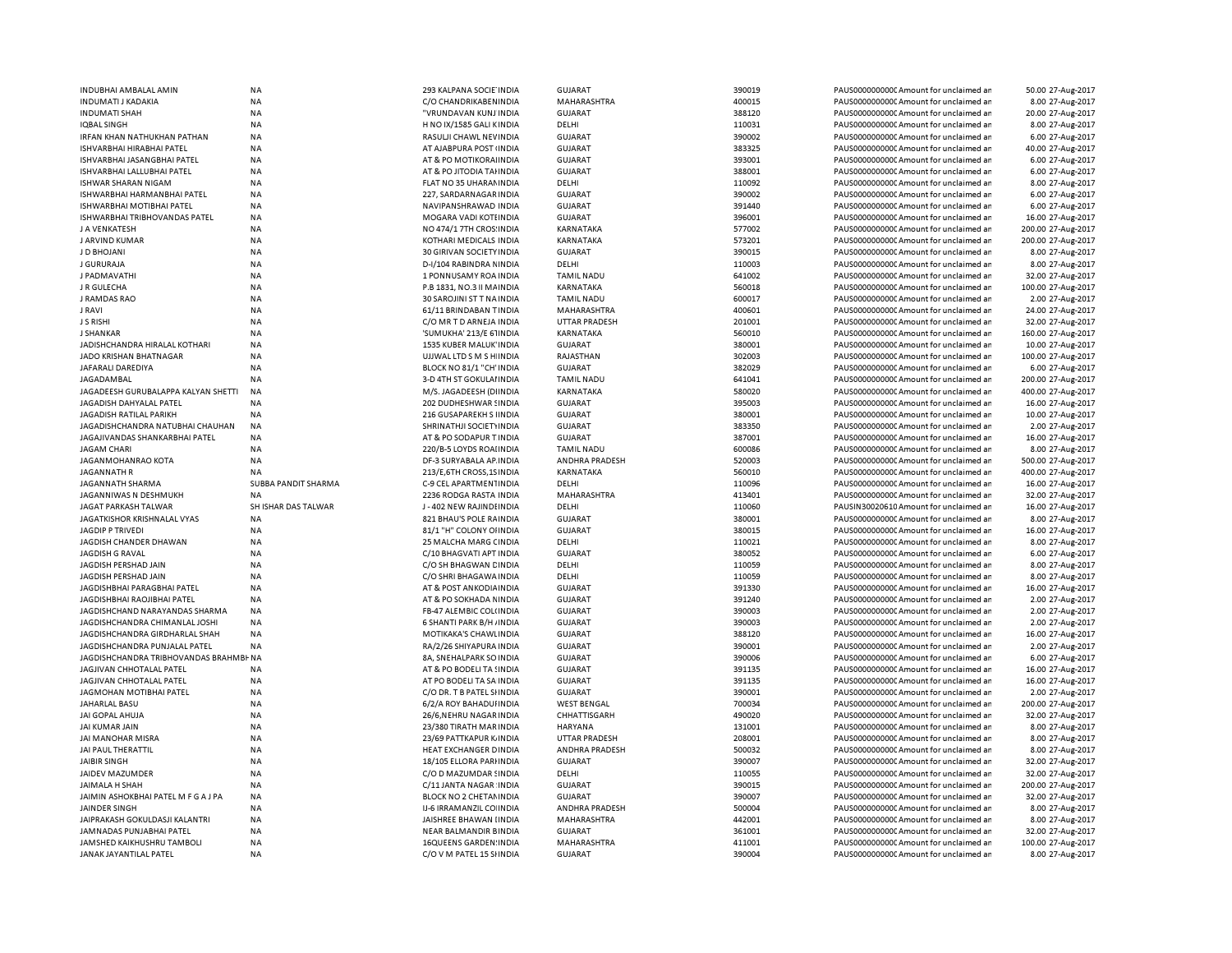| INDUBHAI AMBALAL AMIN                                         | NA                  | 293 KALPANA SOCIE INDIA                                   | <b>GUJARAT</b>                   | 390019           | PAUS0000000000 Amount for unclaimed ar                                           | 50.00 27-Aug-2017  |
|---------------------------------------------------------------|---------------------|-----------------------------------------------------------|----------------------------------|------------------|----------------------------------------------------------------------------------|--------------------|
| INDUMATI J KADAKIA                                            | <b>NA</b>           | C/O CHANDRIKABEN INDIA                                    | MAHARASHTRA                      | 400015           | PAUS0000000000 Amount for unclaimed ar                                           | 8.00 27-Aug-2017   |
| <b>INDUMATI SHAH</b>                                          | <b>NA</b>           | "VRUNDAVAN KUNJ INDIA                                     | <b>GUJARAT</b>                   | 388120           | PAUS0000000000 Amount for unclaimed ar                                           | 20.00 27-Aug-2017  |
| IQBAL SINGH                                                   | NA                  | H NO IX/1585 GALI KINDIA                                  | DELHI                            | 110031           | PAUS0000000000 Amount for unclaimed ar                                           | 8.00 27-Aug-2017   |
| IRFAN KHAN NATHUKHAN PATHAN                                   | <b>NA</b>           | RASULJI CHAWL NEVINDIA                                    | <b>GUJARAT</b>                   | 390002           | PAUS0000000000 Amount for unclaimed ar                                           | 6.00 27-Aug-2017   |
| ISHVARBHAI HIRABHAI PATEL                                     | <b>NA</b>           | AT AJABPURA POST (INDIA                                   | <b>GUJARAT</b>                   | 383325           | PAUS0000000000 Amount for unclaimed ar                                           | 40.00 27-Aug-2017  |
| ISHVARBHAI JASANGBHAI PATEL                                   | <b>NA</b>           | AT & PO MOTIKORAHNDIA                                     | <b>GUJARAT</b>                   | 393001           | PAUS0000000000 Amount for unclaimed ar                                           | 6.00 27-Aug-2017   |
| ISHVARBHAI LALLUBHAI PATEL                                    | NA                  | AT & PO JITODIA TAHNDIA                                   | <b>GUJARAT</b>                   | 388001           | PAUS0000000000 Amount for unclaimed ar                                           | 6.00 27-Aug-2017   |
| ISHWAR SHARAN NIGAM                                           | <b>NA</b>           | FLAT NO 35 UHARAM INDIA                                   | DELHI                            | 110092           | PAUS0000000000 Amount for unclaimed ar                                           | 8.00 27-Aug-2017   |
| ISHWARBHAI HARMANBHAI PATEL                                   | <b>NA</b>           | 227, SARDARNAGAR INDIA                                    | <b>GUJARAT</b>                   | 390002           | PAUS0000000000 Amount for unclaimed ar                                           | 6.00 27-Aug-2017   |
| ISHWARBHAI MOTIBHAI PATEL                                     | ΝA                  | NAVIPANSHRAWAD INDIA                                      | GUJARAT                          | 391440           | PAUS0000000000 Amount for unclaimed ar                                           | 6.00 27-Aug-2017   |
| ISHWARBHAI TRIBHOVANDAS PATEL                                 | <b>NA</b>           | MOGARA VADI KOTI INDIA                                    | <b>GUJARAT</b>                   | 396001           | PAUS0000000000CAmount for unclaimed ar                                           | 16.00 27-Aug-2017  |
|                                                               |                     |                                                           |                                  | 577002           |                                                                                  |                    |
| J A VENKATESH                                                 | NA                  | NO 474/1 7TH CROS: INDIA                                  | KARNATAKA                        |                  | PAUS0000000000CAmount for unclaimed ar                                           | 200.00 27-Aug-2017 |
| J ARVIND KUMAR                                                | <b>NA</b>           | KOTHARI MEDICALS INDIA                                    | KARNATAKA                        | 573201           | PAUS0000000000CAmount for unclaimed ar                                           | 200.00 27-Aug-2017 |
| <b>J D BHOJANI</b>                                            | <b>NA</b>           | 30 GIRIVAN SOCIETY INDIA                                  | <b>GUJARAT</b>                   | 390015           | PAUS0000000000CAmount for unclaimed ar                                           | 8.00 27-Aug-2017   |
| J GURURAJA                                                    | <b>NA</b>           | D-I/104 RABINDRA NINDIA                                   | DELHI                            | 110003           | PAUS0000000000CAmount for unclaimed ar                                           | 8.00 27-Aug-2017   |
| J PADMAVATHI                                                  | <b>NA</b>           | 1 PONNUSAMY ROA INDIA                                     | <b>TAMIL NADU</b>                | 641002           | PAUS0000000000 Amount for unclaimed ar                                           | 32.00 27-Aug-2017  |
| J R GULECHA                                                   | <b>NA</b>           | P.B 1831, NO.3 II MAINDIA                                 | <b>KARNATAKA</b>                 | 560018           | PAUS0000000000 Amount for unclaimed ar                                           | 100.00 27-Aug-2017 |
| J RAMDAS RAO                                                  | <b>NA</b>           | 30 SAROJINI ST T NA INDIA                                 | <b>TAMIL NADU</b>                | 600017           | PAUS0000000000 Amount for unclaimed ar                                           | 2.00 27-Aug-2017   |
| J RAVI                                                        | <b>NA</b>           | 61/11 BRINDABAN TINDIA                                    | MAHARASHTRA                      | 400601           | PAUS0000000000 Amount for unclaimed ar                                           | 24.00 27-Aug-2017  |
| J S RISHI                                                     | <b>NA</b>           | C/O MR T D ARNEJA INDIA                                   | <b>UTTAR PRADESH</b>             | 201001           | PAUS0000000000CAmount for unclaimed ar                                           | 32.00 27-Aug-2017  |
| <b>J SHANKAR</b>                                              | <b>NA</b>           | 'SUMUKHA' 213/E 61INDIA                                   | <b>KARNATAKA</b>                 | 560010           | PAUS0000000000CAmount for unclaimed ar                                           | 160.00 27-Aug-2017 |
| JADISHCHANDRA HIRALAL KOTHARI                                 | <b>NA</b>           | 1535 KUBER MALUK' INDIA                                   | GUJARAT                          | 380001           | PAUS0000000000 Amount for unclaimed ar                                           | 10.00 27-Aug-2017  |
| JADO KRISHAN BHATNAGAR                                        | <b>NA</b>           | UJJWAL LTD S M S H INDIA                                  | RAJASTHAN                        | 302003           | PAUS0000000000 Amount for unclaimed ar                                           | 100.00 27-Aug-2017 |
| <b>JAFARALI DAREDIYA</b>                                      | <b>NA</b>           | BLOCK NO 81/1 "CH' INDIA                                  | <b>GUJARAT</b>                   | 382029           | PAUS0000000000CAmount for unclaimed an                                           | 6.00 27-Aug-2017   |
| JAGADAMBAL                                                    | <b>NA</b>           | 3-D 4TH ST GOKULAI INDIA                                  | <b>TAMIL NADU</b>                | 641041           | PAUS0000000000 Amount for unclaimed ar                                           | 200.00 27-Aug-2017 |
| JAGADEESH GURUBALAPPA KALYAN SHETTI                           | <b>NA</b>           | M/S. JAGADEESH (DIINDIA                                   | KARNATAKA                        | 580020           | PAUS0000000000 Amount for unclaimed ar                                           | 400.00 27-Aug-2017 |
| JAGADISH DAHYALAL PATEL                                       | <b>NA</b>           | 202 DUDHESHWAR SINDIA                                     | <b>GUJARAT</b>                   | 395003           | PAUS0000000000 Amount for unclaimed ar                                           | 16.00 27-Aug-2017  |
| JAGADISH RATILAL PARIKH                                       | <b>NA</b>           | 216 GUSAPAREKH S IINDIA                                   | <b>GUJARAT</b>                   | 380001           | PAUS0000000000 Amount for unclaimed ar                                           | 10.00 27-Aug-2017  |
| JAGADISHCHANDRA NATUBHAI CHAUHAN                              | NA                  | SHRINATHJI SOCIETYINDIA                                   | <b>GUJARAT</b>                   | 383350           | PAUS0000000000 Amount for unclaimed ar                                           | 2.00 27-Aug-2017   |
| JAGAJIVANDAS SHANKARBHAI PATEL                                | <b>NA</b>           | AT & PO SODAPUR T INDIA                                   | <b>GUJARAT</b>                   | 387001           | PAUS0000000000 Amount for unclaimed ar                                           | 16.00 27-Aug-2017  |
|                                                               |                     |                                                           |                                  |                  |                                                                                  |                    |
| JAGAM CHARI                                                   | NA                  | 220/B-5 LOYDS ROAHNDIA                                    | <b>TAMIL NADU</b>                | 600086           | PAUS00000000000Amount for unclaimed ar                                           | 8.00 27-Aug-2017   |
| JAGANMOHANRAO KOTA                                            | NA                  | DF-3 SURYABALA AP INDIA                                   | ANDHRA PRADESH                   | 520003<br>560010 | PAUS0000000000 Amount for unclaimed ar                                           | 500.00 27-Aug-2017 |
| JAGANNATH R                                                   | ΝA                  |                                                           |                                  |                  |                                                                                  |                    |
|                                                               |                     | 213/E, 6TH CROSS, 1S INDIA                                | KARNATAKA                        |                  | PAUS00000000000Amount for unclaimed ar                                           | 400.00 27-Aug-2017 |
| JAGANNATH SHARMA                                              | SUBBA PANDIT SHARMA | C-9 CEL APARTMENTINDIA                                    | DELHI                            | 110096           | PAUS0000000000 Amount for unclaimed ar                                           | 16.00 27-Aug-2017  |
| JAGANNIWAS N DESHMUKH                                         | <b>NA</b>           | 2236 RODGA RASTA INDIA                                    | MAHARASHTRA                      | 413401           | PAUS0000000000 Amount for unclaimed ar                                           | 32.00 27-Aug-2017  |
| JAGAT PARKASH TALWAR                                          | SH ISHAR DAS TALWAR | J-402 NEW RAJINDI INDIA                                   | DELHI                            | 110060           | PAUSIN30020610 Amount for unclaimed ar                                           | 16.00 27-Aug-2017  |
| JAGATKISHOR KRISHNALAL VYAS                                   | <b>NA</b>           | 821 BHAU'S POLE RAINDIA                                   | <b>GUJARAT</b>                   | 380001           | PAUS0000000000 Amount for unclaimed ar                                           | 8.00 27-Aug-2017   |
| <b>JAGDIP P TRIVEDI</b>                                       | <b>NA</b>           | 81/1 "H" COLONY OHNDIA                                    | <b>GUJARAT</b>                   | 380015           | PAUS0000000000 Amount for unclaimed ar                                           | 16.00 27-Aug-2017  |
| JAGDISH CHANDER DHAWAN                                        | <b>NA</b>           | 25 MALCHA MARG CINDIA                                     | DELHI                            | 110021           | PAUS0000000000 Amount for unclaimed ar                                           | 8.00 27-Aug-2017   |
| JAGDISH G RAVAL                                               | <b>NA</b>           | C/10 BHAGVATI APT INDIA                                   | <b>GUJARAT</b>                   | 380052           | PAUS0000000000CAmount for unclaimed ar                                           | 6.00 27-Aug-2017   |
| JAGDISH PERSHAD JAIN                                          | <b>NA</b>           | C/O SH BHAGWAN CINDIA                                     | DELHI                            | 110059           | PAUS0000000000CAmount for unclaimed ar                                           | 8.00 27-Aug-2017   |
| JAGDISH PERSHAD JAIN                                          | <b>NA</b>           | C/O SHRI BHAGAWA INDIA                                    | DELHI                            | 110059           | PAUS0000000000CAmount for unclaimed ar                                           | 8.00 27-Aug-2017   |
| JAGDISHBHAI PARAGBHAI PATEL                                   | <b>NA</b>           | AT & POST ANKODIA INDIA                                   | <b>GUJARAT</b>                   | 391330           | PAUS0000000000CAmount for unclaimed ar                                           | 16.00 27-Aug-2017  |
|                                                               |                     |                                                           |                                  |                  |                                                                                  |                    |
| JAGDISHBHAI RAOJIBHAI PATEL<br>JAGDISHCHAND NARAYANDAS SHARMA | NA<br><b>NA</b>     | AT & PO SOKHADA N INDIA<br><b>FB-47 ALEMBIC COL(INDIA</b> | <b>GUJARAT</b><br><b>GUJARAT</b> | 391240<br>390003 | PAUS0000000000CAmount for unclaimed ar<br>PAUS0000000000 Amount for unclaimed ar | 2.00 27-Aug-2017   |
|                                                               |                     |                                                           |                                  | 390003           |                                                                                  | 2.00 27-Aug-2017   |
| JAGDISHCHANDRA CHIMANLAL JOSHI                                | NA                  | 6 SHANTI PARK B/H / INDIA                                 | <b>GUJARAT</b>                   |                  | PAUS0000000000CAmount for unclaimed ar                                           | 2.00 27-Aug-2017   |
| JAGDISHCHANDRA GIRDHARLAL SHAH                                | <b>NA</b>           | MOTIKAKA'S CHAWLINDIA                                     | <b>GUJARAT</b>                   | 388120           | PAUS0000000000 Amount for unclaimed ar                                           | 16.00 27-Aug-2017  |
| JAGDISHCHANDRA PUNJALAL PATEL                                 | <b>NA</b>           | RA/2/26 SHIYAPURA INDIA                                   | <b>GUJARAT</b>                   | 390001           | PAUS0000000000 Amount for unclaimed ar                                           | 2.00 27-Aug-2017   |
| JAGDISHCHANDRA TRIBHOVANDAS BRAHMBI-NA                        |                     | 8A, SNEHALPARK SO INDIA                                   | <b>GUJARAT</b>                   | 390006           | PAUS0000000000CAmount for unclaimed ar                                           | 6.00 27-Aug-2017   |
| JAGJIVAN CHHOTALAL PATEL                                      | <b>NA</b>           | AT & PO BODELI TA SINDIA                                  | <b>GUJARAT</b>                   | 391135           | PAUS0000000000 Amount for unclaimed ar                                           | 16.00 27-Aug-2017  |
| JAGJIVAN CHHOTALAL PATEL                                      | <b>NA</b>           | AT PO BODELI TA SA INDIA                                  | <b>GUJARAT</b>                   | 391135           | PAUS0000000000 Amount for unclaimed ar                                           | 16.00 27-Aug-2017  |
| JAGMOHAN MOTIBHAI PATEL                                       | <b>NA</b>           | C/O DR. T B PATEL SHNDIA                                  | <b>GUJARAT</b>                   | 390001           | PAUS0000000000 Amount for unclaimed ar                                           | 2.00 27-Aug-2017   |
| JAHARLAL BASU                                                 | <b>NA</b>           | 6/2/A ROY BAHADUI INDIA                                   | <b>WEST BENGAL</b>               | 700034           | PAUS0000000000CAmount for unclaimed ar                                           | 200.00 27-Aug-2017 |
| JAI GOPAL AHUJA                                               | <b>NA</b>           | 26/6, NEHRU NAGAR INDIA                                   | CHHATTISGARH                     | 490020           | PAUS0000000000 Amount for unclaimed ar                                           | 32.00 27-Aug-2017  |
| JAI KUMAR JAIN                                                | <b>NA</b>           | 23/380 TIRATH MAR INDIA                                   | HARYANA                          | 131001           | PAUS0000000000 Amount for unclaimed ar                                           | 8.00 27-Aug-2017   |
| JAI MANOHAR MISRA                                             | <b>NA</b>           | 23/69 PATTKAPUR K INDIA                                   | <b>UTTAR PRADESH</b>             | 208001           | PAUS0000000000 Amount for unclaimed ar                                           | 8.00 27-Aug-2017   |
| JAI PAUL THERATTIL                                            | <b>NA</b>           | HEAT EXCHANGER DINDIA                                     | ANDHRA PRADESH                   | 500032           | PAUS0000000000 Amount for unclaimed ar                                           | 8.00 27-Aug-2017   |
| JAIBIR SINGH                                                  | <b>NA</b>           | 18/105 ELLORA PARI INDIA                                  | <b>GUJARAT</b>                   | 390007           | PAUS0000000000CAmount for unclaimed an                                           | 32.00 27-Aug-2017  |
| JAIDEV MAZUMDER                                               | <b>NA</b>           | C/O D MAZUMDAR SINDIA                                     | DELHI                            | 110055           | PAUS0000000000 Amount for unclaimed ar                                           | 32.00 27-Aug-2017  |
| JAIMALA H SHAH                                                | <b>NA</b>           | C/11 JANTA NAGAR INDIA                                    | <b>GUJARAT</b>                   | 390015           | PAUS0000000000 Amount for unclaimed ar                                           | 200.00 27-Aug-2017 |
| JAIMIN ASHOKBHAI PATEL M F G A J PA                           | <b>NA</b>           | BLOCK NO 2 CHETAN INDIA                                   | GUJARAT                          | 390007           | PAUS0000000000 Amount for unclaimed ar                                           | 32.00 27-Aug-2017  |
| JAINDER SINGH                                                 | NA                  | IJ-6 IRRAMANZIL CO INDIA                                  | ANDHRA PRADESH                   | 500004           | PAUS0000000000 Amount for unclaimed ar                                           | 8.00 27-Aug-2017   |
| JAIPRAKASH GOKULDASJI KALANTRI                                | ΝA                  | <b>JAISHREE BHAWAN IINDIA</b>                             | MAHARASHTRA                      | 442001           | PAUS0000000000CAmount for unclaimed ar                                           | 8.00 27-Aug-2017   |
| JAMNADAS PUNJABHAI PATEL                                      | <b>NA</b>           | NEAR BALMANDIR BINDIA                                     | <b>GUJARAT</b>                   | 361001           | PAUS0000000000 Amount for unclaimed ar                                           | 32.00 27-Aug-2017  |
| JAMSHED KAIKHUSHRU TAMBOLI                                    | <b>NA</b>           | 16QUEENS GARDEN: INDIA                                    | MAHARASHTRA                      | 411001           | PAUS0000000000 Amount for unclaimed ar                                           | 100.00 27-Aug-2017 |
| JANAK JAYANTILAL PATEL                                        | NA                  | C/O V M PATEL 15 SHNDIA                                   | GUJARAT                          | 390004           | PAUS0000000000 Amount for unclaimed ar                                           | 8.00 27-Aug-2017   |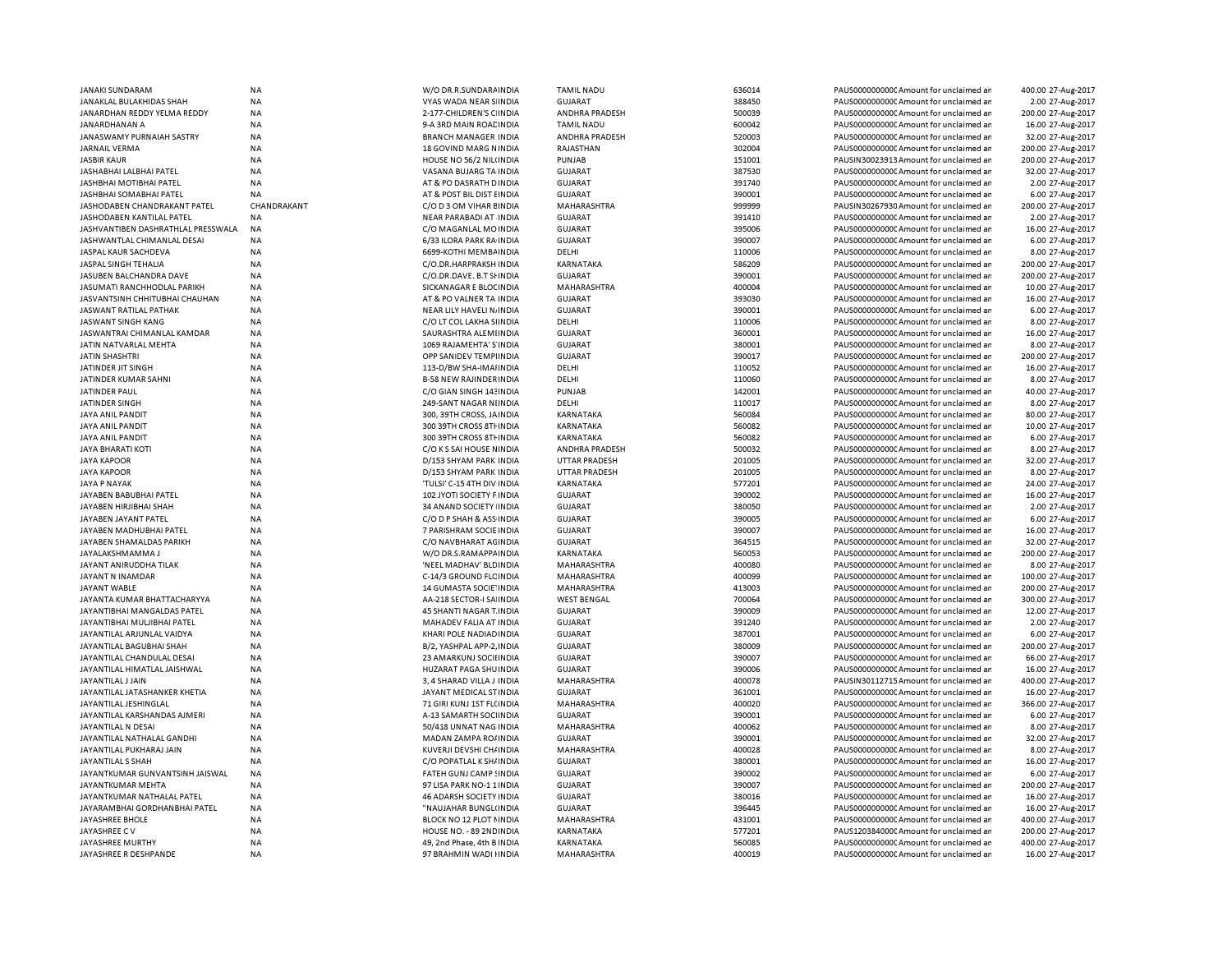| JANAKI SUNDARAM                    | <b>NA</b>   | W/O DR.R.SUNDARA INDIA          | <b>TAMIL NADU</b>             | 636014           | PAUS0000000000 Amount for unclaimed ar                                           | 400.00 27-Aug-2017 |
|------------------------------------|-------------|---------------------------------|-------------------------------|------------------|----------------------------------------------------------------------------------|--------------------|
| JANAKLAL BULAKHIDAS SHAH           | <b>NA</b>   | VYAS WADA NEAR S INDIA          | <b>GUJARAT</b>                | 388450           | PAUS0000000000 Amount for unclaimed ar                                           | 2.00 27-Aug-2017   |
| JANARDHAN REDDY YELMA REDDY        | NA          | 2-177-CHILDREN'S C INDIA        | ANDHRA PRADESH                | 500039           | PAUS0000000000 Amount for unclaimed ar                                           | 200.00 27-Aug-2017 |
| JANARDHANAN A                      | ΝA          | 9-A 3RD MAIN ROACINDIA          | <b>TAMIL NADU</b>             | 600042           | PAUS0000000000 Amount for unclaimed ar                                           | 16.00 27-Aug-2017  |
| JANASWAMY PURNAIAH SASTRY          | <b>NA</b>   | <b>BRANCH MANAGER INDIA</b>     | ANDHRA PRADESH                | 520003           | PAUS0000000000 Amount for unclaimed ar                                           | 32.00 27-Aug-2017  |
| <b>JARNAIL VERMA</b>               | <b>NA</b>   | 18 GOVIND MARG NINDIA           | RAJASTHAN                     | 302004           | PAUS0000000000 Amount for unclaimed ar                                           | 200.00 27-Aug-2017 |
| <b>JASBIR KAUR</b>                 | <b>NA</b>   | HOUSE NO 56/2 NIL(INDIA         | PUNJAB                        | 151001           | PAUSIN30023913 Amount for unclaimed ar                                           | 200.00 27-Aug-2017 |
| JASHABHAI LALBHAI PATEL            | <b>NA</b>   | VASANA BUJARG TA INDIA          | <b>GUJARAT</b>                | 387530           | PAUS0000000000 Amount for unclaimed ar                                           | 32.00 27-Aug-2017  |
| JASHBHAI MOTIBHAI PATEL            | <b>NA</b>   | AT & PO DASRATH D INDIA         | <b>GUJARAT</b>                | 391740           | PAUS0000000000 Amount for unclaimed ar                                           | 2.00 27-Aug-2017   |
| JASHBHAI SOMABHAI PATEL            | <b>NA</b>   | AT & POST BIL DIST EINDIA       | <b>GUJARAT</b>                | 390001           | PAUS0000000000 Amount for unclaimed ar                                           | 6.00 27-Aug-2017   |
| JASHODABEN CHANDRAKANT PATEL       | CHANDRAKANT | C/O D 3 OM VIHAR EINDIA         | MAHARASHTRA                   | 999999           | PAUSIN30267930 Amount for unclaimed ar                                           | 200.00 27-Aug-2017 |
| JASHODABEN KANTILAL PATEL          | <b>NA</b>   | NEAR PARABADI AT INDIA          | <b>GUJARAT</b>                | 391410           | PAUS0000000000 Amount for unclaimed ar                                           | 2.00 27-Aug-2017   |
|                                    |             |                                 |                               | 395006           |                                                                                  | 16.00 27-Aug-2017  |
| JASHVANTIBEN DASHRATHLAL PRESSWALA | NA          | C/O MAGANLAL MOINDIA            | <b>GUJARAT</b>                |                  | PAUS0000000000C Amount for unclaimed ar                                          |                    |
| JASHWANTLAL CHIMANLAL DESAI        | <b>NA</b>   | 6/33 ILORA PARK RA INDIA        | <b>GUJARAT</b>                | 390007           | PAUS0000000000CAmount for unclaimed ar                                           | 6.00 27-Aug-2017   |
| JASPAL KAUR SACHDEVA               | NA          | 6699-KOTHI MEMBAINDIA           | DELHI                         | 110006           | PAUS0000000000CAmount for unclaimed ar                                           | 8.00 27-Aug-2017   |
| JASPAL SINGH TEHALIA               | <b>NA</b>   | C/O.DR.HARPRAKSH INDIA          | KARNATAKA                     | 586209           | PAUS0000000000 Amount for unclaimed ar                                           | 200.00 27-Aug-2017 |
| JASUBEN BALCHANDRA DAVE            | NA          | C/O.DR.DAVE. B.T SHINDIA        | <b>GUJARAT</b>                | 390001           | PAUS0000000000C Amount for unclaimed ar                                          | 200.00 27-Aug-2017 |
| JASUMATI RANCHHODLAL PARIKH        | <b>NA</b>   | SICKANAGAR E BLOCINDIA          | MAHARASHTRA                   | 400004           | PAUS0000000000 Amount for unclaimed ar                                           | 10.00 27-Aug-2017  |
| JASVANTSINH CHHITUBHAI CHAUHAN     | <b>NA</b>   | AT & PO VALNER TA INDIA         | <b>GUJARAT</b>                | 393030           | PAUS0000000000 Amount for unclaimed ar                                           | 16.00 27-Aug-2017  |
| JASWANT RATILAL PATHAK             | <b>NA</b>   | NEAR LILY HAVELI NJINDIA        | <b>GUJARAT</b>                | 390001           | PAUS0000000000CAmount for unclaimed ar                                           | 6.00 27-Aug-2017   |
| JASWANT SINGH KANG                 | NA          | C/O LT COL LAKHA SIINDIA        | DELHI                         | 110006           | PAUS0000000000 Amount for unclaimed ar                                           | 8.00 27-Aug-2017   |
| JASWANTRAI CHIMANLAL KAMDAR        | <b>NA</b>   | SAURASHTRA ALEMIINDIA           | <b>GUJARAT</b>                | 360001           | PAUS0000000000 Amount for unclaimed ar                                           | 16.00 27-Aug-2017  |
| JATIN NATVARLAL MEHTA              | <b>NA</b>   | 1069 RAJAMEHTA' S'INDIA         | <b>GUJARAT</b>                | 380001           | PAUS0000000000CAmount for unclaimed ar                                           | 8.00 27-Aug-2017   |
| JATIN SHASHTRI                     | <b>NA</b>   | OPP SANIDEV TEMPIINDIA          | <b>GUJARAT</b>                | 390017           | PAUS0000000000 Amount for unclaimed ar                                           | 200.00 27-Aug-2017 |
| JATINDER JIT SINGH                 | <b>NA</b>   | 113-D/BW SHA-IMAIINDIA          | DELHI                         | 110052           | PAUS0000000000 Amount for unclaimed ar                                           | 16.00 27-Aug-2017  |
| JATINDER KUMAR SAHNI               | <b>NA</b>   | <b>B-58 NEW RAJINDER INDIA</b>  | DELHI                         | 110060           | PAUS0000000000 Amount for unclaimed ar                                           | 8.00 27-Aug-2017   |
| JATINDER PAUL                      | <b>NA</b>   | C/O GIAN SINGH 143 INDIA        | PUNJAB                        | 142001           | PAUS0000000000CAmount for unclaimed ar                                           | 40.00 27-Aug-2017  |
| JATINDER SINGH                     | <b>NA</b>   | 249-SANT NAGAR NIINDIA          | DELHI                         | 110017           | PAUS0000000000 Amount for unclaimed ar                                           | 8.00 27-Aug-2017   |
| <b>JAYA ANIL PANDIT</b>            | <b>NA</b>   | 300, 39TH CROSS, JAINDIA        | KARNATAKA                     | 560084           | PAUS0000000000 Amount for unclaimed ar                                           | 80.00 27-Aug-2017  |
| JAYA ANIL PANDIT                   | <b>NA</b>   | 300 39TH CROSS 8TH INDIA        | KARNATAKA                     | 560082           | PAUS00000000000Amount for unclaimed ar                                           | 10.00 27-Aug-2017  |
| JAYA ANIL PANDIT                   | <b>NA</b>   | 300 39TH CROSS 8TH INDIA        | KARNATAKA                     | 560082           | PAUS0000000000 Amount for unclaimed ar                                           | 6.00 27-Aug-2017   |
|                                    | <b>NA</b>   |                                 | ANDHRA PRADESH                | 500032           |                                                                                  |                    |
| JAYA BHARATI KOTI                  |             | C/O K S SAI HOUSE NINDIA        |                               |                  | PAUS00000000000Amount for unclaimed ar                                           | 8.00 27-Aug-2017   |
| <b>JAYA KAPOOR</b>                 | <b>NA</b>   | D/153 SHYAM PARK INDIA          | <b>UTTAR PRADESH</b>          | 201005           | PAUS0000000000 Amount for unclaimed ar                                           | 32.00 27-Aug-2017  |
| <b>JAYA KAPOOR</b>                 | ΝA          | D/153 SHYAM PARK INDIA          | <b>UTTAR PRADESH</b>          | 201005           | PAUS0000000000C Amount for unclaimed ar                                          | 8.00 27-Aug-2017   |
| <b>JAYA P NAYAK</b>                | <b>NA</b>   | 'TULSI' C-15 4TH DIV INDIA      | KARNATAKA                     | 577201           | PAUS0000000000 Amount for unclaimed ar                                           | 24.00 27-Aug-2017  |
| JAYABEN BABUBHAI PATEL             | <b>NA</b>   | 102 JYOTI SOCIETY F INDIA       | <b>GUJARAT</b>                | 390002           | PAUS0000000000CAmount for unclaimed ar                                           | 16.00 27-Aug-2017  |
| JAYABEN HIRJIBHAI SHAH             | <b>NA</b>   | 34 ANAND SOCIETY INDIA          | <b>GUJARAT</b>                | 380050           | PAUS0000000000 Amount for unclaimed ar                                           | 2.00 27-Aug-2017   |
| JAYABEN JAYANT PATEL               | NA          | C/O D P SHAH & ASS INDIA        | <b>GUJARAT</b>                | 390005           | PAUS0000000000 Amount for unclaimed ar                                           | 6.00 27-Aug-2017   |
| JAYABEN MADHUBHAI PATEL            | <b>NA</b>   | 7 PARISHRAM SOCIE INDIA         | <b>GUJARAT</b>                | 390007           | PAUS0000000000 Amount for unclaimed ar                                           | 16.00 27-Aug-2017  |
| JAYABEN SHAMALDAS PARIKH           | <b>NA</b>   | C/O NAVBHARAT AGINDIA           | <b>GUJARAT</b>                | 364515           | PAUS0000000000 Amount for unclaimed ar                                           | 32.00 27-Aug-2017  |
| JAYALAKSHMAMMA J                   | <b>NA</b>   | W/O DR.S.RAMAPPA INDIA          | KARNATAKA                     | 560053           | PAUS0000000000CAmount for unclaimed ar                                           | 200.00 27-Aug-2017 |
| JAYANT ANIRUDDHA TILAK             | <b>NA</b>   | 'NEEL MADHAV' BLD INDIA         | MAHARASHTRA                   | 400080           | PAUS0000000000 Amount for unclaimed ar                                           | 8.00 27-Aug-2017   |
| JAYANT N INAMDAR                   | NA          | C-14/3 GROUND FLC INDIA         | MAHARASHTRA                   | 400099           | PAUS0000000000C Amount for unclaimed ar                                          | 100.00 27-Aug-2017 |
| JAYANT WABLE                       | <b>NA</b>   | 14 GUMASTA SOCIE" INDIA         | MAHARASHTRA                   | 413003           | PAUS0000000000 Amount for unclaimed ar                                           | 200.00 27-Aug-2017 |
| JAYANTA KUMAR BHATTACHARYYA        | NA          | AA-218 SECTOR-I SA INDIA        | <b>WEST BENGAL</b>            | 700064           | PAUS0000000000C Amount for unclaimed ar                                          | 300.00 27-Aug-2017 |
| JAYANTIBHAI MANGALDAS PATEL        | <b>NA</b>   | <b>45 SHANTI NAGAR T. INDIA</b> | <b>GUJARAT</b>                | 390009           | PAUS0000000000 Amount for unclaimed ar                                           | 12.00 27-Aug-2017  |
| JAYANTIBHAI MULJIBHAI PATEL        | NA          | MAHADEV FALIA AT INDIA          | <b>GUJARAT</b>                | 391240           | PAUS0000000000C Amount for unclaimed ar                                          | 2.00 27-Aug-2017   |
| JAYANTILAL ARJUNLAL VAIDYA         | <b>NA</b>   | KHARI POLE NADIAD INDIA         | <b>GUJARAT</b>                | 387001           | PAUS0000000000 Amount for unclaimed ar                                           | 6.00 27-Aug-2017   |
| JAYANTILAL BAGUBHAI SHAH           | <b>NA</b>   | B/2, YASHPAL APP-2, INDIA       | <b>GUJARAT</b>                | 380009           | PAUS0000000000 Amount for unclaimed ar                                           | 200.00 27-Aug-2017 |
| JAYANTILAL CHANDULAL DESAI         | <b>NA</b>   | 23 AMARKUNJ SOCII INDIA         | <b>GUJARAT</b>                | 390007           | PAUS0000000000 Amount for unclaimed ar                                           | 66.00 27-Aug-2017  |
| JAYANTILAL HIMATLAL JAISHWAL       | <b>NA</b>   | HUZARAT PAGA SHU INDIA          | GUJARAT                       | 390006           | PAUS0000000000 Amount for unclaimed ar                                           | 16.00 27-Aug-2017  |
| JAYANTILAL J JAIN                  | <b>NA</b>   | 3, 4 SHARAD VILLA J INDIA       | MAHARASHTRA                   | 400078           | PAUSIN30112715 Amount for unclaimed ar                                           | 400.00 27-Aug-2017 |
| JAYANTILAL JATASHANKER KHETIA      | <b>NA</b>   | JAYANT MEDICAL STINDIA          | <b>GUJARAT</b>                | 361001           | PAUS0000000000 Amount for unclaimed ar                                           | 16.00 27-Aug-2017  |
|                                    |             |                                 |                               |                  |                                                                                  |                    |
| JAYANTILAL JESHINGLAL              | NA          | 71 GIRI KUNJ 1ST FL(INDIA       | MAHARASHTRA<br><b>GUJARAT</b> | 400020<br>390001 | PAUS0000000000CAmount for unclaimed ar<br>PAUS0000000000 Amount for unclaimed ar | 366.00 27-Aug-2017 |
| JAYANTILAL KARSHANDAS AJMERI       | NA          | A-13 SAMARTH SOCHNDIA           |                               |                  |                                                                                  | 6.00 27-Aug-2017   |
| JAYANTILAL N DESAI                 | <b>NA</b>   | 50/418 UNNAT NAG INDIA          | MAHARASHTRA                   | 400062           | PAUS0000000000 Amount for unclaimed ar                                           | 8.00 27-Aug-2017   |
| JAYANTILAL NATHALAL GANDHI         | <b>NA</b>   | MADAN ZAMPA RO/ INDIA           | <b>GUJARAT</b>                | 390001           | PAUS00000000000Amount for unclaimed ar                                           | 32.00 27-Aug-2017  |
| JAYANTILAL PUKHARAJ JAIN           | <b>NA</b>   | KUVERJI DEVSHI CH/ INDIA        | MAHARASHTRA                   | 400028           | PAUS0000000000 Amount for unclaimed ar                                           | 8.00 27-Aug-2017   |
| JAYANTILAL S SHAH                  | <b>NA</b>   | C/O POPATLAL K SH/ INDIA        | <b>GUJARAT</b>                | 380001           | PAUS00000000000Amount for unclaimed ar                                           | 16.00 27-Aug-2017  |
| JAYANTKUMAR GUNVANTSINH JAISWAL    | <b>NA</b>   | FATEH GUNJ CAMP ! INDIA         | <b>GUJARAT</b>                | 390002           | PAUS0000000000 Amount for unclaimed ar                                           | 6.00 27-Aug-2017   |
| JAYANTKUMAR MEHTA                  | <b>NA</b>   | 97 LISA PARK NO-11INDIA         | <b>GUJARAT</b>                | 390007           | PAUS0000000000 Amount for unclaimed ar                                           | 200.00 27-Aug-2017 |
| JAYANTKUMAR NATHALAL PATEL         | <b>NA</b>   | 46 ADARSH SOCIETY INDIA         | <b>GUJARAT</b>                | 380016           | PAUS0000000000C Amount for unclaimed ar                                          | 16.00 27-Aug-2017  |
| JAYARAMBHAI GORDHANBHAI PATEL      | NA          | "NAUJAHAR BUNGL(INDIA           | <b>GUJARAT</b>                | 396445           | PAUS0000000000 Amount for unclaimed ar                                           | 16.00 27-Aug-2017  |
| JAYASHREE BHOLE                    | <b>NA</b>   | BLOCK NO 12 PLOT NINDIA         | <b>MAHARASHTRA</b>            | 431001           | PAUS0000000000C Amount for unclaimed ar                                          | 400.00 27-Aug-2017 |
| JAYASHREE C V                      | <b>NA</b>   | HOUSE NO. - 89 2ND INDIA        | KARNATAKA                     | 577201           | PAUS1203840000 Amount for unclaimed ar                                           | 200.00 27-Aug-2017 |
| JAYASHREE MURTHY                   | <b>NA</b>   | 49, 2nd Phase, 4th B INDIA      | KARNATAKA                     | 560085           | PAUS00000000000Amount for unclaimed ar                                           | 400.00 27-Aug-2017 |
| JAYASHREE R DESHPANDE              | <b>NA</b>   | 97 BRAHMIN WADI HNDIA           | MAHARASHTRA                   | 400019           | PAUS0000000000CAmount for unclaimed ar                                           | 16.00 27-Aug-2017  |
|                                    |             |                                 |                               |                  |                                                                                  |                    |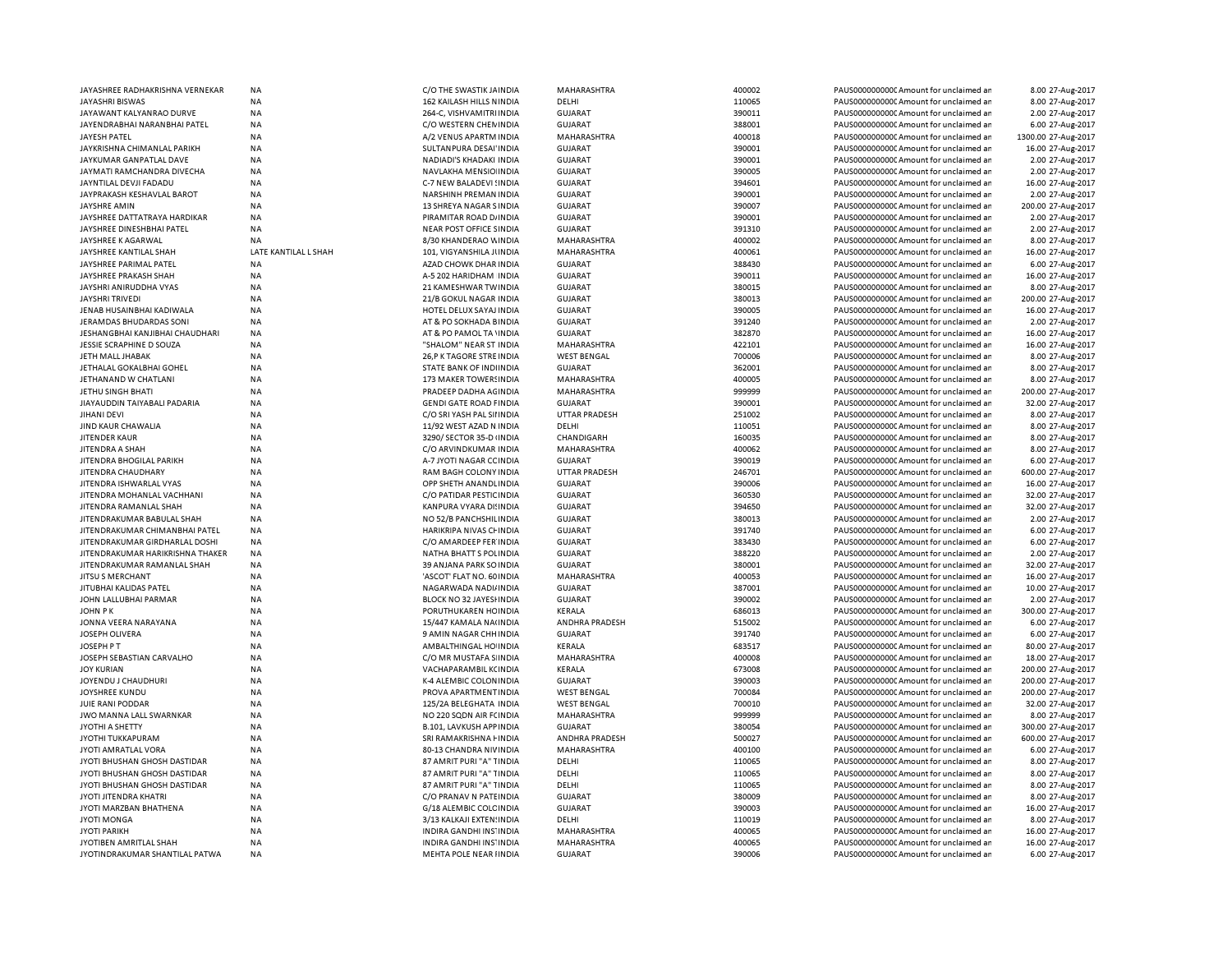| JAYASHREE RADHAKRISHNA VERNEKAR         | <b>NA</b>            | C/O THE SWASTIK JA INDIA                         | MAHARASHTRA                          | 400002 | PAUS0000000000C Amount for unclaimed ar                                          | 8.00 27-Aug-2017    |
|-----------------------------------------|----------------------|--------------------------------------------------|--------------------------------------|--------|----------------------------------------------------------------------------------|---------------------|
| JAYASHRI BISWAS                         | <b>NA</b>            | 162 KAILASH HILLS NINDIA                         | DELHI                                | 110065 | PAUS0000000000 Amount for unclaimed ar                                           | 8.00 27-Aug-2017    |
| JAYAWANT KALYANRAO DURVE                | <b>NA</b>            | 264-C, VISHVAMITRI INDIA                         | <b>GUJARAT</b>                       | 390011 | PAUS0000000000 Amount for unclaimed ar                                           | 2.00 27-Aug-2017    |
| JAYENDRABHAI NARANBHAI PATEL            | <b>NA</b>            | C/O WESTERN CHEN INDIA                           | <b>GUJARAT</b>                       | 388001 | PAUS00000000000Amount for unclaimed an                                           | 6.00 27-Aug-2017    |
| JAYESH PATEL                            | ΝA                   | A/2 VENUS APARTM INDIA                           | MAHARASHTRA                          | 400018 | PAUS0000000000 Amount for unclaimed ar                                           | 1300.00 27-Aug-2017 |
| JAYKRISHNA CHIMANLAL PARIKH             | <b>NA</b>            | SULTANPURA DESAI'INDIA                           | <b>GUJARAT</b>                       | 390001 | PAUS0000000000CAmount for unclaimed ar                                           | 16.00 27-Aug-2017   |
| JAYKUMAR GANPATLAL DAVE                 | <b>NA</b>            | NADIADI'S KHADAKI INDIA                          | <b>GUJARAT</b>                       | 390001 | PAUS0000000000CAmount for unclaimed ar                                           | 2.00 27-Aug-2017    |
| JAYMATI RAMCHANDRA DIVECHA              | <b>NA</b>            | NAVLAKHA MENSIO INDIA                            | <b>GUJARAT</b>                       | 390005 | PAUS0000000000CAmount for unclaimed ar                                           | 2.00 27-Aug-2017    |
| JAYNTILAL DEVJI FADADU                  | NA                   | C-7 NEW BALADEVI ! INDIA                         | <b>GUJARAT</b>                       | 394601 | PAUS0000000000CAmount for unclaimed ar                                           | 16.00 27-Aug-2017   |
| JAYPRAKASH KESHAVLAL BAROT              | <b>NA</b>            | NARSHINH PREMAN INDIA                            | <b>GUJARAT</b>                       | 390001 | PAUS0000000000 Amount for unclaimed ar                                           | 2.00 27-Aug-2017    |
| JAYSHRE AMIN                            | <b>NA</b>            | 13 SHREYA NAGAR SINDIA                           | <b>GUJARAT</b>                       | 390007 | PAUS0000000000 Amount for unclaimed ar                                           | 200.00 27-Aug-2017  |
| JAYSHREE DATTATRAYA HARDIKAR            | <b>NA</b>            | PIRAMITAR ROAD D/ INDIA                          | <b>GUJARAT</b>                       | 390001 | PAUS0000000000CAmount for unclaimed ar                                           | 2.00 27-Aug-2017    |
| JAYSHREE DINESHBHAI PATEL               | <b>NA</b>            | NEAR POST OFFICE SINDIA                          | <b>GUJARAT</b>                       | 391310 | PAUS0000000000 Amount for unclaimed ar                                           | 2.00 27-Aug-2017    |
| JAYSHREE K AGARWAL                      | <b>NA</b>            | 8/30 KHANDERAO V INDIA                           | MAHARASHTRA                          | 400002 | PAUS0000000000CAmount for unclaimed ar                                           | 8.00 27-Aug-2017    |
| JAYSHREE KANTILAL SHAH                  | LATE KANTILAL L SHAH | 101, VIGYANSHILA JUNDIA                          | MAHARASHTRA                          | 400061 | PAUS0000000000Amount for unclaimed ar                                            | 16.00 27-Aug-2017   |
| JAYSHREE PARIMAL PATEL                  | <b>NA</b>            | AZAD CHOWK DHAR INDIA                            | <b>GUJARAT</b>                       | 388430 | PAUS0000000000CAmount for unclaimed ar                                           | 6.00 27-Aug-2017    |
| JAYSHREE PRAKASH SHAH                   | <b>NA</b>            | A-5 202 HARIDHAM INDIA                           | <b>GUJARAT</b>                       | 390011 | PAUS0000000000CAmount for unclaimed ar                                           | 16.00 27-Aug-2017   |
| JAYSHRI ANIRUDDHA VYAS                  | <b>NA</b>            | 21 KAMESHWAR TWINDIA                             | <b>GUJARAT</b>                       | 380015 | PAUS0000000000 Amount for unclaimed ar                                           | 8.00 27-Aug-2017    |
| JAYSHRI TRIVEDI                         | <b>NA</b>            | 21/B GOKUL NAGAR INDIA                           | <b>GUJARAT</b>                       | 380013 | PAUS0000000000 Amount for unclaimed ar                                           | 200.00 27-Aug-2017  |
| JENAB HUSAINBHAI KADIWALA               | <b>NA</b>            | HOTEL DELUX SAYAJ INDIA                          | <b>GUJARAT</b>                       | 390005 | PAUS0000000000 Amount for unclaimed ar                                           | 16.00 27-Aug-2017   |
| JERAMDAS BHUDARDAS SONI                 | <b>NA</b>            | AT & PO SOKHADA BINDIA                           | <b>GUJARAT</b>                       | 391240 | PAUS0000000000CAmount for unclaimed ar                                           | 2.00 27-Aug-2017    |
| JESHANGBHAI KANJIBHAI CHAUDHARI         | <b>NA</b>            | AT & PO PAMOL TA 'INDIA                          | <b>GUJARAT</b>                       | 382870 | PAUS0000000000 Amount for unclaimed ar                                           | 16.00 27-Aug-2017   |
| JESSIE SCRAPHINE D SOUZA                | <b>NA</b>            | "SHALOM" NEAR ST INDIA                           | MAHARASHTRA                          | 422101 | PAUS0000000000 Amount for unclaimed ar                                           | 16.00 27-Aug-2017   |
| JETH MALL JHABAK                        | NA                   | 26, P K TAGORE STRE INDIA                        | <b>WEST BENGAL</b>                   | 700006 | PAUS0000000000CAmount for unclaimed ar                                           | 8.00 27-Aug-2017    |
| JETHALAL GOKALBHAI GOHEL                | <b>NA</b>            | STATE BANK OF INDIINDIA                          | <b>GUJARAT</b>                       | 362001 | PAUS0000000000 Amount for unclaimed ar                                           | 8.00 27-Aug-2017    |
| JETHANAND W CHATLANI                    | NA                   | 173 MAKER TOWERS IN DIA                          | MAHARASHTRA                          | 400005 | PAUS0000000000 Amount for unclaimed ar                                           | 8.00 27-Aug-2017    |
| JETHU SINGH BHATI                       | <b>NA</b>            | PRADEEP DADHA AG INDIA                           | MAHARASHTRA                          | 999999 | PAUS0000000000CAmount for unclaimed ar                                           | 200.00 27-Aug-2017  |
| JIAYAUDDIN TAIYABALI PADARIA            | <b>NA</b>            | <b>GENDI GATE ROAD FINDIA</b>                    | <b>GUJARAT</b>                       | 390001 | PAUS0000000000CAmount for unclaimed ar                                           | 32.00 27-Aug-2017   |
| JIHANI DEVI                             | <b>NA</b>            | C/O SRI YASH PAL SII INDIA                       | <b>UTTAR PRADESH</b>                 | 251002 | PAUS0000000000CAmount for unclaimed ar                                           | 8.00 27-Aug-2017    |
| JIND KAUR CHAWALIA                      | <b>NA</b>            | 11/92 WEST AZAD N INDIA                          | DELHI                                | 110051 | PAUS0000000000CAmount for unclaimed ar                                           | 8.00 27-Aug-2017    |
| JITENDER KAUR                           | <b>NA</b>            | 3290/ SECTOR 35-D (INDIA                         | CHANDIGARH                           | 160035 | PAUS0000000000CAmount for unclaimed ar                                           | 8.00 27-Aug-2017    |
| JITENDRA A SHAH                         | <b>NA</b>            | C/O ARVINDKUMAR INDIA                            | MAHARASHTRA                          | 400062 | PAUS0000000000Amount for unclaimed ar                                            | 8.00 27-Aug-2017    |
| JITENDRA BHOGILAL PARIKH                | <b>NA</b>            | A-7 JYOTI NAGAR CC INDIA                         | GUJARAT                              | 390019 | PAUS0000000000CAmount for unclaimed ar                                           | 6.00 27-Aug-2017    |
| JITENDRA CHAUDHARY                      | <b>NA</b>            | RAM BAGH COLONY INDIA                            | UTTAR PRADESH                        | 246701 | PAUS0000000000 Amount for unclaimed ar                                           | 600.00 27-Aug-2017  |
| JITENDRA ISHWARLAL VYAS                 | <b>NA</b>            | OPP SHETH ANANDLINDIA                            | <b>GUJARAT</b>                       | 390006 | PAUS0000000000CAmount for unclaimed ar                                           | 16.00 27-Aug-2017   |
| JITENDRA MOHANLAL VACHHANI              | <b>NA</b>            | C/O PATIDAR PESTIC INDIA                         | <b>GUJARAT</b>                       | 360530 | PAUS0000000000CAmount for unclaimed ar                                           | 32.00 27-Aug-2017   |
| JITENDRA RAMANLAL SHAH                  | <b>NA</b>            | KANPURA VYARA DI! INDIA                          | <b>GUJARAT</b>                       | 394650 | PAUS0000000000 Amount for unclaimed ar                                           | 32.00 27-Aug-2017   |
| JITEN DRAKUMAR BABULAL SHAH             | <b>NA</b>            | NO 52/B PANCHSHIL INDIA                          | <b>GUJARAT</b>                       | 380013 | PAUS0000000000 Amount for unclaimed ar                                           | 2.00 27-Aug-2017    |
| JITENDRAKUMAR CHIMANBHAI PATEL          | <b>NA</b>            | HARIKRIPA NIVAS CHINDIA                          | <b>GUJARAT</b>                       | 391740 | PAUS0000000000 Amount for unclaimed ar                                           | 6.00 27-Aug-2017    |
| JITENDRAKUMAR GIRDHARLAL DOSHI          | <b>NA</b>            | C/O AMARDEEP FER INDIA                           | <b>GUJARAT</b>                       | 383430 | PAUS0000000000CAmount for unclaimed an                                           | 6.00 27-Aug-2017    |
| JITENDRAKUMAR HARIKRISHNA THAKER        | <b>NA</b>            | NATHA BHATT S POLINDIA                           | <b>GUJARAT</b>                       | 388220 | PAUS0000000000 Amount for unclaimed ar                                           | 2.00 27-Aug-2017    |
| JITENDRAKUMAR RAMANLAL SHAH             | <b>NA</b>            | 39 ANJANA PARK SO INDIA                          | <b>GUJARAT</b>                       | 380001 | PAUS0000000000 Amount for unclaimed ar                                           | 32.00 27-Aug-2017   |
| JITSU S MERCHANT                        | ΝA                   | 'ASCOT' FLAT NO. 60 INDIA                        | MAHARASHTRA                          | 400053 | PAUS0000000000 Amount for unclaimed ar                                           | 16.00 27-Aug-2017   |
| JITUBHAI KALIDAS PATEL                  | <b>NA</b>            | NAGARWADA NADI/INDIA                             | <b>GUJARAT</b>                       | 387001 | PAUS0000000000 Amount for unclaimed ar                                           | 10.00 27-Aug-2017   |
| JOHN LALLUBHAI PARMAR                   | NA                   |                                                  |                                      | 390002 |                                                                                  | 2.00 27-Aug-2017    |
| JOHN P K                                | <b>NA</b>            | BLOCK NO 32 JAYESHINDIA<br>PORUTHUKAREN HCINDIA  | <b>GUJARAT</b><br>KERALA             | 686013 | PAUS0000000000 Amount for unclaimed ar<br>PAUS0000000000 Amount for unclaimed ar | 300.00 27-Aug-2017  |
|                                         |                      |                                                  |                                      | 515002 |                                                                                  | 6.00 27-Aug-2017    |
| JONNA VEERA NARAYANA<br>JOSEPH OLIVERA  | NA<br><b>NA</b>      | 15/447 KAMALA NA(INDIA<br>9 AMIN NAGAR CHH INDIA | ANDHRA PRADESH<br><b>GUJARAT</b>     | 391740 | PAUS0000000000 Amount for unclaimed ar<br>PAUS0000000000CAmount for unclaimed ar | 6.00 27-Aug-2017    |
|                                         | <b>NA</b>            |                                                  | KERALA                               | 683517 |                                                                                  | 80.00 27-Aug-2017   |
| JOSEPH P T<br>JOSEPH SEBASTIAN CARVALHO | <b>NA</b>            | AMBALTHINGAL HO INDIA<br>C/O MR MUSTAFA S INDIA  | MAHARASHTRA                          | 400008 | PAUS00000000000Amount for unclaimed ar<br>PAUS0000000000CAmount for unclaimed ar | 18.00 27-Aug-2017   |
| <b>JOY KURIAN</b>                       | <b>NA</b>            |                                                  | KERALA                               | 673008 | PAUS0000000000CAmount for unclaimed ar                                           | 200.00 27-Aug-2017  |
|                                         |                      | VACHAPARAMBIL KCINDIA                            |                                      | 390003 |                                                                                  |                     |
| JOYENDU J CHAUDHURI                     | <b>NA</b>            | K-4 ALEMBIC COLON INDIA                          | <b>GUJARAT</b><br><b>WEST BENGAL</b> | 700084 | PAUS0000000000CAmount for unclaimed ar                                           | 200.00 27-Aug-2017  |
| JOYSHREE KUNDU                          | <b>NA</b>            | PROVA APARTMENT INDIA                            |                                      |        | PAUS0000000000CAmount for unclaimed ar                                           | 200.00 27-Aug-2017  |
| JUIE RANI PODDAR                        | <b>NA</b>            | 125/2A BELEGHATA INDIA                           | <b>WEST BENGAL</b>                   | 700010 | PAUS0000000000 Amount for unclaimed ar                                           | 32.00 27-Aug-2017   |
| JWO MANNA LALL SWARNKAR                 | <b>NA</b>            | NO 220 SQDN AIR FCINDIA                          | MAHARASHTRA                          | 999999 | PAUS0000000000 Amount for unclaimed ar                                           | 8.00 27-Aug-2017    |
| JYOTHI A SHETTY                         | <b>NA</b>            | <b>B.101, LAVKUSH APPINDIA</b>                   | <b>GUJARAT</b>                       | 380054 | PAUS0000000000 Amount for unclaimed ar                                           | 300.00 27-Aug-2017  |
| JYOTHI TUKKAPURAM                       | <b>NA</b>            | SRI RAMAKRISHNA I INDIA                          | <b>ANDHRA PRADESH</b>                | 500027 | PAUS0000000000 Amount for unclaimed ar                                           | 600.00 27-Aug-2017  |
| JYOTI AMRATLAL VORA                     | NA                   | 80-13 CHANDRA NIVINDIA                           | MAHARASHTRA                          | 400100 | PAUS0000000000 Amount for unclaimed ar                                           | 6.00 27-Aug-2017    |
| JYOTI BHUSHAN GHOSH DASTIDAR            | <b>NA</b>            | 87 AMRIT PURI "A" TINDIA                         | DELHI                                | 110065 | PAUS0000000000 Amount for unclaimed ar                                           | 8.00 27-Aug-2017    |
| JYOTI BHUSHAN GHOSH DASTIDAR            | <b>NA</b>            | 87 AMRIT PURI "A" TINDIA                         | DELHI                                | 110065 | PAUS0000000000 Amount for unclaimed ar                                           | 8.00 27-Aug-2017    |
| JYOTI BHUSHAN GHOSH DASTIDAR            | <b>NA</b>            | 87 AMRIT PURI "A" TINDIA                         | DELHI                                | 110065 | PAUS0000000000 Amount for unclaimed ar                                           | 8.00 27-Aug-2017    |
| JYOTI JITENDRA KHATRI                   | NA                   | C/O PRANAV N PATEINDIA                           | <b>GUJARAT</b>                       | 380009 | PAUS0000000000 Amount for unclaimed ar                                           | 8.00 27-Aug-2017    |
| JYOTI MARZBAN BHATHENA                  | NA                   | G/18 ALEMBIC COLC INDIA                          | <b>GUJARAT</b>                       | 390003 | PAUS0000000000 Amount for unclaimed ar                                           | 16.00 27-Aug-2017   |
| JYOTI MONGA                             | NA                   | 3/13 KALKAJI EXTEN: INDIA                        | DELHI                                | 110019 | PAUS0000000000CAmount for unclaimed ar                                           | 8.00 27-Aug-2017    |
| <b>JYOTI PARIKH</b>                     | NA                   | INDIRA GANDHI INS' INDIA                         | MAHARASHTRA                          | 400065 | PAUS0000000000 Amount for unclaimed ar                                           | 16.00 27-Aug-2017   |
| JYOTIBEN AMRITLAL SHAH                  | NA                   | INDIRA GANDHI INS' INDIA                         | MAHARASHTRA                          | 400065 | PAUS0000000000 Amount for unclaimed ar                                           | 16.00 27-Aug-2017   |
| JYOTINDRAKUMAR SHANTILAL PATWA          | <b>NA</b>            | MEHTA POLE NEAR IINDIA                           | <b>GUJARAT</b>                       | 390006 | PAUS0000000000CAmount for unclaimed ar                                           | 6.00 27-Aug-2017    |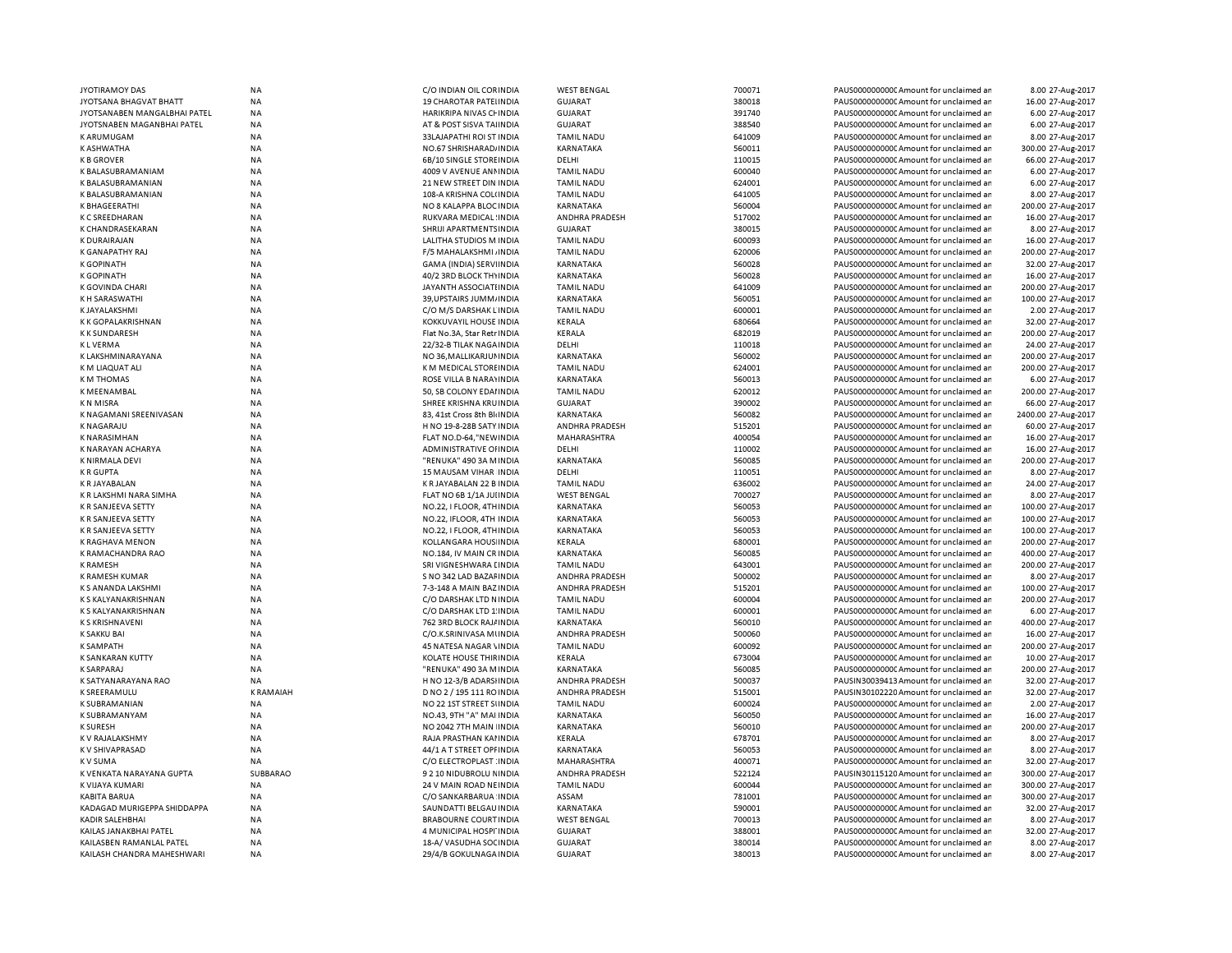| <b>JYOTIRAMOY DAS</b>        | <b>NA</b>              | C/O INDIAN OIL CORINDIA                              | <b>WEST BENGAL</b> | 700071 | PAUS0000000000 Amount for unclaimed ar  | 8.00 27-Aug-2017                         |
|------------------------------|------------------------|------------------------------------------------------|--------------------|--------|-----------------------------------------|------------------------------------------|
| JYOTSANA BHAGVAT BHATT       | <b>NA</b>              | 19 CHAROTAR PATELINDIA                               | <b>GUJARAT</b>     | 380018 | PAUS0000000000 Amount for unclaimed ar  | 16.00 27-Aug-2017                        |
| JYOTSANABEN MANGALBHAI PATEL | NA                     | HARIKRIPA NIVAS CHINDIA                              | <b>GUJARAT</b>     | 391740 | PAUS0000000000 Amount for unclaimed ar  | 6.00 27-Aug-2017                         |
| JYOTSNABEN MAGANBHAI PATEL   | NA                     | AT & POST SISVA TAI INDIA                            | <b>GUJARAT</b>     | 388540 | PAUS0000000000 Amount for unclaimed ar  | 6.00 27-Aug-2017                         |
| <b>KARUMUGAM</b>             | NA                     | 33LAJAPATHI ROI ST INDIA                             | <b>TAMIL NADU</b>  | 641009 | PAUS0000000000 Amount for unclaimed ar  | 8.00 27-Aug-2017                         |
| K ASHWATHA                   | <b>NA</b>              | NO.67 SHRISHARAD/ INDIA                              | KARNATAKA          | 560011 | PAUS0000000000C Amount for unclaimed ar | 300.00 27-Aug-2017                       |
| <b>KBGROVER</b>              | NA                     | 6B/10 SINGLE STORE INDIA                             | DELHI              | 110015 | PAUS0000000000 Amount for unclaimed ar  | 66.00 27-Aug-2017                        |
| K BALASUBRAMANIAM            | NA                     | 4009 V AVENUE ANNINDIA                               | <b>TAMIL NADU</b>  | 600040 | PAUS0000000000CAmount for unclaimed ar  | 6.00 27-Aug-2017                         |
| K BALASUBRAMANIAN            | NA                     | 21 NEW STREET DIN INDIA                              | <b>TAMIL NADU</b>  | 624001 | PAUS0000000000 Amount for unclaimed ar  | 6.00 27-Aug-2017                         |
| K BALASUBRAMANIAN            | NA                     | 108-A KRISHNA COL(INDIA                              | <b>TAMIL NADU</b>  | 641005 | PAUS0000000000 Amount for unclaimed ar  | 8.00 27-Aug-2017                         |
| K BHAGEERATHI                | NA                     | NO 8 KALAPPA BLOC INDIA                              | KARNATAKA          | 560004 | PAUS0000000000 Amount for unclaimed ar  | 200.00 27-Aug-2017                       |
| <b>KCSREEDHARAN</b>          | NA                     | RUKVARA MEDICAL INDIA                                | ANDHRA PRADESH     | 517002 | PAUS0000000000 Amount for unclaimed ar  | 16.00 27-Aug-2017                        |
| K CHANDRASEKARAN             | NA                     | SHRIJI APARTMENTS INDIA                              | <b>GUJARAT</b>     | 380015 | PAUS0000000000 Amount for unclaimed ar  | 8.00 27-Aug-2017                         |
| <b>K DURAIRAJAN</b>          | <b>NA</b>              | LALITHA STUDIOS M INDIA                              | <b>TAMIL NADU</b>  | 600093 | PAUS0000000000CAmount for unclaimed ar  | 16.00 27-Aug-2017                        |
| K GANAPATHY RAJ              | <b>NA</b>              | F/5 MAHALAKSHMI, INDIA                               | <b>TAMIL NADU</b>  | 620006 | PAUS0000000000 Amount for unclaimed ar  | 200.00 27-Aug-2017                       |
| <b>K GOPINATH</b>            | NA                     | GAMA (INDIA) SERVIINDIA                              | <b>KARNATAKA</b>   | 560028 | PAUS0000000000 Amount for unclaimed ar  | 32.00 27-Aug-2017                        |
| <b>K GOPINATH</b>            | ΝA                     | 40/2 3RD BLOCK THYINDIA                              | KARNATAKA          | 560028 | PAUS0000000000C Amount for unclaimed ar | 16.00 27-Aug-2017                        |
| K GOVINDA CHARI              | NA                     | JAYANTH ASSOCIATI INDIA                              | <b>TAMIL NADU</b>  | 641009 | PAUS0000000000 Amount for unclaimed ar  | 200.00 27-Aug-2017                       |
| K H SARASWATHI               | ΝA                     | 39, UPSTAIRS JUMM, INDIA                             | KARNATAKA          | 560051 | PAUS0000000000C Amount for unclaimed ar | 100.00 27-Aug-2017                       |
| K JAYALAKSHMI                | NA                     | C/O M/S DARSHAK LINDIA                               | <b>TAMIL NADU</b>  | 600001 | PAUS0000000000 Amount for unclaimed ar  | 2.00 27-Aug-2017                         |
| K K GOPALAKRISHNAN           | NA                     | KOKKUVAYIL HOUSE INDIA                               | <b>KERALA</b>      | 680664 | PAUS0000000000CAmount for unclaimed ar  | 32.00 27-Aug-2017                        |
| <b>KK SUNDARESH</b>          | NA                     | Flat No.3A, Star Retr INDIA                          | KERALA             | 682019 | PAUS0000000000 Amount for unclaimed ar  | 200.00 27-Aug-2017                       |
| <b>KLVERMA</b>               | <b>NA</b>              | 22/32-B TILAK NAGA INDIA                             | DELHI              | 110018 | PAUS0000000000 Amount for unclaimed ar  | 24.00 27-Aug-2017                        |
| K LAKSHMINARAYANA            | <b>NA</b>              | NO 36, MALLIKARJUI INDIA                             | KARNATAKA          | 560002 | PAUS0000000000CAmount for unclaimed ar  | 200.00 27-Aug-2017                       |
| K M LIAQUAT ALI              | <b>NA</b>              | K M MEDICAL STORE INDIA                              | <b>TAMIL NADU</b>  | 624001 | PAUS0000000000CAmount for unclaimed ar  | 200.00 27-Aug-2017                       |
| <b>KM THOMAS</b>             | <b>NA</b>              | ROSE VILLA B NARAYINDIA                              | KARNATAKA          | 560013 | PAUS0000000000CAmount for unclaimed ar  | 6.00 27-Aug-2017                         |
| K MEENAMBAL                  | <b>NA</b>              | 50, SB COLONY EDAI INDIA                             | <b>TAMIL NADU</b>  | 620012 | PAUS0000000000 Amount for unclaimed ar  | 200.00 27-Aug-2017                       |
| <b>KN MISRA</b>              | <b>NA</b>              | SHREE KRISHNA KRUINDIA                               | <b>GUJARAT</b>     | 390002 | PAUS0000000000CAmount for unclaimed ar  | 66.00 27-Aug-2017                        |
| K NAGAMANI SREENIVASAN       | <b>NA</b>              | 83. 41st Cross 8th Bli INDIA                         | KARNATAKA          | 560082 | PAUS0000000000CAmount for unclaimed ar  | 2400.00 27-Aug-2017                      |
| <b>KNAGARAJU</b>             | <b>NA</b>              | H NO 19-8-28B SATY INDIA                             | ANDHRA PRADESH     | 515201 | PAUS0000000000CAmount for unclaimed ar  | 60.00 27-Aug-2017                        |
| <b>K NARASIMHAN</b>          | <b>NA</b>              | FLAT NO.D-64."NEW INDIA                              | MAHARASHTRA        | 400054 | PAUS0000000000 Amount for unclaimed ar  | 16.00 27-Aug-2017                        |
| K NARAYAN ACHARYA            | NA                     | ADMINISTRATIVE OF INDIA                              | DELHI              | 110002 | PAUS0000000000C Amount for unclaimed ar | 16.00 27-Aug-2017                        |
| <b>K NIRMALA DEVI</b>        | <b>NA</b>              | "RENUKA" 490 3A M INDIA                              | <b>KARNATAKA</b>   | 560085 | PAUS0000000000 Amount for unclaimed ar  | 200.00 27-Aug-2017                       |
| <b>KRGUPTA</b>               | NA                     | 15 MAUSAM VIHAR INDIA                                | DELHI              | 110051 | PAUS0000000000CAmount for unclaimed ar  | 8.00 27-Aug-2017                         |
| <b>KRJAYABALAN</b>           | <b>NA</b>              | K R JAYABALAN 22 B INDIA                             | <b>TAMIL NADU</b>  | 636002 | PAUS0000000000 Amount for unclaimed ar  | 24.00 27-Aug-2017                        |
| K R LAKSHMI NARA SIMHA       | <b>NA</b>              | FLAT NO 6B 1/1A JUI INDIA                            | <b>WEST BENGAL</b> | 700027 | PAUS0000000000 Amount for unclaimed ar  | 8.00 27-Aug-2017                         |
| K R SANJEEVA SETTY           | <b>NA</b>              | NO.22, I FLOOR, 4TH INDIA                            | KARNATAKA          | 560053 | PAUS0000000000 Amount for unclaimed ar  | 100.00 27-Aug-2017                       |
| K R SANJEEVA SETTY           | <b>NA</b>              | NO.22, IFLOOR, 4TH INDIA                             | <b>KARNATAKA</b>   | 560053 | PAUS0000000000 Amount for unclaimed ar  | 100.00 27-Aug-2017                       |
| K R SANJEEVA SETTY           | <b>NA</b>              | NO.22, I FLOOR, 4TH INDIA                            | KARNATAKA          | 560053 | PAUS0000000000CAmount for unclaimed ar  | 100.00 27-Aug-2017                       |
| <b>K RAGHAVA MENON</b>       | <b>NA</b>              | KOLLANGARA HOUS INDIA                                | KERALA             | 680001 | PAUS0000000000CAmount for unclaimed ar  |                                          |
| K RAMACHANDRA RAO            | NA                     | NO.184, IV MAIN CR INDIA                             | KARNATAKA          | 560085 | PAUS0000000000CAmount for unclaimed ar  | 200.00 27-Aug-2017<br>400.00 27-Aug-2017 |
| <b>K RAMESH</b>              | <b>NA</b>              | SRI VIGNESHWARA LINDIA                               | <b>TAMIL NADU</b>  | 643001 | PAUS0000000000 Amount for unclaimed ar  | 200.00 27-Aug-2017                       |
|                              |                        |                                                      |                    |        |                                         |                                          |
| K RAMESH KUMAR               | <b>NA</b><br><b>NA</b> | S NO 342 LAD BAZAF INDIA<br>7-3-148 A MAIN BAZ INDIA | ANDHRA PRADESH     | 500002 | PAUS0000000000 Amount for unclaimed ar  | 8.00 27-Aug-2017                         |
| K S ANANDA LAKSHMI           |                        |                                                      | ANDHRA PRADESH     | 515201 | PAUS0000000000CAmount for unclaimed ar  | 100.00 27-Aug-2017                       |
| K S KALYANAKRISHNAN          | <b>NA</b>              | C/O DARSHAK LTD N INDIA                              | <b>TAMIL NADU</b>  | 600004 | PAUS0000000000 Amount for unclaimed ar  | 200.00 27-Aug-2017                       |
| <b>K S KALYANAKRISHNAN</b>   | <b>NA</b>              | C/O DARSHAK LTD 1 INDIA                              | <b>TAMIL NADU</b>  | 600001 | PAUS0000000000 Amount for unclaimed ar  | 6.00 27-Aug-2017                         |
| <b>K S KRISHNAVENI</b>       | <b>NA</b>              | 762 3RD BLOCK RAJ/ INDIA                             | KARNATAKA          | 560010 | PAUS0000000000 Amount for unclaimed ar  | 400.00 27-Aug-2017                       |
| <b>K SAKKU BAI</b>           | NA                     | C/O.K.SRINIVASA MUNDIA                               | ANDHRA PRADESH     | 500060 | PAUS0000000000 Amount for unclaimed ar  | 16.00 27-Aug-2017                        |
| <b>K SAMPATH</b>             | <b>NA</b>              | 45 NATESA NAGAR \INDIA                               | <b>TAMIL NADU</b>  | 600092 | PAUS0000000000 Amount for unclaimed ar  | 200.00 27-Aug-2017                       |
| K SANKARAN KUTTY             | <b>NA</b>              | KOLATE HOUSE THIRINDIA                               | KERALA             | 673004 | PAUS0000000000 Amount for unclaimed ar  | 10.00 27-Aug-2017                        |
| <b>K SARPARAJ</b>            | NA                     | "RENUKA" 490 3A MINDIA                               | KARNATAKA          | 560085 | PAUS0000000000 Amount for unclaimed ar  | 200.00 27-Aug-2017                       |
| K SATYANARAYANA RAO          | NA                     | H NO 12-3/B ADARSI INDIA                             | ANDHRA PRADESH     | 500037 | PAUSIN30039413 Amount for unclaimed ar  | 32.00 27-Aug-2017                        |
| K SREERAMULU                 | <b>K RAMAIAH</b>       | D NO 2 / 195 111 RO INDIA                            | ANDHRA PRADESH     | 515001 | PAUSIN30102220 Amount for unclaimed ar  | 32.00 27-Aug-2017                        |
| <b>K SUBRAMANIAN</b>         | NA                     | NO 22 1ST STREET SUNDIA                              | <b>TAMIL NADU</b>  | 600024 | PAUS0000000000CAmount for unclaimed ar  | 2.00 27-Aug-2017                         |
| K SUBRAMANYAM                | NA                     | NO.43, 9TH "A" MAI INDIA                             | <b>KARNATAKA</b>   | 560050 | PAUS0000000000CAmount for unclaimed ar  | 16.00 27-Aug-2017                        |
| <b>K SURESH</b>              | <b>NA</b>              | NO 2042 7TH MAIN INDIA                               | KARNATAKA          | 560010 | PAUS0000000000 Amount for unclaimed ar  | 200.00 27-Aug-2017                       |
| K V RAJALAKSHMY              | <b>NA</b>              | RAJA PRASTHAN KAI INDIA                              | KERALA             | 678701 | PAUS0000000000CAmount for unclaimed ar  | 8.00 27-Aug-2017                         |
| K V SHIVAPRASAD              | NA                     | 44/1 A T STREET OPI INDIA                            | KARNATAKA          | 560053 | PAUS0000000000 Amount for unclaimed ar  | 8.00 27-Aug-2017                         |
| <b>KV SUMA</b>               | <b>NA</b>              | C/O ELECTROPLAST : INDIA                             | <b>MAHARASHTRA</b> | 400071 | PAUS0000000000 Amount for unclaimed ar  | 32.00 27-Aug-2017                        |
| K VENKATA NARAYANA GUPTA     | SUBBARAO               | 9 2 10 NIDUBROLU NINDIA                              | ANDHRA PRADESH     | 522124 | PAUSIN30115120 Amount for unclaimed ar  | 300.00 27-Aug-2017                       |
| K VIJAYA KUMARI              | NA                     | 24 V MAIN ROAD NEINDIA                               | <b>TAMIL NADU</b>  | 600044 | PAUS0000000000 Amount for unclaimed ar  | 300.00 27-Aug-2017                       |
| <b>KABITA BARUA</b>          | ΝA                     | C/O SANKARBARUA INDIA                                | ASSAM              | 781001 | PAUS0000000000 Amount for unclaimed an  | 300.00 27-Aug-2017                       |
| KADAGAD MURIGEPPA SHIDDAPPA  | NA                     | SAUNDATTI BELGAU INDIA                               | KARNATAKA          | 590001 | PAUS0000000000 Amount for unclaimed ar  | 32.00 27-Aug-2017                        |
| <b>KADIR SALEHBHAI</b>       | NA                     | <b>BRABOURNE COURT INDIA</b>                         | <b>WEST BENGAL</b> | 700013 | PAUS0000000000CAmount for unclaimed ar  | 8.00 27-Aug-2017                         |
| KAILAS JANAKBHAI PATEL       | <b>NA</b>              | 4 MUNICIPAL HOSPI INDIA                              | <b>GUJARAT</b>     | 388001 | PAUS0000000000 Amount for unclaimed ar  | 32.00 27-Aug-2017                        |
| KAILASBEN RAMANLAL PATEL     | <b>NA</b>              | 18-A/VASUDHA SOCINDIA                                | <b>GUJARAT</b>     | 380014 | PAUS0000000000C Amount for unclaimed ar | 8.00 27-Aug-2017                         |
| KAILASH CHANDRA MAHESHWARI   | <b>NA</b>              | 29/4/B GOKULNAGA INDIA                               | <b>GUJARAT</b>     | 380013 | PAUS0000000000C Amount for unclaimed ar | 8.00 27-Aug-2017                         |
|                              |                        |                                                      |                    |        |                                         |                                          |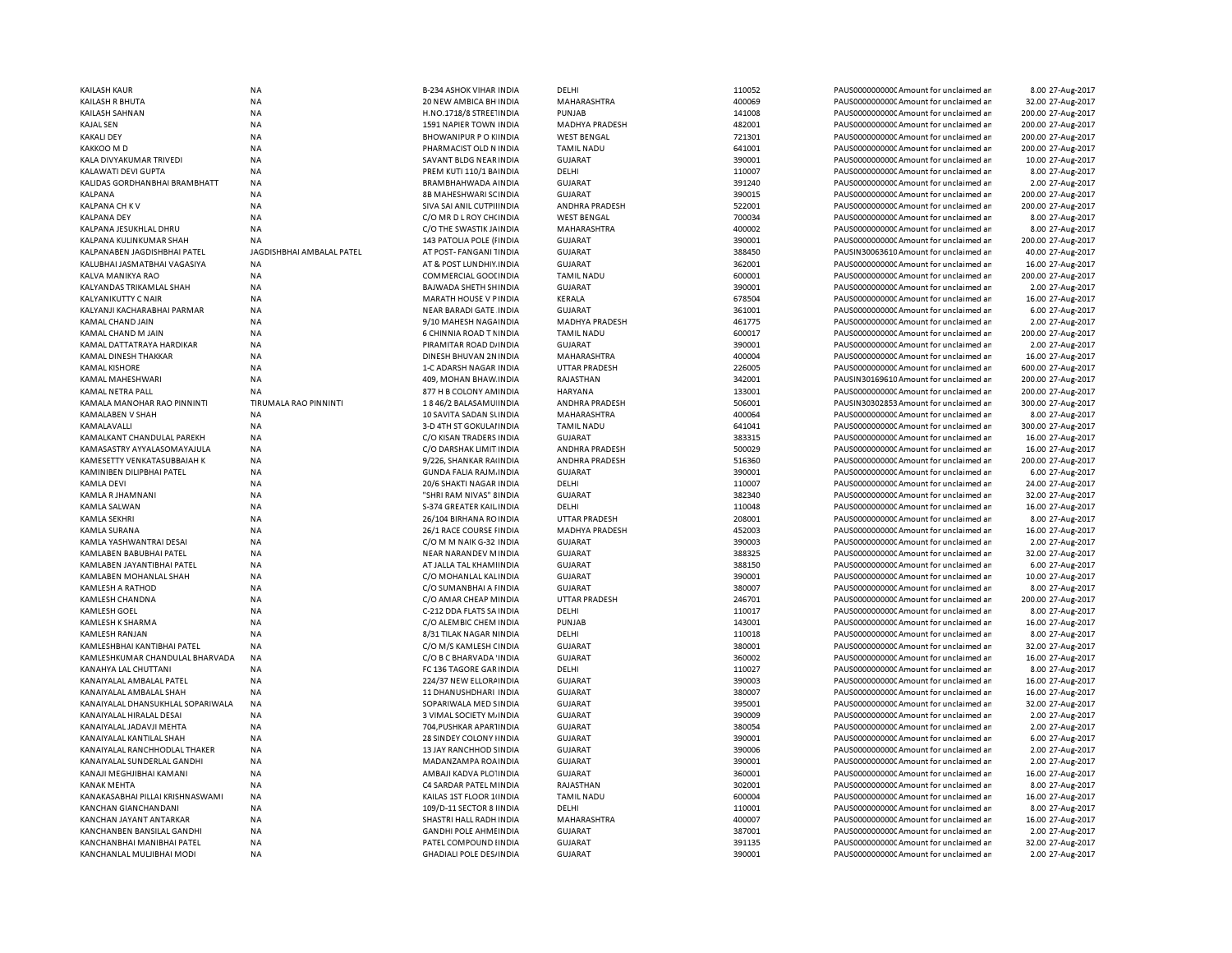| <b>KAILASH KAUR</b>                                     | <b>NA</b>                 | <b>B-234 ASHOK VIHAR INDIA</b>                          | DELHI                            | 110052           | PAUS0000000000C Amount for unclaimed ar                                          | 8.00 27-Aug-2017                      |
|---------------------------------------------------------|---------------------------|---------------------------------------------------------|----------------------------------|------------------|----------------------------------------------------------------------------------|---------------------------------------|
| KAILASH R BHUTA                                         | <b>NA</b>                 | 20 NEW AMBICA BH INDIA                                  | MAHARASHTRA                      | 400069           | PAUS0000000000 Amount for unclaimed ar                                           | 32.00 27-Aug-2017                     |
| KAILASH SAHNAN                                          | <b>NA</b>                 | H.NO.1718/8 STREE INDIA                                 | PUNJAB                           | 141008           | PAUS0000000000 Amount for unclaimed ar                                           | 200.00 27-Aug-2017                    |
| <b>KAJAL SEN</b>                                        | <b>NA</b>                 | 1591 NAPIER TOWN INDIA                                  | MADHYA PRADESH                   | 482001           | PAUS0000000000 Amount for unclaimed ar                                           | 200.00 27-Aug-2017                    |
| <b>KAKALI DEY</b>                                       | ΝA                        | <b>BHOWANIPUR POKINDIA</b>                              | <b>WEST BENGAL</b>               | 721301           | PAUS0000000000C Amount for unclaimed ar                                          | 200.00 27-Aug-2017                    |
| KAKKOO M D                                              | <b>NA</b>                 | PHARMACIST OLD N INDIA                                  | <b>TAMIL NADU</b>                | 641001           | PAUS0000000000CAmount for unclaimed ar                                           | 200.00 27-Aug-2017                    |
| KALA DIVYAKUMAR TRIVEDI                                 | <b>NA</b>                 | SAVANT BLDG NEAR INDIA                                  | GUJARAT                          | 390001           | PAUS0000000000 Amount for unclaimed ar                                           | 10.00 27-Aug-2017                     |
| KALAWATI DEVI GUPTA                                     | <b>NA</b>                 | PREM KUTI 110/1 BAINDIA                                 | DELHI                            | 110007           | PAUS0000000000CAmount for unclaimed ar                                           | 8.00 27-Aug-2017                      |
|                                                         |                           |                                                         |                                  |                  |                                                                                  |                                       |
| KALIDAS GORDHANBHAI BRAMBHATT                           | NA                        | BRAMBHAHWADA A INDIA                                    | <b>GUJARAT</b>                   | 391240           | PAUS0000000000CAmount for unclaimed ar                                           | 2.00 27-Aug-2017                      |
| <b>KALPANA</b>                                          | <b>NA</b>                 | <b>8B MAHESHWARI SCINDIA</b>                            | <b>GUJARAT</b>                   | 390015           | PAUS0000000000 Amount for unclaimed ar                                           | 200.00 27-Aug-2017                    |
| <b>KALPANA CH KV</b>                                    | <b>NA</b>                 | SIVA SAI ANIL CUTPIHNDIA                                | ANDHRA PRADESH                   | 522001           | PAUS0000000000 Amount for unclaimed ar                                           | 200.00 27-Aug-2017                    |
| <b>KALPANA DEY</b>                                      | <b>NA</b>                 | C/O MR D L ROY CH(INDIA                                 | <b>WEST BENGAL</b>               | 700034           | PAUS0000000000CAmount for unclaimed ar                                           | 8.00 27-Aug-2017                      |
| KALPANA JESUKHLAL DHRU                                  | <b>NA</b>                 | C/O THE SWASTIK JAINDIA                                 | MAHARASHTRA                      | 400002           | PAUS0000000000 Amount for unclaimed ar                                           | 8.00 27-Aug-2017                      |
| KALPANA KULINKUMAR SHAH                                 | <b>NA</b>                 | 143 PATOLIA POLE (FINDIA                                | <b>GUJARAT</b>                   | 390001           | PAUS0000000000CAmount for unclaimed ar                                           | 200.00 27-Aug-2017                    |
| KALPANABEN JAGDISHBHAI PATEL                            | JAGDISHBHAI AMBALAL PATEL | AT POST-FANGANI 1INDIA                                  | <b>GUJARAT</b>                   | 388450           | PAUSIN30063610 Amount for unclaimed ar                                           | 40.00 27-Aug-2017                     |
| KALUBHAI JASMATBHAI VAGASIYA                            | <b>NA</b>                 | AT & POST LUNDHIY INDIA                                 | <b>GUJARAT</b>                   | 362001           | PAUS0000000000CAmount for unclaimed ar                                           | 16.00 27-Aug-2017                     |
| KALVA MANIKYA RAO                                       | <b>NA</b>                 | <b>COMMERCIAL GOOI INDIA</b>                            | <b>TAMIL NADU</b>                | 600001           | PAUS00000000000Amount for unclaimed ar                                           | 200.00 27-Aug-2017                    |
| KALYANDAS TRIKAMLAL SHAH                                | <b>NA</b>                 | BAJWADA SHETH SHINDIA                                   | <b>GUJARAT</b>                   | 390001           | PAUS0000000000 Amount for unclaimed ar                                           | 2.00 27-Aug-2017                      |
| KALYANIKUTTY C NAIR                                     | <b>NA</b>                 | MARATH HOUSE V PINDIA                                   | KERALA                           | 678504           | PAUS0000000000 Amount for unclaimed ar                                           | 16.00 27-Aug-2017                     |
|                                                         |                           |                                                         |                                  |                  |                                                                                  |                                       |
| KALYANJI KACHARABHAI PARMAR                             | <b>NA</b>                 | <b>NEAR BARADI GATE INDIA</b>                           | <b>GUJARAT</b>                   | 361001           | PAUS0000000000 Amount for unclaimed ar                                           | 6.00 27-Aug-2017                      |
| <b>KAMAL CHAND JAIN</b>                                 | <b>NA</b>                 | 9/10 MAHESH NAGA INDIA                                  | <b>MADHYA PRADESH</b>            | 461775           | PAUS00000000000Amount for unclaimed ar                                           | 2.00 27-Aug-2017                      |
| KAMAL CHAND M JAIN                                      | <b>NA</b>                 | 6 CHINNIA ROAD T NINDIA                                 | <b>TAMIL NADU</b>                | 600017           | PAUS0000000000 Amount for unclaimed ar                                           | 200.00 27-Aug-2017                    |
| KAMAL DATTATRAYA HARDIKAR                               | <b>NA</b>                 | PIRAMITAR ROAD D/ INDIA                                 | <b>GUJARAT</b>                   | 390001           | PAUS0000000000 Amount for unclaimed ar                                           | 2.00 27-Aug-2017                      |
| KAMAL DINESH THAKKAR                                    | <b>NA</b>                 | DINESH BHUVAN 2N INDIA                                  | MAHARASHTRA                      | 400004           | PAUS0000000000 Amount for unclaimed ar                                           | 16.00 27-Aug-2017                     |
| <b>KAMAL KISHORE</b>                                    | <b>NA</b>                 | 1-C ADARSH NAGAR INDIA                                  | <b>UTTAR PRADESH</b>             | 226005           | PAUS0000000000 Amount for unclaimed ar                                           | 600.00 27-Aug-2017                    |
| KAMAL MAHESHWARI                                        | NA                        | 409, MOHAN BHAW INDIA                                   | RAJASTHAN                        | 342001           | PAUSIN30169610 Amount for unclaimed ar                                           | 200.00 27-Aug-2017                    |
| KAMAL NETRA PALL                                        | <b>NA</b>                 | 877 H B COLONY AM INDIA                                 | <b>HARYANA</b>                   | 133001           | PAUS0000000000CAmount for unclaimed ar                                           | 200.00 27-Aug-2017                    |
| KAMALA MANOHAR RAO PINNINTI                             | TIRUMALA RAO PINNINTI     | 1846/2 BALASAMU INDIA                                   | ANDHRA PRADESH                   | 506001           | PAUSIN30302853 Amount for unclaimed ar                                           | 300.00 27-Aug-2017                    |
| KAMALABEN V SHAH                                        | <b>NA</b>                 | 10 SAVITA SADAN SUNDIA                                  | MAHARASHTRA                      | 400064           | PAUS0000000000CAmount for unclaimed ar                                           | 8.00 27-Aug-2017                      |
| KAMALAVALLI                                             | NA                        | 3-D 4TH ST GOKULAI INDIA                                | <b>TAMIL NADU</b>                | 641041           | PAUS0000000000CAmount for unclaimed ar                                           | 300.00 27-Aug-2017                    |
|                                                         | <b>NA</b>                 | C/O KISAN TRADERS INDIA                                 |                                  | 383315           | PAUS0000000000CAmount for unclaimed ar                                           | 16.00 27-Aug-2017                     |
| KAMALKANT CHANDULAL PAREKH                              |                           |                                                         | <b>GUJARAT</b>                   |                  |                                                                                  |                                       |
| KAMASASTRY AYYALASOMAYAJULA                             | <b>NA</b>                 | C/O DARSHAK LIMIT INDIA                                 | ANDHRA PRADESH                   | 500029           | PAUS0000000000CAmount for unclaimed ar                                           | 16.00 27-Aug-2017                     |
| KAMESETTY VENKATASUBBAIAH K                             | <b>NA</b>                 | 9/226, SHANKAR RAIINDIA                                 | <b>ANDHRA PRADESH</b>            | 516360           | PAUS0000000000CAmount for unclaimed ar                                           | 200.00 27-Aug-2017                    |
| KAMINIBEN DILIPBHAI PATEL                               | <b>NA</b>                 | <b>GUNDA FALIA RAJM. INDIA</b>                          | <b>GUJARAT</b>                   | 390001           | PAUS0000000000 Amount for unclaimed ar                                           | 6.00 27-Aug-2017                      |
| KAMLA DEVI                                              | <b>NA</b>                 | 20/6 SHAKTI NAGAR INDIA                                 | DELHI                            | 110007           | PAUS0000000000CAmount for unclaimed ar                                           | 24.00 27-Aug-2017                     |
| KAMLA R JHAMNANI                                        | <b>NA</b>                 | "SHRI RAM NIVAS" 8 INDIA                                | <b>GUJARAT</b>                   | 382340           | PAUS0000000000 Amount for unclaimed ar                                           | 32.00 27-Aug-2017                     |
| KAMLA SALWAN                                            | <b>NA</b>                 | S-374 GREATER KAIL INDIA                                | DELHI                            | 110048           | PAUS0000000000 Amount for unclaimed ar                                           | 16.00 27-Aug-2017                     |
| KAMLA SEKHRI                                            | <b>NA</b>                 | 26/104 BIRHANA ROINDIA                                  | <b>UTTAR PRADESH</b>             | 208001           | PAUS00000000000Amount for unclaimed ar                                           | 8.00 27-Aug-2017                      |
| KAMLA SURANA                                            | <b>NA</b>                 | 26/1 RACE COURSE FINDIA                                 | MADHYA PRADESH                   | 452003           | PAUS0000000000 Amount for unclaimed ar                                           | 16.00 27-Aug-2017                     |
| KAMLA YASHWANTRAI DESAI                                 | <b>NA</b>                 | C/O M M NAIK G-32 INDIA                                 | <b>GUJARAT</b>                   | 390003           | PAUS00000000000Amount for unclaimed ar                                           | 2.00 27-Aug-2017                      |
| KAMLABEN BABUBHAI PATEL                                 | <b>NA</b>                 | NEAR NARANDEV MINDIA                                    | <b>GUJARAT</b>                   | 388325           | PAUS0000000000 Amount for unclaimed ar                                           | 32.00 27-Aug-2017                     |
| KAMLABEN JAYANTIBHAI PATEL                              | <b>NA</b>                 | AT JALLA TAL KHAMI INDIA                                | <b>GUJARAT</b>                   | 388150           | PAUS0000000000 Amount for unclaimed ar                                           |                                       |
|                                                         |                           |                                                         |                                  |                  |                                                                                  | 6.00 27-Aug-2017                      |
| KAMLABEN MOHANLAL SHAH                                  | NA                        | C/O MOHANLAL KAL INDIA                                  | <b>GUJARAT</b>                   | 390001           | PAUS0000000000 Amount for unclaimed ar                                           | 10.00 27-Aug-2017                     |
| KAMLESH A RATHOD                                        | <b>NA</b>                 | C/O SUMANBHAI A FINDIA                                  | <b>GUJARAT</b>                   | 380007           | PAUS0000000000 Amount for unclaimed ar                                           | 8.00 27-Aug-2017                      |
| KAMLESH CHANDNA                                         | NA                        | C/O AMAR CHEAP MINDIA                                   | <b>UTTAR PRADESH</b>             | 246701           | PAUS0000000000 Amount for unclaimed ar                                           | 200.00 27-Aug-2017                    |
| <b>KAMLESH GOEL</b>                                     | <b>NA</b>                 | C-212 DDA FLATS SA INDIA                                | DELHI                            | 110017           | PAUS0000000000 Amount for unclaimed ar                                           | 8.00 27-Aug-2017                      |
| KAMLESH K SHARMA                                        | <b>NA</b>                 | C/O ALEMBIC CHEM INDIA                                  | PUNJAB                           | 143001           | PAUS00000000000Amount for unclaimed ar                                           | 16.00 27-Aug-2017                     |
| KAMLESH RANJAN                                          | <b>NA</b>                 | 8/31 TILAK NAGAR NINDIA                                 | DELHI                            | 110018           | PAUS0000000000CAmount for unclaimed ar                                           | 8.00 27-Aug-2017                      |
| KAMLESHBHAI KANTIBHAI PATEL                             | <b>NA</b>                 | C/O M/S KAMLESH CINDIA                                  | <b>GUJARAT</b>                   | 380001           | PAUS00000000000Amount for unclaimed ar                                           | 32.00 27-Aug-2017                     |
| KAMLESHKUMAR CHANDULAL BHARVADA                         | <b>NA</b>                 | C/O B C BHARVADA 'INDIA                                 | <b>GUJARAT</b>                   | 360002           | PAUS0000000000CAmount for unclaimed ar                                           | 16.00 27-Aug-2017                     |
| KANAHYA LAL CHUTTANI                                    | <b>NA</b>                 | FC 136 TAGORE GAR INDIA                                 | DELHI                            | 110027           | PAUS00000000000Amount for unclaimed ar                                           | 8.00 27-Aug-2017                      |
| KANAIYALAL AMBALAL PATEL                                | <b>NA</b>                 | 224/37 NEW ELLORA INDIA                                 | <b>GUJARAT</b>                   | 390003           | PAUS0000000000CAmount for unclaimed ar                                           | 16.00 27-Aug-2017                     |
|                                                         | <b>NA</b>                 |                                                         |                                  | 380007           |                                                                                  |                                       |
| KANAIYALAL AMBALAL SHAH                                 |                           | 11 DHANUSHDHARI INDIA                                   | <b>GUJARAT</b>                   |                  | PAUS0000000000CAmount for unclaimed ar                                           | 16.00 27-Aug-2017                     |
| KANAIYALAL DHANSUKHLAL SOPARIWALA                       | <b>NA</b>                 | SOPARIWALA MED SINDIA                                   | <b>GUJARAT</b>                   | 395001           | PAUS0000000000CAmount for unclaimed ar                                           | 32.00 27-Aug-2017                     |
| KANAIYALAL HIRALAL DESAI                                | <b>NA</b>                 | 3 VIMAL SOCIETY M/INDIA                                 | <b>GUJARAT</b>                   | 390009           | PAUS0000000000 Amount for unclaimed ar                                           | 2.00 27-Aug-2017                      |
| KANAIYALAL JADAVJI MEHTA                                | <b>NA</b>                 | 704, PUSHKAR APARTINDIA                                 | <b>GUJARAT</b>                   | 380054           | PAUS0000000000 Amount for unclaimed ar                                           | 2.00 27-Aug-2017                      |
| KANAIYALAL KANTILAL SHAH                                | <b>NA</b>                 | 28 SINDEY COLONY I INDIA                                | <b>GUJARAT</b>                   | 390001           | PAUS0000000000 Amount for unclaimed ar                                           | 6.00 27-Aug-2017                      |
| KANAIYALAL RANCHHODLAL THAKER                           | <b>NA</b>                 | 13 JAY RANCHHOD SINDIA                                  | <b>GUJARAT</b>                   | 390006           | PAUS0000000000 Amount for unclaimed ar                                           | 2.00 27-Aug-2017                      |
| KANAIYALAL SUNDERLAL GANDHI                             | <b>NA</b>                 | MADANZAMPA ROA INDIA                                    | <b>GUJARAT</b>                   | 390001           | PAUS0000000000 Amount for unclaimed ar                                           | 2.00 27-Aug-2017                      |
| KANAJI MEGHJIBHAI KAMANI                                | <b>NA</b>                 | AMBAJI KADVA PLOTINDIA                                  | <b>GUJARAT</b>                   | 360001           | PAUS0000000000 Amount for unclaimed ar                                           | 16.00 27-Aug-2017                     |
| KANAK MEHTA                                             | <b>NA</b>                 | C4 SARDAR PATEL MINDIA                                  | RAJASTHAN                        | 302001           | PAUS0000000000 Amount for unclaimed ar                                           | 8.00 27-Aug-2017                      |
| KANAKASABHAI PILLAI KRISHNASWAMI                        | <b>NA</b>                 | KAILAS 1ST FLOOR 1 IN DIA                               | <b>TAMIL NADU</b>                | 600004           | PAUS0000000000 Amount for unclaimed ar                                           | 16.00 27-Aug-2017                     |
| KANCHAN GIANCHANDANI                                    | <b>NA</b>                 | 109/D-11 SECTOR 8 IINDIA                                | DELHI                            | 110001           | PAUS0000000000 Amount for unclaimed ar                                           | 8.00 27-Aug-2017                      |
|                                                         |                           |                                                         |                                  |                  |                                                                                  |                                       |
|                                                         |                           |                                                         |                                  |                  |                                                                                  |                                       |
| KANCHAN JAYANT ANTARKAR                                 | NA                        | SHASTRI HALL RADH INDIA                                 | MAHARASHTRA                      | 400007           | PAUS00000000000Amount for unclaimed ar                                           | 16.00 27-Aug-2017                     |
| KANCHANBEN BANSILAL GANDHI                              | <b>NA</b>                 | <b>GANDHI POLE AHMEINDIA</b>                            | <b>GUJARAT</b>                   | 387001           | PAUS0000000000 Amount for unclaimed ar                                           | 2.00 27-Aug-2017                      |
| KANCHANBHAI MANIBHAI PATEL<br>KANCHANLAL MULJIBHAI MODI | <b>NA</b><br><b>NA</b>    | PATEL COMPOUND IINDIA<br><b>GHADIALI POLE DES/INDIA</b> | <b>GUJARAT</b><br><b>GUJARAT</b> | 391135<br>390001 | PAUS0000000000 Amount for unclaimed ar<br>PAUS0000000000 Amount for unclaimed ar | 32.00 27-Aug-2017<br>2.00 27-Aug-2017 |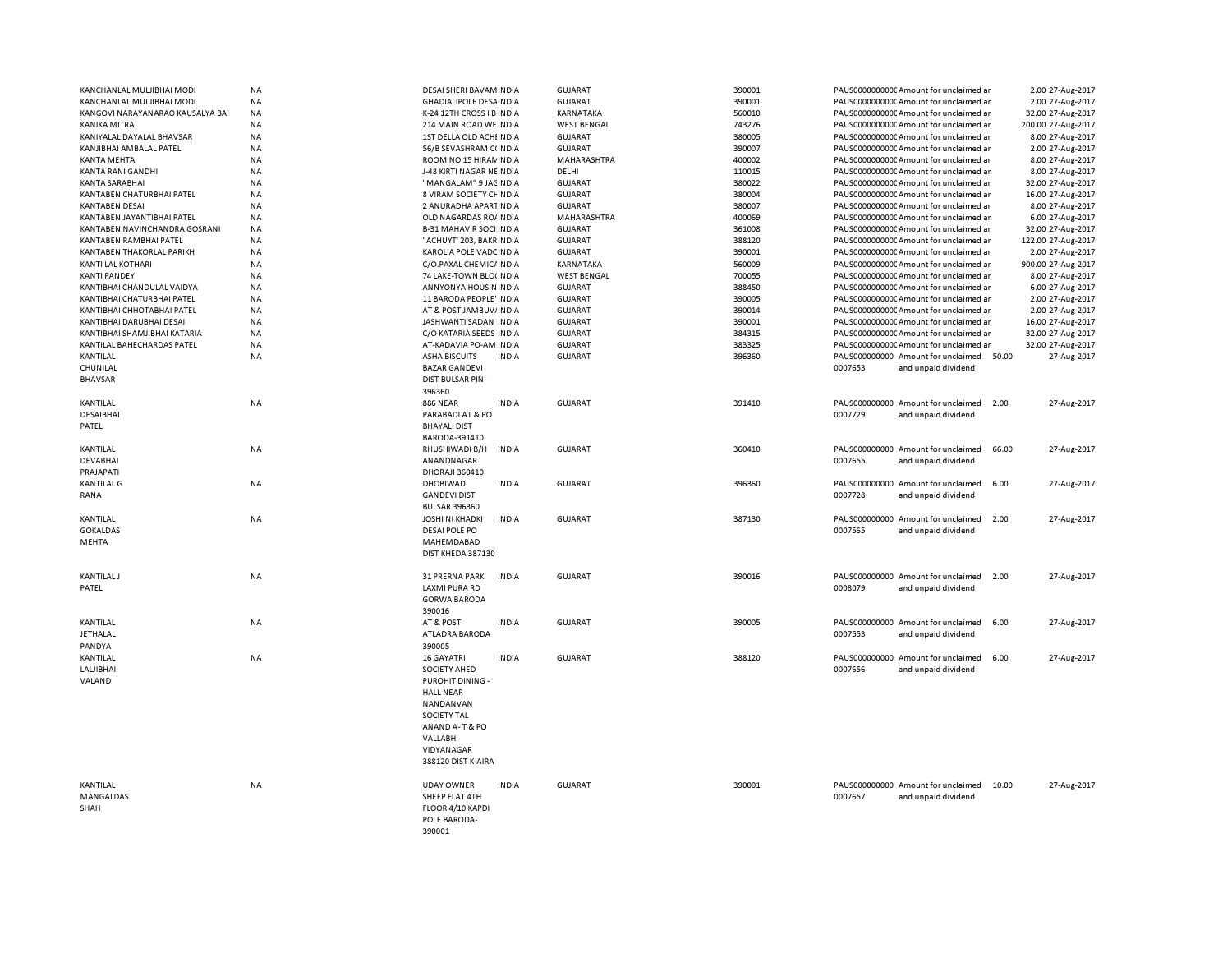| KANCHANLAL MULJIBHAI MODI        | NA        | DESAI SHERI BAVAM INDIA                | <b>GUJARAT</b>     | 390001 |         | PAUS0000000000CAmount for unclaimed ar                                           |       | 2.00 27-Aug-2017   |
|----------------------------------|-----------|----------------------------------------|--------------------|--------|---------|----------------------------------------------------------------------------------|-------|--------------------|
| KANCHANLAL MULJIBHAI MODI        | NA        | <b>GHADIALIPOLE DESAINDIA</b>          | <b>GUJARAT</b>     | 390001 |         | PAUS0000000000CAmount for unclaimed ar                                           |       | 2.00 27-Aug-2017   |
| KANGOVI NARAYANARAO KAUSALYA BAI | <b>NA</b> | K-24 12TH CROSS I B INDIA              | KARNATAKA          | 560010 |         | PAUS0000000000 Amount for unclaimed an                                           |       | 32.00 27-Aug-2017  |
| KANIKA MITRA                     | NA        | 214 MAIN ROAD WE INDIA                 | <b>WEST BENGAL</b> | 743276 |         | PAUS0000000000CAmount for unclaimed ar                                           |       | 200.00 27-Aug-2017 |
| KANIYALAL DAYALAL BHAVSAR        | <b>NA</b> | 1ST DELLA OLD ACHIINDIA                | <b>GUJARAT</b>     | 380005 |         | PAUS0000000000CAmount for unclaimed ar                                           |       | 8.00 27-Aug-2017   |
| KANJIBHAI AMBALAL PATEL          | <b>NA</b> | 56/B SEVASHRAM C(INDIA                 | <b>GUJARAT</b>     | 390007 |         | PAUS0000000000 Amount for unclaimed ar                                           |       | 2.00 27-Aug-2017   |
| <b>KANTA MEHTA</b>               | NA        | ROOM NO 15 HIRAN INDIA                 | MAHARASHTRA        | 400002 |         | PAUS0000000000 Amount for unclaimed ar                                           |       | 8.00 27-Aug-2017   |
| KANTA RANI GANDHI                | <b>NA</b> | J-48 KIRTI NAGAR NEINDIA               | DELHI              | 110015 |         | PAUS0000000000CAmount for unclaimed ar                                           |       | 8.00 27-Aug-2017   |
| <b>KANTA SARABHAI</b>            | <b>NA</b> | "MANGALAM" 9 JACINDIA                  | <b>GUJARAT</b>     | 380022 |         | PAUS0000000000CAmount for unclaimed ar                                           |       | 32.00 27-Aug-2017  |
| KANTABEN CHATURBHAI PATEL        | NA        | 8 VIRAM SOCIETY CHINDIA                | <b>GUJARAT</b>     | 380004 |         | PAUS0000000000 Amount for unclaimed an                                           |       | 16.00 27-Aug-2017  |
| <b>KANTABEN DESAI</b>            | <b>NA</b> | 2 ANURADHA APARTINDIA                  | <b>GUJARAT</b>     | 380007 |         | PAUS0000000000CAmount for unclaimed ar                                           |       | 8.00 27-Aug-2017   |
| KANTABEN JAYANTIBHAI PATEL       | NA        |                                        | MAHARASHTRA        | 400069 |         |                                                                                  |       | 6.00 27-Aug-2017   |
| KANTABEN NAVINCHANDRA GOSRANI    | NA        | OLD NAGARDAS RO/ INDIA                 | <b>GUJARAT</b>     | 361008 |         | PAUS0000000000 Amount for unclaimed ar<br>PAUS0000000000CAmount for unclaimed ar |       |                    |
|                                  |           | <b>B-31 MAHAVIR SOCI INDIA</b>         |                    |        |         |                                                                                  |       | 32.00 27-Aug-2017  |
| KANTABEN RAMBHAI PATEL           | <b>NA</b> | "ACHUYT' 203. BAKR INDIA               | <b>GUJARAT</b>     | 388120 |         | PAUS0000000000CAmount for unclaimed ar                                           |       | 122.00 27-Aug-2017 |
| KANTABEN THAKORLAL PARIKH        | NA        | KAROLIA POLE VADC INDIA                | <b>GUJARAT</b>     | 390001 |         | PAUS0000000000 Amount for unclaimed ar                                           |       | 2.00 27-Aug-2017   |
| KANTI LAL KOTHARI                | NA        | C/O.PAXAL CHEMIC/ INDIA                | KARNATAKA          | 560009 |         | PAUS0000000000CAmount for unclaimed ar                                           |       | 900.00 27-Aug-2017 |
| <b>KANTI PANDEY</b>              | <b>NA</b> | 74 LAKE-TOWN BLO(INDIA                 | <b>WEST BENGAL</b> | 700055 |         | PAUS0000000000CAmount for unclaimed ar                                           |       | 8.00 27-Aug-2017   |
| KANTIBHAI CHANDULAL VAIDYA       | <b>NA</b> | ANNYONYA HOUSIN INDIA                  | <b>GUJARAT</b>     | 388450 |         | PAUS0000000000 Amount for unclaimed ar                                           |       | 6.00 27-Aug-2017   |
| KANTIBHAI CHATURBHAI PATEL       | <b>NA</b> | 11 BARODA PEOPLE' INDIA                | <b>GUJARAT</b>     | 390005 |         | PAUS0000000000CAmount for unclaimed ar                                           |       | 2.00 27-Aug-2017   |
| KANTIBHAI CHHOTABHAI PATEL       | NA        | AT & POST JAMBUV/INDIA                 | <b>GUJARAT</b>     | 390014 |         | PAUS0000000000CAmount for unclaimed ar                                           |       | 2.00 27-Aug-2017   |
| KANTIBHAI DARUBHAI DESAI         | <b>NA</b> | JASHWANTI SADAN INDIA                  | <b>GUJARAT</b>     | 390001 |         | PAUS0000000000CAmount for unclaimed ar                                           |       | 16.00 27-Aug-2017  |
| KANTIBHAI SHAMJIBHAI KATARIA     | <b>NA</b> | C/O KATARIA SEEDS INDIA                | <b>GUJARAT</b>     | 384315 |         | PAUS0000000000 Amount for unclaimed ar                                           |       | 32.00 27-Aug-2017  |
| KANTILAL BAHECHARDAS PATEL       | NA        | AT-KADAVIA PO-AM INDIA                 | <b>GUJARAT</b>     | 383325 |         | PAUS0000000000 Amount for unclaimed an                                           |       | 32.00 27-Aug-2017  |
| KANTILAL                         | <b>NA</b> | <b>ASHA BISCUITS</b><br><b>INDIA</b>   | <b>GUJARAT</b>     | 396360 |         | PAUS000000000 Amount for unclaimed 50.00                                         |       | 27-Aug-2017        |
| CHUNILAL                         |           | <b>BAZAR GANDEVI</b>                   |                    |        | 0007653 | and unpaid dividend                                                              |       |                    |
| <b>BHAVSAR</b>                   |           | DIST BULSAR PIN-                       |                    |        |         |                                                                                  |       |                    |
|                                  |           | 396360                                 |                    |        |         |                                                                                  |       |                    |
| KANTILAL                         | NA        | <b>886 NEAR</b><br><b>INDIA</b>        | <b>GUJARAT</b>     | 391410 |         | PAUS000000000 Amount for unclaimed                                               | 2.00  | 27-Aug-2017        |
| DESAIBHAI                        |           | PARABADI AT & PO                       |                    |        | 0007729 | and unpaid dividend                                                              |       |                    |
| PATEL                            |           | <b>BHAYALI DIST</b>                    |                    |        |         |                                                                                  |       |                    |
|                                  |           | BARODA-391410                          |                    |        |         |                                                                                  |       |                    |
| KANTILAL                         | NA        | RHUSHIWADI B/H<br><b>INDIA</b>         | <b>GUJARAT</b>     | 360410 |         | PAUS000000000 Amount for unclaimed                                               | 66.00 | 27-Aug-2017        |
| <b>DEVABHAI</b>                  |           | ANANDNAGAR                             |                    |        | 0007655 | and unpaid dividend                                                              |       |                    |
| PRAJAPATI                        |           | DHORAJI 360410                         |                    |        |         |                                                                                  |       |                    |
| <b>KANTILAL G</b>                | NA        | <b>DHOBIWAD</b><br><b>INDIA</b>        | <b>GUJARAT</b>     | 396360 |         | PAUS000000000 Amount for unclaimed                                               | 6.00  | 27-Aug-2017        |
| RANA                             |           | <b>GANDEVI DIST</b>                    |                    |        | 0007728 | and unpaid dividend                                                              |       |                    |
|                                  |           |                                        |                    |        |         |                                                                                  |       |                    |
|                                  |           | <b>BULSAR 396360</b>                   |                    |        |         |                                                                                  |       |                    |
| KANTILAL                         | <b>NA</b> | <b>JOSHI NI KHADKI</b><br><b>INDIA</b> | <b>GUJARAT</b>     | 387130 |         | PAUS000000000 Amount for unclaimed 2.00                                          |       | 27-Aug-2017        |
| <b>GOKALDAS</b>                  |           | DESAI POLE PO                          |                    |        | 0007565 | and unpaid dividend                                                              |       |                    |
| MEHTA                            |           | MAHEMDABAD                             |                    |        |         |                                                                                  |       |                    |
|                                  |           | DIST KHEDA 387130                      |                    |        |         |                                                                                  |       |                    |
|                                  |           |                                        |                    |        |         |                                                                                  |       |                    |
| <b>KANTILAL J</b>                | NA        | 31 PRERNA PARK<br><b>INDIA</b>         | <b>GUJARAT</b>     | 390016 |         | PAUS000000000 Amount for unclaimed                                               | 2.00  | 27-Aug-2017        |
| PATEL                            |           | LAXMI PURA RD                          |                    |        | 0008079 | and unpaid dividend                                                              |       |                    |
|                                  |           | <b>GORWA BARODA</b>                    |                    |        |         |                                                                                  |       |                    |
|                                  |           | 390016                                 |                    |        |         |                                                                                  |       |                    |
| KANTILAL                         | NA        | <b>INDIA</b><br>AT & POST              | <b>GUJARAT</b>     | 390005 |         | PAUS000000000 Amount for unclaimed                                               | 6.00  | 27-Aug-2017        |
| <b>JETHALAL</b>                  |           | <b>ATLADRA BARODA</b>                  |                    |        | 0007553 | and unpaid dividend                                                              |       |                    |
| PANDYA                           |           | 390005                                 |                    |        |         |                                                                                  |       |                    |
| KANTILAL                         | NA        | <b>INDIA</b><br>16 GAYATRI             | <b>GUJARAT</b>     | 388120 |         | PAUS000000000 Amount for unclaimed                                               | 6.00  | 27-Aug-2017        |
| LALJIBHAI                        |           | <b>SOCIETY AHED</b>                    |                    |        | 0007656 | and unpaid dividend                                                              |       |                    |
| VALAND                           |           | PUROHIT DINING -                       |                    |        |         |                                                                                  |       |                    |
|                                  |           | <b>HALL NEAR</b>                       |                    |        |         |                                                                                  |       |                    |
|                                  |           | NANDANVAN                              |                    |        |         |                                                                                  |       |                    |
|                                  |           | <b>SOCIETY TAL</b>                     |                    |        |         |                                                                                  |       |                    |
|                                  |           | ANAND A-T&PO                           |                    |        |         |                                                                                  |       |                    |
|                                  |           | VALLABH                                |                    |        |         |                                                                                  |       |                    |
|                                  |           | VIDYANAGAR                             |                    |        |         |                                                                                  |       |                    |
|                                  |           | 388120 DIST K-AIRA                     |                    |        |         |                                                                                  |       |                    |
|                                  |           |                                        |                    |        |         |                                                                                  |       |                    |
| KANTILAL                         | <b>NA</b> | <b>UDAY OWNER</b><br><b>INDIA</b>      | <b>GUJARAT</b>     | 390001 |         | PAUS000000000 Amount for unclaimed                                               | 10.00 | 27-Aug-2017        |
|                                  |           |                                        |                    |        | 0007657 |                                                                                  |       |                    |
| MANGALDAS                        |           | SHEEP FLAT 4TH                         |                    |        |         | and unpaid dividend                                                              |       |                    |
| SHAH                             |           | FLOOR 4/10 KAPDI<br>POLE BARODA-       |                    |        |         |                                                                                  |       |                    |
|                                  |           | 390001                                 |                    |        |         |                                                                                  |       |                    |
|                                  |           |                                        |                    |        |         |                                                                                  |       |                    |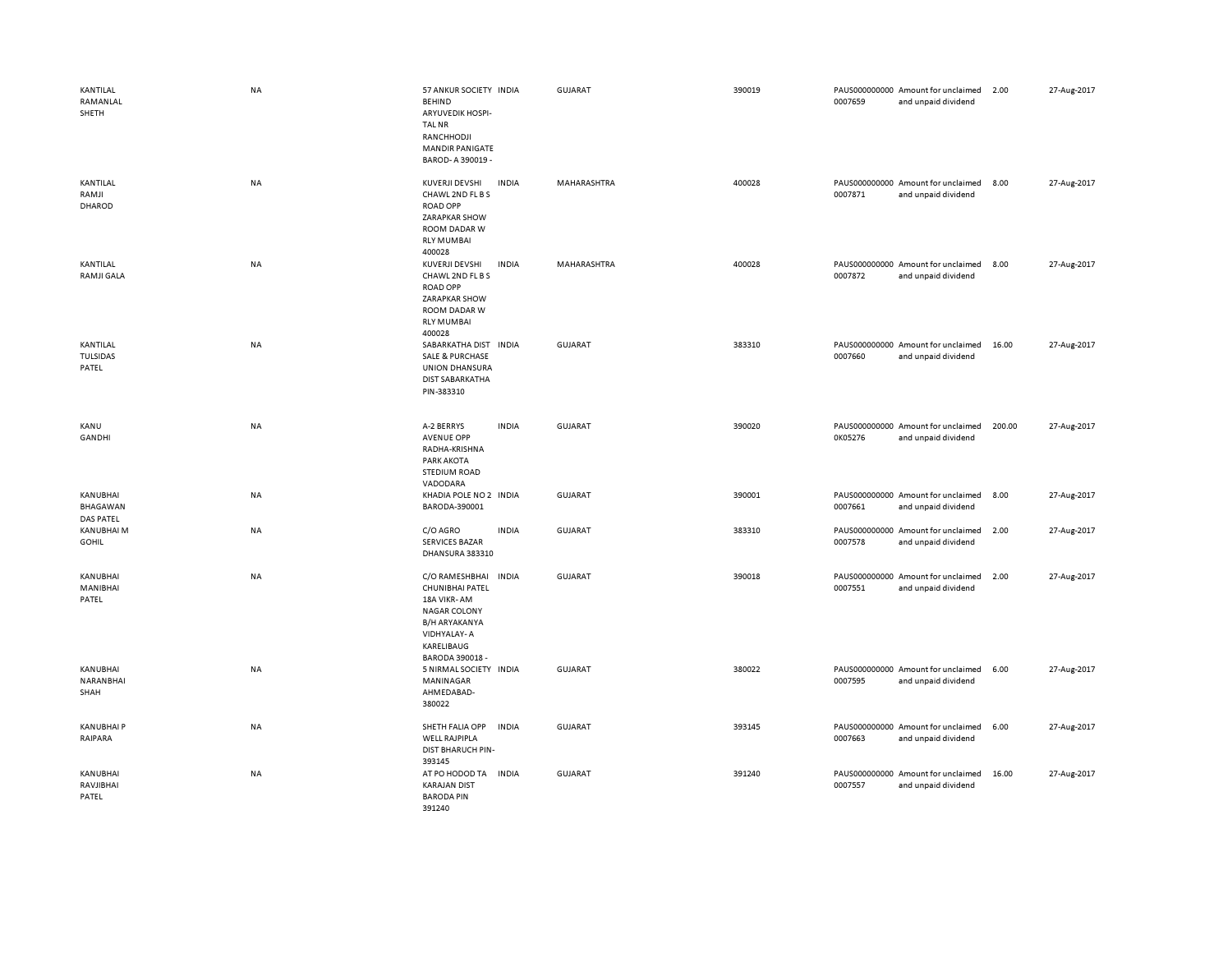| KANTILAL<br>RAMANLAL<br>SHETH        | <b>NA</b> | 57 ANKUR SOCIETY INDIA<br><b>BEHIND</b><br><b>ARYUVEDIK HOSPI-</b><br><b>TAL NR</b><br>RANCHHODJI<br><b>MANDIR PANIGATE</b><br>BAROD- A 390019 - |              | GUJARAT        | 390019 | 0007659 | PAUS000000000 Amount for unclaimed<br>and unpaid dividend | 2.00   | 27-Aug-2017 |
|--------------------------------------|-----------|--------------------------------------------------------------------------------------------------------------------------------------------------|--------------|----------------|--------|---------|-----------------------------------------------------------|--------|-------------|
| KANTILAL<br>RAMJI<br>DHAROD          | NA        | KUVERJI DEVSHI<br>CHAWL 2ND FL B S<br><b>ROAD OPP</b><br>ZARAPKAR SHOW<br>ROOM DADAR W<br><b>RLY MUMBAI</b><br>400028                            | <b>INDIA</b> | MAHARASHTRA    | 400028 | 0007871 | PAUS000000000 Amount for unclaimed<br>and unpaid dividend | 8.00   | 27-Aug-2017 |
| KANTILAL<br><b>RAMJI GALA</b>        | <b>NA</b> | KUVERJI DEVSHI<br>CHAWL 2ND FL B S<br><b>ROAD OPP</b><br>ZARAPKAR SHOW<br>ROOM DADAR W<br><b>RLY MUMBAI</b><br>400028                            | <b>INDIA</b> | MAHARASHTRA    | 400028 | 0007872 | PAUS000000000 Amount for unclaimed<br>and unpaid dividend | 8.00   | 27-Aug-2017 |
| KANTILAL<br><b>TULSIDAS</b><br>PATEL | <b>NA</b> | SABARKATHA DIST<br><b>SALE &amp; PURCHASE</b><br><b>UNION DHANSURA</b><br><b>DIST SABARKATHA</b><br>PIN-383310                                   | <b>INDIA</b> | <b>GUJARAT</b> | 383310 | 0007660 | PAUS000000000 Amount for unclaimed<br>and unpaid dividend | 16.00  | 27-Aug-2017 |
| KANU<br>GANDHI                       | <b>NA</b> | A-2 BERRYS<br><b>AVENUE OPP</b><br>RADHA-KRISHNA<br><b>PARK AKOTA</b><br><b>STEDIUM ROAD</b><br>VADODARA                                         | <b>INDIA</b> | GUJARAT        | 390020 | 0K05276 | PAUS000000000 Amount for unclaimed<br>and unpaid dividend | 200.00 | 27-Aug-2017 |
| KANUBHAI<br>BHAGAWAN<br>DAS PATEL    | NA        | KHADIA POLE NO 2 INDIA<br>BARODA-390001                                                                                                          |              | GUJARAT        | 390001 | 0007661 | PAUS000000000 Amount for unclaimed<br>and unpaid dividend | 8.00   | 27-Aug-2017 |
| KANUBHAI M<br><b>GOHIL</b>           | NA        | C/O AGRO<br><b>SERVICES BAZAR</b><br>DHANSURA 383310                                                                                             | <b>INDIA</b> | <b>GUJARAT</b> | 383310 | 0007578 | PAUS000000000 Amount for unclaimed<br>and unpaid dividend | 2.00   | 27-Aug-2017 |
| <b>KANUBHAI</b><br>MANIBHAI<br>PATEL | NA        | C/O RAMESHBHAI<br>CHUNIBHAI PATEL<br>18A VIKR-AM<br><b>NAGAR COLONY</b><br><b>B/H ARYAKANYA</b><br>VIDHYALAY-A<br>KARELIBAUG<br>BARODA 390018 -  | <b>INDIA</b> | <b>GUJARAT</b> | 390018 | 0007551 | PAUS000000000 Amount for unclaimed<br>and unpaid dividend | 2.00   | 27-Aug-2017 |
| KANUBHAI<br>NARANBHAI<br>SHAH        | <b>NA</b> | 5 NIRMAL SOCIETY INDIA<br>MANINAGAR<br>AHMEDABAD-<br>380022                                                                                      |              | <b>GUJARAT</b> | 380022 | 0007595 | PAUS000000000 Amount for unclaimed<br>and unpaid dividend | 6.00   | 27-Aug-2017 |
| <b>KANUBHAIP</b><br>RAIPARA          | NA        | SHETH FALIA OPP<br><b>WELL RAJPIPLA</b><br>DIST BHARUCH PIN-<br>393145                                                                           | <b>INDIA</b> | <b>GUJARAT</b> | 393145 | 0007663 | PAUS000000000 Amount for unclaimed<br>and unpaid dividend | 6.00   | 27-Aug-2017 |
| KANUBHAI<br>RAVJIBHAI<br>PATEL       | <b>NA</b> | AT PO HODOD TA<br><b>KARAJAN DIST</b><br><b>BARODA PIN</b><br>391240                                                                             | <b>INDIA</b> | <b>GUJARAT</b> | 391240 | 0007557 | PAUS000000000 Amount for unclaimed<br>and unpaid dividend | 16.00  | 27-Aug-2017 |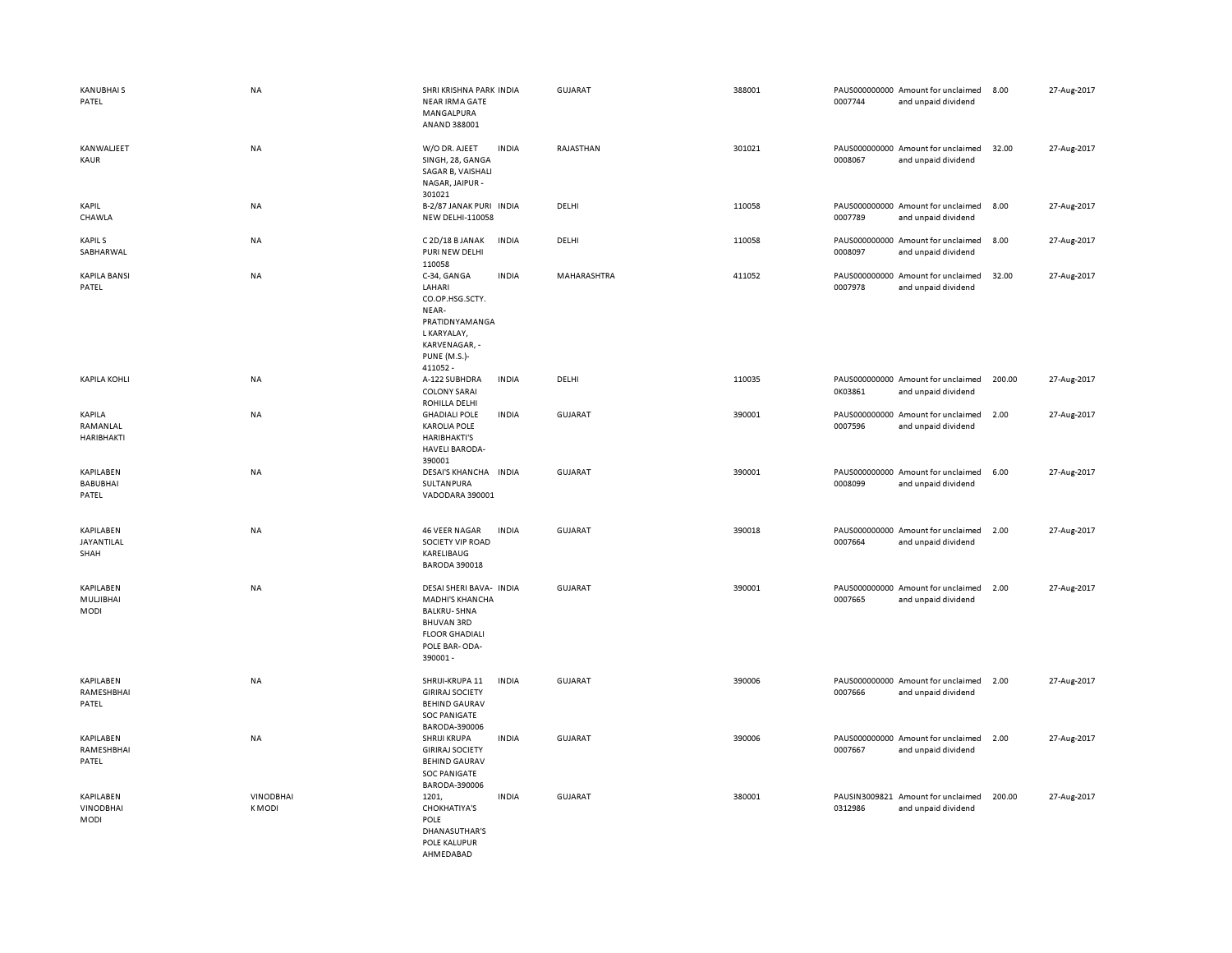| <b>KANUBHAIS</b><br>PATEL                    | <b>NA</b>                        | SHRI KRISHNA PARK INDIA<br><b>NEAR IRMA GATE</b><br>MANGALPURA<br>ANAND 388001                                                                    |              | <b>GUJARAT</b> | 388001 | 0007744 | PAUS000000000 Amount for unclaimed<br>and unpaid dividend | 8.00   | 27-Aug-2017 |
|----------------------------------------------|----------------------------------|---------------------------------------------------------------------------------------------------------------------------------------------------|--------------|----------------|--------|---------|-----------------------------------------------------------|--------|-------------|
| KANWALJEET<br>KAUR                           | <b>NA</b>                        | W/O DR. AJEET<br>SINGH, 28, GANGA<br>SAGAR B, VAISHALI<br>NAGAR, JAIPUR -<br>301021                                                               | <b>INDIA</b> | RAJASTHAN      | 301021 | 0008067 | PAUS000000000 Amount for unclaimed<br>and unpaid dividend | 32.00  | 27-Aug-2017 |
| KAPIL<br>CHAWLA                              | NA                               | B-2/87 JANAK PURI INDIA<br>NEW DELHI-110058                                                                                                       |              | DELHI          | 110058 | 0007789 | PAUS000000000 Amount for unclaimed<br>and unpaid dividend | 8.00   | 27-Aug-2017 |
| <b>KAPILS</b><br>SABHARWAL                   | NA                               | C 2D/18 B JANAK<br>PURI NEW DELHI<br>110058                                                                                                       | <b>INDIA</b> | DELHI          | 110058 | 0008097 | PAUS000000000 Amount for unclaimed<br>and unpaid dividend | 8.00   | 27-Aug-2017 |
| <b>KAPILA BANSI</b><br>PATEL                 | NA                               | C-34, GANGA<br>LAHARI<br>CO.OP.HSG.SCTY.<br>NEAR-<br>PRATIDNYAMANGA<br>L KARYALAY,<br>KARVENAGAR, -<br><b>PUNE (M.S.)-</b><br>411052 -            | <b>INDIA</b> | MAHARASHTRA    | 411052 | 0007978 | PAUS000000000 Amount for unclaimed<br>and unpaid dividend | 32.00  | 27-Aug-2017 |
| <b>KAPILA KOHLI</b>                          | NA                               | A-122 SUBHDRA<br><b>COLONY SARAI</b><br>ROHILLA DELHI                                                                                             | <b>INDIA</b> | DELHI          | 110035 | 0K03861 | PAUS000000000 Amount for unclaimed<br>and unpaid dividend | 200.00 | 27-Aug-2017 |
| KAPILA<br>RAMANLAL<br><b>HARIBHAKTI</b>      | <b>NA</b>                        | <b>GHADIALI POLE</b><br><b>KAROLIA POLE</b><br><b>HARIBHAKTI'S</b><br><b>HAVELI BARODA-</b><br>390001                                             | <b>INDIA</b> | GUJARAT        | 390001 | 0007596 | PAUS000000000 Amount for unclaimed<br>and unpaid dividend | 2.00   | 27-Aug-2017 |
| KAPILABEN<br><b>BABUBHAI</b><br>PATEL        | NA                               | DESAI'S KHANCHA INDIA<br>SULTANPURA<br>VADODARA 390001                                                                                            |              | <b>GUJARAT</b> | 390001 | 0008099 | PAUS000000000 Amount for unclaimed<br>and unpaid dividend | 6.00   | 27-Aug-2017 |
| KAPILABEN<br>JAYANTILAL<br>SHAH              | <b>NA</b>                        | <b>46 VEER NAGAR</b><br>SOCIETY VIP ROAD<br>KARELIBAUG<br><b>BARODA 390018</b>                                                                    | <b>INDIA</b> | GUJARAT        | 390018 | 0007664 | PAUS000000000 Amount for unclaimed<br>and unpaid dividend | 2.00   | 27-Aug-2017 |
| KAPILABEN<br>MULJIBHAI<br><b>MODI</b>        | <b>NA</b>                        | DESAI SHERI BAVA- INDIA<br><b>MADHI'S KHANCHA</b><br><b>BALKRU-SHNA</b><br><b>BHUVAN 3RD</b><br><b>FLOOR GHADIALI</b><br>POLE BAR-ODA-<br>390001- |              | <b>GUJARAT</b> | 390001 | 0007665 | PAUS000000000 Amount for unclaimed<br>and unpaid dividend | 2.00   | 27-Aug-2017 |
| KAPILABEN<br>RAMESHBHAI<br>PATEL             | <b>NA</b>                        | SHRIJI-KRUPA 11<br><b>GIRIRAJ SOCIETY</b><br><b>BEHIND GAURAV</b><br><b>SOC PANIGATE</b><br>BARODA-390006                                         | <b>INDIA</b> | <b>GUJARAT</b> | 390006 | 0007666 | PAUS000000000 Amount for unclaimed<br>and unpaid dividend | 2.00   | 27-Aug-2017 |
| KAPILABEN<br>RAMESHBHAI<br>PATEL             | <b>NA</b>                        | SHRIJI KRUPA<br><b>GIRIRAJ SOCIETY</b><br><b>BEHIND GAURAV</b><br><b>SOC PANIGATE</b><br>BARODA-390006                                            | <b>INDIA</b> | GUJARAT        | 390006 | 0007667 | PAUS000000000 Amount for unclaimed<br>and unpaid dividend | 2.00   | 27-Aug-2017 |
| KAPILABEN<br><b>VINODBHAI</b><br><b>MODI</b> | <b>VINODBHAI</b><br><b>KMODI</b> | 1201,<br><b>CHOKHATIYA'S</b><br>POLE<br>DHANASUTHAR'S<br>POLE KALUPUR<br>AHMFDARAD                                                                | <b>INDIA</b> | <b>GUJARAT</b> | 380001 | 0312986 | PAUSIN3009821 Amount for unclaimed<br>and unpaid dividend | 200.00 | 27-Aug-2017 |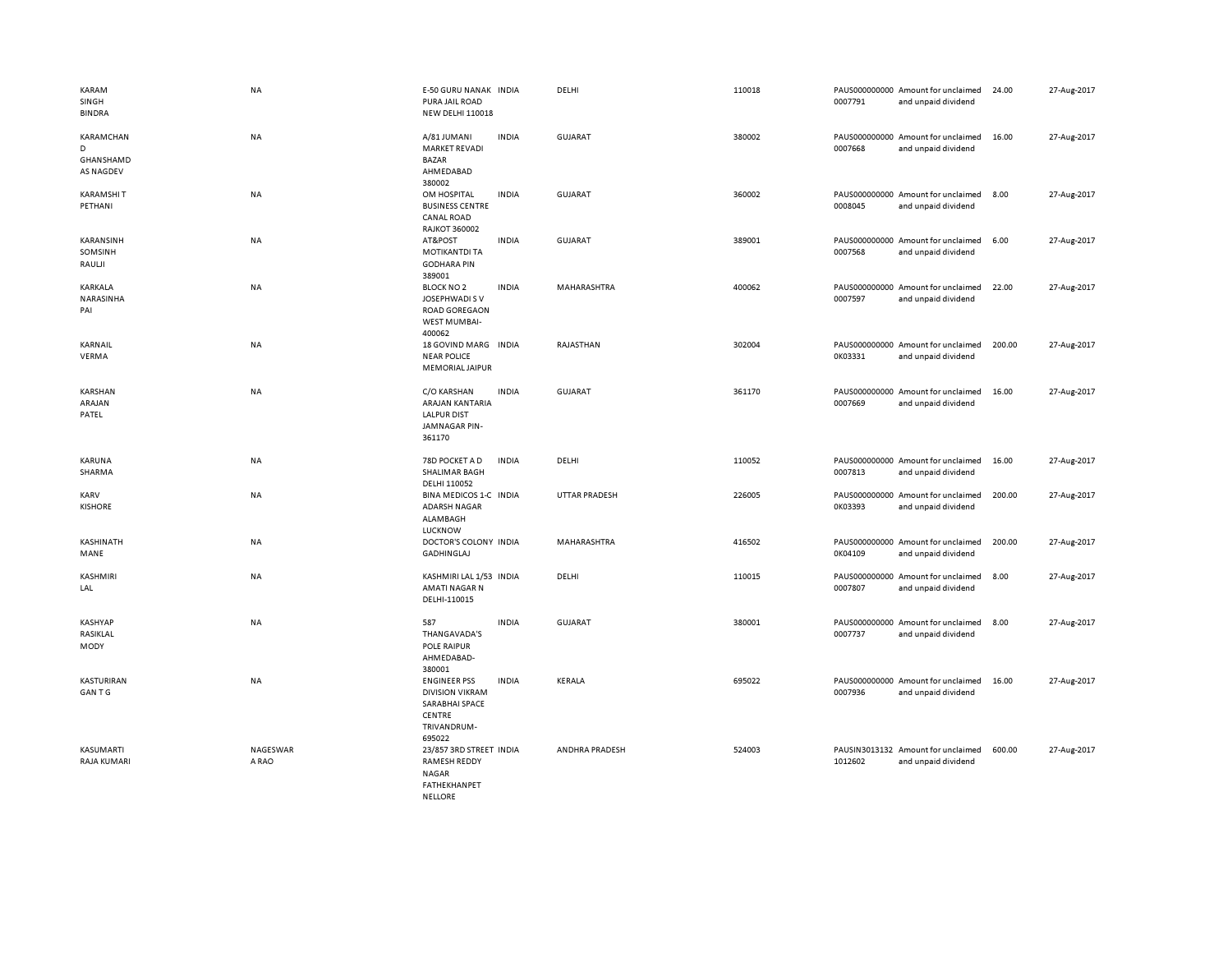| KARAM<br>SINGH<br><b>BINDRA</b>                 | <b>NA</b>         | E-50 GURU NANAK INDIA<br>PURA JAIL ROAD<br><b>NEW DELHI 110018</b>                                      |              | DELHI                | 110018 | 0007791 | PAUS000000000 Amount for unclaimed<br>and unpaid dividend | 24.00  | 27-Aug-2017 |
|-------------------------------------------------|-------------------|---------------------------------------------------------------------------------------------------------|--------------|----------------------|--------|---------|-----------------------------------------------------------|--------|-------------|
| KARAMCHAN<br>D<br>GHANSHAMD<br><b>AS NAGDEV</b> | NA                | A/81 JUMANI<br><b>MARKET REVADI</b><br><b>BAZAR</b><br>AHMEDABAD<br>380002                              | <b>INDIA</b> | GUJARAT              | 380002 | 0007668 | PAUS000000000 Amount for unclaimed<br>and unpaid dividend | 16.00  | 27-Aug-2017 |
| <b>KARAMSHIT</b><br>PETHANI                     | NA                | OM HOSPITAL<br><b>BUSINESS CENTRE</b><br><b>CANAL ROAD</b><br><b>RAJKOT 360002</b>                      | <b>INDIA</b> | GUJARAT              | 360002 | 0008045 | PAUS000000000 Amount for unclaimed<br>and unpaid dividend | 8.00   | 27-Aug-2017 |
| KARANSINH<br>SOMSINH<br>RAULII                  | NA                | AT&POST<br><b>MOTIKANTDI TA</b><br><b>GODHARA PIN</b><br>389001                                         | <b>INDIA</b> | <b>GUJARAT</b>       | 389001 | 0007568 | PAUS000000000 Amount for unclaimed<br>and unpaid dividend | 6.00   | 27-Aug-2017 |
| KARKALA<br>NARASINHA<br>PAI                     | <b>NA</b>         | <b>BLOCK NO 2</b><br>JOSEPHWADI S V<br><b>ROAD GOREGAON</b><br>WEST MUMBAI-<br>400062                   | <b>INDIA</b> | MAHARASHTRA          | 400062 | 0007597 | PAUS000000000 Amount for unclaimed<br>and unpaid dividend | 22.00  | 27-Aug-2017 |
| KARNAIL<br>VERMA                                | <b>NA</b>         | 18 GOVIND MARG INDIA<br><b>NEAR POLICE</b><br><b>MEMORIAL JAIPUR</b>                                    |              | RAJASTHAN            | 302004 | 0K03331 | PAUS000000000 Amount for unclaimed<br>and unpaid dividend | 200.00 | 27-Aug-2017 |
| KARSHAN<br>ARAJAN<br>PATEL                      | NA                | C/O KARSHAN<br>ARAJAN KANTARIA<br><b>LALPUR DIST</b><br>JAMNAGAR PIN-<br>361170                         | <b>INDIA</b> | GUJARAT              | 361170 | 0007669 | PAUS000000000 Amount for unclaimed<br>and unpaid dividend | 16.00  | 27-Aug-2017 |
| KARUNA<br>SHARMA                                | NA                | 78D POCKET A D<br>SHALIMAR BAGH<br>DELHI 110052                                                         | <b>INDIA</b> | DELHI                | 110052 | 0007813 | PAUS000000000 Amount for unclaimed<br>and unpaid dividend | 16.00  | 27-Aug-2017 |
| KARV<br><b>KISHORE</b>                          | NA                | BINA MEDICOS 1-C INDIA<br><b>ADARSH NAGAR</b><br>ALAMBAGH<br>LUCKNOW                                    |              | <b>UTTAR PRADESH</b> | 226005 | 0K03393 | PAUS000000000 Amount for unclaimed<br>and unpaid dividend | 200.00 | 27-Aug-2017 |
| KASHINATH<br>MANE                               | <b>NA</b>         | DOCTOR'S COLONY INDIA<br><b>GADHINGLAJ</b>                                                              |              | MAHARASHTRA          | 416502 | 0K04109 | PAUS000000000 Amount for unclaimed<br>and unpaid dividend | 200.00 | 27-Aug-2017 |
| KASHMIRI<br>LAL                                 | NA                | KASHMIRI LAL 1/53 INDIA<br>AMATI NAGAR N<br>DELHI-110015                                                |              | DELHI                | 110015 | 0007807 | PAUS000000000 Amount for unclaimed<br>and unpaid dividend | 8.00   | 27-Aug-2017 |
| KASHYAP<br>RASIKLAL<br>MODY                     | NA                | 587<br>THANGAVADA'S<br>POLE RAIPUR<br>AHMEDABAD-<br>380001                                              | <b>INDIA</b> | <b>GUJARAT</b>       | 380001 | 0007737 | PAUS000000000 Amount for unclaimed<br>and unpaid dividend | 8.00   | 27-Aug-2017 |
| KASTURIRAN<br><b>GANTG</b>                      | NA                | <b>ENGINEER PSS</b><br><b>DIVISION VIKRAM</b><br>SARABHAI SPACE<br>CENTRE<br>TRIVANDRUM-<br>695022      | <b>INDIA</b> | KERALA               | 695022 | 0007936 | PAUS000000000 Amount for unclaimed<br>and unpaid dividend | 16.00  | 27-Aug-2017 |
| KASUMARTI<br>RAJA KUMARI                        | NAGESWAR<br>A RAO | 23/857 3RD STREET INDIA<br><b>RAMESH REDDY</b><br><b>NAGAR</b><br><b>FATHEKHANPET</b><br><b>NELLORE</b> |              | ANDHRA PRADESH       | 524003 | 1012602 | PAUSIN3013132 Amount for unclaimed<br>and unpaid dividend | 600.00 | 27-Aug-2017 |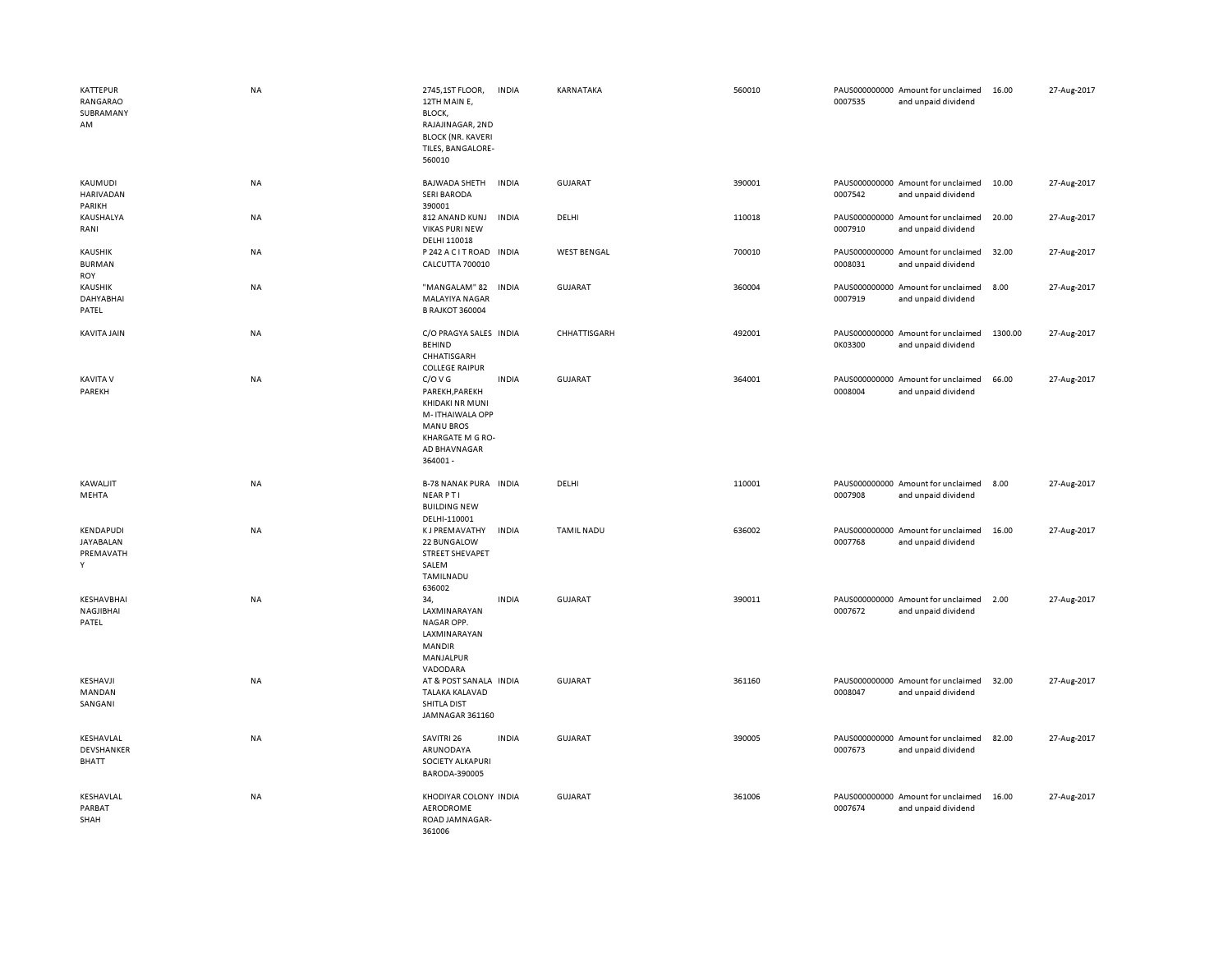| <b>KATTEPUR</b><br>RANGARAO<br>SUBRAMANY<br>AM | <b>NA</b> | 2745,1ST FLOOR,<br>12TH MAIN E,<br>BLOCK,<br>RAJAJINAGAR, 2ND<br><b>BLOCK (NR. KAVERI</b><br>TILES, BANGALORE-<br>560010           | <b>INDIA</b> | KARNATAKA          | 560010 | 0007535 | PAUS000000000 Amount for unclaimed<br>and unpaid dividend | 16.00   | 27-Aug-2017 |
|------------------------------------------------|-----------|------------------------------------------------------------------------------------------------------------------------------------|--------------|--------------------|--------|---------|-----------------------------------------------------------|---------|-------------|
| KAUMUDI<br>HARIVADAN<br>PARIKH                 | NA        | <b>BAJWADA SHETH</b><br><b>SERI BARODA</b><br>390001                                                                               | <b>INDIA</b> | <b>GUJARAT</b>     | 390001 | 0007542 | PAUS000000000 Amount for unclaimed<br>and unpaid dividend | 10.00   | 27-Aug-2017 |
| KAUSHALYA<br>RANI                              | NA        | 812 ANAND KUNJ<br><b>VIKAS PURI NEW</b><br>DELHI 110018                                                                            | <b>INDIA</b> | DELHI              | 110018 | 0007910 | PAUS000000000 Amount for unclaimed<br>and unpaid dividend | 20.00   | 27-Aug-2017 |
| <b>KAUSHIK</b><br><b>BURMAN</b><br>ROY         | NA        | P 242 A C I T ROAD<br>CALCUTTA 700010                                                                                              | <b>INDIA</b> | <b>WEST BENGAL</b> | 700010 | 0008031 | PAUS000000000 Amount for unclaimed<br>and unpaid dividend | 32.00   | 27-Aug-2017 |
| <b>KAUSHIK</b><br>DAHYABHAI<br>PATEL           | NA        | "MANGALAM" 82<br>MALAYIYA NAGAR<br><b>B RAJKOT 360004</b>                                                                          | <b>INDIA</b> | <b>GUJARAT</b>     | 360004 | 0007919 | PAUS000000000 Amount for unclaimed<br>and unpaid dividend | 8.00    | 27-Aug-2017 |
| KAVITA JAIN                                    | <b>NA</b> | C/O PRAGYA SALES INDIA<br><b>BEHIND</b><br>CHHATISGARH<br><b>COLLEGE RAIPUR</b>                                                    |              | CHHATTISGARH       | 492001 | 0K03300 | PAUS000000000 Amount for unclaimed<br>and unpaid dividend | 1300.00 | 27-Aug-2017 |
| KAVITA V<br>PAREKH                             | NA        | C/O V G<br>PAREKH, PAREKH<br>KHIDAKI NR MUNI<br>M-ITHAIWALA OPP<br><b>MANU BROS</b><br>KHARGATE M G RO-<br>AD BHAVNAGAR<br>364001- | <b>INDIA</b> | <b>GUJARAT</b>     | 364001 | 0008004 | PAUS000000000 Amount for unclaimed<br>and unpaid dividend | 66.00   | 27-Aug-2017 |
| KAWALJIT<br>MEHTA                              | <b>NA</b> | <b>B-78 NANAK PURA INDIA</b><br><b>NEARPTI</b><br><b>BUILDING NEW</b><br>DELHI-110001                                              |              | DELHI              | 110001 | 0007908 | PAUS000000000 Amount for unclaimed<br>and unpaid dividend | 8.00    | 27-Aug-2017 |
| KENDAPUDI<br>JAYABALAN<br>PREMAVATH<br>Y       | NA        | <b>KJ PREMAVATHY</b><br>22 BUNGALOW<br><b>STREET SHEVAPET</b><br>SALEM<br>TAMILNADU<br>636002                                      | <b>INDIA</b> | <b>TAMIL NADU</b>  | 636002 | 0007768 | PAUS000000000 Amount for unclaimed<br>and unpaid dividend | 16.00   | 27-Aug-2017 |
| KESHAVBHAI<br>NAGJIBHAI<br>PATEL               | NA        | 34,<br>LAXMINARAYAN<br>NAGAR OPP.<br>LAXMINARAYAN<br>MANDIR<br>MANJALPUR<br>VADODARA                                               | <b>INDIA</b> | <b>GUJARAT</b>     | 390011 | 0007672 | PAUS000000000 Amount for unclaimed<br>and unpaid dividend | 2.00    | 27-Aug-2017 |
| KESHAVJI<br>MANDAN<br>SANGANI                  | NA        | AT & POST SANALA INDIA<br><b>TALAKA KALAVAD</b><br>SHITLA DIST<br>JAMNAGAR 361160                                                  |              | GUJARAT            | 361160 | 0008047 | PAUS000000000 Amount for unclaimed<br>and unpaid dividend | 32.00   | 27-Aug-2017 |
| KESHAVLAL<br>DEVSHANKER<br>BHATT               | NA        | SAVITRI 26<br>ARUNODAYA<br>SOCIETY ALKAPURI<br>BARODA-390005                                                                       | <b>INDIA</b> | <b>GUJARAT</b>     | 390005 | 0007673 | PAUS000000000 Amount for unclaimed<br>and unpaid dividend | 82.00   | 27-Aug-2017 |
| KESHAVLAL<br>PARBAT<br>SHAH                    | NA        | KHODIYAR COLONY INDIA<br>AERODROME<br>ROAD JAMNAGAR-<br>361006                                                                     |              | <b>GUJARAT</b>     | 361006 | 0007674 | PAUS000000000 Amount for unclaimed<br>and unpaid dividend | 16.00   | 27-Aug-2017 |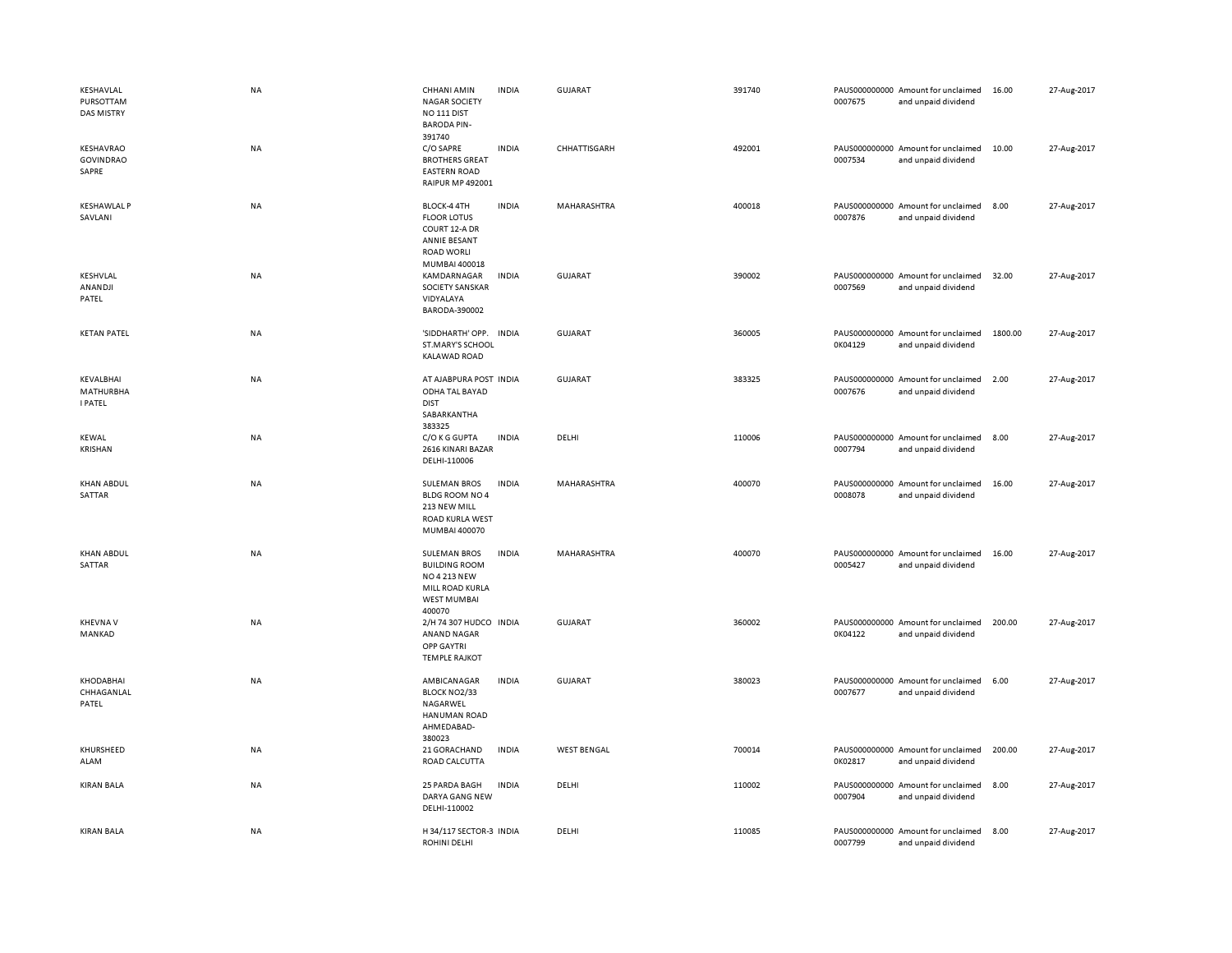| KESHAVLAL<br>PURSOTTAM<br><b>DAS MISTRY</b> | <b>NA</b> | <b>CHHANI AMIN</b><br><b>INDIA</b><br><b>NAGAR SOCIETY</b><br>NO <sub>111</sub> DIST<br><b>BARODA PIN-</b><br>391740           | GUJARAT            | 391740 | PAUS000000000 Amount for unclaimed<br>0007675<br>and unpaid dividend | 16.00   | 27-Aug-2017 |
|---------------------------------------------|-----------|--------------------------------------------------------------------------------------------------------------------------------|--------------------|--------|----------------------------------------------------------------------|---------|-------------|
| KESHAVRAO<br><b>GOVINDRAO</b><br>SAPRE      | <b>NA</b> | C/O SAPRE<br><b>INDIA</b><br><b>BROTHERS GREAT</b><br><b>EASTERN ROAD</b><br><b>RAIPUR MP 492001</b>                           | CHHATTISGARH       | 492001 | PAUS000000000 Amount for unclaimed<br>0007534<br>and unpaid dividend | 10.00   | 27-Aug-2017 |
| <b>KESHAWLAL P</b><br>SAVLANI               | NA        | <b>INDIA</b><br>BLOCK-4 4TH<br><b>FLOOR LOTUS</b><br>COURT 12-A DR<br>ANNIE BESANT<br><b>ROAD WORLI</b><br>MUMBAI 400018       | MAHARASHTRA        | 400018 | PAUS000000000 Amount for unclaimed<br>0007876<br>and unpaid dividend | 8.00    | 27-Aug-2017 |
| KESHVLAL<br>ANANDJI<br>PATEL                | NA        | <b>INDIA</b><br>KAMDARNAGAR<br><b>SOCIETY SANSKAR</b><br>VIDYALAYA<br>BARODA-390002                                            | <b>GUJARAT</b>     | 390002 | PAUS000000000 Amount for unclaimed<br>0007569<br>and unpaid dividend | 32.00   | 27-Aug-2017 |
| <b>KETAN PATEL</b>                          | <b>NA</b> | 'SIDDHARTH' OPP.<br><b>INDIA</b><br>ST.MARY'S SCHOOL<br><b>KALAWAD ROAD</b>                                                    | <b>GUJARAT</b>     | 360005 | PAUS000000000 Amount for unclaimed<br>0K04129<br>and unpaid dividend | 1800.00 | 27-Aug-2017 |
| KEVALBHAI<br>MATHURBHA<br><b>I PATEL</b>    | <b>NA</b> | AT AJABPURA POST INDIA<br>ODHA TAL BAYAD<br><b>DIST</b><br>SABARKANTHA<br>383325                                               | <b>GUJARAT</b>     | 383325 | PAUS000000000 Amount for unclaimed<br>0007676<br>and unpaid dividend | 2.00    | 27-Aug-2017 |
| <b>KEWAL</b><br>KRISHAN                     | NA        | C/O K G GUPTA<br><b>INDIA</b><br>2616 KINARI BAZAR<br>DELHI-110006                                                             | DELHI              | 110006 | PAUS000000000 Amount for unclaimed<br>0007794<br>and unpaid dividend | 8.00    | 27-Aug-2017 |
| <b>KHAN ABDUL</b><br>SATTAR                 | NA        | <b>SULEMAN BROS</b><br><b>INDIA</b><br>BLDG ROOM NO 4<br>213 NEW MILL<br>ROAD KURLA WEST<br>MUMBAI 400070                      | MAHARASHTRA        | 400070 | PAUS000000000 Amount for unclaimed<br>0008078<br>and unpaid dividend | 16.00   | 27-Aug-2017 |
| <b>KHAN ABDUL</b><br>SATTAR                 | NA        | <b>SULEMAN BROS</b><br><b>INDIA</b><br><b>BUILDING ROOM</b><br>NO 4 213 NEW<br>MILL ROAD KURLA<br><b>WEST MUMBAI</b><br>400070 | MAHARASHTRA        | 400070 | PAUS000000000 Amount for unclaimed<br>0005427<br>and unpaid dividend | 16.00   | 27-Aug-2017 |
| <b>KHEVNA V</b><br>MANKAD                   | NA        | 2/H 74 307 HUDCO INDIA<br>ANAND NAGAR<br><b>OPP GAYTRI</b><br><b>TEMPLE RAJKOT</b>                                             | <b>GUJARAT</b>     | 360002 | PAUS000000000 Amount for unclaimed<br>0K04122<br>and unpaid dividend | 200.00  | 27-Aug-2017 |
| <b>KHODABHAI</b><br>CHHAGANLAL<br>PATEL     | NA        | AMBICANAGAR<br><b>INDIA</b><br>BLOCK NO2/33<br>NAGARWEL<br><b>HANUMAN ROAD</b><br>AHMEDABAD-<br>380023                         | <b>GUJARAT</b>     | 380023 | PAUS000000000 Amount for unclaimed<br>0007677<br>and unpaid dividend | 6.00    | 27-Aug-2017 |
| KHURSHEED<br>ALAM                           | NA        | 21 GORACHAND<br><b>INDIA</b><br>ROAD CALCUTTA                                                                                  | <b>WEST BENGAL</b> | 700014 | PAUS000000000 Amount for unclaimed<br>0K02817<br>and unpaid dividend | 200.00  | 27-Aug-2017 |
| <b>KIRAN BALA</b>                           | <b>NA</b> | <b>INDIA</b><br>25 PARDA BAGH<br>DARYA GANG NEW<br>DELHI-110002                                                                | DELHI              | 110002 | PAUS000000000 Amount for unclaimed<br>0007904<br>and unpaid dividend | 8.00    | 27-Aug-2017 |
| <b>KIRAN BALA</b>                           | <b>NA</b> | H 34/117 SECTOR-3 INDIA<br>ROHINI DELHI                                                                                        | DELHI              | 110085 | PAUS000000000 Amount for unclaimed<br>0007799<br>and unpaid dividend | 8.00    | 27-Aug-2017 |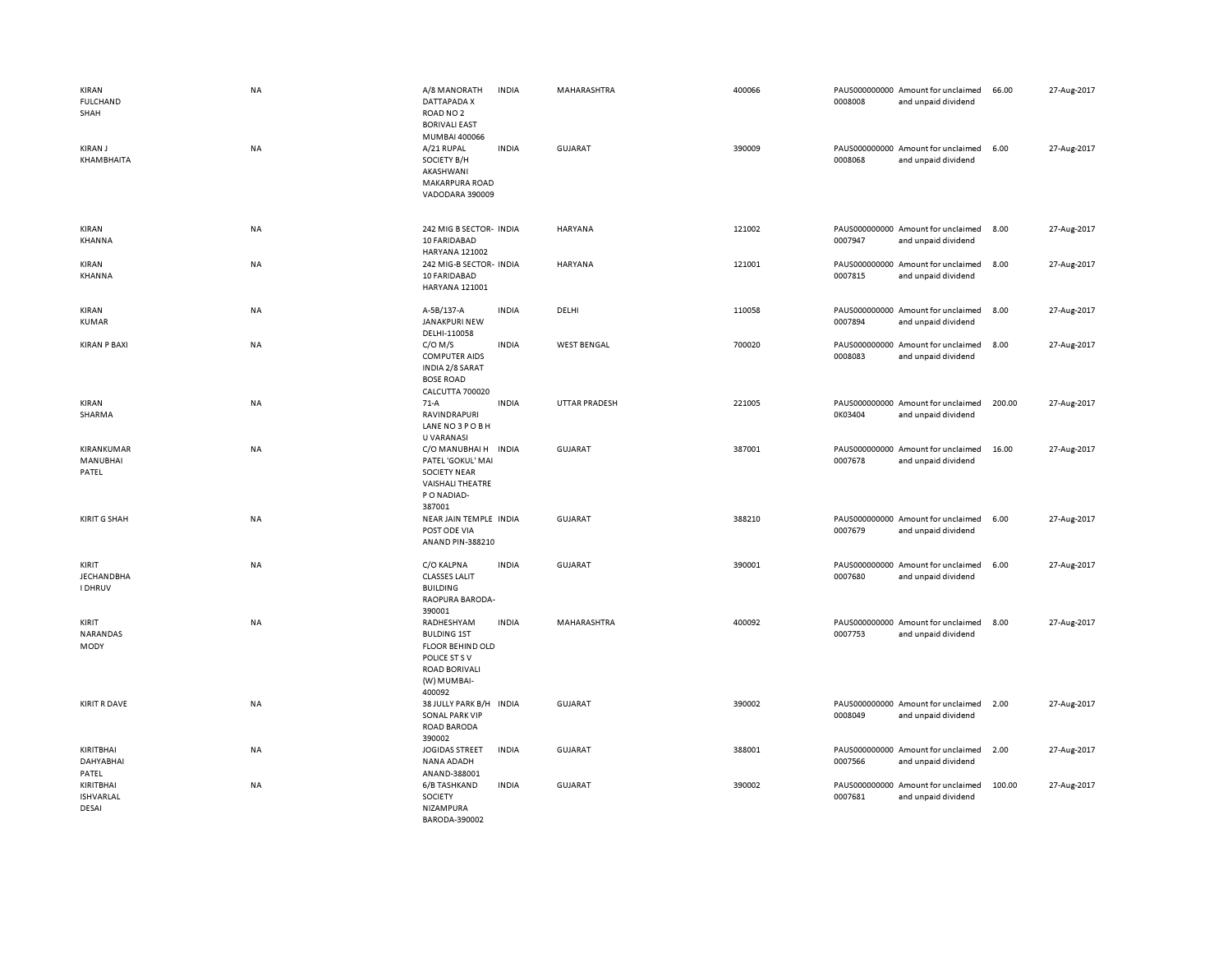| KIRAN<br><b>FULCHAND</b><br>SHAH             | <b>NA</b> | A/8 MANORATH<br>DATTAPADA X<br>ROAD NO <sub>2</sub><br><b>BORIVALI EAST</b><br>MUMBAI 400066                                  | <b>INDIA</b> | MAHARASHTRA          | 400066 | 0008008 | PAUS000000000 Amount for unclaimed<br>and unpaid dividend | 66.00  | 27-Aug-2017 |
|----------------------------------------------|-----------|-------------------------------------------------------------------------------------------------------------------------------|--------------|----------------------|--------|---------|-----------------------------------------------------------|--------|-------------|
| <b>KIRAN J</b><br>KHAMBHAITA                 | NA        | A/21 RUPAL<br>SOCIETY B/H<br>AKASHWANI<br>MAKARPURA ROAD<br>VADODARA 390009                                                   | <b>INDIA</b> | GUJARAT              | 390009 | 0008068 | PAUS000000000 Amount for unclaimed<br>and unpaid dividend | 6.00   | 27-Aug-2017 |
| KIRAN<br>KHANNA                              | NA        | 242 MIG B SECTOR- INDIA<br>10 FARIDABAD<br>HARYANA 121002                                                                     |              | <b>HARYANA</b>       | 121002 | 0007947 | PAUS000000000 Amount for unclaimed<br>and unpaid dividend | 8.00   | 27-Aug-2017 |
| KIRAN<br>KHANNA                              | NA        | 242 MIG-B SECTOR- INDIA<br>10 FARIDABAD<br>HARYANA 121001                                                                     |              | HARYANA              | 121001 | 0007815 | PAUS000000000 Amount for unclaimed<br>and unpaid dividend | 8.00   | 27-Aug-2017 |
| KIRAN<br><b>KUMAR</b>                        | NA        | A-5B/137-A<br>JANAKPURI NEW<br>DELHI-110058                                                                                   | <b>INDIA</b> | DELHI                | 110058 | 0007894 | PAUS000000000 Amount for unclaimed<br>and unpaid dividend | 8.00   | 27-Aug-2017 |
| <b>KIRAN P BAXI</b>                          | NA        | $C/O$ M/S<br><b>COMPUTER AIDS</b><br>INDIA 2/8 SARAT<br><b>BOSE ROAD</b><br>CALCUTTA 700020                                   | <b>INDIA</b> | <b>WEST BENGAL</b>   | 700020 | 0008083 | PAUS000000000 Amount for unclaimed<br>and unpaid dividend | 8.00   | 27-Aug-2017 |
| KIRAN<br>SHARMA                              | NA        | $71-A$<br><b>RAVINDRAPURI</b><br>LANE NO 3 POBH<br><b>U VARANASI</b>                                                          | <b>INDIA</b> | <b>UTTAR PRADESH</b> | 221005 | 0K03404 | PAUS000000000 Amount for unclaimed<br>and unpaid dividend | 200.00 | 27-Aug-2017 |
| KIRANKUMAR<br>MANUBHAI<br>PATEL              | NA        | C/O MANUBHAI H INDIA<br>PATEL 'GOKUL' MAI<br><b>SOCIETY NEAR</b><br><b>VAISHALI THEATRE</b><br>P O NADIAD-<br>387001          |              | <b>GUJARAT</b>       | 387001 | 0007678 | PAUS000000000 Amount for unclaimed<br>and unpaid dividend | 16.00  | 27-Aug-2017 |
| <b>KIRIT G SHAH</b>                          | NA        | NEAR JAIN TEMPLE INDIA<br>POST ODE VIA<br>ANAND PIN-388210                                                                    |              | <b>GUJARAT</b>       | 388210 | 0007679 | PAUS000000000 Amount for unclaimed<br>and unpaid dividend | 6.00   | 27-Aug-2017 |
| KIRIT<br><b>JECHANDBHA</b><br><b>I DHRUV</b> | NA        | C/O KALPNA<br><b>CLASSES LALIT</b><br><b>BUILDING</b><br>RAOPURA BARODA-<br>390001                                            | <b>INDIA</b> | GUJARAT              | 390001 | 0007680 | PAUS000000000 Amount for unclaimed<br>and unpaid dividend | 6.00   | 27-Aug-2017 |
| KIRIT<br>NARANDAS<br>MODY                    | <b>NA</b> | RADHESHYAM<br><b>BULDING 1ST</b><br><b>FLOOR BEHIND OLD</b><br>POLICE ST S V<br><b>ROAD BORIVALI</b><br>(W) MUMBAI-<br>400092 | <b>INDIA</b> | MAHARASHTRA          | 400092 | 0007753 | PAUS000000000 Amount for unclaimed<br>and unpaid dividend | 8.00   | 27-Aug-2017 |
| <b>KIRIT R DAVE</b>                          | <b>NA</b> | 38 JULLY PARK B/H INDIA<br><b>SONAL PARK VIP</b><br>ROAD BARODA<br>390002                                                     |              | <b>GUJARAT</b>       | 390002 | 0008049 | PAUS000000000 Amount for unclaimed<br>and unpaid dividend | 2.00   | 27-Aug-2017 |
| KIRITBHAI<br><b>DAHYABHAI</b><br>PATEL       | <b>NA</b> | JOGIDAS STREET<br>NANA ADADH<br>ANAND-388001                                                                                  | <b>INDIA</b> | <b>GUJARAT</b>       | 388001 | 0007566 | PAUS000000000 Amount for unclaimed<br>and unpaid dividend | 2.00   | 27-Aug-2017 |
| KIRITBHAI<br><b>ISHVARLAL</b><br>DESAI       | NA        | 6/B TASHKAND<br>SOCIETY<br>NIZAMPURA<br>BARODA-390002                                                                         | <b>INDIA</b> | <b>GUJARAT</b>       | 390002 | 0007681 | PAUS000000000 Amount for unclaimed<br>and unpaid dividend | 100.00 | 27-Aug-2017 |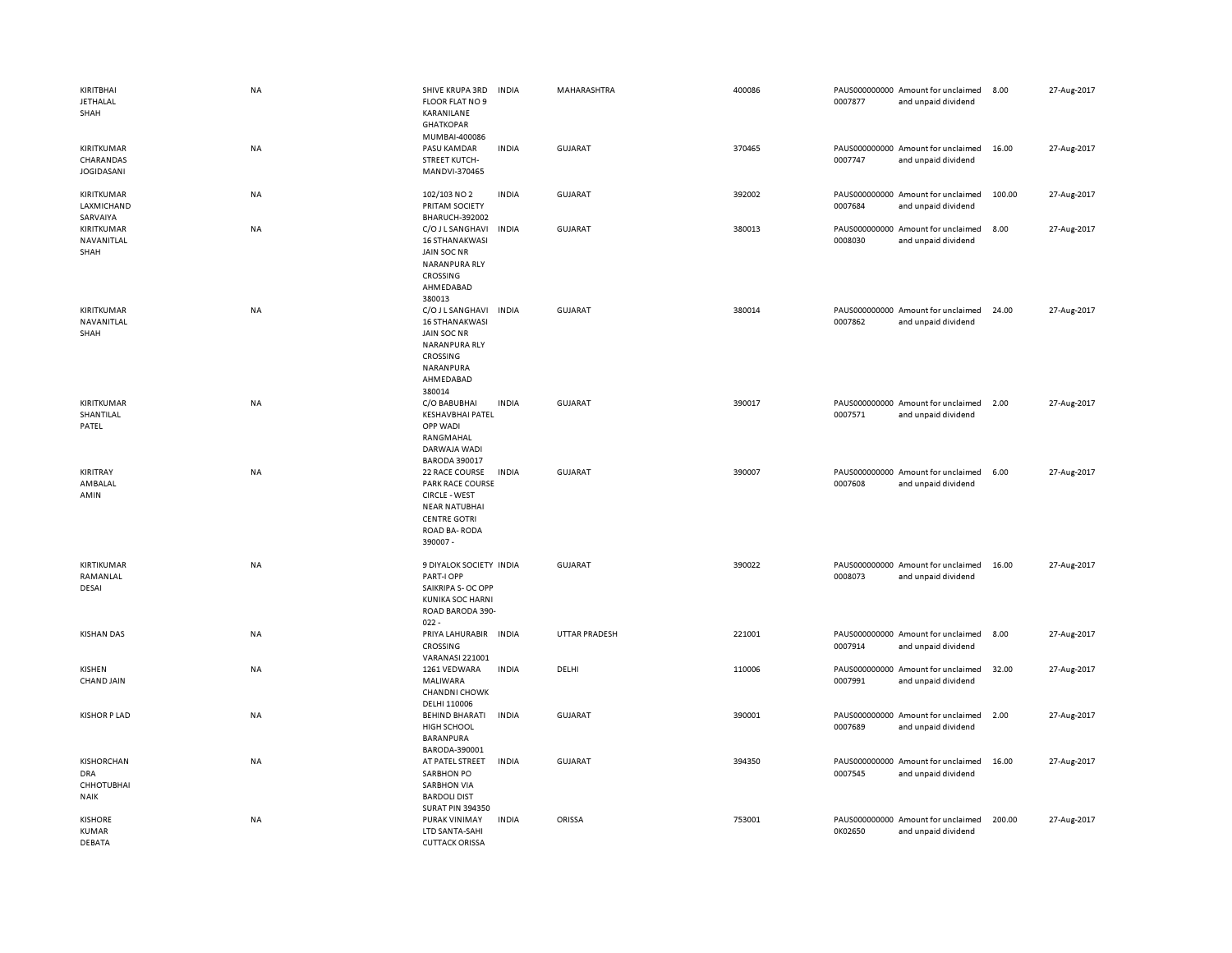| KIRITBHAI<br><b>JETHALAL</b><br>SHAH                  | <b>NA</b> | SHIVE KRUPA 3RD<br><b>INDIA</b><br>FLOOR FLAT NO 9<br>KARANILANE<br><b>GHATKOPAR</b>                                                                 | MAHARASHTRA          | 400086 | 0007877 | PAUS000000000 Amount for unclaimed<br>and unpaid dividend | 8.00   | 27-Aug-2017 |
|-------------------------------------------------------|-----------|------------------------------------------------------------------------------------------------------------------------------------------------------|----------------------|--------|---------|-----------------------------------------------------------|--------|-------------|
| KIRITKUMAR<br>CHARANDAS<br><b>JOGIDASANI</b>          | NA        | MUMBAI-400086<br>PASU KAMDAR<br><b>INDIA</b><br><b>STREET KUTCH-</b><br>MANDVI-370465                                                                | GUJARAT              | 370465 | 0007747 | PAUS000000000 Amount for unclaimed<br>and unpaid dividend | 16.00  | 27-Aug-2017 |
| KIRITKUMAR<br>LAXMICHAND<br>SARVAIYA                  | <b>NA</b> | 102/103 NO 2<br><b>INDIA</b><br>PRITAM SOCIETY<br><b>BHARUCH-392002</b>                                                                              | GUJARAT              | 392002 | 0007684 | PAUS000000000 Amount for unclaimed<br>and unpaid dividend | 100.00 | 27-Aug-2017 |
| KIRITKUMAR<br>NAVANITLAL<br>SHAH                      | NA        | C/O J L SANGHAVI<br><b>INDIA</b><br><b>16 STHANAKWASI</b><br>JAIN SOC NR<br>NARANPURA RLY<br>CROSSING<br>AHMEDABAD<br>380013                         | GUJARAT              | 380013 | 0008030 | PAUS000000000 Amount for unclaimed<br>and unpaid dividend | 8.00   | 27-Aug-2017 |
| KIRITKUMAR<br>NAVANITLAL<br>SHAH                      | <b>NA</b> | C/O J L SANGHAVI<br><b>INDIA</b><br><b>16 STHANAKWASI</b><br>JAIN SOC NR<br>NARANPURA RLY<br>CROSSING<br>NARANPURA<br>AHMEDABAD<br>380014            | <b>GUJARAT</b>       | 380014 | 0007862 | PAUS000000000 Amount for unclaimed<br>and unpaid dividend | 24.00  | 27-Aug-2017 |
| KIRITKUMAR<br>SHANTILAL<br>PATEL                      | NA        | <b>INDIA</b><br>C/O BABUBHAI<br><b>KESHAVBHAI PATEL</b><br>OPP WADI<br>RANGMAHAL<br>DARWAJA WADI<br><b>BARODA 390017</b>                             | <b>GUJARAT</b>       | 390017 | 0007571 | PAUS000000000 Amount for unclaimed<br>and unpaid dividend | 2.00   | 27-Aug-2017 |
| KIRITRAY<br>AMBALAL<br>AMIN                           | <b>NA</b> | 22 RACE COURSE<br><b>INDIA</b><br>PARK RACE COURSE<br><b>CIRCLE - WEST</b><br><b>NEAR NATUBHAI</b><br><b>CENTRE GOTRI</b><br>ROAD BA-RODA<br>390007- | <b>GUJARAT</b>       | 390007 | 0007608 | PAUS000000000 Amount for unclaimed<br>and unpaid dividend | 6.00   | 27-Aug-2017 |
| KIRTIKUMAR<br>RAMANLAL<br>DESAI                       | <b>NA</b> | 9 DIYALOK SOCIETY INDIA<br>PART-I OPP<br>SAIKRIPA S- OC OPP<br><b>KUNIKA SOC HARNI</b><br>ROAD BARODA 390-<br>$022 -$                                | <b>GUJARAT</b>       | 390022 | 0008073 | PAUS000000000 Amount for unclaimed<br>and unpaid dividend | 16.00  | 27-Aug-2017 |
| <b>KISHAN DAS</b>                                     | <b>NA</b> | PRIYA LAHURABIR INDIA<br>CROSSING<br><b>VARANASI 221001</b>                                                                                          | <b>UTTAR PRADESH</b> | 221001 | 0007914 | PAUS000000000 Amount for unclaimed<br>and unpaid dividend | 8.00   | 27-Aug-2017 |
| KISHEN<br>CHAND JAIN                                  | NA        | 1261 VEDWARA<br><b>INDIA</b><br>MALIWARA<br><b>CHANDNI CHOWK</b><br>DELHI 110006                                                                     | DELHI                | 110006 | 0007991 | PAUS000000000 Amount for unclaimed<br>and unpaid dividend | 32.00  | 27-Aug-2017 |
| <b>KISHOR P LAD</b>                                   | NA        | BEHIND BHARATI<br><b>INDIA</b><br>HIGH SCHOOL<br>BARANPURA<br>BARODA-390001                                                                          | <b>GUJARAT</b>       | 390001 | 0007689 | PAUS000000000 Amount for unclaimed<br>and unpaid dividend | 2.00   | 27-Aug-2017 |
| KISHORCHAN<br>DRA<br><b>CHHOTUBHAI</b><br><b>NAIK</b> | NA        | AT PATEL STREET<br><b>INDIA</b><br><b>SARBHON PO</b><br><b>SARBHON VIA</b><br><b>BARDOLI DIST</b><br><b>SURAT PIN 394350</b>                         | <b>GUJARAT</b>       | 394350 | 0007545 | PAUS000000000 Amount for unclaimed<br>and unpaid dividend | 16.00  | 27-Aug-2017 |
| <b>KISHORE</b><br><b>KUMAR</b><br>DEBATA              | NA        | PURAK VINIMAY<br><b>INDIA</b><br>LTD SANTA-SAHI<br><b>CUTTACK ORISSA</b>                                                                             | ORISSA               | 753001 | 0K02650 | PAUS000000000 Amount for unclaimed<br>and unpaid dividend | 200.00 | 27-Aug-2017 |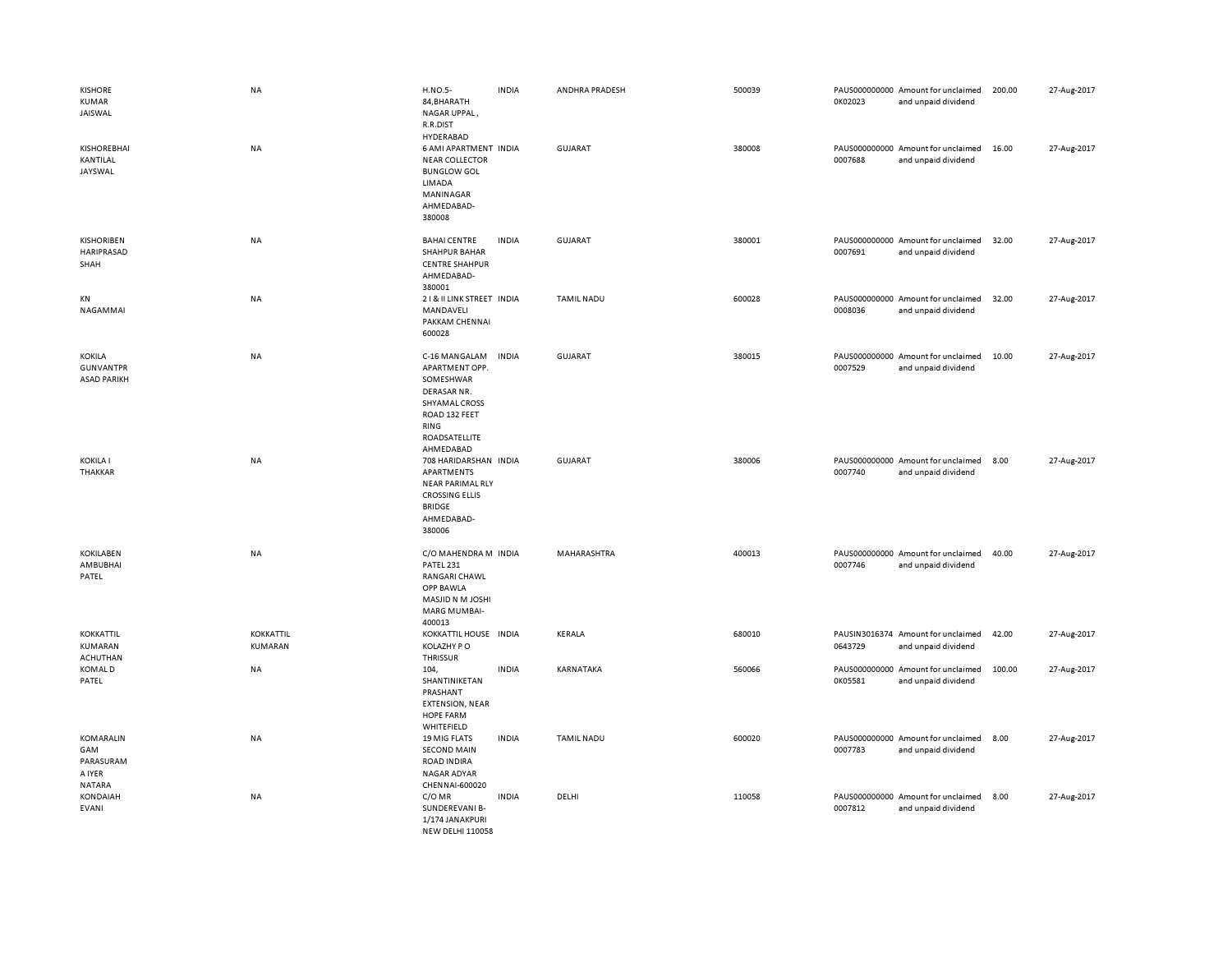| <b>KISHORE</b><br>KUMAR<br>JAISWAL                      | NA                   | <b>H.NO.5-</b><br>84, BHARATH<br>NAGAR UPPAL,<br>R.R.DIST                                                                                  | <b>INDIA</b> | ANDHRA PRADESH    | 500039 | 0K02023 | PAUS000000000 Amount for unclaimed<br>and unpaid dividend | 200.00 | 27-Aug-2017 |
|---------------------------------------------------------|----------------------|--------------------------------------------------------------------------------------------------------------------------------------------|--------------|-------------------|--------|---------|-----------------------------------------------------------|--------|-------------|
| <b>KISHOREBHAI</b><br>KANTILAL<br>JAYSWAL               | <b>NA</b>            | HYDERABAD<br>6 AMI APARTMENT INDIA<br><b>NEAR COLLECTOR</b><br><b>BUNGLOW GOL</b><br>LIMADA<br>MANINAGAR<br>AHMEDABAD-<br>380008           |              | <b>GUJARAT</b>    | 380008 | 0007688 | PAUS000000000 Amount for unclaimed<br>and unpaid dividend | 16.00  | 27-Aug-2017 |
| <b>KISHORIBEN</b><br>HARIPRASAD<br>SHAH                 | <b>NA</b>            | <b>BAHAI CENTRE</b><br><b>SHAHPUR BAHAR</b><br><b>CENTRE SHAHPUR</b><br>AHMEDABAD-<br>380001                                               | <b>INDIA</b> | <b>GUJARAT</b>    | 380001 | 0007691 | PAUS000000000 Amount for unclaimed<br>and unpaid dividend | 32.00  | 27-Aug-2017 |
| KN<br>NAGAMMAI                                          | <b>NA</b>            | 21& II LINK STREET INDIA<br>MANDAVELI<br>PAKKAM CHENNAI<br>600028                                                                          |              | <b>TAMIL NADU</b> | 600028 | 0008036 | PAUS000000000 Amount for unclaimed<br>and unpaid dividend | 32.00  | 27-Aug-2017 |
| <b>KOKILA</b><br><b>GUNVANTPR</b><br><b>ASAD PARIKH</b> | <b>NA</b>            | C-16 MANGALAM<br>APARTMENT OPP.<br>SOMESHWAR<br>DERASAR NR.<br>SHYAMAL CROSS<br>ROAD 132 FEET<br><b>RING</b><br>ROADSATELLITE<br>AHMEDABAD | <b>INDIA</b> | <b>GUJARAT</b>    | 380015 | 0007529 | PAUS000000000 Amount for unclaimed<br>and unpaid dividend | 10.00  | 27-Aug-2017 |
| <b>KOKILA I</b><br><b>THAKKAR</b>                       | <b>NA</b>            | 708 HARIDARSHAN INDIA<br>APARTMENTS<br><b>NEAR PARIMAL RLY</b><br><b>CROSSING ELLIS</b><br><b>BRIDGE</b><br>AHMEDABAD-<br>380006           |              | <b>GUJARAT</b>    | 380006 | 0007740 | PAUS000000000 Amount for unclaimed<br>and unpaid dividend | 8.00   | 27-Aug-2017 |
| <b>KOKILABEN</b><br>AMBUBHAI<br>PATEL                   | <b>NA</b>            | C/O MAHENDRA M INDIA<br>PATEL 231<br>RANGARI CHAWL<br>OPP BAWLA<br>MASJID N M JOSHI<br>MARG MUMBAI-<br>400013                              |              | MAHARASHTRA       | 400013 | 0007746 | PAUS000000000 Amount for unclaimed<br>and unpaid dividend | 40.00  | 27-Aug-2017 |
| KOKKATTIL<br>KUMARAN<br><b>ACHUTHAN</b>                 | KOKKATTIL<br>KUMARAN | KOKKATTIL HOUSE INDIA<br>KOLAZHY PO<br><b>THRISSUR</b>                                                                                     |              | KERALA            | 680010 | 0643729 | PAUSIN3016374 Amount for unclaimed<br>and unpaid dividend | 42.00  | 27-Aug-2017 |
| <b>KOMALD</b><br>PATEL                                  | <b>NA</b>            | 104,<br>SHANTINIKETAN<br>PRASHANT<br><b>EXTENSION, NEAR</b><br>HOPE FARM<br>WHITEFIELD                                                     | <b>INDIA</b> | KARNATAKA         | 560066 | 0K05581 | PAUS000000000 Amount for unclaimed<br>and unpaid dividend | 100.00 | 27-Aug-2017 |
| KOMARALIN<br>GAM<br>PARASURAM<br>A IYER<br>NATARA       | <b>NA</b>            | 19 MIG FLATS<br><b>SECOND MAIN</b><br><b>ROAD INDIRA</b><br>NAGAR ADYAR<br>CHENNAI-600020                                                  | <b>INDIA</b> | <b>TAMIL NADU</b> | 600020 | 0007783 | PAUS000000000 Amount for unclaimed<br>and unpaid dividend | 8.00   | 27-Aug-2017 |
| KONDAIAH<br><b>EVANI</b>                                | <b>NA</b>            | C/OMR<br>SUNDEREVANI B-<br>1/174 JANAKPURI<br><b>NEW DELHI 110058</b>                                                                      | <b>INDIA</b> | DELHI             | 110058 | 0007812 | PAUS000000000 Amount for unclaimed<br>and unpaid dividend | 8.00   | 27-Aug-2017 |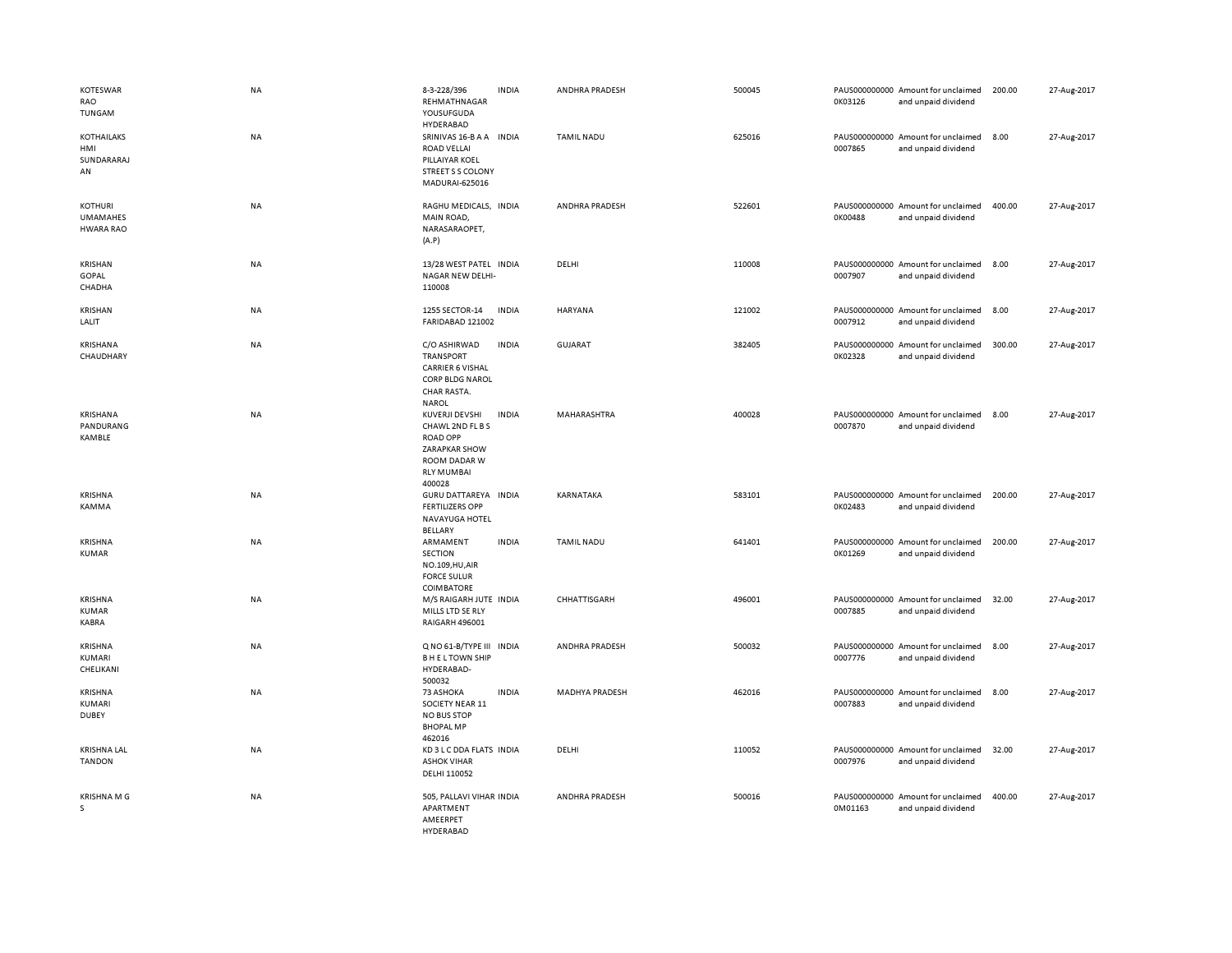| KOTESWAR<br>RAO<br>TUNGAM                      | <b>NA</b> | 8-3-228/396<br>REHMATHNAGAR<br>YOUSUFGUDA<br>HYDERABAD                                                                       | <b>INDIA</b> | ANDHRA PRADESH        | 500045 | 0K03126 | PAUS000000000 Amount for unclaimed<br>and unpaid dividend | 200.00 | 27-Aug-2017 |
|------------------------------------------------|-----------|------------------------------------------------------------------------------------------------------------------------------|--------------|-----------------------|--------|---------|-----------------------------------------------------------|--------|-------------|
| <b>KOTHAILAKS</b><br>HMI<br>SUNDARARAJ<br>AN   | NA        | SRINIVAS 16-B A A INDIA<br><b>ROAD VELLAI</b><br>PILLAIYAR KOEL<br>STREET S S COLONY<br>MADURAI-625016                       |              | <b>TAMIL NADU</b>     | 625016 | 0007865 | PAUS000000000 Amount for unclaimed<br>and unpaid dividend | 8.00   | 27-Aug-2017 |
| KOTHURI<br><b>UMAMAHES</b><br><b>HWARA RAO</b> | <b>NA</b> | RAGHU MEDICALS, INDIA<br>MAIN ROAD,<br>NARASARAOPET,<br>(A.P)                                                                |              | <b>ANDHRA PRADESH</b> | 522601 | 0K00488 | PAUS000000000 Amount for unclaimed<br>and unpaid dividend | 400.00 | 27-Aug-2017 |
| <b>KRISHAN</b><br>GOPAL<br>CHADHA              | NA        | 13/28 WEST PATEL INDIA<br>NAGAR NEW DELHI-<br>110008                                                                         |              | DELHI                 | 110008 | 0007907 | PAUS000000000 Amount for unclaimed<br>and unpaid dividend | 8.00   | 27-Aug-2017 |
| <b>KRISHAN</b><br>LALIT                        | NA        | 1255 SECTOR-14<br>FARIDABAD 121002                                                                                           | <b>INDIA</b> | <b>HARYANA</b>        | 121002 | 0007912 | PAUS000000000 Amount for unclaimed<br>and unpaid dividend | 8.00   | 27-Aug-2017 |
| KRISHANA<br>CHAUDHARY                          | NA        | C/O ASHIRWAD<br><b>TRANSPORT</b><br><b>CARRIER 6 VISHAL</b><br><b>CORP BLDG NAROL</b><br><b>CHAR RASTA.</b><br><b>NAROL</b>  | <b>INDIA</b> | GUJARAT               | 382405 | 0K02328 | PAUS000000000 Amount for unclaimed<br>and unpaid dividend | 300.00 | 27-Aug-2017 |
| <b>KRISHANA</b><br>PANDURANG<br><b>KAMBLE</b>  | <b>NA</b> | <b>KUVERJI DEVSHI</b><br>CHAWL 2ND FL B S<br><b>ROAD OPP</b><br>ZARAPKAR SHOW<br>ROOM DADAR W<br><b>RLY MUMBAI</b><br>400028 | <b>INDIA</b> | MAHARASHTRA           | 400028 | 0007870 | PAUS000000000 Amount for unclaimed<br>and unpaid dividend | 8.00   | 27-Aug-2017 |
| <b>KRISHNA</b><br>KAMMA                        | NA        | GURU DATTAREYA INDIA<br><b>FERTILIZERS OPP</b><br>NAVAYUGA HOTEL<br><b>BELLARY</b>                                           |              | KARNATAKA             | 583101 | 0K02483 | PAUS000000000 Amount for unclaimed<br>and unpaid dividend | 200.00 | 27-Aug-2017 |
| <b>KRISHNA</b><br><b>KUMAR</b>                 | NA        | ARMAMENT<br>SECTION<br>NO.109, HU, AIR<br><b>FORCE SULUR</b><br><b>COIMBATORE</b>                                            | <b>INDIA</b> | <b>TAMIL NADU</b>     | 641401 | 0K01269 | PAUS000000000 Amount for unclaimed<br>and unpaid dividend | 200.00 | 27-Aug-2017 |
| <b>KRISHNA</b><br><b>KUMAR</b><br>KABRA        | NA        | M/S RAIGARH JUTE INDIA<br>MILLS LTD SE RLY<br>RAIGARH 496001                                                                 |              | CHHATTISGARH          | 496001 | 0007885 | PAUS000000000 Amount for unclaimed<br>and unpaid dividend | 32.00  | 27-Aug-2017 |
| KRISHNA<br>KUMARI<br>CHELIKANI                 | NA        | Q NO 61-B/TYPE III INDIA<br><b>BHELTOWN SHIP</b><br>HYDERABAD-<br>500032                                                     |              | ANDHRA PRADESH        | 500032 | 0007776 | PAUS000000000 Amount for unclaimed<br>and unpaid dividend | 8.00   | 27-Aug-2017 |
| <b>KRISHNA</b><br>KUMARI<br><b>DUBEY</b>       | NA        | 73 ASHOKA<br>SOCIETY NEAR 11<br><b>NO BUS STOP</b><br><b>BHOPAL MP</b><br>462016                                             | <b>INDIA</b> | <b>MADHYA PRADESH</b> | 462016 | 0007883 | PAUS000000000 Amount for unclaimed<br>and unpaid dividend | 8.00   | 27-Aug-2017 |
| <b>KRISHNA LAL</b><br><b>TANDON</b>            | NA        | KD 3 L C DDA FLATS INDIA<br><b>ASHOK VIHAR</b><br>DELHI 110052                                                               |              | DELHI                 | 110052 | 0007976 | PAUS000000000 Amount for unclaimed<br>and unpaid dividend | 32.00  | 27-Aug-2017 |
| <b>KRISHNA M G</b><br>S                        | NA        | 505, PALLAVI VIHAR INDIA<br>APARTMENT<br>AMEERPET<br>HYDERARAD                                                               |              | ANDHRA PRADESH        | 500016 | 0M01163 | PAUS000000000 Amount for unclaimed<br>and unpaid dividend | 400.00 | 27-Aug-2017 |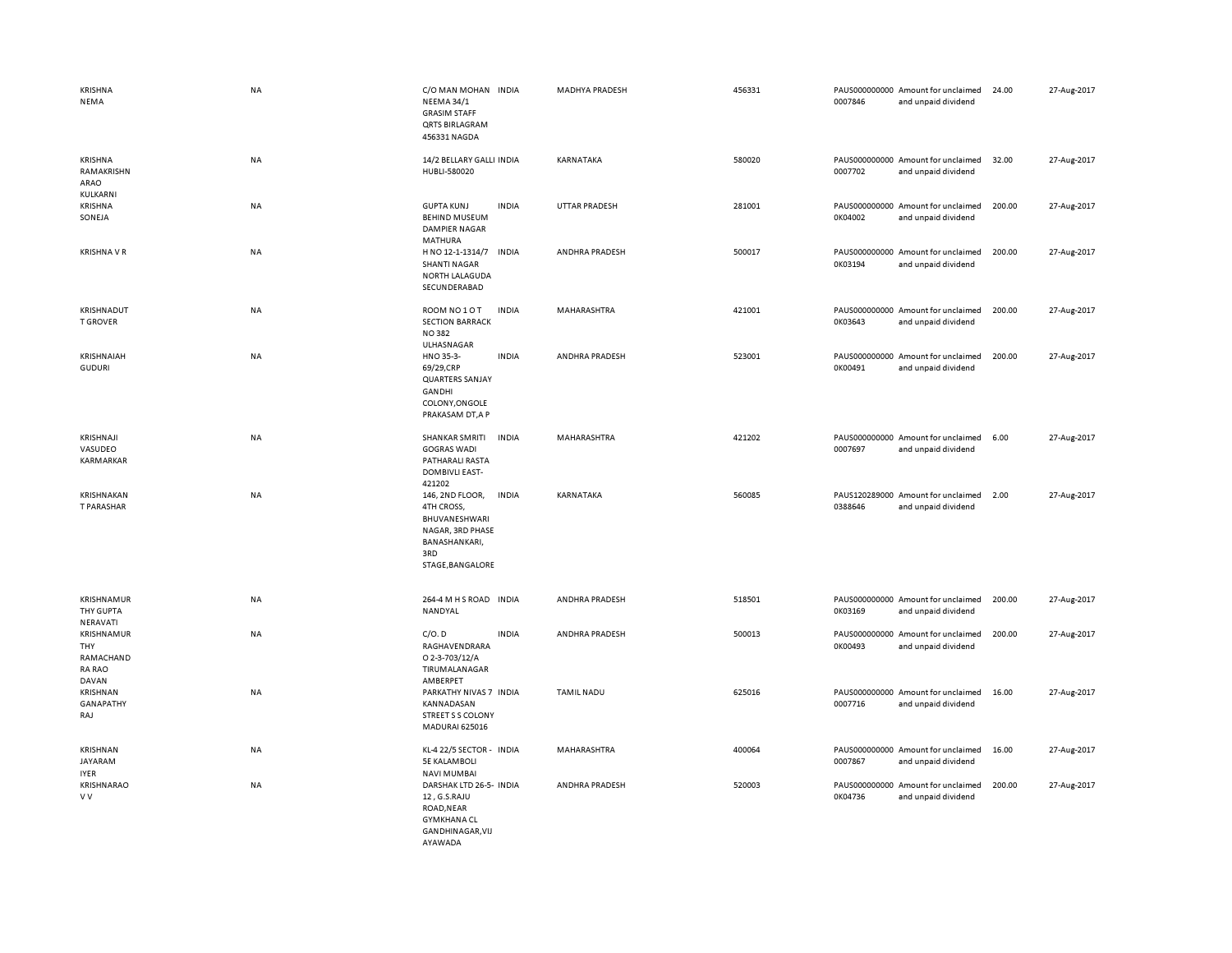| <b>KRISHNA</b><br>NEMA                                   | <b>NA</b> | C/O MAN MOHAN INDIA<br><b>NEEMA 34/1</b><br><b>GRASIM STAFF</b><br><b>QRTS BIRLAGRAM</b><br>456331 NAGDA       |              | <b>MADHYA PRADESH</b> | 456331 | 0007846 | PAUS000000000 Amount for unclaimed<br>and unpaid dividend | 24.00  | 27-Aug-2017 |
|----------------------------------------------------------|-----------|----------------------------------------------------------------------------------------------------------------|--------------|-----------------------|--------|---------|-----------------------------------------------------------|--------|-------------|
| KRISHNA<br>RAMAKRISHN<br>ARAO<br>KULKARNI                | NA        | 14/2 BELLARY GALLI INDIA<br>HUBLI-580020                                                                       |              | KARNATAKA             | 580020 | 0007702 | PAUS000000000 Amount for unclaimed<br>and unpaid dividend | 32.00  | 27-Aug-2017 |
| <b>KRISHNA</b><br>SONEJA                                 | NA        | <b>GUPTA KUNJ</b><br><b>BEHIND MUSEUM</b><br><b>DAMPIER NAGAR</b><br><b>MATHURA</b>                            | <b>INDIA</b> | <b>UTTAR PRADESH</b>  | 281001 | 0K04002 | PAUS000000000 Amount for unclaimed<br>and unpaid dividend | 200.00 | 27-Aug-2017 |
| <b>KRISHNA V R</b>                                       | NA        | H NO 12-1-1314/7<br><b>SHANTI NAGAR</b><br>NORTH LALAGUDA<br>SECUNDERABAD                                      | <b>INDIA</b> | ANDHRA PRADESH        | 500017 | 0K03194 | PAUS000000000 Amount for unclaimed<br>and unpaid dividend | 200.00 | 27-Aug-2017 |
| KRISHNADUT<br><b>T GROVER</b>                            | <b>NA</b> | ROOM NO 1 O T<br><b>SECTION BARRACK</b><br><b>NO382</b><br>ULHASNAGAR                                          | <b>INDIA</b> | MAHARASHTRA           | 421001 | 0K03643 | PAUS000000000 Amount for unclaimed<br>and unpaid dividend | 200.00 | 27-Aug-2017 |
| KRISHNAIAH<br><b>GUDURI</b>                              | <b>NA</b> | HNO 35-3-<br>69/29,CRP<br><b>QUARTERS SANJAY</b><br>GANDHI<br>COLONY, ONGOLE<br>PRAKASAM DT, A P               | <b>INDIA</b> | ANDHRA PRADESH        | 523001 | 0K00491 | PAUS000000000 Amount for unclaimed<br>and unpaid dividend | 200.00 | 27-Aug-2017 |
| KRISHNAJI<br>VASUDEO<br>KARMARKAR                        | <b>NA</b> | <b>SHANKAR SMRITI</b><br><b>GOGRAS WADI</b><br>PATHARALI RASTA<br><b>DOMBIVLI EAST-</b><br>421202              | <b>INDIA</b> | <b>MAHARASHTRA</b>    | 421202 | 0007697 | PAUS000000000 Amount for unclaimed<br>and unpaid dividend | 6.00   | 27-Aug-2017 |
| KRISHNAKAN<br>T PARASHAR                                 | <b>NA</b> | 146, 2ND FLOOR,<br>4TH CROSS,<br>BHUVANESHWARI<br>NAGAR, 3RD PHASE<br>BANASHANKARI,<br>3RD<br>STAGE, BANGALORE | <b>INDIA</b> | KARNATAKA             | 560085 | 0388646 | PAUS120289000 Amount for unclaimed<br>and unpaid dividend | 2.00   | 27-Aug-2017 |
| <b>KRISHNAMUR</b><br>THY GUPTA<br>NERAVATI               | <b>NA</b> | 264-4 M H S ROAD INDIA<br>NANDYAL                                                                              |              | ANDHRA PRADESH        | 518501 | 0K03169 | PAUS000000000 Amount for unclaimed<br>and unpaid dividend | 200.00 | 27-Aug-2017 |
| <b>KRISHNAMUR</b><br>THY<br>RAMACHAND<br>RA RAO<br>DAVAN | NA        | C/O.D<br>RAGHAVENDRARA<br>O 2-3-703/12/A<br>TIRUMALANAGAR<br>AMBERPET                                          | <b>INDIA</b> | ANDHRA PRADESH        | 500013 | 0K00493 | PAUS000000000 Amount for unclaimed<br>and unpaid dividend | 200.00 | 27-Aug-2017 |
| KRISHNAN<br><b>GANAPATHY</b><br>RAJ                      | NA        | PARKATHY NIVAS 7 INDIA<br>KANNADASAN<br>STREET S S COLONY<br><b>MADURAI 625016</b>                             |              | <b>TAMIL NADU</b>     | 625016 | 0007716 | PAUS000000000 Amount for unclaimed<br>and unpaid dividend | 16.00  | 27-Aug-2017 |
| <b>KRISHNAN</b><br>JAYARAM<br><b>IYER</b>                | NA        | KL-4 22/5 SECTOR - INDIA<br><b>5E KALAMBOLI</b><br><b>NAVI MUMBAI</b>                                          |              | MAHARASHTRA           | 400064 | 0007867 | PAUS000000000 Amount for unclaimed<br>and unpaid dividend | 16.00  | 27-Aug-2017 |
| KRISHNARAO<br>v v                                        | NA        | DARSHAK LTD 26-5- INDIA<br>12, G.S.RAJU<br>ROAD, NEAR<br><b>GYMKHANA CL</b><br>GANDHINAGAR, VIJ<br>AYAWADA     |              | ANDHRA PRADESH        | 520003 | 0K04736 | PAUS000000000 Amount for unclaimed<br>and unpaid dividend | 200.00 | 27-Aug-2017 |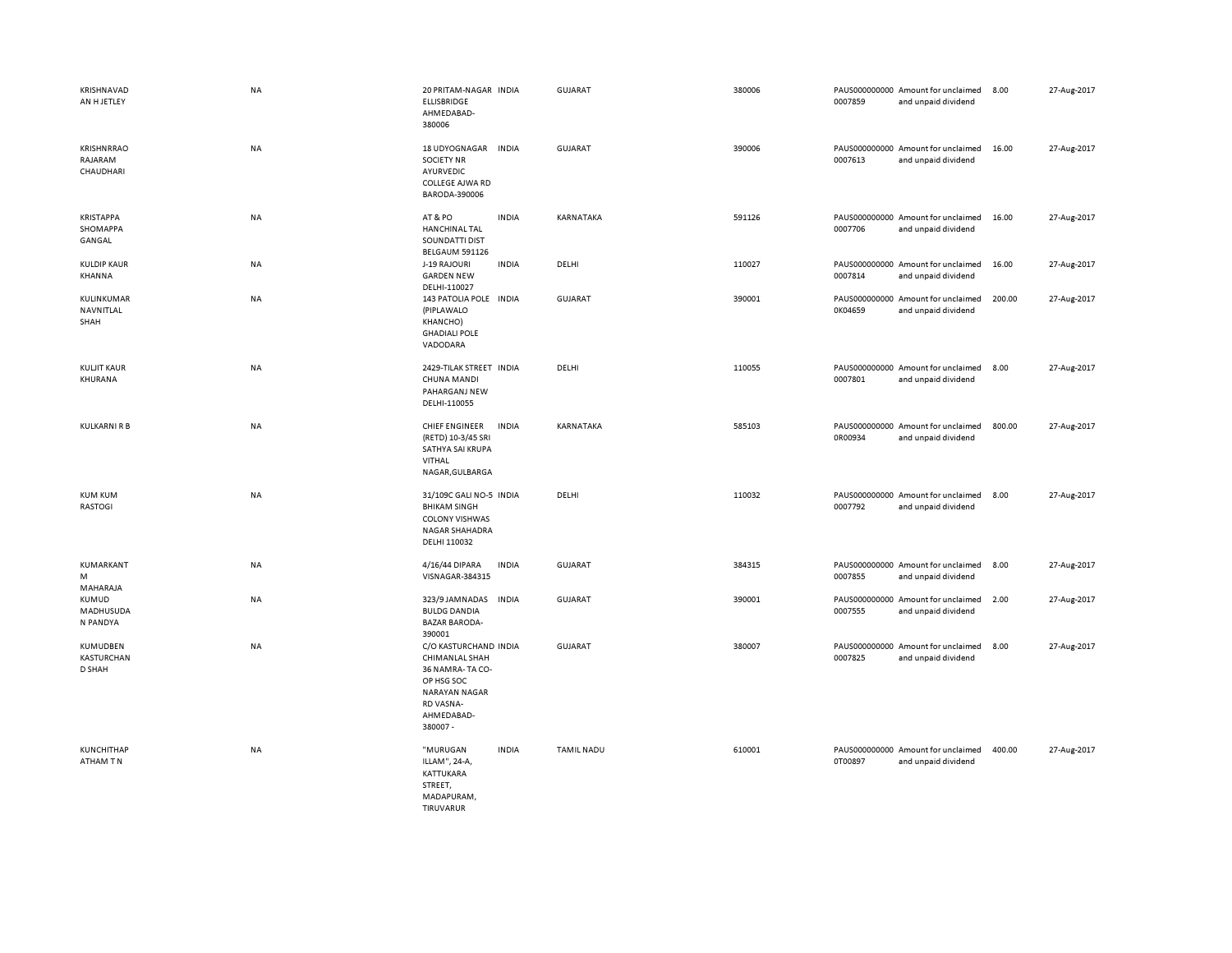| KRISHNAVAD<br>AN H JETLEY                 | <b>NA</b> | 20 PRITAM-NAGAR INDIA<br>ELLISBRIDGE<br>AHMEDABAD-<br>380006                                                                            | GUJARAT           | 380006 | PAUS000000000 Amount for unclaimed<br>0007859<br>and unpaid dividend | 8.00   | 27-Aug-2017 |
|-------------------------------------------|-----------|-----------------------------------------------------------------------------------------------------------------------------------------|-------------------|--------|----------------------------------------------------------------------|--------|-------------|
| <b>KRISHNRRAO</b><br>RAJARAM<br>CHAUDHARI | <b>NA</b> | <b>18 UDYOGNAGAR</b><br><b>INDIA</b><br><b>SOCIETY NR</b><br>AYURVEDIC<br>COLLEGE AJWA RD<br>BARODA-390006                              | <b>GUJARAT</b>    | 390006 | PAUS000000000 Amount for unclaimed<br>0007613<br>and unpaid dividend | 16.00  | 27-Aug-2017 |
| <b>KRISTAPPA</b><br>SHOMAPPA<br>GANGAL    | NA        | AT&PO<br><b>INDIA</b><br><b>HANCHINAL TAL</b><br>SOUNDATTI DIST<br>BELGAUM 591126                                                       | KARNATAKA         | 591126 | PAUS000000000 Amount for unclaimed<br>0007706<br>and unpaid dividend | 16.00  | 27-Aug-2017 |
| <b>KULDIP KAUR</b><br>KHANNA              | <b>NA</b> | J-19 RAJOURI<br><b>INDIA</b><br><b>GARDEN NEW</b><br>DELHI-110027                                                                       | DELHI             | 110027 | PAUS000000000 Amount for unclaimed<br>0007814<br>and unpaid dividend | 16.00  | 27-Aug-2017 |
| KULINKUMAR<br>NAVNITLAL<br>SHAH           | <b>NA</b> | 143 PATOLIA POLE INDIA<br>(PIPLAWALO<br>KHANCHO)<br><b>GHADIALI POLE</b><br>VADODARA                                                    | GUJARAT           | 390001 | PAUS000000000 Amount for unclaimed<br>0K04659<br>and unpaid dividend | 200.00 | 27-Aug-2017 |
| <b>KULJIT KAUR</b><br>KHURANA             | NA        | 2429-TILAK STREET INDIA<br><b>CHUNA MANDI</b><br>PAHARGANJ NEW<br>DELHI-110055                                                          | DELHI             | 110055 | PAUS000000000 Amount for unclaimed<br>0007801<br>and unpaid dividend | 8.00   | 27-Aug-2017 |
| <b>KULKARNI R B</b>                       | <b>NA</b> | CHIEF ENGINEER<br><b>INDIA</b><br>(RETD) 10-3/45 SRI<br>SATHYA SAI KRUPA<br>VITHAL<br>NAGAR, GULBARGA                                   | KARNATAKA         | 585103 | PAUS000000000 Amount for unclaimed<br>0R00934<br>and unpaid dividend | 800.00 | 27-Aug-2017 |
| <b>KUM KUM</b><br>RASTOGI                 | <b>NA</b> | 31/109C GALI NO-5 INDIA<br><b>BHIKAM SINGH</b><br><b>COLONY VISHWAS</b><br>NAGAR SHAHADRA<br>DELHI 110032                               | DELHI             | 110032 | PAUS000000000 Amount for unclaimed<br>0007792<br>and unpaid dividend | 8.00   | 27-Aug-2017 |
| KUMARKANT<br>M<br>MAHARAJA                | <b>NA</b> | 4/16/44 DIPARA<br><b>INDIA</b><br>VISNAGAR-384315                                                                                       | <b>GUJARAT</b>    | 384315 | PAUS000000000 Amount for unclaimed<br>0007855<br>and unpaid dividend | 8.00   | 27-Aug-2017 |
| KUMUD<br>MADHUSUDA<br>N PANDYA            | <b>NA</b> | 323/9 JAMNADAS<br><b>INDIA</b><br><b>BULDG DANDIA</b><br><b>BAZAR BARODA-</b><br>390001                                                 | GUJARAT           | 390001 | PAUS000000000 Amount for unclaimed<br>0007555<br>and unpaid dividend | 2.00   | 27-Aug-2017 |
| KUMUDBEN<br><b>KASTURCHAN</b><br>D SHAH   | <b>NA</b> | C/O KASTURCHAND INDIA<br>CHIMANLAL SHAH<br>36 NAMRA-TA CO-<br>OP HSG SOC<br><b>NARAYAN NAGAR</b><br>RD VASNA-<br>AHMEDABAD-<br>380007 - | <b>GUJARAT</b>    | 380007 | PAUS000000000 Amount for unclaimed<br>0007825<br>and unpaid dividend | 8.00   | 27-Aug-2017 |
| <b>KUNCHITHAP</b><br>ATHAM TN             | <b>NA</b> | "MURUGAN<br><b>INDIA</b><br>ILLAM", 24-A,<br>KATTUKARA<br>STREET,<br>MADAPURAM,<br>TIRUVARUR                                            | <b>TAMIL NADU</b> | 610001 | PAUS000000000 Amount for unclaimed<br>0T00897<br>and unpaid dividend | 400.00 | 27-Aug-2017 |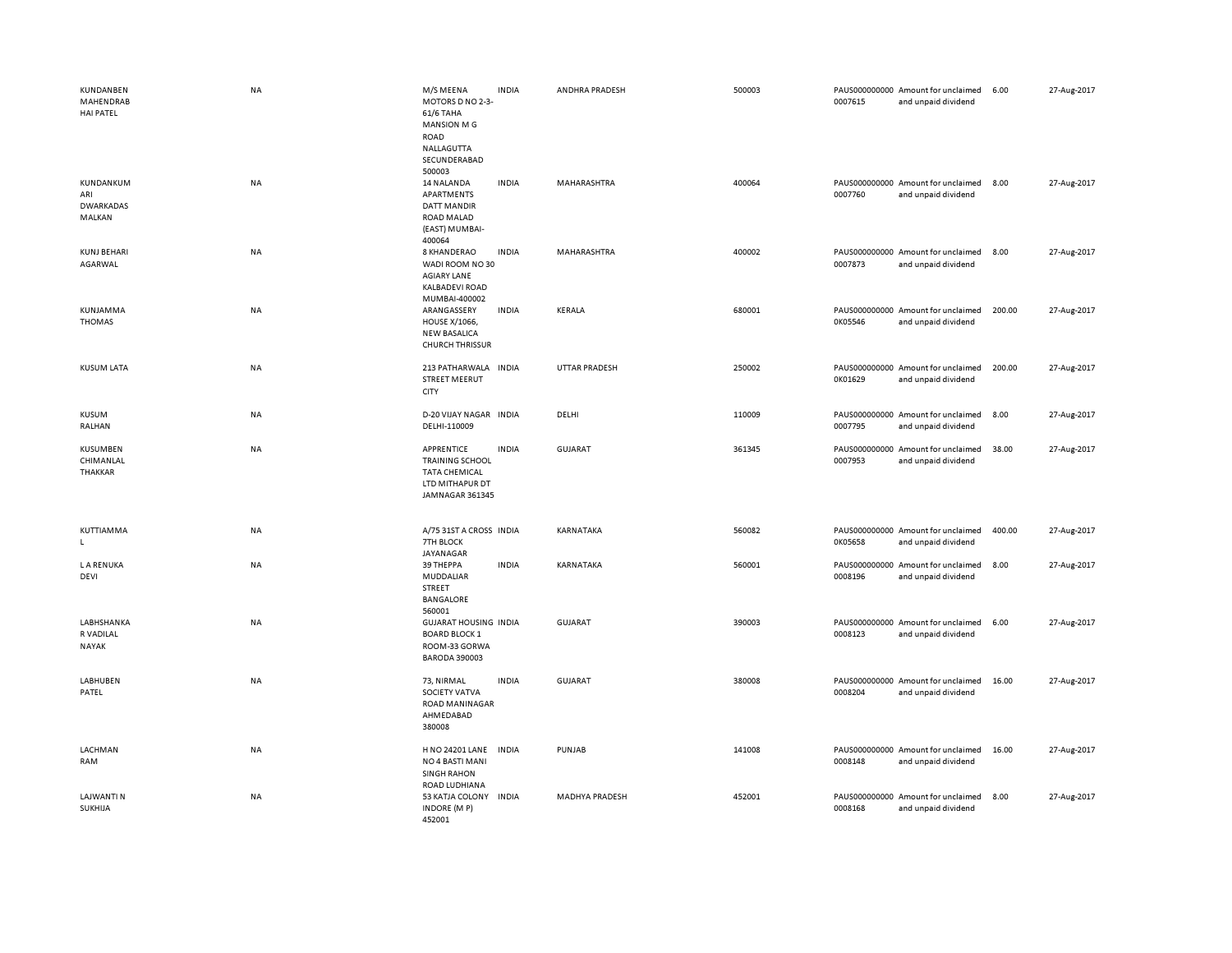| KUNDANBEN<br>MAHENDRAB<br><b>HAI PATEL</b>     | <b>NA</b> | M/S MEENA<br>MOTORS D NO 2-3-<br>61/6 TAHA<br><b>MANSION MG</b><br><b>ROAD</b><br>NALLAGUTTA<br>SECUNDERABAD<br>500003 | <b>INDIA</b> | ANDHRA PRADESH        | 500003 | 0007615 | PAUS000000000 Amount for unclaimed<br>and unpaid dividend | 6.00   | 27-Aug-2017 |
|------------------------------------------------|-----------|------------------------------------------------------------------------------------------------------------------------|--------------|-----------------------|--------|---------|-----------------------------------------------------------|--------|-------------|
| KUNDANKUM<br>ARI<br><b>DWARKADAS</b><br>MALKAN | NA        | 14 NALANDA<br>APARTMENTS<br>DATT MANDIR<br>ROAD MALAD<br>(EAST) MUMBAI-<br>400064                                      | <b>INDIA</b> | MAHARASHTRA           | 400064 | 0007760 | PAUS000000000 Amount for unclaimed<br>and unpaid dividend | 8.00   | 27-Aug-2017 |
| <b>KUNJ BEHARI</b><br>AGARWAL                  | NA        | 8 KHANDERAO<br>WADI ROOM NO 30<br><b>AGIARY LANE</b><br><b>KALBADEVI ROAD</b><br>MUMBAI-400002                         | <b>INDIA</b> | MAHARASHTRA           | 400002 | 0007873 | PAUS000000000 Amount for unclaimed<br>and unpaid dividend | 8.00   | 27-Aug-2017 |
| KUNJAMMA<br><b>THOMAS</b>                      | <b>NA</b> | ARANGASSERY<br><b>HOUSE X/1066,</b><br><b>NEW BASALICA</b><br><b>CHURCH THRISSUR</b>                                   | <b>INDIA</b> | <b>KERALA</b>         | 680001 | 0K05546 | PAUS000000000 Amount for unclaimed<br>and unpaid dividend | 200.00 | 27-Aug-2017 |
| <b>KUSUM LATA</b>                              | NA        | 213 PATHARWALA INDIA<br><b>STREET MEERUT</b><br>CITY                                                                   |              | UTTAR PRADESH         | 250002 | 0K01629 | PAUS000000000 Amount for unclaimed<br>and unpaid dividend | 200.00 | 27-Aug-2017 |
| KUSUM<br>RALHAN                                | NA        | D-20 VIJAY NAGAR INDIA<br>DELHI-110009                                                                                 |              | DELHI                 | 110009 | 0007795 | PAUS000000000 Amount for unclaimed<br>and unpaid dividend | 8.00   | 27-Aug-2017 |
| <b>KUSUMBEN</b><br>CHIMANLAL<br>THAKKAR        | NA        | APPRENTICE<br><b>TRAINING SCHOOL</b><br><b>TATA CHEMICAL</b><br>LTD MITHAPUR DT<br>JAMNAGAR 361345                     | <b>INDIA</b> | GUJARAT               | 361345 | 0007953 | PAUS000000000 Amount for unclaimed<br>and unpaid dividend | 38.00  | 27-Aug-2017 |
| KUTTIAMMA<br>L.                                | NA        | A/75 31ST A CROSS INDIA<br><b>7TH BLOCK</b><br>JAYANAGAR                                                               |              | KARNATAKA             | 560082 | 0K05658 | PAUS000000000 Amount for unclaimed<br>and unpaid dividend | 400.00 | 27-Aug-2017 |
| <b>LA RENUKA</b><br>DEVI                       | NA        | 39 THEPPA<br><b>MUDDALIAR</b><br>STREET<br>BANGALORE<br>560001                                                         | <b>INDIA</b> | KARNATAKA             | 560001 | 0008196 | PAUS000000000 Amount for unclaimed<br>and unpaid dividend | 8.00   | 27-Aug-2017 |
| LABHSHANKA<br>R VADILAL<br>NAYAK               | <b>NA</b> | <b>GUJARAT HOUSING INDIA</b><br><b>BOARD BLOCK 1</b><br>ROOM-33 GORWA<br><b>BARODA 390003</b>                          |              | GUJARAT               | 390003 | 0008123 | PAUS000000000 Amount for unclaimed<br>and unpaid dividend | 6.00   | 27-Aug-2017 |
| LABHUBEN<br>PATEL                              | NA        | 73, NIRMAL<br>SOCIETY VATVA<br>ROAD MANINAGAR<br>AHMEDABAD<br>380008                                                   | <b>INDIA</b> | GUJARAT               | 380008 | 0008204 | PAUS000000000 Amount for unclaimed<br>and unpaid dividend | 16.00  | 27-Aug-2017 |
| LACHMAN<br>RAM                                 | NA        | H NO 24201 LANE<br>NO 4 BASTI MANI<br><b>SINGH RAHON</b><br>ROAD LUDHIANA                                              | <b>INDIA</b> | PUNJAB                | 141008 | 0008148 | PAUS000000000 Amount for unclaimed<br>and unpaid dividend | 16.00  | 27-Aug-2017 |
| <b>LAJWANTI N</b><br>SUKHIJA                   | NA        | 53 KATJA COLONY INDIA<br>INDORE (MP)<br>452001                                                                         |              | <b>MADHYA PRADESH</b> | 452001 | 0008168 | PAUS000000000 Amount for unclaimed<br>and unpaid dividend | 8.00   | 27-Aug-2017 |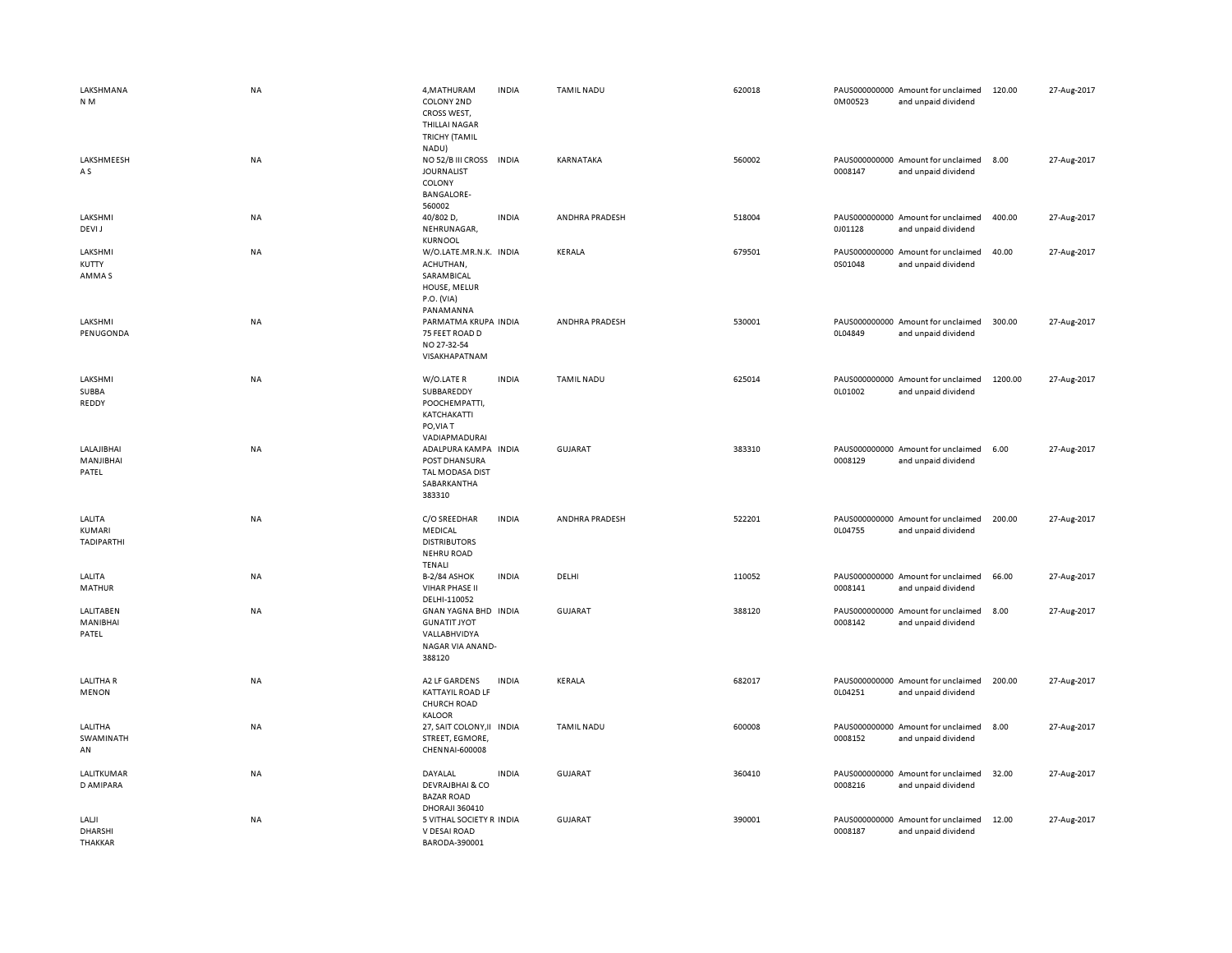| LAKSHMANA<br>N <sub>M</sub>           | <b>NA</b> | 4, MATHURAM<br>COLONY 2ND<br>CROSS WEST,<br><b>THILLAI NAGAR</b><br><b>TRICHY (TAMIL</b><br>NADU) | <b>INDIA</b> | <b>TAMIL NADU</b> | 620018 | 0M00523 | PAUS000000000 Amount for unclaimed<br>and unpaid dividend | 120.00  | 27-Aug-2017 |
|---------------------------------------|-----------|---------------------------------------------------------------------------------------------------|--------------|-------------------|--------|---------|-----------------------------------------------------------|---------|-------------|
| LAKSHMEESH<br>A S                     | NA        | NO 52/B III CROSS<br><b>JOURNALIST</b><br>COLONY<br><b>BANGALORE-</b><br>560002                   | <b>INDIA</b> | KARNATAKA         | 560002 | 0008147 | PAUS000000000 Amount for unclaimed<br>and unpaid dividend | 8.00    | 27-Aug-2017 |
| LAKSHMI<br>DEVI J                     | NA        | 40/802 D,<br>NEHRUNAGAR,<br><b>KURNOOL</b>                                                        | <b>INDIA</b> | ANDHRA PRADESH    | 518004 | 0J01128 | PAUS000000000 Amount for unclaimed<br>and unpaid dividend | 400.00  | 27-Aug-2017 |
| LAKSHMI<br>KUTTY<br>AMMA S            | NA        | W/O.LATE.MR.N.K. INDIA<br>ACHUTHAN,<br>SARAMBICAL<br>HOUSE, MELUR<br>P.O. (VIA)<br>PANAMANNA      |              | KERALA            | 679501 | 0S01048 | PAUS000000000 Amount for unclaimed<br>and unpaid dividend | 40.00   | 27-Aug-2017 |
| LAKSHMI<br>PENUGONDA                  | NA        | PARMATMA KRUPA INDIA<br>75 FEET ROAD D<br>NO 27-32-54<br>VISAKHAPATNAM                            |              | ANDHRA PRADESH    | 530001 | 0L04849 | PAUS000000000 Amount for unclaimed<br>and unpaid dividend | 300.00  | 27-Aug-2017 |
| LAKSHMI<br>SUBBA<br>REDDY             | <b>NA</b> | W/O.LATE R<br>SUBBAREDDY<br>POOCHEMPATTI,<br>KATCHAKATTI<br>PO, VIA T<br>VADIAPMADURAI            | <b>INDIA</b> | <b>TAMIL NADU</b> | 625014 | 0L01002 | PAUS000000000 Amount for unclaimed<br>and unpaid dividend | 1200.00 | 27-Aug-2017 |
| LALAJIBHAI<br>MANJIBHAI<br>PATEL      | <b>NA</b> | ADALPURA KAMPA INDIA<br>POST DHANSURA<br>TAL MODASA DIST<br>SABARKANTHA<br>383310                 |              | GUJARAT           | 383310 | 0008129 | PAUS000000000 Amount for unclaimed<br>and unpaid dividend | 6.00    | 27-Aug-2017 |
| LALITA<br>KUMARI<br><b>TADIPARTHI</b> | NA        | C/O SREEDHAR<br>MEDICAL<br><b>DISTRIBUTORS</b><br><b>NEHRU ROAD</b><br>TENALI                     | <b>INDIA</b> | ANDHRA PRADESH    | 522201 | 0L04755 | PAUS000000000 Amount for unclaimed<br>and unpaid dividend | 200.00  | 27-Aug-2017 |
| LALITA<br>MATHUR                      | <b>NA</b> | <b>B-2/84 ASHOK</b><br><b>VIHAR PHASE II</b><br>DELHI-110052                                      | <b>INDIA</b> | DELHI             | 110052 | 0008141 | PAUS000000000 Amount for unclaimed<br>and unpaid dividend | 66.00   | 27-Aug-2017 |
| LALITABEN<br>MANIBHAI<br>PATEL        | NA        | GNAN YAGNA BHD INDIA<br><b>GUNATIT JYOT</b><br>VALLABHVIDYA<br>NAGAR VIA ANAND-<br>388120         |              | <b>GUJARAT</b>    | 388120 | 0008142 | PAUS000000000 Amount for unclaimed<br>and unpaid dividend | 8.00    | 27-Aug-2017 |
| <b>LALITHAR</b><br><b>MENON</b>       | NA        | A2 LF GARDENS<br><b>KATTAYIL ROAD LF</b><br><b>CHURCH ROAD</b><br><b>KALOOR</b>                   | <b>INDIA</b> | KERALA            | 682017 | 0L04251 | PAUS000000000 Amount for unclaimed<br>and unpaid dividend | 200.00  | 27-Aug-2017 |
| LALITHA<br>SWAMINATH<br>AN            | <b>NA</b> | 27, SAIT COLONY, II INDIA<br>STREET, EGMORE,<br>CHENNAI-600008                                    |              | <b>TAMIL NADU</b> | 600008 | 0008152 | PAUS000000000 Amount for unclaimed<br>and unpaid dividend | 8.00    | 27-Aug-2017 |
| LALITKUMAR<br>D AMIPARA               | NA        | DAYALAL<br><b>DEVRAJBHAI &amp; CO</b><br><b>BAZAR ROAD</b><br>DHORAJI 360410                      | <b>INDIA</b> | <b>GUJARAT</b>    | 360410 | 0008216 | PAUS000000000 Amount for unclaimed<br>and unpaid dividend | 32.00   | 27-Aug-2017 |
| LALJI<br>DHARSHI<br><b>THAKKAR</b>    | <b>NA</b> | 5 VITHAL SOCIETY R INDIA<br>V DESAI ROAD<br>BARODA-390001                                         |              | <b>GUJARAT</b>    | 390001 | 0008187 | PAUS000000000 Amount for unclaimed<br>and unpaid dividend | 12.00   | 27-Aug-2017 |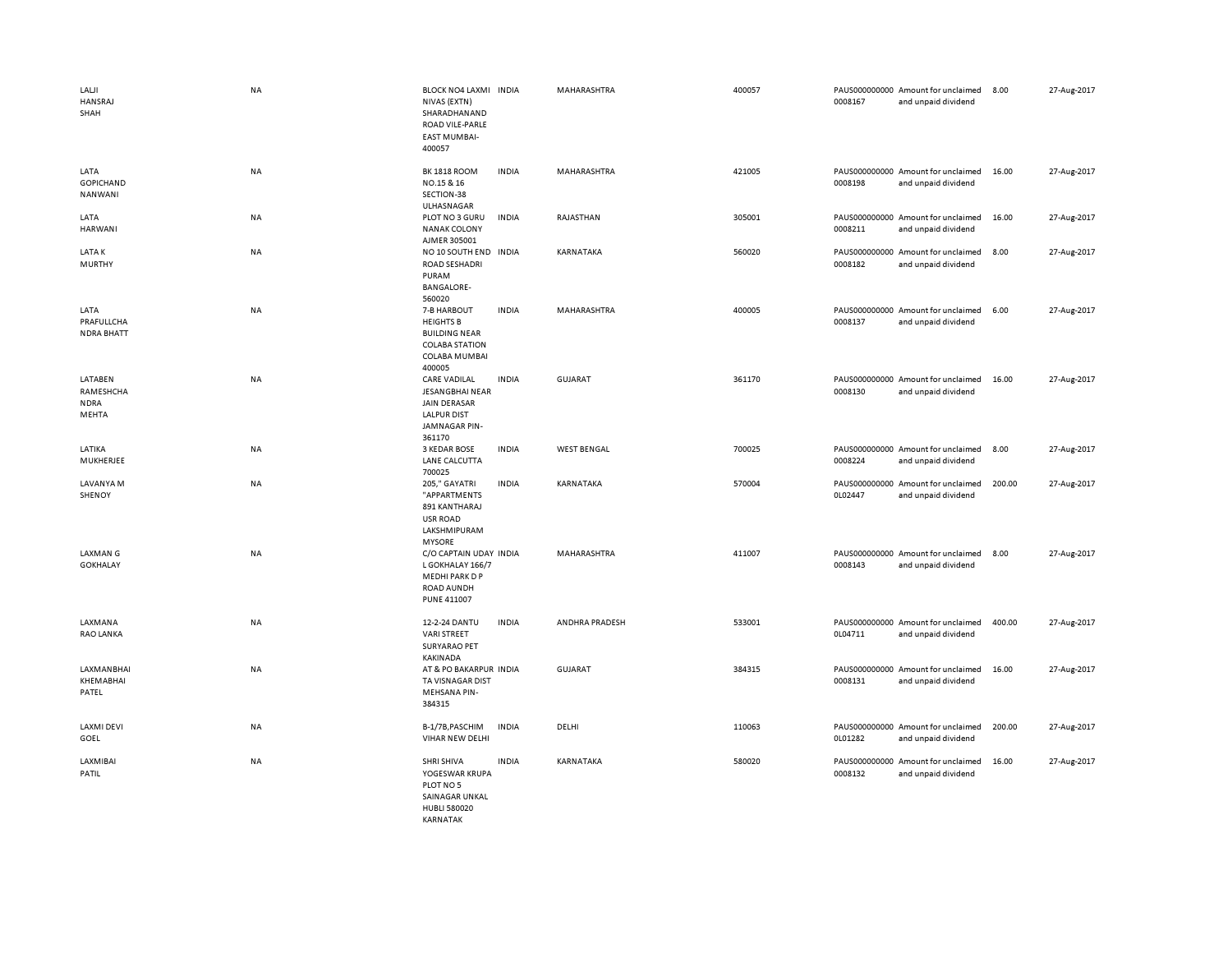| LALJI<br>HANSRAJ<br>SHAH                     | NA        | BLOCK NO4 LAXMI INDIA<br>NIVAS (EXTN)<br>SHARADHANAND<br>ROAD VILE-PARLE<br><b>EAST MUMBAI-</b><br>400057          |              | MAHARASHTRA        | 400057 | 0008167 | PAUS000000000 Amount for unclaimed<br>and unpaid dividend | 8.00   | 27-Aug-2017 |
|----------------------------------------------|-----------|--------------------------------------------------------------------------------------------------------------------|--------------|--------------------|--------|---------|-----------------------------------------------------------|--------|-------------|
| LATA<br><b>GOPICHAND</b><br>NANWANI          | NA        | <b>BK 1818 ROOM</b><br>NO.15 & 16<br>SECTION-38<br>ULHASNAGAR                                                      | <b>INDIA</b> | <b>MAHARASHTRA</b> | 421005 | 0008198 | PAUS000000000 Amount for unclaimed<br>and unpaid dividend | 16.00  | 27-Aug-2017 |
| LATA<br>HARWANI                              | <b>NA</b> | PLOT NO 3 GURU<br><b>NANAK COLONY</b><br>AJMER 305001                                                              | <b>INDIA</b> | RAJASTHAN          | 305001 | 0008211 | PAUS000000000 Amount for unclaimed<br>and unpaid dividend | 16.00  | 27-Aug-2017 |
| LATA K<br>MURTHY                             | <b>NA</b> | NO 10 SOUTH END INDIA<br><b>ROAD SESHADRI</b><br>PURAM<br><b>BANGALORE-</b><br>560020                              |              | KARNATAKA          | 560020 | 0008182 | PAUS000000000 Amount for unclaimed<br>and unpaid dividend | 8.00   | 27-Aug-2017 |
| LATA<br>PRAFULLCHA<br><b>NDRA BHATT</b>      | <b>NA</b> | 7-B HARBOUT<br><b>HEIGHTS B</b><br><b>BUILDING NEAR</b><br><b>COLABA STATION</b><br><b>COLABA MUMBAI</b><br>400005 | <b>INDIA</b> | <b>MAHARASHTRA</b> | 400005 | 0008137 | PAUS000000000 Amount for unclaimed<br>and unpaid dividend | 6.00   | 27-Aug-2017 |
| LATABEN<br>RAMESHCHA<br><b>NDRA</b><br>MEHTA | NA        | <b>CARE VADILAL</b><br>JESANGBHAI NEAR<br><b>JAIN DERASAR</b><br><b>LALPUR DIST</b><br>JAMNAGAR PIN-<br>361170     | <b>INDIA</b> | <b>GUJARAT</b>     | 361170 | 0008130 | PAUS000000000 Amount for unclaimed<br>and unpaid dividend | 16.00  | 27-Aug-2017 |
| LATIKA<br>MUKHERJEE                          | NA        | 3 KEDAR BOSE<br>LANE CALCUTTA<br>700025                                                                            | <b>INDIA</b> | <b>WEST BENGAL</b> | 700025 | 0008224 | PAUS000000000 Amount for unclaimed<br>and unpaid dividend | 8.00   | 27-Aug-2017 |
| LAVANYA M<br>SHENOY                          | NA        | 205," GAYATRI<br>"APPARTMENTS<br>891 KANTHARAJ<br><b>USR ROAD</b><br>LAKSHMIPURAM<br><b>MYSORE</b>                 | <b>INDIA</b> | KARNATAKA          | 570004 | 0L02447 | PAUS000000000 Amount for unclaimed<br>and unpaid dividend | 200.00 | 27-Aug-2017 |
| <b>LAXMAN G</b><br><b>GOKHALAY</b>           | <b>NA</b> | C/O CAPTAIN UDAY INDIA<br>L GOKHALAY 166/7<br>MEDHI PARK D P<br>ROAD AUNDH<br><b>PUNE 411007</b>                   |              | <b>MAHARASHTRA</b> | 411007 | 0008143 | PAUS000000000 Amount for unclaimed<br>and unpaid dividend | 8.00   | 27-Aug-2017 |
| LAXMANA<br><b>RAO LANKA</b>                  | NA        | 12-2-24 DANTU<br><b>VARI STREET</b><br><b>SURYARAO PET</b><br><b>KAKINADA</b>                                      | <b>INDIA</b> | ANDHRA PRADESH     | 533001 | 0L04711 | PAUS000000000 Amount for unclaimed<br>and unpaid dividend | 400.00 | 27-Aug-2017 |
| LAXMANBHAI<br>KHEMABHAI<br>PATEL             | <b>NA</b> | AT & PO BAKARPUR INDIA<br>TA VISNAGAR DIST<br><b>MEHSANA PIN-</b><br>384315                                        |              | GUJARAT            | 384315 | 0008131 | PAUS000000000 Amount for unclaimed<br>and unpaid dividend | 16.00  | 27-Aug-2017 |
| <b>LAXMI DEVI</b><br>GOEL                    | NA        | B-1/7B, PASCHIM<br>VIHAR NEW DELHI                                                                                 | <b>INDIA</b> | DELHI              | 110063 | 0L01282 | PAUS000000000 Amount for unclaimed<br>and unpaid dividend | 200.00 | 27-Aug-2017 |
| LAXMIBAI<br>PATIL                            | NA        | SHRI SHIVA<br>YOGESWAR KRUPA<br>PLOT NO 5<br>SAINAGAR UNKAL<br><b>HUBLI 580020</b>                                 | <b>INDIA</b> | KARNATAKA          | 580020 | 0008132 | PAUS000000000 Amount for unclaimed<br>and unpaid dividend | 16.00  | 27-Aug-2017 |

KARNATAK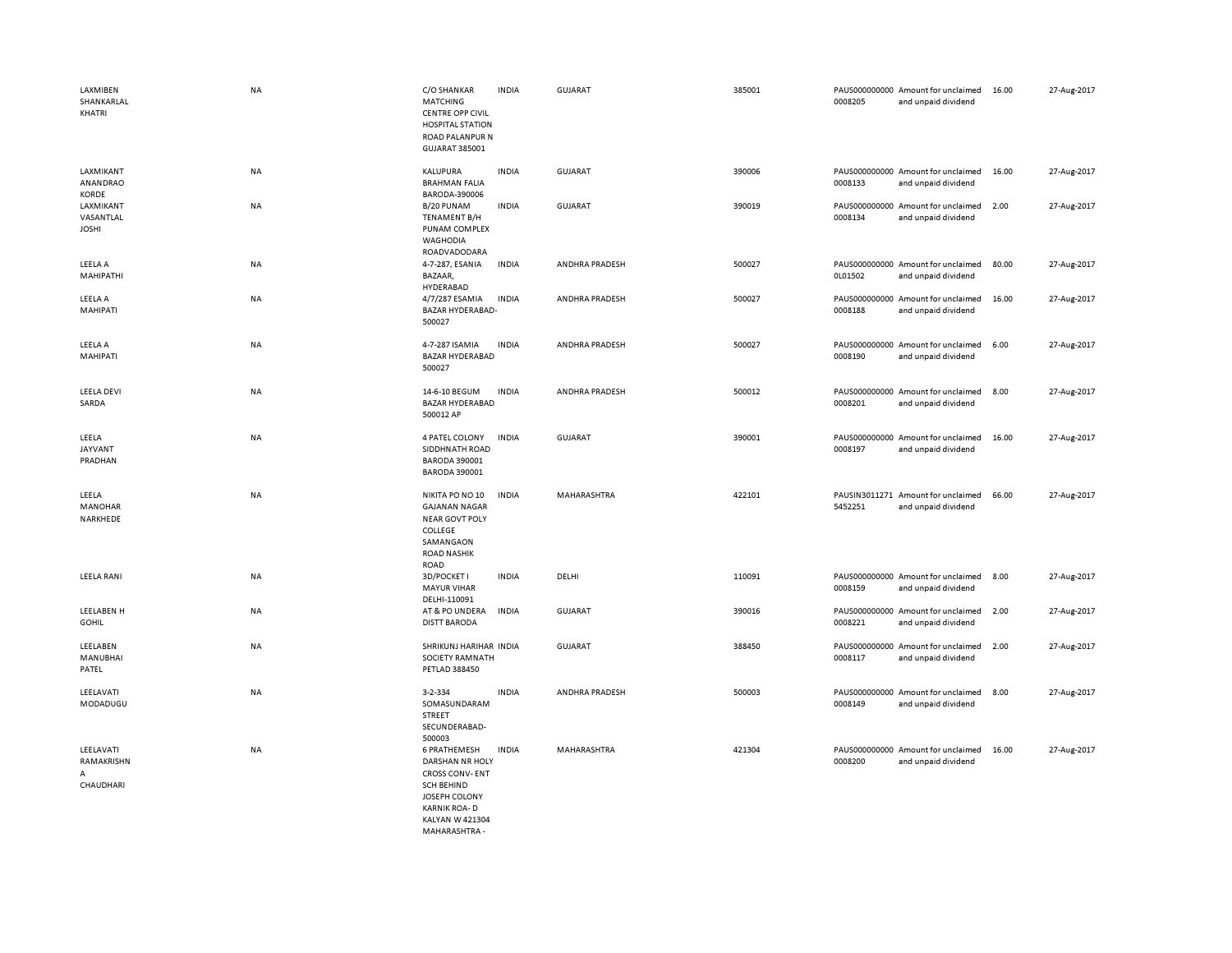| LAXMIBEN<br>SHANKARLAL<br>KHATRI                | NA        | C/O SHANKAR<br>MATCHING<br><b>CENTRE OPP CIVIL</b><br><b>HOSPITAL STATION</b><br>ROAD PALANPUR N<br>GUJARAT 385001                                               | <b>INDIA</b> | <b>GUJARAT</b> | 385001 | 0008205                  | PAUS000000000 Amount for unclaimed<br>and unpaid dividend | 16.00 | 27-Aug-2017 |
|-------------------------------------------------|-----------|------------------------------------------------------------------------------------------------------------------------------------------------------------------|--------------|----------------|--------|--------------------------|-----------------------------------------------------------|-------|-------------|
| LAXMIKANT<br>ANANDRAO                           | NA        | KALUPURA<br><b>BRAHMAN FALIA</b>                                                                                                                                 | <b>INDIA</b> | <b>GUJARAT</b> | 390006 | 0008133                  | PAUS000000000 Amount for unclaimed<br>and unpaid dividend | 16.00 | 27-Aug-2017 |
| KORDE<br>LAXMIKANT<br>VASANTLAL<br><b>JOSHI</b> | NA        | BARODA-390006<br>B/20 PUNAM<br><b>TENAMENT B/H</b><br>PUNAM COMPLEX<br><b>WAGHODIA</b><br>ROADVADODARA                                                           | <b>INDIA</b> | <b>GUJARAT</b> | 390019 | 0008134                  | PAUS000000000 Amount for unclaimed<br>and unpaid dividend | 2.00  | 27-Aug-2017 |
| LEELA A<br>MAHIPATHI                            | NA        | 4-7-287, ESANIA<br>BAZAAR,<br>HYDERABAD                                                                                                                          | <b>INDIA</b> | ANDHRA PRADESH | 500027 | PAUS000000000<br>0L01502 | Amount for unclaimed<br>and unpaid dividend               | 80.00 | 27-Aug-2017 |
| LEELA A<br>MAHIPATI                             | NA        | 4/7/287 ESAMIA<br>BAZAR HYDERABAD-<br>500027                                                                                                                     | <b>INDIA</b> | ANDHRA PRADESH | 500027 | 0008188                  | PAUS000000000 Amount for unclaimed<br>and unpaid dividend | 16.00 | 27-Aug-2017 |
| LEELA A<br>MAHIPATI                             | NA        | 4-7-287 ISAMIA<br><b>BAZAR HYDERABAD</b><br>500027                                                                                                               | <b>INDIA</b> | ANDHRA PRADESH | 500027 | PAUS000000000<br>0008190 | Amount for unclaimed<br>and unpaid dividend               | 6.00  | 27-Aug-2017 |
| <b>LEELA DEVI</b><br>SARDA                      | <b>NA</b> | 14-6-10 BEGUM<br><b>BAZAR HYDERABAD</b><br>500012 AP                                                                                                             | <b>INDIA</b> | ANDHRA PRADESH | 500012 | 0008201                  | PAUS000000000 Amount for unclaimed<br>and unpaid dividend | 8.00  | 27-Aug-2017 |
| LEELA<br><b>JAYVANT</b><br>PRADHAN              | <b>NA</b> | 4 PATEL COLONY<br>SIDDHNATH ROAD<br><b>BARODA 390001</b><br><b>BARODA 390001</b>                                                                                 | <b>INDIA</b> | <b>GUJARAT</b> | 390001 | 0008197                  | PAUS000000000 Amount for unclaimed<br>and unpaid dividend | 16.00 | 27-Aug-2017 |
| LEELA<br><b>MANOHAR</b><br>NARKHEDE             | <b>NA</b> | NIKITA PO NO 10<br><b>GAJANAN NAGAR</b><br><b>NEAR GOVT POLY</b><br>COLLEGE<br>SAMANGAON<br><b>ROAD NASHIK</b><br>ROAD                                           | <b>INDIA</b> | MAHARASHTRA    | 422101 | 5452251                  | PAUSIN3011271 Amount for unclaimed<br>and unpaid dividend | 66.00 | 27-Aug-2017 |
| LEELA RANI                                      | NA        | 3D/POCKET I<br><b>MAYUR VIHAR</b><br>DELHI-110091                                                                                                                | <b>INDIA</b> | DELHI          | 110091 | 0008159                  | PAUS000000000 Amount for unclaimed<br>and unpaid dividend | 8.00  | 27-Aug-2017 |
| LEELABEN H<br><b>GOHIL</b>                      | NA        | AT & PO UNDERA<br><b>DISTT BARODA</b>                                                                                                                            | <b>INDIA</b> | <b>GUJARAT</b> | 390016 | 0008221                  | PAUS000000000 Amount for unclaimed<br>and unpaid dividend | 2.00  | 27-Aug-2017 |
| LEELABEN<br><b>MANUBHAI</b><br>PATEL            | NA        | SHRIKUNJ HARIHAR INDIA<br><b>SOCIETY RAMNATH</b><br>PETLAD 388450                                                                                                |              | <b>GUJARAT</b> | 388450 | PAUS000000000<br>0008117 | Amount for unclaimed<br>and unpaid dividend               | 2.00  | 27-Aug-2017 |
| LEELAVATI<br>MODADUGU                           | NA        | 3-2-334<br>SOMASUNDARAM<br>STREET<br>SECUNDERABAD-<br>500003                                                                                                     | <b>INDIA</b> | ANDHRA PRADESH | 500003 | 0008149                  | PAUS000000000 Amount for unclaimed<br>and unpaid dividend | 8.00  | 27-Aug-2017 |
| LEELAVATI<br>RAMAKRISHN<br>А<br>CHAUDHARI       | NA        | <b>6 PRATHEMESH</b><br>DARSHAN NR HOLY<br><b>CROSS CONV-ENT</b><br><b>SCH BEHIND</b><br>JOSEPH COLONY<br><b>KARNIK ROA-D</b><br>KALYAN W 421304<br>MAHARASHTRA - | <b>INDIA</b> | MAHARASHTRA    | 421304 | 0008200                  | PAUS000000000 Amount for unclaimed<br>and unpaid dividend | 16.00 | 27-Aug-2017 |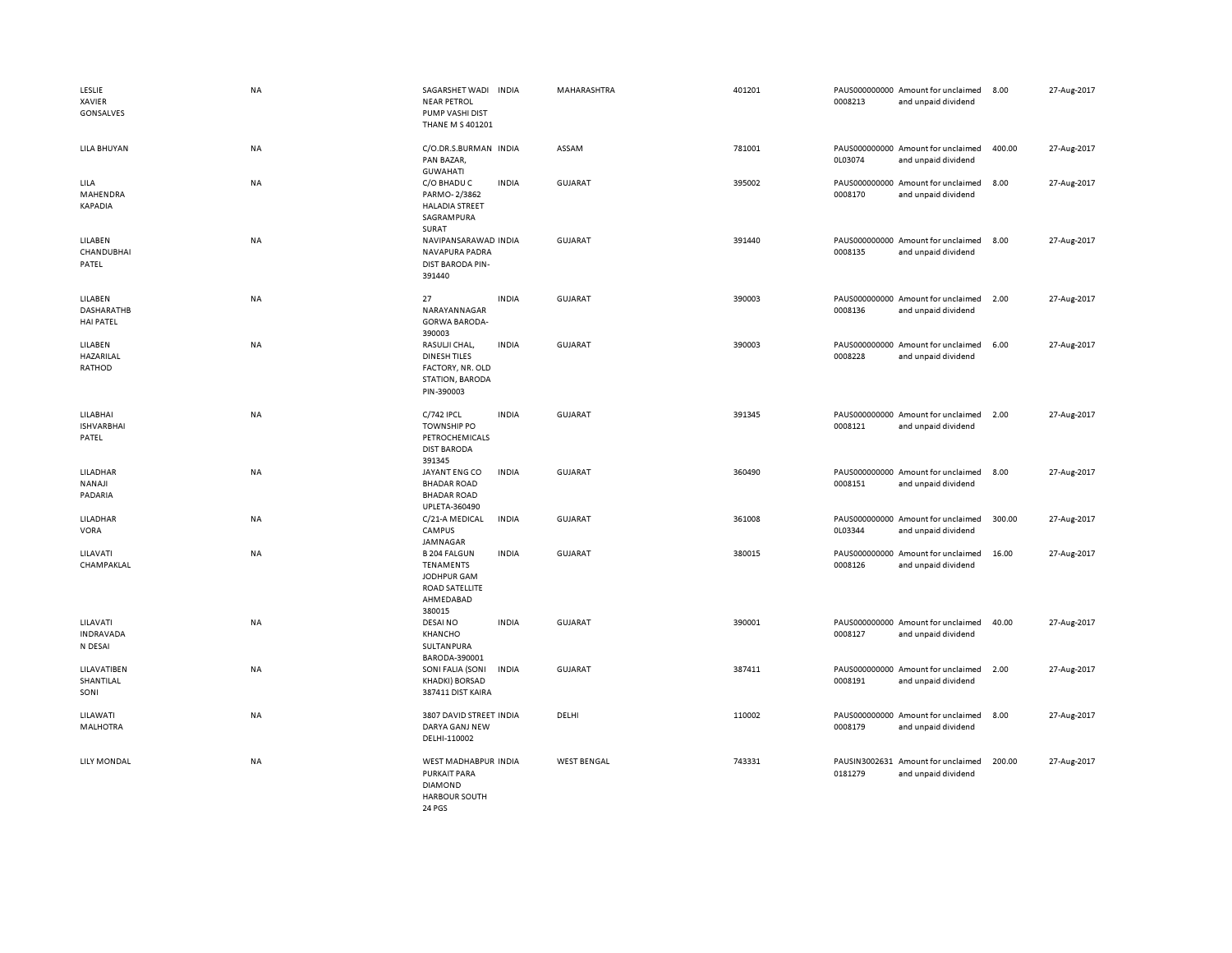| LESLIE<br>XAVIER<br>GONSALVES             | <b>NA</b> | SAGARSHET WADI INDIA<br><b>NEAR PETROL</b><br>PUMP VASHI DIST<br>THANE M S 401201                      |              | MAHARASHTRA        | 401201 | 0008213 | PAUS000000000 Amount for unclaimed<br>and unpaid dividend | 8.00   | 27-Aug-2017 |
|-------------------------------------------|-----------|--------------------------------------------------------------------------------------------------------|--------------|--------------------|--------|---------|-----------------------------------------------------------|--------|-------------|
| LILA BHUYAN                               | <b>NA</b> | C/O.DR.S.BURMAN INDIA<br>PAN BAZAR,<br><b>GUWAHATI</b>                                                 |              | ASSAM              | 781001 | 0L03074 | PAUS000000000 Amount for unclaimed<br>and unpaid dividend | 400.00 | 27-Aug-2017 |
| LILA<br>MAHENDRA<br><b>KAPADIA</b>        | NA        | C/O BHADU C<br>PARMO-2/3862<br><b>HALADIA STREET</b><br>SAGRAMPURA<br>SURAT                            | <b>INDIA</b> | <b>GUJARAT</b>     | 395002 | 0008170 | PAUS000000000 Amount for unclaimed<br>and unpaid dividend | 8.00   | 27-Aug-2017 |
| LILABEN<br>CHANDUBHAI<br>PATEL            | <b>NA</b> | NAVIPANSARAWAD INDIA<br>NAVAPURA PADRA<br>DIST BARODA PIN-<br>391440                                   |              | <b>GUJARAT</b>     | 391440 | 0008135 | PAUS000000000 Amount for unclaimed<br>and unpaid dividend | 8.00   | 27-Aug-2017 |
| LILABEN<br>DASHARATHB<br><b>HAI PATEL</b> | <b>NA</b> | 27<br>NARAYANNAGAR<br><b>GORWA BARODA-</b><br>390003                                                   | <b>INDIA</b> | GUJARAT            | 390003 | 0008136 | PAUS000000000 Amount for unclaimed<br>and unpaid dividend | 2.00   | 27-Aug-2017 |
| LILABEN<br>HAZARILAL<br>RATHOD            | <b>NA</b> | RASULJI CHAL,<br><b>DINESH TILES</b><br>FACTORY, NR. OLD<br>STATION, BARODA<br>PIN-390003              | <b>INDIA</b> | <b>GUJARAT</b>     | 390003 | 0008228 | PAUS000000000 Amount for unclaimed<br>and unpaid dividend | 6.00   | 27-Aug-2017 |
| LILABHAI<br><b>ISHVARBHAI</b><br>PATEL    | NA        | C/742 IPCL<br><b>TOWNSHIP PO</b><br>PETROCHEMICALS<br><b>DIST BARODA</b><br>391345                     | <b>INDIA</b> | <b>GUJARAT</b>     | 391345 | 0008121 | PAUS000000000 Amount for unclaimed<br>and unpaid dividend | 2.00   | 27-Aug-2017 |
| LILADHAR<br>NANAJI<br>PADARIA             | <b>NA</b> | JAYANT ENG CO<br><b>BHADAR ROAD</b><br><b>BHADAR ROAD</b><br>UPLETA-360490                             | <b>INDIA</b> | <b>GUJARAT</b>     | 360490 | 0008151 | PAUS000000000 Amount for unclaimed<br>and unpaid dividend | 8.00   | 27-Aug-2017 |
| LILADHAR<br>VORA                          | NA        | C/21-A MEDICAL<br>CAMPUS<br>JAMNAGAR                                                                   | <b>INDIA</b> | <b>GUJARAT</b>     | 361008 | 0L03344 | PAUS000000000 Amount for unclaimed<br>and unpaid dividend | 300.00 | 27-Aug-2017 |
| LILAVATI<br>CHAMPAKLAL                    | NA        | <b>B 204 FALGUN</b><br><b>TENAMENTS</b><br>JODHPUR GAM<br><b>ROAD SATELLITE</b><br>AHMEDABAD<br>380015 | <b>INDIA</b> | <b>GUJARAT</b>     | 380015 | 0008126 | PAUS000000000 Amount for unclaimed<br>and unpaid dividend | 16.00  | 27-Aug-2017 |
| LILAVATI<br>INDRAVADA<br>N DESAI          | NA        | <b>DESAINO</b><br>KHANCHO<br>SULTANPURA<br>BARODA-390001                                               | <b>INDIA</b> | <b>GUJARAT</b>     | 390001 | 0008127 | PAUS000000000 Amount for unclaimed<br>and unpaid dividend | 40.00  | 27-Aug-2017 |
| LILAVATIBEN<br>SHANTILAL<br>SONI          | NA        | SONI FALIA (SONI<br><b>KHADKI) BORSAD</b><br>387411 DIST KAIRA                                         | <b>INDIA</b> | <b>GUJARAT</b>     | 387411 | 0008191 | PAUS000000000 Amount for unclaimed<br>and unpaid dividend | 2.00   | 27-Aug-2017 |
| LILAWATI<br><b>MALHOTRA</b>               | NA        | 3807 DAVID STREET INDIA<br>DARYA GANJ NEW<br>DELHI-110002                                              |              | DELHI              | 110002 | 0008179 | PAUS000000000 Amount for unclaimed<br>and unpaid dividend | 8.00   | 27-Aug-2017 |
| <b>LILY MONDAL</b>                        | NA        | WEST MADHABPUR INDIA<br><b>PURKAIT PARA</b><br><b>DIAMOND</b><br><b>HARBOUR SOUTH</b><br>24 PGS        |              | <b>WEST BENGAL</b> | 743331 | 0181279 | PAUSIN3002631 Amount for unclaimed<br>and unpaid dividend | 200.00 | 27-Aug-2017 |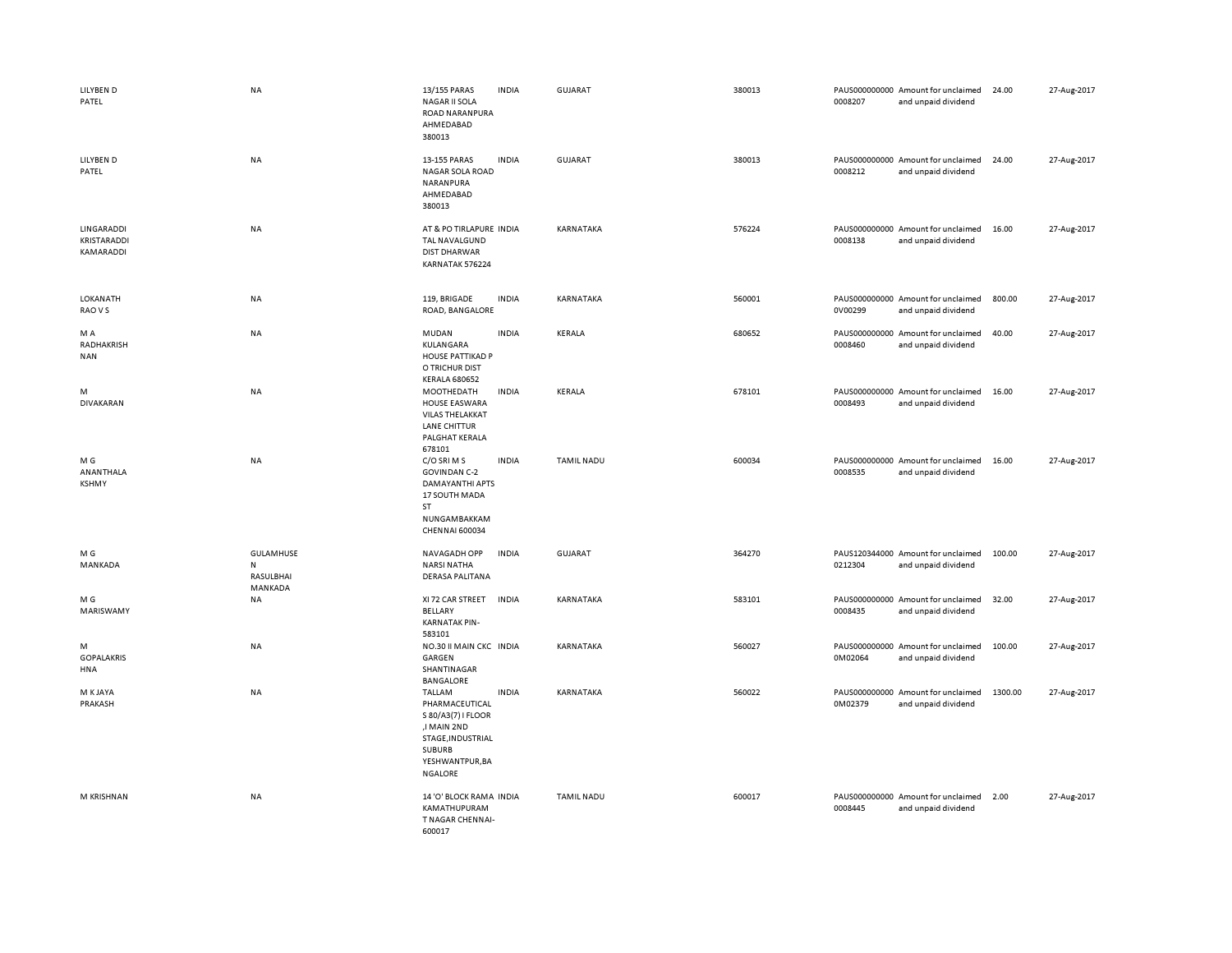| LILYBEN D<br>PATEL                     | NA                                             | 13/155 PARAS<br><b>NAGAR II SOLA</b><br>ROAD NARANPURA<br>AHMEDABAD<br>380013                                                     | <b>INDIA</b> | <b>GUJARAT</b>    | 380013 | 0008207 | PAUS000000000 Amount for unclaimed<br>and unpaid dividend | 24.00   | 27-Aug-2017 |
|----------------------------------------|------------------------------------------------|-----------------------------------------------------------------------------------------------------------------------------------|--------------|-------------------|--------|---------|-----------------------------------------------------------|---------|-------------|
| LILYBEN D<br>PATEL                     | NA                                             | 13-155 PARAS<br>NAGAR SOLA ROAD<br>NARANPURA<br>AHMEDABAD<br>380013                                                               | <b>INDIA</b> | <b>GUJARAT</b>    | 380013 | 0008212 | PAUS000000000 Amount for unclaimed<br>and unpaid dividend | 24.00   | 27-Aug-2017 |
| LINGARADDI<br>KRISTARADDI<br>KAMARADDI | <b>NA</b>                                      | AT & PO TIRLAPURE INDIA<br>TAL NAVALGUND<br><b>DIST DHARWAR</b><br>KARNATAK 576224                                                |              | <b>KARNATAKA</b>  | 576224 | 0008138 | PAUS000000000 Amount for unclaimed<br>and unpaid dividend | 16.00   | 27-Aug-2017 |
| LOKANATH<br>RAO V S                    | NA                                             | 119, BRIGADE<br>ROAD, BANGALORE                                                                                                   | <b>INDIA</b> | KARNATAKA         | 560001 | 0V00299 | PAUS000000000 Amount for unclaimed<br>and unpaid dividend | 800.00  | 27-Aug-2017 |
| M A<br>RADHAKRISH<br><b>NAN</b>        | NA                                             | MUDAN<br>KULANGARA<br>HOUSE PATTIKAD P<br>O TRICHUR DIST<br><b>KERALA 680652</b>                                                  | <b>INDIA</b> | KERALA            | 680652 | 0008460 | PAUS000000000 Amount for unclaimed<br>and unpaid dividend | 40.00   | 27-Aug-2017 |
| M<br><b>DIVAKARAN</b>                  | NA                                             | MOOTHEDATH<br><b>HOUSE EASWARA</b><br><b>VILAS THELAKKAT</b><br>LANE CHITTUR<br>PALGHAT KERALA<br>678101                          | <b>INDIA</b> | KERALA            | 678101 | 0008493 | PAUS000000000 Amount for unclaimed<br>and unpaid dividend | 16.00   | 27-Aug-2017 |
| M G<br>ANANTHALA<br><b>KSHMY</b>       | NA                                             | C/O SRI M S<br><b>GOVINDAN C-2</b><br>DAMAYANTHI APTS<br>17 SOUTH MADA<br>ST<br>NUNGAMBAKKAM<br>CHENNAI 600034                    | <b>INDIA</b> | <b>TAMIL NADU</b> | 600034 | 0008535 | PAUS000000000 Amount for unclaimed<br>and unpaid dividend | 16.00   | 27-Aug-2017 |
| M G<br>MANKADA                         | GULAMHUSE<br>${\sf N}$<br>RASULBHAI<br>MANKADA | NAVAGADH OPP<br><b>NARSI NATHA</b><br>DERASA PALITANA                                                                             | <b>INDIA</b> | GUJARAT           | 364270 | 0212304 | PAUS120344000 Amount for unclaimed<br>and unpaid dividend | 100.00  | 27-Aug-2017 |
| M G<br>MARISWAMY                       | NA                                             | XI 72 CAR STREET<br><b>BELLARY</b><br><b>KARNATAK PIN-</b><br>583101                                                              | <b>INDIA</b> | KARNATAKA         | 583101 | 0008435 | PAUS000000000 Amount for unclaimed<br>and unpaid dividend | 32.00   | 27-Aug-2017 |
| M<br><b>GOPALAKRIS</b><br>HNA          | NA                                             | NO.30 II MAIN CKC INDIA<br>GARGEN<br>SHANTINAGAR<br><b>BANGALORE</b>                                                              |              | KARNATAKA         | 560027 | 0M02064 | PAUS000000000 Amount for unclaimed<br>and unpaid dividend | 100.00  | 27-Aug-2017 |
| M K JAYA<br>PRAKASH                    | <b>NA</b>                                      | TALLAM<br>PHARMACEUTICAL<br>S 80/A3(7) I FLOOR<br>,I MAIN 2ND<br>STAGE, INDUSTRIAL<br><b>SUBURB</b><br>YESHWANTPUR, BA<br>NGALORE | <b>INDIA</b> | KARNATAKA         | 560022 | 0M02379 | PAUS000000000 Amount for unclaimed<br>and unpaid dividend | 1300.00 | 27-Aug-2017 |
| M KRISHNAN                             | NA                                             | 14 'O' BLOCK RAMA INDIA<br>KAMATHUPURAM<br>T NAGAR CHENNAI-<br>600017                                                             |              | <b>TAMIL NADU</b> | 600017 | 0008445 | PAUS000000000 Amount for unclaimed<br>and unpaid dividend | 2.00    | 27-Aug-2017 |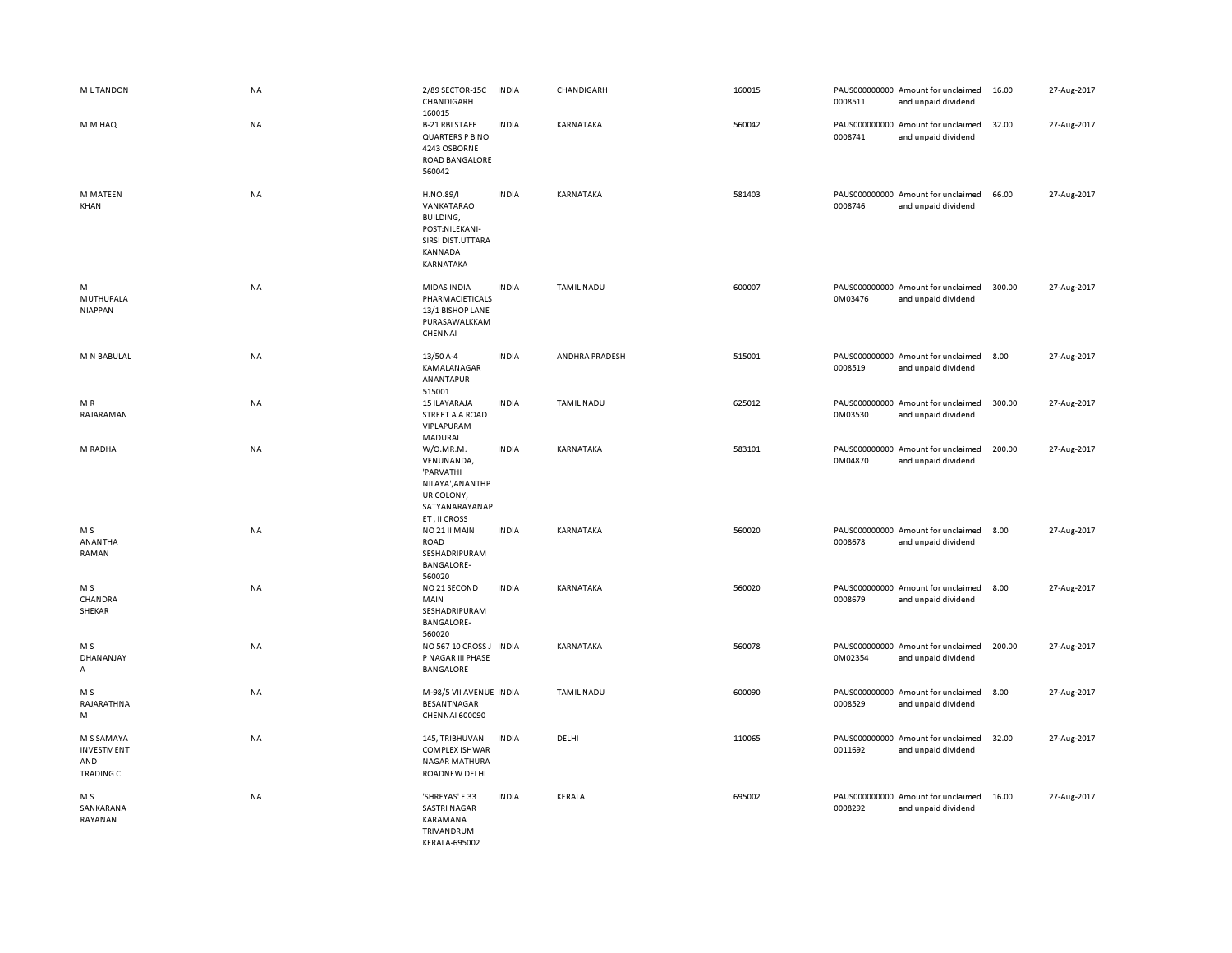| <b>MLTANDON</b>                                     | NA        | 2/89 SECTOR-15C<br>CHANDIGARH<br>160015                                                                   | <b>INDIA</b> | CHANDIGARH        | 160015 | 0008511 | PAUS000000000 Amount for unclaimed<br>and unpaid dividend | 16.00  | 27-Aug-2017 |
|-----------------------------------------------------|-----------|-----------------------------------------------------------------------------------------------------------|--------------|-------------------|--------|---------|-----------------------------------------------------------|--------|-------------|
| M M HAQ                                             | <b>NA</b> | <b>B-21 RBI STAFF</b><br>QUARTERS P B NO<br>4243 OSBORNE<br>ROAD BANGALORE<br>560042                      | <b>INDIA</b> | KARNATAKA         | 560042 | 0008741 | PAUS000000000 Amount for unclaimed<br>and unpaid dividend | 32.00  | 27-Aug-2017 |
| M MATEEN<br>KHAN                                    | <b>NA</b> | H.NO.89/I<br>VANKATARAO<br>BUILDING,<br>POST:NILEKANI-<br>SIRSI DIST.UTTARA<br>KANNADA<br>KARNATAKA       | <b>INDIA</b> | KARNATAKA         | 581403 | 0008746 | PAUS000000000 Amount for unclaimed<br>and unpaid dividend | 66.00  | 27-Aug-2017 |
| M<br><b>MUTHUPALA</b><br><b>NIAPPAN</b>             | NA        | MIDAS INDIA<br>PHARMACIETICALS<br>13/1 BISHOP LANE<br>PURASAWALKKAM<br>CHENNAI                            | <b>INDIA</b> | <b>TAMIL NADU</b> | 600007 | 0M03476 | PAUS000000000 Amount for unclaimed<br>and unpaid dividend | 300.00 | 27-Aug-2017 |
| M N BABULAL                                         | NA        | 13/50 A-4<br>KAMALANAGAR<br>ANANTAPUR<br>515001                                                           | <b>INDIA</b> | ANDHRA PRADESH    | 515001 | 0008519 | PAUS000000000 Amount for unclaimed<br>and unpaid dividend | 8.00   | 27-Aug-2017 |
| MR<br>RAJARAMAN                                     | NA        | 15 ILAYARAJA<br>STREET A A ROAD<br>VIPLAPURAM<br>MADURAI                                                  | <b>INDIA</b> | <b>TAMIL NADU</b> | 625012 | 0M03530 | PAUS000000000 Amount for unclaimed<br>and unpaid dividend | 300.00 | 27-Aug-2017 |
| M RADHA                                             | NA        | W/O.MR.M.<br>VENUNANDA,<br>'PARVATHI<br>NILAYA', AN ANTHP<br>UR COLONY,<br>SATYANARAYANAP<br>ET, II CROSS | <b>INDIA</b> | KARNATAKA         | 583101 | 0M04870 | PAUS000000000 Amount for unclaimed<br>and unpaid dividend | 200.00 | 27-Aug-2017 |
| M S<br>ANANTHA<br>RAMAN                             | NA        | NO 21 II MAIN<br><b>ROAD</b><br>SESHADRIPURAM<br><b>BANGALORE-</b><br>560020                              | <b>INDIA</b> | KARNATAKA         | 560020 | 0008678 | PAUS000000000 Amount for unclaimed<br>and unpaid dividend | 8.00   | 27-Aug-2017 |
| M S<br>CHANDRA<br>SHEKAR                            | <b>NA</b> | NO 21 SECOND<br>MAIN<br>SESHADRIPURAM<br><b>BANGALORE-</b><br>560020                                      | <b>INDIA</b> | <b>KARNATAKA</b>  | 560020 | 0008679 | PAUS000000000 Amount for unclaimed<br>and unpaid dividend | 8.00   | 27-Aug-2017 |
| M S<br>DHANANJAY<br>A                               | NA        | NO 567 10 CROSS J INDIA<br>P NAGAR III PHASE<br>BANGALORE                                                 |              | KARNATAKA         | 560078 | 0M02354 | PAUS000000000 Amount for unclaimed<br>and unpaid dividend | 200.00 | 27-Aug-2017 |
| M <sub>S</sub><br>RAJARATHNA<br>M                   | <b>NA</b> | M-98/5 VII AVENUE INDIA<br>BESANTNAGAR<br><b>CHENNAI 600090</b>                                           |              | <b>TAMIL NADU</b> | 600090 | 0008529 | PAUS000000000 Amount for unclaimed<br>and unpaid dividend | 8.00   | 27-Aug-2017 |
| M S SAMAYA<br>INVESTMENT<br>AND<br><b>TRADING C</b> | <b>NA</b> | 145, TRIBHUVAN<br>COMPLEX ISHWAR<br>NAGAR MATHURA<br>ROADNEW DELHI                                        | <b>INDIA</b> | DELHI             | 110065 | 0011692 | PAUS000000000 Amount for unclaimed<br>and unpaid dividend | 32.00  | 27-Aug-2017 |
| M S<br>SANKARANA<br>RAYANAN                         | NA        | 'SHREYAS' E 33<br><b>SASTRI NAGAR</b><br>KARAMANA<br>TRIVANDRUM<br>KFRAI A-695002                         | <b>INDIA</b> | KERALA            | 695002 | 0008292 | PAUS000000000 Amount for unclaimed<br>and unpaid dividend | 16.00  | 27-Aug-2017 |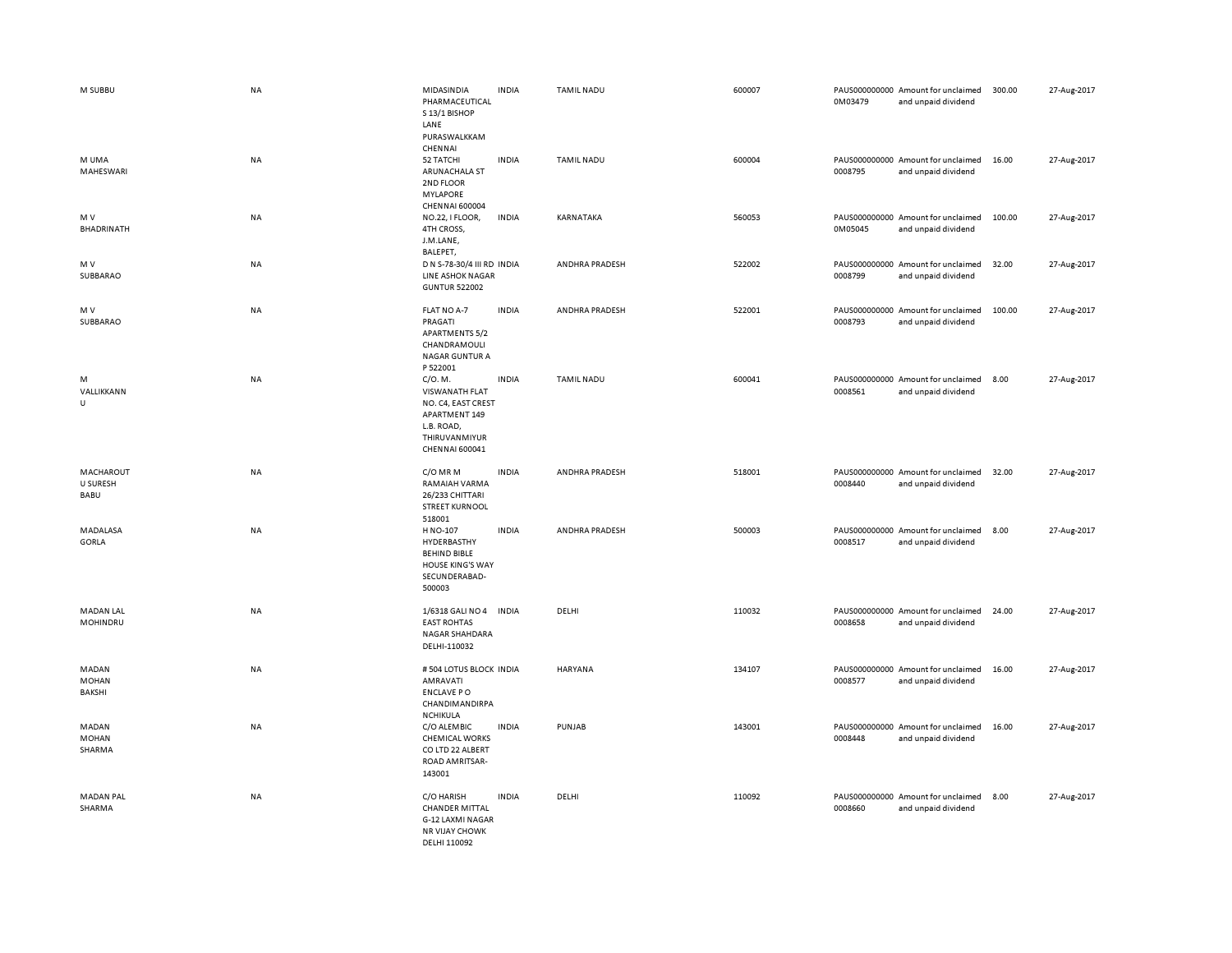| M SUBBU                         | <b>NA</b> | MIDASINDIA<br>PHARMACEUTICAL<br>S 13/1 BISHOP<br>LANE<br>PURASWALKKAM<br>CHENNAI                                  | <b>INDIA</b> | TAMIL NADU        | 600007 | 0M03479 | PAUS000000000 Amount for unclaimed<br>and unpaid dividend | 300.00 | 27-Aug-2017 |
|---------------------------------|-----------|-------------------------------------------------------------------------------------------------------------------|--------------|-------------------|--------|---------|-----------------------------------------------------------|--------|-------------|
| M UMA<br>MAHESWARI              | <b>NA</b> | 52 TATCHI<br>ARUNACHALA ST<br>2ND FLOOR<br><b>MYLAPORE</b><br><b>CHENNAI 600004</b>                               | <b>INDIA</b> | <b>TAMIL NADU</b> | 600004 | 0008795 | PAUS000000000 Amount for unclaimed<br>and unpaid dividend | 16.00  | 27-Aug-2017 |
| M V<br>BHADRINATH               | NA        | NO.22, I FLOOR,<br>4TH CROSS,<br>J.M.LANE,<br>BALEPET,                                                            | <b>INDIA</b> | KARNATAKA         | 560053 | 0M05045 | PAUS000000000 Amount for unclaimed<br>and unpaid dividend | 100.00 | 27-Aug-2017 |
| M V<br>SUBBARAO                 | <b>NA</b> | D N S-78-30/4 III RD INDIA<br><b>LINE ASHOK NAGAR</b><br><b>GUNTUR 522002</b>                                     |              | ANDHRA PRADESH    | 522002 | 0008799 | PAUS000000000 Amount for unclaimed<br>and unpaid dividend | 32.00  | 27-Aug-2017 |
| M V<br>SUBBARAO                 | NA        | FLAT NO A-7<br>PRAGATI<br><b>APARTMENTS 5/2</b><br>CHANDRAMOULI<br><b>NAGAR GUNTUR A</b><br>P 522001              | <b>INDIA</b> | ANDHRA PRADESH    | 522001 | 0008793 | PAUS000000000 Amount for unclaimed<br>and unpaid dividend | 100.00 | 27-Aug-2017 |
| M<br>VALLIKKANN<br>U            | <b>NA</b> | C/O. M.<br>VISWANATH FLAT<br>NO. C4, EAST CREST<br>APARTMENT 149<br>L.B. ROAD,<br>THIRUVANMIYUR<br>CHENNAI 600041 | <b>INDIA</b> | <b>TAMIL NADU</b> | 600041 | 0008561 | PAUS000000000 Amount for unclaimed<br>and unpaid dividend | 8.00   | 27-Aug-2017 |
| MACHAROUT<br>U SURESH<br>BABU   | <b>NA</b> | C/O MR M<br>RAMAIAH VARMA<br>26/233 CHITTARI<br><b>STREET KURNOOL</b><br>518001                                   | <b>INDIA</b> | ANDHRA PRADESH    | 518001 | 0008440 | PAUS000000000 Amount for unclaimed<br>and unpaid dividend | 32.00  | 27-Aug-2017 |
| MADALASA<br>GORLA               | NA        | H NO-107<br>HYDERBASTHY<br><b>BEHIND BIBLE</b><br><b>HOUSE KING'S WAY</b><br>SECUNDERABAD-<br>500003              | <b>INDIA</b> | ANDHRA PRADESH    | 500003 | 0008517 | PAUS000000000 Amount for unclaimed<br>and unpaid dividend | 8.00   | 27-Aug-2017 |
| <b>MADAN LAL</b><br>MOHINDRU    | <b>NA</b> | 1/6318 GALI NO 4<br><b>EAST ROHTAS</b><br>NAGAR SHAHDARA<br>DELHI-110032                                          | <b>INDIA</b> | DELHI             | 110032 | 0008658 | PAUS000000000 Amount for unclaimed<br>and unpaid dividend | 24.00  | 27-Aug-2017 |
| MADAN<br><b>MOHAN</b><br>BAKSHI | <b>NA</b> | # 504 LOTUS BLOCK INDIA<br>AMRAVATI<br><b>ENCLAVE PO</b><br>CHANDIMANDIRPA<br><b>NCHIKULA</b>                     |              | HARYANA           | 134107 | 0008577 | PAUS000000000 Amount for unclaimed<br>and unpaid dividend | 16.00  | 27-Aug-2017 |
| MADAN<br><b>MOHAN</b><br>SHARMA | <b>NA</b> | C/O ALEMBIC<br><b>CHEMICAL WORKS</b><br>CO LTD 22 ALBERT<br>ROAD AMRITSAR-<br>143001                              | <b>INDIA</b> | PUNJAB            | 143001 | 0008448 | PAUS000000000 Amount for unclaimed<br>and unpaid dividend | 16.00  | 27-Aug-2017 |
| <b>MADAN PAL</b><br>SHARMA      | <b>NA</b> | C/O HARISH<br><b>CHANDER MITTAL</b><br>G-12 LAXMI NAGAR<br><b>NR VIJAY CHOWK</b><br>DELHI 110092                  | <b>INDIA</b> | DELHI             | 110092 | 0008660 | PAUS000000000 Amount for unclaimed<br>and unpaid dividend | 8.00   | 27-Aug-2017 |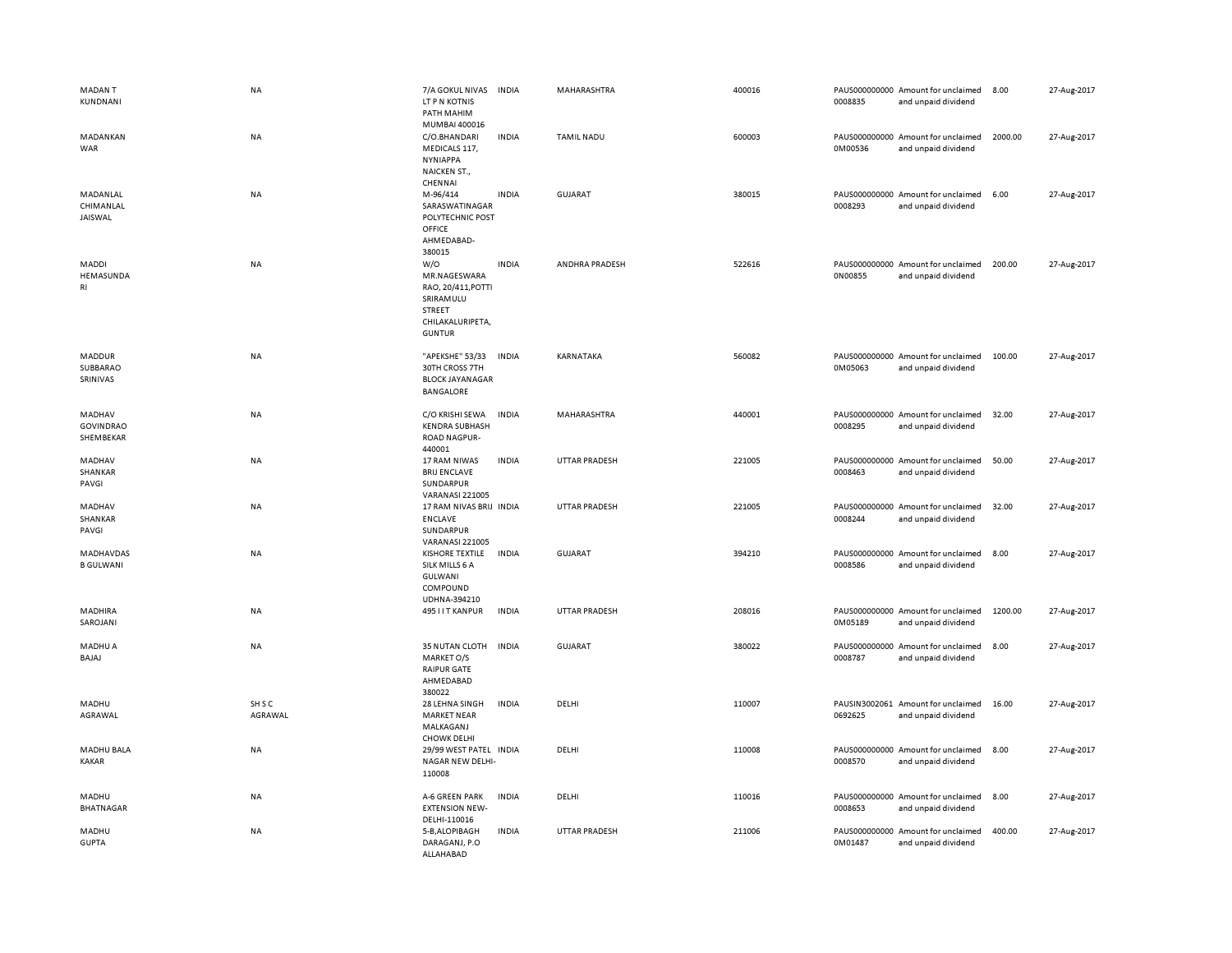| <b>MADANT</b><br>KUNDNANI               | NA                           | 7/A GOKUL NIVAS INDIA<br>LT P N KOTNIS<br>PATH MAHIM<br>MUMBAI 400016                                 |              | MAHARASHTRA          | 400016 | 0008835 | PAUS000000000 Amount for unclaimed<br>and unpaid dividend | 8.00    | 27-Aug-2017 |
|-----------------------------------------|------------------------------|-------------------------------------------------------------------------------------------------------|--------------|----------------------|--------|---------|-----------------------------------------------------------|---------|-------------|
| MADANKAN<br>WAR                         | <b>NA</b>                    | C/O.BHANDARI<br>MEDICALS 117,<br><b>NYNIAPPA</b><br>NAICKEN ST.,<br>CHENNAI                           | <b>INDIA</b> | <b>TAMIL NADU</b>    | 600003 | 0M00536 | PAUS000000000 Amount for unclaimed<br>and unpaid dividend | 2000.00 | 27-Aug-2017 |
| MADANLAL<br>CHIMANLAL<br>JAISWAL        | NA                           | M-96/414<br>SARASWATINAGAR<br>POLYTECHNIC POST<br>OFFICE<br>AHMEDABAD-<br>380015                      | <b>INDIA</b> | <b>GUJARAT</b>       | 380015 | 0008293 | PAUS000000000 Amount for unclaimed<br>and unpaid dividend | 6.00    | 27-Aug-2017 |
| MADDI<br>HEMASUNDA<br>RI                | NA                           | W/O<br>MR.NAGESWARA<br>RAO, 20/411, POTTI<br>SRIRAMULU<br>STREET<br>CHILAKALURIPETA,<br><b>GUNTUR</b> | <b>INDIA</b> | ANDHRA PRADESH       | 522616 | 0N00855 | PAUS000000000 Amount for unclaimed<br>and unpaid dividend | 200.00  | 27-Aug-2017 |
| MADDUR<br>SUBBARAO<br>SRINIVAS          | NA                           | "APEKSHE" 53/33<br>30TH CROSS 7TH<br><b>BLOCK JAYANAGAR</b><br>BANGALORE                              | <b>INDIA</b> | KARNATAKA            | 560082 | 0M05063 | PAUS000000000 Amount for unclaimed<br>and unpaid dividend | 100.00  | 27-Aug-2017 |
| MADHAV<br><b>GOVINDRAO</b><br>SHEMBEKAR | NA                           | C/O KRISHI SEWA<br><b>KENDRA SUBHASH</b><br><b>ROAD NAGPUR-</b><br>440001                             | <b>INDIA</b> | MAHARASHTRA          | 440001 | 0008295 | PAUS000000000 Amount for unclaimed<br>and unpaid dividend | 32.00   | 27-Aug-2017 |
| MADHAV<br><b>SHANKAR</b><br>PAVGI       | NA                           | 17 RAM NIWAS<br><b>BRIJ ENCLAVE</b><br>SUNDARPUR<br><b>VARANASI 221005</b>                            | <b>INDIA</b> | <b>UTTAR PRADESH</b> | 221005 | 0008463 | PAUS000000000 Amount for unclaimed<br>and unpaid dividend | 50.00   | 27-Aug-2017 |
| MADHAV<br>SHANKAR<br>PAVGI              | NA                           | 17 RAM NIVAS BRIJ INDIA<br><b>ENCLAVE</b><br>SUNDARPUR<br><b>VARANASI 221005</b>                      |              | <b>UTTAR PRADESH</b> | 221005 | 0008244 | PAUS000000000 Amount for unclaimed<br>and unpaid dividend | 32.00   | 27-Aug-2017 |
| MADHAVDAS<br><b>B GULWANI</b>           | NA                           | <b>KISHORE TEXTILE</b><br>SILK MILLS 6 A<br>GULWANI<br>COMPOUND<br>UDHNA-394210                       | <b>INDIA</b> | GUJARAT              | 394210 | 0008586 | PAUS000000000 Amount for unclaimed<br>and unpaid dividend | 8.00    | 27-Aug-2017 |
| MADHIRA<br>SAROJANI                     | NA                           | 495 I I T KANPUR                                                                                      | <b>INDIA</b> | <b>UTTAR PRADESH</b> | 208016 | 0M05189 | PAUS000000000 Amount for unclaimed<br>and unpaid dividend | 1200.00 | 27-Aug-2017 |
| MADHU A<br>BAJAJ                        | NA                           | 35 NUTAN CLOTH<br>MARKET O/S<br><b>RAIPUR GATE</b><br>AHMEDABAD<br>380022                             | <b>INDIA</b> | <b>GUJARAT</b>       | 380022 | 0008787 | PAUS000000000 Amount for unclaimed<br>and unpaid dividend | 8.00    | 27-Aug-2017 |
| MADHU<br>AGRAWAL                        | SH <sub>S</sub> C<br>AGRAWAL | 28 LEHNA SINGH<br><b>MARKET NEAR</b><br>MALKAGANJ<br><b>CHOWK DELHI</b>                               | <b>INDIA</b> | DELHI                | 110007 | 0692625 | PAUSIN3002061 Amount for unclaimed<br>and unpaid dividend | 16.00   | 27-Aug-2017 |
| MADHU BALA<br><b>KAKAR</b>              | NA                           | 29/99 WEST PATEL INDIA<br>NAGAR NEW DELHI-<br>110008                                                  |              | DELHI                | 110008 | 0008570 | PAUS000000000 Amount for unclaimed<br>and unpaid dividend | 8.00    | 27-Aug-2017 |
| MADHU<br>BHATNAGAR                      | NA                           | A-6 GREEN PARK<br><b>EXTENSION NEW-</b><br>DELHI-110016                                               | <b>INDIA</b> | DELHI                | 110016 | 0008653 | PAUS000000000 Amount for unclaimed<br>and unpaid dividend | 8.00    | 27-Aug-2017 |
| MADHU<br><b>GUPTA</b>                   | NA                           | 5-B, ALOPIBAGH<br>DARAGANJ, P.O<br>ALLAHABAD                                                          | <b>INDIA</b> | <b>UTTAR PRADESH</b> | 211006 | 0M01487 | PAUS000000000 Amount for unclaimed<br>and unpaid dividend | 400.00  | 27-Aug-2017 |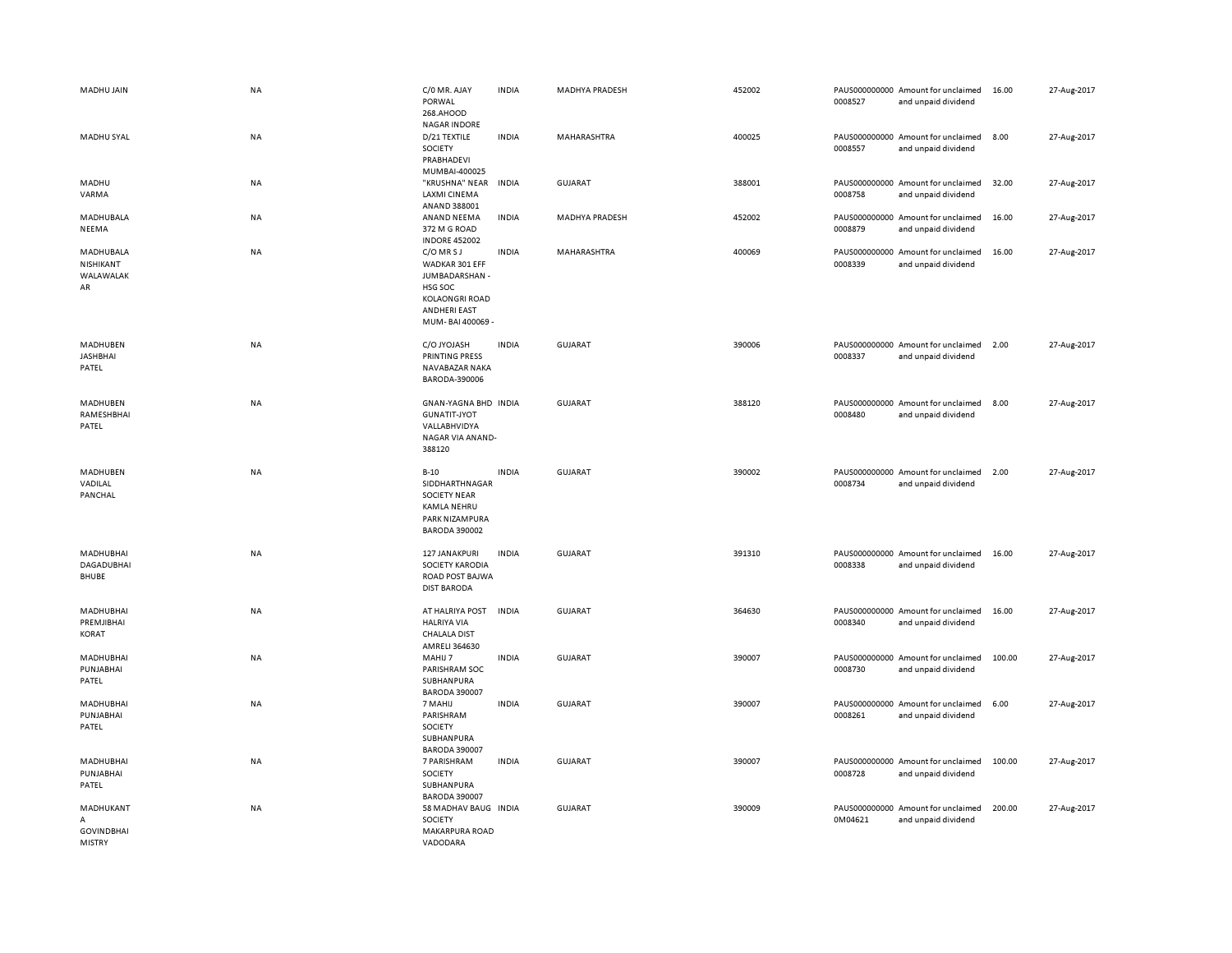| MADHU JAIN                                | <b>NA</b> | C/0 MR. AJAY<br>PORWAL<br>268.AHOOD                                                                                         | <b>INDIA</b> | <b>MADHYA PRADESH</b> | 452002 | 0008527 | PAUS000000000 Amount for unclaimed<br>and unpaid dividend | 16.00  | 27-Aug-2017 |
|-------------------------------------------|-----------|-----------------------------------------------------------------------------------------------------------------------------|--------------|-----------------------|--------|---------|-----------------------------------------------------------|--------|-------------|
| MADHU SYAL                                | <b>NA</b> | <b>NAGAR INDORE</b><br>D/21 TEXTILE<br><b>SOCIETY</b><br>PRABHADEVI<br>MUMBAI-400025                                        | <b>INDIA</b> | MAHARASHTRA           | 400025 | 0008557 | PAUS000000000 Amount for unclaimed<br>and unpaid dividend | 8.00   | 27-Aug-2017 |
| MADHU<br>VARMA                            | NA        | "KRUSHNA" NEAR<br><b>LAXMI CINEMA</b><br>ANAND 388001                                                                       | <b>INDIA</b> | <b>GUJARAT</b>        | 388001 | 0008758 | PAUS000000000 Amount for unclaimed<br>and unpaid dividend | 32.00  | 27-Aug-2017 |
| MADHUBALA<br>NEEMA                        | NA        | ANAND NEEMA<br>372 M G ROAD<br><b>INDORE 452002</b>                                                                         | <b>INDIA</b> | <b>MADHYA PRADESH</b> | 452002 | 0008879 | PAUS000000000 Amount for unclaimed<br>and unpaid dividend | 16.00  | 27-Aug-2017 |
| MADHUBALA<br>NISHIKANT<br>WALAWALAK<br>AR | <b>NA</b> | C/O MRSJ<br>WADKAR 301 EFF<br>JUMBADARSHAN -<br>HSG SOC<br><b>KOLAONGRI ROAD</b><br><b>ANDHERI EAST</b><br>MUM-BAI 400069 - | <b>INDIA</b> | MAHARASHTRA           | 400069 | 0008339 | PAUS000000000 Amount for unclaimed<br>and unpaid dividend | 16.00  | 27-Aug-2017 |
| MADHUBEN<br><b>JASHBHAI</b><br>PATEL      | <b>NA</b> | C/O JYOJASH<br><b>PRINTING PRESS</b><br>NAVABAZAR NAKA<br>BARODA-390006                                                     | <b>INDIA</b> | <b>GUJARAT</b>        | 390006 | 0008337 | PAUS000000000 Amount for unclaimed<br>and unpaid dividend | 2.00   | 27-Aug-2017 |
| MADHUBEN<br>RAMESHBHAI<br>PATEL           | <b>NA</b> | GNAN-YAGNA BHD INDIA<br><b>GUNATIT-JYOT</b><br>VALLABHVIDYA<br>NAGAR VIA ANAND-<br>388120                                   |              | <b>GUJARAT</b>        | 388120 | 0008480 | PAUS000000000 Amount for unclaimed<br>and unpaid dividend | 8.00   | 27-Aug-2017 |
|                                           |           |                                                                                                                             |              |                       |        |         |                                                           |        |             |
| MADHUBEN<br>VADILAL<br>PANCHAL            | <b>NA</b> | $B-10$<br>SIDDHARTHNAGAR<br><b>SOCIETY NEAR</b><br><b>KAMLA NEHRU</b><br>PARK NIZAMPURA<br><b>BARODA 390002</b>             | <b>INDIA</b> | <b>GUJARAT</b>        | 390002 | 0008734 | PAUS000000000 Amount for unclaimed<br>and unpaid dividend | 2.00   | 27-Aug-2017 |
| MADHUBHAI<br><b>DAGADUBHAI</b><br>BHUBE   | ΝA        | 127 JANAKPURI<br>SOCIETY KARODIA<br>ROAD POST BAJWA<br><b>DIST BARODA</b>                                                   | <b>INDIA</b> | GUJARAT               | 391310 | 0008338 | PAUS000000000 Amount for unclaimed<br>and unpaid dividend | 16.00  | 27-Aug-2017 |
| MADHUBHAI<br>PREMJIBHAI<br><b>KORAT</b>   | <b>NA</b> | AT HALRIYA POST<br><b>HALRIYA VIA</b><br><b>CHALALA DIST</b>                                                                | <b>INDIA</b> | <b>GUJARAT</b>        | 364630 | 0008340 | PAUS000000000 Amount for unclaimed<br>and unpaid dividend | 16.00  | 27-Aug-2017 |
| MADHUBHAI<br>PUNJABHAI<br>PATEL           | <b>NA</b> | AMRELI 364630<br>MAHIJ 7<br>PARISHRAM SOC<br>SUBHANPURA                                                                     | <b>INDIA</b> | <b>GUJARAT</b>        | 390007 | 0008730 | PAUS000000000 Amount for unclaimed<br>and unpaid dividend | 100.00 | 27-Aug-2017 |
| MADHUBHAI<br>PUNJABHAI<br>PATEL           | <b>NA</b> | <b>BARODA 390007</b><br>7 MAHIJ<br>PARISHRAM<br>SOCIETY<br>SUBHANPURA<br><b>BARODA 390007</b>                               | <b>INDIA</b> | <b>GUJARAT</b>        | 390007 | 0008261 | PAUS000000000 Amount for unclaimed<br>and unpaid dividend | 6.00   | 27-Aug-2017 |
| MADHUBHAI<br>PUNJABHAI<br>PATEL           | NA        | 7 PARISHRAM<br>SOCIETY<br>SUBHANPURA<br><b>BARODA 390007</b>                                                                | <b>INDIA</b> | <b>GUJARAT</b>        | 390007 | 0008728 | PAUS000000000 Amount for unclaimed<br>and unpaid dividend | 100.00 | 27-Aug-2017 |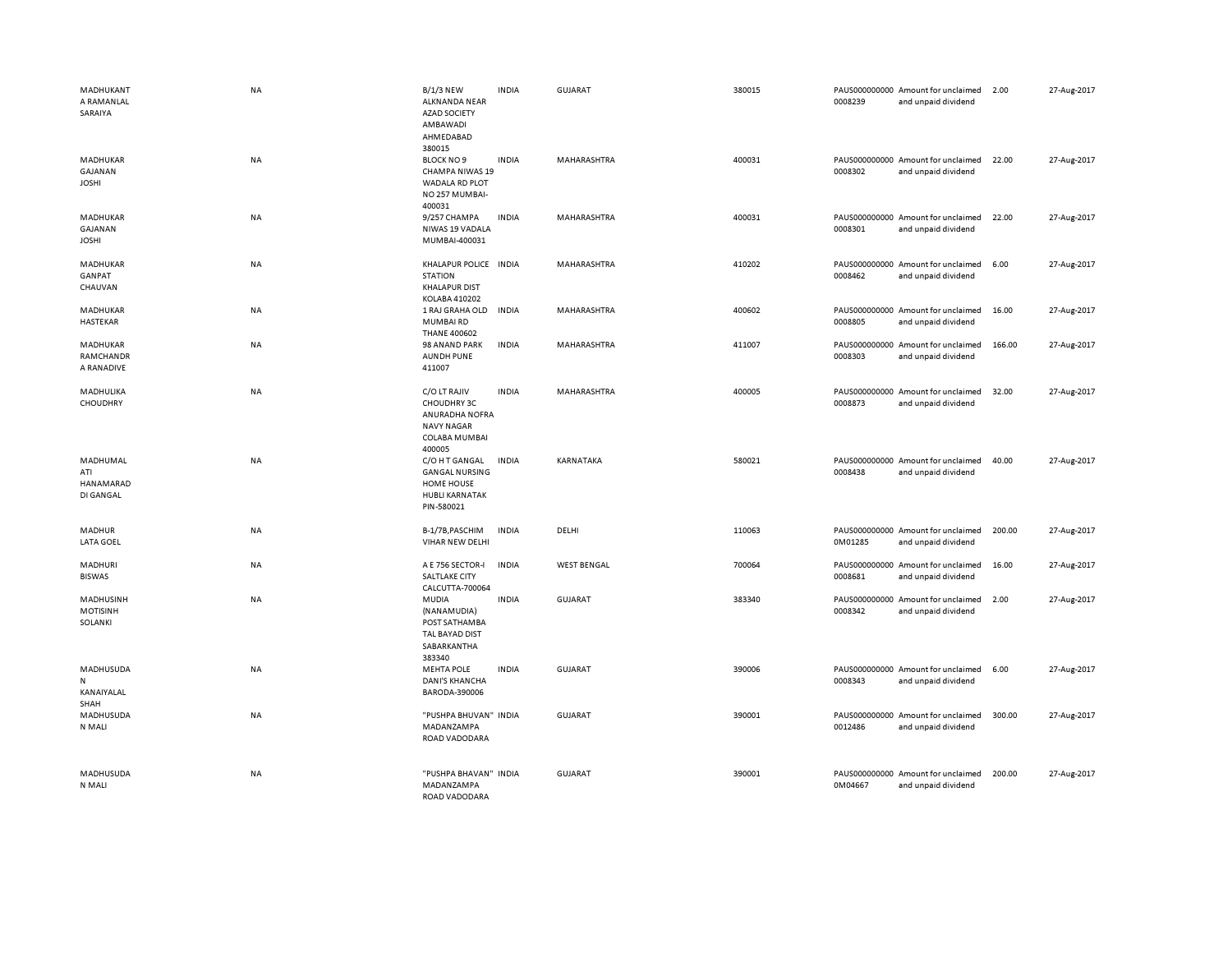| MADHUKANT<br>A RAMANLAL<br>SARAIYA        | <b>NA</b> | <b>B/1/3 NEW</b><br>ALKNANDA NEAR<br><b>AZAD SOCIETY</b><br>AMBAWADI<br>AHMEDABAD<br>380015         | <b>INDIA</b> | <b>GUJARAT</b>     | 380015 | 0008239                  | PAUS000000000 Amount for unclaimed<br>and unpaid dividend | 2.00   | 27-Aug-2017 |
|-------------------------------------------|-----------|-----------------------------------------------------------------------------------------------------|--------------|--------------------|--------|--------------------------|-----------------------------------------------------------|--------|-------------|
| MADHUKAR<br>GAJANAN<br><b>JOSHI</b>       | NA        | <b>BLOCK NO 9</b><br>CHAMPA NIWAS 19<br>WADALA RD PLOT<br>NO 257 MUMBAI-<br>400031                  | <b>INDIA</b> | MAHARASHTRA        | 400031 | 0008302                  | PAUS000000000 Amount for unclaimed<br>and unpaid dividend | 22.00  | 27-Aug-2017 |
| MADHUKAR<br>GAJANAN<br><b>JOSHI</b>       | NA        | 9/257 CHAMPA<br>NIWAS 19 VADALA<br>MUMBAI-400031                                                    | <b>INDIA</b> | MAHARASHTRA        | 400031 | 0008301                  | PAUS000000000 Amount for unclaimed<br>and unpaid dividend | 22.00  | 27-Aug-2017 |
| MADHUKAR<br>GANPAT<br>CHAUVAN             | NA        | KHALAPUR POLICE INDIA<br><b>STATION</b><br><b>KHALAPUR DIST</b><br>KOLABA 410202                    |              | MAHARASHTRA        | 410202 | 0008462                  | PAUS000000000 Amount for unclaimed<br>and unpaid dividend | 6.00   | 27-Aug-2017 |
| MADHUKAR<br>HASTEKAR                      | NA        | 1 RAJ GRAHA OLD<br>MUMBAIRD<br><b>THANE 400602</b>                                                  | <b>INDIA</b> | MAHARASHTRA        | 400602 | 0008805                  | PAUS000000000 Amount for unclaimed<br>and unpaid dividend | 16.00  | 27-Aug-2017 |
| MADHUKAR<br>RAMCHANDR<br>A RANADIVE       | NA        | 98 ANAND PARK<br><b>AUNDH PUNE</b><br>411007                                                        | <b>INDIA</b> | MAHARASHTRA        | 411007 | 0008303                  | PAUS000000000 Amount for unclaimed<br>and unpaid dividend | 166.00 | 27-Aug-2017 |
| MADHULIKA<br>CHOUDHRY                     | <b>NA</b> | C/O LT RAJIV<br>CHOUDHRY 3C<br>ANURADHA NOFRA<br><b>NAVY NAGAR</b><br>COLABA MUMBAI<br>400005       | <b>INDIA</b> | MAHARASHTRA        | 400005 | 0008873                  | PAUS000000000 Amount for unclaimed<br>and unpaid dividend | 32.00  | 27-Aug-2017 |
| MADHUMAL<br>ATI<br>HANAMARAD<br>DI GANGAL | <b>NA</b> | C/O H T GANGAL<br><b>GANGAL NURSING</b><br><b>HOME HOUSE</b><br><b>HUBLI KARNATAK</b><br>PIN-580021 | <b>INDIA</b> | KARNATAKA          | 580021 | 0008438                  | PAUS000000000 Amount for unclaimed<br>and unpaid dividend | 40.00  | 27-Aug-2017 |
| <b>MADHUR</b><br><b>LATA GOEL</b>         | NA        | B-1/7B, PASCHIM<br>VIHAR NEW DELHI                                                                  | <b>INDIA</b> | DELHI              | 110063 | 0M01285                  | PAUS000000000 Amount for unclaimed<br>and unpaid dividend | 200.00 | 27-Aug-2017 |
| MADHURI<br><b>BISWAS</b>                  | <b>NA</b> | A E 756 SECTOR-I<br>SALTLAKE CITY<br>CALCUTTA-700064                                                | <b>INDIA</b> | <b>WEST BENGAL</b> | 700064 | 0008681                  | PAUS000000000 Amount for unclaimed<br>and unpaid dividend | 16.00  | 27-Aug-2017 |
| MADHUSINH<br><b>MOTISINH</b><br>SOLANKI   | NA        | MUDIA<br>(NANAMUDIA)<br>POST SATHAMBA<br>TAL BAYAD DIST<br>SABARKANTHA<br>383340                    | <b>INDIA</b> | <b>GUJARAT</b>     | 383340 | PAUS000000000<br>0008342 | Amount for unclaimed<br>and unpaid dividend               | 2.00   | 27-Aug-2017 |
| MADHUSUDA<br>N<br>KANAIYALAL<br>SHAH      | NA        | <b>MEHTA POLE</b><br><b>DANI'S KHANCHA</b><br>BARODA-390006                                         | <b>INDIA</b> | <b>GUJARAT</b>     | 390006 | 0008343                  | PAUS000000000 Amount for unclaimed<br>and unpaid dividend | 6.00   | 27-Aug-2017 |
| MADHUSUDA<br>N MALI                       | <b>NA</b> | "PUSHPA BHUVAN" INDIA<br>MADANZAMPA<br>ROAD VADODARA                                                |              | <b>GUJARAT</b>     | 390001 | 0012486                  | PAUS000000000 Amount for unclaimed<br>and unpaid dividend | 300.00 | 27-Aug-2017 |
| MADHUSUDA<br>N MALI                       | <b>NA</b> | "PUSHPA BHAVAN" INDIA<br>MADANZAMPA<br>ROAD VADODARA                                                |              | <b>GUJARAT</b>     | 390001 | 0M04667                  | PAUS000000000 Amount for unclaimed<br>and unpaid dividend | 200.00 | 27-Aug-2017 |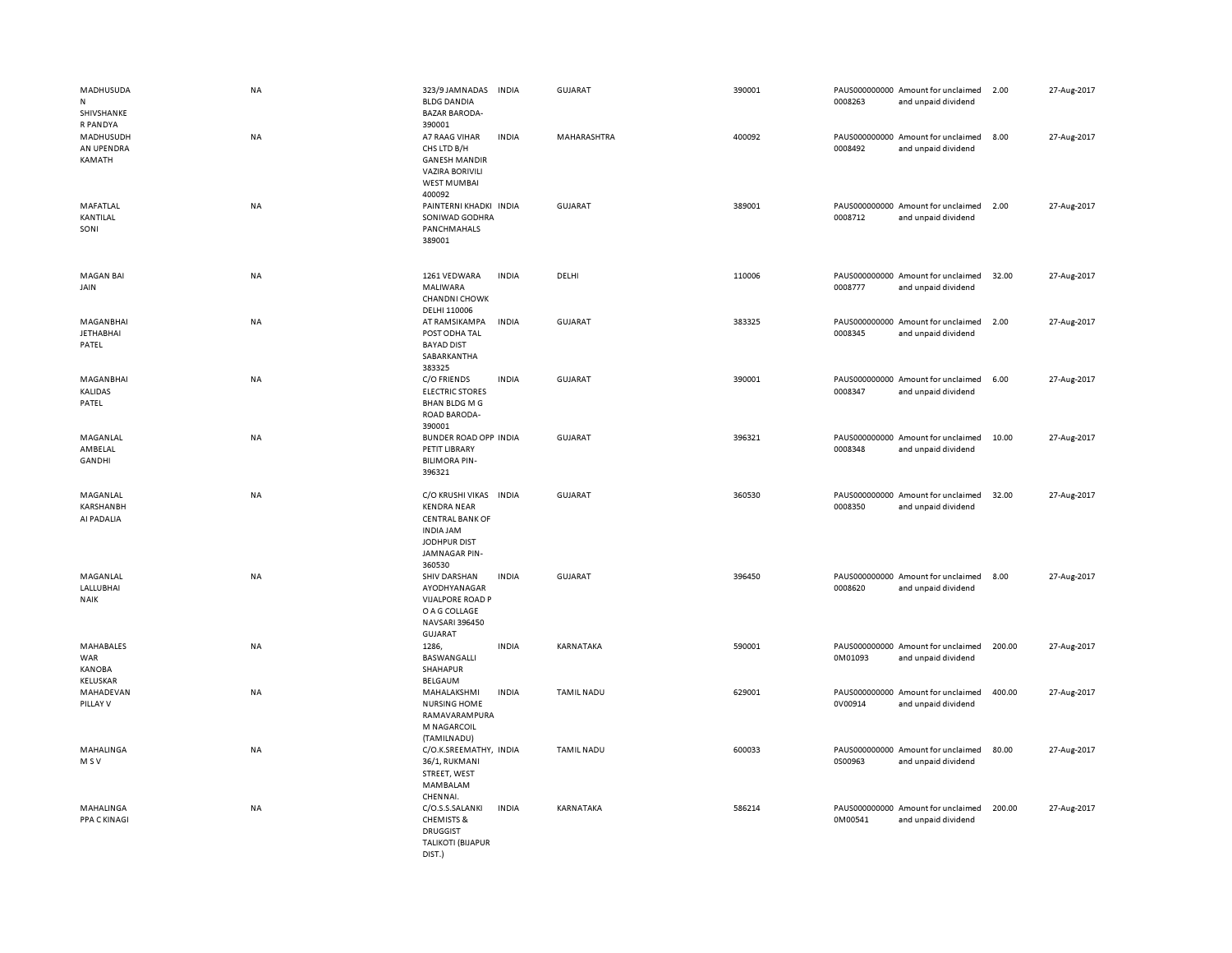| MADHUSUDA<br>N<br>SHIVSHANKE<br>R PANDYA             | NA        | 323/9 JAMNADAS<br><b>BLDG DANDIA</b><br><b>BAZAR BARODA-</b><br>390001                                                                | <b>INDIA</b> | <b>GUJARAT</b>    | 390001 | 0008263 | PAUS000000000 Amount for unclaimed<br>and unpaid dividend | 2.00   | 27-Aug-2017 |
|------------------------------------------------------|-----------|---------------------------------------------------------------------------------------------------------------------------------------|--------------|-------------------|--------|---------|-----------------------------------------------------------|--------|-------------|
| MADHUSUDH<br>AN UPENDRA<br>KAMATH                    | NA        | A7 RAAG VIHAR<br>CHS LTD B/H<br><b>GANESH MANDIR</b><br><b>VAZIRA BORIVILI</b><br><b>WEST MUMBAI</b><br>400092                        | <b>INDIA</b> | MAHARASHTRA       | 400092 | 0008492 | PAUS000000000 Amount for unclaimed<br>and unpaid dividend | 8.00   | 27-Aug-2017 |
| MAFATLAL<br>KANTILAL<br>SONI                         | NA        | PAINTERNI KHADKI INDIA<br>SONIWAD GODHRA<br>PANCHMAHALS<br>389001                                                                     |              | <b>GUJARAT</b>    | 389001 | 0008712 | PAUS000000000 Amount for unclaimed<br>and unpaid dividend | 2.00   | 27-Aug-2017 |
| <b>MAGAN BAI</b><br>JAIN                             | NA        | 1261 VEDWARA<br>MALIWARA<br><b>CHANDNI CHOWK</b><br>DELHI 110006                                                                      | <b>INDIA</b> | DELHI             | 110006 | 0008777 | PAUS000000000 Amount for unclaimed<br>and unpaid dividend | 32.00  | 27-Aug-2017 |
| MAGANBHAI<br><b>JETHABHAI</b><br>PATEL               | NA        | AT RAMSIKAMPA<br>POST ODHA TAL<br><b>BAYAD DIST</b><br>SABARKANTHA<br>383325                                                          | <b>INDIA</b> | GUJARAT           | 383325 | 0008345 | PAUS000000000 Amount for unclaimed<br>and unpaid dividend | 2.00   | 27-Aug-2017 |
| MAGANBHAI<br>KALIDAS<br>PATEL                        | <b>NA</b> | C/O FRIENDS<br><b>ELECTRIC STORES</b><br><b>BHAN BLDG M G</b><br>ROAD BARODA-<br>390001                                               | <b>INDIA</b> | <b>GUJARAT</b>    | 390001 | 0008347 | PAUS000000000 Amount for unclaimed<br>and unpaid dividend | 6.00   | 27-Aug-2017 |
| MAGANLAL<br>AMBELAL<br>GANDHI                        | <b>NA</b> | <b>BUNDER ROAD OPP INDIA</b><br>PETIT LIBRARY<br><b>BILIMORA PIN-</b><br>396321                                                       |              | <b>GUJARAT</b>    | 396321 | 0008348 | PAUS000000000 Amount for unclaimed<br>and unpaid dividend | 10.00  | 27-Aug-2017 |
| MAGANLAL<br><b>KARSHANBH</b><br>AI PADALIA           | NA        | C/O KRUSHI VIKAS INDIA<br><b>KENDRA NEAR</b><br><b>CENTRAL BANK OF</b><br><b>INDIA JAM</b><br>JODHPUR DIST<br>JAMNAGAR PIN-<br>360530 |              | <b>GUJARAT</b>    | 360530 | 0008350 | PAUS000000000 Amount for unclaimed<br>and unpaid dividend | 32.00  | 27-Aug-2017 |
| MAGANLAL<br>LALLUBHAI<br><b>NAIK</b>                 | NA        | SHIV DARSHAN<br>AYODHYANAGAR<br><b>VIJALPORE ROAD P</b><br>O A G COLLAGE<br>NAVSARI 396450<br><b>GUJARAT</b>                          | <b>INDIA</b> | GUJARAT           | 396450 | 0008620 | PAUS000000000 Amount for unclaimed<br>and unpaid dividend | 8.00   | 27-Aug-2017 |
| <b>MAHABALES</b><br>WAR<br><b>KANOBA</b><br>KELUSKAR | <b>NA</b> | 1286.<br>BASWANGALLI<br>SHAHAPUR<br>BELGAUM                                                                                           | <b>INDIA</b> | KARNATAKA         | 590001 | 0M01093 | PAUS000000000 Amount for unclaimed<br>and unpaid dividend | 200.00 | 27-Aug-2017 |
| MAHADEVAN<br>PILLAY V                                | <b>NA</b> | MAHALAKSHMI<br><b>NURSING HOME</b><br>RAMAVARAMPURA<br>M NAGARCOIL<br>(TAMILNADU)                                                     | <b>INDIA</b> | <b>TAMIL NADU</b> | 629001 | 0V00914 | PAUS000000000 Amount for unclaimed<br>and unpaid dividend | 400.00 | 27-Aug-2017 |
| MAHALINGA<br>M S V                                   | NA        | C/O.K.SREEMATHY, INDIA<br>36/1, RUKMANI<br>STREET, WEST<br>MAMBALAM<br>CHENNAI.                                                       |              | <b>TAMIL NADU</b> | 600033 | 0S00963 | PAUS000000000 Amount for unclaimed<br>and unpaid dividend | 80.00  | 27-Aug-2017 |
| MAHALINGA<br>PPA C KINAGI                            | NA        | C/O.S.S.SALANKI<br><b>CHEMISTS &amp;</b><br><b>DRUGGIST</b><br><b>TALIKOTI (BIJAPUR</b><br>DIST.)                                     | <b>INDIA</b> | KARNATAKA         | 586214 | 0M00541 | PAUS000000000 Amount for unclaimed<br>and unpaid dividend | 200.00 | 27-Aug-2017 |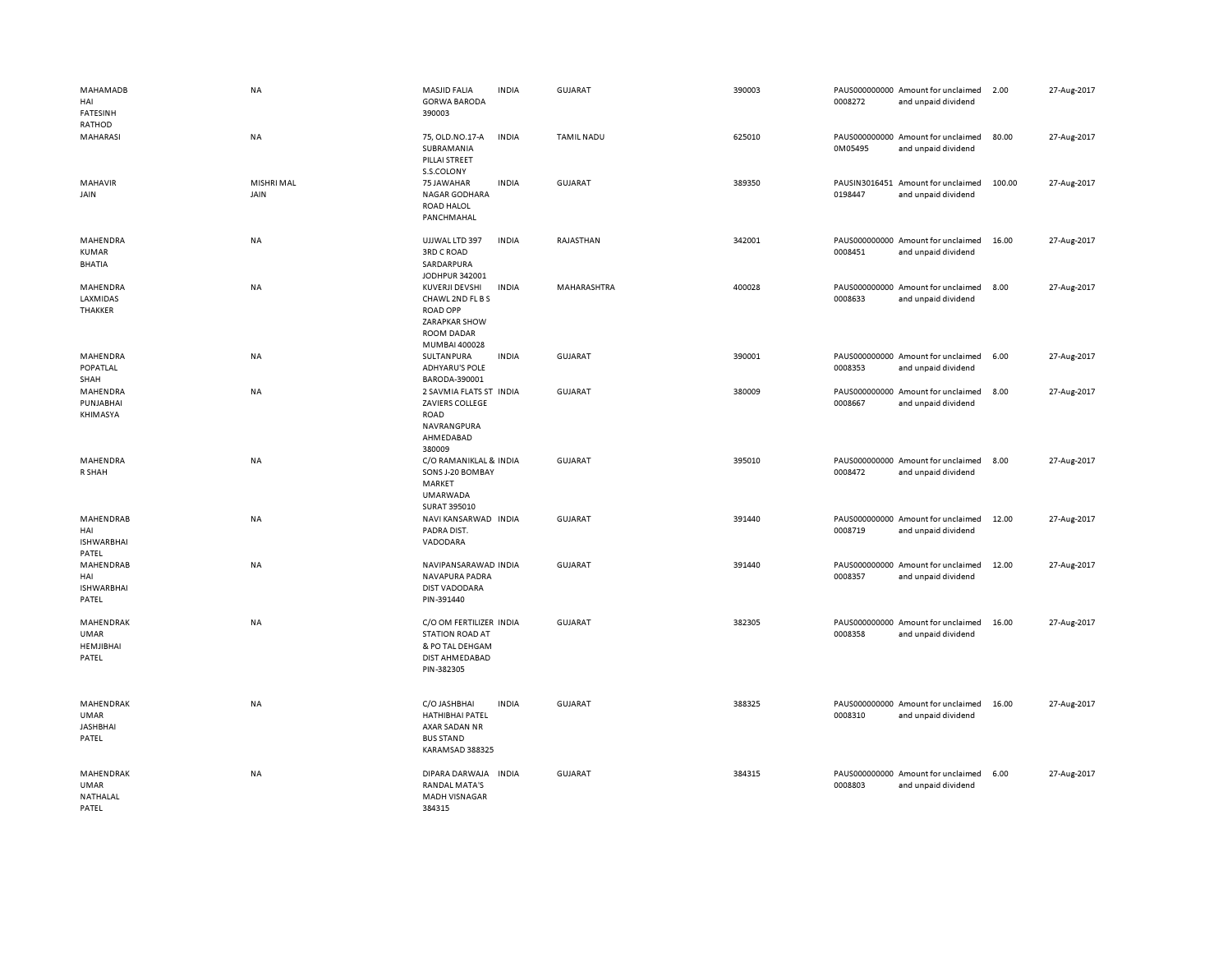| MAHAMADB<br>HAI<br><b>FATESINH</b>                   | NA                        | MASJID FALIA<br><b>GORWA BARODA</b><br>390003                                                                | <b>INDIA</b> | GUJARAT           | 390003 | 0008272                  | PAUS000000000 Amount for unclaimed<br>and unpaid dividend | 2.00   | 27-Aug-2017 |
|------------------------------------------------------|---------------------------|--------------------------------------------------------------------------------------------------------------|--------------|-------------------|--------|--------------------------|-----------------------------------------------------------|--------|-------------|
| RATHOD<br>MAHARASI                                   | <b>NA</b>                 | 75, OLD.NO.17-A<br>SUBRAMANIA<br>PILLAI STREET<br>S.S.COLONY                                                 | <b>INDIA</b> | <b>TAMIL NADU</b> | 625010 | 0M05495                  | PAUS000000000 Amount for unclaimed<br>and unpaid dividend | 80.00  | 27-Aug-2017 |
| MAHAVIR<br>JAIN                                      | <b>MISHRI MAL</b><br>JAIN | 75 JAWAHAR<br>NAGAR GODHARA<br><b>ROAD HALOL</b><br>PANCHMAHAL                                               | <b>INDIA</b> | GUJARAT           | 389350 | 0198447                  | PAUSIN3016451 Amount for unclaimed<br>and unpaid dividend | 100.00 | 27-Aug-2017 |
| MAHENDRA<br><b>KUMAR</b><br><b>BHATIA</b>            | <b>NA</b>                 | UJJWAL LTD 397<br><b>3RD C ROAD</b><br>SARDARPURA<br>JODHPUR 342001                                          | <b>INDIA</b> | RAJASTHAN         | 342001 | 0008451                  | PAUS000000000 Amount for unclaimed<br>and unpaid dividend | 16.00  | 27-Aug-2017 |
| MAHENDRA<br>LAXMIDAS<br>THAKKER                      | NA                        | KUVERJI DEVSHI<br>CHAWL 2ND FL B S<br><b>ROAD OPP</b><br>ZARAPKAR SHOW<br><b>ROOM DADAR</b><br>MUMBAI 400028 | <b>INDIA</b> | MAHARASHTRA       | 400028 | 0008633                  | PAUS000000000 Amount for unclaimed<br>and unpaid dividend | 8.00   | 27-Aug-2017 |
| MAHENDRA<br>POPATLAL<br>SHAH                         | NA                        | SULTANPURA<br><b>ADHYARU'S POLE</b><br>BARODA-390001                                                         | <b>INDIA</b> | <b>GUJARAT</b>    | 390001 | 0008353                  | PAUS000000000 Amount for unclaimed<br>and unpaid dividend | 6.00   | 27-Aug-2017 |
| MAHENDRA<br>PUNJABHAI<br>KHIMASYA                    | NA                        | 2 SAVMIA FLATS ST<br>ZAVIERS COLLEGE<br>ROAD<br>NAVRANGPURA<br>AHMEDABAD<br>380009                           | <b>INDIA</b> | <b>GUJARAT</b>    | 380009 | PAUS000000000<br>0008667 | Amount for unclaimed<br>and unpaid dividend               | 8.00   | 27-Aug-2017 |
| MAHENDRA<br>R SHAH                                   | NA                        | C/O RAMANIKLAL & INDIA<br>SONS J-20 BOMBAY<br>MARKET<br><b>UMARWADA</b><br>SURAT 395010                      |              | <b>GUJARAT</b>    | 395010 | 0008472                  | PAUS000000000 Amount for unclaimed<br>and unpaid dividend | 8.00   | 27-Aug-2017 |
| MAHENDRAB<br>HAI<br><b>ISHWARBHAI</b><br>PATEL       | NA                        | NAVI KANSARWAD INDIA<br>PADRA DIST.<br>VADODARA                                                              |              | <b>GUJARAT</b>    | 391440 | 0008719                  | PAUS000000000 Amount for unclaimed<br>and unpaid dividend | 12.00  | 27-Aug-2017 |
| MAHENDRAB<br>HAI<br><b>ISHWARBHAI</b><br>PATEL       | NA                        | NAVIPANSARAWAD INDIA<br>NAVAPURA PADRA<br><b>DIST VADODARA</b><br>PIN-391440                                 |              | <b>GUJARAT</b>    | 391440 | 0008357                  | PAUS000000000 Amount for unclaimed<br>and unpaid dividend | 12.00  | 27-Aug-2017 |
| MAHENDRAK<br><b>UMAR</b><br>HEMJIBHAI<br>PATEL       | NA                        | C/O OM FERTILIZER INDIA<br><b>STATION ROAD AT</b><br>& PO TAL DEHGAM<br>DIST AHMEDABAD<br>PIN-382305         |              | <b>GUJARAT</b>    | 382305 | 0008358                  | PAUS000000000 Amount for unclaimed<br>and unpaid dividend | 16.00  | 27-Aug-2017 |
| <b>MAHENDRAK</b><br>UMAR<br><b>JASHBHAI</b><br>PATEL | <b>NA</b>                 | C/O JASHBHAI<br><b>HATHIBHAI PATEL</b><br>AXAR SADAN NR<br><b>BUS STAND</b><br>KARAMSAD 388325               | <b>INDIA</b> | <b>GUJARAT</b>    | 388325 | 0008310                  | PAUS000000000 Amount for unclaimed<br>and unpaid dividend | 16.00  | 27-Aug-2017 |
| MAHENDRAK<br><b>UMAR</b><br>NATHALAL<br>PATFI        | NA                        | DIPARA DARWAJA<br><b>RANDAL MATA'S</b><br><b>MADH VISNAGAR</b><br>384315                                     | <b>INDIA</b> | <b>GUJARAT</b>    | 384315 | 0008803                  | PAUS000000000 Amount for unclaimed<br>and unpaid dividend | 6.00   | 27-Aug-2017 |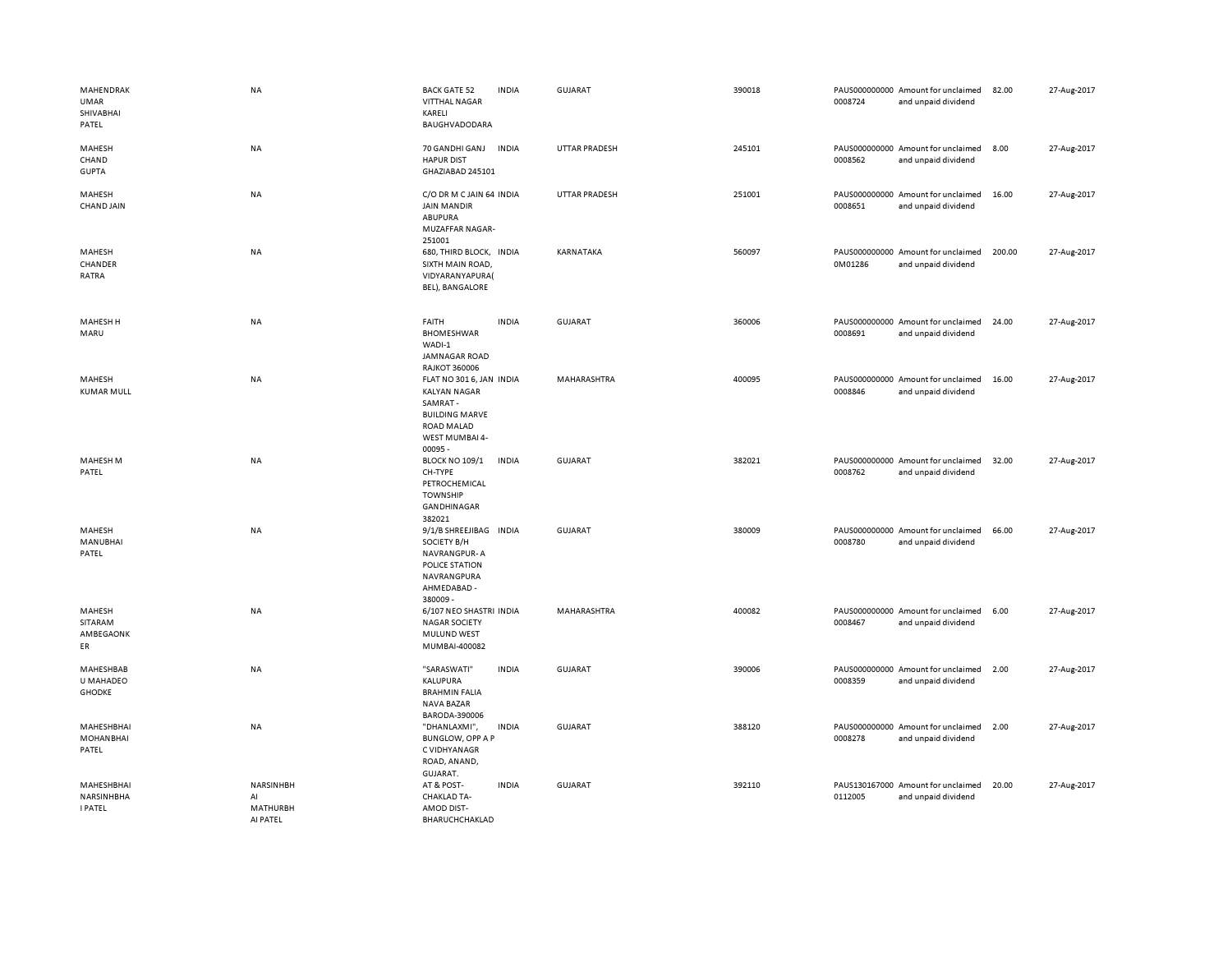| MAHENDRAK<br>UMAR<br>SHIVABHAI<br>PATEL    | <b>NA</b>                                      | <b>BACK GATE 52</b><br><b>VITTHAL NAGAR</b><br>KARELI<br>BAUGHVADODARA                                                           | <b>INDIA</b> | <b>GUJARAT</b>       | 390018 | 0008724 | PAUS000000000 Amount for unclaimed<br>and unpaid dividend | 82.00  | 27-Aug-2017 |
|--------------------------------------------|------------------------------------------------|----------------------------------------------------------------------------------------------------------------------------------|--------------|----------------------|--------|---------|-----------------------------------------------------------|--------|-------------|
| MAHESH<br>CHAND<br><b>GUPTA</b>            | NA                                             | 70 GANDHI GANJ<br><b>HAPUR DIST</b><br>GHAZIABAD 245101                                                                          | <b>INDIA</b> | <b>UTTAR PRADESH</b> | 245101 | 0008562 | PAUS000000000 Amount for unclaimed<br>and unpaid dividend | 8.00   | 27-Aug-2017 |
| MAHESH<br>CHAND JAIN                       | NA                                             | C/O DR M C JAIN 64 INDIA<br><b>JAIN MANDIR</b><br>ABUPURA<br><b>MUZAFFAR NAGAR-</b><br>251001                                    |              | UTTAR PRADESH        | 251001 | 0008651 | PAUS000000000 Amount for unclaimed<br>and unpaid dividend | 16.00  | 27-Aug-2017 |
| MAHESH<br>CHANDER<br>RATRA                 | <b>NA</b>                                      | 680, THIRD BLOCK, INDIA<br>SIXTH MAIN ROAD,<br>VIDYARANYAPURA(<br>BEL), BANGALORE                                                |              | KARNATAKA            | 560097 | 0M01286 | PAUS000000000 Amount for unclaimed<br>and unpaid dividend | 200.00 | 27-Aug-2017 |
| MAHESH H<br>MARU                           | NA                                             | FAITH<br><b>BHOMESHWAR</b><br>WADI-1<br>JAMNAGAR ROAD<br><b>RAJKOT 360006</b>                                                    | <b>INDIA</b> | <b>GUJARAT</b>       | 360006 | 0008691 | PAUS000000000 Amount for unclaimed<br>and unpaid dividend | 24.00  | 27-Aug-2017 |
| MAHESH<br><b>KUMAR MULL</b>                | NA                                             | FLAT NO 301 6, JAN INDIA<br><b>KALYAN NAGAR</b><br>SAMRAT-<br><b>BUILDING MARVE</b><br>ROAD MALAD<br>WEST MUMBAI 4-<br>$00095 -$ |              | MAHARASHTRA          | 400095 | 0008846 | PAUS000000000 Amount for unclaimed<br>and unpaid dividend | 16.00  | 27-Aug-2017 |
| <b>MAHESH M</b><br>PATEL                   | NA                                             | <b>BLOCK NO 109/1</b><br>CH-TYPE<br>PETROCHEMICAL<br><b>TOWNSHIP</b><br>GANDHINAGAR<br>382021                                    | <b>INDIA</b> | <b>GUJARAT</b>       | 382021 | 0008762 | PAUS000000000 Amount for unclaimed<br>and unpaid dividend | 32.00  | 27-Aug-2017 |
| MAHESH<br>MANUBHAI<br>PATEL                | <b>NA</b>                                      | 9/1/B SHREEJIBAG INDIA<br>SOCIETY B/H<br>NAVRANGPUR-A<br>POLICE STATION<br>NAVRANGPURA<br>AHMEDABAD -<br>380009 -                |              | GUJARAT              | 380009 | 0008780 | PAUS000000000 Amount for unclaimed<br>and unpaid dividend | 66.00  | 27-Aug-2017 |
| MAHESH<br>SITARAM<br>AMBEGAONK<br>ER       | NA                                             | 6/107 NEO SHASTRI INDIA<br><b>NAGAR SOCIETY</b><br>MULUND WEST<br>MUMBAI-400082                                                  |              | MAHARASHTRA          | 400082 | 0008467 | PAUS000000000 Amount for unclaimed<br>and unpaid dividend | 6.00   | 27-Aug-2017 |
| MAHESHBAB<br>U MAHADEO<br><b>GHODKE</b>    | NA                                             | "SARASWATI"<br>KALUPURA<br><b>BRAHMIN FALIA</b><br>NAVA BAZAR<br>BARODA-390006                                                   | <b>INDIA</b> | <b>GUJARAT</b>       | 390006 | 0008359 | PAUS000000000 Amount for unclaimed<br>and unpaid dividend | 2.00   | 27-Aug-2017 |
| MAHESHBHAI<br><b>MOHANBHAI</b><br>PATEL    | NA                                             | "DHANLAXMI",<br><b>BUNGLOW, OPP A P</b><br>C VIDHYANAGR<br>ROAD, ANAND,<br>GUJARAT.                                              | <b>INDIA</b> | GUJARAT              | 388120 | 0008278 | PAUS000000000 Amount for unclaimed<br>and unpaid dividend | 2.00   | 27-Aug-2017 |
| MAHESHBHAI<br>NARSINHBHA<br><b>I PATEL</b> | NARSINHBH<br>AI<br><b>MATHURBH</b><br>AI PATEL | AT & POST-<br><b>CHAKLAD TA-</b><br>AMOD DIST-<br>BHARUCHCHAKLAD                                                                 | <b>INDIA</b> | GUJARAT              | 392110 | 0112005 | PAUS130167000 Amount for unclaimed<br>and unpaid dividend | 20.00  | 27-Aug-2017 |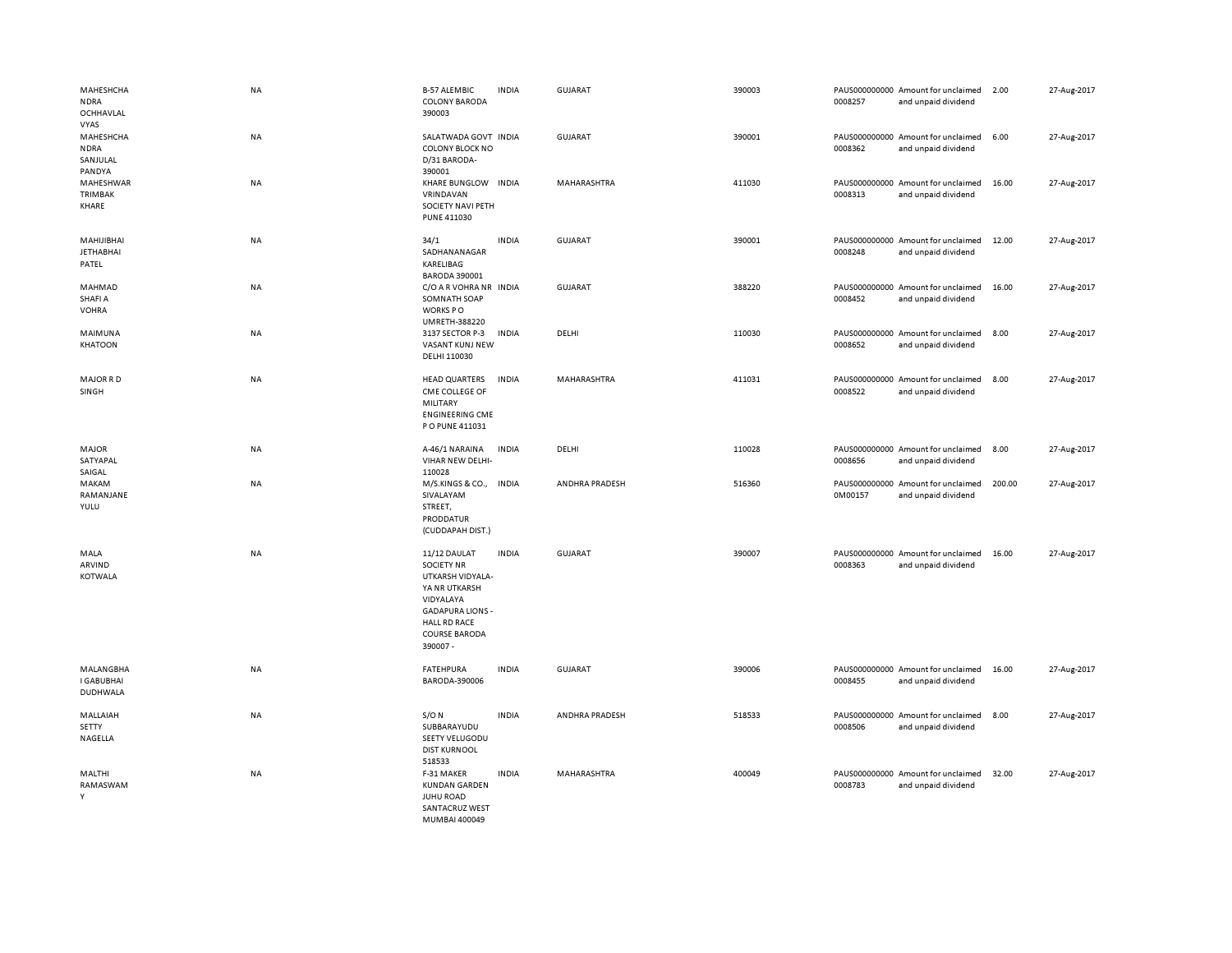| MAHESHCHA<br><b>NDRA</b><br>OCHHAVLAL                         | NA        | <b>B-57 ALEMBIC</b><br><b>COLONY BARODA</b><br>390003                                                                                                                     | <b>INDIA</b> | <b>GUJARAT</b> | 390003 | 0008257 | PAUS000000000 Amount for unclaimed<br>and unpaid dividend | 2.00   | 27-Aug-2017 |
|---------------------------------------------------------------|-----------|---------------------------------------------------------------------------------------------------------------------------------------------------------------------------|--------------|----------------|--------|---------|-----------------------------------------------------------|--------|-------------|
| <b>VYAS</b><br>MAHESHCHA<br><b>NDRA</b><br>SANJULAL<br>PANDYA | NA        | SALATWADA GOVT INDIA<br><b>COLONY BLOCK NO</b><br>D/31 BARODA-<br>390001                                                                                                  |              | <b>GUJARAT</b> | 390001 | 0008362 | PAUS000000000 Amount for unclaimed<br>and unpaid dividend | 6.00   | 27-Aug-2017 |
| MAHESHWAR<br><b>TRIMBAK</b><br>KHARE                          | NA        | KHARE BUNGLOW INDIA<br>VRINDAVAN<br>SOCIETY NAVI PETH<br><b>PUNE 411030</b>                                                                                               |              | MAHARASHTRA    | 411030 | 0008313 | PAUS000000000 Amount for unclaimed<br>and unpaid dividend | 16.00  | 27-Aug-2017 |
| MAHIJIBHAI<br><b>JETHABHAI</b><br>PATEL                       | NA        | 34/1<br>SADHANANAGAR<br>KARELIBAG<br><b>BARODA 390001</b>                                                                                                                 | <b>INDIA</b> | <b>GUJARAT</b> | 390001 | 0008248 | PAUS000000000 Amount for unclaimed<br>and unpaid dividend | 12.00  | 27-Aug-2017 |
| MAHMAD<br>SHAFI A<br><b>VOHRA</b>                             | NA        | C/O A R VOHRA NR INDIA<br>SOMNATH SOAP<br>WORKS PO<br><b>UMRETH-388220</b>                                                                                                |              | <b>GUJARAT</b> | 388220 | 0008452 | PAUS000000000 Amount for unclaimed<br>and unpaid dividend | 16.00  | 27-Aug-2017 |
| MAIMUNA<br><b>KHATOON</b>                                     | <b>NA</b> | 3137 SECTOR P-3<br>VASANT KUNJ NEW<br>DELHI 110030                                                                                                                        | <b>INDIA</b> | DELHI          | 110030 | 0008652 | PAUS000000000 Amount for unclaimed<br>and unpaid dividend | 8.00   | 27-Aug-2017 |
| <b>MAJOR RD</b><br>SINGH                                      | NA        | <b>HEAD QUARTERS</b><br>CME COLLEGE OF<br>MILITARY<br><b>ENGINEERING CME</b><br>P O PUNE 411031                                                                           | <b>INDIA</b> | MAHARASHTRA    | 411031 | 0008522 | PAUS000000000 Amount for unclaimed<br>and unpaid dividend | 8.00   | 27-Aug-2017 |
| <b>MAJOR</b><br>SATYAPAL<br>SAIGAL                            | NA        | A-46/1 NARAINA<br>VIHAR NEW DELHI-<br>110028                                                                                                                              | <b>INDIA</b> | DELHI          | 110028 | 0008656 | PAUS000000000 Amount for unclaimed<br>and unpaid dividend | 8.00   | 27-Aug-2017 |
| MAKAM<br>RAMANJANE<br>YULU                                    | NA        | M/S.KINGS & CO., INDIA<br>SIVALAYAM<br>STREET,<br>PRODDATUR<br>(CUDDAPAH DIST.)                                                                                           |              | ANDHRA PRADESH | 516360 | 0M00157 | PAUS000000000 Amount for unclaimed<br>and unpaid dividend | 200.00 | 27-Aug-2017 |
| MALA<br>ARVIND<br><b>KOTWALA</b>                              | NA        | 11/12 DAULAT<br><b>SOCIETY NR</b><br>UTKARSH VIDYALA-<br>YA NR UTKARSH<br>VIDYALAYA<br><b>GADAPURA LIONS -</b><br><b>HALL RD RACE</b><br><b>COURSE BARODA</b><br>390007 - | <b>INDIA</b> | <b>GUJARAT</b> | 390007 | 0008363 | PAUS000000000 Amount for unclaimed<br>and unpaid dividend | 16.00  | 27-Aug-2017 |
| MALANGBHA<br><b>I GABUBHAI</b><br><b>DUDHWALA</b>             | NA        | <b>FATEHPURA</b><br>BARODA-390006                                                                                                                                         | <b>INDIA</b> | GUJARAT        | 390006 | 0008455 | PAUS000000000 Amount for unclaimed<br>and unpaid dividend | 16.00  | 27-Aug-2017 |
| MALLAIAH<br><b>SETTY</b><br>NAGELLA                           | NA        | $S/O$ N<br>SUBBARAYUDU<br>SEETY VELUGODU<br><b>DIST KURNOOL</b><br>518533                                                                                                 | <b>INDIA</b> | ANDHRA PRADESH | 518533 | 0008506 | PAUS000000000 Amount for unclaimed<br>and unpaid dividend | 8.00   | 27-Aug-2017 |
| MALTHI<br>RAMASWAM<br>Y                                       | NA        | F-31 MAKER<br><b>KUNDAN GARDEN</b><br><b>JUHU ROAD</b><br>SANTACRUZ WEST<br>MUMBAI 400049                                                                                 | <b>INDIA</b> | MAHARASHTRA    | 400049 | 0008783 | PAUS000000000 Amount for unclaimed<br>and unpaid dividend | 32.00  | 27-Aug-2017 |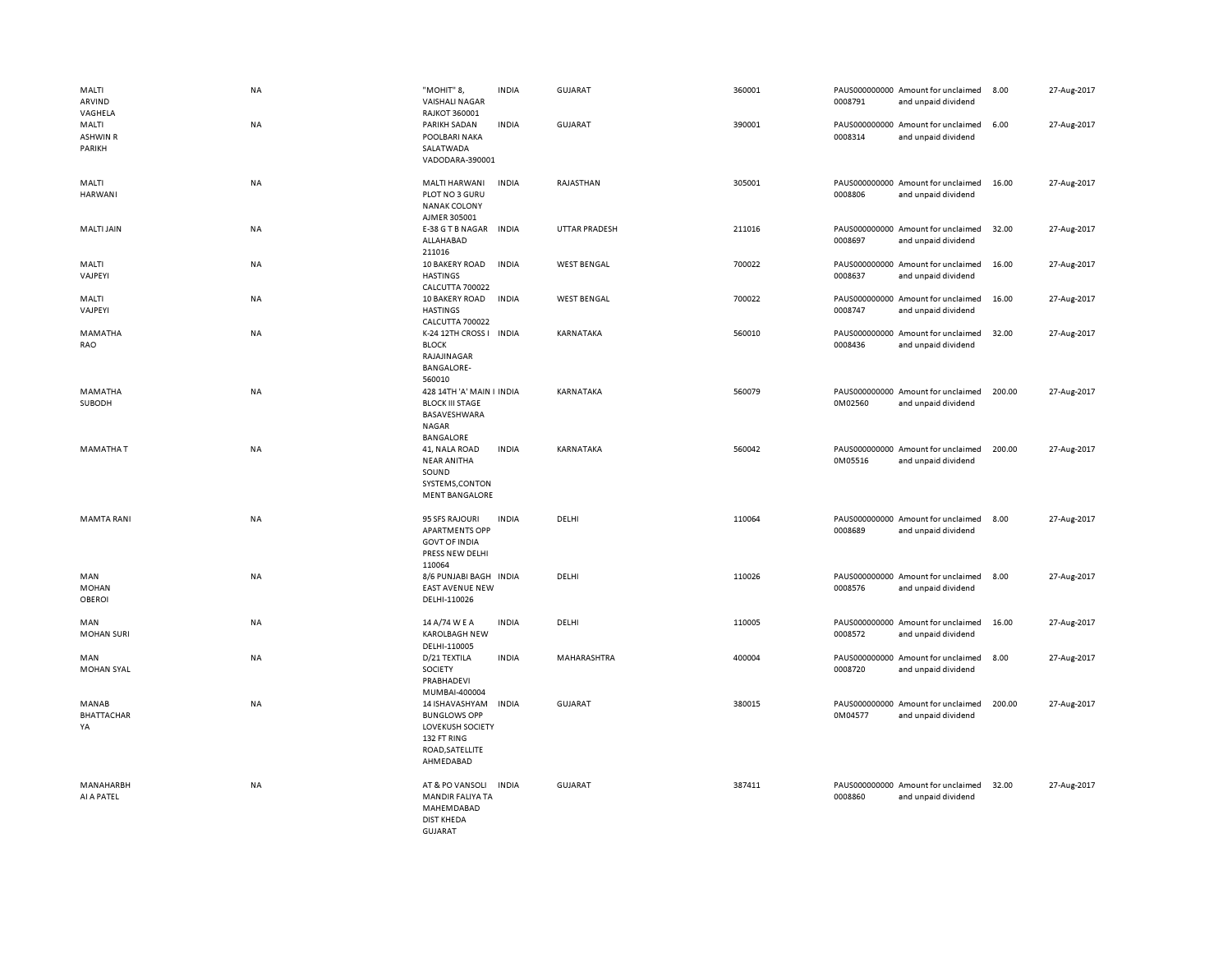| MALTI<br>ARVIND<br>VAGHELA           | <b>NA</b> | "MOHIT" 8,<br><b>VAISHALI NAGAR</b><br><b>RAJKOT 360001</b>                                              | <b>INDIA</b> | <b>GUJARAT</b>       | 360001 | 0008791 | PAUS000000000 Amount for unclaimed<br>and unpaid dividend | 8.00   | 27-Aug-2017 |
|--------------------------------------|-----------|----------------------------------------------------------------------------------------------------------|--------------|----------------------|--------|---------|-----------------------------------------------------------|--------|-------------|
| MALTI<br><b>ASHWIN R</b><br>PARIKH   | <b>NA</b> | PARIKH SADAN<br>POOLBARI NAKA<br>SALATWADA<br>VADODARA-390001                                            | <b>INDIA</b> | GUJARAT              | 390001 | 0008314 | PAUS000000000 Amount for unclaimed<br>and unpaid dividend | 6.00   | 27-Aug-2017 |
| MALTI<br><b>HARWANI</b>              | NA        | MALTI HARWANI<br>PLOT NO 3 GURU<br><b>NANAK COLONY</b><br>AJMER 305001                                   | <b>INDIA</b> | RAJASTHAN            | 305001 | 0008806 | PAUS000000000 Amount for unclaimed<br>and unpaid dividend | 16.00  | 27-Aug-2017 |
| MALTI JAIN                           | NA        | E-38 G T B NAGAR<br>ALLAHABAD<br>211016                                                                  | <b>INDIA</b> | <b>UTTAR PRADESH</b> | 211016 | 0008697 | PAUS000000000 Amount for unclaimed<br>and unpaid dividend | 32.00  | 27-Aug-2017 |
| MALTI<br>VAJPEYI                     | <b>NA</b> | 10 BAKERY ROAD<br><b>HASTINGS</b><br>CALCUTTA 700022                                                     | <b>INDIA</b> | <b>WEST BENGAL</b>   | 700022 | 0008637 | PAUS000000000 Amount for unclaimed<br>and unpaid dividend | 16.00  | 27-Aug-2017 |
| MALTI<br>VAJPEYI                     | <b>NA</b> | 10 BAKERY ROAD<br><b>HASTINGS</b><br>CALCUTTA 700022                                                     | <b>INDIA</b> | <b>WEST BENGAL</b>   | 700022 | 0008747 | PAUS000000000 Amount for unclaimed<br>and unpaid dividend | 16.00  | 27-Aug-2017 |
| MAMATHA<br>RAO                       | <b>NA</b> | K-24 12TH CROSS I INDIA<br><b>BLOCK</b><br>RAJAJINAGAR<br><b>BANGALORE-</b><br>560010                    |              | KARNATAKA            | 560010 | 0008436 | PAUS000000000 Amount for unclaimed<br>and unpaid dividend | 32.00  | 27-Aug-2017 |
| MAMATHA<br>SUBODH                    | <b>NA</b> | 428 14TH 'A' MAIN I INDIA<br><b>BLOCK III STAGE</b><br>BASAVESHWARA<br>NAGAR<br>BANGALORE                |              | KARNATAKA            | 560079 | 0M02560 | PAUS000000000 Amount for unclaimed<br>and unpaid dividend | 200.00 | 27-Aug-2017 |
| <b>MAMATHAT</b>                      | NA        | 41, NALA ROAD<br><b>NEAR ANITHA</b><br>SOUND<br>SYSTEMS, CONTON<br><b>MENT BANGALORE</b>                 | <b>INDIA</b> | KARNATAKA            | 560042 | 0M05516 | PAUS000000000 Amount for unclaimed<br>and unpaid dividend | 200.00 | 27-Aug-2017 |
| <b>MAMTA RANI</b>                    | <b>NA</b> | 95 SFS RAJOURI<br><b>APARTMENTS OPP</b><br><b>GOVT OF INDIA</b><br>PRESS NEW DELHI<br>110064             | <b>INDIA</b> | DELHI                | 110064 | 0008689 | PAUS000000000 Amount for unclaimed<br>and unpaid dividend | 8.00   | 27-Aug-2017 |
| MAN<br><b>MOHAN</b><br><b>OBEROI</b> | <b>NA</b> | 8/6 PUNJABI BAGH INDIA<br><b>EAST AVENUE NEW</b><br>DELHI-110026                                         |              | DELHI                | 110026 | 0008576 | PAUS000000000 Amount for unclaimed<br>and unpaid dividend | 8.00   | 27-Aug-2017 |
| MAN<br><b>MOHAN SURI</b>             | <b>NA</b> | 14 A/74 W E A<br><b>KAROLBAGH NEW</b><br>DELHI-110005                                                    | <b>INDIA</b> | DELHI                | 110005 | 0008572 | PAUS000000000 Amount for unclaimed<br>and unpaid dividend | 16.00  | 27-Aug-2017 |
| MAN<br><b>MOHAN SYAL</b>             | <b>NA</b> | D/21 TEXTILA<br>SOCIETY<br>PRABHADEVI<br>MUMBAI-400004                                                   | <b>INDIA</b> | MAHARASHTRA          | 400004 | 0008720 | PAUS000000000 Amount for unclaimed<br>and unpaid dividend | 8.00   | 27-Aug-2017 |
| MANAB<br><b>BHATTACHAR</b><br>YA     | <b>NA</b> | 14 ISHAVASHYAM<br><b>BUNGLOWS OPP</b><br>LOVEKUSH SOCIETY<br>132 FT RING<br>ROAD, SATELLITE<br>AHMEDABAD | <b>INDIA</b> | <b>GUJARAT</b>       | 380015 | 0M04577 | PAUS000000000 Amount for unclaimed<br>and unpaid dividend | 200.00 | 27-Aug-2017 |
| MANAHARBH<br>AI A PATEL              | <b>NA</b> | AT & PO VANSOLI<br><b>MANDIR FALIYA TA</b><br>MAHEMDABAD<br><b>DIST KHEDA</b><br>GUIARAT                 | <b>INDIA</b> | <b>GUJARAT</b>       | 387411 | 0008860 | PAUS000000000 Amount for unclaimed<br>and unpaid dividend | 32.00  | 27-Aug-2017 |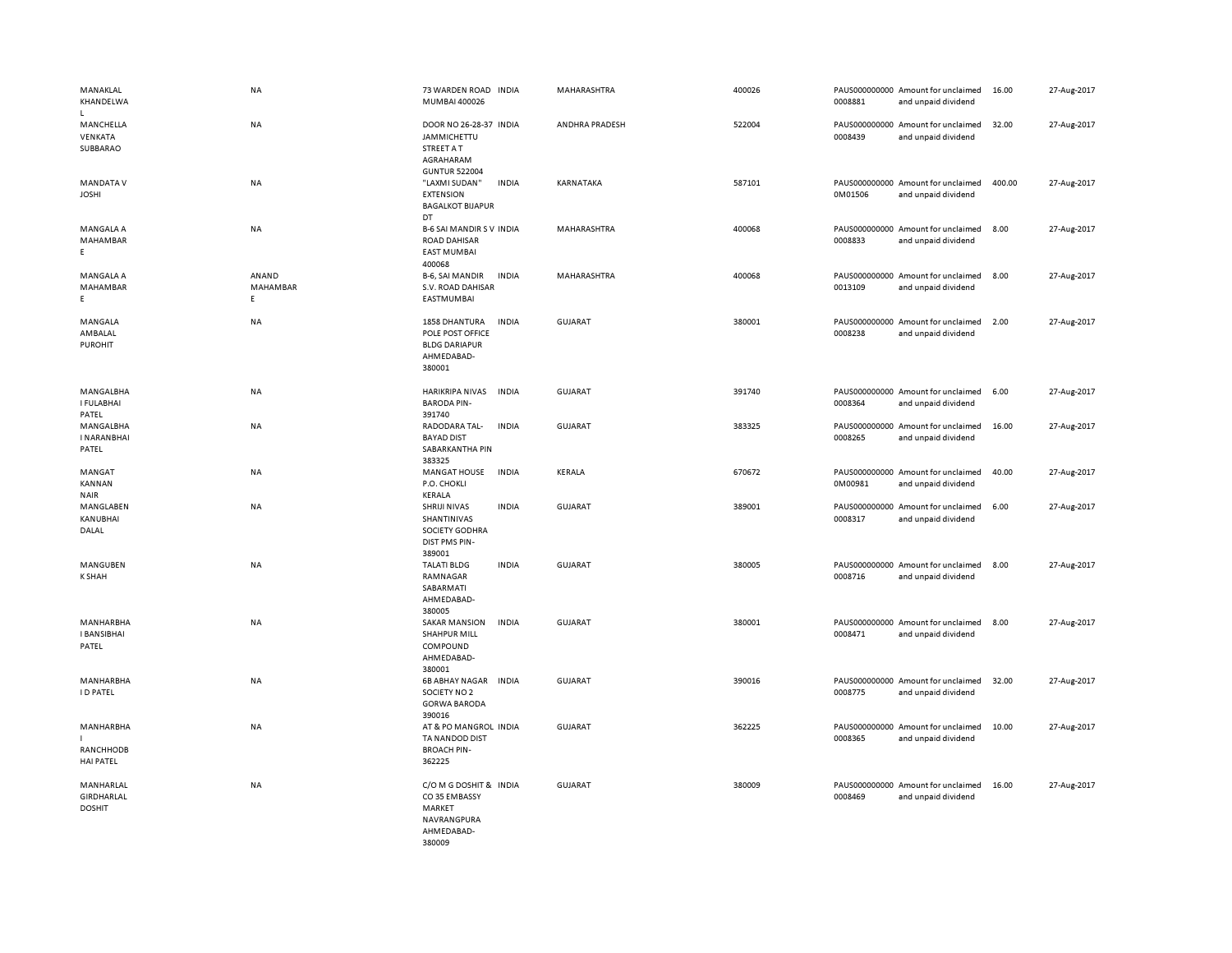| MANAKLAL<br>KHANDELWA<br>$\mathbf{L}$      | NA                      | 73 WARDEN ROAD INDIA<br>MUMBAI 400026                                                           |              | MAHARASHTRA    | 400026 | 0008881 | PAUS000000000 Amount for unclaimed<br>and unpaid dividend | 16.00  | 27-Aug-2017 |
|--------------------------------------------|-------------------------|-------------------------------------------------------------------------------------------------|--------------|----------------|--------|---------|-----------------------------------------------------------|--------|-------------|
| MANCHELLA<br>VENKATA<br>SUBBARAO           | NA                      | DOOR NO 26-28-37 INDIA<br><b>JAMMICHETTU</b><br>STREET A T<br>AGRAHARAM<br><b>GUNTUR 522004</b> |              | ANDHRA PRADESH | 522004 | 0008439 | PAUS000000000 Amount for unclaimed<br>and unpaid dividend | 32.00  | 27-Aug-2017 |
| <b>MANDATA V</b><br><b>JOSHI</b>           | <b>NA</b>               | "LAXMI SUDAN"<br><b>EXTENSION</b><br><b>BAGALKOT BIJAPUR</b><br>DT                              | <b>INDIA</b> | KARNATAKA      | 587101 | 0M01506 | PAUS000000000 Amount for unclaimed<br>and unpaid dividend | 400.00 | 27-Aug-2017 |
| MANGALA A<br>MAHAMBAR<br>E                 | <b>NA</b>               | <b>B-6 SAI MANDIR S V INDIA</b><br><b>ROAD DAHISAR</b><br><b>EAST MUMBAI</b><br>400068          |              | MAHARASHTRA    | 400068 | 0008833 | PAUS000000000 Amount for unclaimed<br>and unpaid dividend | 8.00   | 27-Aug-2017 |
| MANGALA A<br>MAHAMBAR<br>E.                | ANAND<br>MAHAMBAR<br>E. | B-6, SAI MANDIR<br>S.V. ROAD DAHISAR<br>EASTMUMBAI                                              | <b>INDIA</b> | MAHARASHTRA    | 400068 | 0013109 | PAUS000000000 Amount for unclaimed<br>and unpaid dividend | 8.00   | 27-Aug-2017 |
| MANGALA<br>AMBALAL<br><b>PUROHIT</b>       | NA                      | 1858 DHANTURA<br>POLE POST OFFICE<br><b>BLDG DARIAPUR</b><br>AHMEDABAD-<br>380001               | <b>INDIA</b> | GUJARAT        | 380001 | 0008238 | PAUS000000000 Amount for unclaimed<br>and unpaid dividend | 2.00   | 27-Aug-2017 |
| MANGALBHA<br>I FULABHAI<br>PATEL           | NA                      | HARIKRIPA NIVAS<br><b>BARODA PIN-</b><br>391740                                                 | <b>INDIA</b> | GUJARAT        | 391740 | 0008364 | PAUS000000000 Amount for unclaimed<br>and unpaid dividend | 6.00   | 27-Aug-2017 |
| MANGALBHA<br><b>INARANBHAI</b><br>PATEL    | NA                      | RADODARA TAL-<br><b>BAYAD DIST</b><br>SABARKANTHA PIN<br>383325                                 | <b>INDIA</b> | <b>GUJARAT</b> | 383325 | 0008265 | PAUS000000000 Amount for unclaimed<br>and unpaid dividend | 16.00  | 27-Aug-2017 |
| MANGAT<br>KANNAN<br><b>NAIR</b>            | <b>NA</b>               | MANGAT HOUSE<br>P.O. CHOKLI<br>KERALA                                                           | <b>INDIA</b> | KERALA         | 670672 | 0M00981 | PAUS000000000 Amount for unclaimed<br>and unpaid dividend | 40.00  | 27-Aug-2017 |
| MANGLABEN<br>KANUBHAI<br>DALAL             | NA                      | SHRIJI NIVAS<br>SHANTINIVAS<br>SOCIETY GODHRA<br><b>DIST PMS PIN-</b><br>389001                 | <b>INDIA</b> | GUJARAT        | 389001 | 0008317 | PAUS000000000 Amount for unclaimed<br>and unpaid dividend | 6.00   | 27-Aug-2017 |
| MANGUBEN<br><b>K SHAH</b>                  | <b>NA</b>               | <b>TALATI BLDG</b><br>RAMNAGAR<br>SABARMATI<br>AHMEDABAD-<br>380005                             | <b>INDIA</b> | GUJARAT        | 380005 | 0008716 | PAUS000000000 Amount for unclaimed<br>and unpaid dividend | 8.00   | 27-Aug-2017 |
| MANHARBHA<br><b>I BANSIBHAI</b><br>PATEL   | <b>NA</b>               | <b>SAKAR MANSION</b><br><b>SHAHPUR MILL</b><br>COMPOUND<br>AHMEDABAD-<br>380001                 | <b>INDIA</b> | <b>GUJARAT</b> | 380001 | 0008471 | PAUS000000000 Amount for unclaimed<br>and unpaid dividend | 8.00   | 27-Aug-2017 |
| MANHARBHA<br><b>ID PATEL</b>               | NA                      | <b>6B ABHAY NAGAR</b><br>SOCIETY NO 2<br><b>GORWA BARODA</b><br>390016                          | <b>INDIA</b> | GUJARAT        | 390016 | 0008775 | PAUS000000000 Amount for unclaimed<br>and unpaid dividend | 32.00  | 27-Aug-2017 |
| MANHARBHA<br>RANCHHODB<br><b>HAI PATEL</b> | NA                      | AT & PO MANGROL INDIA<br>TA NANDOD DIST<br><b>BROACH PIN-</b><br>362225                         |              | GUJARAT        | 362225 | 0008365 | PAUS000000000 Amount for unclaimed<br>and unpaid dividend | 10.00  | 27-Aug-2017 |
| MANHARLAL<br>GIRDHARLAL<br><b>DOSHIT</b>   | <b>NA</b>               | C/O M G DOSHIT & INDIA<br>CO35 EMBASSY<br>MARKET<br>NAVRANGPURA<br>AHMEDABAD-<br>380009         |              | <b>GUJARAT</b> | 380009 | 0008469 | PAUS000000000 Amount for unclaimed<br>and unpaid dividend | 16.00  | 27-Aug-2017 |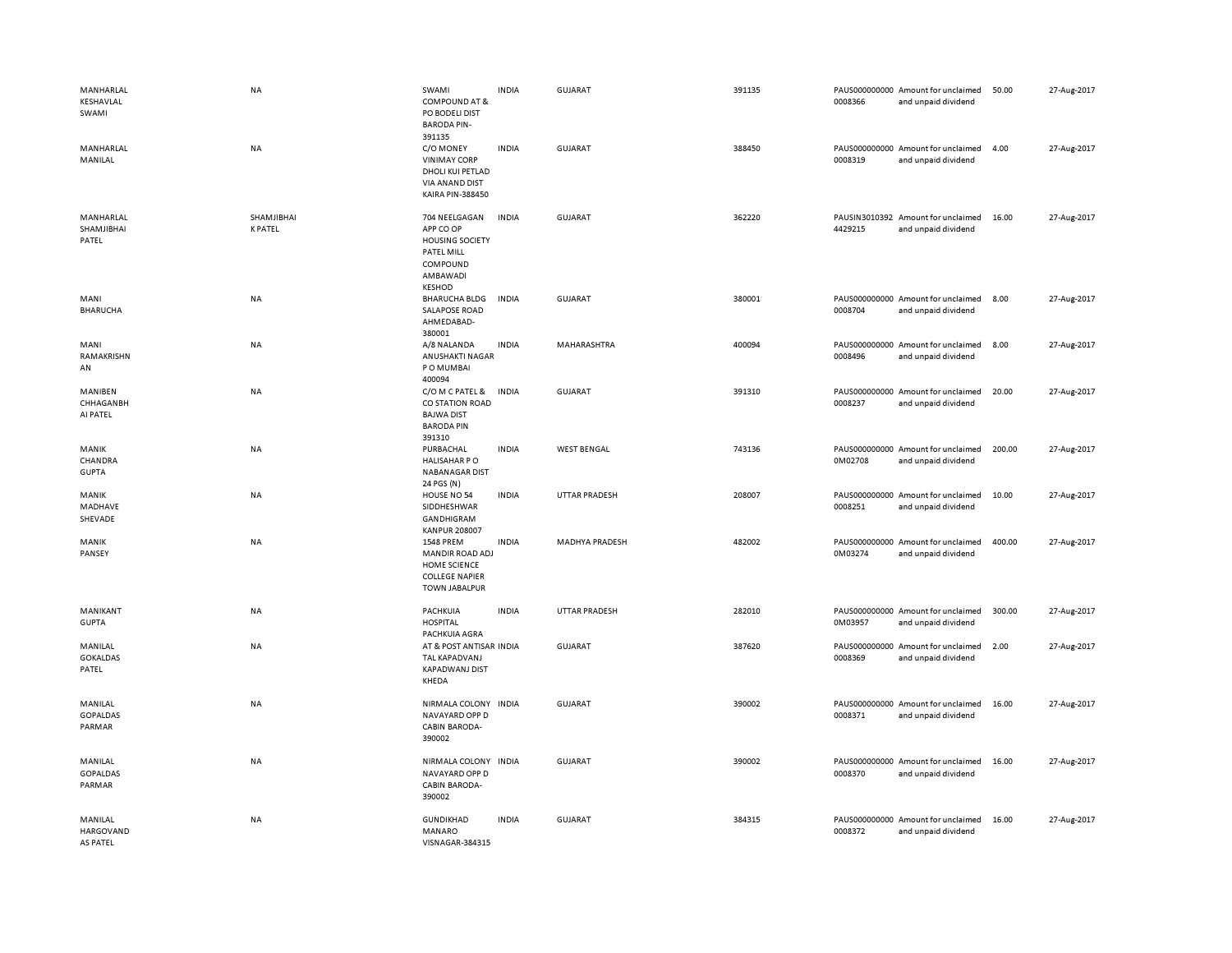| MANHARLAL<br>KESHAVLAL<br>SWAMI      | <b>NA</b>                    | SWAMI<br><b>COMPOUND AT &amp;</b><br>PO BODELI DIST<br><b>BARODA PIN-</b>                                          | <b>INDIA</b> | <b>GUJARAT</b>        | 391135 | 0008366 | PAUS000000000 Amount for unclaimed<br>and unpaid dividend | 50.00  | 27-Aug-2017 |
|--------------------------------------|------------------------------|--------------------------------------------------------------------------------------------------------------------|--------------|-----------------------|--------|---------|-----------------------------------------------------------|--------|-------------|
| MANHARLAL<br>MANILAL                 | NA                           | 391135<br>C/O MONEY<br><b>VINIMAY CORP</b><br>DHOLI KUI PETLAD<br><b>VIA ANAND DIST</b><br><b>KAIRA PIN-388450</b> | <b>INDIA</b> | <b>GUJARAT</b>        | 388450 | 0008319 | PAUS000000000 Amount for unclaimed<br>and unpaid dividend | 4.00   | 27-Aug-2017 |
| MANHARLAL<br>SHAMJIBHAI<br>PATEL     | SHAMJIBHAI<br><b>K PATEL</b> | 704 NEELGAGAN<br>APP CO OP<br><b>HOUSING SOCIETY</b><br>PATEL MILL<br>COMPOUND<br>AMBAWADI<br><b>KESHOD</b>        | INDIA        | <b>GUJARAT</b>        | 362220 | 4429215 | PAUSIN3010392 Amount for unclaimed<br>and unpaid dividend | 16.00  | 27-Aug-2017 |
| MANI<br><b>BHARUCHA</b>              | <b>NA</b>                    | <b>BHARUCHA BLDG</b><br><b>SALAPOSE ROAD</b><br>AHMEDABAD-<br>380001                                               | <b>INDIA</b> | <b>GUJARAT</b>        | 380001 | 0008704 | PAUS000000000 Amount for unclaimed<br>and unpaid dividend | 8.00   | 27-Aug-2017 |
| MANI<br>RAMAKRISHN<br>AN             | NA                           | A/8 NALANDA<br>ANUSHAKTI NAGAR<br>P O MUMBAI<br>400094                                                             | <b>INDIA</b> | MAHARASHTRA           | 400094 | 0008496 | PAUS000000000 Amount for unclaimed<br>and unpaid dividend | 8.00   | 27-Aug-2017 |
| MANIBEN<br>CHHAGANBH<br>AI PATEL     | <b>NA</b>                    | C/O M C PATEL &<br>CO STATION ROAD<br><b>BAJWA DIST</b><br><b>BARODA PIN</b><br>391310                             | <b>INDIA</b> | <b>GUJARAT</b>        | 391310 | 0008237 | PAUS000000000 Amount for unclaimed<br>and unpaid dividend | 20.00  | 27-Aug-2017 |
| MANIK<br>CHANDRA<br><b>GUPTA</b>     | <b>NA</b>                    | PURBACHAL<br>HALISAHAR PO<br><b>NABANAGAR DIST</b><br>24 PGS (N)                                                   | <b>INDIA</b> | <b>WEST BENGAL</b>    | 743136 | 0M02708 | PAUS000000000 Amount for unclaimed<br>and unpaid dividend | 200.00 | 27-Aug-2017 |
| MANIK<br>MADHAVE<br>SHEVADE          | <b>NA</b>                    | HOUSE NO 54<br>SIDDHESHWAR<br>GANDHIGRAM<br><b>KANPUR 208007</b>                                                   | <b>INDIA</b> | <b>UTTAR PRADESH</b>  | 208007 | 0008251 | PAUS000000000 Amount for unclaimed<br>and unpaid dividend | 10.00  | 27-Aug-2017 |
| MANIK<br>PANSEY                      | <b>NA</b>                    | 1548 PREM<br>MANDIR ROAD ADJ<br>HOME SCIENCE<br><b>COLLEGE NAPIER</b><br><b>TOWN JABALPUR</b>                      | <b>INDIA</b> | <b>MADHYA PRADESH</b> | 482002 | 0M03274 | PAUS000000000 Amount for unclaimed<br>and unpaid dividend | 400.00 | 27-Aug-2017 |
| MANIKANT<br><b>GUPTA</b>             | NA                           | PACHKUIA<br><b>HOSPITAL</b><br>PACHKUIA AGRA                                                                       | <b>INDIA</b> | <b>UTTAR PRADESH</b>  | 282010 | 0M03957 | PAUS000000000 Amount for unclaimed<br>and unpaid dividend | 300.00 | 27-Aug-2017 |
| MANILAL<br><b>GOKALDAS</b><br>PATEL  | NA                           | AT & POST ANTISAR INDIA<br><b>TAL KAPADVANJ</b><br><b>KAPADWANJ DIST</b><br>KHEDA                                  |              | GUJARAT               | 387620 | 0008369 | PAUS000000000 Amount for unclaimed<br>and unpaid dividend | 2.00   | 27-Aug-2017 |
| MANILAL<br><b>GOPALDAS</b><br>PARMAR | NA                           | NIRMALA COLONY<br>NAVAYARD OPP D<br>CABIN BARODA-<br>390002                                                        | <b>INDIA</b> | <b>GUJARAT</b>        | 390002 | 0008371 | PAUS000000000 Amount for unclaimed<br>and unpaid dividend | 16.00  | 27-Aug-2017 |
| MANILAL<br><b>GOPALDAS</b><br>PARMAR | <b>NA</b>                    | NIRMALA COLONY<br>NAVAYARD OPP D<br><b>CABIN BARODA-</b><br>390002                                                 | <b>INDIA</b> | <b>GUJARAT</b>        | 390002 | 0008370 | PAUS000000000 Amount for unclaimed<br>and unpaid dividend | 16.00  | 27-Aug-2017 |
| MANILAL<br>HARGOVAND<br>AS PATEL     | <b>NA</b>                    | <b>GUNDIKHAD</b><br>MANARO<br>VISNAGAR-384315                                                                      | <b>INDIA</b> | <b>GUJARAT</b>        | 384315 | 0008372 | PAUS000000000 Amount for unclaimed<br>and unpaid dividend | 16.00  | 27-Aug-2017 |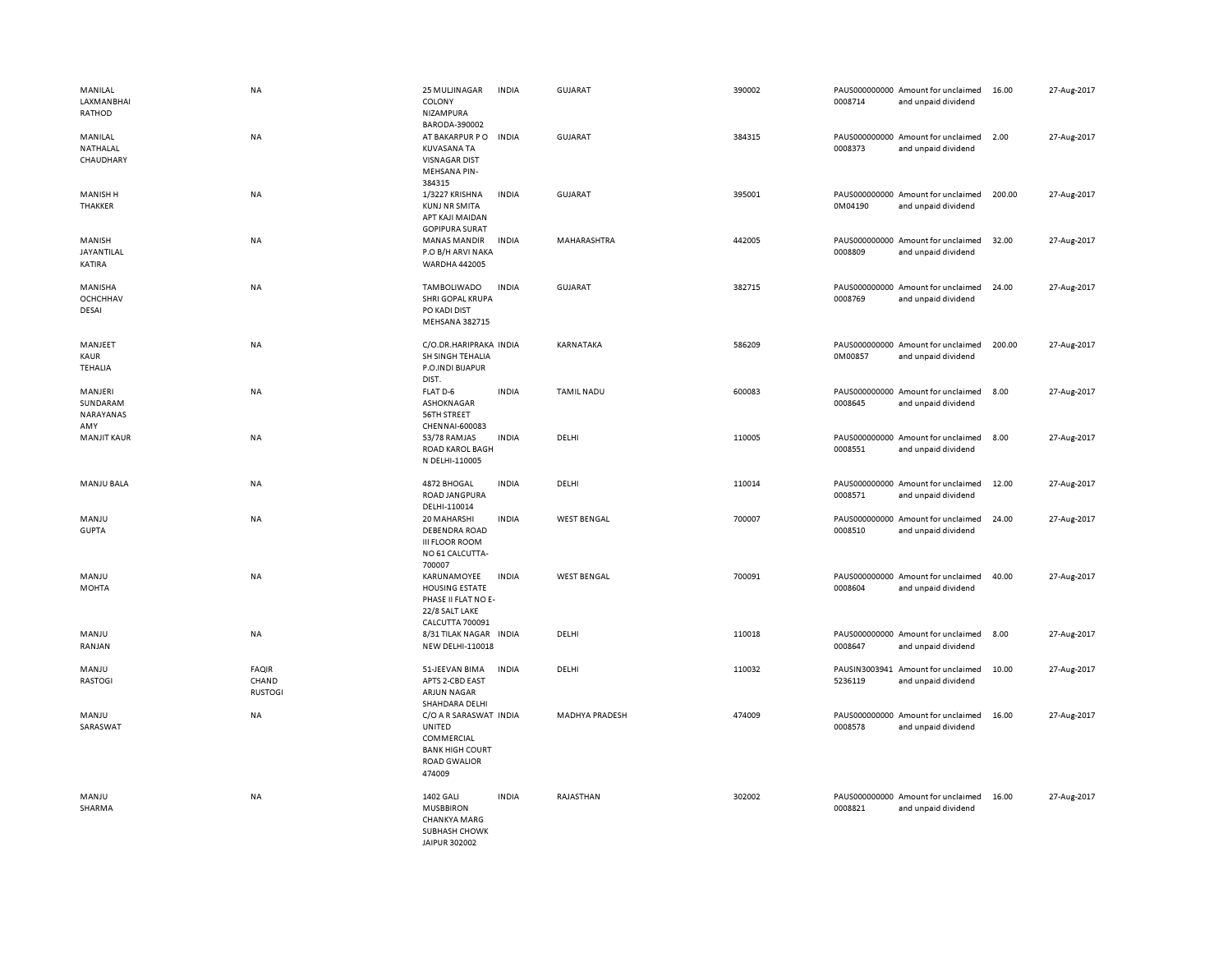| MANILAL<br>LAXMANBHAI<br>RATHOD          | <b>NA</b>                               | 25 MULJINAGAR<br>COLONY<br>NIZAMPURA<br>BARODA-390002                                                     | <b>INDIA</b> | GUJARAT               | 390002 | 0008714 | PAUS000000000 Amount for unclaimed<br>and unpaid dividend | 16.00  | 27-Aug-2017 |
|------------------------------------------|-----------------------------------------|-----------------------------------------------------------------------------------------------------------|--------------|-----------------------|--------|---------|-----------------------------------------------------------|--------|-------------|
| MANILAL<br>NATHALAL<br>CHAUDHARY         | <b>NA</b>                               | AT BAKARPUR PO<br><b>KUVASANA TA</b><br><b>VISNAGAR DIST</b><br>MEHSANA PIN-<br>384315                    | <b>INDIA</b> | GUJARAT               | 384315 | 0008373 | PAUS000000000 Amount for unclaimed<br>and unpaid dividend | 2.00   | 27-Aug-2017 |
| <b>MANISH H</b><br>THAKKER               | NA                                      | 1/3227 KRISHNA<br><b>KUNJ NR SMITA</b><br>APT KAJI MAIDAN<br><b>GOPIPURA SURAT</b>                        | <b>INDIA</b> | <b>GUJARAT</b>        | 395001 | 0M04190 | PAUS000000000 Amount for unclaimed<br>and unpaid dividend | 200.00 | 27-Aug-2017 |
| MANISH<br>JAYANTILAL<br>KATIRA           | NA                                      | <b>MANAS MANDIR</b><br>P.O B/H ARVI NAKA<br><b>WARDHA 442005</b>                                          | <b>INDIA</b> | MAHARASHTRA           | 442005 | 0008809 | PAUS000000000 Amount for unclaimed<br>and unpaid dividend | 32.00  | 27-Aug-2017 |
| MANISHA<br><b>OCHCHHAV</b><br>DESAI      | NA                                      | TAMBOLIWADO<br>SHRI GOPAL KRUPA<br>PO KADI DIST<br>MEHSANA 382715                                         | <b>INDIA</b> | <b>GUJARAT</b>        | 382715 | 0008769 | PAUS000000000 Amount for unclaimed<br>and unpaid dividend | 24.00  | 27-Aug-2017 |
| MANJEET<br><b>KAUR</b><br><b>TEHALIA</b> | NA                                      | C/O.DR.HARIPRAKA INDIA<br>SH SINGH TEHALIA<br>P.O.INDI BIJAPUR<br>DIST.                                   |              | KARNATAKA             | 586209 | 0M00857 | PAUS000000000 Amount for unclaimed<br>and unpaid dividend | 200.00 | 27-Aug-2017 |
| MANJERI<br>SUNDARAM<br>NARAYANAS<br>AMY  | <b>NA</b>                               | FLAT D-6<br>ASHOKNAGAR<br>56TH STREET<br>CHENNAI-600083                                                   | <b>INDIA</b> | <b>TAMIL NADU</b>     | 600083 | 0008645 | PAUS000000000 Amount for unclaimed<br>and unpaid dividend | 8.00   | 27-Aug-2017 |
| <b>MANJIT KAUR</b>                       | NA                                      | 53/78 RAMJAS<br><b>ROAD KAROL BAGH</b><br>N DELHI-110005                                                  | <b>INDIA</b> | DELHI                 | 110005 | 0008551 | PAUS000000000 Amount for unclaimed<br>and unpaid dividend | 8.00   | 27-Aug-2017 |
| <b>MANJU BALA</b>                        | NA                                      | 4872 BHOGAL<br>ROAD JANGPURA<br>DELHI-110014                                                              | <b>INDIA</b> | DELHI                 | 110014 | 0008571 | PAUS000000000 Amount for unclaimed<br>and unpaid dividend | 12.00  | 27-Aug-2017 |
| MANJU<br><b>GUPTA</b>                    | NA                                      | 20 MAHARSHI<br><b>DEBENDRA ROAD</b><br><b>III FLOOR ROOM</b><br>NO 61 CALCUTTA-<br>700007                 | <b>INDIA</b> | <b>WEST BENGAL</b>    | 700007 | 0008510 | PAUS000000000 Amount for unclaimed<br>and unpaid dividend | 24.00  | 27-Aug-2017 |
| MANJU<br><b>MOHTA</b>                    | <b>NA</b>                               | KARUNAMOYEE<br><b>HOUSING ESTATE</b><br>PHASE II FLAT NO E-<br>22/8 SALT LAKE<br><b>CALCUTTA 700091</b>   | <b>INDIA</b> | <b>WEST BENGAL</b>    | 700091 | 0008604 | PAUS000000000 Amount for unclaimed<br>and unpaid dividend | 40.00  | 27-Aug-2017 |
| MANJU<br>RANJAN                          | NA                                      | 8/31 TILAK NAGAR<br>NEW DELHI-110018                                                                      | <b>INDIA</b> | DELHI                 | 110018 | 0008647 | PAUS000000000 Amount for unclaimed<br>and unpaid dividend | 8.00   | 27-Aug-2017 |
| MANJU<br>RASTOGI                         | <b>FAQIR</b><br>CHAND<br><b>RUSTOGI</b> | 51-JEEVAN BIMA<br>APTS 2-CBD EAST<br><b>ARJUN NAGAR</b><br>SHAHDARA DELHI                                 | <b>INDIA</b> | DELHI                 | 110032 | 5236119 | PAUSIN3003941 Amount for unclaimed<br>and unpaid dividend | 10.00  | 27-Aug-2017 |
| MANJU<br>SARASWAT                        | <b>NA</b>                               | C/O A R SARASWAT INDIA<br>UNITED<br>COMMERCIAL<br><b>BANK HIGH COURT</b><br><b>ROAD GWALIOR</b><br>474009 |              | <b>MADHYA PRADESH</b> | 474009 | 0008578 | PAUS000000000 Amount for unclaimed<br>and unpaid dividend | 16.00  | 27-Aug-2017 |
| MANJU<br>SHARMA                          | <b>NA</b>                               | 1402 GALI<br><b>MUSBBIRON</b><br><b>CHANKYA MARG</b><br>SUBHASH CHOWK<br>JAIPUR 302002                    | <b>INDIA</b> | RAJASTHAN             | 302002 | 0008821 | PAUS000000000 Amount for unclaimed<br>and unpaid dividend | 16.00  | 27-Aug-2017 |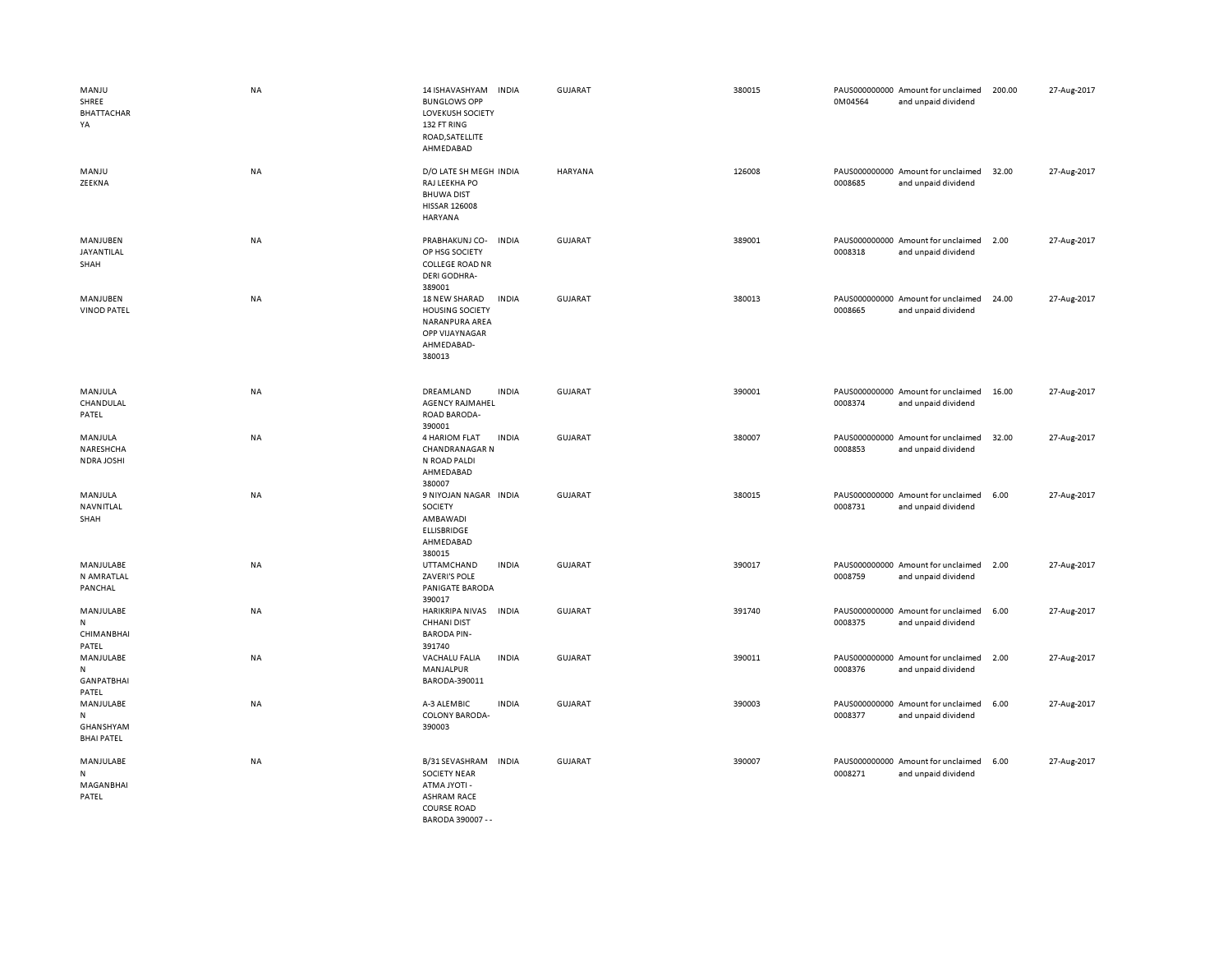| MANJU<br>SHREE<br><b>BHATTACHAR</b><br>YA               | <b>NA</b> | 14 ISHAVASHYAM<br><b>BUNGLOWS OPP</b><br><b>LOVEKUSH SOCIETY</b><br>132 FT RING<br>ROAD, SATELLITE<br>AHMEDABAD       | <b>INDIA</b> | GUJARAT        | 380015 | 0M04564 | PAUS000000000 Amount for unclaimed<br>and unpaid dividend | 200.00 | 27-Aug-2017 |
|---------------------------------------------------------|-----------|-----------------------------------------------------------------------------------------------------------------------|--------------|----------------|--------|---------|-----------------------------------------------------------|--------|-------------|
| MANJU<br>ZEEKNA                                         | NA        | D/O LATE SH MEGH INDIA<br>RAJ LEEKHA PO<br><b>BHUWA DIST</b><br><b>HISSAR 126008</b><br>HARYANA                       |              | <b>HARYANA</b> | 126008 | 0008685 | PAUS000000000 Amount for unclaimed<br>and unpaid dividend | 32.00  | 27-Aug-2017 |
| MANJUBEN<br>JAYANTILAL<br>SHAH                          | NA        | PRABHAKUNJ CO-<br>OP HSG SOCIETY<br><b>COLLEGE ROAD NR</b><br><b>DERI GODHRA-</b><br>389001                           | <b>INDIA</b> | <b>GUJARAT</b> | 389001 | 0008318 | PAUS000000000 Amount for unclaimed<br>and unpaid dividend | 2.00   | 27-Aug-2017 |
| MANJUBEN<br><b>VINOD PATEL</b>                          | NA        | 18 NEW SHARAD<br><b>HOUSING SOCIETY</b><br>NARANPURA AREA<br>OPP VIJAYNAGAR<br>AHMEDABAD-<br>380013                   | <b>INDIA</b> | GUJARAT        | 380013 | 0008665 | PAUS000000000 Amount for unclaimed<br>and unpaid dividend | 24.00  | 27-Aug-2017 |
| MANJULA<br>CHANDULAL<br>PATEL                           | NA        | DREAMLAND<br><b>AGENCY RAJMAHEL</b><br>ROAD BARODA-<br>390001                                                         | <b>INDIA</b> | <b>GUJARAT</b> | 390001 | 0008374 | PAUS000000000 Amount for unclaimed<br>and unpaid dividend | 16.00  | 27-Aug-2017 |
| MANJULA<br>NARESHCHA<br>NDRA JOSHI                      | NA        | 4 HARIOM FLAT<br><b>CHANDRANAGAR N</b><br>N ROAD PALDI<br>AHMEDABAD<br>380007                                         | <b>INDIA</b> | GUJARAT        | 380007 | 0008853 | PAUS000000000 Amount for unclaimed<br>and unpaid dividend | 32.00  | 27-Aug-2017 |
| MANJULA<br>NAVNITLAL<br>SHAH                            | NA        | 9 NIYOJAN NAGAR INDIA<br>SOCIETY<br>AMBAWADI<br><b>ELLISBRIDGE</b><br>AHMEDABAD<br>380015                             |              | <b>GUJARAT</b> | 380015 | 0008731 | PAUS000000000 Amount for unclaimed<br>and unpaid dividend | 6.00   | 27-Aug-2017 |
| MANJULABE<br>N AMRATLAL<br>PANCHAL                      | <b>NA</b> | UTTAMCHAND<br>ZAVERI'S POLE<br>PANIGATE BARODA<br>390017                                                              | <b>INDIA</b> | <b>GUJARAT</b> | 390017 | 0008759 | PAUS000000000 Amount for unclaimed<br>and unpaid dividend | 2.00   | 27-Aug-2017 |
| MANJULABE<br>$\mathsf{N}$<br><b>CHIMANBHAI</b><br>PATEL | NA        | HARIKRIPA NIVAS<br><b>CHHANI DIST</b><br><b>BARODA PIN-</b><br>391740                                                 | <b>INDIA</b> | GUJARAT        | 391740 | 0008375 | PAUS000000000 Amount for unclaimed<br>and unpaid dividend | 6.00   | 27-Aug-2017 |
| MANJULABE<br>${\sf N}$<br><b>GANPATBHAI</b><br>PATEL    | NA        | VACHALU FALIA<br>MANJALPUR<br>BARODA-390011                                                                           | INDIA        | GUJARAT        | 390011 | 0008376 | PAUS000000000 Amount for unclaimed<br>and unpaid dividend | 2.00   | 27-Aug-2017 |
| MANJULABE<br>N<br>GHANSHYAM<br><b>BHAI PATEL</b>        | <b>NA</b> | A-3 ALEMBIC<br>COLONY BARODA-<br>390003                                                                               | <b>INDIA</b> | <b>GUJARAT</b> | 390003 | 0008377 | PAUS000000000 Amount for unclaimed<br>and unpaid dividend | 6.00   | 27-Aug-2017 |
| MANJULABE<br>N<br>MAGANBHAI<br>PATEL                    | NA        | B/31 SEVASHRAM<br><b>SOCIETY NEAR</b><br>ATMA JYOTI -<br><b>ASHRAM RACE</b><br><b>COURSE ROAD</b><br>BARODA 390007 -- | <b>INDIA</b> | GUJARAT        | 390007 | 0008271 | PAUS000000000 Amount for unclaimed<br>and unpaid dividend | 6.00   | 27-Aug-2017 |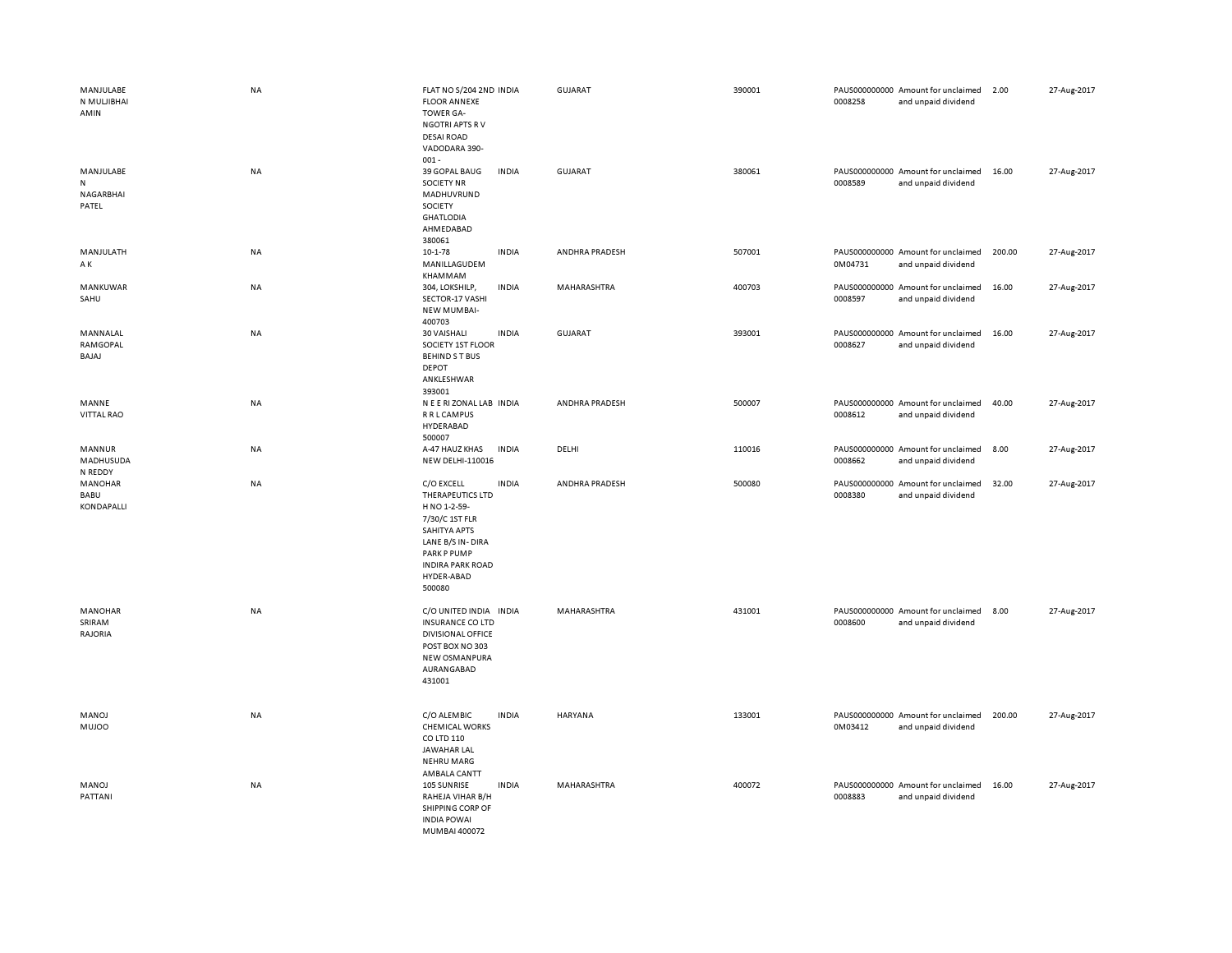| MANJULABE<br>N MULJIBHAI<br>AMIN     | <b>NA</b> | FLAT NO S/204 2ND INDIA<br><b>FLOOR ANNEXE</b><br><b>TOWER GA-</b><br><b>NGOTRI APTS RV</b><br><b>DESAI ROAD</b><br>VADODARA 390-                                                      | <b>GUJARAT</b> | 390001 | 0008258 | PAUS000000000 Amount for unclaimed<br>and unpaid dividend | 2.00   | 27-Aug-2017 |
|--------------------------------------|-----------|----------------------------------------------------------------------------------------------------------------------------------------------------------------------------------------|----------------|--------|---------|-----------------------------------------------------------|--------|-------------|
| MANJULABE<br>N<br>NAGARBHAI<br>PATEL | <b>NA</b> | $001 -$<br>39 GOPAL BAUG<br><b>INDIA</b><br><b>SOCIETY NR</b><br>MADHUVRUND<br>SOCIETY<br><b>GHATLODIA</b><br>AHMEDABAD<br>380061                                                      | GUJARAT        | 380061 | 0008589 | PAUS000000000 Amount for unclaimed<br>and unpaid dividend | 16.00  | 27-Aug-2017 |
| MANJULATH<br>ΑK                      | NA        | <b>INDIA</b><br>10-1-78<br>MANILLAGUDEM<br>KHAMMAM                                                                                                                                     | ANDHRA PRADESH | 507001 | 0M04731 | PAUS000000000 Amount for unclaimed<br>and unpaid dividend | 200.00 | 27-Aug-2017 |
| MANKUWAR<br>SAHU                     | NA        | 304, LOKSHILP,<br><b>INDIA</b><br>SECTOR-17 VASHI<br><b>NEW MUMBAI-</b><br>400703                                                                                                      | MAHARASHTRA    | 400703 | 0008597 | PAUS000000000 Amount for unclaimed<br>and unpaid dividend | 16.00  | 27-Aug-2017 |
| MANNALAL<br>RAMGOPAL<br>BAJAJ        | NA        | 30 VAISHALI<br><b>INDIA</b><br>SOCIETY 1ST FLOOR<br><b>BEHINDST BUS</b><br>DEPOT<br>ANKLESHWAR<br>393001                                                                               | <b>GUJARAT</b> | 393001 | 0008627 | PAUS000000000 Amount for unclaimed<br>and unpaid dividend | 16.00  | 27-Aug-2017 |
| MANNE<br>VITTAL RAO                  | <b>NA</b> | N E E RI ZONAL LAB INDIA<br><b>R R L CAMPUS</b><br>HYDERABAD<br>500007                                                                                                                 | ANDHRA PRADESH | 500007 | 0008612 | PAUS000000000 Amount for unclaimed<br>and unpaid dividend | 40.00  | 27-Aug-2017 |
| MANNUR<br>MADHUSUDA<br>N REDDY       | NA        | <b>INDIA</b><br>A-47 HAUZ KHAS<br>NEW DELHI-110016                                                                                                                                     | DELHI          | 110016 | 0008662 | PAUS000000000 Amount for unclaimed<br>and unpaid dividend | 8.00   | 27-Aug-2017 |
| MANOHAR<br>BABU<br>KONDAPALLI        | NA        | C/O EXCELL<br><b>INDIA</b><br>THERAPEUTICS LTD<br>H NO 1-2-59-<br>7/30/C 1ST FLR<br>SAHITYA APTS<br>LANE B/S IN-DIRA<br>PARK P PUMP<br><b>INDIRA PARK ROAD</b><br>HYDER-ABAD<br>500080 | ANDHRA PRADESH | 500080 | 0008380 | PAUS000000000 Amount for unclaimed<br>and unpaid dividend | 32.00  | 27-Aug-2017 |
| <b>MANOHAR</b><br>SRIRAM<br>RAJORIA  | <b>NA</b> | C/O UNITED INDIA INDIA<br><b>INSURANCE CO LTD</b><br><b>DIVISIONAL OFFICE</b><br>POST BOX NO 303<br>NEW OSMANPURA<br>AURANGABAD<br>431001                                              | MAHARASHTRA    | 431001 | 0008600 | PAUS000000000 Amount for unclaimed<br>and unpaid dividend | 8.00   | 27-Aug-2017 |
| MANOJ<br><b>MUJOO</b>                | <b>NA</b> | C/O ALEMBIC<br><b>INDIA</b><br><b>CHEMICAL WORKS</b><br>CO LTD 110<br><b>JAWAHAR LAL</b><br><b>NEHRU MARG</b><br>AMBALA CANTT                                                          | HARYANA        | 133001 | 0M03412 | PAUS000000000 Amount for unclaimed<br>and unpaid dividend | 200.00 | 27-Aug-2017 |
| MANOJ<br>PATTANI                     | NA        | 105 SUNRISE<br><b>INDIA</b><br>RAHEJA VIHAR B/H<br>SHIPPING CORP OF<br><b>INDIA POWAI</b><br>MUMBAI 400072                                                                             | MAHARASHTRA    | 400072 | 0008883 | PAUS000000000 Amount for unclaimed<br>and unpaid dividend | 16.00  | 27-Aug-2017 |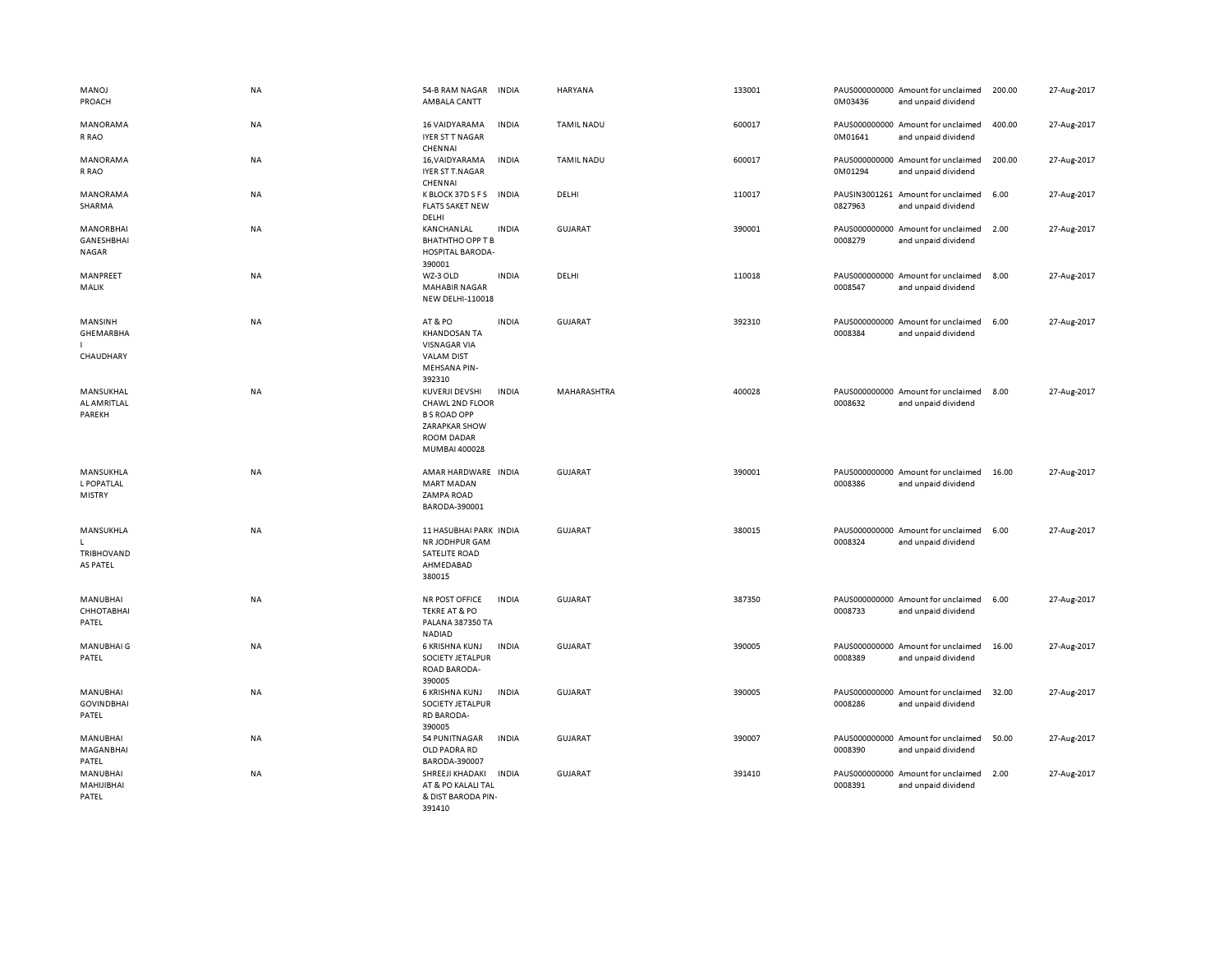| <b>MANOJ</b><br>PROACH                         | NA        | 54-B RAM NAGAR<br>AMBALA CANTT                                                                            | <b>INDIA</b> | HARYANA           | 133001 | 0M03436 | PAUS000000000 Amount for unclaimed<br>and unpaid dividend | 200.00 | 27-Aug-2017 |
|------------------------------------------------|-----------|-----------------------------------------------------------------------------------------------------------|--------------|-------------------|--------|---------|-----------------------------------------------------------|--------|-------------|
| MANORAMA<br>R RAO                              | <b>NA</b> | 16 VAIDYARAMA<br>IYER ST T NAGAR<br>CHENNAI                                                               | <b>INDIA</b> | <b>TAMIL NADU</b> | 600017 | 0M01641 | PAUS000000000 Amount for unclaimed<br>and unpaid dividend | 400.00 | 27-Aug-2017 |
| MANORAMA<br>R RAO                              | <b>NA</b> | 16, VAIDYARAMA<br>IYER ST T.NAGAR<br>CHENNAI                                                              | <b>INDIA</b> | <b>TAMIL NADU</b> | 600017 | 0M01294 | PAUS000000000 Amount for unclaimed<br>and unpaid dividend | 200.00 | 27-Aug-2017 |
| MANORAMA<br><b>SHARMA</b>                      | NA        | K BLOCK 37D S F S<br><b>FLATS SAKET NEW</b><br>DELHI                                                      | <b>INDIA</b> | DELHI             | 110017 | 0827963 | PAUSIN3001261 Amount for unclaimed<br>and unpaid dividend | 6.00   | 27-Aug-2017 |
| <b>MANORBHAI</b><br>GANESHBHAI<br><b>NAGAR</b> | NA        | KANCHANLAL<br><b>BHATHTHO OPP T B</b><br><b>HOSPITAL BARODA-</b><br>390001                                | <b>INDIA</b> | <b>GUJARAT</b>    | 390001 | 0008279 | PAUS000000000 Amount for unclaimed<br>and unpaid dividend | 2.00   | 27-Aug-2017 |
| MANPREET<br>MALIK                              | <b>NA</b> | WZ-3 OLD<br><b>MAHABIR NAGAR</b><br><b>NEW DELHI-110018</b>                                               | <b>INDIA</b> | DELHI             | 110018 | 0008547 | PAUS000000000 Amount for unclaimed<br>and unpaid dividend | 8.00   | 27-Aug-2017 |
| MANSINH<br>GHEMARBHA<br>CHAUDHARY              | NA        | AT&PO<br><b>KHANDOSAN TA</b><br><b>VISNAGAR VIA</b><br><b>VALAM DIST</b><br><b>MEHSANA PIN-</b><br>392310 | <b>INDIA</b> | <b>GUJARAT</b>    | 392310 | 0008384 | PAUS000000000 Amount for unclaimed<br>and unpaid dividend | 6.00   | 27-Aug-2017 |
| MANSUKHAL<br>AL AMRITLAL<br>PAREKH             | <b>NA</b> | KUVERJI DEVSHI<br>CHAWL 2ND FLOOR<br><b>B S ROAD OPP</b><br>ZARAPKAR SHOW<br>ROOM DADAR<br>MUMBAI 400028  | <b>INDIA</b> | MAHARASHTRA       | 400028 | 0008632 | PAUS000000000 Amount for unclaimed<br>and unpaid dividend | 8.00   | 27-Aug-2017 |
| MANSUKHLA<br>L POPATLAL<br>MISTRY              | <b>NA</b> | AMAR HARDWARE INDIA<br><b>MART MADAN</b><br>ZAMPA ROAD<br>BARODA-390001                                   |              | <b>GUJARAT</b>    | 390001 | 0008386 | PAUS000000000 Amount for unclaimed<br>and unpaid dividend | 16.00  | 27-Aug-2017 |
| MANSUKHLA<br>TRIBHOVAND<br><b>AS PATEL</b>     | NA        | 11 HASUBHAI PARK INDIA<br>NR JODHPUR GAM<br><b>SATELITE ROAD</b><br>AHMEDABAD<br>380015                   |              | GUJARAT           | 380015 | 0008324 | PAUS000000000 Amount for unclaimed<br>and unpaid dividend | 6.00   | 27-Aug-2017 |
| MANUBHAI<br>СННОТАВНАІ<br>PATEL                | <b>NA</b> | NR POST OFFICE<br><b>TEKRE AT &amp; PO</b><br>PALANA 387350 TA<br><b>NADIAD</b>                           | <b>INDIA</b> | <b>GUJARAT</b>    | 387350 | 0008733 | PAUS000000000 Amount for unclaimed<br>and unpaid dividend | 6.00   | 27-Aug-2017 |
| <b>MANUBHAIG</b><br>PATEL                      | <b>NA</b> | 6 KRISHNA KUNJ<br>SOCIETY JETALPUR<br>ROAD BARODA-<br>390005                                              | <b>INDIA</b> | <b>GUJARAT</b>    | 390005 | 0008389 | PAUS000000000 Amount for unclaimed<br>and unpaid dividend | 16.00  | 27-Aug-2017 |
| MANUBHAI<br><b>GOVINDBHAI</b><br>PATEL         | <b>NA</b> | 6 KRISHNA KUNJ<br>SOCIETY JETALPUR<br><b>RD BARODA-</b><br>390005                                         | <b>INDIA</b> | <b>GUJARAT</b>    | 390005 | 0008286 | PAUS000000000 Amount for unclaimed<br>and unpaid dividend | 32.00  | 27-Aug-2017 |
| MANUBHAI<br>MAGANBHAI<br>PATEL                 | <b>NA</b> | 54 PUNITNAGAR<br>OLD PADRA RD<br>BARODA-390007                                                            | <b>INDIA</b> | <b>GUJARAT</b>    | 390007 | 0008390 | PAUS000000000 Amount for unclaimed<br>and unpaid dividend | 50.00  | 27-Aug-2017 |
| MANUBHAI<br>MAHIJIBHAI<br>PATEL                | <b>NA</b> | SHREEJI KHADAKI<br>AT & PO KALALI TAL<br>& DIST BARODA PIN-<br>391410                                     | <b>INDIA</b> | GUJARAT           | 391410 | 0008391 | PAUS000000000 Amount for unclaimed<br>and unpaid dividend | 2.00   | 27-Aug-2017 |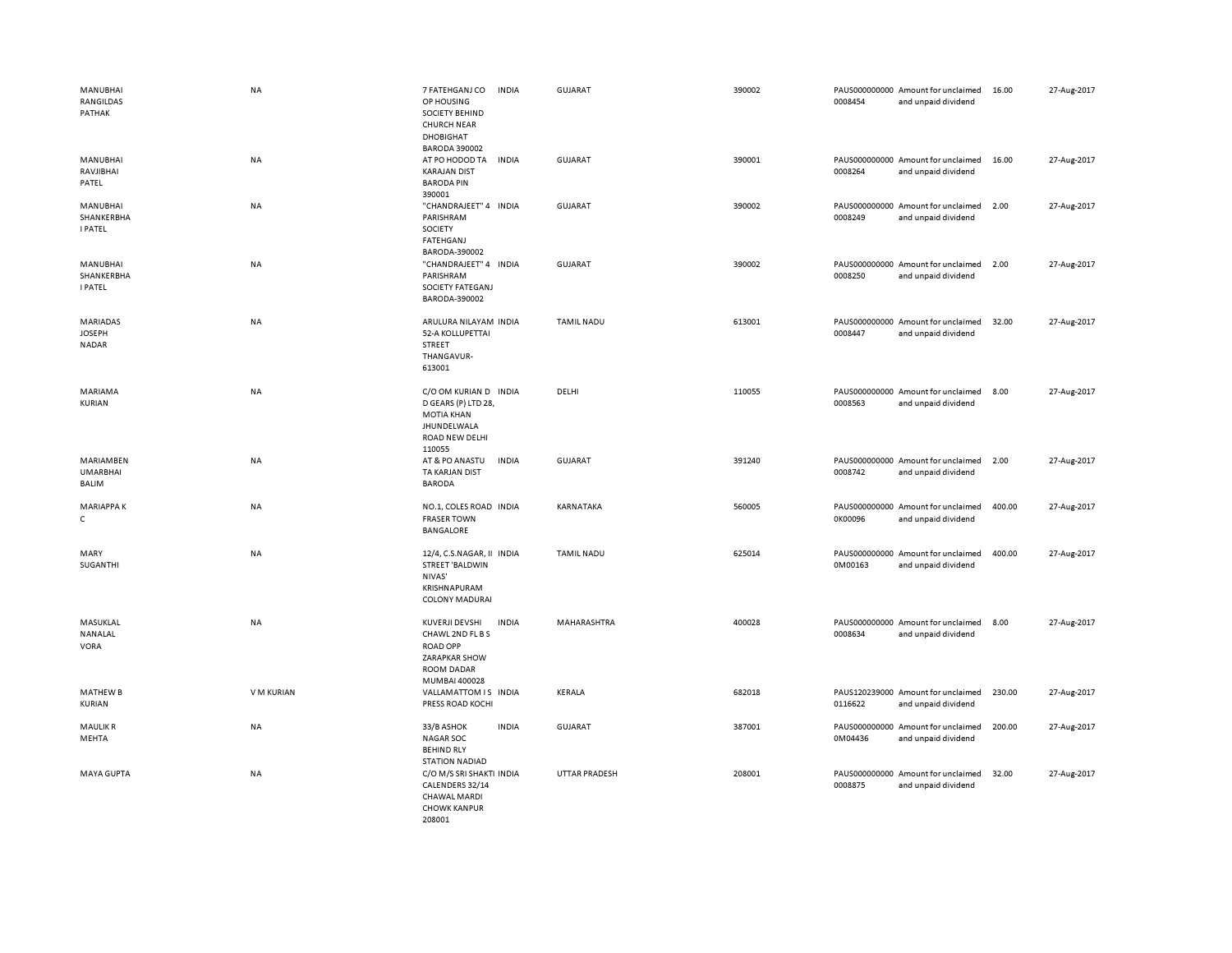| MANUBHAI<br>RANGILDAS<br>PATHAK                  | <b>NA</b>  | 7 FATEHGANJ CO<br><b>INDIA</b><br>OP HOUSING<br>SOCIETY BEHIND<br><b>CHURCH NEAR</b><br>DHOBIGHAT<br><b>BARODA 390002</b>    | <b>GUJARAT</b>    | 390002 | 0008454 | PAUS000000000 Amount for unclaimed<br>and unpaid dividend | 16.00  | 27-Aug-2017 |
|--------------------------------------------------|------------|------------------------------------------------------------------------------------------------------------------------------|-------------------|--------|---------|-----------------------------------------------------------|--------|-------------|
| MANUBHAI<br>RAVJIBHAI<br>PATEL                   | NA         | AT PO HODOD TA<br><b>INDIA</b><br><b>KARAJAN DIST</b><br><b>BARODA PIN</b><br>390001                                         | <b>GUJARAT</b>    | 390001 | 0008264 | PAUS000000000 Amount for unclaimed<br>and unpaid dividend | 16.00  | 27-Aug-2017 |
| MANUBHAI<br>SHANKERBHA<br><b>I PATEL</b>         | NA         | "CHANDRAJEET" 4 INDIA<br>PARISHRAM<br>SOCIETY<br><b>FATEHGANJ</b><br>BARODA-390002                                           | <b>GUJARAT</b>    | 390002 | 0008249 | PAUS000000000 Amount for unclaimed<br>and unpaid dividend | 2.00   | 27-Aug-2017 |
| MANUBHAI<br>SHANKERBHA<br><b>I PATEL</b>         | <b>NA</b>  | "CHANDRAJEET" 4 INDIA<br>PARISHRAM<br>SOCIETY FATEGANJ<br>BARODA-390002                                                      | <b>GUJARAT</b>    | 390002 | 0008250 | PAUS000000000 Amount for unclaimed<br>and unpaid dividend | 2.00   | 27-Aug-2017 |
| <b>MARIADAS</b><br><b>JOSEPH</b><br><b>NADAR</b> | <b>NA</b>  | ARULURA NILAYAM INDIA<br>52-A KOLLUPETTAI<br>STREET<br>THANGAVUR-<br>613001                                                  | TAMIL NADU        | 613001 | 0008447 | PAUS000000000 Amount for unclaimed<br>and unpaid dividend | 32.00  | 27-Aug-2017 |
| MARIAMA<br>KURIAN                                | <b>NA</b>  | C/O OM KURIAN D INDIA<br>D GEARS (P) LTD 28,<br><b>MOTIA KHAN</b><br>JHUNDELWALA<br>ROAD NEW DELHI<br>110055                 | DELHI             | 110055 | 0008563 | PAUS000000000 Amount for unclaimed<br>and unpaid dividend | 8.00   | 27-Aug-2017 |
| MARIAMBEN<br><b>UMARBHAI</b><br><b>BALIM</b>     | <b>NA</b>  | AT & PO ANASTU<br><b>INDIA</b><br>TA KARJAN DIST<br><b>BARODA</b>                                                            | GUJARAT           | 391240 | 0008742 | PAUS000000000 Amount for unclaimed<br>and unpaid dividend | 2.00   | 27-Aug-2017 |
| <b>MARIAPPAK</b><br>$\mathsf{C}$                 | <b>NA</b>  | NO.1, COLES ROAD INDIA<br><b>FRASER TOWN</b><br>BANGALORE                                                                    | KARNATAKA         | 560005 | 0K00096 | PAUS000000000 Amount for unclaimed<br>and unpaid dividend | 400.00 | 27-Aug-2017 |
| MARY<br>SUGANTHI                                 | NA         | 12/4, C.S.NAGAR, II INDIA<br>STREET 'BALDWIN<br>NIVAS'<br>KRISHNAPURAM<br><b>COLONY MADURAI</b>                              | <b>TAMIL NADU</b> | 625014 | 0M00163 | PAUS000000000 Amount for unclaimed<br>and unpaid dividend | 400.00 | 27-Aug-2017 |
| MASUKLAL<br>NANALAL<br><b>VORA</b>               | NA         | KUVERJI DEVSHI<br><b>INDIA</b><br>CHAWL 2ND FL B S<br><b>ROAD OPP</b><br><b>ZARAPKAR SHOW</b><br>ROOM DADAR<br>MUMBAI 400028 | MAHARASHTRA       | 400028 | 0008634 | PAUS000000000 Amount for unclaimed<br>and unpaid dividend | 8.00   | 27-Aug-2017 |
| <b>MATHEW B</b><br>KURIAN                        | V M KURIAN | VALLAMATTOM IS INDIA<br>PRESS ROAD KOCHI                                                                                     | KERALA            | 682018 | 0116622 | PAUS120239000 Amount for unclaimed<br>and unpaid dividend | 230.00 | 27-Aug-2017 |
| <b>MAULIKR</b><br>MEHTA                          | NA         | 33/B ASHOK<br><b>INDIA</b><br><b>NAGAR SOC</b><br><b>BEHIND RLY</b><br><b>STATION NADIAD</b>                                 | <b>GUJARAT</b>    | 387001 | 0M04436 | PAUS000000000 Amount for unclaimed<br>and unpaid dividend | 200.00 | 27-Aug-2017 |
| <b>MAYA GUPTA</b>                                | <b>NA</b>  | C/O M/S SRI SHAKTI INDIA<br>CALENDERS 32/14<br><b>CHAWAL MARDI</b><br><b>CHOWK KANPUR</b><br>208001                          | UTTAR PRADESH     | 208001 | 0008875 | PAUS000000000 Amount for unclaimed<br>and unpaid dividend | 32.00  | 27-Aug-2017 |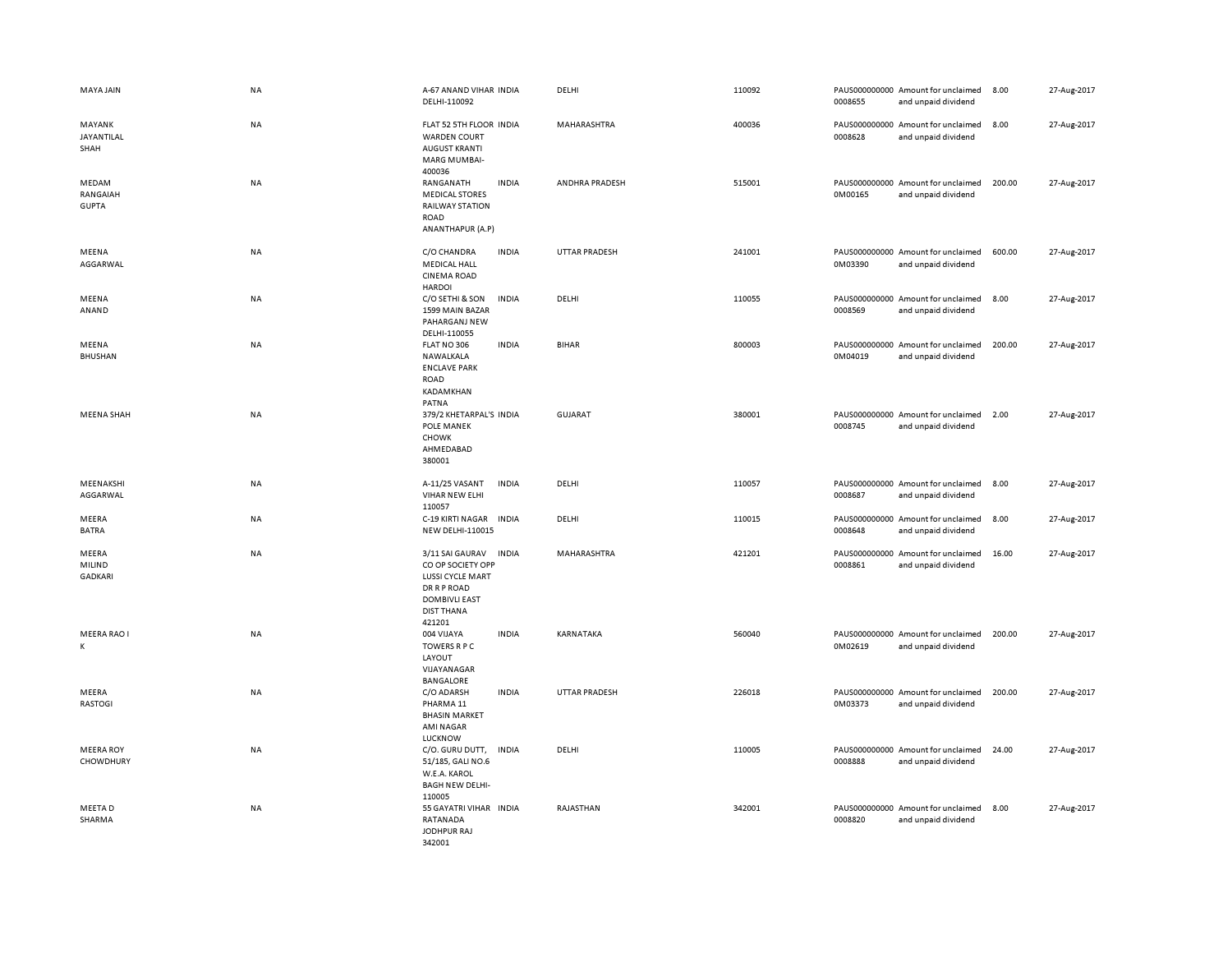| MAYA JAIN                         | NA        | A-67 ANAND VIHAR INDIA<br>DELHI-110092                                                                                                       |              | DELHI                | 110092 | 0008655 | PAUS000000000 Amount for unclaimed<br>and unpaid dividend | 8.00   | 27-Aug-2017 |
|-----------------------------------|-----------|----------------------------------------------------------------------------------------------------------------------------------------------|--------------|----------------------|--------|---------|-----------------------------------------------------------|--------|-------------|
| MAYANK<br>JAYANTILAL<br>SHAH      | NA        | FLAT 52 5TH FLOOR INDIA<br><b>WARDEN COURT</b><br><b>AUGUST KRANTI</b><br><b>MARG MUMBAI-</b><br>400036                                      |              | MAHARASHTRA          | 400036 | 0008628 | PAUS000000000 Amount for unclaimed<br>and unpaid dividend | 8.00   | 27-Aug-2017 |
| MEDAM<br>RANGAIAH<br><b>GUPTA</b> | NA        | RANGANATH<br><b>MEDICAL STORES</b><br><b>RAILWAY STATION</b><br><b>ROAD</b><br>ANANTHAPUR (A.P)                                              | <b>INDIA</b> | ANDHRA PRADESH       | 515001 | 0M00165 | PAUS000000000 Amount for unclaimed<br>and unpaid dividend | 200.00 | 27-Aug-2017 |
| MEENA<br>AGGARWAL                 | <b>NA</b> | C/O CHANDRA<br><b>MEDICAL HALL</b><br><b>CINEMA ROAD</b><br><b>HARDOI</b>                                                                    | <b>INDIA</b> | <b>UTTAR PRADESH</b> | 241001 | 0M03390 | PAUS000000000 Amount for unclaimed<br>and unpaid dividend | 600.00 | 27-Aug-2017 |
| MEENA<br>ANAND                    | <b>NA</b> | C/O SETHI & SON<br>1599 MAIN BAZAR<br>PAHARGANJ NEW<br>DELHI-110055                                                                          | <b>INDIA</b> | DELHI                | 110055 | 0008569 | PAUS000000000 Amount for unclaimed<br>and unpaid dividend | 8.00   | 27-Aug-2017 |
| MEENA<br><b>BHUSHAN</b>           | <b>NA</b> | FLAT NO 306<br>NAWALKALA<br><b>ENCLAVE PARK</b><br><b>ROAD</b><br>KADAMKHAN<br>PATNA                                                         | <b>INDIA</b> | <b>BIHAR</b>         | 800003 | 0M04019 | PAUS000000000 Amount for unclaimed<br>and unpaid dividend | 200.00 | 27-Aug-2017 |
| <b>MEENA SHAH</b>                 | NA        | 379/2 KHETARPAL'S INDIA<br>POLE MANEK<br><b>CHOWK</b><br>AHMEDABAD<br>380001                                                                 |              | <b>GUJARAT</b>       | 380001 | 0008745 | PAUS000000000 Amount for unclaimed<br>and unpaid dividend | 2.00   | 27-Aug-2017 |
| MEENAKSHI<br>AGGARWAL             | NA        | A-11/25 VASANT<br>VIHAR NEW ELHI<br>110057                                                                                                   | <b>INDIA</b> | DELHI                | 110057 | 0008687 | PAUS000000000 Amount for unclaimed<br>and unpaid dividend | 8.00   | 27-Aug-2017 |
| MEERA<br><b>BATRA</b>             | <b>NA</b> | C-19 KIRTI NAGAR<br><b>NEW DELHI-110015</b>                                                                                                  | <b>INDIA</b> | DELHI                | 110015 | 0008648 | PAUS000000000 Amount for unclaimed<br>and unpaid dividend | 8.00   | 27-Aug-2017 |
| MEERA<br>MILIND<br><b>GADKARI</b> | <b>NA</b> | 3/11 SAI GAURAV<br>CO OP SOCIETY OPP<br><b>LUSSI CYCLE MART</b><br><b>DR R P ROAD</b><br><b>DOMBIVLI EAST</b><br><b>DIST THANA</b><br>421201 | <b>INDIA</b> | MAHARASHTRA          | 421201 | 0008861 | PAUS000000000 Amount for unclaimed<br>and unpaid dividend | 16.00  | 27-Aug-2017 |
| MEERA RAO I<br>К                  | NA        | 004 VIJAYA<br><b>TOWERS R P C</b><br>LAYOUT<br>VIJAYANAGAR<br>BANGALORE                                                                      | <b>INDIA</b> | KARNATAKA            | 560040 | 0M02619 | PAUS000000000 Amount for unclaimed<br>and unpaid dividend | 200.00 | 27-Aug-2017 |
| MEERA<br><b>RASTOGI</b>           | NA        | C/O ADARSH<br>PHARMA <sub>11</sub><br><b>BHASIN MARKET</b><br><b>AMI NAGAR</b><br>LUCKNOW                                                    | <b>INDIA</b> | <b>UTTAR PRADESH</b> | 226018 | 0M03373 | PAUS000000000 Amount for unclaimed<br>and unpaid dividend | 200.00 | 27-Aug-2017 |
| <b>MEERA ROY</b><br>CHOWDHURY     | NA        | C/O. GURU DUTT,<br>51/185, GALI NO.6<br>W.E.A. KAROL<br><b>BAGH NEW DELHI-</b><br>110005                                                     | <b>INDIA</b> | DELHI                | 110005 | 0008888 | PAUS000000000 Amount for unclaimed<br>and unpaid dividend | 24.00  | 27-Aug-2017 |
| MEETA D<br>SHARMA                 | NA        | 55 GAYATRI VIHAR INDIA<br>RATANADA<br>JODHPUR RAJ<br>342001                                                                                  |              | RAJASTHAN            | 342001 | 0008820 | PAUS000000000 Amount for unclaimed<br>and unpaid dividend | 8.00   | 27-Aug-2017 |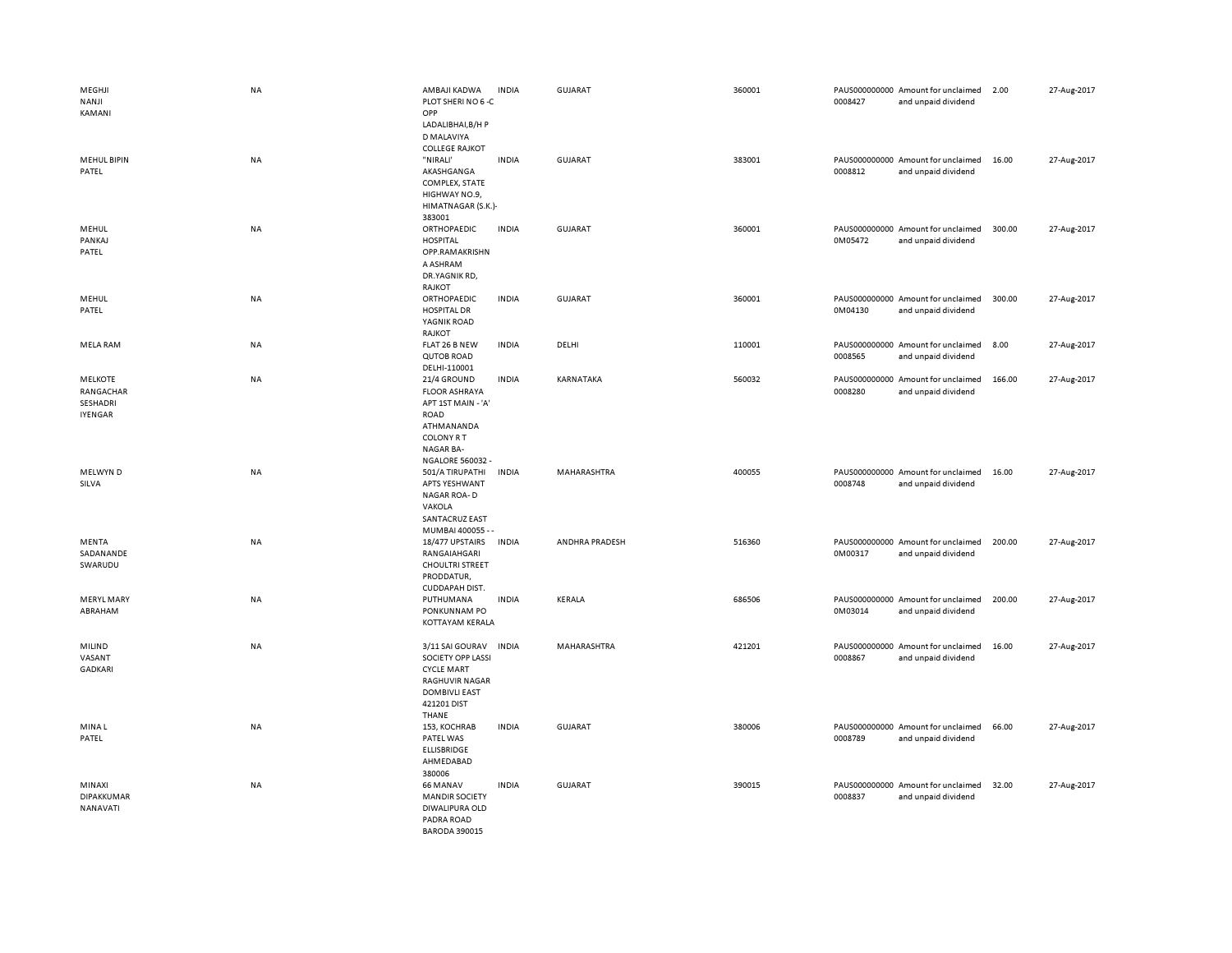| MEGHJI<br>NANJI<br>KAMANI               | <b>NA</b> | AMBAJI KADWA<br>PLOT SHERINO 6-C<br>OPP                                                                                   | <b>INDIA</b> | <b>GUJARAT</b> | 360001 | 0008427 | PAUS000000000 Amount for unclaimed<br>and unpaid dividend | 2.00   | 27-Aug-2017 |
|-----------------------------------------|-----------|---------------------------------------------------------------------------------------------------------------------------|--------------|----------------|--------|---------|-----------------------------------------------------------|--------|-------------|
| <b>MEHUL BIPIN</b><br>PATEL             | NA        | LADALIBHAI, B/H P<br>D MALAVIYA<br><b>COLLEGE RAJKOT</b><br>"NIRALI'<br>AKASHGANGA<br>COMPLEX, STATE<br>HIGHWAY NO.9,     | <b>INDIA</b> | GUJARAT        | 383001 | 0008812 | PAUS000000000 Amount for unclaimed<br>and unpaid dividend | 16.00  | 27-Aug-2017 |
| MEHUL<br>PANKAJ<br>PATEL                | <b>NA</b> | HIMATNAGAR (S.K.)-<br>383001<br>ORTHOPAEDIC<br><b>HOSPITAL</b><br>OPP.RAMAKRISHN<br>A ASHRAM<br>DR.YAGNIK RD,             | <b>INDIA</b> | <b>GUJARAT</b> | 360001 | 0M05472 | PAUS000000000 Amount for unclaimed<br>and unpaid dividend | 300.00 | 27-Aug-2017 |
| MEHUL<br>PATEL                          | <b>NA</b> | RAJKOT<br>ORTHOPAEDIC<br><b>HOSPITAL DR</b><br>YAGNIK ROAD                                                                | <b>INDIA</b> | <b>GUJARAT</b> | 360001 | 0M04130 | PAUS000000000 Amount for unclaimed<br>and unpaid dividend | 300.00 | 27-Aug-2017 |
| <b>MELA RAM</b>                         | <b>NA</b> | RAJKOT<br>FLAT 26 B NEW<br><b>QUTOB ROAD</b>                                                                              | <b>INDIA</b> | DELHI          | 110001 | 0008565 | PAUS000000000 Amount for unclaimed<br>and unpaid dividend | 8.00   | 27-Aug-2017 |
| <b>MELKOTE</b><br>RANGACHAR<br>SESHADRI | <b>NA</b> | DELHI-110001<br>21/4 GROUND<br><b>FLOOR ASHRAYA</b><br>APT 1ST MAIN - 'A'                                                 | <b>INDIA</b> | KARNATAKA      | 560032 | 0008280 | PAUS000000000 Amount for unclaimed<br>and unpaid dividend | 166.00 | 27-Aug-2017 |
| <b>IYENGAR</b>                          |           | ROAD<br>ATHMANANDA<br><b>COLONY R T</b><br>NAGAR BA-                                                                      |              |                |        |         |                                                           |        |             |
| MELWYN D<br>SILVA                       | <b>NA</b> | NGALORE 560032 -<br>501/A TIRUPATHI<br>APTS YESHWANT<br>NAGAR ROA-D<br>VAKOLA<br>SANTACRUZ EAST                           | <b>INDIA</b> | MAHARASHTRA    | 400055 | 0008748 | PAUS000000000 Amount for unclaimed<br>and unpaid dividend | 16.00  | 27-Aug-2017 |
| MENTA<br>SADANANDE<br>SWARUDU           | NA        | MUMBAI 400055 - -<br>18/477 UPSTAIRS<br>RANGAIAHGARI<br><b>CHOULTRI STREET</b><br>PRODDATUR,                              | <b>INDIA</b> | ANDHRA PRADESH | 516360 | 0M00317 | PAUS000000000 Amount for unclaimed<br>and unpaid dividend | 200.00 | 27-Aug-2017 |
| <b>MERYL MARY</b><br>ABRAHAM            | NA        | CUDDAPAH DIST.<br>PUTHUMANA<br>PONKUNNAM PO<br>KOTTAYAM KERALA                                                            | <b>INDIA</b> | <b>KERALA</b>  | 686506 | 0M03014 | PAUS000000000 Amount for unclaimed<br>and unpaid dividend | 200.00 | 27-Aug-2017 |
| MILIND<br>VASANT<br><b>GADKARI</b>      | <b>NA</b> | 3/11 SAI GOURAV<br>SOCIETY OPP LASSI<br><b>CYCLE MART</b><br><b>RAGHUVIR NAGAR</b><br><b>DOMBIVLI EAST</b><br>421201 DIST | <b>INDIA</b> | MAHARASHTRA    | 421201 | 0008867 | PAUS000000000 Amount for unclaimed<br>and unpaid dividend | 16.00  | 27-Aug-2017 |
| MINA L<br>PATEL                         | <b>NA</b> | THANE<br>153, KOCHRAB<br>PATEL WAS<br>ELLISBRIDGE<br>AHMEDABAD                                                            | <b>INDIA</b> | <b>GUJARAT</b> | 380006 | 0008789 | PAUS000000000 Amount for unclaimed<br>and unpaid dividend | 66.00  | 27-Aug-2017 |
| MINAXI<br><b>DIPAKKUMAR</b><br>NANAVATI | <b>NA</b> | 380006<br>66 MANAV<br><b>MANDIR SOCIETY</b><br>DIWALIPURA OLD<br>PADRA ROAD<br><b>BARODA 390015</b>                       | <b>INDIA</b> | <b>GUJARAT</b> | 390015 | 0008837 | PAUS000000000 Amount for unclaimed<br>and unpaid dividend | 32.00  | 27-Aug-2017 |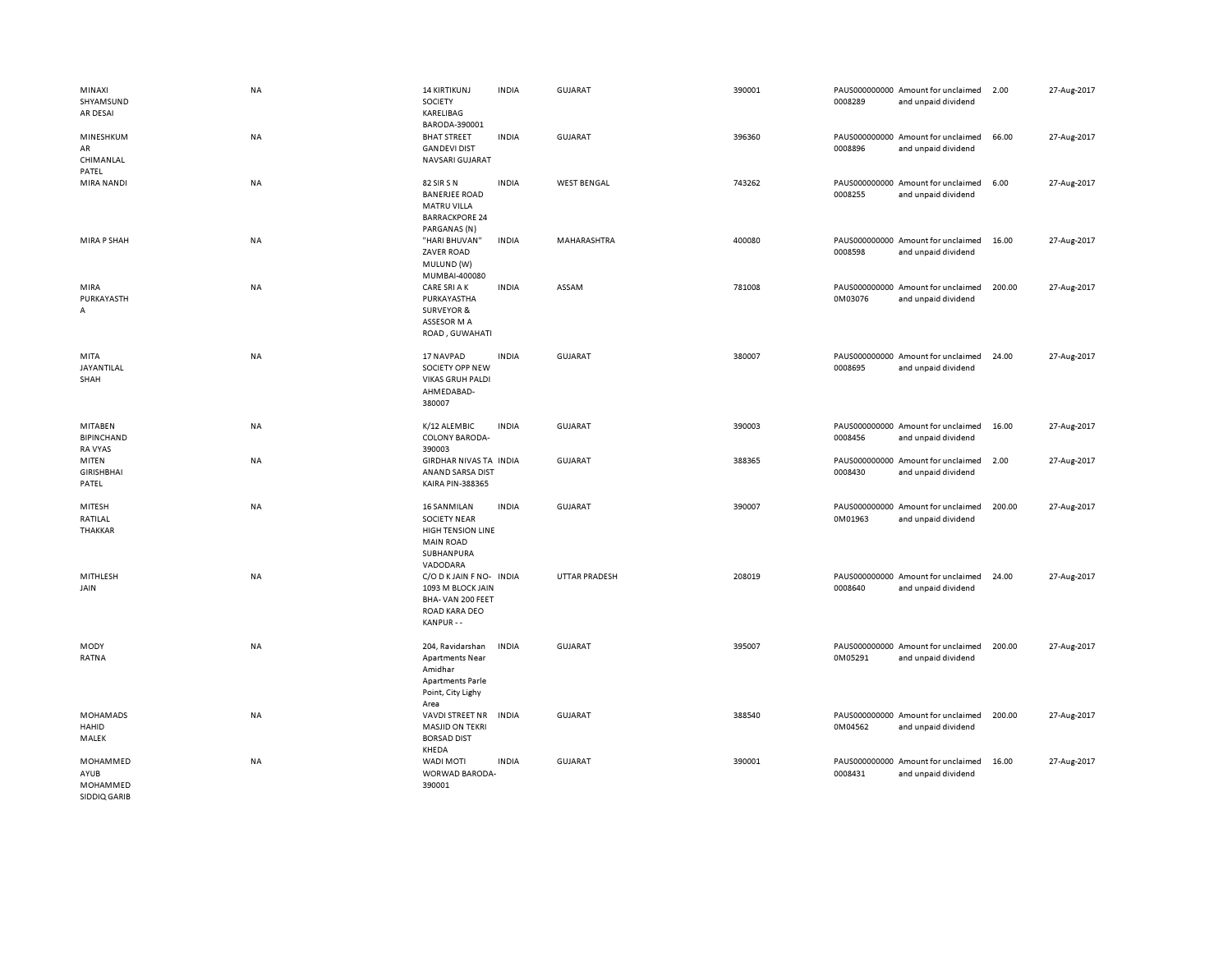| MINAXI<br>SHYAMSUND<br>AR DESAI                | <b>NA</b> | <b>14 KIRTIKUNJ</b><br>SOCIETY<br>KARELIBAG                                                                         | <b>INDIA</b> | <b>GUJARAT</b>       | 390001 | 0008289 | PAUS000000000 Amount for unclaimed<br>and unpaid dividend | 2.00   | 27-Aug-2017 |
|------------------------------------------------|-----------|---------------------------------------------------------------------------------------------------------------------|--------------|----------------------|--------|---------|-----------------------------------------------------------|--------|-------------|
| MINESHKUM<br>AR<br>CHIMANLAL<br>PATEL          | NA        | BARODA-390001<br><b>BHAT STREET</b><br><b>GANDEVI DIST</b><br>NAVSARI GUJARAT                                       | <b>INDIA</b> | GUJARAT              | 396360 | 0008896 | PAUS000000000 Amount for unclaimed<br>and unpaid dividend | 66.00  | 27-Aug-2017 |
| MIRA NANDI                                     | NA        | 82 SIR S N<br><b>BANERJEE ROAD</b><br><b>MATRU VILLA</b><br><b>BARRACKPORE 24</b><br>PARGANAS (N)                   | <b>INDIA</b> | <b>WEST BENGAL</b>   | 743262 | 0008255 | PAUS000000000 Amount for unclaimed<br>and unpaid dividend | 6.00   | 27-Aug-2017 |
| MIRA P SHAH                                    | NA        | "HARI BHUVAN"<br><b>ZAVER ROAD</b><br>MULUND (W)<br>MUMBAI-400080                                                   | <b>INDIA</b> | MAHARASHTRA          | 400080 | 0008598 | PAUS000000000 Amount for unclaimed<br>and unpaid dividend | 16.00  | 27-Aug-2017 |
| MIRA<br>PURKAYASTH<br>А                        | <b>NA</b> | <b>CARE SRI A K</b><br>PURKAYASTHA<br><b>SURVEYOR &amp;</b><br>ASSESOR M A<br>ROAD, GUWAHATI                        | <b>INDIA</b> | ASSAM                | 781008 | 0M03076 | PAUS000000000 Amount for unclaimed<br>and unpaid dividend | 200.00 | 27-Aug-2017 |
| MITA<br>JAYANTILAL<br>SHAH                     | NA        | 17 NAVPAD<br>SOCIETY OPP NEW<br><b>VIKAS GRUH PALDI</b><br>AHMEDABAD-<br>380007                                     | <b>INDIA</b> | GUJARAT              | 380007 | 0008695 | PAUS000000000 Amount for unclaimed<br>and unpaid dividend | 24.00  | 27-Aug-2017 |
| MITABEN<br><b>BIPINCHAND</b><br><b>RA VYAS</b> | NA        | K/12 ALEMBIC<br><b>COLONY BARODA-</b><br>390003                                                                     | <b>INDIA</b> | GUJARAT              | 390003 | 0008456 | PAUS000000000 Amount for unclaimed<br>and unpaid dividend | 16.00  | 27-Aug-2017 |
| MITEN<br><b>GIRISHBHAI</b><br>PATEL            | NA        | GIRDHAR NIVAS TA INDIA<br>ANAND SARSA DIST<br><b>KAIRA PIN-388365</b>                                               |              | GUJARAT              | 388365 | 0008430 | PAUS000000000 Amount for unclaimed<br>and unpaid dividend | 2.00   | 27-Aug-2017 |
| MITESH<br>RATILAL<br>THAKKAR                   | NA        | <b>16 SANMILAN</b><br><b>SOCIETY NEAR</b><br><b>HIGH TENSION LINE</b><br><b>MAIN ROAD</b><br>SUBHANPURA<br>VADODARA | <b>INDIA</b> | <b>GUJARAT</b>       | 390007 | 0M01963 | PAUS000000000 Amount for unclaimed<br>and unpaid dividend | 200.00 | 27-Aug-2017 |
| MITHLESH<br>JAIN                               | NA        | C/O D K JAIN F NO- INDIA<br>1093 M BLOCK JAIN<br>BHA-VAN 200 FEET<br>ROAD KARA DEO<br>KANPUR --                     |              | <b>UTTAR PRADESH</b> | 208019 | 0008640 | PAUS000000000 Amount for unclaimed<br>and unpaid dividend | 24.00  | 27-Aug-2017 |
| MODY<br>RATNA                                  | NA        | 204, Ravidarshan<br><b>Apartments Near</b><br>Amidhar<br><b>Apartments Parle</b><br>Point, City Lighy<br>Area       | <b>INDIA</b> | <b>GUJARAT</b>       | 395007 | 0M05291 | PAUS000000000 Amount for unclaimed<br>and unpaid dividend | 200.00 | 27-Aug-2017 |
| <b>MOHAMADS</b><br><b>HAHID</b><br>MALEK       | NA        | VAVDI STREET NR<br><b>MASJID ON TEKRI</b><br><b>BORSAD DIST</b><br>KHEDA                                            | <b>INDIA</b> | GUJARAT              | 388540 | 0M04562 | PAUS000000000 Amount for unclaimed<br>and unpaid dividend | 200.00 | 27-Aug-2017 |
| MOHAMMED<br>AYUB<br>MOHAMMED<br>SIDDIQ GARIB   | <b>NA</b> | <b>WADI MOTI</b><br>WORWAD BARODA-<br>390001                                                                        | <b>INDIA</b> | <b>GUJARAT</b>       | 390001 | 0008431 | PAUS000000000 Amount for unclaimed<br>and unpaid dividend | 16.00  | 27-Aug-2017 |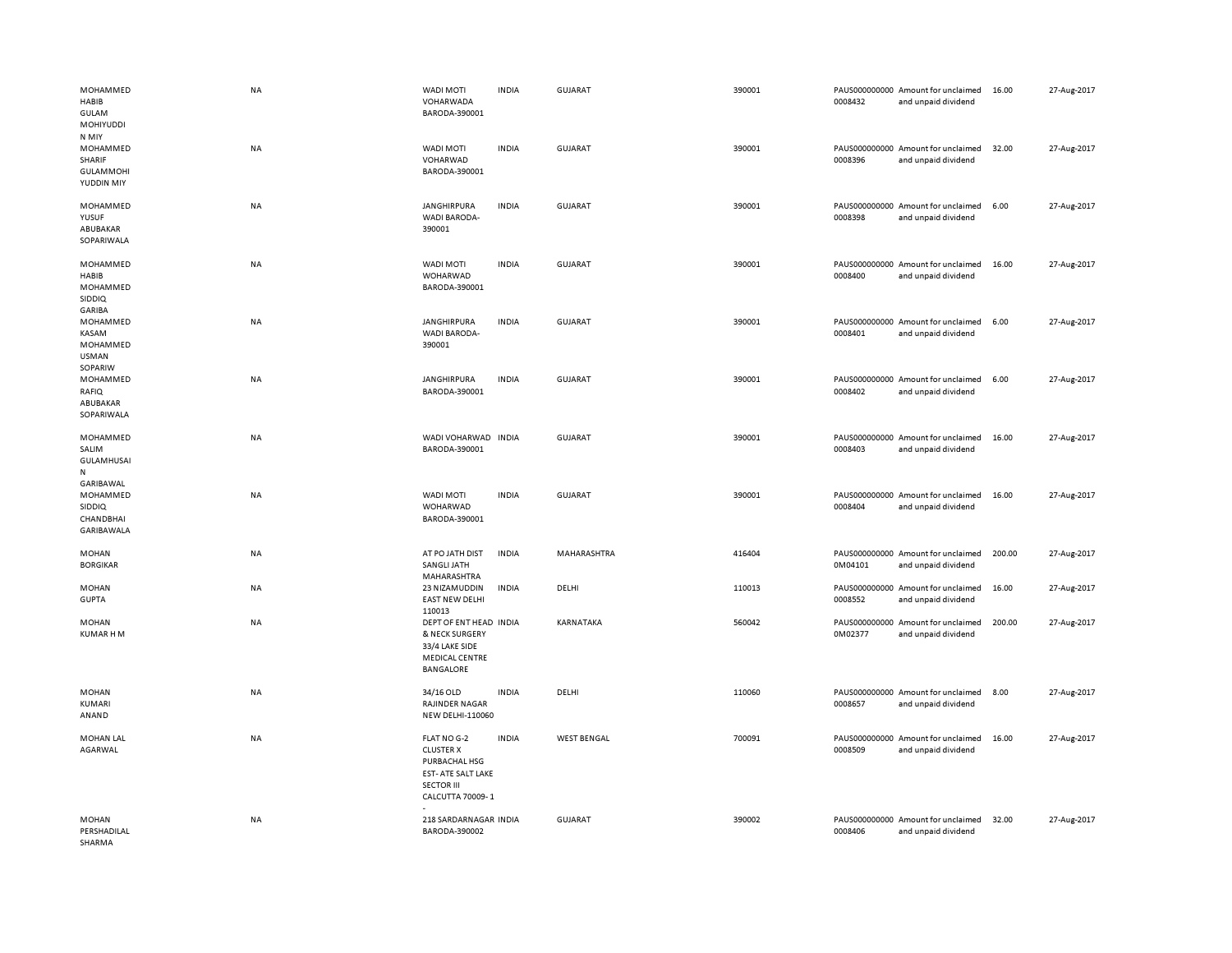| MOHAMMED<br>HABIB<br><b>GULAM</b><br>MOHIYUDDI                | <b>NA</b> | <b>WADI MOTI</b><br>VOHARWADA<br>BARODA-390001                                                                  | <b>INDIA</b> | GUJARAT            | 390001 | 0008432 | PAUS000000000 Amount for unclaimed<br>and unpaid dividend | 16.00  | 27-Aug-2017 |
|---------------------------------------------------------------|-----------|-----------------------------------------------------------------------------------------------------------------|--------------|--------------------|--------|---------|-----------------------------------------------------------|--------|-------------|
| N MIY<br>MOHAMMED<br>SHARIF<br><b>GULAMMOHI</b><br>YUDDIN MIY | <b>NA</b> | <b>WADI MOTI</b><br>VOHARWAD<br>BARODA-390001                                                                   | <b>INDIA</b> | <b>GUJARAT</b>     | 390001 | 0008396 | PAUS000000000 Amount for unclaimed<br>and unpaid dividend | 32.00  | 27-Aug-2017 |
| MOHAMMED<br>YUSUF<br>ABUBAKAR<br>SOPARIWALA                   | NA        | <b>JANGHIRPURA</b><br>WADI BARODA-<br>390001                                                                    | <b>INDIA</b> | GUJARAT            | 390001 | 0008398 | PAUS000000000 Amount for unclaimed<br>and unpaid dividend | 6.00   | 27-Aug-2017 |
| MOHAMMED<br>HABIB<br>MOHAMMED<br><b>SIDDIQ</b><br>GARIBA      | <b>NA</b> | WADI MOTI<br>WOHARWAD<br>BARODA-390001                                                                          | <b>INDIA</b> | <b>GUJARAT</b>     | 390001 | 0008400 | PAUS000000000 Amount for unclaimed<br>and unpaid dividend | 16.00  | 27-Aug-2017 |
| MOHAMMED<br>KASAM<br>MOHAMMED<br>USMAN<br>SOPARIW             | <b>NA</b> | <b>JANGHIRPURA</b><br>WADI BARODA-<br>390001                                                                    | <b>INDIA</b> | <b>GUJARAT</b>     | 390001 | 0008401 | PAUS000000000 Amount for unclaimed<br>and unpaid dividend | 6.00   | 27-Aug-2017 |
| MOHAMMED<br>RAFIQ<br>ABUBAKAR<br>SOPARIWALA                   | NA        | <b>JANGHIRPURA</b><br>BARODA-390001                                                                             | <b>INDIA</b> | <b>GUJARAT</b>     | 390001 | 0008402 | PAUS000000000 Amount for unclaimed<br>and unpaid dividend | 6.00   | 27-Aug-2017 |
| MOHAMMED<br>SALIM<br><b>GULAMHUSAI</b><br>N<br>GARIBAWAL      | <b>NA</b> | WADI VOHARWAD<br>BARODA-390001                                                                                  | <b>INDIA</b> | <b>GUJARAT</b>     | 390001 | 0008403 | PAUS000000000 Amount for unclaimed<br>and unpaid dividend | 16.00  | 27-Aug-2017 |
| MOHAMMED<br><b>SIDDIQ</b><br><b>CHANDBHAI</b><br>GARIBAWALA   | NA        | WADI MOTI<br>WOHARWAD<br>BARODA-390001                                                                          | <b>INDIA</b> | <b>GUJARAT</b>     | 390001 | 0008404 | PAUS000000000 Amount for unclaimed<br>and unpaid dividend | 16.00  | 27-Aug-2017 |
| <b>MOHAN</b><br><b>BORGIKAR</b>                               | ΝA        | AT PO JATH DIST<br>SANGLI JATH<br>MAHARASHTRA                                                                   | <b>INDIA</b> | MAHARASHTRA        | 416404 | 0M04101 | PAUS000000000 Amount for unclaimed<br>and unpaid dividend | 200.00 | 27-Aug-2017 |
| <b>MOHAN</b><br><b>GUPTA</b>                                  | NA        | 23 NIZAMUDDIN<br><b>EAST NEW DELHI</b><br>110013                                                                | <b>INDIA</b> | DELHI              | 110013 | 0008552 | PAUS000000000 Amount for unclaimed<br>and unpaid dividend | 16.00  | 27-Aug-2017 |
| <b>MOHAN</b><br>KUMAR H M                                     | NA        | DEPT OF ENT HEAD INDIA<br>& NECK SURGERY<br>33/4 LAKE SIDE<br>MEDICAL CENTRE<br>BANGALORE                       |              | KARNATAKA          | 560042 | 0M02377 | PAUS000000000 Amount for unclaimed<br>and unpaid dividend | 200.00 | 27-Aug-2017 |
| <b>MOHAN</b><br>KUMARI<br>ANAND                               | <b>NA</b> | 34/16 OLD<br>RAJINDER NAGAR<br>NEW DELHI-110060                                                                 | <b>INDIA</b> | DELHI              | 110060 | 0008657 | PAUS000000000 Amount for unclaimed<br>and unpaid dividend | 8.00   | 27-Aug-2017 |
| <b>MOHAN LAL</b><br>AGARWAL                                   | <b>NA</b> | FLAT NO G-2<br><b>CLUSTER X</b><br>PURBACHAL HSG<br>EST- ATE SALT LAKE<br><b>SECTOR III</b><br>CALCUTTA 70009-1 | <b>INDIA</b> | <b>WEST BENGAL</b> | 700091 | 0008509 | PAUS000000000 Amount for unclaimed<br>and unpaid dividend | 16.00  | 27-Aug-2017 |
| <b>MOHAN</b><br>PERSHADILAL<br>SHARMA                         | <b>NA</b> | 218 SARDARNAGAR INDIA<br>BARODA-390002                                                                          |              | <b>GUJARAT</b>     | 390002 | 0008406 | PAUS000000000 Amount for unclaimed<br>and unpaid dividend | 32.00  | 27-Aug-2017 |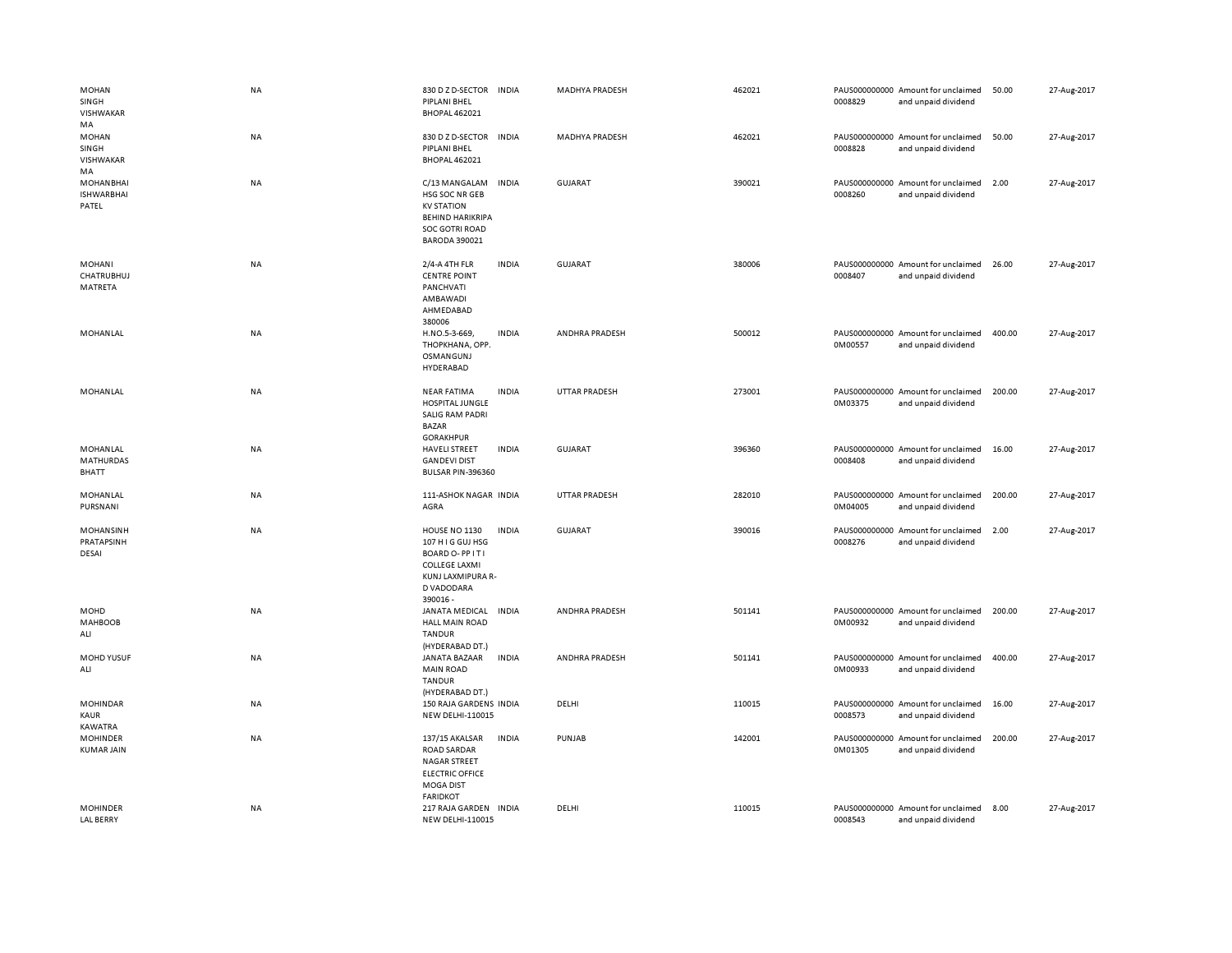| <b>MOHAN</b><br>SINGH<br><b>VISHWAKAR</b>      | <b>NA</b> | 830 D Z D-SECTOR INDIA<br>PIPLANI BHEL<br><b>BHOPAL 462021</b>                                                                   |              | <b>MADHYA PRADESH</b> | 462021 | 0008829 | PAUS000000000 Amount for unclaimed<br>and unpaid dividend | 50.00  | 27-Aug-2017 |
|------------------------------------------------|-----------|----------------------------------------------------------------------------------------------------------------------------------|--------------|-----------------------|--------|---------|-----------------------------------------------------------|--------|-------------|
| MA<br><b>MOHAN</b><br>SINGH<br>VISHWAKAR<br>MA | NA        | 830 D Z D-SECTOR<br>PIPLANI BHEL<br><b>BHOPAL 462021</b>                                                                         | <b>INDIA</b> | <b>MADHYA PRADESH</b> | 462021 | 0008828 | PAUS000000000 Amount for unclaimed<br>and unpaid dividend | 50.00  | 27-Aug-2017 |
| <b>MOHANBHAI</b><br><b>ISHWARBHAI</b><br>PATEL | NA        | C/13 MANGALAM<br>HSG SOC NR GEB<br><b>KV STATION</b><br><b>BEHIND HARIKRIPA</b><br><b>SOC GOTRI ROAD</b><br><b>BARODA 390021</b> | <b>INDIA</b> | <b>GUJARAT</b>        | 390021 | 0008260 | PAUS000000000 Amount for unclaimed<br>and unpaid dividend | 2.00   | 27-Aug-2017 |
| <b>MOHANI</b><br><b>CHATRUBHUJ</b><br>MATRETA  | NA        | 2/4-A 4TH FLR<br><b>CENTRE POINT</b><br>PANCHVATI<br>AMBAWADI<br>AHMEDABAD<br>380006                                             | <b>INDIA</b> | <b>GUJARAT</b>        | 380006 | 0008407 | PAUS000000000 Amount for unclaimed<br>and unpaid dividend | 26.00  | 27-Aug-2017 |
| MOHANLAL                                       | NA        | H.NO.5-3-669,<br>THOPKHANA, OPP.<br><b>OSMANGUNJ</b><br>HYDERABAD                                                                | <b>INDIA</b> | ANDHRA PRADESH        | 500012 | 0M00557 | PAUS000000000 Amount for unclaimed<br>and unpaid dividend | 400.00 | 27-Aug-2017 |
| MOHANLAL                                       | NA        | <b>NEAR FATIMA</b><br>HOSPITAL JUNGLE<br><b>SALIG RAM PADRI</b><br><b>BAZAR</b><br><b>GORAKHPUR</b>                              | <b>INDIA</b> | <b>UTTAR PRADESH</b>  | 273001 | 0M03375 | PAUS000000000 Amount for unclaimed<br>and unpaid dividend | 200.00 | 27-Aug-2017 |
| MOHANLAL<br>MATHURDAS<br>BHATT                 | NA        | <b>HAVELI STREET</b><br><b>GANDEVI DIST</b><br>BULSAR PIN-396360                                                                 | <b>INDIA</b> | <b>GUJARAT</b>        | 396360 | 0008408 | PAUS000000000 Amount for unclaimed<br>and unpaid dividend | 16.00  | 27-Aug-2017 |
| MOHANLAL<br>PURSNANI                           | NA        | 111-ASHOK NAGAR INDIA<br>AGRA                                                                                                    |              | <b>UTTAR PRADESH</b>  | 282010 | 0M04005 | PAUS000000000 Amount for unclaimed<br>and unpaid dividend | 200.00 | 27-Aug-2017 |
| MOHANSINH<br>PRATAPSINH<br>DESAI               | NA        | HOUSE NO 1130<br>107 H I G GUJ HSG<br>BOARD O-PPITI<br><b>COLLEGE LAXMI</b><br>KUNJ LAXMIPURA R-<br>D VADODARA<br>390016-        | <b>INDIA</b> | <b>GUJARAT</b>        | 390016 | 0008276 | PAUS000000000 Amount for unclaimed<br>and unpaid dividend | 2.00   | 27-Aug-2017 |
| MOHD<br><b>MAHBOOB</b><br>ALI                  | <b>NA</b> | JANATA MEDICAL<br><b>HALL MAIN ROAD</b><br><b>TANDUR</b><br>(HYDERABAD DT.)                                                      | <b>INDIA</b> | ANDHRA PRADESH        | 501141 | 0M00932 | PAUS000000000 Amount for unclaimed<br>and unpaid dividend | 200.00 | 27-Aug-2017 |
| <b>MOHD YUSUF</b><br>ALI                       | NA        | JANATA BAZAAR<br><b>MAIN ROAD</b><br><b>TANDUR</b><br>(HYDERABAD DT.)                                                            | <b>INDIA</b> | ANDHRA PRADESH        | 501141 | 0M00933 | PAUS000000000 Amount for unclaimed<br>and unpaid dividend | 400.00 | 27-Aug-2017 |
| <b>MOHINDAR</b><br>KAUR<br>KAWATRA             | NA        | 150 RAJA GARDENS INDIA<br><b>NEW DELHI-110015</b>                                                                                |              | DELHI                 | 110015 | 0008573 | PAUS000000000 Amount for unclaimed<br>and unpaid dividend | 16.00  | 27-Aug-2017 |
| <b>MOHINDER</b><br><b>KUMAR JAIN</b>           | <b>NA</b> | 137/15 AKALSAR<br><b>ROAD SARDAR</b><br><b>NAGAR STREET</b><br><b>ELECTRIC OFFICE</b><br><b>MOGA DIST</b><br><b>FARIDKOT</b>     | <b>INDIA</b> | PUNJAB                | 142001 | 0M01305 | PAUS000000000 Amount for unclaimed<br>and unpaid dividend | 200.00 | 27-Aug-2017 |
| <b>MOHINDER</b><br><b>LAL BERRY</b>            | <b>NA</b> | 217 RAJA GARDEN INDIA<br><b>NEW DELHI-110015</b>                                                                                 |              | DELHI                 | 110015 | 0008543 | PAUS000000000 Amount for unclaimed<br>and unpaid dividend | 8.00   | 27-Aug-2017 |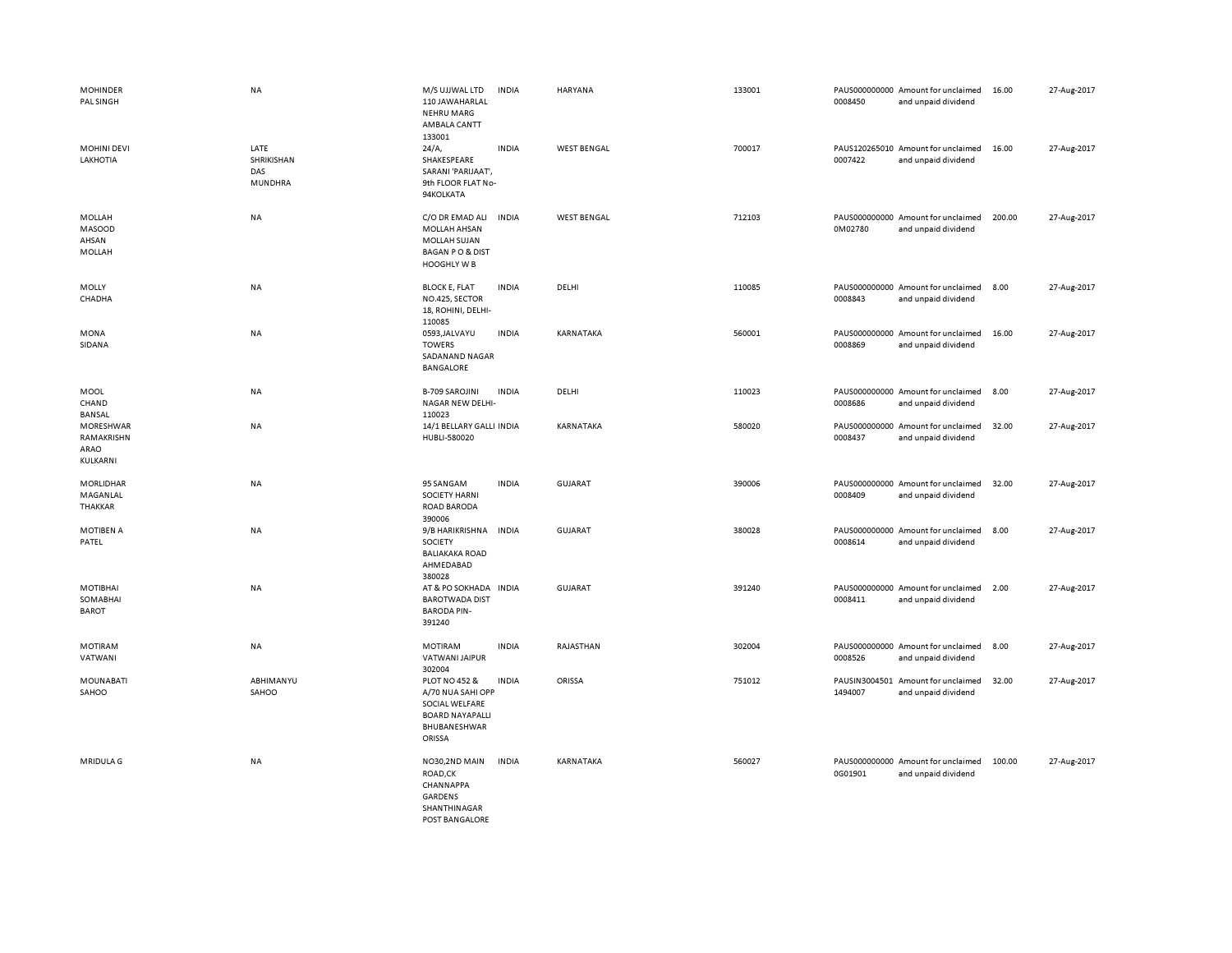| <b>MOHINDER</b><br>PAL SINGH                      | NA                                          | M/S UJJWAL LTD<br>110 JAWAHARLAL<br><b>NEHRU MARG</b><br>AMBALA CANTT<br>133001                                     | <b>INDIA</b> | <b>HARYANA</b>     | 133001 | 0008450 | PAUS000000000 Amount for unclaimed<br>and unpaid dividend | 16.00  | 27-Aug-2017 |
|---------------------------------------------------|---------------------------------------------|---------------------------------------------------------------------------------------------------------------------|--------------|--------------------|--------|---------|-----------------------------------------------------------|--------|-------------|
| <b>MOHINI DEVI</b><br>LAKHOTIA                    | LATE<br>SHRIKISHAN<br>DAS<br><b>MUNDHRA</b> | 24/A,<br>SHAKESPEARE<br>SARANI 'PARIJAAT',<br>9th FLOOR FLAT No-<br>94KOLKATA                                       | <b>INDIA</b> | <b>WEST BENGAL</b> | 700017 | 0007422 | PAUS120265010 Amount for unclaimed<br>and unpaid dividend | 16.00  | 27-Aug-2017 |
| MOLLAH<br><b>MASOOD</b><br>AHSAN<br><b>MOLLAH</b> | NA                                          | C/O DR EMAD ALI<br>MOLLAH AHSAN<br><b>MOLLAH SUJAN</b><br><b>BAGAN PO &amp; DIST</b><br>HOOGHLY W B                 | <b>INDIA</b> | <b>WEST BENGAL</b> | 712103 | 0M02780 | PAUS000000000 Amount for unclaimed<br>and unpaid dividend | 200.00 | 27-Aug-2017 |
| MOLLY<br>CHADHA                                   | <b>NA</b>                                   | <b>BLOCK E, FLAT</b><br>NO.425, SECTOR<br>18, ROHINI, DELHI-<br>110085                                              | <b>INDIA</b> | DELHI              | 110085 | 0008843 | PAUS000000000 Amount for unclaimed<br>and unpaid dividend | 8.00   | 27-Aug-2017 |
| MONA<br>SIDANA                                    | <b>NA</b>                                   | 0593, JALVAYU<br><b>TOWERS</b><br>SADANAND NAGAR<br>BANGALORE                                                       | <b>INDIA</b> | KARNATAKA          | 560001 | 0008869 | PAUS000000000 Amount for unclaimed<br>and unpaid dividend | 16.00  | 27-Aug-2017 |
| MOOL<br>CHAND<br>BANSAL                           | NA                                          | <b>B-709 SAROJINI</b><br>NAGAR NEW DELHI-<br>110023                                                                 | <b>INDIA</b> | DELHI              | 110023 | 0008686 | PAUS000000000 Amount for unclaimed<br>and unpaid dividend | 8.00   | 27-Aug-2017 |
| MORESHWAR<br>RAMAKRISHN<br>ARAO<br>KULKARNI       | NA                                          | 14/1 BELLARY GALLI INDIA<br>HUBLI-580020                                                                            |              | KARNATAKA          | 580020 | 0008437 | PAUS000000000 Amount for unclaimed<br>and unpaid dividend | 32.00  | 27-Aug-2017 |
| MORLIDHAR<br>MAGANLAL<br>THAKKAR                  | NA                                          | 95 SANGAM<br><b>SOCIETY HARNI</b><br><b>ROAD BARODA</b><br>390006                                                   | <b>INDIA</b> | <b>GUJARAT</b>     | 390006 | 0008409 | PAUS000000000 Amount for unclaimed<br>and unpaid dividend | 32.00  | 27-Aug-2017 |
| <b>MOTIBEN A</b><br>PATEL                         | NA                                          | 9/B HARIKRISHNA<br>SOCIETY<br><b>BALIAKAKA ROAD</b><br>AHMEDABAD<br>380028                                          | <b>INDIA</b> | GUJARAT            | 380028 | 0008614 | PAUS000000000 Amount for unclaimed<br>and unpaid dividend | 8.00   | 27-Aug-2017 |
| MOTIBHAI<br>SOMABHAI<br><b>BAROT</b>              | NA                                          | AT & PO SOKHADA IN DIA<br><b>BAROTWADA DIST</b><br><b>BARODA PIN-</b><br>391240                                     |              | <b>GUJARAT</b>     | 391240 | 0008411 | PAUS000000000 Amount for unclaimed<br>and unpaid dividend | 2.00   | 27-Aug-2017 |
| <b>MOTIRAM</b><br>VATWANI                         | NA                                          | <b>MOTIRAM</b><br>VATWANI JAIPUR<br>302004                                                                          | <b>INDIA</b> | RAJASTHAN          | 302004 | 0008526 | PAUS000000000 Amount for unclaimed<br>and unpaid dividend | 8.00   | 27-Aug-2017 |
| MOUNABATI<br>SAHOO                                | ABHIMANYU<br>SAHOO                          | <b>PLOT NO 452 &amp;</b><br>A/70 NUA SAHI OPP<br>SOCIAL WELFARE<br><b>BOARD NAYAPALLI</b><br>BHUBANESHWAR<br>ORISSA | <b>INDIA</b> | ORISSA             | 751012 | 1494007 | PAUSIN3004501 Amount for unclaimed<br>and unpaid dividend | 32.00  | 27-Aug-2017 |
| <b>MRIDULA G</b>                                  | NA                                          | NO30,2ND MAIN<br>ROAD,CK<br>CHANNAPPA<br>GARDENS<br>SHANTHINAGAR<br>POST BANGALORE                                  | <b>INDIA</b> | KARNATAKA          | 560027 | 0G01901 | PAUS000000000 Amount for unclaimed<br>and unpaid dividend | 100.00 | 27-Aug-2017 |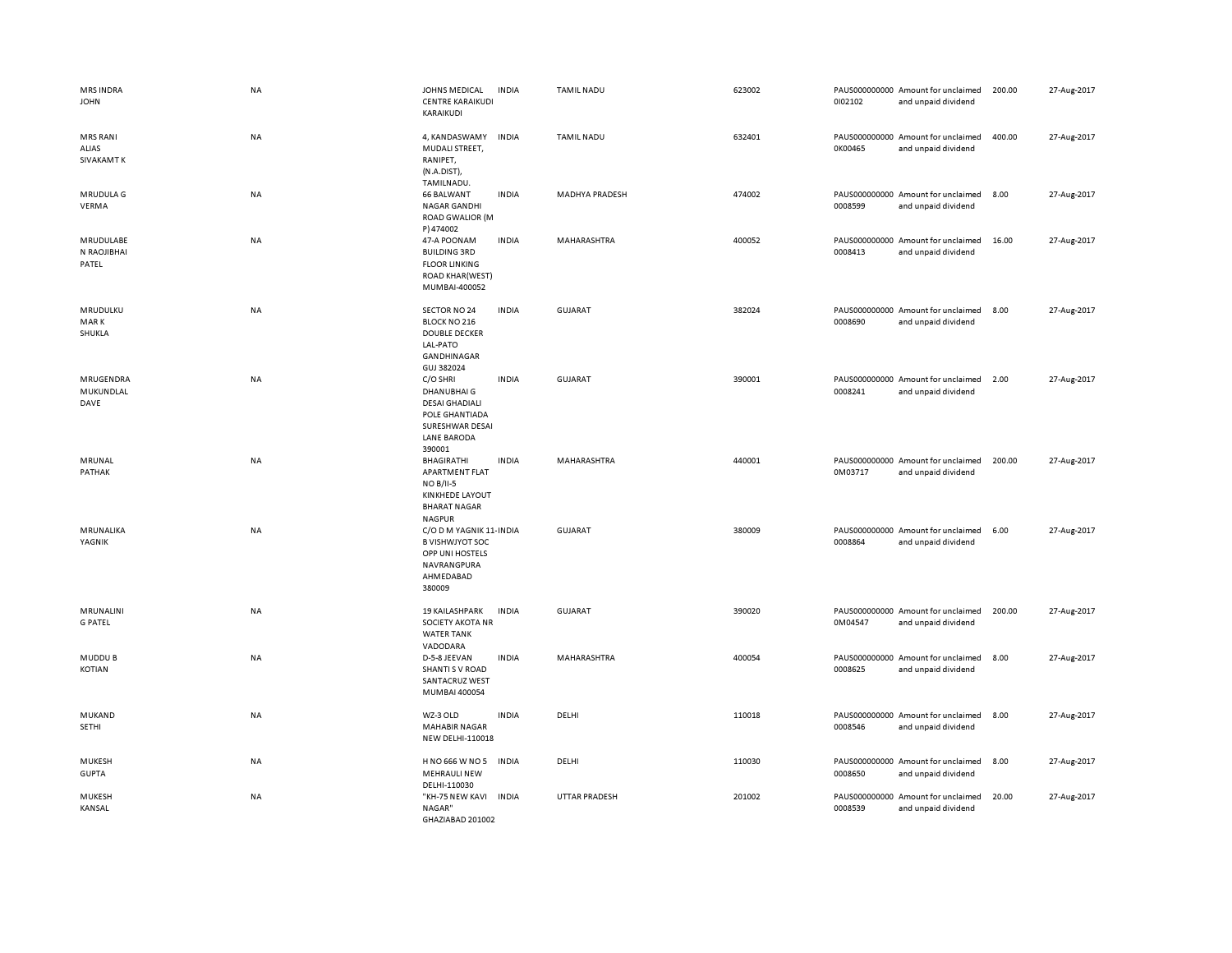| <b>MRS INDRA</b><br><b>JOHN</b>               | <b>NA</b> | JOHNS MEDICAL<br><b>CENTRE KARAIKUDI</b><br>KARAIKUDI                                                                 | <b>INDIA</b> | <b>TAMIL NADU</b>    | 623002 | 0102102 | PAUS000000000 Amount for unclaimed<br>and unpaid dividend | 200.00 | 27-Aug-2017 |
|-----------------------------------------------|-----------|-----------------------------------------------------------------------------------------------------------------------|--------------|----------------------|--------|---------|-----------------------------------------------------------|--------|-------------|
| <b>MRS RANI</b><br>ALIAS<br><b>SIVAKAMT K</b> | NA        | 4, KANDASWAMY<br>MUDALI STREET,<br>RANIPET,<br>(N.A.DIST),<br>TAMILNADU.                                              | INDIA        | <b>TAMIL NADU</b>    | 632401 | 0K00465 | PAUS000000000 Amount for unclaimed<br>and unpaid dividend | 400.00 | 27-Aug-2017 |
| MRUDULA G<br>VERMA                            | NA        | <b>66 BALWANT</b><br>NAGAR GANDHI<br><b>ROAD GWALIOR (M</b><br>P) 474002                                              | <b>INDIA</b> | MADHYA PRADESH       | 474002 | 0008599 | PAUS000000000 Amount for unclaimed<br>and unpaid dividend | 8.00   | 27-Aug-2017 |
| MRUDULABE<br>N RAOJIBHAI<br>PATEL             | <b>NA</b> | 47-A POONAM<br><b>BUILDING 3RD</b><br><b>FLOOR LINKING</b><br><b>ROAD KHAR(WEST)</b><br>MUMBAI-400052                 | <b>INDIA</b> | MAHARASHTRA          | 400052 | 0008413 | PAUS000000000 Amount for unclaimed<br>and unpaid dividend | 16.00  | 27-Aug-2017 |
| MRUDULKU<br><b>MARK</b><br>SHUKLA             | <b>NA</b> | SECTOR NO 24<br><b>BLOCK NO 216</b><br><b>DOUBLE DECKER</b><br>LAL-PATO<br>GANDHINAGAR<br>GUJ 382024                  | <b>INDIA</b> | <b>GUJARAT</b>       | 382024 | 0008690 | PAUS000000000 Amount for unclaimed<br>and unpaid dividend | 8.00   | 27-Aug-2017 |
| MRUGENDRA<br>MUKUNDLAL<br>DAVE                | <b>NA</b> | C/O SHRI<br>DHANUBHAI G<br><b>DESAI GHADIALI</b><br>POLE GHANTIADA<br>SURESHWAR DESAI<br><b>LANE BARODA</b><br>390001 | <b>INDIA</b> | <b>GUJARAT</b>       | 390001 | 0008241 | PAUS000000000 Amount for unclaimed<br>and unpaid dividend | 2.00   | 27-Aug-2017 |
| MRUNAL<br>PATHAK                              | NA        | BHAGIRATHI<br>APARTMENT FLAT<br><b>NO B/II-5</b><br><b>KINKHEDE LAYOUT</b><br><b>BHARAT NAGAR</b><br><b>NAGPUR</b>    | <b>INDIA</b> | MAHARASHTRA          | 440001 | 0M03717 | PAUS000000000 Amount for unclaimed<br>and unpaid dividend | 200.00 | 27-Aug-2017 |
| MRUNALIKA<br>YAGNIK                           | NA        | C/O D M YAGNIK 11- INDIA<br><b>B VISHWJYOT SOC</b><br>OPP UNI HOSTELS<br>NAVRANGPURA<br>AHMEDABAD<br>380009           |              | <b>GUJARAT</b>       | 380009 | 0008864 | PAUS000000000 Amount for unclaimed<br>and unpaid dividend | 6.00   | 27-Aug-2017 |
| MRUNALINI<br><b>G PATEL</b>                   | NA        | <b>19 KAILASHPARK</b><br><b>SOCIETY AKOTA NR</b><br><b>WATER TANK</b><br>VADODARA                                     | <b>INDIA</b> | GUJARAT              | 390020 | 0M04547 | PAUS000000000 Amount for unclaimed<br>and unpaid dividend | 200.00 | 27-Aug-2017 |
| MUDDU B<br>KOTIAN                             | <b>NA</b> | D-5-8 JEEVAN<br><b>SHANTI S V ROAD</b><br>SANTACRUZ WEST<br>MUMBAI 400054                                             | <b>INDIA</b> | MAHARASHTRA          | 400054 | 0008625 | PAUS000000000 Amount for unclaimed<br>and unpaid dividend | 8.00   | 27-Aug-2017 |
| MUKAND<br>SETHI                               | NA        | WZ-3 OLD<br><b>MAHABIR NAGAR</b><br>NEW DELHI-110018                                                                  | <b>INDIA</b> | DELHI                | 110018 | 0008546 | PAUS000000000 Amount for unclaimed<br>and unpaid dividend | 8.00   | 27-Aug-2017 |
| MUKESH<br><b>GUPTA</b>                        | <b>NA</b> | H NO 666 W NO 5<br><b>MEHRAULI NEW</b><br>DELHI-110030                                                                | <b>INDIA</b> | DELHI                | 110030 | 0008650 | PAUS000000000 Amount for unclaimed<br>and unpaid dividend | 8.00   | 27-Aug-2017 |
| MUKESH<br>KANSAL                              | <b>NA</b> | "KH-75 NEW KAVI INDIA<br>NAGAR"<br>GHAZIABAD 201002                                                                   |              | <b>UTTAR PRADESH</b> | 201002 | 0008539 | PAUS000000000 Amount for unclaimed<br>and unpaid dividend | 20.00  | 27-Aug-2017 |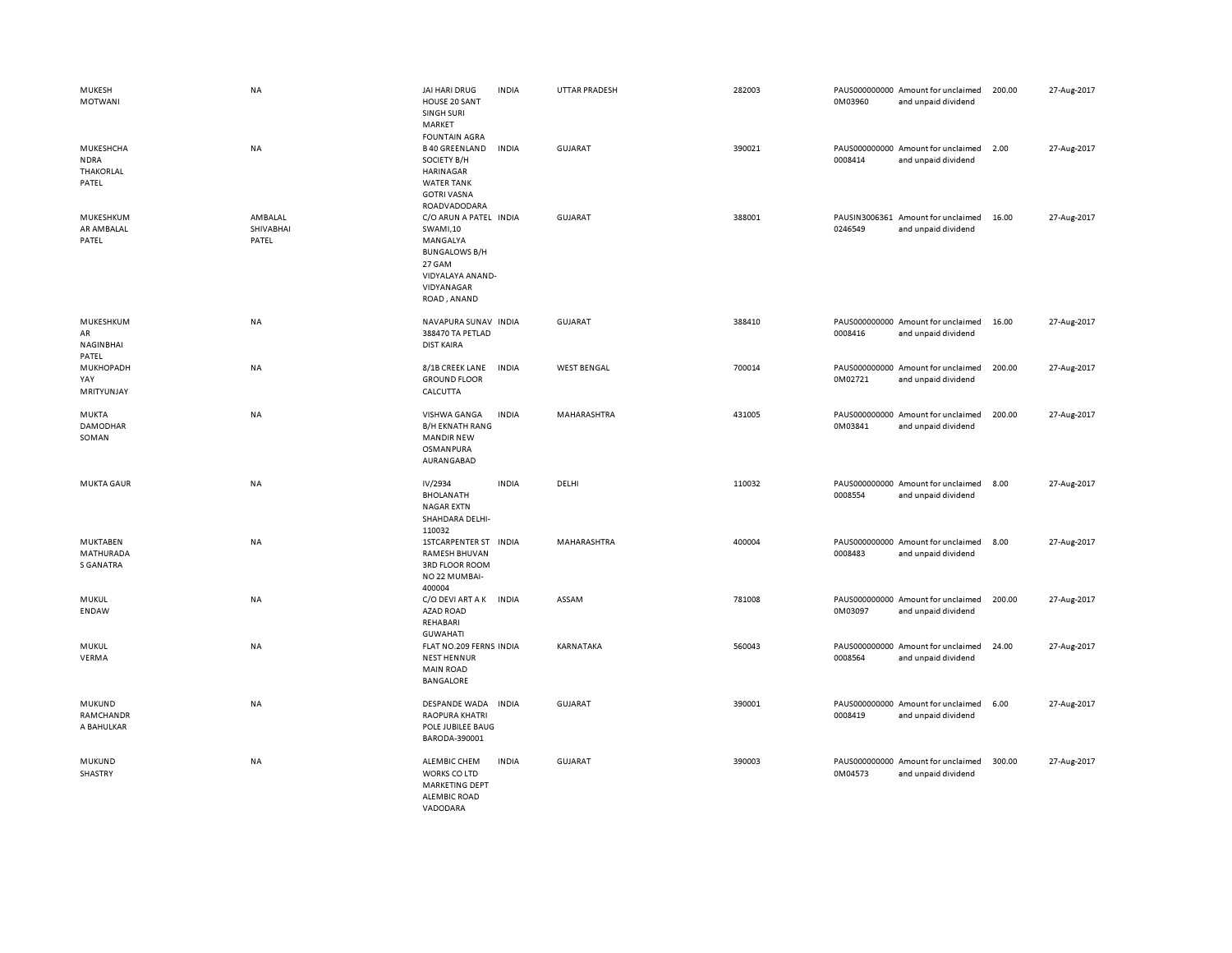| MUKESH<br><b>MOTWANI</b>                                | <b>NA</b>                     | JAI HARI DRUG<br>HOUSE 20 SANT<br>SINGH SURI<br>MARKET<br><b>FOUNTAIN AGRA</b>                                                    | <b>INDIA</b> | <b>UTTAR PRADESH</b> | 282003 | 0M03960 | PAUS000000000 Amount for unclaimed<br>and unpaid dividend | 200.00 | 27-Aug-2017 |
|---------------------------------------------------------|-------------------------------|-----------------------------------------------------------------------------------------------------------------------------------|--------------|----------------------|--------|---------|-----------------------------------------------------------|--------|-------------|
| MUKESHCHA<br><b>NDRA</b><br><b>THAKORLAL</b><br>PATEL   | <b>NA</b>                     | <b>B40 GREENLAND</b><br>SOCIETY B/H<br><b>HARINAGAR</b><br><b>WATER TANK</b><br><b>GOTRI VASNA</b><br>ROADVADODARA                | <b>INDIA</b> | <b>GUJARAT</b>       | 390021 | 0008414 | PAUS000000000 Amount for unclaimed<br>and unpaid dividend | 2.00   | 27-Aug-2017 |
| MUKESHKUM<br>AR AMBALAL<br>PATEL                        | AMBALAL<br>SHIVABHAI<br>PATEL | C/O ARUN A PATEL INDIA<br>SWAMI,10<br>MANGALYA<br><b>BUNGALOWS B/H</b><br>27 GAM<br>VIDYALAYA ANAND-<br>VIDYANAGAR<br>ROAD, ANAND |              | <b>GUJARAT</b>       | 388001 | 0246549 | PAUSIN3006361 Amount for unclaimed<br>and unpaid dividend | 16.00  | 27-Aug-2017 |
| MUKESHKUM<br>AR<br>NAGINBHAI<br>PATEL                   | NA                            | NAVAPURA SUNAV INDIA<br>388470 TA PETLAD<br><b>DIST KAIRA</b>                                                                     |              | <b>GUJARAT</b>       | 388410 | 0008416 | PAUS000000000 Amount for unclaimed<br>and unpaid dividend | 16.00  | 27-Aug-2017 |
| MUKHOPADH<br>YAY<br>MRITYUNJAY                          | <b>NA</b>                     | 8/1B CREEK LANE<br><b>GROUND FLOOR</b><br>CALCUTTA                                                                                | <b>INDIA</b> | <b>WEST BENGAL</b>   | 700014 | 0M02721 | PAUS000000000 Amount for unclaimed<br>and unpaid dividend | 200.00 | 27-Aug-2017 |
| <b>MUKTA</b><br><b>DAMODHAR</b><br>SOMAN                | NA                            | VISHWA GANGA<br><b>B/H EKNATH RANG</b><br><b>MANDIR NEW</b><br>OSMANPURA<br>AURANGABAD                                            | <b>INDIA</b> | MAHARASHTRA          | 431005 | 0M03841 | PAUS000000000 Amount for unclaimed<br>and unpaid dividend | 200.00 | 27-Aug-2017 |
| <b>MUKTA GAUR</b>                                       | NA                            | IV/2934<br><b>BHOLANATH</b><br><b>NAGAR EXTN</b><br>SHAHDARA DELHI-<br>110032                                                     | <b>INDIA</b> | DELHI                | 110032 | 0008554 | PAUS000000000 Amount for unclaimed<br>and unpaid dividend | 8.00   | 27-Aug-2017 |
| <b>MUKTABEN</b><br><b>MATHURADA</b><br><b>S GANATRA</b> | NA                            | 1STCARPENTER ST INDIA<br><b>RAMESH BHUVAN</b><br><b>3RD FLOOR ROOM</b><br>NO 22 MUMBAI-<br>400004                                 |              | MAHARASHTRA          | 400004 | 0008483 | PAUS000000000 Amount for unclaimed<br>and unpaid dividend | 8.00   | 27-Aug-2017 |
| MUKUL<br><b>ENDAW</b>                                   | NA                            | C/O DEVI ART A K<br><b>AZAD ROAD</b><br>REHABARI<br><b>GUWAHATI</b>                                                               | INDIA        | ASSAM                | 781008 | 0M03097 | PAUS000000000 Amount for unclaimed<br>and unpaid dividend | 200.00 | 27-Aug-2017 |
| MUKUL<br>VERMA                                          | NA                            | FLAT NO.209 FERNS INDIA<br><b>NEST HENNUR</b><br><b>MAIN ROAD</b><br><b>BANGALORE</b>                                             |              | KARNATAKA            | 560043 | 0008564 | PAUS000000000 Amount for unclaimed<br>and unpaid dividend | 24.00  | 27-Aug-2017 |
| MUKUND<br>RAMCHANDR<br>A BAHULKAR                       | NA                            | DESPANDE WADA<br><b>RAOPURA KHATRI</b><br>POLE JUBILEE BAUG<br>BARODA-390001                                                      | <b>INDIA</b> | <b>GUJARAT</b>       | 390001 | 0008419 | PAUS000000000 Amount for unclaimed<br>and unpaid dividend | 6.00   | 27-Aug-2017 |
| MUKUND<br>SHASTRY                                       | NA                            | <b>ALEMBIC CHEM</b><br>WORKS CO LTD<br><b>MARKETING DEPT</b><br><b>ALEMBIC ROAD</b><br>VADODARA                                   | <b>INDIA</b> | <b>GUJARAT</b>       | 390003 | 0M04573 | PAUS000000000 Amount for unclaimed<br>and unpaid dividend | 300.00 | 27-Aug-2017 |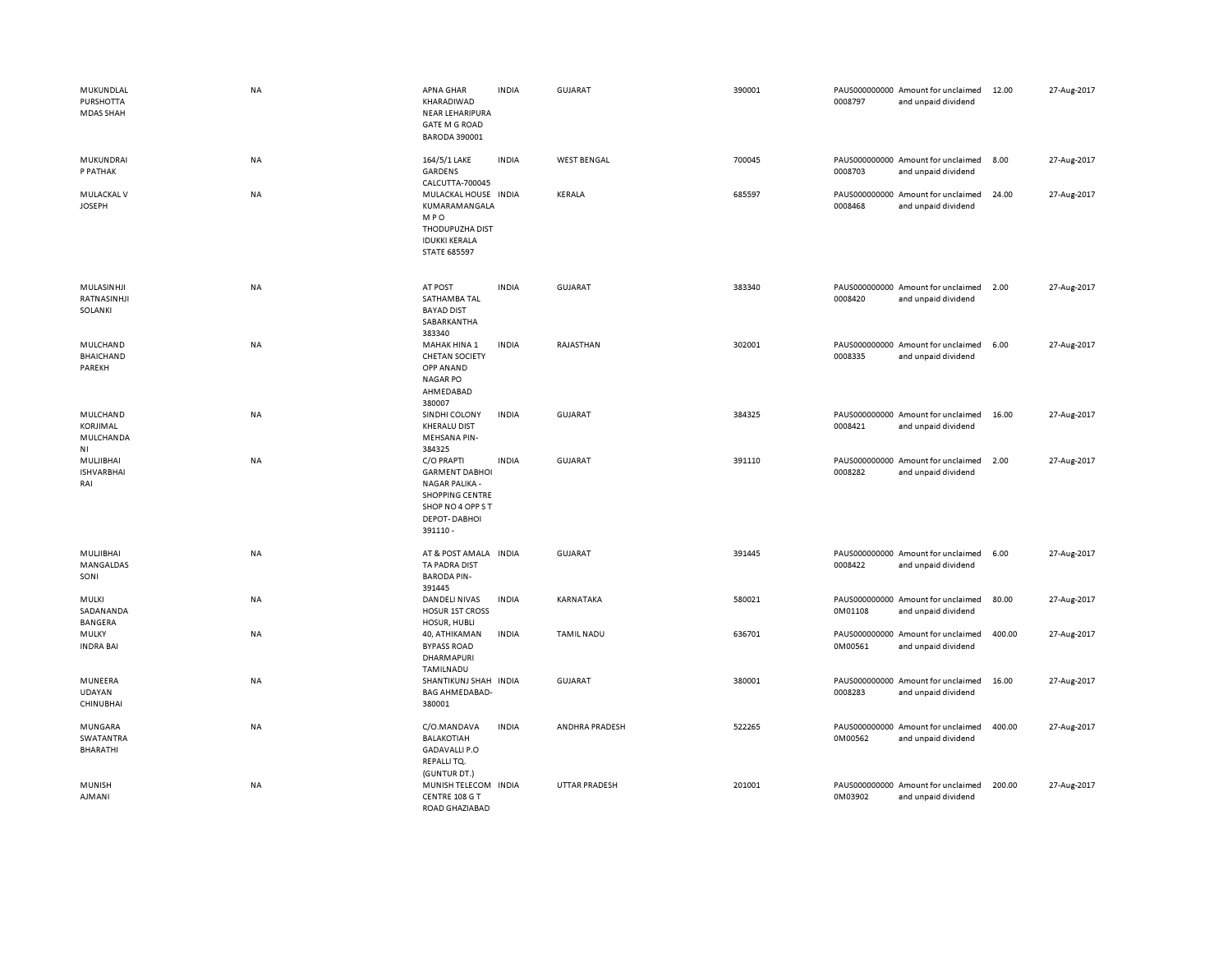| MUKUNDLAL<br><b>PURSHOTTA</b><br>MDAS SHAH | <b>NA</b> | APNA GHAR<br>KHARADIWAD<br>NEAR LEHARIPURA<br><b>GATE M G ROAD</b><br><b>BARODA 390001</b>                                                    | <b>INDIA</b> | GUJARAT              | 390001 | 0008797 | PAUS000000000 Amount for unclaimed<br>and unpaid dividend | 12.00  | 27-Aug-2017 |
|--------------------------------------------|-----------|-----------------------------------------------------------------------------------------------------------------------------------------------|--------------|----------------------|--------|---------|-----------------------------------------------------------|--------|-------------|
| MUKUNDRAI<br>P PATHAK                      | NA        | 164/5/1 LAKE<br>GARDENS<br>CALCUTTA-700045                                                                                                    | <b>INDIA</b> | <b>WEST BENGAL</b>   | 700045 | 0008703 | PAUS000000000 Amount for unclaimed<br>and unpaid dividend | 8.00   | 27-Aug-2017 |
| MULACKAL V<br><b>JOSEPH</b>                | <b>NA</b> | MULACKAL HOUSE INDIA<br>KUMARAMANGALA<br><b>MPO</b><br>THODUPUZHA DIST<br><b>IDUKKI KERALA</b><br><b>STATE 685597</b>                         |              | <b>KERALA</b>        | 685597 | 0008468 | PAUS000000000 Amount for unclaimed<br>and unpaid dividend | 24.00  | 27-Aug-2017 |
| MULASINHJI<br>RATNASINHJI<br>SOLANKI       | <b>NA</b> | AT POST<br>SATHAMBA TAL<br><b>BAYAD DIST</b><br>SABARKANTHA<br>383340                                                                         | <b>INDIA</b> | GUJARAT              | 383340 | 0008420 | PAUS000000000 Amount for unclaimed<br>and unpaid dividend | 2.00   | 27-Aug-2017 |
| MULCHAND<br><b>BHAICHAND</b><br>PAREKH     | <b>NA</b> | MAHAK HINA 1<br><b>CHETAN SOCIETY</b><br>OPP ANAND<br><b>NAGAR PO</b><br>AHMEDABAD<br>380007                                                  | <b>INDIA</b> | RAJASTHAN            | 302001 | 0008335 | PAUS000000000 Amount for unclaimed<br>and unpaid dividend | 6.00   | 27-Aug-2017 |
| MULCHAND<br>KORJIMAL<br>MULCHANDA<br>NI    | NA        | SINDHI COLONY<br><b>KHERALU DIST</b><br><b>MEHSANA PIN-</b><br>384325                                                                         | <b>INDIA</b> | <b>GUJARAT</b>       | 384325 | 0008421 | PAUS000000000 Amount for unclaimed<br>and unpaid dividend | 16.00  | 27-Aug-2017 |
| MULJIBHAI<br><b>ISHVARBHAI</b><br>RAI      | NA        | C/O PRAPTI<br><b>GARMENT DABHOI</b><br><b>NAGAR PALIKA -</b><br><b>SHOPPING CENTRE</b><br>SHOP NO 4 OPP ST<br><b>DEPOT-DABHOI</b><br>391110 - | <b>INDIA</b> | GUJARAT              | 391110 | 0008282 | PAUS000000000 Amount for unclaimed<br>and unpaid dividend | 2.00   | 27-Aug-2017 |
| MULJIBHAI<br>MANGALDAS<br>SONI             | <b>NA</b> | AT & POST AMALA INDIA<br>TA PADRA DIST<br><b>BARODA PIN-</b><br>391445                                                                        |              | GUJARAT              | 391445 | 0008422 | PAUS000000000 Amount for unclaimed<br>and unpaid dividend | 6.00   | 27-Aug-2017 |
| MULKI<br>SADANANDA<br><b>BANGERA</b>       | NA        | DANDELI NIVAS<br><b>HOSUR 1ST CROSS</b><br>HOSUR, HUBLI                                                                                       | <b>INDIA</b> | KARNATAKA            | 580021 | 0M01108 | PAUS000000000 Amount for unclaimed<br>and unpaid dividend | 80.00  | 27-Aug-2017 |
| MULKY<br><b>INDRA BAI</b>                  | NA        | 40, ATHIKAMAN<br><b>BYPASS ROAD</b><br>DHARMAPURI<br>TAMILNADU                                                                                | <b>INDIA</b> | <b>TAMIL NADU</b>    | 636701 | 0M00561 | PAUS000000000 Amount for unclaimed<br>and unpaid dividend | 400.00 | 27-Aug-2017 |
| MUNEERA<br>UDAYAN<br><b>CHINUBHAI</b>      | <b>NA</b> | SHANTIKUNJ SHAH INDIA<br><b>BAG AHMEDABAD-</b><br>380001                                                                                      |              | GUJARAT              | 380001 | 0008283 | PAUS000000000 Amount for unclaimed<br>and unpaid dividend | 16.00  | 27-Aug-2017 |
| MUNGARA<br>SWATANTRA<br><b>BHARATHI</b>    | <b>NA</b> | C/O.MANDAVA<br>BALAKOTIAH<br><b>GADAVALLI P.O</b><br>REPALLITQ.                                                                               | <b>INDIA</b> | ANDHRA PRADESH       | 522265 | 0M00562 | PAUS000000000 Amount for unclaimed<br>and unpaid dividend | 400.00 | 27-Aug-2017 |
| <b>MUNISH</b><br><b>AJMANI</b>             | <b>NA</b> | (GUNTUR DT.)<br>MUNISH TELECOM INDIA<br>CENTRE 108 G T<br>ROAD GHAZIABAD                                                                      |              | <b>UTTAR PRADESH</b> | 201001 | 0M03902 | PAUS000000000 Amount for unclaimed<br>and unpaid dividend | 200.00 | 27-Aug-2017 |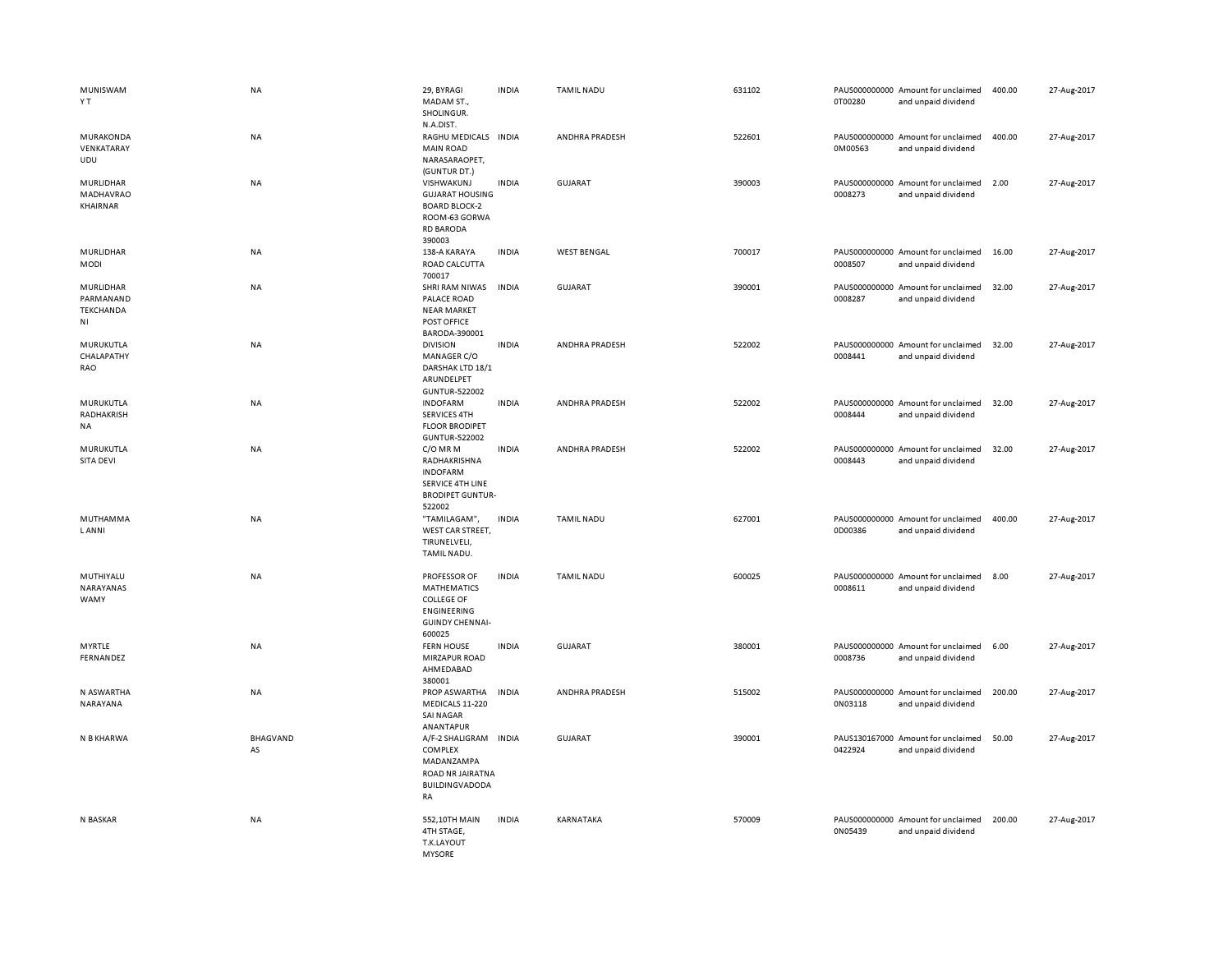| MUNISWAM<br>ΥT                            | <b>NA</b>      | 29, BYRAGI<br>MADAM ST.,<br>SHOLINGUR.<br>N.A.DIST.                                                               | <b>INDIA</b> | <b>TAMIL NADU</b>  | 631102 | 0T00280 | PAUS000000000 Amount for unclaimed<br>and unpaid dividend | 400.00 | 27-Aug-2017 |
|-------------------------------------------|----------------|-------------------------------------------------------------------------------------------------------------------|--------------|--------------------|--------|---------|-----------------------------------------------------------|--------|-------------|
| MURAKONDA<br>VENKATARAY<br>UDU            | NA             | RAGHU MEDICALS INDIA<br><b>MAIN ROAD</b><br>NARASARAOPET,<br>(GUNTUR DT.)                                         |              | ANDHRA PRADESH     | 522601 | 0M00563 | PAUS000000000 Amount for unclaimed<br>and unpaid dividend | 400.00 | 27-Aug-2017 |
| MURLIDHAR<br>MADHAVRAO<br>KHAIRNAR        | NA             | VISHWAKUNJ<br><b>GUJARAT HOUSING</b><br><b>BOARD BLOCK-2</b><br>ROOM-63 GORWA<br><b>RD BARODA</b><br>390003       | <b>INDIA</b> | GUJARAT            | 390003 | 0008273 | PAUS000000000 Amount for unclaimed<br>and unpaid dividend | 2.00   | 27-Aug-2017 |
| MURLIDHAR<br>MODI                         | NA             | 138-A KARAYA<br>ROAD CALCUTTA<br>700017                                                                           | <b>INDIA</b> | <b>WEST BENGAL</b> | 700017 | 0008507 | PAUS000000000 Amount for unclaimed<br>and unpaid dividend | 16.00  | 27-Aug-2017 |
| MURLIDHAR<br>PARMANAND<br>TEKCHANDA<br>ΝI | NA             | SHRI RAM NIWAS<br>PALACE ROAD<br><b>NEAR MARKET</b><br>POST OFFICE<br>BARODA-390001                               | <b>INDIA</b> | GUJARAT            | 390001 | 0008287 | PAUS000000000 Amount for unclaimed<br>and unpaid dividend | 32.00  | 27-Aug-2017 |
| MURUKUTLA<br>CHALAPATHY<br>RAO            | NA             | <b>DIVISION</b><br>MANAGER C/O<br>DARSHAK LTD 18/1<br>ARUNDELPET<br><b>GUNTUR-522002</b>                          | <b>INDIA</b> | ANDHRA PRADESH     | 522002 | 0008441 | PAUS000000000 Amount for unclaimed<br>and unpaid dividend | 32.00  | 27-Aug-2017 |
| MURUKUTLA<br>RADHAKRISH<br>NA             | NA             | <b>INDOFARM</b><br><b>SERVICES 4TH</b><br><b>FLOOR BRODIPET</b><br><b>GUNTUR-522002</b>                           | <b>INDIA</b> | ANDHRA PRADESH     | 522002 | 0008444 | PAUS000000000 Amount for unclaimed<br>and unpaid dividend | 32.00  | 27-Aug-2017 |
| MURUKUTLA<br>SITA DEVI                    | <b>NA</b>      | C/O MR M<br>RADHAKRISHNA<br><b>INDOFARM</b><br>SERVICE 4TH LINE<br><b>BRODIPET GUNTUR-</b><br>522002              | <b>INDIA</b> | ANDHRA PRADESH     | 522002 | 0008443 | PAUS000000000 Amount for unclaimed<br>and unpaid dividend | 32.00  | 27-Aug-2017 |
| MUTHAMMA<br><b>LANNI</b>                  | <b>NA</b>      | "TAMILAGAM",<br>WEST CAR STREET,<br>TIRUNELVELI,<br>TAMIL NADU.                                                   | <b>INDIA</b> | <b>TAMIL NADU</b>  | 627001 | 0D00386 | PAUS000000000 Amount for unclaimed<br>and unpaid dividend | 400.00 | 27-Aug-2017 |
| MUTHIYALU<br>NARAYANAS<br>WAMY            | NA             | PROFESSOR OF<br><b>MATHEMATICS</b><br><b>COLLEGE OF</b><br><b>ENGINEERING</b><br><b>GUINDY CHENNAI-</b><br>600025 | <b>INDIA</b> | <b>TAMIL NADU</b>  | 600025 | 0008611 | PAUS000000000 Amount for unclaimed<br>and unpaid dividend | 8.00   | 27-Aug-2017 |
| <b>MYRTLE</b><br>FERNANDEZ                | <b>NA</b>      | <b>FERN HOUSE</b><br>MIRZAPUR ROAD<br>AHMEDABAD<br>380001                                                         | <b>INDIA</b> | <b>GUJARAT</b>     | 380001 | 0008736 | PAUS000000000 Amount for unclaimed<br>and unpaid dividend | 6.00   | 27-Aug-2017 |
| N ASWARTHA<br>NARAYANA                    | NA             | PROP ASWARTHA<br>MEDICALS 11-220<br>SAI NAGAR<br>ANANTAPUR                                                        | <b>INDIA</b> | ANDHRA PRADESH     | 515002 | 0N03118 | PAUS000000000 Amount for unclaimed<br>and unpaid dividend | 200.00 | 27-Aug-2017 |
| N B KHARWA                                | BHAGVAND<br>AS | A/F-2 SHALIGRAM INDIA<br>COMPLEX<br>MADANZAMPA<br>ROAD NR JAIRATNA<br>BUILDINGVADODA<br>RA                        |              | <b>GUJARAT</b>     | 390001 | 0422924 | PAUS130167000 Amount for unclaimed<br>and unpaid dividend | 50.00  | 27-Aug-2017 |
| N BASKAR                                  | <b>NA</b>      | 552,10TH MAIN<br>4TH STAGE,<br>T.K.LAYOUT<br><b>MYSORE</b>                                                        | <b>INDIA</b> | KARNATAKA          | 570009 | 0N05439 | PAUS000000000 Amount for unclaimed<br>and unpaid dividend | 200.00 | 27-Aug-2017 |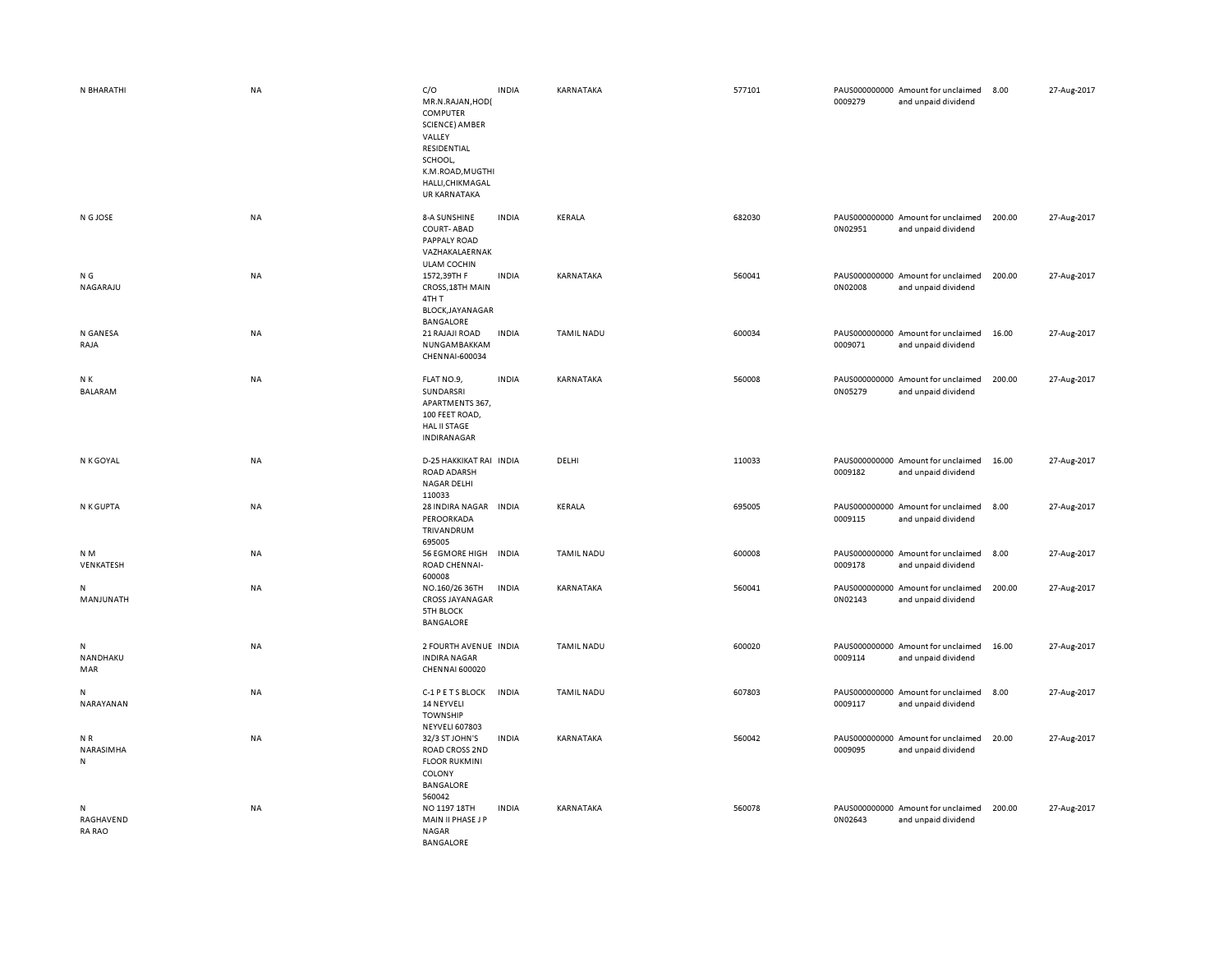| N BHARATHI                      | <b>NA</b> | C/O<br>MR.N.RAJAN, HOD(<br>COMPUTER<br>SCIENCE) AMBER<br>VALLEY<br>RESIDENTIAL<br>SCHOOL,<br>K.M.ROAD, MUGTHI<br>HALLI, CHIKMAGAL<br><b>UR KARNATAKA</b> | <b>INDIA</b> | KARNATAKA         | 577101 | 0009279 | PAUS000000000 Amount for unclaimed<br>and unpaid dividend | 8.00   | 27-Aug-2017 |
|---------------------------------|-----------|----------------------------------------------------------------------------------------------------------------------------------------------------------|--------------|-------------------|--------|---------|-----------------------------------------------------------|--------|-------------|
| N G JOSE                        | <b>NA</b> | 8-A SUNSHINE<br><b>COURT-ABAD</b><br>PAPPALY ROAD<br>VAZHAKALAERNAK<br><b>ULAM COCHIN</b>                                                                | <b>INDIA</b> | KERALA            | 682030 | 0N02951 | PAUS000000000 Amount for unclaimed<br>and unpaid dividend | 200.00 | 27-Aug-2017 |
| N G<br>NAGARAJU                 | <b>NA</b> | 1572,39TH F<br>CROSS, 18TH MAIN<br>4TH T<br><b>BLOCK,JAYANAGAR</b><br>BANGALORE                                                                          | <b>INDIA</b> | KARNATAKA         | 560041 | 0N02008 | PAUS000000000 Amount for unclaimed<br>and unpaid dividend | 200.00 | 27-Aug-2017 |
| N GANESA<br>RAJA                | NA        | 21 RAJAJI ROAD<br>NUNGAMBAKKAM<br>CHENNAI-600034                                                                                                         | <b>INDIA</b> | <b>TAMIL NADU</b> | 600034 | 0009071 | PAUS000000000 Amount for unclaimed<br>and unpaid dividend | 16.00  | 27-Aug-2017 |
| N K<br>BALARAM                  | <b>NA</b> | FLAT NO.9,<br>SUNDARSRI<br>APARTMENTS 367,<br>100 FEET ROAD,<br><b>HAL II STAGE</b><br>INDIRANAGAR                                                       | <b>INDIA</b> | KARNATAKA         | 560008 | 0N05279 | PAUS000000000 Amount for unclaimed<br>and unpaid dividend | 200.00 | 27-Aug-2017 |
| N K GOYAL                       | <b>NA</b> | D-25 HAKKIKAT RAI INDIA<br><b>ROAD ADARSH</b><br><b>NAGAR DELHI</b><br>110033                                                                            |              | DELHI             | 110033 | 0009182 | PAUS000000000 Amount for unclaimed<br>and unpaid dividend | 16.00  | 27-Aug-2017 |
| N K GUPTA                       | NA        | 28 INDIRA NAGAR INDIA<br>PEROORKADA<br>TRIVANDRUM<br>695005                                                                                              |              | KERALA            | 695005 | 0009115 | PAUS000000000 Amount for unclaimed<br>and unpaid dividend | 8.00   | 27-Aug-2017 |
| N <sub>M</sub><br>VENKATESH     | <b>NA</b> | <b>56 EGMORE HIGH</b><br>ROAD CHENNAI-<br>600008                                                                                                         | <b>INDIA</b> | <b>TAMIL NADU</b> | 600008 | 0009178 | PAUS000000000 Amount for unclaimed<br>and unpaid dividend | 8.00   | 27-Aug-2017 |
| N<br>MANJUNATH                  | NA        | NO.160/26 36TH<br><b>CROSS JAYANAGAR</b><br><b>5TH BLOCK</b><br>BANGALORE                                                                                | <b>INDIA</b> | KARNATAKA         | 560041 | 0N02143 | PAUS000000000 Amount for unclaimed<br>and unpaid dividend | 200.00 | 27-Aug-2017 |
| Ν<br>NANDHAKU<br>MAR            | NA        | 2 FOURTH AVENUE INDIA<br><b>INDIRA NAGAR</b><br>CHENNAI 600020                                                                                           |              | <b>TAMIL NADU</b> | 600020 | 0009114 | PAUS000000000 Amount for unclaimed<br>and unpaid dividend | 16.00  | 27-Aug-2017 |
| Ν<br>NARAYANAN                  | NA        | C-1 P E T S BLOCK<br>14 NEYVELI<br><b>TOWNSHIP</b><br>NEYVELI 607803                                                                                     | <b>INDIA</b> | <b>TAMIL NADU</b> | 607803 | 0009117 | PAUS000000000 Amount for unclaimed<br>and unpaid dividend | 8.00   | 27-Aug-2017 |
| NR.<br>NARASIMHA<br>N           | NA        | 32/3 ST JOHN'S<br>ROAD CROSS 2ND<br><b>FLOOR RUKMINI</b><br>COLONY<br>BANGALORE<br>560042                                                                | <b>INDIA</b> | KARNATAKA         | 560042 | 0009095 | PAUS000000000 Amount for unclaimed<br>and unpaid dividend | 20.00  | 27-Aug-2017 |
| N<br>RAGHAVEND<br><b>RA RAO</b> | <b>NA</b> | NO 1197 18TH<br>MAIN II PHASE J P<br><b>NAGAR</b><br><b>BANGALORE</b>                                                                                    | <b>INDIA</b> | KARNATAKA         | 560078 | 0N02643 | PAUS000000000 Amount for unclaimed<br>and unpaid dividend | 200.00 | 27-Aug-2017 |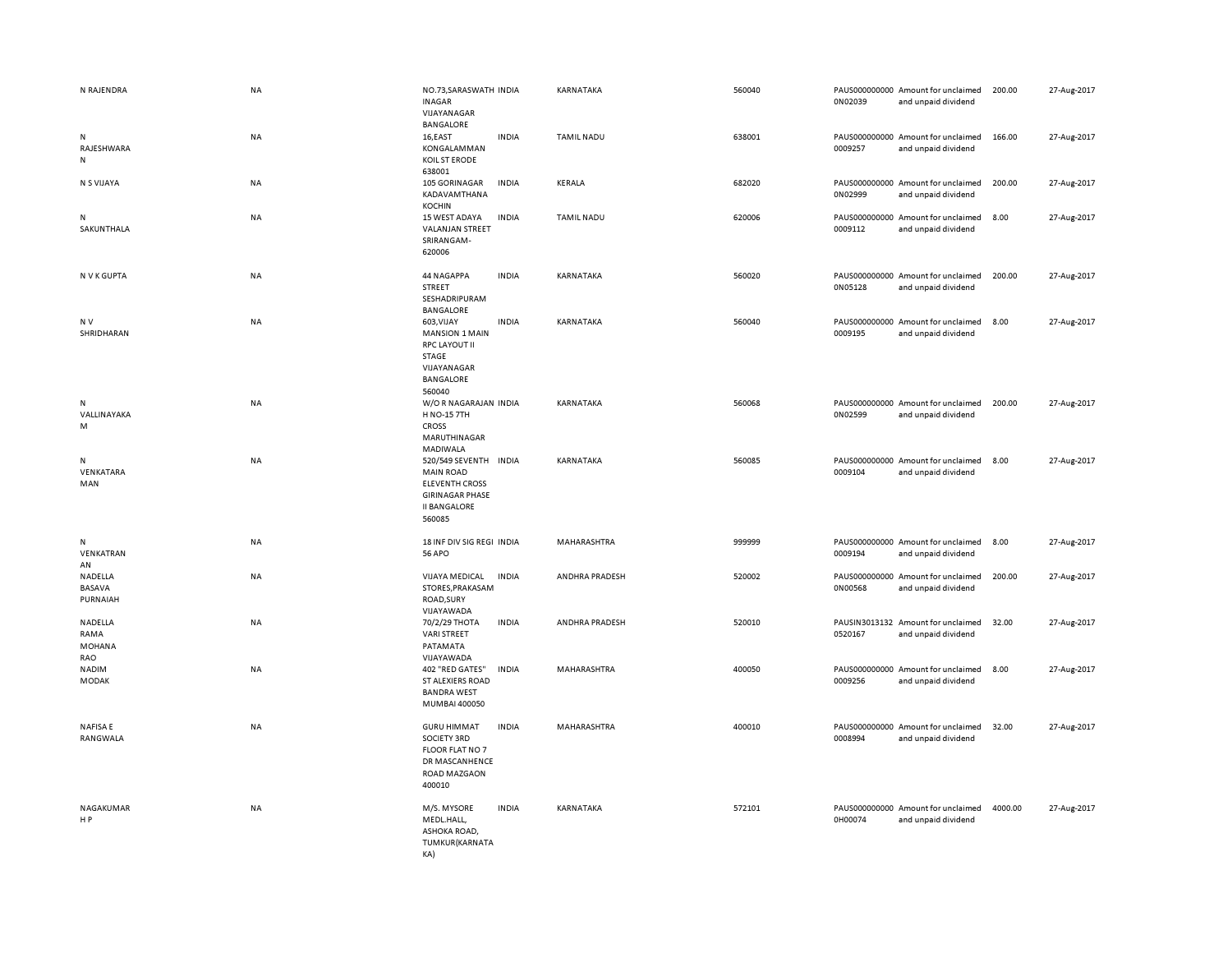| N RAJENDRA                       | <b>NA</b> | NO.73, SARASWATH INDIA<br>INAGAR<br>VIJAYANAGAR<br>BANGALORE                                                                  |              | KARNATAKA         | 560040 | 0N02039 | PAUS000000000 Amount for unclaimed<br>and unpaid dividend | 200.00  | 27-Aug-2017 |
|----------------------------------|-----------|-------------------------------------------------------------------------------------------------------------------------------|--------------|-------------------|--------|---------|-----------------------------------------------------------|---------|-------------|
| N<br>RAJESHWARA<br>N             | NA        | 16,EAST<br>KONGALAMMAN<br>KOIL ST ERODE<br>638001                                                                             | <b>INDIA</b> | <b>TAMIL NADU</b> | 638001 | 0009257 | PAUS000000000 Amount for unclaimed<br>and unpaid dividend | 166.00  | 27-Aug-2017 |
| N S VIJAYA                       | NA        | 105 GORINAGAR<br>KADAVAMTHANA<br><b>KOCHIN</b>                                                                                | <b>INDIA</b> | KERALA            | 682020 | 0N02999 | PAUS000000000 Amount for unclaimed<br>and unpaid dividend | 200.00  | 27-Aug-2017 |
| N<br>SAKUNTHALA                  | <b>NA</b> | 15 WEST ADAYA<br>VALANJAN STREET<br>SRIRANGAM-<br>620006                                                                      | <b>INDIA</b> | <b>TAMIL NADU</b> | 620006 | 0009112 | PAUS000000000 Amount for unclaimed<br>and unpaid dividend | 8.00    | 27-Aug-2017 |
| N V K GUPTA                      | <b>NA</b> | 44 NAGAPPA<br>STREET<br>SESHADRIPURAM<br>BANGALORE                                                                            | <b>INDIA</b> | KARNATAKA         | 560020 | 0N05128 | PAUS000000000 Amount for unclaimed<br>and unpaid dividend | 200.00  | 27-Aug-2017 |
| N <sub>V</sub><br>SHRIDHARAN     | <b>NA</b> | 603, VIJAY<br><b>MANSION 1 MAIN</b><br><b>RPC LAYOUT II</b><br>STAGE<br>VIJAYANAGAR<br>BANGALORE<br>560040                    | <b>INDIA</b> | KARNATAKA         | 560040 | 0009195 | PAUS000000000 Amount for unclaimed<br>and unpaid dividend | 8.00    | 27-Aug-2017 |
| N<br>VALLINAYAKA<br>M            | NA        | W/OR NAGARAJAN INDIA<br>H NO-15 7TH<br><b>CROSS</b><br>MARUTHINAGAR<br>MADIWALA                                               |              | KARNATAKA         | 560068 | 0N02599 | PAUS000000000 Amount for unclaimed<br>and unpaid dividend | 200.00  | 27-Aug-2017 |
| N<br>VENKATARA<br>MAN            | <b>NA</b> | 520/549 SEVENTH INDIA<br><b>MAIN ROAD</b><br><b>ELEVENTH CROSS</b><br><b>GIRINAGAR PHASE</b><br><b>II BANGALORE</b><br>560085 |              | KARNATAKA         | 560085 | 0009104 | PAUS000000000 Amount for unclaimed<br>and unpaid dividend | 8.00    | 27-Aug-2017 |
| N<br>VENKATRAN<br>AN             | NA        | 18 INF DIV SIG REGI INDIA<br><b>56 APO</b>                                                                                    |              | MAHARASHTRA       | 999999 | 0009194 | PAUS000000000 Amount for unclaimed<br>and unpaid dividend | 8.00    | 27-Aug-2017 |
| NADELLA<br>BASAVA<br>PURNAIAH    | NA        | VIJAYA MEDICAL<br>STORES, PRAKASAM<br>ROAD, SURY<br>VIJAYAWADA                                                                | <b>INDIA</b> | ANDHRA PRADESH    | 520002 | 0N00568 | PAUS000000000 Amount for unclaimed<br>and unpaid dividend | 200.00  | 27-Aug-2017 |
| NADELLA<br>RAMA<br>MOHANA<br>RAO | <b>NA</b> | 70/2/29 THOTA<br><b>VARI STREET</b><br>PATAMATA<br>VIJAYAWADA                                                                 | <b>INDIA</b> | ANDHRA PRADESH    | 520010 | 0520167 | PAUSIN3013132 Amount for unclaimed<br>and unpaid dividend | 32.00   | 27-Aug-2017 |
| <b>NADIM</b><br><b>MODAK</b>     | NA        | 402 "RED GATES"<br>ST ALEXIERS ROAD<br><b>BANDRA WEST</b><br>MUMBAI 400050                                                    | <b>INDIA</b> | MAHARASHTRA       | 400050 | 0009256 | PAUS000000000 Amount for unclaimed<br>and unpaid dividend | 8.00    | 27-Aug-2017 |
| <b>NAFISAE</b><br>RANGWALA       | <b>NA</b> | <b>GURU HIMMAT</b><br>SOCIETY 3RD<br>FLOOR FLAT NO 7<br>DR MASCANHENCE<br>ROAD MAZGAON<br>400010                              | <b>INDIA</b> | MAHARASHTRA       | 400010 | 0008994 | PAUS000000000 Amount for unclaimed<br>and unpaid dividend | 32.00   | 27-Aug-2017 |
| NAGAKUMAR<br>HP                  | <b>NA</b> | M/S. MYSORE<br>MEDL.HALL,<br>ASHOKA ROAD,<br>TUMKUR(KARNATA<br>KA)                                                            | <b>INDIA</b> | KARNATAKA         | 572101 | 0H00074 | PAUS000000000 Amount for unclaimed<br>and unpaid dividend | 4000.00 | 27-Aug-2017 |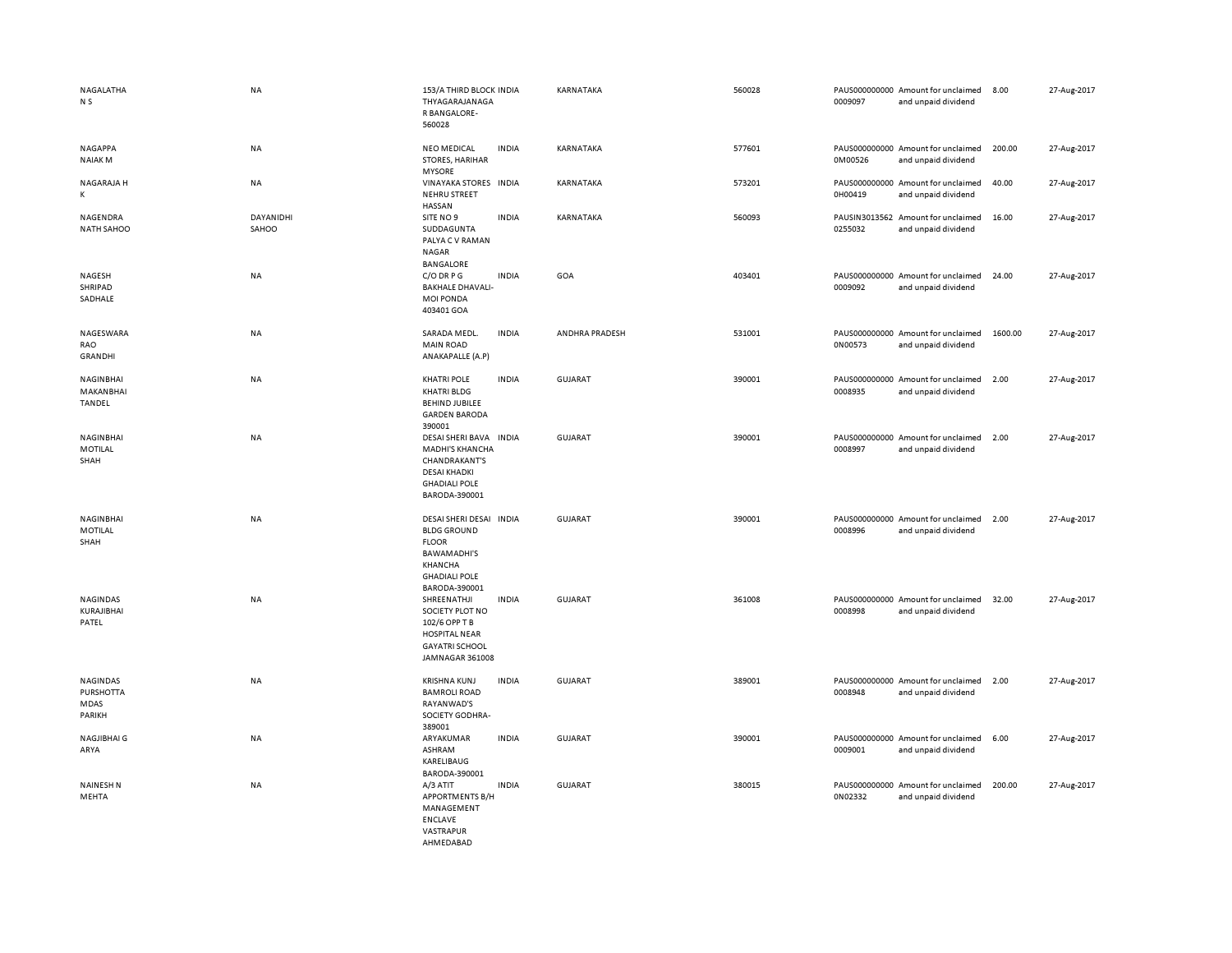| NAGALATHA<br>N <sub>S</sub>             | <b>NA</b>          | 153/A THIRD BLOCK INDIA<br>THYAGARAJANAGA<br>R BANGALORE-<br>560028                                                                     |              | KARNATAKA      | 560028 | 0009097 | PAUS000000000 Amount for unclaimed<br>and unpaid dividend | 8.00    | 27-Aug-2017 |
|-----------------------------------------|--------------------|-----------------------------------------------------------------------------------------------------------------------------------------|--------------|----------------|--------|---------|-----------------------------------------------------------|---------|-------------|
| NAGAPPA<br><b>NAIAKM</b>                | NA                 | <b>NEO MEDICAL</b><br>STORES, HARIHAR<br><b>MYSORE</b>                                                                                  | <b>INDIA</b> | KARNATAKA      | 577601 | 0M00526 | PAUS000000000 Amount for unclaimed<br>and unpaid dividend | 200.00  | 27-Aug-2017 |
| NAGARAJA H<br>Κ                         | NA                 | VINAYAKA STORES INDIA<br><b>NEHRU STREET</b><br><b>HASSAN</b>                                                                           |              | KARNATAKA      | 573201 | 0H00419 | PAUS000000000 Amount for unclaimed<br>and unpaid dividend | 40.00   | 27-Aug-2017 |
| NAGENDRA<br><b>NATH SAHOO</b>           | DAYANIDHI<br>SAHOO | SITE NO 9<br>SUDDAGUNTA<br>PALYA C V RAMAN<br>NAGAR<br><b>BANGALORE</b>                                                                 | <b>INDIA</b> | KARNATAKA      | 560093 | 0255032 | PAUSIN3013562 Amount for unclaimed<br>and unpaid dividend | 16.00   | 27-Aug-2017 |
| NAGESH<br>SHRIPAD<br>SADHALE            | <b>NA</b>          | C/O DRPG<br><b>BAKHALE DHAVALI-</b><br><b>MOI PONDA</b><br>403401 GOA                                                                   | <b>INDIA</b> | GOA            | 403401 | 0009092 | PAUS000000000 Amount for unclaimed<br>and unpaid dividend | 24.00   | 27-Aug-2017 |
| NAGESWARA<br>RAO<br><b>GRANDHI</b>      | NA                 | SARADA MEDL.<br><b>MAIN ROAD</b><br>ANAKAPALLE (A.P)                                                                                    | <b>INDIA</b> | ANDHRA PRADESH | 531001 | 0N00573 | PAUS000000000 Amount for unclaimed<br>and unpaid dividend | 1600.00 | 27-Aug-2017 |
| NAGINBHAI<br>MAKANBHAI<br>TANDEL        | NA                 | <b>KHATRI POLE</b><br><b>KHATRI BLDG</b><br><b>BEHIND JUBILEE</b><br><b>GARDEN BARODA</b><br>390001                                     | <b>INDIA</b> | GUJARAT        | 390001 | 0008935 | PAUS000000000 Amount for unclaimed<br>and unpaid dividend | 2.00    | 27-Aug-2017 |
| NAGINBHAI<br>MOTILAL<br>SHAH            | NA                 | DESAI SHERI BAVA INDIA<br><b>MADHI'S KHANCHA</b><br>CHANDRAKANT'S<br><b>DESAI KHADKI</b><br><b>GHADIALI POLE</b><br>BARODA-390001       |              | <b>GUJARAT</b> | 390001 | 0008997 | PAUS000000000 Amount for unclaimed<br>and unpaid dividend | 2.00    | 27-Aug-2017 |
| NAGINBHAI<br>MOTILAL<br>SHAH            | <b>NA</b>          | DESAI SHERI DESAI INDIA<br><b>BLDG GROUND</b><br><b>FLOOR</b><br><b>BAWAMADHI'S</b><br>KHANCHA<br><b>GHADIALI POLE</b><br>BARODA-390001 |              | <b>GUJARAT</b> | 390001 | 0008996 | PAUS000000000 Amount for unclaimed<br>and unpaid dividend | 2.00    | 27-Aug-2017 |
| NAGINDAS<br>KURAJIBHAI<br>PATEL         | NA                 | SHREENATHJI<br>SOCIETY PLOT NO<br>102/6 OPP T B<br><b>HOSPITAL NEAR</b><br><b>GAYATRI SCHOOL</b><br>JAMNAGAR 361008                     | <b>INDIA</b> | <b>GUJARAT</b> | 361008 | 0008998 | PAUS000000000 Amount for unclaimed<br>and unpaid dividend | 32.00   | 27-Aug-2017 |
| NAGINDAS<br>PURSHOTTA<br>MDAS<br>PARIKH | <b>NA</b>          | <b>KRISHNA KUNJ</b><br><b>BAMROLI ROAD</b><br>RAYANWAD'S<br>SOCIETY GODHRA-<br>389001                                                   | <b>INDIA</b> | <b>GUJARAT</b> | 389001 | 0008948 | PAUS000000000 Amount for unclaimed<br>and unpaid dividend | 2.00    | 27-Aug-2017 |
| <b>NAGJIBHAI G</b><br>ARYA              | NA                 | ARYAKUMAR<br>ASHRAM<br>KARELIBAUG<br>BARODA-390001                                                                                      | <b>INDIA</b> | <b>GUJARAT</b> | 390001 | 0009001 | PAUS000000000 Amount for unclaimed<br>and unpaid dividend | 6.00    | 27-Aug-2017 |
| <b>NAINESH N</b><br>MEHTA               | NA                 | A/3 ATIT<br><b>APPORTMENTS B/H</b><br>MANAGEMENT<br><b>ENCLAVE</b><br>VASTRAPUR<br>AHMEDABAD                                            | <b>INDIA</b> | GUJARAT        | 380015 | 0N02332 | PAUS000000000 Amount for unclaimed<br>and unpaid dividend | 200.00  | 27-Aug-2017 |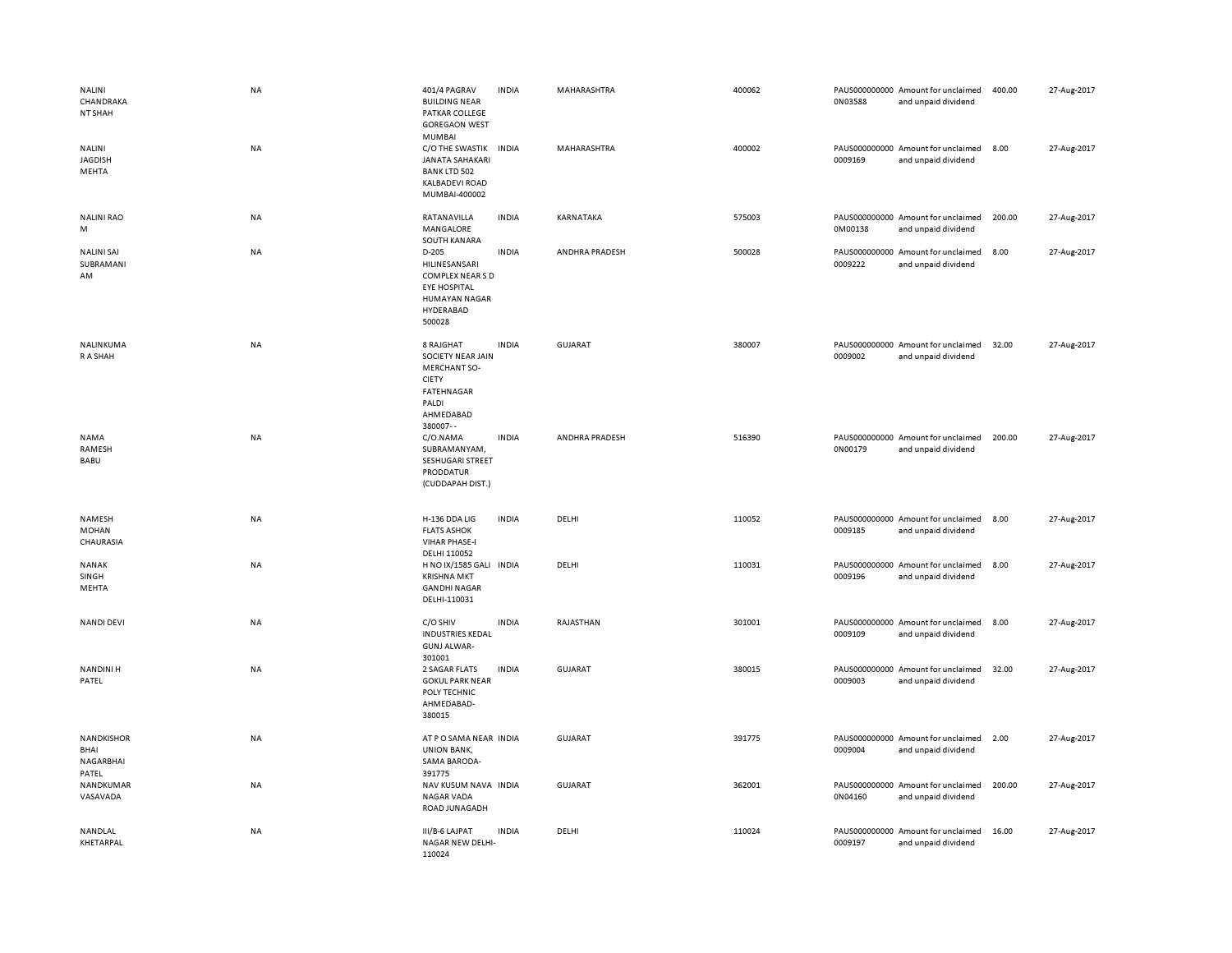| NALINI<br>CHANDRAKA<br>NT SHAH<br>NALINI<br><b>JAGDISH</b><br>MEHTA | <b>NA</b><br>NA | 401/4 PAGRAV<br><b>BUILDING NEAR</b><br>PATKAR COLLEGE<br><b>GOREGAON WEST</b><br>MUMBAI<br>C/O THE SWASTIK<br><b>JANATA SAHAKARI</b><br><b>BANK LTD 502</b> | <b>INDIA</b><br><b>INDIA</b> | MAHARASHTRA<br>MAHARASHTRA | 400062<br>400002 | 0N03588<br>0009169 | PAUS000000000 Amount for unclaimed<br>and unpaid dividend<br>PAUS000000000 Amount for unclaimed<br>and unpaid dividend | 400.00<br>8.00 | 27-Aug-2017<br>27-Aug-2017 |
|---------------------------------------------------------------------|-----------------|--------------------------------------------------------------------------------------------------------------------------------------------------------------|------------------------------|----------------------------|------------------|--------------------|------------------------------------------------------------------------------------------------------------------------|----------------|----------------------------|
| <b>NALINI RAO</b>                                                   | <b>NA</b>       | KALBADEVI ROAD<br>MUMBAI-400002<br>RATANAVILLA                                                                                                               | <b>INDIA</b>                 | KARNATAKA                  | 575003           |                    | PAUS000000000 Amount for unclaimed                                                                                     | 200.00         | 27-Aug-2017                |
| M                                                                   |                 | MANGALORE<br>SOUTH KANARA                                                                                                                                    |                              |                            |                  | 0M00138            | and unpaid dividend                                                                                                    |                |                            |
| <b>NALINI SAI</b><br>SUBRAMANI<br>AM                                | NA              | D-205<br>HILINESANSARI<br>COMPLEX NEAR S D<br><b>EYE HOSPITAL</b><br><b>HUMAYAN NAGAR</b><br>HYDERABAD<br>500028                                             | <b>INDIA</b>                 | ANDHRA PRADESH             | 500028           | 0009222            | PAUS000000000 Amount for unclaimed<br>and unpaid dividend                                                              | 8.00           | 27-Aug-2017                |
| NALINKUMA<br>R A SHAH                                               | NA              | 8 RAJGHAT<br><b>SOCIETY NEAR JAIN</b><br><b>MERCHANT SO-</b><br><b>CIETY</b><br><b>FATEHNAGAR</b><br>PALDI<br>AHMEDABAD<br>380007--                          | <b>INDIA</b>                 | <b>GUJARAT</b>             | 380007           | 0009002            | PAUS000000000 Amount for unclaimed<br>and unpaid dividend                                                              | 32.00          | 27-Aug-2017                |
| <b>NAMA</b><br>RAMESH<br>BABU                                       | <b>NA</b>       | C/O.NAMA<br>SUBRAMANYAM,<br>SESHUGARI STREET<br>PRODDATUR<br>(CUDDAPAH DIST.)                                                                                | <b>INDIA</b>                 | ANDHRA PRADESH             | 516390           | 0N00179            | PAUS000000000 Amount for unclaimed<br>and unpaid dividend                                                              | 200.00         | 27-Aug-2017                |
| NAMESH<br><b>MOHAN</b><br>CHAURASIA                                 | NA              | H-136 DDA LIG<br><b>FLATS ASHOK</b><br><b>VIHAR PHASE-I</b><br>DELHI 110052                                                                                  | <b>INDIA</b>                 | DELHI                      | 110052           | 0009185            | PAUS000000000 Amount for unclaimed<br>and unpaid dividend                                                              | 8.00           | 27-Aug-2017                |
| NANAK<br>SINGH<br>MEHTA                                             | NA              | H NO IX/1585 GALI INDIA<br><b>KRISHNA MKT</b><br><b>GANDHI NAGAR</b><br>DELHI-110031                                                                         |                              | DELHI                      | 110031           | 0009196            | PAUS000000000 Amount for unclaimed<br>and unpaid dividend                                                              | 8.00           | 27-Aug-2017                |
| <b>NANDI DEVI</b>                                                   | NA              | C/O SHIV<br><b>INDUSTRIES KEDAL</b><br><b>GUNJ ALWAR-</b><br>301001                                                                                          | <b>INDIA</b>                 | RAJASTHAN                  | 301001           | 0009109            | PAUS000000000 Amount for unclaimed<br>and unpaid dividend                                                              | 8.00           | 27-Aug-2017                |
| <b>NANDINIH</b><br>PATEL                                            | <b>NA</b>       | 2 SAGAR FLATS<br><b>GOKUL PARK NEAR</b><br>POLY TECHNIC<br>AHMEDABAD-<br>380015                                                                              | <b>INDIA</b>                 | GUJARAT                    | 380015           | 0009003            | PAUS000000000 Amount for unclaimed<br>and unpaid dividend                                                              | 32.00          | 27-Aug-2017                |
| <b>NANDKISHOR</b><br>BHAI<br>NAGARBHAI<br>PATEL                     | NA              | AT P O SAMA NEAR INDIA<br><b>UNION BANK,</b><br>SAMA BARODA-<br>391775                                                                                       |                              | <b>GUJARAT</b>             | 391775           | 0009004            | PAUS000000000 Amount for unclaimed<br>and unpaid dividend                                                              | 2.00           | 27-Aug-2017                |
| NANDKUMAR<br>VASAVADA                                               | NA              | NAV KUSUM NAVA INDIA<br><b>NAGAR VADA</b><br>ROAD JUNAGADH                                                                                                   |                              | <b>GUJARAT</b>             | 362001           | 0N04160            | PAUS000000000 Amount for unclaimed<br>and unpaid dividend                                                              | 200.00         | 27-Aug-2017                |
| NANDLAL<br>KHETARPAL                                                | NA              | III/B-6 LAJPAT<br>NAGAR NEW DELHI-<br>110024                                                                                                                 | <b>INDIA</b>                 | DELHI                      | 110024           | 0009197            | PAUS000000000 Amount for unclaimed<br>and unpaid dividend                                                              | 16.00          | 27-Aug-2017                |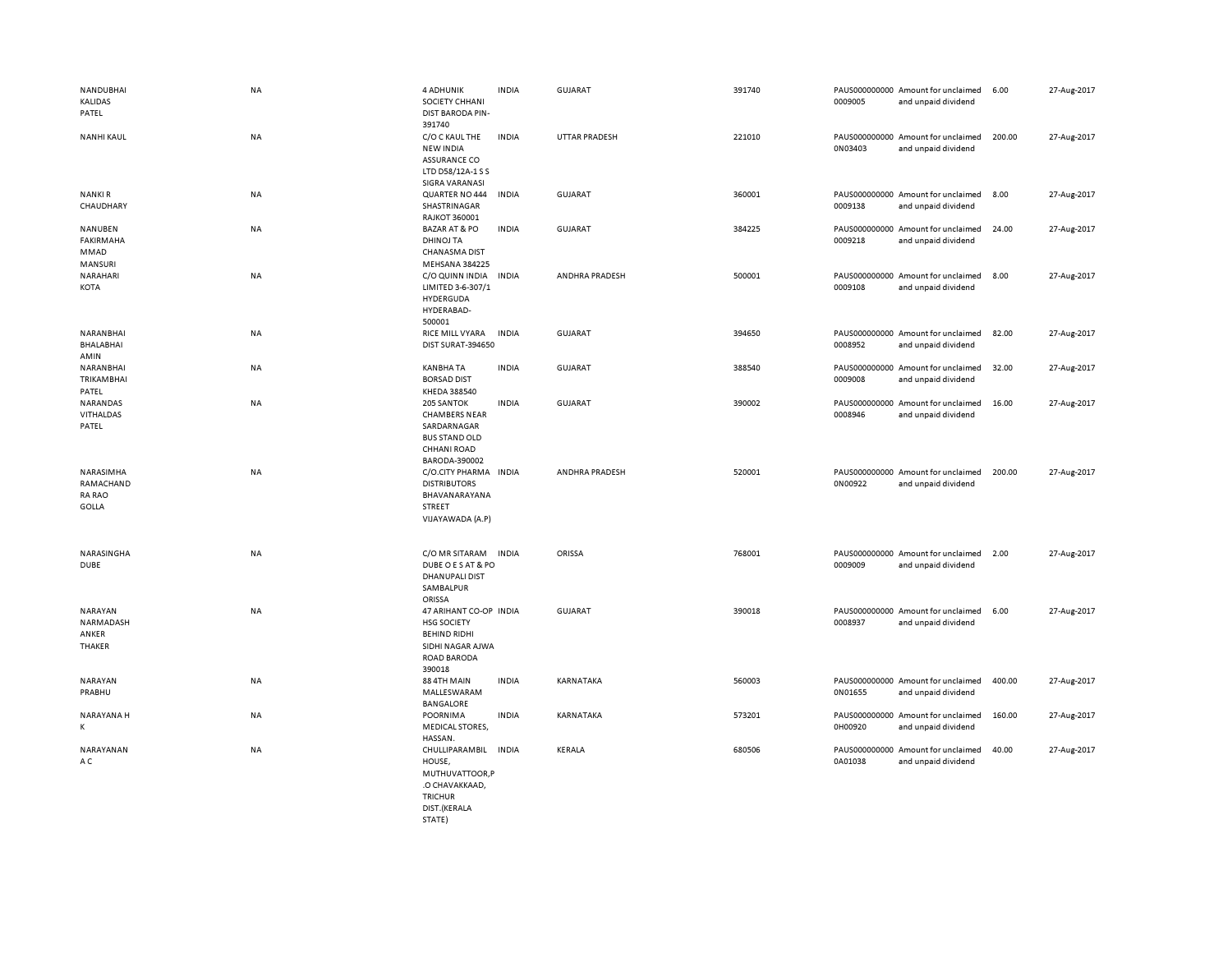| NANDUBHAI<br><b>KALIDAS</b><br>PATEL                    | <b>NA</b> | 4 ADHUNIK<br>SOCIETY CHHANI<br><b>DIST BARODA PIN-</b><br>391740                                                 | <b>INDIA</b> | <b>GUJARAT</b>        | 391740 | 0009005 | PAUS000000000 Amount for unclaimed<br>and unpaid dividend | 6.00   | 27-Aug-2017 |
|---------------------------------------------------------|-----------|------------------------------------------------------------------------------------------------------------------|--------------|-----------------------|--------|---------|-----------------------------------------------------------|--------|-------------|
| <b>NANHI KAUL</b>                                       | NA        | C/O C KAUL THE<br><b>NEW INDIA</b><br><b>ASSURANCE CO</b><br>LTD D58/12A-1 S S<br>SIGRA VARANASI                 | <b>INDIA</b> | <b>UTTAR PRADESH</b>  | 221010 | 0N03403 | PAUS000000000 Amount for unclaimed<br>and unpaid dividend | 200.00 | 27-Aug-2017 |
| <b>NANKIR</b><br>CHAUDHARY                              | NA        | QUARTER NO 444<br>SHASTRINAGAR<br><b>RAJKOT 360001</b>                                                           | <b>INDIA</b> | GUJARAT               | 360001 | 0009138 | PAUS000000000 Amount for unclaimed<br>and unpaid dividend | 8.00   | 27-Aug-2017 |
| NANUBEN<br><b>FAKIRMAHA</b><br>MMAD<br>MANSURI          | NA        | <b>BAZAR AT &amp; PO</b><br><b>DHINOJ TA</b><br><b>CHANASMA DIST</b><br>MEHSANA 384225                           | <b>INDIA</b> | GUJARAT               | 384225 | 0009218 | PAUS000000000 Amount for unclaimed<br>and unpaid dividend | 24.00  | 27-Aug-2017 |
| NARAHARI<br>KOTA                                        | <b>NA</b> | C/O QUINN INDIA<br>LIMITED 3-6-307/1<br>HYDERGUDA<br>HYDERABAD-<br>500001                                        | <b>INDIA</b> | ANDHRA PRADESH        | 500001 | 0009108 | PAUS000000000 Amount for unclaimed<br>and unpaid dividend | 8.00   | 27-Aug-2017 |
| NARANBHAI<br>BHALABHAI<br>AMIN                          | <b>NA</b> | RICE MILL VYARA<br>DIST SURAT-394650                                                                             | <b>INDIA</b> | GUJARAT               | 394650 | 0008952 | PAUS000000000 Amount for unclaimed<br>and unpaid dividend | 82.00  | 27-Aug-2017 |
| NARANBHAI<br>TRIKAMBHAI<br>PATEL                        | NA        | <b>KANBHA TA</b><br><b>BORSAD DIST</b><br>KHEDA 388540                                                           | <b>INDIA</b> | GUJARAT               | 388540 | 0009008 | PAUS000000000 Amount for unclaimed<br>and unpaid dividend | 32.00  | 27-Aug-2017 |
| NARANDAS<br>VITHALDAS<br>PATEL                          | NA        | 205 SANTOK<br><b>CHAMBERS NEAR</b><br>SARDARNAGAR<br><b>BUS STAND OLD</b><br><b>CHHANI ROAD</b><br>BARODA-390002 | <b>INDIA</b> | GUJARAT               | 390002 | 0008946 | PAUS000000000 Amount for unclaimed<br>and unpaid dividend | 16.00  | 27-Aug-2017 |
| NARASIMHA<br>RAMACHAND<br><b>RA RAO</b><br><b>GOLLA</b> | <b>NA</b> | C/O.CITY PHARMA INDIA<br><b>DISTRIBUTORS</b><br>BHAVANARAYANA<br>STREET<br>VIJAYAWADA (A.P)                      |              | <b>ANDHRA PRADESH</b> | 520001 | 0N00922 | PAUS000000000 Amount for unclaimed<br>and unpaid dividend | 200.00 | 27-Aug-2017 |
| NARASINGHA<br><b>DUBE</b>                               | <b>NA</b> | C/O MR SITARAM<br>DUBE O E S AT & PO<br><b>DHANUPALI DIST</b><br>SAMBALPUR<br>ORISSA                             | <b>INDIA</b> | ORISSA                | 768001 | 0009009 | PAUS000000000 Amount for unclaimed<br>and unpaid dividend | 2.00   | 27-Aug-2017 |
| <b>NARAYAN</b><br>NARMADASH<br>ANKER<br>THAKER          | <b>NA</b> | 47 ARIHANT CO-OP INDIA<br><b>HSG SOCIETY</b><br><b>BEHIND RIDHI</b><br>SIDHI NAGAR AJWA<br>ROAD BARODA<br>390018 |              | <b>GUJARAT</b>        | 390018 | 0008937 | PAUS000000000 Amount for unclaimed<br>and unpaid dividend | 6.00   | 27-Aug-2017 |
| <b>NARAYAN</b><br>PRABHU                                | <b>NA</b> | 88 4TH MAIN<br>MALLESWARAM<br><b>BANGALORE</b>                                                                   | <b>INDIA</b> | KARNATAKA             | 560003 | 0N01655 | PAUS000000000 Amount for unclaimed<br>and unpaid dividend | 400.00 | 27-Aug-2017 |
| NARAYANA H<br>К                                         | NA        | POORNIMA<br><b>MEDICAL STORES,</b><br>HASSAN.                                                                    | <b>INDIA</b> | KARNATAKA             | 573201 | 0H00920 | PAUS000000000 Amount for unclaimed<br>and unpaid dividend | 160.00 | 27-Aug-2017 |
| NARAYANAN<br>A C                                        | NA        | CHULLIPARAMBIL<br>HOUSE,<br>MUTHUVATTOOR,P<br>.O CHAVAKKAAD,<br><b>TRICHUR</b><br>DIST.(KERALA                   | <b>INDIA</b> | KERALA                | 680506 | 0A01038 | PAUS000000000 Amount for unclaimed<br>and unpaid dividend | 40.00  | 27-Aug-2017 |

STATE)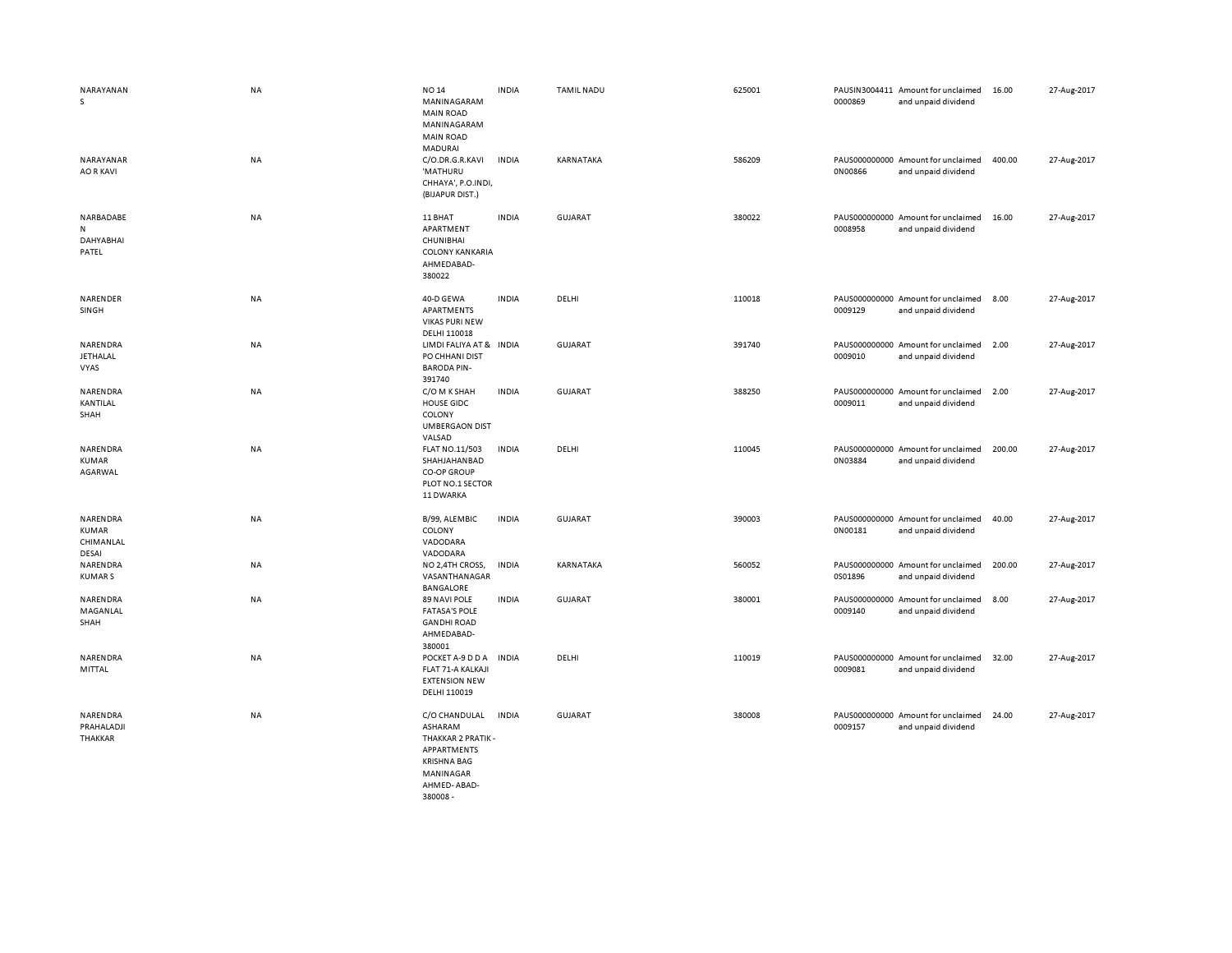| NARAYANAN<br>s                              | <b>NA</b> | <b>NO 14</b><br>MANINAGARAM<br><b>MAIN ROAD</b><br>MANINAGARAM<br><b>MAIN ROAD</b><br><b>MADURAI</b>            | <b>INDIA</b> | <b>TAMIL NADU</b> | 625001 | 0000869 | PAUSIN3004411 Amount for unclaimed<br>and unpaid dividend | 16.00  | 27-Aug-2017 |
|---------------------------------------------|-----------|-----------------------------------------------------------------------------------------------------------------|--------------|-------------------|--------|---------|-----------------------------------------------------------|--------|-------------|
| NARAYANAR<br><b>AO R KAVI</b>               | NA        | C/O.DR.G.R.KAVI<br>'MATHURU<br>CHHAYA', P.O.INDI,<br>(BIJAPUR DIST.)                                            | <b>INDIA</b> | KARNATAKA         | 586209 | 0N00866 | PAUS000000000 Amount for unclaimed<br>and unpaid dividend | 400.00 | 27-Aug-2017 |
| NARBADABE<br>N<br><b>DAHYABHAI</b><br>PATEL | <b>NA</b> | 11 BHAT<br>APARTMENT<br>CHUNIBHAI<br><b>COLONY KANKARIA</b><br>AHMEDABAD-<br>380022                             | <b>INDIA</b> | GUJARAT           | 380022 | 0008958 | PAUS000000000 Amount for unclaimed<br>and unpaid dividend | 16.00  | 27-Aug-2017 |
| NARENDER<br>SINGH                           | NA        | 40-D GEWA<br>APARTMENTS<br><b>VIKAS PURI NEW</b><br>DELHI 110018                                                | <b>INDIA</b> | DELHI             | 110018 | 0009129 | PAUS000000000 Amount for unclaimed<br>and unpaid dividend | 8.00   | 27-Aug-2017 |
| NARENDRA<br><b>JETHALAL</b><br>VYAS         | <b>NA</b> | LIMDI FALIYA AT & INDIA<br>PO CHHANI DIST<br><b>BARODA PIN-</b><br>391740                                       |              | <b>GUJARAT</b>    | 391740 | 0009010 | PAUS000000000 Amount for unclaimed<br>and unpaid dividend | 2.00   | 27-Aug-2017 |
| NARENDRA<br>KANTILAL<br>SHAH                | NA        | C/O M K SHAH<br><b>HOUSE GIDC</b><br>COLONY<br><b>UMBERGAON DIST</b><br>VALSAD                                  | <b>INDIA</b> | <b>GUJARAT</b>    | 388250 | 0009011 | PAUS000000000 Amount for unclaimed<br>and unpaid dividend | 2.00   | 27-Aug-2017 |
| NARENDRA<br>KUMAR<br>AGARWAL                | NA        | FLAT NO.11/503<br>SHAHJAHANBAD<br><b>CO-OP GROUP</b><br>PLOT NO.1 SECTOR<br>11 DWARKA                           | <b>INDIA</b> | DELHI             | 110045 | 0N03884 | PAUS000000000 Amount for unclaimed<br>and unpaid dividend | 200.00 | 27-Aug-2017 |
| NARENDRA<br>KUMAR<br>CHIMANLAL<br>DESAI     | NA        | B/99, ALEMBIC<br>COLONY<br>VADODARA<br>VADODARA                                                                 | <b>INDIA</b> | <b>GUJARAT</b>    | 390003 | 0N00181 | PAUS000000000 Amount for unclaimed<br>and unpaid dividend | 40.00  | 27-Aug-2017 |
| NARENDRA<br><b>KUMARS</b>                   | NA        | NO 2,4TH CROSS,<br>VASANTHANAGAR<br><b>BANGALORE</b>                                                            | INDIA        | KARNATAKA         | 560052 | 0S01896 | PAUS000000000 Amount for unclaimed<br>and unpaid dividend | 200.00 | 27-Aug-2017 |
| NARENDRA<br>MAGANLAL<br>SHAH                | NA        | 89 NAVI POLE<br><b>FATASA'S POLE</b><br><b>GANDHI ROAD</b><br>AHMEDABAD-<br>380001                              | <b>INDIA</b> | <b>GUJARAT</b>    | 380001 | 0009140 | PAUS000000000 Amount for unclaimed<br>and unpaid dividend | 8.00   | 27-Aug-2017 |
| NARENDRA<br>MITTAL                          | NA        | POCKET A-9 D D A<br>FLAT 71-A KALKAJI<br><b>EXTENSION NEW</b><br>DELHI 110019                                   | <b>INDIA</b> | DELHI             | 110019 | 0009081 | PAUS000000000 Amount for unclaimed<br>and unpaid dividend | 32.00  | 27-Aug-2017 |
| NARENDRA<br>PRAHALADJI<br>THAKKAR           | NA        | C/O CHANDULAL<br>ASHARAM<br>THAKKAR 2 PRATIK -<br>APPARTMENTS<br><b>KRISHNA BAG</b><br>MANINAGAR<br>AHMED-ABAD- | <b>INDIA</b> | <b>GUJARAT</b>    | 380008 | 0009157 | PAUS000000000 Amount for unclaimed<br>and unpaid dividend | 24.00  | 27-Aug-2017 |

380008 -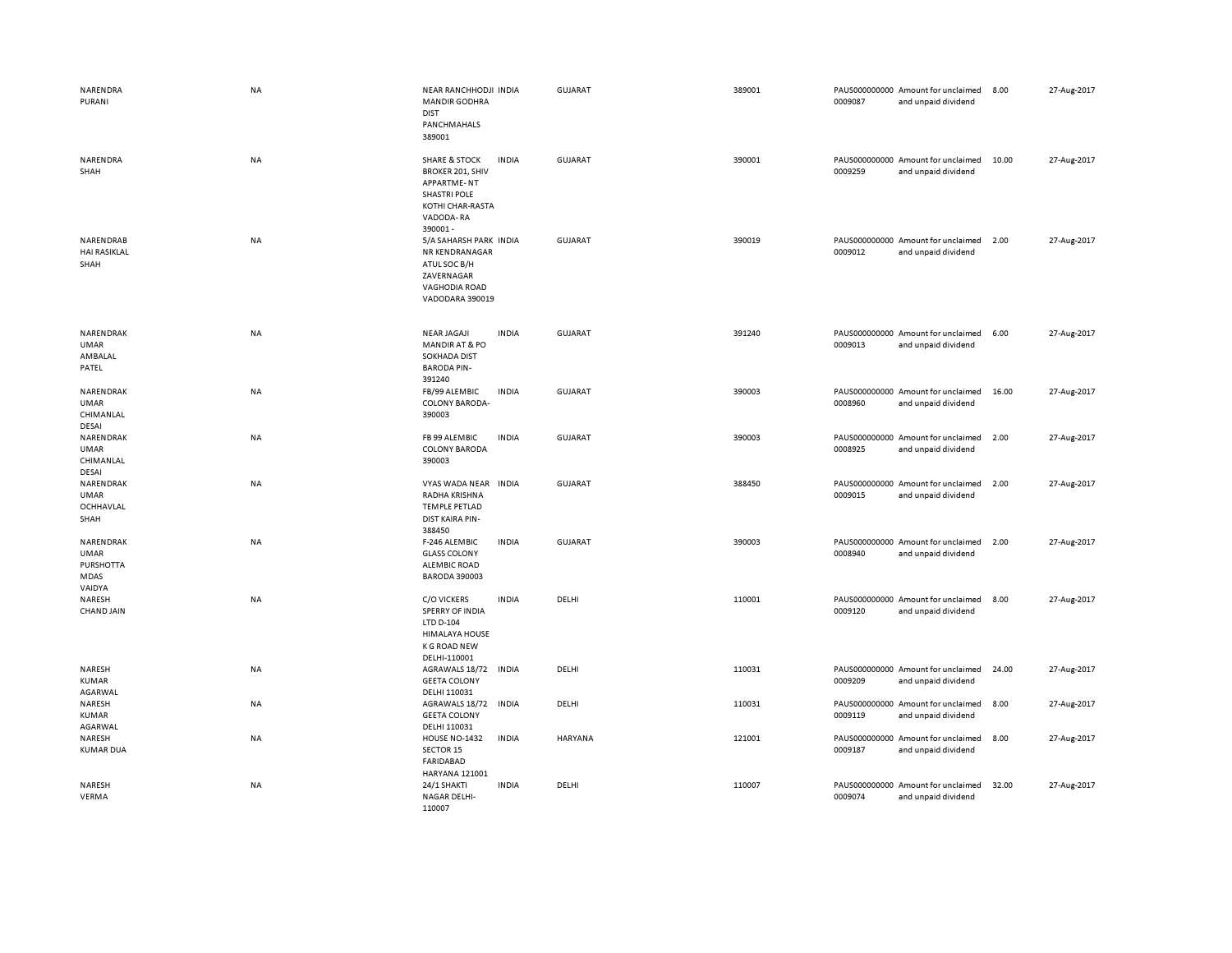| NARENDRA<br>PURANI                                             | <b>NA</b> | NEAR RANCHHODJI INDIA<br><b>MANDIR GODHRA</b><br><b>DIST</b><br>PANCHMAHALS<br>389001                                                        |              | GUJARAT        | 389001 | 0009087 | PAUS000000000 Amount for unclaimed<br>and unpaid dividend | 8.00  | 27-Aug-2017 |
|----------------------------------------------------------------|-----------|----------------------------------------------------------------------------------------------------------------------------------------------|--------------|----------------|--------|---------|-----------------------------------------------------------|-------|-------------|
| NARENDRA<br>SHAH                                               | NA        | <b>SHARE &amp; STOCK</b><br><b>BROKER 201, SHIV</b><br><b>APPARTME-NT</b><br><b>SHASTRI POLE</b><br>KOTHI CHAR-RASTA<br>VADODA-RA<br>390001- | <b>INDIA</b> | <b>GUJARAT</b> | 390001 | 0009259 | PAUS000000000 Amount for unclaimed<br>and unpaid dividend | 10.00 | 27-Aug-2017 |
| NARENDRAB<br><b>HAI RASIKLAL</b><br>SHAH                       | NA        | 5/A SAHARSH PARK INDIA<br>NR KENDRANAGAR<br>ATUL SOC B/H<br>ZAVERNAGAR<br>VAGHODIA ROAD<br>VADODARA 390019                                   |              | GUJARAT        | 390019 | 0009012 | PAUS000000000 Amount for unclaimed<br>and unpaid dividend | 2.00  | 27-Aug-2017 |
| NARENDRAK<br><b>UMAR</b><br>AMBALAL<br>PATEL                   | <b>NA</b> | <b>NEAR JAGAJI</b><br><b>MANDIR AT &amp; PO</b><br><b>SOKHADA DIST</b><br><b>BARODA PIN-</b><br>391240                                       | <b>INDIA</b> | GUJARAT        | 391240 | 0009013 | PAUS000000000 Amount for unclaimed<br>and unpaid dividend | 6.00  | 27-Aug-2017 |
| NARENDRAK<br><b>UMAR</b><br>CHIMANLAL<br>DESAI                 | NA        | FB/99 ALEMBIC<br><b>COLONY BARODA-</b><br>390003                                                                                             | <b>INDIA</b> | <b>GUJARAT</b> | 390003 | 0008960 | PAUS000000000 Amount for unclaimed<br>and unpaid dividend | 16.00 | 27-Aug-2017 |
| NARENDRAK<br><b>UMAR</b><br>CHIMANLAL<br>DESAI                 | NA        | FB 99 ALEMBIC<br><b>COLONY BARODA</b><br>390003                                                                                              | <b>INDIA</b> | <b>GUJARAT</b> | 390003 | 0008925 | PAUS000000000 Amount for unclaimed<br>and unpaid dividend | 2.00  | 27-Aug-2017 |
| NARENDRAK<br><b>UMAR</b><br>OCHHAVLAL<br>SHAH                  | NA        | VYAS WADA NEAR<br>RADHA KRISHNA<br><b>TEMPLE PETLAD</b><br>DIST KAIRA PIN-<br>388450                                                         | <b>INDIA</b> | <b>GUJARAT</b> | 388450 | 0009015 | PAUS000000000 Amount for unclaimed<br>and unpaid dividend | 2.00  | 27-Aug-2017 |
| NARENDRAK<br><b>UMAR</b><br><b>PURSHOTTA</b><br>MDAS<br>VAIDYA | <b>NA</b> | F-246 ALEMBIC<br><b>GLASS COLONY</b><br><b>ALEMBIC ROAD</b><br><b>BARODA 390003</b>                                                          | <b>INDIA</b> | GUJARAT        | 390003 | 0008940 | PAUS000000000 Amount for unclaimed<br>and unpaid dividend | 2.00  | 27-Aug-2017 |
| NARESH<br><b>CHAND JAIN</b>                                    | NA        | <b>C/O VICKERS</b><br>SPERRY OF INDIA<br>LTD D-104<br><b>HIMALAYA HOUSE</b><br><b>K G ROAD NEW</b><br>DELHI-110001                           | <b>INDIA</b> | DELHI          | 110001 | 0009120 | PAUS000000000 Amount for unclaimed<br>and unpaid dividend | 8.00  | 27-Aug-2017 |
| NARESH<br>KUMAR<br>AGARWAL                                     | NA        | AGRAWALS 18/72<br><b>GEETA COLONY</b><br>DELHI 110031                                                                                        | <b>INDIA</b> | DELHI          | 110031 | 0009209 | PAUS000000000 Amount for unclaimed<br>and unpaid dividend | 24.00 | 27-Aug-2017 |
| NARESH<br><b>KUMAR</b><br>AGARWAL                              | <b>NA</b> | AGRAWALS 18/72<br><b>GEETA COLONY</b><br>DELHI 110031                                                                                        | <b>INDIA</b> | DELHI          | 110031 | 0009119 | PAUS000000000 Amount for unclaimed<br>and unpaid dividend | 8.00  | 27-Aug-2017 |
| NARESH<br><b>KUMAR DUA</b>                                     | NA        | <b>HOUSE NO-1432</b><br><b>SECTOR 15</b><br><b>FARIDABAD</b><br>HARYANA 121001                                                               | <b>INDIA</b> | HARYANA        | 121001 | 0009187 | PAUS000000000 Amount for unclaimed<br>and unpaid dividend | 8.00  | 27-Aug-2017 |
| NARESH<br>VERMA                                                | NA        | 24/1 SHAKTI<br>NAGAR DELHI-<br>110007                                                                                                        | <b>INDIA</b> | DELHI          | 110007 | 0009074 | PAUS000000000 Amount for unclaimed<br>and unpaid dividend | 32.00 | 27-Aug-2017 |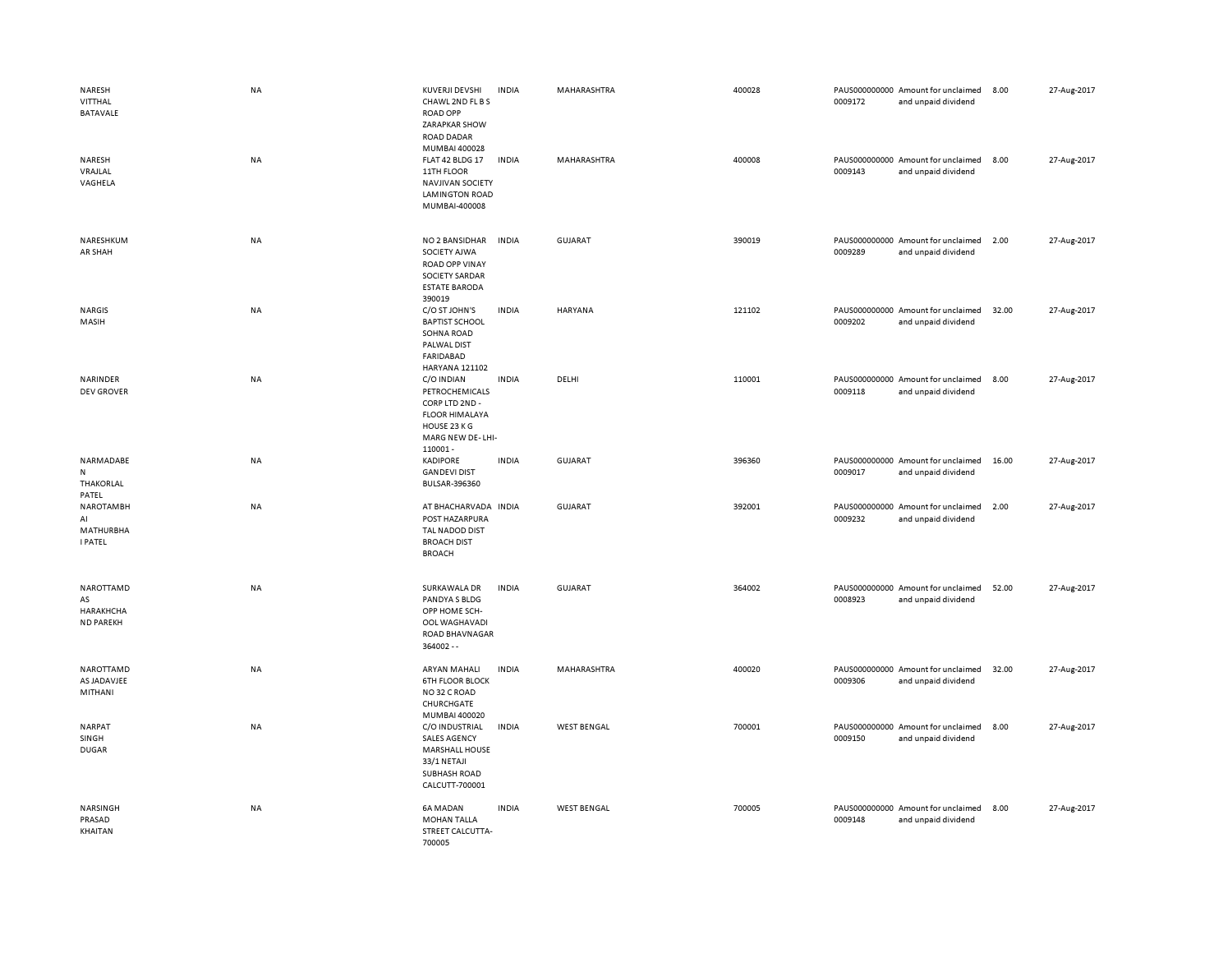| NARESH<br>VITTHAL<br>BATAVALE<br>NARESH<br>VRAJLAL<br>VAGHELA | NA<br>NA | <b>KUVERJI DEVSHI</b><br>CHAWL 2ND FL B S<br><b>ROAD OPP</b><br><b>ZARAPKAR SHOW</b><br><b>ROAD DADAR</b><br>MUMBAI 400028<br>FLAT 42 BLDG 17<br>11TH FLOOR<br><b>NAVJIVAN SOCIETY</b><br><b>LAMINGTON ROAD</b><br>MUMBAI-400008 | <b>INDIA</b><br><b>INDIA</b> | MAHARASHTRA<br>MAHARASHTRA | 400028<br>400008 | 0009172<br>0009143 | PAUS000000000 Amount for unclaimed<br>and unpaid dividend<br>PAUS000000000 Amount for unclaimed<br>and unpaid dividend | 8.00<br>8.00 | 27-Aug-2017<br>27-Aug-2017 |
|---------------------------------------------------------------|----------|----------------------------------------------------------------------------------------------------------------------------------------------------------------------------------------------------------------------------------|------------------------------|----------------------------|------------------|--------------------|------------------------------------------------------------------------------------------------------------------------|--------------|----------------------------|
| NARESHKUM<br>AR SHAH                                          | NA       | NO 2 BANSIDHAR<br>SOCIETY AJWA<br><b>ROAD OPP VINAY</b><br>SOCIETY SARDAR<br><b>ESTATE BARODA</b><br>390019                                                                                                                      | <b>INDIA</b>                 | GUJARAT                    | 390019           | 0009289            | PAUS000000000 Amount for unclaimed<br>and unpaid dividend                                                              | 2.00         | 27-Aug-2017                |
| <b>NARGIS</b><br>MASIH                                        | NA       | C/O ST JOHN'S<br><b>BAPTIST SCHOOL</b><br><b>SOHNA ROAD</b><br>PALWAL DIST<br>FARIDABAD<br><b>HARYANA 121102</b>                                                                                                                 | <b>INDIA</b>                 | HARYANA                    | 121102           | 0009202            | PAUS000000000 Amount for unclaimed<br>and unpaid dividend                                                              | 32.00        | 27-Aug-2017                |
| NARINDER<br><b>DEV GROVER</b>                                 | NA       | C/O INDIAN<br>PETROCHEMICALS<br>CORP LTD 2ND -<br><b>FLOOR HIMALAYA</b><br>HOUSE 23 K G<br>MARG NEW DE-LHI-<br>110001-                                                                                                           | <b>INDIA</b>                 | DELHI                      | 110001           | 0009118            | PAUS000000000 Amount for unclaimed<br>and unpaid dividend                                                              | 8.00         | 27-Aug-2017                |
| NARMADABE<br>N<br>THAKORLAL<br>PATEL                          | NA       | <b>KADIPORE</b><br><b>GANDEVI DIST</b><br>BULSAR-396360                                                                                                                                                                          | <b>INDIA</b>                 | <b>GUJARAT</b>             | 396360           | 0009017            | PAUS000000000 Amount for unclaimed<br>and unpaid dividend                                                              | 16.00        | 27-Aug-2017                |
| <b>NAROTAMBH</b><br>AI<br><b>MATHURBHA</b><br><b>I PATEL</b>  | NA       | AT BHACHARVADA INDIA<br>POST HAZARPURA<br>TAL NADOD DIST<br><b>BROACH DIST</b><br><b>BROACH</b>                                                                                                                                  |                              | <b>GUJARAT</b>             | 392001           | 0009232            | PAUS000000000 Amount for unclaimed<br>and unpaid dividend                                                              | 2.00         | 27-Aug-2017                |
| NAROTTAMD<br>AS<br>HARAKHCHA<br><b>ND PAREKH</b>              | NA       | SURKAWALA DR<br>PANDYA S BLDG<br>OPP HOME SCH-<br>OOL WAGHAVADI<br>ROAD BHAVNAGAR<br>364002 --                                                                                                                                   | <b>INDIA</b>                 | <b>GUJARAT</b>             | 364002           | 0008923            | PAUS000000000 Amount for unclaimed<br>and unpaid dividend                                                              | 52.00        | 27-Aug-2017                |
| NAROTTAMD<br>AS JADAVJEE<br>MITHANI                           | NA       | ARYAN MAHALI<br><b>6TH FLOOR BLOCK</b><br>NO32 C ROAD<br>CHURCHGATE<br>MUMBAI 400020                                                                                                                                             | <b>INDIA</b>                 | MAHARASHTRA                | 400020           | 0009306            | PAUS000000000 Amount for unclaimed<br>and unpaid dividend                                                              | 32.00        | 27-Aug-2017                |
| NARPAT<br>SINGH<br><b>DUGAR</b>                               | NA       | C/O INDUSTRIAL<br><b>SALES AGENCY</b><br><b>MARSHALL HOUSE</b><br>33/1 NETAJI<br>SUBHASH ROAD<br>CALCUTT-700001                                                                                                                  | <b>INDIA</b>                 | <b>WEST BENGAL</b>         | 700001           | 0009150            | PAUS000000000 Amount for unclaimed<br>and unpaid dividend                                                              | 8.00         | 27-Aug-2017                |
| NARSINGH<br>PRASAD<br>KHAITAN                                 | NA       | 6A MADAN<br><b>MOHAN TALLA</b><br>STREET CALCUTTA-<br>700005                                                                                                                                                                     | <b>INDIA</b>                 | <b>WEST BENGAL</b>         | 700005           | 0009148            | PAUS000000000 Amount for unclaimed<br>and unpaid dividend                                                              | 8.00         | 27-Aug-2017                |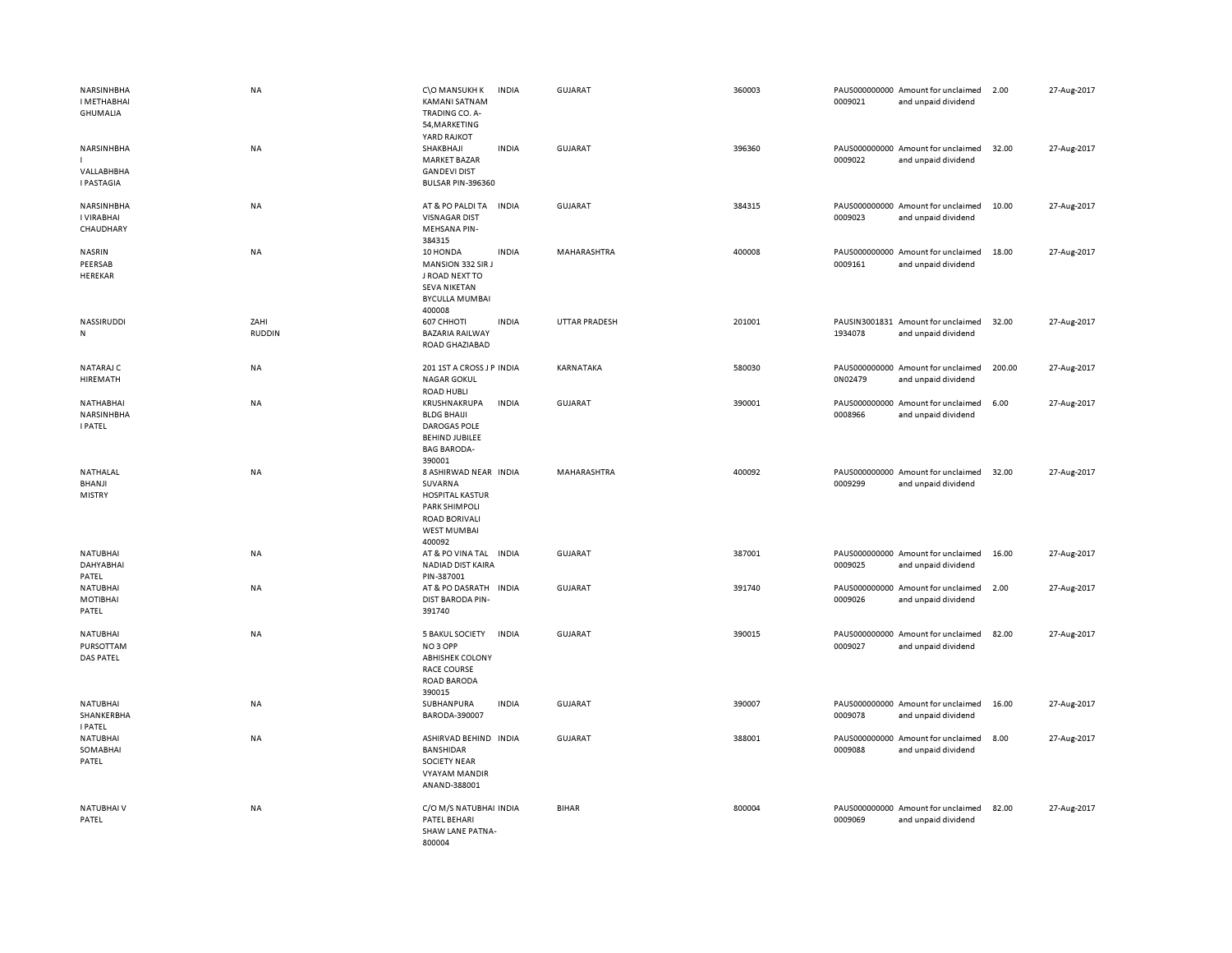| NARSINHBHA<br>I METHABHAI<br><b>GHUMALIA</b>     | <b>NA</b>             | C\O MANSUKH K<br><b>KAMANI SATNAM</b><br>TRADING CO. A-<br>54, MARKETING<br>YARD RAJKOT                                             | <b>INDIA</b> | <b>GUJARAT</b>       | 360003 | 0009021 | PAUS000000000 Amount for unclaimed<br>and unpaid dividend | 2.00   | 27-Aug-2017 |
|--------------------------------------------------|-----------------------|-------------------------------------------------------------------------------------------------------------------------------------|--------------|----------------------|--------|---------|-----------------------------------------------------------|--------|-------------|
| NARSINHBHA<br>VALLABHBHA<br><b>I PASTAGIA</b>    | NA                    | SHAKBHAJI<br><b>MARKET BAZAR</b><br><b>GANDEVI DIST</b><br><b>BULSAR PIN-396360</b>                                                 | <b>INDIA</b> | <b>GUJARAT</b>       | 396360 | 0009022 | PAUS000000000 Amount for unclaimed<br>and unpaid dividend | 32.00  | 27-Aug-2017 |
| NARSINHBHA<br>I VIRABHAI<br>CHAUDHARY            | NA                    | AT & PO PALDI TA<br><b>VISNAGAR DIST</b><br>MEHSANA PIN-<br>384315                                                                  | <b>INDIA</b> | <b>GUJARAT</b>       | 384315 | 0009023 | PAUS000000000 Amount for unclaimed<br>and unpaid dividend | 10.00  | 27-Aug-2017 |
| NASRIN<br>PEERSAB<br>HEREKAR                     | <b>NA</b>             | 10 HONDA<br>MANSION 332 SIR J<br>J ROAD NEXT TO<br><b>SEVA NIKETAN</b><br><b>BYCULLA MUMBAI</b><br>400008                           | <b>INDIA</b> | MAHARASHTRA          | 400008 | 0009161 | PAUS000000000 Amount for unclaimed<br>and unpaid dividend | 18.00  | 27-Aug-2017 |
| NASSIRUDDI<br>${\sf N}$                          | ZAHI<br><b>RUDDIN</b> | 607 CHHOTI<br><b>BAZARIA RAILWAY</b><br>ROAD GHAZIABAD                                                                              | <b>INDIA</b> | <b>UTTAR PRADESH</b> | 201001 | 1934078 | PAUSIN3001831 Amount for unclaimed<br>and unpaid dividend | 32.00  | 27-Aug-2017 |
| NATARAJ C<br>HIREMATH                            | <b>NA</b>             | 201 1ST A CROSS J P INDIA<br><b>NAGAR GOKUL</b><br><b>ROAD HUBLI</b>                                                                |              | KARNATAKA            | 580030 | 0N02479 | PAUS000000000 Amount for unclaimed<br>and unpaid dividend | 200.00 | 27-Aug-2017 |
| NATHABHAI<br>NARSINHBHA<br><b>I PATEL</b>        | NA                    | KRUSHNAKRUPA<br><b>BLDG BHAIJI</b><br><b>DAROGAS POLE</b><br><b>BEHIND JUBILEE</b><br><b>BAG BARODA-</b><br>390001                  | <b>INDIA</b> | <b>GUJARAT</b>       | 390001 | 0008966 | PAUS000000000 Amount for unclaimed<br>and unpaid dividend | 6.00   | 27-Aug-2017 |
| NATHALAL<br><b>BHANJI</b><br><b>MISTRY</b>       | NA                    | 8 ASHIRWAD NEAR INDIA<br>SUVARNA<br><b>HOSPITAL KASTUR</b><br>PARK SHIMPOLI<br><b>ROAD BORIVALI</b><br><b>WEST MUMBAI</b><br>400092 |              | MAHARASHTRA          | 400092 | 0009299 | PAUS000000000 Amount for unclaimed<br>and unpaid dividend | 32.00  | 27-Aug-2017 |
| NATUBHAI<br>DAHYABHAI<br>PATEL                   | <b>NA</b>             | AT & PO VINA TAL INDIA<br>NADIAD DIST KAIRA<br>PIN-387001                                                                           |              | GUJARAT              | 387001 | 0009025 | PAUS000000000 Amount for unclaimed<br>and unpaid dividend | 16.00  | 27-Aug-2017 |
| <b>NATUBHAI</b><br>MOTIBHAI<br>PATEL             | <b>NA</b>             | AT & PO DASRATH INDIA<br>DIST BARODA PIN-<br>391740                                                                                 |              | <b>GUJARAT</b>       | 391740 | 0009026 | PAUS000000000 Amount for unclaimed<br>and unpaid dividend | 2.00   | 27-Aug-2017 |
| <b>NATUBHAI</b><br>PURSOTTAM<br><b>DAS PATEL</b> | <b>NA</b>             | <b>5 BAKUL SOCIETY</b><br>NO <sub>3</sub> OPP<br><b>ABHISHEK COLONY</b><br><b>RACE COURSE</b><br><b>ROAD BARODA</b><br>390015       | <b>INDIA</b> | <b>GUJARAT</b>       | 390015 | 0009027 | PAUS000000000 Amount for unclaimed<br>and unpaid dividend | 82.00  | 27-Aug-2017 |
| NATUBHAI<br>SHANKERBHA<br><b>I PATEL</b>         | NA                    | SUBHANPURA<br>BARODA-390007                                                                                                         | <b>INDIA</b> | <b>GUJARAT</b>       | 390007 | 0009078 | PAUS000000000 Amount for unclaimed<br>and unpaid dividend | 16.00  | 27-Aug-2017 |
| <b>NATUBHAI</b><br>SOMABHAI<br>PATEL             | <b>NA</b>             | ASHIRVAD BEHIND INDIA<br>BANSHIDAR<br><b>SOCIETY NEAR</b><br><b>VYAYAM MANDIR</b><br>ANAND-388001                                   |              | <b>GUJARAT</b>       | 388001 | 0009088 | PAUS000000000 Amount for unclaimed<br>and unpaid dividend | 8.00   | 27-Aug-2017 |
| <b>NATUBHAIV</b><br>PATEL                        | <b>NA</b>             | C/O M/S NATUBHAI INDIA<br>PATEL BEHARI<br>SHAW LANE PATNA-<br>800004                                                                |              | <b>BIHAR</b>         | 800004 | 0009069 | PAUS000000000 Amount for unclaimed<br>and unpaid dividend | 82.00  | 27-Aug-2017 |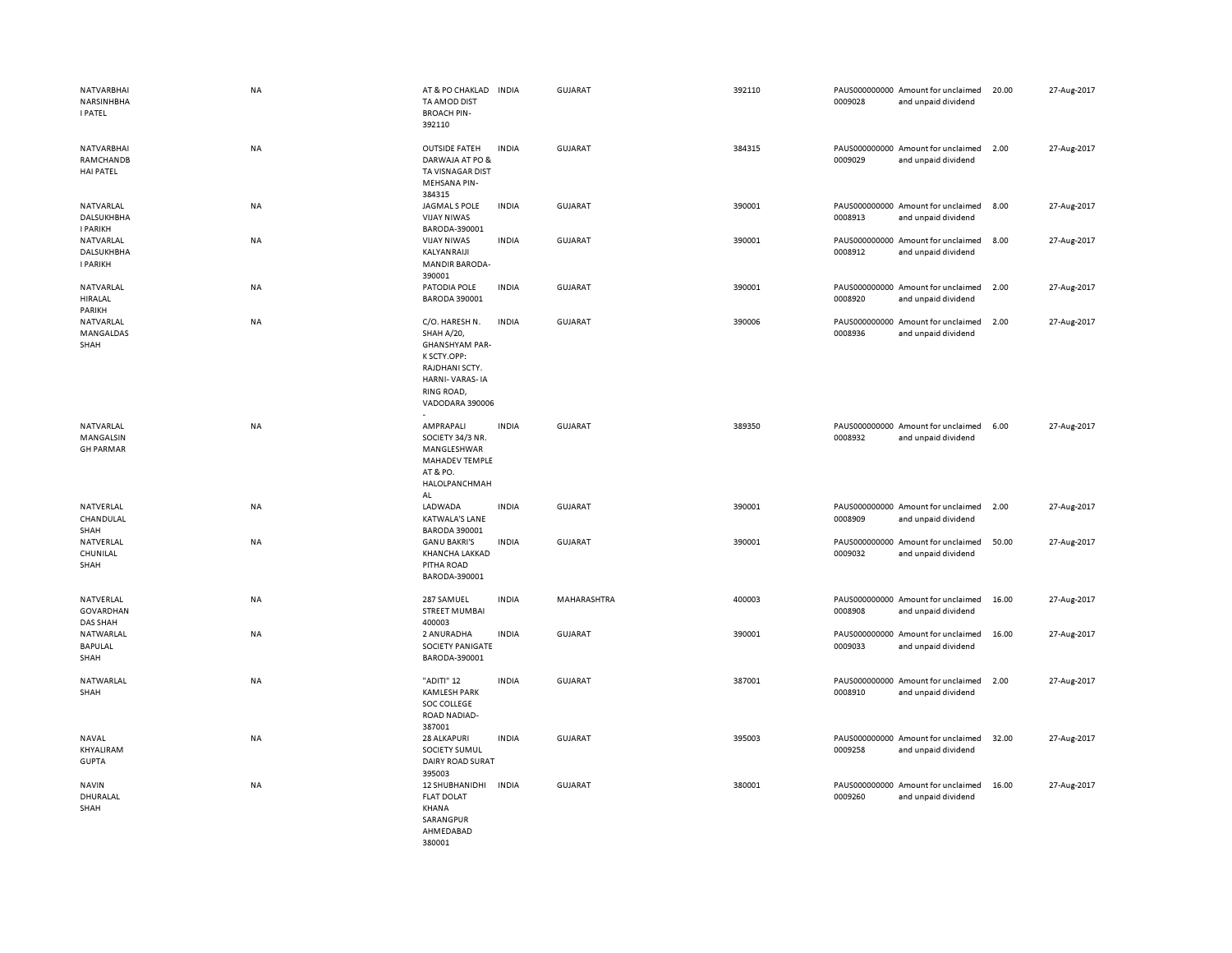| NATVARBHAI<br>NARSINHBHA<br><b>I PATEL</b>        | <b>NA</b> | AT & PO CHAKLAD<br>TA AMOD DIST<br><b>BROACH PIN-</b><br>392110                                                                                  | <b>INDIA</b> | GUJARAT        | 392110 | 0009028 | PAUS000000000 Amount for unclaimed<br>and unpaid dividend | 20.00 | 27-Aug-2017 |
|---------------------------------------------------|-----------|--------------------------------------------------------------------------------------------------------------------------------------------------|--------------|----------------|--------|---------|-----------------------------------------------------------|-------|-------------|
| NATVARBHAI<br>RAMCHANDB<br><b>HAI PATEL</b>       | <b>NA</b> | <b>OUTSIDE FATEH</b><br>DARWAJA AT PO &<br>TA VISNAGAR DIST<br><b>MEHSANA PIN-</b><br>384315                                                     | <b>INDIA</b> | GUJARAT        | 384315 | 0009029 | PAUS000000000 Amount for unclaimed<br>and unpaid dividend | 2.00  | 27-Aug-2017 |
| <b>NATVARLAL</b><br>DALSUKHBHA<br><b>I PARIKH</b> | <b>NA</b> | JAGMAL S POLE<br><b>VIJAY NIWAS</b><br>BARODA-390001                                                                                             | <b>INDIA</b> | <b>GUJARAT</b> | 390001 | 0008913 | PAUS000000000 Amount for unclaimed<br>and unpaid dividend | 8.00  | 27-Aug-2017 |
| NATVARLAL<br><b>DALSUKHBHA</b><br><b>I PARIKH</b> | <b>NA</b> | <b>VIJAY NIWAS</b><br>KALYANRAIJI<br><b>MANDIR BARODA-</b><br>390001                                                                             | <b>INDIA</b> | <b>GUJARAT</b> | 390001 | 0008912 | PAUS000000000 Amount for unclaimed<br>and unpaid dividend | 8.00  | 27-Aug-2017 |
| NATVARLAL<br>HIRALAL<br>PARIKH                    | NA        | PATODIA POLE<br>BARODA 390001                                                                                                                    | <b>INDIA</b> | <b>GUJARAT</b> | 390001 | 0008920 | PAUS000000000 Amount for unclaimed<br>and unpaid dividend | 2.00  | 27-Aug-2017 |
| NATVARLAL<br>MANGALDAS<br>SHAH                    | NA        | C/O. HARESH N.<br><b>SHAH A/20,</b><br><b>GHANSHYAM PAR-</b><br>K SCTY.OPP:<br>RAJDHANI SCTY.<br>HARNI-VARAS-IA<br>RING ROAD,<br>VADODARA 390006 | <b>INDIA</b> | GUJARAT        | 390006 | 0008936 | PAUS000000000 Amount for unclaimed<br>and unpaid dividend | 2.00  | 27-Aug-2017 |
| NATVARLAL<br>MANGALSIN<br><b>GH PARMAR</b>        | NA        | AMPRAPALI<br>SOCIETY 34/3 NR.<br>MANGLESHWAR<br>MAHADEV TEMPLE<br>AT & PO.<br>HALOLPANCHMAH<br>AL                                                | <b>INDIA</b> | <b>GUJARAT</b> | 389350 | 0008932 | PAUS000000000 Amount for unclaimed<br>and unpaid dividend | 6.00  | 27-Aug-2017 |
| NATVERLAL<br>CHANDULAL<br>SHAH                    | NA        | LADWADA<br><b>KATWALA'S LANE</b><br>BARODA 390001                                                                                                | <b>INDIA</b> | <b>GUJARAT</b> | 390001 | 0008909 | PAUS000000000 Amount for unclaimed<br>and unpaid dividend | 2.00  | 27-Aug-2017 |
| NATVERLAL<br>CHUNILAL<br>SHAH                     | NA        | <b>GANU BAKRI'S</b><br>KHANCHA LAKKAD<br>PITHA ROAD<br>BARODA-390001                                                                             | <b>INDIA</b> | <b>GUJARAT</b> | 390001 | 0009032 | PAUS000000000 Amount for unclaimed<br>and unpaid dividend | 50.00 | 27-Aug-2017 |
| NATVERLAL<br>GOVARDHAN<br><b>DAS SHAH</b>         | NA        | 287 SAMUEL<br><b>STREET MUMBAI</b><br>400003                                                                                                     | <b>INDIA</b> | MAHARASHTRA    | 400003 | 0008908 | PAUS000000000 Amount for unclaimed<br>and unpaid dividend | 16.00 | 27-Aug-2017 |
| NATWARLAL<br>BAPULAL<br>SHAH                      | <b>NA</b> | 2 ANURADHA<br><b>SOCIETY PANIGATE</b><br>BARODA-390001                                                                                           | <b>INDIA</b> | GUJARAT        | 390001 | 0009033 | PAUS000000000 Amount for unclaimed<br>and unpaid dividend | 16.00 | 27-Aug-2017 |
| NATWARLAL<br>SHAH                                 | <b>NA</b> | "ADITI" 12<br><b>KAMLESH PARK</b><br>SOC COLLEGE<br>ROAD NADIAD-<br>387001                                                                       | <b>INDIA</b> | GUJARAT        | 387001 | 0008910 | PAUS000000000 Amount for unclaimed<br>and unpaid dividend | 2.00  | 27-Aug-2017 |
| NAVAL<br>KHYALIRAM<br><b>GUPTA</b>                | NA        | <b>28 ALKAPURI</b><br>SOCIETY SUMUL<br>DAIRY ROAD SURAT<br>395003                                                                                | <b>INDIA</b> | <b>GUJARAT</b> | 395003 | 0009258 | PAUS000000000 Amount for unclaimed<br>and unpaid dividend | 32.00 | 27-Aug-2017 |
| <b>NAVIN</b><br>DHURALAL<br>SHAH                  | <b>NA</b> | 12 SHUBHANIDHI<br><b>FLAT DOLAT</b><br>KHANA<br>SARANGPUR<br>AHMEDABAD<br>380001                                                                 | <b>INDIA</b> | GUJARAT        | 380001 | 0009260 | PAUS000000000 Amount for unclaimed<br>and unpaid dividend | 16.00 | 27-Aug-2017 |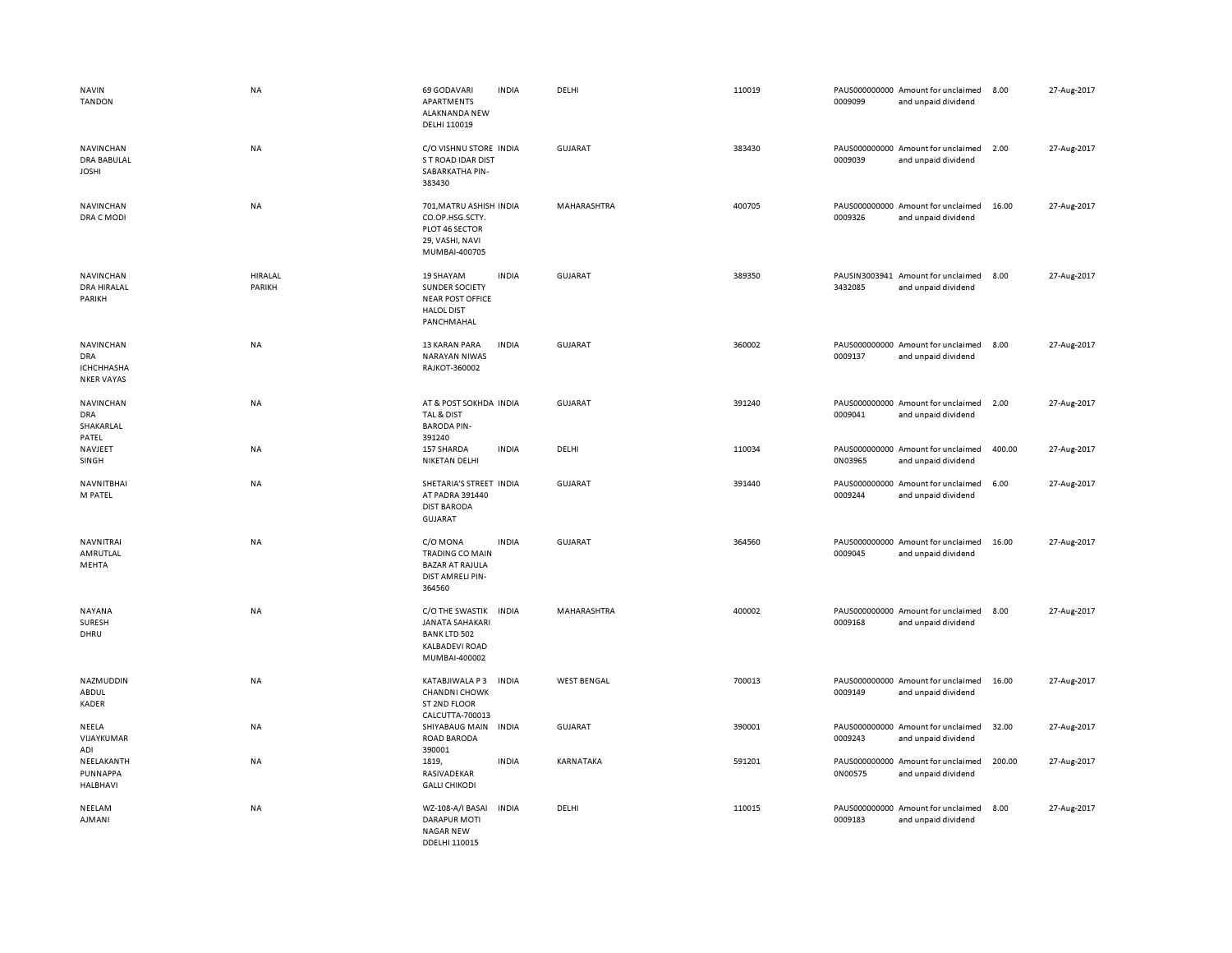| <b>NAVIN</b><br><b>TANDON</b>                                     | NA                | 69 GODAVARI<br>APARTMENTS<br>ALAKNANDA NEW<br>DELHI 110019                                                 | <b>INDIA</b> | DELHI              | 110019 | 0009099 | PAUS000000000 Amount for unclaimed<br>and unpaid dividend | 8.00   | 27-Aug-2017 |
|-------------------------------------------------------------------|-------------------|------------------------------------------------------------------------------------------------------------|--------------|--------------------|--------|---------|-----------------------------------------------------------|--------|-------------|
| NAVINCHAN<br><b>DRA BABULAL</b><br><b>JOSHI</b>                   | NA                | C/O VISHNU STORE INDIA<br>S T ROAD IDAR DIST<br>SABARKATHA PIN-<br>383430                                  |              | <b>GUJARAT</b>     | 383430 | 0009039 | PAUS000000000 Amount for unclaimed<br>and unpaid dividend | 2.00   | 27-Aug-2017 |
| NAVINCHAN<br>DRA C MODI                                           | NA                | 701, MATRU ASHISH INDIA<br>CO.OP.HSG.SCTY.<br>PLOT 46 SECTOR<br>29, VASHI, NAVI<br>MUMBAI-400705           |              | MAHARASHTRA        | 400705 | 0009326 | PAUS000000000 Amount for unclaimed<br>and unpaid dividend | 16.00  | 27-Aug-2017 |
| NAVINCHAN<br>DRA HIRALAL<br>PARIKH                                | HIRALAL<br>PARIKH | <b>19 SHAYAM</b><br>SUNDER SOCIETY<br><b>NEAR POST OFFICE</b><br><b>HALOL DIST</b><br>PANCHMAHAL           | <b>INDIA</b> | <b>GUJARAT</b>     | 389350 | 3432085 | PAUSIN3003941 Amount for unclaimed<br>and unpaid dividend | 8.00   | 27-Aug-2017 |
| NAVINCHAN<br><b>DRA</b><br><b>ICHCHHASHA</b><br><b>NKER VAYAS</b> | NA                | 13 KARAN PARA<br><b>NARAYAN NIWAS</b><br>RAJKOT-360002                                                     | <b>INDIA</b> | GUJARAT            | 360002 | 0009137 | PAUS000000000 Amount for unclaimed<br>and unpaid dividend | 8.00   | 27-Aug-2017 |
| NAVINCHAN<br><b>DRA</b><br>SHAKARLAL<br>PATEL                     | NA                | AT & POST SOKHDA INDIA<br>TAL & DIST<br><b>BARODA PIN-</b><br>391240                                       |              | GUJARAT            | 391240 | 0009041 | PAUS000000000 Amount for unclaimed<br>and unpaid dividend | 2.00   | 27-Aug-2017 |
| NAVJEET<br>SINGH                                                  | NA                | 157 SHARDA<br><b>NIKETAN DELHI</b>                                                                         | <b>INDIA</b> | DELHI              | 110034 | 0N03965 | PAUS000000000 Amount for unclaimed<br>and unpaid dividend | 400.00 | 27-Aug-2017 |
| NAVNITBHAI<br>M PATEL                                             | NA                | SHETARIA'S STREET INDIA<br>AT PADRA 391440<br><b>DIST BARODA</b><br><b>GUJARAT</b>                         |              | <b>GUJARAT</b>     | 391440 | 0009244 | PAUS000000000 Amount for unclaimed<br>and unpaid dividend | 6.00   | 27-Aug-2017 |
| <b>NAVNITRAI</b><br>AMRUTLAL<br>MEHTA                             | NA                | C/O MONA<br><b>TRADING CO MAIN</b><br><b>BAZAR AT RAJULA</b><br>DIST AMRELI PIN-<br>364560                 | <b>INDIA</b> | <b>GUJARAT</b>     | 364560 | 0009045 | PAUS000000000 Amount for unclaimed<br>and unpaid dividend | 16.00  | 27-Aug-2017 |
| <b>NAYANA</b><br><b>SURESH</b><br>DHRU                            | <b>NA</b>         | C/O THE SWASTIK<br><b>JANATA SAHAKARI</b><br><b>BANK LTD 502</b><br><b>KALBADEVI ROAD</b><br>MUMBAI-400002 | <b>INDIA</b> | <b>MAHARASHTRA</b> | 400002 | 0009168 | PAUS000000000 Amount for unclaimed<br>and unpaid dividend | 8.00   | 27-Aug-2017 |
| NAZMUDDIN<br>ABDUL<br><b>KADER</b>                                | <b>NA</b>         | KATABJIWALA P3<br><b>CHANDNI CHOWK</b><br>ST 2ND FLOOR<br>CALCUTTA-700013                                  | <b>INDIA</b> | <b>WEST BENGAL</b> | 700013 | 0009149 | PAUS000000000 Amount for unclaimed<br>and unpaid dividend | 16.00  | 27-Aug-2017 |
| NEELA<br>VIJAYKUMAR<br>ADI                                        | NA                | SHIYABAUG MAIN<br><b>ROAD BARODA</b><br>390001                                                             | <b>INDIA</b> | GUJARAT            | 390001 | 0009243 | PAUS000000000 Amount for unclaimed<br>and unpaid dividend | 32.00  | 27-Aug-2017 |
| NEELAKANTH<br>PUNNAPPA<br><b>HALBHAVI</b>                         | NA                | 1819,<br>RASIVADEKAR<br><b>GALLI CHIKODI</b>                                                               | <b>INDIA</b> | KARNATAKA          | 591201 | 0N00575 | PAUS000000000 Amount for unclaimed<br>and unpaid dividend | 200.00 | 27-Aug-2017 |
| NEELAM<br>AJMANI                                                  | <b>NA</b>         | WZ-108-A/I BASAI<br><b>DARAPUR MOTI</b><br>NAGAR NEW<br>DDELHI 110015                                      | <b>INDIA</b> | DELHI              | 110015 | 0009183 | PAUS000000000 Amount for unclaimed<br>and unpaid dividend | 8.00   | 27-Aug-2017 |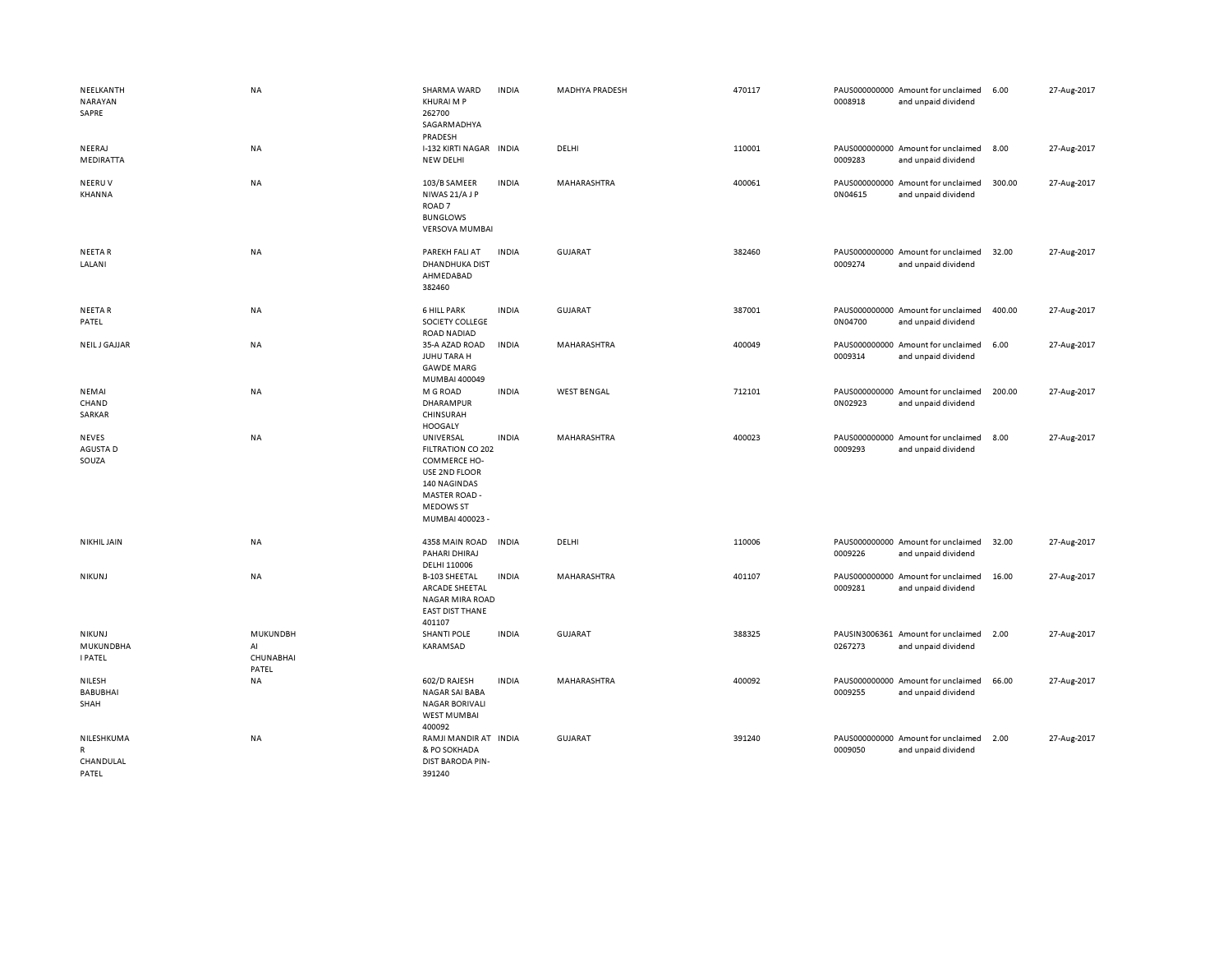| NEELKANTH<br>NARAYAN<br>SAPRE         | NA                                   | SHARMA WARD<br>KHURAI M P<br>262700<br>SAGARMADHYA<br>PRADESH                                                                                         | <b>INDIA</b> | MADHYA PRADESH     | 470117 | 0008918 | PAUS000000000 Amount for unclaimed<br>and unpaid dividend | 6.00   | 27-Aug-2017 |
|---------------------------------------|--------------------------------------|-------------------------------------------------------------------------------------------------------------------------------------------------------|--------------|--------------------|--------|---------|-----------------------------------------------------------|--------|-------------|
| NEERAJ<br>MEDIRATTA                   | NA                                   | I-132 KIRTI NAGAR INDIA<br>NEW DELHI                                                                                                                  |              | DELHI              | 110001 | 0009283 | PAUS000000000 Amount for unclaimed<br>and unpaid dividend | 8.00   | 27-Aug-2017 |
| NEERUV<br>KHANNA                      | NA                                   | 103/B SAMEER<br>NIWAS 21/AJP<br>ROAD <sub>7</sub><br><b>BUNGLOWS</b><br><b>VERSOVA MUMBAI</b>                                                         | <b>INDIA</b> | MAHARASHTRA        | 400061 | 0N04615 | PAUS000000000 Amount for unclaimed<br>and unpaid dividend | 300.00 | 27-Aug-2017 |
| <b>NEETAR</b><br>LALANI               | NA                                   | PAREKH FALI AT<br><b>DHANDHUKA DIST</b><br>AHMEDABAD<br>382460                                                                                        | <b>INDIA</b> | GUJARAT            | 382460 | 0009274 | PAUS000000000 Amount for unclaimed<br>and unpaid dividend | 32.00  | 27-Aug-2017 |
| <b>NEETAR</b><br>PATEL                | NA                                   | <b>6 HILL PARK</b><br>SOCIETY COLLEGE<br><b>ROAD NADIAD</b>                                                                                           | <b>INDIA</b> | <b>GUJARAT</b>     | 387001 | 0N04700 | PAUS000000000 Amount for unclaimed<br>and unpaid dividend | 400.00 | 27-Aug-2017 |
| NEIL J GAJJAR                         | NA                                   | 35-A AZAD ROAD<br>JUHU TARA H<br><b>GAWDE MARG</b><br>MUMBAI 400049                                                                                   | <b>INDIA</b> | MAHARASHTRA        | 400049 | 0009314 | PAUS000000000 Amount for unclaimed<br>and unpaid dividend | 6.00   | 27-Aug-2017 |
| NEMAI<br>CHAND<br>SARKAR              | NA                                   | M G ROAD<br>DHARAMPUR<br>CHINSURAH<br><b>HOOGALY</b>                                                                                                  | <b>INDIA</b> | <b>WEST BENGAL</b> | 712101 | 0N02923 | PAUS000000000 Amount for unclaimed<br>and unpaid dividend | 200.00 | 27-Aug-2017 |
| <b>NEVES</b><br>AGUSTA D<br>SOUZA     | NA                                   | UNIVERSAL<br><b>FILTRATION CO 202</b><br>COMMERCE HO-<br>USE 2ND FLOOR<br>140 NAGINDAS<br><b>MASTER ROAD -</b><br><b>MEDOWS ST</b><br>MUMBAI 400023 - | <b>INDIA</b> | MAHARASHTRA        | 400023 | 0009293 | PAUS000000000 Amount for unclaimed<br>and unpaid dividend | 8.00   | 27-Aug-2017 |
| <b>NIKHIL JAIN</b>                    | NA                                   | 4358 MAIN ROAD<br>PAHARI DHIRAJ<br>DELHI 110006                                                                                                       | <b>INDIA</b> | DELHI              | 110006 | 0009226 | PAUS000000000 Amount for unclaimed<br>and unpaid dividend | 32.00  | 27-Aug-2017 |
| <b>NIKUNJ</b>                         | <b>NA</b>                            | <b>B-103 SHEETAL</b><br>ARCADE SHEETAL<br>NAGAR MIRA ROAD<br><b>EAST DIST THANE</b><br>401107                                                         | <b>INDIA</b> | MAHARASHTRA        | 401107 | 0009281 | PAUS000000000 Amount for unclaimed<br>and unpaid dividend | 16.00  | 27-Aug-2017 |
| NIKUNJ<br>MUKUNDBHA<br><b>I PATEL</b> | MUKUNDBH<br>AI<br>CHUNABHAI<br>PATEL | <b>SHANTI POLE</b><br>KARAMSAD                                                                                                                        | <b>INDIA</b> | <b>GUJARAT</b>     | 388325 | 0267273 | PAUSIN3006361 Amount for unclaimed<br>and unpaid dividend | 2.00   | 27-Aug-2017 |
| NILESH<br><b>BABUBHAI</b><br>SHAH     | <b>NA</b>                            | 602/D RAJESH<br>NAGAR SAI BABA<br><b>NAGAR BORIVALI</b><br><b>WEST MUMBAI</b><br>400092                                                               | <b>INDIA</b> | MAHARASHTRA        | 400092 | 0009255 | PAUS000000000 Amount for unclaimed<br>and unpaid dividend | 66.00  | 27-Aug-2017 |
| NILESHKUMA<br>R<br>CHANDULAL<br>PATEL | NA                                   | RAMJI MANDIR AT INDIA<br>& PO SOKHADA<br>DIST BARODA PIN-<br>391240                                                                                   |              | <b>GUJARAT</b>     | 391240 | 0009050 | PAUS000000000 Amount for unclaimed<br>and unpaid dividend | 2.00   | 27-Aug-2017 |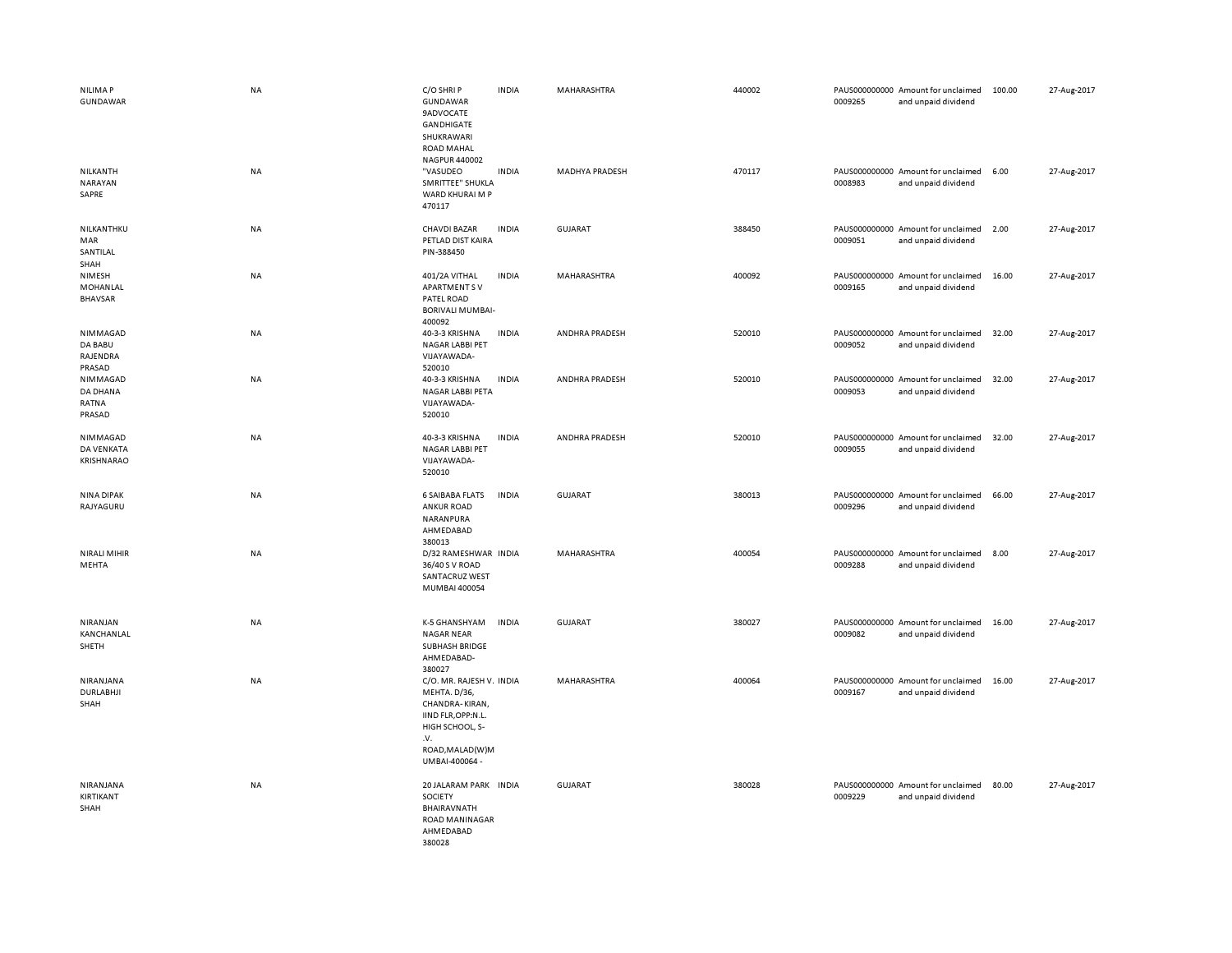| NILIMA P<br>GUNDAWAR                      | <b>NA</b> | C/O SHRIP<br>GUNDAWAR<br><b>9ADVOCATE</b><br><b>GANDHIGATE</b><br>SHUKRAWARI<br><b>ROAD MAHAL</b><br>NAGPUR 440002                              | <b>INDIA</b> | MAHARASHTRA           | 440002 | 0009265 | PAUS000000000 Amount for unclaimed<br>and unpaid dividend | 100.00 | 27-Aug-2017 |
|-------------------------------------------|-----------|-------------------------------------------------------------------------------------------------------------------------------------------------|--------------|-----------------------|--------|---------|-----------------------------------------------------------|--------|-------------|
| NILKANTH<br><b>NARAYAN</b><br>SAPRE       | <b>NA</b> | "VASUDEO<br>SMRITTEE" SHUKLA<br>WARD KHURAI M P<br>470117                                                                                       | <b>INDIA</b> | <b>MADHYA PRADESH</b> | 470117 | 0008983 | PAUS000000000 Amount for unclaimed<br>and unpaid dividend | 6.00   | 27-Aug-2017 |
| NILKANTHKU<br>MAR<br>SANTILAL<br>SHAH     | <b>NA</b> | <b>CHAVDI BAZAR</b><br>PETLAD DIST KAIRA<br>PIN-388450                                                                                          | <b>INDIA</b> | GUJARAT               | 388450 | 0009051 | PAUS000000000 Amount for unclaimed<br>and unpaid dividend | 2.00   | 27-Aug-2017 |
| NIMESH<br>MOHANLAL<br><b>BHAVSAR</b>      | <b>NA</b> | 401/2A VITHAL<br><b>APARTMENTSV</b><br>PATEL ROAD<br><b>BORIVALI MUMBAI-</b><br>400092                                                          | <b>INDIA</b> | MAHARASHTRA           | 400092 | 0009165 | PAUS000000000 Amount for unclaimed<br>and unpaid dividend | 16.00  | 27-Aug-2017 |
| NIMMAGAD<br>DA BABU<br>RAJENDRA<br>PRASAD | NA        | 40-3-3 KRISHNA<br>NAGAR LABBI PET<br>VIJAYAWADA-<br>520010                                                                                      | <b>INDIA</b> | ANDHRA PRADESH        | 520010 | 0009052 | PAUS000000000 Amount for unclaimed<br>and unpaid dividend | 32.00  | 27-Aug-2017 |
| NIMMAGAD<br>DA DHANA<br>RATNA<br>PRASAD   | <b>NA</b> | 40-3-3 KRISHNA<br>NAGAR LABBI PETA<br>VIJAYAWADA-<br>520010                                                                                     | <b>INDIA</b> | ANDHRA PRADESH        | 520010 | 0009053 | PAUS000000000 Amount for unclaimed<br>and unpaid dividend | 32.00  | 27-Aug-2017 |
| NIMMAGAD<br>DA VENKATA<br>KRISHNARAO      | NA        | 40-3-3 KRISHNA<br>NAGAR LABBI PET<br>VIJAYAWADA-<br>520010                                                                                      | <b>INDIA</b> | ANDHRA PRADESH        | 520010 | 0009055 | PAUS000000000 Amount for unclaimed<br>and unpaid dividend | 32.00  | 27-Aug-2017 |
| NINA DIPAK<br>RAJYAGURU                   | <b>NA</b> | <b>6 SAIBABA FLATS</b><br><b>ANKUR ROAD</b><br>NARANPURA<br>AHMEDABAD<br>380013                                                                 | <b>INDIA</b> | <b>GUJARAT</b>        | 380013 | 0009296 | PAUS000000000 Amount for unclaimed<br>and unpaid dividend | 66.00  | 27-Aug-2017 |
| <b>NIRALI MIHIR</b><br>MEHTA              | <b>NA</b> | D/32 RAMESHWAR INDIA<br>36/40 S V ROAD<br>SANTACRUZ WEST<br>MUMBAI 400054                                                                       |              | MAHARASHTRA           | 400054 | 0009288 | PAUS000000000 Amount for unclaimed<br>and unpaid dividend | 8.00   | 27-Aug-2017 |
| NIRANJAN<br>KANCHANLAL<br>SHETH           | NA        | K-5 GHANSHYAM<br><b>NAGAR NEAR</b><br><b>SUBHASH BRIDGE</b><br>AHMEDABAD-<br>380027                                                             | INDIA        | <b>GUJARAT</b>        | 380027 | 0009082 | PAUS000000000 Amount for unclaimed<br>and unpaid dividend | 16.00  | 27-Aug-2017 |
| NIRANJANA<br>DURLABHJI<br>SHAH            | NA        | C/O. MR. RAJESH V. INDIA<br>MEHTA. D/36,<br>CHANDRA-KIRAN,<br>IIND FLR, OPP:N.L.<br>HIGH SCHOOL, S-<br>.v.<br>ROAD, MALAD(W)M<br>UMBAI-400064 - |              | MAHARASHTRA           | 400064 | 0009167 | PAUS000000000 Amount for unclaimed<br>and unpaid dividend | 16.00  | 27-Aug-2017 |
| NIRANJANA<br>KIRTIKANT<br>SHAH            | NA        | 20 JALARAM PARK INDIA<br>SOCIETY<br>BHAIRAVNATH<br>ROAD MANINAGAR<br>AHMEDABAD<br>380028                                                        |              | <b>GUJARAT</b>        | 380028 | 0009229 | PAUS000000000 Amount for unclaimed<br>and unpaid dividend | 80.00  | 27-Aug-2017 |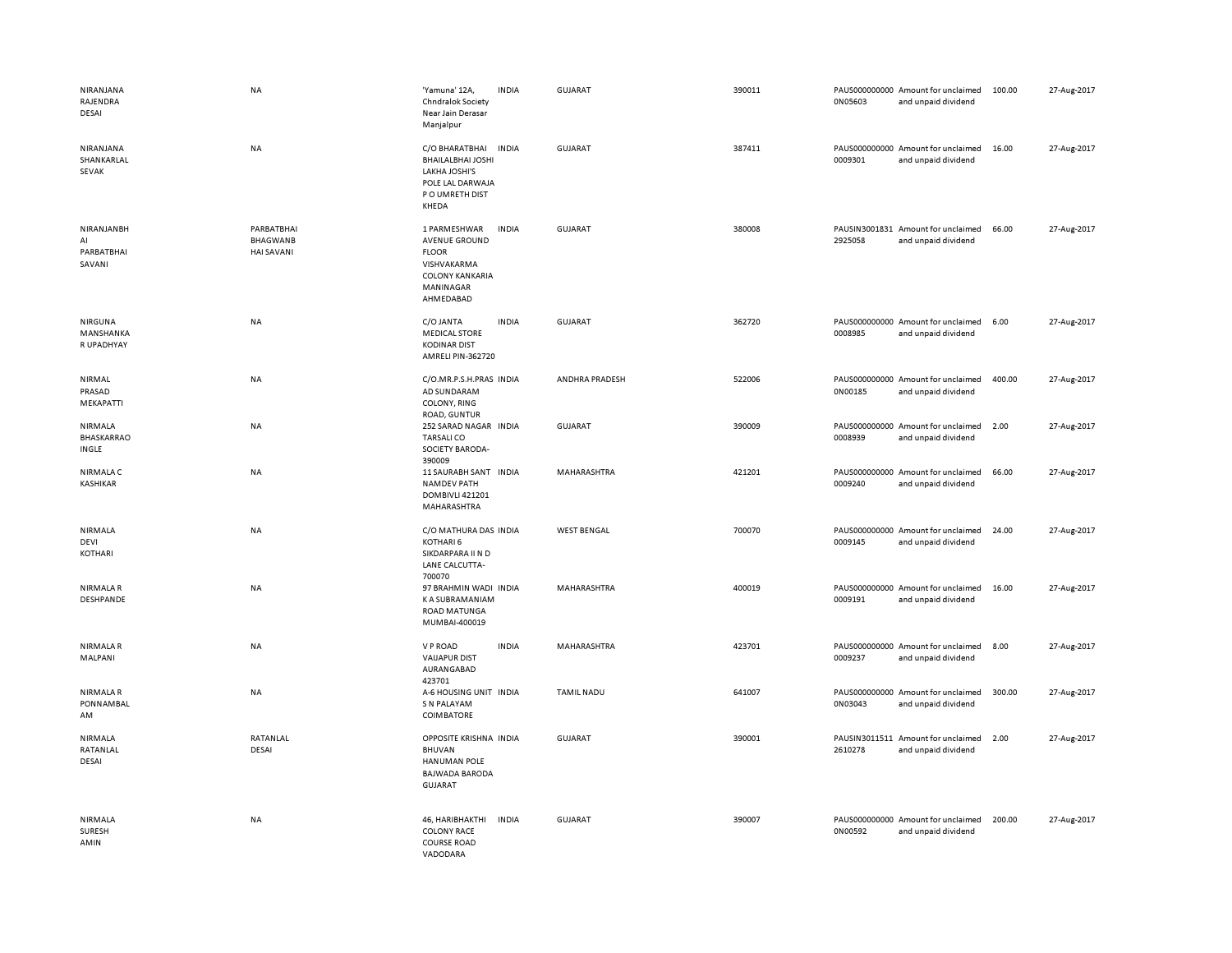| NIRANJANA<br>RAJENDRA<br>DESAI                                     | <b>NA</b>                                          | 'Yamuna' 12A,<br>Chndralok Society<br>Near Jain Derasar<br>Manjalpur                                                    | <b>INDIA</b> | GUJARAT            | 390011 | 0N05603 | PAUS000000000 Amount for unclaimed<br>and unpaid dividend | 100.00 | 27-Aug-2017 |
|--------------------------------------------------------------------|----------------------------------------------------|-------------------------------------------------------------------------------------------------------------------------|--------------|--------------------|--------|---------|-----------------------------------------------------------|--------|-------------|
| NIRANJANA<br>SHANKARLAL<br><b>SEVAK</b>                            | NA                                                 | C/O BHARATBHAI<br><b>BHAILALBHAI JOSHI</b><br>LAKHA JOSHI'S<br>POLE LAL DARWAJA<br>P O UMRETH DIST<br>KHEDA             | <b>INDIA</b> | <b>GUJARAT</b>     | 387411 | 0009301 | PAUS000000000 Amount for unclaimed<br>and unpaid dividend | 16.00  | 27-Aug-2017 |
| NIRANJANBH<br>$\mathsf{Al}\hspace{0.04cm}$<br>PARBATBHAI<br>SAVANI | PARBATBHAI<br><b>BHAGWANB</b><br><b>HAI SAVANI</b> | 1 PARMESHWAR<br><b>AVENUE GROUND</b><br><b>FLOOR</b><br>VISHVAKARMA<br><b>COLONY KANKARIA</b><br>MANINAGAR<br>AHMEDABAD | <b>INDIA</b> | GUJARAT            | 380008 | 2925058 | PAUSIN3001831 Amount for unclaimed<br>and unpaid dividend | 66.00  | 27-Aug-2017 |
| NIRGUNA<br>MANSHANKA<br>R UPADHYAY                                 | <b>NA</b>                                          | C/O JANTA<br><b>MEDICAL STORE</b><br><b>KODINAR DIST</b><br>AMRELI PIN-362720                                           | <b>INDIA</b> | <b>GUJARAT</b>     | 362720 | 0008985 | PAUS000000000 Amount for unclaimed<br>and unpaid dividend | 6.00   | 27-Aug-2017 |
| NIRMAL<br>PRASAD<br>MEKAPATTI                                      | <b>NA</b>                                          | C/O.MR.P.S.H.PRAS INDIA<br>AD SUNDARAM<br>COLONY, RING<br>ROAD, GUNTUR                                                  |              | ANDHRA PRADESH     | 522006 | 0N00185 | PAUS000000000 Amount for unclaimed<br>and unpaid dividend | 400.00 | 27-Aug-2017 |
| NIRMALA<br>BHASKARRAO<br>INGLE                                     | <b>NA</b>                                          | 252 SARAD NAGAR INDIA<br><b>TARSALICO</b><br>SOCIETY BARODA-<br>390009                                                  |              | GUJARAT            | 390009 | 0008939 | PAUS000000000 Amount for unclaimed<br>and unpaid dividend | 2.00   | 27-Aug-2017 |
| NIRMALA C<br><b>KASHIKAR</b>                                       | NA                                                 | 11 SAURABH SANT INDIA<br><b>NAMDEV PATH</b><br>DOMBIVLI 421201<br>MAHARASHTRA                                           |              | MAHARASHTRA        | 421201 | 0009240 | PAUS000000000 Amount for unclaimed<br>and unpaid dividend | 66.00  | 27-Aug-2017 |
| NIRMALA<br>DEVI<br>KOTHARI                                         | <b>NA</b>                                          | C/O MATHURA DAS INDIA<br>KOTHARI 6<br>SIKDARPARA II N D<br>LANE CALCUTTA-<br>700070                                     |              | <b>WEST BENGAL</b> | 700070 | 0009145 | PAUS000000000 Amount for unclaimed<br>and unpaid dividend | 24.00  | 27-Aug-2017 |
| NIRMALA R<br>DESHPANDE                                             | <b>NA</b>                                          | 97 BRAHMIN WADI INDIA<br>K A SUBRAMANIAM<br>ROAD MATUNGA<br>MUMBAI-400019                                               |              | MAHARASHTRA        | 400019 | 0009191 | PAUS000000000 Amount for unclaimed<br>and unpaid dividend | 16.00  | 27-Aug-2017 |
| <b>NIRMALAR</b><br>MALPANI                                         | <b>NA</b>                                          | V P ROAD<br><b>VAIJAPUR DIST</b><br>AURANGABAD<br>423701                                                                | <b>INDIA</b> | MAHARASHTRA        | 423701 | 0009237 | PAUS000000000 Amount for unclaimed<br>and unpaid dividend | 8.00   | 27-Aug-2017 |
| <b>NIRMALAR</b><br>PONNAMBAL<br>AM                                 | <b>NA</b>                                          | A-6 HOUSING UNIT INDIA<br>S N PALAYAM<br>COIMBATORE                                                                     |              | <b>TAMIL NADU</b>  | 641007 | 0N03043 | PAUS000000000 Amount for unclaimed<br>and unpaid dividend | 300.00 | 27-Aug-2017 |
| NIRMALA<br>RATANLAL<br>DESAI                                       | RATANLAL<br><b>DESAI</b>                           | OPPOSITE KRISHNA INDIA<br><b>BHUVAN</b><br><b>HANUMAN POLE</b><br><b>BAJWADA BARODA</b><br>GUJARAT                      |              | GUJARAT            | 390001 | 2610278 | PAUSIN3011511 Amount for unclaimed<br>and unpaid dividend | 2.00   | 27-Aug-2017 |
| <b>NIRMALA</b><br>SURESH<br>AMIN                                   | <b>NA</b>                                          | 46, HARIBHAKTHI<br><b>COLONY RACE</b><br><b>COURSE ROAD</b><br>VADODARA                                                 | INDIA        | <b>GUJARAT</b>     | 390007 | 0N00592 | PAUS000000000 Amount for unclaimed<br>and unpaid dividend | 200.00 | 27-Aug-2017 |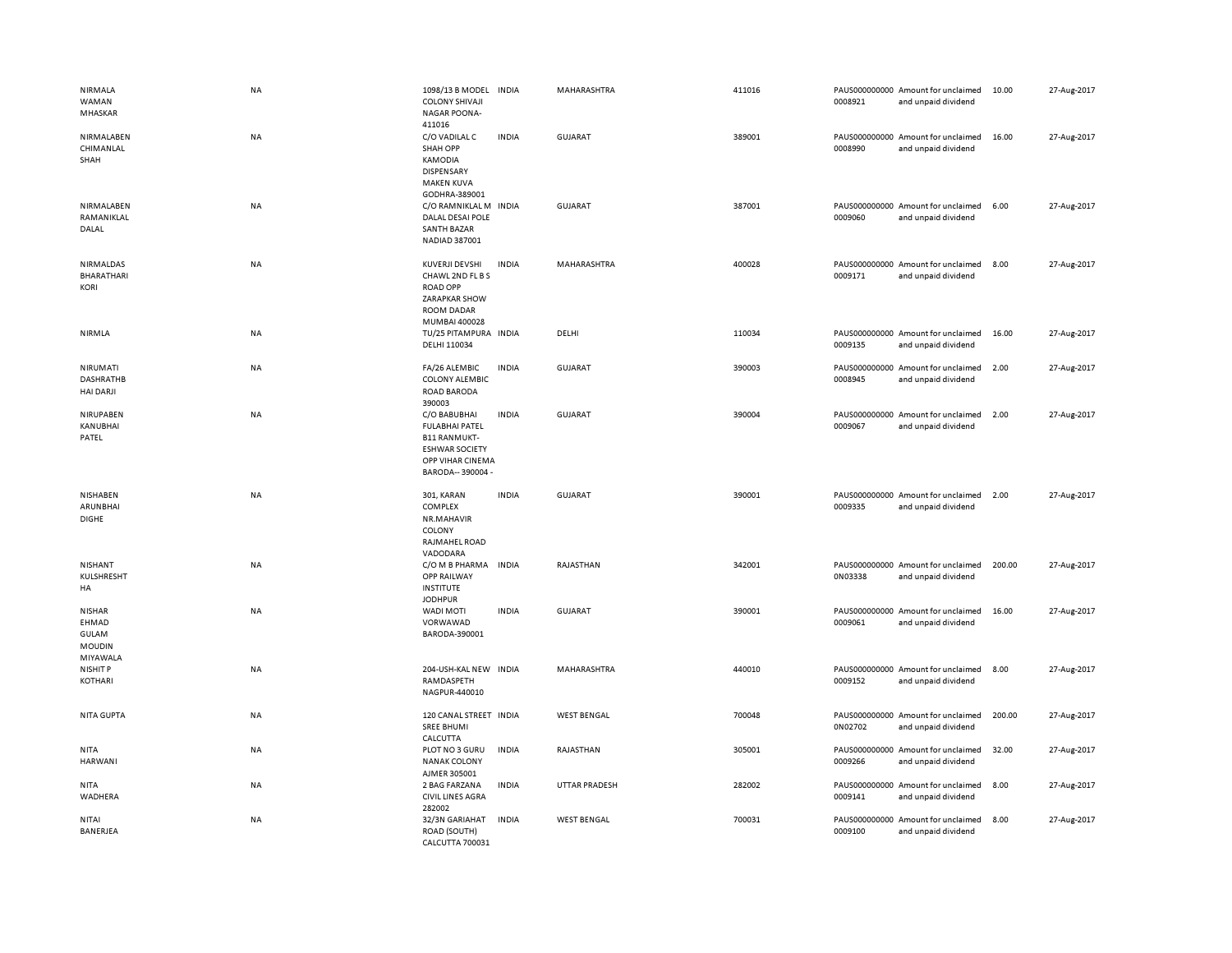| NIRMALA<br>WAMAN<br>MHASKAR                                         | <b>NA</b> | 1098/13 B MODEL<br><b>COLONY SHIVAJI</b><br><b>NAGAR POONA-</b><br>411016                                                      | <b>INDIA</b> | MAHARASHTRA          | 411016 | 0008921 | PAUS000000000 Amount for unclaimed<br>and unpaid dividend | 10.00  | 27-Aug-2017 |
|---------------------------------------------------------------------|-----------|--------------------------------------------------------------------------------------------------------------------------------|--------------|----------------------|--------|---------|-----------------------------------------------------------|--------|-------------|
| NIRMALABEN<br>CHIMANLAL<br>SHAH                                     | <b>NA</b> | C/O VADILAL C<br><b>SHAH OPP</b><br>KAMODIA<br><b>DISPENSARY</b><br><b>MAKEN KUVA</b><br>GODHRA-389001                         | <b>INDIA</b> | GUJARAT              | 389001 | 0008990 | PAUS000000000 Amount for unclaimed<br>and unpaid dividend | 16.00  | 27-Aug-2017 |
| NIRMALABEN<br>RAMANIKLAL<br>DALAL                                   | <b>NA</b> | C/O RAMNIKLAL M INDIA<br>DALAL DESAI POLE<br><b>SANTH BAZAR</b><br>NADIAD 387001                                               |              | <b>GUJARAT</b>       | 387001 | 0009060 | PAUS000000000 Amount for unclaimed<br>and unpaid dividend | 6.00   | 27-Aug-2017 |
| NIRMALDAS<br>BHARATHARI<br><b>KORI</b>                              | <b>NA</b> | KUVERJI DEVSHI<br>CHAWL 2ND FL B S<br><b>ROAD OPP</b><br>ZARAPKAR SHOW<br><b>ROOM DADAR</b><br>MUMBAI 400028                   | <b>INDIA</b> | MAHARASHTRA          | 400028 | 0009171 | PAUS000000000 Amount for unclaimed<br>and unpaid dividend | 8.00   | 27-Aug-2017 |
| <b>NIRMLA</b>                                                       | NA        | TU/25 PITAMPURA INDIA<br>DELHI 110034                                                                                          |              | DELHI                | 110034 | 0009135 | PAUS000000000 Amount for unclaimed<br>and unpaid dividend | 16.00  | 27-Aug-2017 |
| NIRUMATI<br><b>DASHRATHB</b><br><b>HAI DARJI</b>                    | NA        | FA/26 ALEMBIC<br><b>COLONY ALEMBIC</b><br>ROAD BARODA<br>390003                                                                | <b>INDIA</b> | <b>GUJARAT</b>       | 390003 | 0008945 | PAUS000000000 Amount for unclaimed<br>and unpaid dividend | 2.00   | 27-Aug-2017 |
| NIRUPABEN<br>KANUBHAI<br>PATEL                                      | <b>NA</b> | C/O BABUBHAI<br><b>FULABHAI PATEL</b><br><b>B11 RANMUKT-</b><br><b>ESHWAR SOCIETY</b><br>OPP VIHAR CINEMA<br>BARODA-- 390004 - | <b>INDIA</b> | <b>GUJARAT</b>       | 390004 | 0009067 | PAUS000000000 Amount for unclaimed<br>and unpaid dividend | 2.00   | 27-Aug-2017 |
| NISHABEN<br>ARUNBHAI<br><b>DIGHE</b>                                | NA        | 301, KARAN<br>COMPLEX<br>NR.MAHAVIR<br>COLONY<br>RAJMAHEL ROAD<br>VADODARA                                                     | <b>INDIA</b> | <b>GUJARAT</b>       | 390001 | 0009335 | PAUS000000000 Amount for unclaimed<br>and unpaid dividend | 2.00   | 27-Aug-2017 |
| NISHANT<br>KULSHRESHT<br>HA                                         | NA        | C/O M B PHARMA INDIA<br>OPP RAILWAY<br><b>INSTITUTE</b><br><b>JODHPUR</b>                                                      |              | RAJASTHAN            | 342001 | 0N03338 | PAUS000000000 Amount for unclaimed<br>and unpaid dividend | 200.00 | 27-Aug-2017 |
| <b>NISHAR</b><br>EHMAD<br><b>GULAM</b><br><b>MOUDIN</b><br>MIYAWALA | NA        | <b>WADI MOTI</b><br>VORWAWAD<br>BARODA-390001                                                                                  | <b>INDIA</b> | <b>GUJARAT</b>       | 390001 | 0009061 | PAUS000000000 Amount for unclaimed<br>and unpaid dividend | 16.00  | 27-Aug-2017 |
| <b>NISHIT P</b><br>KOTHARI                                          | NA        | 204-USH-KAL NEW INDIA<br>RAMDASPETH<br>NAGPUR-440010                                                                           |              | MAHARASHTRA          | 440010 | 0009152 | PAUS000000000 Amount for unclaimed<br>and unpaid dividend | 8.00   | 27-Aug-2017 |
| <b>NITA GUPTA</b>                                                   | NA        | 120 CANAL STREET INDIA<br><b>SREE BHUMI</b><br>CALCUTTA                                                                        |              | <b>WEST BENGAL</b>   | 700048 | 0N02702 | PAUS000000000 Amount for unclaimed<br>and unpaid dividend | 200.00 | 27-Aug-2017 |
| <b>NITA</b><br>HARWANI                                              | NA        | PLOT NO 3 GURU<br><b>NANAK COLONY</b>                                                                                          | <b>INDIA</b> | RAJASTHAN            | 305001 | 0009266 | PAUS000000000 Amount for unclaimed<br>and unpaid dividend | 32.00  | 27-Aug-2017 |
|                                                                     |           | AJMER 305001                                                                                                                   |              |                      |        |         |                                                           |        |             |
| NITA<br>WADHERA                                                     | NA        | 2 BAG FARZANA<br><b>CIVIL LINES AGRA</b><br>282002                                                                             | <b>INDIA</b> | <b>UTTAR PRADESH</b> | 282002 | 0009141 | PAUS000000000 Amount for unclaimed<br>and unpaid dividend | 8.00   | 27-Aug-2017 |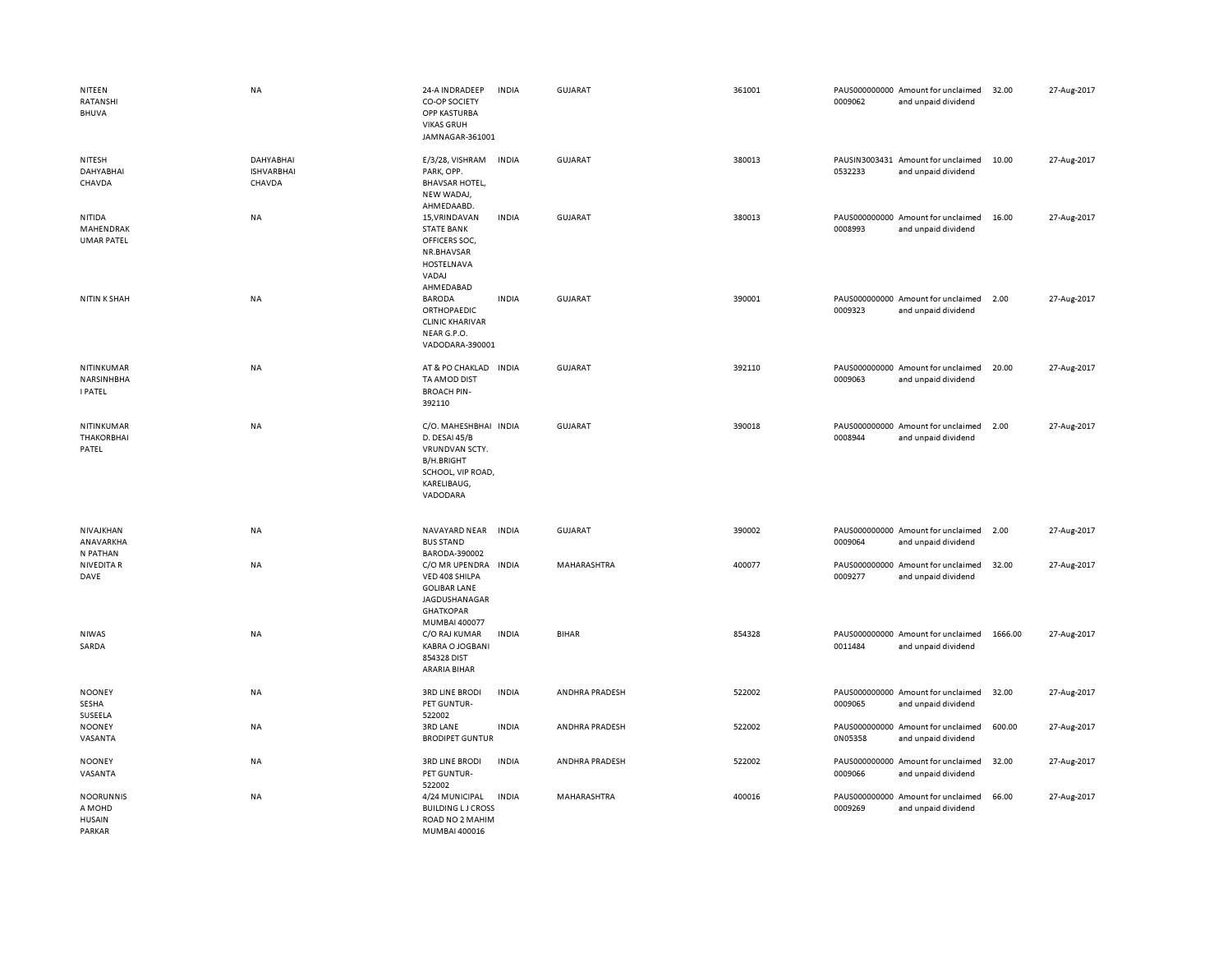| NITEEN<br>RATANSHI<br>BHUVA                           | <b>NA</b>                                | 24-A INDRADEEP<br>CO-OP SOCIETY<br>OPP KASTURBA<br><b>VIKAS GRUH</b><br>JAMNAGAR-361001                                       | <b>INDIA</b> | <b>GUJARAT</b> | 361001 | 0009062                  | PAUS000000000 Amount for unclaimed<br>and unpaid dividend | 32.00   | 27-Aug-2017 |
|-------------------------------------------------------|------------------------------------------|-------------------------------------------------------------------------------------------------------------------------------|--------------|----------------|--------|--------------------------|-----------------------------------------------------------|---------|-------------|
| NITESH<br>DAHYABHAI<br>CHAVDA                         | DAHYABHAI<br><b>ISHVARBHAI</b><br>CHAVDA | E/3/28, VISHRAM<br>PARK, OPP.<br><b>BHAVSAR HOTEL,</b><br>NEW WADAJ,<br>AHMEDAABD.                                            | <b>INDIA</b> | <b>GUJARAT</b> | 380013 | 0532233                  | PAUSIN3003431 Amount for unclaimed<br>and unpaid dividend | 10.00   | 27-Aug-2017 |
| NITIDA<br>MAHENDRAK<br><b>UMAR PATEL</b>              | NA                                       | 15, VRINDAVAN<br><b>STATE BANK</b><br>OFFICERS SOC,<br>NR.BHAVSAR<br>HOSTELNAVA<br>VADAJ<br>AHMEDABAD                         | <b>INDIA</b> | GUJARAT        | 380013 | 0008993                  | PAUS000000000 Amount for unclaimed<br>and unpaid dividend | 16.00   | 27-Aug-2017 |
| <b>NITIN K SHAH</b>                                   | <b>NA</b>                                | <b>BARODA</b><br>ORTHOPAEDIC<br><b>CLINIC KHARIVAR</b><br>NEAR G.P.O.<br>VADODARA-390001                                      | <b>INDIA</b> | <b>GUJARAT</b> | 390001 | 0009323                  | PAUS000000000 Amount for unclaimed<br>and unpaid dividend | 2.00    | 27-Aug-2017 |
| NITINKUMAR<br>NARSINHBHA<br><b>I PATEL</b>            | NA                                       | AT & PO CHAKLAD IN DIA<br>TA AMOD DIST<br><b>BROACH PIN-</b><br>392110                                                        |              | GUJARAT        | 392110 | 0009063                  | PAUS000000000 Amount for unclaimed<br>and unpaid dividend | 20.00   | 27-Aug-2017 |
| NITINKUMAR<br><b>THAKORBHAI</b><br>PATEL              | <b>NA</b>                                | C/O. MAHESHBHAI INDIA<br>D. DESAI 45/B<br>VRUNDVAN SCTY.<br><b>B/H.BRIGHT</b><br>SCHOOL, VIP ROAD,<br>KARELIBAUG,<br>VADODARA |              | <b>GUJARAT</b> | 390018 | 0008944                  | PAUS000000000 Amount for unclaimed<br>and unpaid dividend | 2.00    | 27-Aug-2017 |
| NIVAJKHAN<br>ANAVARKHA<br>N PATHAN                    | NA                                       | NAVAYARD NEAR<br><b>BUS STAND</b><br>BARODA-390002                                                                            | <b>INDIA</b> | <b>GUJARAT</b> | 390002 | 0009064                  | PAUS000000000 Amount for unclaimed<br>and unpaid dividend | 2.00    | 27-Aug-2017 |
| <b>NIVEDITA R</b><br>DAVE                             | <b>NA</b>                                | C/O MR UPENDRA<br>VED 408 SHILPA<br><b>GOLIBAR LANE</b><br>JAGDUSHANAGAR<br><b>GHATKOPAR</b><br>MUMBAI 400077                 | <b>INDIA</b> | MAHARASHTRA    | 400077 | PAUS000000000<br>0009277 | Amount for unclaimed<br>and unpaid dividend               | 32.00   | 27-Aug-2017 |
| <b>NIWAS</b><br>SARDA                                 | NA                                       | C/O RAJ KUMAR<br><b>KABRA O JOGBANI</b><br>854328 DIST<br>ARARIA BIHAR                                                        | <b>INDIA</b> | <b>BIHAR</b>   | 854328 | 0011484                  | PAUS000000000 Amount for unclaimed<br>and unpaid dividend | 1666.00 | 27-Aug-2017 |
| <b>NOONEY</b><br>SESHA<br>SUSEELA                     | <b>NA</b>                                | <b>3RD LINE BRODI</b><br>PET GUNTUR-<br>522002                                                                                | <b>INDIA</b> | ANDHRA PRADESH | 522002 | 0009065                  | PAUS000000000 Amount for unclaimed<br>and unpaid dividend | 32.00   | 27-Aug-2017 |
| <b>NOONEY</b><br>VASANTA                              | NA                                       | <b>3RD LANE</b><br><b>BRODIPET GUNTUR</b>                                                                                     | <b>INDIA</b> | ANDHRA PRADESH | 522002 | PAUS000000000<br>0N05358 | Amount for unclaimed<br>and unpaid dividend               | 600.00  | 27-Aug-2017 |
| <b>NOONEY</b><br>VASANTA                              | NA                                       | <b>3RD LINE BRODI</b><br>PET GUNTUR-<br>522002                                                                                | <b>INDIA</b> | ANDHRA PRADESH | 522002 | 0009066                  | PAUS000000000 Amount for unclaimed<br>and unpaid dividend | 32.00   | 27-Aug-2017 |
| <b>NOORUNNIS</b><br>A MOHD<br><b>HUSAIN</b><br>PARKAR | NA                                       | 4/24 MUNICIPAL<br><b>BUILDING LJ CROSS</b><br>ROAD NO 2 MAHIM<br>MUMBAI 400016                                                | <b>INDIA</b> | MAHARASHTRA    | 400016 | 0009269                  | PAUS000000000 Amount for unclaimed<br>and unpaid dividend | 66.00   | 27-Aug-2017 |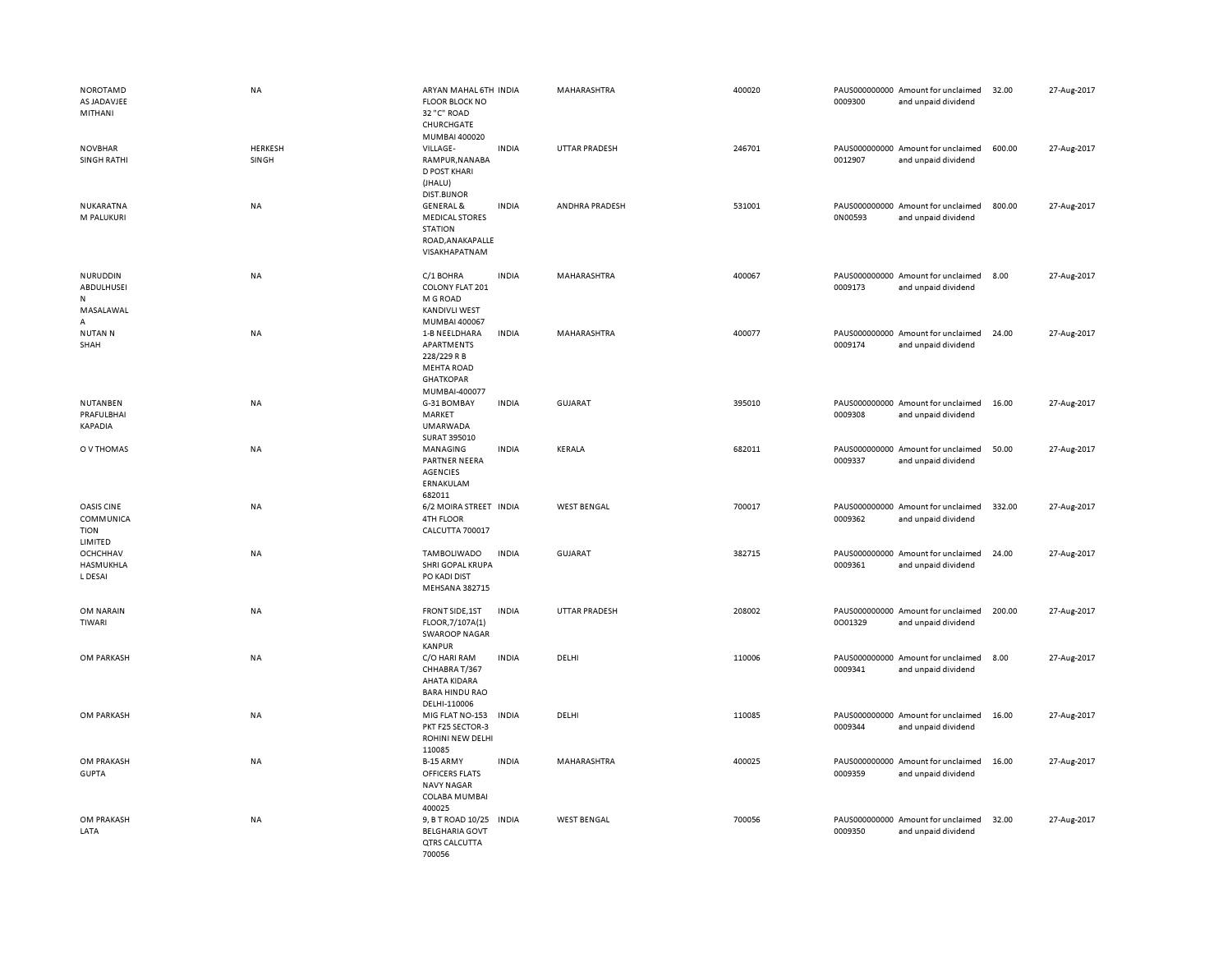| <b>NOROTAMD</b><br>AS JADAVJEE<br>MITHANI         | NA                      | ARYAN MAHAL 6TH INDIA<br><b>FLOOR BLOCK NO</b><br>32 "C" ROAD<br>CHURCHGATE<br>MUMBAI 400020         |              | MAHARASHTRA           | 400020 | 0009300 | PAUS000000000 Amount for unclaimed<br>and unpaid dividend | 32.00  | 27-Aug-2017 |
|---------------------------------------------------|-------------------------|------------------------------------------------------------------------------------------------------|--------------|-----------------------|--------|---------|-----------------------------------------------------------|--------|-------------|
| <b>NOVBHAR</b><br><b>SINGH RATHI</b>              | <b>HERKESH</b><br>SINGH | VILLAGE-<br>RAMPUR, NANABA<br><b>D POST KHARI</b><br>(JHALU)<br><b>DIST.BIJNOR</b>                   | <b>INDIA</b> | UTTAR PRADESH         | 246701 | 0012907 | PAUS000000000 Amount for unclaimed<br>and unpaid dividend | 600.00 | 27-Aug-2017 |
| NUKARATNA<br>M PALUKURI                           | <b>NA</b>               | <b>GENERAL &amp;</b><br><b>MEDICAL STORES</b><br><b>STATION</b><br>ROAD, ANAKAPALLE<br>VISAKHAPATNAM | <b>INDIA</b> | <b>ANDHRA PRADESH</b> | 531001 | 0N00593 | PAUS000000000 Amount for unclaimed<br>and unpaid dividend | 800.00 | 27-Aug-2017 |
| NURUDDIN<br>ABDULHUSEI<br>N<br>MASALAWAL<br>А     | NA                      | C/1 BOHRA<br>COLONY FLAT 201<br>M G ROAD<br><b>KANDIVLI WEST</b><br>MUMBAI 400067                    | <b>INDIA</b> | MAHARASHTRA           | 400067 | 0009173 | PAUS000000000 Amount for unclaimed<br>and unpaid dividend | 8.00   | 27-Aug-2017 |
| <b>NUTAN N</b><br>SHAH                            | <b>NA</b>               | 1-B NEELDHARA<br>APARTMENTS<br>228/229 R B<br><b>MEHTA ROAD</b><br><b>GHATKOPAR</b><br>MUMBAI-400077 | <b>INDIA</b> | MAHARASHTRA           | 400077 | 0009174 | PAUS000000000 Amount for unclaimed<br>and unpaid dividend | 24.00  | 27-Aug-2017 |
| NUTANBEN<br>PRAFULBHAI<br>KAPADIA                 | NA                      | G-31 BOMBAY<br>MARKET<br>UMARWADA<br>SURAT 395010                                                    | <b>INDIA</b> | <b>GUJARAT</b>        | 395010 | 0009308 | PAUS000000000 Amount for unclaimed<br>and unpaid dividend | 16.00  | 27-Aug-2017 |
| O V THOMAS                                        | <b>NA</b>               | MANAGING<br>PARTNER NEERA<br><b>AGENCIES</b><br>ERNAKULAM<br>682011                                  | <b>INDIA</b> | KERALA                | 682011 | 0009337 | PAUS000000000 Amount for unclaimed<br>and unpaid dividend | 50.00  | 27-Aug-2017 |
| OASIS CINE<br>COMMUNICA<br><b>TION</b><br>LIMITED | <b>NA</b>               | 6/2 MOIRA STREET INDIA<br>4TH FLOOR<br>CALCUTTA 700017                                               |              | <b>WEST BENGAL</b>    | 700017 | 0009362 | PAUS000000000 Amount for unclaimed<br>and unpaid dividend | 332.00 | 27-Aug-2017 |
| OCHCHHAV<br>HASMUKHLA<br>L DESAI                  | <b>NA</b>               | TAMBOLIWADO<br>SHRI GOPAL KRUPA<br>PO KADI DIST<br><b>MEHSANA 382715</b>                             | <b>INDIA</b> | <b>GUJARAT</b>        | 382715 | 0009361 | PAUS000000000 Amount for unclaimed<br>and unpaid dividend | 24.00  | 27-Aug-2017 |
| OM NARAIN<br>TIWARI                               | <b>NA</b>               | FRONT SIDE, 1ST<br>FLOOR, 7/107A(1)<br><b>SWAROOP NAGAR</b><br><b>KANPUR</b>                         | <b>INDIA</b> | UTTAR PRADESH         | 208002 | 0001329 | PAUS000000000 Amount for unclaimed<br>and unpaid dividend | 200.00 | 27-Aug-2017 |
| OM PARKASH                                        | <b>NA</b>               | C/O HARI RAM<br>CHHABRA T/367<br>AHATA KIDARA<br><b>BARA HINDU RAO</b><br>DELHI-110006               | <b>INDIA</b> | DELHI                 | 110006 | 0009341 | PAUS000000000 Amount for unclaimed<br>and unpaid dividend | 8.00   | 27-Aug-2017 |
| OM PARKASH                                        | <b>NA</b>               | MIG FLAT NO-153<br>PKT F25 SECTOR-3<br>ROHINI NEW DELHI<br>110085                                    | <b>INDIA</b> | DELHI                 | 110085 | 0009344 | PAUS000000000 Amount for unclaimed<br>and unpaid dividend | 16.00  | 27-Aug-2017 |
| OM PRAKASH<br><b>GUPTA</b>                        | <b>NA</b>               | B-15 ARMY<br>OFFICERS FLATS<br><b>NAVY NAGAR</b><br>COLABA MUMBAI<br>400025                          | <b>INDIA</b> | MAHARASHTRA           | 400025 | 0009359 | PAUS000000000 Amount for unclaimed<br>and unpaid dividend | 16.00  | 27-Aug-2017 |
| OM PRAKASH<br>LATA                                | <b>NA</b>               | 9, B T ROAD 10/25<br><b>BELGHARIA GOVT</b><br>QTRS CALCUTTA<br>700056                                | <b>INDIA</b> | <b>WEST BENGAL</b>    | 700056 | 0009350 | PAUS000000000 Amount for unclaimed<br>and unpaid dividend | 32.00  | 27-Aug-2017 |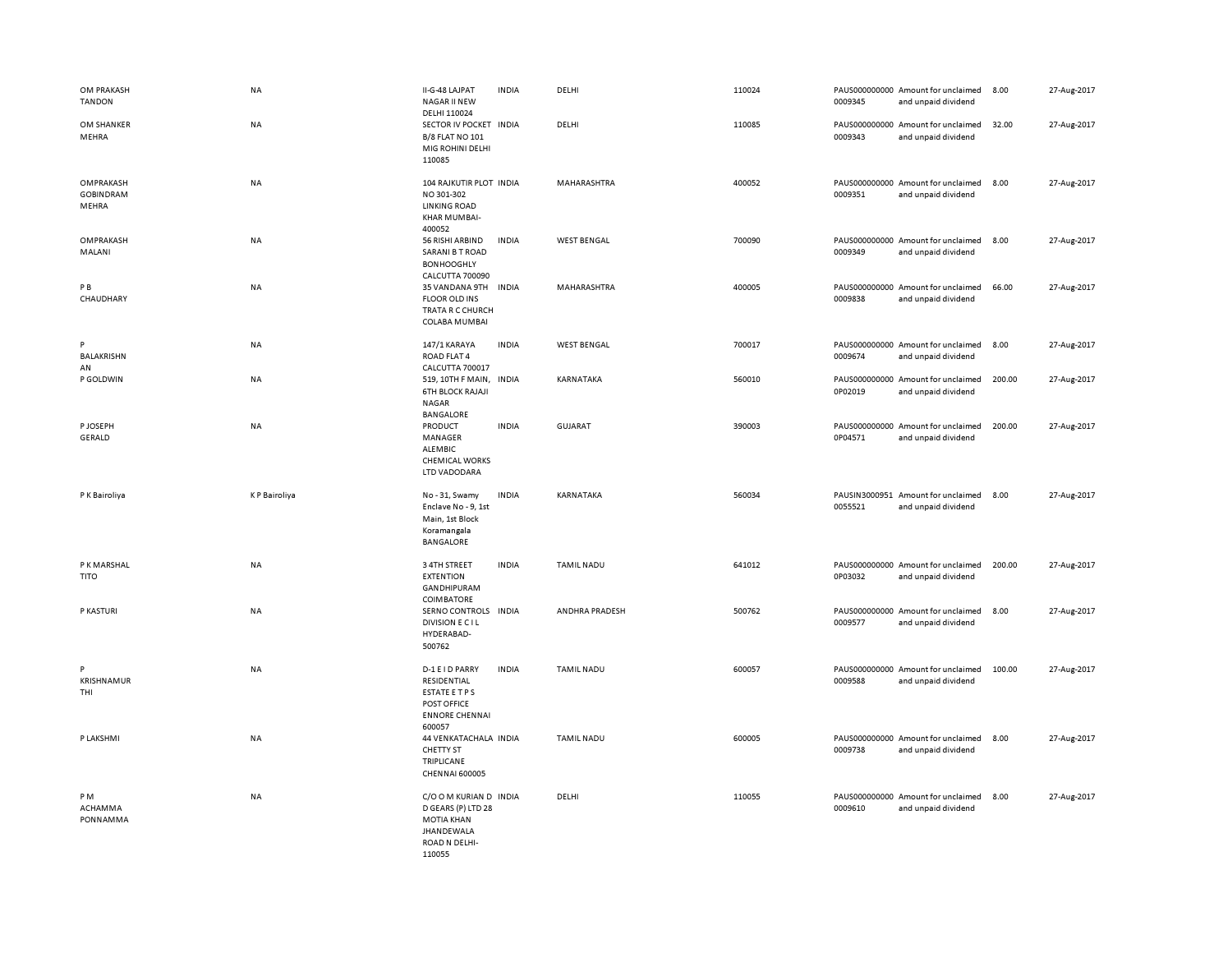| OM PRAKASH<br><b>TANDON</b>            | NA                  | II-G-48 LAJPAT<br>NAGAR II NEW<br>DELHI 110024                                                                    | <b>INDIA</b> | DELHI              | 110024 | 0009345                  | PAUS000000000 Amount for unclaimed<br>and unpaid dividend | 8.00   | 27-Aug-2017 |
|----------------------------------------|---------------------|-------------------------------------------------------------------------------------------------------------------|--------------|--------------------|--------|--------------------------|-----------------------------------------------------------|--------|-------------|
| OM SHANKER<br>MEHRA                    | <b>NA</b>           | SECTOR IV POCKET INDIA<br><b>B/8 FLAT NO 101</b><br>MIG ROHINI DELHI<br>110085                                    |              | DELHI              | 110085 | 0009343                  | PAUS000000000 Amount for unclaimed<br>and unpaid dividend | 32.00  | 27-Aug-2017 |
| OMPRAKASH<br><b>GOBINDRAM</b><br>MEHRA | <b>NA</b>           | 104 RAJKUTIR PLOT INDIA<br>NO 301-302<br><b>LINKING ROAD</b><br>KHAR MUMBAI-<br>400052                            |              | MAHARASHTRA        | 400052 | 0009351                  | PAUS000000000 Amount for unclaimed<br>and unpaid dividend | 8.00   | 27-Aug-2017 |
| OMPRAKASH<br>MALANI                    | NA                  | 56 RISHI ARBIND<br><b>SARANI B T ROAD</b><br><b>BONHOOGHLY</b><br>CALCUTTA 700090                                 | <b>INDIA</b> | <b>WEST BENGAL</b> | 700090 | 0009349                  | PAUS000000000 Amount for unclaimed<br>and unpaid dividend | 8.00   | 27-Aug-2017 |
| PB<br>CHAUDHARY                        | <b>NA</b>           | 35 VANDANA 9TH<br><b>FLOOR OLD INS</b><br>TRATA R C CHURCH<br>COLABA MUMBAI                                       | <b>INDIA</b> | MAHARASHTRA        | 400005 | 0009838                  | PAUS000000000 Amount for unclaimed<br>and unpaid dividend | 66.00  | 27-Aug-2017 |
| P<br>BALAKRISHN<br>AN                  | NA                  | 147/1 KARAYA<br>ROAD FLAT 4<br>CALCUTTA 700017                                                                    | <b>INDIA</b> | <b>WEST BENGAL</b> | 700017 | 0009674                  | PAUS000000000 Amount for unclaimed<br>and unpaid dividend | 8.00   | 27-Aug-2017 |
| P GOLDWIN                              | <b>NA</b>           | 519, 10TH F MAIN,<br><b>6TH BLOCK RAJAJI</b><br><b>NAGAR</b><br><b>BANGALORE</b>                                  | <b>INDIA</b> | KARNATAKA          | 560010 | 0P02019                  | PAUS000000000 Amount for unclaimed<br>and unpaid dividend | 200.00 | 27-Aug-2017 |
| P JOSEPH<br>GERALD                     | <b>NA</b>           | PRODUCT<br>MANAGER<br>ALEMBIC<br><b>CHEMICAL WORKS</b><br>LTD VADODARA                                            | <b>INDIA</b> | <b>GUJARAT</b>     | 390003 | 0P04571                  | PAUS000000000 Amount for unclaimed<br>and unpaid dividend | 200.00 | 27-Aug-2017 |
| P K Bairoliya                          | <b>KP</b> Bairoliya | No - 31, Swamy<br>Enclave No - 9, 1st<br>Main, 1st Block<br>Koramangala<br>BANGALORE                              | <b>INDIA</b> | KARNATAKA          | 560034 | PAUSIN3000951<br>0055521 | Amount for unclaimed<br>and unpaid dividend               | 8.00   | 27-Aug-2017 |
| P K MARSHAL<br><b>TITO</b>             | <b>NA</b>           | 3 4TH STREET<br><b>EXTENTION</b><br>GANDHIPURAM<br>COIMBATORE                                                     | <b>INDIA</b> | <b>TAMIL NADU</b>  | 641012 | 0P03032                  | PAUS000000000 Amount for unclaimed<br>and unpaid dividend | 200.00 | 27-Aug-2017 |
| P KASTURI                              | NA                  | SERNO CONTROLS INDIA<br>DIVISION E C I L<br>HYDERABAD-<br>500762                                                  |              | ANDHRA PRADESH     | 500762 | 0009577                  | PAUS000000000 Amount for unclaimed<br>and unpaid dividend | 8.00   | 27-Aug-2017 |
| P<br><b>KRISHNAMUR</b><br>THI          | <b>NA</b>           | D-1 E I D PARRY<br>RESIDENTIAL<br>ESTATE ETPS<br>POST OFFICE<br><b>ENNORE CHENNAI</b><br>600057                   | <b>INDIA</b> | <b>TAMIL NADU</b>  | 600057 | 0009588                  | PAUS000000000 Amount for unclaimed<br>and unpaid dividend | 100.00 | 27-Aug-2017 |
| P LAKSHMI                              | <b>NA</b>           | 44 VENKATACHALA INDIA<br><b>CHETTY ST</b><br>TRIPLICANE<br><b>CHENNAI 600005</b>                                  |              | <b>TAMIL NADU</b>  | 600005 | 0009738                  | PAUS000000000 Amount for unclaimed<br>and unpaid dividend | 8.00   | 27-Aug-2017 |
| PM<br>ACHAMMA<br>PONNAMMA              | <b>NA</b>           | C/O O M KURIAN D INDIA<br>D GEARS (P) LTD 28<br><b>MOTIA KHAN</b><br><b>JHANDEWALA</b><br>ROAD N DELHI-<br>110055 |              | DELHI              | 110055 | 0009610                  | PAUS000000000 Amount for unclaimed<br>and unpaid dividend | 8.00   | 27-Aug-2017 |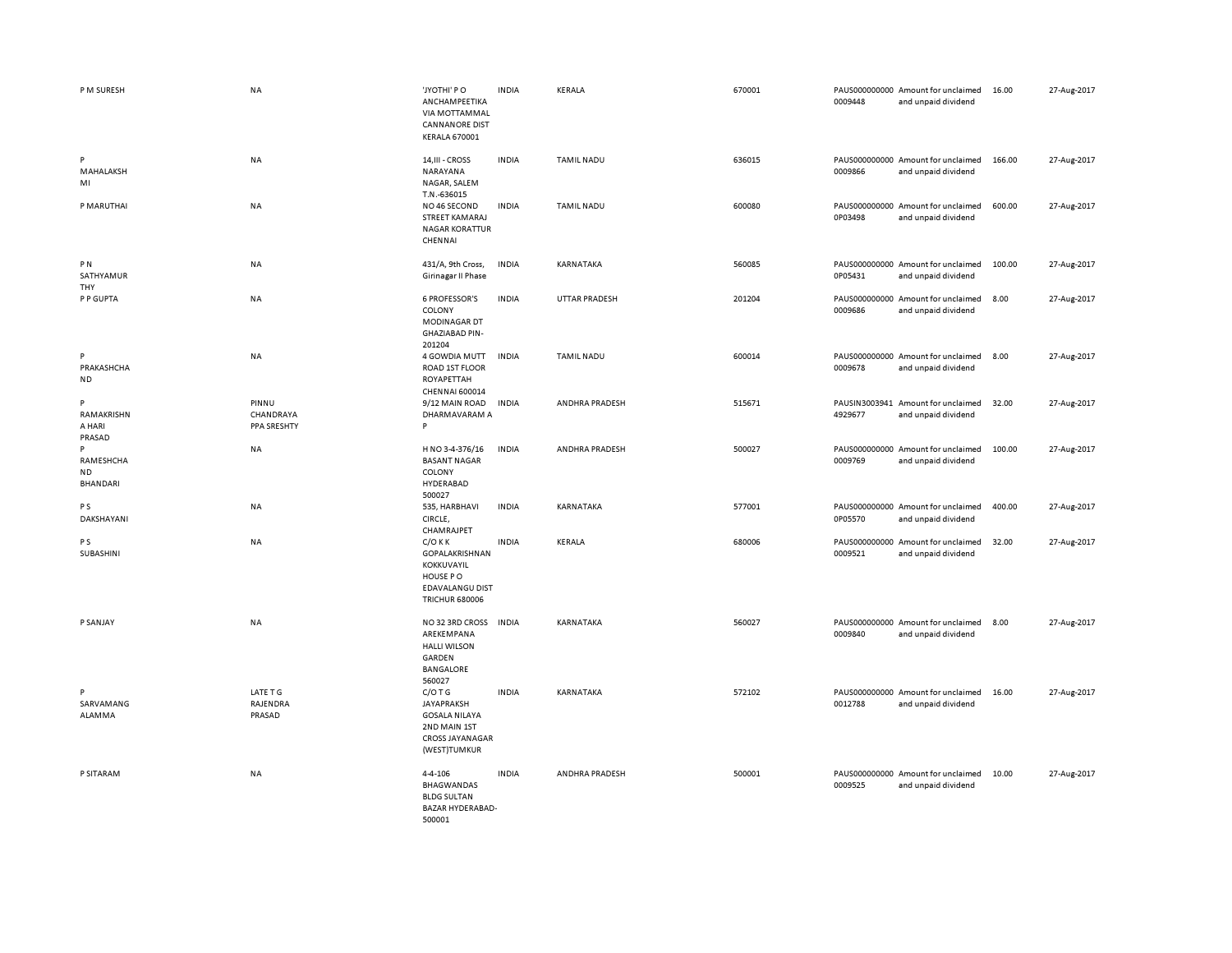| P M SURESH                              | <b>NA</b>                         | 'JYOTHI' PO<br>ANCHAMPEETIKA<br>VIA MOTTAMMAL<br><b>CANNANORE DIST</b><br><b>KERALA 670001</b>            | <b>INDIA</b> | KERALA            | 670001 | 0009448 | PAUS000000000 Amount for unclaimed<br>and unpaid dividend | 16.00  | 27-Aug-2017 |
|-----------------------------------------|-----------------------------------|-----------------------------------------------------------------------------------------------------------|--------------|-------------------|--------|---------|-----------------------------------------------------------|--------|-------------|
| P<br>MAHALAKSH<br>MI                    | NA                                | 14, III - CROSS<br>NARAYANA<br>NAGAR, SALEM                                                               | <b>INDIA</b> | <b>TAMIL NADU</b> | 636015 | 0009866 | PAUS000000000 Amount for unclaimed<br>and unpaid dividend | 166.00 | 27-Aug-2017 |
| P MARUTHAI                              | NA                                | T.N.-636015<br>NO 46 SECOND<br>STREET KAMARAJ<br><b>NAGAR KORATTUR</b><br>CHENNAI                         | <b>INDIA</b> | TAMIL NADU        | 600080 | 0P03498 | PAUS000000000 Amount for unclaimed<br>and unpaid dividend | 600.00 | 27-Aug-2017 |
| PN<br>SATHYAMUR<br>THY                  | NA                                | 431/A, 9th Cross,<br>Girinagar II Phase                                                                   | <b>INDIA</b> | KARNATAKA         | 560085 | 0P05431 | PAUS000000000 Amount for unclaimed<br>and unpaid dividend | 100.00 | 27-Aug-2017 |
| P P GUPTA                               | NA                                | <b>6 PROFESSOR'S</b><br>COLONY<br>MODINAGAR DT<br><b>GHAZIABAD PIN-</b><br>201204                         | <b>INDIA</b> | UTTAR PRADESH     | 201204 | 0009686 | PAUS000000000 Amount for unclaimed<br>and unpaid dividend | 8.00   | 27-Aug-2017 |
| P<br>PRAKASHCHA<br><b>ND</b>            | NA                                | 4 GOWDIA MUTT<br>ROAD 1ST FLOOR<br>ROYAPETTAH<br>CHENNAI 600014                                           | <b>INDIA</b> | TAMIL NADU        | 600014 | 0009678 | PAUS000000000 Amount for unclaimed<br>and unpaid dividend | 8.00   | 27-Aug-2017 |
| P<br>RAMAKRISHN<br>A HARI<br>PRASAD     | PINNU<br>CHANDRAYA<br>PPA SRESHTY | 9/12 MAIN ROAD<br>DHARMAVARAM A<br>P                                                                      | <b>INDIA</b> | ANDHRA PRADESH    | 515671 | 4929677 | PAUSIN3003941 Amount for unclaimed<br>and unpaid dividend | 32.00  | 27-Aug-2017 |
| P<br>RAMESHCHA<br><b>ND</b><br>BHANDARI | NA                                | H NO 3-4-376/16<br><b>BASANT NAGAR</b><br>COLONY<br>HYDERABAD<br>500027                                   | <b>INDIA</b> | ANDHRA PRADESH    | 500027 | 0009769 | PAUS000000000 Amount for unclaimed<br>and unpaid dividend | 100.00 | 27-Aug-2017 |
| P <sub>S</sub><br>DAKSHAYANI            | NA                                | 535, HARBHAVI<br>CIRCLE,<br>CHAMRAJPET                                                                    | <b>INDIA</b> | KARNATAKA         | 577001 | 0P05570 | PAUS000000000 Amount for unclaimed<br>and unpaid dividend | 400.00 | 27-Aug-2017 |
| P S<br>SUBASHINI                        | NA                                | $C/O$ K K<br>GOPALAKRISHNAN<br>KOKKUVAYIL<br>HOUSE PO<br><b>EDAVALANGU DIST</b><br><b>TRICHUR 680006</b>  | <b>INDIA</b> | KERALA            | 680006 | 0009521 | PAUS000000000 Amount for unclaimed<br>and unpaid dividend | 32.00  | 27-Aug-2017 |
| P SANJAY                                | NA                                | NO 32 3RD CROSS<br>AREKEMPANA<br><b>HALLI WILSON</b><br>GARDEN<br>BANGALORE<br>560027                     | <b>INDIA</b> | KARNATAKA         | 560027 | 0009840 | PAUS000000000 Amount for unclaimed<br>and unpaid dividend | 8.00   | 27-Aug-2017 |
| P<br>SARVAMANG<br>ALAMMA                | LATE T G<br>RAJENDRA<br>PRASAD    | $C/O$ T G<br><b>JAYAPRAKSH</b><br><b>GOSALA NILAYA</b><br>2ND MAIN 1ST<br>CROSS JAYANAGAR<br>(WEST)TUMKUR | <b>INDIA</b> | KARNATAKA         | 572102 | 0012788 | PAUS000000000 Amount for unclaimed<br>and unpaid dividend | 16.00  | 27-Aug-2017 |
| P SITARAM                               | NA                                | $4 - 4 - 106$<br><b>BHAGWANDAS</b><br><b>BLDG SULTAN</b><br><b>BAZAR HYDERABAD-</b><br>500001             | <b>INDIA</b> | ANDHRA PRADESH    | 500001 | 0009525 | PAUS000000000 Amount for unclaimed<br>and unpaid dividend | 10.00  | 27-Aug-2017 |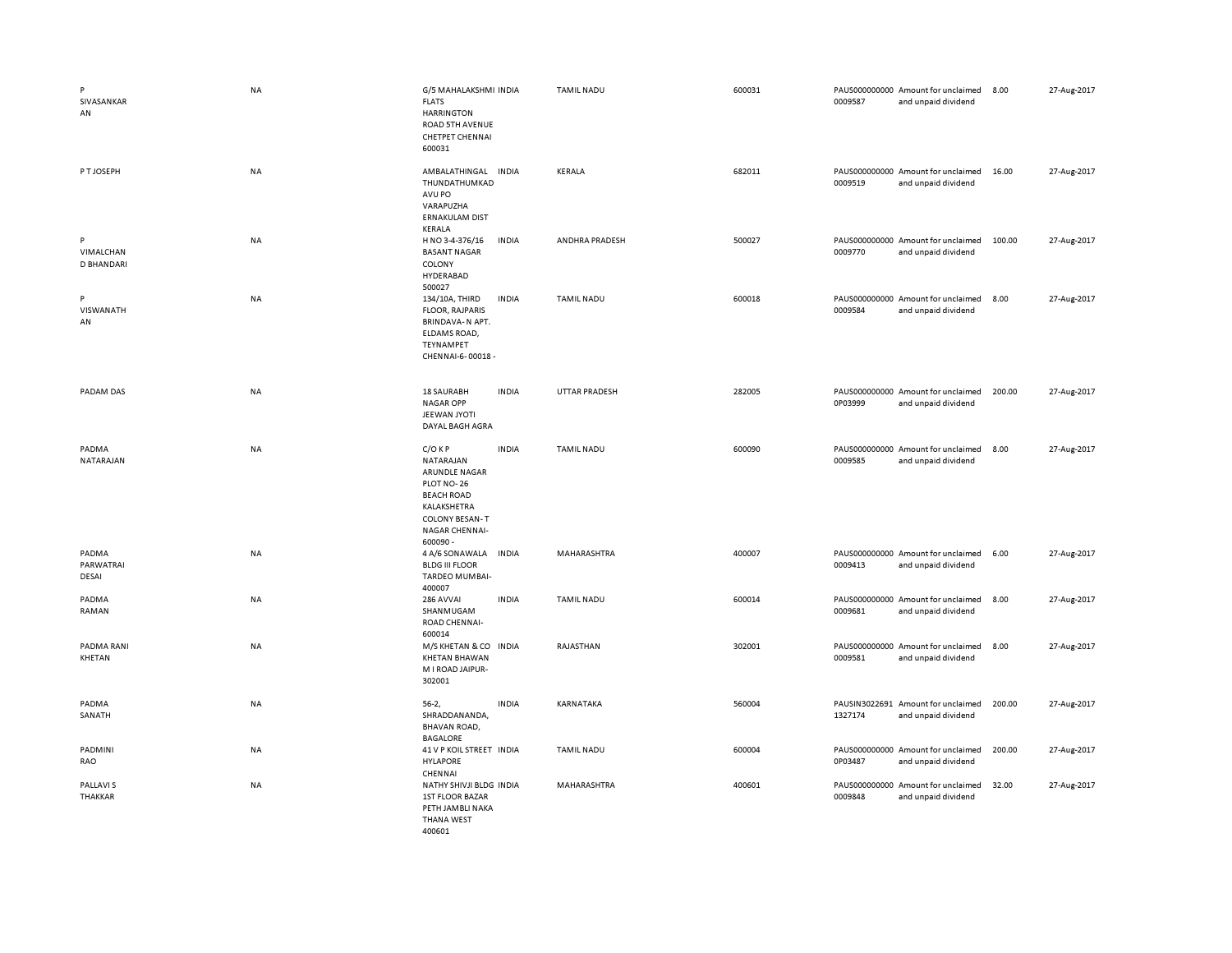| P<br>SIVASANKAR<br>AN               | <b>NA</b> | G/5 MAHALAKSHMI INDIA<br><b>FLATS</b><br><b>HARRINGTON</b><br>ROAD 5TH AVENUE<br><b>CHETPET CHENNAI</b><br>600031                               |              | <b>TAMIL NADU</b>    | 600031 | 0009587 | PAUS000000000 Amount for unclaimed<br>and unpaid dividend | 8.00   | 27-Aug-2017 |
|-------------------------------------|-----------|-------------------------------------------------------------------------------------------------------------------------------------------------|--------------|----------------------|--------|---------|-----------------------------------------------------------|--------|-------------|
| P T JOSEPH                          | NA        | AMBALATHINGAL<br>THUNDATHUMKAD<br>AVU PO<br>VARAPUZHA<br><b>ERNAKULAM DIST</b><br>KERALA                                                        | <b>INDIA</b> | KERALA               | 682011 | 0009519 | PAUS000000000 Amount for unclaimed<br>and unpaid dividend | 16.00  | 27-Aug-2017 |
| P<br>VIMALCHAN<br><b>D BHANDARI</b> | <b>NA</b> | H NO 3-4-376/16<br><b>BASANT NAGAR</b><br>COLONY<br>HYDERABAD<br>500027                                                                         | <b>INDIA</b> | ANDHRA PRADESH       | 500027 | 0009770 | PAUS000000000 Amount for unclaimed<br>and unpaid dividend | 100.00 | 27-Aug-2017 |
| P<br>VISWANATH<br>AN                | <b>NA</b> | 134/10A, THIRD<br><b>FLOOR, RAJPARIS</b><br>BRINDAVA-N APT.<br>ELDAMS ROAD,<br>TEYNAMPET<br>CHENNAI-6-00018 -                                   | <b>INDIA</b> | <b>TAMIL NADU</b>    | 600018 | 0009584 | PAUS000000000 Amount for unclaimed<br>and unpaid dividend | 8.00   | 27-Aug-2017 |
| PADAM DAS                           | <b>NA</b> | <b>18 SAURABH</b><br><b>NAGAR OPP</b><br>JEEWAN JYOTI<br>DAYAL BAGH AGRA                                                                        | <b>INDIA</b> | <b>UTTAR PRADESH</b> | 282005 | 0P03999 | PAUS000000000 Amount for unclaimed<br>and unpaid dividend | 200.00 | 27-Aug-2017 |
| PADMA<br>NATARAJAN                  | NA        | $C/O$ KP<br>NATARAJAN<br>ARUNDLE NAGAR<br>PLOT NO-26<br><b>BEACH ROAD</b><br>KALAKSHETRA<br><b>COLONY BESAN-T</b><br>NAGAR CHENNAI-<br>600090 - | <b>INDIA</b> | <b>TAMIL NADU</b>    | 600090 | 0009585 | PAUS000000000 Amount for unclaimed<br>and unpaid dividend | 8.00   | 27-Aug-2017 |
| PADMA<br>PARWATRAI<br>DESAI         | NA        | 4 A/6 SONAWALA<br><b>BLDG III FLOOR</b><br>TARDEO MUMBAI-<br>400007                                                                             | <b>INDIA</b> | MAHARASHTRA          | 400007 | 0009413 | PAUS000000000 Amount for unclaimed<br>and unpaid dividend | 6.00   | 27-Aug-2017 |
| PADMA<br>RAMAN                      | NA        | 286 AVVAI<br>SHANMUGAM<br>ROAD CHENNAI-<br>600014                                                                                               | <b>INDIA</b> | <b>TAMIL NADU</b>    | 600014 | 0009681 | PAUS000000000 Amount for unclaimed<br>and unpaid dividend | 8.00   | 27-Aug-2017 |
| <b>PADMA RANI</b><br>KHETAN         | <b>NA</b> | M/S KHETAN & CO INDIA<br><b>KHETAN BHAWAN</b><br>M I ROAD JAIPUR-<br>302001                                                                     |              | RAJASTHAN            | 302001 | 0009581 | PAUS000000000 Amount for unclaimed<br>and unpaid dividend | 8.00   | 27-Aug-2017 |
| PADMA<br>SANATH                     | <b>NA</b> | $56-2,$<br>SHRADDANANDA,<br>BHAVAN ROAD,<br><b>BAGALORE</b>                                                                                     | <b>INDIA</b> | KARNATAKA            | 560004 | 1327174 | PAUSIN3022691 Amount for unclaimed<br>and unpaid dividend | 200.00 | 27-Aug-2017 |
| PADMINI<br>RAO                      | NA        | 41 V P KOIL STREET INDIA<br><b>HYLAPORE</b><br>CHENNAI                                                                                          |              | <b>TAMIL NADU</b>    | 600004 | 0P03487 | PAUS000000000 Amount for unclaimed<br>and unpaid dividend | 200.00 | 27-Aug-2017 |
| PALLAVI S<br><b>THAKKAR</b>         | <b>NA</b> | NATHY SHIVJI BLDG INDIA<br><b>1ST FLOOR BAZAR</b><br>PETH JAMBLI NAKA<br><b>THANA WEST</b><br>400601                                            |              | MAHARASHTRA          | 400601 | 0009848 | PAUS000000000 Amount for unclaimed<br>and unpaid dividend | 32.00  | 27-Aug-2017 |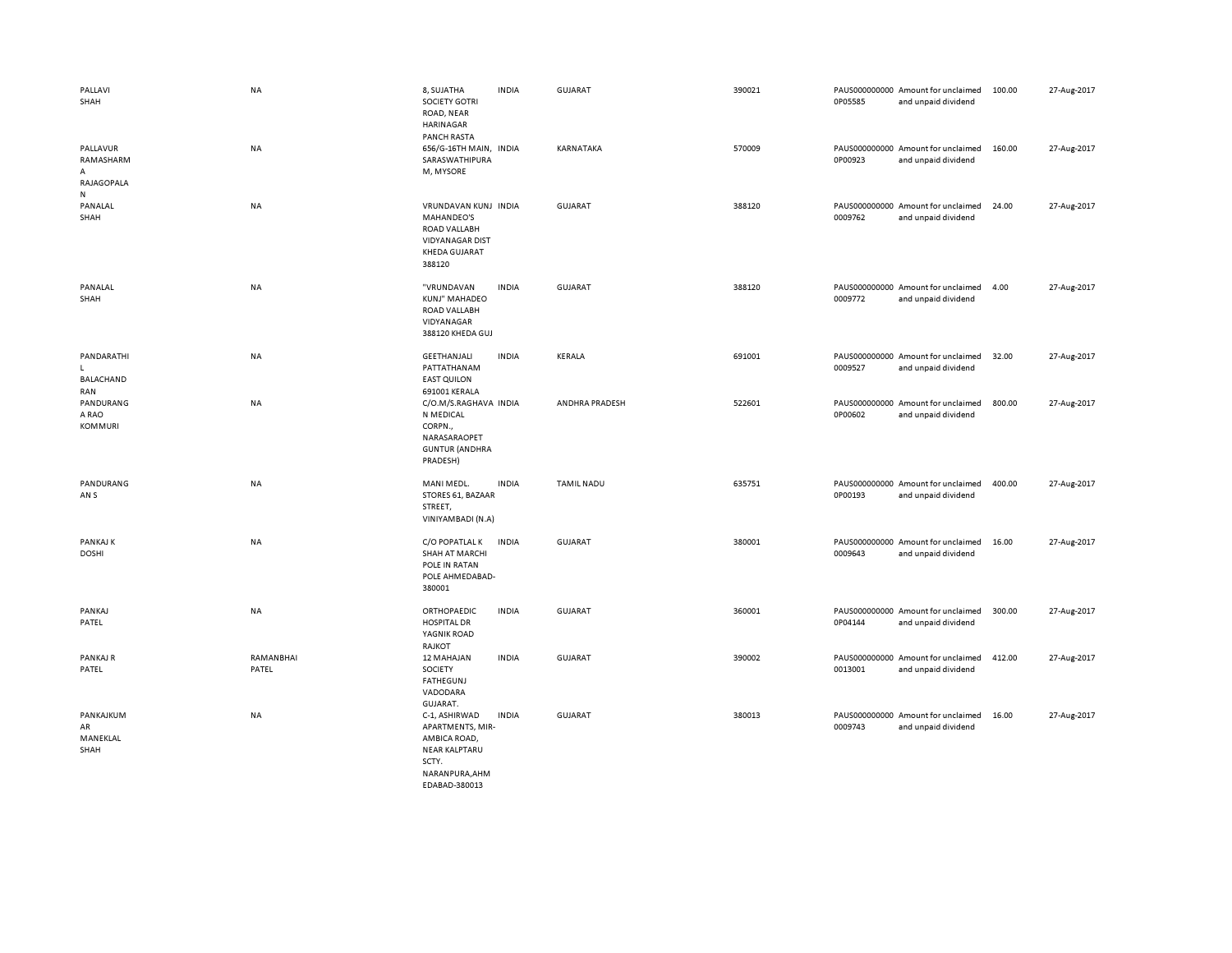| PALLAVI<br>SHAH                               | NA                 | 8, SUJATHA<br><b>SOCIETY GOTRI</b><br>ROAD, NEAR<br>HARINAGAR<br><b>PANCH RASTA</b>                            | <b>INDIA</b> | <b>GUJARAT</b>    | 390021 | 0P05585 | PAUS000000000 Amount for unclaimed<br>and unpaid dividend | 100.00 | 27-Aug-2017 |
|-----------------------------------------------|--------------------|----------------------------------------------------------------------------------------------------------------|--------------|-------------------|--------|---------|-----------------------------------------------------------|--------|-------------|
| PALLAVUR<br>RAMASHARM<br>Α<br>RAJAGOPALA<br>N | <b>NA</b>          | 656/G-16TH MAIN, INDIA<br>SARASWATHIPURA<br>M, MYSORE                                                          |              | KARNATAKA         | 570009 | 0P00923 | PAUS000000000 Amount for unclaimed<br>and unpaid dividend | 160.00 | 27-Aug-2017 |
| PANALAL<br>SHAH                               | NA                 | VRUNDAVAN KUNJ INDIA<br>MAHANDEO'S<br>ROAD VALLABH<br><b>VIDYANAGAR DIST</b><br><b>KHEDA GUJARAT</b><br>388120 |              | <b>GUJARAT</b>    | 388120 | 0009762 | PAUS000000000 Amount for unclaimed<br>and unpaid dividend | 24.00  | 27-Aug-2017 |
| PANALAL<br>SHAH                               | NA                 | "VRUNDAVAN<br>KUNJ" MAHADEO<br>ROAD VALLABH<br>VIDYANAGAR<br>388120 KHEDA GUJ                                  | <b>INDIA</b> | <b>GUJARAT</b>    | 388120 | 0009772 | PAUS000000000 Amount for unclaimed<br>and unpaid dividend | 4.00   | 27-Aug-2017 |
| PANDARATHI<br>ı.<br>BALACHAND<br>RAN          | ΝA                 | GEETHANJALI<br>PATTATHANAM<br><b>EAST QUILON</b><br>691001 KERALA                                              | <b>INDIA</b> | KERALA            | 691001 | 0009527 | PAUS000000000 Amount for unclaimed<br>and unpaid dividend | 32.00  | 27-Aug-2017 |
| PANDURANG<br>A RAO<br><b>KOMMURI</b>          | NA                 | C/O.M/S.RAGHAVA INDIA<br>N MEDICAL<br>CORPN.,<br>NARASARAOPET<br><b>GUNTUR (ANDHRA</b><br>PRADESH)             |              | ANDHRA PRADESH    | 522601 | 0P00602 | PAUS000000000 Amount for unclaimed<br>and unpaid dividend | 800.00 | 27-Aug-2017 |
| PANDURANG<br>AN S                             | <b>NA</b>          | MANI MEDL.<br>STORES 61, BAZAAR<br>STREET,<br>VINIYAMBADI (N.A)                                                | <b>INDIA</b> | <b>TAMIL NADU</b> | 635751 | 0P00193 | PAUS000000000 Amount for unclaimed<br>and unpaid dividend | 400.00 | 27-Aug-2017 |
| PANKAJ K<br><b>DOSHI</b>                      | NA                 | C/O POPATLAL K<br><b>SHAH AT MARCHI</b><br>POLE IN RATAN<br>POLE AHMEDABAD-<br>380001                          | <b>INDIA</b> | <b>GUJARAT</b>    | 380001 | 0009643 | PAUS000000000 Amount for unclaimed<br>and unpaid dividend | 16.00  | 27-Aug-2017 |
| PANKAJ<br>PATEL                               | NA                 | ORTHOPAEDIC<br><b>HOSPITAL DR</b><br>YAGNIK ROAD<br>RAJKOT                                                     | <b>INDIA</b> | <b>GUJARAT</b>    | 360001 | 0P04144 | PAUS000000000 Amount for unclaimed<br>and unpaid dividend | 300.00 | 27-Aug-2017 |
| PANKAJ R<br>PATEL                             | RAMANBHAI<br>PATEL | 12 MAHAJAN<br>SOCIETY<br>FATHEGUNJ<br>VADODARA<br>GUJARAT.                                                     | <b>INDIA</b> | <b>GUJARAT</b>    | 390002 | 0013001 | PAUS000000000 Amount for unclaimed<br>and unpaid dividend | 412.00 | 27-Aug-2017 |
| PANKAJKUM<br>AR<br>MANEKLAL<br>SHAH           | NA                 | C-1, ASHIRWAD<br>APARTMENTS, MIR-<br>AMBICA ROAD,<br><b>NEAR KALPTARU</b><br>SCTY.<br>NARANPURA, AHM           | <b>INDIA</b> | <b>GUJARAT</b>    | 380013 | 0009743 | PAUS000000000 Amount for unclaimed<br>and unpaid dividend | 16.00  | 27-Aug-2017 |

EDABAD-380013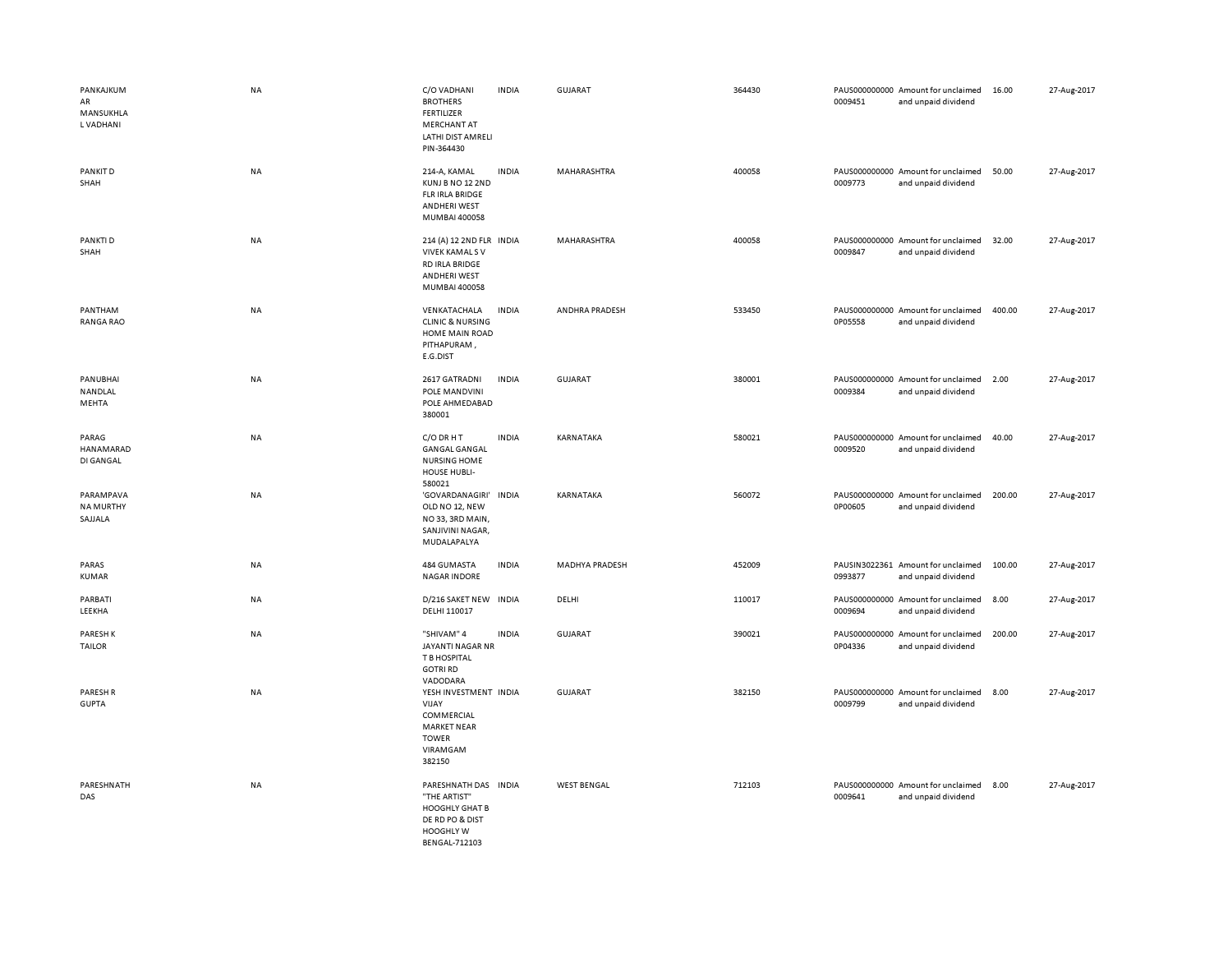| PANKAJKUM<br>AR<br>MANSUKHLA<br>L VADHANI | <b>NA</b> | C/O VADHANI<br><b>BROTHERS</b><br><b>FERTILIZER</b><br>MERCHANT AT<br>LATHI DIST AMRELI<br>PIN-364430                 | <b>INDIA</b> | GUJARAT               | 364430 | 0009451 | PAUS000000000 Amount for unclaimed<br>and unpaid dividend | 16.00  | 27-Aug-2017 |
|-------------------------------------------|-----------|-----------------------------------------------------------------------------------------------------------------------|--------------|-----------------------|--------|---------|-----------------------------------------------------------|--------|-------------|
| PANKIT D<br>SHAH                          | NA        | 214-A, KAMAL<br>KUNJ B NO 12 2ND<br>FLR IRLA BRIDGE<br><b>ANDHERI WEST</b><br>MUMBAI 400058                           | <b>INDIA</b> | MAHARASHTRA           | 400058 | 0009773 | PAUS000000000 Amount for unclaimed<br>and unpaid dividend | 50.00  | 27-Aug-2017 |
| PANKTI D<br>SHAH                          | <b>NA</b> | 214 (A) 12 2ND FLR INDIA<br><b>VIVEK KAMALS V</b><br>RD IRLA BRIDGE<br>ANDHERI WEST<br>MUMBAI 400058                  |              | MAHARASHTRA           | 400058 | 0009847 | PAUS000000000 Amount for unclaimed<br>and unpaid dividend | 32.00  | 27-Aug-2017 |
| PANTHAM<br><b>RANGA RAO</b>               | <b>NA</b> | VENKATACHALA<br><b>CLINIC &amp; NURSING</b><br>HOME MAIN ROAD<br>PITHAPURAM,<br>E.G.DIST                              | <b>INDIA</b> | ANDHRA PRADESH        | 533450 | 0P05558 | PAUS000000000 Amount for unclaimed<br>and unpaid dividend | 400.00 | 27-Aug-2017 |
| PANUBHAI<br>NANDLAL<br>MEHTA              | <b>NA</b> | 2617 GATRADNI<br>POLE MANDVINI<br>POLE AHMEDABAD<br>380001                                                            | <b>INDIA</b> | GUJARAT               | 380001 | 0009384 | PAUS000000000 Amount for unclaimed<br>and unpaid dividend | 2.00   | 27-Aug-2017 |
| PARAG<br>HANAMARAD<br>DI GANGAL           | NA        | C/O DR H T<br><b>GANGAL GANGAL</b><br><b>NURSING HOME</b><br>HOUSE HUBLI-<br>580021                                   | <b>INDIA</b> | KARNATAKA             | 580021 | 0009520 | PAUS000000000 Amount for unclaimed<br>and unpaid dividend | 40.00  | 27-Aug-2017 |
| PARAMPAVA<br><b>NA MURTHY</b><br>SAJJALA  | <b>NA</b> | 'GOVARDANAGIRI'<br>OLD NO 12, NEW<br>NO 33, 3RD MAIN,<br>SANJIVINI NAGAR,<br>MUDALAPALYA                              | <b>INDIA</b> | KARNATAKA             | 560072 | 0P00605 | PAUS000000000 Amount for unclaimed<br>and unpaid dividend | 200.00 | 27-Aug-2017 |
| PARAS<br>KUMAR                            | NA        | 484 GUMASTA<br><b>NAGAR INDORE</b>                                                                                    | <b>INDIA</b> | <b>MADHYA PRADESH</b> | 452009 | 0993877 | PAUSIN3022361 Amount for unclaimed<br>and unpaid dividend | 100.00 | 27-Aug-2017 |
| PARBATI<br>LEEKHA                         | NA        | D/216 SAKET NEW<br>DELHI 110017                                                                                       | <b>INDIA</b> | DELHI                 | 110017 | 0009694 | PAUS000000000 Amount for unclaimed<br>and unpaid dividend | 8.00   | 27-Aug-2017 |
| <b>PARESHK</b><br>TAILOR                  | NA        | "SHIVAM" 4<br>JAYANTI NAGAR NR<br>T B HOSPITAL<br><b>GOTRI RD</b><br>VADODARA                                         | <b>INDIA</b> | <b>GUJARAT</b>        | 390021 | 0P04336 | PAUS000000000 Amount for unclaimed<br>and unpaid dividend | 200.00 | 27-Aug-2017 |
| PARESH R<br><b>GUPTA</b>                  | <b>NA</b> | YESH INVESTMENT INDIA<br>VIJAY<br>COMMERCIAL<br><b>MARKET NEAR</b><br><b>TOWER</b><br>VIRAMGAM<br>382150              |              | GUJARAT               | 382150 | 0009799 | PAUS000000000 Amount for unclaimed<br>and unpaid dividend | 8.00   | 27-Aug-2017 |
| PARESHNATH<br>DAS                         | <b>NA</b> | PARESHNATH DAS INDIA<br>"THE ARTIST"<br><b>HOOGHLY GHAT B</b><br>DE RD PO & DIST<br>HOOGHLY W<br><b>BENGAL-712103</b> |              | <b>WEST BENGAL</b>    | 712103 | 0009641 | PAUS000000000 Amount for unclaimed<br>and unpaid dividend | 8.00   | 27-Aug-2017 |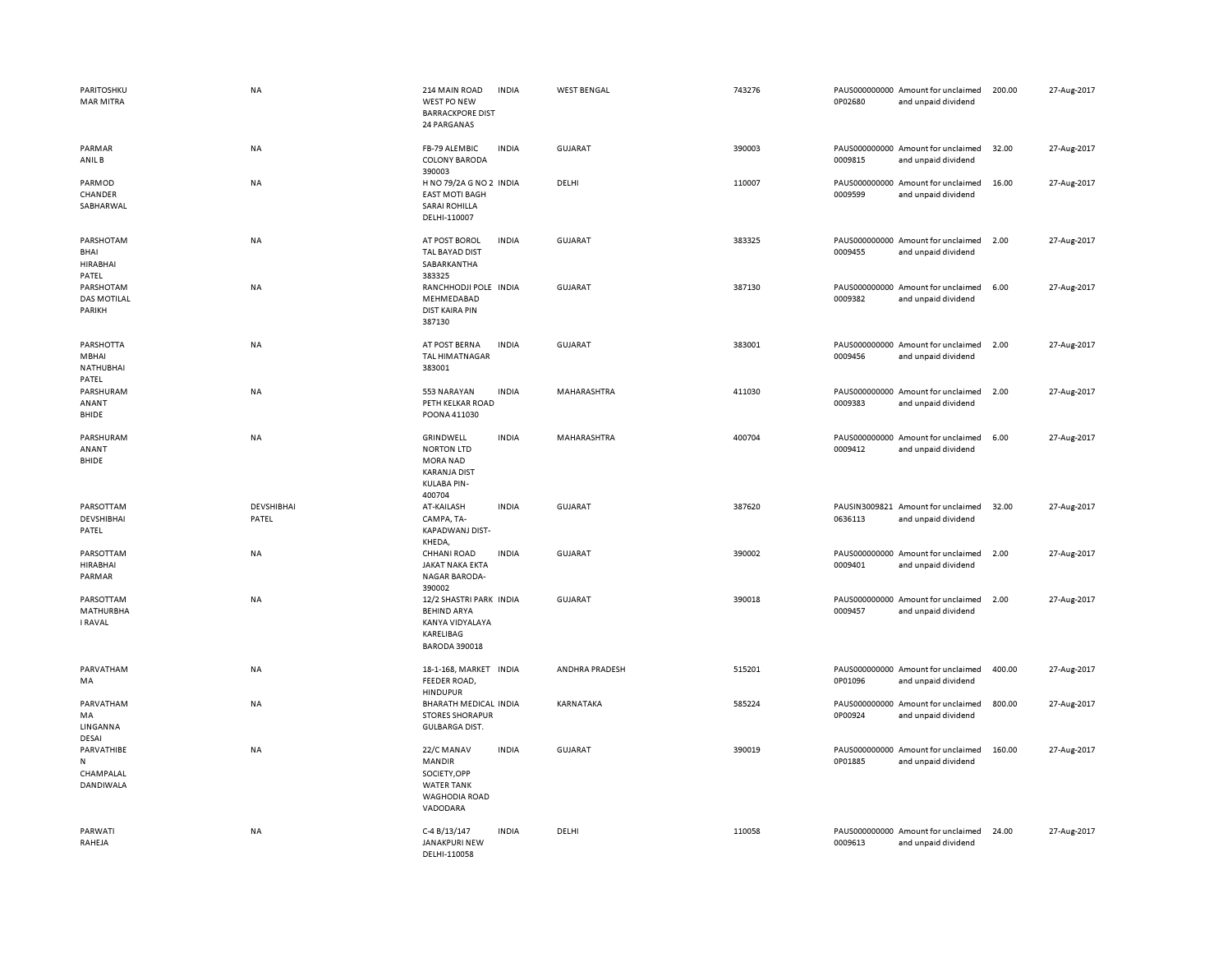| PARITOSHKU<br><b>MAR MITRA</b>                | NA                  | 214 MAIN ROAD<br>WEST PO NEW<br><b>BARRACKPORE DIST</b><br>24 PARGANAS                                   | <b>INDIA</b> | <b>WEST BENGAL</b> | 743276 | 0P02680 | PAUS000000000 Amount for unclaimed<br>and unpaid dividend | 200.00 | 27-Aug-2017 |
|-----------------------------------------------|---------------------|----------------------------------------------------------------------------------------------------------|--------------|--------------------|--------|---------|-----------------------------------------------------------|--------|-------------|
| PARMAR<br>ANIL B                              | NA                  | FB-79 ALEMBIC<br><b>COLONY BARODA</b><br>390003                                                          | <b>INDIA</b> | <b>GUJARAT</b>     | 390003 | 0009815 | PAUS000000000 Amount for unclaimed<br>and unpaid dividend | 32.00  | 27-Aug-2017 |
| PARMOD<br>CHANDER<br>SABHARWAL                | NA                  | H NO 79/2A G NO 2 INDIA<br><b>EAST MOTI BAGH</b><br><b>SARAI ROHILLA</b><br>DELHI-110007                 |              | DELHI              | 110007 | 0009599 | PAUS000000000 Amount for unclaimed<br>and unpaid dividend | 16.00  | 27-Aug-2017 |
| PARSHOTAM<br>BHAI<br><b>HIRABHAI</b><br>PATEL | NA                  | AT POST BOROL<br>TAL BAYAD DIST<br>SABARKANTHA<br>383325                                                 | <b>INDIA</b> | GUJARAT            | 383325 | 0009455 | PAUS000000000 Amount for unclaimed<br>and unpaid dividend | 2.00   | 27-Aug-2017 |
| PARSHOTAM<br><b>DAS MOTILAL</b><br>PARIKH     | NA                  | RANCHHODJI POLE INDIA<br>MEHMEDABAD<br><b>DIST KAIRA PIN</b><br>387130                                   |              | <b>GUJARAT</b>     | 387130 | 0009382 | PAUS000000000 Amount for unclaimed<br>and unpaid dividend | 6.00   | 27-Aug-2017 |
| PARSHOTTA<br>MBHAI<br>NATHUBHAI<br>PATEL      | NA                  | AT POST BERNA<br><b>TAL HIMATNAGAR</b><br>383001                                                         | <b>INDIA</b> | <b>GUJARAT</b>     | 383001 | 0009456 | PAUS000000000 Amount for unclaimed<br>and unpaid dividend | 2.00   | 27-Aug-2017 |
| PARSHURAM<br>ANANT<br>BHIDE                   | NA                  | 553 NARAYAN<br>PETH KELKAR ROAD<br>POONA 411030                                                          | <b>INDIA</b> | MAHARASHTRA        | 411030 | 0009383 | PAUS000000000 Amount for unclaimed<br>and unpaid dividend | 2.00   | 27-Aug-2017 |
| PARSHURAM<br>ANANT<br>BHIDE                   | NA                  | GRINDWELL<br><b>NORTON LTD</b><br><b>MORA NAD</b><br><b>KARANJA DIST</b><br><b>KULABA PIN-</b><br>400704 | <b>INDIA</b> | MAHARASHTRA        | 400704 | 0009412 | PAUS000000000 Amount for unclaimed<br>and unpaid dividend | 6.00   | 27-Aug-2017 |
| PARSOTTAM<br><b>DEVSHIBHAI</b><br>PATEL       | DEVSHIBHAI<br>PATEL | AT-KAILASH<br>CAMPA, TA-<br>KAPADWANJ DIST-<br>KHEDA,                                                    | <b>INDIA</b> | <b>GUJARAT</b>     | 387620 | 0636113 | PAUSIN3009821 Amount for unclaimed<br>and unpaid dividend | 32.00  | 27-Aug-2017 |
| PARSOTTAM<br><b>HIRABHAI</b><br>PARMAR        | NA                  | <b>CHHANI ROAD</b><br>JAKAT NAKA EKTA<br><b>NAGAR BARODA-</b><br>390002                                  | <b>INDIA</b> | <b>GUJARAT</b>     | 390002 | 0009401 | PAUS000000000 Amount for unclaimed<br>and unpaid dividend | 2.00   | 27-Aug-2017 |
| PARSOTTAM<br>MATHURBHA<br>I RAVAL             | NA                  | 12/2 SHASTRI PARK INDIA<br><b>BEHIND ARYA</b><br>KANYA VIDYALAYA<br>KARELIBAG<br><b>BARODA 390018</b>    |              | <b>GUJARAT</b>     | 390018 | 0009457 | PAUS000000000 Amount for unclaimed<br>and unpaid dividend | 2.00   | 27-Aug-2017 |
| PARVATHAM<br>MA                               | NA                  | 18-1-168, MARKET INDIA<br>FEEDER ROAD,<br><b>HINDUPUR</b>                                                |              | ANDHRA PRADESH     | 515201 | 0P01096 | PAUS000000000 Amount for unclaimed<br>and unpaid dividend | 400.00 | 27-Aug-2017 |
| PARVATHAM<br>MA<br>LINGANNA<br>DESAI          | NA                  | BHARATH MEDICAL INDIA<br><b>STORES SHORAPUR</b><br><b>GULBARGA DIST.</b>                                 |              | KARNATAKA          | 585224 | 0P00924 | PAUS000000000 Amount for unclaimed<br>and unpaid dividend | 800.00 | 27-Aug-2017 |
| PARVATHIBE<br>N<br>CHAMPALAL<br>DANDIWALA     | <b>NA</b>           | 22/C MANAV<br><b>MANDIR</b><br>SOCIETY, OPP<br><b>WATER TANK</b><br><b>WAGHODIA ROAD</b><br>VADODARA     | <b>INDIA</b> | <b>GUJARAT</b>     | 390019 | 0P01885 | PAUS000000000 Amount for unclaimed<br>and unpaid dividend | 160.00 | 27-Aug-2017 |
| PARWATI<br>RAHEJA                             | NA                  | C-4 B/13/147<br>JANAKPURI NEW<br>DELHI-110058                                                            | <b>INDIA</b> | DELHI              | 110058 | 0009613 | PAUS000000000 Amount for unclaimed<br>and unpaid dividend | 24.00  | 27-Aug-2017 |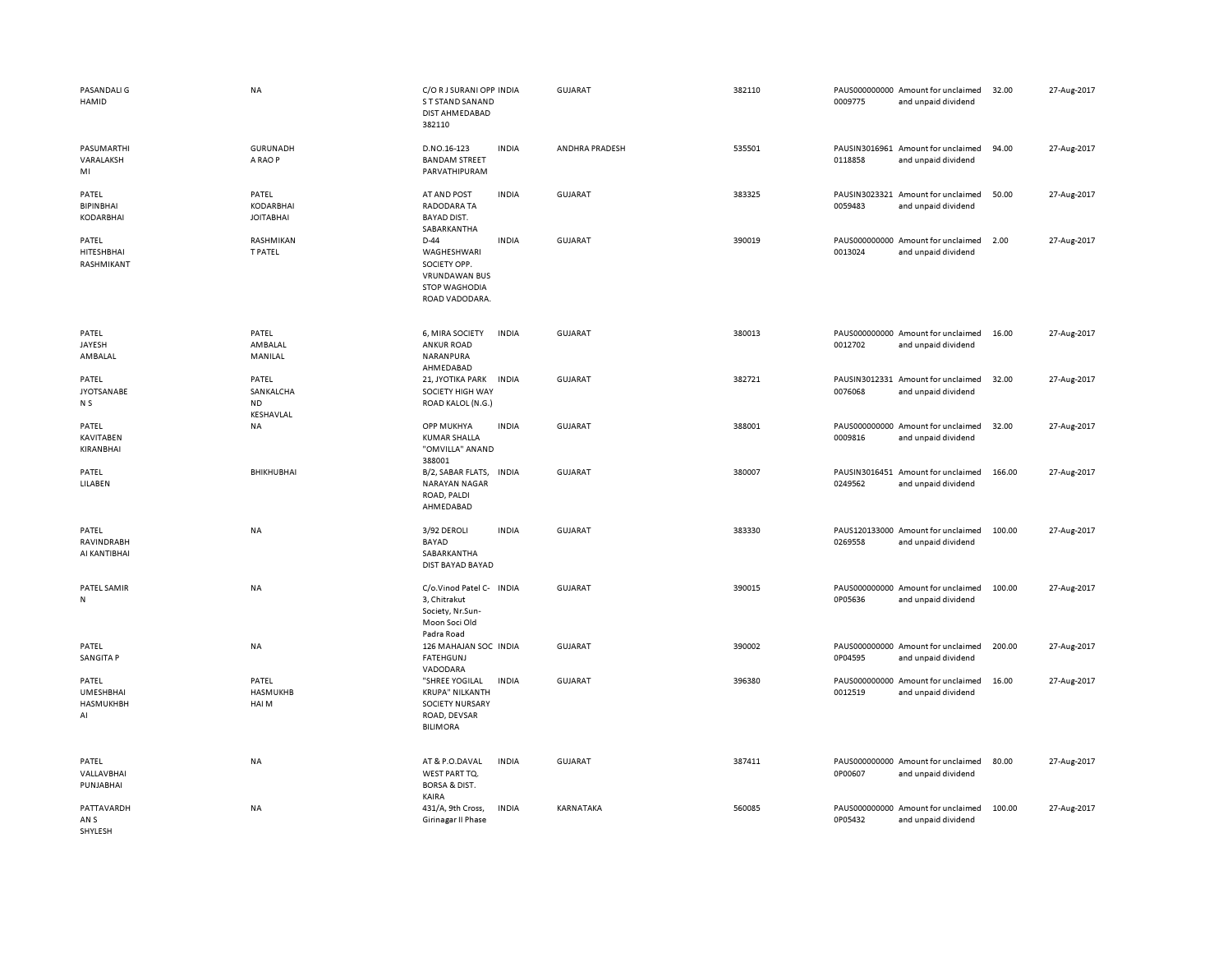| PASANDALI G<br>HAMID                                | <b>NA</b>                                     | C/O R J SURANI OPP INDIA<br>S T STAND SANAND<br>DIST AHMEDABAD<br>382110                                |              | <b>GUJARAT</b> | 382110 | PAUS000000000 Amount for unclaimed<br>0009775<br>and unpaid dividend | 32.00  | 27-Aug-2017 |
|-----------------------------------------------------|-----------------------------------------------|---------------------------------------------------------------------------------------------------------|--------------|----------------|--------|----------------------------------------------------------------------|--------|-------------|
| PASUMARTHI<br>VARALAKSH<br>MI                       | <b>GURUNADH</b><br>A RAO P                    | D.NO.16-123<br><b>BANDAM STREET</b><br>PARVATHIPURAM                                                    | <b>INDIA</b> | ANDHRA PRADESH | 535501 | PAUSIN3016961 Amount for unclaimed<br>0118858<br>and unpaid dividend | 94.00  | 27-Aug-2017 |
| PATEL<br><b>BIPIN BHAI</b><br><b>KODARBHAI</b>      | PATEL<br><b>KODARBHAI</b><br><b>JOITABHAI</b> | AT AND POST<br><b>RADODARA TA</b><br><b>BAYAD DIST.</b><br>SABARKANTHA                                  | <b>INDIA</b> | <b>GUJARAT</b> | 383325 | PAUSIN3023321 Amount for unclaimed<br>0059483<br>and unpaid dividend | 50.00  | 27-Aug-2017 |
| PATEL<br>HITESHBHAI<br>RASHMIKANT                   | RASHMIKAN<br><b>T PATEL</b>                   | $D-44$<br>WAGHESHWARI<br>SOCIETY OPP.<br><b>VRUNDAWAN BUS</b><br><b>STOP WAGHODIA</b><br>ROAD VADODARA. | <b>INDIA</b> | <b>GUJARAT</b> | 390019 | PAUS000000000 Amount for unclaimed<br>0013024<br>and unpaid dividend | 2.00   | 27-Aug-2017 |
| PATEL<br>JAYESH<br>AMBALAL                          | PATEL<br>AMBALAL<br>MANILAL                   | 6, MIRA SOCIETY<br><b>ANKUR ROAD</b><br>NARANPURA<br>AHMEDABAD                                          | <b>INDIA</b> | <b>GUJARAT</b> | 380013 | PAUS000000000 Amount for unclaimed<br>0012702<br>and unpaid dividend | 16.00  | 27-Aug-2017 |
| PATEL<br><b>JYOTSANABE</b><br>N S                   | PATEL<br>SANKALCHA<br><b>ND</b><br>KESHAVLAL  | 21, JYOTIKA PARK<br>SOCIETY HIGH WAY<br>ROAD KALOL (N.G.)                                               | <b>INDIA</b> | <b>GUJARAT</b> | 382721 | PAUSIN3012331 Amount for unclaimed<br>0076068<br>and unpaid dividend | 32.00  | 27-Aug-2017 |
| PATEL<br><b>KAVITABEN</b><br>KIRANBHAI              | NA                                            | OPP MUKHYA<br><b>KUMAR SHALLA</b><br>"OMVILLA" ANAND<br>388001                                          | <b>INDIA</b> | GUJARAT        | 388001 | PAUS000000000 Amount for unclaimed<br>0009816<br>and unpaid dividend | 32.00  | 27-Aug-2017 |
| PATEL<br>LILABEN                                    | BHIKHUBHAI                                    | B/2, SABAR FLATS,<br>NARAYAN NAGAR<br>ROAD, PALDI<br>AHMEDABAD                                          | <b>INDIA</b> | <b>GUJARAT</b> | 380007 | PAUSIN3016451 Amount for unclaimed<br>0249562<br>and unpaid dividend | 166.00 | 27-Aug-2017 |
| PATEL<br>RAVINDRABH<br>AI KANTIBHAI                 | <b>NA</b>                                     | 3/92 DEROLI<br>BAYAD<br>SABARKANTHA<br>DIST BAYAD BAYAD                                                 | <b>INDIA</b> | <b>GUJARAT</b> | 383330 | PAUS120133000 Amount for unclaimed<br>0269558<br>and unpaid dividend | 100.00 | 27-Aug-2017 |
| PATEL SAMIR<br>${\sf N}$                            | NA                                            | C/o.Vinod Patel C- INDIA<br>3, Chitrakut<br>Society, Nr.Sun-<br>Moon Soci Old<br>Padra Road             |              | <b>GUJARAT</b> | 390015 | PAUS000000000 Amount for unclaimed<br>0P05636<br>and unpaid dividend | 100.00 | 27-Aug-2017 |
| PATEL<br><b>SANGITA P</b>                           | NA                                            | 126 MAHAJAN SOC INDIA<br><b>FATEHGUNJ</b><br>VADODARA                                                   |              | GUJARAT        | 390002 | PAUS000000000 Amount for unclaimed<br>0P04595<br>and unpaid dividend | 200.00 | 27-Aug-2017 |
| PATEL<br><b>UMESHBHAI</b><br><b>HASMUKHBH</b><br>AI | PATEL<br>HASMUKHB<br>HAI M                    | "SHREE YOGILAL<br><b>KRUPA" NILKANTH</b><br>SOCIETY NURSARY<br>ROAD, DEVSAR<br><b>BILIMORA</b>          | <b>INDIA</b> | <b>GUJARAT</b> | 396380 | PAUS000000000 Amount for unclaimed<br>0012519<br>and unpaid dividend | 16.00  | 27-Aug-2017 |
| PATEL<br>VALLAVBHAI<br>PUNJABHAI                    | NA                                            | AT & P.O.DAVAL<br>WEST PART TQ.<br><b>BORSA &amp; DIST.</b><br>KAIRA                                    | <b>INDIA</b> | <b>GUJARAT</b> | 387411 | PAUS000000000 Amount for unclaimed<br>0P00607<br>and unpaid dividend | 80.00  | 27-Aug-2017 |
| PATTAVARDH<br>AN S<br>SHYLESH                       | <b>NA</b>                                     | 431/A, 9th Cross,<br>Girinagar II Phase                                                                 | <b>INDIA</b> | KARNATAKA      | 560085 | PAUS000000000 Amount for unclaimed<br>0P05432<br>and unpaid dividend | 100.00 | 27-Aug-2017 |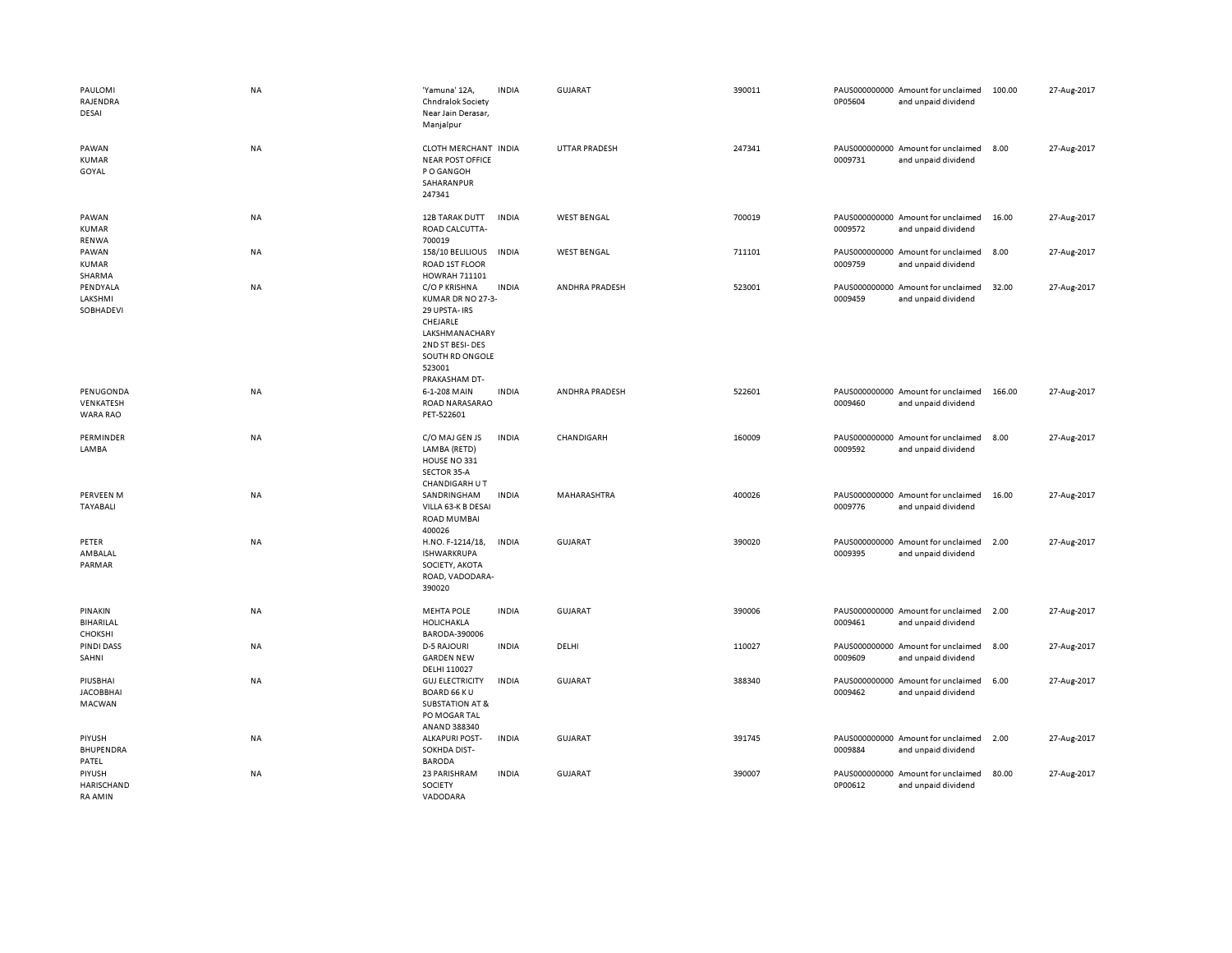| PAULOMI<br>RAJENDRA<br>DESAI                  | NA        | 'Yamuna' 12A,<br>Chndralok Society<br>Near Jain Derasar,<br>Manjalpur                                                                              | <b>INDIA</b> | <b>GUJARAT</b>       | 390011 | 0P05604                  | PAUS000000000 Amount for unclaimed<br>and unpaid dividend | 100.00 | 27-Aug-2017 |
|-----------------------------------------------|-----------|----------------------------------------------------------------------------------------------------------------------------------------------------|--------------|----------------------|--------|--------------------------|-----------------------------------------------------------|--------|-------------|
| PAWAN<br><b>KUMAR</b><br>GOYAL                | NA        | CLOTH MERCHANT INDIA<br><b>NEAR POST OFFICE</b><br>P O GANGOH<br>SAHARANPUR<br>247341                                                              |              | <b>UTTAR PRADESH</b> | 247341 | 0009731                  | PAUS000000000 Amount for unclaimed<br>and unpaid dividend | 8.00   | 27-Aug-2017 |
| PAWAN<br><b>KUMAR</b><br><b>RENWA</b>         | NA        | 12B TARAK DUTT<br>ROAD CALCUTTA-<br>700019                                                                                                         | <b>INDIA</b> | <b>WEST BENGAL</b>   | 700019 | 0009572                  | PAUS000000000 Amount for unclaimed<br>and unpaid dividend | 16.00  | 27-Aug-2017 |
| PAWAN<br><b>KUMAR</b><br>SHARMA               | NA        | 158/10 BELILIOUS<br>ROAD 1ST FLOOR<br>HOWRAH 711101                                                                                                | <b>INDIA</b> | <b>WEST BENGAL</b>   | 711101 | PAUS000000000<br>0009759 | Amount for unclaimed<br>and unpaid dividend               | 8.00   | 27-Aug-2017 |
| PENDYALA<br>LAKSHMI<br>SOBHADEVI              | NA        | C/O P KRISHNA<br>KUMAR DR NO 27-3-<br>29 UPSTA- IRS<br>CHEJARLE<br>LAKSHMANACHARY<br>2ND ST BESI-DES<br>SOUTH RD ONGOLE<br>523001<br>PRAKASHAM DT- | <b>INDIA</b> | ANDHRA PRADESH       | 523001 | 0009459                  | PAUS000000000 Amount for unclaimed<br>and unpaid dividend | 32.00  | 27-Aug-2017 |
| PENUGONDA<br>VENKATESH<br>WARA RAO            | <b>NA</b> | 6-1-208 MAIN<br>ROAD NARASARAO<br>PET-522601                                                                                                       | <b>INDIA</b> | ANDHRA PRADESH       | 522601 | 0009460                  | PAUS000000000 Amount for unclaimed<br>and unpaid dividend | 166.00 | 27-Aug-2017 |
| PERMINDER<br><b>LAMBA</b>                     | NA        | C/O MAJ GEN JS<br>LAMBA (RETD)<br>HOUSE NO 331<br>SECTOR 35-A<br>CHANDIGARH U T                                                                    | <b>INDIA</b> | CHANDIGARH           | 160009 | 0009592                  | PAUS000000000 Amount for unclaimed<br>and unpaid dividend | 8.00   | 27-Aug-2017 |
| <b>PERVEEN M</b><br><b>TAYABALI</b>           | NA        | SANDRINGHAM<br>VILLA 63-K B DESAI<br><b>ROAD MUMBAI</b><br>400026                                                                                  | <b>INDIA</b> | MAHARASHTRA          | 400026 | 0009776                  | PAUS000000000 Amount for unclaimed<br>and unpaid dividend | 16.00  | 27-Aug-2017 |
| PETER<br>AMBALAL<br>PARMAR                    | NA        | H.NO. F-1214/18,<br><b>ISHWARKRUPA</b><br>SOCIETY, AKOTA<br>ROAD, VADODARA-<br>390020                                                              | <b>INDIA</b> | <b>GUJARAT</b>       | 390020 | 0009395                  | PAUS000000000 Amount for unclaimed<br>and unpaid dividend | 2.00   | 27-Aug-2017 |
| PINAKIN<br>BIHARILAL<br><b>CHOKSHI</b>        | <b>NA</b> | <b>MEHTA POLE</b><br>HOLICHAKLA<br>BARODA-390006                                                                                                   | <b>INDIA</b> | <b>GUJARAT</b>       | 390006 | 0009461                  | PAUS000000000 Amount for unclaimed<br>and unpaid dividend | 2.00   | 27-Aug-2017 |
| <b>PINDI DASS</b><br>SAHNI                    | NA        | <b>D-5 RAJOURI</b><br><b>GARDEN NEW</b><br>DELHI 110027                                                                                            | <b>INDIA</b> | DELHI                | 110027 | 0009609                  | PAUS000000000 Amount for unclaimed<br>and unpaid dividend | 8.00   | 27-Aug-2017 |
| PIUSBHAI<br><b>JACOBBHAI</b><br><b>MACWAN</b> | <b>NA</b> | <b>GUJ ELECTRICITY</b><br><b>BOARD 66 KU</b><br><b>SUBSTATION AT &amp;</b><br>PO MOGAR TAL<br>ANAND 388340                                         | <b>INDIA</b> | <b>GUJARAT</b>       | 388340 | 0009462                  | PAUS000000000 Amount for unclaimed<br>and unpaid dividend | 6.00   | 27-Aug-2017 |
| PIYUSH<br>BHUPENDRA<br>PATEL                  | NA        | <b>ALKAPURI POST-</b><br>SOKHDA DIST-<br><b>BARODA</b>                                                                                             | <b>INDIA</b> | <b>GUJARAT</b>       | 391745 | 0009884                  | PAUS000000000 Amount for unclaimed<br>and unpaid dividend | 2.00   | 27-Aug-2017 |
| PIYUSH<br>HARISCHAND<br><b>RA AMIN</b>        | NA        | 23 PARISHRAM<br>SOCIETY<br>VADODARA                                                                                                                | <b>INDIA</b> | <b>GUJARAT</b>       | 390007 | 0P00612                  | PAUS000000000 Amount for unclaimed<br>and unpaid dividend | 80.00  | 27-Aug-2017 |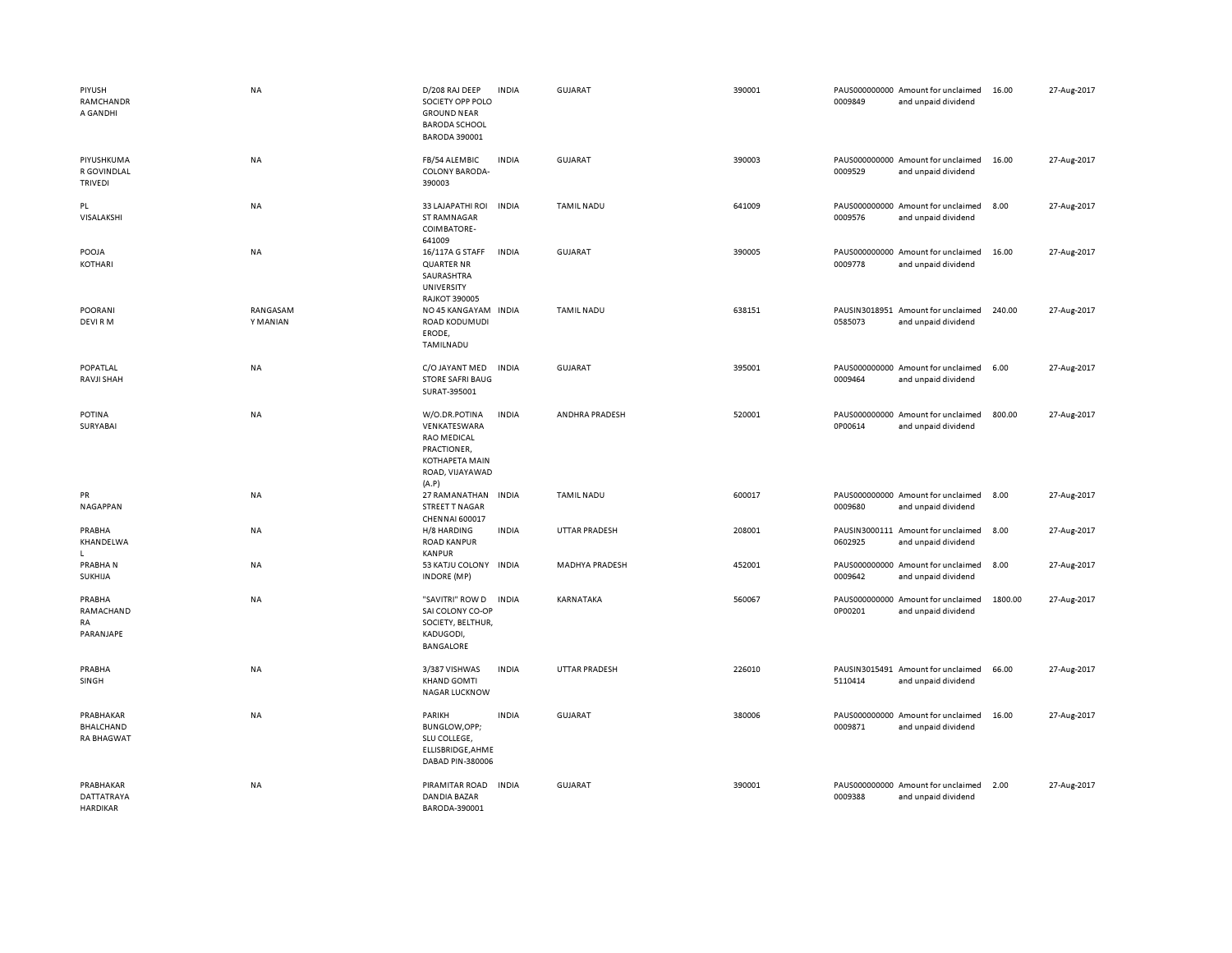| PIYUSH<br>RAMCHANDR<br>A GANDHI             | <b>NA</b>            | D/208 RAJ DEEP<br>SOCIETY OPP POLO<br><b>GROUND NEAR</b><br><b>BARODA SCHOOL</b><br><b>BARODA 390001</b>                | <b>INDIA</b> | GUJARAT               | 390001 | 0009849 | PAUS000000000 Amount for unclaimed<br>and unpaid dividend | 16.00   | 27-Aug-2017 |
|---------------------------------------------|----------------------|-------------------------------------------------------------------------------------------------------------------------|--------------|-----------------------|--------|---------|-----------------------------------------------------------|---------|-------------|
| PIYUSHKUMA<br>R GOVINDLAL<br>TRIVEDI        | NA                   | FB/54 ALEMBIC<br>COLONY BARODA-<br>390003                                                                               | <b>INDIA</b> | GUJARAT               | 390003 | 0009529 | PAUS000000000 Amount for unclaimed<br>and unpaid dividend | 16.00   | 27-Aug-2017 |
| PL<br>VISALAKSHI                            | <b>NA</b>            | 33 LAJAPATHI ROI<br>ST RAMNAGAR<br>COIMBATORE-<br>641009                                                                | <b>INDIA</b> | <b>TAMIL NADU</b>     | 641009 | 0009576 | PAUS000000000 Amount for unclaimed<br>and unpaid dividend | 8.00    | 27-Aug-2017 |
| POOJA<br>KOTHARI                            | NA                   | 16/117A G STAFF<br><b>QUARTER NR</b><br>SAURASHTRA<br>UNIVERSITY<br><b>RAJKOT 390005</b>                                | <b>INDIA</b> | <b>GUJARAT</b>        | 390005 | 0009778 | PAUS000000000 Amount for unclaimed<br>and unpaid dividend | 16.00   | 27-Aug-2017 |
| POORANI<br>DEVI RM                          | RANGASAM<br>Y MANIAN | NO 45 KANGAYAM INDIA<br>ROAD KODUMUDI<br>ERODE,<br>TAMILNADU                                                            |              | <b>TAMIL NADU</b>     | 638151 | 0585073 | PAUSIN3018951 Amount for unclaimed<br>and unpaid dividend | 240.00  | 27-Aug-2017 |
| POPATLAL<br>RAVJI SHAH                      | <b>NA</b>            | C/O JAYANT MED<br><b>STORE SAFRI BAUG</b><br>SURAT-395001                                                               | <b>INDIA</b> | <b>GUJARAT</b>        | 395001 | 0009464 | PAUS000000000 Amount for unclaimed<br>and unpaid dividend | 6.00    | 27-Aug-2017 |
| <b>POTINA</b><br>SURYABAI                   | <b>NA</b>            | W/O.DR.POTINA<br>VENKATESWARA<br><b>RAO MEDICAL</b><br>PRACTIONER,<br><b>KOTHAPETA MAIN</b><br>ROAD, VIJAYAWAD<br>(A.P) | <b>INDIA</b> | ANDHRA PRADESH        | 520001 | 0P00614 | PAUS000000000 Amount for unclaimed<br>and unpaid dividend | 800.00  | 27-Aug-2017 |
| PR<br>NAGAPPAN                              | NA                   | 27 RAMANATHAN<br>STREET T NAGAR<br>CHENNAI 600017                                                                       | <b>INDIA</b> | <b>TAMIL NADU</b>     | 600017 | 0009680 | PAUS000000000 Amount for unclaimed<br>and unpaid dividend | 8.00    | 27-Aug-2017 |
| PRABHA<br>KHANDELWA<br>L.                   | NA                   | H/8 HARDING<br><b>ROAD KANPUR</b><br><b>KANPUR</b>                                                                      | <b>INDIA</b> | <b>UTTAR PRADESH</b>  | 208001 | 0602925 | PAUSIN3000111 Amount for unclaimed<br>and unpaid dividend | 8.00    | 27-Aug-2017 |
| PRABHAN<br>SUKHIJA                          | NA                   | 53 KATJU COLONY<br><b>INDORE</b> (MP)                                                                                   | <b>INDIA</b> | <b>MADHYA PRADESH</b> | 452001 | 0009642 | PAUS000000000 Amount for unclaimed<br>and unpaid dividend | 8.00    | 27-Aug-2017 |
| PRABHA<br>RAMACHAND<br>RA<br>PARANJAPE      | <b>NA</b>            | "SAVITRI" ROW D<br>SAI COLONY CO-OP<br>SOCIETY, BELTHUR,<br>KADUGODI,<br><b>BANGALORE</b>                               | <b>INDIA</b> | KARNATAKA             | 560067 | 0P00201 | PAUS000000000 Amount for unclaimed<br>and unpaid dividend | 1800.00 | 27-Aug-2017 |
| PRABHA<br>SINGH                             | NA                   | 3/387 VISHWAS<br><b>KHAND GOMTI</b><br><b>NAGAR LUCKNOW</b>                                                             | <b>INDIA</b> | <b>UTTAR PRADESH</b>  | 226010 | 5110414 | PAUSIN3015491 Amount for unclaimed<br>and unpaid dividend | 66.00   | 27-Aug-2017 |
| PRABHAKAR<br>BHALCHAND<br><b>RA BHAGWAT</b> | <b>NA</b>            | PARIKH<br>BUNGLOW, OPP;<br>SLU COLLEGE,<br>ELLISBRIDGE, AHME<br>DABAD PIN-380006                                        | <b>INDIA</b> | <b>GUJARAT</b>        | 380006 | 0009871 | PAUS000000000 Amount for unclaimed<br>and unpaid dividend | 16.00   | 27-Aug-2017 |
| PRABHAKAR<br><b>DATTATRAYA</b><br>HARDIKAR  | <b>NA</b>            | PIRAMITAR ROAD<br><b>DANDIA BAZAR</b><br>BARODA-390001                                                                  | <b>INDIA</b> | <b>GUJARAT</b>        | 390001 | 0009388 | PAUS000000000 Amount for unclaimed<br>and unpaid dividend | 2.00    | 27-Aug-2017 |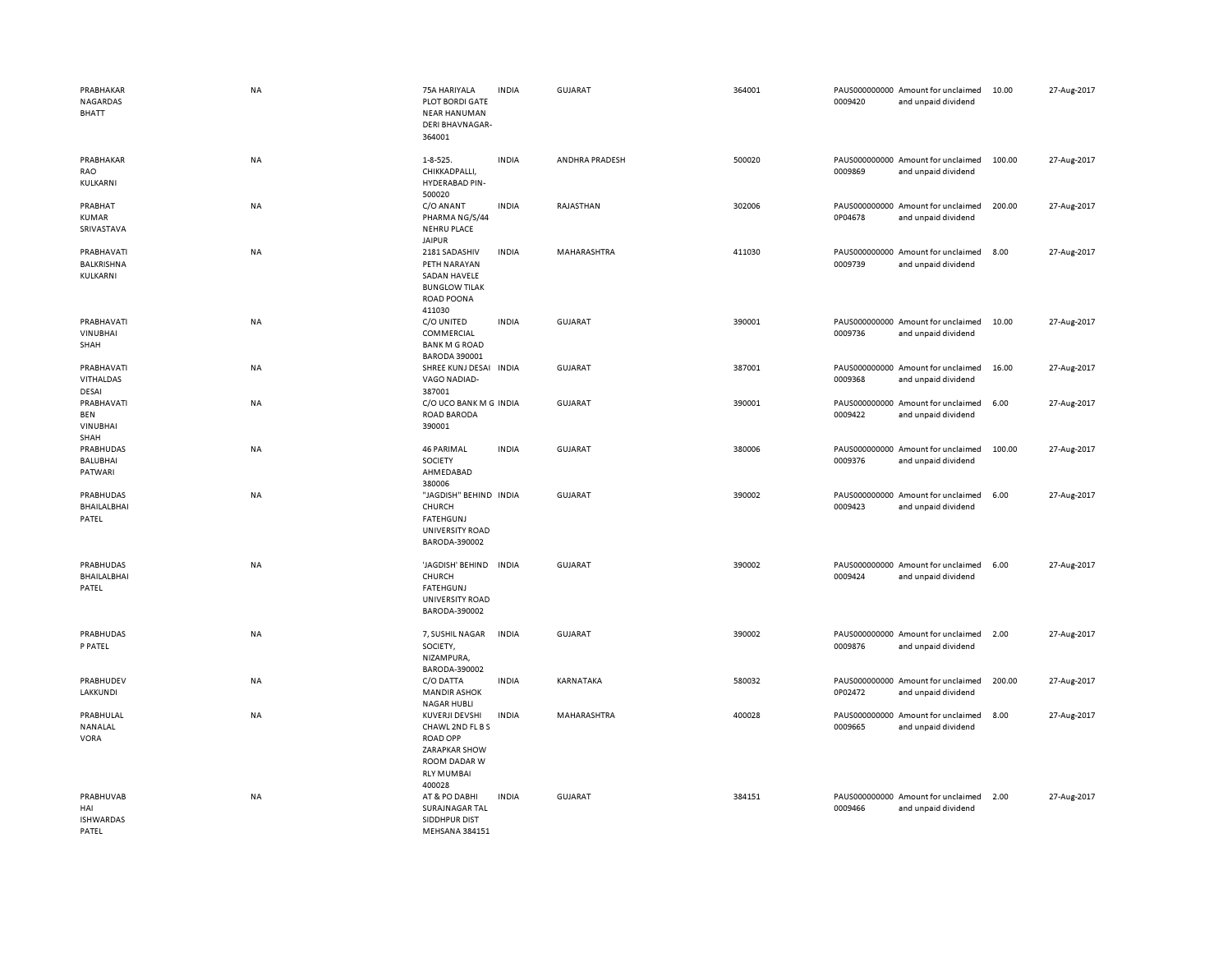| PRABHAKAR<br>NAGARDAS<br><b>BHATT</b>         | <b>NA</b> | 75A HARIYALA<br><b>PLOT BORDI GATE</b><br><b>NEAR HANUMAN</b><br><b>DERI BHAVNAGAR-</b><br>364001                     | <b>INDIA</b> | <b>GUJARAT</b> | 364001 | 0009420 | PAUS000000000 Amount for unclaimed<br>and unpaid dividend | 10.00  | 27-Aug-2017 |
|-----------------------------------------------|-----------|-----------------------------------------------------------------------------------------------------------------------|--------------|----------------|--------|---------|-----------------------------------------------------------|--------|-------------|
| PRABHAKAR<br>RAO<br>KULKARNI                  | NA        | $1 - 8 - 525.$<br>CHIKKADPALLI,<br><b>HYDERABAD PIN-</b><br>500020                                                    | <b>INDIA</b> | ANDHRA PRADESH | 500020 | 0009869 | PAUS000000000 Amount for unclaimed<br>and unpaid dividend | 100.00 | 27-Aug-2017 |
| PRABHAT<br>KUMAR<br>SRIVASTAVA                | NA        | C/O ANANT<br>PHARMA NG/S/44<br><b>NEHRU PLACE</b><br><b>JAIPUR</b>                                                    | <b>INDIA</b> | RAJASTHAN      | 302006 | 0P04678 | PAUS000000000 Amount for unclaimed<br>and unpaid dividend | 200.00 | 27-Aug-2017 |
| PRABHAVATI<br>BALKRISHNA<br>KULKARNI          | NA        | 2181 SADASHIV<br>PETH NARAYAN<br>SADAN HAVELE<br><b>BUNGLOW TILAK</b><br>ROAD POONA<br>411030                         | <b>INDIA</b> | MAHARASHTRA    | 411030 | 0009739 | PAUS000000000 Amount for unclaimed<br>and unpaid dividend | 8.00   | 27-Aug-2017 |
| PRABHAVATI<br><b>VINUBHAI</b><br>SHAH         | NA        | C/O UNITED<br>COMMERCIAL<br><b>BANK M G ROAD</b><br><b>BARODA 390001</b>                                              | <b>INDIA</b> | <b>GUJARAT</b> | 390001 | 0009736 | PAUS000000000 Amount for unclaimed<br>and unpaid dividend | 10.00  | 27-Aug-2017 |
| PRABHAVATI<br>VITHALDAS<br>DESAI              | NA        | SHREE KUNJ DESAI INDIA<br>VAGO NADIAD-<br>387001                                                                      |              | GUJARAT        | 387001 | 0009368 | PAUS000000000 Amount for unclaimed<br>and unpaid dividend | 16.00  | 27-Aug-2017 |
| PRABHAVATI<br>BEN<br><b>VINUBHAI</b><br>SHAH  | <b>NA</b> | C/O UCO BANK M G INDIA<br>ROAD BARODA<br>390001                                                                       |              | <b>GUJARAT</b> | 390001 | 0009422 | PAUS000000000 Amount for unclaimed<br>and unpaid dividend | 6.00   | 27-Aug-2017 |
| PRABHUDAS<br><b>BALUBHAI</b><br>PATWARI       | NA        | <b>46 PARIMAL</b><br>SOCIETY<br>AHMEDABAD<br>380006                                                                   | <b>INDIA</b> | <b>GUJARAT</b> | 380006 | 0009376 | PAUS000000000 Amount for unclaimed<br>and unpaid dividend | 100.00 | 27-Aug-2017 |
| PRABHUDAS<br>BHAILALBHAI<br>PATEL             | NA        | "JAGDISH" BEHIND INDIA<br>CHURCH<br><b>FATEHGUNJ</b><br>UNIVERSITY ROAD<br>BARODA-390002                              |              | <b>GUJARAT</b> | 390002 | 0009423 | PAUS000000000 Amount for unclaimed<br>and unpaid dividend | 6.00   | 27-Aug-2017 |
| <b>PRABHUDAS</b><br>BHAILALBHAI<br>PATEL      | <b>NA</b> | 'JAGDISH' BEHIND<br>CHURCH<br><b>FATEHGUNJ</b><br>UNIVERSITY ROAD<br>BARODA-390002                                    | <b>INDIA</b> | <b>GUJARAT</b> | 390002 | 0009424 | PAUS000000000 Amount for unclaimed<br>and unpaid dividend | 6.00   | 27-Aug-2017 |
| PRABHUDAS<br>P PATEL                          | NA        | 7, SUSHIL NAGAR<br>SOCIETY,<br>NIZAMPURA,<br>BARODA-390002                                                            | <b>INDIA</b> | <b>GUJARAT</b> | 390002 | 0009876 | PAUS000000000 Amount for unclaimed<br>and unpaid dividend | 2.00   | 27-Aug-2017 |
| PRABHUDEV<br><b>LAKKUNDI</b>                  | NA        | C/O DATTA<br><b>MANDIR ASHOK</b><br><b>NAGAR HUBLI</b>                                                                | <b>INDIA</b> | KARNATAKA      | 580032 | 0P02472 | PAUS000000000 Amount for unclaimed<br>and unpaid dividend | 200.00 | 27-Aug-2017 |
| PRABHULAL<br>NANALAL<br><b>VORA</b>           | NA        | KUVERJI DEVSHI<br>CHAWL 2ND FL B S<br><b>ROAD OPP</b><br>ZARAPKAR SHOW<br>ROOM DADAR W<br><b>RLY MUMBAI</b><br>400028 | <b>INDIA</b> | MAHARASHTRA    | 400028 | 0009665 | PAUS000000000 Amount for unclaimed<br>and unpaid dividend | 8.00   | 27-Aug-2017 |
| PRABHUVAB<br>HAI<br><b>ISHWARDAS</b><br>PATEL | <b>NA</b> | AT & PO DABHI<br>SURAJNAGAR TAL<br>SIDDHPUR DIST<br>MEHSANA 384151                                                    | <b>INDIA</b> | <b>GUJARAT</b> | 384151 | 0009466 | PAUS000000000 Amount for unclaimed<br>and unpaid dividend | 2.00   | 27-Aug-2017 |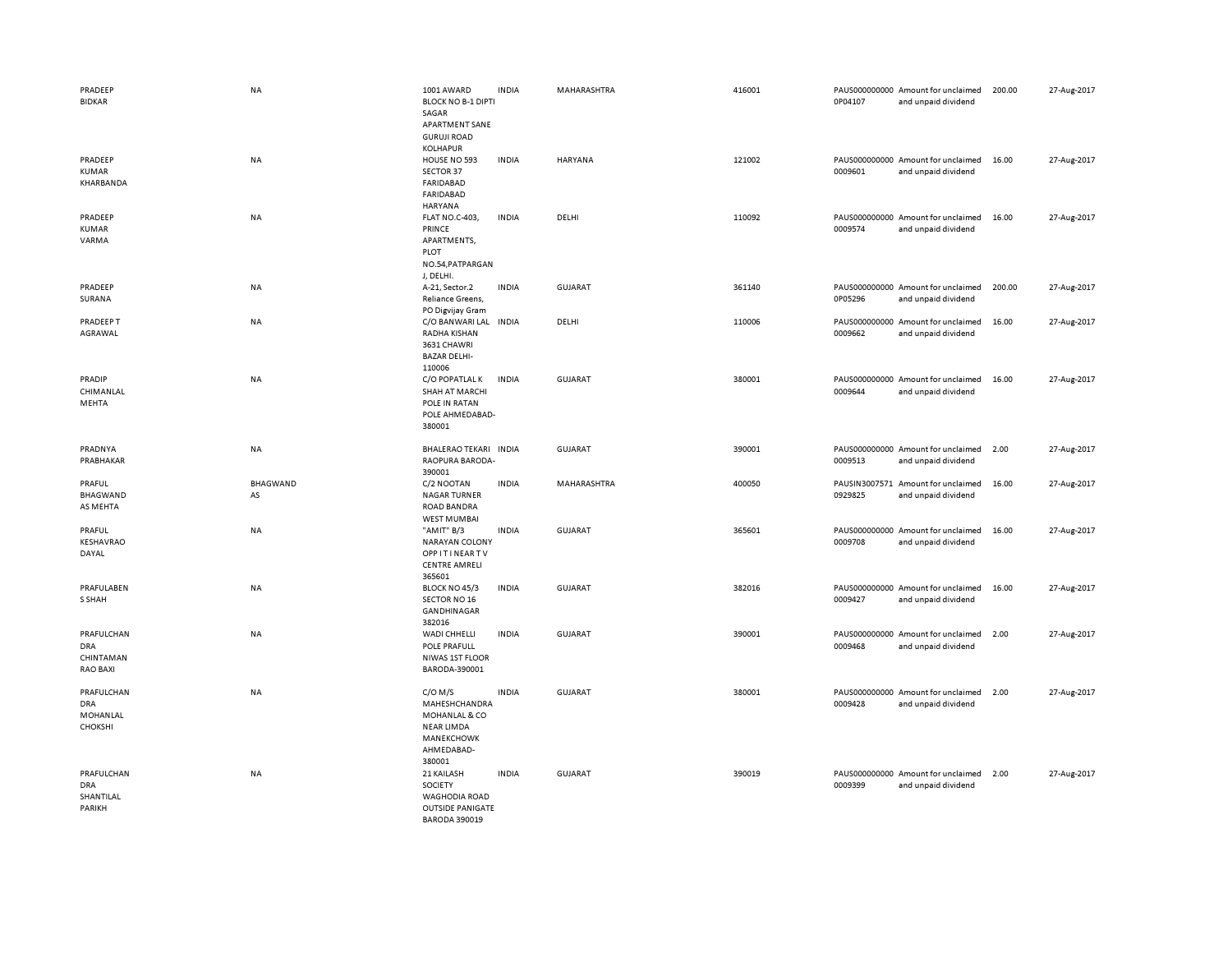| PRADEEP<br><b>BIDKAR</b>                                 | <b>NA</b>      | 1001 AWARD<br><b>BLOCK NO B-1 DIPTI</b><br>SAGAR<br>APARTMENT SANE<br><b>GURUJI ROAD</b><br><b>KOLHAPUR</b> | <b>INDIA</b> | MAHARASHTRA    | 416001 | 0P04107 | PAUS000000000 Amount for unclaimed<br>and unpaid dividend | 200.00 | 27-Aug-2017 |
|----------------------------------------------------------|----------------|-------------------------------------------------------------------------------------------------------------|--------------|----------------|--------|---------|-----------------------------------------------------------|--------|-------------|
| PRADEEP<br><b>KUMAR</b><br>KHARBANDA                     | <b>NA</b>      | HOUSE NO 593<br>SECTOR 37<br><b>FARIDABAD</b><br><b>FARIDABAD</b><br>HARYANA                                | <b>INDIA</b> | <b>HARYANA</b> | 121002 | 0009601 | PAUS000000000 Amount for unclaimed<br>and unpaid dividend | 16.00  | 27-Aug-2017 |
| PRADEEP<br><b>KUMAR</b><br>VARMA                         | NA             | <b>FLAT NO.C-403,</b><br>PRINCE<br>APARTMENTS,<br>PLOT<br>NO.54, PATPARGAN<br>J, DELHI.                     | <b>INDIA</b> | DELHI          | 110092 | 0009574 | PAUS000000000 Amount for unclaimed<br>and unpaid dividend | 16.00  | 27-Aug-2017 |
| PRADEEP<br>SURANA                                        | NA             | A-21, Sector.2<br>Reliance Greens,<br>PO Digvijay Gram                                                      | <b>INDIA</b> | <b>GUJARAT</b> | 361140 | 0P05296 | PAUS000000000 Amount for unclaimed<br>and unpaid dividend | 200.00 | 27-Aug-2017 |
| PRADEEP T<br>AGRAWAL                                     | NA             | C/O BANWARI LAL INDIA<br>RADHA KISHAN<br>3631 CHAWRI<br><b>BAZAR DELHI-</b><br>110006                       |              | DELHI          | 110006 | 0009662 | PAUS000000000 Amount for unclaimed<br>and unpaid dividend | 16.00  | 27-Aug-2017 |
| PRADIP<br>CHIMANLAL<br>MEHTA                             | <b>NA</b>      | C/O POPATLAL K<br><b>SHAH AT MARCHI</b><br>POLE IN RATAN<br>POLE AHMEDABAD-<br>380001                       | <b>INDIA</b> | <b>GUJARAT</b> | 380001 | 0009644 | PAUS000000000 Amount for unclaimed<br>and unpaid dividend | 16.00  | 27-Aug-2017 |
| PRADNYA<br>PRABHAKAR                                     | <b>NA</b>      | BHALERAO TEKARI INDIA<br>RAOPURA BARODA-<br>390001                                                          |              | <b>GUJARAT</b> | 390001 | 0009513 | PAUS000000000 Amount for unclaimed<br>and unpaid dividend | 2.00   | 27-Aug-2017 |
| PRAFUL<br><b>BHAGWAND</b><br>AS MEHTA                    | BHAGWAND<br>AS | C/2 NOOTAN<br><b>NAGAR TURNER</b><br><b>ROAD BANDRA</b><br><b>WEST MUMBAI</b>                               | <b>INDIA</b> | MAHARASHTRA    | 400050 | 0929825 | PAUSIN3007571 Amount for unclaimed<br>and unpaid dividend | 16.00  | 27-Aug-2017 |
| PRAFUL<br>KESHAVRAO<br>DAYAL                             | NA             | "AMIT" B/3<br><b>NARAYAN COLONY</b><br><b>OPPITINEARTV</b><br><b>CENTRE AMRELI</b><br>365601                | <b>INDIA</b> | <b>GUJARAT</b> | 365601 | 0009708 | PAUS000000000 Amount for unclaimed<br>and unpaid dividend | 16.00  | 27-Aug-2017 |
| PRAFULABEN<br>S SHAH                                     | <b>NA</b>      | BLOCK NO 45/3<br><b>SECTOR NO 16</b><br>GANDHINAGAR<br>382016                                               | <b>INDIA</b> | <b>GUJARAT</b> | 382016 | 0009427 | PAUS000000000 Amount for unclaimed<br>and unpaid dividend | 16.00  | 27-Aug-2017 |
| PRAFULCHAN<br><b>DRA</b><br>CHINTAMAN<br><b>RAO BAXI</b> | NA             | WADI CHHELLI<br>POLE PRAFULL<br>NIWAS 1ST FLOOR<br>BARODA-390001                                            | <b>INDIA</b> | GUJARAT        | 390001 | 0009468 | PAUS000000000 Amount for unclaimed<br>and unpaid dividend | 2.00   | 27-Aug-2017 |
| PRAFULCHAN<br><b>DRA</b><br>MOHANLAL<br>CHOKSHI          | <b>NA</b>      | $C/O$ M/S<br>MAHESHCHANDRA<br>MOHANLAL & CO<br><b>NEAR LIMDA</b><br>MANEKCHOWK<br>AHMEDABAD-<br>380001      | <b>INDIA</b> | <b>GUJARAT</b> | 380001 | 0009428 | PAUS000000000 Amount for unclaimed<br>and unpaid dividend | 2.00   | 27-Aug-2017 |
| PRAFULCHAN<br><b>DRA</b><br>SHANTILAL<br>PARIKH          | NA             | 21 KAILASH<br>SOCIETY<br><b>WAGHODIA ROAD</b><br><b>OUTSIDE PANIGATE</b><br><b>BARODA 390019</b>            | <b>INDIA</b> | <b>GUJARAT</b> | 390019 | 0009399 | PAUS000000000 Amount for unclaimed<br>and unpaid dividend | 2.00   | 27-Aug-2017 |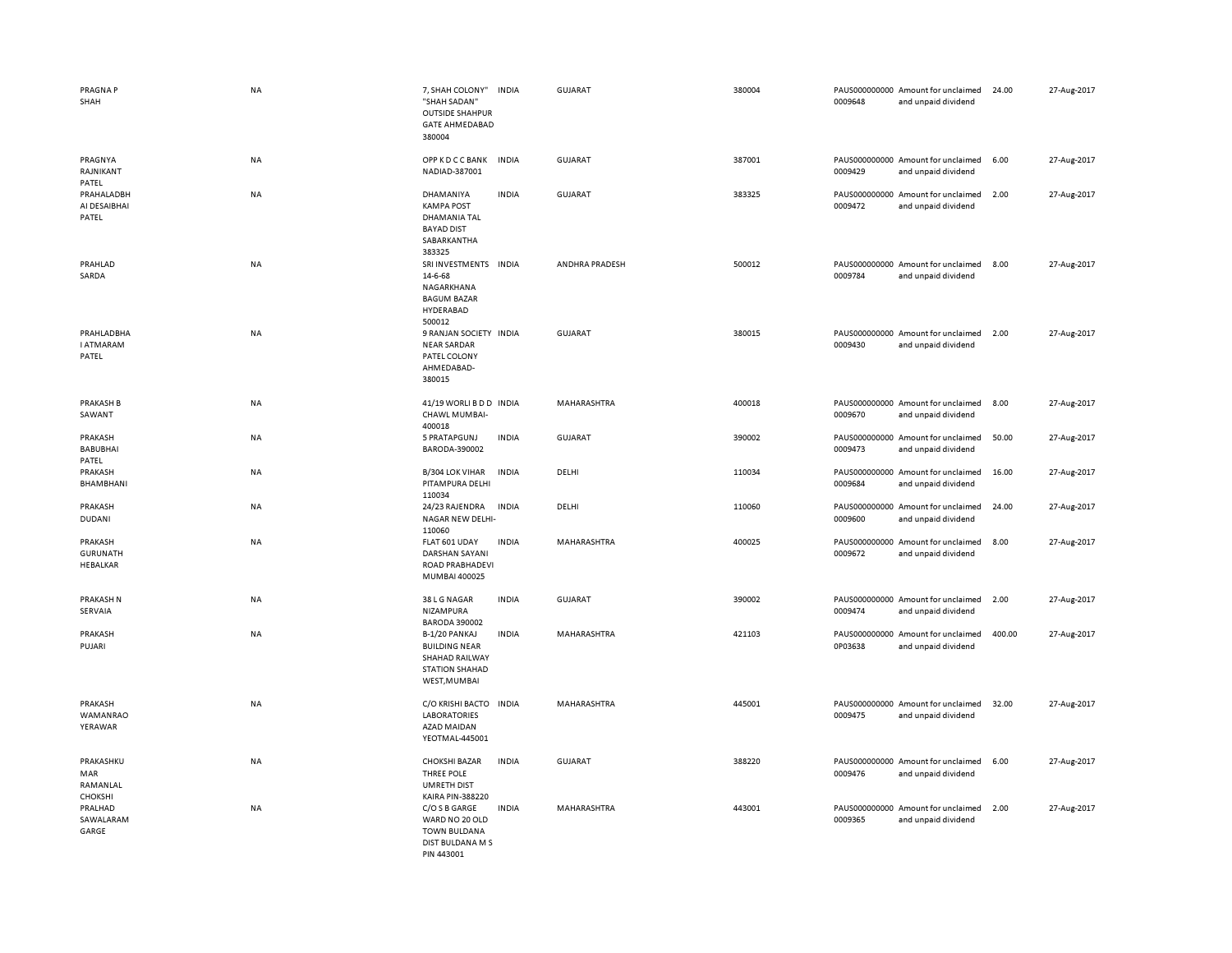| PRAGNA P<br>SHAH                              | NA        | 7, SHAH COLONY"<br>"SHAH SADAN"<br><b>OUTSIDE SHAHPUR</b><br><b>GATE AHMEDABAD</b><br>380004     | <b>INDIA</b> | <b>GUJARAT</b>     | 380004 | 0009648 | PAUS000000000 Amount for unclaimed<br>and unpaid dividend | 24.00  | 27-Aug-2017 |
|-----------------------------------------------|-----------|--------------------------------------------------------------------------------------------------|--------------|--------------------|--------|---------|-----------------------------------------------------------|--------|-------------|
| PRAGNYA<br>RAJNIKANT<br>PATEL                 | NA        | OPPKDCCBANK<br>NADIAD-387001                                                                     | <b>INDIA</b> | <b>GUJARAT</b>     | 387001 | 0009429 | PAUS000000000 Amount for unclaimed<br>and unpaid dividend | 6.00   | 27-Aug-2017 |
| PRAHALADBH<br>AI DESAIBHAI<br>PATEL           | <b>NA</b> | DHAMANIYA<br><b>KAMPA POST</b><br>DHAMANIA TAL<br><b>BAYAD DIST</b><br>SABARKANTHA<br>383325     | <b>INDIA</b> | <b>GUJARAT</b>     | 383325 | 0009472 | PAUS000000000 Amount for unclaimed<br>and unpaid dividend | 2.00   | 27-Aug-2017 |
| PRAHLAD<br>SARDA                              | <b>NA</b> | SRI INVESTMENTS INDIA<br>14-6-68<br>NAGARKHANA<br><b>BAGUM BAZAR</b><br>HYDERABAD<br>500012      |              | ANDHRA PRADESH     | 500012 | 0009784 | PAUS000000000 Amount for unclaimed<br>and unpaid dividend | 8.00   | 27-Aug-2017 |
| PRAHLADBHA<br><b>I ATMARAM</b><br>PATEL       | <b>NA</b> | 9 RANJAN SOCIETY INDIA<br><b>NEAR SARDAR</b><br>PATEL COLONY<br>AHMEDABAD-<br>380015             |              | <b>GUJARAT</b>     | 380015 | 0009430 | PAUS000000000 Amount for unclaimed<br>and unpaid dividend | 2.00   | 27-Aug-2017 |
| <b>PRAKASH B</b><br>SAWANT                    | NA        | 41/19 WORLI B D D INDIA<br>CHAWL MUMBAI-<br>400018                                               |              | MAHARASHTRA        | 400018 | 0009670 | PAUS000000000 Amount for unclaimed<br>and unpaid dividend | 8.00   | 27-Aug-2017 |
| PRAKASH<br><b>BABUBHAI</b><br>PATEL           | NA        | 5 PRATAPGUNJ<br>BARODA-390002                                                                    | <b>INDIA</b> | GUJARAT            | 390002 | 0009473 | PAUS000000000 Amount for unclaimed<br>and unpaid dividend | 50.00  | 27-Aug-2017 |
| PRAKASH<br>BHAMBHANI                          | NA        | B/304 LOK VIHAR<br>PITAMPURA DELHI<br>110034                                                     | <b>INDIA</b> | DELHI              | 110034 | 0009684 | PAUS000000000 Amount for unclaimed<br>and unpaid dividend | 16.00  | 27-Aug-2017 |
| PRAKASH<br><b>DUDANI</b>                      | <b>NA</b> | 24/23 RAJENDRA<br>NAGAR NEW DELHI-<br>110060                                                     | <b>INDIA</b> | DELHI              | 110060 | 0009600 | PAUS000000000 Amount for unclaimed<br>and unpaid dividend | 24.00  | 27-Aug-2017 |
| PRAKASH<br><b>GURUNATH</b><br><b>HEBALKAR</b> | NA        | FLAT 601 UDAY<br><b>DARSHAN SAYANI</b><br>ROAD PRABHADEVI<br>MUMBAI 400025                       | <b>INDIA</b> | MAHARASHTRA        | 400025 | 0009672 | PAUS000000000 Amount for unclaimed<br>and unpaid dividend | 8.00   | 27-Aug-2017 |
| PRAKASH N<br>SERVAIA                          | <b>NA</b> | 38 L G NAGAR<br>NIZAMPURA<br><b>BARODA 390002</b>                                                | <b>INDIA</b> | <b>GUJARAT</b>     | 390002 | 0009474 | PAUS000000000 Amount for unclaimed<br>and unpaid dividend | 2.00   | 27-Aug-2017 |
| PRAKASH<br>PUJARI                             | <b>NA</b> | B-1/20 PANKAJ<br><b>BUILDING NEAR</b><br>SHAHAD RAILWAY<br><b>STATION SHAHAD</b><br>WEST, MUMBAI | <b>INDIA</b> | <b>MAHARASHTRA</b> | 421103 | 0P03638 | PAUS000000000 Amount for unclaimed<br>and unpaid dividend | 400.00 | 27-Aug-2017 |
| PRAKASH<br>WAMANRAO<br>YERAWAR                | NA        | C/O KRISHI BACTO<br><b>LABORATORIES</b><br>AZAD MAIDAN<br>YEOTMAL-445001                         | <b>INDIA</b> | MAHARASHTRA        | 445001 | 0009475 | PAUS000000000 Amount for unclaimed<br>and unpaid dividend | 32.00  | 27-Aug-2017 |
| PRAKASHKU<br>MAR<br>RAMANLAL<br>CHOKSHI       | NA        | <b>CHOKSHI BAZAR</b><br>THREE POLE<br><b>UMRETH DIST</b><br><b>KAIRA PIN-388220</b>              | <b>INDIA</b> | <b>GUJARAT</b>     | 388220 | 0009476 | PAUS000000000 Amount for unclaimed<br>and unpaid dividend | 6.00   | 27-Aug-2017 |
| PRALHAD<br>SAWALARAM<br>GARGE                 | NA        | C/O S B GARGE<br>WARD NO 20 OLD<br><b>TOWN BULDANA</b><br>DIST BULDANA M S<br>PIN 443001         | <b>INDIA</b> | MAHARASHTRA        | 443001 | 0009365 | PAUS000000000 Amount for unclaimed<br>and unpaid dividend | 2.00   | 27-Aug-2017 |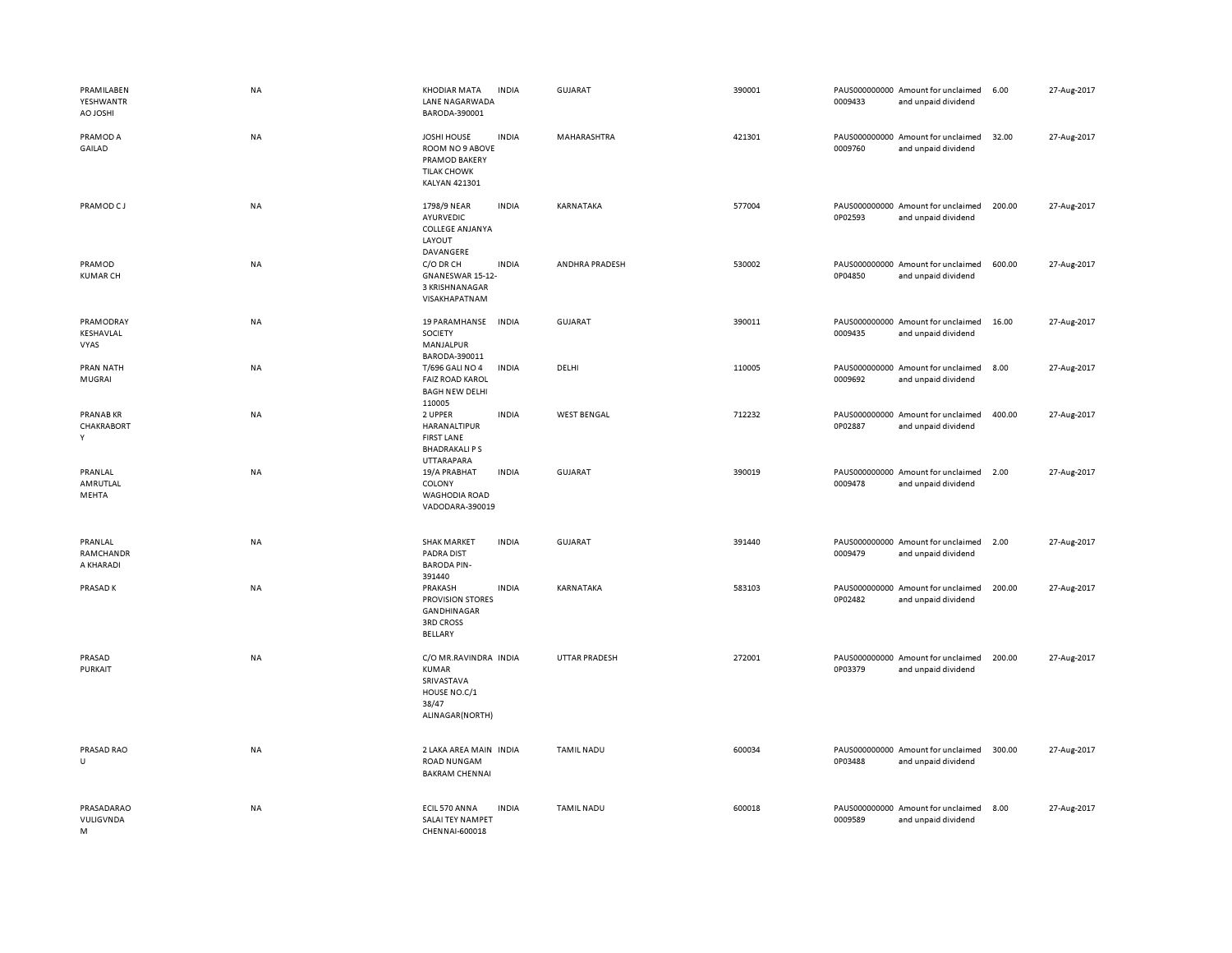| PRAMILABEN<br>YESHWANTR<br><b>H2OLOA</b> | NA        | <b>KHODIAR MATA</b><br>LANE NAGARWADA<br>BARODA-390001                                               | <b>INDIA</b> | GUJARAT            | 390001 | 0009433 | PAUS000000000 Amount for unclaimed<br>and unpaid dividend | 6.00   | 27-Aug-2017 |
|------------------------------------------|-----------|------------------------------------------------------------------------------------------------------|--------------|--------------------|--------|---------|-----------------------------------------------------------|--------|-------------|
| PRAMOD A<br>GAILAD                       | NA        | <b>JOSHI HOUSE</b><br>ROOM NO 9 ABOVE<br>PRAMOD BAKERY<br><b>TILAK CHOWK</b><br><b>KALYAN 421301</b> | <b>INDIA</b> | MAHARASHTRA        | 421301 | 0009760 | PAUS000000000 Amount for unclaimed<br>and unpaid dividend | 32.00  | 27-Aug-2017 |
| PRAMOD CJ                                | NA        | 1798/9 NEAR<br>AYURVEDIC<br><b>COLLEGE ANJANYA</b><br>LAYOUT<br>DAVANGERE                            | <b>INDIA</b> | KARNATAKA          | 577004 | 0P02593 | PAUS000000000 Amount for unclaimed<br>and unpaid dividend | 200.00 | 27-Aug-2017 |
| PRAMOD<br><b>KUMAR CH</b>                | NA        | C/O DR CH<br>GNANESWAR 15-12-<br>3 KRISHNANAGAR<br>VISAKHAPATNAM                                     | <b>INDIA</b> | ANDHRA PRADESH     | 530002 | 0P04850 | PAUS000000000 Amount for unclaimed<br>and unpaid dividend | 600.00 | 27-Aug-2017 |
| PRAMODRAY<br>KESHAVLAL<br>VYAS           | NA        | 19 PARAMHANSE<br>SOCIETY<br>MANJALPUR<br>BARODA-390011                                               | <b>INDIA</b> | <b>GUJARAT</b>     | 390011 | 0009435 | PAUS000000000 Amount for unclaimed<br>and unpaid dividend | 16.00  | 27-Aug-2017 |
| PRAN NATH<br>MUGRAI                      | NA        | T/696 GALI NO 4<br><b>FAIZ ROAD KAROL</b><br><b>BAGH NEW DELHI</b>                                   | <b>INDIA</b> | DELHI              | 110005 | 0009692 | PAUS000000000 Amount for unclaimed<br>and unpaid dividend | 8.00   | 27-Aug-2017 |
| <b>PRANABKR</b><br>CHAKRABORT<br>Y       | NA        | 110005<br>2 UPPER<br>HARANALTIPUR<br><b>FIRST LANE</b><br><b>BHADRAKALI PS</b>                       | <b>INDIA</b> | <b>WEST BENGAL</b> | 712232 | 0P02887 | PAUS000000000 Amount for unclaimed<br>and unpaid dividend | 400.00 | 27-Aug-2017 |
| PRANLAL<br>AMRUTLAL<br>MEHTA             | NA        | <b>UTTARAPARA</b><br>19/A PRABHAT<br>COLONY<br><b>WAGHODIA ROAD</b><br>VADODARA-390019               | <b>INDIA</b> | GUJARAT            | 390019 | 0009478 | PAUS000000000 Amount for unclaimed<br>and unpaid dividend | 2.00   | 27-Aug-2017 |
| PRANLAL<br>RAMCHANDR<br>A KHARADI        | NA        | <b>SHAK MARKET</b><br><b>PADRA DIST</b><br><b>BARODA PIN-</b><br>391440                              | <b>INDIA</b> | <b>GUJARAT</b>     | 391440 | 0009479 | PAUS000000000 Amount for unclaimed<br>and unpaid dividend | 2.00   | 27-Aug-2017 |
| PRASAD K                                 | <b>NA</b> | PRAKASH<br>PROVISION STORES<br>GANDHINAGAR<br><b>3RD CROSS</b><br>BELLARY                            | <b>INDIA</b> | KARNATAKA          | 583103 | 0P02482 | PAUS000000000 Amount for unclaimed<br>and unpaid dividend | 200.00 | 27-Aug-2017 |
| PRASAD<br>PURKAIT                        | NA        | C/O MR.RAVINDRA INDIA<br><b>KUMAR</b><br>SRIVASTAVA<br>HOUSE NO.C/1<br>38/47<br>ALINAGAR(NORTH)      |              | UTTAR PRADESH      | 272001 | 0P03379 | PAUS000000000 Amount for unclaimed<br>and unpaid dividend | 200.00 | 27-Aug-2017 |
| PRASAD RAO<br>U                          | NA        | 2 LAKA AREA MAIN INDIA<br><b>ROAD NUNGAM</b><br><b>BAKRAM CHENNAI</b>                                |              | <b>TAMIL NADU</b>  | 600034 | 0P03488 | PAUS000000000 Amount for unclaimed<br>and unpaid dividend | 300.00 | 27-Aug-2017 |
| PRASADARAO<br>VULIGVNDA<br>M             | NA        | ECIL 570 ANNA<br>SALAI TEY NAMPET<br>CHENNAI-600018                                                  | <b>INDIA</b> | <b>TAMIL NADU</b>  | 600018 | 0009589 | PAUS000000000 Amount for unclaimed<br>and unpaid dividend | 8.00   | 27-Aug-2017 |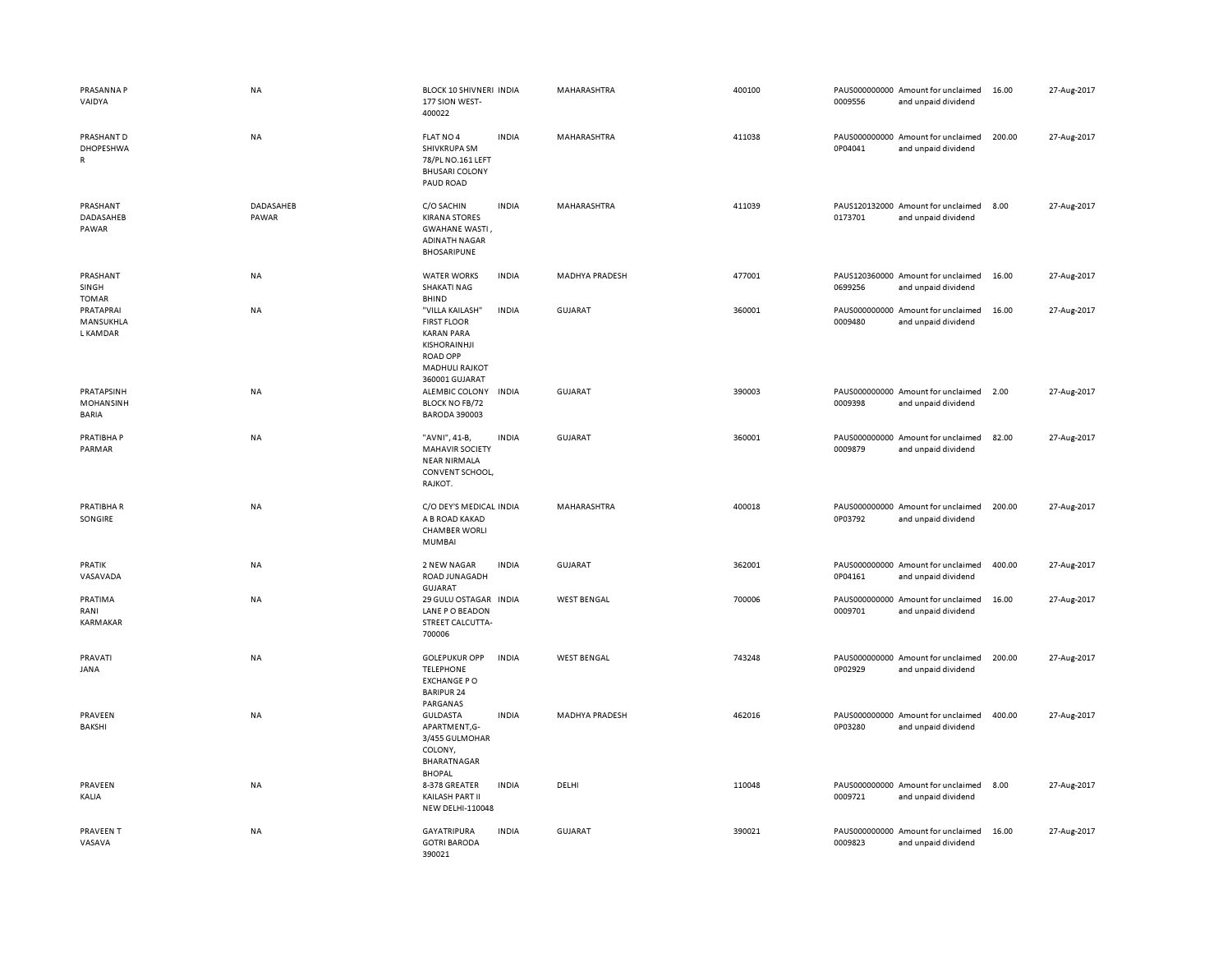| PRASANNA P<br>VAIDYA                           | NA                 | BLOCK 10 SHIVNERI INDIA<br>177 SION WEST-<br>400022                                                                                      |              | MAHARASHTRA        | 400100 | 0009556 | PAUS000000000 Amount for unclaimed<br>and unpaid dividend | 16.00  | 27-Aug-2017 |
|------------------------------------------------|--------------------|------------------------------------------------------------------------------------------------------------------------------------------|--------------|--------------------|--------|---------|-----------------------------------------------------------|--------|-------------|
| PRASHANT D<br><b>DHOPESHWA</b><br>$\mathsf{R}$ | NA                 | FLAT NO 4<br>SHIVKRUPA SM<br>78/PL NO.161 LEFT<br><b>BHUSARI COLONY</b><br>PAUD ROAD                                                     | <b>INDIA</b> | MAHARASHTRA        | 411038 | 0P04041 | PAUS000000000 Amount for unclaimed<br>and unpaid dividend | 200.00 | 27-Aug-2017 |
| PRASHANT<br>DADASAHEB<br>PAWAR                 | DADASAHEB<br>PAWAR | C/O SACHIN<br><b>KIRANA STORES</b><br>GWAHANE WASTI,<br><b>ADINATH NAGAR</b><br><b>BHOSARIPUNE</b>                                       | <b>INDIA</b> | MAHARASHTRA        | 411039 | 0173701 | PAUS120132000 Amount for unclaimed<br>and unpaid dividend | 8.00   | 27-Aug-2017 |
| PRASHANT<br>SINGH<br><b>TOMAR</b>              | NA                 | <b>WATER WORKS</b><br><b>SHAKATI NAG</b><br>BHIND                                                                                        | <b>INDIA</b> | MADHYA PRADESH     | 477001 | 0699256 | PAUS120360000 Amount for unclaimed<br>and unpaid dividend | 16.00  | 27-Aug-2017 |
| PRATAPRAI<br>MANSUKHLA<br><b>L KAMDAR</b>      | NA                 | "VILLA KAILASH"<br><b>FIRST FLOOR</b><br><b>KARAN PARA</b><br>KISHORAINHJI<br><b>ROAD OPP</b><br><b>MADHULI RAJKOT</b><br>360001 GUJARAT | <b>INDIA</b> | GUJARAT            | 360001 | 0009480 | PAUS000000000 Amount for unclaimed<br>and unpaid dividend | 16.00  | 27-Aug-2017 |
| PRATAPSINH<br>MOHANSINH<br>BARIA               | NA                 | ALEMBIC COLONY<br><b>BLOCK NO FB/72</b><br><b>BARODA 390003</b>                                                                          | <b>INDIA</b> | <b>GUJARAT</b>     | 390003 | 0009398 | PAUS000000000 Amount for unclaimed<br>and unpaid dividend | 2.00   | 27-Aug-2017 |
| PRATIBHA P<br>PARMAR                           | NA                 | "AVNI", 41-B,<br><b>MAHAVIR SOCIETY</b><br><b>NEAR NIRMALA</b><br>CONVENT SCHOOL<br>RAJKOT.                                              | <b>INDIA</b> | <b>GUJARAT</b>     | 360001 | 0009879 | PAUS000000000 Amount for unclaimed<br>and unpaid dividend | 82.00  | 27-Aug-2017 |
| PRATIBHA R<br>SONGIRE                          | NA                 | C/O DEY'S MEDICAL INDIA<br>A B ROAD KAKAD<br><b>CHAMBER WORLI</b><br><b>MUMBAI</b>                                                       |              | MAHARASHTRA        | 400018 | 0P03792 | PAUS000000000 Amount for unclaimed<br>and unpaid dividend | 200.00 | 27-Aug-2017 |
| PRATIK<br>VASAVADA                             | NA                 | 2 NEW NAGAR<br><b>ROAD JUNAGADH</b><br>GUJARAT                                                                                           | <b>INDIA</b> | <b>GUJARAT</b>     | 362001 | 0P04161 | PAUS000000000 Amount for unclaimed<br>and unpaid dividend | 400.00 | 27-Aug-2017 |
| PRATIMA<br>RANI<br>KARMAKAR                    | NA                 | 29 GULU OSTAGAR<br>LANE P O BEADON<br>STREET CALCUTTA-<br>700006                                                                         | <b>INDIA</b> | <b>WEST BENGAL</b> | 700006 | 0009701 | PAUS000000000 Amount for unclaimed<br>and unpaid dividend | 16.00  | 27-Aug-2017 |
| PRAVATI<br>JANA                                | NA                 | <b>GOLEPUKUR OPP</b><br><b>TELEPHONE</b><br><b>EXCHANGE PO</b><br><b>BARIPUR 24</b>                                                      | <b>INDIA</b> | <b>WEST BENGAL</b> | 743248 | 0P02929 | PAUS000000000 Amount for unclaimed<br>and unpaid dividend | 200.00 | 27-Aug-2017 |
| PRAVEEN<br>BAKSHI                              | NA                 | PARGANAS<br><b>GULDASTA</b><br>APARTMENT,G-<br>3/455 GULMOHAR<br>COLONY,<br>BHARATNAGAR<br><b>BHOPAL</b>                                 | <b>INDIA</b> | MADHYA PRADESH     | 462016 | 0P03280 | PAUS000000000 Amount for unclaimed<br>and unpaid dividend | 400.00 | 27-Aug-2017 |
| PRAVEEN<br>KALIA                               | NA                 | 8-378 GREATER<br>KAILASH PART II<br><b>NEW DELHI-110048</b>                                                                              | <b>INDIA</b> | DELHI              | 110048 | 0009721 | PAUS000000000 Amount for unclaimed<br>and unpaid dividend | 8.00   | 27-Aug-2017 |
| PRAVEEN T<br>VASAVA                            | NA                 | <b>GAYATRIPURA</b><br><b>GOTRI BARODA</b><br>390021                                                                                      | <b>INDIA</b> | <b>GUJARAT</b>     | 390021 | 0009823 | PAUS000000000 Amount for unclaimed<br>and unpaid dividend | 16.00  | 27-Aug-2017 |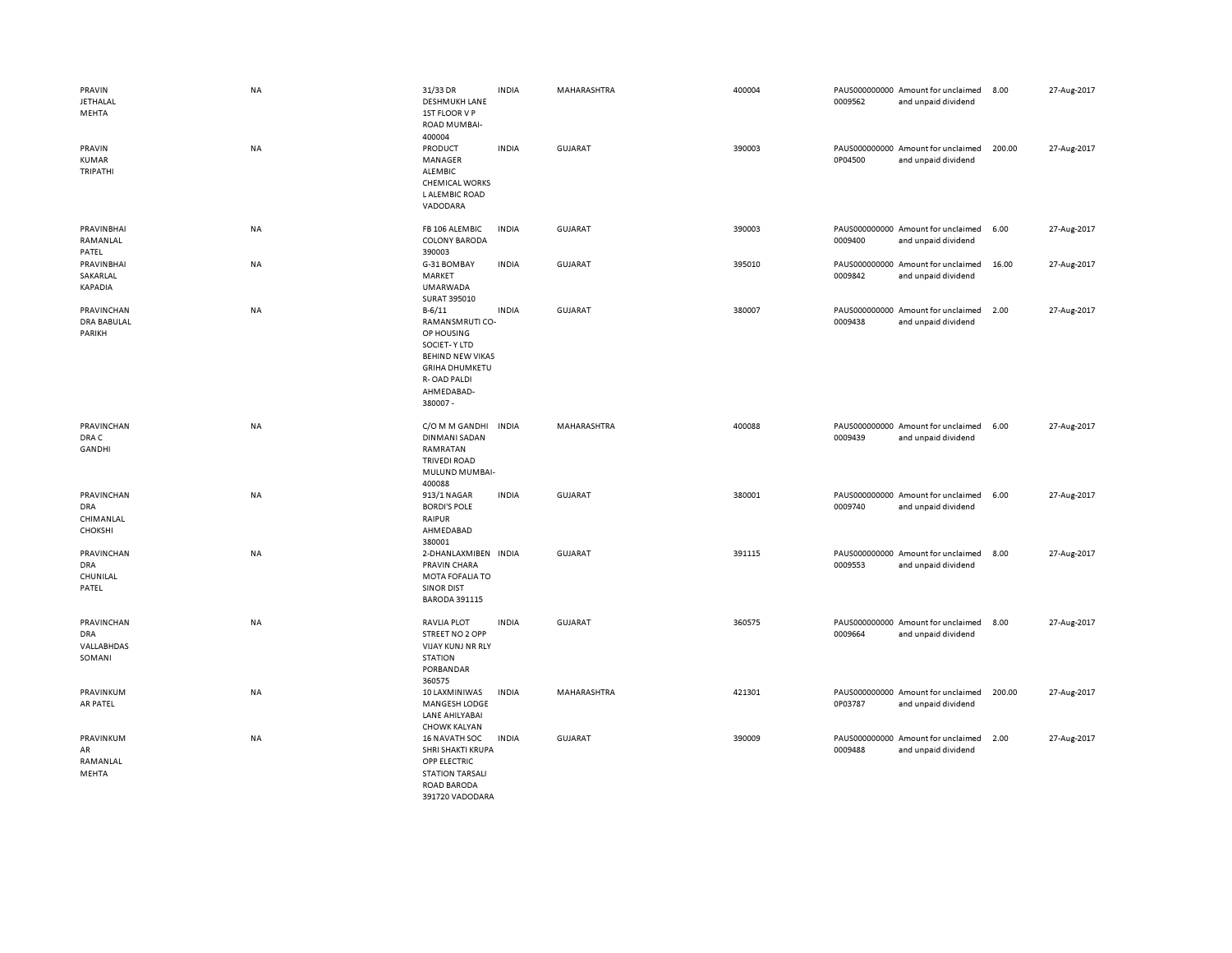| PRAVIN<br><b>JETHALAL</b><br>MEHTA               | <b>NA</b> | 31/33 DR<br><b>DESHMUKH LANE</b><br>1ST FLOOR V P<br>ROAD MUMBAI-<br>400004                                                                                           | <b>INDIA</b> | MAHARASHTRA    | 400004 | 0009562 | PAUS000000000 Amount for unclaimed<br>and unpaid dividend | 8.00   | 27-Aug-2017 |
|--------------------------------------------------|-----------|-----------------------------------------------------------------------------------------------------------------------------------------------------------------------|--------------|----------------|--------|---------|-----------------------------------------------------------|--------|-------------|
| PRAVIN<br>KUMAR<br>TRIPATHI                      | NA        | PRODUCT<br>MANAGER<br>ALEMBIC<br><b>CHEMICAL WORKS</b><br><b>LALEMBIC ROAD</b><br>VADODARA                                                                            | <b>INDIA</b> | <b>GUJARAT</b> | 390003 | 0P04500 | PAUS000000000 Amount for unclaimed<br>and unpaid dividend | 200.00 | 27-Aug-2017 |
| PRAVINBHAI<br>RAMANLAL<br>PATEL                  | NA        | FB 106 ALEMBIC<br><b>COLONY BARODA</b><br>390003                                                                                                                      | <b>INDIA</b> | GUJARAT        | 390003 | 0009400 | PAUS000000000 Amount for unclaimed<br>and unpaid dividend | 6.00   | 27-Aug-2017 |
| PRAVINBHAI<br>SAKARLAL<br>KAPADIA                | NA        | G-31 BOMBAY<br>MARKET<br>UMARWADA<br>SURAT 395010                                                                                                                     | <b>INDIA</b> | <b>GUJARAT</b> | 395010 | 0009842 | PAUS000000000 Amount for unclaimed<br>and unpaid dividend | 16.00  | 27-Aug-2017 |
| PRAVINCHAN<br>DRA BABULAL<br>PARIKH              | NA        | $B - 6/11$<br>RAMANSMRUTI CO-<br>OP HOUSING<br><b>SOCIET-Y LTD</b><br><b>BEHIND NEW VIKAS</b><br><b>GRIHA DHUMKETU</b><br><b>R-OAD PALDI</b><br>AHMEDABAD-<br>380007- | <b>INDIA</b> | GUJARAT        | 380007 | 0009438 | PAUS000000000 Amount for unclaimed<br>and unpaid dividend | 2.00   | 27-Aug-2017 |
| PRAVINCHAN<br>DRA C<br><b>GANDHI</b>             | NA        | C/O M M GANDHI<br><b>DINMANI SADAN</b><br>RAMRATAN<br><b>TRIVEDI ROAD</b><br>MULUND MUMBAI-<br>400088                                                                 | <b>INDIA</b> | MAHARASHTRA    | 400088 | 0009439 | PAUS000000000 Amount for unclaimed<br>and unpaid dividend | 6.00   | 27-Aug-2017 |
| PRAVINCHAN<br>DRA<br>CHIMANLAL<br><b>CHOKSHI</b> | <b>NA</b> | 913/1 NAGAR<br><b>BORDI'S POLE</b><br>RAIPUR<br>AHMEDABAD<br>380001                                                                                                   | <b>INDIA</b> | <b>GUJARAT</b> | 380001 | 0009740 | PAUS000000000 Amount for unclaimed<br>and unpaid dividend | 6.00   | 27-Aug-2017 |
| PRAVINCHAN<br><b>DRA</b><br>CHUNILAL<br>PATEL    | <b>NA</b> | 2-DHANLAXMIBEN INDIA<br>PRAVIN CHARA<br>MOTA FOFALIA TO<br><b>SINOR DIST</b><br><b>BARODA 391115</b>                                                                  |              | GUJARAT        | 391115 | 0009553 | PAUS000000000 Amount for unclaimed<br>and unpaid dividend | 8.00   | 27-Aug-2017 |
| PRAVINCHAN<br>DRA<br>VALLABHDAS<br>SOMANI        | NA        | <b>RAVLIA PLOT</b><br>STREET NO 2 OPP<br><b>VIJAY KUNJ NR RLY</b><br><b>STATION</b><br>PORBANDAR<br>360575                                                            | <b>INDIA</b> | <b>GUJARAT</b> | 360575 | 0009664 | PAUS000000000 Amount for unclaimed<br>and unpaid dividend | 8.00   | 27-Aug-2017 |
| PRAVINKUM<br>AR PATEL                            | NA        | 10 LAXMINIWAS<br>MANGESH LODGE<br>LANE AHILYABAI<br><b>CHOWK KALYAN</b>                                                                                               | <b>INDIA</b> | MAHARASHTRA    | 421301 | 0P03787 | PAUS000000000 Amount for unclaimed<br>and unpaid dividend | 200.00 | 27-Aug-2017 |
| PRAVINKUM<br>AR<br>RAMANLAL<br>MEHTA             | NA        | <b>16 NAVATH SOC</b><br>SHRI SHAKTI KRUPA<br>OPP ELECTRIC<br><b>STATION TARSALI</b><br>ROAD BARODA<br>391720 VADODARA                                                 | <b>INDIA</b> | GUJARAT        | 390009 | 0009488 | PAUS000000000 Amount for unclaimed<br>and unpaid dividend | 2.00   | 27-Aug-2017 |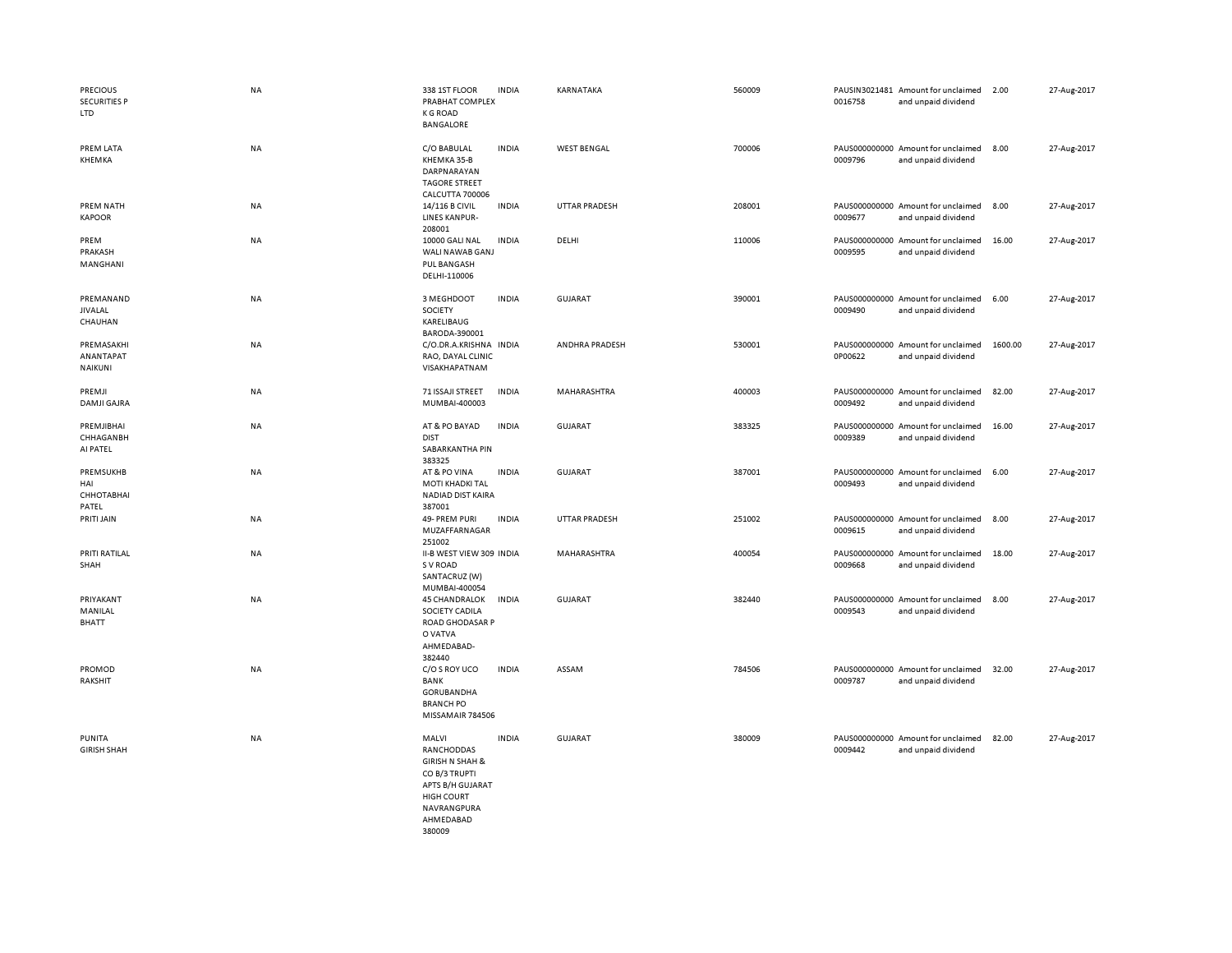| <b>PRECIOUS</b><br><b>SECURITIES P</b><br>LTD | <b>NA</b> | 338 1ST FLOOR<br>PRABHAT COMPLEX<br><b>K G ROAD</b><br>BANGALORE                                                                                  | <b>INDIA</b> | KARNATAKA            | 560009 | 0016758                  | PAUSIN3021481 Amount for unclaimed<br>and unpaid dividend | 2.00    | 27-Aug-2017 |
|-----------------------------------------------|-----------|---------------------------------------------------------------------------------------------------------------------------------------------------|--------------|----------------------|--------|--------------------------|-----------------------------------------------------------|---------|-------------|
| PREM LATA<br>KHEMKA                           | NA        | C/O BABULAL<br>KHEMKA 35-B<br>DARPNARAYAN<br><b>TAGORE STREET</b><br><b>CALCUTTA 700006</b>                                                       | <b>INDIA</b> | <b>WEST BENGAL</b>   | 700006 | 0009796                  | PAUS000000000 Amount for unclaimed<br>and unpaid dividend | 8.00    | 27-Aug-2017 |
| PREM NATH<br><b>KAPOOR</b>                    | NA        | 14/116 B CIVIL<br><b>LINES KANPUR-</b><br>208001                                                                                                  | <b>INDIA</b> | <b>UTTAR PRADESH</b> | 208001 | 0009677                  | PAUS000000000 Amount for unclaimed<br>and unpaid dividend | 8.00    | 27-Aug-2017 |
| PREM<br>PRAKASH<br>MANGHANI                   | <b>NA</b> | 10000 GALI NAL<br>WALI NAWAB GANJ<br><b>PUL BANGASH</b><br>DELHI-110006                                                                           | <b>INDIA</b> | DELHI                | 110006 | PAUS000000000<br>0009595 | Amount for unclaimed<br>and unpaid dividend               | 16.00   | 27-Aug-2017 |
| PREMANAND<br><b>JIVALAL</b><br>CHAUHAN        | <b>NA</b> | 3 MEGHDOOT<br>SOCIETY<br>KARELIBAUG<br>BARODA-390001                                                                                              | <b>INDIA</b> | <b>GUJARAT</b>       | 390001 | 0009490                  | PAUS000000000 Amount for unclaimed<br>and unpaid dividend | 6.00    | 27-Aug-2017 |
| PREMASAKHI<br>ANANTAPAT<br><b>NAIKUNI</b>     | NA        | C/O.DR.A.KRISHNA INDIA<br>RAO, DAYAL CLINIC<br>VISAKHAPATNAM                                                                                      |              | ANDHRA PRADESH       | 530001 | 0P00622                  | PAUS000000000 Amount for unclaimed<br>and unpaid dividend | 1600.00 | 27-Aug-2017 |
| PREMJI<br>DAMJI GAJRA                         | NA        | 71 ISSAJI STREET<br>MUMBAI-400003                                                                                                                 | <b>INDIA</b> | MAHARASHTRA          | 400003 | 0009492                  | PAUS000000000 Amount for unclaimed<br>and unpaid dividend | 82.00   | 27-Aug-2017 |
| PREMJIBHAI<br>CHHAGANBH<br>AI PATEL           | <b>NA</b> | AT & PO BAYAD<br><b>DIST</b><br>SABARKANTHA PIN<br>383325                                                                                         | <b>INDIA</b> | <b>GUJARAT</b>       | 383325 | 0009389                  | PAUS000000000 Amount for unclaimed<br>and unpaid dividend | 16.00   | 27-Aug-2017 |
| PREMSUKHB<br>HAI<br>СННОТАВНАІ<br>PATEL       | NA        | AT & PO VINA<br><b>MOTI KHADKI TAL</b><br>NADIAD DIST KAIRA<br>387001                                                                             | <b>INDIA</b> | GUJARAT              | 387001 | 0009493                  | PAUS000000000 Amount for unclaimed<br>and unpaid dividend | 6.00    | 27-Aug-2017 |
| PRITI JAIN                                    | NA        | 49- PREM PURI<br>MUZAFFARNAGAR<br>251002                                                                                                          | <b>INDIA</b> | <b>UTTAR PRADESH</b> | 251002 | 0009615                  | PAUS000000000 Amount for unclaimed<br>and unpaid dividend | 8.00    | 27-Aug-2017 |
| PRITI RATILAL<br>SHAH                         | <b>NA</b> | II-B WEST VIEW 309 INDIA<br>S V ROAD<br>SANTACRUZ (W)<br>MUMBAI-400054                                                                            |              | MAHARASHTRA          | 400054 | 0009668                  | PAUS000000000 Amount for unclaimed<br>and unpaid dividend | 18.00   | 27-Aug-2017 |
| PRIYAKANT<br>MANILAL<br><b>BHATT</b>          | <b>NA</b> | <b>45 CHANDRALOK</b><br>SOCIETY CADILA<br><b>ROAD GHODASAR P</b><br>O VATVA<br>AHMEDABAD-<br>382440                                               | <b>INDIA</b> | <b>GUJARAT</b>       | 382440 | 0009543                  | PAUS000000000 Amount for unclaimed<br>and unpaid dividend | 8.00    | 27-Aug-2017 |
| PROMOD<br>RAKSHIT                             | <b>NA</b> | C/O S ROY UCO<br><b>BANK</b><br>GORUBANDHA<br><b>BRANCH PO</b><br>MISSAMAIR 784506                                                                | <b>INDIA</b> | ASSAM                | 784506 | 0009787                  | PAUS000000000 Amount for unclaimed<br>and unpaid dividend | 32.00   | 27-Aug-2017 |
| PUNITA<br><b>GIRISH SHAH</b>                  | <b>NA</b> | MALVI<br>RANCHODDAS<br><b>GIRISH N SHAH &amp;</b><br>CO B/3 TRUPTI<br>APTS B/H GUJARAT<br><b>HIGH COURT</b><br>NAVRANGPURA<br>AHMEDABAD<br>380009 | <b>INDIA</b> | <b>GUJARAT</b>       | 380009 | 0009442                  | PAUS000000000 Amount for unclaimed<br>and unpaid dividend | 82.00   | 27-Aug-2017 |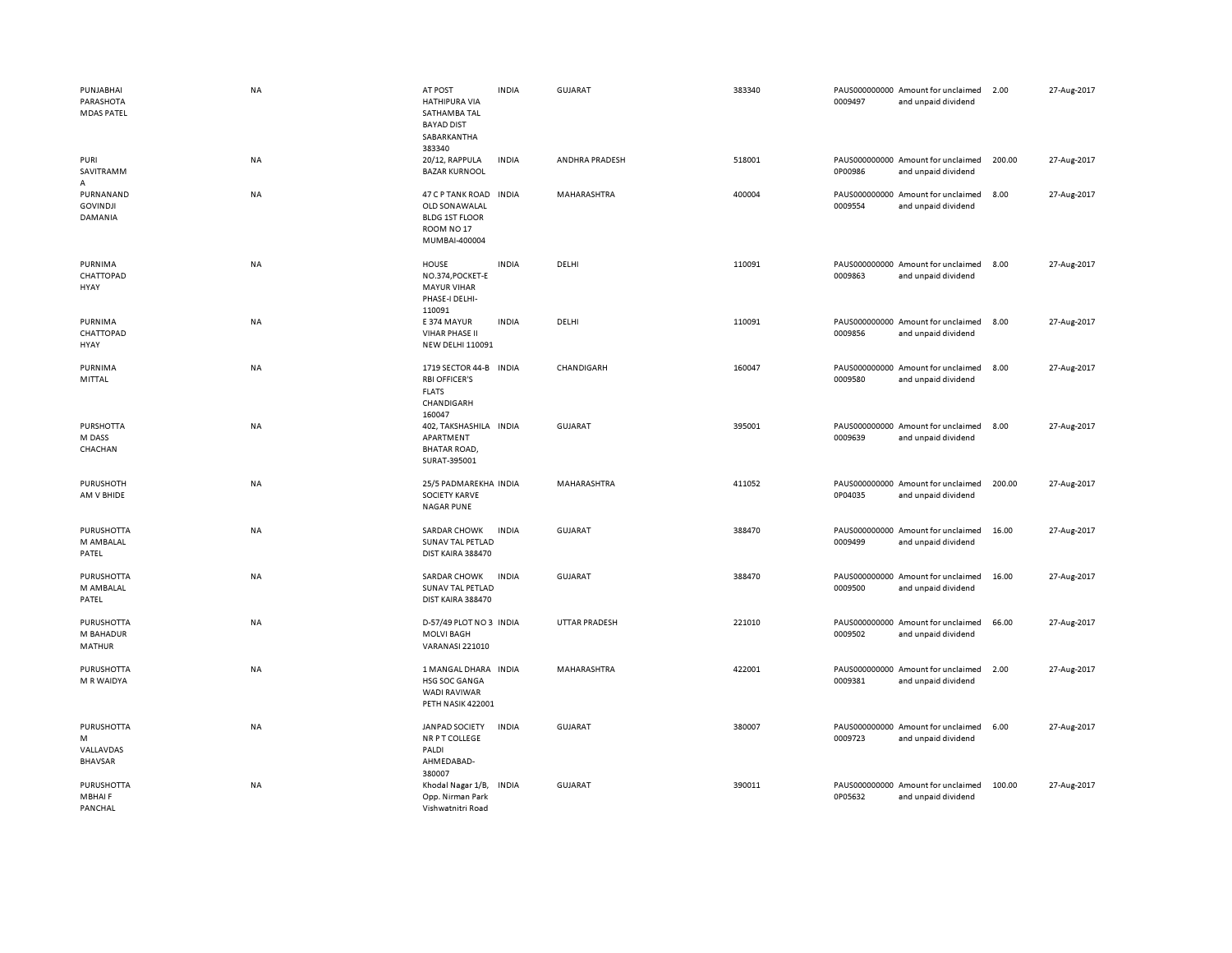| PUNJABHAI<br>PARASHOTA<br><b>MDAS PATEL</b>   | <b>NA</b> | AT POST<br><b>HATHIPURA VIA</b><br>SATHAMBA TAL<br><b>BAYAD DIST</b><br>SABARKANTHA<br>383340                | <b>INDIA</b> | GUJARAT              | 383340 | 0009497 | PAUS000000000 Amount for unclaimed<br>and unpaid dividend | 2.00   | 27-Aug-2017 |
|-----------------------------------------------|-----------|--------------------------------------------------------------------------------------------------------------|--------------|----------------------|--------|---------|-----------------------------------------------------------|--------|-------------|
| PURI<br>SAVITRAMM<br>A                        | NA        | 20/12, RAPPULA<br><b>BAZAR KURNOOL</b>                                                                       | <b>INDIA</b> | ANDHRA PRADESH       | 518001 | 0P00986 | PAUS000000000 Amount for unclaimed<br>and unpaid dividend | 200.00 | 27-Aug-2017 |
| PURNANAND<br><b>GOVINDJI</b><br>DAMANIA       | NA        | <b>47 C P TANK ROAD</b><br>OLD SON AWALAL<br><b>BLDG 1ST FLOOR</b><br>ROOM NO <sub>17</sub><br>MUMBAI-400004 | <b>INDIA</b> | <b>MAHARASHTRA</b>   | 400004 | 0009554 | PAUS000000000 Amount for unclaimed<br>and unpaid dividend | 8.00   | 27-Aug-2017 |
| PURNIMA<br>CHATTOPAD<br>HYAY                  | NA        | HOUSE<br>NO.374, POCKET-E<br><b>MAYUR VIHAR</b><br>PHASE-I DELHI-<br>110091                                  | <b>INDIA</b> | DELHI                | 110091 | 0009863 | PAUS000000000 Amount for unclaimed<br>and unpaid dividend | 8.00   | 27-Aug-2017 |
| PURNIMA<br>CHATTOPAD<br>HYAY                  | NA        | E 374 MAYUR<br><b>VIHAR PHASE II</b><br>NEW DELHI 110091                                                     | <b>INDIA</b> | DELHI                | 110091 | 0009856 | PAUS000000000 Amount for unclaimed<br>and unpaid dividend | 8.00   | 27-Aug-2017 |
| PURNIMA<br>MITTAL                             | <b>NA</b> | 1719 SECTOR 44-B INDIA<br><b>RBI OFFICER'S</b><br><b>FLATS</b><br>CHANDIGARH<br>160047                       |              | CHANDIGARH           | 160047 | 0009580 | PAUS000000000 Amount for unclaimed<br>and unpaid dividend | 8.00   | 27-Aug-2017 |
| <b>PURSHOTTA</b><br>M DASS<br>CHACHAN         | NA        | 402, TAKSHASHILA INDIA<br>APARTMENT<br><b>BHATAR ROAD,</b><br>SURAT-395001                                   |              | <b>GUJARAT</b>       | 395001 | 0009639 | PAUS000000000 Amount for unclaimed<br>and unpaid dividend | 8.00   | 27-Aug-2017 |
| PURUSHOTH<br>AM V BHIDE                       | <b>NA</b> | 25/5 PADMAREKHA INDIA<br><b>SOCIETY KARVE</b><br><b>NAGAR PUNE</b>                                           |              | MAHARASHTRA          | 411052 | 0P04035 | PAUS000000000 Amount for unclaimed<br>and unpaid dividend | 200.00 | 27-Aug-2017 |
| PURUSHOTTA<br>M AMBALAL<br>PATEL              | NA        | <b>SARDAR CHOWK</b><br>SUNAV TAL PETLAD<br>DIST KAIRA 388470                                                 | <b>INDIA</b> | <b>GUJARAT</b>       | 388470 | 0009499 | PAUS000000000 Amount for unclaimed<br>and unpaid dividend | 16.00  | 27-Aug-2017 |
| <b>PURUSHOTTA</b><br>M AMBALAL<br>PATEL       | NA        | <b>SARDAR CHOWK</b><br>SUNAV TAL PETLAD<br>DIST KAIRA 388470                                                 | <b>INDIA</b> | <b>GUJARAT</b>       | 388470 | 0009500 | PAUS000000000 Amount for unclaimed<br>and unpaid dividend | 16.00  | 27-Aug-2017 |
| PURUSHOTTA<br>M BAHADUR<br>MATHUR             | NA        | D-57/49 PLOT NO 3 INDIA<br><b>MOLVI BAGH</b><br>VARANASI 221010                                              |              | <b>UTTAR PRADESH</b> | 221010 | 0009502 | PAUS000000000 Amount for unclaimed<br>and unpaid dividend | 66.00  | 27-Aug-2017 |
| <b>PURUSHOTTA</b><br>M R WAIDYA               | <b>NA</b> | 1 MANGAL DHARA INDIA<br>HSG SOC GANGA<br><b>WADI RAVIWAR</b><br>PETH NASIK 422001                            |              | MAHARASHTRA          | 422001 | 0009381 | PAUS000000000 Amount for unclaimed<br>and unpaid dividend | 2.00   | 27-Aug-2017 |
| PURUSHOTTA<br>M<br>VALLAVDAS<br>BHAVSAR       | <b>NA</b> | JANPAD SOCIETY<br>NR P T COLLEGE<br>PALDI<br>AHMEDABAD-<br>380007                                            | <b>INDIA</b> | GUJARAT              | 380007 | 0009723 | PAUS000000000 Amount for unclaimed<br>and unpaid dividend | 6.00   | 27-Aug-2017 |
| <b>PURUSHOTTA</b><br><b>MBHAIF</b><br>PANCHAL | <b>NA</b> | Khodal Nagar 1/B,<br>Opp. Nirman Park<br>Vishwatnitri Road                                                   | <b>INDIA</b> | <b>GUJARAT</b>       | 390011 | 0P05632 | PAUS000000000 Amount for unclaimed<br>and unpaid dividend | 100.00 | 27-Aug-2017 |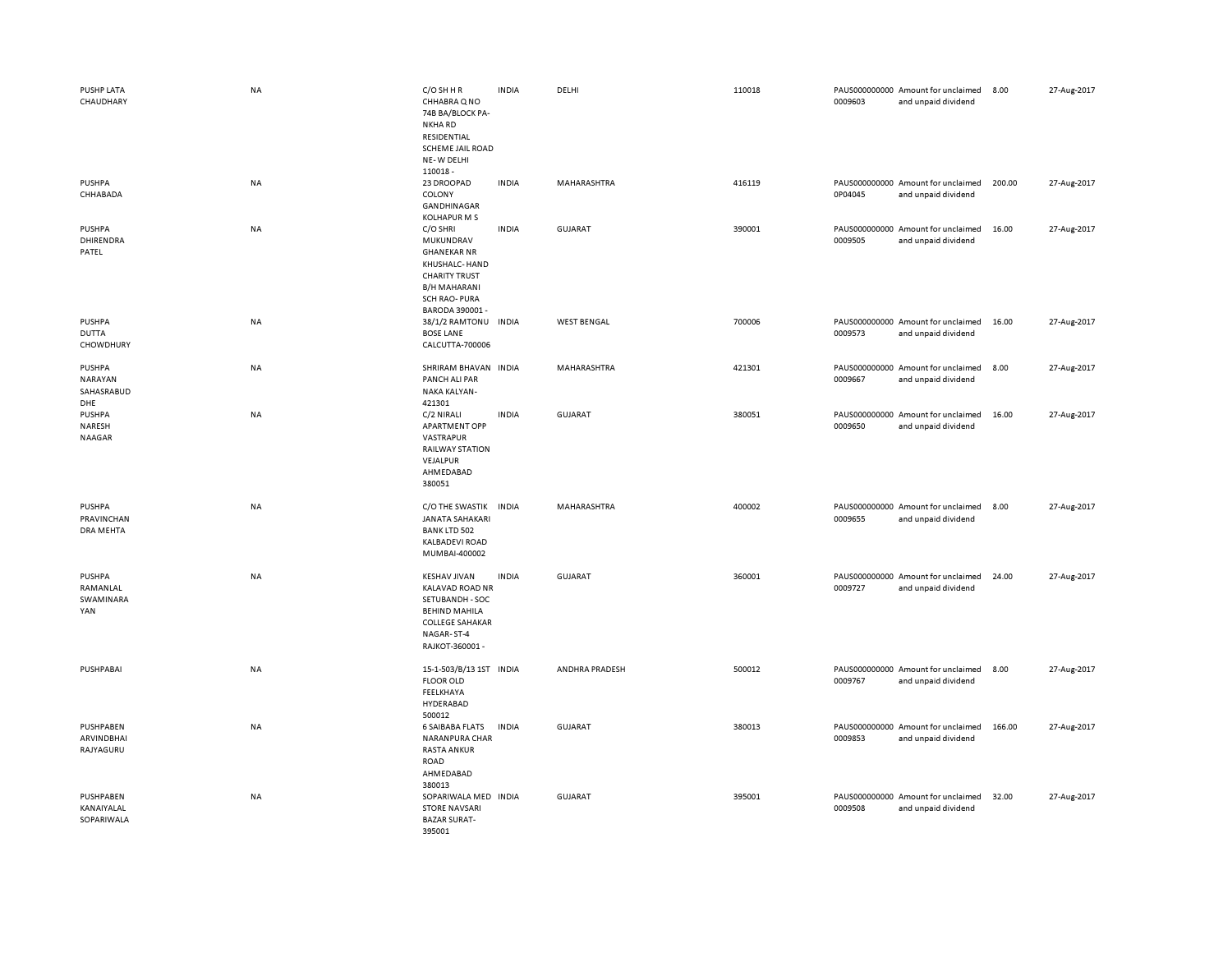| PUSHP LATA<br>CHAUDHARY                       | NA        | C/O SH H R<br>CHHABRA Q NO<br>74B BA/BLOCK PA-<br>NKHA RD<br>RESIDENTIAL<br><b>SCHEME JAIL ROAD</b><br>NE-W DELHI<br>110018-                           | <b>INDIA</b> | DELHI              | 110018 | 0009603 | PAUS000000000 Amount for unclaimed<br>and unpaid dividend | 8.00   | 27-Aug-2017 |
|-----------------------------------------------|-----------|--------------------------------------------------------------------------------------------------------------------------------------------------------|--------------|--------------------|--------|---------|-----------------------------------------------------------|--------|-------------|
| <b>PUSHPA</b><br>CHHABADA                     | NA        | 23 DROOPAD<br>COLONY<br>GANDHINAGAR<br><b>KOLHAPUR M S</b>                                                                                             | <b>INDIA</b> | MAHARASHTRA        | 416119 | 0P04045 | PAUS000000000 Amount for unclaimed<br>and unpaid dividend | 200.00 | 27-Aug-2017 |
| PUSHPA<br>DHIRENDRA<br>PATEL                  | NA        | C/O SHRI<br>MUKUNDRAV<br><b>GHANEKAR NR</b><br>KHUSHALC- HAND<br><b>CHARITY TRUST</b><br><b>B/H MAHARANI</b><br><b>SCH RAO-PURA</b><br>BARODA 390001 - | <b>INDIA</b> | GUJARAT            | 390001 | 0009505 | PAUS000000000 Amount for unclaimed<br>and unpaid dividend | 16.00  | 27-Aug-2017 |
| <b>PUSHPA</b><br><b>DUTTA</b><br>CHOWDHURY    | NA        | 38/1/2 RAMTONU INDIA<br><b>BOSE LANE</b><br>CALCUTTA-700006                                                                                            |              | <b>WEST BENGAL</b> | 700006 | 0009573 | PAUS000000000 Amount for unclaimed<br>and unpaid dividend | 16.00  | 27-Aug-2017 |
| PUSHPA<br><b>NARAYAN</b><br>SAHASRABUD<br>DHE | NA        | SHRIRAM BHAVAN INDIA<br>PANCH ALI PAR<br>NAKA KALYAN-<br>421301                                                                                        |              | MAHARASHTRA        | 421301 | 0009667 | PAUS000000000 Amount for unclaimed<br>and unpaid dividend | 8.00   | 27-Aug-2017 |
| <b>PUSHPA</b><br>NARESH<br><b>NAAGAR</b>      | NA        | C/2 NIRALI<br><b>APARTMENT OPP</b><br>VASTRAPUR<br><b>RAILWAY STATION</b><br>VEJALPUR<br>AHMEDABAD<br>380051                                           | <b>INDIA</b> | <b>GUJARAT</b>     | 380051 | 0009650 | PAUS000000000 Amount for unclaimed<br>and unpaid dividend | 16.00  | 27-Aug-2017 |
| PUSHPA<br>PRAVINCHAN<br>DRA MEHTA             | <b>NA</b> | C/O THE SWASTIK INDIA<br><b>JANATA SAHAKARI</b><br><b>BANK LTD 502</b><br><b>KALBADEVI ROAD</b><br>MUMBAI-400002                                       |              | MAHARASHTRA        | 400002 | 0009655 | PAUS000000000 Amount for unclaimed<br>and unpaid dividend | 8.00   | 27-Aug-2017 |
| <b>PUSHPA</b><br>RAMANLAL<br>SWAMINARA<br>YAN | NA        | <b>KESHAV JIVAN</b><br><b>KALAVAD ROAD NR</b><br>SETUBANDH - SOC<br><b>BEHIND MAHILA</b><br><b>COLLEGE SAHAKAR</b><br>NAGAR-ST-4<br>RAJKOT-360001 -    | <b>INDIA</b> | <b>GUJARAT</b>     | 360001 | 0009727 | PAUS000000000 Amount for unclaimed<br>and unpaid dividend | 24.00  | 27-Aug-2017 |
| PUSHPABAI                                     | NA        | 15-1-503/B/13 1ST INDIA<br><b>FLOOR OLD</b><br>FEELKHAYA<br>HYDERABAD<br>500012                                                                        |              | ANDHRA PRADESH     | 500012 | 0009767 | PAUS000000000 Amount for unclaimed<br>and unpaid dividend | 8.00   | 27-Aug-2017 |
| PUSHPABEN<br>ARVINDBHAI<br>RAJYAGURU          | <b>NA</b> | <b>6 SAIBABA FLATS</b><br>NARANPURA CHAR<br><b>RASTA ANKUR</b><br>ROAD<br>AHMEDABAD<br>380013                                                          | <b>INDIA</b> | GUJARAT            | 380013 | 0009853 | PAUS000000000 Amount for unclaimed<br>and unpaid dividend | 166.00 | 27-Aug-2017 |
| PUSHPABEN<br>KANAIYALAL<br>SOPARIWALA         | NA        | SOPARIWALA MED INDIA<br><b>STORE NAVSARI</b><br><b>BAZAR SURAT-</b><br>395001                                                                          |              | <b>GUJARAT</b>     | 395001 | 0009508 | PAUS000000000 Amount for unclaimed<br>and unpaid dividend | 32.00  | 27-Aug-2017 |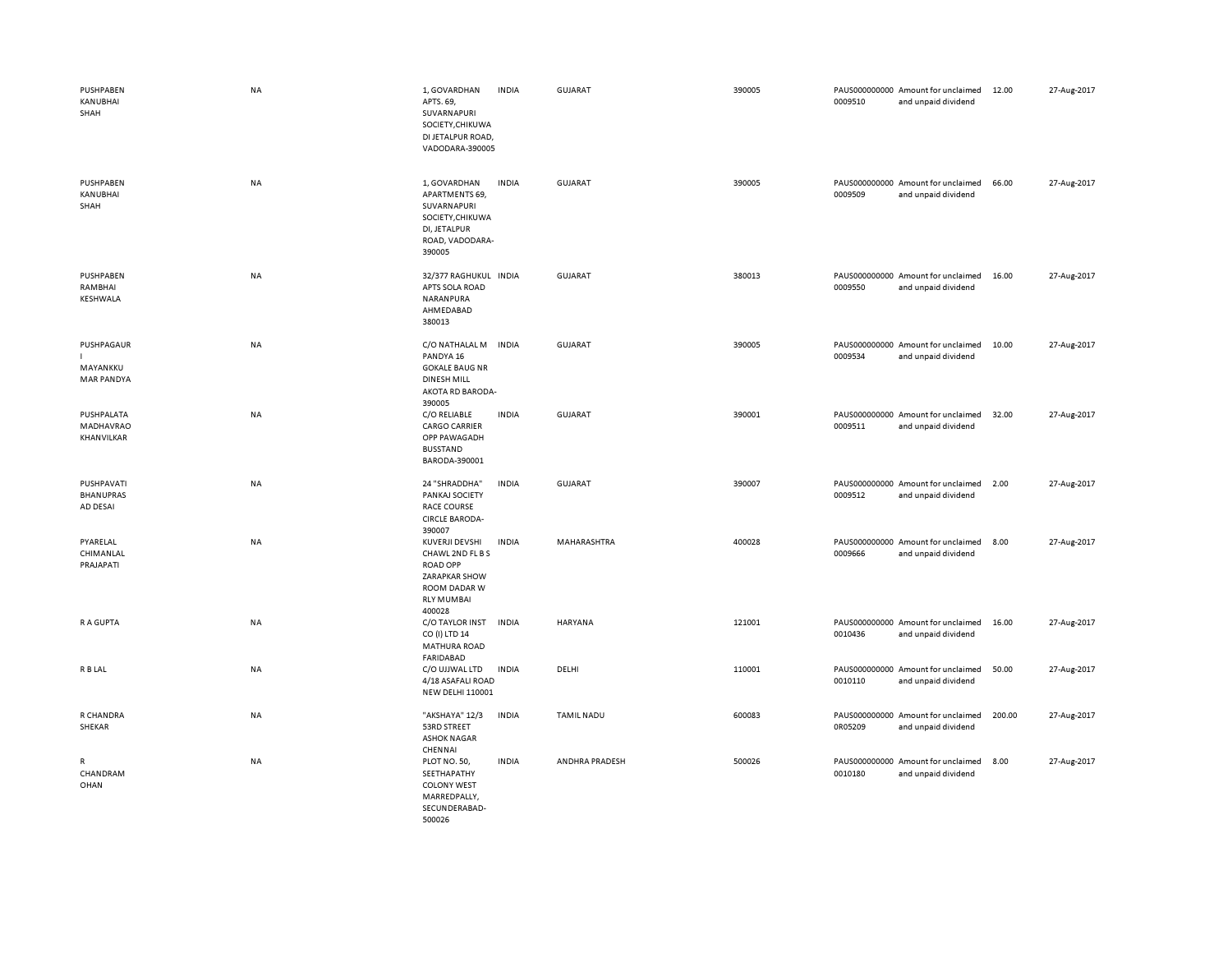| PUSHPABEN<br>KANUBHAI<br>SHAH               | NA        | 1, GOVARDHAN<br>APTS. 69,<br>SUVARNAPURI<br>SOCIETY, CHIKUWA<br>DI JETALPUR ROAD,<br>VADODARA-390005                  | <b>INDIA</b> | GUJARAT           | 390005 | PAUS000000000 Amount for unclaimed<br>0009510<br>and unpaid dividend | 12.00  | 27-Aug-2017 |
|---------------------------------------------|-----------|-----------------------------------------------------------------------------------------------------------------------|--------------|-------------------|--------|----------------------------------------------------------------------|--------|-------------|
| PUSHPABEN<br>KANUBHAI<br>SHAH               | NA        | 1, GOVARDHAN<br>APARTMENTS 69,<br>SUVARNAPURI<br>SOCIETY, CHIKUWA<br>DI, JETALPUR<br>ROAD, VADODARA-<br>390005        | <b>INDIA</b> | <b>GUJARAT</b>    | 390005 | PAUS000000000 Amount for unclaimed<br>0009509<br>and unpaid dividend | 66.00  | 27-Aug-2017 |
| PUSHPABEN<br>RAMBHAI<br>KESHWALA            | <b>NA</b> | 32/377 RAGHUKUL INDIA<br>APTS SOLA ROAD<br>NARANPURA<br>AHMEDABAD<br>380013                                           |              | GUJARAT           | 380013 | PAUS000000000 Amount for unclaimed<br>0009550<br>and unpaid dividend | 16.00  | 27-Aug-2017 |
| PUSHPAGAUR<br>MAYANKKU<br><b>MAR PANDYA</b> | <b>NA</b> | C/O NATHALAL M<br>PANDYA 16<br><b>GOKALE BAUG NR</b><br><b>DINESH MILL</b><br>AKOTA RD BARODA-<br>390005              | <b>INDIA</b> | <b>GUJARAT</b>    | 390005 | PAUS000000000 Amount for unclaimed<br>0009534<br>and unpaid dividend | 10.00  | 27-Aug-2017 |
| PUSHPALATA<br>MADHAVRAO<br>KHANVILKAR       | NA        | C/O RELIABLE<br><b>CARGO CARRIER</b><br>OPP PAWAGADH<br><b>BUSSTAND</b><br>BARODA-390001                              | <b>INDIA</b> | <b>GUJARAT</b>    | 390001 | PAUS000000000 Amount for unclaimed<br>0009511<br>and unpaid dividend | 32.00  | 27-Aug-2017 |
| PUSHPAVATI<br><b>BHANUPRAS</b><br>AD DESAI  | NA        | 24 "SHRADDHA"<br>PANKAJ SOCIETY<br><b>RACE COURSE</b><br><b>CIRCLE BARODA-</b><br>390007                              | <b>INDIA</b> | <b>GUJARAT</b>    | 390007 | PAUS000000000 Amount for unclaimed<br>0009512<br>and unpaid dividend | 2.00   | 27-Aug-2017 |
| PYARELAL<br>CHIMANLAL<br>PRAJAPATI          | NA        | KUVERJI DEVSHI<br>CHAWL 2ND FL B S<br><b>ROAD OPP</b><br>ZARAPKAR SHOW<br>ROOM DADAR W<br><b>RLY MUMBAI</b><br>400028 | <b>INDIA</b> | MAHARASHTRA       | 400028 | PAUS000000000 Amount for unclaimed<br>0009666<br>and unpaid dividend | 8.00   | 27-Aug-2017 |
| <b>RAGUPTA</b>                              | <b>NA</b> | C/O TAYLOR INST<br>CO (I) LTD 14<br><b>MATHURA ROAD</b><br><b>FARIDABAD</b>                                           | <b>INDIA</b> | <b>HARYANA</b>    | 121001 | PAUS000000000 Amount for unclaimed<br>0010436<br>and unpaid dividend | 16.00  | 27-Aug-2017 |
| R B LAL                                     | NA        | C/O UJJWAL LTD<br>4/18 ASAFALI ROAD<br><b>NEW DELHI 110001</b>                                                        | <b>INDIA</b> | DELHI             | 110001 | PAUS000000000 Amount for unclaimed<br>0010110<br>and unpaid dividend | 50.00  | 27-Aug-2017 |
| R CHANDRA<br>SHEKAR                         | <b>NA</b> | "AKSHAYA" 12/3<br>53RD STREET<br><b>ASHOK NAGAR</b><br>CHENNAI                                                        | <b>INDIA</b> | <b>TAMIL NADU</b> | 600083 | PAUS000000000 Amount for unclaimed<br>0R05209<br>and unpaid dividend | 200.00 | 27-Aug-2017 |
| $\mathsf{R}$<br>CHANDRAM<br>OHAN            | <b>NA</b> | PLOT NO. 50,<br>SEETHAPATHY<br><b>COLONY WEST</b><br>MARREDPALLY,<br>SECUNDERABAD-<br>500026                          | <b>INDIA</b> | ANDHRA PRADESH    | 500026 | PAUS000000000 Amount for unclaimed<br>0010180<br>and unpaid dividend | 8.00   | 27-Aug-2017 |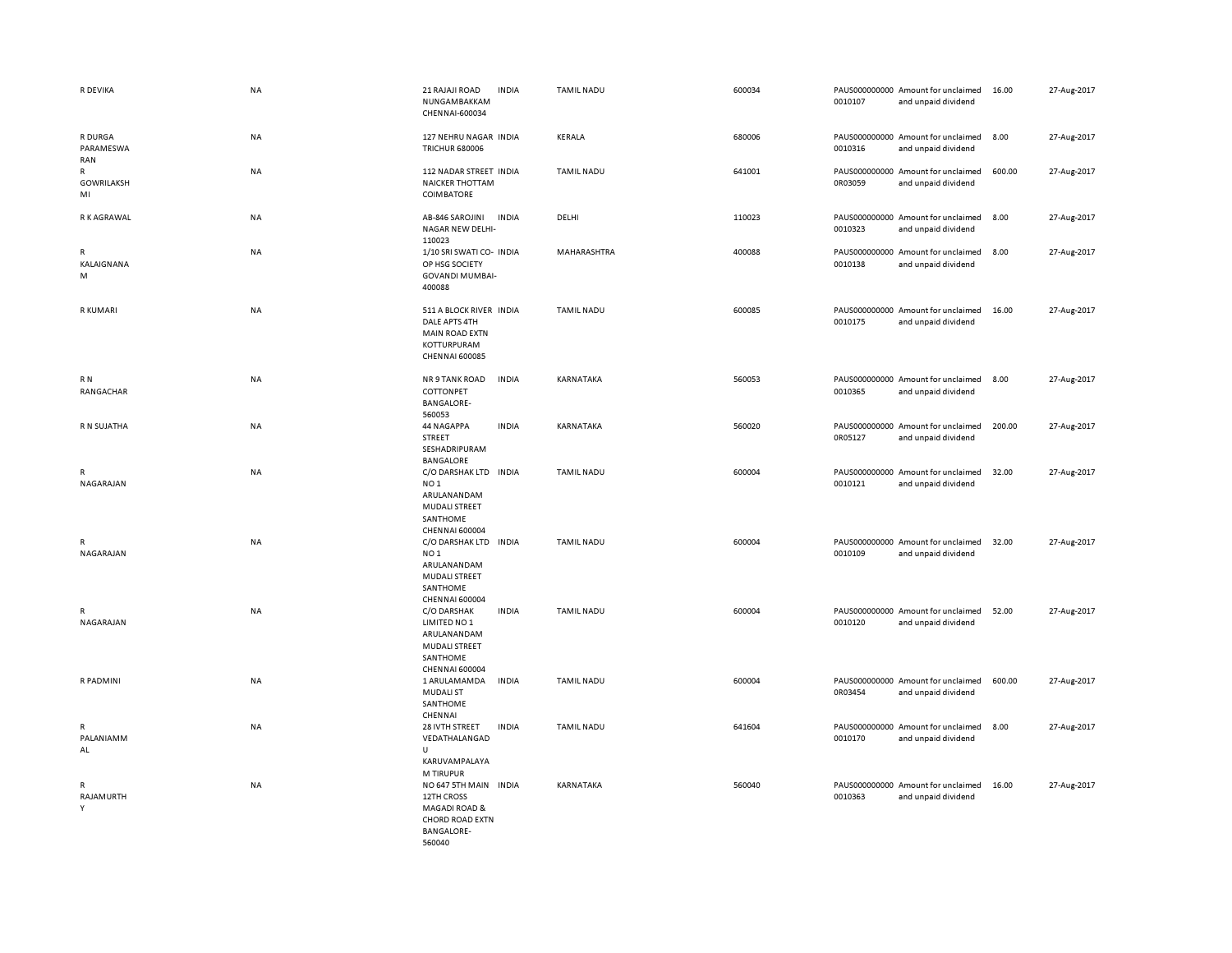| R DEVIKA                                | <b>NA</b> | 21 RAJAJI ROAD<br><b>INDIA</b><br>NUNGAMBAKKAM<br>CHENNAI-600034                                                                      | <b>TAMIL NADU</b> | 600034 | PAUS000000000 Amount for unclaimed<br>0010107<br>and unpaid dividend | 16.00<br>27-Aug-2017  |
|-----------------------------------------|-----------|---------------------------------------------------------------------------------------------------------------------------------------|-------------------|--------|----------------------------------------------------------------------|-----------------------|
| R DURGA<br>PARAMESWA<br>RAN             | NA        | 127 NEHRU NAGAR INDIA<br><b>TRICHUR 680006</b>                                                                                        | KERALA            | 680006 | PAUS000000000 Amount for unclaimed<br>0010316<br>and unpaid dividend | 8.00<br>27-Aug-2017   |
| $\mathsf{R}$<br><b>GOWRILAKSH</b><br>MI | NA        | 112 NADAR STREET INDIA<br><b>NAICKER THOTTAM</b><br>COIMBATORE                                                                        | <b>TAMIL NADU</b> | 641001 | PAUS000000000 Amount for unclaimed<br>0R03059<br>and unpaid dividend | 600.00<br>27-Aug-2017 |
| R K AGRAWAL                             | NA        | <b>INDIA</b><br>AB-846 SAROJINI<br>NAGAR NEW DELHI-<br>110023                                                                         | DELHI             | 110023 | PAUS000000000 Amount for unclaimed<br>0010323<br>and unpaid dividend | 8.00<br>27-Aug-2017   |
| $\mathsf{R}$<br>KALAIGNANA<br>M         | NA        | 1/10 SRI SWATI CO- INDIA<br>OP HSG SOCIETY<br><b>GOVANDI MUMBAI-</b><br>400088                                                        | MAHARASHTRA       | 400088 | PAUS000000000 Amount for unclaimed<br>0010138<br>and unpaid dividend | 8.00<br>27-Aug-2017   |
| R KUMARI                                | <b>NA</b> | 511 A BLOCK RIVER INDIA<br>DALE APTS 4TH<br><b>MAIN ROAD EXTN</b><br>KOTTURPURAM<br><b>CHENNAI 600085</b>                             | <b>TAMIL NADU</b> | 600085 | PAUS000000000 Amount for unclaimed<br>0010175<br>and unpaid dividend | 16.00<br>27-Aug-2017  |
| R N<br>RANGACHAR                        | NA        | NR 9 TANK ROAD<br><b>INDIA</b><br>COTTONPET<br><b>BANGALORE-</b><br>560053                                                            | KARNATAKA         | 560053 | PAUS000000000 Amount for unclaimed<br>0010365<br>and unpaid dividend | 27-Aug-2017<br>8.00   |
| R N SUJATHA                             | NA        | <b>INDIA</b><br>44 NAGAPPA<br>STREET<br>SESHADRIPURAM<br>BANGALORE                                                                    | KARNATAKA         | 560020 | PAUS000000000 Amount for unclaimed<br>0R05127<br>and unpaid dividend | 27-Aug-2017<br>200.00 |
| R<br>NAGARAJAN                          | <b>NA</b> | C/O DARSHAK LTD IN DIA<br>NO <sub>1</sub><br>ARULANANDAM<br>MUDALI STREET<br>SANTHOME<br><b>CHENNAI 600004</b>                        | <b>TAMIL NADU</b> | 600004 | PAUS000000000 Amount for unclaimed<br>0010121<br>and unpaid dividend | 32.00<br>27-Aug-2017  |
| R<br>NAGARAJAN                          | NA        | C/O DARSHAK LTD<br><b>INDIA</b><br>NO <sub>1</sub><br>ARULANANDAM<br><b>MUDALI STREET</b><br>SANTHOME<br>CHENNAI 600004               | <b>TAMIL NADU</b> | 600004 | PAUS000000000 Amount for unclaimed<br>0010109<br>and unpaid dividend | 27-Aug-2017<br>32.00  |
| R<br>NAGARAJAN                          | <b>NA</b> | C/O DARSHAK<br><b>INDIA</b><br>LIMITED NO 1<br>ARULANANDAM<br><b>MUDALI STREET</b><br>SANTHOME<br><b>CHENNAI 600004</b>               | <b>TAMIL NADU</b> | 600004 | PAUS000000000 Amount for unclaimed<br>0010120<br>and unpaid dividend | 27-Aug-2017<br>52.00  |
| R PADMINI                               | NA        | <b>INDIA</b><br>1 ARULAMAMDA<br><b>MUDALI ST</b><br>SANTHOME<br>CHENNAI                                                               | <b>TAMIL NADU</b> | 600004 | PAUS000000000 Amount for unclaimed<br>0R03454<br>and unpaid dividend | 600.00<br>27-Aug-2017 |
| R<br>PALANIAMM<br>AL                    | NA        | <b>INDIA</b><br>28 IVTH STREET<br>VEDATHALANGAD<br>$\cup$<br>KARUVAMPALAYA                                                            | <b>TAMIL NADU</b> | 641604 | PAUS000000000 Amount for unclaimed<br>0010170<br>and unpaid dividend | 8.00<br>27-Aug-2017   |
| $\mathsf{R}$<br>RAJAMURTH<br>Y          | NA        | M TIRUPUR<br>NO 647 5TH MAIN INDIA<br>12TH CROSS<br><b>MAGADI ROAD &amp;</b><br><b>CHORD ROAD EXTN</b><br><b>BANGALORE-</b><br>560040 | KARNATAKA         | 560040 | PAUS000000000 Amount for unclaimed<br>0010363<br>and unpaid dividend | 16.00<br>27-Aug-2017  |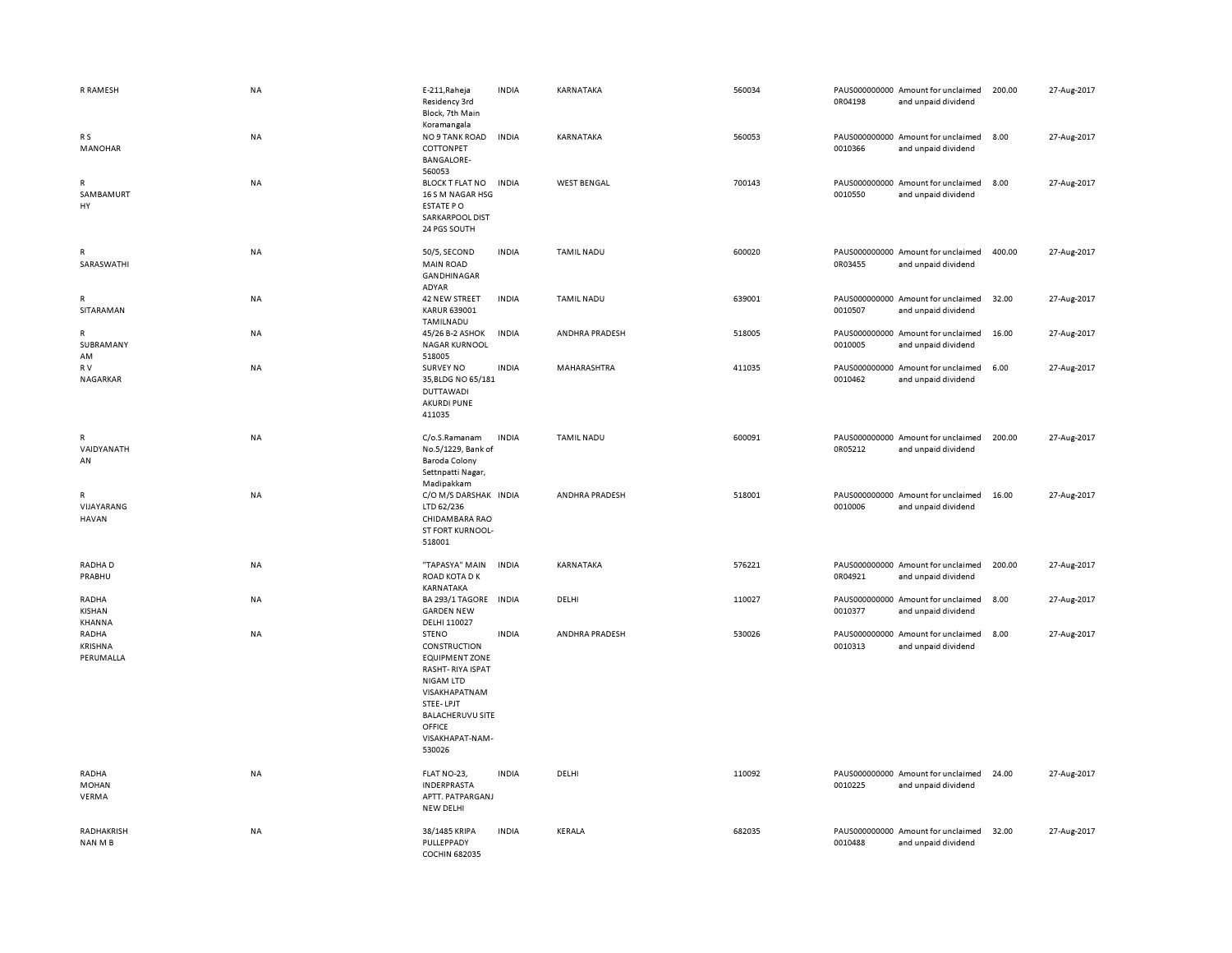| R RAMESH                                   | NA        | E-211, Raheja<br>Residency 3rd<br>Block, 7th Main<br>Koramangala                                                                                                                       | <b>INDIA</b> | KARNATAKA             | 560034 | 0R04198 | PAUS000000000 Amount for unclaimed<br>and unpaid dividend | 200.00 | 27-Aug-2017 |
|--------------------------------------------|-----------|----------------------------------------------------------------------------------------------------------------------------------------------------------------------------------------|--------------|-----------------------|--------|---------|-----------------------------------------------------------|--------|-------------|
| R <sub>S</sub><br>MANOHAR                  | NA        | NO 9 TANK ROAD<br>COTTONPET<br><b>BANGALORE-</b><br>560053                                                                                                                             | <b>INDIA</b> | KARNATAKA             | 560053 | 0010366 | PAUS000000000 Amount for unclaimed<br>and unpaid dividend | 8.00   | 27-Aug-2017 |
| R<br>SAMBAMURT<br>HY                       | NA        | <b>BLOCK T FLAT NO</b><br>16 S M NAGAR HSG<br>ESTATE PO<br>SARKARPOOL DIST<br>24 PGS SOUTH                                                                                             | <b>INDIA</b> | <b>WEST BENGAL</b>    | 700143 | 0010550 | PAUS000000000 Amount for unclaimed<br>and unpaid dividend | 8.00   | 27-Aug-2017 |
| R<br>SARASWATHI                            | NA        | 50/5, SECOND<br><b>MAIN ROAD</b><br>GANDHINAGAR<br>ADYAR                                                                                                                               | <b>INDIA</b> | <b>TAMIL NADU</b>     | 600020 | 0R03455 | PAUS000000000 Amount for unclaimed<br>and unpaid dividend | 400.00 | 27-Aug-2017 |
| R<br>SITARAMAN                             | NA        | 42 NEW STREET<br><b>KARUR 639001</b><br>TAMILNADU                                                                                                                                      | <b>INDIA</b> | <b>TAMIL NADU</b>     | 639001 | 0010507 | PAUS000000000 Amount for unclaimed<br>and unpaid dividend | 32.00  | 27-Aug-2017 |
| R<br>SUBRAMANY<br>AM                       | NA        | 45/26 B-2 ASHOK<br><b>NAGAR KURNOOL</b><br>518005                                                                                                                                      | <b>INDIA</b> | ANDHRA PRADESH        | 518005 | 0010005 | PAUS000000000 Amount for unclaimed<br>and unpaid dividend | 16.00  | 27-Aug-2017 |
| R V<br>NAGARKAR                            | NA        | <b>SURVEY NO</b><br>35, BLDG NO 65/181<br><b>DUTTAWADI</b><br><b>AKURDI PUNE</b><br>411035                                                                                             | <b>INDIA</b> | MAHARASHTRA           | 411035 | 0010462 | PAUS000000000 Amount for unclaimed<br>and unpaid dividend | 6.00   | 27-Aug-2017 |
| R<br>VAIDYANATH<br>AN                      | NA        | C/o.S.Ramanam<br>No.5/1229, Bank of<br><b>Baroda Colony</b><br>Settnpatti Nagar,<br>Madipakkam                                                                                         | <b>INDIA</b> | <b>TAMIL NADU</b>     | 600091 | 0R05212 | PAUS000000000 Amount for unclaimed<br>and unpaid dividend | 200.00 | 27-Aug-2017 |
| $\mathsf{R}$<br>VIJAYARANG<br><b>HAVAN</b> | <b>NA</b> | C/O M/S DARSHAK INDIA<br>LTD 62/236<br>CHIDAMBARA RAO<br>ST FORT KURNOOL-<br>518001                                                                                                    |              | <b>ANDHRA PRADESH</b> | 518001 | 0010006 | PAUS000000000 Amount for unclaimed<br>and unpaid dividend | 16.00  | 27-Aug-2017 |
| RADHA D<br>PRABHU                          | NA        | "TAPASYA" MAIN<br>ROAD KOTA D K<br>KARNATAKA                                                                                                                                           | <b>INDIA</b> | KARNATAKA             | 576221 | 0R04921 | PAUS000000000 Amount for unclaimed<br>and unpaid dividend | 200.00 | 27-Aug-2017 |
| RADHA<br>KISHAN<br>KHANNA                  | NA        | BA 293/1 TAGORE<br><b>GARDEN NEW</b><br>DELHI 110027                                                                                                                                   | <b>INDIA</b> | DELHI                 | 110027 | 0010377 | PAUS000000000 Amount for unclaimed<br>and unpaid dividend | 8.00   | 27-Aug-2017 |
| RADHA<br>KRISHNA<br>PERUMALLA              | NA        | <b>STENO</b><br>CONSTRUCTION<br>EQUIPMENT ZONE<br><b>RASHT-RIYA ISPAT</b><br>NIGAM LTD<br>VISAKHAPATNAM<br>STEE-LPJT<br><b>BALACHERUVU SITE</b><br>OFFICE<br>VISAKHAPAT-NAM-<br>530026 | <b>INDIA</b> | ANDHRA PRADESH        | 530026 | 0010313 | PAUS000000000 Amount for unclaimed<br>and unpaid dividend | 8.00   | 27-Aug-2017 |
| RADHA<br>MOHAN<br>VERMA                    | NA        | FLAT NO-23,<br><b>INDERPRASTA</b><br>APTT. PATPARGANJ<br>NEW DELHI                                                                                                                     | <b>INDIA</b> | DELHI                 | 110092 | 0010225 | PAUS000000000 Amount for unclaimed<br>and unpaid dividend | 24.00  | 27-Aug-2017 |
| RADHAKRISH<br>NAN M B                      | NA        | 38/1485 KRIPA<br>PULLEPPADY<br><b>COCHIN 682035</b>                                                                                                                                    | <b>INDIA</b> | KERALA                | 682035 | 0010488 | PAUS000000000 Amount for unclaimed<br>and unpaid dividend | 32.00  | 27-Aug-2017 |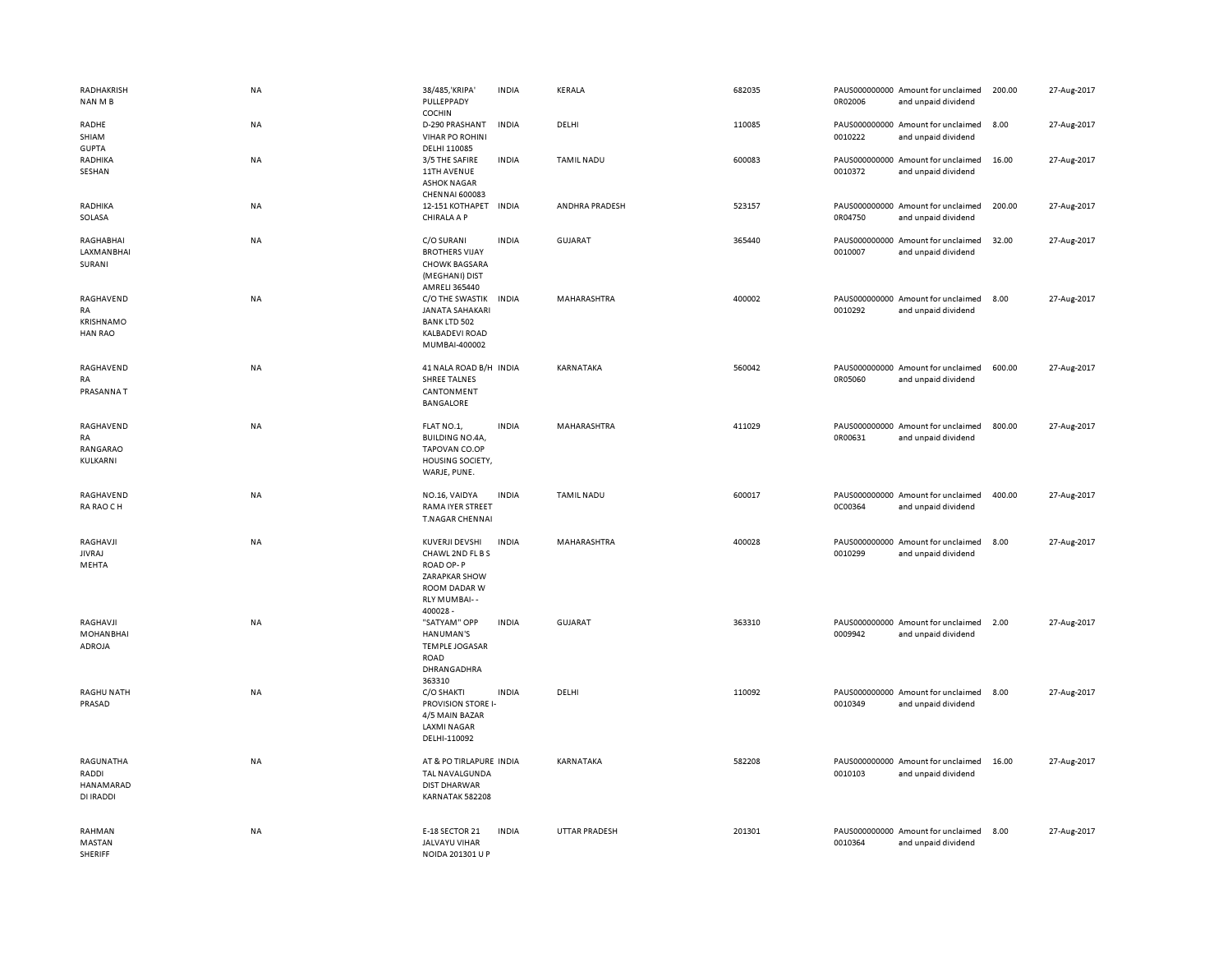| RADHAKRISH<br>NAN M B                                        | NA        | 38/485, 'KRIPA'<br>PULLEPPADY<br><b>COCHIN</b>                                                                     | <b>INDIA</b> | KERALA            | 682035 | 0R02006 | PAUS000000000 Amount for unclaimed<br>and unpaid dividend | 200.00 | 27-Aug-2017 |
|--------------------------------------------------------------|-----------|--------------------------------------------------------------------------------------------------------------------|--------------|-------------------|--------|---------|-----------------------------------------------------------|--------|-------------|
| RADHE<br>SHIAM<br><b>GUPTA</b>                               | NA        | D-290 PRASHANT<br><b>VIHAR PO ROHINI</b><br>DELHI 110085                                                           | <b>INDIA</b> | DELHI             | 110085 | 0010222 | PAUS000000000 Amount for unclaimed<br>and unpaid dividend | 8.00   | 27-Aug-2017 |
| RADHIKA<br>SESHAN                                            | <b>NA</b> | 3/5 THE SAFIRE<br>11TH AVENUE<br><b>ASHOK NAGAR</b><br>CHENNAI 600083                                              | <b>INDIA</b> | <b>TAMIL NADU</b> | 600083 | 0010372 | PAUS000000000 Amount for unclaimed<br>and unpaid dividend | 16.00  | 27-Aug-2017 |
| RADHIKA<br>SOLASA                                            | <b>NA</b> | 12-151 KOTHAPET<br>CHIRALA A P                                                                                     | <b>INDIA</b> | ANDHRA PRADESH    | 523157 | 0R04750 | PAUS000000000 Amount for unclaimed<br>and unpaid dividend | 200.00 | 27-Aug-2017 |
| RAGHABHAI<br>LAXMANBHAI<br>SURANI                            | <b>NA</b> | C/O SURANI<br><b>BROTHERS VIJAY</b><br><b>CHOWK BAGSARA</b><br>(MEGHANI) DIST<br>AMRELI 365440                     | <b>INDIA</b> | GUJARAT           | 365440 | 0010007 | PAUS000000000 Amount for unclaimed<br>and unpaid dividend | 32.00  | 27-Aug-2017 |
| RAGHAVEND<br><b>RA</b><br><b>KRISHNAMO</b><br><b>HAN RAO</b> | NA        | C/O THE SWASTIK<br><b>JANATA SAHAKARI</b><br><b>BANK LTD 502</b><br><b>KALBADEVI ROAD</b><br>MUMBAI-400002         | <b>INDIA</b> | MAHARASHTRA       | 400002 | 0010292 | PAUS000000000 Amount for unclaimed<br>and unpaid dividend | 8.00   | 27-Aug-2017 |
| RAGHAVEND<br>RA<br>PRASANNA T                                | NA        | 41 NALA ROAD B/H INDIA<br><b>SHREE TALNES</b><br>CANTONMENT<br><b>BANGALORE</b>                                    |              | KARNATAKA         | 560042 | 0R05060 | PAUS000000000 Amount for unclaimed<br>and unpaid dividend | 600.00 | 27-Aug-2017 |
| RAGHAVEND<br>RA<br>RANGARAO<br>KULKARNI                      | <b>NA</b> | FLAT NO.1,<br><b>BUILDING NO.4A,</b><br>TAPOVAN CO.OP<br>HOUSING SOCIETY,<br>WARJE, PUNE.                          | <b>INDIA</b> | MAHARASHTRA       | 411029 | 0R00631 | PAUS000000000 Amount for unclaimed<br>and unpaid dividend | 800.00 | 27-Aug-2017 |
| RAGHAVEND<br>RA RAO CH                                       | NA        | NO.16, VAIDYA<br>RAMA IYER STREET<br><b>T.NAGAR CHENNAI</b>                                                        | <b>INDIA</b> | <b>TAMIL NADU</b> | 600017 | 0C00364 | PAUS000000000 Amount for unclaimed<br>and unpaid dividend | 400.00 | 27-Aug-2017 |
| RAGHAVJI<br><b>JIVRAJ</b><br>MEHTA                           | NA        | KUVERJI DEVSHI<br>CHAWL 2ND FL B S<br>ROAD OP-P<br><b>ZARAPKAR SHOW</b><br>ROOM DADAR W<br>RLY MUMBAI--<br>400028- | <b>INDIA</b> | MAHARASHTRA       | 400028 | 0010299 | PAUS000000000 Amount for unclaimed<br>and unpaid dividend | 8.00   | 27-Aug-2017 |
| RAGHAVJI<br><b>MOHANBHAI</b><br>ADROJA                       | NA        | "SATYAM" OPP<br>HANUMAN'S<br><b>TEMPLE JOGASAR</b><br>ROAD<br>DHRANGADHRA<br>363310                                | <b>INDIA</b> | GUJARAT           | 363310 | 0009942 | PAUS000000000 Amount for unclaimed<br>and unpaid dividend | 2.00   | 27-Aug-2017 |
| <b>RAGHU NATH</b><br>PRASAD                                  | NA        | C/O SHAKTI<br>PROVISION STORE I-<br>4/5 MAIN BAZAR<br><b>LAXMI NAGAR</b><br>DELHI-110092                           | <b>INDIA</b> | DELHI             | 110092 | 0010349 | PAUS000000000 Amount for unclaimed<br>and unpaid dividend | 8.00   | 27-Aug-2017 |
| RAGUNATHA<br>RADDI<br>HANAMARAD<br>DI IRADDI                 | NA        | AT & PO TIRLAPURE INDIA<br>TAL NAVALGUNDA<br><b>DIST DHARWAR</b><br>KARNATAK 582208                                |              | KARNATAKA         | 582208 | 0010103 | PAUS000000000 Amount for unclaimed<br>and unpaid dividend | 16.00  | 27-Aug-2017 |
| RAHMAN<br>MASTAN<br>SHERIFF                                  | NA        | E-18 SECTOR 21<br>JALVAYU VIHAR<br>NOIDA 201301 U P                                                                | <b>INDIA</b> | UTTAR PRADESH     | 201301 | 0010364 | PAUS000000000 Amount for unclaimed<br>and unpaid dividend | 8.00   | 27-Aug-2017 |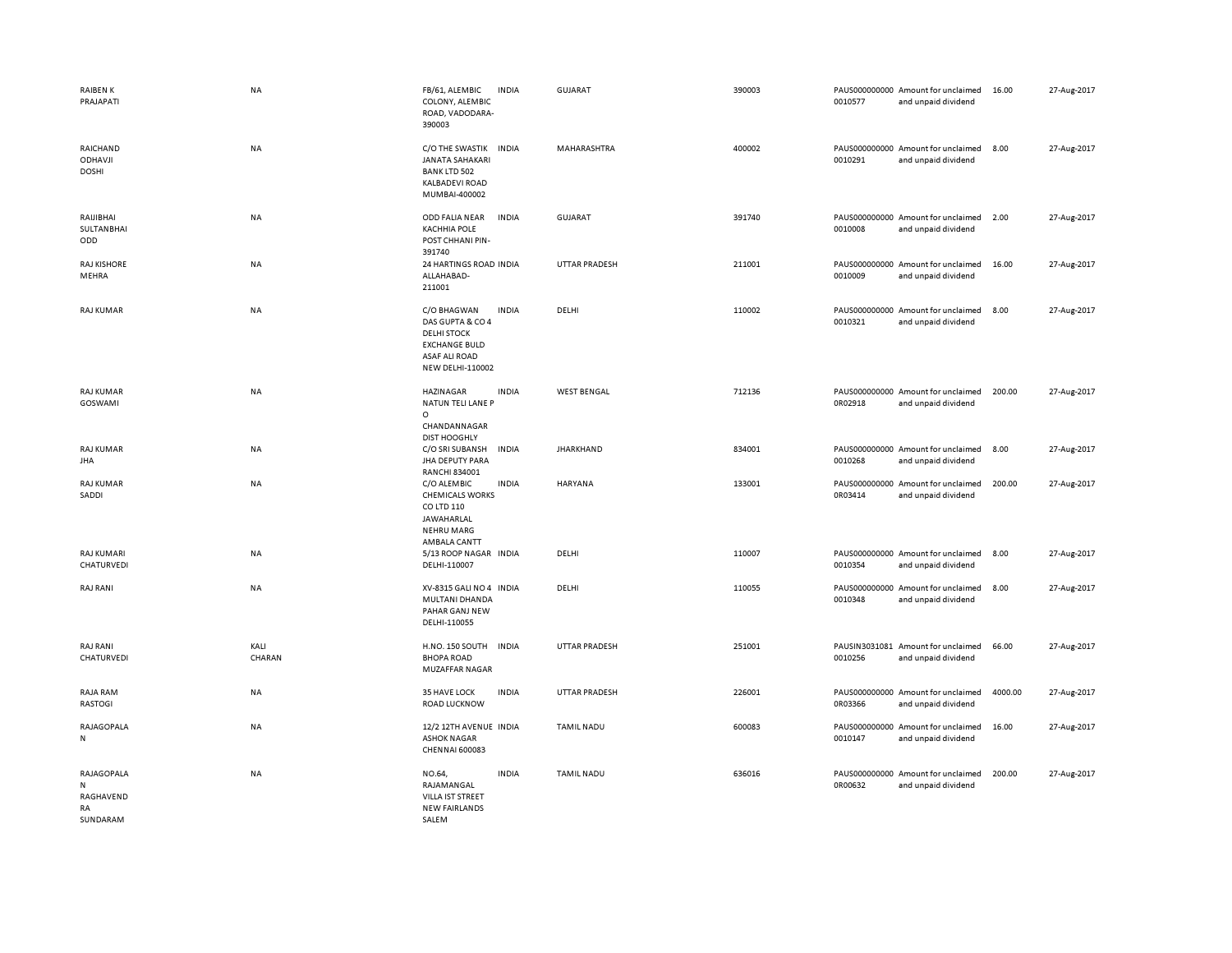| <b>RAIBENK</b><br>PRAJAPATI                    | NA             | FB/61, ALEMBIC<br><b>INDIA</b><br>COLONY, ALEMBIC<br>ROAD, VADODARA-<br>390003                                                            | <b>GUJARAT</b>       | 390003 | PAUS000000000 Amount for unclaimed<br>0010577<br>and unpaid dividend | 16.00   | 27-Aug-2017 |
|------------------------------------------------|----------------|-------------------------------------------------------------------------------------------------------------------------------------------|----------------------|--------|----------------------------------------------------------------------|---------|-------------|
| RAICHAND<br><b>ODHAVJI</b><br><b>DOSHI</b>     | <b>NA</b>      | C/O THE SWASTIK<br><b>INDIA</b><br><b>JANATA SAHAKARI</b><br><b>BANK LTD 502</b><br><b>KALBADEVI ROAD</b><br>MUMBAI-400002                | MAHARASHTRA          | 400002 | PAUS000000000 Amount for unclaimed<br>0010291<br>and unpaid dividend | 8.00    | 27-Aug-2017 |
| RAIJIBHAI<br><b>SULTANBHAI</b><br>ODD          | <b>NA</b>      | ODD FALIA NEAR<br><b>INDIA</b><br><b>KACHHIA POLE</b><br>POST CHHANI PIN-<br>391740                                                       | GUJARAT              | 391740 | PAUS000000000 Amount for unclaimed<br>0010008<br>and unpaid dividend | 2.00    | 27-Aug-2017 |
| <b>RAJ KISHORE</b><br>MEHRA                    | <b>NA</b>      | 24 HARTINGS ROAD INDIA<br>ALLAHABAD-<br>211001                                                                                            | <b>UTTAR PRADESH</b> | 211001 | PAUS000000000 Amount for unclaimed<br>0010009<br>and unpaid dividend | 16.00   | 27-Aug-2017 |
| <b>RAJ KUMAR</b>                               | NA             | C/O BHAGWAN<br><b>INDIA</b><br>DAS GUPTA & CO 4<br><b>DELHI STOCK</b><br><b>EXCHANGE BULD</b><br>ASAF ALI ROAD<br><b>NEW DELHI-110002</b> | DELHI                | 110002 | PAUS000000000 Amount for unclaimed<br>0010321<br>and unpaid dividend | 8.00    | 27-Aug-2017 |
| <b>RAJ KUMAR</b><br>GOSWAMI                    | NA             | <b>HAZINAGAR</b><br><b>INDIA</b><br>NATUN TELI LANE P<br>$\circ$<br>CHANDANNAGAR<br><b>DIST HOOGHLY</b>                                   | <b>WEST BENGAL</b>   | 712136 | PAUS000000000 Amount for unclaimed<br>0R02918<br>and unpaid dividend | 200.00  | 27-Aug-2017 |
| <b>RAJ KUMAR</b><br><b>JHA</b>                 | NA             | C/O SRI SUBANSH<br><b>INDIA</b><br>JHA DEPUTY PARA<br>RANCHI 834001                                                                       | <b>JHARKHAND</b>     | 834001 | PAUS000000000 Amount for unclaimed<br>0010268<br>and unpaid dividend | 8.00    | 27-Aug-2017 |
| <b>RAJ KUMAR</b><br>SADDI                      | NA             | C/O ALEMBIC<br><b>INDIA</b><br><b>CHEMICALS WORKS</b><br>CO LTD 110<br>JAWAHARLAL<br><b>NEHRU MARG</b><br>AMBALA CANTT                    | <b>HARYANA</b>       | 133001 | PAUS000000000 Amount for unclaimed<br>0R03414<br>and unpaid dividend | 200.00  | 27-Aug-2017 |
| <b>RAJ KUMARI</b><br>CHATURVEDI                | NA             | 5/13 ROOP NAGAR INDIA<br>DELHI-110007                                                                                                     | DELHI                | 110007 | PAUS000000000 Amount for unclaimed<br>0010354<br>and unpaid dividend | 8.00    | 27-Aug-2017 |
| RAJ RANI                                       | NA             | XV-8315 GALI NO 4 INDIA<br>MULTANI DHANDA<br>PAHAR GANJ NEW<br>DELHI-110055                                                               | DELHI                | 110055 | PAUS000000000 Amount for unclaimed<br>0010348<br>and unpaid dividend | 8.00    | 27-Aug-2017 |
| RAJ RANI<br>CHATURVEDI                         | KALI<br>CHARAN | <b>H.NO. 150 SOUTH</b><br><b>INDIA</b><br><b>BHOPA ROAD</b><br>MUZAFFAR NAGAR                                                             | <b>UTTAR PRADESH</b> | 251001 | PAUSIN3031081 Amount for unclaimed<br>0010256<br>and unpaid dividend | 66.00   | 27-Aug-2017 |
| RAJA RAM<br>RASTOGI                            | NA             | 35 HAVE LOCK<br><b>INDIA</b><br>ROAD LUCKNOW                                                                                              | <b>UTTAR PRADESH</b> | 226001 | PAUS000000000 Amount for unclaimed<br>0R03366<br>and unpaid dividend | 4000.00 | 27-Aug-2017 |
| RAJAGOPALA<br>N                                | NA             | 12/2 12TH AVENUE INDIA<br><b>ASHOK NAGAR</b><br>CHENNAI 600083                                                                            | <b>TAMIL NADU</b>    | 600083 | PAUS000000000 Amount for unclaimed<br>0010147<br>and unpaid dividend | 16.00   | 27-Aug-2017 |
| RAJAGOPALA<br>N<br>RAGHAVEND<br>RA<br>SUNDARAM | NA             | NO.64,<br><b>INDIA</b><br>RAJAMANGAL<br>VILLA IST STREET<br><b>NEW FAIRLANDS</b><br>SALEM                                                 | <b>TAMIL NADU</b>    | 636016 | PAUS000000000 Amount for unclaimed<br>0R00632<br>and unpaid dividend | 200.00  | 27-Aug-2017 |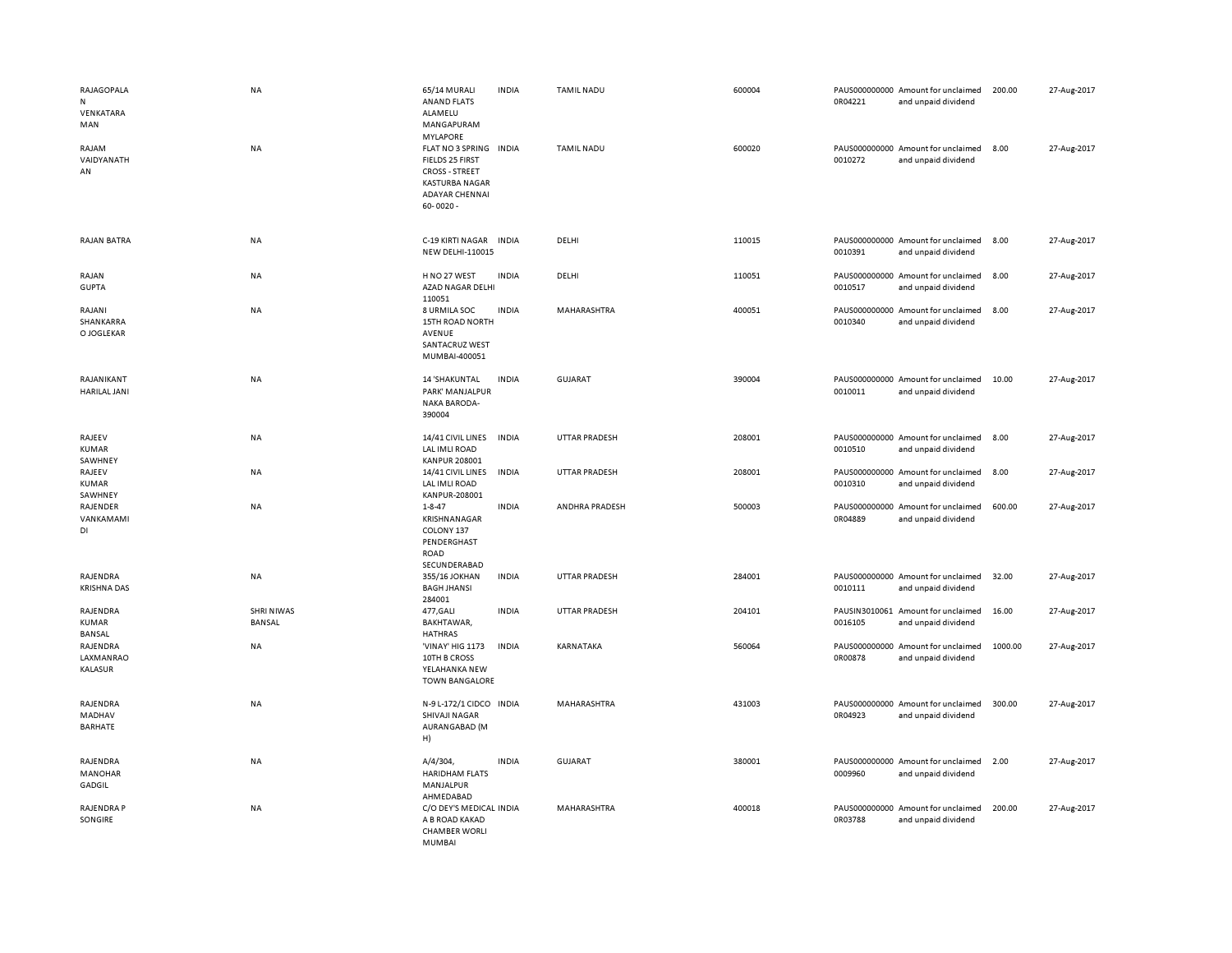| RAJAGOPALA<br>N<br>VENKATARA<br>MAN<br>RAJAM<br>VAIDYANATH<br>AN | NA<br>NA                    | 65/14 MURALI<br><b>ANAND FLATS</b><br>ALAMELU<br>MANGAPURAM<br><b>MYLAPORE</b><br>FLAT NO 3 SPRING INDIA<br>FIELDS 25 FIRST<br><b>CROSS - STREET</b><br><b>KASTURBA NAGAR</b><br><b>ADAYAR CHENNAL</b><br>$60 - 0020 -$ | <b>INDIA</b> | <b>TAMIL NADU</b><br><b>TAMIL NADU</b> | 600004<br>600020 | 0R04221<br>0010272       | PAUS000000000 Amount for unclaimed<br>and unpaid dividend<br>PAUS000000000 Amount for unclaimed<br>and unpaid dividend | 200.00<br>8.00 | 27-Aug-2017<br>27-Aug-2017 |
|------------------------------------------------------------------|-----------------------------|-------------------------------------------------------------------------------------------------------------------------------------------------------------------------------------------------------------------------|--------------|----------------------------------------|------------------|--------------------------|------------------------------------------------------------------------------------------------------------------------|----------------|----------------------------|
| <b>RAJAN BATRA</b>                                               | NA                          | C-19 KIRTI NAGAR<br><b>NEW DELHI-110015</b>                                                                                                                                                                             | <b>INDIA</b> | DELHI                                  | 110015           | 0010391                  | PAUS000000000 Amount for unclaimed<br>and unpaid dividend                                                              | 8.00           | 27-Aug-2017                |
| RAJAN<br><b>GUPTA</b>                                            | NA                          | H NO 27 WEST<br>AZAD NAGAR DELHI<br>110051                                                                                                                                                                              | <b>INDIA</b> | DELHI                                  | 110051           | 0010517                  | PAUS000000000 Amount for unclaimed<br>and unpaid dividend                                                              | 8.00           | 27-Aug-2017                |
| RAJANI<br>SHANKARRA<br>O JOGLEKAR                                | <b>NA</b>                   | 8 URMILA SOC<br>15TH ROAD NORTH<br>AVENUE<br>SANTACRUZ WEST<br>MUMBAI-400051                                                                                                                                            | <b>INDIA</b> | MAHARASHTRA                            | 400051           | 0010340                  | PAUS000000000 Amount for unclaimed<br>and unpaid dividend                                                              | 8.00           | 27-Aug-2017                |
| RAJANIKANT<br>HARILAL JANI                                       | NA                          | 14 'SHAKUNTAL<br>PARK' MANJALPUR<br><b>NAKA BARODA-</b><br>390004                                                                                                                                                       | <b>INDIA</b> | <b>GUJARAT</b>                         | 390004           | 0010011                  | PAUS000000000 Amount for unclaimed<br>and unpaid dividend                                                              | 10.00          | 27-Aug-2017                |
| RAJEEV<br>KUMAR<br>SAWHNEY                                       | NA                          | 14/41 CIVIL LINES<br>LAL IMLI ROAD<br><b>KANPUR 208001</b>                                                                                                                                                              | <b>INDIA</b> | <b>UTTAR PRADESH</b>                   | 208001           | 0010510                  | PAUS000000000 Amount for unclaimed<br>and unpaid dividend                                                              | 8.00           | 27-Aug-2017                |
| RAJEEV<br>KUMAR<br>SAWHNEY                                       | NA                          | 14/41 CIVIL LINES<br>LAL IMLI ROAD<br>KANPUR-208001                                                                                                                                                                     | <b>INDIA</b> | <b>UTTAR PRADESH</b>                   | 208001           | 0010310                  | PAUS000000000 Amount for unclaimed<br>and unpaid dividend                                                              | 8.00           | 27-Aug-2017                |
| RAJENDER<br>VANKAMAMI<br>DI                                      | NA                          | $1 - 8 - 47$<br>KRISHNANAGAR<br>COLONY 137<br>PENDERGHAST<br>ROAD<br>SECUNDERABAD                                                                                                                                       | <b>INDIA</b> | ANDHRA PRADESH                         | 500003           | 0R04889                  | PAUS000000000 Amount for unclaimed<br>and unpaid dividend                                                              | 600.00         | 27-Aug-2017                |
| RAJENDRA<br><b>KRISHNA DAS</b>                                   | NA                          | 355/16 JOKHAN<br><b>BAGH JHANSI</b><br>284001                                                                                                                                                                           | <b>INDIA</b> | <b>UTTAR PRADESH</b>                   | 284001           | 0010111                  | PAUS000000000 Amount for unclaimed<br>and unpaid dividend                                                              | 32.00          | 27-Aug-2017                |
| RAJENDRA<br><b>KUMAR</b><br>BANSAL                               | <b>SHRI NIWAS</b><br>BANSAL | 477, GALI<br>BAKHTAWAR,<br><b>HATHRAS</b>                                                                                                                                                                               | <b>INDIA</b> | <b>UTTAR PRADESH</b>                   | 204101           | PAUSIN3010061<br>0016105 | Amount for unclaimed<br>and unpaid dividend                                                                            | 16.00          | 27-Aug-2017                |
| RAJENDRA<br>LAXMANRAO<br>KALASUR                                 | NA                          | 'VINAY' HIG 1173<br>10TH B CROSS<br>YELAHANKA NEW<br><b>TOWN BANGALORE</b>                                                                                                                                              | <b>INDIA</b> | KARNATAKA                              | 560064           | 0R00878                  | PAUS000000000 Amount for unclaimed<br>and unpaid dividend                                                              | 1000.00        | 27-Aug-2017                |
| RAJENDRA<br>MADHAV<br>BARHATE                                    | NA                          | N-9 L-172/1 CIDCO INDIA<br>SHIVAJI NAGAR<br>AURANGABAD (M<br>H)                                                                                                                                                         |              | MAHARASHTRA                            | 431003           | 0R04923                  | PAUS000000000 Amount for unclaimed<br>and unpaid dividend                                                              | 300.00         | 27-Aug-2017                |
| RAJENDRA<br><b>MANOHAR</b><br>GADGIL                             | NA                          | $A/4/304$ ,<br><b>HARIDHAM FLATS</b><br>MANJALPUR<br>AHMEDABAD                                                                                                                                                          | <b>INDIA</b> | <b>GUJARAT</b>                         | 380001           | 0009960                  | PAUS000000000 Amount for unclaimed<br>and unpaid dividend                                                              | 2.00           | 27-Aug-2017                |
| RAJENDRA P<br>SONGIRE                                            | NA                          | C/O DEY'S MEDICAL INDIA<br>A B ROAD KAKAD<br><b>CHAMBER WORLI</b><br><b>MUMBAI</b>                                                                                                                                      |              | MAHARASHTRA                            | 400018           | 0R03788                  | PAUS000000000 Amount for unclaimed<br>and unpaid dividend                                                              | 200.00         | 27-Aug-2017                |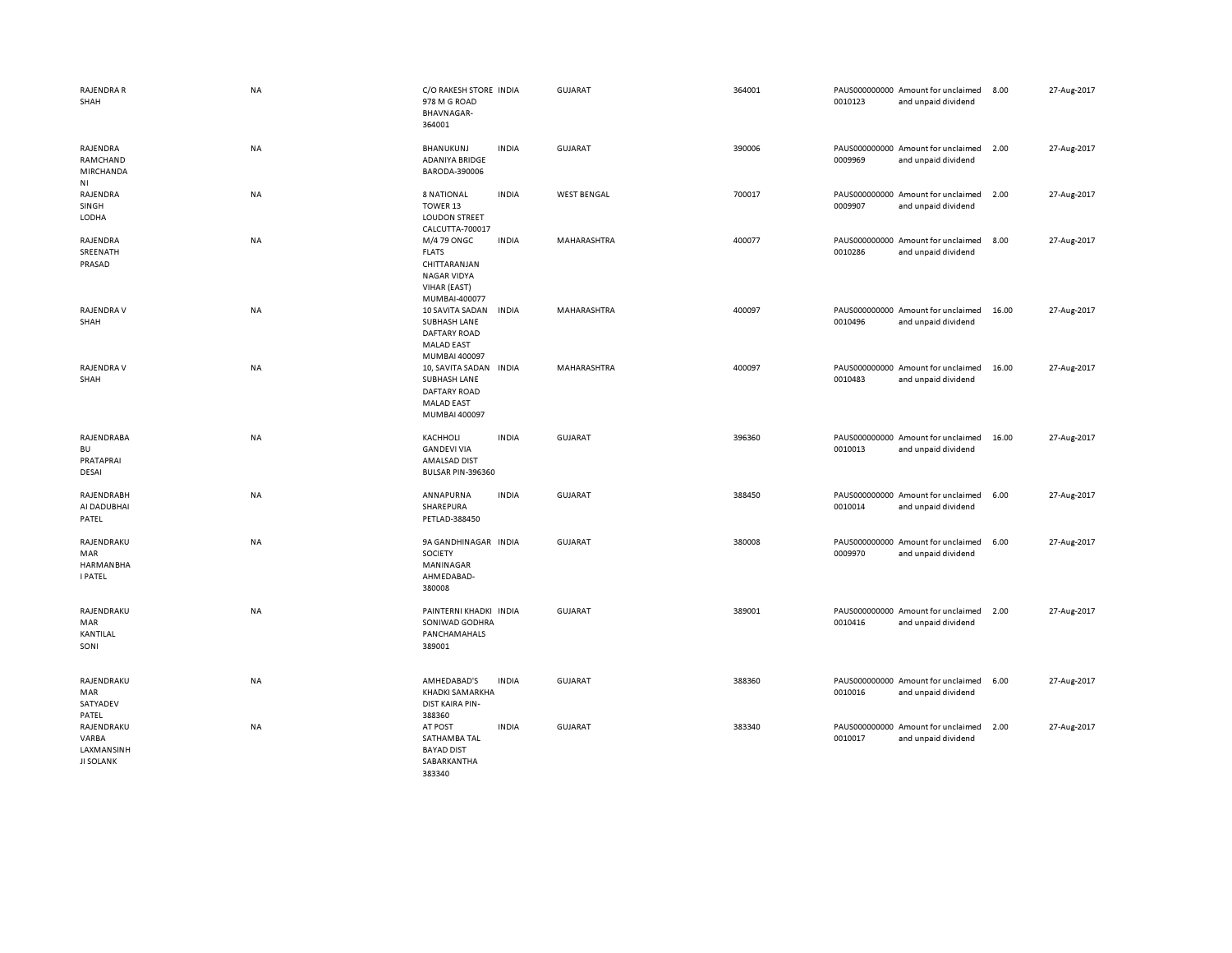| <b>RAJENDRA R</b><br>SHAH                               | <b>NA</b> | C/O RAKESH STORE INDIA<br>978 M G ROAD<br>BHAVNAGAR-<br>364001                                     |              | GUJARAT            | 364001 | 0010123 | PAUS000000000 Amount for unclaimed<br>and unpaid dividend | 8.00  | 27-Aug-2017 |
|---------------------------------------------------------|-----------|----------------------------------------------------------------------------------------------------|--------------|--------------------|--------|---------|-----------------------------------------------------------|-------|-------------|
| RAJENDRA<br>RAMCHAND<br>MIRCHANDA<br>N <sub>1</sub>     | NA        | <b>BHANUKUNJ</b><br>ADANIYA BRIDGE<br>BARODA-390006                                                | <b>INDIA</b> | <b>GUJARAT</b>     | 390006 | 0009969 | PAUS000000000 Amount for unclaimed<br>and unpaid dividend | 2.00  | 27-Aug-2017 |
| RAJENDRA<br>SINGH<br>LODHA                              | NA        | <b>8 NATIONAL</b><br>TOWER 13<br><b>LOUDON STREET</b><br>CALCUTTA-700017                           | <b>INDIA</b> | <b>WEST BENGAL</b> | 700017 | 0009907 | PAUS000000000 Amount for unclaimed<br>and unpaid dividend | 2.00  | 27-Aug-2017 |
| RAJENDRA<br>SREENATH<br>PRASAD                          | NA        | M/4 79 ONGC<br><b>FLATS</b><br>CHITTARANJAN<br><b>NAGAR VIDYA</b><br>VIHAR (EAST)<br>MUMBAI-400077 | <b>INDIA</b> | MAHARASHTRA        | 400077 | 0010286 | PAUS000000000 Amount for unclaimed<br>and unpaid dividend | 8.00  | 27-Aug-2017 |
| RAJENDRA V<br>SHAH                                      | NA        | 10 SAVITA SADAN<br>SUBHASH LANE<br>DAFTARY ROAD<br><b>MALAD EAST</b><br>MUMBAI 400097              | <b>INDIA</b> | MAHARASHTRA        | 400097 | 0010496 | PAUS000000000 Amount for unclaimed<br>and unpaid dividend | 16.00 | 27-Aug-2017 |
| RAJENDRA V<br>SHAH                                      | NA        | 10, SAVITA SADAN<br>SUBHASH LANE<br><b>DAFTARY ROAD</b><br><b>MALAD EAST</b><br>MUMBAI 400097      | INDIA        | MAHARASHTRA        | 400097 | 0010483 | PAUS000000000 Amount for unclaimed<br>and unpaid dividend | 16.00 | 27-Aug-2017 |
| RAJENDRABA<br><b>BU</b><br>PRATAPRAI<br><b>DESAI</b>    | NA        | KACHHOLI<br><b>GANDEVI VIA</b><br>AMALSAD DIST<br>BULSAR PIN-396360                                | <b>INDIA</b> | <b>GUJARAT</b>     | 396360 | 0010013 | PAUS000000000 Amount for unclaimed<br>and unpaid dividend | 16.00 | 27-Aug-2017 |
| RAJENDRABH<br>AI DADUBHAI<br>PATEL                      | <b>NA</b> | ANNAPURNA<br>SHAREPURA<br>PETLAD-388450                                                            | <b>INDIA</b> | <b>GUJARAT</b>     | 388450 | 0010014 | PAUS000000000 Amount for unclaimed<br>and unpaid dividend | 6.00  | 27-Aug-2017 |
| RAJENDRAKU<br>MAR<br><b>HARMANBHA</b><br><b>I PATEL</b> | <b>NA</b> | 9A GANDHINAGAR INDIA<br>SOCIETY<br>MANINAGAR<br>AHMEDABAD-<br>380008                               |              | GUJARAT            | 380008 | 0009970 | PAUS000000000 Amount for unclaimed<br>and unpaid dividend | 6.00  | 27-Aug-2017 |
| RAJENDRAKU<br>MAR<br>KANTILAL<br>SONI                   | NA        | PAINTERNI KHADKI INDIA<br>SONIWAD GODHRA<br>PANCHAMAHALS<br>389001                                 |              | <b>GUJARAT</b>     | 389001 | 0010416 | PAUS000000000 Amount for unclaimed<br>and unpaid dividend | 2.00  | 27-Aug-2017 |
| RAJENDRAKU<br>MAR<br>SATYADEV<br>PATEL                  | NA        | AMHEDABAD'S<br>KHADKI SAMARKHA<br>DIST KAIRA PIN-<br>388360                                        | <b>INDIA</b> | <b>GUJARAT</b>     | 388360 | 0010016 | PAUS000000000 Amount for unclaimed<br>and unpaid dividend | 6.00  | 27-Aug-2017 |
| RAJENDRAKU<br>VARBA<br>LAXMANSINH<br><b>JI SOLANK</b>   | NA        | AT POST<br>SATHAMBA TAL<br><b>BAYAD DIST</b><br>SABARKANTHA<br>383340                              | <b>INDIA</b> | GUJARAT            | 383340 | 0010017 | PAUS000000000 Amount for unclaimed<br>and unpaid dividend | 2.00  | 27-Aug-2017 |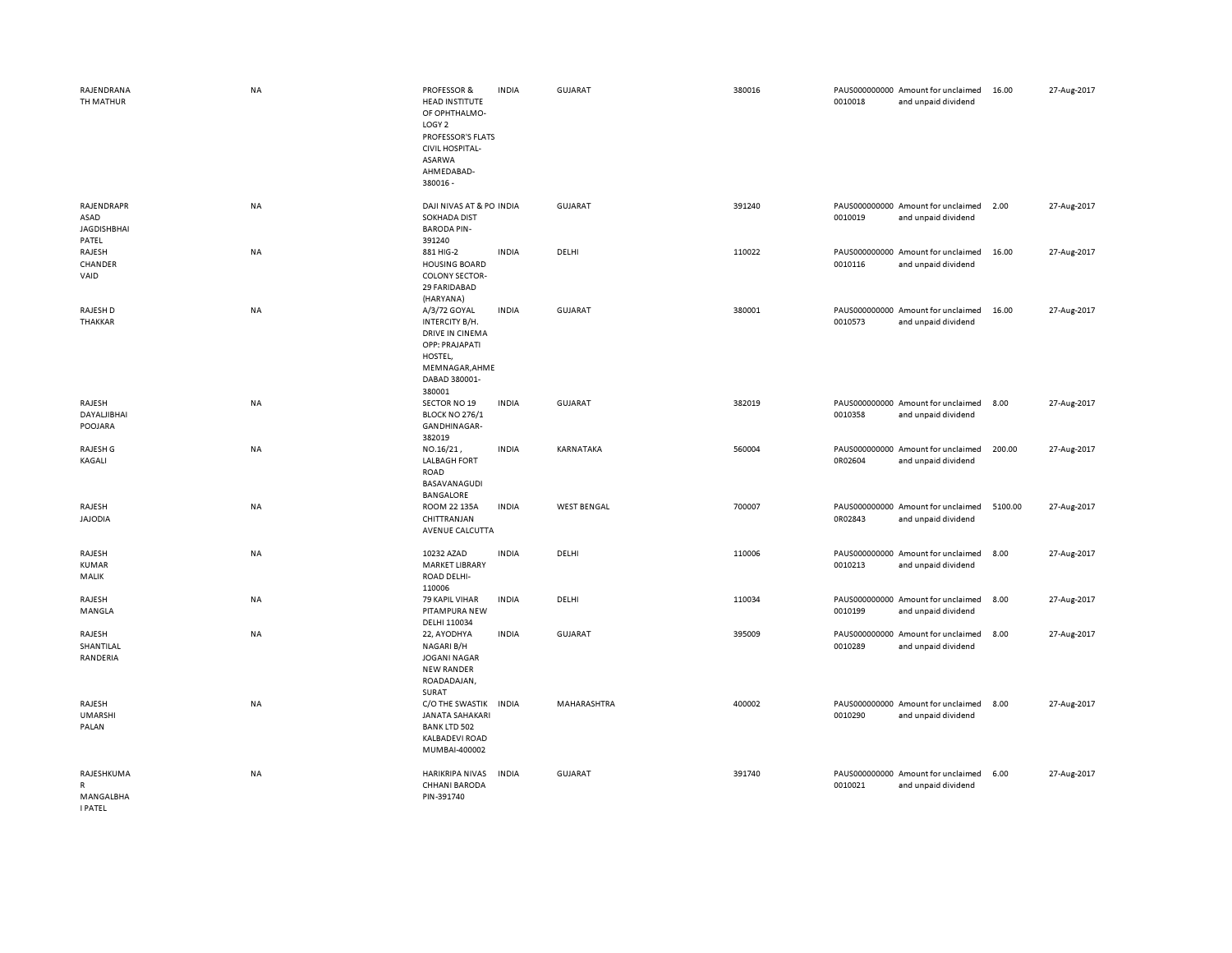| RAJENDRANA<br>TH MATHUR                                   | <b>NA</b> | <b>PROFESSOR &amp;</b><br><b>HEAD INSTITUTE</b><br>OF OPHTHALMO-<br>LOGY <sub>2</sub><br>PROFESSOR'S FLATS<br><b>CIVIL HOSPITAL-</b><br>ASARWA<br>AHMEDABAD-<br>380016 - | <b>INDIA</b> | <b>GUJARAT</b>     | 380016 | 0010018                  | PAUS000000000 Amount for unclaimed<br>and unpaid dividend | 16.00   | 27-Aug-2017 |
|-----------------------------------------------------------|-----------|--------------------------------------------------------------------------------------------------------------------------------------------------------------------------|--------------|--------------------|--------|--------------------------|-----------------------------------------------------------|---------|-------------|
| RAJENDRAPR<br>ASAD<br><b>JAGDISHBHAI</b><br>PATEL         | NA        | DAJI NIVAS AT & PO INDIA<br><b>SOKHADA DIST</b><br><b>BARODA PIN-</b><br>391240                                                                                          |              | <b>GUJARAT</b>     | 391240 | 0010019                  | PAUS000000000 Amount for unclaimed<br>and unpaid dividend | 2.00    | 27-Aug-2017 |
| RAJESH<br>CHANDER<br>VAID                                 | <b>NA</b> | 881 HIG-2<br><b>HOUSING BOARD</b><br><b>COLONY SECTOR-</b><br>29 FARIDABAD<br>(HARYANA)                                                                                  | <b>INDIA</b> | DELHI              | 110022 | 0010116                  | PAUS000000000 Amount for unclaimed<br>and unpaid dividend | 16.00   | 27-Aug-2017 |
| RAJESH D<br>THAKKAR                                       | <b>NA</b> | A/3/72 GOYAL<br>INTERCITY B/H.<br>DRIVE IN CINEMA<br>OPP: PRAJAPATI<br>HOSTEL,<br>MEMNAGAR, AHME<br>DABAD 380001-<br>380001                                              | <b>INDIA</b> | <b>GUJARAT</b>     | 380001 | 0010573                  | PAUS000000000 Amount for unclaimed<br>and unpaid dividend | 16.00   | 27-Aug-2017 |
| RAJESH<br>DAYALJIBHAI<br>POOJARA                          | <b>NA</b> | SECTOR NO 19<br><b>BLOCK NO 276/1</b><br>GANDHINAGAR-<br>382019                                                                                                          | <b>INDIA</b> | <b>GUJARAT</b>     | 382019 | 0010358                  | PAUS000000000 Amount for unclaimed<br>and unpaid dividend | 8.00    | 27-Aug-2017 |
| RAJESH G<br>KAGALI                                        | NA        | NO.16/21,<br><b>LALBAGH FORT</b><br>ROAD<br>BASAVANAGUDI<br><b>BANGALORE</b>                                                                                             | <b>INDIA</b> | KARNATAKA          | 560004 | 0R02604                  | PAUS000000000 Amount for unclaimed<br>and unpaid dividend | 200.00  | 27-Aug-2017 |
| RAJESH<br><b>JAJODIA</b>                                  | NA        | ROOM 22 135A<br>CHITTRANJAN<br>AVENUE CALCUTTA                                                                                                                           | <b>INDIA</b> | <b>WEST BENGAL</b> | 700007 | 0R02843                  | PAUS000000000 Amount for unclaimed<br>and unpaid dividend | 5100.00 | 27-Aug-2017 |
| RAJESH<br><b>KUMAR</b><br>MALIK                           | NA        | 10232 AZAD<br><b>MARKET LIBRARY</b><br>ROAD DELHI-<br>110006                                                                                                             | <b>INDIA</b> | DELHI              | 110006 | 0010213                  | PAUS000000000 Amount for unclaimed<br>and unpaid dividend | 8.00    | 27-Aug-2017 |
| RAJESH<br>MANGLA                                          | NA        | 79 KAPIL VIHAR<br>PITAMPURA NEW<br>DELHI 110034                                                                                                                          | <b>INDIA</b> | DELHI              | 110034 | 0010199                  | PAUS000000000 Amount for unclaimed<br>and unpaid dividend | 8.00    | 27-Aug-2017 |
| RAJESH<br>SHANTILAL<br>RANDERIA                           | NA        | 22, AYODHYA<br>NAGARI B/H<br><b>JOGANI NAGAR</b><br><b>NEW RANDER</b><br>ROADADAJAN,<br>SURAT                                                                            | <b>INDIA</b> | <b>GUJARAT</b>     | 395009 | 0010289                  | PAUS000000000 Amount for unclaimed<br>and unpaid dividend | 8.00    | 27-Aug-2017 |
| RAJESH<br><b>UMARSHI</b><br>PALAN                         | <b>NA</b> | C/O THE SWASTIK<br>JANATA SAHAKARI<br><b>BANK LTD 502</b><br><b>KALBADEVI ROAD</b><br>MUMBAI-400002                                                                      | <b>INDIA</b> | MAHARASHTRA        | 400002 | PAUS000000000<br>0010290 | Amount for unclaimed<br>and unpaid dividend               | 8.00    | 27-Aug-2017 |
| RAJESHKUMA<br>$\mathsf{R}$<br>MANGALBHA<br><b>I PATEL</b> | <b>NA</b> | <b>HARIKRIPA NIVAS</b><br><b>CHHANI BARODA</b><br>PIN-391740                                                                                                             | <b>INDIA</b> | <b>GUJARAT</b>     | 391740 | 0010021                  | PAUS000000000 Amount for unclaimed<br>and unpaid dividend | 6.00    | 27-Aug-2017 |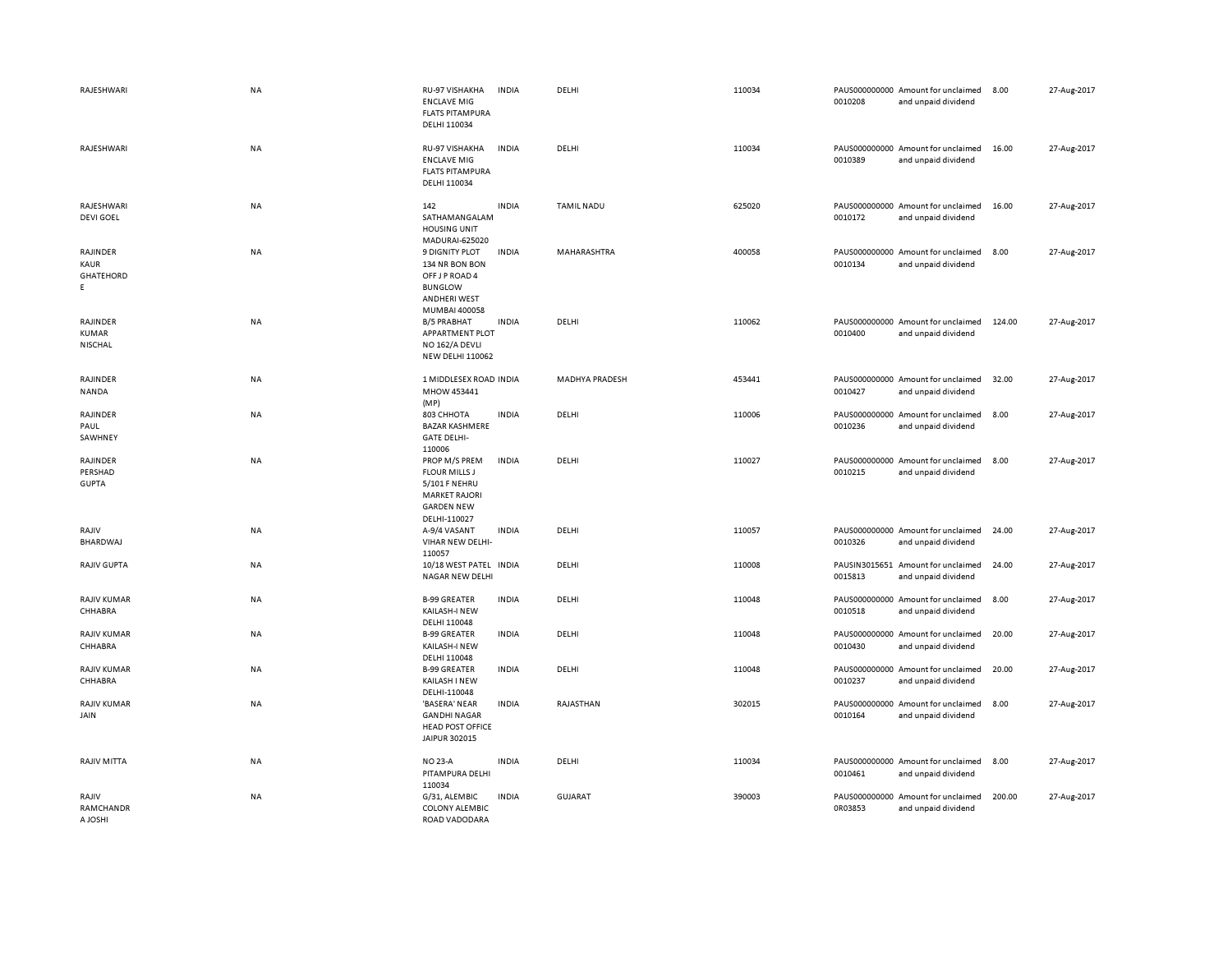| RAJESHWARI                                 | NA        | RU-97 VISHAKHA<br><b>ENCLAVE MIG</b><br><b>FLATS PITAMPURA</b><br>DELHI 110034                                      | <b>INDIA</b> | DELHI             | 110034 | 0010208                  | PAUS000000000 Amount for unclaimed<br>and unpaid dividend | 8.00   | 27-Aug-2017 |
|--------------------------------------------|-----------|---------------------------------------------------------------------------------------------------------------------|--------------|-------------------|--------|--------------------------|-----------------------------------------------------------|--------|-------------|
| RAJESHWARI                                 | NA        | RU-97 VISHAKHA<br><b>ENCLAVE MIG</b><br><b>FLATS PITAMPURA</b><br>DELHI 110034                                      | <b>INDIA</b> | DELHI             | 110034 | 0010389                  | PAUS000000000 Amount for unclaimed<br>and unpaid dividend | 16.00  | 27-Aug-2017 |
| RAJESHWARI<br><b>DEVI GOEL</b>             | NA        | 142<br>SATHAMANGALAM<br><b>HOUSING UNIT</b><br>MADURAI-625020                                                       | <b>INDIA</b> | <b>TAMIL NADU</b> | 625020 | 0010172                  | PAUS000000000 Amount for unclaimed<br>and unpaid dividend | 16.00  | 27-Aug-2017 |
| RAJINDER<br>KAUR<br><b>GHATEHORD</b><br>E. | NA        | <b>9 DIGNITY PLOT</b><br>134 NR BON BON<br>OFF J P ROAD 4<br><b>BUNGLOW</b><br><b>ANDHERI WEST</b><br>MUMBAI 400058 | <b>INDIA</b> | MAHARASHTRA       | 400058 | 0010134                  | PAUS000000000 Amount for unclaimed<br>and unpaid dividend | 8.00   | 27-Aug-2017 |
| RAJINDER<br><b>KUMAR</b><br>NISCHAL        | NA        | <b>B/5 PRABHAT</b><br>APPARTMENT PLOT<br>NO 162/A DEVLI<br><b>NEW DELHI 110062</b>                                  | <b>INDIA</b> | DELHI             | 110062 | 0010400                  | PAUS000000000 Amount for unclaimed<br>and unpaid dividend | 124.00 | 27-Aug-2017 |
| RAJINDER<br>NANDA                          | NA        | 1 MIDDLESEX ROAD INDIA<br>MHOW 453441<br>(MP)                                                                       |              | MADHYA PRADESH    | 453441 | 0010427                  | PAUS000000000 Amount for unclaimed<br>and unpaid dividend | 32.00  | 27-Aug-2017 |
| RAJINDER<br>PAUL<br>SAWHNEY                | NA        | 803 CHHOTA<br><b>BAZAR KASHMERE</b><br><b>GATE DELHI-</b><br>110006                                                 | <b>INDIA</b> | DELHI             | 110006 | 0010236                  | PAUS000000000 Amount for unclaimed<br>and unpaid dividend | 8.00   | 27-Aug-2017 |
| RAJINDER<br>PERSHAD<br><b>GUPTA</b>        | NA        | PROP M/S PREM<br><b>FLOUR MILLS J</b><br>5/101 F NEHRU<br><b>MARKET RAJORI</b><br><b>GARDEN NEW</b><br>DELHI-110027 | <b>INDIA</b> | DELHI             | 110027 | 0010215                  | PAUS000000000 Amount for unclaimed<br>and unpaid dividend | 8.00   | 27-Aug-2017 |
| RAJIV<br><b>BHARDWAJ</b>                   | NA        | A-9/4 VASANT<br>VIHAR NEW DELHI-<br>110057                                                                          | <b>INDIA</b> | DELHI             | 110057 | 0010326                  | PAUS000000000 Amount for unclaimed<br>and unpaid dividend | 24.00  | 27-Aug-2017 |
| RAJIV GUPTA                                | <b>NA</b> | 10/18 WEST PATEL INDIA<br>NAGAR NEW DELHI                                                                           |              | DELHI             | 110008 | 0015813                  | PAUSIN3015651 Amount for unclaimed<br>and unpaid dividend | 24.00  | 27-Aug-2017 |
| <b>RAJIV KUMAR</b><br>CHHABRA              | <b>NA</b> | <b>B-99 GREATER</b><br>KAILASH-I NEW<br>DELHI 110048                                                                | <b>INDIA</b> | DELHI             | 110048 | 0010518                  | PAUS000000000 Amount for unclaimed<br>and unpaid dividend | 8.00   | 27-Aug-2017 |
| <b>RAJIV KUMAR</b><br>CHHABRA              | NA        | <b>B-99 GREATER</b><br>KAILASH-I NEW<br>DELHI 110048                                                                | <b>INDIA</b> | DELHI             | 110048 | 0010430                  | PAUS000000000 Amount for unclaimed<br>and unpaid dividend | 20.00  | 27-Aug-2017 |
| <b>RAJIV KUMAR</b><br>CHHABRA              | NA        | <b>B-99 GREATER</b><br>KAILASH I NEW<br>DELHI-110048                                                                | <b>INDIA</b> | DELHI             | 110048 | 0010237                  | PAUS000000000 Amount for unclaimed<br>and unpaid dividend | 20.00  | 27-Aug-2017 |
| <b>RAJIV KUMAR</b><br>JAIN                 | <b>NA</b> | 'BASERA' NEAR<br><b>GANDHI NAGAR</b><br><b>HEAD POST OFFICE</b><br>JAIPUR 302015                                    | <b>INDIA</b> | RAJASTHAN         | 302015 | 0010164                  | PAUS000000000 Amount for unclaimed<br>and unpaid dividend | 8.00   | 27-Aug-2017 |
| RAJIV MITTA                                | <b>NA</b> | <b>NO 23-A</b><br>PITAMPURA DELHI<br>110034                                                                         | <b>INDIA</b> | DELHI             | 110034 | 0010461                  | PAUS000000000 Amount for unclaimed<br>and unpaid dividend | 8.00   | 27-Aug-2017 |
| RAJIV<br>RAMCHANDR<br>A JOSHI              | NA        | G/31, ALEMBIC<br><b>COLONY ALEMBIC</b><br>ROAD VADODARA                                                             | <b>INDIA</b> | <b>GUJARAT</b>    | 390003 | PAUS000000000<br>0R03853 | Amount for unclaimed<br>and unpaid dividend               | 200.00 | 27-Aug-2017 |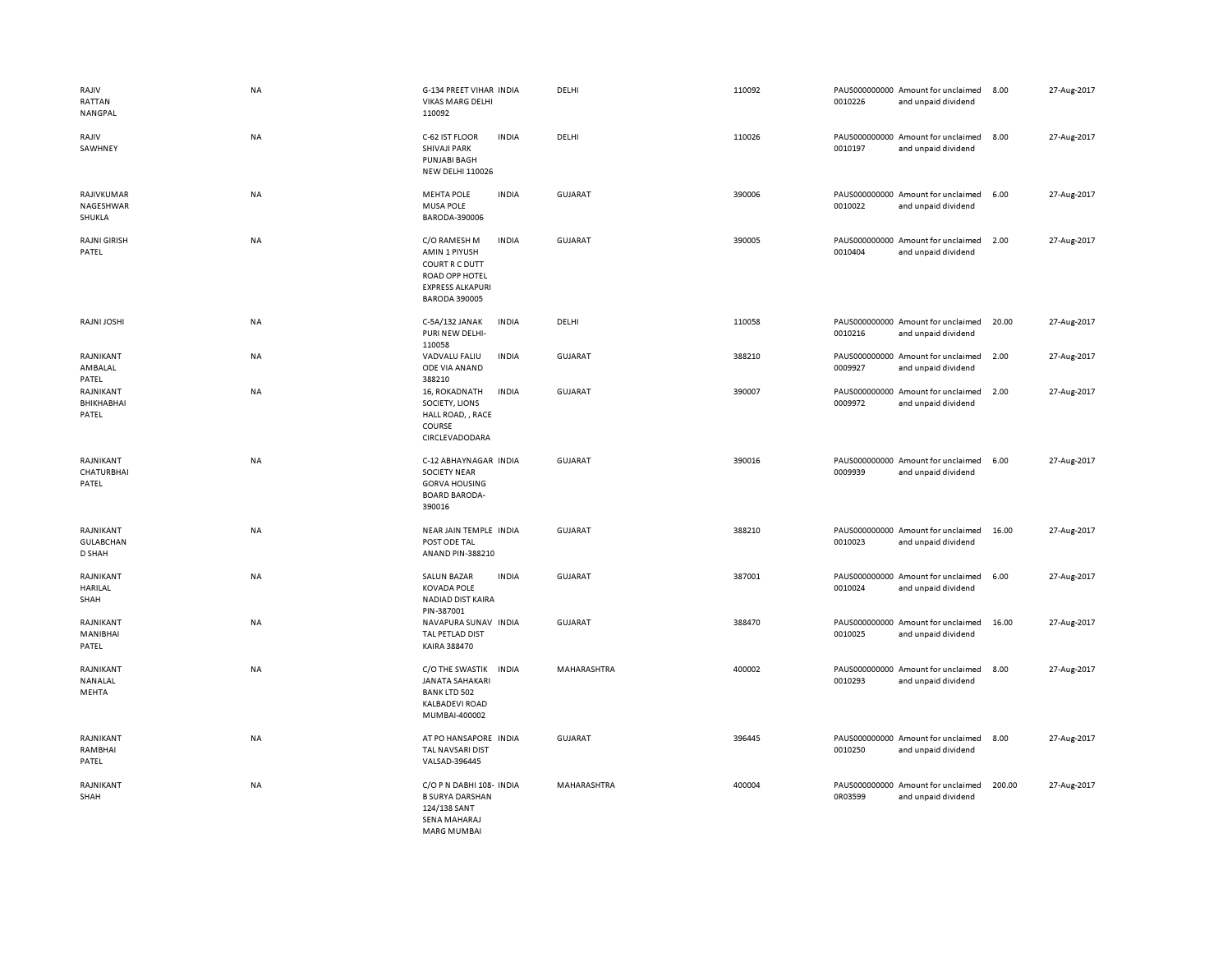| RAJIV<br>RATTAN<br>NANGPAL              | <b>NA</b> | <b>G-134 PREET VIHAR INDIA</b><br><b>VIKAS MARG DELHI</b><br>110092                                                                  | DELHI          | 110092 | 0010226 | PAUS000000000 Amount for unclaimed<br>and unpaid dividend | 8.00   | 27-Aug-2017 |
|-----------------------------------------|-----------|--------------------------------------------------------------------------------------------------------------------------------------|----------------|--------|---------|-----------------------------------------------------------|--------|-------------|
| RAJIV<br>SAWHNEY                        | NA        | C-62 IST FLOOR<br><b>INDIA</b><br><b>SHIVAJI PARK</b><br><b>PUNJABI BAGH</b><br><b>NEW DELHI 110026</b>                              | DELHI          | 110026 | 0010197 | PAUS000000000 Amount for unclaimed<br>and unpaid dividend | 8.00   | 27-Aug-2017 |
| RAJIVKUMAR<br>NAGESHWAR<br>SHUKLA       | <b>NA</b> | <b>MEHTA POLE</b><br><b>INDIA</b><br><b>MUSA POLE</b><br>BARODA-390006                                                               | <b>GUJARAT</b> | 390006 | 0010022 | PAUS000000000 Amount for unclaimed<br>and unpaid dividend | 6.00   | 27-Aug-2017 |
| <b>RAJNI GIRISH</b><br>PATEL            | NA        | C/O RAMESH M<br><b>INDIA</b><br>AMIN 1 PIYUSH<br>COURT R C DUTT<br>ROAD OPP HOTEL<br><b>EXPRESS ALKAPURI</b><br><b>BARODA 390005</b> | <b>GUJARAT</b> | 390005 | 0010404 | PAUS000000000 Amount for unclaimed<br>and unpaid dividend | 2.00   | 27-Aug-2017 |
| RAJNI JOSHI                             | NA        | C-5A/132 JANAK<br><b>INDIA</b><br>PURI NEW DELHI-<br>110058                                                                          | DELHI          | 110058 | 0010216 | PAUS000000000 Amount for unclaimed<br>and unpaid dividend | 20.00  | 27-Aug-2017 |
| RAJNIKANT<br>AMBALAL<br>PATEL           | <b>NA</b> | VADVALU FALIU<br><b>INDIA</b><br>ODE VIA ANAND<br>388210                                                                             | GUJARAT        | 388210 | 0009927 | PAUS000000000 Amount for unclaimed<br>and unpaid dividend | 2.00   | 27-Aug-2017 |
| RAJNIKANT<br>BHIKHABHAI<br>PATEL        | <b>NA</b> | 16, ROKADNATH<br><b>INDIA</b><br>SOCIETY, LIONS<br>HALL ROAD, , RACE<br>COURSE<br>CIRCLEVADODARA                                     | <b>GUJARAT</b> | 390007 | 0009972 | PAUS000000000 Amount for unclaimed<br>and unpaid dividend | 2.00   | 27-Aug-2017 |
| RAJNIKANT<br>CHATURBHAI<br>PATEL        | NA        | C-12 ABHAYNAGAR INDIA<br><b>SOCIETY NEAR</b><br><b>GORVA HOUSING</b><br><b>BOARD BARODA-</b><br>390016                               | <b>GUJARAT</b> | 390016 | 0009939 | PAUS000000000 Amount for unclaimed<br>and unpaid dividend | 6.00   | 27-Aug-2017 |
| RAJNIKANT<br><b>GULABCHAN</b><br>D SHAH | NA        | NEAR JAIN TEMPLE INDIA<br>POST ODE TAL<br>ANAND PIN-388210                                                                           | <b>GUJARAT</b> | 388210 | 0010023 | PAUS000000000 Amount for unclaimed<br>and unpaid dividend | 16.00  | 27-Aug-2017 |
| RAJNIKANT<br>HARILAL<br>SHAH            | NA        | <b>INDIA</b><br><b>SALUN BAZAR</b><br><b>KOVADA POLE</b><br>NADIAD DIST KAIRA<br>PIN-387001                                          | GUJARAT        | 387001 | 0010024 | PAUS000000000 Amount for unclaimed<br>and unpaid dividend | 6.00   | 27-Aug-2017 |
| RAJNIKANT<br>MANIBHAI<br>PATEL          | <b>NA</b> | NAVAPURA SUNAV INDIA<br>TAL PETLAD DIST<br>KAIRA 388470                                                                              | <b>GUJARAT</b> | 388470 | 0010025 | PAUS000000000 Amount for unclaimed<br>and unpaid dividend | 16.00  | 27-Aug-2017 |
| RAJNIKANT<br>NANALAL<br>MEHTA           | NA        | C/O THE SWASTIK INDIA<br><b>JANATA SAHAKARI</b><br><b>BANK LTD 502</b><br><b>KALBADEVI ROAD</b><br>MUMBAI-400002                     | MAHARASHTRA    | 400002 | 0010293 | PAUS000000000 Amount for unclaimed<br>and unpaid dividend | 8.00   | 27-Aug-2017 |
| RAJNIKANT<br>RAMBHAI<br>PATEL           | <b>NA</b> | AT PO HANSAPORE INDIA<br>TAL NAVSARI DIST<br>VALSAD-396445                                                                           | <b>GUJARAT</b> | 396445 | 0010250 | PAUS000000000 Amount for unclaimed<br>and unpaid dividend | 8.00   | 27-Aug-2017 |
| RAJNIKANT<br>SHAH                       | NA        | C/O P N DABHI 108- INDIA<br><b>B SURYA DARSHAN</b><br>124/138 SANT<br>SENA MAHARAJ<br><b>MARG MUMBAL</b>                             | MAHARASHTRA    | 400004 | 0R03599 | PAUS000000000 Amount for unclaimed<br>and unpaid dividend | 200.00 | 27-Aug-2017 |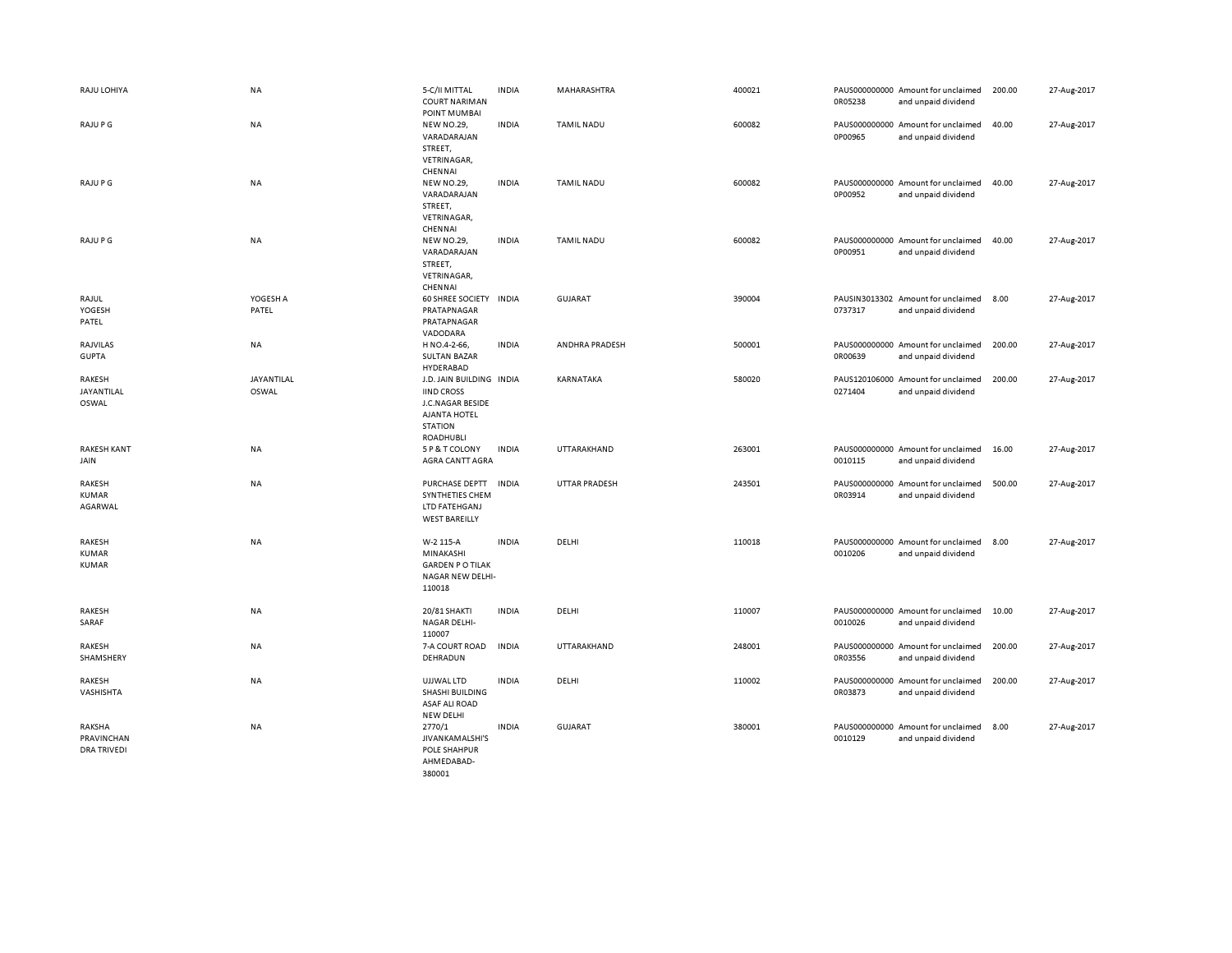| RAJU LOHIYA                                | <b>NA</b>           | 5-C/II MITTAL<br><b>COURT NARIMAN</b><br>POINT MUMBAI                                                            | <b>INDIA</b> | MAHARASHTRA       | 400021 | 0R05238 | PAUS000000000 Amount for unclaimed<br>and unpaid dividend | 200.00 | 27-Aug-2017 |
|--------------------------------------------|---------------------|------------------------------------------------------------------------------------------------------------------|--------------|-------------------|--------|---------|-----------------------------------------------------------|--------|-------------|
| RAJU P G                                   | <b>NA</b>           | <b>NEW NO.29,</b><br>VARADARAJAN<br>STREET,<br>VETRINAGAR,<br>CHENNAI                                            | <b>INDIA</b> | <b>TAMIL NADU</b> | 600082 | 0P00965 | PAUS000000000 Amount for unclaimed<br>and unpaid dividend | 40.00  | 27-Aug-2017 |
| RAJU P G                                   | <b>NA</b>           | <b>NEW NO.29,</b><br>VARADARAJAN<br>STREET,<br>VETRINAGAR,<br>CHENNAI                                            | <b>INDIA</b> | <b>TAMIL NADU</b> | 600082 | 0P00952 | PAUS000000000 Amount for unclaimed<br>and unpaid dividend | 40.00  | 27-Aug-2017 |
| RAJU P G                                   | <b>NA</b>           | <b>NEW NO.29,</b><br>VARADARAJAN<br>STREET,<br>VETRINAGAR,<br>CHENNAI                                            | <b>INDIA</b> | <b>TAMIL NADU</b> | 600082 | 0P00951 | PAUS000000000 Amount for unclaimed<br>and unpaid dividend | 40.00  | 27-Aug-2017 |
| RAJUL<br>YOGESH<br>PATEL                   | YOGESH A<br>PATEL   | 60 SHREE SOCIETY INDIA<br>PRATAPNAGAR<br>PRATAPNAGAR<br>VADODARA                                                 |              | <b>GUJARAT</b>    | 390004 | 0737317 | PAUSIN3013302 Amount for unclaimed<br>and unpaid dividend | 8.00   | 27-Aug-2017 |
| RAJVILAS<br><b>GUPTA</b>                   | NA                  | H NO.4-2-66,<br><b>SULTAN BAZAR</b><br>HYDERABAD                                                                 | <b>INDIA</b> | ANDHRA PRADESH    | 500001 | 0R00639 | PAUS000000000 Amount for unclaimed<br>and unpaid dividend | 200.00 | 27-Aug-2017 |
| RAKESH<br>JAYANTILAL<br>OSWAL              | JAYANTILAL<br>OSWAL | J.D. JAIN BUILDING INDIA<br><b>IIND CROSS</b><br>J.C.NAGAR BESIDE<br>AJANTA HOTEL<br><b>STATION</b><br>ROADHUBLI |              | KARNATAKA         | 580020 | 0271404 | PAUS120106000 Amount for unclaimed<br>and unpaid dividend | 200.00 | 27-Aug-2017 |
| <b>RAKESH KANT</b><br>JAIN                 | NA                  | 5 P & T COLONY<br>AGRA CANTT AGRA                                                                                | <b>INDIA</b> | UTTARAKHAND       | 263001 | 0010115 | PAUS000000000 Amount for unclaimed<br>and unpaid dividend | 16.00  | 27-Aug-2017 |
| RAKESH<br>KUMAR<br>AGARWAL                 | NA                  | PURCHASE DEPTT INDIA<br>SYNTHETIES CHEM<br>LTD FATEHGANJ<br><b>WEST BAREILLY</b>                                 |              | UTTAR PRADESH     | 243501 | 0R03914 | PAUS000000000 Amount for unclaimed<br>and unpaid dividend | 500.00 | 27-Aug-2017 |
| RAKESH<br><b>KUMAR</b><br><b>KUMAR</b>     | NA                  | W-2 115-A<br>MINAKASHI<br><b>GARDEN PO TILAK</b><br>NAGAR NEW DELHI-<br>110018                                   | <b>INDIA</b> | DELHI             | 110018 | 0010206 | PAUS000000000 Amount for unclaimed<br>and unpaid dividend | 8.00   | 27-Aug-2017 |
| <b>RAKESH</b><br>SARAF                     | NA                  | 20/81 SHAKTI<br>NAGAR DELHI-<br>110007                                                                           | <b>INDIA</b> | DELHI             | 110007 | 0010026 | PAUS000000000 Amount for unclaimed<br>and unpaid dividend | 10.00  | 27-Aug-2017 |
| RAKESH<br>SHAMSHERY                        | NA                  | 7-A COURT ROAD<br>DEHRADUN                                                                                       | <b>INDIA</b> | UTTARAKHAND       | 248001 | 0R03556 | PAUS000000000 Amount for unclaimed<br>and unpaid dividend | 200.00 | 27-Aug-2017 |
| RAKESH<br>VASHISHTA                        | <b>NA</b>           | UJJWAL LTD<br>SHASHI BUILDING<br><b>ASAF ALI ROAD</b><br><b>NEW DELHI</b>                                        | <b>INDIA</b> | DELHI             | 110002 | 0R03873 | PAUS000000000 Amount for unclaimed<br>and unpaid dividend | 200.00 | 27-Aug-2017 |
| RAKSHA<br>PRAVINCHAN<br><b>DRA TRIVEDI</b> | NA                  | 2770/1<br>JIVANKAMALSHI'S<br><b>POLE SHAHPUR</b><br>AHMEDABAD-<br>380001                                         | <b>INDIA</b> | <b>GUJARAT</b>    | 380001 | 0010129 | PAUS000000000 Amount for unclaimed<br>and unpaid dividend | 8.00   | 27-Aug-2017 |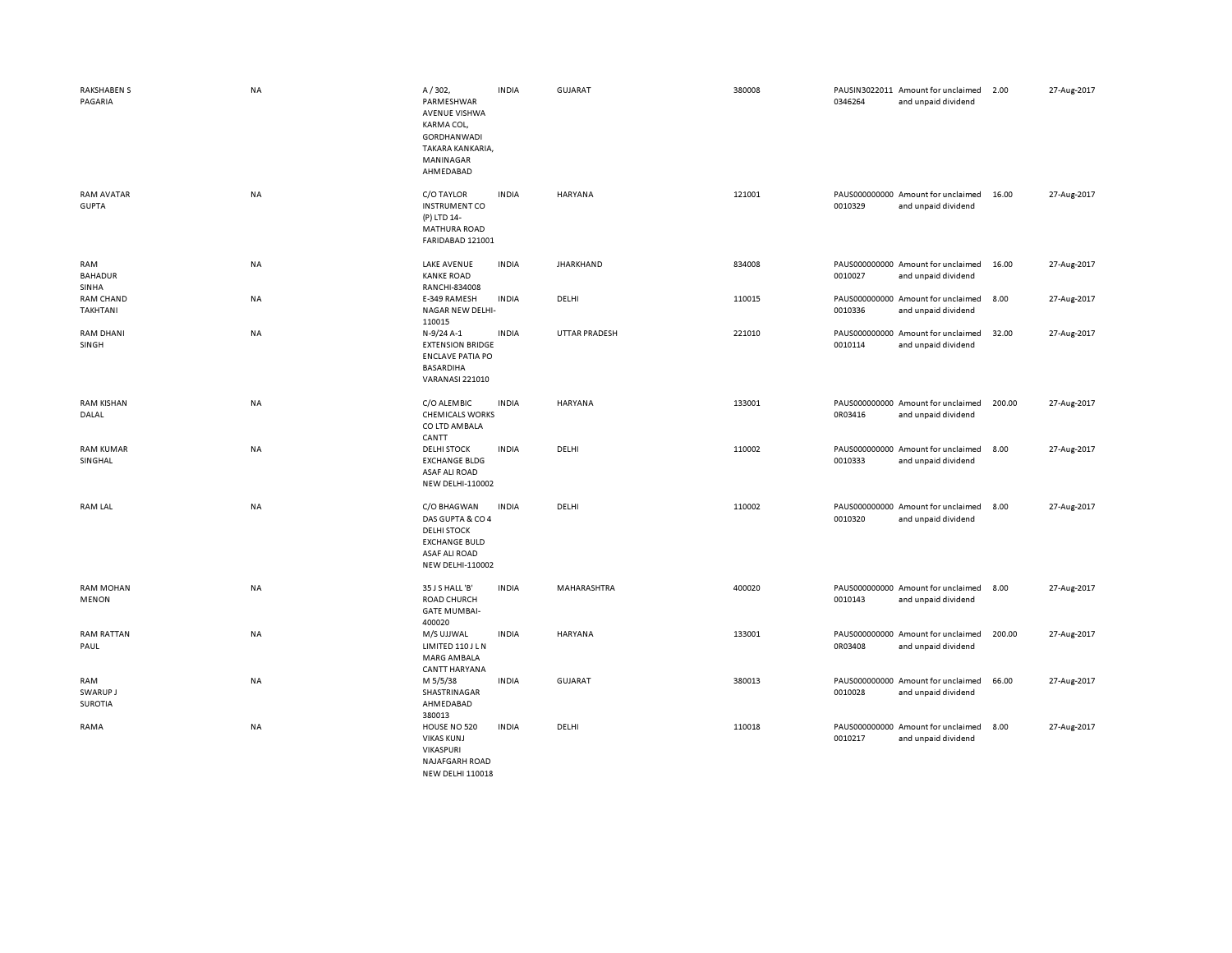| <b>RAKSHABEN S</b><br>PAGARIA         | NA        | A/302,<br>PARMESHWAR<br><b>AVENUE VISHWA</b><br>KARMA COL,<br><b>GORDHANWADI</b><br>TAKARA KANKARIA,<br>MANINAGAR<br>AHMEDABAD   | <b>INDIA</b> | <b>GUJARAT</b>   | 380008 | 0346264 | PAUSIN3022011 Amount for unclaimed<br>and unpaid dividend | 2.00   | 27-Aug-2017 |
|---------------------------------------|-----------|----------------------------------------------------------------------------------------------------------------------------------|--------------|------------------|--------|---------|-----------------------------------------------------------|--------|-------------|
| <b>RAM AVATAR</b><br><b>GUPTA</b>     | NA        | C/O TAYLOR<br><b>INSTRUMENT CO</b><br>(P) LTD 14-<br><b>MATHURA ROAD</b><br>FARIDABAD 121001                                     | <b>INDIA</b> | HARYANA          | 121001 | 0010329 | PAUS000000000 Amount for unclaimed<br>and unpaid dividend | 16.00  | 27-Aug-2017 |
| RAM<br><b>BAHADUR</b><br><b>SINHA</b> | NA        | <b>LAKE AVENUE</b><br><b>KANKE ROAD</b><br>RANCHI-834008                                                                         | <b>INDIA</b> | <b>JHARKHAND</b> | 834008 | 0010027 | PAUS000000000 Amount for unclaimed<br>and unpaid dividend | 16.00  | 27-Aug-2017 |
| RAM CHAND<br><b>TAKHTANI</b>          | NA        | E-349 RAMESH<br>NAGAR NEW DELHI-<br>110015                                                                                       | <b>INDIA</b> | DELHI            | 110015 | 0010336 | PAUS000000000 Amount for unclaimed<br>and unpaid dividend | 8.00   | 27-Aug-2017 |
| <b>RAM DHANI</b><br>SINGH             | NA        | N-9/24 A-1<br><b>EXTENSION BRIDGE</b><br><b>ENCLAVE PATIA PO</b><br><b>BASARDIHA</b><br><b>VARANASI 221010</b>                   | <b>INDIA</b> | UTTAR PRADESH    | 221010 | 0010114 | PAUS000000000 Amount for unclaimed<br>and unpaid dividend | 32.00  | 27-Aug-2017 |
| <b>RAM KISHAN</b><br>DALAL            | NA        | C/O ALEMBIC<br><b>CHEMICALS WORKS</b><br>CO LTD AMBALA<br>CANTT                                                                  | <b>INDIA</b> | <b>HARYANA</b>   | 133001 | 0R03416 | PAUS000000000 Amount for unclaimed<br>and unpaid dividend | 200.00 | 27-Aug-2017 |
| <b>RAM KUMAR</b><br>SINGHAL           | NA        | <b>DELHI STOCK</b><br><b>EXCHANGE BLDG</b><br><b>ASAF ALI ROAD</b><br><b>NEW DELHI-110002</b>                                    | <b>INDIA</b> | DELHI            | 110002 | 0010333 | PAUS000000000 Amount for unclaimed<br>and unpaid dividend | 8.00   | 27-Aug-2017 |
| <b>RAM LAL</b>                        | <b>NA</b> | C/O BHAGWAN<br>DAS GUPTA & CO 4<br><b>DELHI STOCK</b><br><b>EXCHANGE BULD</b><br><b>ASAF ALI ROAD</b><br><b>NEW DELHI-110002</b> | <b>INDIA</b> | DELHI            | 110002 | 0010320 | PAUS000000000 Amount for unclaimed<br>and unpaid dividend | 8.00   | 27-Aug-2017 |
| <b>RAM MOHAN</b><br><b>MENON</b>      | NA        | 35 J S HALL 'B'<br>ROAD CHURCH<br><b>GATE MUMBAI-</b><br>400020                                                                  | <b>INDIA</b> | MAHARASHTRA      | 400020 | 0010143 | PAUS000000000 Amount for unclaimed<br>and unpaid dividend | 8.00   | 27-Aug-2017 |
| <b>RAM RATTAN</b><br>PAUL             | NA        | M/S UJJWAL<br>LIMITED 110 J L N<br>MARG AMBALA<br><b>CANTT HARYANA</b>                                                           | <b>INDIA</b> | HARYANA          | 133001 | 0R03408 | PAUS000000000 Amount for unclaimed<br>and unpaid dividend | 200.00 | 27-Aug-2017 |
| RAM<br>SWARUP J<br><b>SUROTIA</b>     | NA        | M 5/5/38<br>SHASTRINAGAR<br>AHMEDABAD<br>380013                                                                                  | <b>INDIA</b> | <b>GUJARAT</b>   | 380013 | 0010028 | PAUS000000000 Amount for unclaimed<br>and unpaid dividend | 66.00  | 27-Aug-2017 |
| RAMA                                  | NA        | HOUSE NO 520<br><b>VIKAS KUNJ</b><br>VIKASPURI<br><b>NAJAFGARH ROAD</b><br><b>NEW DELHI 110018</b>                               | <b>INDIA</b> | DELHI            | 110018 | 0010217 | PAUS000000000 Amount for unclaimed<br>and unpaid dividend | 8.00   | 27-Aug-2017 |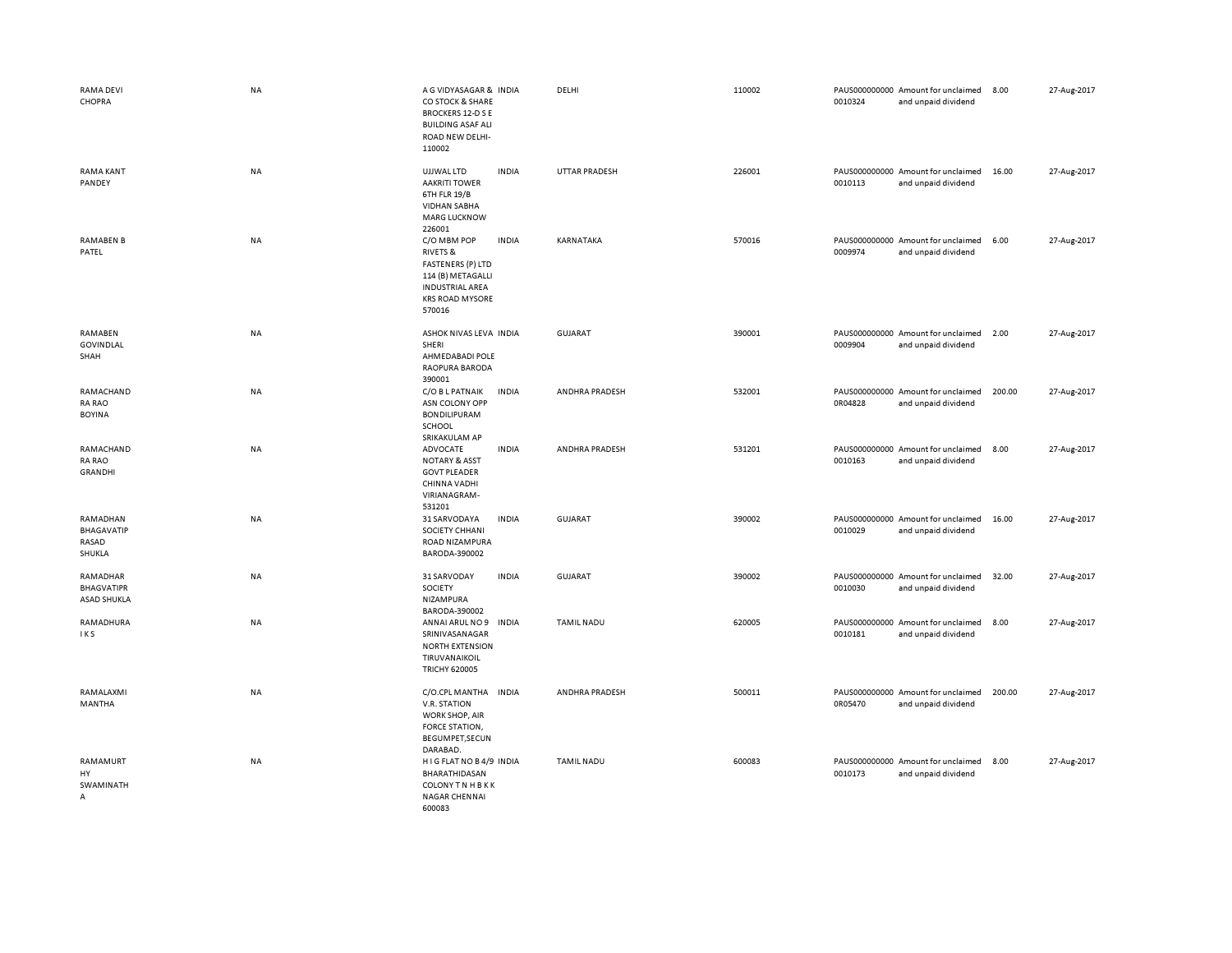| RAMA DEVI<br>CHOPRA                                 | <b>NA</b> | A G VIDYASAGAR & INDIA<br>CO STOCK & SHARE<br><b>BROCKERS 12-D S E</b><br><b>BUILDING ASAF ALI</b><br>ROAD NEW DELHI-<br>110002                                   | DELHI                | 110002 | 0010324 | PAUS000000000 Amount for unclaimed<br>and unpaid dividend | 8.00   | 27-Aug-2017 |
|-----------------------------------------------------|-----------|-------------------------------------------------------------------------------------------------------------------------------------------------------------------|----------------------|--------|---------|-----------------------------------------------------------|--------|-------------|
| <b>RAMA KANT</b><br>PANDEY                          | <b>NA</b> | UJJWAL LTD<br><b>INDIA</b><br><b>AAKRITI TOWER</b><br>6TH FLR 19/B<br><b>VIDHAN SABHA</b><br><b>MARG LUCKNOW</b><br>226001                                        | <b>UTTAR PRADESH</b> | 226001 | 0010113 | PAUS000000000 Amount for unclaimed<br>and unpaid dividend | 16.00  | 27-Aug-2017 |
| <b>RAMABEN B</b><br>PATEL                           | <b>NA</b> | <b>INDIA</b><br>C/O MBM POP<br><b>RIVETS &amp;</b><br><b>FASTENERS (P) LTD</b><br>114 (B) METAGALLI<br><b>INDUSTRIAL AREA</b><br><b>KRS ROAD MYSORE</b><br>570016 | KARNATAKA            | 570016 | 0009974 | PAUS000000000 Amount for unclaimed<br>and unpaid dividend | 6.00   | 27-Aug-2017 |
| RAMABEN<br>GOVINDLAL<br>SHAH                        | NA        | ASHOK NIVAS LEVA INDIA<br>SHERI<br>AHMEDABADI POLE<br>RAOPURA BARODA<br>390001                                                                                    | <b>GUJARAT</b>       | 390001 | 0009904 | PAUS000000000 Amount for unclaimed<br>and unpaid dividend | 2.00   | 27-Aug-2017 |
| RAMACHAND<br><b>RA RAO</b><br><b>BOYINA</b>         | NA        | C/O B L PATNAIK<br><b>INDIA</b><br>ASN COLONY OPP<br><b>BONDILIPURAM</b><br>SCHOOL<br>SRIKAKULAM AP                                                               | ANDHRA PRADESH       | 532001 | 0R04828 | PAUS000000000 Amount for unclaimed<br>and unpaid dividend | 200.00 | 27-Aug-2017 |
| RAMACHAND<br><b>RA RAO</b><br><b>GRANDHI</b>        | NA        | <b>INDIA</b><br>ADVOCATE<br><b>NOTARY &amp; ASST</b><br><b>GOVT PLEADER</b><br>CHINNA VADHI<br>VIRIANAGRAM-<br>531201                                             | ANDHRA PRADESH       | 531201 | 0010163 | PAUS000000000 Amount for unclaimed<br>and unpaid dividend | 8.00   | 27-Aug-2017 |
| RAMADHAN<br><b>BHAGAVATIP</b><br>RASAD<br>SHUKLA    | NA        | <b>INDIA</b><br>31 SARVODAYA<br>SOCIETY CHHANI<br>ROAD NIZAMPURA<br>BARODA-390002                                                                                 | <b>GUJARAT</b>       | 390002 | 0010029 | PAUS000000000 Amount for unclaimed<br>and unpaid dividend | 16.00  | 27-Aug-2017 |
| RAMADHAR<br><b>BHAGVATIPR</b><br><b>ASAD SHUKLA</b> | NA        | 31 SARVODAY<br><b>INDIA</b><br>SOCIETY<br>NIZAMPURA<br>BARODA-390002                                                                                              | <b>GUJARAT</b>       | 390002 | 0010030 | PAUS000000000 Amount for unclaimed<br>and unpaid dividend | 32.00  | 27-Aug-2017 |
| RAMADHURA<br>IKS                                    | NA        | ANNAI ARUL NO 9<br><b>INDIA</b><br>SRINIVASANAGAR<br><b>NORTH EXTENSION</b><br>TIRUVANAIKOIL<br><b>TRICHY 620005</b>                                              | <b>TAMIL NADU</b>    | 620005 | 0010181 | PAUS000000000 Amount for unclaimed<br>and unpaid dividend | 8.00   | 27-Aug-2017 |
| RAMALAXMI<br>MANTHA                                 | <b>NA</b> | C/O.CPL MANTHA<br><b>INDIA</b><br>V.R. STATION<br>WORK SHOP, AIR<br>FORCE STATION,<br>BEGUMPET, SECUN<br>DARABAD.                                                 | ANDHRA PRADESH       | 500011 | 0R05470 | PAUS000000000 Amount for unclaimed<br>and unpaid dividend | 200.00 | 27-Aug-2017 |
| RAMAMURT<br>HY<br>SWAMINATH<br>A                    | NA        | HIG FLAT NO B4/9 INDIA<br>BHARATHIDASAN<br><b>COLONY TN HBKK</b><br><b>NAGAR CHENNAI</b><br>600083                                                                | <b>TAMIL NADU</b>    | 600083 | 0010173 | PAUS000000000 Amount for unclaimed<br>and unpaid dividend | 8.00   | 27-Aug-2017 |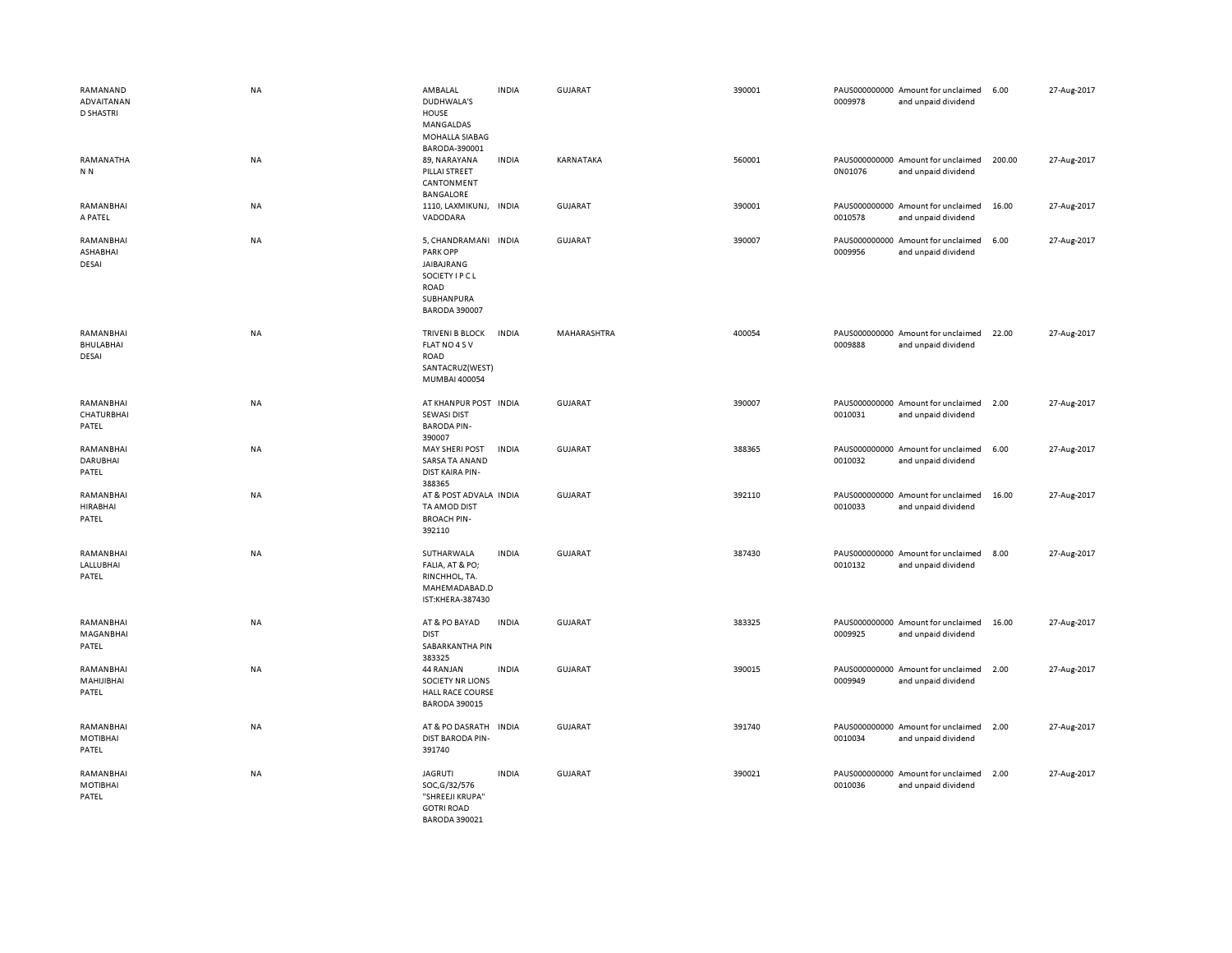| RAMANAND<br>ADVAITANAN<br><b>D SHASTRI</b> | <b>NA</b> | AMBALAL<br>DUDHWALA'S<br>HOUSE<br>MANGALDAS<br>MOHALLA SIABAG<br>BARODA-390001                                                | <b>INDIA</b> | GUJARAT        | 390001 | 0009978 | PAUS000000000 Amount for unclaimed<br>and unpaid dividend | 6.00   | 27-Aug-2017 |
|--------------------------------------------|-----------|-------------------------------------------------------------------------------------------------------------------------------|--------------|----------------|--------|---------|-----------------------------------------------------------|--------|-------------|
| RAMANATHA<br>N <sub>N</sub>                | NA        | 89, NARAYANA<br>PILLAI STREET<br>CANTONMENT<br><b>BANGALORE</b>                                                               | <b>INDIA</b> | KARNATAKA      | 560001 | 0N01076 | PAUS000000000 Amount for unclaimed<br>and unpaid dividend | 200.00 | 27-Aug-2017 |
| RAMANBHAI<br>A PATEL                       | NA        | 1110, LAXMIKUNJ, INDIA<br>VADODARA                                                                                            |              | <b>GUJARAT</b> | 390001 | 0010578 | PAUS000000000 Amount for unclaimed<br>and unpaid dividend | 16.00  | 27-Aug-2017 |
| RAMANBHAI<br>ASHABHAI<br>DESAI             | NA        | 5, CHANDRAMANI INDIA<br><b>PARK OPP</b><br>JAIBAJRANG<br>SOCIETY I P C L<br><b>ROAD</b><br>SUBHANPURA<br><b>BARODA 390007</b> |              | <b>GUJARAT</b> | 390007 | 0009956 | PAUS000000000 Amount for unclaimed<br>and unpaid dividend | 6.00   | 27-Aug-2017 |
| RAMANBHAI<br>BHULABHAI<br>DESAI            | NA        | <b>TRIVENI B BLOCK</b><br>FLAT NO 4 S V<br>ROAD<br>SANTACRUZ(WEST)<br>MUMBAI 400054                                           | <b>INDIA</b> | MAHARASHTRA    | 400054 | 0009888 | PAUS000000000 Amount for unclaimed<br>and unpaid dividend | 22.00  | 27-Aug-2017 |
| RAMANBHAI<br>CHATURBHAI<br>PATEL           | NA        | AT KHANPUR POST INDIA<br><b>SEWASI DIST</b><br><b>BARODA PIN-</b><br>390007                                                   |              | GUJARAT        | 390007 | 0010031 | PAUS000000000 Amount for unclaimed<br>and unpaid dividend | 2.00   | 27-Aug-2017 |
| RAMANBHAI<br><b>DARUBHAI</b><br>PATEL      | NA        | <b>MAY SHERI POST</b><br>SARSA TA ANAND<br>DIST KAIRA PIN-<br>388365                                                          | <b>INDIA</b> | <b>GUJARAT</b> | 388365 | 0010032 | PAUS000000000 Amount for unclaimed<br>and unpaid dividend | 6.00   | 27-Aug-2017 |
| RAMANBHAI<br><b>HIRABHAI</b><br>PATEL      | NA        | AT & POST ADVALA INDIA<br>TA AMOD DIST<br><b>BROACH PIN-</b><br>392110                                                        |              | GUJARAT        | 392110 | 0010033 | PAUS000000000 Amount for unclaimed<br>and unpaid dividend | 16.00  | 27-Aug-2017 |
| RAMANBHAI<br>LALLUBHAI<br>PATEL            | NA        | SUTHARWALA<br>FALIA, AT & PO;<br>RINCHHOL, TA.<br>MAHEMADABAD.D<br>IST:KHERA-387430                                           | <b>INDIA</b> | <b>GUJARAT</b> | 387430 | 0010132 | PAUS000000000 Amount for unclaimed<br>and unpaid dividend | 8.00   | 27-Aug-2017 |
| RAMANBHAI<br>MAGANBHAI<br>PATEL            | <b>NA</b> | AT & PO BAYAD<br><b>DIST</b><br>SABARKANTHA PIN<br>383325                                                                     | <b>INDIA</b> | <b>GUJARAT</b> | 383325 | 0009925 | PAUS000000000 Amount for unclaimed<br>and unpaid dividend | 16.00  | 27-Aug-2017 |
| RAMANBHAI<br>MAHIJIBHAI<br>PATEL           | <b>NA</b> | 44 RANJAN<br><b>SOCIETY NR LIONS</b><br><b>HALL RACE COURSE</b><br><b>BARODA 390015</b>                                       | <b>INDIA</b> | <b>GUJARAT</b> | 390015 | 0009949 | PAUS000000000 Amount for unclaimed<br>and unpaid dividend | 2.00   | 27-Aug-2017 |
| RAMANBHAI<br>MOTIBHAI<br>PATEL             | NA        | AT & PO DASRATH INDIA<br>DIST BARODA PIN-<br>391740                                                                           |              | <b>GUJARAT</b> | 391740 | 0010034 | PAUS000000000 Amount for unclaimed<br>and unpaid dividend | 2.00   | 27-Aug-2017 |
| RAMANBHAI<br>MOTIBHAI<br>PATEL             | NA        | <b>JAGRUTI</b><br>SOC, G/32/576<br>"SHREEJI KRUPA"<br><b>GOTRI ROAD</b><br><b>BARODA 390021</b>                               | <b>INDIA</b> | <b>GUJARAT</b> | 390021 | 0010036 | PAUS000000000 Amount for unclaimed<br>and unpaid dividend | 2.00   | 27-Aug-2017 |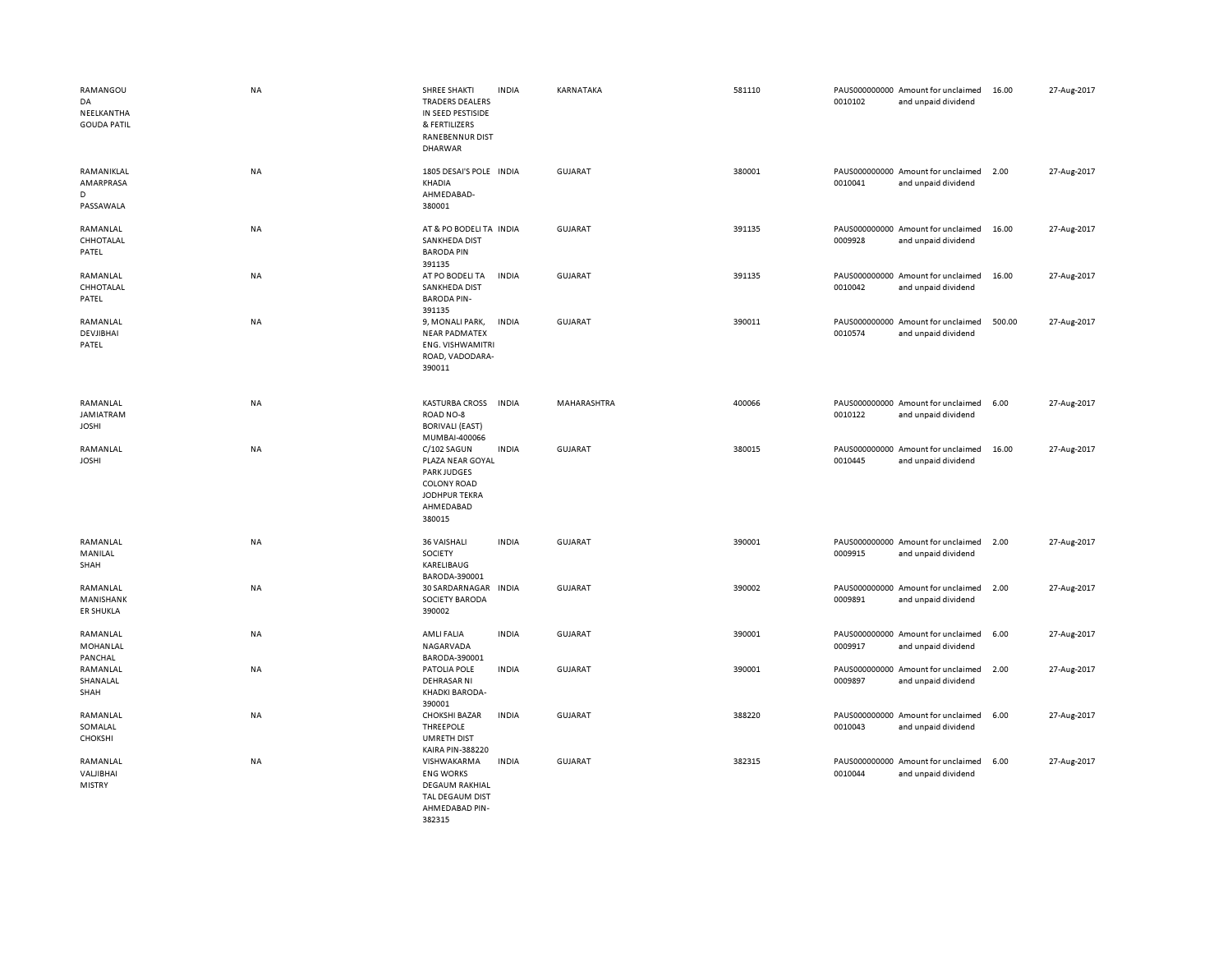| RAMANGOU<br>DA<br>NEELKANTHA<br><b>GOUDA PATIL</b> | <b>NA</b> | <b>SHREE SHAKTI</b><br><b>TRADERS DEALERS</b><br>IN SEED PESTISIDE<br>& FERTILIZERS<br><b>RANEBENNUR DIST</b><br><b>DHARWAR</b> | <b>INDIA</b> | KARNATAKA      | 581110 | 0010102 | PAUS000000000 Amount for unclaimed<br>and unpaid dividend | 16.00  | 27-Aug-2017 |
|----------------------------------------------------|-----------|---------------------------------------------------------------------------------------------------------------------------------|--------------|----------------|--------|---------|-----------------------------------------------------------|--------|-------------|
| RAMANIKLAL<br>AMARPRASA<br>D<br>PASSAWALA          | <b>NA</b> | 1805 DESAI'S POLE IN DIA<br>KHADIA<br>AHMEDABAD-<br>380001                                                                      |              | <b>GUJARAT</b> | 380001 | 0010041 | PAUS000000000 Amount for unclaimed<br>and unpaid dividend | 2.00   | 27-Aug-2017 |
| RAMANLAL<br>CHHOTALAL<br>PATEL                     | NA        | AT & PO BODELITA INDIA<br><b>SANKHEDA DIST</b><br><b>BARODA PIN</b><br>391135                                                   |              | <b>GUJARAT</b> | 391135 | 0009928 | PAUS000000000 Amount for unclaimed<br>and unpaid dividend | 16.00  | 27-Aug-2017 |
| RAMANLAL<br>CHHOTALAL<br>PATEL                     | <b>NA</b> | AT PO BODELI TA<br><b>SANKHEDA DIST</b><br><b>BARODA PIN-</b><br>391135                                                         | <b>INDIA</b> | <b>GUJARAT</b> | 391135 | 0010042 | PAUS000000000 Amount for unclaimed<br>and unpaid dividend | 16.00  | 27-Aug-2017 |
| RAMANLAL<br>DEVJIBHAI<br>PATEL                     | <b>NA</b> | 9, MONALI PARK,<br><b>NEAR PADMATEX</b><br><b>ENG. VISHWAMITRI</b><br>ROAD, VADODARA-<br>390011                                 | <b>INDIA</b> | <b>GUJARAT</b> | 390011 | 0010574 | PAUS000000000 Amount for unclaimed<br>and unpaid dividend | 500.00 | 27-Aug-2017 |
| RAMANLAL<br>JAMIATRAM<br><b>JOSHI</b>              | <b>NA</b> | <b>KASTURBA CROSS</b><br>ROAD NO-8<br><b>BORIVALI (EAST)</b><br>MUMBAI-400066                                                   | <b>INDIA</b> | MAHARASHTRA    | 400066 | 0010122 | PAUS000000000 Amount for unclaimed<br>and unpaid dividend | 6.00   | 27-Aug-2017 |
| RAMANLAL<br><b>JOSHI</b>                           | <b>NA</b> | C/102 SAGUN<br>PLAZA NEAR GOYAL<br><b>PARK JUDGES</b><br><b>COLONY ROAD</b><br><b>JODHPUR TEKRA</b><br>AHMEDABAD<br>380015      | <b>INDIA</b> | <b>GUJARAT</b> | 380015 | 0010445 | PAUS000000000 Amount for unclaimed<br>and unpaid dividend | 16.00  | 27-Aug-2017 |
| RAMANLAL<br>MANILAL<br>SHAH                        | NA        | 36 VAISHALI<br>SOCIETY<br>KARELIBAUG<br>BARODA-390001                                                                           | <b>INDIA</b> | <b>GUJARAT</b> | 390001 | 0009915 | PAUS000000000 Amount for unclaimed<br>and unpaid dividend | 2.00   | 27-Aug-2017 |
| RAMANLAL<br>MANISHANK<br><b>ER SHUKLA</b>          | NA        | 30 SARDARNAGAR<br>SOCIETY BARODA<br>390002                                                                                      | <b>INDIA</b> | <b>GUJARAT</b> | 390002 | 0009891 | PAUS000000000 Amount for unclaimed<br>and unpaid dividend | 2.00   | 27-Aug-2017 |
| RAMANLAL<br>MOHANLAL<br>PANCHAL                    | NA        | AMLI FALIA<br>NAGARVADA<br>BARODA-390001                                                                                        | <b>INDIA</b> | GUJARAT        | 390001 | 0009917 | PAUS000000000 Amount for unclaimed<br>and unpaid dividend | 6.00   | 27-Aug-2017 |
| RAMANLAL<br>SHANALAL<br>SHAH                       | <b>NA</b> | PATOLIA POLE<br><b>DEHRASAR NI</b><br>KHADKI BARODA-<br>390001                                                                  | <b>INDIA</b> | <b>GUJARAT</b> | 390001 | 0009897 | PAUS000000000 Amount for unclaimed<br>and unpaid dividend | 2.00   | 27-Aug-2017 |
| RAMANLAL<br>SOMALAL<br>CHOKSHI                     | NA        | <b>CHOKSHI BAZAR</b><br>THREEPOLE<br><b>UMRETH DIST</b><br>KAIRA PIN-388220                                                     | <b>INDIA</b> | <b>GUJARAT</b> | 388220 | 0010043 | PAUS000000000 Amount for unclaimed<br>and unpaid dividend | 6.00   | 27-Aug-2017 |
| RAMANLAL<br>VALIBHAI<br><b>MISTRY</b>              | <b>NA</b> | VISHWAKARMA<br><b>ENG WORKS</b><br><b>DEGAUM RAKHIAL</b><br><b>TAL DEGAUM DIST</b><br>AHMEDABAD PIN-                            | <b>INDIA</b> | <b>GUJARAT</b> | 382315 | 0010044 | PAUS000000000 Amount for unclaimed<br>and unpaid dividend | 6.00   | 27-Aug-2017 |

382315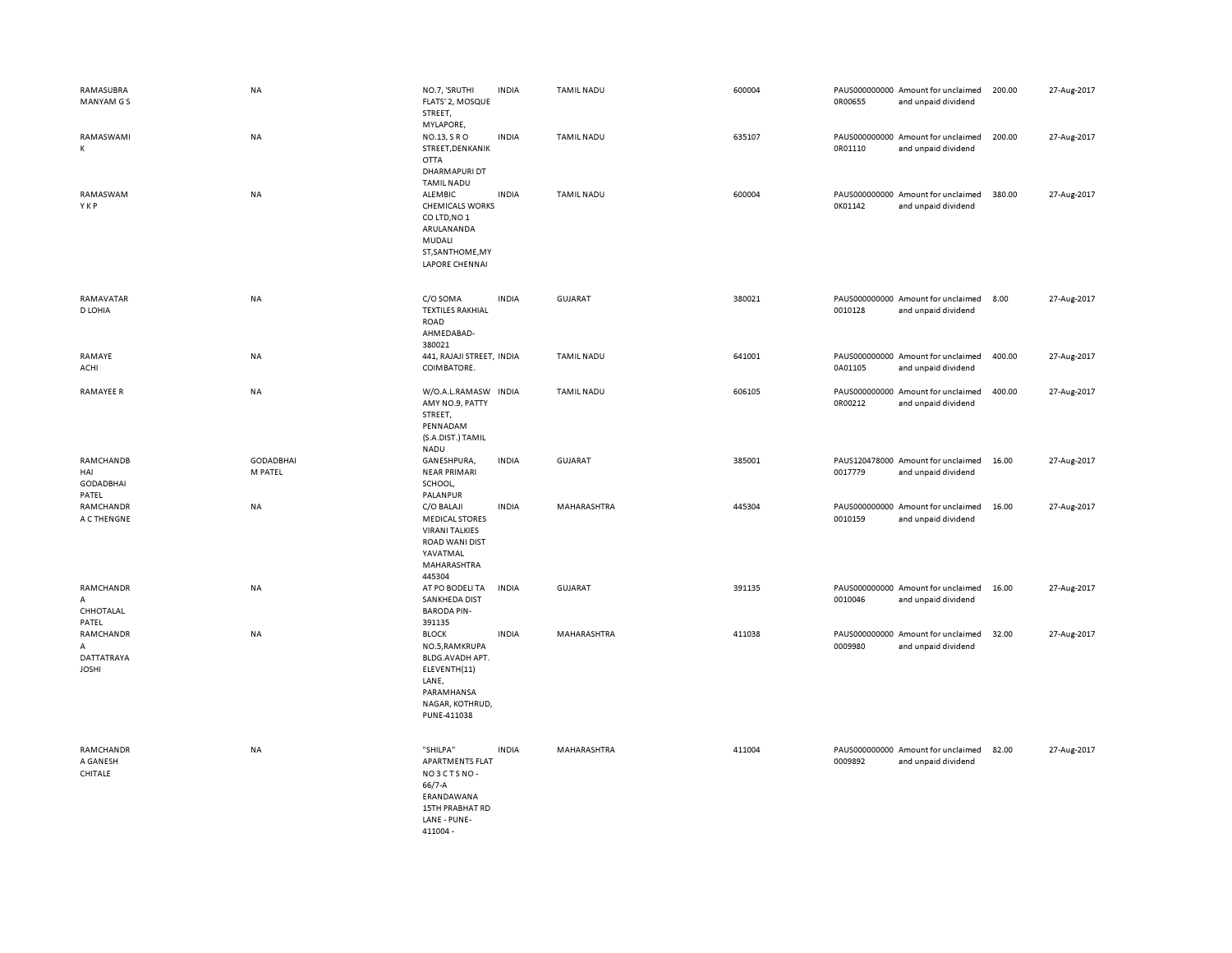| RAMASUBRA<br>MANYAM G S                             | NA                          | NO.7, 'SRUTHI<br>FLATS' 2, MOSQUE<br>STREET,<br>MYLAPORE,                                                                  | <b>INDIA</b> | <b>TAMIL NADU</b> | 600004 | 0R00655 | PAUS000000000 Amount for unclaimed<br>and unpaid dividend | 200.00 | 27-Aug-2017 |
|-----------------------------------------------------|-----------------------------|----------------------------------------------------------------------------------------------------------------------------|--------------|-------------------|--------|---------|-----------------------------------------------------------|--------|-------------|
| RAMASWAMI<br>К                                      | NA                          | NO.13, SRO<br>STREET, DENKANIK<br>OTTA<br><b>DHARMAPURI DT</b><br><b>TAMIL NADU</b>                                        | <b>INDIA</b> | <b>TAMIL NADU</b> | 635107 | 0R01110 | PAUS000000000 Amount for unclaimed<br>and unpaid dividend | 200.00 | 27-Aug-2017 |
| RAMASWAM<br>YKP                                     | NA                          | ALEMBIC<br><b>CHEMICALS WORKS</b><br>CO LTD, NO 1<br>ARULANANDA<br>MUDALI<br>ST, SANTHOME, MY<br>LAPORE CHENNAI            | <b>INDIA</b> | <b>TAMIL NADU</b> | 600004 | 0K01142 | PAUS000000000 Amount for unclaimed<br>and unpaid dividend | 380.00 | 27-Aug-2017 |
| RAMAVATAR<br>D LOHIA                                | NA                          | C/O SOMA<br><b>TEXTILES RAKHIAL</b><br>ROAD<br>AHMEDABAD-<br>380021                                                        | <b>INDIA</b> | GUJARAT           | 380021 | 0010128 | PAUS000000000 Amount for unclaimed<br>and unpaid dividend | 8.00   | 27-Aug-2017 |
| RAMAYE<br>ACHI                                      | NA                          | 441, RAJAJI STREET, INDIA<br>COIMBATORE.                                                                                   |              | <b>TAMIL NADU</b> | 641001 | 0A01105 | PAUS000000000 Amount for unclaimed<br>and unpaid dividend | 400.00 | 27-Aug-2017 |
| RAMAYEE R                                           | NA                          | W/O.A.L.RAMASW INDIA<br>AMY NO.9, PATTY<br>STREET,<br>PENNADAM<br>(S.A.DIST.) TAMIL<br><b>NADU</b>                         |              | <b>TAMIL NADU</b> | 606105 | 0R00212 | PAUS000000000 Amount for unclaimed<br>and unpaid dividend | 400.00 | 27-Aug-2017 |
| RAMCHANDB<br>HAI<br><b>GODADBHAI</b><br>PATEL       | <b>GODADBHAI</b><br>M PATEL | GANESHPURA,<br><b>NEAR PRIMARI</b><br>SCHOOL,<br>PALANPUR                                                                  | <b>INDIA</b> | <b>GUJARAT</b>    | 385001 | 0017779 | PAUS120478000 Amount for unclaimed<br>and unpaid dividend | 16.00  | 27-Aug-2017 |
| RAMCHANDR<br>A C THENGNE                            | <b>NA</b>                   | C/O BALAJI<br><b>MEDICAL STORES</b><br><b>VIRANI TALKIES</b><br><b>ROAD WANI DIST</b><br>YAVATMAL<br>MAHARASHTRA<br>445304 | <b>INDIA</b> | MAHARASHTRA       | 445304 | 0010159 | PAUS000000000 Amount for unclaimed<br>and unpaid dividend | 16.00  | 27-Aug-2017 |
| RAMCHANDR<br>A<br>CHHOTALAL<br>PATEL                | NA                          | AT PO BODELI TA<br>SANKHEDA DIST<br><b>BARODA PIN-</b><br>391135                                                           | <b>INDIA</b> | GUJARAT           | 391135 | 0010046 | PAUS000000000 Amount for unclaimed<br>and unpaid dividend | 16.00  | 27-Aug-2017 |
| RAMCHANDR<br>Α<br><b>DATTATRAYA</b><br><b>JOSHI</b> | NA                          | <b>BLOCK</b><br>NO.5, RAMKRUPA<br>BLDG.AVADH APT.<br>ELEVENTH(11)<br>LANE,<br>PARAMHANSA<br>NAGAR, KOTHRUD,<br>PUNE-411038 | <b>INDIA</b> | MAHARASHTRA       | 411038 | 0009980 | PAUS000000000 Amount for unclaimed<br>and unpaid dividend | 32.00  | 27-Aug-2017 |
| RAMCHANDR<br>A GANESH<br>CHITALE                    | <b>NA</b>                   | "SHILPA"<br><b>APARTMENTS FLAT</b><br>NO3CTSNO-<br>66/7-A<br>ERANDAWANA<br>15TH PRABHAT RD<br>LANE - PUNE-<br>411004 -     | <b>INDIA</b> | MAHARASHTRA       | 411004 | 0009892 | PAUS000000000 Amount for unclaimed<br>and unpaid dividend | 82.00  | 27-Aug-2017 |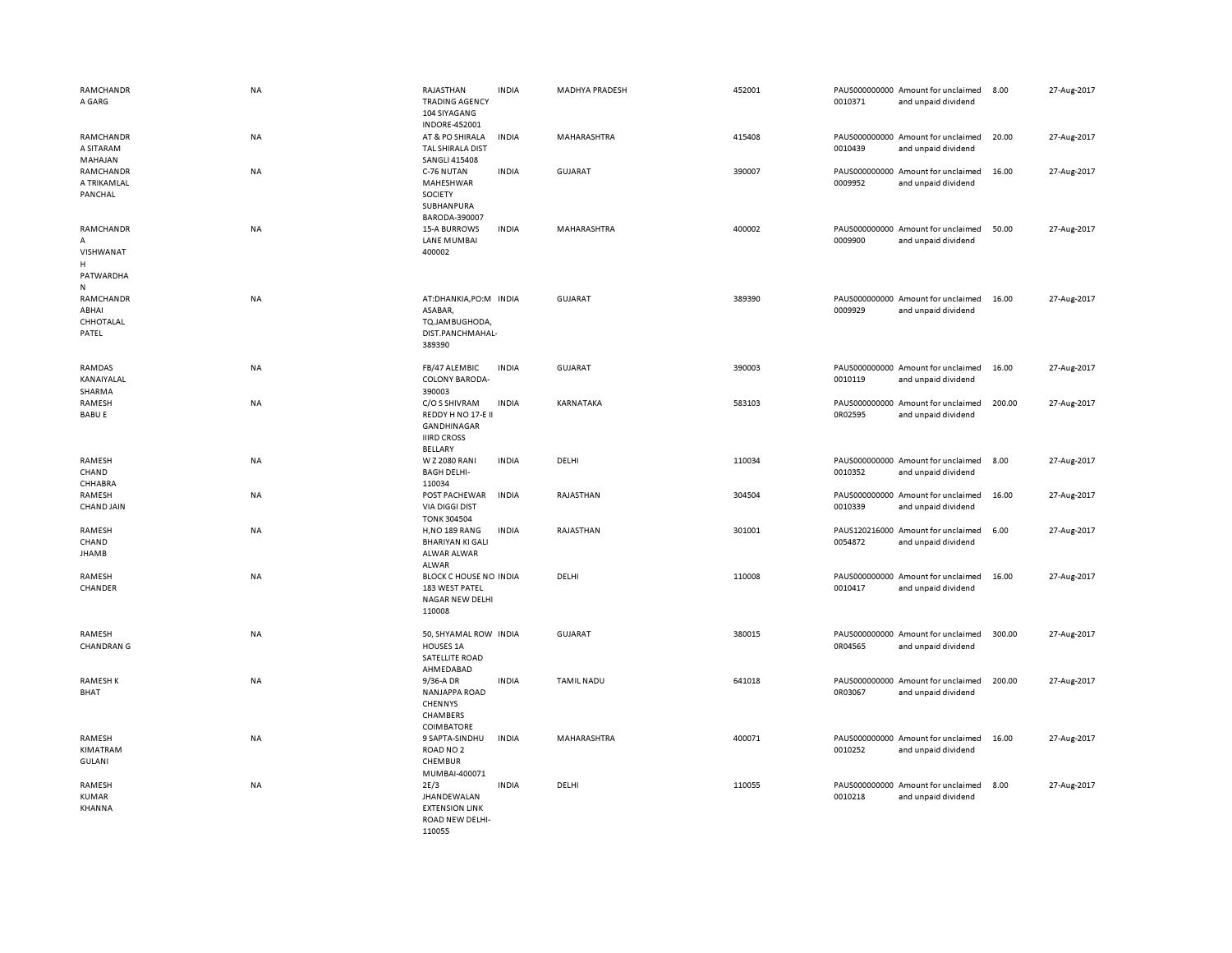| RAMCHANDR<br>A GARG                                | NA        | RAJASTHAN<br><b>TRADING AGENCY</b><br>104 SIYAGANG<br><b>INDORE-452001</b>          | <b>INDIA</b> | <b>MADHYA PRADESH</b> | 452001 | 0010371 | PAUS000000000 Amount for unclaimed<br>and unpaid dividend | 8.00   | 27-Aug-2017 |
|----------------------------------------------------|-----------|-------------------------------------------------------------------------------------|--------------|-----------------------|--------|---------|-----------------------------------------------------------|--------|-------------|
| RAMCHANDR<br>A SITARAM<br>MAHAJAN                  | <b>NA</b> | AT & PO SHIRALA<br>TAL SHIRALA DIST<br><b>SANGLI 415408</b>                         | <b>INDIA</b> | MAHARASHTRA           | 415408 | 0010439 | PAUS000000000 Amount for unclaimed<br>and unpaid dividend | 20.00  | 27-Aug-2017 |
| RAMCHANDR<br>A TRIKAMLAL<br>PANCHAL                | NA        | C-76 NUTAN<br>MAHESHWAR<br>SOCIETY<br>SUBHANPURA<br>BARODA-390007                   | <b>INDIA</b> | <b>GUJARAT</b>        | 390007 | 0009952 | PAUS000000000 Amount for unclaimed<br>and unpaid dividend | 16.00  | 27-Aug-2017 |
| RAMCHANDR<br>A<br>VISHWANAT<br>н<br>PATWARDHA<br>N | NA        | <b>15-A BURROWS</b><br><b>LANE MUMBAI</b><br>400002                                 | <b>INDIA</b> | MAHARASHTRA           | 400002 | 0009900 | PAUS000000000 Amount for unclaimed<br>and unpaid dividend | 50.00  | 27-Aug-2017 |
| RAMCHANDR<br>ABHAI<br>CHHOTALAL<br>PATEL           | NA        | AT:DHANKIA,PO:M INDIA<br>ASABAR,<br>TQ.JAMBUGHODA,<br>DIST.PANCHMAHAL-<br>389390    |              | GUJARAT               | 389390 | 0009929 | PAUS000000000 Amount for unclaimed<br>and unpaid dividend | 16.00  | 27-Aug-2017 |
| RAMDAS<br>KANAIYALAL<br>SHARMA                     | NA        | FB/47 ALEMBIC<br><b>COLONY BARODA-</b><br>390003                                    | <b>INDIA</b> | <b>GUJARAT</b>        | 390003 | 0010119 | PAUS000000000 Amount for unclaimed<br>and unpaid dividend | 16.00  | 27-Aug-2017 |
| RAMESH<br><b>BABUE</b>                             | NA        | C/O S SHIVRAM<br>REDDY H NO 17-E II<br>GANDHINAGAR<br><b>IIIRD CROSS</b><br>BELLARY | <b>INDIA</b> | KARNATAKA             | 583103 | 0R02595 | PAUS000000000 Amount for unclaimed<br>and unpaid dividend | 200.00 | 27-Aug-2017 |
| RAMESH<br>CHAND<br>CHHABRA                         | NA        | W Z 2080 RANI<br><b>BAGH DELHI-</b><br>110034                                       | <b>INDIA</b> | DELHI                 | 110034 | 0010352 | PAUS000000000 Amount for unclaimed<br>and unpaid dividend | 8.00   | 27-Aug-2017 |
| RAMESH<br><b>CHAND JAIN</b>                        | NA        | POST PACHEWAR<br><b>VIA DIGGI DIST</b><br><b>TONK 304504</b>                        | <b>INDIA</b> | RAJASTHAN             | 304504 | 0010339 | PAUS000000000 Amount for unclaimed<br>and unpaid dividend | 16.00  | 27-Aug-2017 |
| RAMESH<br>CHAND<br>JHAMB                           | <b>NA</b> | <b>H,NO 189 RANG</b><br><b>BHARIYAN KI GALI</b><br>ALWAR ALWAR<br>ALWAR             | <b>INDIA</b> | RAJASTHAN             | 301001 | 0054872 | PAUS120216000 Amount for unclaimed<br>and unpaid dividend | 6.00   | 27-Aug-2017 |
| RAMESH<br>CHANDER                                  | NA        | BLOCK C HOUSE NO INDIA<br>183 WEST PATEL<br>NAGAR NEW DELHI<br>110008               |              | DELHI                 | 110008 | 0010417 | PAUS000000000 Amount for unclaimed<br>and unpaid dividend | 16.00  | 27-Aug-2017 |
| RAMESH<br><b>CHANDRAN G</b>                        | NA        | 50, SHYAMAL ROW INDIA<br>HOUSES 1A<br>SATELLITE ROAD<br>AHMEDABAD                   |              | GUJARAT               | 380015 | 0R04565 | PAUS000000000 Amount for unclaimed<br>and unpaid dividend | 300.00 | 27-Aug-2017 |
| <b>RAMESHK</b><br>BHAT                             | NA        | 9/36-A DR<br><b>NANJAPPA ROAD</b><br>CHENNYS<br>CHAMBERS<br>COIMBATORE              | <b>INDIA</b> | <b>TAMIL NADU</b>     | 641018 | 0R03067 | PAUS000000000 Amount for unclaimed<br>and unpaid dividend | 200.00 | 27-Aug-2017 |
| RAMESH<br>KIMATRAM<br><b>GULANI</b>                | NA        | 9 SAPTA-SINDHU<br>ROAD NO <sub>2</sub><br>CHEMBUR<br>MUMBAI-400071                  | <b>INDIA</b> | MAHARASHTRA           | 400071 | 0010252 | PAUS000000000 Amount for unclaimed<br>and unpaid dividend | 16.00  | 27-Aug-2017 |
| RAMESH<br>KUMAR<br><b>KHANNA</b>                   | NA        | 2E/3<br><b>JHANDEWALAN</b><br><b>EXTENSION LINK</b><br>ROAD NEW DELHI-<br>110055    | <b>INDIA</b> | DELHI                 | 110055 | 0010218 | PAUS000000000 Amount for unclaimed<br>and unpaid dividend | 8.00   | 27-Aug-2017 |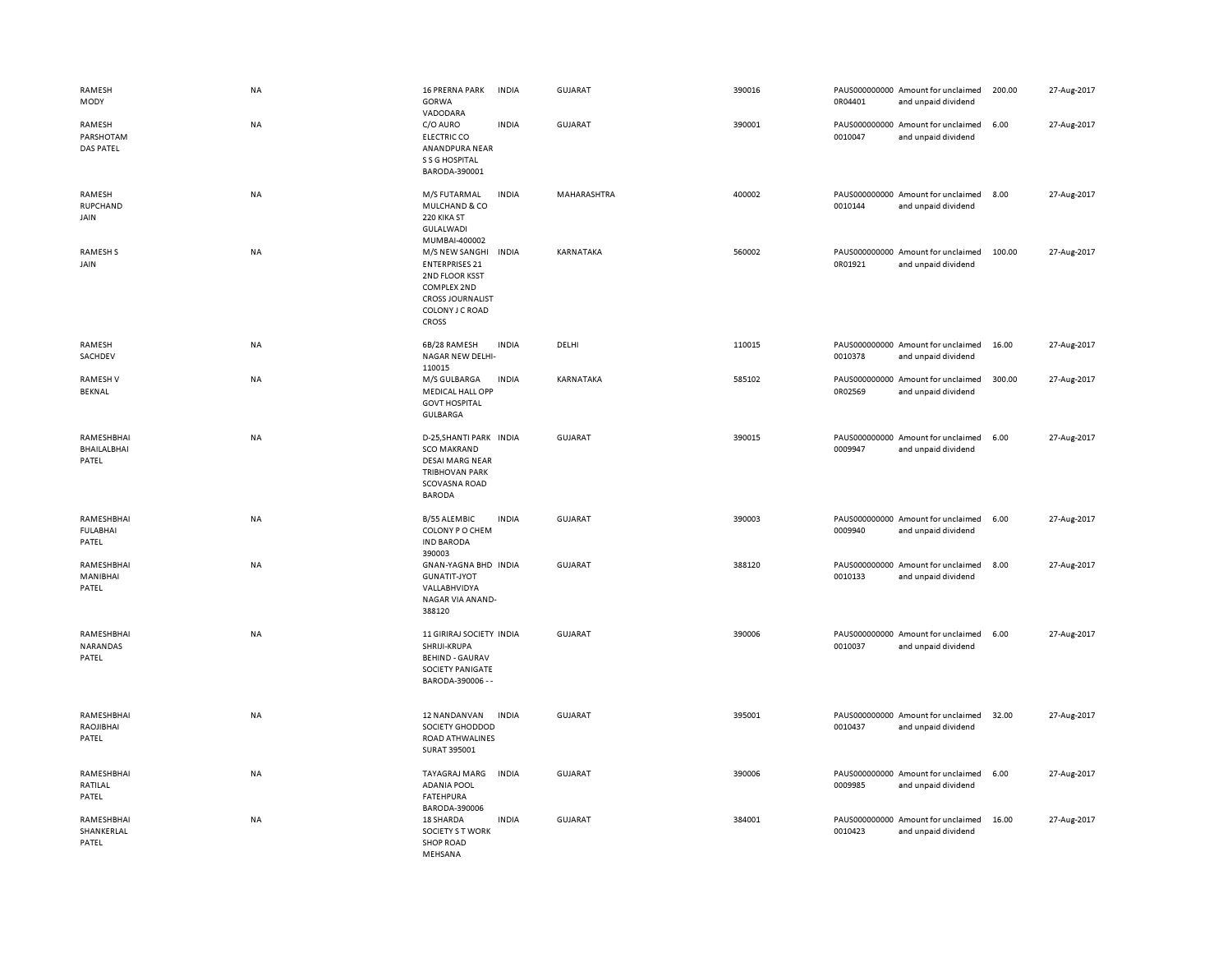| RAMESH<br>MODY                            | NA        | <b>16 PRERNA PARK</b><br>GORWA<br>VADODARA                                                                                             | <b>INDIA</b> | <b>GUJARAT</b> | 390016 | 0R04401 | PAUS000000000 Amount for unclaimed<br>and unpaid dividend | 200.00 | 27-Aug-2017 |
|-------------------------------------------|-----------|----------------------------------------------------------------------------------------------------------------------------------------|--------------|----------------|--------|---------|-----------------------------------------------------------|--------|-------------|
| RAMESH<br>PARSHOTAM<br>DAS PATEL          | <b>NA</b> | C/O AURO<br><b>ELECTRIC CO</b><br>ANANDPURA NEAR<br>S S G HOSPITAL<br>BARODA-390001                                                    | <b>INDIA</b> | GUJARAT        | 390001 | 0010047 | PAUS000000000 Amount for unclaimed<br>and unpaid dividend | 6.00   | 27-Aug-2017 |
| RAMESH<br>RUPCHAND<br>JAIN                | <b>NA</b> | M/S FUTARMAL<br>MULCHAND & CO<br>220 KIKA ST<br>GULALWADI<br>MUMBAI-400002                                                             | <b>INDIA</b> | MAHARASHTRA    | 400002 | 0010144 | PAUS000000000 Amount for unclaimed<br>and unpaid dividend | 8.00   | 27-Aug-2017 |
| <b>RAMESHS</b><br>JAIN                    | <b>NA</b> | M/S NEW SANGHI<br><b>ENTERPRISES 21</b><br>2ND FLOOR KSST<br>COMPLEX 2ND<br><b>CROSS JOURNALIST</b><br>COLONY J C ROAD<br><b>CROSS</b> | <b>INDIA</b> | KARNATAKA      | 560002 | 0R01921 | PAUS000000000 Amount for unclaimed<br>and unpaid dividend | 100.00 | 27-Aug-2017 |
| RAMESH<br>SACHDEV                         | NA        | 6B/28 RAMESH<br>NAGAR NEW DELHI-<br>110015                                                                                             | <b>INDIA</b> | DELHI          | 110015 | 0010378 | PAUS000000000 Amount for unclaimed<br>and unpaid dividend | 16.00  | 27-Aug-2017 |
| <b>RAMESHV</b><br>BEKNAL                  | NA        | M/S GULBARGA<br>MEDICAL HALL OPP<br><b>GOVT HOSPITAL</b><br>GULBARGA                                                                   | <b>INDIA</b> | KARNATAKA      | 585102 | 0R02569 | PAUS000000000 Amount for unclaimed<br>and unpaid dividend | 300.00 | 27-Aug-2017 |
| RAMESHBHAI<br><b>BHAILALBHAI</b><br>PATEL | NA        | D-25, SHANTI PARK INDIA<br><b>SCO MAKRAND</b><br><b>DESAI MARG NEAR</b><br><b>TRIBHOVAN PARK</b><br>SCOVASNA ROAD<br><b>BARODA</b>     |              | GUJARAT        | 390015 | 0009947 | PAUS000000000 Amount for unclaimed<br>and unpaid dividend | 6.00   | 27-Aug-2017 |
| RAMESHBHAI<br><b>FULABHAI</b><br>PATEL    | NA        | <b>B/55 ALEMBIC</b><br>COLONY P O CHEM<br><b>IND BARODA</b><br>390003                                                                  | <b>INDIA</b> | GUJARAT        | 390003 | 0009940 | PAUS000000000 Amount for unclaimed<br>and unpaid dividend | 6.00   | 27-Aug-2017 |
| RAMESHBHAI<br>MANIBHAI<br>PATEL           | <b>NA</b> | GNAN-YAGNA BHD INDIA<br><b>GUNATIT-JYOT</b><br>VALLABHVIDYA<br>NAGAR VIA ANAND-<br>388120                                              |              | <b>GUJARAT</b> | 388120 | 0010133 | PAUS000000000 Amount for unclaimed<br>and unpaid dividend | 8.00   | 27-Aug-2017 |
| RAMESHBHAI<br>NARANDAS<br>PATEL           | NA        | 11 GIRIRAJ SOCIETY INDIA<br>SHRIJI-KRUPA<br><b>BEHIND - GAURAV</b><br>SOCIETY PANIGATE<br>BARODA-390006 - -                            |              | <b>GUJARAT</b> | 390006 | 0010037 | PAUS000000000 Amount for unclaimed<br>and unpaid dividend | 6.00   | 27-Aug-2017 |
| RAMESHBHAI<br>RAOJIBHAI<br>PATEL          | <b>NA</b> | 12 NANDANVAN<br>SOCIETY GHODDOD<br>ROAD ATHWALINES<br>SURAT 395001                                                                     | <b>INDIA</b> | <b>GUJARAT</b> | 395001 | 0010437 | PAUS000000000 Amount for unclaimed<br>and unpaid dividend | 32.00  | 27-Aug-2017 |
| RAMESHBHAI<br>RATILAL<br>PATEL            | NA        | TAYAGRAJ MARG<br><b>ADANIA POOL</b><br><b>FATEHPURA</b><br>BARODA-390006                                                               | <b>INDIA</b> | GUJARAT        | 390006 | 0009985 | PAUS000000000 Amount for unclaimed<br>and unpaid dividend | 6.00   | 27-Aug-2017 |
| RAMESHBHAI<br>SHANKERLAL<br>PATEL         | <b>NA</b> | 18 SHARDA<br><b>SOCIETY S T WORK</b><br><b>SHOP ROAD</b><br>MEHSANA                                                                    | <b>INDIA</b> | <b>GUJARAT</b> | 384001 | 0010423 | PAUS000000000 Amount for unclaimed<br>and unpaid dividend | 16.00  | 27-Aug-2017 |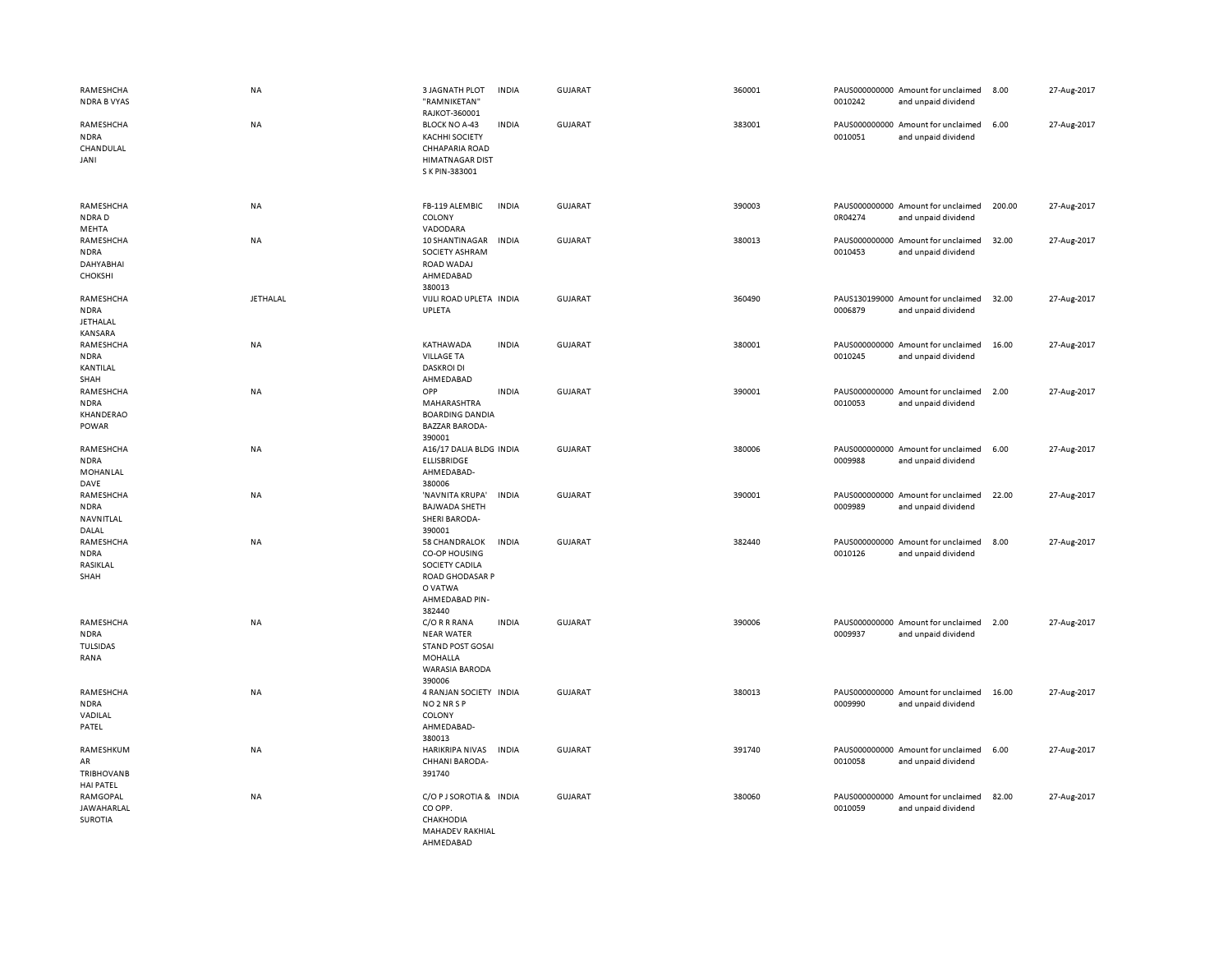| RAMESHCHA<br><b>NDRA B VYAS</b>                          | NA              | <b>3 JAGNATH PLOT</b><br>"RAMNIKETAN"<br>RAJKOT-360001                                                             | <b>INDIA</b> | GUJARAT        | 360001 | 0010242 | PAUS000000000 Amount for unclaimed<br>and unpaid dividend | 8.00   | 27-Aug-2017 |
|----------------------------------------------------------|-----------------|--------------------------------------------------------------------------------------------------------------------|--------------|----------------|--------|---------|-----------------------------------------------------------|--------|-------------|
| RAMESHCHA<br><b>NDRA</b><br>CHANDULAL<br>JANI            | NA              | <b>BLOCK NO A-43</b><br><b>KACHHI SOCIETY</b><br><b>CHHAPARIA ROAD</b><br><b>HIMATNAGAR DIST</b><br>S K PIN-383001 | <b>INDIA</b> | <b>GUJARAT</b> | 383001 | 0010051 | PAUS000000000 Amount for unclaimed<br>and unpaid dividend | 6.00   | 27-Aug-2017 |
| RAMESHCHA<br>NDRAD<br>MEHTA                              | NA              | FB-119 ALEMBIC<br>COLONY<br>VADODARA                                                                               | <b>INDIA</b> | <b>GUJARAT</b> | 390003 | 0R04274 | PAUS000000000 Amount for unclaimed<br>and unpaid dividend | 200.00 | 27-Aug-2017 |
| RAMESHCHA<br><b>NDRA</b><br>DAHYABHAI<br><b>CHOKSHI</b>  | NA              | 10 SHANTINAGAR<br>SOCIETY ASHRAM<br>ROAD WADAJ<br>AHMEDABAD<br>380013                                              | <b>INDIA</b> | <b>GUJARAT</b> | 380013 | 0010453 | PAUS000000000 Amount for unclaimed<br>and unpaid dividend | 32.00  | 27-Aug-2017 |
| RAMESHCHA<br><b>NDRA</b><br><b>JETHALAL</b><br>KANSARA   | <b>JETHALAL</b> | VIJLI ROAD UPLETA INDIA<br>UPLETA                                                                                  |              | <b>GUJARAT</b> | 360490 | 0006879 | PAUS130199000 Amount for unclaimed<br>and unpaid dividend | 32.00  | 27-Aug-2017 |
| RAMESHCHA<br><b>NDRA</b><br>KANTILAL<br>SHAH             | NA              | KATHAWADA<br><b>VILLAGE TA</b><br><b>DASKROI DI</b><br>AHMEDABAD                                                   | <b>INDIA</b> | GUJARAT        | 380001 | 0010245 | PAUS000000000 Amount for unclaimed<br>and unpaid dividend | 16.00  | 27-Aug-2017 |
| RAMESHCHA<br><b>NDRA</b><br>KHANDERAO<br>POWAR           | NA              | OPP<br>MAHARASHTRA<br><b>BOARDING DANDIA</b><br><b>BAZZAR BARODA-</b><br>390001                                    | <b>INDIA</b> | GUJARAT        | 390001 | 0010053 | PAUS000000000 Amount for unclaimed<br>and unpaid dividend | 2.00   | 27-Aug-2017 |
| RAMESHCHA<br><b>NDRA</b><br>MOHANLAL<br>DAVE             | NA              | A16/17 DALIA BLDG INDIA<br>ELLISBRIDGE<br>AHMEDABAD-<br>380006                                                     |              | <b>GUJARAT</b> | 380006 | 0009988 | PAUS000000000 Amount for unclaimed<br>and unpaid dividend | 6.00   | 27-Aug-2017 |
| RAMESHCHA<br><b>NDRA</b><br>NAVNITLAL<br>DALAL           | NA              | 'NAVNITA KRUPA'<br><b>BAJWADA SHETH</b><br><b>SHERI BARODA-</b><br>390001                                          | <b>INDIA</b> | <b>GUJARAT</b> | 390001 | 0009989 | PAUS000000000 Amount for unclaimed<br>and unpaid dividend | 22.00  | 27-Aug-2017 |
| RAMESHCHA<br><b>NDRA</b><br>RASIKLAL<br>SHAH             | <b>NA</b>       | 58 CHANDRALOK<br>CO-OP HOUSING<br>SOCIETY CADILA<br>ROAD GHODASAR P<br>O VATWA<br>AHMEDABAD PIN-<br>382440         | <b>INDIA</b> | <b>GUJARAT</b> | 382440 | 0010126 | PAUS000000000 Amount for unclaimed<br>and unpaid dividend | 8.00   | 27-Aug-2017 |
| RAMESHCHA<br><b>NDRA</b><br><b>TULSIDAS</b><br>RANA      | NA              | C/O R R RANA<br><b>NEAR WATER</b><br><b>STAND POST GOSAI</b><br><b>MOHALLA</b><br><b>WARASIA BARODA</b><br>390006  | <b>INDIA</b> | <b>GUJARAT</b> | 390006 | 0009937 | PAUS000000000 Amount for unclaimed<br>and unpaid dividend | 2.00   | 27-Aug-2017 |
| RAMESHCHA<br><b>NDRA</b><br>VADILAL<br>PATEL             | NA              | 4 RANJAN SOCIETY INDIA<br>NO <sub>2</sub> NR <sub>SP</sub><br>COLONY<br>AHMEDABAD-<br>380013                       |              | <b>GUJARAT</b> | 380013 | 0009990 | PAUS000000000 Amount for unclaimed<br>and unpaid dividend | 16.00  | 27-Aug-2017 |
| RAMESHKUM<br>AR<br><b>TRIBHOVANB</b><br><b>HAI PATEL</b> | NA              | HARIKRIPA NIVAS<br>CHHANI BARODA-<br>391740                                                                        | <b>INDIA</b> | GUJARAT        | 391740 | 0010058 | PAUS000000000 Amount for unclaimed<br>and unpaid dividend | 6.00   | 27-Aug-2017 |
| RAMGOPAL<br><b>JAWAHARLAL</b><br><b>SUROTIA</b>          | NA              | C/O P J SOROTIA & INDIA<br>CO OPP.<br>CHAKHODIA<br>MAHADEV RAKHIAL<br>AHMEDABAD                                    |              | <b>GUJARAT</b> | 380060 | 0010059 | PAUS000000000 Amount for unclaimed<br>and unpaid dividend | 82.00  | 27-Aug-2017 |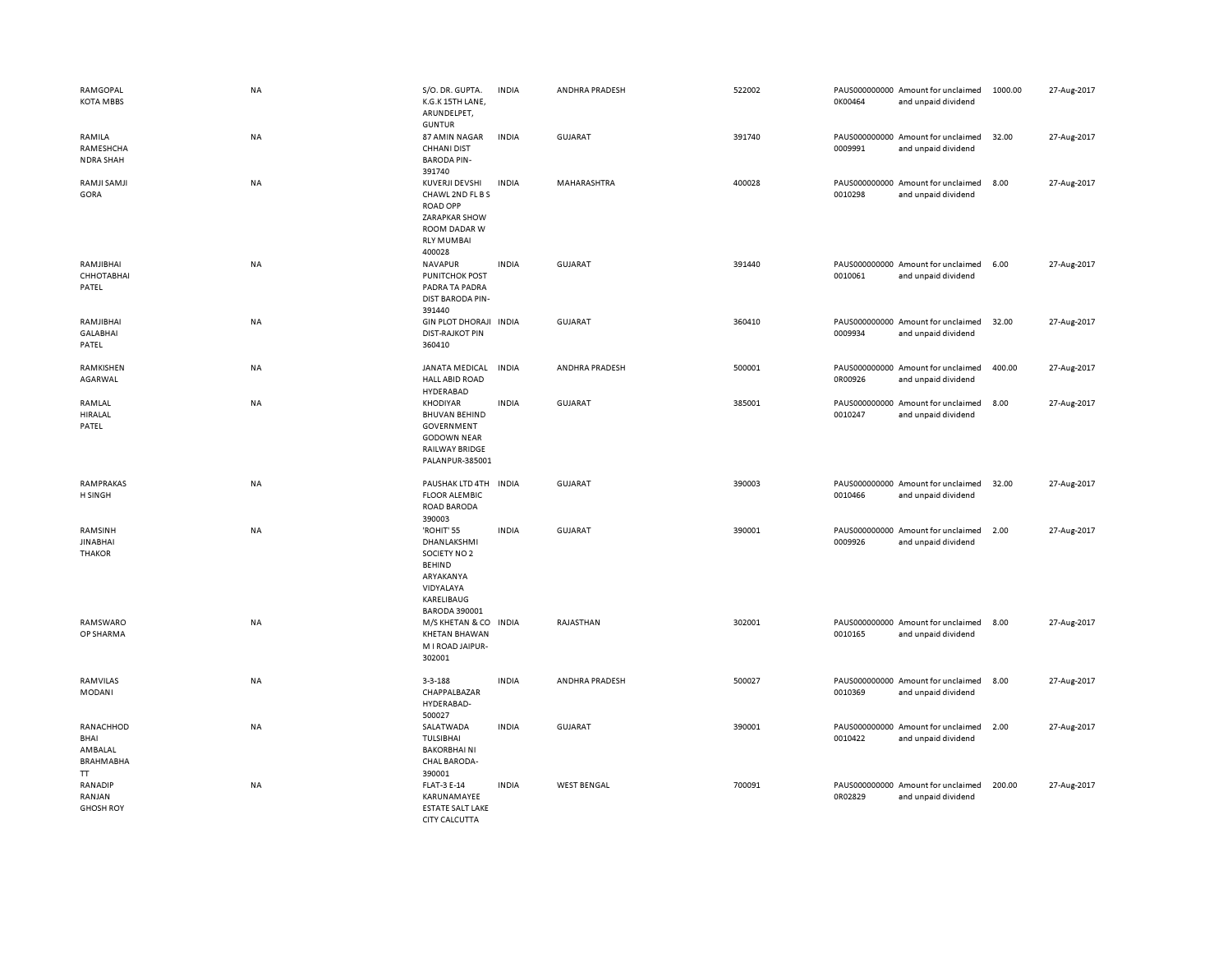| RAMGOPAL<br><b>KOTA MBBS</b>                           | <b>NA</b> | S/O. DR. GUPTA.<br>K.G.K 15TH LANE,<br>ARUNDELPET,<br><b>GUNTUR</b>                                                        | <b>INDIA</b> | ANDHRA PRADESH     | 522002 | 0K00464 | PAUS000000000 Amount for unclaimed<br>and unpaid dividend | 1000.00 | 27-Aug-2017 |
|--------------------------------------------------------|-----------|----------------------------------------------------------------------------------------------------------------------------|--------------|--------------------|--------|---------|-----------------------------------------------------------|---------|-------------|
| RAMILA<br>RAMESHCHA<br><b>NDRA SHAH</b>                | <b>NA</b> | 87 AMIN NAGAR<br><b>CHHANI DIST</b><br><b>BARODA PIN-</b><br>391740                                                        | <b>INDIA</b> | <b>GUJARAT</b>     | 391740 | 0009991 | PAUS000000000 Amount for unclaimed<br>and unpaid dividend | 32.00   | 27-Aug-2017 |
| RAMJI SAMJI<br>GORA                                    | <b>NA</b> | KUVERJI DEVSHI<br>CHAWL 2ND FL B S<br><b>ROAD OPP</b><br>ZARAPKAR SHOW<br>ROOM DADAR W<br><b>RLY MUMBAI</b><br>400028      | <b>INDIA</b> | MAHARASHTRA        | 400028 | 0010298 | PAUS000000000 Amount for unclaimed<br>and unpaid dividend | 8.00    | 27-Aug-2017 |
| RAMJIBHAI<br>СННОТАВНАІ<br>PATEL                       | <b>NA</b> | NAVAPUR<br><b>PUNITCHOK POST</b><br>PADRA TA PADRA<br><b>DIST BARODA PIN-</b><br>391440                                    | <b>INDIA</b> | GUJARAT            | 391440 | 0010061 | PAUS000000000 Amount for unclaimed<br>and unpaid dividend | 6.00    | 27-Aug-2017 |
| RAMJIBHAI<br><b>GALABHAI</b><br>PATEL                  | <b>NA</b> | GIN PLOT DHORAJI INDIA<br><b>DIST-RAJKOT PIN</b><br>360410                                                                 |              | <b>GUJARAT</b>     | 360410 | 0009934 | PAUS000000000 Amount for unclaimed<br>and unpaid dividend | 32.00   | 27-Aug-2017 |
| RAMKISHEN<br>AGARWAL                                   | <b>NA</b> | JANATA MEDICAL<br><b>HALL ABID ROAD</b><br>HYDERABAD                                                                       | <b>INDIA</b> | ANDHRA PRADESH     | 500001 | 0R00926 | PAUS000000000 Amount for unclaimed<br>and unpaid dividend | 400.00  | 27-Aug-2017 |
| RAMLAL<br>HIRALAL<br>PATEL                             | <b>NA</b> | KHODIYAR<br><b>BHUVAN BEHIND</b><br>GOVERNMENT<br><b>GODOWN NEAR</b><br><b>RAILWAY BRIDGE</b><br>PALANPUR-385001           | <b>INDIA</b> | GUJARAT            | 385001 | 0010247 | PAUS000000000 Amount for unclaimed<br>and unpaid dividend | 8.00    | 27-Aug-2017 |
| RAMPRAKAS<br>H SINGH                                   | NA        | PAUSHAK LTD 4TH<br><b>FLOOR ALEMBIC</b><br>ROAD BARODA<br>390003                                                           | <b>INDIA</b> | <b>GUJARAT</b>     | 390003 | 0010466 | PAUS000000000 Amount for unclaimed<br>and unpaid dividend | 32.00   | 27-Aug-2017 |
| RAMSINH<br><b>JINABHAI</b><br><b>THAKOR</b>            | <b>NA</b> | 'ROHIT' 55<br>DHANLAKSHMI<br>SOCIETY NO 2<br><b>BEHIND</b><br>ARYAKANYA<br>VIDYALAYA<br>KARELIBAUG<br><b>BARODA 390001</b> | <b>INDIA</b> | <b>GUJARAT</b>     | 390001 | 0009926 | PAUS000000000 Amount for unclaimed<br>and unpaid dividend | 2.00    | 27-Aug-2017 |
| RAMSWARO<br>OP SHARMA                                  | <b>NA</b> | M/S KHETAN & CO INDIA<br><b>KHETAN BHAWAN</b><br>M I ROAD JAIPUR-<br>302001                                                |              | RAJASTHAN          | 302001 | 0010165 | PAUS000000000 Amount for unclaimed<br>and unpaid dividend | 8.00    | 27-Aug-2017 |
| RAMVILAS<br>MODANI                                     | NA        | $3 - 3 - 188$<br>CHAPPALBAZAR<br>HYDERABAD-<br>500027                                                                      | <b>INDIA</b> | ANDHRA PRADESH     | 500027 | 0010369 | PAUS000000000 Amount for unclaimed<br>and unpaid dividend | 8.00    | 27-Aug-2017 |
| RANACHHOD<br>BHAI<br>AMBALAL<br><b>BRAHMABHA</b><br>TT | <b>NA</b> | SALATWADA<br>TULSIBHAI<br><b>BAKORBHAINI</b><br><b>CHAL BARODA-</b><br>390001                                              | <b>INDIA</b> | <b>GUJARAT</b>     | 390001 | 0010422 | PAUS000000000 Amount for unclaimed<br>and unpaid dividend | 2.00    | 27-Aug-2017 |
| RANADIP<br>RANJAN<br><b>GHOSH ROY</b>                  | <b>NA</b> | <b>FLAT-3 E-14</b><br>KARUNAMAYEE<br><b>ESTATE SALT LAKE</b><br>CITY CALCUTTA                                              | <b>INDIA</b> | <b>WEST BENGAL</b> | 700091 | 0R02829 | PAUS000000000 Amount for unclaimed<br>and unpaid dividend | 200.00  | 27-Aug-2017 |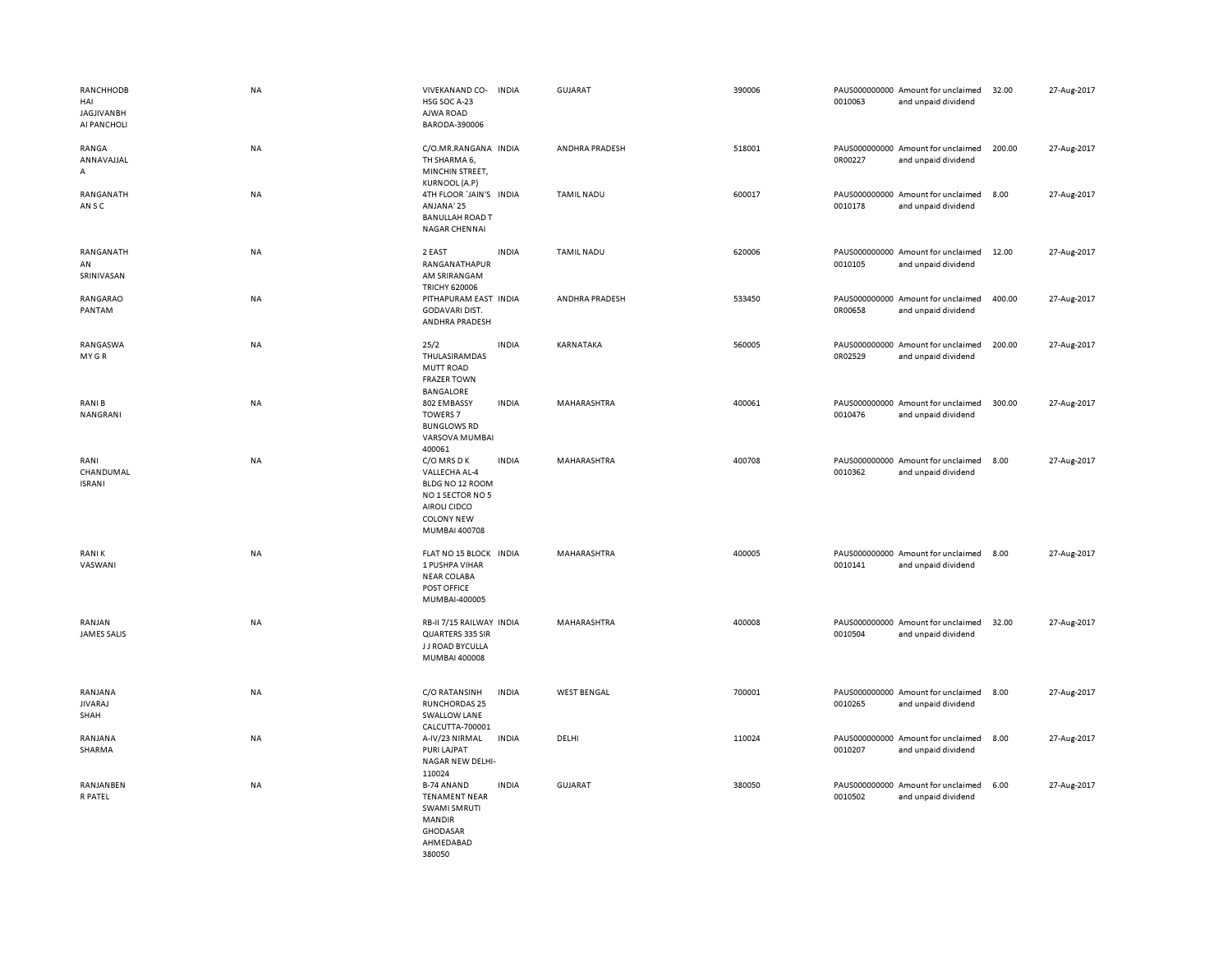| RANCHHODB<br>HAI<br><b>JAGJIVANBH</b><br>AI PANCHOLI | <b>NA</b> | VIVEKANAND CO-<br>HSG SOC A-23<br>AJWA ROAD<br>BARODA-390006                                                              | <b>INDIA</b> | <b>GUJARAT</b>     | 390006 | 0010063 | PAUS000000000 Amount for unclaimed<br>and unpaid dividend | 32.00  | 27-Aug-2017 |
|------------------------------------------------------|-----------|---------------------------------------------------------------------------------------------------------------------------|--------------|--------------------|--------|---------|-----------------------------------------------------------|--------|-------------|
| RANGA<br>ANNAVAJJAL<br>A                             | <b>NA</b> | C/O.MR.RANGANA INDIA<br>TH SHARMA 6,<br>MINCHIN STREET,<br><b>KURNOOL (A.P)</b>                                           |              | ANDHRA PRADESH     | 518001 | 0R00227 | PAUS000000000 Amount for unclaimed<br>and unpaid dividend | 200.00 | 27-Aug-2017 |
| RANGANATH<br>AN S C                                  | <b>NA</b> | 4TH FLOOR 'JAIN'S INDIA<br>ANJANA' 25<br><b>BANULLAH ROAD T</b><br>NAGAR CHENNAI                                          |              | <b>TAMIL NADU</b>  | 600017 | 0010178 | PAUS000000000 Amount for unclaimed<br>and unpaid dividend | 8.00   | 27-Aug-2017 |
| RANGANATH<br>AN<br>SRINIVASAN                        | NA        | 2 EAST<br>RANGANATHAPUR<br>AM SRIRANGAM<br><b>TRICHY 620006</b>                                                           | <b>INDIA</b> | <b>TAMIL NADU</b>  | 620006 | 0010105 | PAUS000000000 Amount for unclaimed<br>and unpaid dividend | 12.00  | 27-Aug-2017 |
| RANGARAO<br>PANTAM                                   | <b>NA</b> | PITHAPURAM EAST INDIA<br>GODAVARI DIST.<br>ANDHRA PRADESH                                                                 |              | ANDHRA PRADESH     | 533450 | 0R00658 | PAUS000000000 Amount for unclaimed<br>and unpaid dividend | 400.00 | 27-Aug-2017 |
| RANGASWA<br>MY GR                                    | NA        | 25/2<br>THULASIRAMDAS<br><b>MUTT ROAD</b><br><b>FRAZER TOWN</b><br>BANGALORE                                              | <b>INDIA</b> | KARNATAKA          | 560005 | 0R02529 | PAUS000000000 Amount for unclaimed<br>and unpaid dividend | 200.00 | 27-Aug-2017 |
| <b>RANIB</b><br>NANGRANI                             | <b>NA</b> | 802 EMBASSY<br><b>TOWERS 7</b><br><b>BUNGLOWS RD</b><br>VARSOVA MUMBAI<br>400061                                          | <b>INDIA</b> | MAHARASHTRA        | 400061 | 0010476 | PAUS000000000 Amount for unclaimed<br>and unpaid dividend | 300.00 | 27-Aug-2017 |
| RANI<br>CHANDUMAL<br><b>ISRANI</b>                   | NA        | C/O MRS D K<br>VALLECHA AL-4<br>BLDG NO 12 ROOM<br>NO 1 SECTOR NO 5<br>AIROLI CIDCO<br><b>COLONY NEW</b><br>MUMBAI 400708 | <b>INDIA</b> | MAHARASHTRA        | 400708 | 0010362 | PAUS000000000 Amount for unclaimed<br>and unpaid dividend | 8.00   | 27-Aug-2017 |
| <b>RANIK</b><br>VASWANI                              | <b>NA</b> | FLAT NO 15 BLOCK INDIA<br>1 PUSHPA VIHAR<br><b>NEAR COLABA</b><br>POST OFFICE<br>MUMBAI-400005                            |              | MAHARASHTRA        | 400005 | 0010141 | PAUS000000000 Amount for unclaimed<br>and unpaid dividend | 8.00   | 27-Aug-2017 |
| RANJAN<br><b>JAMES SALIS</b>                         | <b>NA</b> | RB-II 7/15 RAILWAY INDIA<br>QUARTERS 335 SIR<br>J J ROAD BYCULLA<br>MUMBAI 400008                                         |              | MAHARASHTRA        | 400008 | 0010504 | PAUS000000000 Amount for unclaimed<br>and unpaid dividend | 32.00  | 27-Aug-2017 |
| RANJANA<br><b>JIVARAJ</b><br>SHAH                    | NA        | C/O RATANSINH<br><b>RUNCHORDAS 25</b><br><b>SWALLOW LANE</b><br>CALCUTTA-700001                                           | <b>INDIA</b> | <b>WEST BENGAL</b> | 700001 | 0010265 | PAUS000000000 Amount for unclaimed<br>and unpaid dividend | 8.00   | 27-Aug-2017 |
| RANJANA<br>SHARMA                                    | NA        | A-IV/23 NIRMAL<br>PURI LAJPAT<br>NAGAR NEW DELHI-<br>110024                                                               | <b>INDIA</b> | DELHI              | 110024 | 0010207 | PAUS000000000 Amount for unclaimed<br>and unpaid dividend | 8.00   | 27-Aug-2017 |
| RANJANBEN<br>R PATEL                                 | <b>NA</b> | <b>B-74 ANAND</b><br><b>TENAMENT NEAR</b><br>SWAMI SMRUTI<br><b>MANDIR</b><br><b>GHODASAR</b><br>AHMEDABAD<br>380050      | <b>INDIA</b> | GUJARAT            | 380050 | 0010502 | PAUS000000000 Amount for unclaimed<br>and unpaid dividend | 6.00   | 27-Aug-2017 |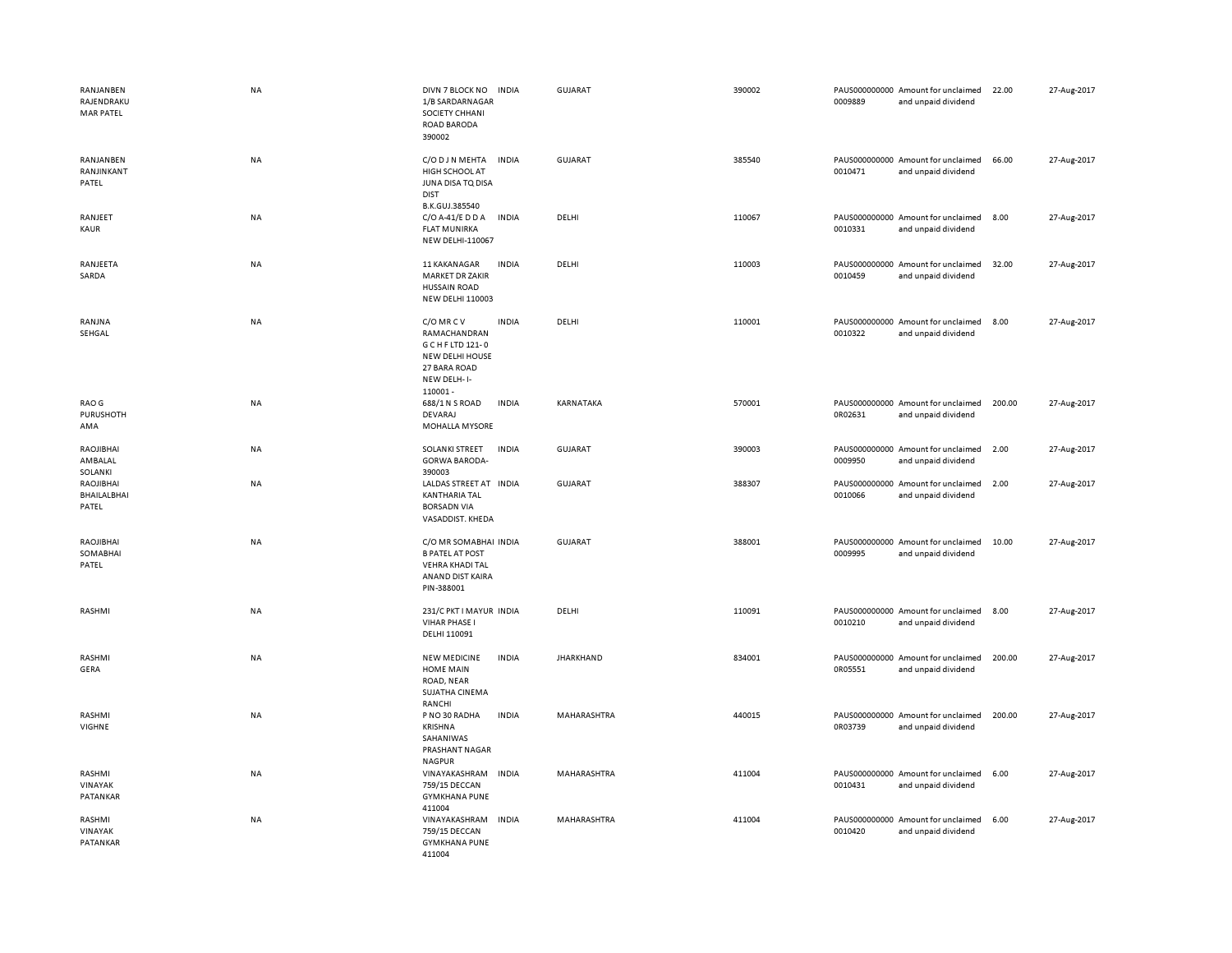| RANJANBEN<br>RAJENDRAKU<br><b>MAR PATEL</b> | <b>NA</b> | DIVN 7 BLOCK NO<br>1/B SARDARNAGAR<br>SOCIETY CHHANI<br><b>ROAD BARODA</b><br>390002                              | <b>INDIA</b> | GUJARAT          | 390002 | 0009889 | PAUS000000000 Amount for unclaimed<br>and unpaid dividend | 22.00  | 27-Aug-2017 |
|---------------------------------------------|-----------|-------------------------------------------------------------------------------------------------------------------|--------------|------------------|--------|---------|-----------------------------------------------------------|--------|-------------|
| RANJANBEN<br>RANJINKANT<br>PATEL            | <b>NA</b> | C/O D J N MEHTA<br>HIGH SCHOOL AT<br>JUNA DISA TO DISA<br><b>DIST</b><br>B.K.GUJ.385540                           | <b>INDIA</b> | <b>GUJARAT</b>   | 385540 | 0010471 | PAUS000000000 Amount for unclaimed<br>and unpaid dividend | 66.00  | 27-Aug-2017 |
| RANJEET<br>KAUR                             | <b>NA</b> | C/O A-41/E D D A<br><b>FLAT MUNIRKA</b><br>NEW DELHI-110067                                                       | <b>INDIA</b> | DELHI            | 110067 | 0010331 | PAUS000000000 Amount for unclaimed<br>and unpaid dividend | 8.00   | 27-Aug-2017 |
| RANJEETA<br>SARDA                           | <b>NA</b> | 11 KAKANAGAR<br><b>MARKET DR ZAKIR</b><br><b>HUSSAIN ROAD</b><br><b>NEW DELHI 110003</b>                          | <b>INDIA</b> | DELHI            | 110003 | 0010459 | PAUS000000000 Amount for unclaimed<br>and unpaid dividend | 32.00  | 27-Aug-2017 |
| RANJNA<br>SEHGAL                            | <b>NA</b> | C/O MRCV<br>RAMACHANDRAN<br>G C H F LTD 121-0<br><b>NEW DELHI HOUSE</b><br>27 BARA ROAD<br>NEW DELH-I-<br>110001- | <b>INDIA</b> | DELHI            | 110001 | 0010322 | PAUS000000000 Amount for unclaimed<br>and unpaid dividend | 8.00   | 27-Aug-2017 |
| RAO G<br>PURUSHOTH<br>AMA                   | NA        | 688/1 N S ROAD<br>DEVARAJ<br>MOHALLA MYSORE                                                                       | <b>INDIA</b> | KARNATAKA        | 570001 | 0R02631 | PAUS000000000 Amount for unclaimed<br>and unpaid dividend | 200.00 | 27-Aug-2017 |
| RAOJIBHAI<br>AMBALAL<br>SOLANKI             | ΝA        | SOLANKI STREET<br><b>GORWA BARODA-</b><br>390003                                                                  | <b>INDIA</b> | <b>GUJARAT</b>   | 390003 | 0009950 | PAUS000000000 Amount for unclaimed<br>and unpaid dividend | 2.00   | 27-Aug-2017 |
| RAOJIBHAI<br>BHAILALBHAI<br>PATEL           | <b>NA</b> | LALDAS STREET AT INDIA<br><b>KANTHARIA TAL</b><br><b>BORSADN VIA</b><br>VASADDIST. KHEDA                          |              | GUJARAT          | 388307 | 0010066 | PAUS000000000 Amount for unclaimed<br>and unpaid dividend | 2.00   | 27-Aug-2017 |
| RAOJIBHAI<br>SOMABHAI<br>PATEL              | <b>NA</b> | C/O MR SOMABHAI INDIA<br><b>B PATEL AT POST</b><br><b>VEHRA KHADI TAL</b><br>ANAND DIST KAIRA<br>PIN-388001       |              | GUJARAT          | 388001 | 0009995 | PAUS000000000 Amount for unclaimed<br>and unpaid dividend | 10.00  | 27-Aug-2017 |
| RASHMI                                      | <b>NA</b> | 231/C PKT I MAYUR INDIA<br><b>VIHAR PHASE I</b><br>DELHI 110091                                                   |              | DELHI            | 110091 | 0010210 | PAUS000000000 Amount for unclaimed<br>and unpaid dividend | 8.00   | 27-Aug-2017 |
| RASHMI<br>GERA                              | <b>NA</b> | <b>NEW MEDICINE</b><br><b>HOME MAIN</b><br>ROAD, NEAR<br>SUJATHA CINEMA<br>RANCHI                                 | <b>INDIA</b> | <b>JHARKHAND</b> | 834001 | 0R05551 | PAUS000000000 Amount for unclaimed<br>and unpaid dividend | 200.00 | 27-Aug-2017 |
| RASHMI<br>VIGHNE                            | <b>NA</b> | P NO 30 RADHA<br><b>KRISHNA</b><br>SAHANIWAS<br>PRASHANT NAGAR<br><b>NAGPUR</b>                                   | <b>INDIA</b> | MAHARASHTRA      | 440015 | 0R03739 | PAUS000000000 Amount for unclaimed<br>and unpaid dividend | 200.00 | 27-Aug-2017 |
| RASHMI<br>VINAYAK<br>PATANKAR               | NA        | VINAYAKASHRAM<br>759/15 DECCAN<br><b>GYMKHANA PUNE</b><br>411004                                                  | <b>INDIA</b> | MAHARASHTRA      | 411004 | 0010431 | PAUS000000000 Amount for unclaimed<br>and unpaid dividend | 6.00   | 27-Aug-2017 |
| RASHMI<br>VINAYAK<br>PATANKAR               | NA        | VINAYAKASHRAM INDIA<br>759/15 DECCAN<br><b>GYMKHANA PUNE</b><br>411004                                            |              | MAHARASHTRA      | 411004 | 0010420 | PAUS000000000 Amount for unclaimed<br>and unpaid dividend | 6.00   | 27-Aug-2017 |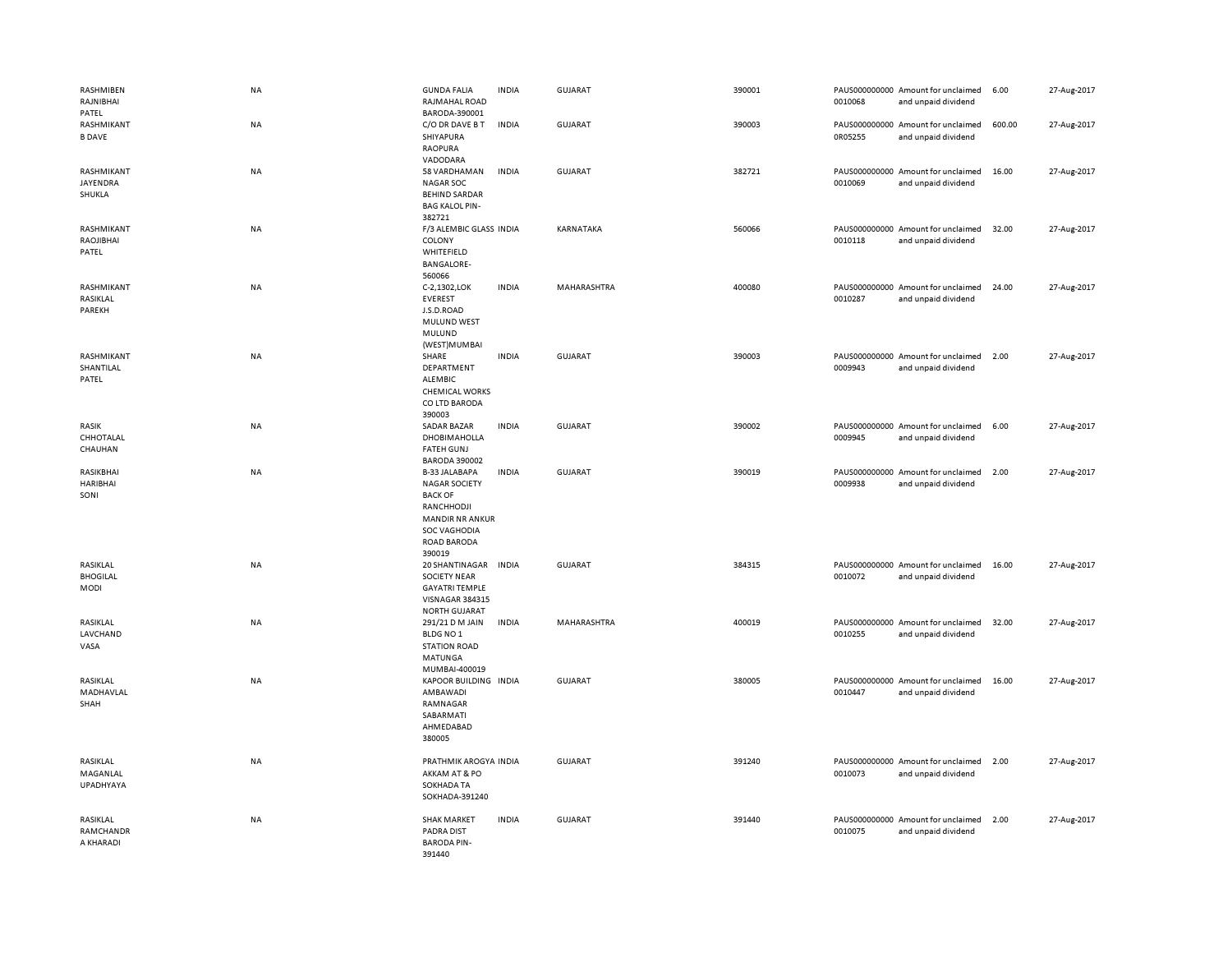| RASHMIBEN<br>RAJNIBHAI<br>PATEL     | <b>NA</b> | <b>GUNDA FALIA</b><br>RAJMAHAL ROAD<br>BARODA-390001                                                                                                          | <b>INDIA</b> | <b>GUJARAT</b> | 390001 | 0010068 | PAUS000000000 Amount for unclaimed<br>and unpaid dividend | 6.00   | 27-Aug-2017 |
|-------------------------------------|-----------|---------------------------------------------------------------------------------------------------------------------------------------------------------------|--------------|----------------|--------|---------|-----------------------------------------------------------|--------|-------------|
| RASHMIKANT<br><b>B DAVE</b>         | NA        | C/O DR DAVE B T<br>SHIYAPURA<br><b>RAOPURA</b><br>VADODARA                                                                                                    | <b>INDIA</b> | GUJARAT        | 390003 | 0R05255 | PAUS000000000 Amount for unclaimed<br>and unpaid dividend | 600.00 | 27-Aug-2017 |
| RASHMIKANT<br>JAYENDRA<br>SHUKLA    | <b>NA</b> | 58 VARDHAMAN<br><b>NAGAR SOC</b><br><b>BEHIND SARDAR</b><br><b>BAG KALOL PIN-</b><br>382721                                                                   | <b>INDIA</b> | <b>GUJARAT</b> | 382721 | 0010069 | PAUS000000000 Amount for unclaimed<br>and unpaid dividend | 16.00  | 27-Aug-2017 |
| RASHMIKANT<br>RAOJIBHAI<br>PATEL    | <b>NA</b> | F/3 ALEMBIC GLASS INDIA<br>COLONY<br>WHITEFIELD<br><b>BANGALORE-</b><br>560066                                                                                |              | KARNATAKA      | 560066 | 0010118 | PAUS000000000 Amount for unclaimed<br>and unpaid dividend | 32.00  | 27-Aug-2017 |
| RASHMIKANT<br>RASIKLAL<br>PAREKH    | NA        | C-2,1302,LOK<br><b>EVEREST</b><br>J.S.D.ROAD<br>MULUND WEST<br>MULUND<br>(WEST)MUMBAI                                                                         | <b>INDIA</b> | MAHARASHTRA    | 400080 | 0010287 | PAUS000000000 Amount for unclaimed<br>and unpaid dividend | 24.00  | 27-Aug-2017 |
| RASHMIKANT<br>SHANTILAL<br>PATEL    | NA        | SHARE<br>DEPARTMENT<br><b>ALEMBIC</b><br><b>CHEMICAL WORKS</b><br>CO LTD BARODA<br>390003                                                                     | <b>INDIA</b> | <b>GUJARAT</b> | 390003 | 0009943 | PAUS000000000 Amount for unclaimed<br>and unpaid dividend | 2.00   | 27-Aug-2017 |
| RASIK<br>CHHOTALAL<br>CHAUHAN       | <b>NA</b> | SADAR BAZAR<br><b>DHOBIMAHOLLA</b><br><b>FATEH GUNJ</b><br><b>BARODA 390002</b>                                                                               | <b>INDIA</b> | GUJARAT        | 390002 | 0009945 | PAUS000000000 Amount for unclaimed<br>and unpaid dividend | 6.00   | 27-Aug-2017 |
| RASIKBHAI<br>HARIBHAI<br>SONI       | NA        | <b>B-33 JALABAPA</b><br><b>NAGAR SOCIETY</b><br><b>BACK OF</b><br>RANCHHODJI<br><b>MANDIR NR ANKUR</b><br><b>SOC VAGHODIA</b><br><b>ROAD BARODA</b><br>390019 | <b>INDIA</b> | <b>GUJARAT</b> | 390019 | 0009938 | PAUS000000000 Amount for unclaimed<br>and unpaid dividend | 2.00   | 27-Aug-2017 |
| RASIKLAL<br><b>BHOGILAL</b><br>MODI | NA        | 20 SHANTINAGAR<br><b>SOCIETY NEAR</b><br><b>GAYATRI TEMPLE</b><br>VISNAGAR 384315<br><b>NORTH GUJARAT</b>                                                     | <b>INDIA</b> | <b>GUJARAT</b> | 384315 | 0010072 | PAUS000000000 Amount for unclaimed<br>and unpaid dividend | 16.00  | 27-Aug-2017 |
| RASIKLAL<br>LAVCHAND<br>VASA        | NA        | 291/21 D M JAIN<br>BLDG NO <sub>1</sub><br><b>STATION ROAD</b><br>MATUNGA<br>MUMBAI-400019                                                                    | <b>INDIA</b> | MAHARASHTRA    | 400019 | 0010255 | PAUS000000000 Amount for unclaimed<br>and unpaid dividend | 32.00  | 27-Aug-2017 |
| RASIKLAL<br>MADHAVLAL<br>SHAH       | NA        | KAPOOR BUILDING INDIA<br>AMBAWADI<br>RAMNAGAR<br>SABARMATI<br>AHMEDABAD<br>380005                                                                             |              | <b>GUJARAT</b> | 380005 | 0010447 | PAUS000000000 Amount for unclaimed<br>and unpaid dividend | 16.00  | 27-Aug-2017 |
| RASIKLAL<br>MAGANLAL<br>UPADHYAYA   | <b>NA</b> | PRATHMIK AROGYA INDIA<br>AKKAM AT & PO<br>SOKHADA TA<br>SOKHADA-391240                                                                                        |              | GUJARAT        | 391240 | 0010073 | PAUS000000000 Amount for unclaimed<br>and unpaid dividend | 2.00   | 27-Aug-2017 |
| RASIKLAL<br>RAMCHANDR<br>A KHARADI  | NA        | <b>SHAK MARKET</b><br>PADRA DIST<br><b>BARODA PIN-</b><br>391440                                                                                              | <b>INDIA</b> | <b>GUJARAT</b> | 391440 | 0010075 | PAUS000000000 Amount for unclaimed<br>and unpaid dividend | 2.00   | 27-Aug-2017 |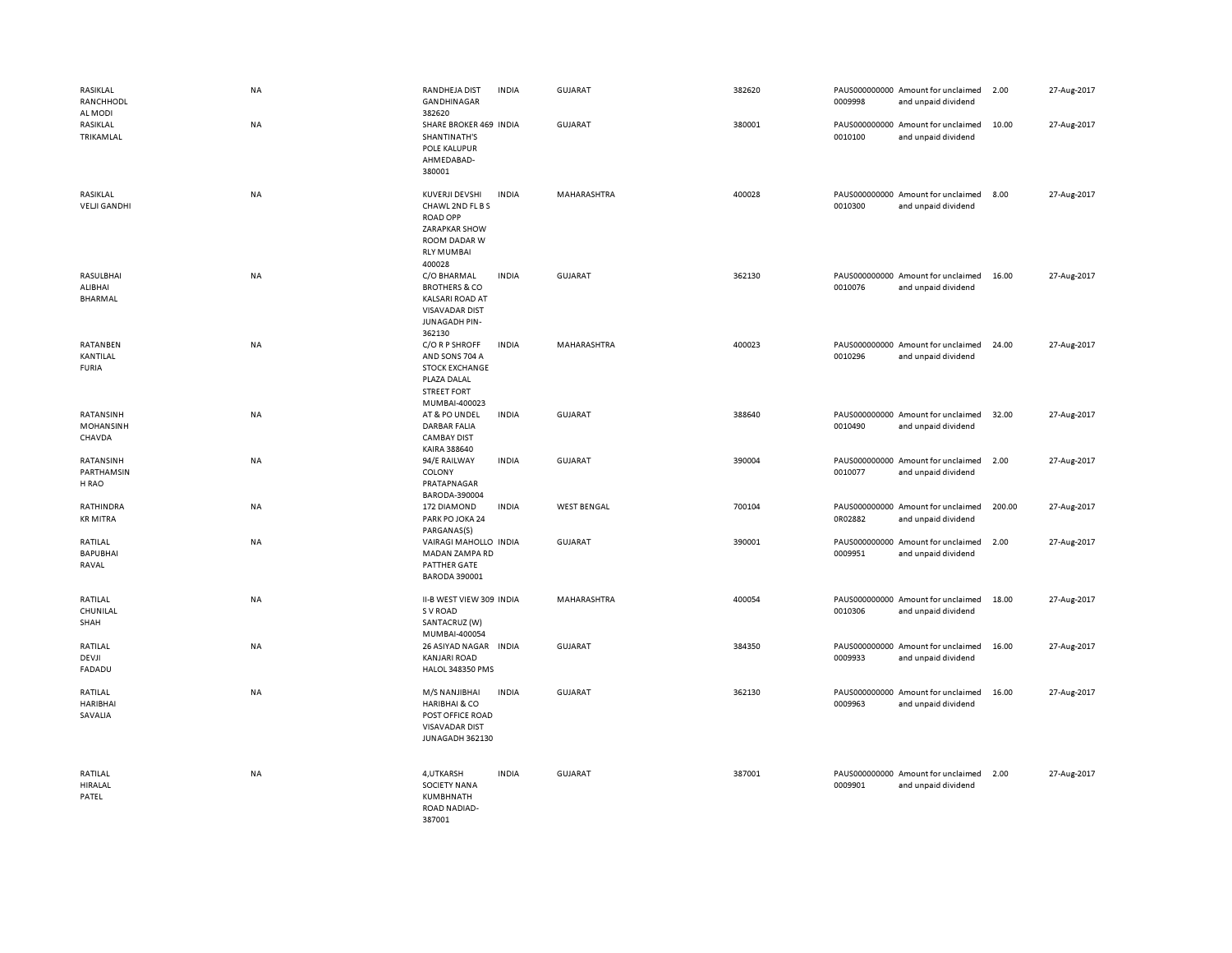| RASIKLAL<br>RANCHHODL<br>AL MODI        | NA        | RANDHEJA DIST<br><b>GANDHINAGAR</b><br>382620                                                                                | <b>INDIA</b> | GUJARAT            | 382620 | 0009998 | PAUS000000000 Amount for unclaimed<br>and unpaid dividend | 2.00   | 27-Aug-2017 |
|-----------------------------------------|-----------|------------------------------------------------------------------------------------------------------------------------------|--------------|--------------------|--------|---------|-----------------------------------------------------------|--------|-------------|
| RASIKLAL<br>TRIKAMLAL                   | NA        | SHARE BROKER 469 INDIA<br>SHANTINATH'S<br>POLE KALUPUR<br>AHMEDABAD-<br>380001                                               |              | GUJARAT            | 380001 | 0010100 | PAUS000000000 Amount for unclaimed<br>and unpaid dividend | 10.00  | 27-Aug-2017 |
| RASIKLAL<br><b>VELJI GANDHI</b>         | NA        | KUVERJI DEVSHI<br>CHAWL 2ND FL B S<br><b>ROAD OPP</b><br>ZARAPKAR SHOW<br><b>ROOM DADAR W</b><br><b>RLY MUMBAI</b><br>400028 | <b>INDIA</b> | MAHARASHTRA        | 400028 | 0010300 | PAUS000000000 Amount for unclaimed<br>and unpaid dividend | 8.00   | 27-Aug-2017 |
| RASULBHAI<br>ALIBHAI<br><b>BHARMAL</b>  | NA        | C/O BHARMAL<br><b>BROTHERS &amp; CO</b><br><b>KALSARI ROAD AT</b><br><b>VISAVADAR DIST</b><br><b>JUNAGADH PIN-</b><br>362130 | <b>INDIA</b> | <b>GUJARAT</b>     | 362130 | 0010076 | PAUS000000000 Amount for unclaimed<br>and unpaid dividend | 16.00  | 27-Aug-2017 |
| RATANBEN<br>KANTILAL<br><b>FURIA</b>    | <b>NA</b> | C/O R P SHROFF<br>AND SONS 704 A<br><b>STOCK EXCHANGE</b><br>PLAZA DALAL<br><b>STREET FORT</b><br>MUMBAI-400023              | <b>INDIA</b> | MAHARASHTRA        | 400023 | 0010296 | PAUS000000000 Amount for unclaimed<br>and unpaid dividend | 24.00  | 27-Aug-2017 |
| RATANSINH<br><b>MOHANSINH</b><br>CHAVDA | NA        | AT & PO UNDEL<br><b>DARBAR FALIA</b><br><b>CAMBAY DIST</b><br>KAIRA 388640                                                   | <b>INDIA</b> | <b>GUJARAT</b>     | 388640 | 0010490 | PAUS000000000 Amount for unclaimed<br>and unpaid dividend | 32.00  | 27-Aug-2017 |
| RATANSINH<br>PARTHAMSIN<br>H RAO        | NA        | 94/E RAILWAY<br>COLONY<br>PRATAPNAGAR<br>BARODA-390004                                                                       | <b>INDIA</b> | GUJARAT            | 390004 | 0010077 | PAUS000000000 Amount for unclaimed<br>and unpaid dividend | 2.00   | 27-Aug-2017 |
| RATHINDRA<br><b>KR MITRA</b>            | NA        | 172 DIAMOND<br>PARK PO JOKA 24<br>PARGANAS(S)                                                                                | <b>INDIA</b> | <b>WEST BENGAL</b> | 700104 | 0R02882 | PAUS000000000 Amount for unclaimed<br>and unpaid dividend | 200.00 | 27-Aug-2017 |
| RATILAL<br><b>BAPUBHAI</b><br>RAVAL     | NA        | VAIRAGI MAHOLLO INDIA<br><b>MADAN ZAMPA RD</b><br>PATTHER GATE<br><b>BARODA 390001</b>                                       |              | <b>GUJARAT</b>     | 390001 | 0009951 | PAUS000000000 Amount for unclaimed<br>and unpaid dividend | 2.00   | 27-Aug-2017 |
| RATILAL<br>CHUNILAL<br>SHAH             | NA        | II-B WEST VIEW 309 INDIA<br>S V ROAD<br>SANTACRUZ (W)<br>MUMBAI-400054                                                       |              | MAHARASHTRA        | 400054 | 0010306 | PAUS000000000 Amount for unclaimed<br>and unpaid dividend | 18.00  | 27-Aug-2017 |
| RATILAL<br>DEVJI<br><b>FADADU</b>       | <b>NA</b> | 26 ASIYAD NAGAR INDIA<br><b>KANJARI ROAD</b><br><b>HALOL 348350 PMS</b>                                                      |              | <b>GUJARAT</b>     | 384350 | 0009933 | PAUS000000000 Amount for unclaimed<br>and unpaid dividend | 16.00  | 27-Aug-2017 |
| RATILAL<br><b>HARIBHAI</b><br>SAVALIA   | <b>NA</b> | M/S NANJIBHAI<br><b>HARIBHAI &amp; CO</b><br>POST OFFICE ROAD<br><b>VISAVADAR DIST</b><br>JUNAGADH 362130                    | <b>INDIA</b> | <b>GUJARAT</b>     | 362130 | 0009963 | PAUS000000000 Amount for unclaimed<br>and unpaid dividend | 16.00  | 27-Aug-2017 |
| RATILAL<br><b>HIRALAL</b><br>PATEL      | <b>NA</b> | 4, UTKARSH<br><b>SOCIETY NANA</b><br>KUMBHNATH<br>ROAD NADIAD-<br>387001                                                     | <b>INDIA</b> | GUJARAT            | 387001 | 0009901 | PAUS000000000 Amount for unclaimed<br>and unpaid dividend | 2.00   | 27-Aug-2017 |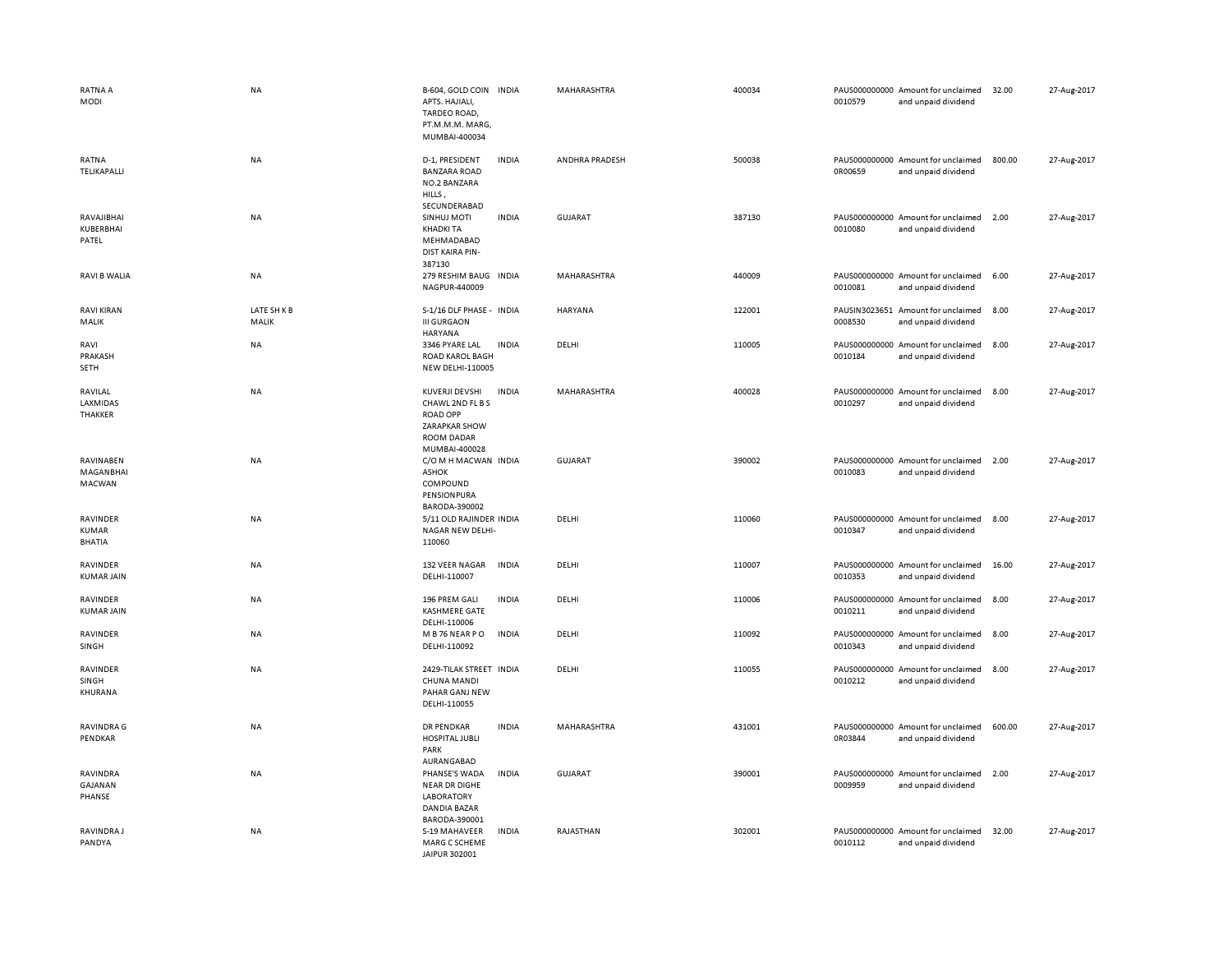| <b>RATNA A</b><br>MODI             | <b>NA</b>          | B-604, GOLD COIN INDIA<br>APTS. HAJIALI,<br>TARDEO ROAD,<br>PT.M.M.M. MARG,<br>MUMBAI-400034                 |              | MAHARASHTRA    | 400034 | 0010579 | PAUS000000000 Amount for unclaimed<br>and unpaid dividend | 32.00  | 27-Aug-2017 |
|------------------------------------|--------------------|--------------------------------------------------------------------------------------------------------------|--------------|----------------|--------|---------|-----------------------------------------------------------|--------|-------------|
| RATNA<br>TELIKAPALLI               | NA                 | D-1, PRESIDENT<br><b>BANZARA ROAD</b><br>NO.2 BANZARA<br>HILLS,<br>SECUNDERABAD                              | <b>INDIA</b> | ANDHRA PRADESH | 500038 | 0R00659 | PAUS000000000 Amount for unclaimed<br>and unpaid dividend | 800.00 | 27-Aug-2017 |
| RAVAJIBHAI<br>KUBERBHAI<br>PATEL   | NA                 | SINHUJ MOTI<br><b>KHADKI TA</b><br>MEHMADABAD<br>DIST KAIRA PIN-<br>387130                                   | <b>INDIA</b> | <b>GUJARAT</b> | 387130 | 0010080 | PAUS000000000 Amount for unclaimed<br>and unpaid dividend | 2.00   | 27-Aug-2017 |
| <b>RAVI B WALIA</b>                | <b>NA</b>          | 279 RESHIM BAUG<br>NAGPUR-440009                                                                             | <b>INDIA</b> | MAHARASHTRA    | 440009 | 0010081 | PAUS000000000 Amount for unclaimed<br>and unpaid dividend | 6.00   | 27-Aug-2017 |
| <b>RAVI KIRAN</b><br>MALIK         | LATE SHKB<br>MALIK | S-1/16 DLF PHASE - INDIA<br><b>III GURGAON</b><br><b>HARYANA</b>                                             |              | HARYANA        | 122001 | 0008530 | PAUSIN3023651 Amount for unclaimed<br>and unpaid dividend | 8.00   | 27-Aug-2017 |
| RAVI<br>PRAKASH<br>SETH            | NA                 | 3346 PYARE LAL<br><b>ROAD KAROL BAGH</b><br><b>NEW DELHI-110005</b>                                          | <b>INDIA</b> | DELHI          | 110005 | 0010184 | PAUS000000000 Amount for unclaimed<br>and unpaid dividend | 8.00   | 27-Aug-2017 |
| RAVILAL<br>LAXMIDAS<br>THAKKER     | NA                 | KUVERJI DEVSHI<br>CHAWL 2ND FL B S<br><b>ROAD OPP</b><br>ZARAPKAR SHOW<br><b>ROOM DADAR</b><br>MUMBAI-400028 | <b>INDIA</b> | MAHARASHTRA    | 400028 | 0010297 | PAUS000000000 Amount for unclaimed<br>and unpaid dividend | 8.00   | 27-Aug-2017 |
| RAVINABEN<br>MAGANBHAI<br>MACWAN   | <b>NA</b>          | C/O M H MACWAN INDIA<br><b>ASHOK</b><br>COMPOUND<br>PENSIONPURA<br>BARODA-390002                             |              | <b>GUJARAT</b> | 390002 | 0010083 | PAUS000000000 Amount for unclaimed<br>and unpaid dividend | 2.00   | 27-Aug-2017 |
| RAVINDER<br><b>KUMAR</b><br>BHATIA | NA                 | 5/11 OLD RAJINDER INDIA<br>NAGAR NEW DELHI-<br>110060                                                        |              | DELHI          | 110060 | 0010347 | PAUS000000000 Amount for unclaimed<br>and unpaid dividend | 8.00   | 27-Aug-2017 |
| RAVINDER<br><b>KUMAR JAIN</b>      | <b>NA</b>          | 132 VEER NAGAR<br>DELHI-110007                                                                               | <b>INDIA</b> | DELHI          | 110007 | 0010353 | PAUS000000000 Amount for unclaimed<br>and unpaid dividend | 16.00  | 27-Aug-2017 |
| RAVINDER<br><b>KUMAR JAIN</b>      | NA                 | 196 PREM GALI<br>KASHMERE GATE<br>DELHI-110006                                                               | <b>INDIA</b> | DELHI          | 110006 | 0010211 | PAUS000000000 Amount for unclaimed<br>and unpaid dividend | 8.00   | 27-Aug-2017 |
| RAVINDER<br>SINGH                  | NA                 | M B 76 NEAR PO<br>DELHI-110092                                                                               | <b>INDIA</b> | DELHI          | 110092 | 0010343 | PAUS000000000 Amount for unclaimed<br>and unpaid dividend | 8.00   | 27-Aug-2017 |
| RAVINDER<br>SINGH<br>KHURANA       | <b>NA</b>          | 2429-TILAK STREET INDIA<br>CHUNA MANDI<br>PAHAR GANJ NEW<br>DELHI-110055                                     |              | DELHI          | 110055 | 0010212 | PAUS000000000 Amount for unclaimed<br>and unpaid dividend | 8.00   | 27-Aug-2017 |
| <b>RAVINDRA G</b><br>PENDKAR       | NA                 | DR PENDKAR<br>HOSPITAL JUBLI<br>PARK<br>AURANGABAD                                                           | <b>INDIA</b> | MAHARASHTRA    | 431001 | 0R03844 | PAUS000000000 Amount for unclaimed<br>and unpaid dividend | 600.00 | 27-Aug-2017 |
| RAVINDRA<br>GAJANAN<br>PHANSE      | <b>NA</b>          | PHANSE'S WADA<br><b>NEAR DR DIGHE</b><br><b>LABORATORY</b><br>DANDIA BAZAR<br>BARODA-390001                  | <b>INDIA</b> | GUJARAT        | 390001 | 0009959 | PAUS000000000 Amount for unclaimed<br>and unpaid dividend | 2.00   | 27-Aug-2017 |
| RAVINDRA J<br>PANDYA               | ΝA                 | S-19 MAHAVEER<br>MARG C SCHEME<br>JAIPUR 302001                                                              | <b>INDIA</b> | RAJASTHAN      | 302001 | 0010112 | PAUS000000000 Amount for unclaimed<br>and unpaid dividend | 32.00  | 27-Aug-2017 |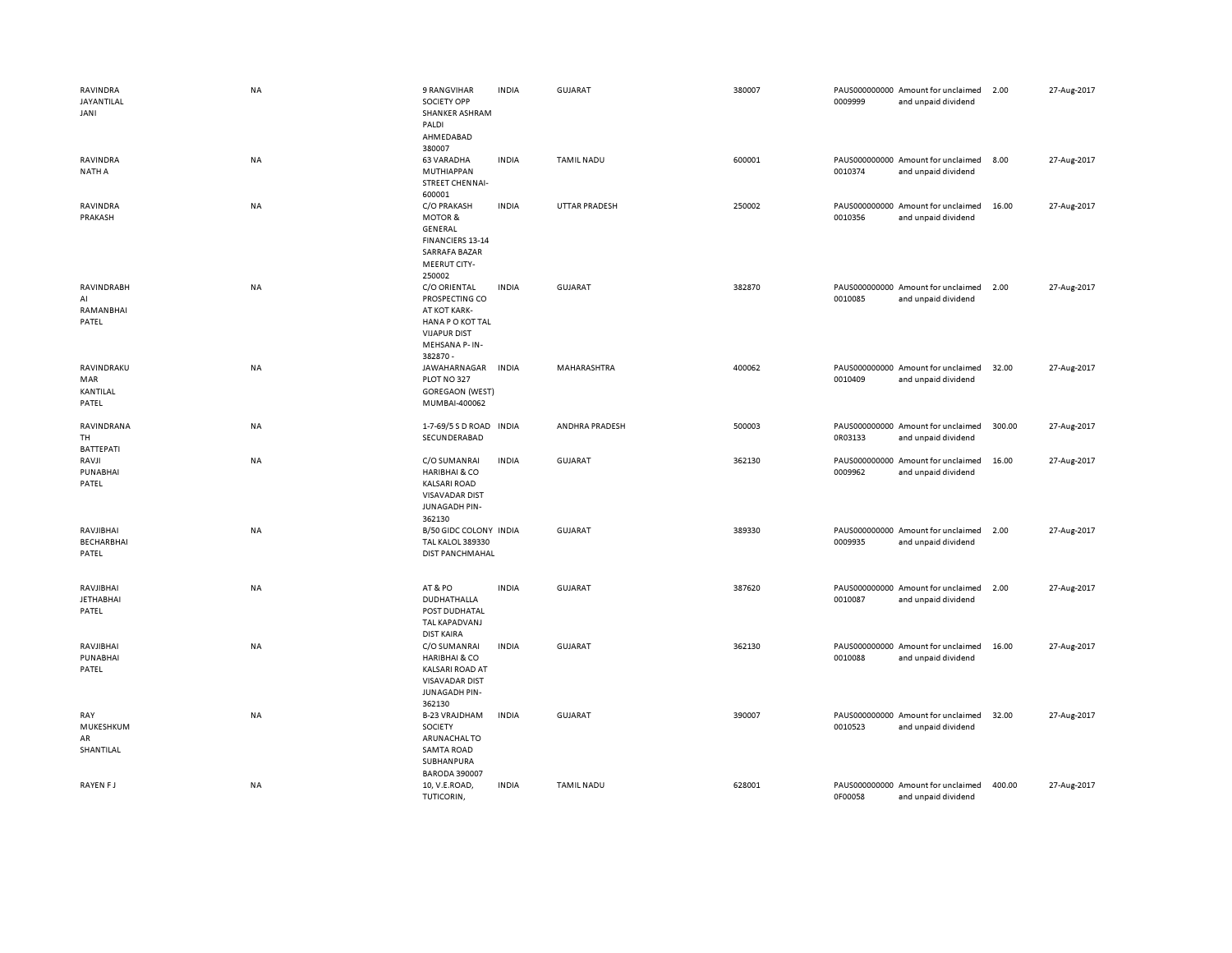| RAVINDRA<br>JAYANTILAL<br>JANI          | <b>NA</b> | 9 RANGVIHAR<br><b>SOCIETY OPP</b><br><b>SHANKER ASHRAM</b><br>PALDI<br>AHMEDABAD<br>380007                                | <b>INDIA</b> | <b>GUJARAT</b>        | 380007 | 0009999 | PAUS000000000 Amount for unclaimed<br>and unpaid dividend | 2.00   | 27-Aug-2017 |
|-----------------------------------------|-----------|---------------------------------------------------------------------------------------------------------------------------|--------------|-----------------------|--------|---------|-----------------------------------------------------------|--------|-------------|
| RAVINDRA<br>NATH A                      | NA        | <b>63 VARADHA</b><br>MUTHIAPPAN<br><b>STREET CHENNAI-</b><br>600001                                                       | <b>INDIA</b> | <b>TAMIL NADU</b>     | 600001 | 0010374 | PAUS000000000 Amount for unclaimed<br>and unpaid dividend | 8.00   | 27-Aug-2017 |
| RAVINDRA<br>PRAKASH                     | NA        | C/O PRAKASH<br><b>MOTOR &amp;</b><br>GENERAL<br>FINANCIERS 13-14<br><b>SARRAFA BAZAR</b><br><b>MEERUT CITY-</b><br>250002 | <b>INDIA</b> | <b>UTTAR PRADESH</b>  | 250002 | 0010356 | PAUS000000000 Amount for unclaimed<br>and unpaid dividend | 16.00  | 27-Aug-2017 |
| RAVINDRABH<br>AI<br>RAMANBHAI<br>PATEL  | <b>NA</b> | C/O ORIENTAL<br>PROSPECTING CO<br>AT KOT KARK-<br>HANA PO KOT TAL<br><b>VIJAPUR DIST</b><br>MEHSANA P-IN-<br>382870 -     | <b>INDIA</b> | <b>GUJARAT</b>        | 382870 | 0010085 | PAUS000000000 Amount for unclaimed<br>and unpaid dividend | 2.00   | 27-Aug-2017 |
| RAVINDRAKU<br>MAR<br>KANTILAL<br>PATEL  | NA        | JAWAHARNAGAR<br>PLOT NO 327<br>GOREGAON (WEST)<br>MUMBAI-400062                                                           | <b>INDIA</b> | MAHARASHTRA           | 400062 | 0010409 | PAUS000000000 Amount for unclaimed<br>and unpaid dividend | 32.00  | 27-Aug-2017 |
| RAVINDRANA<br>TH<br>BATTEPATI           | NA        | 1-7-69/5 S D ROAD<br>SECUNDERABAD                                                                                         | <b>INDIA</b> | <b>ANDHRA PRADESH</b> | 500003 | 0R03133 | PAUS000000000 Amount for unclaimed<br>and unpaid dividend | 300.00 | 27-Aug-2017 |
| RAVJI<br>PUNABHAI<br>PATEL              | <b>NA</b> | C/O SUMANRAI<br><b>HARIBHAI &amp; CO</b><br><b>KALSARI ROAD</b><br><b>VISAVADAR DIST</b><br>JUNAGADH PIN-<br>362130       | <b>INDIA</b> | <b>GUJARAT</b>        | 362130 | 0009962 | PAUS000000000 Amount for unclaimed<br>and unpaid dividend | 16.00  | 27-Aug-2017 |
| RAVJIBHAI<br><b>BECHARBHAI</b><br>PATEL | <b>NA</b> | B/50 GIDC COLONY INDIA<br><b>TAL KALOL 389330</b><br>DIST PANCHMAHAL                                                      |              | <b>GUJARAT</b>        | 389330 | 0009935 | PAUS000000000 Amount for unclaimed<br>and unpaid dividend | 2.00   | 27-Aug-2017 |
| RAVJIBHAI<br><b>JETHABHAI</b><br>PATEL  | NA        | AT&PO<br>DUDHATHALLA<br>POST DUDHATAL<br><b>TAL KAPADVANJ</b><br><b>DIST KAIRA</b>                                        | <b>INDIA</b> | <b>GUJARAT</b>        | 387620 | 0010087 | PAUS000000000 Amount for unclaimed<br>and unpaid dividend | 2.00   | 27-Aug-2017 |
| RAVJIBHAI<br>PUNABHAI<br>PATEL          | <b>NA</b> | C/O SUMANRAI<br><b>HARIBHAI &amp; CO</b><br><b>KALSARI ROAD AT</b><br><b>VISAVADAR DIST</b><br>JUNAGADH PIN-<br>362130    | <b>INDIA</b> | <b>GUJARAT</b>        | 362130 | 0010088 | PAUS000000000 Amount for unclaimed<br>and unpaid dividend | 16.00  | 27-Aug-2017 |
| RAY<br>MUKESHKUM<br>AR<br>SHANTILAL     | NA        | <b>B-23 VRAJDHAM</b><br>SOCIETY<br>ARUNACHAL TO<br><b>SAMTA ROAD</b><br>SUBHANPURA<br><b>BARODA 390007</b>                | <b>INDIA</b> | <b>GUJARAT</b>        | 390007 | 0010523 | PAUS000000000 Amount for unclaimed<br>and unpaid dividend | 32.00  | 27-Aug-2017 |
| RAYEN FJ                                | <b>NA</b> | 10, V.E.ROAD,<br>TUTICORIN,                                                                                               | <b>INDIA</b> | <b>TAMIL NADU</b>     | 628001 | 0F00058 | PAUS000000000 Amount for unclaimed<br>and unpaid dividend | 400.00 | 27-Aug-2017 |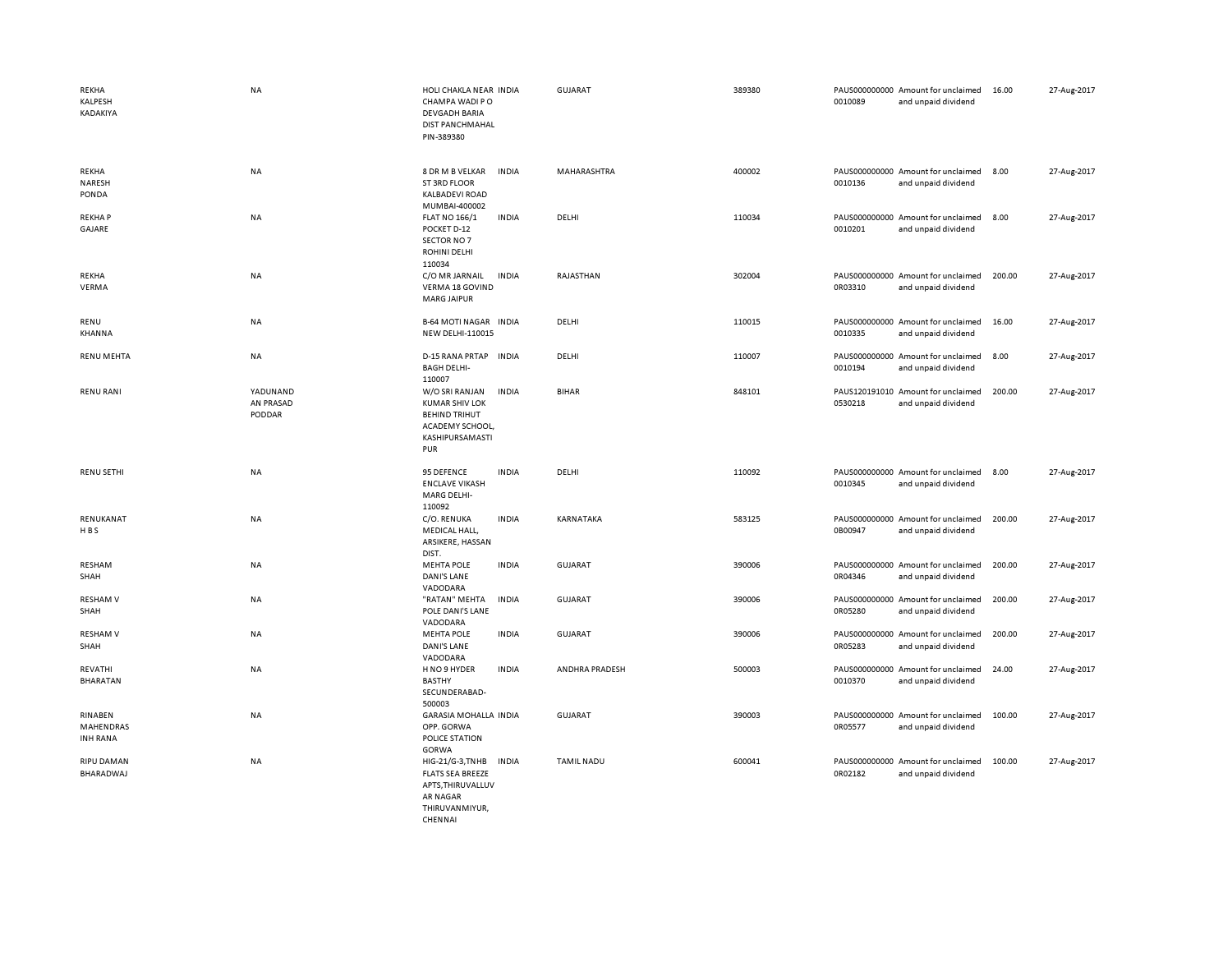| REKHA<br>KALPESH<br>KADAKIYA            | NA                              | HOLI CHAKLA NEAR INDIA<br>CHAMPA WADI PO<br><b>DEVGADH BARIA</b><br><b>DIST PANCHMAHAL</b><br>PIN-389380                     | GUJARAT           | 389380 | 0010089 | PAUS000000000 Amount for unclaimed<br>and unpaid dividend | 16.00  | 27-Aug-2017 |
|-----------------------------------------|---------------------------------|------------------------------------------------------------------------------------------------------------------------------|-------------------|--------|---------|-----------------------------------------------------------|--------|-------------|
| REKHA<br>NARESH<br>PONDA                | NA                              | 8 DR M B VELKAR<br><b>INDIA</b><br>ST 3RD FLOOR<br><b>KALBADEVI ROAD</b><br>MUMBAI-400002                                    | MAHARASHTRA       | 400002 | 0010136 | PAUS000000000 Amount for unclaimed<br>and unpaid dividend | 8.00   | 27-Aug-2017 |
| <b>REKHAP</b><br>GAJARE                 | NA                              | <b>FLAT NO 166/1</b><br><b>INDIA</b><br>POCKET D-12<br>SECTOR NO 7<br>ROHINI DELHI<br>110034                                 | DELHI             | 110034 | 0010201 | PAUS000000000 Amount for unclaimed<br>and unpaid dividend | 8.00   | 27-Aug-2017 |
| REKHA<br>VERMA                          | NA                              | C/O MR JARNAIL<br><b>INDIA</b><br>VERMA 18 GOVIND<br><b>MARG JAIPUR</b>                                                      | RAJASTHAN         | 302004 | 0R03310 | PAUS000000000 Amount for unclaimed<br>and unpaid dividend | 200.00 | 27-Aug-2017 |
| RENU<br>KHANNA                          | NA                              | <b>B-64 MOTI NAGAR INDIA</b><br><b>NEW DELHI-110015</b>                                                                      | DELHI             | 110015 | 0010335 | PAUS000000000 Amount for unclaimed<br>and unpaid dividend | 16.00  | 27-Aug-2017 |
| <b>RENU MEHTA</b>                       | NA                              | <b>INDIA</b><br>D-15 RANA PRTAP<br><b>BAGH DELHI-</b><br>110007                                                              | DELHI             | 110007 | 0010194 | PAUS000000000 Amount for unclaimed<br>and unpaid dividend | 8.00   | 27-Aug-2017 |
| <b>RENU RANI</b>                        | YADUNAND<br>AN PRASAD<br>PODDAR | W/O SRI RANJAN<br><b>INDIA</b><br><b>KUMAR SHIV LOK</b><br><b>BEHIND TRIHUT</b><br>ACADEMY SCHOOL,<br>KASHIPURSAMASTI<br>PUR | <b>BIHAR</b>      | 848101 | 0530218 | PAUS120191010 Amount for unclaimed<br>and unpaid dividend | 200.00 | 27-Aug-2017 |
| <b>RENU SETHI</b>                       | <b>NA</b>                       | 95 DEFENCE<br><b>INDIA</b><br><b>ENCLAVE VIKASH</b><br>MARG DELHI-<br>110092                                                 | DELHI             | 110092 | 0010345 | PAUS000000000 Amount for unclaimed<br>and unpaid dividend | 8.00   | 27-Aug-2017 |
| RENUKANAT<br>HBS                        | NA                              | C/O. RENUKA<br><b>INDIA</b><br>MEDICAL HALL,<br>ARSIKERE, HASSAN<br>DIST.                                                    | KARNATAKA         | 583125 | 0B00947 | PAUS000000000 Amount for unclaimed<br>and unpaid dividend | 200.00 | 27-Aug-2017 |
| RESHAM<br>SHAH                          | NA                              | <b>INDIA</b><br><b>MEHTA POLE</b><br><b>DANI'S LANE</b><br>VADODARA                                                          | <b>GUJARAT</b>    | 390006 | 0R04346 | PAUS000000000 Amount for unclaimed<br>and unpaid dividend | 200.00 | 27-Aug-2017 |
| <b>RESHAM V</b><br>SHAH                 | <b>NA</b>                       | "RATAN" MEHTA<br><b>INDIA</b><br>POLE DANI'S LANE<br>VADODARA                                                                | <b>GUJARAT</b>    | 390006 | 0R05280 | PAUS000000000 Amount for unclaimed<br>and unpaid dividend | 200.00 | 27-Aug-2017 |
| <b>RESHAM V</b><br>SHAH                 | NA                              | <b>MEHTA POLE</b><br><b>INDIA</b><br>DANI'S LANE<br>VADODARA                                                                 | <b>GUJARAT</b>    | 390006 | 0R05283 | PAUS000000000 Amount for unclaimed<br>and unpaid dividend | 200.00 | 27-Aug-2017 |
| REVATHI<br><b>BHARATAN</b>              | NA                              | H NO 9 HYDER<br><b>INDIA</b><br><b>BASTHY</b><br>SECUNDERABAD-<br>500003                                                     | ANDHRA PRADESH    | 500003 | 0010370 | PAUS000000000 Amount for unclaimed<br>and unpaid dividend | 24.00  | 27-Aug-2017 |
| RINABEN<br>MAHENDRAS<br><b>INH RANA</b> | NA                              | <b>GARASIA MOHALLA INDIA</b><br>OPP. GORWA<br>POLICE STATION<br>GORWA                                                        | <b>GUJARAT</b>    | 390003 | 0R05577 | PAUS000000000 Amount for unclaimed<br>and unpaid dividend | 100.00 | 27-Aug-2017 |
| <b>RIPU DAMAN</b><br>BHARADWAJ          | NA                              | <b>INDIA</b><br>HIG-21/G-3,TNHB<br><b>FLATS SEA BREEZE</b><br>APTS, THIRUVALLUV<br><b>AR NAGAR</b><br>THIRUVANMIYUR,         | <b>TAMIL NADU</b> | 600041 | 0R02182 | PAUS000000000 Amount for unclaimed<br>and unpaid dividend | 100.00 | 27-Aug-2017 |

CHENNAI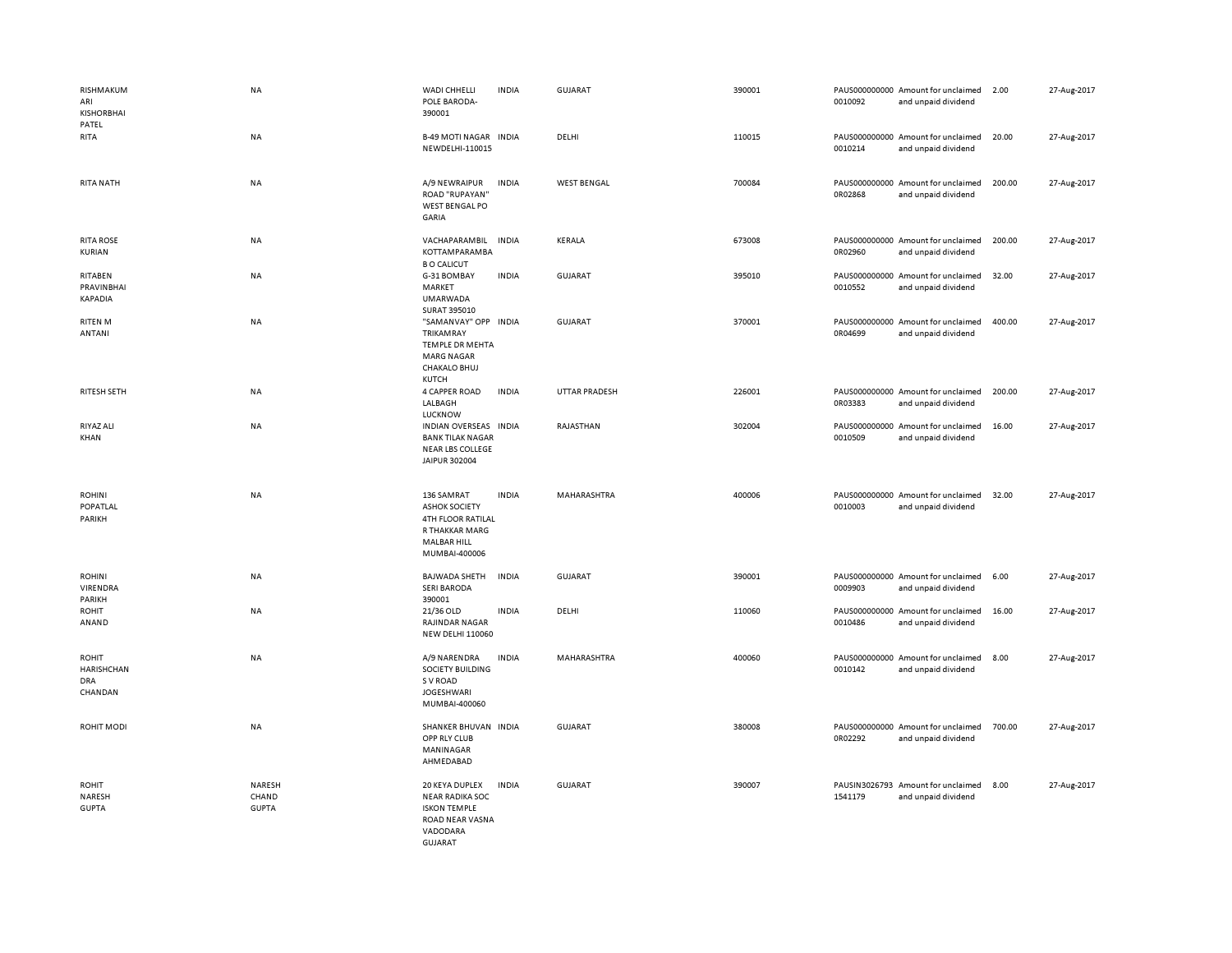| RISHMAKUM<br>ARI<br><b>KISHORBHAI</b><br>PATEL      | NA                              | WADI CHHELLI<br>POLE BARODA-<br>390001                                                                    | <b>INDIA</b> | GUJARAT              | 390001 | 0010092 | PAUS000000000 Amount for unclaimed<br>and unpaid dividend | 2.00   | 27-Aug-2017 |
|-----------------------------------------------------|---------------------------------|-----------------------------------------------------------------------------------------------------------|--------------|----------------------|--------|---------|-----------------------------------------------------------|--------|-------------|
| RITA                                                | <b>NA</b>                       | <b>B-49 MOTI NAGAR INDIA</b><br>NEWDELHI-110015                                                           |              | DELHI                | 110015 | 0010214 | PAUS000000000 Amount for unclaimed<br>and unpaid dividend | 20.00  | 27-Aug-2017 |
| <b>RITA NATH</b>                                    | <b>NA</b>                       | A/9 NEWRAIPUR<br>ROAD "RUPAYAN"<br>WEST BENGAL PO<br>GARIA                                                | <b>INDIA</b> | <b>WEST BENGAL</b>   | 700084 | 0R02868 | PAUS000000000 Amount for unclaimed<br>and unpaid dividend | 200.00 | 27-Aug-2017 |
| <b>RITA ROSE</b><br>KURIAN                          | <b>NA</b>                       | VACHAPARAMBIL<br>KOTTAMPARAMBA<br><b>B O CALICUT</b>                                                      | <b>INDIA</b> | KERALA               | 673008 | 0R02960 | PAUS000000000 Amount for unclaimed<br>and unpaid dividend | 200.00 | 27-Aug-2017 |
| RITABEN<br>PRAVINBHAI<br>KAPADIA                    | NA                              | G-31 BOMBAY<br>MARKET<br><b>UMARWADA</b><br>SURAT 395010                                                  | <b>INDIA</b> | GUJARAT              | 395010 | 0010552 | PAUS000000000 Amount for unclaimed<br>and unpaid dividend | 32.00  | 27-Aug-2017 |
| RITEN M<br>ANTANI                                   | NA                              | "SAMANVAY" OPP INDIA<br>TRIKAMRAY<br><b>TEMPLE DR MEHTA</b><br><b>MARG NAGAR</b><br>CHAKALO BHUJ<br>KUTCH |              | GUJARAT              | 370001 | 0R04699 | PAUS000000000 Amount for unclaimed<br>and unpaid dividend | 400.00 | 27-Aug-2017 |
| <b>RITESH SETH</b>                                  | <b>NA</b>                       | 4 CAPPER ROAD<br>LALBAGH<br><b>LUCKNOW</b>                                                                | <b>INDIA</b> | <b>UTTAR PRADESH</b> | 226001 | 0R03383 | PAUS000000000 Amount for unclaimed<br>and unpaid dividend | 200.00 | 27-Aug-2017 |
| RIYAZ ALI<br>KHAN                                   | NA                              | INDIAN OVERSEAS INDIA<br><b>BANK TILAK NAGAR</b><br>NEAR LBS COLLEGE<br>JAIPUR 302004                     |              | RAJASTHAN            | 302004 | 0010509 | PAUS000000000 Amount for unclaimed<br>and unpaid dividend | 16.00  | 27-Aug-2017 |
| <b>ROHINI</b><br>POPATLAL<br>PARIKH                 | <b>NA</b>                       | 136 SAMRAT<br><b>ASHOK SOCIETY</b><br>4TH FLOOR RATILAL<br>R THAKKAR MARG<br>MALBAR HILL<br>MUMBAI-400006 | <b>INDIA</b> | MAHARASHTRA          | 400006 | 0010003 | PAUS000000000 Amount for unclaimed<br>and unpaid dividend | 32.00  | 27-Aug-2017 |
| <b>ROHINI</b><br>VIRENDRA<br>PARIKH                 | <b>NA</b>                       | <b>BAJWADA SHETH</b><br><b>SERI BARODA</b><br>390001                                                      | <b>INDIA</b> | <b>GUJARAT</b>       | 390001 | 0009903 | PAUS000000000 Amount for unclaimed<br>and unpaid dividend | 6.00   | 27-Aug-2017 |
| ROHIT<br>ANAND                                      | <b>NA</b>                       | 21/36 OLD<br><b>RAJINDAR NAGAR</b><br><b>NEW DELHI 110060</b>                                             | <b>INDIA</b> | DELHI                | 110060 | 0010486 | PAUS000000000 Amount for unclaimed<br>and unpaid dividend | 16.00  | 27-Aug-2017 |
| ROHIT<br><b>HARISHCHAN</b><br><b>DRA</b><br>CHANDAN | <b>NA</b>                       | A/9 NARENDRA<br>SOCIETY BUILDING<br>S V ROAD<br><b>JOGESHWARI</b><br>MUMBAI-400060                        | <b>INDIA</b> | MAHARASHTRA          | 400060 | 0010142 | PAUS000000000 Amount for unclaimed<br>and unpaid dividend | 8.00   | 27-Aug-2017 |
| <b>ROHIT MODI</b>                                   | NA                              | SHANKER BHUVAN INDIA<br>OPP RLY CLUB<br>MANINAGAR<br>AHMEDABAD                                            |              | GUJARAT              | 380008 | 0R02292 | PAUS000000000 Amount for unclaimed<br>and unpaid dividend | 700.00 | 27-Aug-2017 |
| <b>ROHIT</b><br>NARESH<br><b>GUPTA</b>              | NARESH<br>CHAND<br><b>GUPTA</b> | 20 KEYA DUPLEX<br><b>NEAR RADIKA SOC</b><br><b>ISKON TEMPLE</b><br>ROAD NEAR VASNA<br>VADODARA<br>GUIARAT | <b>INDIA</b> | <b>GUJARAT</b>       | 390007 | 1541179 | PAUSIN3026793 Amount for unclaimed<br>and unpaid dividend | 8.00   | 27-Aug-2017 |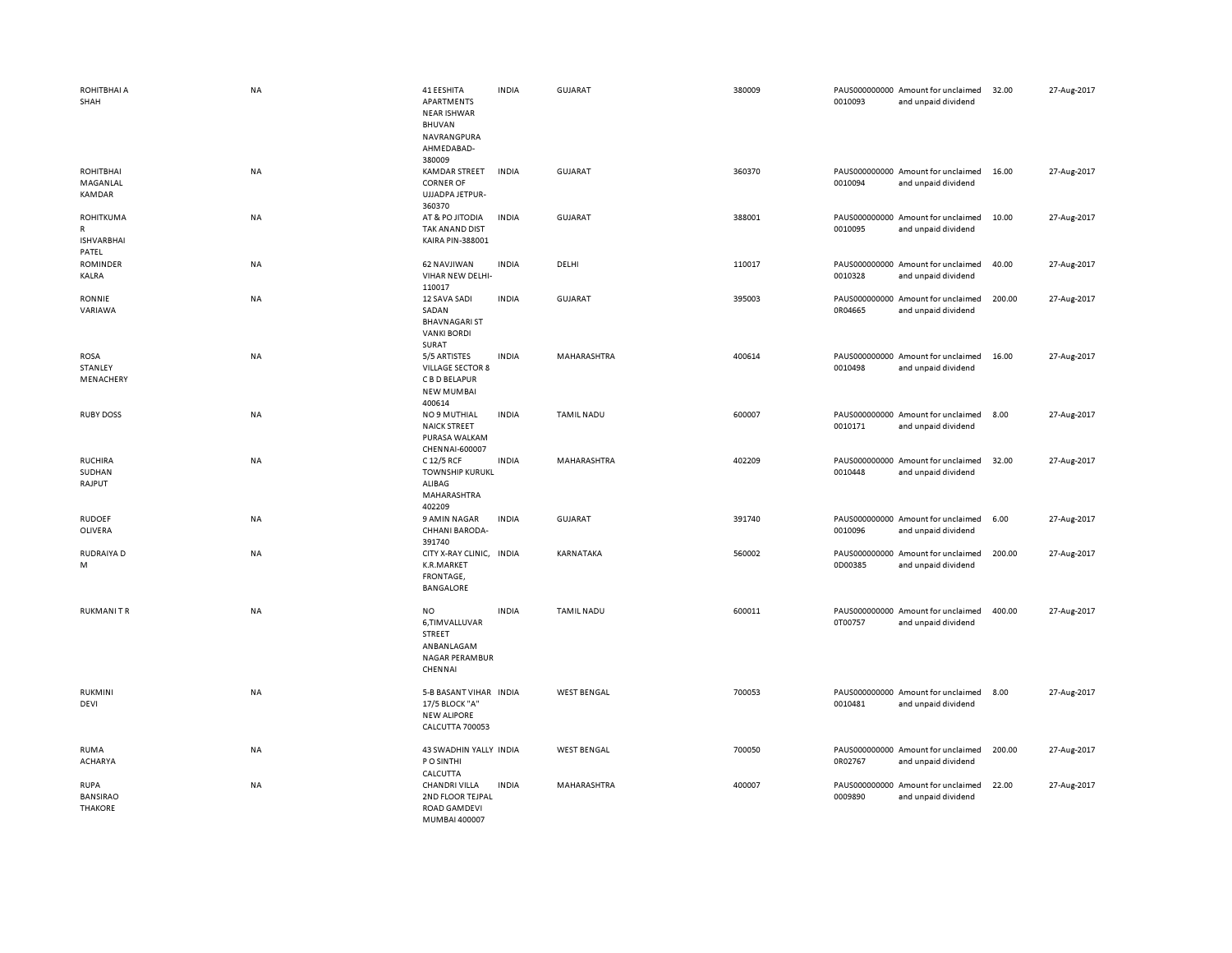| ROHITBHAI A<br>SHAH                                 | NA        | 41 EESHITA<br>APARTMENTS<br><b>NEAR ISHWAR</b><br><b>BHUVAN</b><br>NAVRANGPURA<br>AHMEDABAD- | <b>INDIA</b> | <b>GUJARAT</b>     | 380009 | 0010093 | PAUS000000000 Amount for unclaimed<br>and unpaid dividend | 32.00  | 27-Aug-2017 |
|-----------------------------------------------------|-----------|----------------------------------------------------------------------------------------------|--------------|--------------------|--------|---------|-----------------------------------------------------------|--------|-------------|
| ROHITBHAI<br>MAGANLAL<br>KAMDAR                     | NA        | 380009<br><b>KAMDAR STREET</b><br><b>CORNER OF</b><br>UJJADPA JETPUR-<br>360370              | <b>INDIA</b> | <b>GUJARAT</b>     | 360370 | 0010094 | PAUS000000000 Amount for unclaimed<br>and unpaid dividend | 16.00  | 27-Aug-2017 |
| <b>ROHITKUMA</b><br>R<br><b>ISHVARBHAI</b><br>PATEL | NA        | AT & PO JITODIA<br>TAK ANAND DIST<br>KAIRA PIN-388001                                        | <b>INDIA</b> | <b>GUJARAT</b>     | 388001 | 0010095 | PAUS000000000 Amount for unclaimed<br>and unpaid dividend | 10.00  | 27-Aug-2017 |
| <b>ROMINDER</b><br>KALRA                            | <b>NA</b> | 62 NAVJIWAN<br>VIHAR NEW DELHI-<br>110017                                                    | <b>INDIA</b> | DELHI              | 110017 | 0010328 | PAUS000000000 Amount for unclaimed<br>and unpaid dividend | 40.00  | 27-Aug-2017 |
| RONNIE<br>VARIAWA                                   | NA        | 12 SAVA SADI<br>SADAN<br><b>BHAVNAGARI ST</b><br><b>VANKI BORDI</b><br>SURAT                 | <b>INDIA</b> | <b>GUJARAT</b>     | 395003 | 0R04665 | PAUS000000000 Amount for unclaimed<br>and unpaid dividend | 200.00 | 27-Aug-2017 |
| ROSA<br>STANLEY<br>MENACHERY                        | NA        | 5/5 ARTISTES<br><b>VILLAGE SECTOR 8</b><br>C B D BELAPUR<br><b>NEW MUMBAI</b><br>400614      | <b>INDIA</b> | MAHARASHTRA        | 400614 | 0010498 | PAUS000000000 Amount for unclaimed<br>and unpaid dividend | 16.00  | 27-Aug-2017 |
| <b>RUBY DOSS</b>                                    | NA        | <b>NO 9 MUTHIAL</b><br><b>NAICK STREET</b><br>PURASA WALKAM<br>CHENNAI-600007                | <b>INDIA</b> | <b>TAMIL NADU</b>  | 600007 | 0010171 | PAUS000000000 Amount for unclaimed<br>and unpaid dividend | 8.00   | 27-Aug-2017 |
| <b>RUCHIRA</b><br>SUDHAN<br>RAJPUT                  | NA        | C 12/5 RCF<br><b>TOWNSHIP KURUKL</b><br>ALIBAG<br>MAHARASHTRA<br>402209                      | <b>INDIA</b> | MAHARASHTRA        | 402209 | 0010448 | PAUS000000000 Amount for unclaimed<br>and unpaid dividend | 32.00  | 27-Aug-2017 |
| <b>RUDOEF</b><br>OLIVERA                            | NA        | 9 AMIN NAGAR<br>CHHANI BARODA-<br>391740                                                     | <b>INDIA</b> | <b>GUJARAT</b>     | 391740 | 0010096 | PAUS000000000 Amount for unclaimed<br>and unpaid dividend | 6.00   | 27-Aug-2017 |
| RUDRAIYA D<br>M                                     | NA        | CITY X-RAY CLINIC, INDIA<br>K.R.MARKET<br>FRONTAGE,<br>BANGALORE                             |              | KARNATAKA          | 560002 | 0D00385 | PAUS000000000 Amount for unclaimed<br>and unpaid dividend | 200.00 | 27-Aug-2017 |
| <b>RUKMANITR</b>                                    | NA        | NO<br>6,TIMVALLUVAR<br>STREET<br>ANBANLAGAM<br>NAGAR PERAMBUR<br>CHENNAI                     | <b>INDIA</b> | <b>TAMIL NADU</b>  | 600011 | 0T00757 | PAUS000000000 Amount for unclaimed<br>and unpaid dividend | 400.00 | 27-Aug-2017 |
| RUKMINI<br>DEVI                                     | NA        | 5-B BASANT VIHAR INDIA<br>17/5 BLOCK "A"<br><b>NEW ALIPORE</b><br>CALCUTTA 700053            |              | <b>WEST BENGAL</b> | 700053 | 0010481 | PAUS000000000 Amount for unclaimed<br>and unpaid dividend | 8.00   | 27-Aug-2017 |
| RUMA<br>ACHARYA                                     | NA        | 43 SWADHIN YALLY INDIA<br>P O SINTHI<br>CALCUTTA                                             |              | <b>WEST BENGAL</b> | 700050 | 0R02767 | PAUS000000000 Amount for unclaimed<br>and unpaid dividend | 200.00 | 27-Aug-2017 |
| <b>RUPA</b><br><b>BANSIRAO</b><br><b>THAKORE</b>    | NA        | CHANDRI VILLA<br>2ND FLOOR TEJPAL<br><b>ROAD GAMDEVI</b><br>MUMBAL400007                     | <b>INDIA</b> | MAHARASHTRA        | 400007 | 0009890 | PAUS000000000 Amount for unclaimed<br>and unpaid dividend | 22.00  | 27-Aug-2017 |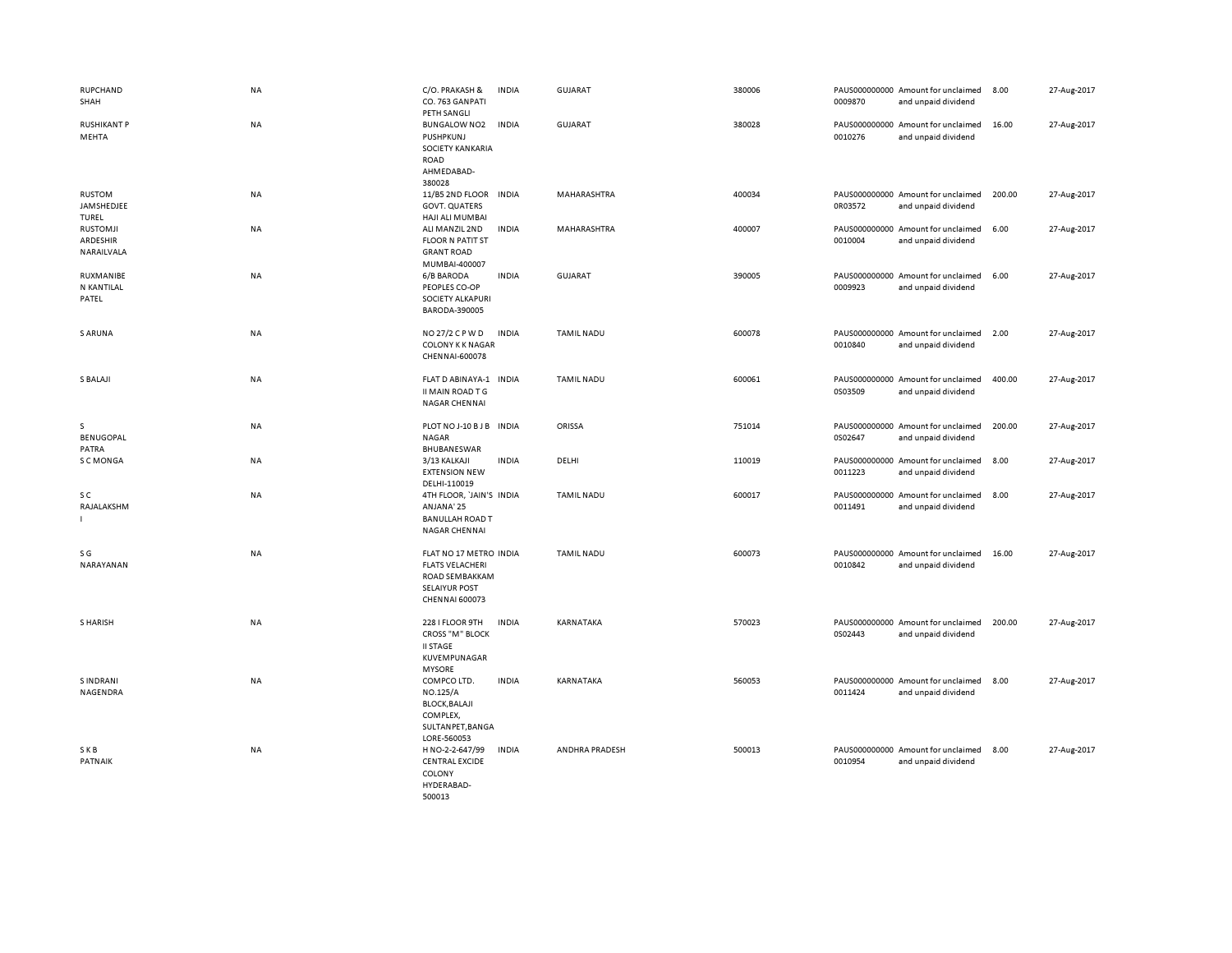| RUPCHAND<br>SHAH                          | <b>NA</b> | C/O. PRAKASH &<br>CO. 763 GANPATI<br>PETH SANGLI                                                             | <b>INDIA</b> | <b>GUJARAT</b>    | 380006 | 0009870 | PAUS000000000 Amount for unclaimed<br>and unpaid dividend | 8.00   | 27-Aug-2017 |
|-------------------------------------------|-----------|--------------------------------------------------------------------------------------------------------------|--------------|-------------------|--------|---------|-----------------------------------------------------------|--------|-------------|
| <b>RUSHIKANT P</b><br>MEHTA               | NA        | <b>BUNGALOW NO2</b><br>PUSHPKUNJ<br>SOCIETY KANKARIA<br><b>ROAD</b><br>AHMEDABAD-<br>380028                  | <b>INDIA</b> | <b>GUJARAT</b>    | 380028 | 0010276 | PAUS000000000 Amount for unclaimed<br>and unpaid dividend | 16.00  | 27-Aug-2017 |
| RUSTOM<br>JAMSHEDJEE<br>TUREL             | NA        | 11/B5 2ND FLOOR<br><b>GOVT. QUATERS</b><br>HAJI ALI MUMBAI                                                   | <b>INDIA</b> | MAHARASHTRA       | 400034 | 0R03572 | PAUS000000000 Amount for unclaimed<br>and unpaid dividend | 200.00 | 27-Aug-2017 |
| <b>RUSTOMJI</b><br>ARDESHIR<br>NARAILVALA | NA        | ALI MANZIL 2ND<br><b>FLOOR N PATIT ST</b><br><b>GRANT ROAD</b><br>MUMBAI-400007                              | <b>INDIA</b> | MAHARASHTRA       | 400007 | 0010004 | PAUS000000000 Amount for unclaimed<br>and unpaid dividend | 6.00   | 27-Aug-2017 |
| RUXMANIBE<br>N KANTILAL<br>PATEL          | <b>NA</b> | 6/B BARODA<br>PEOPLES CO-OP<br>SOCIETY ALKAPURI<br>BARODA-390005                                             | <b>INDIA</b> | <b>GUJARAT</b>    | 390005 | 0009923 | PAUS000000000 Amount for unclaimed<br>and unpaid dividend | 6.00   | 27-Aug-2017 |
| <b>S ARUNA</b>                            | <b>NA</b> | NO 27/2 C P W D<br>COLONY K K NAGAR<br>CHENNAI-600078                                                        | <b>INDIA</b> | <b>TAMIL NADU</b> | 600078 | 0010840 | PAUS000000000 Amount for unclaimed<br>and unpaid dividend | 2.00   | 27-Aug-2017 |
| S BALAJI                                  | <b>NA</b> | FLAT D ABINAYA-1<br>II MAIN ROAD T G<br>NAGAR CHENNAI                                                        | <b>INDIA</b> | <b>TAMIL NADU</b> | 600061 | 0S03509 | PAUS000000000 Amount for unclaimed<br>and unpaid dividend | 400.00 | 27-Aug-2017 |
| s<br>BENUGOPAL<br>PATRA                   | NA        | PLOT NO J-10 B J B<br><b>NAGAR</b><br>BHUBANESWAR                                                            | <b>INDIA</b> | ORISSA            | 751014 | 0S02647 | PAUS000000000 Amount for unclaimed<br>and unpaid dividend | 200.00 | 27-Aug-2017 |
| S C MONGA                                 | NA        | 3/13 KALKAJI<br><b>EXTENSION NEW</b><br>DELHI-110019                                                         | <b>INDIA</b> | DELHI             | 110019 | 0011223 | PAUS000000000 Amount for unclaimed<br>and unpaid dividend | 8.00   | 27-Aug-2017 |
| s c<br>RAJALAKSHM                         | NA        | 4TH FLOOR, 'JAIN'S INDIA<br>ANJANA' 25<br><b>BANULLAH ROAD T</b><br><b>NAGAR CHENNAI</b>                     |              | <b>TAMIL NADU</b> | 600017 | 0011491 | PAUS000000000 Amount for unclaimed<br>and unpaid dividend | 8.00   | 27-Aug-2017 |
| S G<br>NARAYANAN                          | NA        | FLAT NO 17 METRO INDIA<br><b>FLATS VELACHERI</b><br>ROAD SEMBAKKAM<br><b>SELAIYUR POST</b><br>CHENNAI 600073 |              | <b>TAMIL NADU</b> | 600073 | 0010842 | PAUS000000000 Amount for unclaimed<br>and unpaid dividend | 16.00  | 27-Aug-2017 |
| S HARISH                                  | <b>NA</b> | 228 I FLOOR 9TH<br><b>CROSS "M" BLOCK</b><br><b>II STAGE</b><br>KUVEMPUNAGAR<br><b>MYSORE</b>                | <b>INDIA</b> | KARNATAKA         | 570023 | 0S02443 | PAUS000000000 Amount for unclaimed<br>and unpaid dividend | 200.00 | 27-Aug-2017 |
| <b>SINDRANI</b><br>NAGENDRA               | NA        | COMPCO LTD.<br>NO.125/A<br><b>BLOCK, BALAJI</b><br>COMPLEX,<br>SULTANPET, BANGA<br>LORE-560053               | <b>INDIA</b> | KARNATAKA         | 560053 | 0011424 | PAUS000000000 Amount for unclaimed<br>and unpaid dividend | 8.00   | 27-Aug-2017 |
| SKB<br>PATNAIK                            | NA        | H NO-2-2-647/99<br><b>CENTRAL EXCIDE</b><br>COLONY<br>HYDERABAD-<br>500013                                   | <b>INDIA</b> | ANDHRA PRADESH    | 500013 | 0010954 | PAUS000000000 Amount for unclaimed<br>and unpaid dividend | 8.00   | 27-Aug-2017 |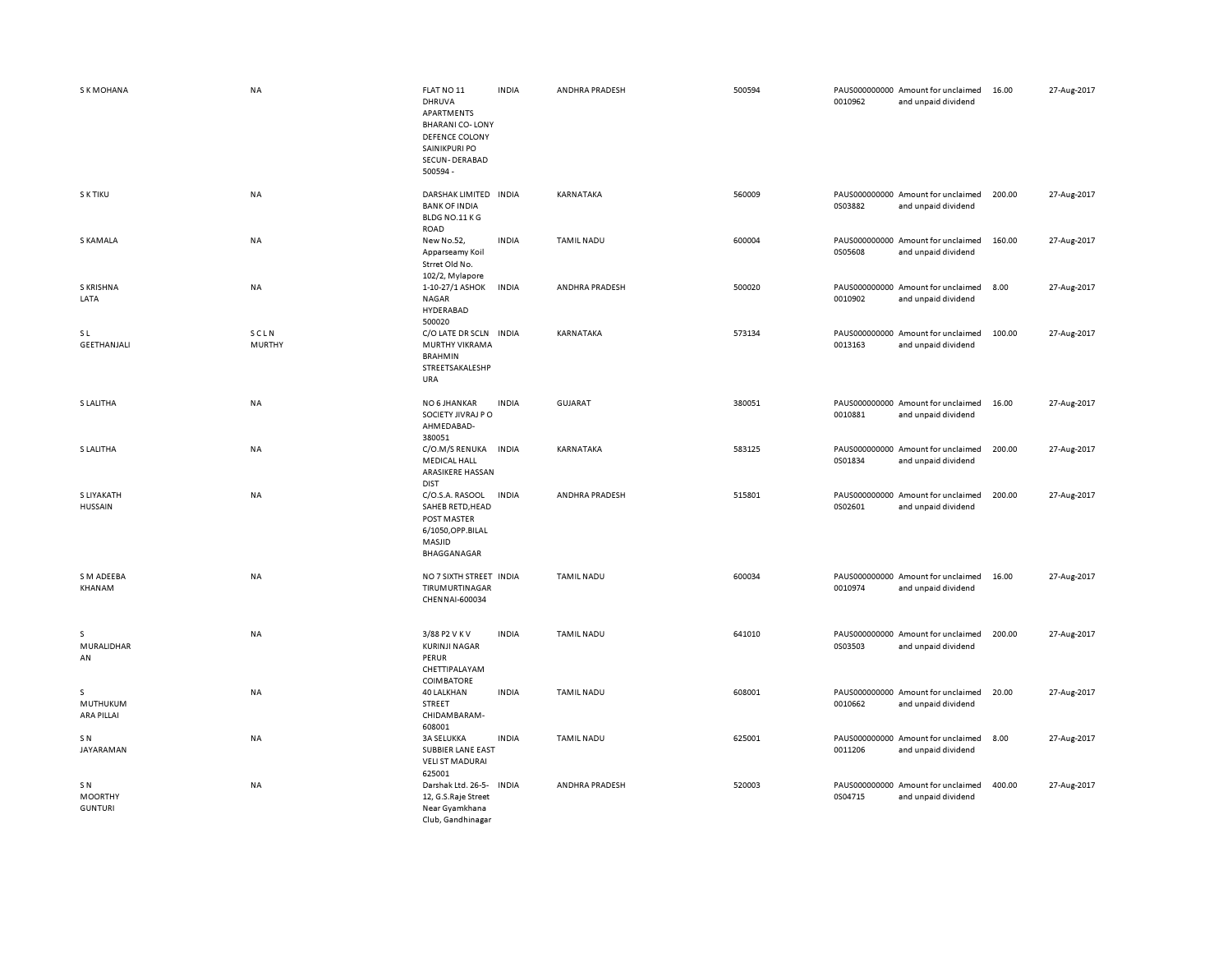| <b>SKMOHANA</b>                                     | <b>NA</b>             | FLAT NO 11<br>DHRUVA<br>APARTMENTS<br><b>BHARANI CO-LONY</b><br>DEFENCE COLONY<br>SAINIKPURI PO<br>SECUN-DERABAD<br>500594 - | <b>INDIA</b> | ANDHRA PRADESH    | 500594 | 0010962 | PAUS000000000 Amount for unclaimed<br>and unpaid dividend | 16.00  | 27-Aug-2017 |
|-----------------------------------------------------|-----------------------|------------------------------------------------------------------------------------------------------------------------------|--------------|-------------------|--------|---------|-----------------------------------------------------------|--------|-------------|
| S K TIKU                                            | <b>NA</b>             | DARSHAK LIMITED INDIA<br><b>BANK OF INDIA</b><br>BLDG NO.11 KG<br>ROAD                                                       |              | KARNATAKA         | 560009 | 0S03882 | PAUS000000000 Amount for unclaimed<br>and unpaid dividend | 200.00 | 27-Aug-2017 |
| S KAMALA                                            | <b>NA</b>             | New No.52,<br>Apparseamy Koil<br>Strret Old No.<br>102/2, Mylapore                                                           | <b>INDIA</b> | <b>TAMIL NADU</b> | 600004 | 0S05608 | PAUS000000000 Amount for unclaimed<br>and unpaid dividend | 160.00 | 27-Aug-2017 |
| S KRISHNA<br>LATA                                   | <b>NA</b>             | 1-10-27/1 ASHOK<br><b>NAGAR</b><br>HYDERABAD                                                                                 | <b>INDIA</b> | ANDHRA PRADESH    | 500020 | 0010902 | PAUS000000000 Amount for unclaimed<br>and unpaid dividend | 8.00   | 27-Aug-2017 |
| <b>SL</b><br>GEETHANJALI                            | SCLN<br><b>MURTHY</b> | 500020<br>C/O LATE DR SCLN INDIA<br>MURTHY VIKRAMA<br><b>BRAHMIN</b><br>STREETSAKALESHP<br>URA                               |              | KARNATAKA         | 573134 | 0013163 | PAUS000000000 Amount for unclaimed<br>and unpaid dividend | 100.00 | 27-Aug-2017 |
| S LALITHA                                           | NA                    | NO 6 JHANKAR<br>SOCIETY JIVRAJ P O<br>AHMEDABAD-<br>380051                                                                   | <b>INDIA</b> | GUJARAT           | 380051 | 0010881 | PAUS000000000 Amount for unclaimed<br>and unpaid dividend | 16.00  | 27-Aug-2017 |
| S LALITHA                                           | <b>NA</b>             | C/O.M/S RENUKA<br><b>MEDICAL HALL</b><br>ARASIKERE HASSAN<br><b>DIST</b>                                                     | <b>INDIA</b> | KARNATAKA         | 583125 | 0S01834 | PAUS000000000 Amount for unclaimed<br>and unpaid dividend | 200.00 | 27-Aug-2017 |
| S LIYAKATH<br><b>HUSSAIN</b>                        | NA                    | C/O.S.A. RASOOL<br>SAHEB RETD, HEAD<br>POST MASTER<br>6/1050, OPP.BILAL<br>MASJID<br>BHAGGANAGAR                             | <b>INDIA</b> | ANDHRA PRADESH    | 515801 | 0S02601 | PAUS000000000 Amount for unclaimed<br>and unpaid dividend | 200.00 | 27-Aug-2017 |
| S M ADEEBA<br>KHANAM                                | <b>NA</b>             | NO 7 SIXTH STREET INDIA<br>TIRUMURTINAGAR<br>CHENNAI-600034                                                                  |              | <b>TAMIL NADU</b> | 600034 | 0010974 | PAUS000000000 Amount for unclaimed<br>and unpaid dividend | 16.00  | 27-Aug-2017 |
| s<br>MURALIDHAR<br>AN                               | <b>NA</b>             | 3/88 P2 V K V<br><b>KURINJI NAGAR</b><br>PERUR<br>CHETTIPALAYAM<br>COIMBATORE                                                | <b>INDIA</b> | <b>TAMIL NADU</b> | 641010 | 0S03503 | PAUS000000000 Amount for unclaimed<br>and unpaid dividend | 200.00 | 27-Aug-2017 |
| s<br>MUTHUKUM<br>ARA PILLAI                         | NA                    | <b>40 LALKHAN</b><br>STREET<br>CHIDAMBARAM-<br>608001                                                                        | <b>INDIA</b> | TAMIL NADU        | 608001 | 0010662 | PAUS000000000 Amount for unclaimed<br>and unpaid dividend | 20.00  | 27-Aug-2017 |
| S N<br>JAYARAMAN                                    | <b>NA</b>             | <b>3A SELUKKA</b><br><b>SUBBIER LANE EAST</b><br><b>VELI ST MADURAI</b><br>625001                                            | <b>INDIA</b> | <b>TAMIL NADU</b> | 625001 | 0011206 | PAUS000000000 Amount for unclaimed<br>and unpaid dividend | 8.00   | 27-Aug-2017 |
| SN <sub>N</sub><br><b>MOORTHY</b><br><b>GUNTURI</b> | NA                    | Darshak Ltd. 26-5-<br>12, G.S.Raje Street<br>Near Gyamkhana<br>Club, Gandhinagar                                             | <b>INDIA</b> | ANDHRA PRADESH    | 520003 | 0S04715 | PAUS000000000 Amount for unclaimed<br>and unpaid dividend | 400.00 | 27-Aug-2017 |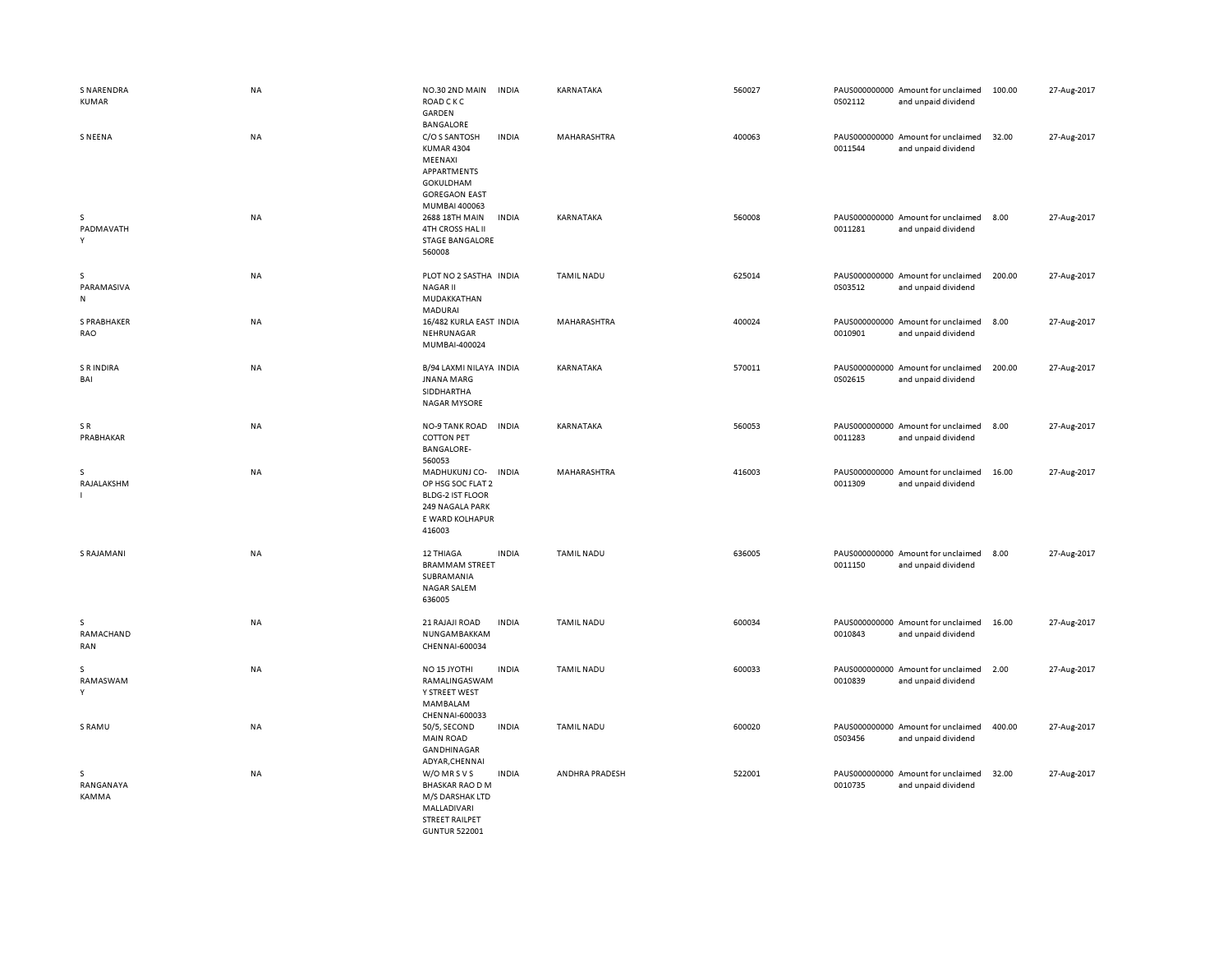| <b>S NARENDRA</b><br><b>KUMAR</b> | <b>NA</b> | NO.30 2ND MAIN<br><b>INDIA</b><br><b>ROAD CKC</b><br>GARDEN<br><b>BANGALORE</b>                                             | KARNATAKA         | 560027 | PAUS000000000 Amount for unclaimed<br>0S02112<br>and unpaid dividend | 100.00 | 27-Aug-2017 |
|-----------------------------------|-----------|-----------------------------------------------------------------------------------------------------------------------------|-------------------|--------|----------------------------------------------------------------------|--------|-------------|
| <b>SNEENA</b>                     | NA        | C/O S SANTOSH<br><b>INDIA</b><br>KUMAR 4304<br>MEENAXI<br>APPARTMENTS<br>GOKULDHAM<br><b>GOREGAON EAST</b><br>MUMBAI 400063 | MAHARASHTRA       | 400063 | PAUS000000000 Amount for unclaimed<br>0011544<br>and unpaid dividend | 32.00  | 27-Aug-2017 |
| s<br>PADMAVATH<br>Υ               | <b>NA</b> | 2688 18TH MAIN<br><b>INDIA</b><br>4TH CROSS HAL II<br><b>STAGE BANGALORE</b><br>560008                                      | KARNATAKA         | 560008 | PAUS000000000 Amount for unclaimed<br>0011281<br>and unpaid dividend | 8.00   | 27-Aug-2017 |
| s<br>PARAMASIVA<br>N              | NA        | PLOT NO 2 SASTHA INDIA<br><b>NAGARII</b><br>MUDAKKATHAN<br>MADURAI                                                          | <b>TAMIL NADU</b> | 625014 | PAUS000000000 Amount for unclaimed<br>0S03512<br>and unpaid dividend | 200.00 | 27-Aug-2017 |
| S PRABHAKER<br>RAO                | <b>NA</b> | 16/482 KURLA EAST INDIA<br>NEHRUNAGAR<br>MUMBAI-400024                                                                      | MAHARASHTRA       | 400024 | PAUS000000000 Amount for unclaimed<br>0010901<br>and unpaid dividend | 8.00   | 27-Aug-2017 |
| S R INDIRA<br>BAI                 | <b>NA</b> | B/94 LAXMI NILAYA INDIA<br><b>JNANA MARG</b><br>SIDDHARTHA<br><b>NAGAR MYSORE</b>                                           | KARNATAKA         | 570011 | PAUS000000000 Amount for unclaimed<br>0S02615<br>and unpaid dividend | 200.00 | 27-Aug-2017 |
| SR<br>PRABHAKAR                   | <b>NA</b> | <b>INDIA</b><br>NO-9 TANK ROAD<br><b>COTTON PET</b><br><b>BANGALORE-</b><br>560053                                          | KARNATAKA         | 560053 | PAUS000000000 Amount for unclaimed<br>0011283<br>and unpaid dividend | 8.00   | 27-Aug-2017 |
| s<br>RAJALAKSHM                   | NA        | MADHUKUNJ CO- INDIA<br>OP HSG SOC FLAT 2<br><b>BLDG-2 IST FLOOR</b><br>249 NAGALA PARK<br>E WARD KOLHAPUR<br>416003         | MAHARASHTRA       | 416003 | PAUS000000000 Amount for unclaimed<br>0011309<br>and unpaid dividend | 16.00  | 27-Aug-2017 |
| <b>S RAJAMANI</b>                 | <b>NA</b> | 12 THIAGA<br><b>INDIA</b><br><b>BRAMMAM STREET</b><br>SUBRAMANIA<br><b>NAGAR SALEM</b><br>636005                            | <b>TAMIL NADU</b> | 636005 | PAUS000000000 Amount for unclaimed<br>0011150<br>and unpaid dividend | 8.00   | 27-Aug-2017 |
| s<br>RAMACHAND<br>RAN             | NA        | 21 RAJAJI ROAD<br><b>INDIA</b><br>NUNGAMBAKKAM<br>CHENNAI-600034                                                            | <b>TAMIL NADU</b> | 600034 | PAUS000000000 Amount for unclaimed<br>0010843<br>and unpaid dividend | 16.00  | 27-Aug-2017 |
| s<br>RAMASWAM<br>Y                | <b>NA</b> | NO <sub>15</sub> JYOTHI<br><b>INDIA</b><br>RAMALINGASWAM<br>Y STREET WEST<br>MAMBALAM<br>CHENNAI-600033                     | TAMIL NADU        | 600033 | PAUS000000000 Amount for unclaimed<br>0010839<br>and unpaid dividend | 2.00   | 27-Aug-2017 |
| S RAMU                            | NA        | 50/5, SECOND<br><b>INDIA</b><br><b>MAIN ROAD</b><br>GANDHINAGAR<br>ADYAR, CHENNAI                                           | <b>TAMIL NADU</b> | 600020 | PAUS000000000 Amount for unclaimed<br>0S03456<br>and unpaid dividend | 400.00 | 27-Aug-2017 |
| s<br>RANGANAYA<br><b>KAMMA</b>    | <b>NA</b> | W/O MR S V S<br><b>INDIA</b><br><b>BHASKAR RAO D M</b><br>M/S DARSHAK LTD<br>MALLADIVARI<br><b>STREET RAILPET</b>           | ANDHRA PRADESH    | 522001 | PAUS000000000 Amount for unclaimed<br>0010735<br>and unpaid dividend | 32.00  | 27-Aug-2017 |

GUNTUR 522001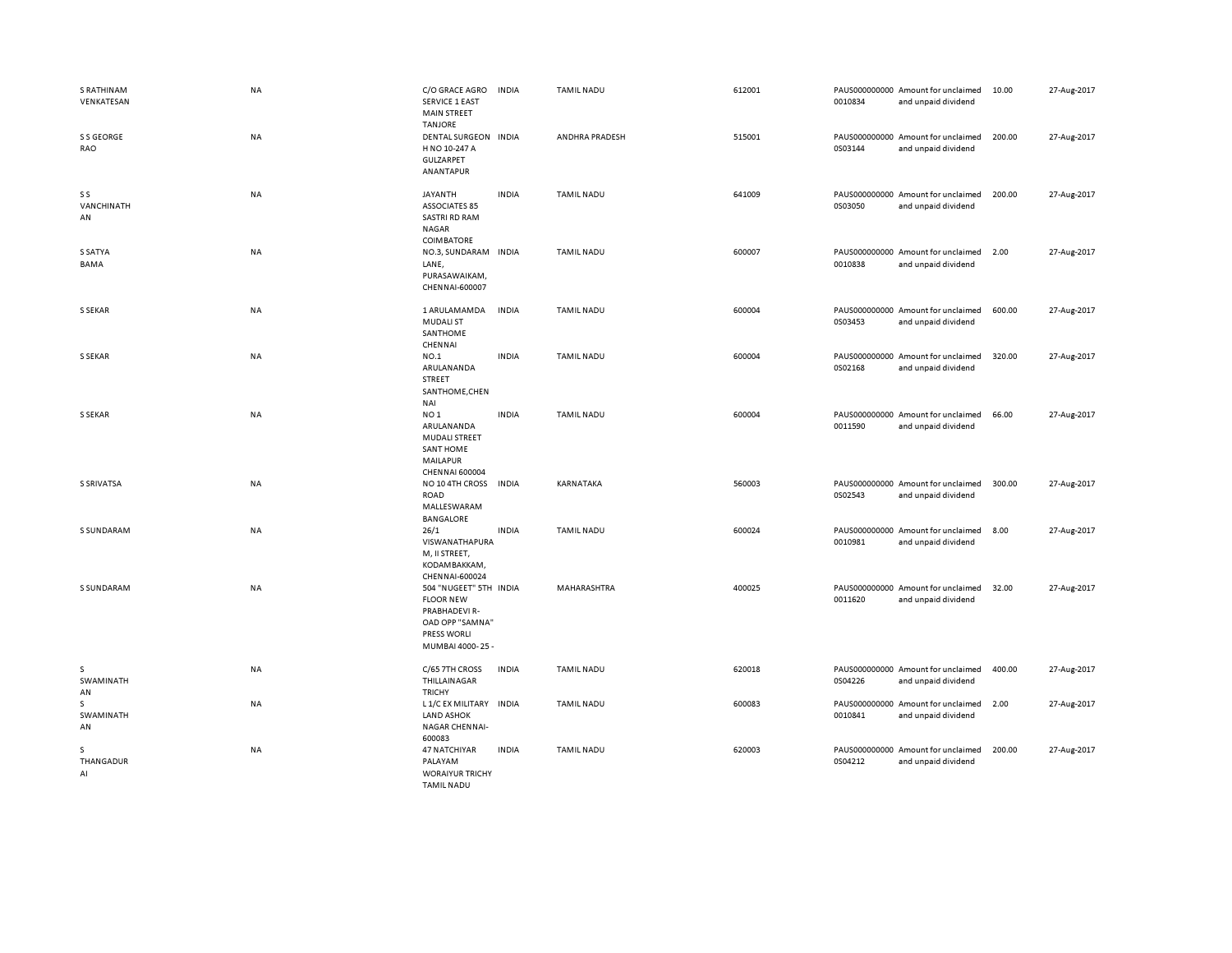| <b>S RATHINAM</b><br>VENKATESAN | <b>NA</b> | C/O GRACE AGRO<br><b>SERVICE 1 EAST</b><br><b>MAIN STREET</b>                                                           | <b>INDIA</b> | TAMIL NADU        | 612001 | 0010834 | PAUS000000000 Amount for unclaimed<br>and unpaid dividend | 10.00  | 27-Aug-2017 |
|---------------------------------|-----------|-------------------------------------------------------------------------------------------------------------------------|--------------|-------------------|--------|---------|-----------------------------------------------------------|--------|-------------|
| S S GEORGE<br>RAO               | <b>NA</b> | <b>TANJORE</b><br>DENTAL SURGEON INDIA<br>H NO 10-247 A<br>GULZARPET<br>ANANTAPUR                                       |              | ANDHRA PRADESH    | 515001 | 0S03144 | PAUS000000000 Amount for unclaimed<br>and unpaid dividend | 200.00 | 27-Aug-2017 |
| S S<br>VANCHINATH<br>AN         | NA        | JAYANTH<br><b>ASSOCIATES 85</b><br><b>SASTRI RD RAM</b><br>NAGAR<br>COIMBATORE                                          | <b>INDIA</b> | TAMIL NADU        | 641009 | 0S03050 | PAUS000000000 Amount for unclaimed<br>and unpaid dividend | 200.00 | 27-Aug-2017 |
| S SATYA<br>BAMA                 | NA        | NO.3, SUNDARAM INDIA<br>LANE,<br>PURASAWAIKAM,<br>CHENNAI-600007                                                        |              | <b>TAMIL NADU</b> | 600007 | 0010838 | PAUS000000000 Amount for unclaimed<br>and unpaid dividend | 2.00   | 27-Aug-2017 |
| <b>S SEKAR</b>                  | NA        | 1 ARULAMAMDA<br><b>MUDALI ST</b><br>SANTHOME<br>CHENNAI                                                                 | INDIA        | TAMIL NADU        | 600004 | 0S03453 | PAUS000000000 Amount for unclaimed<br>and unpaid dividend | 600.00 | 27-Aug-2017 |
| S SEKAR                         | <b>NA</b> | NO.1<br>ARULANANDA<br>STREET<br>SANTHOME, CHEN<br>NAI                                                                   | <b>INDIA</b> | TAMIL NADU        | 600004 | 0S02168 | PAUS000000000 Amount for unclaimed<br>and unpaid dividend | 320.00 | 27-Aug-2017 |
| <b>S SEKAR</b>                  | NA        | NO <sub>1</sub><br>ARULANANDA<br><b>MUDALI STREET</b><br><b>SANT HOME</b><br>MAILAPUR<br><b>CHENNAI 600004</b>          | <b>INDIA</b> | <b>TAMIL NADU</b> | 600004 | 0011590 | PAUS000000000 Amount for unclaimed<br>and unpaid dividend | 66.00  | 27-Aug-2017 |
| <b>S SRIVATSA</b>               | <b>NA</b> | NO 10 4TH CROSS<br>ROAD<br>MALLESWARAM<br><b>BANGALORE</b>                                                              | <b>INDIA</b> | KARNATAKA         | 560003 | 0S02543 | PAUS000000000 Amount for unclaimed<br>and unpaid dividend | 300.00 | 27-Aug-2017 |
| <b>S SUNDARAM</b>               | NA        | 26/1<br>VISWANATHAPURA<br>M, II STREET,<br>KODAMBAKKAM,<br>CHENNAI-600024                                               | <b>INDIA</b> | <b>TAMIL NADU</b> | 600024 | 0010981 | PAUS000000000 Amount for unclaimed<br>and unpaid dividend | 8.00   | 27-Aug-2017 |
| <b>S SUNDARAM</b>               | <b>NA</b> | 504 "NUGEET" 5TH INDIA<br><b>FLOOR NEW</b><br>PRABHADEVI R-<br>OAD OPP "SAMNA"<br><b>PRESS WORLI</b><br>MUMBAI 4000-25- |              | MAHARASHTRA       | 400025 | 0011620 | PAUS000000000 Amount for unclaimed<br>and unpaid dividend | 32.00  | 27-Aug-2017 |
| s<br>SWAMINATH<br>AN            | NA        | C/65 7TH CROSS<br>THILLAINAGAR<br><b>TRICHY</b>                                                                         | <b>INDIA</b> | <b>TAMIL NADU</b> | 620018 | 0S04226 | PAUS000000000 Amount for unclaimed<br>and unpaid dividend | 400.00 | 27-Aug-2017 |
| s<br>SWAMINATH<br>AN            | NA        | L 1/C EX MILITARY INDIA<br><b>LAND ASHOK</b><br>NAGAR CHENNAI-<br>600083                                                |              | <b>TAMIL NADU</b> | 600083 | 0010841 | PAUS000000000 Amount for unclaimed<br>and unpaid dividend | 2.00   | 27-Aug-2017 |
| s<br>THANGADUR<br>AI            | <b>NA</b> | 47 NATCHIYAR<br>PALAYAM<br><b>WORAIYUR TRICHY</b><br>TAMIL NADLL                                                        | <b>INDIA</b> | <b>TAMIL NADU</b> | 620003 | 0S04212 | PAUS000000000 Amount for unclaimed<br>and unpaid dividend | 200.00 | 27-Aug-2017 |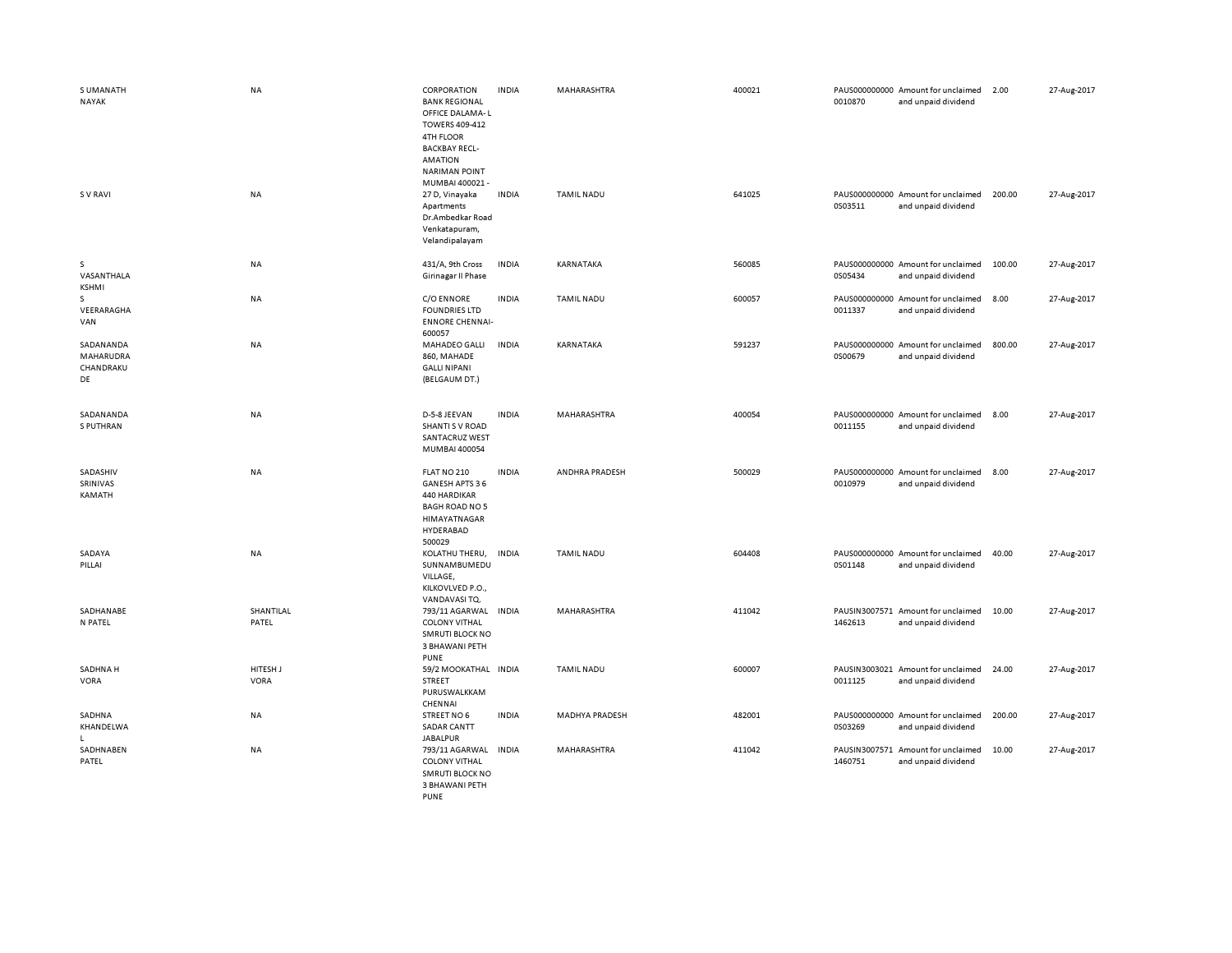| S UMANATH<br>NAYAK                        | NA                      | CORPORATION<br><b>BANK REGIONAL</b><br>OFFICE DALAMA-L<br>TOWERS 409-412<br>4TH FLOOR<br><b>BACKBAY RECL-</b><br><b>AMATION</b><br><b>NARIMAN POINT</b><br>MUMBAI 400021- | <b>INDIA</b> | MAHARASHTRA           | 400021 | 0010870 | PAUS000000000 Amount for unclaimed<br>and unpaid dividend | 2.00   | 27-Aug-2017 |
|-------------------------------------------|-------------------------|---------------------------------------------------------------------------------------------------------------------------------------------------------------------------|--------------|-----------------------|--------|---------|-----------------------------------------------------------|--------|-------------|
| S V RAVI                                  | <b>NA</b>               | 27 D, Vinayaka<br>Apartments<br>Dr.Ambedkar Road<br>Venkatapuram,<br>Velandipalayam                                                                                       | <b>INDIA</b> | <b>TAMIL NADU</b>     | 641025 | 0S03511 | PAUS000000000 Amount for unclaimed<br>and unpaid dividend | 200.00 | 27-Aug-2017 |
| s<br>VASANTHALA<br><b>KSHMI</b>           | NA                      | 431/A, 9th Cross<br>Girinagar II Phase                                                                                                                                    | <b>INDIA</b> | KARNATAKA             | 560085 | 0S05434 | PAUS000000000 Amount for unclaimed<br>and unpaid dividend | 100.00 | 27-Aug-2017 |
| s<br>VEERARAGHA<br>VAN                    | NA                      | C/O ENNORE<br><b>FOUNDRIES LTD</b><br><b>ENNORE CHENNAI-</b><br>600057                                                                                                    | <b>INDIA</b> | <b>TAMIL NADU</b>     | 600057 | 0011337 | PAUS000000000 Amount for unclaimed<br>and unpaid dividend | 8.00   | 27-Aug-2017 |
| SADANANDA<br>MAHARUDRA<br>CHANDRAKU<br>DE | NA                      | MAHADEO GALLI<br>860, MAHADE<br><b>GALLI NIPANI</b><br>(BELGAUM DT.)                                                                                                      | <b>INDIA</b> | KARNATAKA             | 591237 | 0S00679 | PAUS000000000 Amount for unclaimed<br>and unpaid dividend | 800.00 | 27-Aug-2017 |
| SADANANDA<br>S PUTHRAN                    | NA                      | D-5-8 JEEVAN<br>SHANTI S V ROAD<br><b>SANTACRUZ WEST</b><br>MUMBAI 400054                                                                                                 | <b>INDIA</b> | MAHARASHTRA           | 400054 | 0011155 | PAUS000000000 Amount for unclaimed<br>and unpaid dividend | 8.00   | 27-Aug-2017 |
| SADASHIV<br>SRINIVAS<br>KAMATH            | <b>NA</b>               | FLAT NO 210<br>GANESH APTS 36<br>440 HARDIKAR<br><b>BAGH ROAD NO 5</b><br>HIMAYATNAGAR<br>HYDERABAD<br>500029                                                             | <b>INDIA</b> | ANDHRA PRADESH        | 500029 | 0010979 | PAUS000000000 Amount for unclaimed<br>and unpaid dividend | 8.00   | 27-Aug-2017 |
| SADAYA<br>PILLAI                          | <b>NA</b>               | KOLATHU THERU,<br>SUNNAMBUMEDU<br>VILLAGE,<br>KILKOVLVED P.O.,<br>VANDAVASI TQ.                                                                                           | <b>INDIA</b> | <b>TAMIL NADU</b>     | 604408 | 0S01148 | PAUS000000000 Amount for unclaimed<br>and unpaid dividend | 40.00  | 27-Aug-2017 |
| SADHANABE<br>N PATEL                      | SHANTILAL<br>PATEL      | 793/11 AGARWAL INDIA<br><b>COLONY VITHAL</b><br><b>SMRUTI BLOCK NO</b><br>3 BHAWANI PETH<br><b>PUNE</b>                                                                   |              | MAHARASHTRA           | 411042 | 1462613 | PAUSIN3007571 Amount for unclaimed<br>and unpaid dividend | 10.00  | 27-Aug-2017 |
| SADHNA H<br><b>VORA</b>                   | HITESH J<br><b>VORA</b> | 59/2 MOOKATHAL INDIA<br>STREET<br>PURUSWALKKAM<br>CHENNAI                                                                                                                 |              | <b>TAMIL NADU</b>     | 600007 | 0011125 | PAUSIN3003021 Amount for unclaimed<br>and unpaid dividend | 24.00  | 27-Aug-2017 |
| SADHNA<br>KHANDELWA<br>L.                 | <b>NA</b>               | STREET NO 6<br><b>SADAR CANTT</b><br><b>JABALPUR</b>                                                                                                                      | <b>INDIA</b> | <b>MADHYA PRADESH</b> | 482001 | 0S03269 | PAUS000000000 Amount for unclaimed<br>and unpaid dividend | 200.00 | 27-Aug-2017 |
| SADHNABEN<br>PATEL                        | <b>NA</b>               | 793/11 AGARWAL<br><b>COLONY VITHAL</b><br><b>SMRUTI BLOCK NO</b><br>3 BHAWANI PETH<br><b>PUNE</b>                                                                         | <b>INDIA</b> | <b>MAHARASHTRA</b>    | 411042 | 1460751 | PAUSIN3007571 Amount for unclaimed<br>and unpaid dividend | 10.00  | 27-Aug-2017 |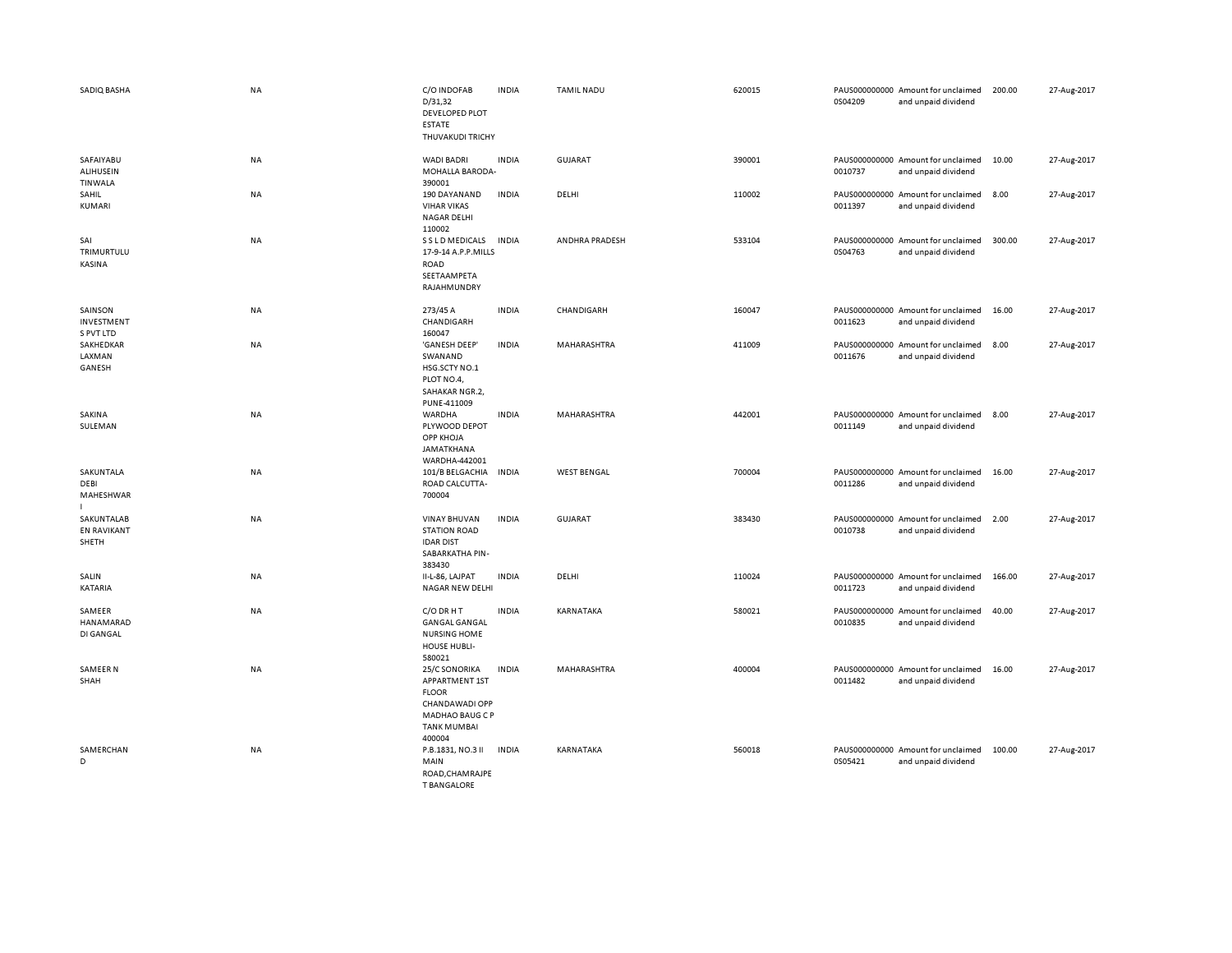| SADIQ BASHA                               | <b>NA</b> | C/O INDOFAB<br>D/31,32<br>DEVELOPED PLOT<br><b>ESTATE</b><br>THUVAKUDI TRICHY                                               | <b>INDIA</b> | <b>TAMIL NADU</b>  | 620015 | 0S04209 | PAUS000000000 Amount for unclaimed<br>and unpaid dividend | 200.00 | 27-Aug-2017 |
|-------------------------------------------|-----------|-----------------------------------------------------------------------------------------------------------------------------|--------------|--------------------|--------|---------|-----------------------------------------------------------|--------|-------------|
| SAFAIYABU<br><b>ALIHUSEIN</b><br>TINWALA  | <b>NA</b> | <b>WADI BADRI</b><br>MOHALLA BARODA-<br>390001                                                                              | <b>INDIA</b> | GUJARAT            | 390001 | 0010737 | PAUS000000000 Amount for unclaimed<br>and unpaid dividend | 10.00  | 27-Aug-2017 |
| SAHIL<br>KUMARI                           | NA        | 190 DAYANAND<br><b>VIHAR VIKAS</b><br><b>NAGAR DELHI</b><br>110002                                                          | <b>INDIA</b> | DELHI              | 110002 | 0011397 | PAUS000000000 Amount for unclaimed<br>and unpaid dividend | 8.00   | 27-Aug-2017 |
| SAI<br>TRIMURTULU<br>KASINA               | NA        | S S L D MEDICALS<br>17-9-14 A.P.P.MILLS<br><b>ROAD</b><br>SEETAAMPETA<br>RAJAHMUNDRY                                        | <b>INDIA</b> | ANDHRA PRADESH     | 533104 | 0S04763 | PAUS000000000 Amount for unclaimed<br>and unpaid dividend | 300.00 | 27-Aug-2017 |
| SAINSON<br>INVESTMENT<br>S PVT LTD        | <b>NA</b> | 273/45 A<br>CHANDIGARH<br>160047                                                                                            | <b>INDIA</b> | CHANDIGARH         | 160047 | 0011623 | PAUS000000000 Amount for unclaimed<br>and unpaid dividend | 16.00  | 27-Aug-2017 |
| SAKHEDKAR<br>LAXMAN<br>GANESH             | NA        | 'GANESH DEEP'<br>SWANAND<br>HSG.SCTY NO.1<br>PLOT NO.4,<br>SAHAKAR NGR.2,<br>PUNE-411009                                    | <b>INDIA</b> | MAHARASHTRA        | 411009 | 0011676 | PAUS000000000 Amount for unclaimed<br>and unpaid dividend | 8.00   | 27-Aug-2017 |
| SAKINA<br>SULEMAN                         | NA        | WARDHA<br>PLYWOOD DEPOT<br>OPP KHOJA<br>JAMATKHANA<br>WARDHA-442001                                                         | <b>INDIA</b> | MAHARASHTRA        | 442001 | 0011149 | PAUS000000000 Amount for unclaimed<br>and unpaid dividend | 8.00   | 27-Aug-2017 |
| SAKUNTALA<br>DEBI<br>MAHESHWAR            | NA        | 101/B BELGACHIA<br>ROAD CALCUTTA-<br>700004                                                                                 | <b>INDIA</b> | <b>WEST BENGAL</b> | 700004 | 0011286 | PAUS000000000 Amount for unclaimed<br>and unpaid dividend | 16.00  | 27-Aug-2017 |
| SAKUNTALAB<br><b>EN RAVIKANT</b><br>SHETH | NA        | <b>VINAY BHUVAN</b><br><b>STATION ROAD</b><br><b>IDAR DIST</b><br>SABARKATHA PIN-<br>383430                                 | <b>INDIA</b> | <b>GUJARAT</b>     | 383430 | 0010738 | PAUS000000000 Amount for unclaimed<br>and unpaid dividend | 2.00   | 27-Aug-2017 |
| SALIN<br>KATARIA                          | NA        | II-L-86, LAJPAT<br><b>NAGAR NEW DELHI</b>                                                                                   | <b>INDIA</b> | DELHI              | 110024 | 0011723 | PAUS000000000 Amount for unclaimed<br>and unpaid dividend | 166.00 | 27-Aug-2017 |
| SAMEER<br>HANAMARAD<br>DI GANGAL          | NA        | C/O DR H T<br><b>GANGAL GANGAL</b><br><b>NURSING HOME</b><br><b>HOUSE HUBLI-</b><br>580021                                  | <b>INDIA</b> | KARNATAKA          | 580021 | 0010835 | PAUS000000000 Amount for unclaimed<br>and unpaid dividend | 40.00  | 27-Aug-2017 |
| <b>SAMEER N</b><br>SHAH                   | NA        | 25/C SONORIKA<br>APPARTMENT 1ST<br><b>FLOOR</b><br>CHANDAWADI OPP<br><b>MADHAO BAUG C P</b><br><b>TANK MUMBAI</b><br>400004 | <b>INDIA</b> | MAHARASHTRA        | 400004 | 0011482 | PAUS000000000 Amount for unclaimed<br>and unpaid dividend | 16.00  | 27-Aug-2017 |
| SAMERCHAN<br>D                            | <b>NA</b> | P.B.1831, NO.3 II<br>MAIN<br>ROAD.CHAMRAJPE<br>T RANGALORE                                                                  | <b>INDIA</b> | KARNATAKA          | 560018 | 0S05421 | PAUS000000000 Amount for unclaimed<br>and unpaid dividend | 100.00 | 27-Aug-2017 |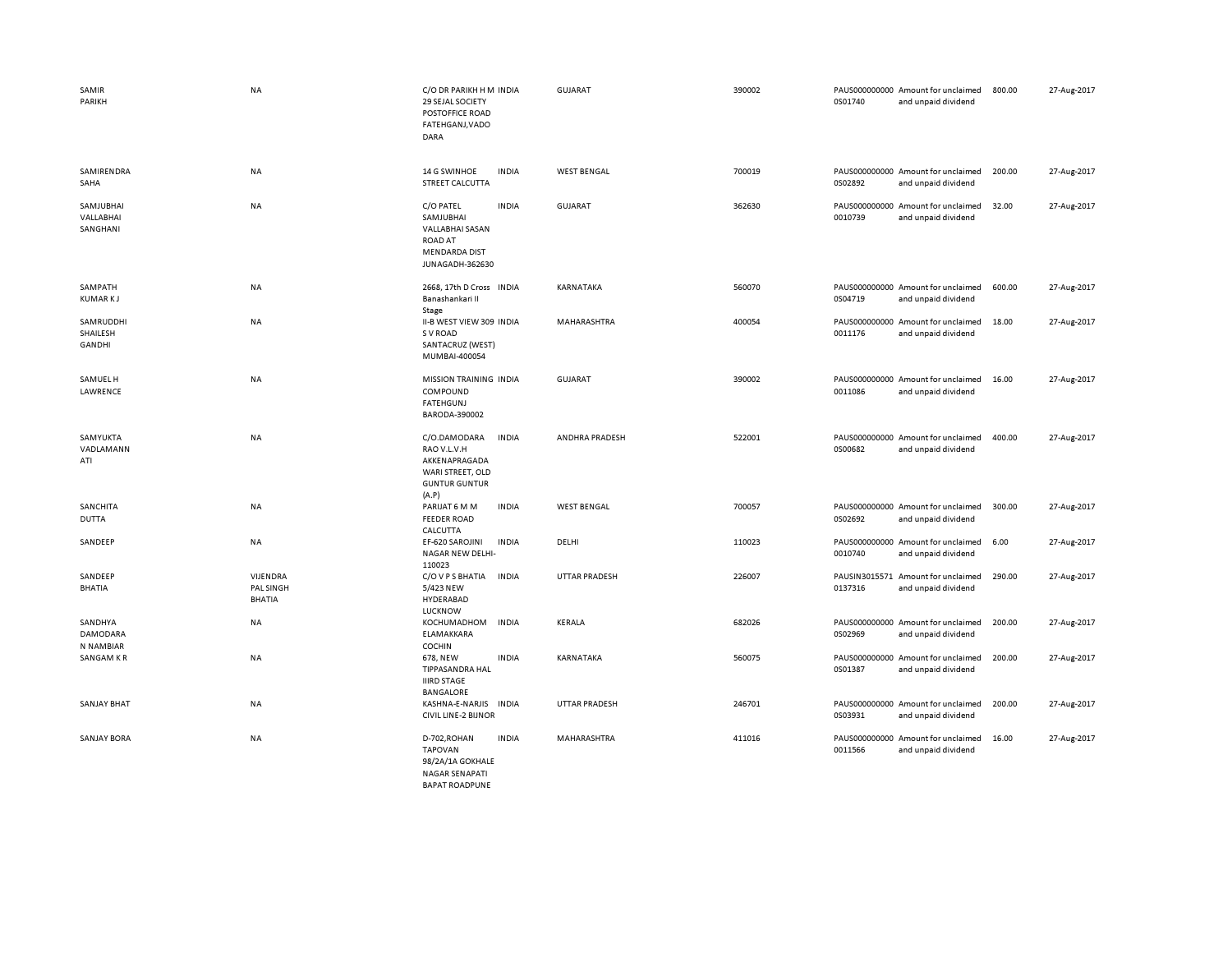| SAMIR<br>PARIKH                         | <b>NA</b>                                     | C/O DR PARIKH H M INDIA<br>29 SEJAL SOCIETY<br>POSTOFFICE ROAD<br>FATEHGANJ, VADO<br>DARA                              | <b>GUJARAT</b>        | 390002 | 0S01740 | PAUS000000000 Amount for unclaimed<br>and unpaid dividend | 800.00 | 27-Aug-2017 |
|-----------------------------------------|-----------------------------------------------|------------------------------------------------------------------------------------------------------------------------|-----------------------|--------|---------|-----------------------------------------------------------|--------|-------------|
| SAMIRENDRA<br>SAHA                      | <b>NA</b>                                     | 14 G SWINHOE<br><b>INDIA</b><br>STREET CALCUTTA                                                                        | <b>WEST BENGAL</b>    | 700019 | 0S02892 | PAUS000000000 Amount for unclaimed<br>and unpaid dividend | 200.00 | 27-Aug-2017 |
| SAMJUBHAI<br>VALLABHAI<br>SANGHANI      | <b>NA</b>                                     | C/O PATEL<br><b>INDIA</b><br>SAMJUBHAI<br>VALLABHAI SASAN<br><b>ROAD AT</b><br><b>MENDARDA DIST</b><br>JUNAGADH-362630 | <b>GUJARAT</b>        | 362630 | 0010739 | PAUS000000000 Amount for unclaimed<br>and unpaid dividend | 32.00  | 27-Aug-2017 |
| SAMPATH<br><b>KUMARKJ</b>               | NA                                            | 2668, 17th D Cross INDIA<br>Banashankari II<br>Stage                                                                   | KARNATAKA             | 560070 | 0S04719 | PAUS000000000 Amount for unclaimed<br>and unpaid dividend | 600.00 | 27-Aug-2017 |
| SAMRUDDHI<br>SHAILESH<br><b>GANDHI</b>  | <b>NA</b>                                     | II-B WEST VIEW 309 INDIA<br>S V ROAD<br>SANTACRUZ (WEST)<br>MUMBAI-400054                                              | MAHARASHTRA           | 400054 | 0011176 | PAUS000000000 Amount for unclaimed<br>and unpaid dividend | 18.00  | 27-Aug-2017 |
| SAMUEL H<br>LAWRENCE                    | NA                                            | MISSION TRAINING INDIA<br>COMPOUND<br><b>FATEHGUNJ</b><br>BARODA-390002                                                | <b>GUJARAT</b>        | 390002 | 0011086 | PAUS000000000 Amount for unclaimed<br>and unpaid dividend | 16.00  | 27-Aug-2017 |
| SAMYUKTA<br>VADLAMANN<br>ATI            | <b>NA</b>                                     | C/O.DAMODARA<br><b>INDIA</b><br>RAO V.L.V.H<br>AKKENAPRAGADA<br>WARI STREET, OLD<br><b>GUNTUR GUNTUR</b><br>(A.P)      | <b>ANDHRA PRADESH</b> | 522001 | 0S00682 | PAUS000000000 Amount for unclaimed<br>and unpaid dividend | 400.00 | 27-Aug-2017 |
| SANCHITA<br><b>DUTTA</b>                | NA                                            | PARIJAT 6 M M<br><b>INDIA</b><br><b>FEEDER ROAD</b><br>CALCUTTA                                                        | <b>WEST BENGAL</b>    | 700057 | 0S02692 | PAUS000000000 Amount for unclaimed<br>and unpaid dividend | 300.00 | 27-Aug-2017 |
| SANDEEP                                 | NA                                            | <b>INDIA</b><br>EF-620 SAROJINI<br>NAGAR NEW DELHI-<br>110023                                                          | DELHI                 | 110023 | 0010740 | PAUS000000000 Amount for unclaimed<br>and unpaid dividend | 6.00   | 27-Aug-2017 |
| SANDEEP<br><b>BHATIA</b>                | <b>VIJENDRA</b><br>PAL SINGH<br><b>BHATIA</b> | C/O V P S BHATIA<br><b>INDIA</b><br>5/423 NEW<br>HYDERABAD<br>LUCKNOW                                                  | <b>UTTAR PRADESH</b>  | 226007 | 0137316 | PAUSIN3015571 Amount for unclaimed<br>and unpaid dividend | 290.00 | 27-Aug-2017 |
| SANDHYA<br><b>DAMODARA</b><br>N NAMBIAR | <b>NA</b>                                     | KOCHUMADHOM<br><b>INDIA</b><br>ELAMAKKARA<br>COCHIN                                                                    | KERALA                | 682026 | 0S02969 | PAUS000000000 Amount for unclaimed<br>and unpaid dividend | 200.00 | 27-Aug-2017 |
| SANGAM KR                               | NA                                            | 678, NEW<br><b>INDIA</b><br>TIPPASANDRA HAL<br><b>IIIRD STAGE</b><br><b>BANGALORE</b>                                  | KARNATAKA             | 560075 | 0S01387 | PAUS000000000 Amount for unclaimed<br>and unpaid dividend | 200.00 | 27-Aug-2017 |
| <b>SANJAY BHAT</b>                      | <b>NA</b>                                     | KASHNA-E-NARJIS<br><b>INDIA</b><br><b>CIVIL LINE-2 BIJNOR</b>                                                          | <b>UTTAR PRADESH</b>  | 246701 | 0S03931 | PAUS000000000 Amount for unclaimed<br>and unpaid dividend | 200.00 | 27-Aug-2017 |
| <b>SANJAY BORA</b>                      | NA                                            | D-702, ROHAN<br><b>INDIA</b><br><b>TAPOVAN</b><br>98/2A/1A GOKHALE<br><b>NAGAR SENAPATI</b><br><b>BAPAT ROADPUNE</b>   | MAHARASHTRA           | 411016 | 0011566 | PAUS000000000 Amount for unclaimed<br>and unpaid dividend | 16.00  | 27-Aug-2017 |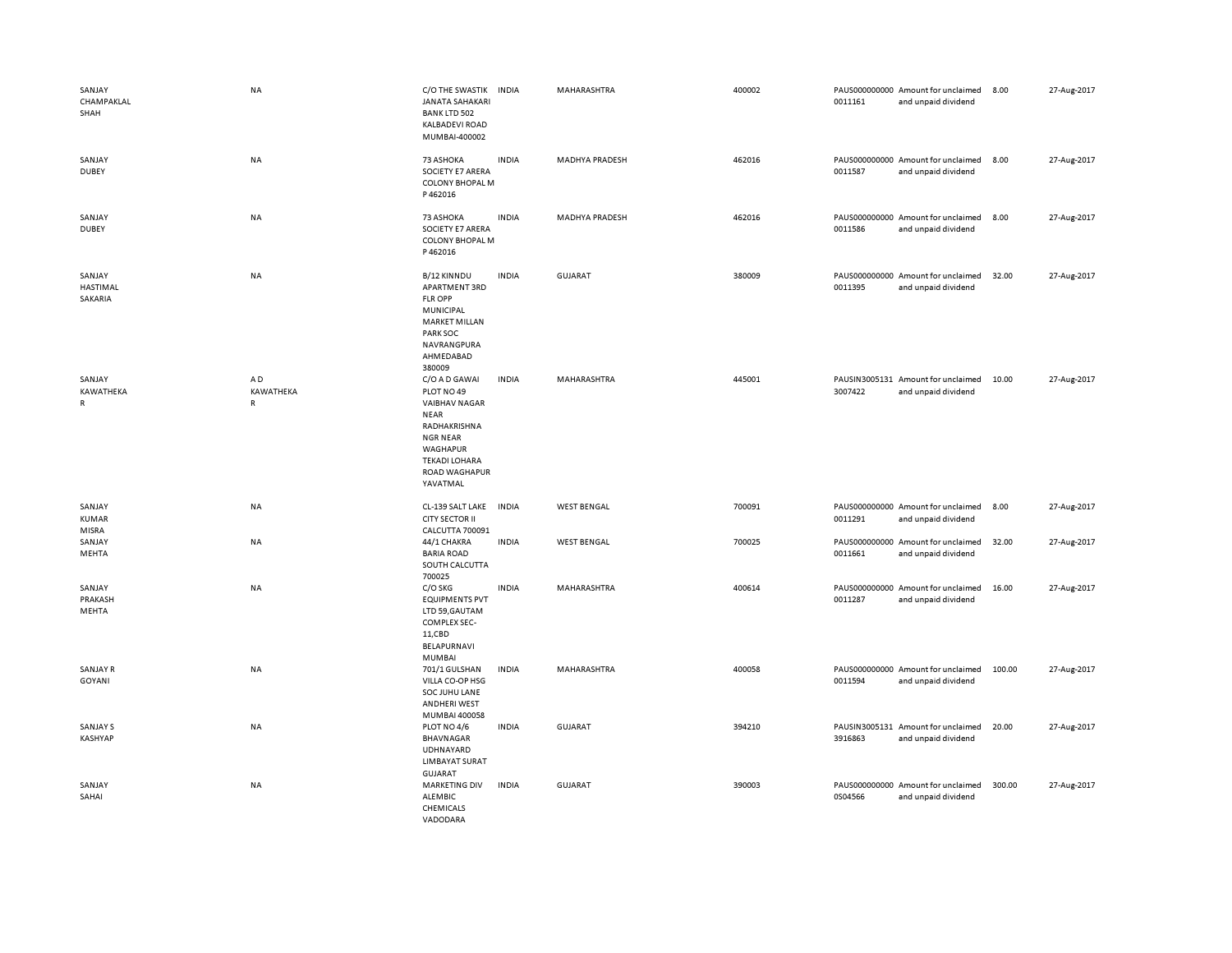| SANJAY<br>CHAMPAKLAL<br>SHAH    | <b>NA</b>            | C/O THE SWASTIK<br><b>JANATA SAHAKARI</b><br><b>BANK LTD 502</b><br><b>KALBADEVI ROAD</b><br>MUMBAI-400002                                                                | <b>INDIA</b> | MAHARASHTRA           | 400002 | 0011161 | PAUS000000000 Amount for unclaimed<br>and unpaid dividend | 8.00   | 27-Aug-2017 |
|---------------------------------|----------------------|---------------------------------------------------------------------------------------------------------------------------------------------------------------------------|--------------|-----------------------|--------|---------|-----------------------------------------------------------|--------|-------------|
| SANJAY<br><b>DUBEY</b>          | NA                   | 73 ASHOKA<br>SOCIETY E7 ARERA<br><b>COLONY BHOPAL M</b><br>P462016                                                                                                        | <b>INDIA</b> | <b>MADHYA PRADESH</b> | 462016 | 0011587 | PAUS000000000 Amount for unclaimed<br>and unpaid dividend | 8.00   | 27-Aug-2017 |
| SANJAY<br><b>DUBEY</b>          | NA                   | 73 ASHOKA<br>SOCIETY E7 ARERA<br><b>COLONY BHOPAL M</b><br>P462016                                                                                                        | <b>INDIA</b> | <b>MADHYA PRADESH</b> | 462016 | 0011586 | PAUS000000000 Amount for unclaimed<br>and unpaid dividend | 8.00   | 27-Aug-2017 |
| SANJAY<br>HASTIMAL<br>SAKARIA   | NA                   | B/12 KINNDU<br>APARTMENT 3RD<br><b>FLR OPP</b><br>MUNICIPAL<br><b>MARKET MILLAN</b><br>PARK SOC<br>NAVRANGPURA<br>AHMEDABAD                                               | <b>INDIA</b> | GUJARAT               | 380009 | 0011395 | PAUS000000000 Amount for unclaimed<br>and unpaid dividend | 32.00  | 27-Aug-2017 |
| SANJAY<br>KAWATHEKA<br>R        | AD<br>KAWATHEKA<br>R | 380009<br>C/O A D GAWAI<br>PLOT NO 49<br><b>VAIBHAV NAGAR</b><br>NEAR<br>RADHAKRISHNA<br><b>NGR NEAR</b><br>WAGHAPUR<br><b>TEKADI LOHARA</b><br>ROAD WAGHAPUR<br>YAVATMAL | <b>INDIA</b> | MAHARASHTRA           | 445001 | 3007422 | PAUSIN3005131 Amount for unclaimed<br>and unpaid dividend | 10.00  | 27-Aug-2017 |
| SANJAY<br><b>KUMAR</b><br>MISRA | <b>NA</b>            | CL-139 SALT LAKE<br><b>CITY SECTOR II</b><br><b>CALCUTTA 700091</b>                                                                                                       | <b>INDIA</b> | <b>WEST BENGAL</b>    | 700091 | 0011291 | PAUS000000000 Amount for unclaimed<br>and unpaid dividend | 8.00   | 27-Aug-2017 |
| SANJAY<br>MEHTA                 | <b>NA</b>            | 44/1 CHAKRA<br><b>BARIA ROAD</b><br>SOUTH CALCUTTA<br>700025                                                                                                              | <b>INDIA</b> | <b>WEST BENGAL</b>    | 700025 | 0011661 | PAUS000000000 Amount for unclaimed<br>and unpaid dividend | 32.00  | 27-Aug-2017 |
| SANJAY<br>PRAKASH<br>MEHTA      | NA                   | C/O SKG<br><b>EQUIPMENTS PVT</b><br>LTD 59, GAUTAM<br>COMPLEX SEC-<br>11,CBD<br>BELAPURNAVI<br><b>MUMBAI</b>                                                              | <b>INDIA</b> | MAHARASHTRA           | 400614 | 0011287 | PAUS000000000 Amount for unclaimed<br>and unpaid dividend | 16.00  | 27-Aug-2017 |
| <b>SANJAY R</b><br>GOYANI       | NA                   | 701/1 GULSHAN<br>VILLA CO-OP HSG<br>SOC JUHU LANE<br><b>ANDHERI WEST</b><br>MUMBAI 400058                                                                                 | <b>INDIA</b> | MAHARASHTRA           | 400058 | 0011594 | PAUS000000000 Amount for unclaimed<br>and unpaid dividend | 100.00 | 27-Aug-2017 |
| SANJAY S<br>KASHYAP             | NA                   | PLOT NO 4/6<br>BHAVNAGAR<br>UDHNAYARD<br><b>LIMBAYAT SURAT</b><br>GUJARAT                                                                                                 | <b>INDIA</b> | GUJARAT               | 394210 | 3916863 | PAUSIN3005131 Amount for unclaimed<br>and unpaid dividend | 20.00  | 27-Aug-2017 |
| SANJAY<br>SAHAI                 | NA                   | <b>MARKETING DIV</b><br>ALEMBIC<br>CHEMICALS<br>VADODARA                                                                                                                  | <b>INDIA</b> | GUJARAT               | 390003 | 0S04566 | PAUS000000000 Amount for unclaimed<br>and unpaid dividend | 300.00 | 27-Aug-2017 |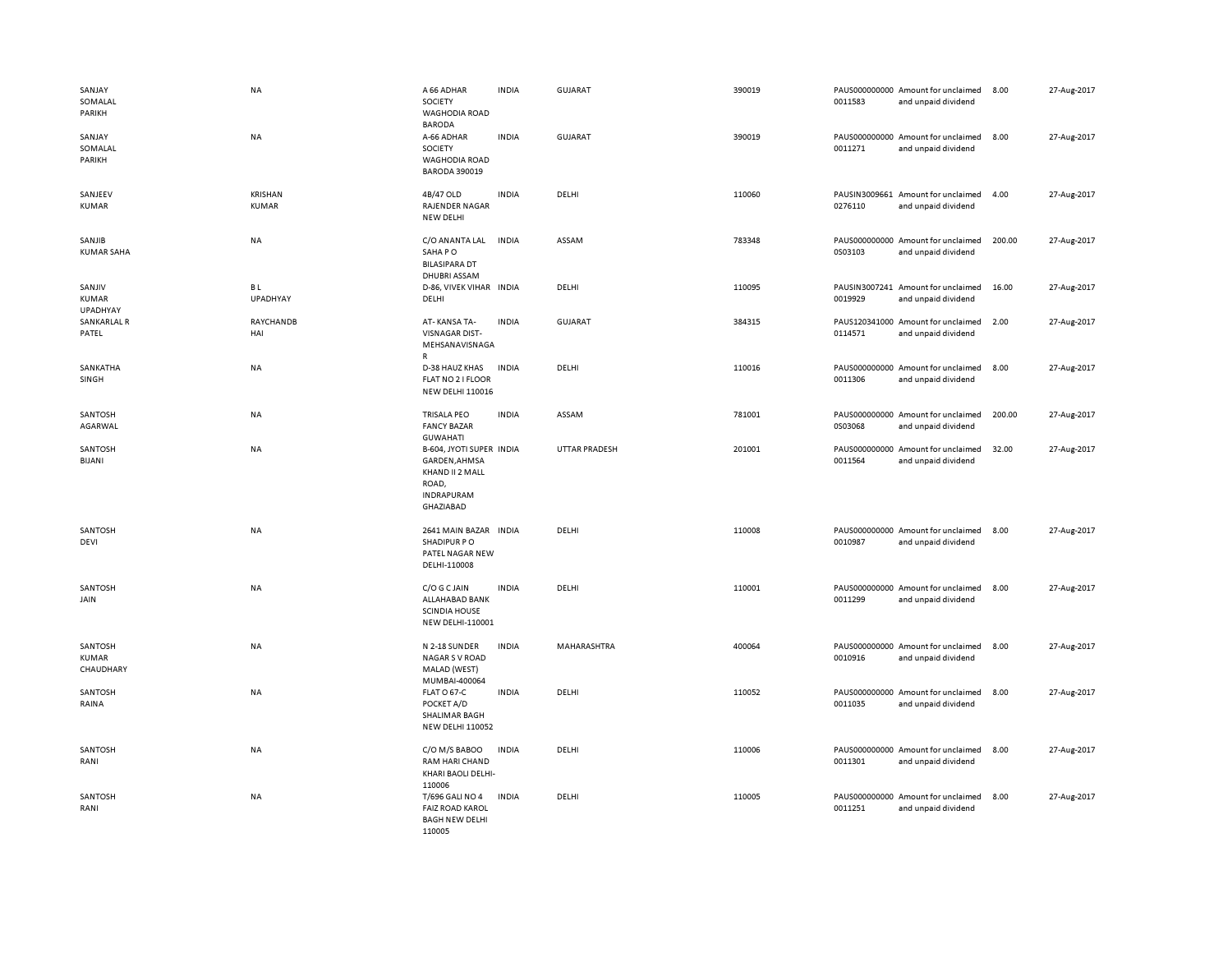| SANJAY<br>SOMALAL<br>PARIKH          | <b>NA</b>                      | A 66 ADHAR<br>SOCIETY<br><b>WAGHODIA ROAD</b><br><b>BARODA</b>                                          | <b>INDIA</b> | <b>GUJARAT</b> | 390019 | 0011583                  | PAUS000000000 Amount for unclaimed<br>and unpaid dividend | 8.00   | 27-Aug-2017 |
|--------------------------------------|--------------------------------|---------------------------------------------------------------------------------------------------------|--------------|----------------|--------|--------------------------|-----------------------------------------------------------|--------|-------------|
| SANJAY<br>SOMALAL<br>PARIKH          | NA                             | A-66 ADHAR<br>SOCIETY<br><b>WAGHODIA ROAD</b><br><b>BARODA 390019</b>                                   | <b>INDIA</b> | GUJARAT        | 390019 | 0011271                  | PAUS000000000 Amount for unclaimed<br>and unpaid dividend | 8.00   | 27-Aug-2017 |
| SANJEEV<br><b>KUMAR</b>              | <b>KRISHAN</b><br><b>KUMAR</b> | 4B/47 OLD<br><b>RAJENDER NAGAR</b><br>NEW DELHI                                                         | <b>INDIA</b> | DELHI          | 110060 | 0276110                  | PAUSIN3009661 Amount for unclaimed<br>and unpaid dividend | 4.00   | 27-Aug-2017 |
| SANJIB<br><b>KUMAR SAHA</b>          | NA                             | C/O ANANTA LAL<br>SAHA PO<br><b>BILASIPARA DT</b><br><b>DHUBRI ASSAM</b>                                | <b>INDIA</b> | ASSAM          | 783348 | 0S03103                  | PAUS000000000 Amount for unclaimed<br>and unpaid dividend | 200.00 | 27-Aug-2017 |
| SANJIV<br><b>KUMAR</b><br>UPADHYAY   | BL<br><b>UPADHYAY</b>          | D-86, VIVEK VIHAR INDIA<br>DELHI                                                                        |              | DELHI          | 110095 | 0019929                  | PAUSIN3007241 Amount for unclaimed<br>and unpaid dividend | 16.00  | 27-Aug-2017 |
| SANKARLAL R<br>PATEL                 | RAYCHANDB<br>HAI               | AT-KANSA TA-<br><b>VISNAGAR DIST-</b><br>MEHSANAVISNAGA<br>R                                            | <b>INDIA</b> | GUJARAT        | 384315 | PAUS120341000<br>0114571 | Amount for unclaimed<br>and unpaid dividend               | 2.00   | 27-Aug-2017 |
| SANKATHA<br>SINGH                    | NA                             | D-38 HAUZ KHAS<br>FLAT NO 2 I FLOOR<br><b>NEW DELHI 110016</b>                                          | <b>INDIA</b> | DELHI          | 110016 | 0011306                  | PAUS000000000 Amount for unclaimed<br>and unpaid dividend | 8.00   | 27-Aug-2017 |
| SANTOSH<br>AGARWAL                   | <b>NA</b>                      | <b>TRISALA PEO</b><br><b>FANCY BAZAR</b><br><b>GUWAHATI</b>                                             | <b>INDIA</b> | ASSAM          | 781001 | 0S03068                  | PAUS000000000 Amount for unclaimed<br>and unpaid dividend | 200.00 | 27-Aug-2017 |
| SANTOSH<br>BIJANI                    | NA                             | B-604, JYOTI SUPER INDIA<br>GARDEN, AHMSA<br>KHAND II 2 MALL<br>ROAD,<br><b>INDRAPURAM</b><br>GHAZIABAD |              | UTTAR PRADESH  | 201001 | 0011564                  | PAUS000000000 Amount for unclaimed<br>and unpaid dividend | 32.00  | 27-Aug-2017 |
| SANTOSH<br>DEVI                      | <b>NA</b>                      | 2641 MAIN BAZAR INDIA<br>SHADIPUR PO<br>PATEL NAGAR NEW<br>DELHI-110008                                 |              | DELHI          | 110008 | 0010987                  | PAUS000000000 Amount for unclaimed<br>and unpaid dividend | 8.00   | 27-Aug-2017 |
| SANTOSH<br>JAIN                      | NA                             | C/O G C JAIN<br>ALLAHABAD BANK<br><b>SCINDIA HOUSE</b><br>NEW DELHI-110001                              | <b>INDIA</b> | DELHI          | 110001 | 0011299                  | PAUS000000000 Amount for unclaimed<br>and unpaid dividend | 8.00   | 27-Aug-2017 |
| SANTOSH<br><b>KUMAR</b><br>CHAUDHARY | NA                             | N 2-18 SUNDER<br><b>NAGAR S V ROAD</b><br>MALAD (WEST)<br>MUMBAI-400064                                 | <b>INDIA</b> | MAHARASHTRA    | 400064 | 0010916                  | PAUS000000000 Amount for unclaimed<br>and unpaid dividend | 8.00   | 27-Aug-2017 |
| SANTOSH<br>RAINA                     | NA                             | FLAT O 67-C<br>POCKET A/D<br>SHALIMAR BAGH<br><b>NEW DELHI 110052</b>                                   | <b>INDIA</b> | DELHI          | 110052 | 0011035                  | PAUS000000000 Amount for unclaimed<br>and unpaid dividend | 8.00   | 27-Aug-2017 |
| SANTOSH<br>RANI                      | NA                             | C/O M/S BABOO<br>RAM HARI CHAND<br>KHARI BAOLI DELHI-<br>110006                                         | <b>INDIA</b> | DELHI          | 110006 | 0011301                  | PAUS000000000 Amount for unclaimed<br>and unpaid dividend | 8.00   | 27-Aug-2017 |
| SANTOSH<br>RANI                      | NA                             | T/696 GALI NO 4<br><b>FAIZ ROAD KAROL</b><br><b>BAGH NEW DELHI</b><br>110005                            | <b>INDIA</b> | DELHI          | 110005 | 0011251                  | PAUS000000000 Amount for unclaimed<br>and unpaid dividend | 8.00   | 27-Aug-2017 |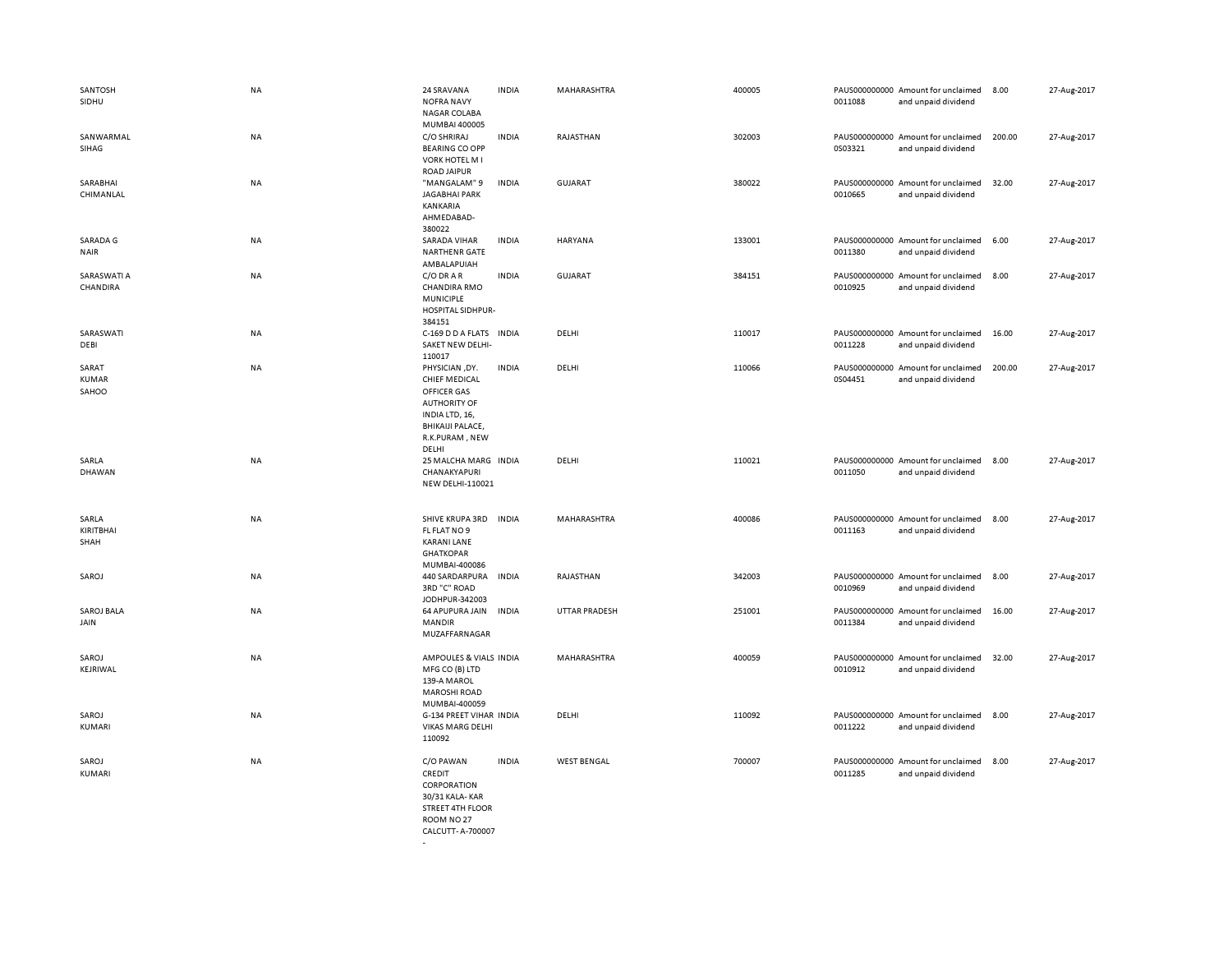| SANTOSH<br>SIDHU               | <b>NA</b> | 24 SRAVANA<br><b>NOFRA NAVY</b><br>NAGAR COLABA<br>MUMBAI 400005                                                                                     | <b>INDIA</b> | MAHARASHTRA          | 400005 | 0011088                  | PAUS000000000 Amount for unclaimed<br>and unpaid dividend | 8.00   | 27-Aug-2017 |
|--------------------------------|-----------|------------------------------------------------------------------------------------------------------------------------------------------------------|--------------|----------------------|--------|--------------------------|-----------------------------------------------------------|--------|-------------|
| SANWARMAL<br>SIHAG             | <b>NA</b> | C/O SHRIRAJ<br><b>BEARING CO OPP</b><br><b>VORK HOTEL M I</b><br><b>ROAD JAIPUR</b>                                                                  | <b>INDIA</b> | RAJASTHAN            | 302003 | 0S03321                  | PAUS000000000 Amount for unclaimed<br>and unpaid dividend | 200.00 | 27-Aug-2017 |
| SARABHAI<br>CHIMANLAL          | <b>NA</b> | "MANGALAM" 9<br><b>JAGABHAI PARK</b><br><b>KANKARIA</b><br>AHMEDABAD-<br>380022                                                                      | <b>INDIA</b> | <b>GUJARAT</b>       | 380022 | 0010665                  | PAUS000000000 Amount for unclaimed<br>and unpaid dividend | 32.00  | 27-Aug-2017 |
| SARADA G<br><b>NAIR</b>        | NA        | SARADA VIHAR<br><b>NARTHENR GATE</b><br>AMBALAPUIAH                                                                                                  | <b>INDIA</b> | <b>HARYANA</b>       | 133001 | 0011380                  | PAUS000000000 Amount for unclaimed<br>and unpaid dividend | 6.00   | 27-Aug-2017 |
| SARASWATI A<br>CHANDIRA        | <b>NA</b> | C/O DRAR<br><b>CHANDIRA RMO</b><br><b>MUNICIPLE</b><br>HOSPITAL SIDHPUR-<br>384151                                                                   | <b>INDIA</b> | <b>GUJARAT</b>       | 384151 | 0010925                  | PAUS000000000 Amount for unclaimed<br>and unpaid dividend | 8.00   | 27-Aug-2017 |
| SARASWATI<br>DEBI              | <b>NA</b> | C-169 D D A FLATS INDIA<br>SAKET NEW DELHI-<br>110017                                                                                                |              | DELHI                | 110017 | 0011228                  | PAUS000000000 Amount for unclaimed<br>and unpaid dividend | 16.00  | 27-Aug-2017 |
| SARAT<br><b>KUMAR</b><br>SAHOO | <b>NA</b> | PHYSICIAN, DY.<br><b>CHIEF MEDICAL</b><br>OFFICER GAS<br><b>AUTHORITY OF</b><br>INDIA LTD, 16,<br><b>BHIKAIJI PALACE,</b><br>R.K.PURAM, NEW<br>DELHI | INDIA        | DELHI                | 110066 | PAUS000000000<br>0S04451 | Amount for unclaimed<br>and unpaid dividend               | 200.00 | 27-Aug-2017 |
| SARLA<br>DHAWAN                | <b>NA</b> | 25 MALCHA MARG INDIA<br>CHANAKYAPURI<br>NEW DELHI-110021                                                                                             |              | DELHI                | 110021 | 0011050                  | PAUS000000000 Amount for unclaimed<br>and unpaid dividend | 8.00   | 27-Aug-2017 |
| SARLA<br>KIRITBHAI<br>SHAH     | NA        | SHIVE KRUPA 3RD<br>FL FLAT NO 9<br><b>KARANI LANE</b><br><b>GHATKOPAR</b><br>MUMBAI-400086                                                           | <b>INDIA</b> | MAHARASHTRA          | 400086 | 0011163                  | PAUS000000000 Amount for unclaimed<br>and unpaid dividend | 8.00   | 27-Aug-2017 |
| SAROJ                          | NA        | 440 SARDARPURA<br>3RD "C" ROAD<br>JODHPUR-342003                                                                                                     | <b>INDIA</b> | RAJASTHAN            | 342003 | 0010969                  | PAUS000000000 Amount for unclaimed<br>and unpaid dividend | 8.00   | 27-Aug-2017 |
| SAROJ BALA<br>JAIN             | NA        | 64 APUPURA JAIN<br><b>MANDIR</b><br>MUZAFFARNAGAR                                                                                                    | <b>INDIA</b> | <b>UTTAR PRADESH</b> | 251001 | 0011384                  | PAUS000000000 Amount for unclaimed<br>and unpaid dividend | 16.00  | 27-Aug-2017 |
| SAROJ<br>KEJRIWAL              | <b>NA</b> | AMPOULES & VIALS INDIA<br>MFG CO (B) LTD<br>139-A MAROL<br><b>MAROSHI ROAD</b><br>MUMBAI-400059                                                      |              | MAHARASHTRA          | 400059 | 0010912                  | PAUS000000000 Amount for unclaimed<br>and unpaid dividend | 32.00  | 27-Aug-2017 |
| SAROJ<br>KUMARI                | <b>NA</b> | G-134 PREET VIHAR INDIA<br><b>VIKAS MARG DELHI</b><br>110092                                                                                         |              | DELHI                | 110092 | 0011222                  | PAUS000000000 Amount for unclaimed<br>and unpaid dividend | 8.00   | 27-Aug-2017 |
| SAROJ<br>KUMARI                | <b>NA</b> | C/O PAWAN<br>CREDIT<br>CORPORATION<br>30/31 KALA-KAR<br><b>STREET 4TH FLOOR</b><br>ROOM NO 27<br>CALCUTT- A-700007                                   | <b>INDIA</b> | <b>WEST BENGAL</b>   | 700007 | 0011285                  | PAUS000000000 Amount for unclaimed<br>and unpaid dividend | 8.00   | 27-Aug-2017 |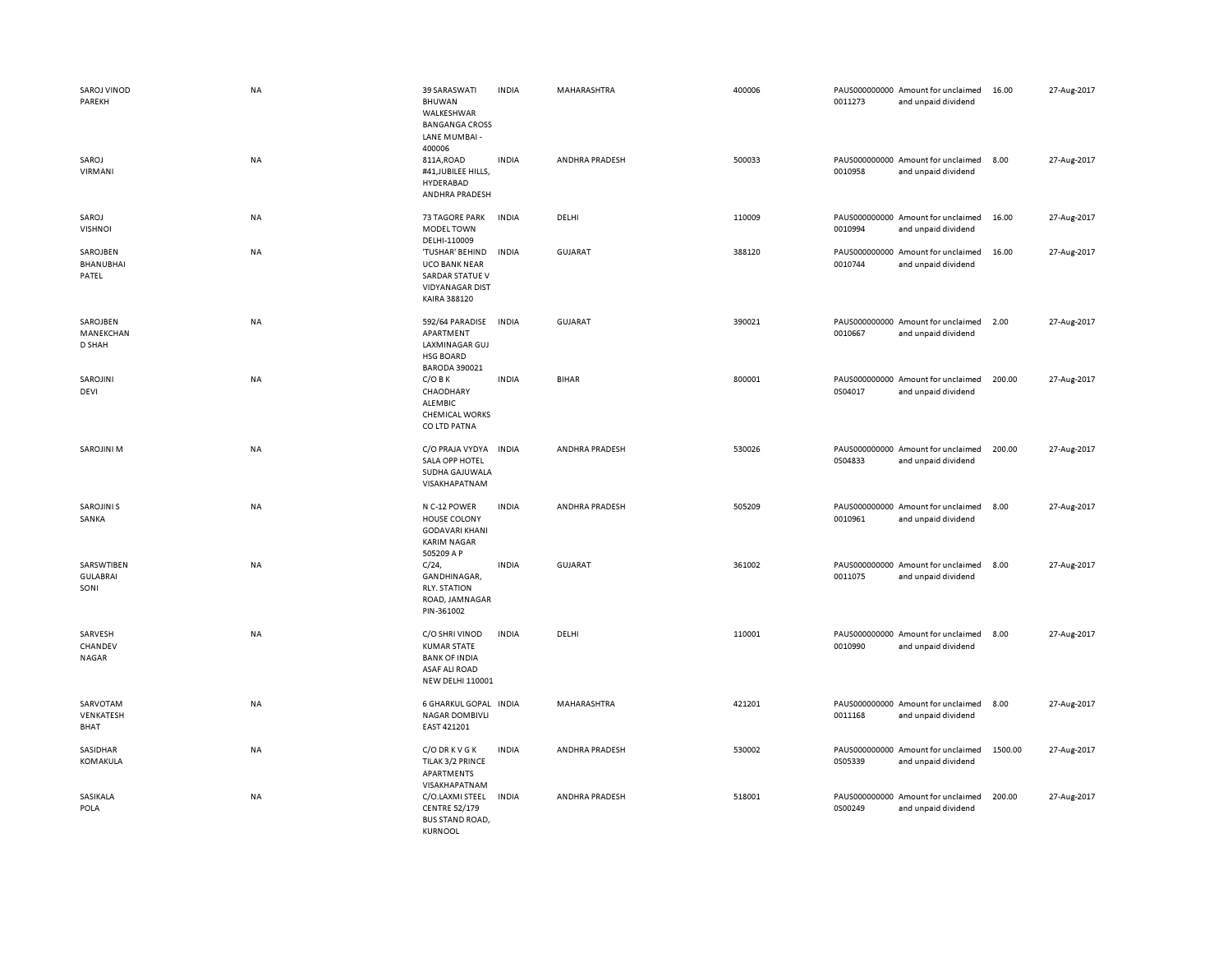| SAROJ VINOD<br>PAREKH                 | <b>NA</b> | 39 SARASWATI<br>BHUWAN<br>WALKESHWAR<br><b>BANGANGA CROSS</b><br>LANE MUMBAI -<br>400006                        | <b>INDIA</b> | MAHARASHTRA    | 400006 | 0011273 | PAUS000000000 Amount for unclaimed<br>and unpaid dividend | 16.00   | 27-Aug-2017 |
|---------------------------------------|-----------|-----------------------------------------------------------------------------------------------------------------|--------------|----------------|--------|---------|-----------------------------------------------------------|---------|-------------|
| SAROJ<br>VIRMANI                      | NA        | 811A, ROAD<br>#41, JUBILEE HILLS,<br>HYDERABAD<br>ANDHRA PRADESH                                                | <b>INDIA</b> | ANDHRA PRADESH | 500033 | 0010958 | PAUS000000000 Amount for unclaimed<br>and unpaid dividend | 8.00    | 27-Aug-2017 |
| SAROJ<br><b>VISHNOI</b>               | NA        | <b>73 TAGORE PARK</b><br><b>MODEL TOWN</b><br>DELHI-110009                                                      | <b>INDIA</b> | DELHI          | 110009 | 0010994 | PAUS000000000 Amount for unclaimed<br>and unpaid dividend | 16.00   | 27-Aug-2017 |
| SAROJBEN<br><b>BHANUBHAI</b><br>PATEL | NA        | 'TUSHAR' BEHIND<br><b>UCO BANK NEAR</b><br>SARDAR STATUE V<br><b>VIDYANAGAR DIST</b><br>KAIRA 388120            | <b>INDIA</b> | GUJARAT        | 388120 | 0010744 | PAUS000000000 Amount for unclaimed<br>and unpaid dividend | 16.00   | 27-Aug-2017 |
| SAROJBEN<br>MANEKCHAN<br>D SHAH       | NA        | 592/64 PARADISE<br>APARTMENT<br>LAXMINAGAR GUJ<br><b>HSG BOARD</b><br><b>BARODA 390021</b>                      | INDIA        | <b>GUJARAT</b> | 390021 | 0010667 | PAUS000000000 Amount for unclaimed<br>and unpaid dividend | 2.00    | 27-Aug-2017 |
| SAROJINI<br>DEVI                      | NA        | $C/O$ B K<br>CHAODHARY<br>ALEMBIC<br><b>CHEMICAL WORKS</b><br>CO LTD PATNA                                      | <b>INDIA</b> | <b>BIHAR</b>   | 800001 | 0S04017 | PAUS000000000 Amount for unclaimed<br>and unpaid dividend | 200.00  | 27-Aug-2017 |
| <b>SAROJINI M</b>                     | NA        | C/O PRAJA VYDYA<br>SALA OPP HOTEL<br>SUDHA GAJUWALA<br>VISAKHAPATNAM                                            | <b>INDIA</b> | ANDHRA PRADESH | 530026 | 0S04833 | PAUS000000000 Amount for unclaimed<br>and unpaid dividend | 200.00  | 27-Aug-2017 |
| <b>SAROJINI S</b><br>SANKA            | NA        | N C-12 POWER<br>HOUSE COLONY<br><b>GODAVARI KHANI</b><br><b>KARIM NAGAR</b><br>505209 A P                       | <b>INDIA</b> | ANDHRA PRADESH | 505209 | 0010961 | PAUS000000000 Amount for unclaimed<br>and unpaid dividend | 8.00    | 27-Aug-2017 |
| SARSWTIBEN<br><b>GULABRAI</b><br>SONI | <b>NA</b> | C/24<br>GANDHINAGAR,<br><b>RLY, STATION</b><br>ROAD, JAMNAGAR<br>PIN-361002                                     | <b>INDIA</b> | <b>GUJARAT</b> | 361002 | 0011075 | PAUS000000000 Amount for unclaimed<br>and unpaid dividend | 8.00    | 27-Aug-2017 |
| SARVESH<br>CHANDEV<br>NAGAR           | NA        | C/O SHRI VINOD<br><b>KUMAR STATE</b><br><b>BANK OF INDIA</b><br><b>ASAF ALI ROAD</b><br><b>NEW DELHI 110001</b> | <b>INDIA</b> | DELHI          | 110001 | 0010990 | PAUS000000000 Amount for unclaimed<br>and unpaid dividend | 8.00    | 27-Aug-2017 |
| SARVOTAM<br>VENKATESH<br>BHAT         | NA        | 6 GHARKUL GOPAL INDIA<br><b>NAGAR DOMBIVLI</b><br>EAST 421201                                                   |              | MAHARASHTRA    | 421201 | 0011168 | PAUS000000000 Amount for unclaimed<br>and unpaid dividend | 8.00    | 27-Aug-2017 |
| SASIDHAR<br>KOMAKULA                  | NA        | C/O DR K V G K<br>TILAK 3/2 PRINCE<br>APARTMENTS<br>VISAKHAPATNAM                                               | <b>INDIA</b> | ANDHRA PRADESH | 530002 | 0S05339 | PAUS000000000 Amount for unclaimed<br>and unpaid dividend | 1500.00 | 27-Aug-2017 |
| SASIKALA<br>POLA                      | NA        | C/O.LAXMI STEEL<br><b>CENTRE 52/179</b><br><b>BUS STAND ROAD,</b><br>KURNOOL                                    | <b>INDIA</b> | ANDHRA PRADESH | 518001 | 0S00249 | PAUS000000000 Amount for unclaimed<br>and unpaid dividend | 200.00  | 27-Aug-2017 |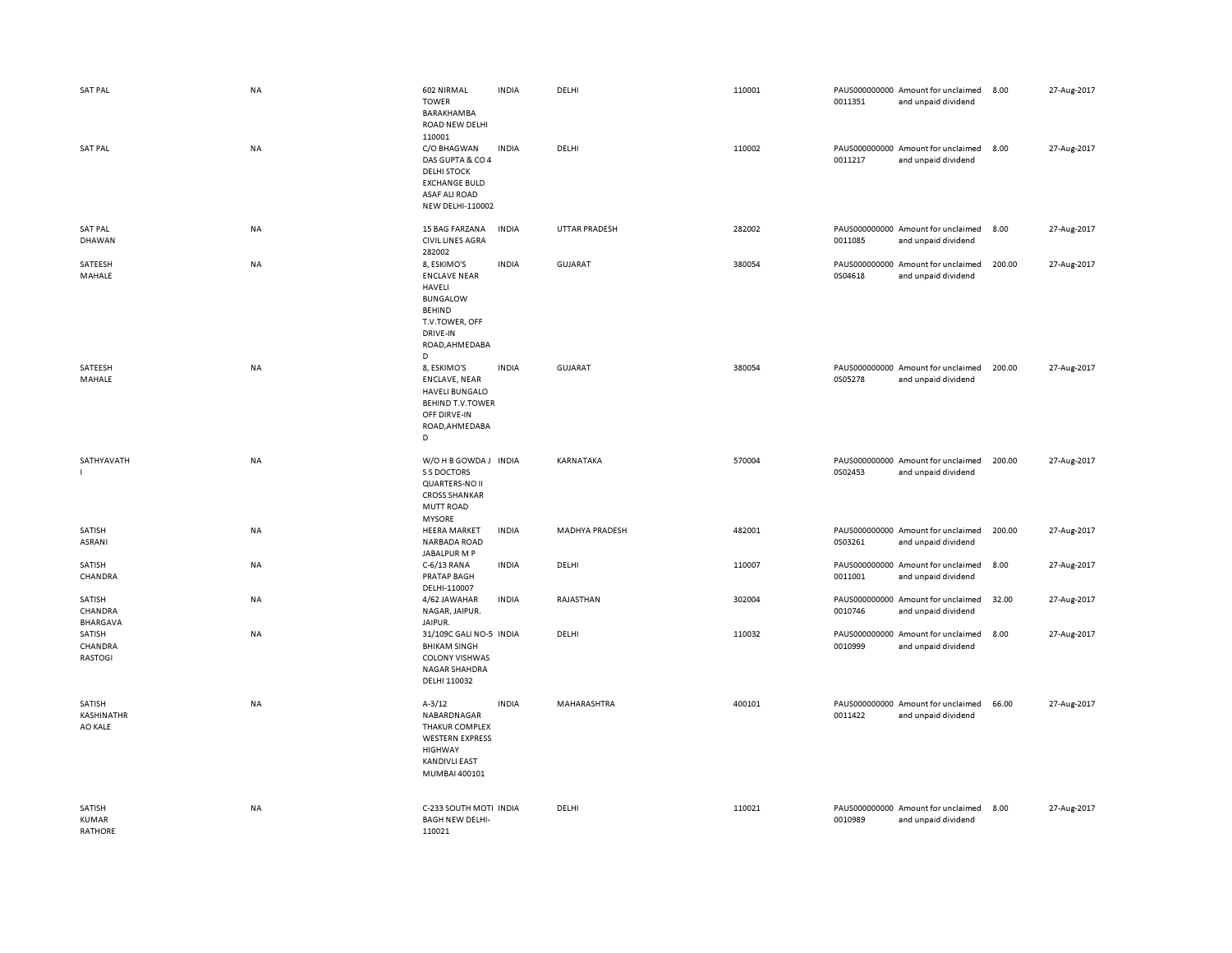| <b>SAT PAL</b>                           | <b>NA</b> | 602 NIRMAL<br><b>TOWER</b><br>BARAKHAMBA<br>ROAD NEW DELHI                                                                                 | <b>INDIA</b> | DELHI          | 110001 | 0011351 | PAUS000000000 Amount for unclaimed<br>and unpaid dividend | 8.00   | 27-Aug-2017 |
|------------------------------------------|-----------|--------------------------------------------------------------------------------------------------------------------------------------------|--------------|----------------|--------|---------|-----------------------------------------------------------|--------|-------------|
| <b>SAT PAL</b>                           | <b>NA</b> | 110001<br>C/O BHAGWAN<br>DAS GUPTA & CO 4<br><b>DELHI STOCK</b><br><b>EXCHANGE BULD</b><br><b>ASAF ALI ROAD</b><br><b>NEW DELHI-110002</b> | <b>INDIA</b> | DELHI          | 110002 | 0011217 | PAUS000000000 Amount for unclaimed<br>and unpaid dividend | 8.00   | 27-Aug-2017 |
| <b>SAT PAL</b><br>DHAWAN                 | NA        | 15 BAG FARZANA<br><b>CIVIL LINES AGRA</b><br>282002                                                                                        | <b>INDIA</b> | UTTAR PRADESH  | 282002 | 0011085 | PAUS000000000 Amount for unclaimed<br>and unpaid dividend | 8.00   | 27-Aug-2017 |
| SATEESH<br>MAHALE                        | NA        | 8, ESKIMO'S<br><b>ENCLAVE NEAR</b><br>HAVELI<br><b>BUNGALOW</b><br><b>BEHIND</b><br>T.V.TOWER, OFF<br>DRIVE-IN<br>ROAD, AHMEDABA<br>D      | <b>INDIA</b> | GUJARAT        | 380054 | 0S04618 | PAUS000000000 Amount for unclaimed<br>and unpaid dividend | 200.00 | 27-Aug-2017 |
| SATEESH<br>MAHALE                        | <b>NA</b> | 8, ESKIMO'S<br><b>ENCLAVE, NEAR</b><br><b>HAVELI BUNGALO</b><br><b>BEHIND T.V.TOWER</b><br>OFF DIRVE-IN<br>ROAD, AHMEDABA<br>D             | <b>INDIA</b> | GUJARAT        | 380054 | 0S05278 | PAUS000000000 Amount for unclaimed<br>and unpaid dividend | 200.00 | 27-Aug-2017 |
| SATHYAVATH<br>$\mathbf{I}$               | NA        | W/OHB GOWDA J INDIA<br>S S DOCTORS<br><b>QUARTERS-NO II</b><br><b>CROSS SHANKAR</b><br>MUTT ROAD<br><b>MYSORE</b>                          |              | KARNATAKA      | 570004 | 0S02453 | PAUS000000000 Amount for unclaimed<br>and unpaid dividend | 200.00 | 27-Aug-2017 |
| SATISH<br>ASRANI                         | NA        | <b>HEERA MARKET</b><br><b>NARBADA ROAD</b><br>JABALPUR M P                                                                                 | <b>INDIA</b> | MADHYA PRADESH | 482001 | 0S03261 | PAUS000000000 Amount for unclaimed<br>and unpaid dividend | 200.00 | 27-Aug-2017 |
| SATISH<br>CHANDRA                        | NA        | C-6/13 RANA<br><b>PRATAP BAGH</b><br>DELHI-110007                                                                                          | <b>INDIA</b> | DELHI          | 110007 | 0011001 | PAUS000000000 Amount for unclaimed<br>and unpaid dividend | 8.00   | 27-Aug-2017 |
| SATISH<br>CHANDRA<br><b>BHARGAVA</b>     | NA        | 4/62 JAWAHAR<br>NAGAR, JAIPUR.<br>JAIPUR.                                                                                                  | <b>INDIA</b> | RAJASTHAN      | 302004 | 0010746 | PAUS000000000 Amount for unclaimed<br>and unpaid dividend | 32.00  | 27-Aug-2017 |
| SATISH<br>CHANDRA<br>RASTOGI             | NA        | 31/109C GALI NO-5 INDIA<br><b>BHIKAM SINGH</b><br><b>COLONY VISHWAS</b><br><b>NAGAR SHAHDRA</b><br>DELHI 110032                            |              | DELHI          | 110032 | 0010999 | PAUS000000000 Amount for unclaimed<br>and unpaid dividend | 8.00   | 27-Aug-2017 |
| SATISH<br>KASHINATHR<br>AO KALE          | NA        | $A - 3/12$<br>NABARDNAGAR<br><b>THAKUR COMPLEX</b><br><b>WESTERN EXPRESS</b><br><b>HIGHWAY</b><br><b>KANDIVLI EAST</b><br>MUMBAI 400101    | <b>INDIA</b> | MAHARASHTRA    | 400101 | 0011422 | PAUS000000000 Amount for unclaimed<br>and unpaid dividend | 66.00  | 27-Aug-2017 |
| SATISH<br><b>KUMAR</b><br><b>RATHORE</b> | <b>NA</b> | C-233 SOUTH MOTI INDIA<br><b>BAGH NEW DELHI-</b><br>110021                                                                                 |              | DELHI          | 110021 | 0010989 | PAUS000000000 Amount for unclaimed<br>and unpaid dividend | 8.00   | 27-Aug-2017 |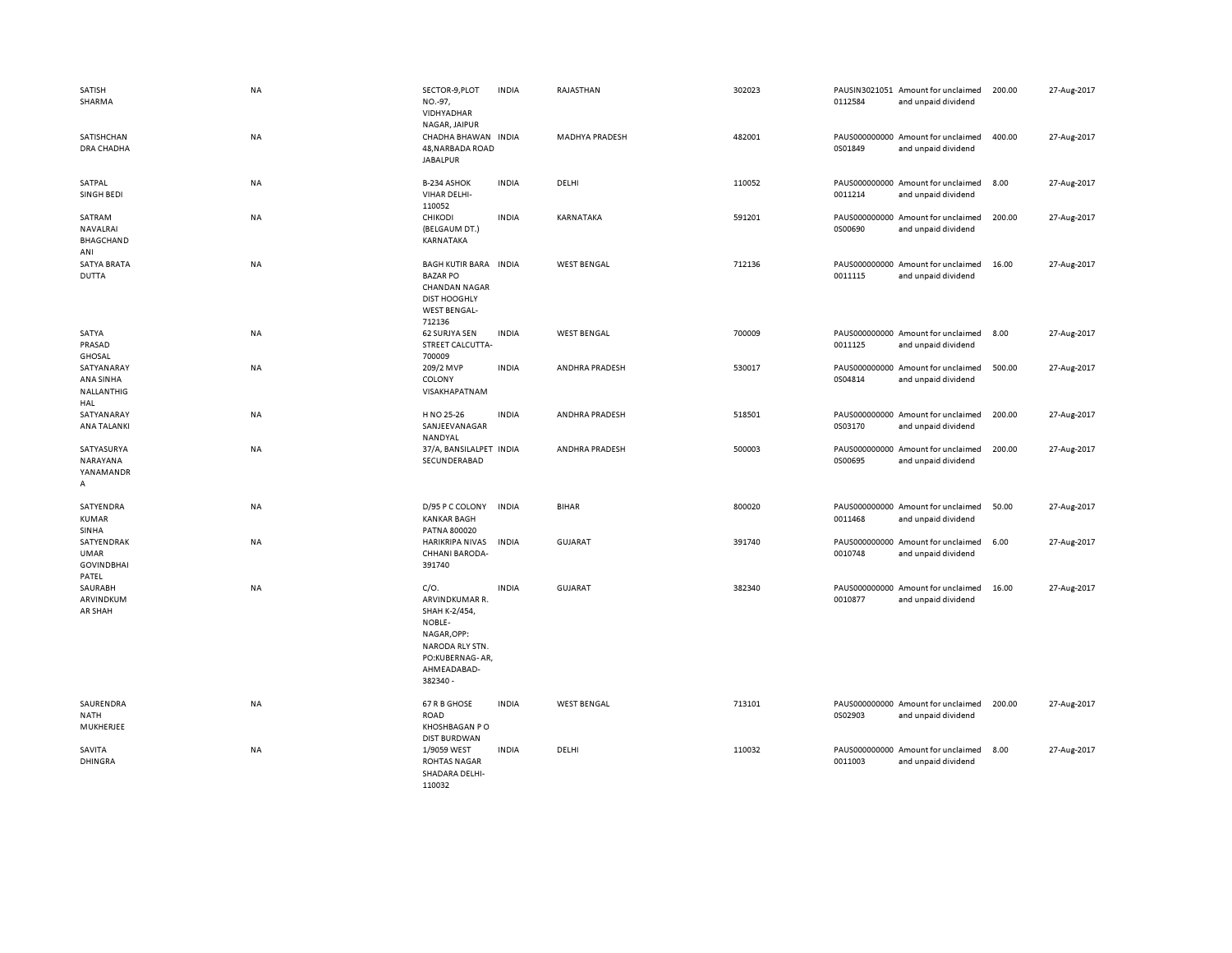| SATISH<br>SHARMA                                        | <b>NA</b> | SECTOR-9, PLOT<br>NO.-97,<br>VIDHYADHAR<br>NAGAR, JAIPUR                                                                          | <b>INDIA</b> | RAJASTHAN             | 302023 | 0112584 | PAUSIN3021051 Amount for unclaimed<br>and unpaid dividend | 200.00 | 27-Aug-2017 |
|---------------------------------------------------------|-----------|-----------------------------------------------------------------------------------------------------------------------------------|--------------|-----------------------|--------|---------|-----------------------------------------------------------|--------|-------------|
| SATISHCHAN<br><b>DRA CHADHA</b>                         | NA        | CHADHA BHAWAN INDIA<br>48, NARBADA ROAD<br><b>JABALPUR</b>                                                                        |              | MADHYA PRADESH        | 482001 | 0S01849 | PAUS000000000 Amount for unclaimed<br>and unpaid dividend | 400.00 | 27-Aug-2017 |
| SATPAL<br>SINGH BEDI                                    | NA        | B-234 ASHOK<br>VIHAR DELHI-<br>110052                                                                                             | <b>INDIA</b> | DELHI                 | 110052 | 0011214 | PAUS000000000 Amount for unclaimed<br>and unpaid dividend | 8.00   | 27-Aug-2017 |
| SATRAM<br>NAVALRAI<br><b>BHAGCHAND</b><br>ANI           | <b>NA</b> | CHIKODI<br>(BELGAUM DT.)<br>KARNATAKA                                                                                             | <b>INDIA</b> | KARNATAKA             | 591201 | 0S00690 | PAUS000000000 Amount for unclaimed<br>and unpaid dividend | 200.00 | 27-Aug-2017 |
| <b>SATYA BRATA</b><br><b>DUTTA</b>                      | NA        | BAGH KUTIR BARA INDIA<br><b>BAZAR PO</b><br><b>CHANDAN NAGAR</b><br><b>DIST HOOGHLY</b><br><b>WEST BENGAL-</b><br>712136          |              | <b>WEST BENGAL</b>    | 712136 | 0011115 | PAUS000000000 Amount for unclaimed<br>and unpaid dividend | 16.00  | 27-Aug-2017 |
| SATYA<br>PRASAD<br><b>GHOSAL</b>                        | <b>NA</b> | 62 SURJYA SEN<br>STREET CALCUTTA-<br>700009                                                                                       | <b>INDIA</b> | <b>WEST BENGAL</b>    | 700009 | 0011125 | PAUS000000000 Amount for unclaimed<br>and unpaid dividend | 8.00   | 27-Aug-2017 |
| SATYANARAY<br>ANA SINHA<br>NALLANTHIG<br>HAL            | NA        | 209/2 MVP<br>COLONY<br>VISAKHAPATNAM                                                                                              | <b>INDIA</b> | ANDHRA PRADESH        | 530017 | 0S04814 | PAUS000000000 Amount for unclaimed<br>and unpaid dividend | 500.00 | 27-Aug-2017 |
| SATYANARAY<br>ANA TALANKI                               | NA        | H NO 25-26<br>SANJEEVANAGAR<br>NANDYAL                                                                                            | <b>INDIA</b> | ANDHRA PRADESH        | 518501 | 0S03170 | PAUS000000000 Amount for unclaimed<br>and unpaid dividend | 200.00 | 27-Aug-2017 |
| SATYASURYA<br>NARAYANA<br>YANAMANDR<br>А                | <b>NA</b> | 37/A, BANSILALPET INDIA<br>SECUNDERABAD                                                                                           |              | <b>ANDHRA PRADESH</b> | 500003 | 0S00695 | PAUS000000000 Amount for unclaimed<br>and unpaid dividend | 200.00 | 27-Aug-2017 |
| SATYENDRA<br><b>KUMAR</b><br>SINHA                      | NA        | D/95 P C COLONY<br><b>KANKAR BAGH</b><br>PATNA 800020                                                                             | <b>INDIA</b> | <b>BIHAR</b>          | 800020 | 0011468 | PAUS000000000 Amount for unclaimed<br>and unpaid dividend | 50.00  | 27-Aug-2017 |
| SATYENDRAK<br><b>UMAR</b><br><b>GOVINDBHAI</b><br>PATEL | NA        | <b>HARIKRIPA NIVAS</b><br>CHHANI BARODA-<br>391740                                                                                | <b>INDIA</b> | GUJARAT               | 391740 | 0010748 | PAUS000000000 Amount for unclaimed<br>and unpaid dividend | 6.00   | 27-Aug-2017 |
| SAURABH<br>ARVINDKUM<br>AR SHAH                         | NA        | C/O.<br>ARVINDKUMAR R.<br>SHAH K-2/454,<br>NOBLE-<br>NAGAR, OPP:<br>NARODA RLY STN.<br>PO:KUBERNAG-AR,<br>AHMEADABAD-<br>382340 - | <b>INDIA</b> | <b>GUJARAT</b>        | 382340 | 0010877 | PAUS000000000 Amount for unclaimed<br>and unpaid dividend | 16.00  | 27-Aug-2017 |
| SAURENDRA<br>NATH<br>MUKHERJEE                          | NA        | 67 R B GHOSE<br><b>ROAD</b><br>KHOSHBAGAN PO<br><b>DIST BURDWAN</b>                                                               | <b>INDIA</b> | <b>WEST BENGAL</b>    | 713101 | 0S02903 | PAUS000000000 Amount for unclaimed<br>and unpaid dividend | 200.00 | 27-Aug-2017 |
| SAVITA<br><b>DHINGRA</b>                                | NA        | 1/9059 WEST<br><b>ROHTAS NAGAR</b><br>SHADARA DELHI-<br>110032                                                                    | <b>INDIA</b> | DELHI                 | 110032 | 0011003 | PAUS000000000 Amount for unclaimed<br>and unpaid dividend | 8.00   | 27-Aug-2017 |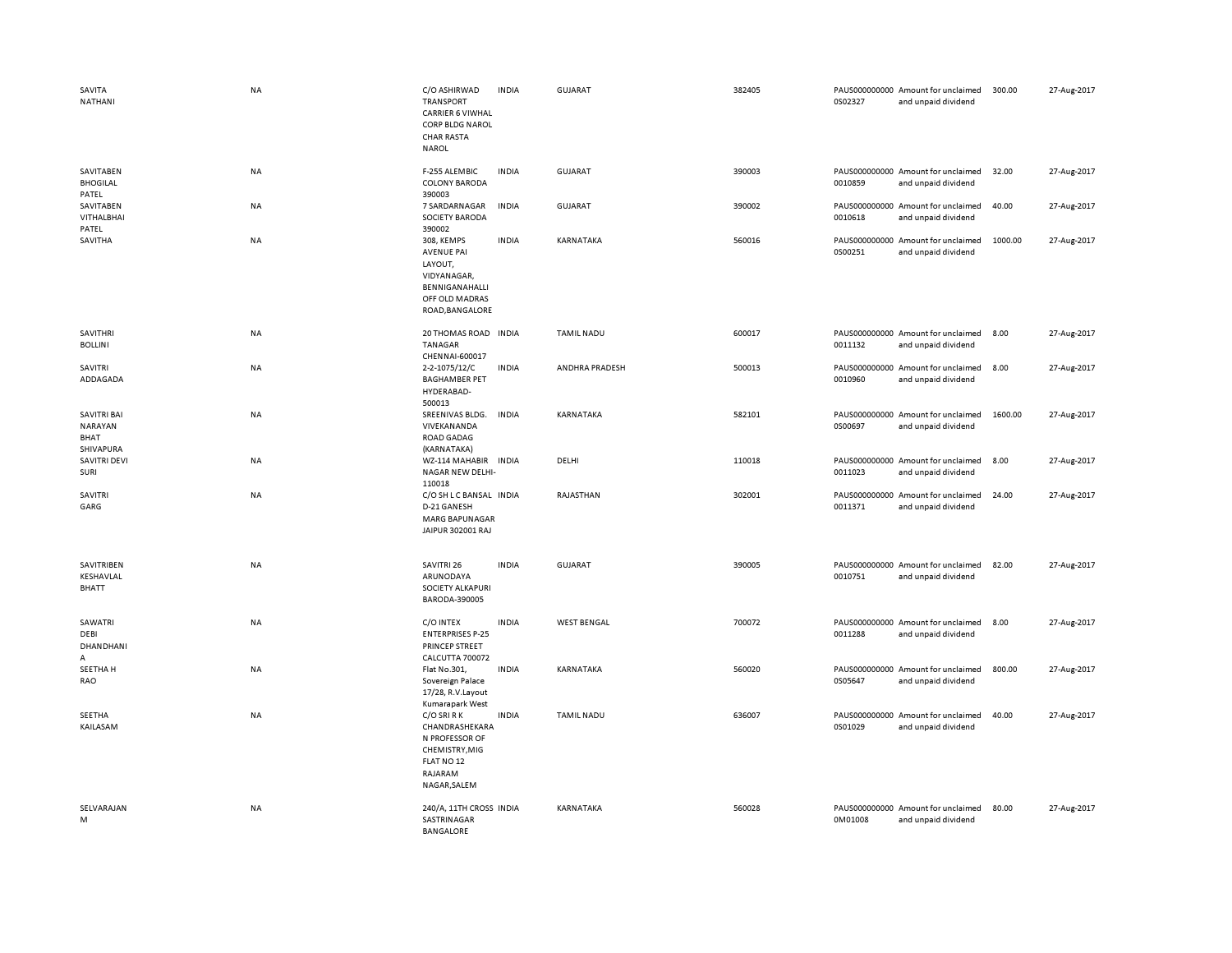| SAVITA<br>NATHANI                                  | <b>NA</b> | C/O ASHIRWAD<br><b>TRANSPORT</b><br><b>CARRIER 6 VIWHAL</b><br><b>CORP BLDG NAROL</b><br><b>CHAR RASTA</b><br><b>NAROL</b> | <b>INDIA</b> | <b>GUJARAT</b>     | 382405 | 0S02327 | PAUS000000000 Amount for unclaimed<br>and unpaid dividend | 300.00  | 27-Aug-2017 |
|----------------------------------------------------|-----------|----------------------------------------------------------------------------------------------------------------------------|--------------|--------------------|--------|---------|-----------------------------------------------------------|---------|-------------|
| SAVITABEN<br><b>BHOGILAL</b><br>PATEL              | <b>NA</b> | F-255 ALEMBIC<br><b>COLONY BARODA</b><br>390003                                                                            | <b>INDIA</b> | <b>GUJARAT</b>     | 390003 | 0010859 | PAUS000000000 Amount for unclaimed<br>and unpaid dividend | 32.00   | 27-Aug-2017 |
| SAVITABEN<br>VITHALBHAI<br>PATEL                   | NA        | 7 SARDARNAGAR<br><b>SOCIETY BARODA</b><br>390002                                                                           | INDIA        | <b>GUJARAT</b>     | 390002 | 0010618 | PAUS000000000 Amount for unclaimed<br>and unpaid dividend | 40.00   | 27-Aug-2017 |
| SAVITHA                                            | NA        | 308, KEMPS<br><b>AVENUE PAI</b><br>LAYOUT,<br>VIDYANAGAR,<br>BENNIGANAHALLI<br>OFF OLD MADRAS<br>ROAD, BANGALORE           | <b>INDIA</b> | KARNATAKA          | 560016 | 0S00251 | PAUS000000000 Amount for unclaimed<br>and unpaid dividend | 1000.00 | 27-Aug-2017 |
| SAVITHRI<br><b>BOLLINI</b>                         | NA        | 20 THOMAS ROAD INDIA<br><b>TANAGAR</b><br>CHENNAI-600017                                                                   |              | <b>TAMIL NADU</b>  | 600017 | 0011132 | PAUS000000000 Amount for unclaimed<br>and unpaid dividend | 8.00    | 27-Aug-2017 |
| SAVITRI<br>ADDAGADA                                | <b>NA</b> | 2-2-1075/12/C<br><b>BAGHAMBER PET</b><br>HYDERABAD-<br>500013                                                              | <b>INDIA</b> | ANDHRA PRADESH     | 500013 | 0010960 | PAUS000000000 Amount for unclaimed<br>and unpaid dividend | 8.00    | 27-Aug-2017 |
| <b>SAVITRI BAI</b><br>NARAYAN<br>BHAT<br>SHIVAPURA | NA        | SREENIVAS BLDG.<br>VIVEKANANDA<br><b>ROAD GADAG</b><br>(KARNATAKA)                                                         | INDIA        | KARNATAKA          | 582101 | 0S00697 | PAUS000000000 Amount for unclaimed<br>and unpaid dividend | 1600.00 | 27-Aug-2017 |
| <b>SAVITRI DEVI</b><br>SURI                        | <b>NA</b> | WZ-114 MAHABIR INDIA<br>NAGAR NEW DELHI-<br>110018                                                                         |              | DELHI              | 110018 | 0011023 | PAUS000000000 Amount for unclaimed<br>and unpaid dividend | 8.00    | 27-Aug-2017 |
| SAVITRI<br>GARG                                    | NA        | C/O SH L C BANSAL INDIA<br>D-21 GANESH<br><b>MARG BAPUNAGAR</b><br>JAIPUR 302001 RAJ                                       |              | RAJASTHAN          | 302001 | 0011371 | PAUS000000000 Amount for unclaimed<br>and unpaid dividend | 24.00   | 27-Aug-2017 |
| SAVITRIBEN<br>KESHAVLAL<br>BHATT                   | <b>NA</b> | SAVITRI 26<br>ARUNODAYA<br><b>SOCIETY ALKAPURI</b><br>BARODA-390005                                                        | <b>INDIA</b> | <b>GUJARAT</b>     | 390005 | 0010751 | PAUS000000000 Amount for unclaimed<br>and unpaid dividend | 82.00   | 27-Aug-2017 |
| SAWATRI<br>DEBI<br>DHANDHANI<br>А                  | NA        | C/O INTEX<br><b>ENTERPRISES P-25</b><br>PRINCEP STREET<br>CALCUTTA 700072                                                  | <b>INDIA</b> | <b>WEST BENGAL</b> | 700072 | 0011288 | PAUS000000000 Amount for unclaimed<br>and unpaid dividend | 8.00    | 27-Aug-2017 |
| SEETHA H<br>RAO                                    | <b>NA</b> | Flat No.301,<br>Sovereign Palace<br>17/28, R.V.Layout<br>Kumarapark West                                                   | <b>INDIA</b> | KARNATAKA          | 560020 | 0S05647 | PAUS000000000 Amount for unclaimed<br>and unpaid dividend | 800.00  | 27-Aug-2017 |
| SEETHA<br>KAILASAM                                 | <b>NA</b> | C/O SRI R K<br>CHANDRASHEKARA<br>N PROFESSOR OF<br>CHEMISTRY, MIG<br>FLAT NO 12<br>RAJARAM<br>NAGAR, SALEM                 | <b>INDIA</b> | <b>TAMIL NADU</b>  | 636007 | 0S01029 | PAUS000000000 Amount for unclaimed<br>and unpaid dividend | 40.00   | 27-Aug-2017 |
| SELVARAJAN<br>M                                    | NA        | 240/A, 11TH CROSS INDIA<br>SASTRINAGAR<br><b>BANGALORE</b>                                                                 |              | KARNATAKA          | 560028 | 0M01008 | PAUS000000000 Amount for unclaimed<br>and unpaid dividend | 80.00   | 27-Aug-2017 |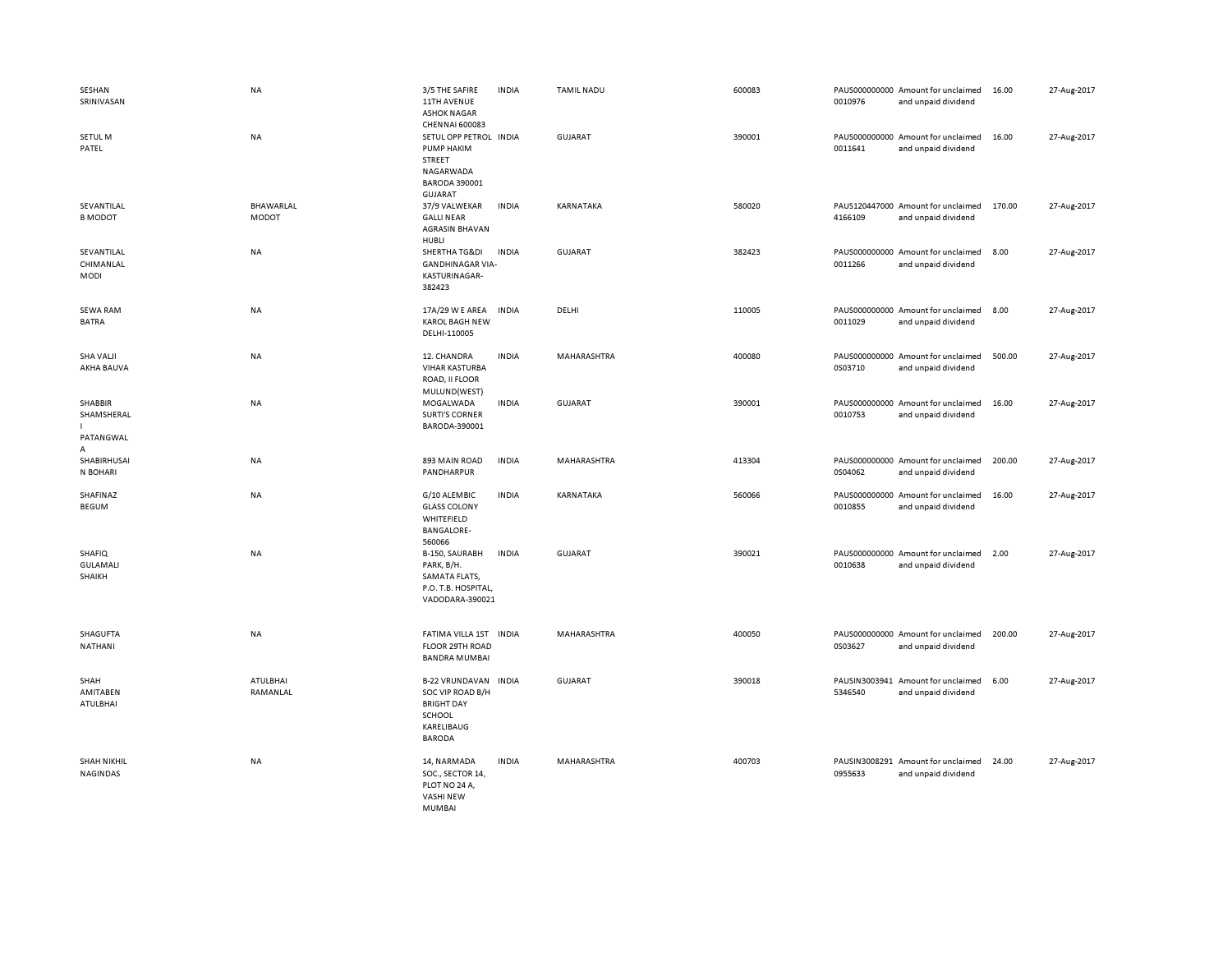| SESHAN<br>SRINIVASAN                               | NA                        | 3/5 THE SAFIRE<br>11TH AVENUE<br><b>ASHOK NAGAR</b>                                                                                   | <b>INDIA</b> | <b>TAMIL NADU</b> | 600083 | 0010976 | PAUS000000000 Amount for unclaimed<br>and unpaid dividend | 16.00  | 27-Aug-2017 |
|----------------------------------------------------|---------------------------|---------------------------------------------------------------------------------------------------------------------------------------|--------------|-------------------|--------|---------|-----------------------------------------------------------|--------|-------------|
| SETUL M<br>PATEL                                   | <b>NA</b>                 | <b>CHENNAI 600083</b><br>SETUL OPP PETROL INDIA<br>PUMP HAKIM<br><b>STREET</b><br>NAGARWADA<br><b>BARODA 390001</b><br><b>GUJARAT</b> |              | <b>GUJARAT</b>    | 390001 | 0011641 | PAUS000000000 Amount for unclaimed<br>and unpaid dividend | 16.00  | 27-Aug-2017 |
| SEVANTILAL<br><b>B MODOT</b>                       | BHAWARLAL<br><b>MODOT</b> | 37/9 VALWEKAR<br><b>GALLI NEAR</b><br><b>AGRASIN BHAVAN</b><br>HUBLI                                                                  | <b>INDIA</b> | KARNATAKA         | 580020 | 4166109 | PAUS120447000 Amount for unclaimed<br>and unpaid dividend | 170.00 | 27-Aug-2017 |
| SEVANTILAL<br>CHIMANLAL<br>MODI                    | NA                        | SHERTHA TG&DI<br><b>GANDHINAGAR VIA-</b><br>KASTURINAGAR-<br>382423                                                                   | <b>INDIA</b> | <b>GUJARAT</b>    | 382423 | 0011266 | PAUS000000000 Amount for unclaimed<br>and unpaid dividend | 8.00   | 27-Aug-2017 |
| <b>SEWA RAM</b><br><b>BATRA</b>                    | NA                        | 17A/29 W E AREA<br><b>KAROL BAGH NEW</b><br>DELHI-110005                                                                              | <b>INDIA</b> | DELHI             | 110005 | 0011029 | PAUS000000000 Amount for unclaimed<br>and unpaid dividend | 8.00   | 27-Aug-2017 |
| <b>SHA VALJI</b><br>AKHA BAUVA                     | <b>NA</b>                 | 12. CHANDRA<br><b>VIHAR KASTURBA</b><br>ROAD, II FLOOR<br>MULUND(WEST)                                                                | <b>INDIA</b> | MAHARASHTRA       | 400080 | 0S03710 | PAUS000000000 Amount for unclaimed<br>and unpaid dividend | 500.00 | 27-Aug-2017 |
| SHABBIR<br>SHAMSHERAL<br>PATANGWAL<br>$\mathsf{A}$ | <b>NA</b>                 | MOGALWADA<br><b>SURTI'S CORNER</b><br>BARODA-390001                                                                                   | <b>INDIA</b> | <b>GUJARAT</b>    | 390001 | 0010753 | PAUS000000000 Amount for unclaimed<br>and unpaid dividend | 16.00  | 27-Aug-2017 |
| SHABIRHUSAI<br>N BOHARI                            | NA                        | 893 MAIN ROAD<br>PANDHARPUR                                                                                                           | <b>INDIA</b> | MAHARASHTRA       | 413304 | 0S04062 | PAUS000000000 Amount for unclaimed<br>and unpaid dividend | 200.00 | 27-Aug-2017 |
| SHAFINAZ<br><b>BEGUM</b>                           | NA                        | G/10 ALEMBIC<br><b>GLASS COLONY</b><br>WHITEFIELD<br><b>BANGALORE-</b><br>560066                                                      | <b>INDIA</b> | KARNATAKA         | 560066 | 0010855 | PAUS000000000 Amount for unclaimed<br>and unpaid dividend | 16.00  | 27-Aug-2017 |
| <b>SHAFIQ</b><br><b>GULAMALI</b><br>SHAIKH         | NA                        | B-150, SAURABH<br>PARK, B/H.<br>SAMATA FLATS,<br>P.O. T.B. HOSPITAL,<br>VADODARA-390021                                               | <b>INDIA</b> | <b>GUJARAT</b>    | 390021 | 0010638 | PAUS000000000 Amount for unclaimed<br>and unpaid dividend | 2.00   | 27-Aug-2017 |
| SHAGUFTA<br>NATHANI                                | NA                        | FATIMA VILLA 1ST INDIA<br>FLOOR 29TH ROAD<br><b>BANDRA MUMBAI</b>                                                                     |              | MAHARASHTRA       | 400050 | 0S03627 | PAUS000000000 Amount for unclaimed<br>and unpaid dividend | 200.00 | 27-Aug-2017 |
| SHAH<br>AMITABEN<br>ATULBHAI                       | ATULBHAI<br>RAMANLAL      | B-22 VRUNDAVAN INDIA<br>SOC VIP ROAD B/H<br><b>BRIGHT DAY</b><br><b>SCHOOL</b><br>KARELIBAUG<br><b>BARODA</b>                         |              | <b>GUJARAT</b>    | 390018 | 5346540 | PAUSIN3003941 Amount for unclaimed<br>and unpaid dividend | 6.00   | 27-Aug-2017 |
| <b>SHAH NIKHIL</b><br>NAGINDAS                     | NA                        | 14, NARMADA<br>SOC., SECTOR 14,<br>PLOT NO 24 A,<br><b>VASHI NEW</b><br><b>MUMBAI</b>                                                 | <b>INDIA</b> | MAHARASHTRA       | 400703 | 0955633 | PAUSIN3008291 Amount for unclaimed<br>and unpaid dividend | 24.00  | 27-Aug-2017 |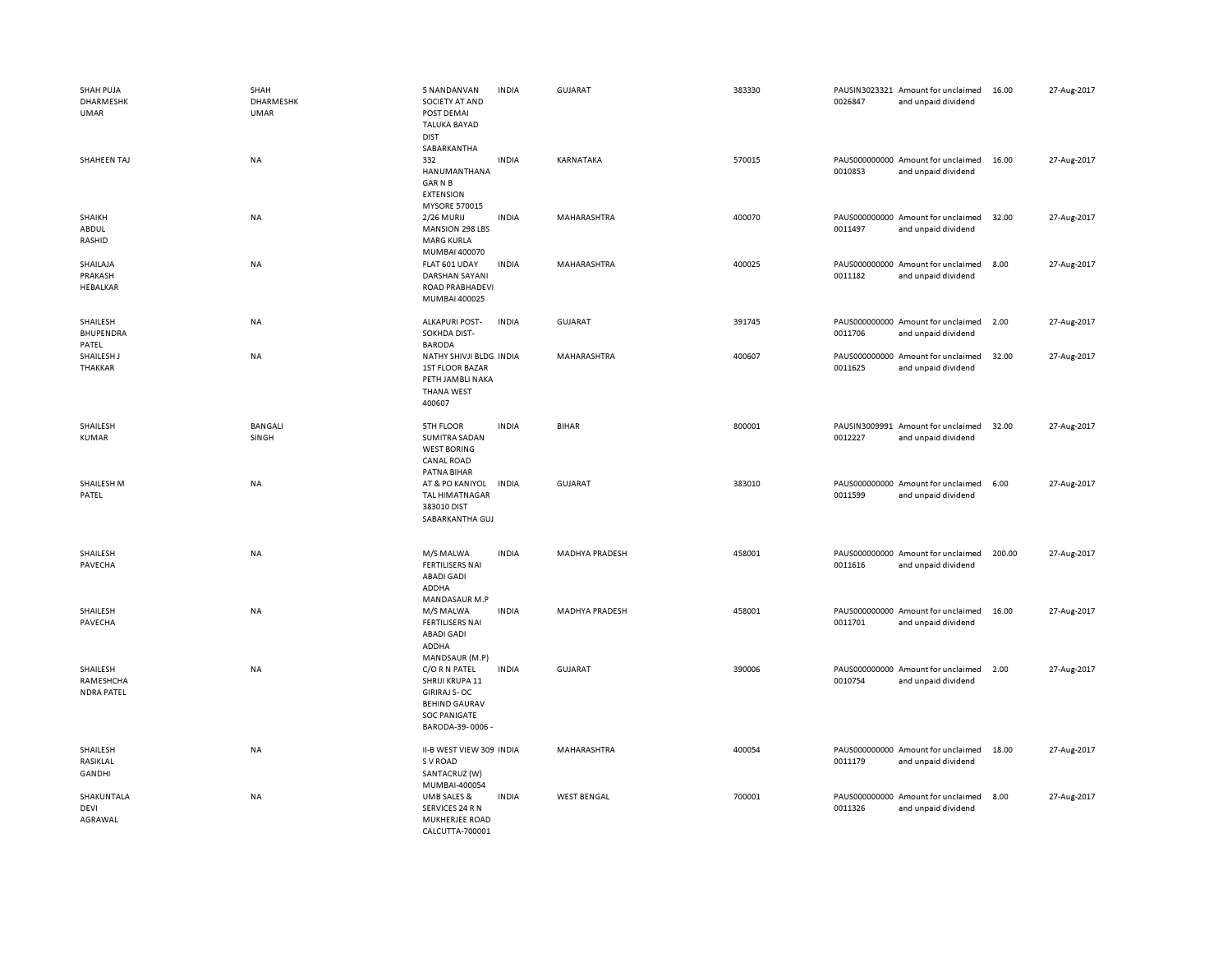| SHAH PUJA<br>DHARMESHK<br><b>UMAR</b>      | SHAH<br>DHARMESHK<br><b>UMAR</b> | 5 NANDANVAN<br><b>INDIA</b><br>SOCIETY AT AND<br>POST DEMAI<br><b>TALUKA BAYAD</b><br><b>DIST</b><br>SABARKANTHA                          | <b>GUJARAT</b>        | 383330 | 0026847 | PAUSIN3023321 Amount for unclaimed<br>and unpaid dividend | 16.00  | 27-Aug-2017 |
|--------------------------------------------|----------------------------------|-------------------------------------------------------------------------------------------------------------------------------------------|-----------------------|--------|---------|-----------------------------------------------------------|--------|-------------|
| SHAHEEN TAJ                                | NA                               | <b>INDIA</b><br>332<br>HANUMANTHANA<br><b>GARNB</b><br><b>EXTENSION</b><br><b>MYSORE 570015</b>                                           | KARNATAKA             | 570015 | 0010853 | PAUS000000000 Amount for unclaimed<br>and unpaid dividend | 16.00  | 27-Aug-2017 |
| SHAIKH<br>ABDUL<br>RASHID                  | NA                               | <b>INDIA</b><br>2/26 MURIJ<br><b>MANSION 298 LBS</b><br><b>MARG KURLA</b><br>MUMBAI 400070                                                | MAHARASHTRA           | 400070 | 0011497 | PAUS000000000 Amount for unclaimed<br>and unpaid dividend | 32.00  | 27-Aug-2017 |
| SHAILAJA<br>PRAKASH<br>HEBALKAR            | NA                               | FLAT 601 UDAY<br><b>INDIA</b><br>DARSHAN SAYANI<br>ROAD PRABHADEVI<br>MUMBAI 400025                                                       | MAHARASHTRA           | 400025 | 0011182 | PAUS000000000 Amount for unclaimed<br>and unpaid dividend | 8.00   | 27-Aug-2017 |
| SHAILESH<br>BHUPENDRA<br>PATEL             | NA                               | <b>ALKAPURI POST-</b><br><b>INDIA</b><br>SOKHDA DIST-<br><b>BARODA</b>                                                                    | <b>GUJARAT</b>        | 391745 | 0011706 | PAUS000000000 Amount for unclaimed<br>and unpaid dividend | 2.00   | 27-Aug-2017 |
| SHAILESH J<br>THAKKAR                      | NA                               | NATHY SHIVJI BLDG INDIA<br><b>1ST FLOOR BAZAR</b><br>PETH JAMBLI NAKA<br><b>THANA WEST</b><br>400607                                      | MAHARASHTRA           | 400607 | 0011625 | PAUS000000000 Amount for unclaimed<br>and unpaid dividend | 32.00  | 27-Aug-2017 |
| SHAILESH<br>KUMAR                          | <b>BANGALI</b><br>SINGH          | <b>INDIA</b><br>5TH FLOOR<br><b>SUMITRA SADAN</b><br><b>WEST BORING</b><br><b>CANAL ROAD</b><br>PATNA BIHAR                               | <b>BIHAR</b>          | 800001 | 0012227 | PAUSIN3009991 Amount for unclaimed<br>and unpaid dividend | 32.00  | 27-Aug-2017 |
| SHAILESH M<br>PATEL                        | NA                               | AT & PO KANIYOL<br><b>INDIA</b><br><b>TAL HIMATNAGAR</b><br>383010 DIST<br>SABARKANTHA GUJ                                                | <b>GUJARAT</b>        | 383010 | 0011599 | PAUS000000000 Amount for unclaimed<br>and unpaid dividend | 6.00   | 27-Aug-2017 |
| SHAILESH<br>PAVECHA                        | NA                               | M/S MALWA<br><b>INDIA</b><br><b>FERTILISERS NAI</b><br><b>ABADI GADI</b><br>ADDHA<br>MANDASAUR M.P                                        | <b>MADHYA PRADESH</b> | 458001 | 0011616 | PAUS000000000 Amount for unclaimed<br>and unpaid dividend | 200.00 | 27-Aug-2017 |
| SHAILESH<br>PAVECHA                        | NA                               | M/S MALWA<br><b>INDIA</b><br><b>FERTILISERS NAI</b><br><b>ABADI GADI</b><br>ADDHA<br>MANDSAUR (M.P)                                       | <b>MADHYA PRADESH</b> | 458001 | 0011701 | PAUS000000000 Amount for unclaimed<br>and unpaid dividend | 16.00  | 27-Aug-2017 |
| SHAILESH<br>RAMESHCHA<br><b>NDRA PATEL</b> | <b>NA</b>                        | C/O R N PATEL<br><b>INDIA</b><br>SHRIJI KRUPA 11<br><b>GIRIRAJ S-OC</b><br><b>BEHIND GAURAV</b><br><b>SOC PANIGATE</b><br>BARODA-39-0006- | <b>GUJARAT</b>        | 390006 | 0010754 | PAUS000000000 Amount for unclaimed<br>and unpaid dividend | 2.00   | 27-Aug-2017 |
| SHAILESH<br>RASIKLAL<br>GANDHI             | <b>NA</b>                        | II-B WEST VIEW 309 INDIA<br>S V ROAD<br>SANTACRUZ (W)<br>MUMBAI-400054                                                                    | MAHARASHTRA           | 400054 | 0011179 | PAUS000000000 Amount for unclaimed<br>and unpaid dividend | 18.00  | 27-Aug-2017 |
| SHAKUNTALA<br>DEVI<br>AGRAWAL              | NA                               | UMB SALES &<br><b>INDIA</b><br>SERVICES 24 R N<br>MUKHERJEE ROAD<br>CALCUTTA-700001                                                       | <b>WEST BENGAL</b>    | 700001 | 0011326 | PAUS000000000 Amount for unclaimed<br>and unpaid dividend | 8.00   | 27-Aug-2017 |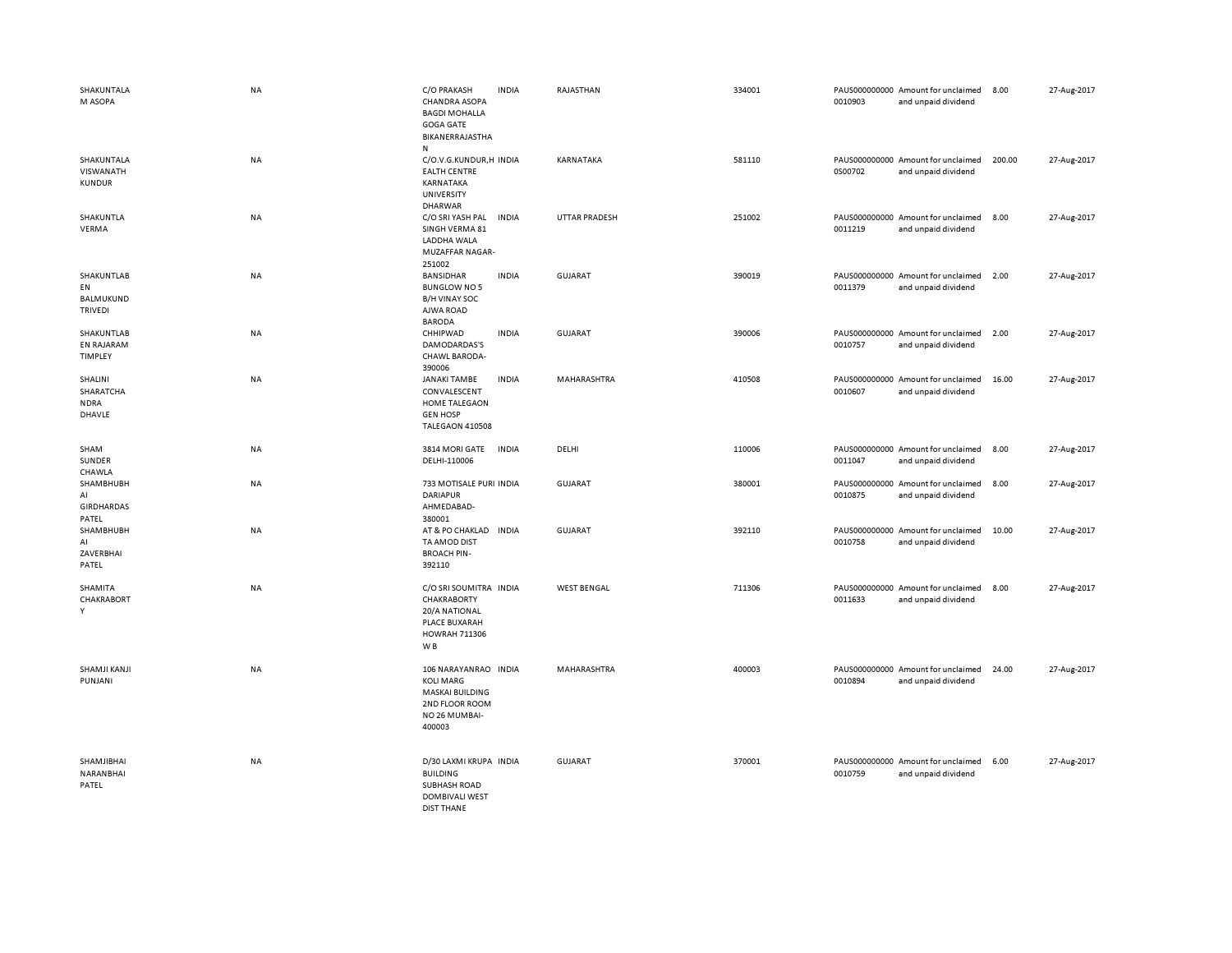| SHAKUNTALA<br>M ASOPA                                  | NA        | C/O PRAKASH<br><b>CHANDRA ASOPA</b><br><b>BAGDI MOHALLA</b><br><b>GOGA GATE</b><br>BIKANERRAJASTHA<br>${\sf N}$ | <b>INDIA</b> | RAJASTHAN            | 334001 | 0010903 | PAUS000000000 Amount for unclaimed<br>and unpaid dividend | 8.00   | 27-Aug-2017 |
|--------------------------------------------------------|-----------|-----------------------------------------------------------------------------------------------------------------|--------------|----------------------|--------|---------|-----------------------------------------------------------|--------|-------------|
| SHAKUNTALA<br>VISWANATH<br><b>KUNDUR</b>               | <b>NA</b> | C/O.V.G.KUNDUR,H INDIA<br><b>EALTH CENTRE</b><br>KARNATAKA<br>UNIVERSITY<br><b>DHARWAR</b>                      |              | KARNATAKA            | 581110 | 0S00702 | PAUS000000000 Amount for unclaimed<br>and unpaid dividend | 200.00 | 27-Aug-2017 |
| SHAKUNTLA<br>VERMA                                     | NA        | C/O SRI YASH PAL<br>SINGH VERMA 81<br>LADDHA WALA<br><b>MUZAFFAR NAGAR-</b><br>251002                           | <b>INDIA</b> | <b>UTTAR PRADESH</b> | 251002 | 0011219 | PAUS000000000 Amount for unclaimed<br>and unpaid dividend | 8.00   | 27-Aug-2017 |
| SHAKUNTLAB<br>EN<br><b>BALMUKUND</b><br><b>TRIVEDI</b> | NA        | BANSIDHAR<br><b>BUNGLOW NO 5</b><br><b>B/H VINAY SOC</b><br>AJWA ROAD<br><b>BARODA</b>                          | <b>INDIA</b> | <b>GUJARAT</b>       | 390019 | 0011379 | PAUS000000000 Amount for unclaimed<br>and unpaid dividend | 2.00   | 27-Aug-2017 |
| SHAKUNTLAB<br><b>EN RAJARAM</b><br>TIMPLEY             | NA        | CHHIPWAD<br>DAMODARDAS'S<br><b>CHAWL BARODA-</b><br>390006                                                      | <b>INDIA</b> | GUJARAT              | 390006 | 0010757 | PAUS000000000 Amount for unclaimed<br>and unpaid dividend | 2.00   | 27-Aug-2017 |
| SHALINI<br>SHARATCHA<br><b>NDRA</b><br>DHAVLE          | NA        | <b>JANAKI TAMBE</b><br>CONVALESCENT<br><b>HOME TALEGAON</b><br><b>GEN HOSP</b><br>TALEGAON 410508               | <b>INDIA</b> | MAHARASHTRA          | 410508 | 0010607 | PAUS000000000 Amount for unclaimed<br>and unpaid dividend | 16.00  | 27-Aug-2017 |
| SHAM<br>SUNDER<br>CHAWLA                               | NA        | 3814 MORI GATE<br>DELHI-110006                                                                                  | <b>INDIA</b> | DELHI                | 110006 | 0011047 | PAUS000000000 Amount for unclaimed<br>and unpaid dividend | 8.00   | 27-Aug-2017 |
| SHAMBHUBH<br>AI<br><b>GIRDHARDAS</b><br>PATEL          | NA        | 733 MOTISALE PURI INDIA<br><b>DARIAPUR</b><br>AHMEDABAD-<br>380001                                              |              | <b>GUJARAT</b>       | 380001 | 0010875 | PAUS000000000 Amount for unclaimed<br>and unpaid dividend | 8.00   | 27-Aug-2017 |
| SHAMBHUBH<br>AI<br>ZAVERBHAI<br>PATEL                  | NA        | AT & PO CHAKLAD<br>TA AMOD DIST<br><b>BROACH PIN-</b><br>392110                                                 | <b>INDIA</b> | GUJARAT              | 392110 | 0010758 | PAUS000000000 Amount for unclaimed<br>and unpaid dividend | 10.00  | 27-Aug-2017 |
| SHAMITA<br>CHAKRABORT<br>Y                             | NA        | C/O SRI SOUMITRA INDIA<br>CHAKRABORTY<br>20/A NATIONAL<br>PLACE BUXARAH<br><b>HOWRAH 711306</b><br>W B          |              | <b>WEST BENGAL</b>   | 711306 | 0011633 | PAUS000000000 Amount for unclaimed<br>and unpaid dividend | 8.00   | 27-Aug-2017 |
| SHAMJI KANJI<br><b>PUNJANI</b>                         | NA        | 106 NARAYANRAO INDIA<br><b>KOLI MARG</b><br><b>MASKAI BUILDING</b><br>2ND FLOOR ROOM<br>NO 26 MUMBAI-<br>400003 |              | MAHARASHTRA          | 400003 | 0010894 | PAUS000000000 Amount for unclaimed<br>and unpaid dividend | 24.00  | 27-Aug-2017 |
| SHAMJIBHAI<br>NARANBHAI<br>PATEL                       | NA        | D/30 LAXMI KRUPA INDIA<br><b>BUILDING</b><br><b>SUBHASH ROAD</b><br><b>DOMBIVALI WEST</b><br><b>DIST THANE</b>  |              | GUJARAT              | 370001 | 0010759 | PAUS000000000 Amount for unclaimed<br>and unpaid dividend | 6.00   | 27-Aug-2017 |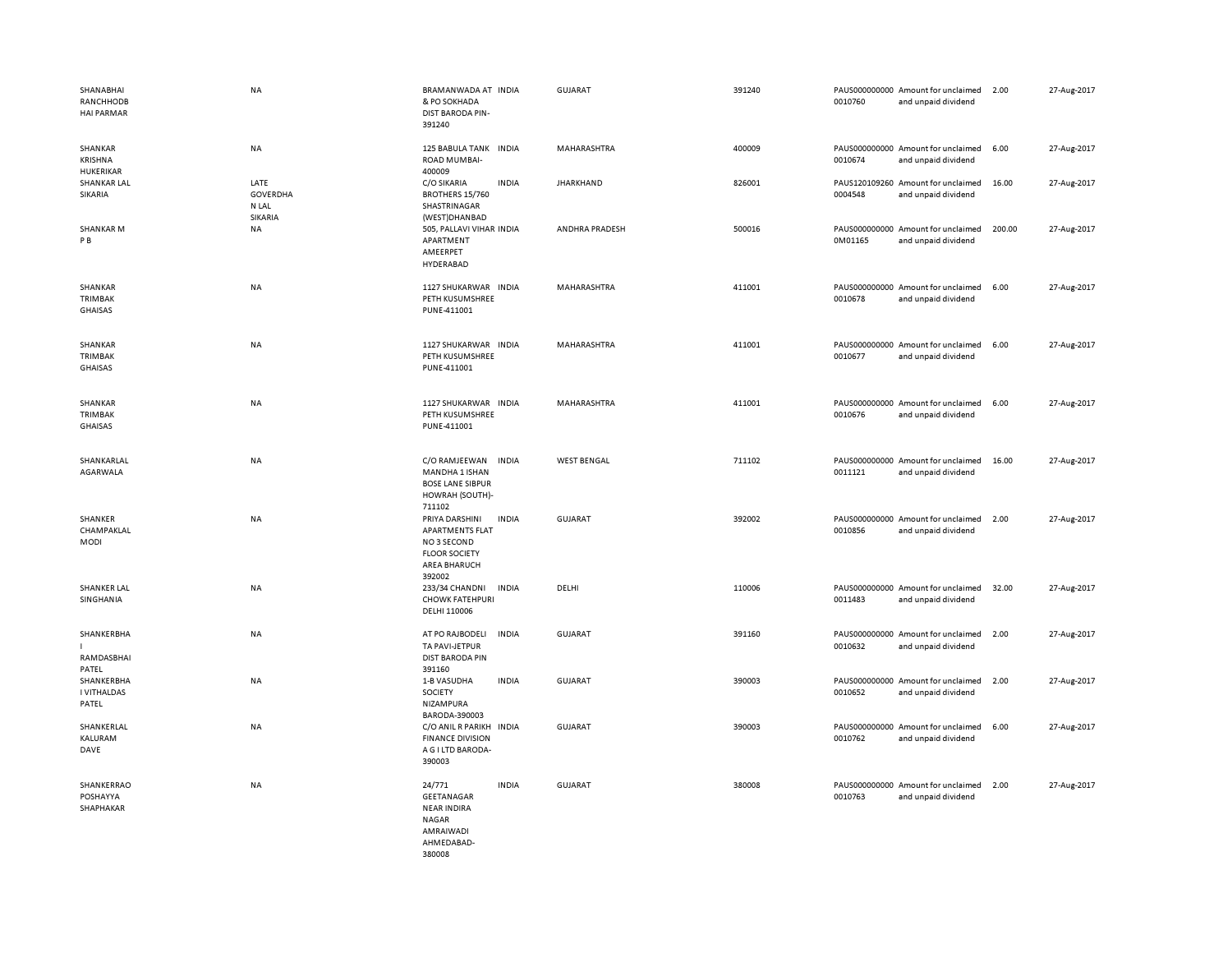| SHANABHAI<br>RANCHHODB<br><b>HAI PARMAR</b> | <b>NA</b>                        | BRAMANWADA AT INDIA<br>& PO SOKHADA<br>DIST BARODA PIN-<br>391240                                                                | <b>GUJARAT</b>     | 391240 | PAUS000000000 Amount for unclaimed<br>0010760<br>and unpaid dividend | 2.00   | 27-Aug-2017 |
|---------------------------------------------|----------------------------------|----------------------------------------------------------------------------------------------------------------------------------|--------------------|--------|----------------------------------------------------------------------|--------|-------------|
| SHANKAR<br>KRISHNA<br><b>HUKERIKAR</b>      | NA                               | 125 BABULA TANK INDIA<br>ROAD MUMBAI-<br>400009                                                                                  | MAHARASHTRA        | 400009 | PAUS000000000 Amount for unclaimed<br>0010674<br>and unpaid dividend | 6.00   | 27-Aug-2017 |
| SHANKAR LAL<br>SIKARIA                      | LATE<br><b>GOVERDHA</b><br>N LAL | C/O SIKARIA<br><b>INDIA</b><br>BROTHERS 15/760<br>SHASTRINAGAR                                                                   | <b>JHARKHAND</b>   | 826001 | PAUS120109260 Amount for unclaimed<br>0004548<br>and unpaid dividend | 16.00  | 27-Aug-2017 |
| <b>SHANKARM</b><br>P B                      | SIKARIA<br><b>NA</b>             | (WEST)DHANBAD<br>505, PALLAVI VIHAR INDIA<br>APARTMENT<br>AMEERPET<br>HYDERABAD                                                  | ANDHRA PRADESH     | 500016 | PAUS000000000 Amount for unclaimed<br>0M01165<br>and unpaid dividend | 200.00 | 27-Aug-2017 |
| SHANKAR<br><b>TRIMBAK</b><br>GHAISAS        | NA                               | 1127 SHUKARWAR INDIA<br>PETH KUSUMSHREE<br>PUNE-411001                                                                           | MAHARASHTRA        | 411001 | PAUS000000000 Amount for unclaimed<br>0010678<br>and unpaid dividend | 6.00   | 27-Aug-2017 |
| SHANKAR<br>TRIMBAK<br>GHAISAS               | NA                               | 1127 SHUKARWAR INDIA<br>PETH KUSUMSHREE<br>PUNE-411001                                                                           | MAHARASHTRA        | 411001 | PAUS000000000 Amount for unclaimed<br>0010677<br>and unpaid dividend | 6.00   | 27-Aug-2017 |
| SHANKAR<br><b>TRIMBAK</b><br><b>GHAISAS</b> | NA                               | 1127 SHUKARWAR INDIA<br>PETH KUSUMSHREE<br>PUNE-411001                                                                           | MAHARASHTRA        | 411001 | PAUS000000000 Amount for unclaimed<br>0010676<br>and unpaid dividend | 6.00   | 27-Aug-2017 |
| SHANKARLAL<br>AGARWALA                      | NA                               | C/O RAMJEEWAN<br><b>INDIA</b><br>MANDHA 1 ISHAN<br><b>BOSE LANE SIBPUR</b><br>HOWRAH (SOUTH)-<br>711102                          | <b>WEST BENGAL</b> | 711102 | PAUS000000000 Amount for unclaimed<br>0011121<br>and unpaid dividend | 16.00  | 27-Aug-2017 |
| SHANKER<br>CHAMPAKLAL<br>MODI               | <b>NA</b>                        | PRIYA DARSHINI<br><b>INDIA</b><br><b>APARTMENTS FLAT</b><br>NO 3 SECOND<br><b>FLOOR SOCIETY</b><br><b>AREA BHARUCH</b><br>392002 | <b>GUJARAT</b>     | 392002 | PAUS000000000 Amount for unclaimed<br>0010856<br>and unpaid dividend | 2.00   | 27-Aug-2017 |
| <b>SHANKER LAL</b><br>SINGHANIA             | NA                               | 233/34 CHANDNI<br><b>INDIA</b><br><b>CHOWK FATEHPURI</b><br>DELHI 110006                                                         | DELHI              | 110006 | PAUS000000000 Amount for unclaimed<br>0011483<br>and unpaid dividend | 32.00  | 27-Aug-2017 |
| SHANKERBHA<br>RAMDASBHAI<br>PATEL           | NA                               | <b>INDIA</b><br>AT PO RAJBODELI<br>TA PAVI-JETPUR<br><b>DIST BARODA PIN</b><br>391160                                            | <b>GUJARAT</b>     | 391160 | PAUS000000000 Amount for unclaimed<br>0010632<br>and unpaid dividend | 2.00   | 27-Aug-2017 |
| SHANKERBHA<br>I VITHALDAS<br>PATEL          | NA                               | <b>INDIA</b><br>1-B VASUDHA<br>SOCIETY<br>NIZAMPURA<br>BARODA-390003                                                             | <b>GUJARAT</b>     | 390003 | PAUS000000000 Amount for unclaimed<br>0010652<br>and unpaid dividend | 2.00   | 27-Aug-2017 |
| SHANKERLAL<br>KALURAM<br>DAVE               | <b>NA</b>                        | C/O ANIL R PARIKH INDIA<br><b>FINANCE DIVISION</b><br>A G I LTD BARODA-<br>390003                                                | <b>GUJARAT</b>     | 390003 | PAUS000000000 Amount for unclaimed<br>0010762<br>and unpaid dividend | 6.00   | 27-Aug-2017 |
| SHANKERRAO<br>POSHAYYA<br>SHAPHAKAR         | NA                               | 24/771<br><b>INDIA</b><br>GEETANAGAR<br><b>NEAR INDIRA</b><br>NAGAR<br>AMRAIWADI<br>AHMEDABAD-<br>380008                         | <b>GUJARAT</b>     | 380008 | PAUS000000000 Amount for unclaimed<br>0010763<br>and unpaid dividend | 2.00   | 27-Aug-2017 |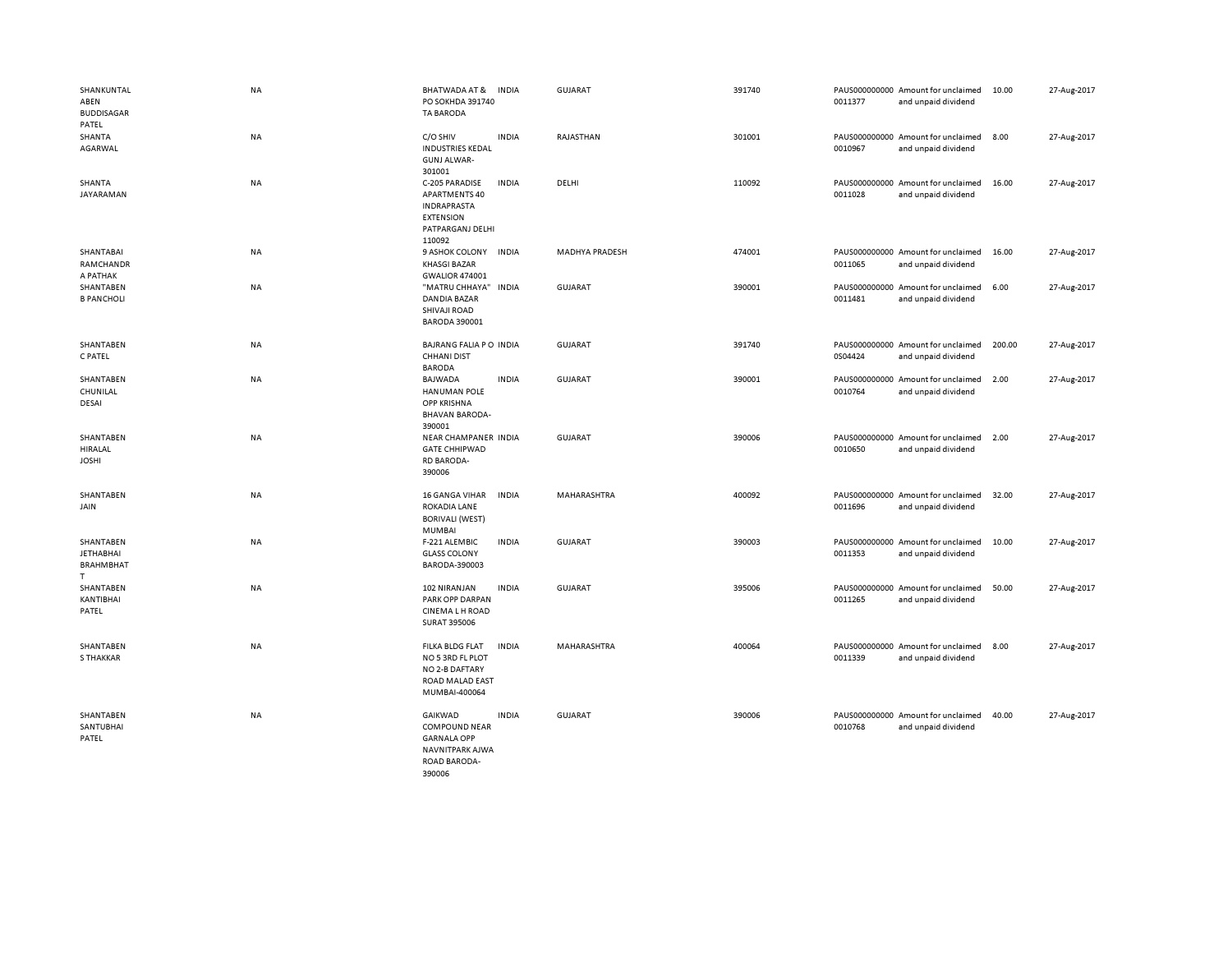| SHANKUNTAL<br>ABEN<br><b>BUDDISAGAR</b><br>PATEL        | NA | <b>BHATWADA AT &amp;</b><br>PO SOKHDA 391740<br><b>TA BARODA</b>                                               | <b>INDIA</b> | <b>GUJARAT</b>        | 391740 | 0011377 | PAUS000000000 Amount for unclaimed<br>and unpaid dividend | 10.00  | 27-Aug-2017 |
|---------------------------------------------------------|----|----------------------------------------------------------------------------------------------------------------|--------------|-----------------------|--------|---------|-----------------------------------------------------------|--------|-------------|
| SHANTA<br>AGARWAL                                       | NA | C/O SHIV<br><b>INDUSTRIES KEDAL</b><br><b>GUNJ ALWAR-</b><br>301001                                            | <b>INDIA</b> | RAJASTHAN             | 301001 | 0010967 | PAUS000000000 Amount for unclaimed<br>and unpaid dividend | 8.00   | 27-Aug-2017 |
| SHANTA<br>JAYARAMAN                                     | NA | C-205 PARADISE<br><b>APARTMENTS 40</b><br><b>INDRAPRASTA</b><br><b>EXTENSION</b><br>PATPARGANJ DELHI<br>110092 | <b>INDIA</b> | DELHI                 | 110092 | 0011028 | PAUS000000000 Amount for unclaimed<br>and unpaid dividend | 16.00  | 27-Aug-2017 |
| SHANTABAI<br>RAMCHANDR<br>A PATHAK                      | NA | 9 ASHOK COLONY<br><b>KHASGI BAZAR</b><br><b>GWALIOR 474001</b>                                                 | <b>INDIA</b> | <b>MADHYA PRADESH</b> | 474001 | 0011065 | PAUS000000000 Amount for unclaimed<br>and unpaid dividend | 16.00  | 27-Aug-2017 |
| SHANTABEN<br><b>B PANCHOLI</b>                          | NA | "MATRU CHHAYA" INDIA<br>DANDIA BAZAR<br>SHIVAJI ROAD<br><b>BARODA 390001</b>                                   |              | GUJARAT               | 390001 | 0011481 | PAUS000000000 Amount for unclaimed<br>and unpaid dividend | 6.00   | 27-Aug-2017 |
| SHANTABEN<br>C PATEL                                    | NA | BAJRANG FALIA PO INDIA<br><b>CHHANI DIST</b><br><b>BARODA</b>                                                  |              | <b>GUJARAT</b>        | 391740 | 0S04424 | PAUS000000000 Amount for unclaimed<br>and unpaid dividend | 200.00 | 27-Aug-2017 |
| SHANTABEN<br>CHUNILAL<br>DESAI                          | NA | <b>BAJWADA</b><br>HANUMAN POLE<br><b>OPP KRISHNA</b><br><b>BHAVAN BARODA-</b><br>390001                        | <b>INDIA</b> | <b>GUJARAT</b>        | 390001 | 0010764 | PAUS000000000 Amount for unclaimed<br>and unpaid dividend | 2.00   | 27-Aug-2017 |
| SHANTABEN<br>HIRALAL<br><b>JOSHI</b>                    | NA | NEAR CHAMPANER INDIA<br><b>GATE CHHIPWAD</b><br><b>RD BARODA-</b><br>390006                                    |              | <b>GUJARAT</b>        | 390006 | 0010650 | PAUS000000000 Amount for unclaimed<br>and unpaid dividend | 2.00   | 27-Aug-2017 |
| SHANTABEN<br>JAIN                                       | NA | <b>16 GANGA VIHAR</b><br>ROKADIA LANE<br><b>BORIVALI (WEST)</b><br><b>MUMBAI</b>                               | <b>INDIA</b> | MAHARASHTRA           | 400092 | 0011696 | PAUS000000000 Amount for unclaimed<br>and unpaid dividend | 32.00  | 27-Aug-2017 |
| SHANTABEN<br><b>JETHABHAI</b><br><b>BRAHMBHAT</b><br>T. | NA | F-221 ALEMBIC<br><b>GLASS COLONY</b><br>BARODA-390003                                                          | <b>INDIA</b> | <b>GUJARAT</b>        | 390003 | 0011353 | PAUS000000000 Amount for unclaimed<br>and unpaid dividend | 10.00  | 27-Aug-2017 |
| SHANTABEN<br>KANTIBHAI<br>PATEL                         | NA | 102 NIRANJAN<br>PARK OPP DARPAN<br><b>CINEMALH ROAD</b><br><b>SURAT 395006</b>                                 | <b>INDIA</b> | GUJARAT               | 395006 | 0011265 | PAUS000000000 Amount for unclaimed<br>and unpaid dividend | 50.00  | 27-Aug-2017 |
| SHANTABEN<br><b>S THAKKAR</b>                           | NA | FILKA BLDG FLAT<br>NO 5 3RD FL PLOT<br>NO 2-B DAFTARY<br>ROAD MALAD EAST<br>MUMBAI-400064                      | <b>INDIA</b> | MAHARASHTRA           | 400064 | 0011339 | PAUS000000000 Amount for unclaimed<br>and unpaid dividend | 8.00   | 27-Aug-2017 |
| SHANTABEN<br>SANTUBHAI<br>PATEL                         | NA | GAIKWAD<br><b>COMPOUND NEAR</b><br><b>GARNALA OPP</b><br>NAVNITPARK AJWA<br><b>ROAD BARODA-</b><br>390006      | <b>INDIA</b> | <b>GUJARAT</b>        | 390006 | 0010768 | PAUS000000000 Amount for unclaimed<br>and unpaid dividend | 40.00  | 27-Aug-2017 |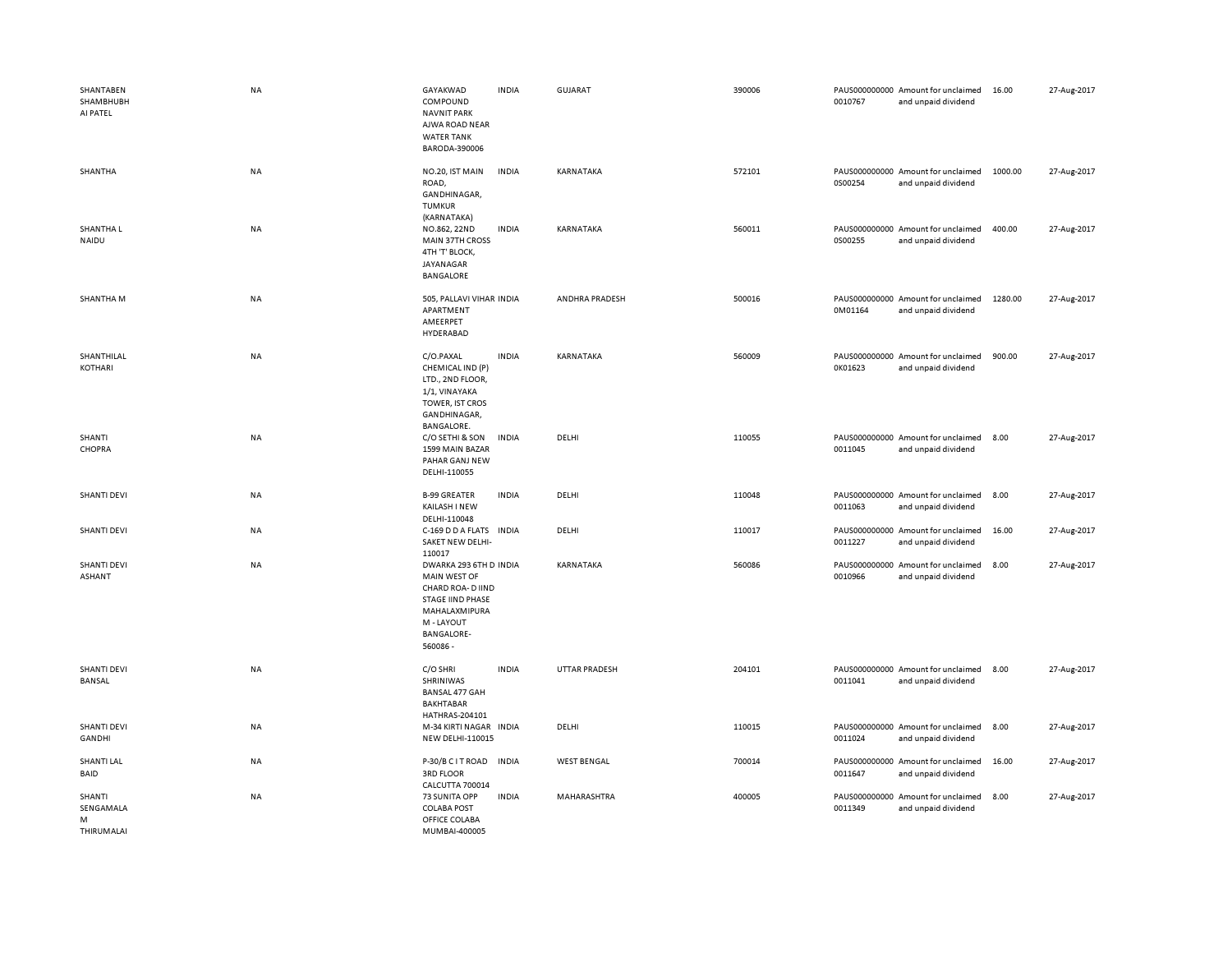| SHANTABEN<br>SHAMBHUBH<br>AI PATEL     | <b>NA</b> | GAYAKWAD<br>COMPOUND<br><b>NAVNIT PARK</b><br>AJWA ROAD NEAR<br><b>WATER TANK</b><br>BARODA-390006                                                     | <b>INDIA</b> | <b>GUJARAT</b>       | 390006 | 0010767 | PAUS000000000 Amount for unclaimed<br>and unpaid dividend | 16.00   | 27-Aug-2017 |
|----------------------------------------|-----------|--------------------------------------------------------------------------------------------------------------------------------------------------------|--------------|----------------------|--------|---------|-----------------------------------------------------------|---------|-------------|
| SHANTHA                                | NA        | NO.20, IST MAIN<br>ROAD,<br>GANDHINAGAR,<br><b>TUMKUR</b><br>(KARNATAKA)                                                                               | <b>INDIA</b> | KARNATAKA            | 572101 | 0S00254 | PAUS000000000 Amount for unclaimed<br>and unpaid dividend | 1000.00 | 27-Aug-2017 |
| SHANTHA L<br>NAIDU                     | <b>NA</b> | NO.862, 22ND<br><b>MAIN 37TH CROSS</b><br>4TH 'T' BLOCK,<br>JAYANAGAR<br>BANGALORE                                                                     | <b>INDIA</b> | KARNATAKA            | 560011 | 0S00255 | PAUS000000000 Amount for unclaimed<br>and unpaid dividend | 400.00  | 27-Aug-2017 |
| SHANTHA M                              | NA        | 505, PALLAVI VIHAR INDIA<br>APARTMENT<br>AMEERPET<br>HYDERABAD                                                                                         |              | ANDHRA PRADESH       | 500016 | 0M01164 | PAUS000000000 Amount for unclaimed<br>and unpaid dividend | 1280.00 | 27-Aug-2017 |
| SHANTHILAL<br>KOTHARI                  | NA        | C/O.PAXAL<br>CHEMICAL IND (P)<br>LTD., 2ND FLOOR,<br>1/1, VINAYAKA<br>TOWER, IST CROS<br>GANDHINAGAR,<br>BANGALORE.                                    | <b>INDIA</b> | KARNATAKA            | 560009 | 0K01623 | PAUS000000000 Amount for unclaimed<br>and unpaid dividend | 900.00  | 27-Aug-2017 |
| SHANTI<br>CHOPRA                       | NA        | C/O SETHI & SON<br>1599 MAIN BAZAR<br>PAHAR GANJ NEW<br>DELHI-110055                                                                                   | <b>INDIA</b> | DELHI                | 110055 | 0011045 | PAUS000000000 Amount for unclaimed<br>and unpaid dividend | 8.00    | 27-Aug-2017 |
| <b>SHANTI DEVI</b>                     | NA        | <b>B-99 GREATER</b><br>KAILASH I NEW<br>DELHI-110048                                                                                                   | <b>INDIA</b> | DELHI                | 110048 | 0011063 | PAUS000000000 Amount for unclaimed<br>and unpaid dividend | 8.00    | 27-Aug-2017 |
| <b>SHANTI DEVI</b>                     | <b>NA</b> | C-169 D D A FLATS INDIA<br>SAKET NEW DELHI-<br>110017                                                                                                  |              | DELHI                | 110017 | 0011227 | PAUS000000000 Amount for unclaimed<br>and unpaid dividend | 16.00   | 27-Aug-2017 |
| <b>SHANTI DEVI</b><br><b>ASHANT</b>    | <b>NA</b> | DWARKA 293 6TH D INDIA<br>MAIN WEST OF<br>CHARD ROA- D IIND<br><b>STAGE IIND PHASE</b><br>MAHALAXMIPURA<br>M - LAYOUT<br><b>BANGALORE-</b><br>560086 - |              | KARNATAKA            | 560086 | 0010966 | PAUS000000000 Amount for unclaimed<br>and unpaid dividend | 8.00    | 27-Aug-2017 |
| <b>SHANTI DEVI</b><br>BANSAL           | NA        | C/O SHRI<br>SHRINIWAS<br>BANSAL 477 GAH<br><b>BAKHTABAR</b><br>HATHRAS-204101                                                                          | <b>INDIA</b> | <b>UTTAR PRADESH</b> | 204101 | 0011041 | PAUS000000000 Amount for unclaimed<br>and unpaid dividend | 8.00    | 27-Aug-2017 |
| <b>SHANTI DEVI</b><br>GANDHI           | <b>NA</b> | M-34 KIRTI NAGAR<br><b>NEW DELHI-110015</b>                                                                                                            | <b>INDIA</b> | DELHI                | 110015 | 0011024 | PAUS000000000 Amount for unclaimed<br>and unpaid dividend | 8.00    | 27-Aug-2017 |
| SHANTI LAL<br>BAID                     | <b>NA</b> | P-30/B C I T ROAD IN DIA<br>3RD FLOOR<br>CALCUTTA 700014                                                                                               |              | <b>WEST BENGAL</b>   | 700014 | 0011647 | PAUS000000000 Amount for unclaimed<br>and unpaid dividend | 16.00   | 27-Aug-2017 |
| SHANTI<br>SENGAMALA<br>M<br>THIRUMALAI | NA        | 73 SUNITA OPP<br><b>COLABA POST</b><br>OFFICE COLABA<br>MUMBAI-400005                                                                                  | <b>INDIA</b> | MAHARASHTRA          | 400005 | 0011349 | PAUS000000000 Amount for unclaimed<br>and unpaid dividend | 8.00    | 27-Aug-2017 |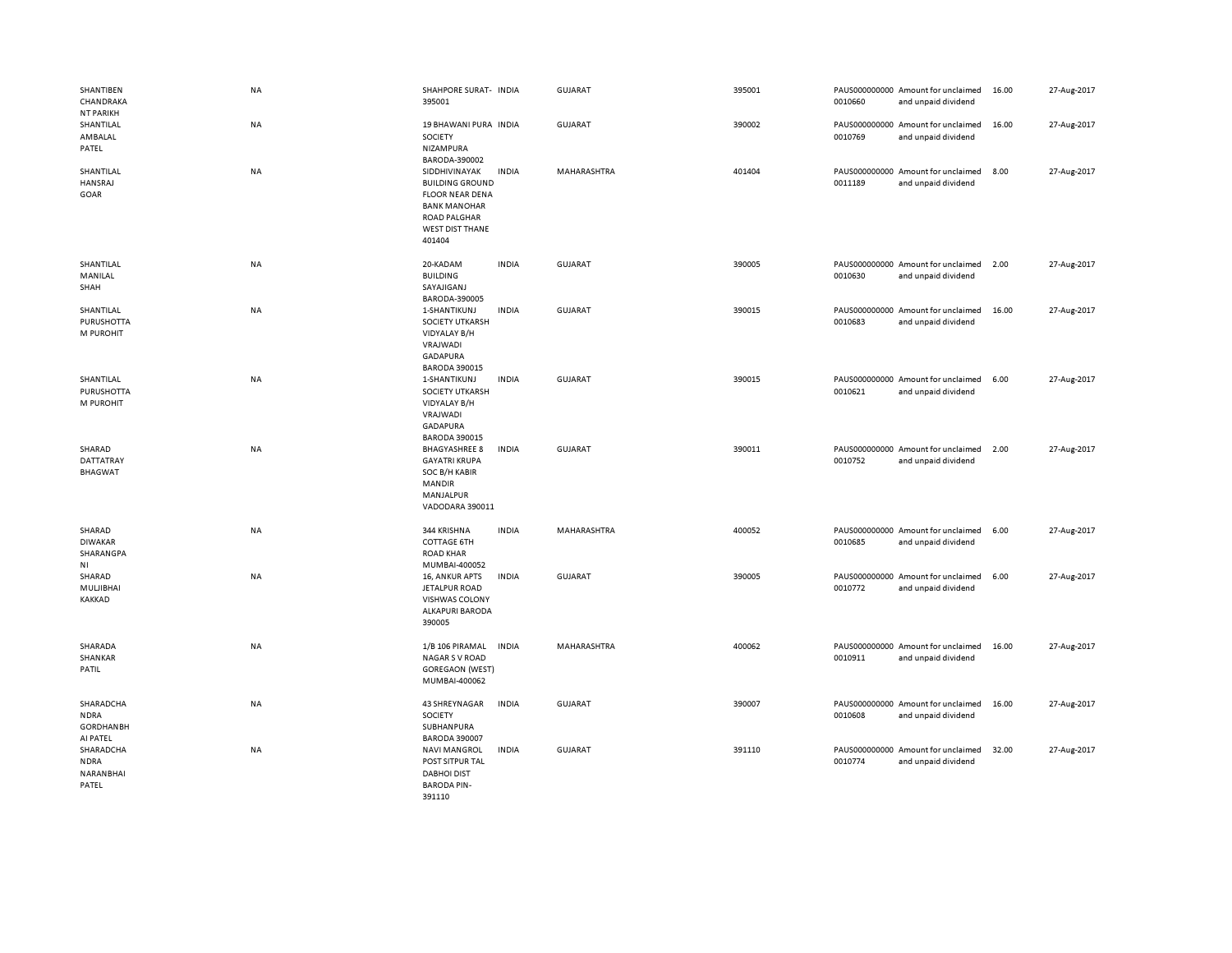| SHANTIBEN<br>CHANDRAKA<br>NT PARIKH                      | NA        | SHAHPORE SURAT- INDIA<br>395001                                                                                                                     |              | <b>GUJARAT</b> | 395001 | 0010660 | PAUS000000000 Amount for unclaimed<br>and unpaid dividend | 16.00 | 27-Aug-2017 |
|----------------------------------------------------------|-----------|-----------------------------------------------------------------------------------------------------------------------------------------------------|--------------|----------------|--------|---------|-----------------------------------------------------------|-------|-------------|
| SHANTILAL<br>AMBALAL<br>PATEL                            | NA        | 19 BHAWANI PURA INDIA<br>SOCIETY<br>NIZAMPURA<br>BARODA-390002                                                                                      |              | <b>GUJARAT</b> | 390002 | 0010769 | PAUS000000000 Amount for unclaimed<br>and unpaid dividend | 16.00 | 27-Aug-2017 |
| SHANTILAL<br>HANSRAJ<br>GOAR                             | NA        | SIDDHIVINAYAK<br><b>BUILDING GROUND</b><br><b>FLOOR NEAR DENA</b><br><b>BANK MANOHAR</b><br><b>ROAD PALGHAR</b><br><b>WEST DIST THANE</b><br>401404 | <b>INDIA</b> | MAHARASHTRA    | 401404 | 0011189 | PAUS000000000 Amount for unclaimed<br>and unpaid dividend | 8.00  | 27-Aug-2017 |
| SHANTILAL<br>MANILAL<br>SHAH                             | NA        | 20-KADAM<br><b>BUILDING</b><br>SAYAJIGANJ<br>BARODA-390005                                                                                          | <b>INDIA</b> | GUJARAT        | 390005 | 0010630 | PAUS000000000 Amount for unclaimed<br>and unpaid dividend | 2.00  | 27-Aug-2017 |
| SHANTILAL<br>PURUSHOTTA<br>M PUROHIT                     | NA        | 1-SHANTIKUNJ<br>SOCIETY UTKARSH<br>VIDYALAY B/H<br>VRAJWADI<br><b>GADAPURA</b><br><b>BARODA 390015</b>                                              | <b>INDIA</b> | <b>GUJARAT</b> | 390015 | 0010683 | PAUS000000000 Amount for unclaimed<br>and unpaid dividend | 16.00 | 27-Aug-2017 |
| SHANTILAL<br>PURUSHOTTA<br>M PUROHIT                     | NA        | 1-SHANTIKUNJ<br>SOCIETY UTKARSH<br>VIDYALAY B/H<br>VRAJWADI<br><b>GADAPURA</b><br><b>BARODA 390015</b>                                              | <b>INDIA</b> | GUJARAT        | 390015 | 0010621 | PAUS000000000 Amount for unclaimed<br>and unpaid dividend | 6.00  | 27-Aug-2017 |
| SHARAD<br>DATTATRAY<br><b>BHAGWAT</b>                    | <b>NA</b> | <b>BHAGYASHREE 8</b><br><b>GAYATRI KRUPA</b><br>SOC B/H KABIR<br><b>MANDIR</b><br>MANJALPUR<br>VADODARA 390011                                      | <b>INDIA</b> | GUJARAT        | 390011 | 0010752 | PAUS000000000 Amount for unclaimed<br>and unpaid dividend | 2.00  | 27-Aug-2017 |
| SHARAD<br><b>DIWAKAR</b><br>SHARANGPA<br>ΝI              | NA        | 344 KRISHNA<br><b>COTTAGE 6TH</b><br><b>ROAD KHAR</b><br>MUMBAI-400052                                                                              | <b>INDIA</b> | MAHARASHTRA    | 400052 | 0010685 | PAUS000000000 Amount for unclaimed<br>and unpaid dividend | 6.00  | 27-Aug-2017 |
| SHARAD<br>MULJIBHAI<br>KAKKAD                            | NA        | 16, ANKUR APTS<br><b>JETALPUR ROAD</b><br>VISHWAS COLONY<br>ALKAPURI BARODA<br>390005                                                               | <b>INDIA</b> | <b>GUJARAT</b> | 390005 | 0010772 | PAUS000000000 Amount for unclaimed<br>and unpaid dividend | 6.00  | 27-Aug-2017 |
| SHARADA<br>SHANKAR<br>PATIL                              | NA        | 1/B 106 PIRAMAL<br><b>NAGAR S V ROAD</b><br><b>GOREGAON (WEST)</b><br>MUMBAI-400062                                                                 | <b>INDIA</b> | MAHARASHTRA    | 400062 | 0010911 | PAUS000000000 Amount for unclaimed<br>and unpaid dividend | 16.00 | 27-Aug-2017 |
| SHARADCHA<br><b>NDRA</b><br><b>GORDHANBH</b><br>AI PATEL | NA        | 43 SHREYNAGAR<br>SOCIETY<br>SUBHANPURA<br><b>BARODA 390007</b>                                                                                      | <b>INDIA</b> | <b>GUJARAT</b> | 390007 | 0010608 | PAUS000000000 Amount for unclaimed<br>and unpaid dividend | 16.00 | 27-Aug-2017 |
| SHARADCHA<br><b>NDRA</b><br>NARANBHAI<br>PATEL           | NA        | <b>NAVI MANGROL</b><br>POST SITPUR TAL<br><b>DABHOI DIST</b><br><b>BARODA PIN-</b><br>391110                                                        | <b>INDIA</b> | <b>GUJARAT</b> | 391110 | 0010774 | PAUS000000000 Amount for unclaimed<br>and unpaid dividend | 32.00 | 27-Aug-2017 |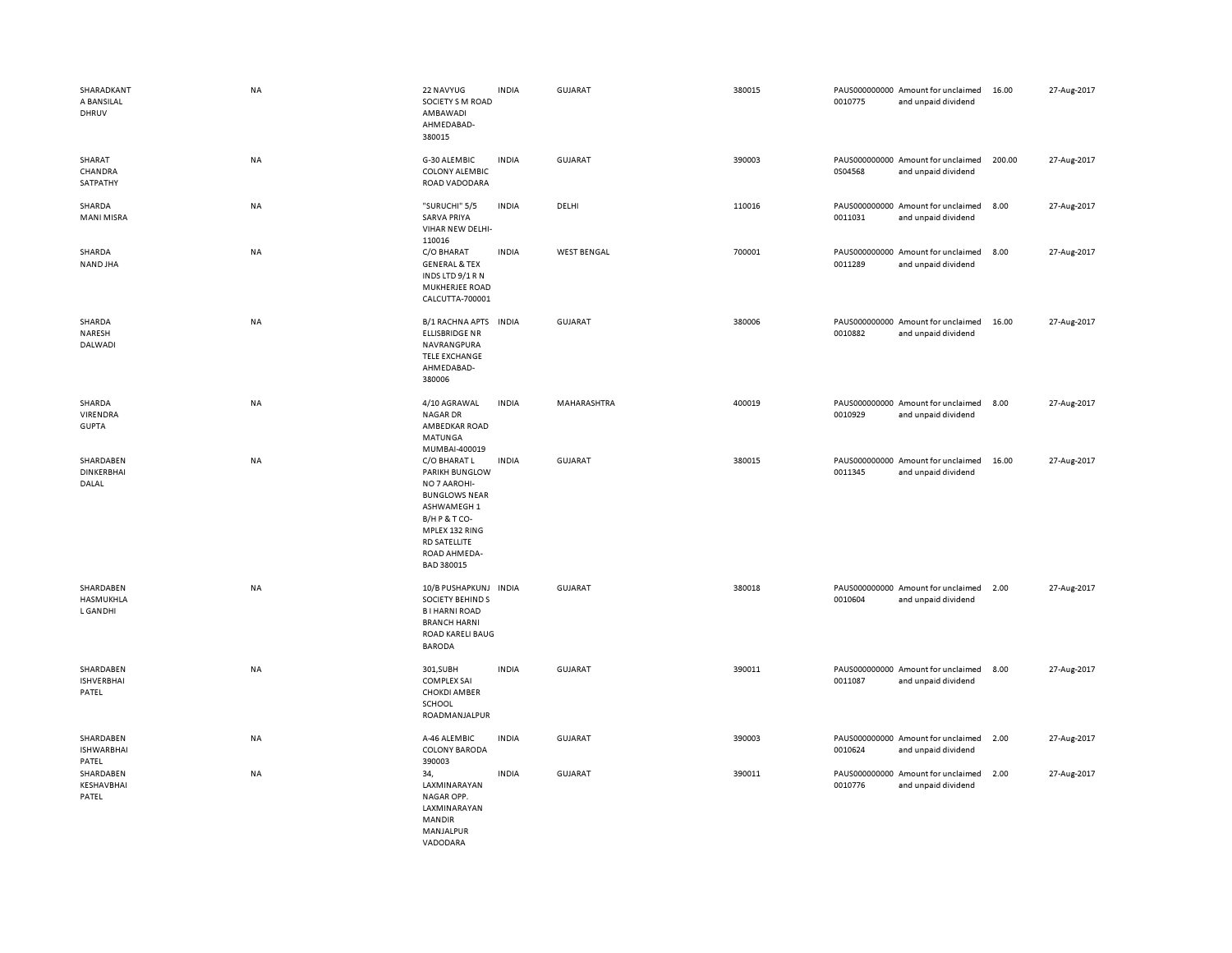| SHARADKANT<br>A BANSILAL<br>DHRUV       | <b>NA</b> | 22 NAVYUG<br>SOCIETY S M ROAD<br>AMBAWADI<br>AHMEDABAD-<br>380015                                                                                                         | <b>INDIA</b> | GUJARAT            | 380015 | 0010775 | PAUS000000000 Amount for unclaimed<br>and unpaid dividend | 16.00  | 27-Aug-2017 |
|-----------------------------------------|-----------|---------------------------------------------------------------------------------------------------------------------------------------------------------------------------|--------------|--------------------|--------|---------|-----------------------------------------------------------|--------|-------------|
| SHARAT<br>CHANDRA<br>SATPATHY           | <b>NA</b> | G-30 ALEMBIC<br><b>COLONY ALEMBIC</b><br>ROAD VADODARA                                                                                                                    | <b>INDIA</b> | GUJARAT            | 390003 | 0S04568 | PAUS000000000 Amount for unclaimed<br>and unpaid dividend | 200.00 | 27-Aug-2017 |
| SHARDA<br><b>MANI MISRA</b>             | NA        | "SURUCHI" 5/5<br><b>SARVA PRIYA</b><br>VIHAR NEW DELHI-<br>110016                                                                                                         | <b>INDIA</b> | DELHI              | 110016 | 0011031 | PAUS000000000 Amount for unclaimed<br>and unpaid dividend | 8.00   | 27-Aug-2017 |
| SHARDA<br>NAND JHA                      | <b>NA</b> | C/O BHARAT<br><b>GENERAL &amp; TEX</b><br>INDS LTD 9/1 R N<br>MUKHERJEE ROAD<br>CALCUTTA-700001                                                                           | <b>INDIA</b> | <b>WEST BENGAL</b> | 700001 | 0011289 | PAUS000000000 Amount for unclaimed<br>and unpaid dividend | 8.00   | 27-Aug-2017 |
| SHARDA<br>NARESH<br>DALWADI             | NA        | B/1 RACHNA APTS INDIA<br><b>ELLISBRIDGE NR</b><br>NAVRANGPURA<br><b>TELE EXCHANGE</b><br>AHMEDABAD-<br>380006                                                             |              | GUJARAT            | 380006 | 0010882 | PAUS000000000 Amount for unclaimed<br>and unpaid dividend | 16.00  | 27-Aug-2017 |
| SHARDA<br>VIRENDRA<br><b>GUPTA</b>      | NA        | 4/10 AGRAWAL<br><b>NAGAR DR</b><br>AMBEDKAR ROAD<br>MATUNGA<br>MUMBAI-400019                                                                                              | <b>INDIA</b> | MAHARASHTRA        | 400019 | 0010929 | PAUS000000000 Amount for unclaimed<br>and unpaid dividend | 8.00   | 27-Aug-2017 |
| SHARDABEN<br>DINKERBHAI<br>DALAL        | <b>NA</b> | C/O BHARAT L<br>PARIKH BUNGLOW<br>NO 7 AAROHI-<br><b>BUNGLOWS NEAR</b><br>ASHWAMEGH 1<br>B/HP&TCO-<br>MPLEX 132 RING<br><b>RD SATELLITE</b><br>ROAD AHMEDA-<br>BAD 380015 | <b>INDIA</b> | <b>GUJARAT</b>     | 380015 | 0011345 | PAUS000000000 Amount for unclaimed<br>and unpaid dividend | 16.00  | 27-Aug-2017 |
| SHARDABEN<br>HASMUKHLA<br>L GAN DHI     | <b>NA</b> | 10/B PUSHAPKUNJ INDIA<br>SOCIETY BEHIND S<br><b>BI HARNI ROAD</b><br><b>BRANCH HARNI</b><br>ROAD KARELI BAUG<br><b>BARODA</b>                                             |              | <b>GUJARAT</b>     | 380018 | 0010604 | PAUS000000000 Amount for unclaimed<br>and unpaid dividend | 2.00   | 27-Aug-2017 |
| SHARDABEN<br><b>ISHVERBHAI</b><br>PATEL | NA        | 301, SUBH<br><b>COMPLEX SAI</b><br><b>CHOKDI AMBER</b><br>SCHOOL<br>ROADMANJALPUR                                                                                         | <b>INDIA</b> | GUJARAT            | 390011 | 0011087 | PAUS000000000 Amount for unclaimed<br>and unpaid dividend | 8.00   | 27-Aug-2017 |
| SHARDABEN<br><b>ISHWARBHAI</b><br>PATEL | <b>NA</b> | A-46 ALEMBIC<br><b>COLONY BARODA</b><br>390003                                                                                                                            | <b>INDIA</b> | <b>GUJARAT</b>     | 390003 | 0010624 | PAUS000000000 Amount for unclaimed<br>and unpaid dividend | 2.00   | 27-Aug-2017 |
| SHARDABEN<br>KESHAVBHAI<br>PATEL        | <b>NA</b> | 34,<br>LAXMINARAYAN<br>NAGAR OPP.<br>LAXMINARAYAN<br><b>MANDIR</b><br>MANJALPUR<br>VADODARA                                                                               | <b>INDIA</b> | <b>GUJARAT</b>     | 390011 | 0010776 | PAUS000000000 Amount for unclaimed<br>and unpaid dividend | 2.00   | 27-Aug-2017 |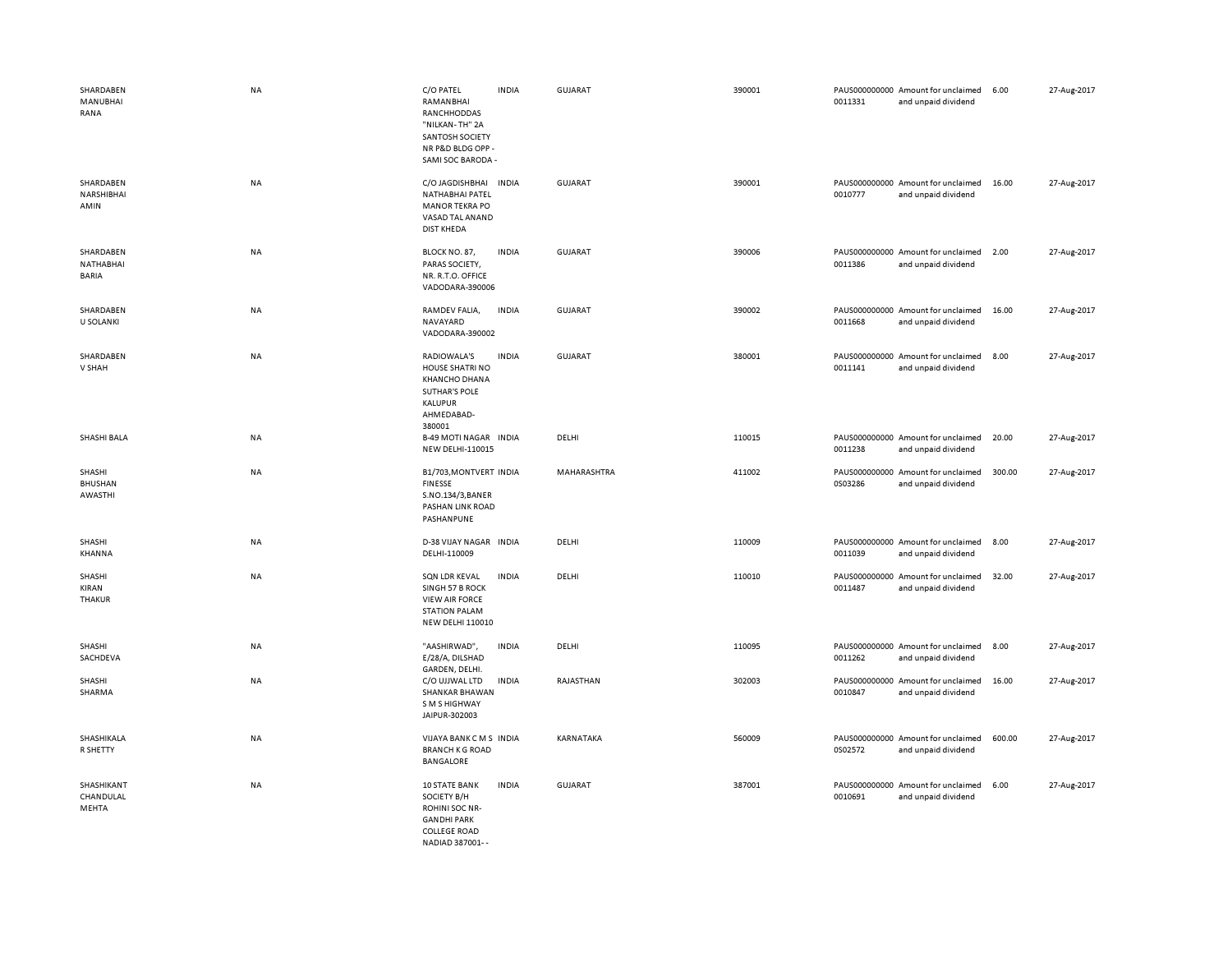| SHARDABEN<br>MANUBHAI<br>RANA          | NA        | C/O PATEL<br>RAMANBHAI<br>RANCHHODDAS<br>"NILKAN-TH" 2A<br>SANTOSH SOCIETY<br>NR P&D BLDG OPP -<br>SAMI SOC BARODA -  | <b>INDIA</b> | <b>GUJARAT</b> | 390001 | 0011331 | PAUS000000000 Amount for unclaimed<br>and unpaid dividend | 6.00   | 27-Aug-2017 |
|----------------------------------------|-----------|-----------------------------------------------------------------------------------------------------------------------|--------------|----------------|--------|---------|-----------------------------------------------------------|--------|-------------|
| SHARDABEN<br>NARSHIBHAI<br>AMIN        | <b>NA</b> | C/O JAGDISHBHAI<br>NATHABHAI PATEL<br><b>MANOR TEKRA PO</b><br>VASAD TAL ANAND<br><b>DIST KHEDA</b>                   | <b>INDIA</b> | <b>GUJARAT</b> | 390001 | 0010777 | PAUS000000000 Amount for unclaimed<br>and unpaid dividend | 16.00  | 27-Aug-2017 |
| SHARDABEN<br>NATHABHAI<br><b>BARIA</b> | NA        | BLOCK NO. 87,<br>PARAS SOCIETY,<br>NR. R.T.O. OFFICE<br>VADODARA-390006                                               | <b>INDIA</b> | <b>GUJARAT</b> | 390006 | 0011386 | PAUS000000000 Amount for unclaimed<br>and unpaid dividend | 2.00   | 27-Aug-2017 |
| SHARDABEN<br><b>U SOLANKI</b>          | NA        | RAMDEV FALIA,<br>NAVAYARD<br>VADODARA-390002                                                                          | <b>INDIA</b> | GUJARAT        | 390002 | 0011668 | PAUS000000000 Amount for unclaimed<br>and unpaid dividend | 16.00  | 27-Aug-2017 |
| SHARDABEN<br>V SHAH                    | <b>NA</b> | RADIOWALA'S<br>HOUSE SHATRI NO<br><b>KHANCHO DHANA</b><br><b>SUTHAR'S POLE</b><br>KALUPUR<br>AHMEDABAD-<br>380001     | <b>INDIA</b> | <b>GUJARAT</b> | 380001 | 0011141 | PAUS000000000 Amount for unclaimed<br>and unpaid dividend | 8.00   | 27-Aug-2017 |
| SHASHI BALA                            | <b>NA</b> | <b>B-49 MOTI NAGAR INDIA</b><br>NEW DELHI-110015                                                                      |              | DELHI          | 110015 | 0011238 | PAUS000000000 Amount for unclaimed<br>and unpaid dividend | 20.00  | 27-Aug-2017 |
| SHASHI<br><b>BHUSHAN</b><br>AWASTHI    | NA        | B1/703, MONTVERT INDIA<br><b>FINESSE</b><br>S.NO.134/3, BANER<br>PASHAN LINK ROAD<br>PASHANPUNE                       |              | MAHARASHTRA    | 411002 | 0S03286 | PAUS000000000 Amount for unclaimed<br>and unpaid dividend | 300.00 | 27-Aug-2017 |
| SHASHI<br>KHANNA                       | NA        | D-38 VIJAY NAGAR INDIA<br>DELHI-110009                                                                                |              | DELHI          | 110009 | 0011039 | PAUS000000000 Amount for unclaimed<br>and unpaid dividend | 8.00   | 27-Aug-2017 |
| SHASHI<br>KIRAN<br>THAKUR              | <b>NA</b> | SQN LDR KEVAL<br>SINGH 57 B ROCK<br><b>VIEW AIR FORCE</b><br><b>STATION PALAM</b><br>NEW DELHI 110010                 | <b>INDIA</b> | DELHI          | 110010 | 0011487 | PAUS000000000 Amount for unclaimed<br>and unpaid dividend | 32.00  | 27-Aug-2017 |
| SHASHI<br>SACHDEVA                     | NA        | "AASHIRWAD",<br>E/28/A, DILSHAD<br>GARDEN, DELHI.                                                                     | <b>INDIA</b> | DELHI          | 110095 | 0011262 | PAUS000000000 Amount for unclaimed<br>and unpaid dividend | 8.00   | 27-Aug-2017 |
| SHASHI<br>SHARMA                       | NA        | C/O UJJWAL LTD<br><b>SHANKAR BHAWAN</b><br>S M S HIGHWAY<br>JAIPUR-302003                                             | <b>INDIA</b> | RAJASTHAN      | 302003 | 0010847 | PAUS000000000 Amount for unclaimed<br>and unpaid dividend | 16.00  | 27-Aug-2017 |
| SHASHIKALA<br>R SHETTY                 | NA        | VIJAYA BANK CMS INDIA<br><b>BRANCH K G ROAD</b><br>BANGALORE                                                          |              | KARNATAKA      | 560009 | 0S02572 | PAUS000000000 Amount for unclaimed<br>and unpaid dividend | 600.00 | 27-Aug-2017 |
| SHASHIKANT<br>CHANDULAL<br>MEHTA       | <b>NA</b> | <b>10 STATE BANK</b><br>SOCIETY B/H<br>ROHINI SOC NR-<br><b>GANDHI PARK</b><br><b>COLLEGE ROAD</b><br>NADIAD 387001-- | <b>INDIA</b> | <b>GUJARAT</b> | 387001 | 0010691 | PAUS000000000 Amount for unclaimed<br>and unpaid dividend | 6.00   | 27-Aug-2017 |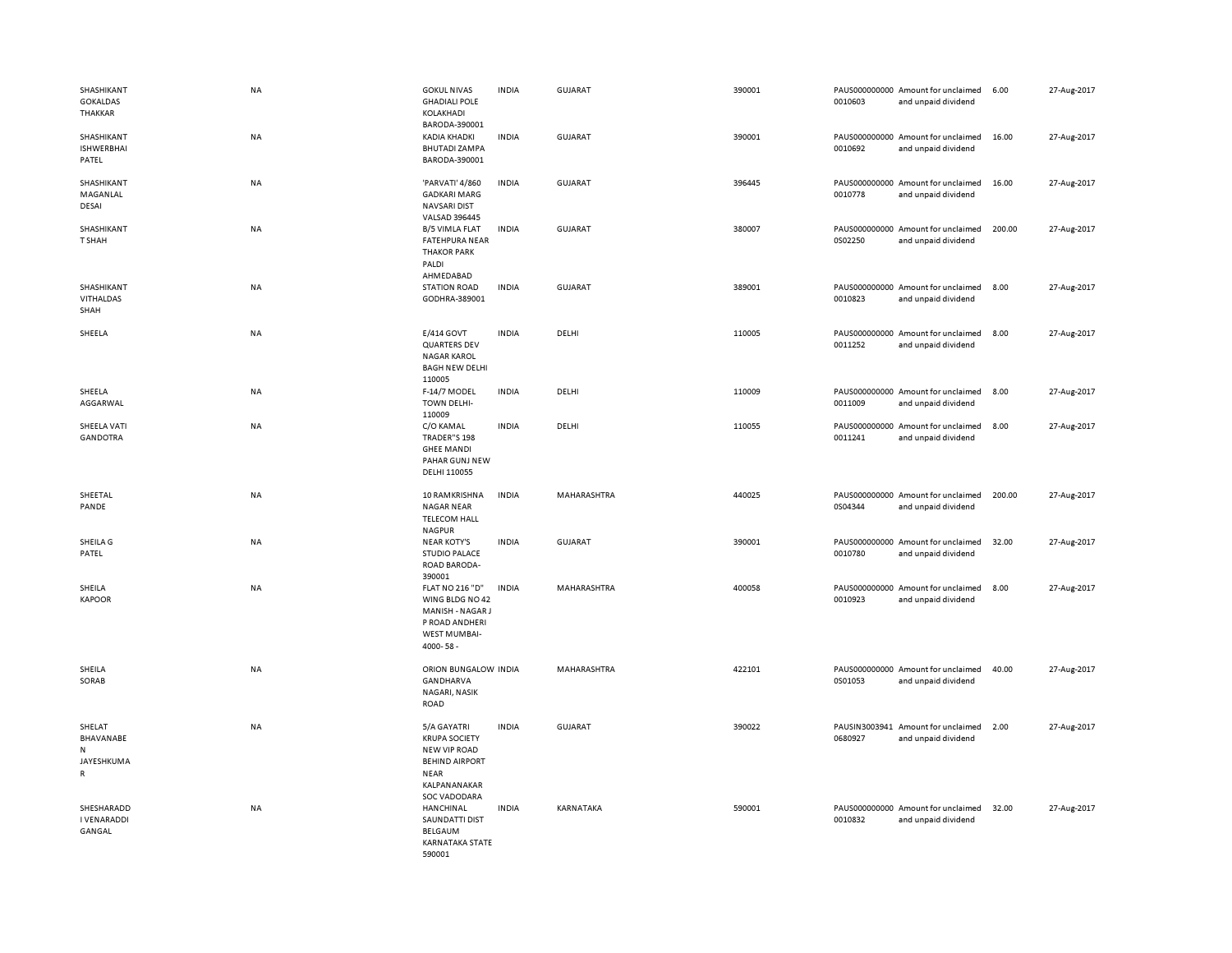| SHASHIKANT<br><b>GOKALDAS</b><br>THAKKAR               | <b>NA</b> | <b>GOKUL NIVAS</b><br><b>GHADIALI POLE</b><br>KOLAKHADI<br>BARODA-390001                                                    | <b>INDIA</b> | <b>GUJARAT</b> | 390001 | 0010603 | PAUS000000000 Amount for unclaimed<br>and unpaid dividend | 6.00   | 27-Aug-2017 |
|--------------------------------------------------------|-----------|-----------------------------------------------------------------------------------------------------------------------------|--------------|----------------|--------|---------|-----------------------------------------------------------|--------|-------------|
| SHASHIKANT<br><b>ISHWERBHAI</b><br>PATEL               | NA        | <b>KADIA KHADKI</b><br><b>BHUTADI ZAMPA</b><br>BARODA-390001                                                                | <b>INDIA</b> | GUJARAT        | 390001 | 0010692 | PAUS000000000 Amount for unclaimed<br>and unpaid dividend | 16.00  | 27-Aug-2017 |
| SHASHIKANT<br>MAGANLAL<br>DESAI                        | NA        | 'PARVATI' 4/860<br><b>GADKARI MARG</b><br><b>NAVSARI DIST</b><br><b>VALSAD 396445</b>                                       | <b>INDIA</b> | GUJARAT        | 396445 | 0010778 | PAUS000000000 Amount for unclaimed<br>and unpaid dividend | 16.00  | 27-Aug-2017 |
| SHASHIKANT<br>T SHAH                                   | NA        | <b>B/5 VIMLA FLAT</b><br><b>FATEHPURA NEAR</b><br><b>THAKOR PARK</b><br>PALDI<br>AHMEDABAD                                  | <b>INDIA</b> | GUJARAT        | 380007 | 0S02250 | PAUS000000000 Amount for unclaimed<br>and unpaid dividend | 200.00 | 27-Aug-2017 |
| SHASHIKANT<br>VITHALDAS<br>SHAH                        | NA        | <b>STATION ROAD</b><br>GODHRA-389001                                                                                        | <b>INDIA</b> | GUJARAT        | 389001 | 0010823 | PAUS000000000 Amount for unclaimed<br>and unpaid dividend | 8.00   | 27-Aug-2017 |
| SHEELA                                                 | NA        | E/414 GOVT<br><b>QUARTERS DEV</b><br><b>NAGAR KAROL</b><br><b>BAGH NEW DELHI</b><br>110005                                  | <b>INDIA</b> | DELHI          | 110005 | 0011252 | PAUS000000000 Amount for unclaimed<br>and unpaid dividend | 8.00   | 27-Aug-2017 |
| SHEELA<br>AGGARWAL                                     | NA        | F-14/7 MODEL<br><b>TOWN DELHI-</b><br>110009                                                                                | <b>INDIA</b> | DELHI          | 110009 | 0011009 | PAUS000000000 Amount for unclaimed<br>and unpaid dividend | 8.00   | 27-Aug-2017 |
| SHEELA VATI<br><b>GANDOTRA</b>                         | NA        | C/O KAMAL<br>TRADER"S 198<br><b>GHEE MANDI</b><br>PAHAR GUNJ NEW<br>DELHI 110055                                            | <b>INDIA</b> | DELHI          | 110055 | 0011241 | PAUS000000000 Amount for unclaimed<br>and unpaid dividend | 8.00   | 27-Aug-2017 |
| SHEETAL<br>PANDE                                       | NA        | 10 RAMKRISHNA<br><b>NAGAR NEAR</b><br><b>TELECOM HALL</b><br><b>NAGPUR</b>                                                  | <b>INDIA</b> | MAHARASHTRA    | 440025 | 0S04344 | PAUS000000000 Amount for unclaimed<br>and unpaid dividend | 200.00 | 27-Aug-2017 |
| SHEILA G<br>PATEL                                      | NA        | <b>NEAR KOTY'S</b><br><b>STUDIO PALACE</b><br>ROAD BARODA-<br>390001                                                        | <b>INDIA</b> | <b>GUJARAT</b> | 390001 | 0010780 | PAUS000000000 Amount for unclaimed<br>and unpaid dividend | 32.00  | 27-Aug-2017 |
| SHEILA<br><b>KAPOOR</b>                                | NA        | FLAT NO 216 "D"<br>WING BLDG NO 42<br>MANISH - NAGAR J<br>P ROAD ANDHERI<br>WEST MUMBAI-<br>4000-58-                        | <b>INDIA</b> | MAHARASHTRA    | 400058 | 0010923 | PAUS000000000 Amount for unclaimed<br>and unpaid dividend | 8.00   | 27-Aug-2017 |
| SHEILA<br>SORAB                                        | NA        | ORION BUNGALOW INDIA<br><b>GANDHARVA</b><br>NAGARI, NASIK<br>ROAD                                                           |              | MAHARASHTRA    | 422101 | 0S01053 | PAUS000000000 Amount for unclaimed<br>and unpaid dividend | 40.00  | 27-Aug-2017 |
| SHELAT<br>BHAVANABE<br>N<br>JAYESHKUMA<br>$\mathsf{R}$ | <b>NA</b> | 5/A GAYATRI<br><b>KRUPA SOCIETY</b><br>NEW VIP ROAD<br><b>BEHIND AIRPORT</b><br><b>NEAR</b><br>KALPANANAKAR<br>SOC VADODARA | <b>INDIA</b> | GUJARAT        | 390022 | 0680927 | PAUSIN3003941 Amount for unclaimed<br>and unpaid dividend | 2.00   | 27-Aug-2017 |
| SHESHARADD<br><b>I VENARADDI</b><br>GANGAL             | NA        | HANCHINAL<br>SAUNDATTI DIST<br>BELGAUM<br><b>KARNATAKA STATE</b><br>590001                                                  | <b>INDIA</b> | KARNATAKA      | 590001 | 0010832 | PAUS000000000 Amount for unclaimed<br>and unpaid dividend | 32.00  | 27-Aug-2017 |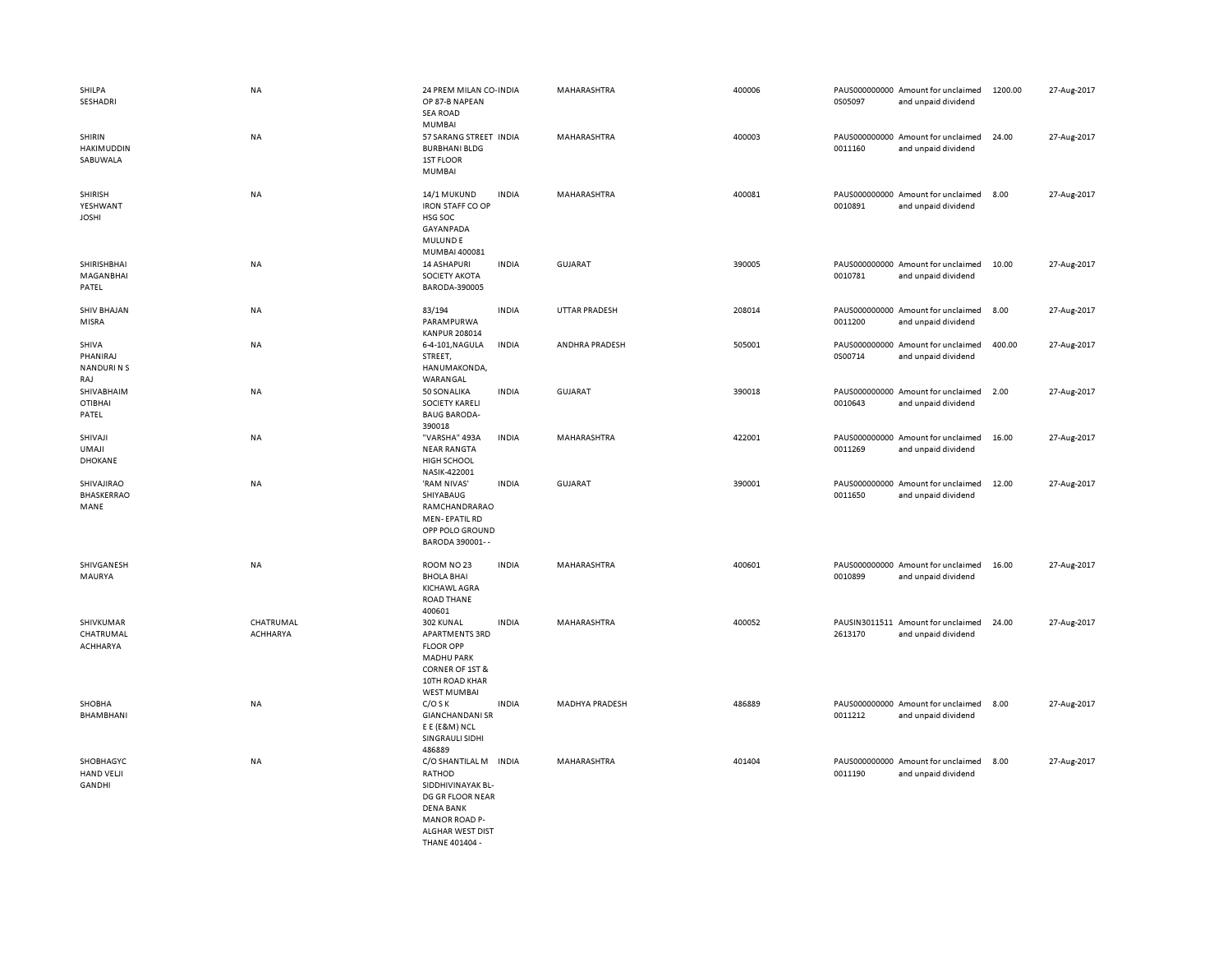| SHILPA<br>SESHADRI                           | NA                    | 24 PREM MILAN CO-INDIA<br>OP 87-B NAPEAN<br><b>SEA ROAD</b><br><b>MUMBAI</b>                                                                               |              | MAHARASHTRA          | 400006 | 0S05097 | PAUS000000000 Amount for unclaimed<br>and unpaid dividend | 1200.00 | 27-Aug-2017 |
|----------------------------------------------|-----------------------|------------------------------------------------------------------------------------------------------------------------------------------------------------|--------------|----------------------|--------|---------|-----------------------------------------------------------|---------|-------------|
| SHIRIN<br>HAKIMUDDIN<br>SABUWALA             | NA                    | 57 SARANG STREET INDIA<br><b>BURBHANI BLDG</b><br>1ST FLOOR<br><b>MUMBAI</b>                                                                               |              | MAHARASHTRA          | 400003 | 0011160 | PAUS000000000 Amount for unclaimed<br>and unpaid dividend | 24.00   | 27-Aug-2017 |
| <b>SHIRISH</b><br>YESHWANT<br><b>JOSHI</b>   | NA                    | 14/1 MUKUND<br><b>IRON STAFF CO OP</b><br>HSG SOC<br>GAYANPADA<br><b>MULUNDE</b><br>MUMBAI 400081                                                          | <b>INDIA</b> | MAHARASHTRA          | 400081 | 0010891 | PAUS000000000 Amount for unclaimed<br>and unpaid dividend | 8.00    | 27-Aug-2017 |
| SHIRISHBHAI<br>MAGANBHAI<br>PATEL            | NA                    | <b>14 ASHAPURI</b><br>SOCIETY AKOTA<br>BARODA-390005                                                                                                       | <b>INDIA</b> | <b>GUJARAT</b>       | 390005 | 0010781 | PAUS000000000 Amount for unclaimed<br>and unpaid dividend | 10.00   | 27-Aug-2017 |
| <b>SHIV BHAJAN</b><br>MISRA                  | NA                    | 83/194<br>PARAMPURWA<br><b>KANPUR 208014</b>                                                                                                               | <b>INDIA</b> | <b>UTTAR PRADESH</b> | 208014 | 0011200 | PAUS000000000 Amount for unclaimed<br>and unpaid dividend | 8.00    | 27-Aug-2017 |
| SHIVA<br>PHANIRAJ<br><b>NANDURINS</b><br>RAJ | NA                    | 6-4-101, NAGULA<br>STREET,<br>HANUMAKONDA,<br>WARANGAL                                                                                                     | <b>INDIA</b> | ANDHRA PRADESH       | 505001 | 0S00714 | PAUS000000000 Amount for unclaimed<br>and unpaid dividend | 400.00  | 27-Aug-2017 |
| SHIVABHAIM<br><b>OTIBHAI</b><br>PATEL        | NA                    | 50 SONALIKA<br><b>SOCIETY KARELI</b><br><b>BAUG BARODA-</b><br>390018                                                                                      | <b>INDIA</b> | GUJARAT              | 390018 | 0010643 | PAUS000000000 Amount for unclaimed<br>and unpaid dividend | 2.00    | 27-Aug-2017 |
| SHIVAJI<br>UMAJI<br>DHOKANE                  | NA                    | "VARSHA" 493A<br><b>NEAR RANGTA</b><br><b>HIGH SCHOOL</b><br>NASIK-422001                                                                                  | <b>INDIA</b> | MAHARASHTRA          | 422001 | 0011269 | PAUS000000000 Amount for unclaimed<br>and unpaid dividend | 16.00   | 27-Aug-2017 |
| SHIVAJIRAO<br>BHASKERRAO<br>MANE             | NA                    | 'RAM NIVAS'<br>SHIYABAUG<br>RAMCHANDRARAO<br><b>MEN-EPATIL RD</b><br>OPP POLO GROUND<br>BARODA 390001--                                                    | <b>INDIA</b> | <b>GUJARAT</b>       | 390001 | 0011650 | PAUS000000000 Amount for unclaimed<br>and unpaid dividend | 12.00   | 27-Aug-2017 |
| SHIVGANESH<br>MAURYA                         | NA                    | ROOM NO 23<br><b>BHOLA BHAI</b><br><b>KICHAWL AGRA</b><br><b>ROAD THANE</b><br>400601                                                                      | <b>INDIA</b> | MAHARASHTRA          | 400601 | 0010899 | PAUS000000000 Amount for unclaimed<br>and unpaid dividend | 16.00   | 27-Aug-2017 |
| SHIVKUMAR<br>CHATRUMAL<br>ACHHARYA           | CHATRUMAL<br>ACHHARYA | 302 KUNAL<br><b>APARTMENTS 3RD</b><br><b>FLOOR OPP</b><br><b>MADHU PARK</b><br>CORNER OF 1ST &<br>10TH ROAD KHAR<br><b>WEST MUMBAI</b>                     | <b>INDIA</b> | MAHARASHTRA          | 400052 | 2613170 | PAUSIN3011511 Amount for unclaimed<br>and unpaid dividend | 24.00   | 27-Aug-2017 |
| SHOBHA<br>BHAMBHANI                          | NA                    | $C/O$ S K<br><b>GIANCHANDANI SR</b><br>E E (E&M) NCL<br>SINGRAULI SIDHI<br>486889                                                                          | <b>INDIA</b> | MADHYA PRADESH       | 486889 | 0011212 | PAUS000000000 Amount for unclaimed<br>and unpaid dividend | 8.00    | 27-Aug-2017 |
| SHOBHAGYC<br><b>HAND VELJI</b><br>GANDHI     | NA                    | C/O SHANTILAL M INDIA<br>RATHOD<br>SIDDHIVINAYAK BL-<br>DG GR FLOOR NEAR<br><b>DENA BANK</b><br><b>MANOR ROAD P-</b><br>ALGHAR WEST DIST<br>THANE 401404 - |              | MAHARASHTRA          | 401404 | 0011190 | PAUS000000000 Amount for unclaimed<br>and unpaid dividend | 8.00    | 27-Aug-2017 |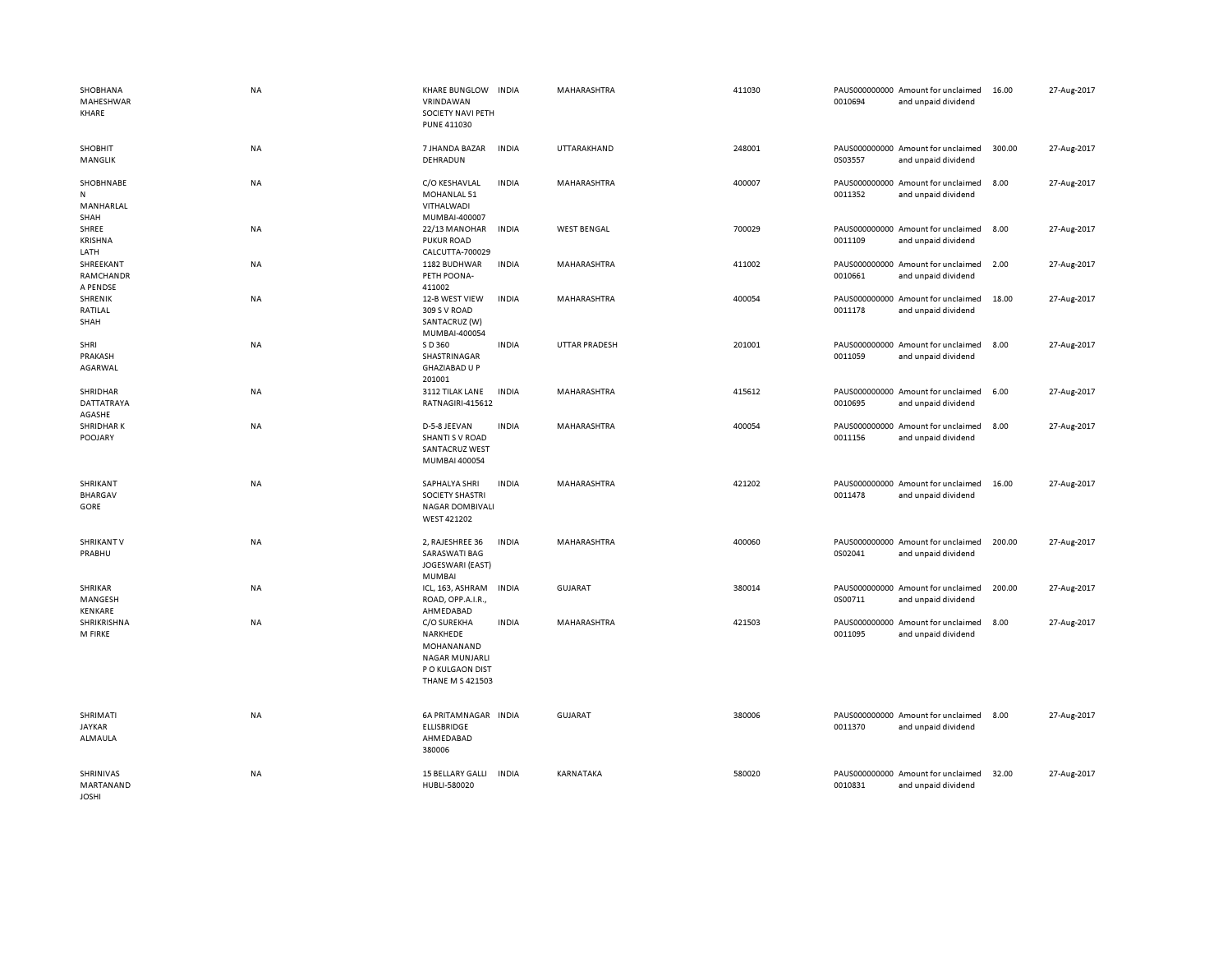| SHOBHANA<br>MAHESHWAR<br>KHARE                 | <b>NA</b> | KHARE BUNGLOW INDIA<br>VRINDAWAN<br>SOCIETY NAVI PETH<br>PUNE 411030                                                 |              | MAHARASHTRA          | 411030 | 0010694 | PAUS000000000 Amount for unclaimed<br>and unpaid dividend | 16.00  | 27-Aug-2017 |
|------------------------------------------------|-----------|----------------------------------------------------------------------------------------------------------------------|--------------|----------------------|--------|---------|-----------------------------------------------------------|--------|-------------|
| <b>SHOBHIT</b><br>MANGLIK                      | NA        | 7 JHANDA BAZAR<br>DEHRADUN                                                                                           | <b>INDIA</b> | UTTARAKHAND          | 248001 | 0S03557 | PAUS000000000 Amount for unclaimed<br>and unpaid dividend | 300.00 | 27-Aug-2017 |
| SHOBHNABE<br>$\mathsf{N}$<br>MANHARLAL<br>SHAH | NA        | C/O KESHAVLAL<br>MOHANLAL 51<br>VITHALWADI<br>MUMBAI-400007                                                          | <b>INDIA</b> | MAHARASHTRA          | 400007 | 0011352 | PAUS000000000 Amount for unclaimed<br>and unpaid dividend | 8.00   | 27-Aug-2017 |
| SHREE<br><b>KRISHNA</b><br>LATH                | NA        | 22/13 MANOHAR<br><b>PUKUR ROAD</b><br>CALCUTTA-700029                                                                | <b>INDIA</b> | <b>WEST BENGAL</b>   | 700029 | 0011109 | PAUS000000000 Amount for unclaimed<br>and unpaid dividend | 8.00   | 27-Aug-2017 |
| SHREEKANT<br>RAMCHANDR<br>A PENDSE             | <b>NA</b> | 1182 BUDHWAR<br>PETH POONA-<br>411002                                                                                | <b>INDIA</b> | <b>MAHARASHTRA</b>   | 411002 | 0010661 | PAUS000000000 Amount for unclaimed<br>and unpaid dividend | 2.00   | 27-Aug-2017 |
| SHRENIK<br>RATILAL<br>SHAH                     | <b>NA</b> | 12-B WEST VIEW<br>309 S V ROAD<br>SANTACRUZ (W)<br>MUMBAI-400054                                                     | <b>INDIA</b> | MAHARASHTRA          | 400054 | 0011178 | PAUS000000000 Amount for unclaimed<br>and unpaid dividend | 18.00  | 27-Aug-2017 |
| SHRI<br>PRAKASH<br>AGARWAL                     | NA        | S D 360<br>SHASTRINAGAR<br><b>GHAZIABAD U P</b><br>201001                                                            | <b>INDIA</b> | <b>UTTAR PRADESH</b> | 201001 | 0011059 | PAUS000000000 Amount for unclaimed<br>and unpaid dividend | 8.00   | 27-Aug-2017 |
| SHRIDHAR<br>DATTATRAYA<br>AGASHE               | NA        | 3112 TILAK LANE<br>RATNAGIRI-415612                                                                                  | <b>INDIA</b> | MAHARASHTRA          | 415612 | 0010695 | PAUS000000000 Amount for unclaimed<br>and unpaid dividend | 6.00   | 27-Aug-2017 |
| <b>SHRIDHARK</b><br>POOJARY                    | <b>NA</b> | D-5-8 JEEVAN<br>SHANTI S V ROAD<br>SANTACRUZ WEST<br>MUMBAI 400054                                                   | <b>INDIA</b> | MAHARASHTRA          | 400054 | 0011156 | PAUS000000000 Amount for unclaimed<br>and unpaid dividend | 8.00   | 27-Aug-2017 |
| SHRIKANT<br><b>BHARGAV</b><br>GORE             | NA        | SAPHALYA SHRI<br>SOCIETY SHASTRI<br><b>NAGAR DOMBIVALI</b><br>WEST 421202                                            | <b>INDIA</b> | MAHARASHTRA          | 421202 | 0011478 | PAUS000000000 Amount for unclaimed<br>and unpaid dividend | 16.00  | 27-Aug-2017 |
| <b>SHRIKANT V</b><br>PRABHU                    | NA        | 2, RAJESHREE 36<br><b>SARASWATI BAG</b><br>JOGESWARI (EAST)<br>MUMBAI                                                | <b>INDIA</b> | MAHARASHTRA          | 400060 | 0S02041 | PAUS000000000 Amount for unclaimed<br>and unpaid dividend | 200.00 | 27-Aug-2017 |
| SHRIKAR<br>MANGESH<br>KENKARE                  | NA        | ICL, 163, ASHRAM<br>ROAD, OPP.A.I.R.,<br>AHMEDABAD                                                                   | <b>INDIA</b> | GUJARAT              | 380014 | 0S00711 | PAUS000000000 Amount for unclaimed<br>and unpaid dividend | 200.00 | 27-Aug-2017 |
| SHRIKRISHNA<br>M FIRKE                         | <b>NA</b> | <b>C/O SUREKHA</b><br>NARKHEDE<br>MOHANANAND<br><b>NAGAR MUNJARLI</b><br>P O KULGAON DIST<br><b>THANE M S 421503</b> | <b>INDIA</b> | <b>MAHARASHTRA</b>   | 421503 | 0011095 | PAUS000000000 Amount for unclaimed<br>and unpaid dividend | 8.00   | 27-Aug-2017 |
| SHRIMATI<br><b>JAYKAR</b><br>ALMAULA           | NA        | 6A PRITAMNAGAR INDIA<br><b>ELLISBRIDGE</b><br>AHMEDABAD<br>380006                                                    |              | GUJARAT              | 380006 | 0011370 | PAUS000000000 Amount for unclaimed<br>and unpaid dividend | 8.00   | 27-Aug-2017 |
| SHRINIVAS<br>MARTANAND<br><b>JOSHI</b>         | NA        | 15 BELLARY GALLI<br>HUBLI-580020                                                                                     | <b>INDIA</b> | KARNATAKA            | 580020 | 0010831 | PAUS000000000 Amount for unclaimed<br>and unpaid dividend | 32.00  | 27-Aug-2017 |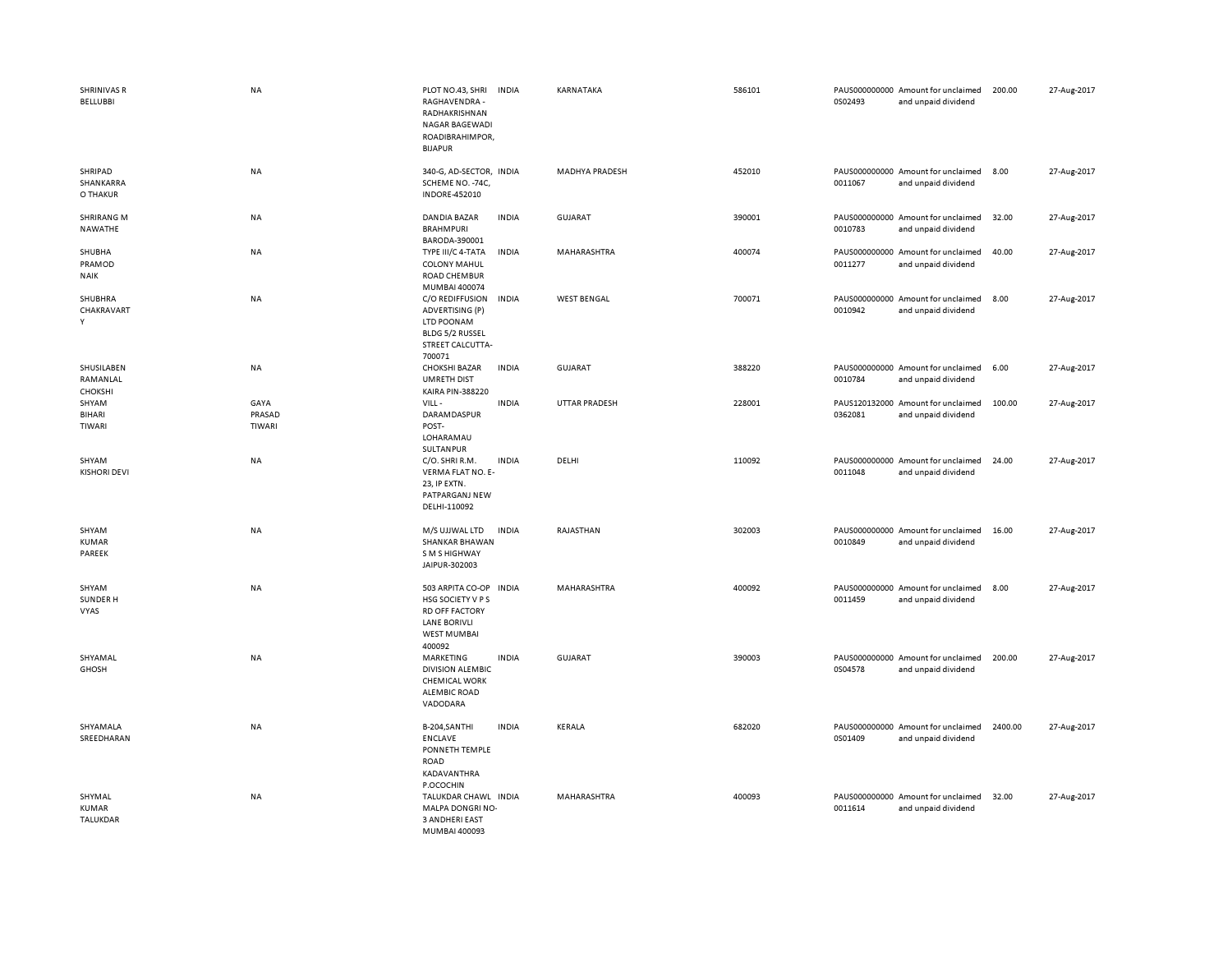| <b>SHRINIVAS R</b><br>BELLUBBI           | <b>NA</b>                | PLOT NO.43, SHRI<br>RAGHAVENDRA -<br>RADHAKRISHNAN<br>NAGAR BAGEWADI<br>ROADIBRAHIMPOR,<br><b>BIJAPUR</b>             | <b>INDIA</b> | KARNATAKA             | 586101 | 0S02493 | PAUS000000000 Amount for unclaimed<br>and unpaid dividend | 200.00  | 27-Aug-2017 |
|------------------------------------------|--------------------------|-----------------------------------------------------------------------------------------------------------------------|--------------|-----------------------|--------|---------|-----------------------------------------------------------|---------|-------------|
| SHRIPAD<br>SHANKARRA<br>O THAKUR         | NA                       | 340-G, AD-SECTOR, INDIA<br>SCHEME NO. - 74C<br><b>INDORE-452010</b>                                                   |              | <b>MADHYA PRADESH</b> | 452010 | 0011067 | PAUS000000000 Amount for unclaimed<br>and unpaid dividend | 8.00    | 27-Aug-2017 |
| <b>SHRIRANG M</b><br><b>NAWATHE</b>      | NA                       | <b>DANDIA BAZAR</b><br><b>BRAHMPURI</b><br>BARODA-390001                                                              | <b>INDIA</b> | <b>GUJARAT</b>        | 390001 | 0010783 | PAUS000000000 Amount for unclaimed<br>and unpaid dividend | 32.00   | 27-Aug-2017 |
| SHUBHA<br>PRAMOD<br><b>NAIK</b>          | <b>NA</b>                | TYPE III/C 4-TATA<br><b>COLONY MAHUL</b><br>ROAD CHEMBUR<br>MUMBAI 400074                                             | <b>INDIA</b> | MAHARASHTRA           | 400074 | 0011277 | PAUS000000000 Amount for unclaimed<br>and unpaid dividend | 40.00   | 27-Aug-2017 |
| SHUBHRA<br>CHAKRAVART<br>Y               | NA                       | C/O REDIFFUSION<br>ADVERTISING (P)<br>LTD POONAM<br>BLDG 5/2 RUSSEL<br>STREET CALCUTTA-<br>700071                     | <b>INDIA</b> | <b>WEST BENGAL</b>    | 700071 | 0010942 | PAUS000000000 Amount for unclaimed<br>and unpaid dividend | 8.00    | 27-Aug-2017 |
| SHUSILABEN<br>RAMANLAL<br><b>CHOKSHI</b> | <b>NA</b>                | <b>CHOKSHI BAZAR</b><br><b>UMRETH DIST</b><br>KAIRA PIN-388220                                                        | <b>INDIA</b> | <b>GUJARAT</b>        | 388220 | 0010784 | PAUS000000000 Amount for unclaimed<br>and unpaid dividend | 6.00    | 27-Aug-2017 |
| SHYAM<br><b>BIHARI</b><br>TIWARI         | GAYA<br>PRASAD<br>TIWARI | VILL-<br><b>DARAMDASPUR</b><br>POST-<br>LOHARAMAU<br>SULTANPUR                                                        | <b>INDIA</b> | <b>UTTAR PRADESH</b>  | 228001 | 0362081 | PAUS120132000 Amount for unclaimed<br>and unpaid dividend | 100.00  | 27-Aug-2017 |
| SHYAM<br><b>KISHORI DEVI</b>             | NA                       | C/O. SHRI R.M.<br>VERMA FLAT NO. E-<br>23, IP EXTN.<br>PATPARGANJ NEW<br>DELHI-110092                                 | <b>INDIA</b> | DELHI                 | 110092 | 0011048 | PAUS000000000 Amount for unclaimed<br>and unpaid dividend | 24.00   | 27-Aug-2017 |
| SHYAM<br><b>KUMAR</b><br>PAREEK          | NA                       | M/S UJJWAL LTD<br>SHANKAR BHAWAN<br>S M S HIGHWAY<br>JAIPUR-302003                                                    | <b>INDIA</b> | RAJASTHAN             | 302003 | 0010849 | PAUS000000000 Amount for unclaimed<br>and unpaid dividend | 16.00   | 27-Aug-2017 |
| SHYAM<br>SUNDER H<br>VYAS                | NA                       | 503 ARPITA CO-OP<br>HSG SOCIETY V P S<br><b>RD OFF FACTORY</b><br><b>LANE BORIVLI</b><br><b>WEST MUMBAI</b><br>400092 | <b>INDIA</b> | MAHARASHTRA           | 400092 | 0011459 | PAUS000000000 Amount for unclaimed<br>and unpaid dividend | 8.00    | 27-Aug-2017 |
| SHYAMAL<br><b>GHOSH</b>                  | NA                       | MARKETING<br><b>DIVISION ALEMBIC</b><br><b>CHEMICAL WORK</b><br><b>ALEMBIC ROAD</b><br>VADODARA                       | <b>INDIA</b> | GUJARAT               | 390003 | 0S04578 | PAUS000000000 Amount for unclaimed<br>and unpaid dividend | 200.00  | 27-Aug-2017 |
| SHYAMALA<br>SREEDHARAN                   | NA                       | B-204, SANTHI<br><b>ENCLAVE</b><br>PONNETH TEMPLE<br><b>ROAD</b><br>KADAVANTHRA<br>P.OCOCHIN                          | <b>INDIA</b> | KERALA                | 682020 | 0S01409 | PAUS000000000 Amount for unclaimed<br>and unpaid dividend | 2400.00 | 27-Aug-2017 |
| SHYMAL<br><b>KUMAR</b><br>TALUKDAR       | NA                       | TALUKDAR CHAWL INDIA<br>MALPA DONGRI NO-<br><b>3 ANDHERI EAST</b><br>MUMBAL400093                                     |              | MAHARASHTRA           | 400093 | 0011614 | PAUS000000000 Amount for unclaimed<br>and unpaid dividend | 32.00   | 27-Aug-2017 |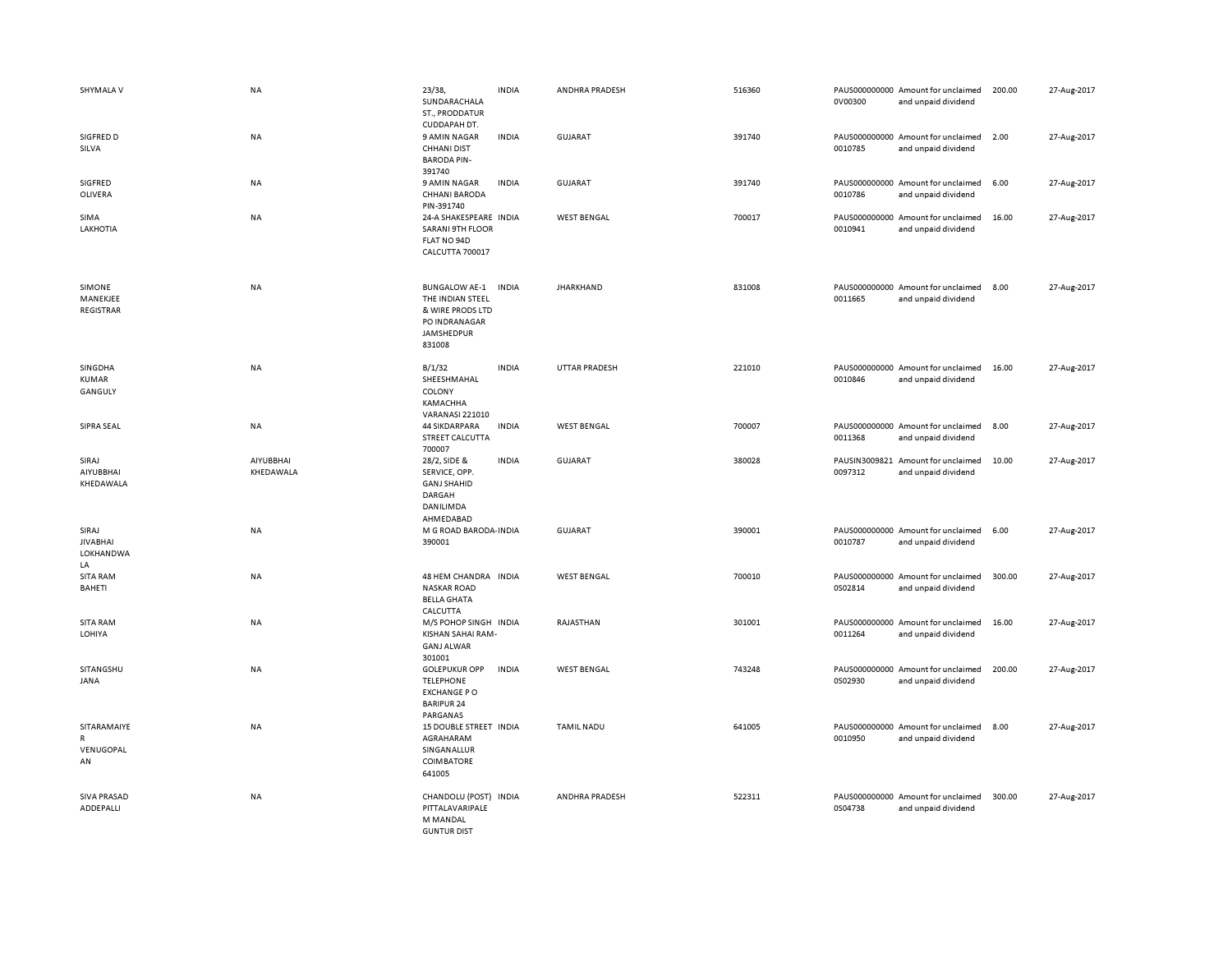| SHYMALA V                                   | NA                     | 23/38,<br>SUNDARACHALA<br>ST., PRODDATUR<br>CUDDAPAH DT.                                              | <b>INDIA</b> | ANDHRA PRADESH     | 516360 | 0V00300                  | PAUS000000000 Amount for unclaimed<br>and unpaid dividend | 200.00 | 27-Aug-2017 |
|---------------------------------------------|------------------------|-------------------------------------------------------------------------------------------------------|--------------|--------------------|--------|--------------------------|-----------------------------------------------------------|--------|-------------|
| SIGFRED D<br>SILVA                          | NA                     | 9 AMIN NAGAR<br><b>CHHANI DIST</b><br><b>BARODA PIN-</b><br>391740                                    | <b>INDIA</b> | GUJARAT            | 391740 | 0010785                  | PAUS000000000 Amount for unclaimed<br>and unpaid dividend | 2.00   | 27-Aug-2017 |
| SIGFRED<br>OLIVERA                          | NA                     | 9 AMIN NAGAR<br><b>CHHANI BARODA</b><br>PIN-391740                                                    | <b>INDIA</b> | <b>GUJARAT</b>     | 391740 | 0010786                  | PAUS000000000 Amount for unclaimed<br>and unpaid dividend | 6.00   | 27-Aug-2017 |
| SIMA<br>LAKHOTIA                            | NA                     | 24-A SHAKESPEARE INDIA<br><b>SARANI 9TH FLOOR</b><br>FLAT NO 94D<br>CALCUTTA 700017                   |              | <b>WEST BENGAL</b> | 700017 | 0010941                  | PAUS000000000 Amount for unclaimed<br>and unpaid dividend | 16.00  | 27-Aug-2017 |
| SIMONE<br>MANEKJEE<br>REGISTRAR             | NA                     | <b>BUNGALOW AE-1</b><br>THE INDIAN STEEL<br>& WIRE PRODS LTD<br>PO INDRANAGAR<br>JAMSHEDPUR<br>831008 | <b>INDIA</b> | <b>JHARKHAND</b>   | 831008 | 0011665                  | PAUS000000000 Amount for unclaimed<br>and unpaid dividend | 8.00   | 27-Aug-2017 |
| SINGDHA<br>KUMAR<br>GANGULY                 | NA                     | B/1/32<br>SHEESHMAHAL<br>COLONY<br>KAMACHHA<br><b>VARANASI 221010</b>                                 | <b>INDIA</b> | UTTAR PRADESH      | 221010 | 0010846                  | PAUS000000000 Amount for unclaimed<br>and unpaid dividend | 16.00  | 27-Aug-2017 |
| SIPRA SEAL                                  | <b>NA</b>              | 44 SIKDARPARA<br>STREET CALCUTTA<br>700007                                                            | <b>INDIA</b> | <b>WEST BENGAL</b> | 700007 | 0011368                  | PAUS000000000 Amount for unclaimed<br>and unpaid dividend | 8.00   | 27-Aug-2017 |
| SIRAJ<br>AIYUBBHAI<br>KHEDAWALA             | AIYUBBHAI<br>KHEDAWALA | 28/2, SIDE &<br>SERVICE, OPP.<br><b>GANJ SHAHID</b><br>DARGAH<br>DANILIMDA<br>AHMEDABAD               | <b>INDIA</b> | <b>GUJARAT</b>     | 380028 | PAUSIN3009821<br>0097312 | Amount for unclaimed<br>and unpaid dividend               | 10.00  | 27-Aug-2017 |
| SIRAJ<br><b>JIVABHAI</b><br>LOKHANDWA<br>LA | <b>NA</b>              | M G ROAD BARODA- INDIA<br>390001                                                                      |              | GUJARAT            | 390001 | 0010787                  | PAUS000000000 Amount for unclaimed<br>and unpaid dividend | 6.00   | 27-Aug-2017 |
| <b>SITA RAM</b><br>BAHETI                   | NA                     | 48 HEM CHANDRA INDIA<br><b>NASKAR ROAD</b><br><b>BELLA GHATA</b><br>CALCUTTA                          |              | <b>WEST BENGAL</b> | 700010 | 0S02814                  | PAUS000000000 Amount for unclaimed<br>and unpaid dividend | 300.00 | 27-Aug-2017 |
| <b>SITA RAM</b><br>LOHIYA                   | NA                     | M/S POHOP SINGH INDIA<br>KISHAN SAHAI RAM-<br><b>GANJ ALWAR</b><br>301001                             |              | RAJASTHAN          | 301001 | 0011264                  | PAUS000000000 Amount for unclaimed<br>and unpaid dividend | 16.00  | 27-Aug-2017 |
| SITANGSHU<br><b>JANA</b>                    | <b>NA</b>              | <b>GOLEPUKUR OPP</b><br><b>TELEPHONE</b><br><b>EXCHANGE PO</b><br><b>BARIPUR 24</b><br>PARGANAS       | <b>INDIA</b> | <b>WEST BENGAL</b> | 743248 | 0S02930                  | PAUS000000000 Amount for unclaimed<br>and unpaid dividend | 200.00 | 27-Aug-2017 |
| SITARAMAIYE<br>R<br>VENUGOPAL<br>AN         | <b>NA</b>              | 15 DOUBLE STREET INDIA<br>AGRAHARAM<br>SINGANALLUR<br>COIMBATORE<br>641005                            |              | <b>TAMIL NADU</b>  | 641005 | 0010950                  | PAUS000000000 Amount for unclaimed<br>and unpaid dividend | 8.00   | 27-Aug-2017 |
| <b>SIVA PRASAD</b><br>ADDEPALLI             | NA                     | CHANDOLU (POST)<br>PITTALAVARIPALE<br>M MANDAL<br><b>GUNTUR DIST</b>                                  | INDIA        | ANDHRA PRADESH     | 522311 | 0S04738                  | PAUS000000000 Amount for unclaimed<br>and unpaid dividend | 300.00 | 27-Aug-2017 |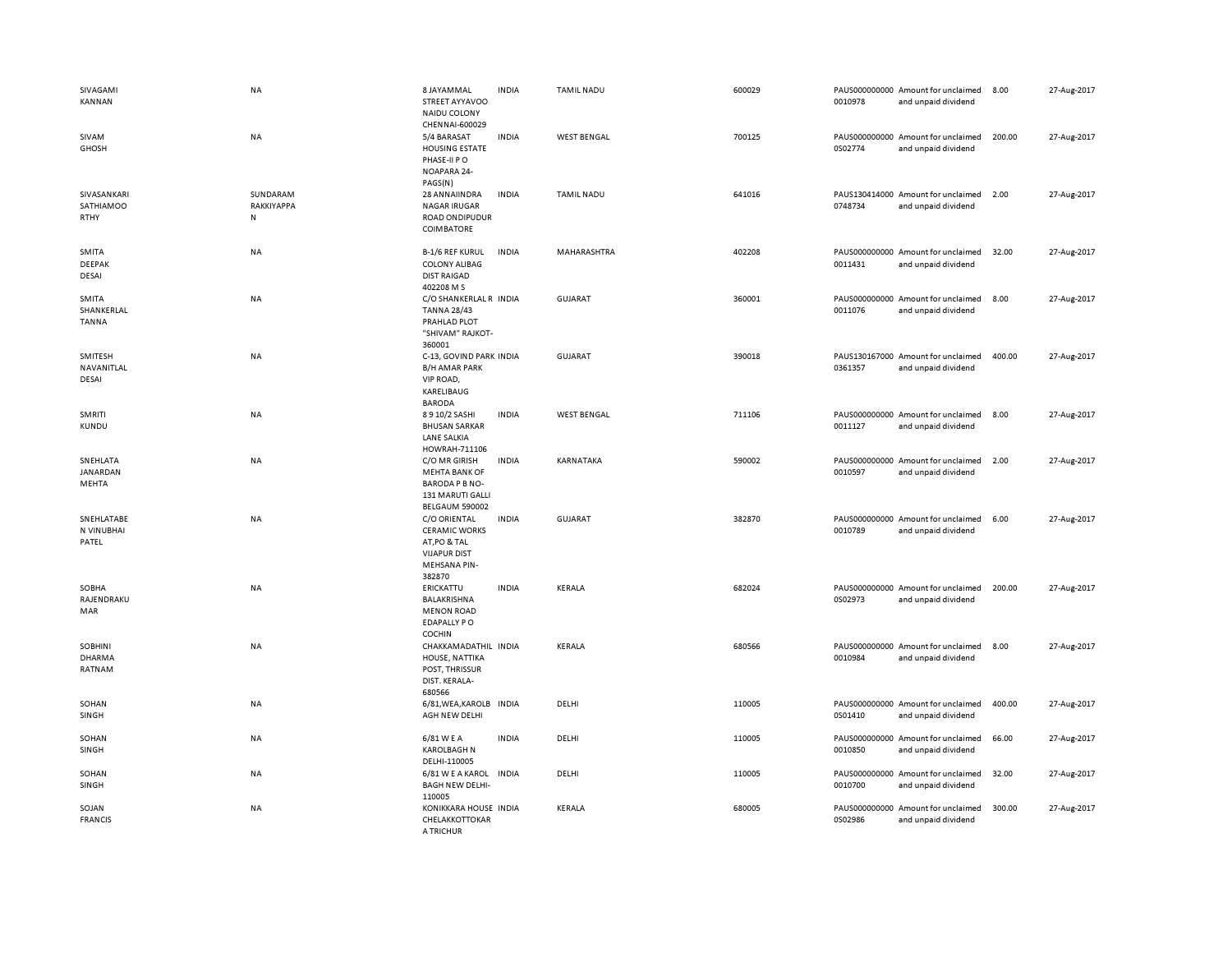| SIVAGAMI<br><b>KANNAN</b>         | <b>NA</b>                   | 8 JAYAMMAL<br>STREET AYYAVOO<br>NAIDU COLONY<br>CHENNAI-600029                                               | <b>INDIA</b> | <b>TAMIL NADU</b>  | 600029 | 0010978 | PAUS000000000 Amount for unclaimed<br>and unpaid dividend | 8.00   | 27-Aug-2017 |
|-----------------------------------|-----------------------------|--------------------------------------------------------------------------------------------------------------|--------------|--------------------|--------|---------|-----------------------------------------------------------|--------|-------------|
| SIVAM<br><b>GHOSH</b>             | <b>NA</b>                   | 5/4 BARASAT<br><b>HOUSING ESTATE</b><br>PHASE-II PO<br>NOAPARA 24-<br>PAGS(N)                                | <b>INDIA</b> | <b>WEST BENGAL</b> | 700125 | 0S02774 | PAUS000000000 Amount for unclaimed<br>and unpaid dividend | 200.00 | 27-Aug-2017 |
| SIVASANKARI<br>SATHIAMOO<br>RTHY  | SUNDARAM<br>RAKKIYAPPA<br>N | 28 ANNAIINDRA<br><b>NAGAR IRUGAR</b><br>ROAD ONDIPUDUR<br>COIMBATORE                                         | <b>INDIA</b> | <b>TAMIL NADU</b>  | 641016 | 0748734 | PAUS130414000 Amount for unclaimed<br>and unpaid dividend | 2.00   | 27-Aug-2017 |
| SMITA<br><b>DEEPAK</b><br>DESAI   | <b>NA</b>                   | <b>B-1/6 REF KURUL</b><br><b>COLONY ALIBAG</b><br><b>DIST RAIGAD</b><br>402208 M S                           | <b>INDIA</b> | MAHARASHTRA        | 402208 | 0011431 | PAUS000000000 Amount for unclaimed<br>and unpaid dividend | 32.00  | 27-Aug-2017 |
| SMITA<br>SHANKERLAL<br>TANNA      | NA                          | C/O SHANKERLAL R INDIA<br><b>TANNA 28/43</b><br>PRAHLAD PLOT<br>"SHIVAM" RAJKOT-<br>360001                   |              | <b>GUJARAT</b>     | 360001 | 0011076 | PAUS000000000 Amount for unclaimed<br>and unpaid dividend | 8.00   | 27-Aug-2017 |
| SMITESH<br>NAVANITLAL<br>DESAI    | <b>NA</b>                   | C-13, GOVIND PARK INDIA<br><b>B/H AMAR PARK</b><br>VIP ROAD,<br>KARELIBAUG<br><b>BARODA</b>                  |              | <b>GUJARAT</b>     | 390018 | 0361357 | PAUS130167000 Amount for unclaimed<br>and unpaid dividend | 400.00 | 27-Aug-2017 |
| SMRITI<br><b>KUNDU</b>            | NA                          | 8910/2 SASHI<br><b>BHUSAN SARKAR</b><br><b>LANE SALKIA</b><br>HOWRAH-711106                                  | <b>INDIA</b> | <b>WEST BENGAL</b> | 711106 | 0011127 | PAUS000000000 Amount for unclaimed<br>and unpaid dividend | 8.00   | 27-Aug-2017 |
| SNEHLATA<br>JANARDAN<br>MEHTA     | <b>NA</b>                   | C/O MR GIRISH<br><b>MEHTA BANK OF</b><br><b>BARODA P B NO-</b><br>131 MARUTI GALLI<br><b>BELGAUM 590002</b>  | <b>INDIA</b> | KARNATAKA          | 590002 | 0010597 | PAUS000000000 Amount for unclaimed<br>and unpaid dividend | 2.00   | 27-Aug-2017 |
| SNEHLATABE<br>N VINUBHAI<br>PATEL | <b>NA</b>                   | C/O ORIENTAL<br><b>CERAMIC WORKS</b><br>AT, PO & TAL<br><b>VIJAPUR DIST</b><br><b>MEHSANA PIN-</b><br>382870 | <b>INDIA</b> | <b>GUJARAT</b>     | 382870 | 0010789 | PAUS000000000 Amount for unclaimed<br>and unpaid dividend | 6.00   | 27-Aug-2017 |
| SOBHA<br>RAJENDRAKU<br>MAR        | <b>NA</b>                   | ERICKATTU<br>BALAKRISHNA<br><b>MENON ROAD</b><br><b>EDAPALLY PO</b><br>COCHIN                                | <b>INDIA</b> | KERALA             | 682024 | 0S02973 | PAUS000000000 Amount for unclaimed<br>and unpaid dividend | 200.00 | 27-Aug-2017 |
| SOBHINI<br>DHARMA<br>RATNAM       | ΝA                          | CHAKKAMADATHIL INDIA<br>HOUSE, NATTIKA<br>POST, THRISSUR<br>DIST. KERALA-<br>680566                          |              | KERALA             | 680566 | 0010984 | PAUS000000000 Amount for unclaimed<br>and unpaid dividend | 8.00   | 27-Aug-2017 |
| SOHAN<br>SINGH                    | NA                          | 6/81, WEA, KAROLB<br>AGH NEW DELHI                                                                           | INDIA        | DELHI              | 110005 | 0S01410 | PAUS000000000 Amount for unclaimed<br>and unpaid dividend | 400.00 | 27-Aug-2017 |
| SOHAN<br>SINGH                    | NA                          | 6/81 W E A<br><b>KAROLBAGH N</b><br>DELHI-110005                                                             | <b>INDIA</b> | DELHI              | 110005 | 0010850 | PAUS000000000 Amount for unclaimed<br>and unpaid dividend | 66.00  | 27-Aug-2017 |
| SOHAN<br>SINGH                    | <b>NA</b>                   | 6/81 W E A KAROL<br><b>BAGH NEW DELHI-</b><br>110005                                                         | <b>INDIA</b> | DELHI              | 110005 | 0010700 | PAUS000000000 Amount for unclaimed<br>and unpaid dividend | 32.00  | 27-Aug-2017 |
| SOJAN<br><b>FRANCIS</b>           | NA                          | KONIKKARA HOUSE INDIA<br>CHELAKKOTTOKAR<br>A TRICHUR                                                         |              | KERALA             | 680005 | 0S02986 | PAUS000000000 Amount for unclaimed<br>and unpaid dividend | 300.00 | 27-Aug-2017 |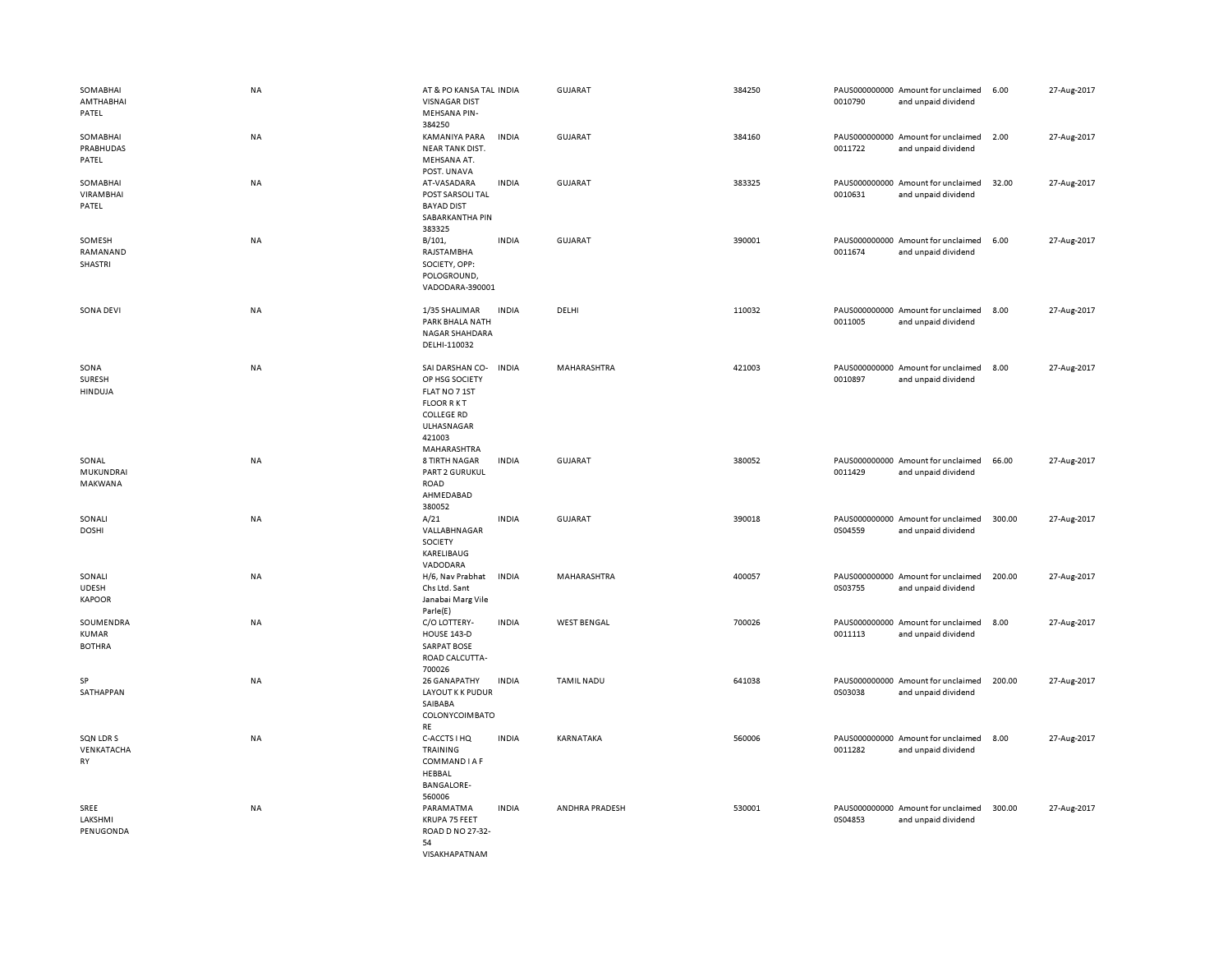| SOMABHAI<br>AMTHABHAI<br>PATEL             | NA | AT & PO KANSA TAL INDIA<br><b>VISNAGAR DIST</b><br>MEHSANA PIN-<br>384250                                                          |              | <b>GUJARAT</b>     | 384250 | 0010790 | PAUS000000000 Amount for unclaimed<br>and unpaid dividend | 6.00   | 27-Aug-2017 |
|--------------------------------------------|----|------------------------------------------------------------------------------------------------------------------------------------|--------------|--------------------|--------|---------|-----------------------------------------------------------|--------|-------------|
| SOMABHAI<br>PRABHUDAS<br>PATEL             | NA | KAMANIYA PARA<br><b>NEAR TANK DIST.</b><br>MEHSANA AT.<br>POST. UNAVA                                                              | <b>INDIA</b> | GUJARAT            | 384160 | 0011722 | PAUS000000000 Amount for unclaimed<br>and unpaid dividend | 2.00   | 27-Aug-2017 |
| SOMABHAI<br><b>VIRAMBHAI</b><br>PATEL      | NA | AT-VASADARA<br>POST SARSOLI TAL<br><b>BAYAD DIST</b><br>SABARKANTHA PIN<br>383325                                                  | <b>INDIA</b> | GUJARAT            | 383325 | 0010631 | PAUS000000000 Amount for unclaimed<br>and unpaid dividend | 32.00  | 27-Aug-2017 |
| SOMESH<br>RAMANAND<br>SHASTRI              | NA | B/101,<br>RAJSTAMBHA<br>SOCIETY, OPP:<br>POLOGROUND,<br>VADODARA-390001                                                            | <b>INDIA</b> | <b>GUJARAT</b>     | 390001 | 0011674 | PAUS000000000 Amount for unclaimed<br>and unpaid dividend | 6.00   | 27-Aug-2017 |
| SONA DEVI                                  | NA | 1/35 SHALIMAR<br>PARK BHALA NATH<br><b>NAGAR SHAHDARA</b><br>DELHI-110032                                                          | <b>INDIA</b> | DELHI              | 110032 | 0011005 | PAUS000000000 Amount for unclaimed<br>and unpaid dividend | 8.00   | 27-Aug-2017 |
| SONA<br><b>SURESH</b><br><b>HINDUJA</b>    | NA | SAI DARSHAN CO-<br>OP HSG SOCIETY<br>FLAT NO 7 1ST<br><b>FLOOR RKT</b><br><b>COLLEGE RD</b><br>ULHASNAGAR<br>421003<br>MAHARASHTRA | <b>INDIA</b> | MAHARASHTRA        | 421003 | 0010897 | PAUS000000000 Amount for unclaimed<br>and unpaid dividend | 8.00   | 27-Aug-2017 |
| SONAL<br>MUKUNDRAI<br>MAKWANA              | NA | <b>8 TIRTH NAGAR</b><br>PART 2 GURUKUL<br><b>ROAD</b><br>AHMEDABAD<br>380052                                                       | <b>INDIA</b> | <b>GUJARAT</b>     | 380052 | 0011429 | PAUS000000000 Amount for unclaimed<br>and unpaid dividend | 66.00  | 27-Aug-2017 |
| SONALI<br><b>DOSHI</b>                     | NA | A/21<br>VALLABHNAGAR<br>SOCIETY<br>KARELIBAUG<br>VADODARA                                                                          | <b>INDIA</b> | GUJARAT            | 390018 | 0S04559 | PAUS000000000 Amount for unclaimed<br>and unpaid dividend | 300.00 | 27-Aug-2017 |
| SONALI<br><b>UDESH</b><br><b>KAPOOR</b>    | NA | H/6, Nav Prabhat<br>Chs Ltd. Sant<br>Janabai Marg Vile<br>Parle(E)                                                                 | <b>INDIA</b> | MAHARASHTRA        | 400057 | 0S03755 | PAUS000000000 Amount for unclaimed<br>and unpaid dividend | 200.00 | 27-Aug-2017 |
| SOUMENDRA<br><b>KUMAR</b><br><b>BOTHRA</b> | NA | C/O LOTTERY-<br>HOUSE 143-D<br><b>SARPAT BOSE</b><br>ROAD CALCUTTA-<br>700026                                                      | <b>INDIA</b> | <b>WEST BENGAL</b> | 700026 | 0011113 | PAUS000000000 Amount for unclaimed<br>and unpaid dividend | 8.00   | 27-Aug-2017 |
| SP<br>SATHAPPAN                            | NA | 26 GANAPATHY<br><b>LAYOUT K K PUDUR</b><br>SAIBABA<br>COLONYCOIMBATO<br>RE                                                         | <b>INDIA</b> | <b>TAMIL NADU</b>  | 641038 | 0S03038 | PAUS000000000 Amount for unclaimed<br>and unpaid dividend | 200.00 | 27-Aug-2017 |
| SQN LDR S<br>VENKATACHA<br>RY              | NA | C-ACCTS I HQ<br><b>TRAINING</b><br>COMMAND I A F<br>HEBBAL<br><b>BANGALORE-</b><br>560006                                          | <b>INDIA</b> | KARNATAKA          | 560006 | 0011282 | PAUS000000000 Amount for unclaimed<br>and unpaid dividend | 8.00   | 27-Aug-2017 |
| SREE<br>LAKSHMI<br>PENUGONDA               | NA | PARAMATMA<br>KRUPA 75 FEET<br>ROAD D NO 27-32-<br>54<br>VISAKHAPATNAM                                                              | <b>INDIA</b> | ANDHRA PRADESH     | 530001 | 0S04853 | PAUS000000000 Amount for unclaimed<br>and unpaid dividend | 300.00 | 27-Aug-2017 |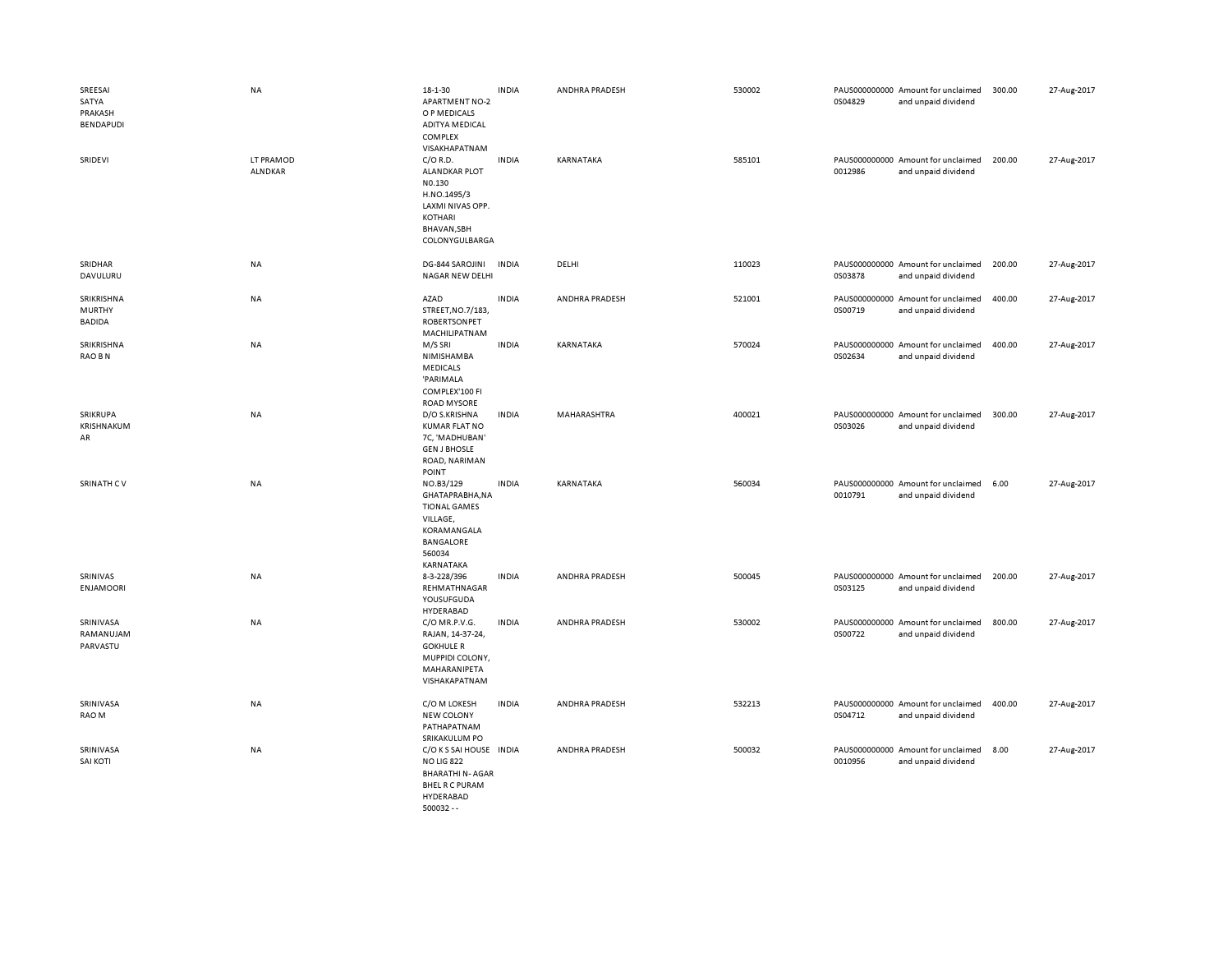| SREESAI<br>SATYA<br>PRAKASH<br>BENDAPUDI<br>SRIDEVI | <b>NA</b><br>LT PRAMOD | 18-1-30<br><b>APARTMENT NO-2</b><br>O P MEDICALS<br><b>ADITYA MEDICAL</b><br>COMPLEX<br>VISAKHAPATNAM<br>$C/O$ R.D.                  | <b>INDIA</b><br><b>INDIA</b> | ANDHRA PRADESH<br>KARNATAKA | 530002<br>585101 | 0S04829 | PAUS000000000 Amount for unclaimed<br>and unpaid dividend<br>PAUS000000000 Amount for unclaimed | 300.00<br>200.00 | 27-Aug-2017<br>27-Aug-2017 |
|-----------------------------------------------------|------------------------|--------------------------------------------------------------------------------------------------------------------------------------|------------------------------|-----------------------------|------------------|---------|-------------------------------------------------------------------------------------------------|------------------|----------------------------|
|                                                     | <b>ALNDKAR</b>         | <b>ALANDKAR PLOT</b><br>N0.130<br>H.NO.1495/3<br>LAXMI NIVAS OPP.<br><b>KOTHARI</b><br>BHAVAN, SBH<br>COLONYGULBARGA                 |                              |                             |                  | 0012986 | and unpaid dividend                                                                             |                  |                            |
| SRIDHAR<br>DAVULURU                                 | NA                     | DG-844 SAROJINI<br>NAGAR NEW DELHI                                                                                                   | <b>INDIA</b>                 | DELHI                       | 110023           | 0S03878 | PAUS000000000 Amount for unclaimed<br>and unpaid dividend                                       | 200.00           | 27-Aug-2017                |
| SRIKRISHNA<br><b>MURTHY</b><br><b>BADIDA</b>        | NA                     | AZAD<br>STREET, NO.7/183,<br><b>ROBERTSONPET</b><br>MACHILIPATNAM                                                                    | <b>INDIA</b>                 | ANDHRA PRADESH              | 521001           | 0S00719 | PAUS000000000 Amount for unclaimed<br>and unpaid dividend                                       | 400.00           | 27-Aug-2017                |
| SRIKRISHNA<br>RAO B N                               | NA                     | M/S SRI<br>NIMISHAMBA<br><b>MEDICALS</b><br>'PARIMALA<br>COMPLEX'100 FI<br><b>ROAD MYSORE</b>                                        | <b>INDIA</b>                 | KARNATAKA                   | 570024           | 0S02634 | PAUS000000000 Amount for unclaimed<br>and unpaid dividend                                       | 400.00           | 27-Aug-2017                |
| SRIKRUPA<br>KRISHNAKUM<br>AR                        | NA                     | D/O S.KRISHNA<br>KUMAR FLAT NO<br>7C, 'MADHUBAN'<br><b>GEN J BHOSLE</b><br>ROAD, NARIMAN<br>POINT                                    | <b>INDIA</b>                 | MAHARASHTRA                 | 400021           | 0S03026 | PAUS000000000 Amount for unclaimed<br>and unpaid dividend                                       | 300.00           | 27-Aug-2017                |
| SRINATH CV                                          | NA                     | NO.B3/129<br>GHATAPRABHA, NA<br><b>TIONAL GAMES</b><br>VILLAGE,<br>KORAMANGALA<br>BANGALORE<br>560034<br>KARNATAKA                   | <b>INDIA</b>                 | KARNATAKA                   | 560034           | 0010791 | PAUS000000000 Amount for unclaimed<br>and unpaid dividend                                       | 6.00             | 27-Aug-2017                |
| SRINIVAS<br><b>ENJAMOORI</b>                        | NA                     | 8-3-228/396<br>REHMATHNAGAR<br>YOUSUFGUDA<br>HYDERABAD                                                                               | <b>INDIA</b>                 | ANDHRA PRADESH              | 500045           | 0S03125 | PAUS000000000 Amount for unclaimed<br>and unpaid dividend                                       | 200.00           | 27-Aug-2017                |
| SRINIVASA<br>RAMANUJAM<br>PARVASTU                  | NA                     | C/O MR.P.V.G.<br>RAJAN, 14-37-24,<br><b>GOKHULE R</b><br>MUPPIDI COLONY,<br>MAHARANIPETA<br>VISHAKAPATNAM                            | <b>INDIA</b>                 | ANDHRA PRADESH              | 530002           | 0S00722 | PAUS000000000 Amount for unclaimed<br>and unpaid dividend                                       | 800.00           | 27-Aug-2017                |
| SRINIVASA<br>RAO M                                  | NA                     | C/O M LOKESH<br><b>NEW COLONY</b><br>PATHAPATNAM<br>SRIKAKULUM PO                                                                    | <b>INDIA</b>                 | <b>ANDHRA PRADESH</b>       | 532213           | 0S04712 | PAUS000000000 Amount for unclaimed<br>and unpaid dividend                                       | 400.00           | 27-Aug-2017                |
| SRINIVASA<br><b>SAI KOTI</b>                        | NA                     | C/O K S SAI HOUSE IN DIA<br><b>NO LIG 822</b><br><b>BHARATHI N-AGAR</b><br><b>BHEL R C PURAM</b><br><b>HYDERABAD</b><br>$500032 - -$ |                              | ANDHRA PRADESH              | 500032           | 0010956 | PAUS000000000 Amount for unclaimed<br>and unpaid dividend                                       | 8.00             | 27-Aug-2017                |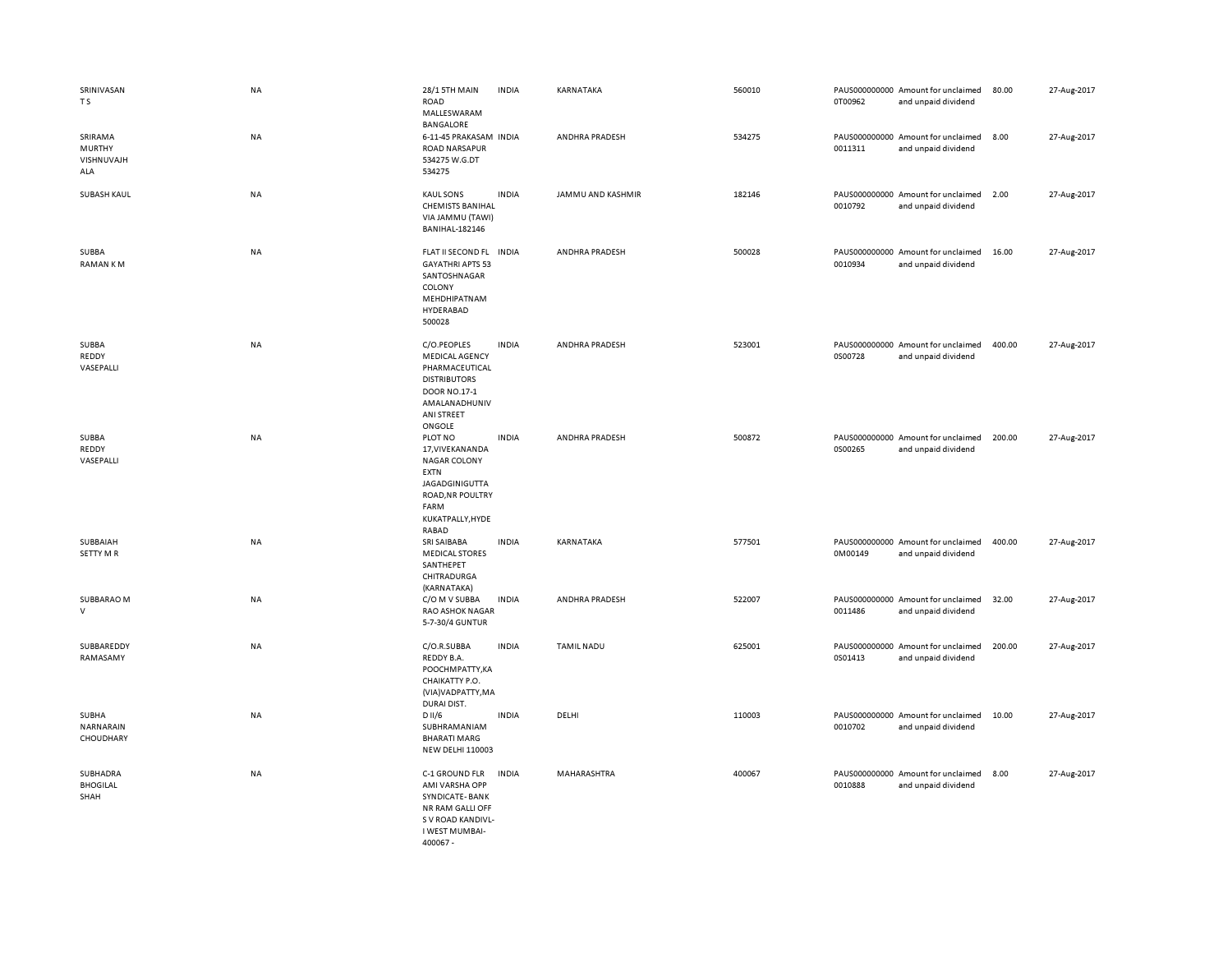| SRINIVASAN<br>T S                      | <b>NA</b> | 28/1 5TH MAIN<br>ROAD<br>MALLESWARAM<br><b>BANGALORE</b>                                                                                            | <b>INDIA</b> | KARNATAKA         | 560010 | 0T00962 | PAUS000000000 Amount for unclaimed<br>and unpaid dividend | 80.00  | 27-Aug-2017 |
|----------------------------------------|-----------|-----------------------------------------------------------------------------------------------------------------------------------------------------|--------------|-------------------|--------|---------|-----------------------------------------------------------|--------|-------------|
| SRIRAMA<br>MURTHY<br>VISHNUVAJH<br>ALA | NA        | 6-11-45 PRAKASAM INDIA<br><b>ROAD NARSAPUR</b><br>534275 W.G.DT<br>534275                                                                           |              | ANDHRA PRADESH    | 534275 | 0011311 | PAUS000000000 Amount for unclaimed<br>and unpaid dividend | 8.00   | 27-Aug-2017 |
| <b>SUBASH KAUL</b>                     | <b>NA</b> | <b>KAUL SONS</b><br><b>CHEMISTS BANIHAL</b><br>VIA JAMMU (TAWI)<br><b>BANIHAL-182146</b>                                                            | <b>INDIA</b> | JAMMU AND KASHMIR | 182146 | 0010792 | PAUS000000000 Amount for unclaimed<br>and unpaid dividend | 2.00   | 27-Aug-2017 |
| SUBBA<br>RAMAN KM                      | NA        | FLAT II SECOND FL<br><b>GAYATHRI APTS 53</b><br>SANTOSHNAGAR<br>COLONY<br>MEHDHIPATNAM<br><b>HYDERABAD</b><br>500028                                | <b>INDIA</b> | ANDHRA PRADESH    | 500028 | 0010934 | PAUS000000000 Amount for unclaimed<br>and unpaid dividend | 16.00  | 27-Aug-2017 |
| SUBBA<br>REDDY<br>VASEPALLI            | <b>NA</b> | C/O.PEOPLES<br><b>MEDICAL AGENCY</b><br>PHARMACEUTICAL<br><b>DISTRIBUTORS</b><br><b>DOOR NO.17-1</b><br>AMALANADHUNIV<br>ANI STREET<br>ONGOLE       | <b>INDIA</b> | ANDHRA PRADESH    | 523001 | 0S00728 | PAUS000000000 Amount for unclaimed<br>and unpaid dividend | 400.00 | 27-Aug-2017 |
| SUBBA<br>REDDY<br>VASEPALLI            | <b>NA</b> | PLOT NO<br>17, VIVE KANANDA<br><b>NAGAR COLONY</b><br><b>EXTN</b><br><b>JAGADGINIGUTTA</b><br>ROAD, NR POULTRY<br>FARM<br>KUKATPALLY, HYDE<br>RABAD | <b>INDIA</b> | ANDHRA PRADESH    | 500872 | 0S00265 | PAUS000000000 Amount for unclaimed<br>and unpaid dividend | 200.00 | 27-Aug-2017 |
| SUBBAIAH<br><b>SETTY MR</b>            | <b>NA</b> | SRI SAIBABA<br><b>MEDICAL STORES</b><br>SANTHEPET<br>CHITRADURGA<br>(KARNATAKA)                                                                     | <b>INDIA</b> | KARNATAKA         | 577501 | 0M00149 | PAUS000000000 Amount for unclaimed<br>and unpaid dividend | 400.00 | 27-Aug-2017 |
| SUBBARAO M<br>$\mathsf{V}$             | NA        | C/O M V SUBBA<br><b>RAO ASHOK NAGAR</b><br>5-7-30/4 GUNTUR                                                                                          | <b>INDIA</b> | ANDHRA PRADESH    | 522007 | 0011486 | PAUS000000000 Amount for unclaimed<br>and unpaid dividend | 32.00  | 27-Aug-2017 |
| SUBBAREDDY<br>RAMASAMY                 | NA        | C/O.R.SUBBA<br>REDDY B.A.<br>РООСНМРАТТҮ, КА<br>CHAIKATTY P.O.<br>(VIA) VADPATTY, MA<br>DURAI DIST.                                                 | <b>INDIA</b> | <b>TAMIL NADU</b> | 625001 | 0S01413 | PAUS000000000 Amount for unclaimed<br>and unpaid dividend | 200.00 | 27-Aug-2017 |
| SUBHA<br>NARNARAIN<br>CHOUDHARY        | NA        | D II/6<br>SUBHRAMANIAM<br><b>BHARATI MARG</b><br><b>NEW DELHI 110003</b>                                                                            | <b>INDIA</b> | DELHI             | 110003 | 0010702 | PAUS000000000 Amount for unclaimed<br>and unpaid dividend | 10.00  | 27-Aug-2017 |
| SUBHADRA<br><b>BHOGILAL</b><br>SHAH    | NA        | C-1 GROUND FLR<br>AMI VARSHA OPP<br>SYNDICATE-BANK<br>NR RAM GALLI OFF<br>S V ROAD KANDIVL-<br>I WEST MUMBAI-<br>400067 -                           | <b>INDIA</b> | MAHARASHTRA       | 400067 | 0010888 | PAUS000000000 Amount for unclaimed<br>and unpaid dividend | 8.00   | 27-Aug-2017 |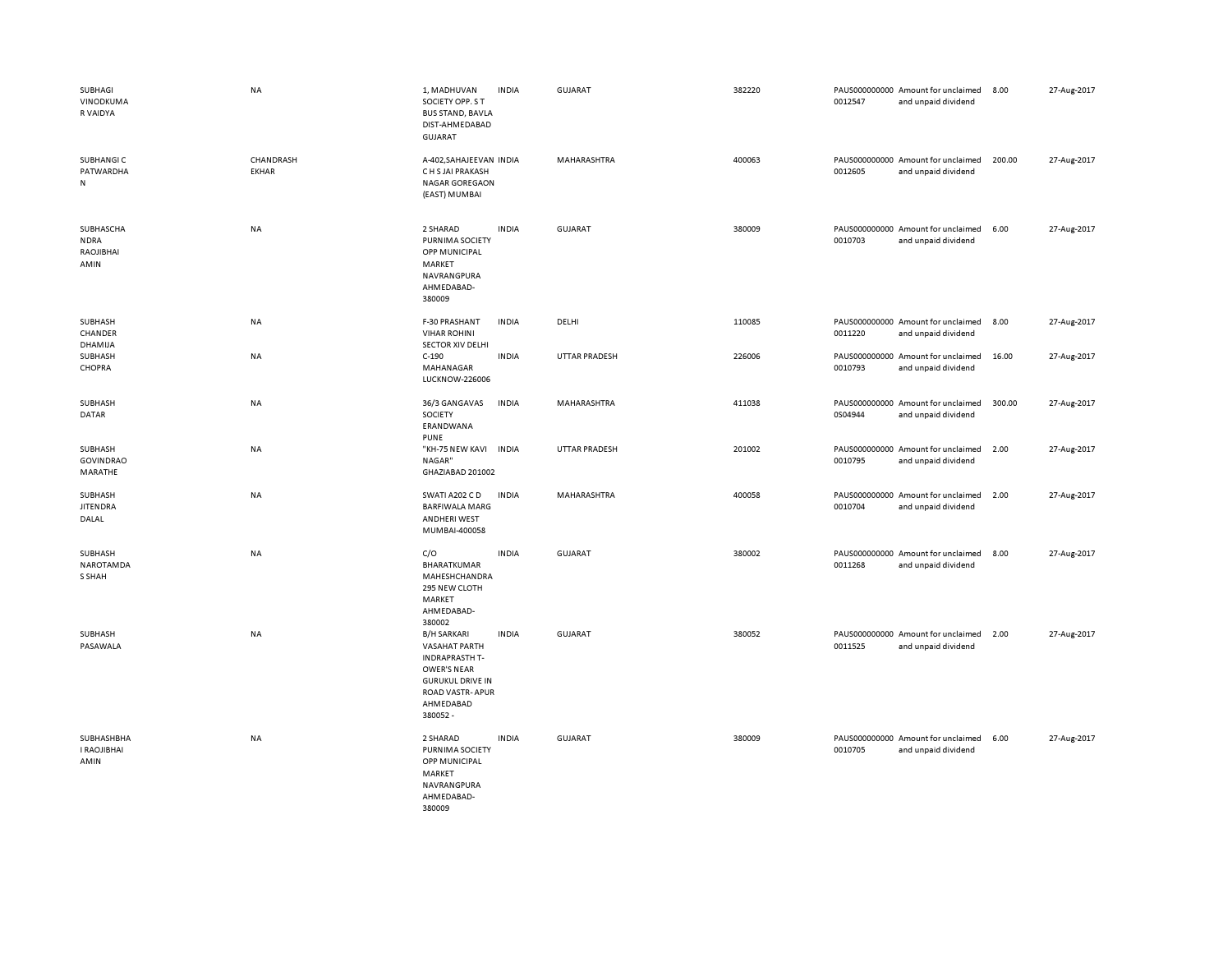| SUBHAGI<br>VINODKUMA<br>R VAIDYA              | <b>NA</b>                 | 1, MADHUVAN<br>SOCIETY OPP. S T<br><b>BUS STAND, BAVLA</b><br>DIST-AHMEDABAD<br><b>GUJARAT</b>                                                                   | <b>INDIA</b> | GUJARAT              | 382220 | 0012547 | PAUS000000000 Amount for unclaimed<br>and unpaid dividend | 8.00   | 27-Aug-2017 |
|-----------------------------------------------|---------------------------|------------------------------------------------------------------------------------------------------------------------------------------------------------------|--------------|----------------------|--------|---------|-----------------------------------------------------------|--------|-------------|
| SUBHANGI C<br>PATWARDHA<br>N                  | CHANDRASH<br><b>EKHAR</b> | A-402, SAHAJEEVAN INDIA<br>C H S JAI PRAKASH<br><b>NAGAR GOREGAON</b><br>(EAST) MUMBAI                                                                           |              | MAHARASHTRA          | 400063 | 0012605 | PAUS000000000 Amount for unclaimed<br>and unpaid dividend | 200.00 | 27-Aug-2017 |
| SUBHASCHA<br><b>NDRA</b><br>RAOJIBHAI<br>AMIN | NA                        | 2 SHARAD<br>PURNIMA SOCIETY<br>OPP MUNICIPAL<br>MARKET<br>NAVRANGPURA<br>AHMEDABAD-<br>380009                                                                    | <b>INDIA</b> | <b>GUJARAT</b>       | 380009 | 0010703 | PAUS000000000 Amount for unclaimed<br>and unpaid dividend | 6.00   | 27-Aug-2017 |
| SUBHASH<br>CHANDER<br>DHAMIJA                 | NA                        | F-30 PRASHANT<br><b>VIHAR ROHINI</b><br><b>SECTOR XIV DELHI</b>                                                                                                  | <b>INDIA</b> | DELHI                | 110085 | 0011220 | PAUS000000000 Amount for unclaimed<br>and unpaid dividend | 8.00   | 27-Aug-2017 |
| SUBHASH<br>CHOPRA                             | NA                        | $C-190$<br>MAHANAGAR<br><b>LUCKNOW-226006</b>                                                                                                                    | <b>INDIA</b> | <b>UTTAR PRADESH</b> | 226006 | 0010793 | PAUS000000000 Amount for unclaimed<br>and unpaid dividend | 16.00  | 27-Aug-2017 |
| SUBHASH<br><b>DATAR</b>                       | NA                        | 36/3 GANGAVAS<br>SOCIETY<br>ERANDWANA<br><b>PUNE</b>                                                                                                             | <b>INDIA</b> | MAHARASHTRA          | 411038 | 0S04944 | PAUS000000000 Amount for unclaimed<br>and unpaid dividend | 300.00 | 27-Aug-2017 |
| SUBHASH<br><b>GOVINDRAO</b><br>MARATHE        | NA                        | "KH-75 NEW KAVI<br>NAGAR"<br>GHAZIABAD 201002                                                                                                                    | <b>INDIA</b> | <b>UTTAR PRADESH</b> | 201002 | 0010795 | PAUS000000000 Amount for unclaimed<br>and unpaid dividend | 2.00   | 27-Aug-2017 |
| SUBHASH<br><b>JITENDRA</b><br>DALAL           | NA                        | SWATI A202 C D<br><b>BARFIWALA MARG</b><br><b>ANDHERI WEST</b><br>MUMBAI-400058                                                                                  | <b>INDIA</b> | MAHARASHTRA          | 400058 | 0010704 | PAUS000000000 Amount for unclaimed<br>and unpaid dividend | 2.00   | 27-Aug-2017 |
| SUBHASH<br>NAROTAMDA<br>S SHAH                | <b>NA</b>                 | C/O<br>BHARATKUMAR<br>MAHESHCHANDRA<br>295 NEW CLOTH<br>MARKET<br>AHMEDABAD-<br>380002                                                                           | <b>INDIA</b> | GUJARAT              | 380002 | 0011268 | PAUS000000000 Amount for unclaimed<br>and unpaid dividend | 8.00   | 27-Aug-2017 |
| SUBHASH<br>PASAWALA                           | NA                        | <b>B/H SARKARI</b><br>VASAHAT PARTH<br><b>INDRAPRASTH T-</b><br><b>OWER'S NEAR</b><br><b>GURUKUL DRIVE IN</b><br><b>ROAD VASTR-APUR</b><br>AHMEDABAD<br>380052 - | <b>INDIA</b> | GUJARAT              | 380052 | 0011525 | PAUS000000000 Amount for unclaimed<br>and unpaid dividend | 2.00   | 27-Aug-2017 |
| SUBHASHBHA<br>I RAOJIBHAI<br>AMIN             | <b>NA</b>                 | 2 SHARAD<br>PURNIMA SOCIETY<br>OPP MUNICIPAL<br>MARKET<br>NAVRANGPURA<br>AHMEDABAD-<br>380009                                                                    | <b>INDIA</b> | GUJARAT              | 380009 | 0010705 | PAUS000000000 Amount for unclaimed<br>and unpaid dividend | 6.00   | 27-Aug-2017 |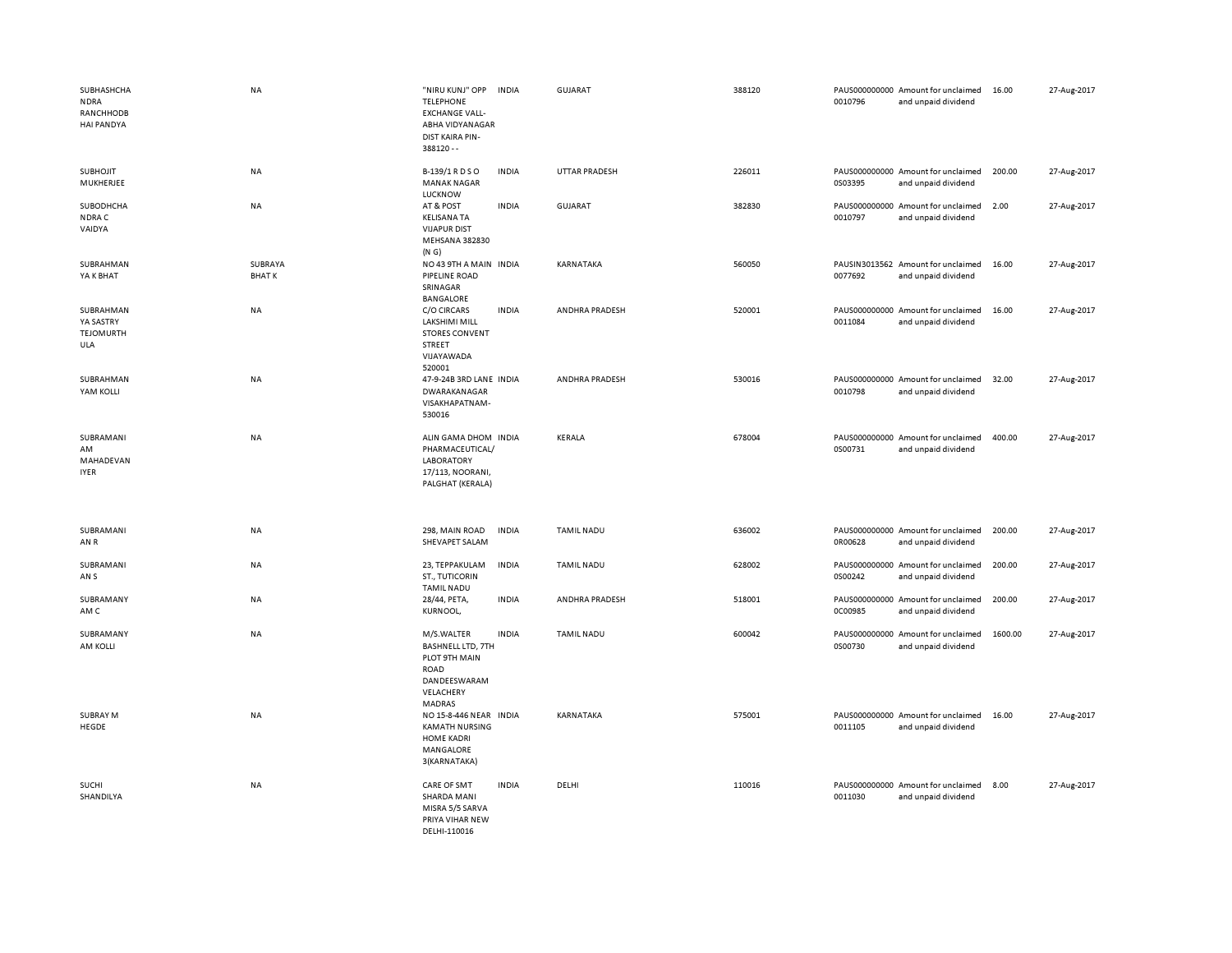| SUBHASHCHA<br><b>NDRA</b><br>RANCHHODB<br><b>HAI PANDYA</b> | <b>NA</b>               | "NIRU KUNJ" OPP<br><b>TELEPHONE</b><br><b>EXCHANGE VALL-</b><br>ABHA VIDYANAGAR<br><b>DIST KAIRA PIN-</b><br>$388120 - -$ | <b>INDIA</b> | <b>GUJARAT</b>       | 388120 | 0010796 | PAUS000000000 Amount for unclaimed<br>and unpaid dividend | 16.00   | 27-Aug-2017 |
|-------------------------------------------------------------|-------------------------|---------------------------------------------------------------------------------------------------------------------------|--------------|----------------------|--------|---------|-----------------------------------------------------------|---------|-------------|
| <b>SUBHOJIT</b><br>MUKHERJEE                                | NA                      | B-139/1 R D S O<br><b>MANAK NAGAR</b><br>LUCKNOW                                                                          | <b>INDIA</b> | <b>UTTAR PRADESH</b> | 226011 | 0S03395 | PAUS000000000 Amount for unclaimed<br>and unpaid dividend | 200.00  | 27-Aug-2017 |
| SUBODHCHA<br>NDRA C<br>VAIDYA                               | NA                      | AT & POST<br><b>KELISANA TA</b><br><b>VIJAPUR DIST</b><br><b>MEHSANA 382830</b><br>(N G)                                  | <b>INDIA</b> | <b>GUJARAT</b>       | 382830 | 0010797 | PAUS000000000 Amount for unclaimed<br>and unpaid dividend | 2.00    | 27-Aug-2017 |
| SUBRAHMAN<br>YA K BHAT                                      | SUBRAYA<br><b>BHATK</b> | NO 43 9TH A MAIN INDIA<br>PIPELINE ROAD<br>SRINAGAR<br>BANGALORE                                                          |              | KARNATAKA            | 560050 | 0077692 | PAUSIN3013562 Amount for unclaimed<br>and unpaid dividend | 16.00   | 27-Aug-2017 |
| SUBRAHMAN<br>YA SASTRY<br><b>TEJOMURTH</b><br>ULA           | <b>NA</b>               | C/O CIRCARS<br>LAKSHIMI MILL<br><b>STORES CONVENT</b><br><b>STREET</b><br>VIJAYAWADA<br>520001                            | <b>INDIA</b> | ANDHRA PRADESH       | 520001 | 0011084 | PAUS000000000 Amount for unclaimed<br>and unpaid dividend | 16.00   | 27-Aug-2017 |
| SUBRAHMAN<br>YAM KOLLI                                      | NA                      | 47-9-24B 3RD LANE INDIA<br>DWARAKANAGAR<br>VISAKHAPATNAM-<br>530016                                                       |              | ANDHRA PRADESH       | 530016 | 0010798 | PAUS000000000 Amount for unclaimed<br>and unpaid dividend | 32.00   | 27-Aug-2017 |
| SUBRAMANI<br>AM<br>MAHADEVAN<br><b>IYER</b>                 | NA                      | ALIN GAMA DHOM INDIA<br>PHARMACEUTICAL/<br>LABORATORY<br>17/113, NOORANI,<br>PALGHAT (KERALA)                             |              | KERALA               | 678004 | 0S00731 | PAUS000000000 Amount for unclaimed<br>and unpaid dividend | 400.00  | 27-Aug-2017 |
| SUBRAMANI<br>AN R                                           | NA                      | 298, MAIN ROAD<br>SHEVAPET SALAM                                                                                          | <b>INDIA</b> | <b>TAMIL NADU</b>    | 636002 | 0R00628 | PAUS000000000 Amount for unclaimed<br>and unpaid dividend | 200.00  | 27-Aug-2017 |
| SUBRAMANI<br>AN S                                           | NA                      | 23, TEPPAKULAM<br>ST., TUTICORIN<br><b>TAMIL NADU</b>                                                                     | <b>INDIA</b> | <b>TAMIL NADU</b>    | 628002 | 0S00242 | PAUS000000000 Amount for unclaimed<br>and unpaid dividend | 200.00  | 27-Aug-2017 |
| SUBRAMANY<br>AM C                                           | NA                      | 28/44, PETA,<br>KURNOOL,                                                                                                  | <b>INDIA</b> | ANDHRA PRADESH       | 518001 | 0C00985 | PAUS000000000 Amount for unclaimed<br>and unpaid dividend | 200.00  | 27-Aug-2017 |
| SUBRAMANY<br>AM KOLLI                                       | <b>NA</b>               | M/S.WALTER<br><b>BASHNELL LTD, 7TH</b><br>PLOT 9TH MAIN<br><b>ROAD</b><br>DANDEESWARAM<br>VELACHERY<br>MADRAS             | <b>INDIA</b> | <b>TAMIL NADU</b>    | 600042 | 0S00730 | PAUS000000000 Amount for unclaimed<br>and unpaid dividend | 1600.00 | 27-Aug-2017 |
| <b>SUBRAY M</b><br>HEGDE                                    | <b>NA</b>               | NO 15-8-446 NEAR INDIA<br><b>KAMATH NURSING</b><br><b>HOME KADRI</b><br>MANGALORE<br>3(KARNATAKA)                         |              | KARNATAKA            | 575001 | 0011105 | PAUS000000000 Amount for unclaimed<br>and unpaid dividend | 16.00   | 27-Aug-2017 |
| SUCHI<br>SHANDILYA                                          | NA                      | <b>CARE OF SMT</b><br>SHARDA MANI<br>MISRA 5/5 SARVA<br>PRIYA VIHAR NEW<br>DELHI-110016                                   | <b>INDIA</b> | DELHI                | 110016 | 0011030 | PAUS000000000 Amount for unclaimed<br>and unpaid dividend | 8.00    | 27-Aug-2017 |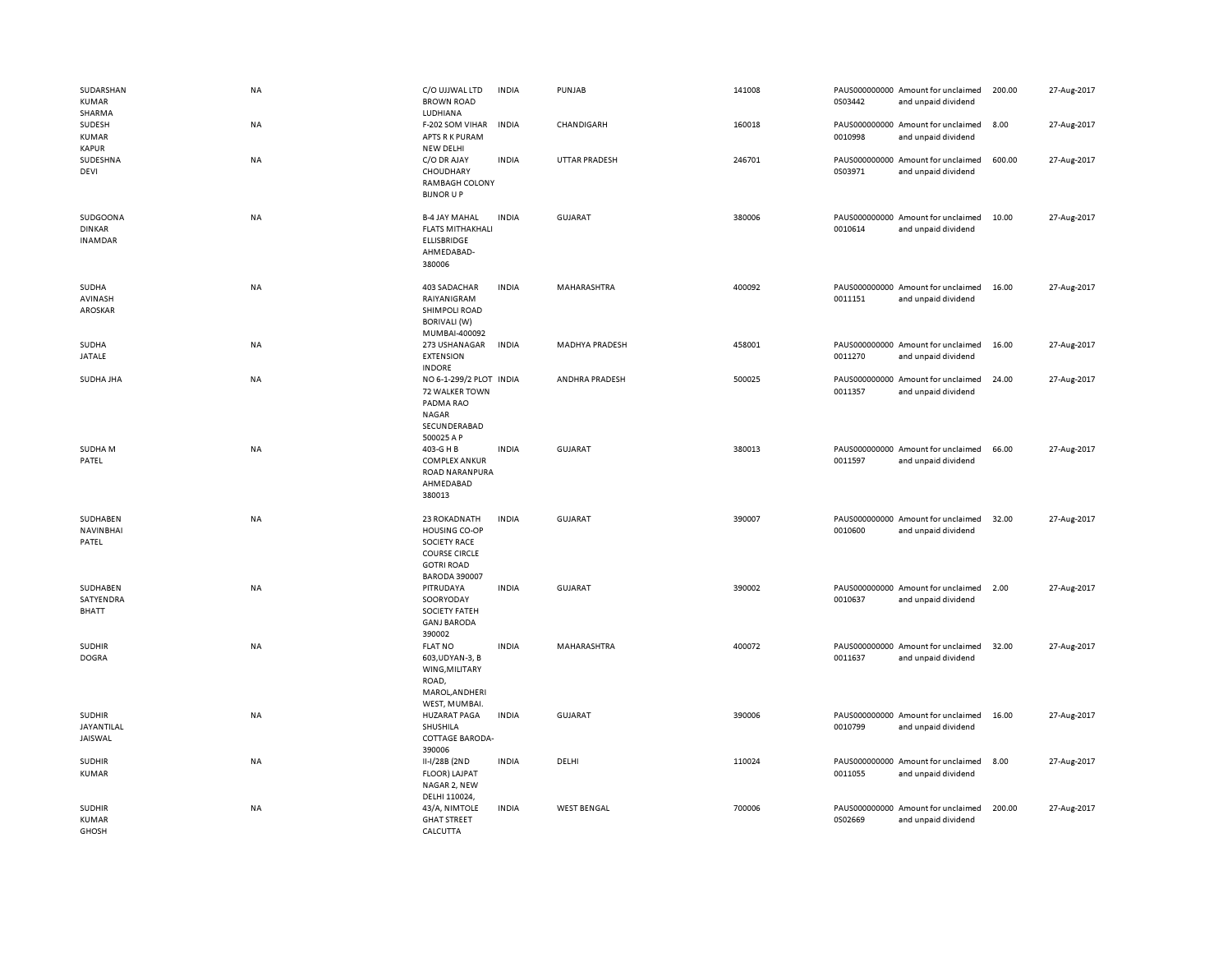| SUDARSHAN<br><b>KUMAR</b><br>SHARMA         | <b>NA</b> | C/O UJJWAL LTD<br><b>BROWN ROAD</b><br>LUDHIANA                                                                                  | <b>INDIA</b> | PUNJAB                | 141008 | 0S03442 | PAUS000000000 Amount for unclaimed<br>and unpaid dividend | 200.00 | 27-Aug-2017 |
|---------------------------------------------|-----------|----------------------------------------------------------------------------------------------------------------------------------|--------------|-----------------------|--------|---------|-----------------------------------------------------------|--------|-------------|
| SUDESH<br>KUMAR<br><b>KAPUR</b>             | <b>NA</b> | F-202 SOM VIHAR<br>APTS R K PURAM<br>NEW DELHI                                                                                   | <b>INDIA</b> | CHANDIGARH            | 160018 | 0010998 | PAUS000000000 Amount for unclaimed<br>and unpaid dividend | 8.00   | 27-Aug-2017 |
| SUDESHNA<br>DEVI                            | NA        | C/O DR AJAY<br>CHOUDHARY<br>RAMBAGH COLONY<br><b>BIJNOR U P</b>                                                                  | <b>INDIA</b> | <b>UTTAR PRADESH</b>  | 246701 | 0S03971 | PAUS000000000 Amount for unclaimed<br>and unpaid dividend | 600.00 | 27-Aug-2017 |
| SUDGOONA<br><b>DINKAR</b><br><b>INAMDAR</b> | NA        | <b>B-4 JAY MAHAL</b><br><b>FLATS MITHAKHALI</b><br>ELLISBRIDGE<br>AHMEDABAD-<br>380006                                           | <b>INDIA</b> | <b>GUJARAT</b>        | 380006 | 0010614 | PAUS000000000 Amount for unclaimed<br>and unpaid dividend | 10.00  | 27-Aug-2017 |
| SUDHA<br>AVINASH<br>AROSKAR                 | <b>NA</b> | 403 SADACHAR<br>RAIYANIGRAM<br>SHIMPOLI ROAD<br><b>BORIVALI (W)</b><br>MUMBAI-400092                                             | <b>INDIA</b> | MAHARASHTRA           | 400092 | 0011151 | PAUS000000000 Amount for unclaimed<br>and unpaid dividend | 16.00  | 27-Aug-2017 |
| SUDHA<br>JATALE                             | NA        | 273 USHANAGAR<br><b>EXTENSION</b><br><b>INDORE</b>                                                                               | <b>INDIA</b> | <b>MADHYA PRADESH</b> | 458001 | 0011270 | PAUS000000000 Amount for unclaimed<br>and unpaid dividend | 16.00  | 27-Aug-2017 |
| SUDHA JHA                                   | <b>NA</b> | NO 6-1-299/2 PLOT INDIA<br>72 WALKER TOWN<br>PADMA RAO<br>NAGAR<br>SECUNDERABAD<br>500025 A P                                    |              | ANDHRA PRADESH        | 500025 | 0011357 | PAUS000000000 Amount for unclaimed<br>and unpaid dividend | 24.00  | 27-Aug-2017 |
| SUDHA M<br>PATEL                            | NA        | 403-G H B<br><b>COMPLEX ANKUR</b><br>ROAD NARANPURA<br>AHMEDABAD<br>380013                                                       | <b>INDIA</b> | <b>GUJARAT</b>        | 380013 | 0011597 | PAUS000000000 Amount for unclaimed<br>and unpaid dividend | 66.00  | 27-Aug-2017 |
| SUDHABEN<br><b>NAVINBHAI</b><br>PATEL       | NA        | 23 ROKADNATH<br><b>HOUSING CO-OP</b><br><b>SOCIETY RACE</b><br><b>COURSE CIRCLE</b><br><b>GOTRI ROAD</b><br><b>BARODA 390007</b> | <b>INDIA</b> | <b>GUJARAT</b>        | 390007 | 0010600 | PAUS000000000 Amount for unclaimed<br>and unpaid dividend | 32.00  | 27-Aug-2017 |
| SUDHABEN<br>SATYENDRA<br>BHATT              | <b>NA</b> | PITRUDAYA<br>SOORYODAY<br><b>SOCIETY FATEH</b><br><b>GANJ BARODA</b><br>390002                                                   | <b>INDIA</b> | <b>GUJARAT</b>        | 390002 | 0010637 | PAUS000000000 Amount for unclaimed<br>and unpaid dividend | 2.00   | 27-Aug-2017 |
| <b>SUDHIR</b><br><b>DOGRA</b>               | <b>NA</b> | <b>FLAT NO</b><br>603, UDYAN-3, B<br>WING, MILITARY<br>ROAD,<br>MAROL, ANDHERI<br>WEST, MUMBAI.                                  | <b>INDIA</b> | MAHARASHTRA           | 400072 | 0011637 | PAUS000000000 Amount for unclaimed<br>and unpaid dividend | 32.00  | 27-Aug-2017 |
| <b>SUDHIR</b><br>JAYANTILAL<br>JAISWAL      | NA        | <b>HUZARAT PAGA</b><br>SHUSHILA<br>COTTAGE BARODA-<br>390006                                                                     | <b>INDIA</b> | <b>GUJARAT</b>        | 390006 | 0010799 | PAUS000000000 Amount for unclaimed<br>and unpaid dividend | 16.00  | 27-Aug-2017 |
| <b>SUDHIR</b><br><b>KUMAR</b>               | NA        | II-I/28B (2ND<br>FLOOR) LAJPAT<br>NAGAR 2, NEW<br>DELHI 110024,                                                                  | <b>INDIA</b> | DELHI                 | 110024 | 0011055 | PAUS000000000 Amount for unclaimed<br>and unpaid dividend | 8.00   | 27-Aug-2017 |
| <b>SUDHIR</b><br><b>KUMAR</b><br>GHOSH      | <b>NA</b> | 43/A, NIMTOLE<br><b>GHAT STREET</b><br>CALCUTTA                                                                                  | <b>INDIA</b> | <b>WEST BENGAL</b>    | 700006 | 0S02669 | PAUS000000000 Amount for unclaimed<br>and unpaid dividend | 200.00 | 27-Aug-2017 |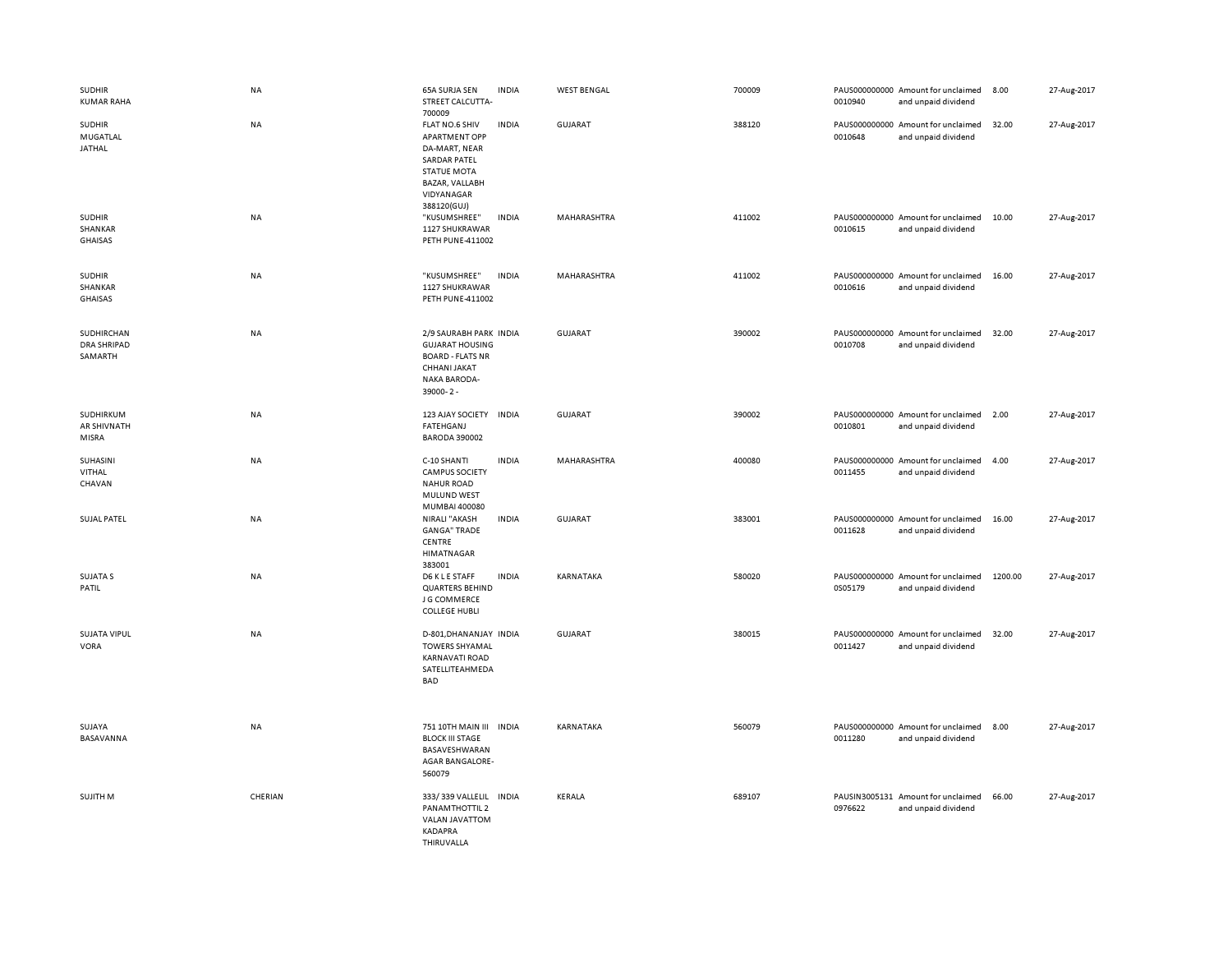| <b>SUDHIR</b><br><b>KUMAR RAHA</b>          | NA        | 65A SURJA SEN<br>STREET CALCUTTA-<br>700009                                                                                                         | <b>INDIA</b> | <b>WEST BENGAL</b> | 700009 | 0010940 | PAUS000000000 Amount for unclaimed<br>and unpaid dividend | 8.00    | 27-Aug-2017 |
|---------------------------------------------|-----------|-----------------------------------------------------------------------------------------------------------------------------------------------------|--------------|--------------------|--------|---------|-----------------------------------------------------------|---------|-------------|
| <b>SUDHIR</b><br>MUGATLAL<br>JATHAL         | NA        | FLAT NO.6 SHIV<br><b>APARTMENT OPP</b><br>DA-MART, NEAR<br><b>SARDAR PATEL</b><br><b>STATUE MOTA</b><br>BAZAR, VALLABH<br>VIDYANAGAR<br>388120(GUJ) | <b>INDIA</b> | <b>GUJARAT</b>     | 388120 | 0010648 | PAUS000000000 Amount for unclaimed<br>and unpaid dividend | 32.00   | 27-Aug-2017 |
| <b>SUDHIR</b><br>SHANKAR<br>GHAISAS         | NA        | "KUSUMSHREE"<br>1127 SHUKRAWAR<br><b>PETH PUNE-411002</b>                                                                                           | <b>INDIA</b> | MAHARASHTRA        | 411002 | 0010615 | PAUS000000000 Amount for unclaimed<br>and unpaid dividend | 10.00   | 27-Aug-2017 |
| <b>SUDHIR</b><br>SHANKAR<br><b>GHAISAS</b>  | NA        | "KUSUMSHREE"<br>1127 SHUKRAWAR<br><b>PETH PUNE-411002</b>                                                                                           | <b>INDIA</b> | MAHARASHTRA        | 411002 | 0010616 | PAUS000000000 Amount for unclaimed<br>and unpaid dividend | 16.00   | 27-Aug-2017 |
| SUDHIRCHAN<br><b>DRA SHRIPAD</b><br>SAMARTH | NA        | 2/9 SAURABH PARK INDIA<br><b>GUJARAT HOUSING</b><br><b>BOARD - FLATS NR</b><br>CHHANI JAKAT<br><b>NAKA BARODA-</b><br>39000-2-                      |              | GUJARAT            | 390002 | 0010708 | PAUS000000000 Amount for unclaimed<br>and unpaid dividend | 32.00   | 27-Aug-2017 |
| SUDHIRKUM<br>AR SHIVNATH<br>MISRA           | NA        | 123 AJAY SOCIETY<br>FATEHGANJ<br><b>BARODA 390002</b>                                                                                               | <b>INDIA</b> | <b>GUJARAT</b>     | 390002 | 0010801 | PAUS000000000 Amount for unclaimed<br>and unpaid dividend | 2.00    | 27-Aug-2017 |
| SUHASINI<br>VITHAL<br>CHAVAN                | NA        | C-10 SHANTI<br><b>CAMPUS SOCIETY</b><br><b>NAHUR ROAD</b><br>MULUND WEST<br>MUMBAI 400080                                                           | <b>INDIA</b> | MAHARASHTRA        | 400080 | 0011455 | PAUS000000000 Amount for unclaimed<br>and unpaid dividend | 4.00    | 27-Aug-2017 |
| <b>SUJAL PATEL</b>                          | <b>NA</b> | NIRALI "AKASH<br><b>GANGA" TRADE</b><br>CENTRE<br><b>HIMATNAGAR</b><br>383001                                                                       | <b>INDIA</b> | GUJARAT            | 383001 | 0011628 | PAUS000000000 Amount for unclaimed<br>and unpaid dividend | 16.00   | 27-Aug-2017 |
| <b>SUJATA S</b><br>PATIL                    | NA        | D6 K L E STAFF<br><b>QUARTERS BEHIND</b><br>J G COMMERCE<br><b>COLLEGE HUBLI</b>                                                                    | <b>INDIA</b> | KARNATAKA          | 580020 | 0S05179 | PAUS000000000 Amount for unclaimed<br>and unpaid dividend | 1200.00 | 27-Aug-2017 |
| SUJATA VIPUL<br>VORA                        | NA        | D-801, DHANANJAY INDIA<br><b>TOWERS SHYAMAL</b><br><b>KARNAVATI ROAD</b><br>SATELLITEAHMEDA<br><b>BAD</b>                                           |              | <b>GUJARAT</b>     | 380015 | 0011427 | PAUS000000000 Amount for unclaimed<br>and unpaid dividend | 32.00   | 27-Aug-2017 |
| SUJAYA<br>BASAVANNA                         | NA        | 751 10TH MAIN III INDIA<br><b>BLOCK III STAGE</b><br>BASAVESHWARAN<br><b>AGAR BANGALORE-</b><br>560079                                              |              | KARNATAKA          | 560079 | 0011280 | PAUS000000000 Amount for unclaimed<br>and unpaid dividend | 8.00    | 27-Aug-2017 |
| SUJITH M                                    | CHERIAN   | 333/339 VALLELIL<br>PANAMTHOTTIL 2<br>VALAN JAVATTOM<br>KADAPRA<br>THIRUVALLA                                                                       | <b>INDIA</b> | KERALA             | 689107 | 0976622 | PAUSIN3005131 Amount for unclaimed<br>and unpaid dividend | 66.00   | 27-Aug-2017 |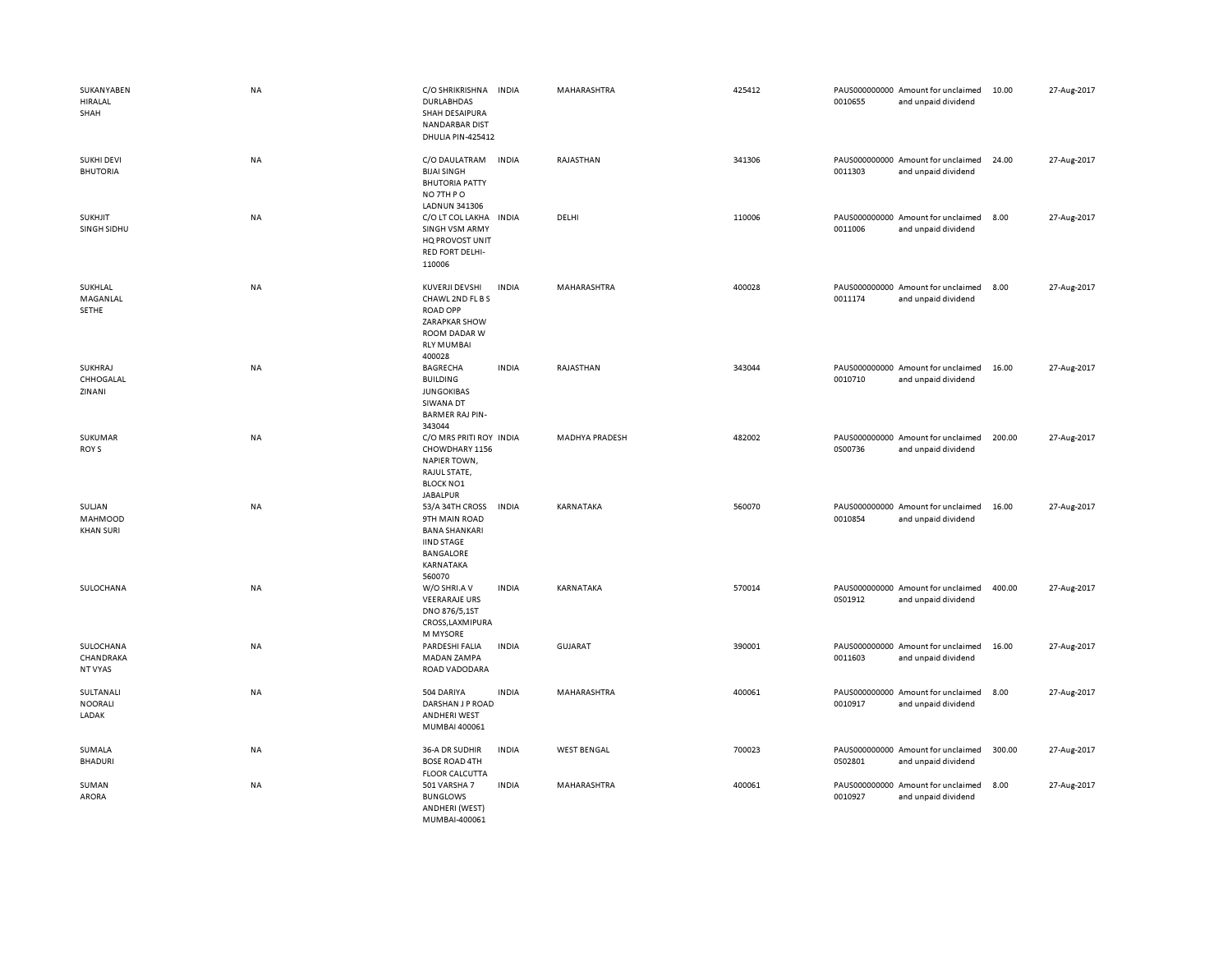| SUKANYABEN<br><b>HIRALAL</b><br>SHAH  | NA        | C/O SHRIKRISHNA<br><b>DURLABHDAS</b><br>SHAH DESAIPURA<br><b>NANDARBAR DIST</b><br>DHULIA PIN-425412                     | <b>INDIA</b> | MAHARASHTRA           | 425412 | 0010655 | PAUS000000000 Amount for unclaimed<br>and unpaid dividend | 10.00  | 27-Aug-2017 |
|---------------------------------------|-----------|--------------------------------------------------------------------------------------------------------------------------|--------------|-----------------------|--------|---------|-----------------------------------------------------------|--------|-------------|
| <b>SUKHI DEVI</b><br><b>BHUTORIA</b>  | NA        | C/O DAULATRAM<br><b>BIJAI SINGH</b><br><b>BHUTORIA PATTY</b><br>NO 7TH PO                                                | <b>INDIA</b> | RAJASTHAN             | 341306 | 0011303 | PAUS000000000 Amount for unclaimed<br>and unpaid dividend | 24.00  | 27-Aug-2017 |
| <b>SUKHJIT</b><br>SINGH SIDHU         | NA        | <b>LADNUN 341306</b><br>C/O LT COL LAKHA<br><b>SINGH VSM ARMY</b><br>HQ PROVOST UNIT<br><b>RED FORT DELHI-</b><br>110006 | INDIA        | DELHI                 | 110006 | 0011006 | PAUS000000000 Amount for unclaimed<br>and unpaid dividend | 8.00   | 27-Aug-2017 |
| SUKHLAL<br>MAGANLAL<br><b>SETHE</b>   | NA        | KUVERJI DEVSHI<br>CHAWL 2ND FL B S<br><b>ROAD OPP</b><br>ZARAPKAR SHOW<br>ROOM DADAR W<br><b>RLY MUMBAI</b><br>400028    | <b>INDIA</b> | MAHARASHTRA           | 400028 | 0011174 | PAUS000000000 Amount for unclaimed<br>and unpaid dividend | 8.00   | 27-Aug-2017 |
| SUKHRAJ<br>CHHOGALAL<br>ZINANI        | <b>NA</b> | <b>BAGRECHA</b><br><b>BUILDING</b><br><b>JUNGOKIBAS</b><br>SIWANA DT<br><b>BARMER RAJ PIN-</b><br>343044                 | <b>INDIA</b> | RAJASTHAN             | 343044 | 0010710 | PAUS000000000 Amount for unclaimed<br>and unpaid dividend | 16.00  | 27-Aug-2017 |
| SUKUMAR<br>ROY S                      | NA        | C/O MRS PRITI ROY INDIA<br>CHOWDHARY 1156<br><b>NAPIER TOWN,</b><br>RAJUL STATE,<br><b>BLOCK NO1</b><br><b>JABALPUR</b>  |              | <b>MADHYA PRADESH</b> | 482002 | 0S00736 | PAUS000000000 Amount for unclaimed<br>and unpaid dividend | 200.00 | 27-Aug-2017 |
| SULJAN<br>MAHMOOD<br><b>KHAN SURI</b> | NA        | 53/A 34TH CROSS<br>9TH MAIN ROAD<br><b>BANA SHANKARI</b><br><b>IIND STAGE</b><br>BANGALORE<br>KARNATAKA<br>560070        | <b>INDIA</b> | KARNATAKA             | 560070 | 0010854 | PAUS000000000 Amount for unclaimed<br>and unpaid dividend | 16.00  | 27-Aug-2017 |
| SULOCHANA                             | NA        | W/O SHRI.A V<br><b>VEERARAJE URS</b><br>DNO 876/5,1ST<br>CROSS, LAXMIPURA<br><b>M MYSORE</b>                             | <b>INDIA</b> | KARNATAKA             | 570014 | 0S01912 | PAUS000000000 Amount for unclaimed<br>and unpaid dividend | 400.00 | 27-Aug-2017 |
| SULOCHANA<br>CHANDRAKA<br>NT VYAS     | NA        | PARDESHI FALIA<br>MADAN ZAMPA<br>ROAD VADODARA                                                                           | <b>INDIA</b> | <b>GUJARAT</b>        | 390001 | 0011603 | PAUS000000000 Amount for unclaimed<br>and unpaid dividend | 16.00  | 27-Aug-2017 |
| SULTANALI<br><b>NOORALI</b><br>LADAK  | NA        | 504 DARIYA<br>DARSHAN J P ROAD<br><b>ANDHERI WEST</b><br>MUMBAI 400061                                                   | <b>INDIA</b> | MAHARASHTRA           | 400061 | 0010917 | PAUS000000000 Amount for unclaimed<br>and unpaid dividend | 8.00   | 27-Aug-2017 |
| SUMALA<br><b>BHADURI</b>              | NA        | 36-A DR SUDHIR<br><b>BOSE ROAD 4TH</b><br><b>FLOOR CALCUTTA</b>                                                          | <b>INDIA</b> | <b>WEST BENGAL</b>    | 700023 | 0S02801 | PAUS000000000 Amount for unclaimed<br>and unpaid dividend | 300.00 | 27-Aug-2017 |
| SUMAN<br>ARORA                        | NA        | 501 VARSHA 7<br><b>BUNGLOWS</b><br>ANDHERI (WEST)<br>MUMBAL400061                                                        | <b>INDIA</b> | MAHARASHTRA           | 400061 | 0010927 | PAUS000000000 Amount for unclaimed<br>and unpaid dividend | 8.00   | 27-Aug-2017 |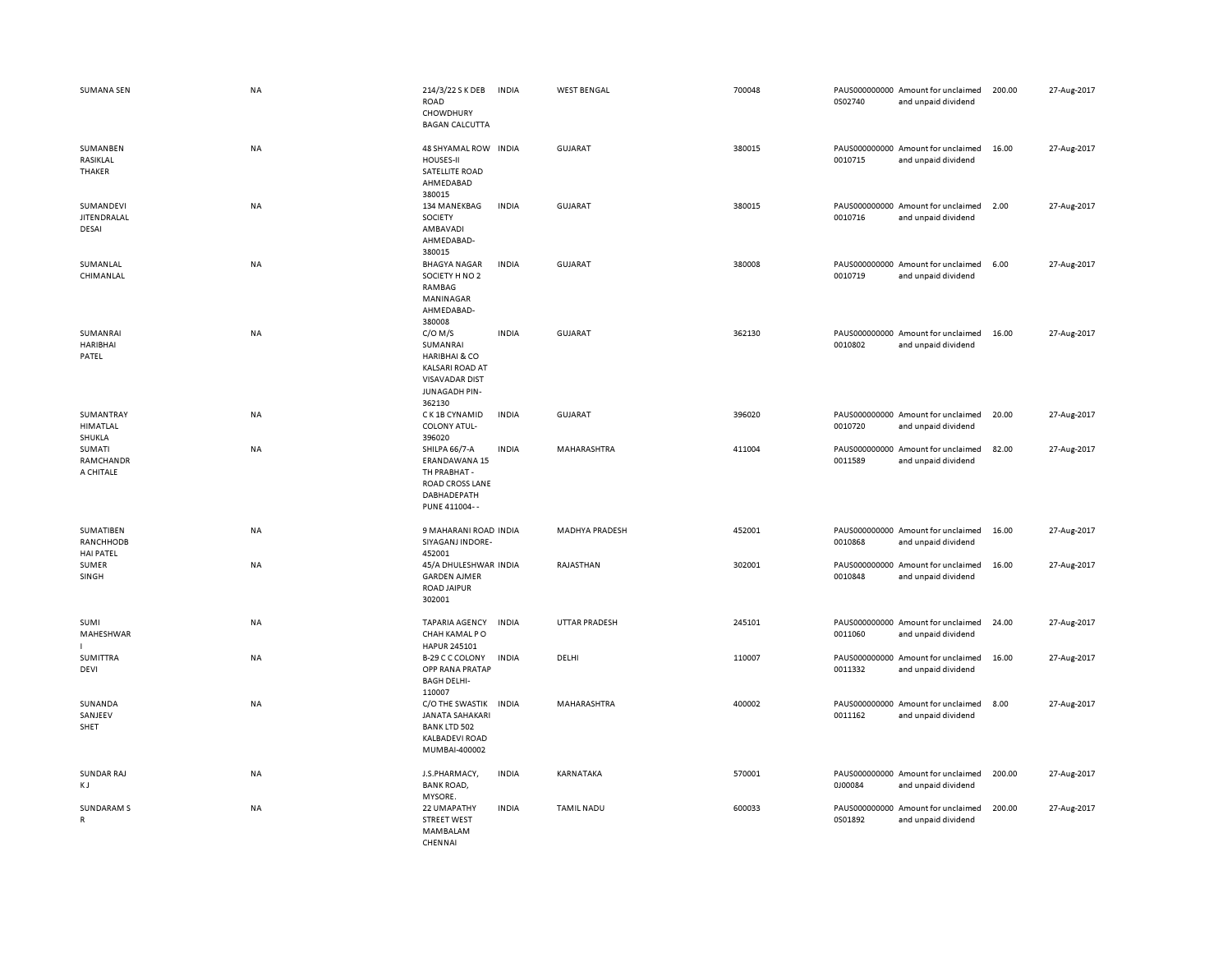| <b>SUMANA SEN</b>                          | <b>NA</b> | 214/3/22 S K DEB<br>ROAD<br>CHOWDHURY<br><b>BAGAN CALCUTTA</b>                                                                  | <b>INDIA</b> | <b>WEST BENGAL</b>    | 700048 | 0S02740 | PAUS000000000 Amount for unclaimed<br>and unpaid dividend | 200.00 | 27-Aug-2017 |
|--------------------------------------------|-----------|---------------------------------------------------------------------------------------------------------------------------------|--------------|-----------------------|--------|---------|-----------------------------------------------------------|--------|-------------|
| SUMANBEN<br>RASIKLAL<br>THAKER             | <b>NA</b> | 48 SHYAMAL ROW INDIA<br><b>HOUSES-II</b><br>SATELLITE ROAD<br>AHMEDABAD<br>380015                                               |              | GUJARAT               | 380015 | 0010715 | PAUS000000000 Amount for unclaimed<br>and unpaid dividend | 16.00  | 27-Aug-2017 |
| SUMANDEVI<br><b>JITEN DRALAL</b><br>DESAI  | <b>NA</b> | 134 MANEKBAG<br>SOCIETY<br>AMBAVADI<br>AHMEDABAD-<br>380015                                                                     | <b>INDIA</b> | <b>GUJARAT</b>        | 380015 | 0010716 | PAUS000000000 Amount for unclaimed<br>and unpaid dividend | 2.00   | 27-Aug-2017 |
| SUMANLAL<br>CHIMANLAL                      | <b>NA</b> | <b>BHAGYA NAGAR</b><br>SOCIETY H NO 2<br>RAMBAG<br>MANINAGAR<br>AHMEDABAD-<br>380008                                            | <b>INDIA</b> | <b>GUJARAT</b>        | 380008 | 0010719 | PAUS000000000 Amount for unclaimed<br>and unpaid dividend | 6.00   | 27-Aug-2017 |
| SUMANRAI<br><b>HARIBHAI</b><br>PATEL       | <b>NA</b> | $C/O$ M/S<br>SUMANRAI<br><b>HARIBHAI &amp; CO</b><br><b>KALSARI ROAD AT</b><br><b>VISAVADAR DIST</b><br>JUNAGADH PIN-<br>362130 | <b>INDIA</b> | GUJARAT               | 362130 | 0010802 | PAUS000000000 Amount for unclaimed<br>and unpaid dividend | 16.00  | 27-Aug-2017 |
| SUMANTRAY<br>HIMATLAL<br>SHUKLA            | NA        | C K 1B CYNAMID<br>COLONY ATUL-<br>396020                                                                                        | <b>INDIA</b> | <b>GUJARAT</b>        | 396020 | 0010720 | PAUS000000000 Amount for unclaimed<br>and unpaid dividend | 20.00  | 27-Aug-2017 |
| SUMATI<br>RAMCHANDR<br>A CHITALE           | NA        | SHILPA 66/7-A<br>ERANDAWANA 15<br>TH PRABHAT -<br>ROAD CROSS LANE<br>DABHADEPATH<br>PUNE 411004--                               | <b>INDIA</b> | MAHARASHTRA           | 411004 | 0011589 | PAUS000000000 Amount for unclaimed<br>and unpaid dividend | 82.00  | 27-Aug-2017 |
| SUMATIBEN<br>RANCHHODB<br><b>HAI PATEL</b> | <b>NA</b> | 9 MAHARANI ROAD INDIA<br>SIYAGANJ INDORE-<br>452001                                                                             |              | <b>MADHYA PRADESH</b> | 452001 | 0010868 | PAUS000000000 Amount for unclaimed<br>and unpaid dividend | 16.00  | 27-Aug-2017 |
| SUMER<br>SINGH                             | NA        | 45/A DHULESHWAR INDIA<br><b>GARDEN AJMER</b><br><b>ROAD JAIPUR</b><br>302001                                                    |              | RAJASTHAN             | 302001 | 0010848 | PAUS000000000 Amount for unclaimed<br>and unpaid dividend | 16.00  | 27-Aug-2017 |
| SUMI<br>MAHESHWAR                          | NA        | <b>TAPARIA AGENCY</b><br>CHAH KAMAL PO<br>HAPUR 245101                                                                          | <b>INDIA</b> | <b>UTTAR PRADESH</b>  | 245101 | 0011060 | PAUS000000000 Amount for unclaimed<br>and unpaid dividend | 24.00  | 27-Aug-2017 |
| SUMITTRA<br>DEVI                           | NA        | B-29 C C COLONY<br>OPP RANA PRATAP<br><b>BAGH DELHI-</b><br>110007                                                              | <b>INDIA</b> | DELHI                 | 110007 | 0011332 | PAUS000000000 Amount for unclaimed<br>and unpaid dividend | 16.00  | 27-Aug-2017 |
| SUNANDA<br>SANJEEV<br>SHET                 | <b>NA</b> | C/O THE SWASTIK<br><b>JANATA SAHAKARI</b><br><b>BANK LTD 502</b><br><b>KALBADEVI ROAD</b><br>MUMBAI-400002                      | <b>INDIA</b> | <b>MAHARASHTRA</b>    | 400002 | 0011162 | PAUS000000000 Amount for unclaimed<br>and unpaid dividend | 8.00   | 27-Aug-2017 |
| <b>SUNDAR RAJ</b><br>K J                   | NA        | J.S.PHARMACY,<br><b>BANK ROAD,</b><br>MYSORE.                                                                                   | <b>INDIA</b> | KARNATAKA             | 570001 | 0J00084 | PAUS000000000 Amount for unclaimed<br>and unpaid dividend | 200.00 | 27-Aug-2017 |
| <b>SUNDARAM S</b><br>R                     | NA        | 22 UMAPATHY<br><b>STREET WEST</b><br>MAMBALAM<br>CHENNAI                                                                        | <b>INDIA</b> | <b>TAMIL NADU</b>     | 600033 | 0S01892 | PAUS000000000 Amount for unclaimed<br>and unpaid dividend | 200.00 | 27-Aug-2017 |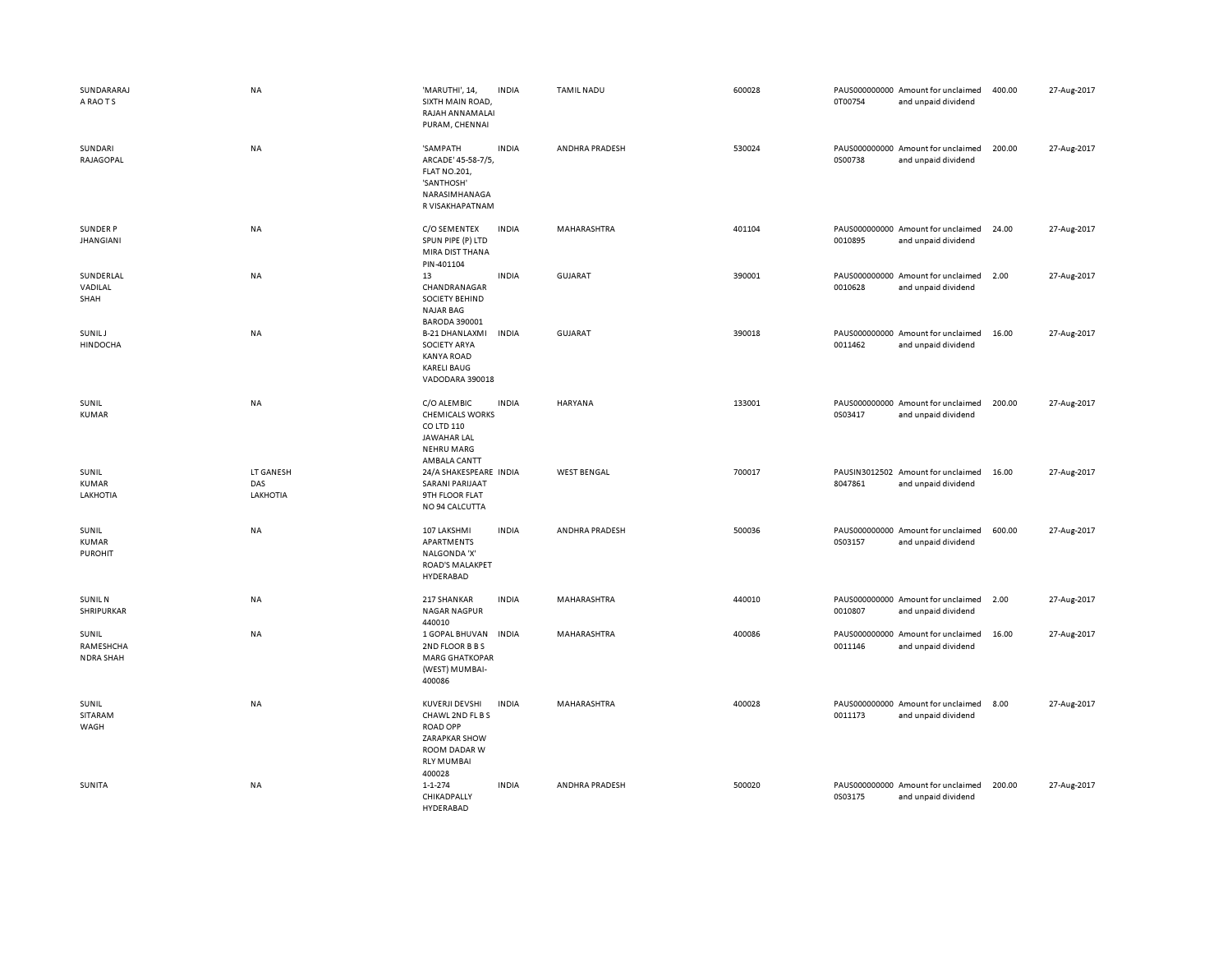| SUNDARARAJ<br>A RAO T S                 | <b>NA</b>                    | 'MARUTHI', 14,<br>SIXTH MAIN ROAD,<br>RAJAH ANNAMALAI<br>PURAM, CHENNAI                                                      | <b>INDIA</b> | <b>TAMIL NADU</b>     | 600028 | 0T00754 | PAUS000000000 Amount for unclaimed<br>and unpaid dividend | 400.00 | 27-Aug-2017 |
|-----------------------------------------|------------------------------|------------------------------------------------------------------------------------------------------------------------------|--------------|-----------------------|--------|---------|-----------------------------------------------------------|--------|-------------|
| SUNDARI<br>RAJAGOPAL                    | <b>NA</b>                    | 'SAMPATH<br>ARCADE' 45-58-7/5,<br><b>FLAT NO.201,</b><br>'SANTHOSH'<br>NARASIMHANAGA<br>R VISAKHAPATNAM                      | <b>INDIA</b> | <b>ANDHRA PRADESH</b> | 530024 | 0S00738 | PAUS000000000 Amount for unclaimed<br>and unpaid dividend | 200.00 | 27-Aug-2017 |
| <b>SUNDER P</b><br><b>JHANGIANI</b>     | <b>NA</b>                    | C/O SEMENTEX<br>SPUN PIPE (P) LTD<br>MIRA DIST THANA<br>PIN-401104                                                           | <b>INDIA</b> | MAHARASHTRA           | 401104 | 0010895 | PAUS000000000 Amount for unclaimed<br>and unpaid dividend | 24.00  | 27-Aug-2017 |
| SUNDERLAL<br>VADILAL<br>SHAH            | NA                           | 13<br>CHANDRANAGAR<br><b>SOCIETY BEHIND</b><br><b>NAJAR BAG</b><br><b>BARODA 390001</b>                                      | <b>INDIA</b> | <b>GUJARAT</b>        | 390001 | 0010628 | PAUS000000000 Amount for unclaimed<br>and unpaid dividend | 2.00   | 27-Aug-2017 |
| <b>SUNILJ</b><br><b>HINDOCHA</b>        | NA                           | <b>B-21 DHANLAXMI</b><br><b>SOCIETY ARYA</b><br><b>KANYA ROAD</b><br><b>KARELI BAUG</b><br>VADODARA 390018                   | <b>INDIA</b> | GUJARAT               | 390018 | 0011462 | PAUS000000000 Amount for unclaimed<br>and unpaid dividend | 16.00  | 27-Aug-2017 |
| SUNIL<br><b>KUMAR</b>                   | <b>NA</b>                    | C/O ALEMBIC<br><b>CHEMICALS WORKS</b><br>CO LTD 110<br><b>JAWAHAR LAL</b><br><b>NEHRU MARG</b><br>AMBALA CANTT               | <b>INDIA</b> | <b>HARYANA</b>        | 133001 | 0S03417 | PAUS000000000 Amount for unclaimed<br>and unpaid dividend | 200.00 | 27-Aug-2017 |
| SUNIL<br><b>KUMAR</b><br>LAKHOTIA       | LT GANESH<br>DAS<br>LAKHOTIA | 24/A SHAKESPEARE INDIA<br><b>SARANI PARIJAAT</b><br>9TH FLOOR FLAT<br>NO 94 CALCUTTA                                         |              | <b>WEST BENGAL</b>    | 700017 | 8047861 | PAUSIN3012502 Amount for unclaimed<br>and unpaid dividend | 16.00  | 27-Aug-2017 |
| SUNIL<br><b>KUMAR</b><br><b>PUROHIT</b> | NA                           | 107 LAKSHMI<br>APARTMENTS<br>NALGONDA 'X'<br><b>ROAD'S MALAKPET</b><br>HYDERABAD                                             | <b>INDIA</b> | ANDHRA PRADESH        | 500036 | 0S03157 | PAUS000000000 Amount for unclaimed<br>and unpaid dividend | 600.00 | 27-Aug-2017 |
| <b>SUNIL N</b><br>SHRIPURKAR            | NA                           | 217 SHANKAR<br><b>NAGAR NAGPUR</b><br>440010                                                                                 | <b>INDIA</b> | MAHARASHTRA           | 440010 | 0010807 | PAUS000000000 Amount for unclaimed<br>and unpaid dividend | 2.00   | 27-Aug-2017 |
| SUNIL<br>RAMESHCHA<br><b>NDRA SHAH</b>  | <b>NA</b>                    | 1 GOPAL BHUVAN<br>2ND FLOOR B B S<br><b>MARG GHATKOPAR</b><br>(WEST) MUMBAI-<br>400086                                       | <b>INDIA</b> | MAHARASHTRA           | 400086 | 0011146 | PAUS000000000 Amount for unclaimed<br>and unpaid dividend | 16.00  | 27-Aug-2017 |
| SUNIL<br>SITARAM<br>WAGH                | NA                           | KUVERJI DEVSHI<br>CHAWL 2ND FL B S<br><b>ROAD OPP</b><br><b>ZARAPKAR SHOW</b><br>ROOM DADAR W<br><b>RLY MUMBAI</b><br>400028 | <b>INDIA</b> | MAHARASHTRA           | 400028 | 0011173 | PAUS000000000 Amount for unclaimed<br>and unpaid dividend | 8.00   | 27-Aug-2017 |
| SUNITA                                  | NA                           | $1 - 1 - 274$<br>CHIKADPALLY<br><b>HYDERABAD</b>                                                                             | <b>INDIA</b> | ANDHRA PRADESH        | 500020 | 0S03175 | PAUS000000000 Amount for unclaimed<br>and unpaid dividend | 200.00 | 27-Aug-2017 |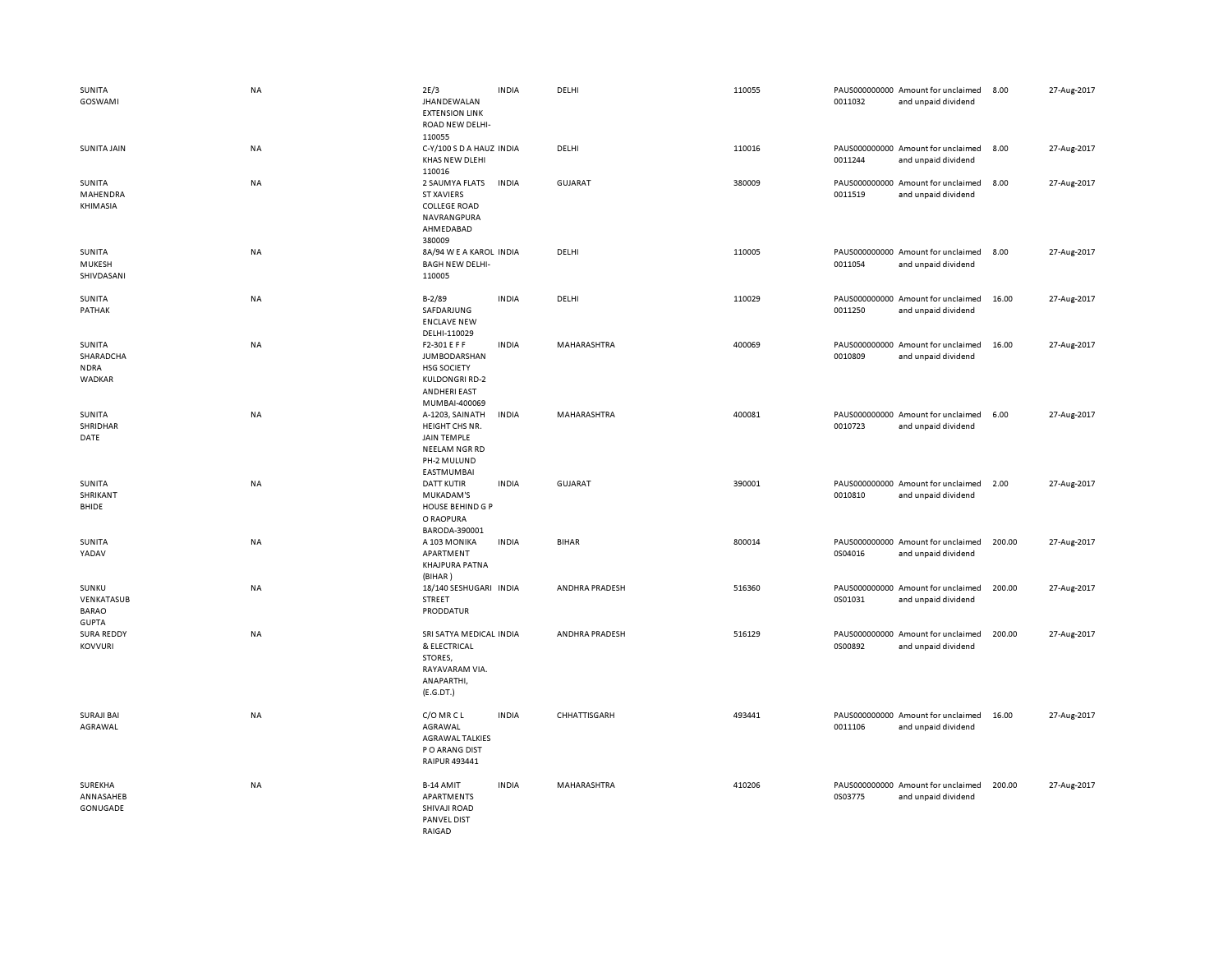| SUNITA<br>GOSWAMI                                   | <b>NA</b> | 2E/3<br><b>JHANDEWALAN</b><br><b>EXTENSION LINK</b><br>ROAD NEW DELHI-                                              | <b>INDIA</b> | DELHI          | 110055 | 0011032 | PAUS000000000 Amount for unclaimed<br>and unpaid dividend | 8.00   | 27-Aug-2017 |
|-----------------------------------------------------|-----------|---------------------------------------------------------------------------------------------------------------------|--------------|----------------|--------|---------|-----------------------------------------------------------|--------|-------------|
| SUNITA JAIN                                         | <b>NA</b> | 110055<br>C-Y/100 S D A HAUZ INDIA<br>KHAS NEW DLEHI<br>110016                                                      |              | DELHI          | 110016 | 0011244 | PAUS000000000 Amount for unclaimed<br>and unpaid dividend | 8.00   | 27-Aug-2017 |
| SUNITA<br>MAHENDRA<br>KHIMASIA                      | NA        | 2 SAUMYA FLATS<br><b>ST XAVIERS</b><br><b>COLLEGE ROAD</b><br>NAVRANGPURA<br>AHMEDABAD<br>380009                    | <b>INDIA</b> | <b>GUJARAT</b> | 380009 | 0011519 | PAUS000000000 Amount for unclaimed<br>and unpaid dividend | 8.00   | 27-Aug-2017 |
| SUNITA<br>MUKESH<br>SHIVDASANI                      | NA        | 8A/94 W E A KAROL INDIA<br><b>BAGH NEW DELHI-</b><br>110005                                                         |              | DELHI          | 110005 | 0011054 | PAUS000000000 Amount for unclaimed<br>and unpaid dividend | 8.00   | 27-Aug-2017 |
| SUNITA<br>PATHAK                                    | NA        | $B - 2/89$<br>SAFDARJUNG<br><b>ENCLAVE NEW</b><br>DELHI-110029                                                      | <b>INDIA</b> | DELHI          | 110029 | 0011250 | PAUS000000000 Amount for unclaimed<br>and unpaid dividend | 16.00  | 27-Aug-2017 |
| SUNITA<br>SHARADCHA<br><b>NDRA</b><br>WADKAR        | NA        | F2-301 E F F<br><b>JUMBODARSHAN</b><br><b>HSG SOCIETY</b><br><b>KULDONGRI RD-2</b><br>ANDHERI EAST<br>MUMBAI-400069 | <b>INDIA</b> | MAHARASHTRA    | 400069 | 0010809 | PAUS000000000 Amount for unclaimed<br>and unpaid dividend | 16.00  | 27-Aug-2017 |
| SUNITA<br>SHRIDHAR<br>DATE                          | <b>NA</b> | A-1203, SAINATH<br>HEIGHT CHS NR.<br>JAIN TEMPLE<br>NEELAM NGR RD<br>PH-2 MULUND<br>EASTMUMBAI                      | <b>INDIA</b> | MAHARASHTRA    | 400081 | 0010723 | PAUS000000000 Amount for unclaimed<br>and unpaid dividend | 6.00   | 27-Aug-2017 |
| SUNITA<br>SHRIKANT<br>BHIDE                         | NA        | <b>DATT KUTIR</b><br>MUKADAM'S<br><b>HOUSE BEHIND G P</b><br>O RAOPURA<br>BARODA-390001                             | <b>INDIA</b> | <b>GUJARAT</b> | 390001 | 0010810 | PAUS000000000 Amount for unclaimed<br>and unpaid dividend | 2.00   | 27-Aug-2017 |
| SUNITA<br>YADAV                                     | NA        | A 103 MONIKA<br>APARTMENT<br>KHAJPURA PATNA<br>(BIHAR)                                                              | <b>INDIA</b> | <b>BIHAR</b>   | 800014 | 0S04016 | PAUS000000000 Amount for unclaimed<br>and unpaid dividend | 200.00 | 27-Aug-2017 |
| SUNKU<br>VENKATASUB<br><b>BARAO</b><br><b>GUPTA</b> | NA        | 18/140 SESHUGARI INDIA<br>STREET<br>PRODDATUR                                                                       |              | ANDHRA PRADESH | 516360 | 0S01031 | PAUS000000000 Amount for unclaimed<br>and unpaid dividend | 200.00 | 27-Aug-2017 |
| <b>SURA REDDY</b><br><b>KOVVURI</b>                 | NA        | SRI SATYA MEDICAL INDIA<br>& ELECTRICAL<br>STORES,<br>RAYAVARAM VIA.<br>ANAPARTHI,<br>(E.G.DT.)                     |              | ANDHRA PRADESH | 516129 | 0S00892 | PAUS000000000 Amount for unclaimed<br>and unpaid dividend | 200.00 | 27-Aug-2017 |
| <b>SURAJI BAI</b><br>AGRAWAL                        | NA        | C/O MR C L<br>AGRAWAL<br><b>AGRAWAL TALKIES</b><br>P O ARANG DIST<br>RAIPUR 493441                                  | <b>INDIA</b> | CHHATTISGARH   | 493441 | 0011106 | PAUS000000000 Amount for unclaimed<br>and unpaid dividend | 16.00  | 27-Aug-2017 |
| SUREKHA<br>ANNASAHEB<br>GONUGADE                    | NA        | B-14 AMIT<br>APARTMENTS<br>SHIVAJI ROAD<br>PANVEL DIST<br>RAIGAD                                                    | <b>INDIA</b> | MAHARASHTRA    | 410206 | 0S03775 | PAUS000000000 Amount for unclaimed<br>and unpaid dividend | 200.00 | 27-Aug-2017 |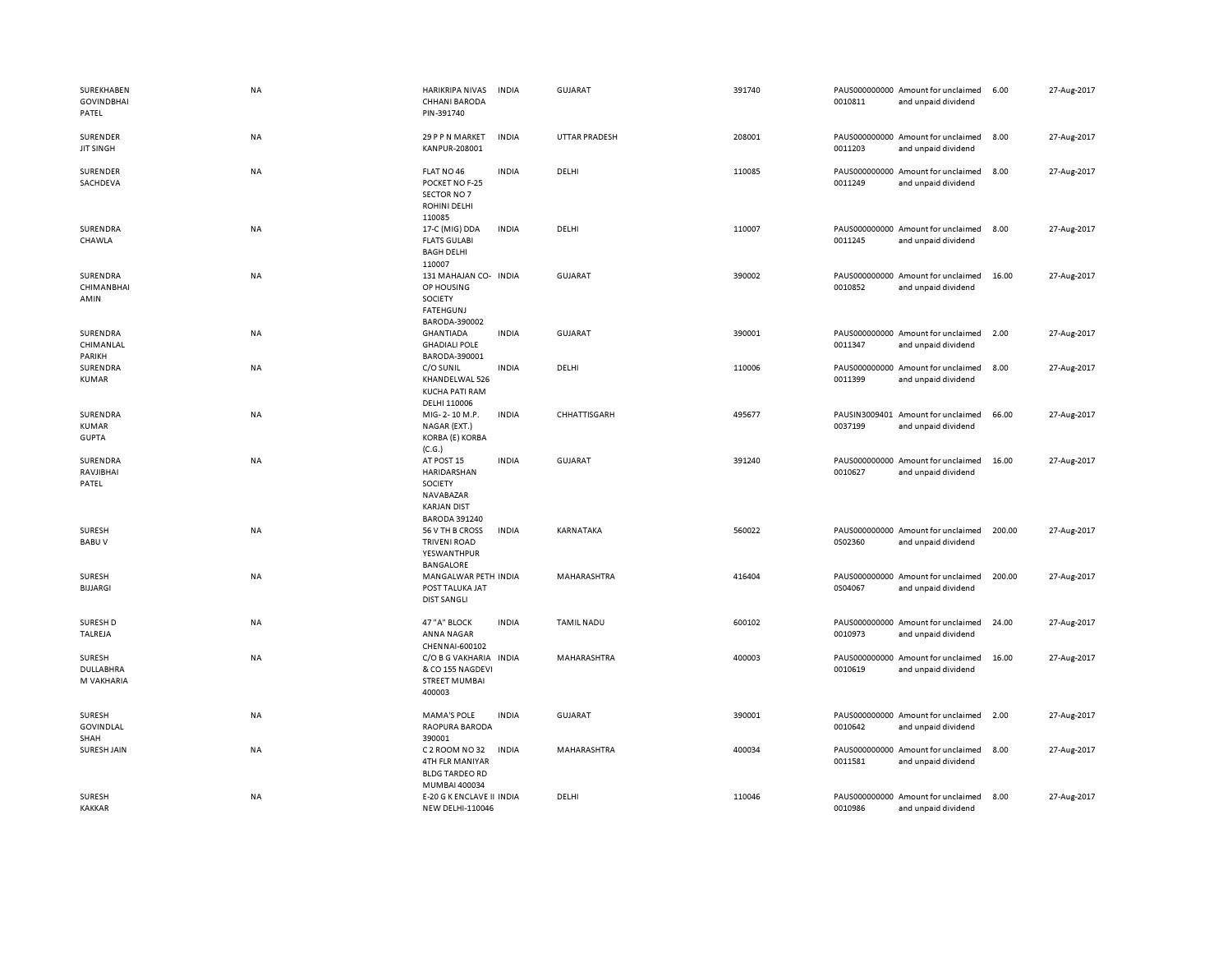| SUREKHABEN<br><b>GOVINDBHAI</b><br>PATEL | NA        | HARIKRIPA NIVAS<br><b>CHHANI BARODA</b><br>PIN-391740                                           | <b>INDIA</b> | <b>GUJARAT</b>       | 391740 | 0010811 | PAUS000000000 Amount for unclaimed<br>and unpaid dividend | 6.00   | 27-Aug-2017 |
|------------------------------------------|-----------|-------------------------------------------------------------------------------------------------|--------------|----------------------|--------|---------|-----------------------------------------------------------|--------|-------------|
| SURENDER<br><b>JIT SINGH</b>             | <b>NA</b> | 29 P P N MARKET<br>KANPUR-208001                                                                | <b>INDIA</b> | <b>UTTAR PRADESH</b> | 208001 | 0011203 | PAUS000000000 Amount for unclaimed<br>and unpaid dividend | 8.00   | 27-Aug-2017 |
| SURENDER<br>SACHDEVA                     | NA        | FLAT NO 46<br>POCKET NO F-25<br>SECTOR NO 7<br><b>ROHINI DELHI</b><br>110085                    | <b>INDIA</b> | DELHI                | 110085 | 0011249 | PAUS000000000 Amount for unclaimed<br>and unpaid dividend | 8.00   | 27-Aug-2017 |
| SURENDRA<br>CHAWLA                       | NA        | 17-C (MIG) DDA<br><b>FLATS GULABI</b><br><b>BAGH DELHI</b><br>110007                            | <b>INDIA</b> | DELHI                | 110007 | 0011245 | PAUS000000000 Amount for unclaimed<br>and unpaid dividend | 8.00   | 27-Aug-2017 |
| SURENDRA<br><b>CHIMANBHAI</b><br>AMIN    | NA        | 131 MAHAJAN CO- INDIA<br>OP HOUSING<br>SOCIETY<br><b>FATEHGUNJ</b><br>BARODA-390002             |              | <b>GUJARAT</b>       | 390002 | 0010852 | PAUS000000000 Amount for unclaimed<br>and unpaid dividend | 16.00  | 27-Aug-2017 |
| SURENDRA<br>CHIMANLAL<br>PARIKH          | NA        | <b>GHANTIADA</b><br><b>GHADIALI POLE</b><br>BARODA-390001                                       | <b>INDIA</b> | <b>GUJARAT</b>       | 390001 | 0011347 | PAUS000000000 Amount for unclaimed<br>and unpaid dividend | 2.00   | 27-Aug-2017 |
| SURENDRA<br>KUMAR                        | NA        | C/O SUNIL<br>KHANDELWAL 526<br><b>KUCHA PATI RAM</b><br>DELHI 110006                            | <b>INDIA</b> | DELHI                | 110006 | 0011399 | PAUS000000000 Amount for unclaimed<br>and unpaid dividend | 8.00   | 27-Aug-2017 |
| SURENDRA<br><b>KUMAR</b><br><b>GUPTA</b> | <b>NA</b> | MIG-2-10 M.P.<br>NAGAR (EXT.)<br>KORBA (E) KORBA<br>(C.G.)                                      | <b>INDIA</b> | CHHATTISGARH         | 495677 | 0037199 | PAUSIN3009401 Amount for unclaimed<br>and unpaid dividend | 66.00  | 27-Aug-2017 |
| SURENDRA<br>RAVJIBHAI<br>PATEL           | NA        | AT POST 15<br>HARIDARSHAN<br>SOCIETY<br>NAVABAZAR<br><b>KARJAN DIST</b><br><b>BARODA 391240</b> | <b>INDIA</b> | <b>GUJARAT</b>       | 391240 | 0010627 | PAUS000000000 Amount for unclaimed<br>and unpaid dividend | 16.00  | 27-Aug-2017 |
| SURESH<br><b>BABUV</b>                   | NA        | 56 V TH B CROSS<br><b>TRIVENI ROAD</b><br>YESWANTHPUR<br>BANGALORE                              | <b>INDIA</b> | KARNATAKA            | 560022 | 0S02360 | PAUS000000000 Amount for unclaimed<br>and unpaid dividend | 200.00 | 27-Aug-2017 |
| SURESH<br><b>BIJJARGI</b>                | NA        | MANGALWAR PETH INDIA<br>POST TALUKA JAT<br><b>DIST SANGLI</b>                                   |              | MAHARASHTRA          | 416404 | 0S04067 | PAUS000000000 Amount for unclaimed<br>and unpaid dividend | 200.00 | 27-Aug-2017 |
| SURESH D<br>TALREJA                      | NA        | 47 "A" BLOCK<br>ANNA NAGAR<br>CHENNAI-600102                                                    | <b>INDIA</b> | <b>TAMIL NADU</b>    | 600102 | 0010973 | PAUS000000000 Amount for unclaimed<br>and unpaid dividend | 24.00  | 27-Aug-2017 |
| <b>SURESH</b><br>DULLABHRA<br>M VAKHARIA | NA        | C/O B G VAKHARIA<br>& CO 155 NAGDEVI<br><b>STREET MUMBAI</b><br>400003                          | <b>INDIA</b> | MAHARASHTRA          | 400003 | 0010619 | PAUS000000000 Amount for unclaimed<br>and unpaid dividend | 16.00  | 27-Aug-2017 |
| SURESH<br><b>GOVINDLAL</b><br>SHAH       | <b>NA</b> | <b>MAMA'S POLE</b><br>RAOPURA BARODA<br>390001                                                  | <b>INDIA</b> | <b>GUJARAT</b>       | 390001 | 0010642 | PAUS000000000 Amount for unclaimed<br>and unpaid dividend | 2.00   | 27-Aug-2017 |
| SURESH JAIN                              | NA        | C 2 ROOM NO 32<br>4TH FLR MANIYAR<br><b>BLDG TARDEO RD</b><br>MUMBAI 400034                     | <b>INDIA</b> | MAHARASHTRA          | 400034 | 0011581 | PAUS000000000 Amount for unclaimed<br>and unpaid dividend | 8.00   | 27-Aug-2017 |
| <b>SURESH</b><br><b>KAKKAR</b>           | NA        | E-20 G K ENCLAVE II INDIA<br><b>NEW DELHI-110046</b>                                            |              | DELHI                | 110046 | 0010986 | PAUS000000000 Amount for unclaimed<br>and unpaid dividend | 8.00   | 27-Aug-2017 |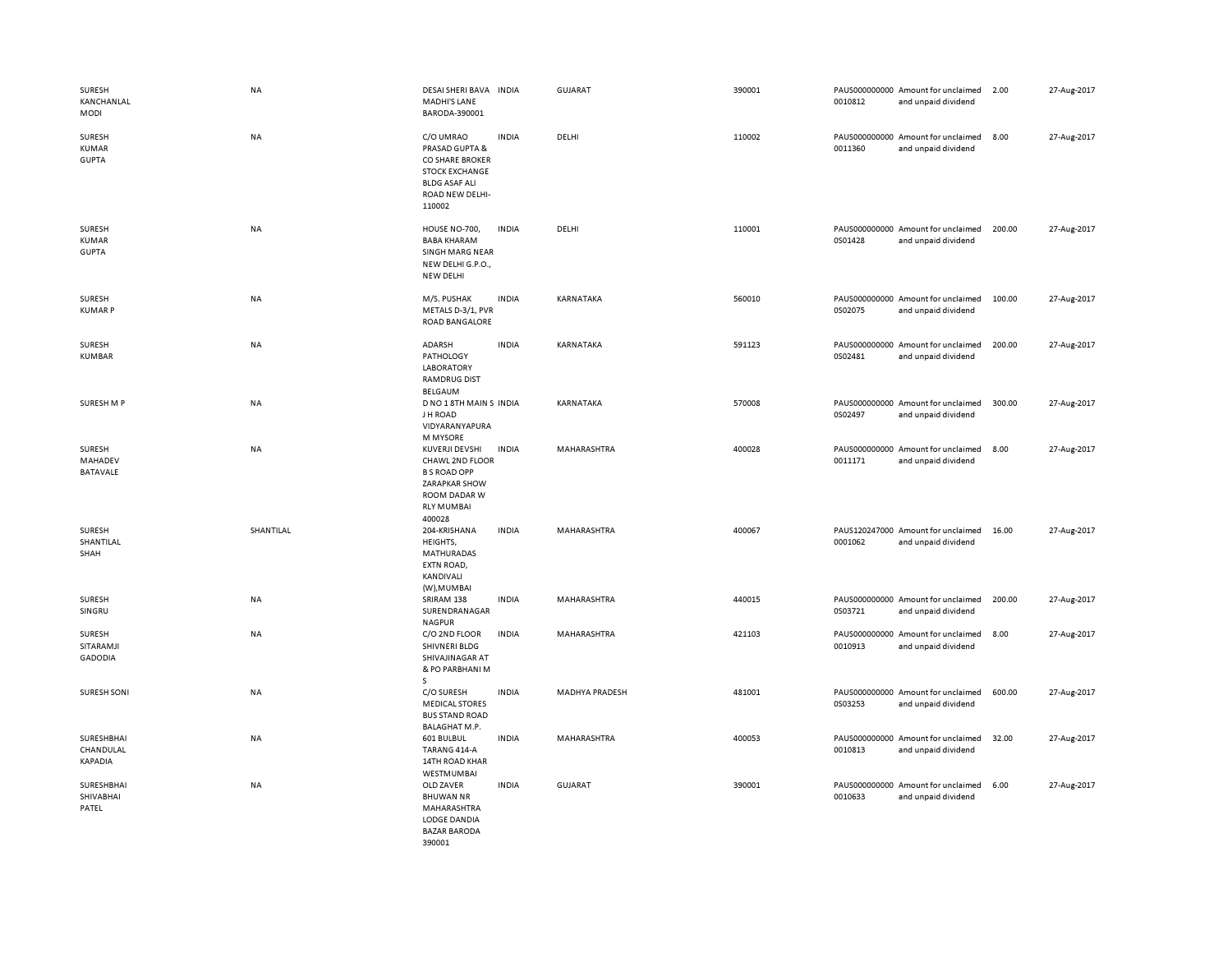| SURESH<br>KANCHANLAL<br>MODI           | <b>NA</b> | DESAI SHERI BAVA INDIA<br>MADHI'S LANE<br>BARODA-390001                                                                         |              | GUJARAT               | 390001 | 0010812 | PAUS000000000 Amount for unclaimed<br>and unpaid dividend | 2.00   | 27-Aug-2017 |
|----------------------------------------|-----------|---------------------------------------------------------------------------------------------------------------------------------|--------------|-----------------------|--------|---------|-----------------------------------------------------------|--------|-------------|
| SURESH<br>KUMAR<br><b>GUPTA</b>        | <b>NA</b> | C/O UMRAO<br>PRASAD GUPTA &<br>CO SHARE BROKER<br><b>STOCK EXCHANGE</b><br><b>BLDG ASAF ALI</b><br>ROAD NEW DELHI-<br>110002    | <b>INDIA</b> | DELHI                 | 110002 | 0011360 | PAUS000000000 Amount for unclaimed<br>and unpaid dividend | 8.00   | 27-Aug-2017 |
| SURESH<br><b>KUMAR</b><br><b>GUPTA</b> | NA        | HOUSE NO-700,<br><b>BABA KHARAM</b><br>SINGH MARG NEAR<br>NEW DELHI G.P.O.,<br>NEW DELHI                                        | <b>INDIA</b> | DELHI                 | 110001 | 0S01428 | PAUS000000000 Amount for unclaimed<br>and unpaid dividend | 200.00 | 27-Aug-2017 |
| SURESH<br><b>KUMARP</b>                | NA        | M/S. PUSHAK<br>METALS D-3/1, PVR<br><b>ROAD BANGALORE</b>                                                                       | <b>INDIA</b> | KARNATAKA             | 560010 | 0S02075 | PAUS000000000 Amount for unclaimed<br>and unpaid dividend | 100.00 | 27-Aug-2017 |
| SURESH<br><b>KUMBAR</b>                | NA        | ADARSH<br><b>PATHOLOGY</b><br><b>LABORATORY</b><br><b>RAMDRUG DIST</b><br>BELGAUM                                               | <b>INDIA</b> | KARNATAKA             | 591123 | 0S02481 | PAUS000000000 Amount for unclaimed<br>and unpaid dividend | 200.00 | 27-Aug-2017 |
| SURESH M P                             | <b>NA</b> | D NO 1 8TH MAIN S INDIA<br>J H ROAD<br>VIDYARANYAPURA<br>M MYSORE                                                               |              | <b>KARNATAKA</b>      | 570008 | 0S02497 | PAUS000000000 Amount for unclaimed<br>and unpaid dividend | 300.00 | 27-Aug-2017 |
| SURESH<br>MAHADEV<br>BATAVALE          | <b>NA</b> | <b>KUVERJI DEVSHI</b><br>CHAWL 2ND FLOOR<br><b>B S ROAD OPP</b><br>ZARAPKAR SHOW<br>ROOM DADAR W<br><b>RLY MUMBAI</b><br>400028 | <b>INDIA</b> | MAHARASHTRA           | 400028 | 0011171 | PAUS000000000 Amount for unclaimed<br>and unpaid dividend | 8.00   | 27-Aug-2017 |
| <b>SURESH</b><br>SHANTILAL<br>SHAH     | SHANTILAL | 204-KRISHANA<br>HEIGHTS,<br>MATHURADAS<br>EXTN ROAD,<br>KANDIVALI<br>(W), MUMBAI                                                | <b>INDIA</b> | MAHARASHTRA           | 400067 | 0001062 | PAUS120247000 Amount for unclaimed<br>and unpaid dividend | 16.00  | 27-Aug-2017 |
| SURESH<br>SINGRU                       | NA        | SRIRAM 138<br>SURENDRANAGAR<br><b>NAGPUR</b>                                                                                    | <b>INDIA</b> | MAHARASHTRA           | 440015 | 0S03721 | PAUS000000000 Amount for unclaimed<br>and unpaid dividend | 200.00 | 27-Aug-2017 |
| SURESH<br>SITARAMJI<br><b>GADODIA</b>  | <b>NA</b> | C/O 2ND FLOOR<br>SHIVNERI BLDG<br>SHIVAJINAGAR AT<br>& PO PARBHANI M<br>s                                                       | <b>INDIA</b> | MAHARASHTRA           | 421103 | 0010913 | PAUS000000000 Amount for unclaimed<br>and unpaid dividend | 8.00   | 27-Aug-2017 |
| <b>SURESH SONI</b>                     | <b>NA</b> | C/O SURESH<br><b>MEDICAL STORES</b><br><b>BUS STAND ROAD</b><br>BALAGHAT M.P.                                                   | <b>INDIA</b> | <b>MADHYA PRADESH</b> | 481001 | 0S03253 | PAUS000000000 Amount for unclaimed<br>and unpaid dividend | 600.00 | 27-Aug-2017 |
| SURESHBHAI<br>CHANDULAL<br>KAPADIA     | <b>NA</b> | 601 BULBUL<br>TARANG 414-A<br>14TH ROAD KHAR<br>WESTMUMBAI                                                                      | <b>INDIA</b> | MAHARASHTRA           | 400053 | 0010813 | PAUS000000000 Amount for unclaimed<br>and unpaid dividend | 32.00  | 27-Aug-2017 |
| SURESHBHAI<br>SHIVABHAI<br>PATEL       | <b>NA</b> | OLD ZAVER<br><b>BHUWAN NR</b><br>MAHARASHTRA<br>LODGE DANDIA<br><b>BAZAR BARODA</b><br>390001                                   | <b>INDIA</b> | <b>GUJARAT</b>        | 390001 | 0010633 | PAUS000000000 Amount for unclaimed<br>and unpaid dividend | 6.00   | 27-Aug-2017 |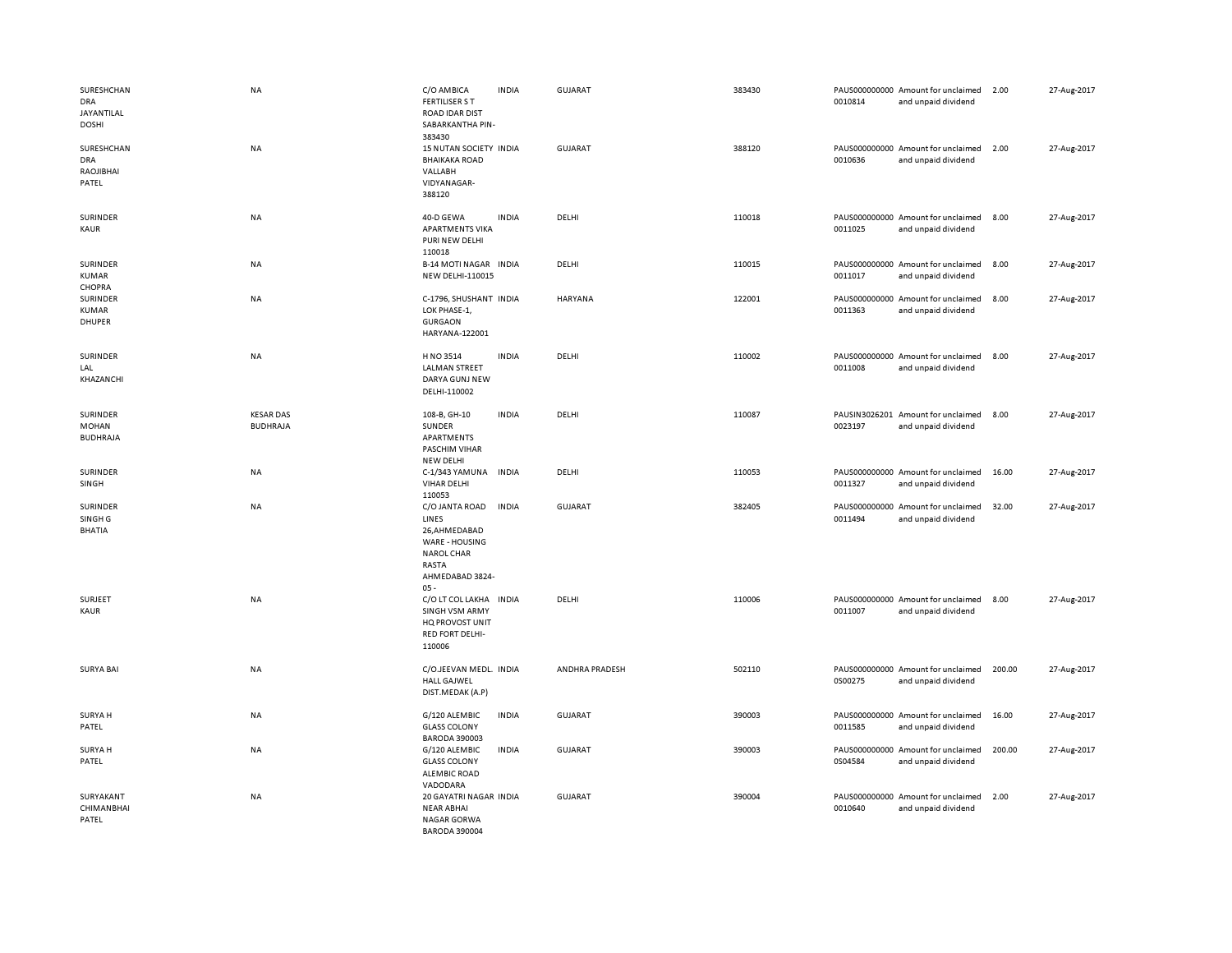| SURESHCHAN<br>DRA<br>JAYANTILAL<br><b>DOSHI</b> | <b>NA</b>                           | C/O AMBICA<br><b>FERTILISER S T</b><br><b>ROAD IDAR DIST</b><br>SABARKANTHA PIN-                                      | <b>INDIA</b> | <b>GUJARAT</b>        | 383430 | 0010814 | PAUS000000000 Amount for unclaimed<br>and unpaid dividend | 2.00   | 27-Aug-2017 |
|-------------------------------------------------|-------------------------------------|-----------------------------------------------------------------------------------------------------------------------|--------------|-----------------------|--------|---------|-----------------------------------------------------------|--------|-------------|
| SURESHCHAN<br><b>DRA</b><br>RAOJIBHAI<br>PATEL  | <b>NA</b>                           | 383430<br>15 NUTAN SOCIETY INDIA<br><b>BHAIKAKA ROAD</b><br>VALLABH<br>VIDYANAGAR-<br>388120                          |              | <b>GUJARAT</b>        | 388120 | 0010636 | PAUS000000000 Amount for unclaimed<br>and unpaid dividend | 2.00   | 27-Aug-2017 |
| SURINDER<br>KAUR                                | NA                                  | 40-D GEWA<br><b>APARTMENTS VIKA</b><br>PURI NEW DELHI<br>110018                                                       | <b>INDIA</b> | DELHI                 | 110018 | 0011025 | PAUS000000000 Amount for unclaimed<br>and unpaid dividend | 8.00   | 27-Aug-2017 |
| SURINDER<br>KUMAR<br>CHOPRA                     | <b>NA</b>                           | <b>B-14 MOTI NAGAR INDIA</b><br><b>NEW DELHI-110015</b>                                                               |              | DELHI                 | 110015 | 0011017 | PAUS000000000 Amount for unclaimed<br>and unpaid dividend | 8.00   | 27-Aug-2017 |
| SURINDER<br>KUMAR<br><b>DHUPER</b>              | <b>NA</b>                           | C-1796, SHUSHANT INDIA<br>LOK PHASE-1,<br><b>GURGAON</b><br>HARYANA-122001                                            |              | <b>HARYANA</b>        | 122001 | 0011363 | PAUS000000000 Amount for unclaimed<br>and unpaid dividend | 8.00   | 27-Aug-2017 |
| SURINDER<br>LAL<br>KHAZANCHI                    | <b>NA</b>                           | H NO 3514<br><b>LALMAN STREET</b><br>DARYA GUNJ NEW<br>DELHI-110002                                                   | <b>INDIA</b> | DELHI                 | 110002 | 0011008 | PAUS000000000 Amount for unclaimed<br>and unpaid dividend | 8.00   | 27-Aug-2017 |
| SURINDER<br>MOHAN<br><b>BUDHRAJA</b>            | <b>KESAR DAS</b><br><b>BUDHRAJA</b> | 108-B, GH-10<br>SUNDER<br>APARTMENTS<br>PASCHIM VIHAR<br><b>NEW DELHI</b>                                             | <b>INDIA</b> | DELHI                 | 110087 | 0023197 | PAUSIN3026201 Amount for unclaimed<br>and unpaid dividend | 8.00   | 27-Aug-2017 |
| SURINDER<br>SINGH                               | <b>NA</b>                           | C-1/343 YAMUNA<br><b>VIHAR DELHI</b><br>110053                                                                        | <b>INDIA</b> | DELHI                 | 110053 | 0011327 | PAUS000000000 Amount for unclaimed<br>and unpaid dividend | 16.00  | 27-Aug-2017 |
| SURINDER<br>SINGH <sub>G</sub><br><b>BHATIA</b> | <b>NA</b>                           | C/O JANTA ROAD<br>LINES<br>26, AHMEDABAD<br>WARE - HOUSING<br><b>NAROL CHAR</b><br>RASTA<br>AHMEDABAD 3824-<br>$05 -$ | <b>INDIA</b> | <b>GUJARAT</b>        | 382405 | 0011494 | PAUS000000000 Amount for unclaimed<br>and unpaid dividend | 32.00  | 27-Aug-2017 |
| SURJEET<br>KAUR                                 | NA                                  | C/O LT COL LAKHA INDIA<br><b>SINGH VSM ARMY</b><br>HQ PROVOST UNIT<br><b>RED FORT DELHI-</b><br>110006                |              | DELHI                 | 110006 | 0011007 | PAUS000000000 Amount for unclaimed<br>and unpaid dividend | 8.00   | 27-Aug-2017 |
| <b>SURYA BAI</b>                                | <b>NA</b>                           | C/O.JEEVAN MEDL. INDIA<br><b>HALL GAJWEL</b><br>DIST.MEDAK (A.P)                                                      |              | <b>ANDHRA PRADESH</b> | 502110 | 0S00275 | PAUS000000000 Amount for unclaimed<br>and unpaid dividend | 200.00 | 27-Aug-2017 |
| <b>SURYA H</b><br>PATEL                         | <b>NA</b>                           | G/120 ALEMBIC<br><b>GLASS COLONY</b><br><b>BARODA 390003</b>                                                          | <b>INDIA</b> | GUJARAT               | 390003 | 0011585 | PAUS000000000 Amount for unclaimed<br>and unpaid dividend | 16.00  | 27-Aug-2017 |
| <b>SURYA H</b><br>PATEL                         | NA                                  | G/120 ALEMBIC<br><b>GLASS COLONY</b><br><b>ALEMBIC ROAD</b><br>VADODARA                                               | <b>INDIA</b> | <b>GUJARAT</b>        | 390003 | 0S04584 | PAUS000000000 Amount for unclaimed<br>and unpaid dividend | 200.00 | 27-Aug-2017 |
| SURYAKANT<br>CHIMANBHAI<br>PATEL                | <b>NA</b>                           | 20 GAYATRI NAGAR INDIA<br><b>NEAR ABHAI</b><br><b>NAGAR GORWA</b><br>BARODA 390004                                    |              | GUJARAT               | 390004 | 0010640 | PAUS000000000 Amount for unclaimed<br>and unpaid dividend | 2.00   | 27-Aug-2017 |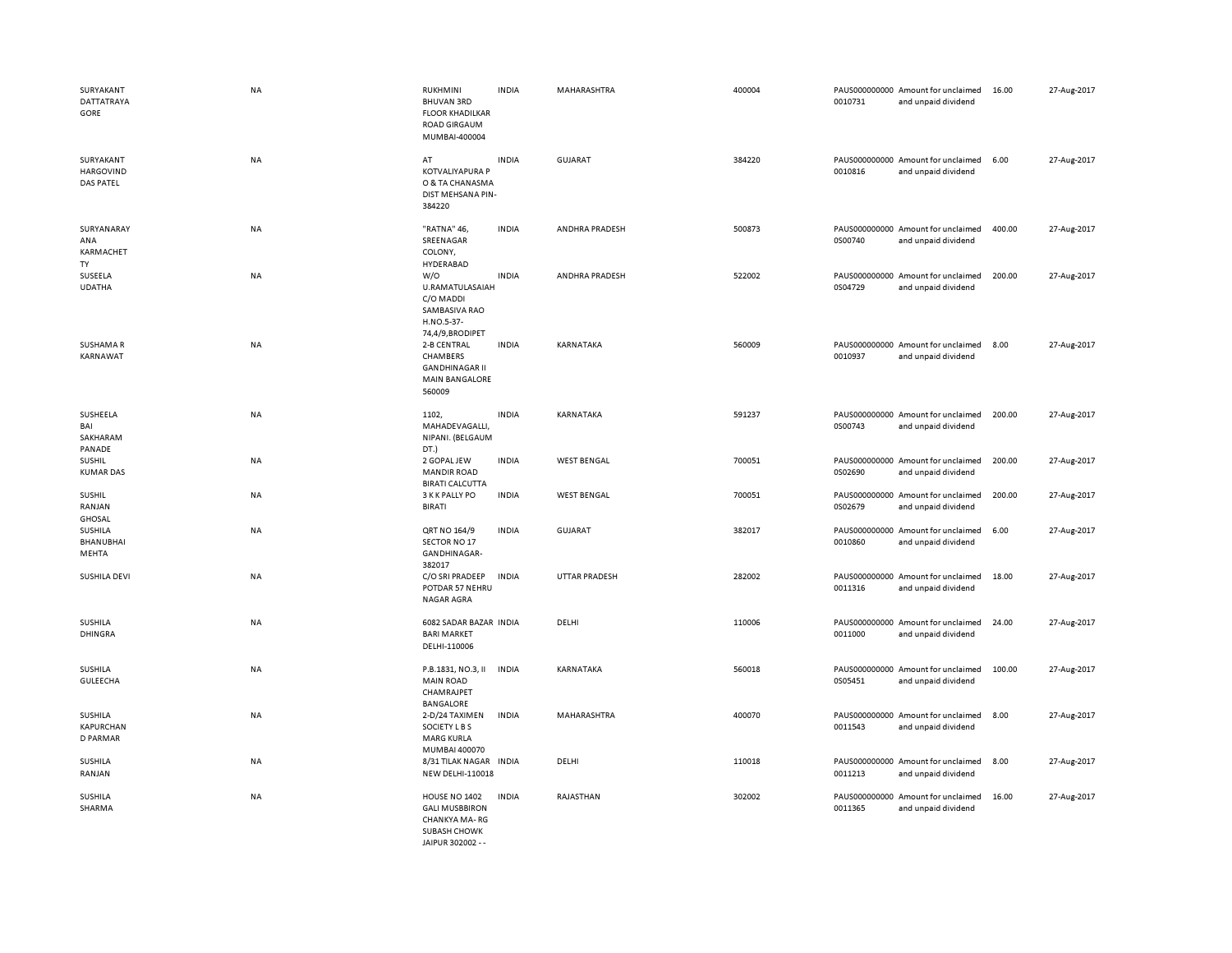| SURYAKANT<br>DATTATRAYA<br>GORE                   | <b>NA</b> | <b>RUKHMINI</b><br><b>BHUVAN 3RD</b><br><b>FLOOR KHADILKAR</b><br><b>ROAD GIRGAUM</b><br>MUMBAI-400004 | <b>INDIA</b> | MAHARASHTRA        | 400004 | 0010731 | PAUS000000000 Amount for unclaimed<br>and unpaid dividend | 16.00  | 27-Aug-2017 |
|---------------------------------------------------|-----------|--------------------------------------------------------------------------------------------------------|--------------|--------------------|--------|---------|-----------------------------------------------------------|--------|-------------|
| SURYAKANT<br><b>HARGOVIND</b><br><b>DAS PATEL</b> | NA        | AT<br><b>KOTVALIYAPURA P</b><br>O & TA CHANASMA<br>DIST MEHSANA PIN-<br>384220                         | <b>INDIA</b> | <b>GUJARAT</b>     | 384220 | 0010816 | PAUS000000000 Amount for unclaimed<br>and unpaid dividend | 6.00   | 27-Aug-2017 |
| SURYANARAY<br>ANA<br>KARMACHET<br>TY              | NA        | "RATNA" 46,<br>SREENAGAR<br>COLONY,<br>HYDERABAD                                                       | <b>INDIA</b> | ANDHRA PRADESH     | 500873 | 0S00740 | PAUS000000000 Amount for unclaimed<br>and unpaid dividend | 400.00 | 27-Aug-2017 |
| SUSEELA<br><b>UDATHA</b>                          | <b>NA</b> | W/O<br>U.RAMATULASAIAH<br>C/O MADDI<br>SAMBASIVA RAO<br>H.NO.5-37-<br>74,4/9,BRODIPET                  | <b>INDIA</b> | ANDHRA PRADESH     | 522002 | 0S04729 | PAUS000000000 Amount for unclaimed<br>and unpaid dividend | 200.00 | 27-Aug-2017 |
| <b>SUSHAMAR</b><br>KARNAWAT                       | NA        | 2-B CENTRAL<br><b>CHAMBERS</b><br><b>GANDHINAGAR II</b><br><b>MAIN BANGALORE</b><br>560009             | <b>INDIA</b> | KARNATAKA          | 560009 | 0010937 | PAUS000000000 Amount for unclaimed<br>and unpaid dividend | 8.00   | 27-Aug-2017 |
| SUSHEELA<br>BAI<br>SAKHARAM<br>PANADE             | NA        | 1102,<br>MAHADEVAGALLI,<br>NIPANI. (BELGAUM<br>DT.)                                                    | <b>INDIA</b> | KARNATAKA          | 591237 | 0S00743 | PAUS000000000 Amount for unclaimed<br>and unpaid dividend | 200.00 | 27-Aug-2017 |
| <b>SUSHIL</b><br><b>KUMAR DAS</b>                 | NA        | 2 GOPAL JEW<br><b>MANDIR ROAD</b><br><b>BIRATI CALCUTTA</b>                                            | <b>INDIA</b> | <b>WEST BENGAL</b> | 700051 | 0S02690 | PAUS000000000 Amount for unclaimed<br>and unpaid dividend | 200.00 | 27-Aug-2017 |
| SUSHIL<br>RANJAN<br><b>GHOSAL</b>                 | NA        | 3 K K PALLY PO<br><b>BIRATI</b>                                                                        | <b>INDIA</b> | <b>WEST BENGAL</b> | 700051 | 0S02679 | PAUS000000000 Amount for unclaimed<br>and unpaid dividend | 200.00 | 27-Aug-2017 |
| SUSHILA<br><b>BHANUBHAI</b><br>MEHTA              | NA        | QRT NO 164/9<br>SECTOR NO 17<br>GANDHINAGAR-<br>382017                                                 | <b>INDIA</b> | <b>GUJARAT</b>     | 382017 | 0010860 | PAUS000000000 Amount for unclaimed<br>and unpaid dividend | 6.00   | 27-Aug-2017 |
| SUSHILA DEVI                                      | <b>NA</b> | C/O SRI PRADEEP<br>POTDAR 57 NEHRU<br>NAGAR AGRA                                                       | <b>INDIA</b> | UTTAR PRADESH      | 282002 | 0011316 | PAUS000000000 Amount for unclaimed<br>and unpaid dividend | 18.00  | 27-Aug-2017 |
| <b>SUSHILA</b><br><b>DHINGRA</b>                  | NA        | 6082 SADAR BAZAR INDIA<br><b>BARI MARKET</b><br>DELHI-110006                                           |              | DELHI              | 110006 | 0011000 | PAUS000000000 Amount for unclaimed<br>and unpaid dividend | 24.00  | 27-Aug-2017 |
| SUSHILA<br><b>GULEECHA</b>                        | NA        | P.B.1831, NO.3, II<br><b>MAIN ROAD</b><br>CHAMRAJPET<br><b>BANGALORE</b>                               | <b>INDIA</b> | KARNATAKA          | 560018 | 0S05451 | PAUS000000000 Amount for unclaimed<br>and unpaid dividend | 100.00 | 27-Aug-2017 |
| SUSHILA<br>KAPURCHAN<br>D PARMAR                  | NA        | 2-D/24 TAXIMEN<br>SOCIETY L B S<br><b>MARG KURLA</b><br>MUMBAI 400070                                  | <b>INDIA</b> | MAHARASHTRA        | 400070 | 0011543 | PAUS000000000 Amount for unclaimed<br>and unpaid dividend | 8.00   | 27-Aug-2017 |
| SUSHILA<br>RANJAN                                 | NA        | 8/31 TILAK NAGAR INDIA<br>NEW DELHI-110018                                                             |              | DELHI              | 110018 | 0011213 | PAUS000000000 Amount for unclaimed<br>and unpaid dividend | 8.00   | 27-Aug-2017 |
| SUSHILA<br>SHARMA                                 | NA        | HOUSE NO 1402<br><b>GALI MUSBBIRON</b><br>CHANKYA MA-RG<br>SUBASH CHOWK<br>IAIPUR 302002 --            | <b>INDIA</b> | RAJASTHAN          | 302002 | 0011365 | PAUS000000000 Amount for unclaimed<br>and unpaid dividend | 16.00  | 27-Aug-2017 |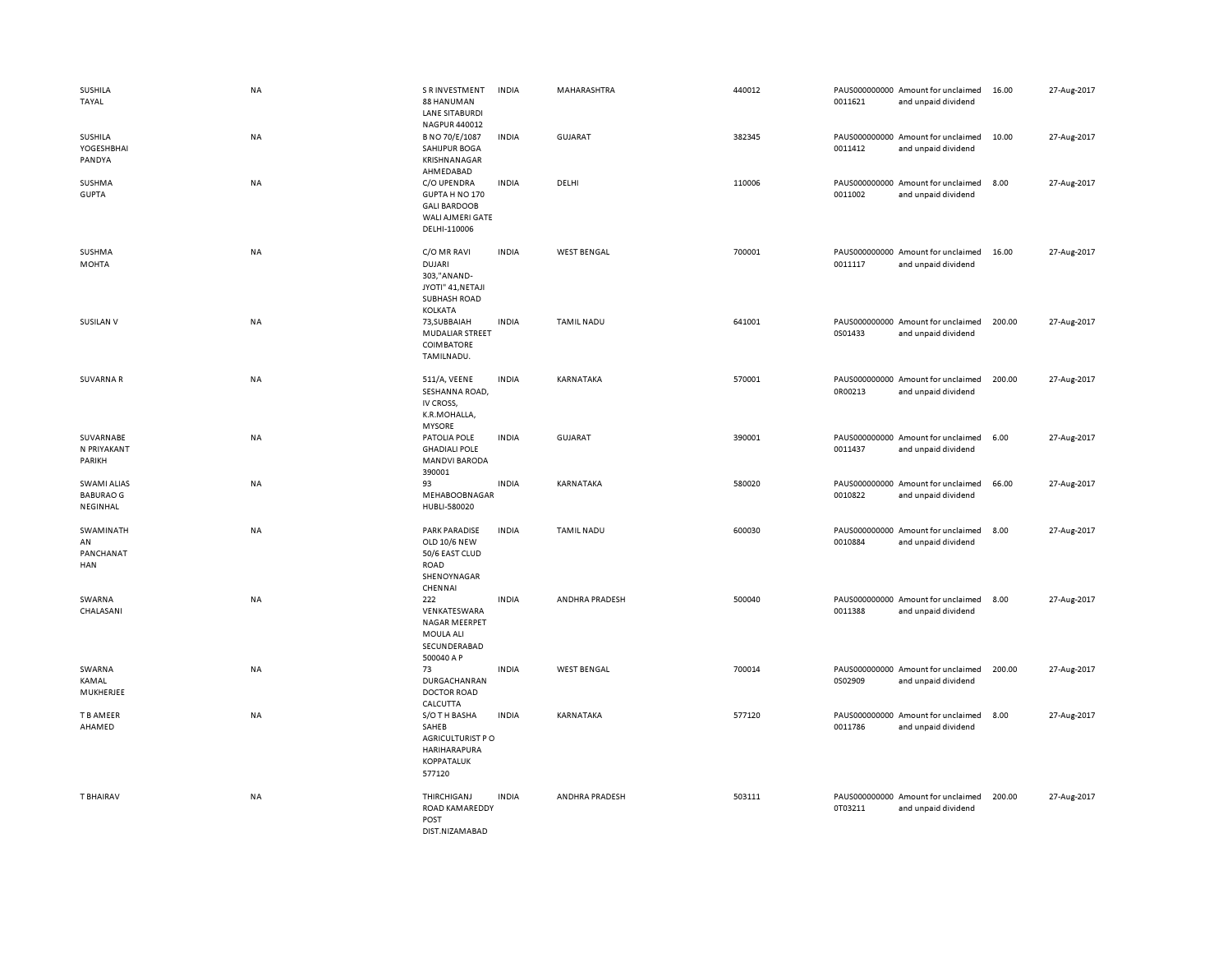| SUSHILA<br>TAYAL                                   | NA        | S R INVESTMENT<br>88 HANUMAN<br><b>LANE SITABURDI</b>                                           | <b>INDIA</b> | MAHARASHTRA        | 440012 | 0011621 | PAUS000000000 Amount for unclaimed<br>and unpaid dividend | 16.00  | 27-Aug-2017 |
|----------------------------------------------------|-----------|-------------------------------------------------------------------------------------------------|--------------|--------------------|--------|---------|-----------------------------------------------------------|--------|-------------|
| SUSHILA<br>YOGESHBHAI<br>PANDYA                    | NA        | NAGPUR 440012<br>B NO 70/E/1087<br>SAHIJPUR BOGA<br>KRISHNANAGAR<br>AHMEDABAD                   | <b>INDIA</b> | GUJARAT            | 382345 | 0011412 | PAUS000000000 Amount for unclaimed<br>and unpaid dividend | 10.00  | 27-Aug-2017 |
| SUSHMA<br><b>GUPTA</b>                             | NA        | C/O UPENDRA<br>GUPTA H NO 170<br><b>GALI BARDOOB</b><br>WALI AJMERI GATE<br>DELHI-110006        | <b>INDIA</b> | DELHI              | 110006 | 0011002 | PAUS000000000 Amount for unclaimed<br>and unpaid dividend | 8.00   | 27-Aug-2017 |
| SUSHMA<br><b>MOHTA</b>                             | NA        | C/O MR RAVI<br><b>DUJARI</b><br>303,"ANAND-<br>JYOTI" 41, NETAJI<br>SUBHASH ROAD<br>KOLKATA     | <b>INDIA</b> | <b>WEST BENGAL</b> | 700001 | 0011117 | PAUS000000000 Amount for unclaimed<br>and unpaid dividend | 16.00  | 27-Aug-2017 |
| <b>SUSILAN V</b>                                   | <b>NA</b> | 73, SUBBAIAH<br><b>MUDALIAR STREET</b><br>COIMBATORE<br>TAMILNADU.                              | <b>INDIA</b> | <b>TAMIL NADU</b>  | 641001 | 0S01433 | PAUS000000000 Amount for unclaimed<br>and unpaid dividend | 200.00 | 27-Aug-2017 |
| <b>SUVARNAR</b>                                    | NA        | 511/A, VEENE<br>SESHANNA ROAD,<br>IV CROSS,<br>K.R.MOHALLA,<br><b>MYSORE</b>                    | <b>INDIA</b> | KARNATAKA          | 570001 | 0R00213 | PAUS000000000 Amount for unclaimed<br>and unpaid dividend | 200.00 | 27-Aug-2017 |
| SUVARNABE<br>N PRIYAKANT<br>PARIKH                 | NA        | PATOLIA POLE<br><b>GHADIALI POLE</b><br><b>MANDVI BARODA</b><br>390001                          | <b>INDIA</b> | GUJARAT            | 390001 | 0011437 | PAUS000000000 Amount for unclaimed<br>and unpaid dividend | 6.00   | 27-Aug-2017 |
| <b>SWAMI ALIAS</b><br><b>BABURAO G</b><br>NEGINHAL | NA        | 93<br>MEHABOOBNAGAR<br>HUBLI-580020                                                             | <b>INDIA</b> | KARNATAKA          | 580020 | 0010822 | PAUS000000000 Amount for unclaimed<br>and unpaid dividend | 66.00  | 27-Aug-2017 |
| SWAMINATH<br>AN<br>PANCHANAT<br>HAN                | NA        | <b>PARK PARADISE</b><br><b>OLD 10/6 NEW</b><br>50/6 EAST CLUD<br>ROAD<br>SHENOYNAGAR<br>CHENNAI | <b>INDIA</b> | <b>TAMIL NADU</b>  | 600030 | 0010884 | PAUS000000000 Amount for unclaimed<br>and unpaid dividend | 8.00   | 27-Aug-2017 |
| SWARNA<br>CHALASANI                                | NA        | 222<br>VENKATESWARA<br><b>NAGAR MEERPET</b><br>MOULA ALI<br>SECUNDERABAD<br>500040 A P          | <b>INDIA</b> | ANDHRA PRADESH     | 500040 | 0011388 | PAUS000000000 Amount for unclaimed<br>and unpaid dividend | 8.00   | 27-Aug-2017 |
| SWARNA<br>KAMAL<br>MUKHERJEE                       | NA        | 73<br>DURGACHANRAN<br><b>DOCTOR ROAD</b><br>CALCUTTA                                            | <b>INDIA</b> | <b>WEST BENGAL</b> | 700014 | 0S02909 | PAUS000000000 Amount for unclaimed<br>and unpaid dividend | 200.00 | 27-Aug-2017 |
| T B AMEER<br>AHAMED                                | NA        | S/O TH BASHA<br>SAHEB<br>AGRICULTURIST PO<br>HARIHARAPURA<br>KOPPATALUK<br>577120               | <b>INDIA</b> | KARNATAKA          | 577120 | 0011786 | PAUS000000000 Amount for unclaimed<br>and unpaid dividend | 8.00   | 27-Aug-2017 |
| <b>T BHAIRAV</b>                                   | NA        | THIRCHIGANJ<br>ROAD KAMAREDDY<br>POST<br>DIST NIZAMARAD                                         | <b>INDIA</b> | ANDHRA PRADESH     | 503111 | 0T03211 | PAUS000000000 Amount for unclaimed<br>and unpaid dividend | 200.00 | 27-Aug-2017 |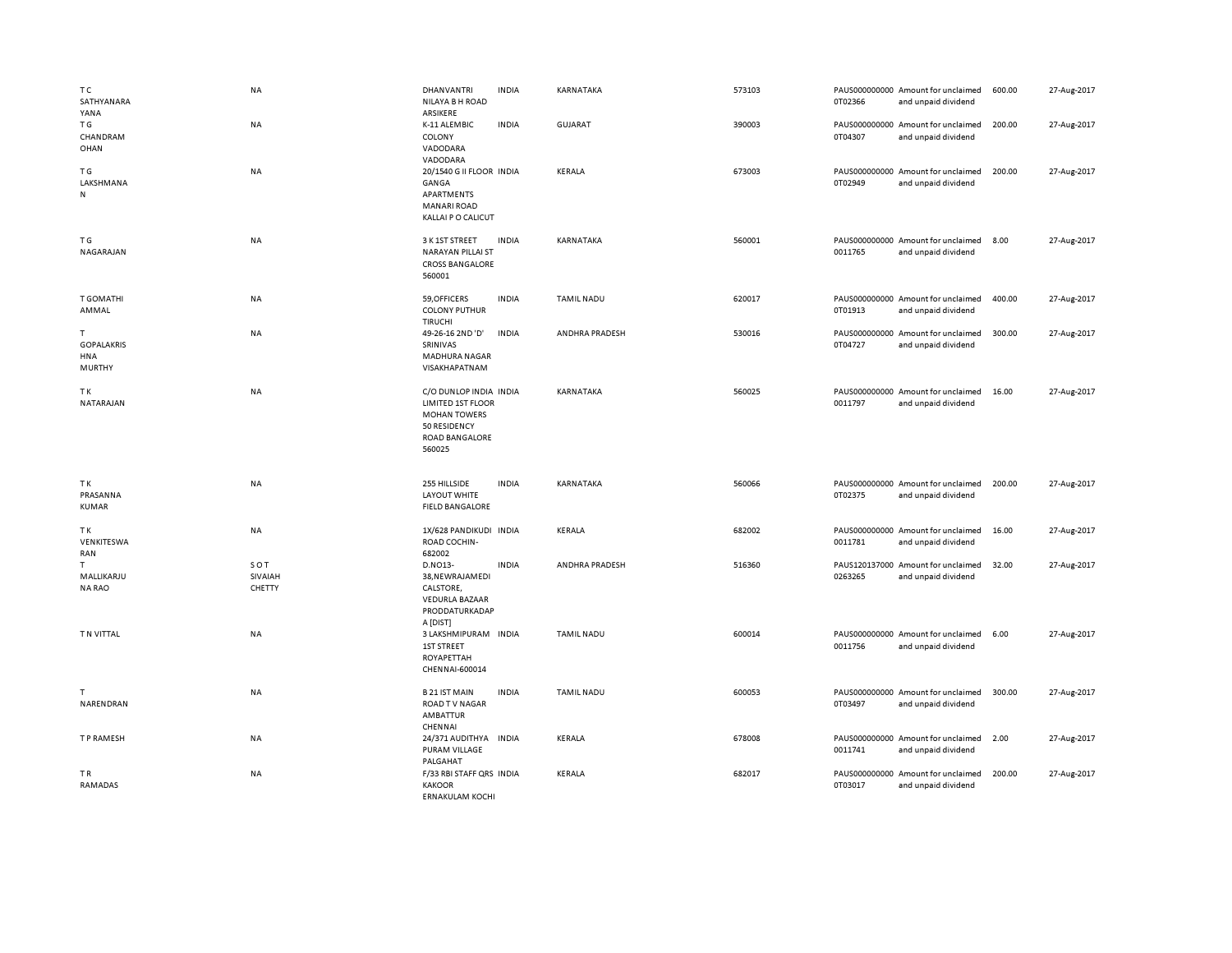| T C<br>SATHYANARA<br>YANA                              | NA                       | <b>DHANVANTRI</b><br>NILAYA B H ROAD<br>ARSIKERE                                                                      | <b>INDIA</b> | KARNATAKA         | 573103 | 0T02366 | PAUS000000000 Amount for unclaimed<br>and unpaid dividend | 600.00 | 27-Aug-2017 |
|--------------------------------------------------------|--------------------------|-----------------------------------------------------------------------------------------------------------------------|--------------|-------------------|--------|---------|-----------------------------------------------------------|--------|-------------|
| ΤG<br>CHANDRAM<br>OHAN                                 | <b>NA</b>                | K-11 ALEMBIC<br>COLONY<br>VADODARA<br>VADODARA                                                                        | <b>INDIA</b> | <b>GUJARAT</b>    | 390003 | 0T04307 | PAUS000000000 Amount for unclaimed<br>and unpaid dividend | 200.00 | 27-Aug-2017 |
| ΤG<br>LAKSHMANA<br>N                                   | NA                       | 20/1540 G II FLOOR INDIA<br>GANGA<br>APARTMENTS<br><b>MANARI ROAD</b><br>KALLAI P O CALICUT                           |              | KERALA            | 673003 | 0T02949 | PAUS000000000 Amount for unclaimed<br>and unpaid dividend | 200.00 | 27-Aug-2017 |
| T G<br>NAGARAJAN                                       | <b>NA</b>                | 3 K 1ST STREET<br><b>NARAYAN PILLAI ST</b><br><b>CROSS BANGALORE</b><br>560001                                        | <b>INDIA</b> | KARNATAKA         | 560001 | 0011765 | PAUS000000000 Amount for unclaimed<br>and unpaid dividend | 8.00   | 27-Aug-2017 |
| <b>T GOMATHI</b><br>AMMAL                              | NA                       | 59, OFFICERS<br><b>COLONY PUTHUR</b><br><b>TIRUCHI</b>                                                                | <b>INDIA</b> | <b>TAMIL NADU</b> | 620017 | 0T01913 | PAUS000000000 Amount for unclaimed<br>and unpaid dividend | 400.00 | 27-Aug-2017 |
| T.<br><b>GOPALAKRIS</b><br><b>HNA</b><br><b>MURTHY</b> | <b>NA</b>                | 49-26-16 2ND 'D'<br>SRINIVAS<br><b>MADHURA NAGAR</b><br>VISAKHAPATNAM                                                 | <b>INDIA</b> | ANDHRA PRADESH    | 530016 | 0T04727 | PAUS000000000 Amount for unclaimed<br>and unpaid dividend | 300.00 | 27-Aug-2017 |
| TΚ<br>NATARAJAN                                        | <b>NA</b>                | C/O DUNLOP INDIA INDIA<br><b>LIMITED 1ST FLOOR</b><br><b>MOHAN TOWERS</b><br>50 RESIDENCY<br>ROAD BANGALORE<br>560025 |              | KARNATAKA         | 560025 | 0011797 | PAUS000000000 Amount for unclaimed<br>and unpaid dividend | 16.00  | 27-Aug-2017 |
| TΚ<br>PRASANNA                                         | NA                       | 255 HILLSIDE<br>LAYOUT WHITE                                                                                          | <b>INDIA</b> | KARNATAKA         | 560066 | 0T02375 | PAUS000000000 Amount for unclaimed                        | 200.00 | 27-Aug-2017 |
| KUMAR                                                  |                          | <b>FIELD BANGALORE</b>                                                                                                |              |                   |        |         | and unpaid dividend                                       |        |             |
| TK<br>VENKITESWA<br>RAN                                | NA                       | 1X/628 PANDIKUDI INDIA<br>ROAD COCHIN-<br>682002                                                                      |              | KERALA            | 682002 | 0011781 | PAUS000000000 Amount for unclaimed<br>and unpaid dividend | 16.00  | 27-Aug-2017 |
| T.<br>MALLIKARJU<br><b>NA RAO</b>                      | SOT<br>SIVAIAH<br>CHETTY | D.NO13-<br>38, NEWRAJAMEDI<br>CALSTORE,<br><b>VEDURLA BAZAAR</b><br>PRODDATURKADAP<br>A [DIST]                        | <b>INDIA</b> | ANDHRA PRADESH    | 516360 | 0263265 | PAUS120137000 Amount for unclaimed<br>and unpaid dividend | 32.00  | 27-Aug-2017 |
| T N VITTAL                                             | NA                       | 3 LAKSHMIPURAM INDIA<br><b>1ST STREET</b><br>ROYAPETTAH<br>CHENNAI-600014                                             |              | <b>TAMIL NADU</b> | 600014 | 0011756 | PAUS000000000 Amount for unclaimed<br>and unpaid dividend | 6.00   | 27-Aug-2017 |
| T<br>NARENDRAN                                         | <b>NA</b>                | <b>B21 IST MAIN</b><br><b>ROAD TV NAGAR</b><br>AMBATTUR<br>CHENNAI                                                    | <b>INDIA</b> | <b>TAMIL NADU</b> | 600053 | 0T03497 | PAUS000000000 Amount for unclaimed<br>and unpaid dividend | 300.00 | 27-Aug-2017 |
| T P RAMESH                                             | NA                       | 24/371 AUDITHYA<br>PURAM VILLAGE<br>PALGAHAT                                                                          | INDIA        | KERALA            | 678008 | 0011741 | PAUS000000000 Amount for unclaimed<br>and unpaid dividend | 2.00   | 27-Aug-2017 |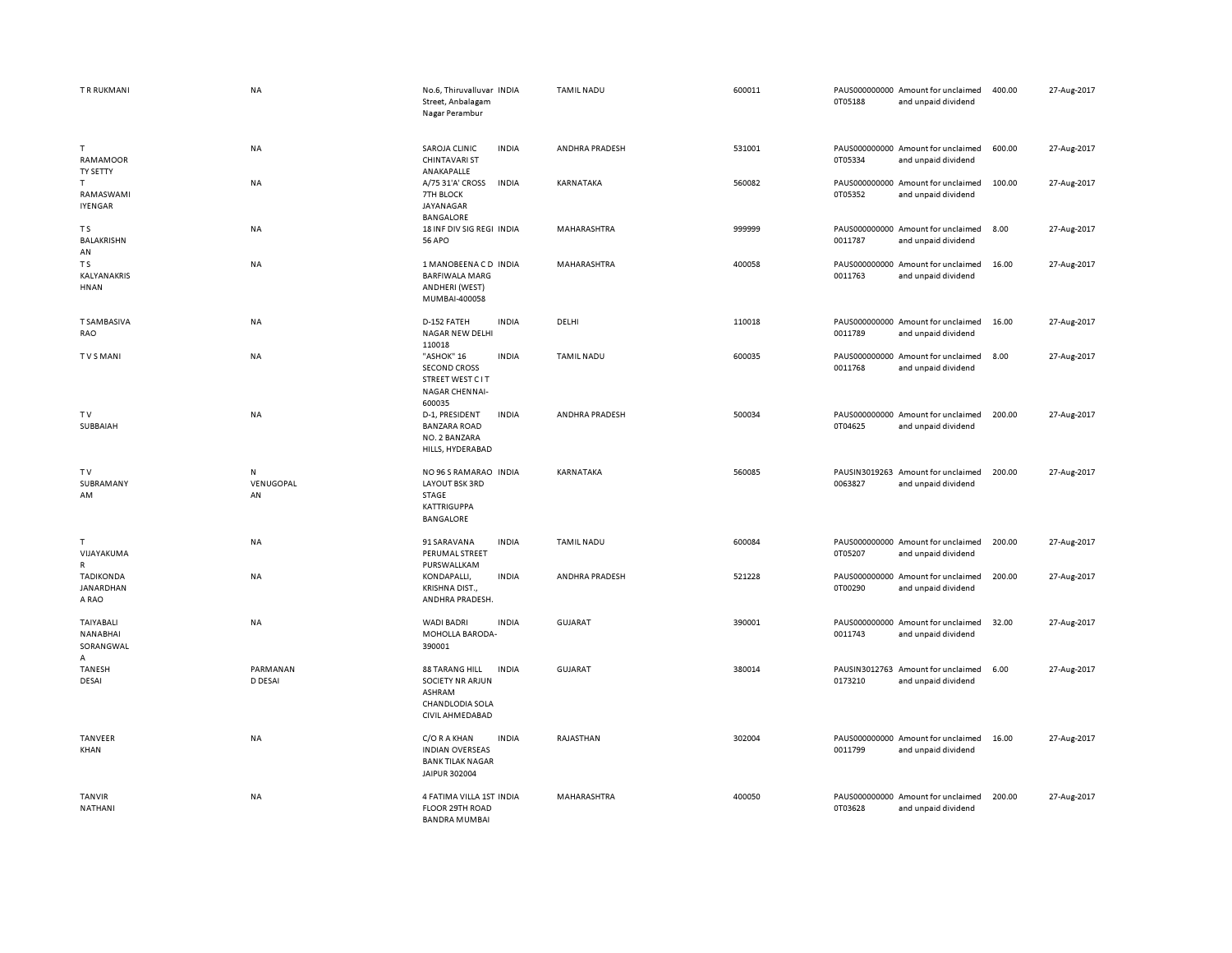| T R RUKMANI                               | NA                   | No.6, Thiruvalluvar INDIA<br>Street, Anbalagam<br>Nagar Perambur                                                        | <b>TAMIL NADU</b>     | 600011 | 0T05188 | PAUS000000000 Amount for unclaimed<br>and unpaid dividend | 400.00 | 27-Aug-2017 |
|-------------------------------------------|----------------------|-------------------------------------------------------------------------------------------------------------------------|-----------------------|--------|---------|-----------------------------------------------------------|--------|-------------|
| T<br>RAMAMOOR<br>TY SETTY                 | NA                   | SAROJA CLINIC<br><b>INDIA</b><br><b>CHINTAVARI ST</b><br>ANAKAPALLE                                                     | ANDHRA PRADESH        | 531001 | 0T05334 | PAUS000000000 Amount for unclaimed<br>and unpaid dividend | 600.00 | 27-Aug-2017 |
| T<br>RAMASWAMI<br>IYENGAR                 | <b>NA</b>            | A/75 31'A' CROSS<br><b>INDIA</b><br>7TH BLOCK<br>JAYANAGAR<br><b>BANGALORE</b>                                          | KARNATAKA             | 560082 | 0T05352 | PAUS000000000 Amount for unclaimed<br>and unpaid dividend | 100.00 | 27-Aug-2017 |
| T <sub>S</sub><br><b>BALAKRISHN</b><br>AN | <b>NA</b>            | 18 INF DIV SIG REGI INDIA<br><b>56 APO</b>                                                                              | <b>MAHARASHTRA</b>    | 999999 | 0011787 | PAUS000000000 Amount for unclaimed<br>and unpaid dividend | 8.00   | 27-Aug-2017 |
| T S<br>KALYANAKRIS<br>HNAN                | <b>NA</b>            | 1 MANOBEENACD INDIA<br><b>BARFIWALA MARG</b><br>ANDHERI (WEST)<br>MUMBAI-400058                                         | MAHARASHTRA           | 400058 | 0011763 | PAUS000000000 Amount for unclaimed<br>and unpaid dividend | 16.00  | 27-Aug-2017 |
| <b>T SAMBASIVA</b><br>RAO                 | NA                   | D-152 FATEH<br><b>INDIA</b><br>NAGAR NEW DELHI<br>110018                                                                | DELHI                 | 110018 | 0011789 | PAUS000000000 Amount for unclaimed<br>and unpaid dividend | 16.00  | 27-Aug-2017 |
| <b>TVSMANI</b>                            | NA                   | "ASHOK" 16<br><b>INDIA</b><br><b>SECOND CROSS</b><br><b>STREET WEST CIT</b><br>NAGAR CHENNAI-<br>600035                 | <b>TAMIL NADU</b>     | 600035 | 0011768 | PAUS000000000 Amount for unclaimed<br>and unpaid dividend | 8.00   | 27-Aug-2017 |
| <b>TV</b><br>SUBBAIAH                     | NA                   | <b>INDIA</b><br>D-1, PRESIDENT<br><b>BANZARA ROAD</b><br>NO. 2 BANZARA<br>HILLS, HYDERABAD                              | <b>ANDHRA PRADESH</b> | 500034 | 0T04625 | PAUS000000000 Amount for unclaimed<br>and unpaid dividend | 200.00 | 27-Aug-2017 |
| TV<br>SUBRAMANY<br>AM                     | N<br>VENUGOPAL<br>AN | NO 96 S RAMARAO INDIA<br>LAYOUT BSK 3RD<br>STAGE<br><b>KATTRIGUPPA</b><br><b>BANGALORE</b>                              | KARNATAKA             | 560085 | 0063827 | PAUSIN3019263 Amount for unclaimed<br>and unpaid dividend | 200.00 | 27-Aug-2017 |
| т<br>VIJAYAKUMA<br>R                      | NA                   | <b>INDIA</b><br>91 SARAVANA<br>PERUMAL STREET<br>PURSWALLKAM                                                            | <b>TAMIL NADU</b>     | 600084 | 0T05207 | PAUS000000000 Amount for unclaimed<br>and unpaid dividend | 200.00 | 27-Aug-2017 |
| <b>TADIKONDA</b><br>JANARDHAN<br>A RAO    | <b>NA</b>            | KONDAPALLI,<br><b>INDIA</b><br><b>KRISHNA DIST.</b><br>ANDHRA PRADESH.                                                  | ANDHRA PRADESH        | 521228 | 0T00290 | PAUS000000000 Amount for unclaimed<br>and unpaid dividend | 200.00 | 27-Aug-2017 |
| TAIYABALI<br>NANABHAI<br>SORANGWAL<br>A   | <b>NA</b>            | <b>WADI BADRI</b><br><b>INDIA</b><br>MOHOLLA BARODA-<br>390001                                                          | GUJARAT               | 390001 | 0011743 | PAUS000000000 Amount for unclaimed<br>and unpaid dividend | 32.00  | 27-Aug-2017 |
| <b>TANESH</b><br>DESAI                    | PARMANAN<br>D DESAI  | <b>88 TARANG HILL</b><br><b>INDIA</b><br><b>SOCIETY NR ARJUN</b><br>ASHRAM<br><b>CHANDLODIA SOLA</b><br>CIVIL AHMEDABAD | <b>GUJARAT</b>        | 380014 | 0173210 | PAUSIN3012763 Amount for unclaimed<br>and unpaid dividend | 6.00   | 27-Aug-2017 |
| TANVEER<br>KHAN                           | NA                   | C/O R A KHAN<br><b>INDIA</b><br><b>INDIAN OVERSEAS</b><br><b>BANK TILAK NAGAR</b><br>JAIPUR 302004                      | RAJASTHAN             | 302004 | 0011799 | PAUS000000000 Amount for unclaimed<br>and unpaid dividend | 16.00  | 27-Aug-2017 |
| <b>TANVIR</b><br>NATHANI                  | NA                   | 4 FATIMA VILLA 1ST INDIA<br>FLOOR 29TH ROAD<br><b>BANDRA MUMBAL</b>                                                     | MAHARASHTRA           | 400050 | 0T03628 | PAUS000000000 Amount for unclaimed<br>and unpaid dividend | 200.00 | 27-Aug-2017 |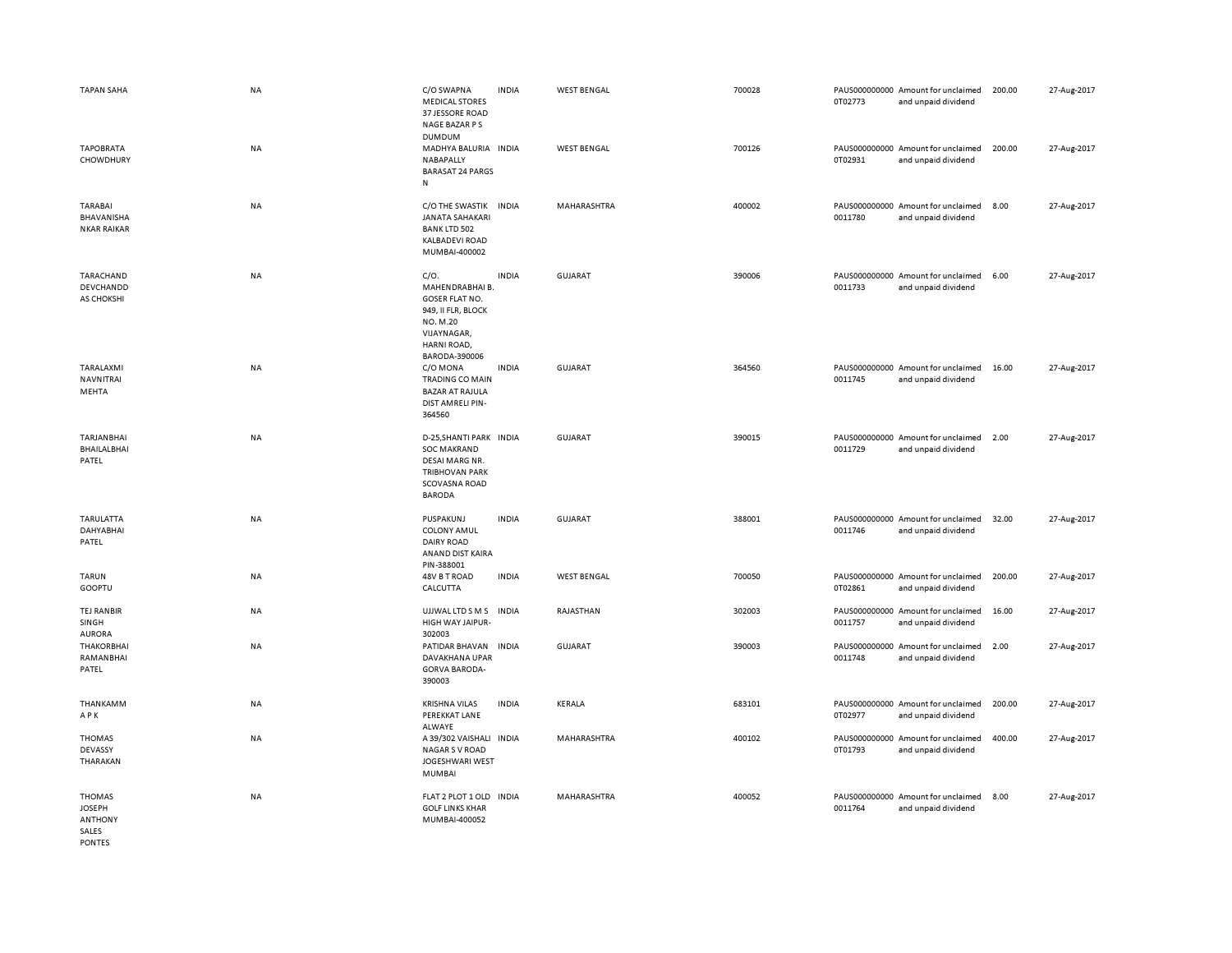| <b>TAPAN SAHA</b>                                                   | <b>NA</b> | C/O SWAPNA<br><b>MEDICAL STORES</b><br>37 JESSORE ROAD<br>NAGE BAZAR P S                                                   | <b>INDIA</b> | <b>WEST BENGAL</b> | 700028 | 0T02773                  | PAUS000000000 Amount for unclaimed<br>and unpaid dividend | 200.00 | 27-Aug-2017 |
|---------------------------------------------------------------------|-----------|----------------------------------------------------------------------------------------------------------------------------|--------------|--------------------|--------|--------------------------|-----------------------------------------------------------|--------|-------------|
| <b>TAPOBRATA</b><br>CHOWDHURY                                       | <b>NA</b> | DUMDUM<br>MADHYA BALURIA INDIA<br>NABAPALLY<br><b>BARASAT 24 PARGS</b><br>N                                                |              | <b>WEST BENGAL</b> | 700126 | 0T02931                  | PAUS000000000 Amount for unclaimed<br>and unpaid dividend | 200.00 | 27-Aug-2017 |
| TARABAI<br>BHAVANISHA<br><b>NKAR RAIKAR</b>                         | <b>NA</b> | C/O THE SWASTIK<br><b>JANATA SAHAKARI</b><br><b>BANK LTD 502</b><br><b>KALBADEVI ROAD</b><br>MUMBAI-400002                 | <b>INDIA</b> | MAHARASHTRA        | 400002 | 0011780                  | PAUS000000000 Amount for unclaimed<br>and unpaid dividend | 8.00   | 27-Aug-2017 |
| TARACHAND<br>DEVCHANDD<br>AS CHOKSHI                                | <b>NA</b> | C/O.<br>MAHENDRABHAI B.<br>GOSER FLAT NO.<br>949, II FLR, BLOCK<br>NO. M.20<br>VIJAYNAGAR,<br>HARNI ROAD,<br>BARODA-390006 | <b>INDIA</b> | <b>GUJARAT</b>     | 390006 | 0011733                  | PAUS000000000 Amount for unclaimed<br>and unpaid dividend | 6.00   | 27-Aug-2017 |
| TARALAXMI<br>NAVNITRAI<br>MEHTA                                     | <b>NA</b> | C/O MONA<br>TRADING CO MAIN<br><b>BAZAR AT RAJULA</b><br>DIST AMRELI PIN-<br>364560                                        | <b>INDIA</b> | <b>GUJARAT</b>     | 364560 | 0011745                  | PAUS000000000 Amount for unclaimed<br>and unpaid dividend | 16.00  | 27-Aug-2017 |
| <b>TARJANBHAI</b><br>BHAILALBHAI<br>PATEL                           | <b>NA</b> | D-25.SHANTI PARK INDIA<br><b>SOC MAKRAND</b><br>DESAI MARG NR.<br><b>TRIBHOVAN PARK</b><br>SCOVASNA ROAD<br><b>BARODA</b>  |              | <b>GUJARAT</b>     | 390015 | 0011729                  | PAUS000000000 Amount for unclaimed<br>and unpaid dividend | 2.00   | 27-Aug-2017 |
| TARULATTA<br>DAHYABHAI<br>PATEL                                     | <b>NA</b> | PUSPAKUNJ<br><b>COLONY AMUL</b><br><b>DAIRY ROAD</b><br>ANAND DIST KAIRA<br>PIN-388001                                     | <b>INDIA</b> | <b>GUJARAT</b>     | 388001 | 0011746                  | PAUS000000000 Amount for unclaimed<br>and unpaid dividend | 32.00  | 27-Aug-2017 |
| <b>TARUN</b><br>GOOPTU                                              | NA        | 48V B T ROAD<br>CALCUTTA                                                                                                   | <b>INDIA</b> | <b>WEST BENGAL</b> | 700050 | 0T02861                  | PAUS000000000 Amount for unclaimed<br>and unpaid dividend | 200.00 | 27-Aug-2017 |
| <b>TEJ RANBIR</b><br>SINGH<br><b>AURORA</b>                         | <b>NA</b> | UJJWAL LTD S M S<br>HIGH WAY JAIPUR-<br>302003                                                                             | <b>INDIA</b> | RAJASTHAN          | 302003 | PAUS000000000<br>0011757 | Amount for unclaimed<br>and unpaid dividend               | 16.00  | 27-Aug-2017 |
| <b>THAKORBHAI</b><br>RAMANBHAI<br>PATEL                             | <b>NA</b> | PATIDAR BHAVAN<br>DAVAKHANA UPAR<br><b>GORVA BARODA-</b><br>390003                                                         | <b>INDIA</b> | GUJARAT            | 390003 | 0011748                  | PAUS000000000 Amount for unclaimed<br>and unpaid dividend | 2.00   | 27-Aug-2017 |
| THANKAMM<br>APK                                                     | NA        | <b>KRISHNA VILAS</b><br>PEREKKAT LANE<br>ALWAYE                                                                            | <b>INDIA</b> | KERALA             | 683101 | 0T02977                  | PAUS000000000 Amount for unclaimed<br>and unpaid dividend | 200.00 | 27-Aug-2017 |
| THOMAS<br>DEVASSY<br>THARAKAN                                       | <b>NA</b> | A 39/302 VAISHALI<br><b>NAGAR S V ROAD</b><br>JOGESHWARI WEST<br>MUMBAI                                                    | <b>INDIA</b> | MAHARASHTRA        | 400102 | 0T01793                  | PAUS000000000 Amount for unclaimed<br>and unpaid dividend | 400.00 | 27-Aug-2017 |
| THOMAS<br><b>JOSEPH</b><br><b>ANTHONY</b><br>SALES<br><b>PONTES</b> | NA        | FLAT 2 PLOT 1 OLD<br><b>GOLF LINKS KHAR</b><br>MUMBAI-400052                                                               | INDIA        | MAHARASHTRA        | 400052 | 0011764                  | PAUS000000000 Amount for unclaimed<br>and unpaid dividend | 8.00   | 27-Aug-2017 |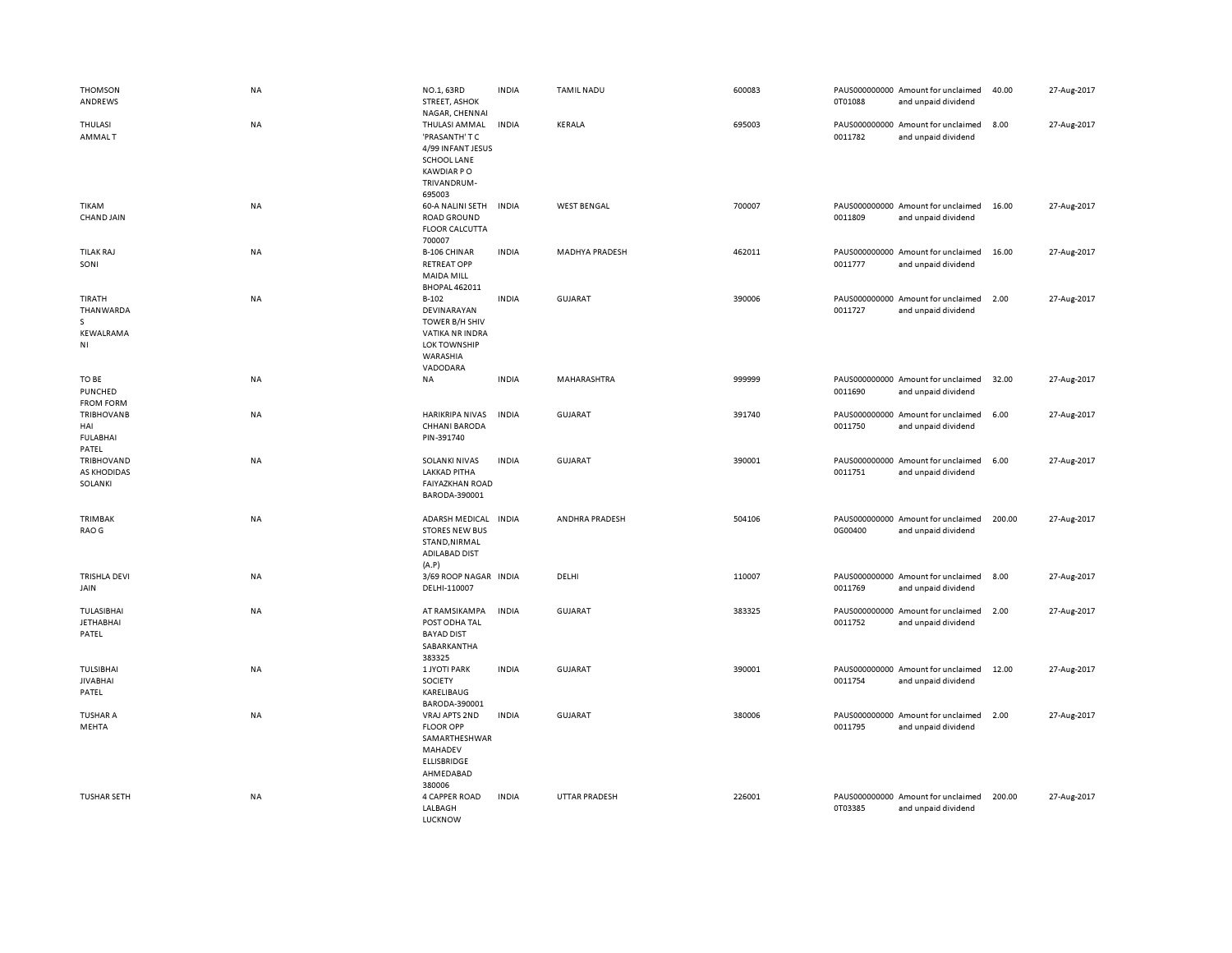| <b>THOMSON</b><br>ANDREWS                            | <b>NA</b> | NO.1, 63RD<br><b>STREET, ASHOK</b><br>NAGAR, CHENNAI                                                                     | <b>INDIA</b> | <b>TAMIL NADU</b>     | 600083 | PAUS000000000 Amount for unclaimed<br>0T01088<br>and unpaid dividend | 40.00  | 27-Aug-2017 |
|------------------------------------------------------|-----------|--------------------------------------------------------------------------------------------------------------------------|--------------|-----------------------|--------|----------------------------------------------------------------------|--------|-------------|
| THULASI<br><b>AMMALT</b>                             | NA        | THULASI AMMAL<br>'PRASANTH' T C<br>4/99 INFANT JESUS<br><b>SCHOOL LANE</b><br><b>KAWDIAR PO</b><br>TRIVANDRUM-<br>695003 | <b>INDIA</b> | KERALA                | 695003 | PAUS000000000 Amount for unclaimed<br>0011782<br>and unpaid dividend | 8.00   | 27-Aug-2017 |
| TIKAM<br>CHAND JAIN                                  | NA        | 60-A NALINI SETH<br><b>ROAD GROUND</b><br><b>FLOOR CALCUTTA</b><br>700007                                                | <b>INDIA</b> | <b>WEST BENGAL</b>    | 700007 | PAUS000000000 Amount for unclaimed<br>0011809<br>and unpaid dividend | 16.00  | 27-Aug-2017 |
| <b>TILAK RAJ</b><br>SONI                             | <b>NA</b> | <b>B-106 CHINAR</b><br><b>RETREAT OPP</b><br><b>MAIDA MILL</b><br><b>BHOPAL 462011</b>                                   | <b>INDIA</b> | MADHYA PRADESH        | 462011 | PAUS000000000 Amount for unclaimed<br>0011777<br>and unpaid dividend | 16.00  | 27-Aug-2017 |
| TIRATH<br>THANWARDA<br>s<br>KEWALRAMA<br>ΝI          | <b>NA</b> | $B-102$<br>DEVINARAYAN<br>TOWER B/H SHIV<br>VATIKA NR INDRA<br><b>LOK TOWNSHIP</b><br>WARASHIA<br>VADODARA               | <b>INDIA</b> | <b>GUJARAT</b>        | 390006 | PAUS000000000 Amount for unclaimed<br>0011727<br>and unpaid dividend | 2.00   | 27-Aug-2017 |
| TO BE<br>PUNCHED<br><b>FROM FORM</b>                 | NA        | NA                                                                                                                       | <b>INDIA</b> | MAHARASHTRA           | 999999 | PAUS000000000 Amount for unclaimed<br>0011690<br>and unpaid dividend | 32.00  | 27-Aug-2017 |
| <b>TRIBHOVANB</b><br>HAI<br><b>FULABHAI</b><br>PATEL | NA        | <b>HARIKRIPA NIVAS</b><br><b>CHHANI BARODA</b><br>PIN-391740                                                             | <b>INDIA</b> | <b>GUJARAT</b>        | 391740 | PAUS000000000 Amount for unclaimed<br>0011750<br>and unpaid dividend | 6.00   | 27-Aug-2017 |
| TRIBHOVAND<br>AS KHODIDAS<br>SOLANKI                 | NA        | SOLANKI NIVAS<br><b>LAKKAD PITHA</b><br><b>FAIYAZKHAN ROAD</b><br>BARODA-390001                                          | <b>INDIA</b> | <b>GUJARAT</b>        | 390001 | PAUS000000000 Amount for unclaimed<br>0011751<br>and unpaid dividend | 6.00   | 27-Aug-2017 |
| TRIMBAK<br>RAO G                                     | NA        | <b>ADARSH MEDICAL</b><br><b>STORES NEW BUS</b><br>STAND, NIRMAL<br><b>ADILABAD DIST</b><br>(A.P)                         | <b>INDIA</b> | <b>ANDHRA PRADESH</b> | 504106 | PAUS000000000 Amount for unclaimed<br>0G00400<br>and unpaid dividend | 200.00 | 27-Aug-2017 |
| <b>TRISHLA DEVI</b><br>JAIN                          | NA        | 3/69 ROOP NAGAR INDIA<br>DELHI-110007                                                                                    |              | DELHI                 | 110007 | PAUS000000000 Amount for unclaimed<br>0011769<br>and unpaid dividend | 8.00   | 27-Aug-2017 |
| TULASIBHAI<br><b>JETHABHAI</b><br>PATEL              | NA        | AT RAMSIKAMPA<br>POST ODHA TAL<br><b>BAYAD DIST</b><br>SABARKANTHA<br>383325                                             | <b>INDIA</b> | <b>GUJARAT</b>        | 383325 | PAUS000000000 Amount for unclaimed<br>0011752<br>and unpaid dividend | 2.00   | 27-Aug-2017 |
| TULSIBHAI<br><b>JIVABHAI</b><br>PATEL                | NA        | <b>1 JYOTI PARK</b><br>SOCIETY<br>KARELIBAUG<br>BARODA-390001                                                            | <b>INDIA</b> | <b>GUJARAT</b>        | 390001 | PAUS000000000 Amount for unclaimed<br>0011754<br>and unpaid dividend | 12.00  | 27-Aug-2017 |
| <b>TUSHAR A</b><br>MEHTA                             | NA        | VRAJ APTS 2ND<br><b>FLOOR OPP</b><br>SAMARTHESHWAR<br>MAHADEV<br>ELLISBRIDGE<br>AHMEDABAD<br>380006                      | <b>INDIA</b> | <b>GUJARAT</b>        | 380006 | PAUS000000000 Amount for unclaimed<br>0011795<br>and unpaid dividend | 2.00   | 27-Aug-2017 |
| <b>TUSHAR SETH</b>                                   | <b>NA</b> | <b>4 CAPPER ROAD</b><br>LALBAGH<br>LUCKNOW                                                                               | <b>INDIA</b> | UTTAR PRADESH         | 226001 | PAUS000000000 Amount for unclaimed<br>0T03385<br>and unpaid dividend | 200.00 | 27-Aug-2017 |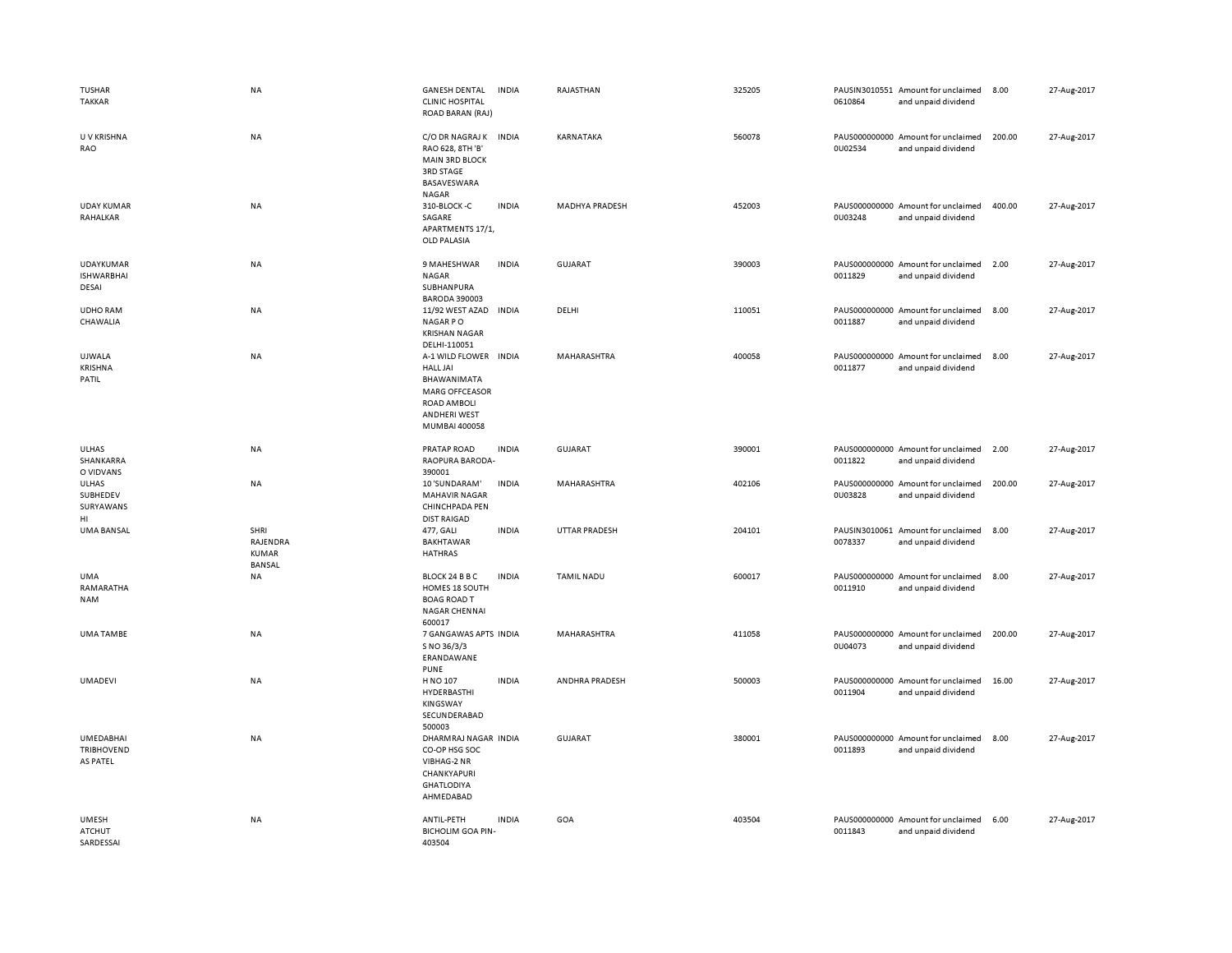| TUSHAR<br><b>TAKKAR</b>                           | <b>NA</b>                                  | <b>GANESH DENTAL</b><br><b>INDIA</b><br><b>CLINIC HOSPITAL</b><br>ROAD BARAN (RAJ)                                                                | RAJASTHAN            | 325205 | 0610864 | PAUSIN3010551 Amount for unclaimed<br>and unpaid dividend | 8.00   | 27-Aug-2017 |
|---------------------------------------------------|--------------------------------------------|---------------------------------------------------------------------------------------------------------------------------------------------------|----------------------|--------|---------|-----------------------------------------------------------|--------|-------------|
| U V KRISHNA<br>RAO                                | NA                                         | C/O DR NAGRAJ K INDIA<br>RAO 628, 8TH 'B'<br><b>MAIN 3RD BLOCK</b><br>3RD STAGE<br>BASAVESWARA<br>NAGAR                                           | KARNATAKA            | 560078 | 0U02534 | PAUS000000000 Amount for unclaimed<br>and unpaid dividend | 200.00 | 27-Aug-2017 |
| <b>UDAY KUMAR</b><br>RAHALKAR                     | <b>NA</b>                                  | 310-BLOCK-C<br><b>INDIA</b><br>SAGARE<br>APARTMENTS 17/1,<br>OLD PALASIA                                                                          | MADHYA PRADESH       | 452003 | 0U03248 | PAUS000000000 Amount for unclaimed<br>and unpaid dividend | 400.00 | 27-Aug-2017 |
| <b>UDAYKUMAR</b><br><b>ISHWARBHAI</b><br>DESAI    | NA                                         | 9 MAHESHWAR<br><b>INDIA</b><br>NAGAR<br>SUBHANPURA<br><b>BARODA 390003</b>                                                                        | <b>GUJARAT</b>       | 390003 | 0011829 | PAUS000000000 Amount for unclaimed<br>and unpaid dividend | 2.00   | 27-Aug-2017 |
| <b>UDHO RAM</b><br>CHAWALIA                       | NA                                         | 11/92 WEST AZAD INDIA<br>NAGAR PO<br><b>KRISHAN NAGAR</b><br>DELHI-110051                                                                         | DELHI                | 110051 | 0011887 | PAUS000000000 Amount for unclaimed<br>and unpaid dividend | 8.00   | 27-Aug-2017 |
| <b>UJWALA</b><br>KRISHNA<br>PATIL                 | <b>NA</b>                                  | A-1 WILD FLOWER<br><b>INDIA</b><br><b>HALL JAI</b><br>BHAWANIMATA<br><b>MARG OFFCEASOR</b><br>ROAD AMBOLI<br><b>ANDHERI WEST</b><br>MUMBAI 400058 | MAHARASHTRA          | 400058 | 0011877 | PAUS000000000 Amount for unclaimed<br>and unpaid dividend | 8.00   | 27-Aug-2017 |
| <b>ULHAS</b><br>SHANKARRA<br>O VIDVANS            | NA                                         | <b>INDIA</b><br>PRATAP ROAD<br>RAOPURA BARODA-<br>390001                                                                                          | <b>GUJARAT</b>       | 390001 | 0011822 | PAUS000000000 Amount for unclaimed<br>and unpaid dividend | 2.00   | 27-Aug-2017 |
| ULHAS<br>SUBHEDEV<br>SURYAWANS<br>HI.             | NA                                         | 10 'SUNDARAM'<br>INDIA<br><b>MAHAVIR NAGAR</b><br>CHINCHPADA PEN<br><b>DIST RAIGAD</b>                                                            | MAHARASHTRA          | 402106 | 0U03828 | PAUS000000000 Amount for unclaimed<br>and unpaid dividend | 200.00 | 27-Aug-2017 |
| <b>UMA BANSAL</b>                                 | SHRI<br>RAJENDRA<br>KUMAR<br><b>BANSAL</b> | <b>INDIA</b><br>477, GALI<br><b>BAKHTAWAR</b><br><b>HATHRAS</b>                                                                                   | <b>UTTAR PRADESH</b> | 204101 | 0078337 | PAUSIN3010061 Amount for unclaimed<br>and unpaid dividend | 8.00   | 27-Aug-2017 |
| UMA<br>RAMARATHA<br><b>NAM</b>                    | NA                                         | BLOCK 24 B B C<br><b>INDIA</b><br>HOMES 18 SOUTH<br><b>BOAG ROAD T</b><br><b>NAGAR CHENNAI</b><br>600017                                          | TAMIL NADU           | 600017 | 0011910 | PAUS000000000 Amount for unclaimed<br>and unpaid dividend | 8.00   | 27-Aug-2017 |
| <b>UMA TAMBE</b>                                  | NA                                         | 7 GANGAWAS APTS INDIA<br>S NO 36/3/3<br>ERANDAWANE<br><b>PUNE</b>                                                                                 | MAHARASHTRA          | 411058 | 0U04073 | PAUS000000000 Amount for unclaimed<br>and unpaid dividend | 200.00 | 27-Aug-2017 |
| <b>UMADEVI</b>                                    | NA                                         | H NO 107<br><b>INDIA</b><br>HYDERBASTHI<br><b>KINGSWAY</b><br>SECUNDERABAD<br>500003                                                              | ANDHRA PRADESH       | 500003 | 0011904 | PAUS000000000 Amount for unclaimed<br>and unpaid dividend | 16.00  | 27-Aug-2017 |
| <b>UMEDABHAI</b><br><b>TRIBHOVEND</b><br>AS PATEL | <b>NA</b>                                  | DHARMRAJ NAGAR INDIA<br>CO-OP HSG SOC<br>VIBHAG-2 NR<br>CHANKYAPURI<br><b>GHATLODIYA</b><br>AHMEDABAD                                             | <b>GUJARAT</b>       | 380001 | 0011893 | PAUS000000000 Amount for unclaimed<br>and unpaid dividend | 8.00   | 27-Aug-2017 |
| <b>UMESH</b><br><b>ATCHUT</b><br>SARDESSAI        | <b>NA</b>                                  | ANTIL-PETH<br><b>INDIA</b><br><b>BICHOLIM GOA PIN-</b><br>403504                                                                                  | GOA                  | 403504 | 0011843 | PAUS000000000 Amount for unclaimed<br>and unpaid dividend | 6.00   | 27-Aug-2017 |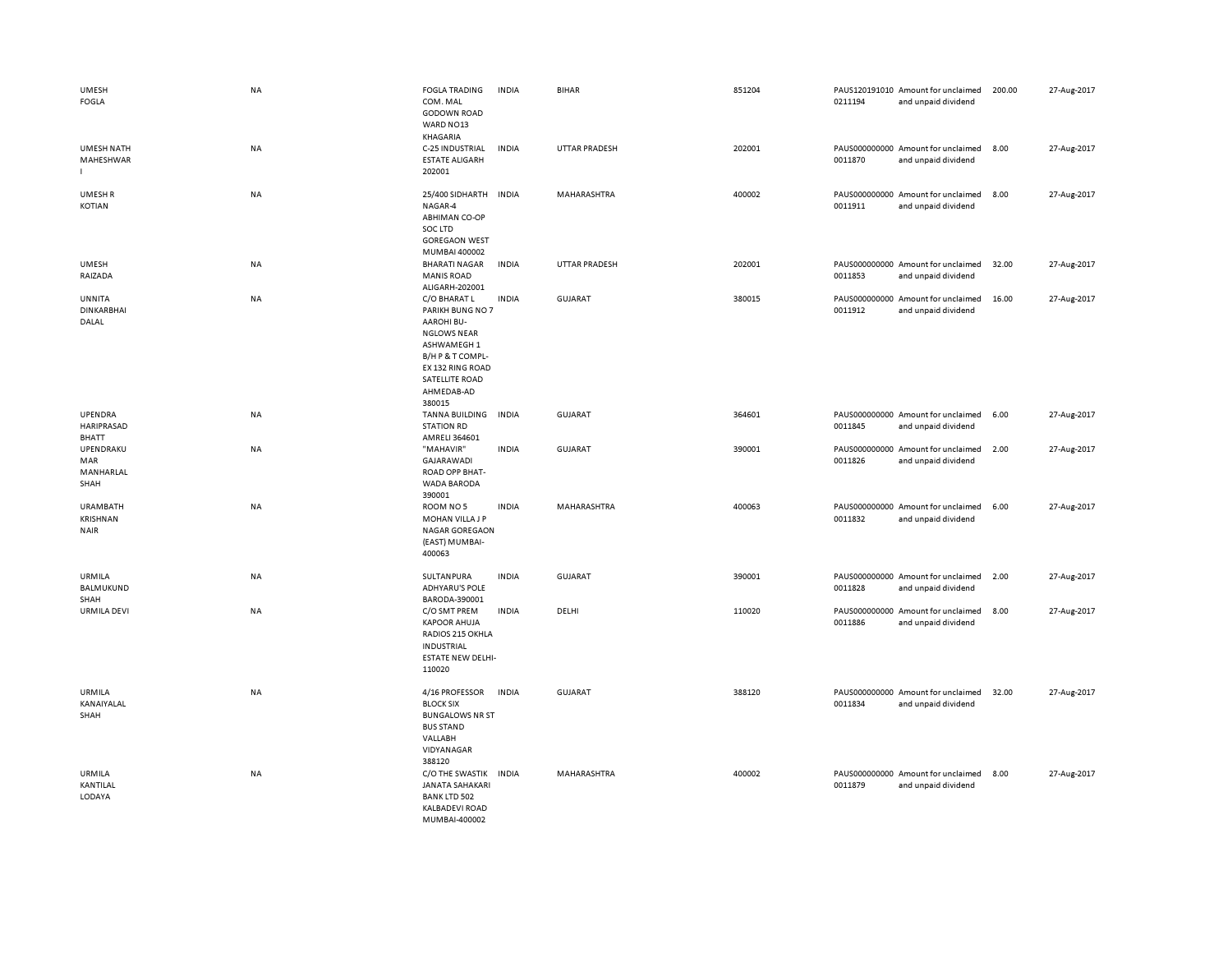| <b>UMESH</b><br><b>FOGLA</b>               | <b>NA</b> | <b>FOGLA TRADING</b><br>COM. MAL<br><b>GODOWN ROAD</b><br>WARD NO13<br>KHAGARIA                                                                                              | <b>INDIA</b> | <b>BIHAR</b>         | 851204 | 0211194 | PAUS120191010 Amount for unclaimed<br>and unpaid dividend | 200.00 | 27-Aug-2017 |
|--------------------------------------------|-----------|------------------------------------------------------------------------------------------------------------------------------------------------------------------------------|--------------|----------------------|--------|---------|-----------------------------------------------------------|--------|-------------|
| <b>UMESH NATH</b><br>MAHESHWAR             | NA        | C-25 INDUSTRIAL<br><b>ESTATE ALIGARH</b><br>202001                                                                                                                           | <b>INDIA</b> | <b>UTTAR PRADESH</b> | 202001 | 0011870 | PAUS000000000 Amount for unclaimed<br>and unpaid dividend | 8.00   | 27-Aug-2017 |
| UMESH R<br><b>KOTIAN</b>                   | NA        | 25/400 SIDHARTH<br>NAGAR-4<br><b>ABHIMAN CO-OP</b><br>SOC LTD<br><b>GOREGAON WEST</b><br>MUMBAI 400002                                                                       | <b>INDIA</b> | MAHARASHTRA          | 400002 | 0011911 | PAUS000000000 Amount for unclaimed<br>and unpaid dividend | 8.00   | 27-Aug-2017 |
| <b>UMESH</b><br>RAIZADA                    | NA        | <b>BHARATI NAGAR</b><br><b>MANIS ROAD</b><br>ALIGARH-202001                                                                                                                  | <b>INDIA</b> | <b>UTTAR PRADESH</b> | 202001 | 0011853 | PAUS000000000 Amount for unclaimed<br>and unpaid dividend | 32.00  | 27-Aug-2017 |
| UNNITA<br><b>DINKARBHAI</b><br>DALAL       | <b>NA</b> | C/O BHARAT L<br>PARIKH BUNG NO 7<br><b>AAROHI BU-</b><br><b>NGLOWS NEAR</b><br>ASHWAMEGH 1<br>B/H P & T COMPL-<br>EX 132 RING ROAD<br>SATELLITE ROAD<br>AHMEDAB-AD<br>380015 | <b>INDIA</b> | GUJARAT              | 380015 | 0011912 | PAUS000000000 Amount for unclaimed<br>and unpaid dividend | 16.00  | 27-Aug-2017 |
| UPENDRA<br>HARIPRASAD<br>BHATT             | <b>NA</b> | <b>TANNA BUILDING</b><br><b>STATION RD</b><br>AMRELI 364601                                                                                                                  | <b>INDIA</b> | GUJARAT              | 364601 | 0011845 | PAUS000000000 Amount for unclaimed<br>and unpaid dividend | 6.00   | 27-Aug-2017 |
| UPENDRAKU<br>MAR<br>MANHARLAL<br>SHAH      | NA        | "MAHAVIR"<br>GAJARAWADI<br>ROAD OPP BHAT-<br>WADA BARODA<br>390001                                                                                                           | <b>INDIA</b> | <b>GUJARAT</b>       | 390001 | 0011826 | PAUS000000000 Amount for unclaimed<br>and unpaid dividend | 2.00   | 27-Aug-2017 |
| <b>URAMBATH</b><br>KRISHNAN<br><b>NAIR</b> | NA        | ROOM NO 5<br>MOHAN VILLA J P<br><b>NAGAR GOREGAON</b><br>(EAST) MUMBAI-<br>400063                                                                                            | <b>INDIA</b> | MAHARASHTRA          | 400063 | 0011832 | PAUS000000000 Amount for unclaimed<br>and unpaid dividend | 6.00   | 27-Aug-2017 |
| URMILA<br><b>BALMUKUND</b><br>SHAH         | NA        | SULTANPURA<br><b>ADHYARU'S POLE</b><br>BARODA-390001                                                                                                                         | <b>INDIA</b> | <b>GUJARAT</b>       | 390001 | 0011828 | PAUS000000000 Amount for unclaimed<br>and unpaid dividend | 2.00   | 27-Aug-2017 |
| <b>URMILA DEVI</b>                         | NA        | C/O SMT PREM<br><b>KAPOOR AHUJA</b><br>RADIOS 215 OKHLA<br><b>INDUSTRIAL</b><br><b>ESTATE NEW DELHI-</b><br>110020                                                           | <b>INDIA</b> | DELHI                | 110020 | 0011886 | PAUS000000000 Amount for unclaimed<br>and unpaid dividend | 8.00   | 27-Aug-2017 |
| URMILA<br>KANAIYALAL<br>SHAH               | <b>NA</b> | 4/16 PROFESSOR<br><b>BLOCK SIX</b><br><b>BUNGALOWS NR ST</b><br><b>BUS STAND</b><br>VALLABH<br>VIDYANAGAR<br>388120                                                          | <b>INDIA</b> | <b>GUJARAT</b>       | 388120 | 0011834 | PAUS000000000 Amount for unclaimed<br>and unpaid dividend | 32.00  | 27-Aug-2017 |
| <b>URMILA</b><br>KANTILAL<br>LODAYA        | <b>NA</b> | C/O THE SWASTIK<br><b>JANATA SAHAKARI</b><br><b>BANK LTD 502</b><br><b>KALBADEVI ROAD</b><br>MUMBAL400002                                                                    | <b>INDIA</b> | MAHARASHTRA          | 400002 | 0011879 | PAUS000000000 Amount for unclaimed<br>and unpaid dividend | 8.00   | 27-Aug-2017 |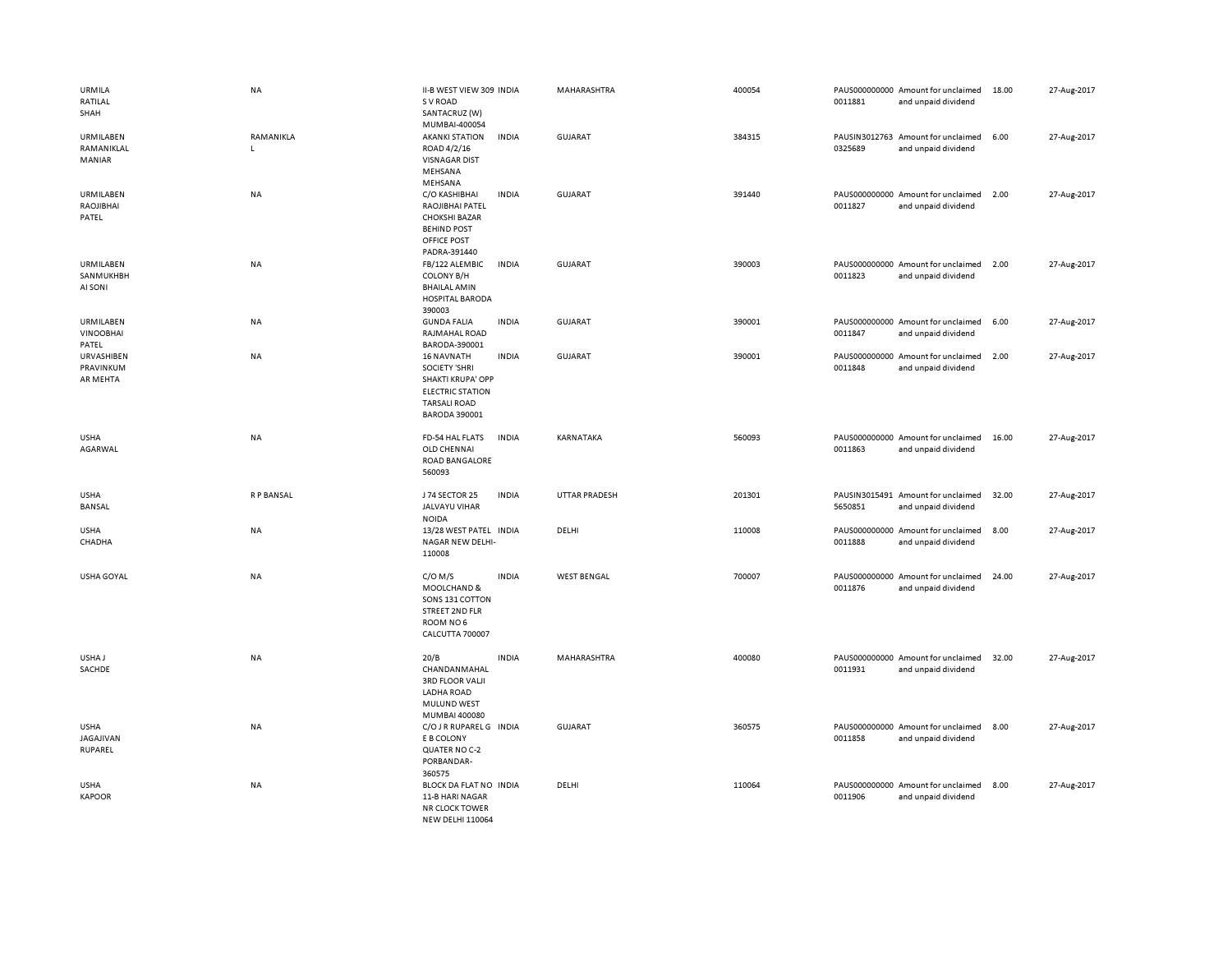| URMILA<br>RATILAL<br>SHAH              | NA             | II-B WEST VIEW 309 INDIA<br>S V ROAD<br>SANTACRUZ (W)                                                                                           |              | MAHARASHTRA          | 400054 | 0011881                  | PAUS000000000 Amount for unclaimed<br>and unpaid dividend | 18.00 | 27-Aug-2017 |
|----------------------------------------|----------------|-------------------------------------------------------------------------------------------------------------------------------------------------|--------------|----------------------|--------|--------------------------|-----------------------------------------------------------|-------|-------------|
| URMILABEN<br>RAMANIKLAL<br>MANIAR      | RAMANIKLA<br>L | MUMBAI-400054<br><b>AKANKI STATION</b><br>ROAD 4/2/16<br><b>VISNAGAR DIST</b><br>MEHSANA<br>MEHSANA                                             | <b>INDIA</b> | <b>GUJARAT</b>       | 384315 | 0325689                  | PAUSIN3012763 Amount for unclaimed<br>and unpaid dividend | 6.00  | 27-Aug-2017 |
| URMILABEN<br>RAOJIBHAI<br>PATEL        | <b>NA</b>      | C/O KASHIBHAI<br>RAOJIBHAI PATEL<br><b>CHOKSHI BAZAR</b><br><b>BEHIND POST</b><br>OFFICE POST<br>PADRA-391440                                   | <b>INDIA</b> | GUJARAT              | 391440 | 0011827                  | PAUS000000000 Amount for unclaimed<br>and unpaid dividend | 2.00  | 27-Aug-2017 |
| URMILABEN<br>SANMUKHBH<br>AI SONI      | <b>NA</b>      | FB/122 ALEMBIC<br><b>COLONY B/H</b><br><b>BHAILAL AMIN</b><br><b>HOSPITAL BARODA</b><br>390003                                                  | <b>INDIA</b> | <b>GUJARAT</b>       | 390003 | 0011823                  | PAUS000000000 Amount for unclaimed<br>and unpaid dividend | 2.00  | 27-Aug-2017 |
| URMILABEN<br><b>VINOOBHAI</b><br>PATEL | NA             | <b>GUNDA FALIA</b><br>RAJMAHAL ROAD<br>BARODA-390001                                                                                            | <b>INDIA</b> | <b>GUJARAT</b>       | 390001 | 0011847                  | PAUS000000000 Amount for unclaimed<br>and unpaid dividend | 6.00  | 27-Aug-2017 |
| URVASHIBEN<br>PRAVINKUM<br>AR MEHTA    | NA             | <b>16 NAVNATH</b><br><b>SOCIETY 'SHRI</b><br><b>SHAKTI KRUPA' OPP</b><br><b>ELECTRIC STATION</b><br><b>TARSALI ROAD</b><br><b>BARODA 390001</b> | <b>INDIA</b> | GUJARAT              | 390001 | 0011848                  | PAUS000000000 Amount for unclaimed<br>and unpaid dividend | 2.00  | 27-Aug-2017 |
| <b>USHA</b><br>AGARWAL                 | NA             | FD-54 HAL FLATS<br>OLD CHENNAI<br><b>ROAD BANGALORE</b><br>560093                                                                               | <b>INDIA</b> | KARNATAKA            | 560093 | 0011863                  | PAUS000000000 Amount for unclaimed<br>and unpaid dividend | 16.00 | 27-Aug-2017 |
| <b>USHA</b><br><b>BANSAL</b>           | R P BANSAL     | J 74 SECTOR 25<br><b>JALVAYU VIHAR</b><br><b>NOIDA</b>                                                                                          | <b>INDIA</b> | <b>UTTAR PRADESH</b> | 201301 | PAUSIN3015491<br>5650851 | Amount for unclaimed<br>and unpaid dividend               | 32.00 | 27-Aug-2017 |
| <b>USHA</b><br>CHADHA                  | NA             | 13/28 WEST PATEL INDIA<br>NAGAR NEW DELHI-<br>110008                                                                                            |              | DELHI                | 110008 | 0011888                  | PAUS000000000 Amount for unclaimed<br>and unpaid dividend | 8.00  | 27-Aug-2017 |
| USHA GOYAL                             | NA             | $C/O$ M/S<br>MOOLCHAND &<br>SONS 131 COTTON<br>STREET 2ND FLR<br>ROOM NO6<br>CALCUTTA 700007                                                    | <b>INDIA</b> | <b>WEST BENGAL</b>   | 700007 | 0011876                  | PAUS000000000 Amount for unclaimed<br>and unpaid dividend | 24.00 | 27-Aug-2017 |
| USHA J<br>SACHDE                       | NA             | 20/B<br>CHANDANMAHAL<br><b>3RD FLOOR VALII</b><br>LADHA ROAD<br><b>MULUND WEST</b><br>MUMBAI 400080                                             | <b>INDIA</b> | MAHARASHTRA          | 400080 | 0011931                  | PAUS000000000 Amount for unclaimed<br>and unpaid dividend | 32.00 | 27-Aug-2017 |
| <b>USHA</b><br>JAGAJIVAN<br>RUPAREL    | NA             | C/O J R RUPAREL G INDIA<br>E B COLONY<br>QUATER NO C-2<br>PORBANDAR-<br>360575                                                                  |              | <b>GUJARAT</b>       | 360575 | 0011858                  | PAUS000000000 Amount for unclaimed<br>and unpaid dividend | 8.00  | 27-Aug-2017 |
| <b>USHA</b><br><b>KAPOOR</b>           | NA             | BLOCK DA FLAT NO INDIA<br>11-B HARI NAGAR<br><b>NR CLOCK TOWER</b><br><b>NEW DELHI 110064</b>                                                   |              | DELHI                | 110064 | 0011906                  | PAUS000000000 Amount for unclaimed<br>and unpaid dividend | 8.00  | 27-Aug-2017 |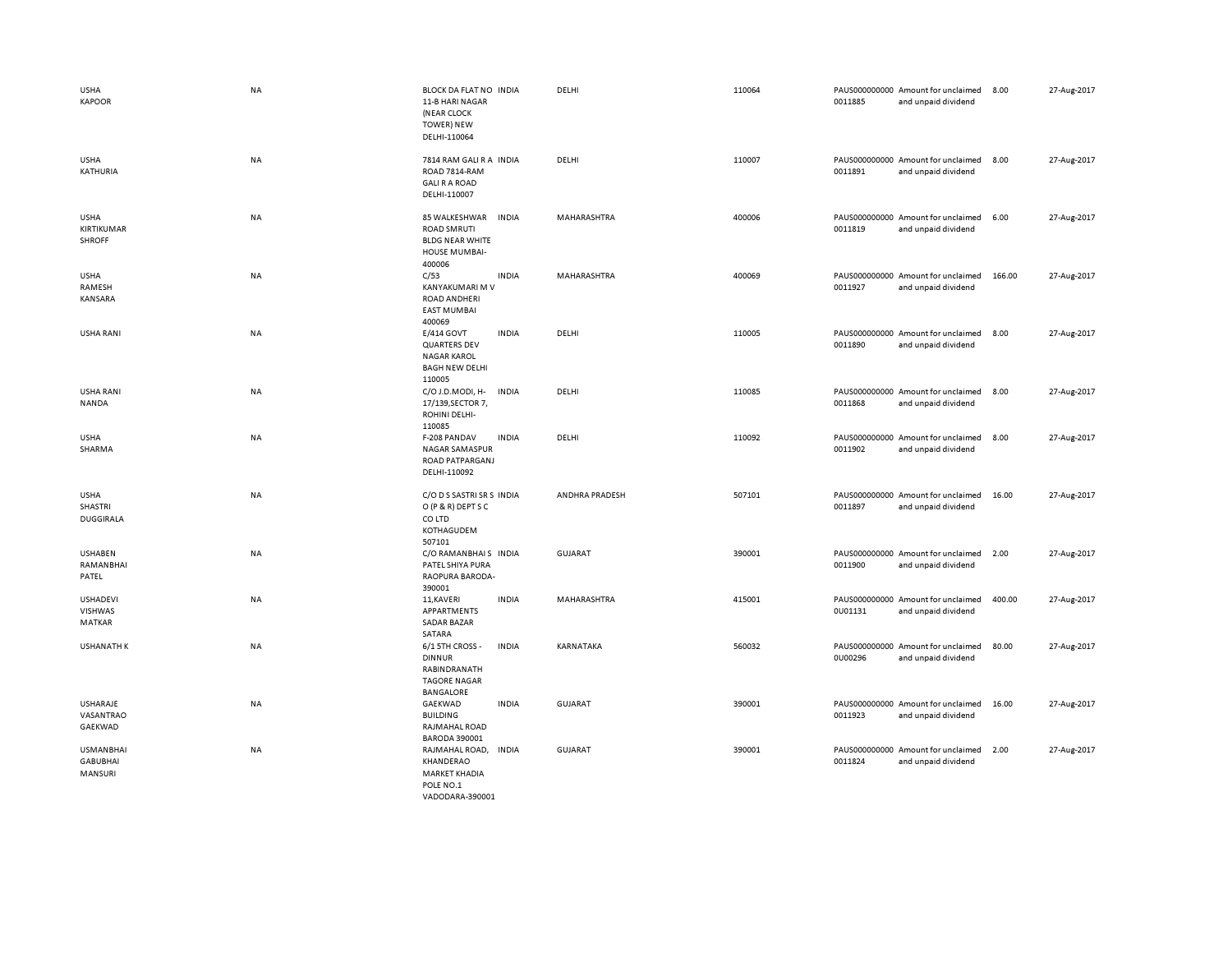| <b>USHA</b><br><b>KAPOOR</b>                   | <b>NA</b> | BLOCK DA FLAT NO INDIA<br>11-B HARI NAGAR<br>(NEAR CLOCK<br><b>TOWER) NEW</b><br>DELHI-110064                   |              | DELHI          | 110064 | 0011885 | PAUS000000000 Amount for unclaimed<br>and unpaid dividend | 8.00   | 27-Aug-2017 |
|------------------------------------------------|-----------|-----------------------------------------------------------------------------------------------------------------|--------------|----------------|--------|---------|-----------------------------------------------------------|--------|-------------|
| <b>USHA</b><br>KATHURIA                        | NA        | 7814 RAM GALI R A INDIA<br>ROAD 7814-RAM<br><b>GALI R A ROAD</b><br>DELHI-110007                                |              | DELHI          | 110007 | 0011891 | PAUS000000000 Amount for unclaimed<br>and unpaid dividend | 8.00   | 27-Aug-2017 |
| <b>USHA</b><br>KIRTIKUMAR<br><b>SHROFF</b>     | NA        | 85 WALKESHWAR<br><b>INDIA</b><br><b>ROAD SMRUTI</b><br><b>BLDG NEAR WHITE</b><br><b>HOUSE MUMBAI-</b><br>400006 |              | MAHARASHTRA    | 400006 | 0011819 | PAUS000000000 Amount for unclaimed<br>and unpaid dividend | 6.00   | 27-Aug-2017 |
| <b>USHA</b><br>RAMESH<br><b>KANSARA</b>        | NA        | C/53<br><b>INDIA</b><br>KANYAKUMARI M V<br><b>ROAD ANDHERI</b><br><b>EAST MUMBAI</b><br>400069                  |              | MAHARASHTRA    | 400069 | 0011927 | PAUS000000000 Amount for unclaimed<br>and unpaid dividend | 166.00 | 27-Aug-2017 |
| USHA RANI                                      | NA        | E/414 GOVT<br><b>INDIA</b><br><b>QUARTERS DEV</b><br><b>NAGAR KAROL</b><br><b>BAGH NEW DELHI</b><br>110005      |              | DELHI          | 110005 | 0011890 | PAUS000000000 Amount for unclaimed<br>and unpaid dividend | 8.00   | 27-Aug-2017 |
| USHA RANI<br>NANDA                             | NA        | C/O J.D.MODI, H-<br><b>INDIA</b><br>17/139, SECTOR 7,<br>ROHINI DELHI-<br>110085                                |              | DELHI          | 110085 | 0011868 | PAUS000000000 Amount for unclaimed<br>and unpaid dividend | 8.00   | 27-Aug-2017 |
| <b>USHA</b><br>SHARMA                          | NA        | F-208 PANDAV<br><b>INDIA</b><br><b>NAGAR SAMASPUR</b><br>ROAD PATPARGANJ<br>DELHI-110092                        |              | DELHI          | 110092 | 0011902 | PAUS000000000 Amount for unclaimed<br>and unpaid dividend | 8.00   | 27-Aug-2017 |
| <b>USHA</b><br>SHASTRI<br><b>DUGGIRALA</b>     | NA        | C/O D S SASTRI SR S INDIA<br>O (P & R) DEPT S C<br>CO LTD<br>KOTHAGUDEM<br>507101                               |              | ANDHRA PRADESH | 507101 | 0011897 | PAUS000000000 Amount for unclaimed<br>and unpaid dividend | 16.00  | 27-Aug-2017 |
| <b>USHABEN</b><br>RAMANBHAI<br>PATEL           | NA        | C/O RAMANBHAIS INDIA<br>PATEL SHIYA PURA<br>RAOPURA BARODA-<br>390001                                           |              | <b>GUJARAT</b> | 390001 | 0011900 | PAUS000000000 Amount for unclaimed<br>and unpaid dividend | 2.00   | 27-Aug-2017 |
| <b>USHADEVI</b><br><b>VISHWAS</b><br>MATKAR    | NA        | 11, KAVERI<br><b>INDIA</b><br>APPARTMENTS<br><b>SADAR BAZAR</b><br>SATARA                                       |              | MAHARASHTRA    | 415001 | 0U01131 | PAUS000000000 Amount for unclaimed<br>and unpaid dividend | 400.00 | 27-Aug-2017 |
| <b>USHANATH K</b>                              | NA        | 6/1 5TH CROSS -<br><b>DINNUR</b><br>RABINDRANATH<br><b>TAGORE NAGAR</b><br><b>BANGALORE</b>                     | <b>INDIA</b> | KARNATAKA      | 560032 | 0U00296 | PAUS000000000 Amount for unclaimed<br>and unpaid dividend | 80.00  | 27-Aug-2017 |
| <b>USHARAJE</b><br>VASANTRAO<br>GAEKWAD        | NA        | GAEKWAD<br><b>INDIA</b><br><b>BUILDING</b><br>RAJMAHAL ROAD<br><b>BARODA 390001</b>                             |              | <b>GUJARAT</b> | 390001 | 0011923 | PAUS000000000 Amount for unclaimed<br>and unpaid dividend | 16.00  | 27-Aug-2017 |
| <b>USMANBHAI</b><br><b>GABUBHAI</b><br>MANSURI | NA        | <b>INDIA</b><br>RAJMAHAL ROAD,<br>KHANDERAO<br><b>MARKET KHADIA</b><br>POLE NO.1<br>VADODARA-390001             |              | <b>GUJARAT</b> | 390001 | 0011824 | PAUS000000000 Amount for unclaimed<br>and unpaid dividend | 2.00   | 27-Aug-2017 |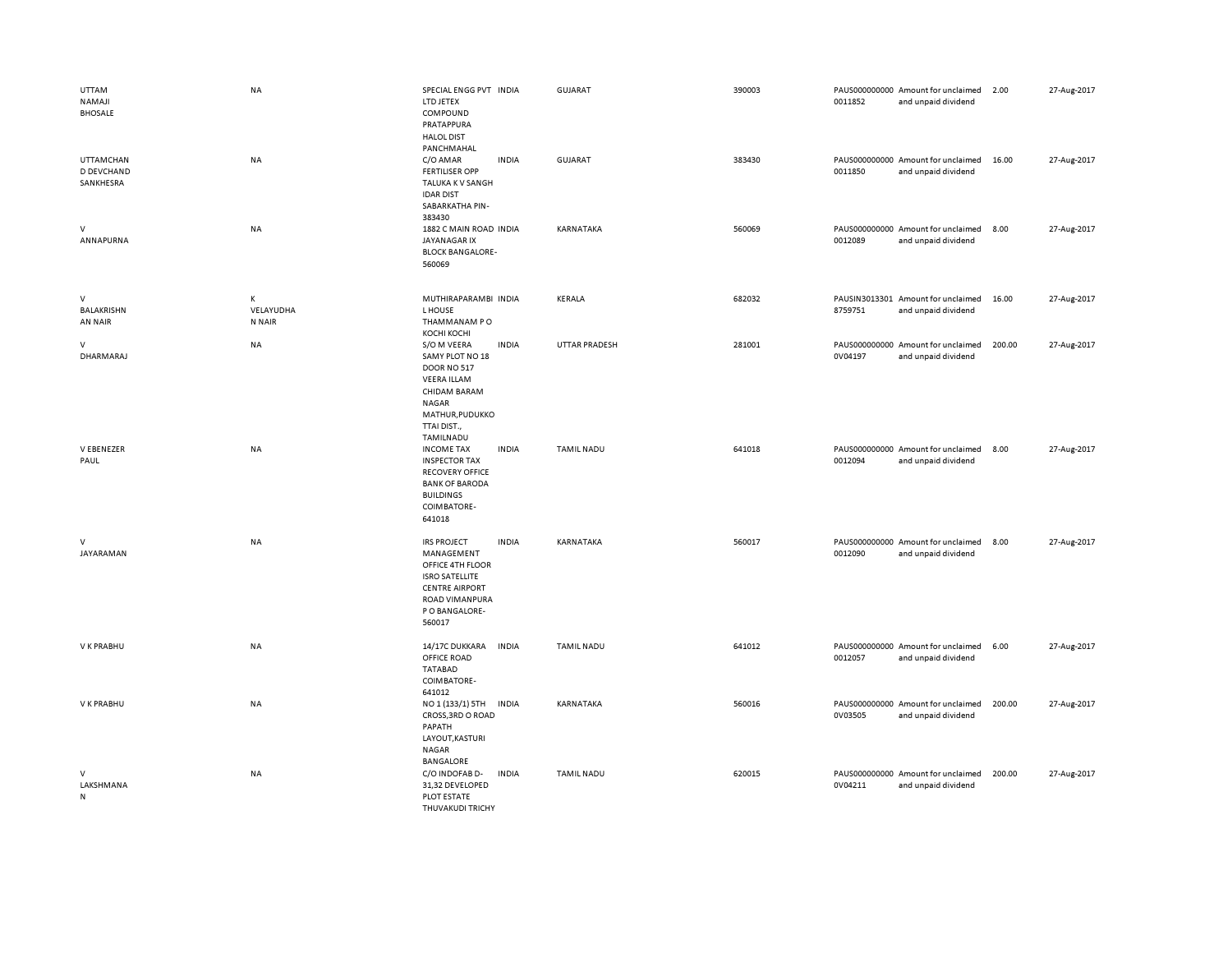| UTTAM<br>NAMAJI<br><b>BHOSALE</b>           | <b>NA</b>                | SPECIAL ENGG PVT INDIA<br>LTD JETEX<br>COMPOUND<br>PRATAPPURA<br><b>HALOL DIST</b>                                                                                        | GUJARAT           | 390003 | 0011852 | PAUS000000000 Amount for unclaimed<br>and unpaid dividend | 2.00   | 27-Aug-2017 |
|---------------------------------------------|--------------------------|---------------------------------------------------------------------------------------------------------------------------------------------------------------------------|-------------------|--------|---------|-----------------------------------------------------------|--------|-------------|
| <b>UTTAMCHAN</b><br>D DEVCHAND<br>SANKHESRA | <b>NA</b>                | PANCHMAHAL<br><b>INDIA</b><br>C/O AMAR<br><b>FERTILISER OPP</b><br>TALUKA K V SANGH<br><b>IDAR DIST</b><br>SABARKATHA PIN-<br>383430                                      | <b>GUJARAT</b>    | 383430 | 0011850 | PAUS000000000 Amount for unclaimed<br>and unpaid dividend | 16.00  | 27-Aug-2017 |
| V<br>ANNAPURNA                              | NA                       | 1882 C MAIN ROAD INDIA<br>JAYANAGAR IX<br><b>BLOCK BANGALORE-</b><br>560069                                                                                               | KARNATAKA         | 560069 | 0012089 | PAUS000000000 Amount for unclaimed<br>and unpaid dividend | 8.00   | 27-Aug-2017 |
| $\vee$<br>BALAKRISHN<br>AN NAIR             | К<br>VELAYUDHA<br>N NAIR | MUTHIRAPARAMBI INDIA<br>L HOUSE<br>THAMMANAM PO<br>КОСНІ КОСНІ                                                                                                            | KERALA            | 682032 | 8759751 | PAUSIN3013301 Amount for unclaimed<br>and unpaid dividend | 16.00  | 27-Aug-2017 |
| $\vee$<br>DHARMARAJ                         | <b>NA</b>                | S/O M VEERA<br><b>INDIA</b><br>SAMY PLOT NO 18<br><b>DOOR NO 517</b><br><b>VEERA ILLAM</b><br>CHIDAM BARAM<br><b>NAGAR</b><br>MATHUR, PUDUKKO<br>TTAI DIST.,<br>TAMILNADU | UTTAR PRADESH     | 281001 | 0V04197 | PAUS000000000 Amount for unclaimed<br>and unpaid dividend | 200.00 | 27-Aug-2017 |
| V EBENEZER<br>PAUL                          | <b>NA</b>                | <b>INDIA</b><br><b>INCOME TAX</b><br><b>INSPECTOR TAX</b><br><b>RECOVERY OFFICE</b><br><b>BANK OF BARODA</b><br><b>BUILDINGS</b><br>COIMBATORE-<br>641018                 | <b>TAMIL NADU</b> | 641018 | 0012094 | PAUS000000000 Amount for unclaimed<br>and unpaid dividend | 8.00   | 27-Aug-2017 |
| $\mathsf{V}$<br>JAYARAMAN                   | <b>NA</b>                | <b>INDIA</b><br><b>IRS PROJECT</b><br>MANAGEMENT<br>OFFICE 4TH FLOOR<br><b>ISRO SATELLITE</b><br><b>CENTRE AIRPORT</b><br>ROAD VIMANPURA<br>P O BANGALORE-<br>560017      | KARNATAKA         | 560017 | 0012090 | PAUS000000000 Amount for unclaimed<br>and unpaid dividend | 8.00   | 27-Aug-2017 |
| V K PRABHU                                  | <b>NA</b>                | 14/17C DUKKARA<br>INDIA<br>OFFICE ROAD<br><b>TATABAD</b><br>COIMBATORE-<br>641012                                                                                         | <b>TAMIL NADU</b> | 641012 | 0012057 | PAUS000000000 Amount for unclaimed<br>and unpaid dividend | 6.00   | 27-Aug-2017 |
| V K PRABHU                                  | <b>NA</b>                | NO 1 (133/1) 5TH<br><b>INDIA</b><br>CROSS, 3RD O ROAD<br>PAPATH<br>LAYOUT, KASTURI<br><b>NAGAR</b><br>BANGALORE                                                           | KARNATAKA         | 560016 | 0V03505 | PAUS000000000 Amount for unclaimed<br>and unpaid dividend | 200.00 | 27-Aug-2017 |
| $\vee$<br>LAKSHMANA<br>N                    | <b>NA</b>                | C/O INDOFAB D-<br><b>INDIA</b><br>31,32 DEVELOPED<br>PLOT ESTATE<br>THUVAKUDI TRICHY                                                                                      | TAMIL NADU        | 620015 | 0V04211 | PAUS000000000 Amount for unclaimed<br>and unpaid dividend | 200.00 | 27-Aug-2017 |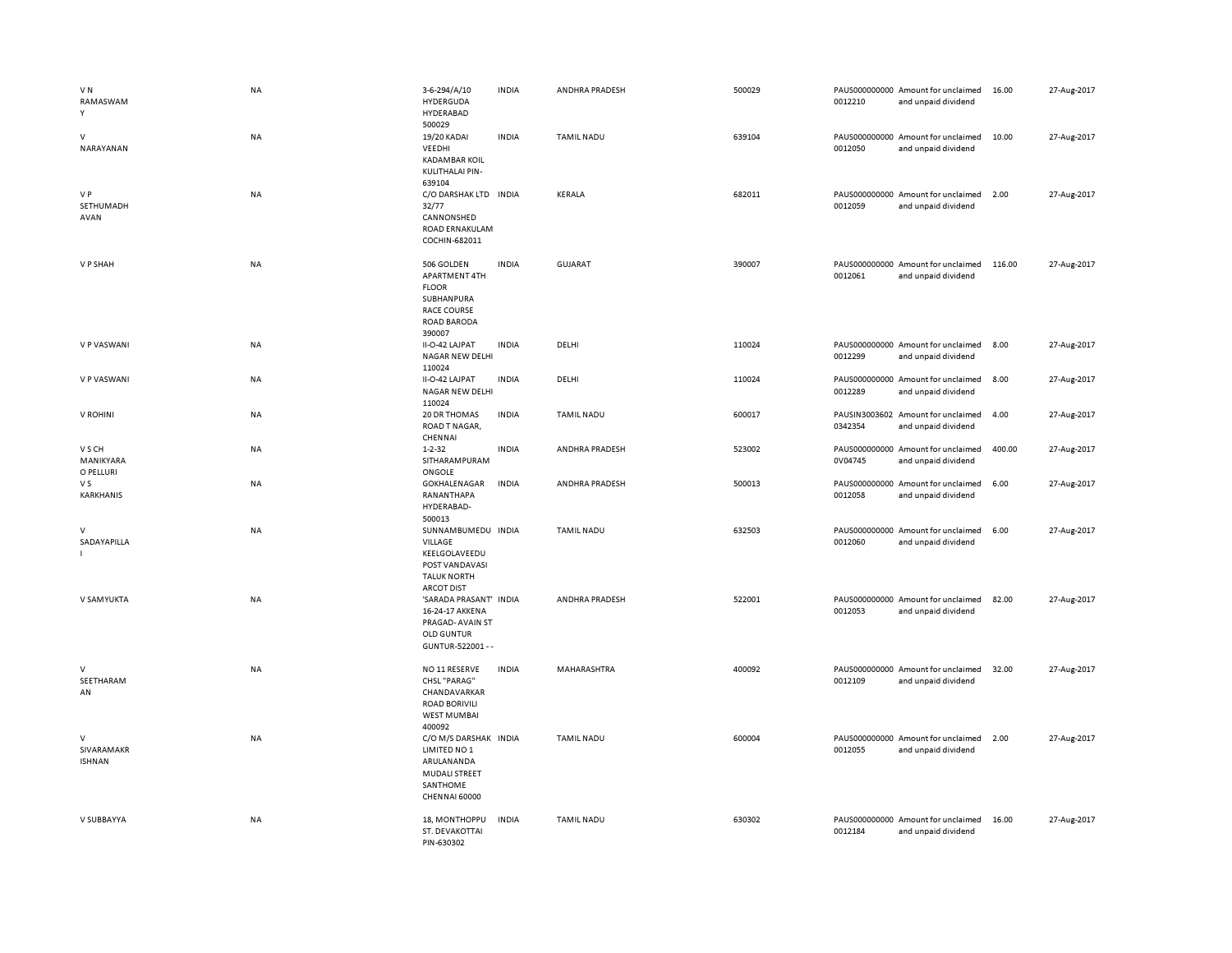| VN<br>RAMASWAM<br>Y              | NA        | 3-6-294/A/10<br>HYDERGUDA<br>HYDERABAD<br>500029                                                                   | <b>INDIA</b> | ANDHRA PRADESH    | 500029 | 0012210 | PAUS000000000 Amount for unclaimed<br>and unpaid dividend | 16.00  | 27-Aug-2017 |
|----------------------------------|-----------|--------------------------------------------------------------------------------------------------------------------|--------------|-------------------|--------|---------|-----------------------------------------------------------|--------|-------------|
| V<br>NARAYANAN                   | NA        | 19/20 KADAI<br>VEEDHI<br><b>KADAMBAR KOIL</b><br>KULITHALAI PIN-<br>639104                                         | <b>INDIA</b> | TAMIL NADU        | 639104 | 0012050 | PAUS000000000 Amount for unclaimed<br>and unpaid dividend | 10.00  | 27-Aug-2017 |
| V P<br>SETHUMADH<br>AVAN         | NA        | C/O DARSHAK LTD INDIA<br>32/77<br>CANNONSHED<br>ROAD ERNAKULAM<br>COCHIN-682011                                    |              | KERALA            | 682011 | 0012059 | PAUS000000000 Amount for unclaimed<br>and unpaid dividend | 2.00   | 27-Aug-2017 |
| V P SHAH                         | NA        | 506 GOLDEN<br>APARTMENT 4TH<br><b>FLOOR</b><br>SUBHANPURA<br><b>RACE COURSE</b><br><b>ROAD BARODA</b><br>390007    | <b>INDIA</b> | GUJARAT           | 390007 | 0012061 | PAUS000000000 Amount for unclaimed<br>and unpaid dividend | 116.00 | 27-Aug-2017 |
| V P VASWANI                      | NA        | II-O-42 LAJPAT<br><b>NAGAR NEW DELHI</b><br>110024                                                                 | <b>INDIA</b> | DELHI             | 110024 | 0012299 | PAUS000000000 Amount for unclaimed<br>and unpaid dividend | 8.00   | 27-Aug-2017 |
| V P VASWANI                      | <b>NA</b> | II-O-42 LAJPAT<br>NAGAR NEW DELHI<br>110024                                                                        | <b>INDIA</b> | DELHI             | 110024 | 0012289 | PAUS000000000 Amount for unclaimed<br>and unpaid dividend | 8.00   | 27-Aug-2017 |
| V ROHINI                         | NA        | 20 DR THOMAS<br>ROAD T NAGAR,<br>CHENNAI                                                                           | <b>INDIA</b> | TAMIL NADU        | 600017 | 0342354 | PAUSIN3003602 Amount for unclaimed<br>and unpaid dividend | 4.00   | 27-Aug-2017 |
| V S CH<br>MANIKYARA<br>O PELLURI | NA        | $1 - 2 - 32$<br>SITHARAMPURAM<br>ONGOLE                                                                            | <b>INDIA</b> | ANDHRA PRADESH    | 523002 | 0V04745 | PAUS000000000 Amount for unclaimed<br>and unpaid dividend | 400.00 | 27-Aug-2017 |
| V S<br>KARKHANIS                 | NA        | GOKHALENAGAR<br>RANANTHAPA<br>HYDERABAD-<br>500013                                                                 | <b>INDIA</b> | ANDHRA PRADESH    | 500013 | 0012058 | PAUS000000000 Amount for unclaimed<br>and unpaid dividend | 6.00   | 27-Aug-2017 |
| $\vee$<br>SADAYAPILLA            | <b>NA</b> | SUNNAMBUMEDU INDIA<br><b>VILLAGE</b><br>KEELGOLAVEEDU<br>POST VANDAVASI<br><b>TALUK NORTH</b><br><b>ARCOT DIST</b> |              | <b>TAMIL NADU</b> | 632503 | 0012060 | PAUS000000000 Amount for unclaimed<br>and unpaid dividend | 6.00   | 27-Aug-2017 |
| V SAMYUKTA                       | <b>NA</b> | 'SARADA PRASANT' INDIA<br>16-24-17 AKKENA<br>PRAGAD-AVAIN ST<br><b>OLD GUNTUR</b><br>GUNTUR-522001 - -             |              | ANDHRA PRADESH    | 522001 | 0012053 | PAUS000000000 Amount for unclaimed<br>and unpaid dividend | 82.00  | 27-Aug-2017 |
| V<br>SEETHARAM<br>AN             | <b>NA</b> | NO 11 RESERVE<br>CHSL "PARAG"<br>CHANDAVARKAR<br><b>ROAD BORIVILI</b><br><b>WEST MUMBAI</b><br>400092              | <b>INDIA</b> | MAHARASHTRA       | 400092 | 0012109 | PAUS000000000 Amount for unclaimed<br>and unpaid dividend | 32.00  | 27-Aug-2017 |
| V<br>SIVARAMAKR<br><b>ISHNAN</b> | NA        | C/O M/S DARSHAK INDIA<br>LIMITED NO 1<br>ARULANANDA<br><b>MUDALI STREET</b><br>SANTHOME<br>CHENNAI 60000           |              | <b>TAMIL NADU</b> | 600004 | 0012055 | PAUS000000000 Amount for unclaimed<br>and unpaid dividend | 2.00   | 27-Aug-2017 |
| V SUBBAYYA                       | <b>NA</b> | 18, MONTHOPPU<br>ST. DEVAKOTTAI<br>PIN-630302                                                                      | <b>INDIA</b> | <b>TAMIL NADU</b> | 630302 | 0012184 | PAUS000000000 Amount for unclaimed<br>and unpaid dividend | 16.00  | 27-Aug-2017 |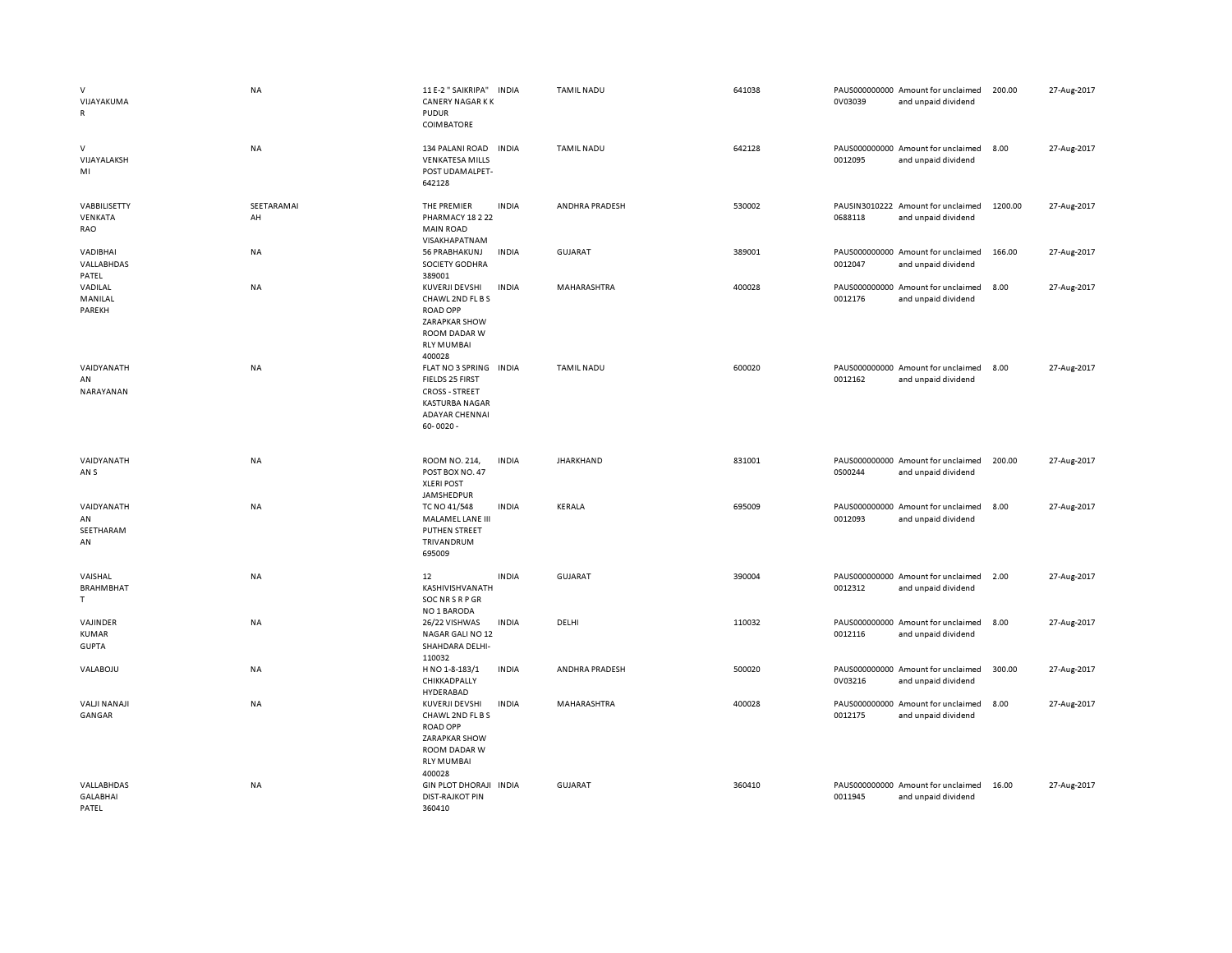| $\mathsf{V}$<br>VIJAYAKUMA<br>$\mathsf{R}$ | <b>NA</b>        | 11 E-2 " SAIKRIPA" INDIA<br><b>CANERY NAGAR KK</b><br><b>PUDUR</b><br><b>COIMBATORE</b>                                                       |              | <b>TAMIL NADU</b>     | 641038 | 0V03039 | PAUS000000000 Amount for unclaimed<br>and unpaid dividend | 200.00  | 27-Aug-2017 |
|--------------------------------------------|------------------|-----------------------------------------------------------------------------------------------------------------------------------------------|--------------|-----------------------|--------|---------|-----------------------------------------------------------|---------|-------------|
| $\vee$<br>VIJAYALAKSH<br>MI                | NA               | 134 PALANI ROAD<br><b>VENKATESA MILLS</b><br>POST UDAMALPET-<br>642128                                                                        | <b>INDIA</b> | <b>TAMIL NADU</b>     | 642128 | 0012095 | PAUS000000000 Amount for unclaimed<br>and unpaid dividend | 8.00    | 27-Aug-2017 |
| VABBILISETTY<br>VENKATA<br>RAO             | SEETARAMAI<br>AH | THE PREMIER<br>PHARMACY 18 2 22<br><b>MAIN ROAD</b><br>VISAKHAPATNAM                                                                          | <b>INDIA</b> | <b>ANDHRA PRADESH</b> | 530002 | 0688118 | PAUSIN3010222 Amount for unclaimed<br>and unpaid dividend | 1200.00 | 27-Aug-2017 |
| VADIBHAI<br>VALLABHDAS<br>PATEL            | NA               | 56 PRABHAKUNJ<br>SOCIETY GODHRA<br>389001                                                                                                     | <b>INDIA</b> | <b>GUJARAT</b>        | 389001 | 0012047 | PAUS000000000 Amount for unclaimed<br>and unpaid dividend | 166.00  | 27-Aug-2017 |
| VADILAL<br>MANILAL<br>PAREKH               | NA               | KUVERJI DEVSHI<br>CHAWL 2ND FL B S<br><b>ROAD OPP</b><br>ZARAPKAR SHOW<br>ROOM DADAR W<br><b>RLY MUMBAI</b>                                   | <b>INDIA</b> | MAHARASHTRA           | 400028 | 0012176 | PAUS000000000 Amount for unclaimed<br>and unpaid dividend | 8.00    | 27-Aug-2017 |
| VAIDYANATH<br>AN<br>NARAYANAN              | <b>NA</b>        | 400028<br>FLAT NO 3 SPRING INDIA<br>FIELDS 25 FIRST<br><b>CROSS - STREET</b><br><b>KASTURBA NAGAR</b><br><b>ADAYAR CHENNAI</b><br>$60 - 0020$ |              | <b>TAMIL NADU</b>     | 600020 | 0012162 | PAUS000000000 Amount for unclaimed<br>and unpaid dividend | 8.00    | 27-Aug-2017 |
| VAIDYANATH<br>AN S                         | NA               | ROOM NO. 214,<br>POST BOX NO. 47<br><b>XLERI POST</b><br>JAMSHEDPUR                                                                           | <b>INDIA</b> | <b>JHARKHAND</b>      | 831001 | 0S00244 | PAUS000000000 Amount for unclaimed<br>and unpaid dividend | 200.00  | 27-Aug-2017 |
| VAIDYANATH<br>AN<br>SEETHARAM<br>AN        | NA               | TC NO 41/548<br>MALAMEL LANE III<br>PUTHEN STREET<br>TRIVANDRUM<br>695009                                                                     | <b>INDIA</b> | KERALA                | 695009 | 0012093 | PAUS000000000 Amount for unclaimed<br>and unpaid dividend | 8.00    | 27-Aug-2017 |
| VAISHAL<br><b>BRAHMBHAT</b><br>T.          | NA               | 12<br>KASHIVISHVANATH<br>SOC NR S R P GR<br>NO 1 BARODA                                                                                       | <b>INDIA</b> | GUJARAT               | 390004 | 0012312 | PAUS000000000 Amount for unclaimed<br>and unpaid dividend | 2.00    | 27-Aug-2017 |
| VAJINDER<br>KUMAR<br><b>GUPTA</b>          | NA               | 26/22 VISHWAS<br>NAGAR GALI NO 12<br>SHAHDARA DELHI-<br>110032                                                                                | <b>INDIA</b> | DELHI                 | 110032 | 0012116 | PAUS000000000 Amount for unclaimed<br>and unpaid dividend | 8.00    | 27-Aug-2017 |
| VALABOJU                                   | NA               | H NO 1-8-183/1<br>CHIKKADPALLY<br>HYDERABAD                                                                                                   | <b>INDIA</b> | ANDHRA PRADESH        | 500020 | 0V03216 | PAUS000000000 Amount for unclaimed<br>and unpaid dividend | 300.00  | 27-Aug-2017 |
| <b>VALJI NANAJI</b><br>GANGAR              | NA               | KUVERJI DEVSHI<br>CHAWL 2ND FL B S<br><b>ROAD OPP</b><br>ZARAPKAR SHOW<br>ROOM DADAR W<br><b>RLY MUMBAI</b><br>400028                         | <b>INDIA</b> | MAHARASHTRA           | 400028 | 0012175 | PAUS000000000 Amount for unclaimed<br>and unpaid dividend | 8.00    | 27-Aug-2017 |
| VALLABHDAS<br><b>GALABHAI</b><br>PATEL     | NA               | GIN PLOT DHORAJI INDIA<br><b>DIST-RAJKOT PIN</b><br>360410                                                                                    |              | <b>GUJARAT</b>        | 360410 | 0011945 | PAUS000000000 Amount for unclaimed<br>and unpaid dividend | 16.00   | 27-Aug-2017 |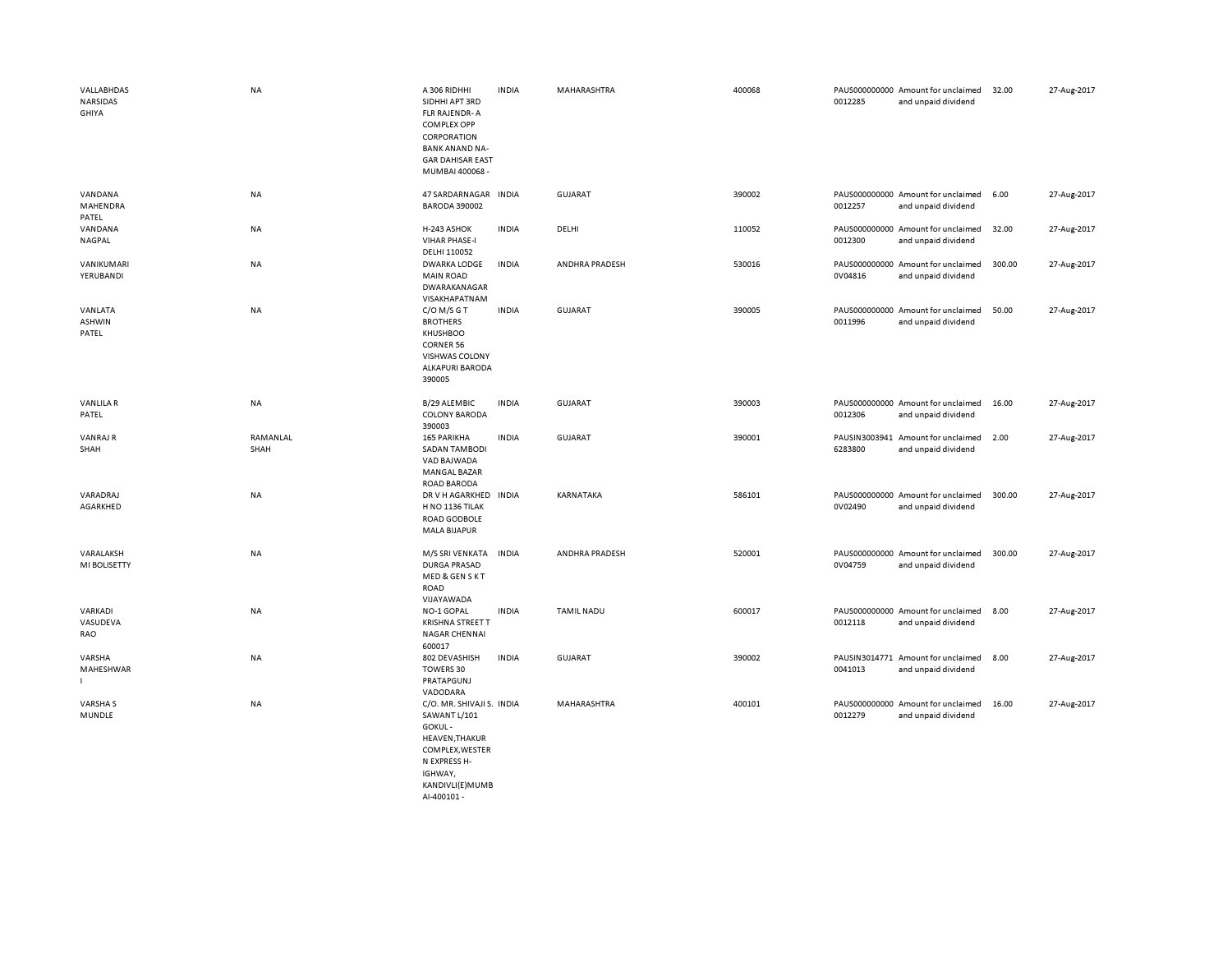| VALLABHDAS<br>NARSIDAS<br>GHIYA | NA               | A 306 RIDHHI<br>SIDHHI APT 3RD<br><b>FLR RAJENDR-A</b><br><b>COMPLEX OPP</b><br>CORPORATION<br><b>BANK ANAND NA-</b><br><b>GAR DAHISAR EAST</b><br>MUMBAI 400068 - | <b>INDIA</b> | MAHARASHTRA       | 400068 | 0012285 | PAUS000000000 Amount for unclaimed<br>and unpaid dividend | 32.00  | 27-Aug-2017 |
|---------------------------------|------------------|--------------------------------------------------------------------------------------------------------------------------------------------------------------------|--------------|-------------------|--------|---------|-----------------------------------------------------------|--------|-------------|
| VANDANA<br>MAHENDRA<br>PATEL    | NA               | 47 SARDARNAGAR INDIA<br><b>BARODA 390002</b>                                                                                                                       |              | GUJARAT           | 390002 | 0012257 | PAUS000000000 Amount for unclaimed<br>and unpaid dividend | 6.00   | 27-Aug-2017 |
| VANDANA<br>NAGPAL               | NA               | H-243 ASHOK<br><b>VIHAR PHASE-I</b><br>DELHI 110052                                                                                                                | <b>INDIA</b> | DELHI             | 110052 | 0012300 | PAUS000000000 Amount for unclaimed<br>and unpaid dividend | 32.00  | 27-Aug-2017 |
| VANIKUMARI<br>YERUBANDI         | NA               | <b>DWARKA LODGE</b><br><b>MAIN ROAD</b><br>DWARAKANAGAR<br>VISAKHAPATNAM                                                                                           | <b>INDIA</b> | ANDHRA PRADESH    | 530016 | 0V04816 | PAUS000000000 Amount for unclaimed<br>and unpaid dividend | 300.00 | 27-Aug-2017 |
| VANLATA<br>ASHWIN<br>PATEL      | NA               | $C/O$ M/S G T<br><b>BROTHERS</b><br>KHUSHBOO<br><b>CORNER 56</b><br><b>VISHWAS COLONY</b><br><b>ALKAPURI BARODA</b><br>390005                                      | <b>INDIA</b> | GUJARAT           | 390005 | 0011996 | PAUS000000000 Amount for unclaimed<br>and unpaid dividend | 50.00  | 27-Aug-2017 |
| <b>VANLILAR</b><br>PATEL        | NA               | B/29 ALEMBIC<br><b>COLONY BARODA</b><br>390003                                                                                                                     | <b>INDIA</b> | <b>GUJARAT</b>    | 390003 | 0012306 | PAUS000000000 Amount for unclaimed<br>and unpaid dividend | 16.00  | 27-Aug-2017 |
| <b>VANRAJ R</b><br>SHAH         | RAMANLAL<br>SHAH | 165 PARIKHA<br><b>SADAN TAMBODI</b><br>VAD BAJWADA<br><b>MANGAL BAZAR</b><br><b>ROAD BARODA</b>                                                                    | <b>INDIA</b> | <b>GUJARAT</b>    | 390001 | 6283800 | PAUSIN3003941 Amount for unclaimed<br>and unpaid dividend | 2.00   | 27-Aug-2017 |
| VARADRAJ<br>AGARKHED            | NA               | DR V H AGARKHED<br>H NO 1136 TILAK<br>ROAD GODBOLE<br><b>MALA BIJAPUR</b>                                                                                          | <b>INDIA</b> | KARNATAKA         | 586101 | 0V02490 | PAUS000000000 Amount for unclaimed<br>and unpaid dividend | 300.00 | 27-Aug-2017 |
| VARALAKSH<br>MI BOLISETTY       | NA               | M/S SRI VENKATA<br><b>DURGA PRASAD</b><br>MED & GEN S KT<br><b>ROAD</b><br>VIJAYAWADA                                                                              | <b>INDIA</b> | ANDHRA PRADESH    | 520001 | 0V04759 | PAUS000000000 Amount for unclaimed<br>and unpaid dividend | 300.00 | 27-Aug-2017 |
| VARKADI<br>VASUDEVA<br>RAO      | NA               | NO-1 GOPAL<br><b>KRISHNA STREET T</b><br><b>NAGAR CHENNAI</b><br>600017                                                                                            | <b>INDIA</b> | <b>TAMIL NADU</b> | 600017 | 0012118 | PAUS000000000 Amount for unclaimed<br>and unpaid dividend | 8.00   | 27-Aug-2017 |
| VARSHA<br>MAHESHWAR<br>г        | NA               | 802 DEVASHISH<br>TOWERS 30<br>PRATAPGUNJ<br>VADODARA                                                                                                               | <b>INDIA</b> | <b>GUJARAT</b>    | 390002 | 0041013 | PAUSIN3014771 Amount for unclaimed<br>and unpaid dividend | 8.00   | 27-Aug-2017 |
| VARSHA S<br>MUNDLE              | NA               | C/O. MR. SHIVAJI S. INDIA<br>SAWANT L/101<br>GOKUL-<br>HEAVEN, THAKUR<br>COMPLEX, WESTER<br>N EXPRESS H-<br>IGHWAY,<br>KANDIVLI(E)MUMB<br>AI-400101 -              |              | MAHARASHTRA       | 400101 | 0012279 | PAUS000000000 Amount for unclaimed<br>and unpaid dividend | 16.00  | 27-Aug-2017 |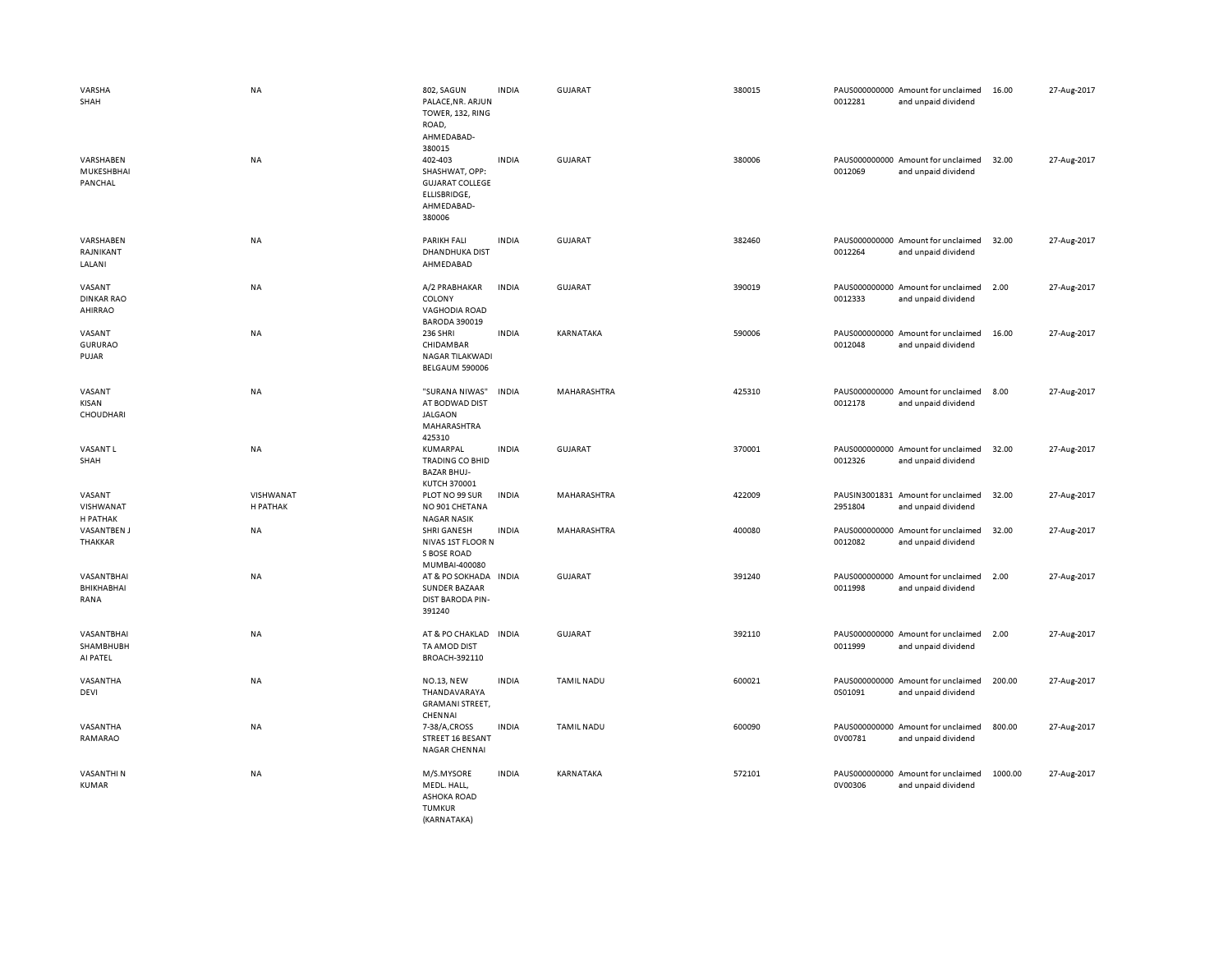| VARSHA<br>SHAH<br>VARSHABEN<br>MUKESHBHAI<br>PANCHAL | <b>NA</b><br>NA       | 802, SAGUN<br>PALACE, NR. ARJUN<br>TOWER, 132, RING<br>ROAD,<br>AHMEDABAD-<br>380015<br>402-403<br>SHASHWAT, OPP:<br><b>GUJARAT COLLEGE</b><br>ELLISBRIDGE,<br>AHMEDABAD- | <b>INDIA</b><br><b>INDIA</b> | GUJARAT<br><b>GUJARAT</b> | 380015<br>380006 | 0012281<br>0012069 | PAUS000000000 Amount for unclaimed<br>and unpaid dividend<br>PAUS000000000 Amount for unclaimed<br>and unpaid dividend | 16.00<br>32.00 | 27-Aug-2017<br>27-Aug-2017 |
|------------------------------------------------------|-----------------------|---------------------------------------------------------------------------------------------------------------------------------------------------------------------------|------------------------------|---------------------------|------------------|--------------------|------------------------------------------------------------------------------------------------------------------------|----------------|----------------------------|
| VARSHABEN<br>RAJNIKANT<br>LALANI                     | NA                    | 380006<br><b>PARIKH FALI</b><br><b>DHANDHUKA DIST</b><br>AHMEDABAD                                                                                                        | <b>INDIA</b>                 | GUJARAT                   | 382460           | 0012264            | PAUS000000000 Amount for unclaimed<br>and unpaid dividend                                                              | 32.00          | 27-Aug-2017                |
| VASANT<br><b>DINKAR RAO</b><br>AHIRRAO               | NA                    | A/2 PRABHAKAR<br>COLONY<br>VAGHODIA ROAD                                                                                                                                  | <b>INDIA</b>                 | <b>GUJARAT</b>            | 390019           | 0012333            | PAUS000000000 Amount for unclaimed<br>and unpaid dividend                                                              | 2.00           | 27-Aug-2017                |
| VASANT<br><b>GURURAO</b><br>PUJAR                    | NA                    | <b>BARODA 390019</b><br><b>236 SHRI</b><br>CHIDAMBAR<br>NAGAR TILAKWADI<br><b>BELGAUM 590006</b>                                                                          | <b>INDIA</b>                 | KARNATAKA                 | 590006           | 0012048            | PAUS000000000 Amount for unclaimed<br>and unpaid dividend                                                              | 16.00          | 27-Aug-2017                |
| VASANT<br>KISAN<br>CHOUDHARI                         | NA                    | "SURANA NIWAS"<br>AT BODWAD DIST<br><b>JALGAON</b><br>MAHARASHTRA<br>425310                                                                                               | <b>INDIA</b>                 | MAHARASHTRA               | 425310           | 0012178            | PAUS000000000 Amount for unclaimed<br>and unpaid dividend                                                              | 8.00           | 27-Aug-2017                |
| <b>VASANTL</b><br>SHAH                               | <b>NA</b>             | KUMARPAL<br><b>TRADING CO BHID</b><br><b>BAZAR BHUJ-</b><br>KUTCH 370001                                                                                                  | <b>INDIA</b>                 | <b>GUJARAT</b>            | 370001           | 0012326            | PAUS000000000 Amount for unclaimed<br>and unpaid dividend                                                              | 32.00          | 27-Aug-2017                |
| VASANT<br>VISHWANAT<br>H PATHAK                      | VISHWANAT<br>H PATHAK | PLOT NO 99 SUR<br>NO 901 CHETANA<br><b>NAGAR NASIK</b>                                                                                                                    | <b>INDIA</b>                 | MAHARASHTRA               | 422009           | 2951804            | PAUSIN3001831 Amount for unclaimed<br>and unpaid dividend                                                              | 32.00          | 27-Aug-2017                |
| <b>VASANTBEN J</b><br>THAKKAR                        | NA                    | SHRI GANESH<br>NIVAS 1ST FLOOR N<br>S BOSE ROAD<br>MUMBAI-400080                                                                                                          | <b>INDIA</b>                 | MAHARASHTRA               | 400080           | 0012082            | PAUS000000000 Amount for unclaimed<br>and unpaid dividend                                                              | 32.00          | 27-Aug-2017                |
| VASANTBHAI<br>BHIKHABHAI<br>RANA                     | NA                    | AT & PO SOKHADA<br><b>SUNDER BAZAAR</b><br><b>DIST BARODA PIN-</b><br>391240                                                                                              | <b>INDIA</b>                 | GUJARAT                   | 391240           | 0011998            | PAUS000000000 Amount for unclaimed<br>and unpaid dividend                                                              | 2.00           | 27-Aug-2017                |
| VASANTBHAI<br>SHAMBHUBH<br>AI PATEL                  | NA                    | AT & PO CHAKLAD<br>TA AMOD DIST<br>BROACH-392110                                                                                                                          | <b>INDIA</b>                 | GUJARAT                   | 392110           | 0011999            | PAUS000000000 Amount for unclaimed<br>and unpaid dividend                                                              | 2.00           | 27-Aug-2017                |
| VASANTHA<br>DEVI                                     | NA                    | <b>NO.13, NEW</b><br>THANDAVARAYA<br><b>GRAMANI STREET,</b><br>CHENNAI                                                                                                    | <b>INDIA</b>                 | <b>TAMIL NADU</b>         | 600021           | 0S01091            | PAUS000000000 Amount for unclaimed<br>and unpaid dividend                                                              | 200.00         | 27-Aug-2017                |
| VASANTHA<br>RAMARAO                                  | NA                    | 7-38/A,CROSS<br>STREET 16 BESANT<br>NAGAR CHENNAI                                                                                                                         | <b>INDIA</b>                 | <b>TAMIL NADU</b>         | 600090           | 0V00781            | PAUS000000000 Amount for unclaimed<br>and unpaid dividend                                                              | 800.00         | 27-Aug-2017                |
| VASANTHI N<br><b>KUMAR</b>                           | NA                    | M/S.MYSORE<br>MEDL. HALL.<br><b>ASHOKA ROAD</b><br><b>TUMKUR</b><br>(KARNATAKA)                                                                                           | <b>INDIA</b>                 | KARNATAKA                 | 572101           | 0V00306            | PAUS000000000 Amount for unclaimed<br>and unpaid dividend                                                              | 1000.00        | 27-Aug-2017                |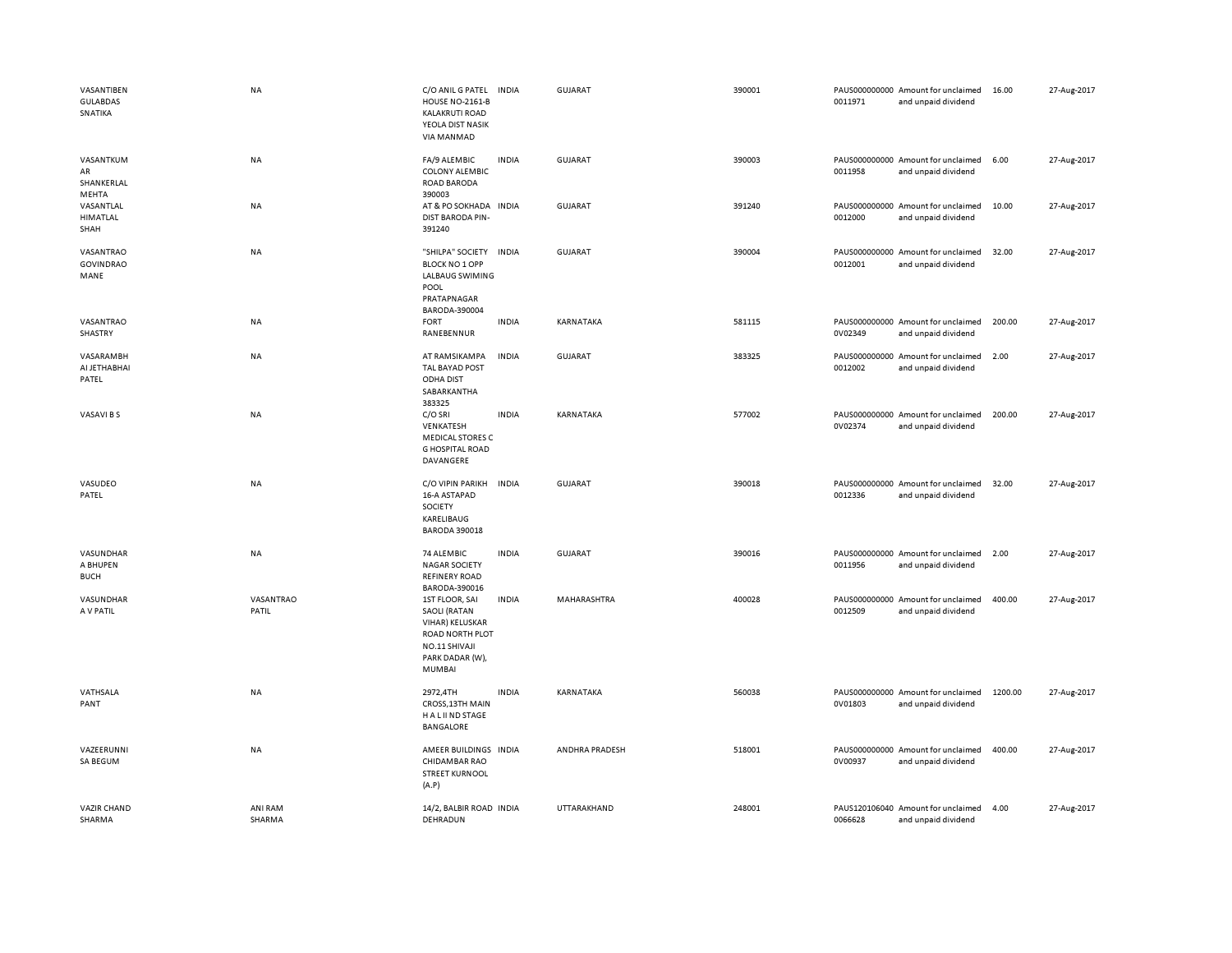| VASANTIBEN<br><b>GULABDAS</b><br>SNATIKA | <b>NA</b>          | C/O ANIL G PATEL<br><b>HOUSE NO-2161-B</b><br><b>KALAKRUTI ROAD</b><br>YEOLA DIST NASIK<br>VIA MANMAD                            | <b>INDIA</b> | <b>GUJARAT</b> | 390001 | 0011971 | PAUS000000000 Amount for unclaimed<br>and unpaid dividend | 16.00   | 27-Aug-2017 |
|------------------------------------------|--------------------|----------------------------------------------------------------------------------------------------------------------------------|--------------|----------------|--------|---------|-----------------------------------------------------------|---------|-------------|
| VASANTKUM<br>AR<br>SHANKERLAL            | NA                 | FA/9 ALEMBIC<br><b>COLONY ALEMBIC</b><br>ROAD BARODA                                                                             | <b>INDIA</b> | <b>GUJARAT</b> | 390003 | 0011958 | PAUS000000000 Amount for unclaimed<br>and unpaid dividend | 6.00    | 27-Aug-2017 |
| MEHTA<br>VASANTLAL<br>HIMATLAL<br>SHAH   | NA                 | 390003<br>AT & PO SOKHADA<br><b>DIST BARODA PIN-</b><br>391240                                                                   | <b>INDIA</b> | <b>GUJARAT</b> | 391240 | 0012000 | PAUS000000000 Amount for unclaimed<br>and unpaid dividend | 10.00   | 27-Aug-2017 |
| VASANTRAO<br><b>GOVINDRAO</b><br>MANE    | <b>NA</b>          | "SHILPA" SOCIETY<br><b>BLOCK NO 1 OPP</b><br>LALBAUG SWIMING<br>POOL<br>PRATAPNAGAR<br>BARODA-390004                             | <b>INDIA</b> | <b>GUJARAT</b> | 390004 | 0012001 | PAUS000000000 Amount for unclaimed<br>and unpaid dividend | 32.00   | 27-Aug-2017 |
| VASANTRAO<br>SHASTRY                     | <b>NA</b>          | <b>FORT</b><br>RANEBENNUR                                                                                                        | <b>INDIA</b> | KARNATAKA      | 581115 | 0V02349 | PAUS000000000 Amount for unclaimed<br>and unpaid dividend | 200.00  | 27-Aug-2017 |
| VASARAMBH<br>AI JETHABHAI<br>PATEL       | NA                 | AT RAMSIKAMPA<br>TAL BAYAD POST<br><b>ODHA DIST</b><br>SABARKANTHA<br>383325                                                     | INDIA        | <b>GUJARAT</b> | 383325 | 0012002 | PAUS000000000 Amount for unclaimed<br>and unpaid dividend | 2.00    | 27-Aug-2017 |
| VASAVI B S                               | <b>NA</b>          | C/O SRI<br>VENKATESH<br><b>MEDICAL STORES C</b><br><b>G HOSPITAL ROAD</b><br>DAVANGERE                                           | <b>INDIA</b> | KARNATAKA      | 577002 | 0V02374 | PAUS000000000 Amount for unclaimed<br>and unpaid dividend | 200.00  | 27-Aug-2017 |
| VASUDEO<br>PATEL                         | <b>NA</b>          | C/O VIPIN PARIKH<br>16-A ASTAPAD<br>SOCIETY<br>KARELIBAUG<br><b>BARODA 390018</b>                                                | <b>INDIA</b> | <b>GUJARAT</b> | 390018 | 0012336 | PAUS000000000 Amount for unclaimed<br>and unpaid dividend | 32.00   | 27-Aug-2017 |
| VASUNDHAR<br>A BHUPEN<br><b>BUCH</b>     | <b>NA</b>          | 74 ALEMBIC<br><b>NAGAR SOCIETY</b><br><b>REFINERY ROAD</b><br>BARODA-390016                                                      | <b>INDIA</b> | <b>GUJARAT</b> | 390016 | 0011956 | PAUS000000000 Amount for unclaimed<br>and unpaid dividend | 2.00    | 27-Aug-2017 |
| VASUNDHAR<br>A V PATIL                   | VASANTRAO<br>PATIL | 1ST FLOOR, SAI<br><b>SAOLI (RATAN</b><br>VIHAR) KELUSKAR<br>ROAD NORTH PLOT<br>NO.11 SHIVAJI<br>PARK DADAR (W),<br><b>MUMBAI</b> | <b>INDIA</b> | MAHARASHTRA    | 400028 | 0012509 | PAUS000000000 Amount for unclaimed<br>and unpaid dividend | 400.00  | 27-Aug-2017 |
| VATHSALA<br>PANT                         | NA                 | 2972,4TH<br>CROSS, 13TH MAIN<br>H A L II ND STAGE<br><b>BANGALORE</b>                                                            | <b>INDIA</b> | KARNATAKA      | 560038 | 0V01803 | PAUS000000000 Amount for unclaimed<br>and unpaid dividend | 1200.00 | 27-Aug-2017 |
| VAZEERUNNI<br>SA BEGUM                   | <b>NA</b>          | AMEER BUILDINGS INDIA<br><b>CHIDAMBAR RAO</b><br><b>STREET KURNOOL</b><br>(A.P)                                                  |              | ANDHRA PRADESH | 518001 | 0V00937 | PAUS000000000 Amount for unclaimed<br>and unpaid dividend | 400.00  | 27-Aug-2017 |
| <b>VAZIR CHAND</b><br>SHARMA             | ANI RAM<br>SHARMA  | 14/2, BALBIR ROAD INDIA<br>DEHRADUN                                                                                              |              | UTTARAKHAND    | 248001 | 0066628 | PAUS120106040 Amount for unclaimed<br>and unpaid dividend | 4.00    | 27-Aug-2017 |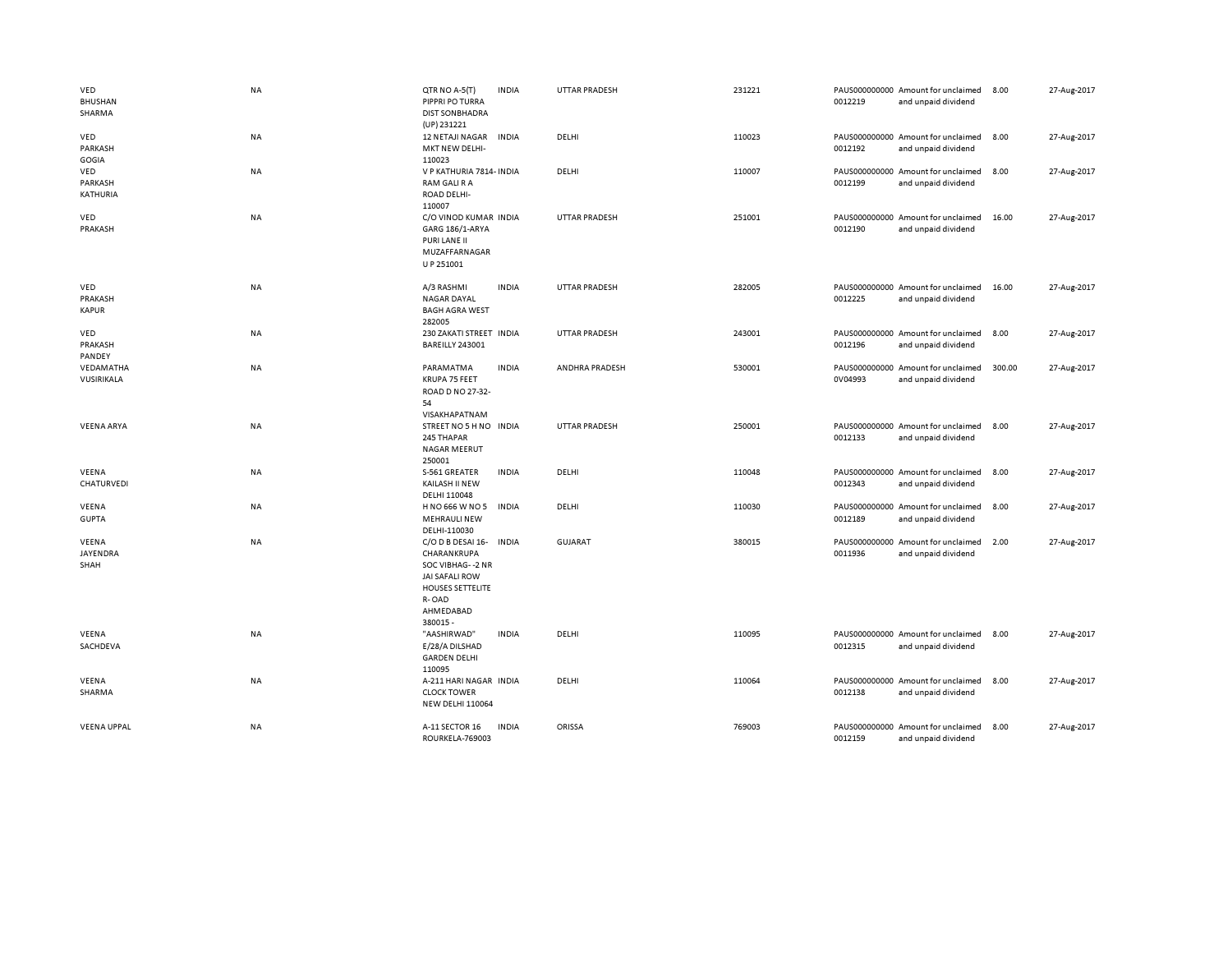| VED<br><b>BHUSHAN</b><br>SHARMA | NA        | QTR NO A-5(T)<br>PIPPRI PO TURRA<br><b>DIST SON BHADRA</b><br>(UP) 231221                                                                  | <b>INDIA</b> | <b>UTTAR PRADESH</b> | 231221 | 0012219                  | PAUS000000000 Amount for unclaimed<br>and unpaid dividend | 8.00   | 27-Aug-2017 |
|---------------------------------|-----------|--------------------------------------------------------------------------------------------------------------------------------------------|--------------|----------------------|--------|--------------------------|-----------------------------------------------------------|--------|-------------|
| VED<br>PARKASH<br>GOGIA         | NA        | 12 NETAJI NAGAR<br>MKT NEW DELHI-<br>110023                                                                                                | <b>INDIA</b> | DELHI                | 110023 | 0012192                  | PAUS000000000 Amount for unclaimed<br>and unpaid dividend | 8.00   | 27-Aug-2017 |
| VED<br>PARKASH<br>KATHURIA      | <b>NA</b> | V P KATHURIA 7814- INDIA<br>RAM GALI R A<br>ROAD DELHI-<br>110007                                                                          |              | DELHI                | 110007 | 0012199                  | PAUS000000000 Amount for unclaimed<br>and unpaid dividend | 8.00   | 27-Aug-2017 |
| VED<br>PRAKASH                  | <b>NA</b> | C/O VINOD KUMAR INDIA<br>GARG 186/1-ARYA<br>PURI LANE II<br>MUZAFFARNAGAR<br>U P 251001                                                    |              | <b>UTTAR PRADESH</b> | 251001 | 0012190                  | PAUS000000000 Amount for unclaimed<br>and unpaid dividend | 16.00  | 27-Aug-2017 |
| VED<br>PRAKASH<br><b>KAPUR</b>  | NA        | A/3 RASHMI<br><b>NAGAR DAYAL</b><br><b>BAGH AGRA WEST</b><br>282005                                                                        | <b>INDIA</b> | <b>UTTAR PRADESH</b> | 282005 | 0012225                  | PAUS000000000 Amount for unclaimed<br>and unpaid dividend | 16.00  | 27-Aug-2017 |
| VED<br>PRAKASH<br>PANDEY        | <b>NA</b> | 230 ZAKATI STREET INDIA<br>BAREILLY 243001                                                                                                 |              | <b>UTTAR PRADESH</b> | 243001 | 0012196                  | PAUS000000000 Amount for unclaimed<br>and unpaid dividend | 8.00   | 27-Aug-2017 |
| VEDAMATHA<br>VUSIRIKALA         | <b>NA</b> | PARAMATMA<br>KRUPA 75 FEET<br>ROAD D NO 27-32-<br>54<br>VISAKHAPATNAM                                                                      | <b>INDIA</b> | ANDHRA PRADESH       | 530001 | 0V04993                  | PAUS000000000 Amount for unclaimed<br>and unpaid dividend | 300.00 | 27-Aug-2017 |
| <b>VEENA ARYA</b>               | NA        | STREET NO 5 H NO INDIA<br>245 THAPAR<br><b>NAGAR MEERUT</b><br>250001                                                                      |              | <b>UTTAR PRADESH</b> | 250001 | 0012133                  | PAUS000000000 Amount for unclaimed<br>and unpaid dividend | 8.00   | 27-Aug-2017 |
| VEENA<br>CHATURVEDI             | <b>NA</b> | S-561 GREATER<br>KAILASH II NEW<br>DELHI 110048                                                                                            | <b>INDIA</b> | DELHI                | 110048 | 0012343                  | PAUS000000000 Amount for unclaimed<br>and unpaid dividend | 8.00   | 27-Aug-2017 |
| VEENA<br><b>GUPTA</b>           | ΝA        | H NO 666 W NO 5<br><b>MEHRAULI NEW</b><br>DELHI-110030                                                                                     | <b>INDIA</b> | DELHI                | 110030 | PAUS000000000<br>0012189 | Amount for unclaimed<br>and unpaid dividend               | 8.00   | 27-Aug-2017 |
| VEENA<br>JAYENDRA<br>SHAH       | NA        | C/O D B DESAI 16-<br>CHARANKRUPA<br>SOC VIBHAG--2 NR<br><b>JAI SAFALI ROW</b><br><b>HOUSES SETTELITE</b><br>R-OAD<br>AHMEDABAD<br>380015 - | INDIA        | <b>GUJARAT</b>       | 380015 | 0011936                  | PAUS000000000 Amount for unclaimed<br>and unpaid dividend | 2.00   | 27-Aug-2017 |
| VEENA<br>SACHDEVA               | NA        | "AASHIRWAD"<br>E/28/A DILSHAD<br><b>GARDEN DELHI</b><br>110095                                                                             | <b>INDIA</b> | DELHI                | 110095 | 0012315                  | PAUS000000000 Amount for unclaimed<br>and unpaid dividend | 8.00   | 27-Aug-2017 |
| VEENA<br>SHARMA                 | NA        | A-211 HARI NAGAR INDIA<br><b>CLOCK TOWER</b><br><b>NEW DELHI 110064</b>                                                                    |              | DELHI                | 110064 | 0012138                  | PAUS000000000 Amount for unclaimed<br>and unpaid dividend | 8.00   | 27-Aug-2017 |
| <b>VEENA UPPAL</b>              | NA        | A-11 SECTOR 16<br>ROURKELA-769003                                                                                                          | <b>INDIA</b> | ORISSA               | 769003 | 0012159                  | PAUS000000000 Amount for unclaimed<br>and unpaid dividend | 8.00   | 27-Aug-2017 |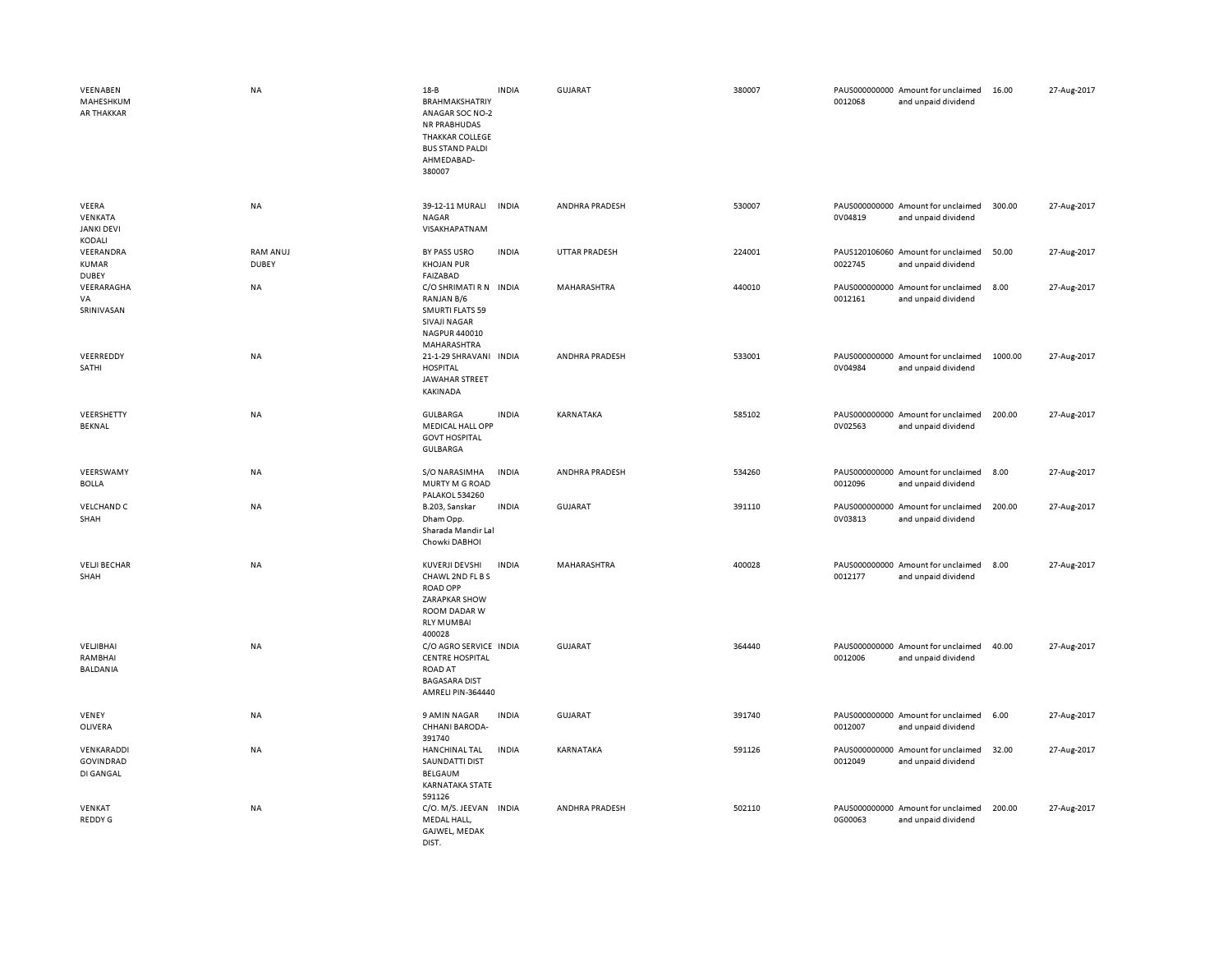| VEENABEN<br>MAHESHKUM<br><b>AR THAKKAR</b>      | <b>NA</b>                       | $18 - B$<br><b>BRAHMAKSHATRIY</b><br>ANAGAR SOC NO-2<br><b>NR PRABHUDAS</b><br><b>THAKKAR COLLEGE</b><br><b>BUS STAND PALDI</b><br>AHMEDABAD-<br>380007 | <b>INDIA</b> | <b>GUJARAT</b>       | 380007 | 0012068 | PAUS000000000 Amount for unclaimed<br>and unpaid dividend | 16.00   | 27-Aug-2017 |
|-------------------------------------------------|---------------------------------|---------------------------------------------------------------------------------------------------------------------------------------------------------|--------------|----------------------|--------|---------|-----------------------------------------------------------|---------|-------------|
| VEERA<br>VENKATA<br><b>JANKI DEVI</b><br>KODALI | <b>NA</b>                       | 39-12-11 MURALI<br><b>NAGAR</b><br>VISAKHAPATNAM                                                                                                        | <b>INDIA</b> | ANDHRA PRADESH       | 530007 | 0V04819 | PAUS000000000 Amount for unclaimed<br>and unpaid dividend | 300.00  | 27-Aug-2017 |
| VEERANDRA<br><b>KUMAR</b><br><b>DUBEY</b>       | <b>RAM ANUJ</b><br><b>DUBEY</b> | BY PASS USRO<br><b>KHOJAN PUR</b><br><b>FAIZABAD</b>                                                                                                    | <b>INDIA</b> | <b>UTTAR PRADESH</b> | 224001 | 0022745 | PAUS120106060 Amount for unclaimed<br>and unpaid dividend | 50.00   | 27-Aug-2017 |
| VEERARAGHA<br>VA<br>SRINIVASAN                  | NA                              | C/O SHRIMATI R N INDIA<br>RANJAN B/6<br><b>SMURTI FLATS 59</b><br><b>SIVAJI NAGAR</b><br>NAGPUR 440010<br>MAHARASHTRA                                   |              | MAHARASHTRA          | 440010 | 0012161 | PAUS000000000 Amount for unclaimed<br>and unpaid dividend | 8.00    | 27-Aug-2017 |
| VEERREDDY<br>SATHI                              | NA                              | 21-1-29 SHRAVANI INDIA<br><b>HOSPITAL</b><br>JAWAHAR STREET<br>KAKINADA                                                                                 |              | ANDHRA PRADESH       | 533001 | 0V04984 | PAUS000000000 Amount for unclaimed<br>and unpaid dividend | 1000.00 | 27-Aug-2017 |
| VEERSHETTY<br>BEKNAL                            | NA                              | <b>GULBARGA</b><br><b>MEDICAL HALL OPP</b><br><b>GOVT HOSPITAL</b><br><b>GULBARGA</b>                                                                   | <b>INDIA</b> | KARNATAKA            | 585102 | 0V02563 | PAUS000000000 Amount for unclaimed<br>and unpaid dividend | 200.00  | 27-Aug-2017 |
| VEERSWAMY<br><b>BOLLA</b>                       | NA                              | S/O NARASIMHA<br>MURTY M G ROAD<br>PALAKOL 534260                                                                                                       | <b>INDIA</b> | ANDHRA PRADESH       | 534260 | 0012096 | PAUS000000000 Amount for unclaimed<br>and unpaid dividend | 8.00    | 27-Aug-2017 |
| <b>VELCHAND C</b><br>SHAH                       | NA                              | B.203, Sanskar<br>Dham Opp.<br>Sharada Mandir Lal<br>Chowki DABHOI                                                                                      | <b>INDIA</b> | GUJARAT              | 391110 | 0V03813 | PAUS000000000 Amount for unclaimed<br>and unpaid dividend | 200.00  | 27-Aug-2017 |
| <b>VELJI BECHAR</b><br>SHAH                     | <b>NA</b>                       | KUVERJI DEVSHI<br>CHAWL 2ND FL B S<br><b>ROAD OPP</b><br>ZARAPKAR SHOW<br>ROOM DADAR W<br><b>RLY MUMBAI</b><br>400028                                   | <b>INDIA</b> | MAHARASHTRA          | 400028 | 0012177 | PAUS000000000 Amount for unclaimed<br>and unpaid dividend | 8.00    | 27-Aug-2017 |
| VELJIBHAI<br>RAMBHAI<br><b>BALDANIA</b>         | NA                              | C/O AGRO SERVICE INDIA<br><b>CENTRE HOSPITAL</b><br><b>ROAD AT</b><br><b>BAGASARA DIST</b><br>AMRELI PIN-364440                                         |              | <b>GUJARAT</b>       | 364440 | 0012006 | PAUS000000000 Amount for unclaimed<br>and unpaid dividend | 40.00   | 27-Aug-2017 |
| VENEY<br>OLIVERA                                | <b>NA</b>                       | 9 AMIN NAGAR<br>CHHANI BARODA-<br>391740                                                                                                                | <b>INDIA</b> | <b>GUJARAT</b>       | 391740 | 0012007 | PAUS000000000 Amount for unclaimed<br>and unpaid dividend | 6.00    | 27-Aug-2017 |
| VENKARADDI<br>GOVINDRAD<br>DI GANGAL            | NA                              | <b>HANCHINAL TAL</b><br><b>SAUNDATTI DIST</b><br>BELGAUM<br><b>KARNATAKA STATE</b><br>591126                                                            | <b>INDIA</b> | KARNATAKA            | 591126 | 0012049 | PAUS000000000 Amount for unclaimed<br>and unpaid dividend | 32.00   | 27-Aug-2017 |
| VENKAT<br>REDDY G                               | <b>NA</b>                       | C/O. M/S. JEEVAN INDIA<br>MEDAL HALL,<br>GAJWEL, MEDAK<br><b>DIST</b>                                                                                   |              | ANDHRA PRADESH       | 502110 | 0G00063 | PAUS000000000 Amount for unclaimed<br>and unpaid dividend | 200.00  | 27-Aug-2017 |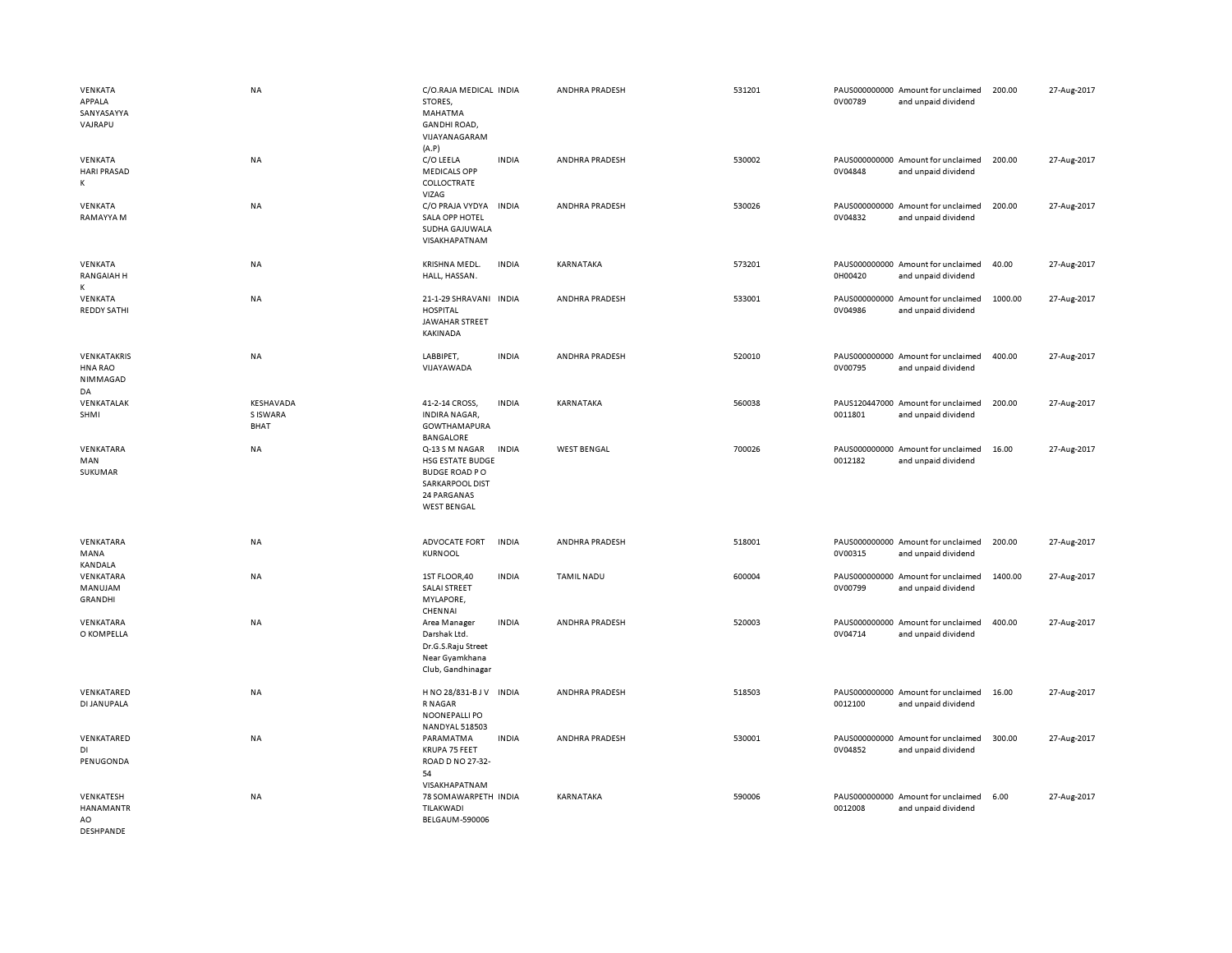| VENKATA<br>APPALA<br>SANYASAYYA<br>VAJRAPU       | <b>NA</b>                     | C/O.RAJA MEDICAL INDIA<br>STORES,<br>MAHATMA<br><b>GANDHI ROAD,</b><br>VIJAYANAGARAM<br>(A.P)                                    |              | ANDHRA PRADESH     | 531201 | 0V00789 | PAUS000000000 Amount for unclaimed<br>and unpaid dividend | 200.00  | 27-Aug-2017 |
|--------------------------------------------------|-------------------------------|----------------------------------------------------------------------------------------------------------------------------------|--------------|--------------------|--------|---------|-----------------------------------------------------------|---------|-------------|
| VENKATA<br><b>HARI PRASAD</b><br>К               | NA                            | C/O LEELA<br><b>MEDICALS OPP</b><br>COLLOCTRATE<br>VIZAG                                                                         | <b>INDIA</b> | ANDHRA PRADESH     | 530002 | 0V04848 | PAUS000000000 Amount for unclaimed<br>and unpaid dividend | 200.00  | 27-Aug-2017 |
| VENKATA<br>RAMAYYA M                             | <b>NA</b>                     | C/O PRAJA VYDYA<br>SALA OPP HOTEL<br>SUDHA GAJUWALA<br>VISAKHAPATNAM                                                             | <b>INDIA</b> | ANDHRA PRADESH     | 530026 | 0V04832 | PAUS000000000 Amount for unclaimed<br>and unpaid dividend | 200.00  | 27-Aug-2017 |
| VENKATA<br><b>RANGAIAH H</b><br>K                | NA                            | KRISHNA MEDL.<br>HALL, HASSAN.                                                                                                   | <b>INDIA</b> | KARNATAKA          | 573201 | 0H00420 | PAUS000000000 Amount for unclaimed<br>and unpaid dividend | 40.00   | 27-Aug-2017 |
| VENKATA<br><b>REDDY SATHI</b>                    | NA                            | 21-1-29 SHRAVANI INDIA<br><b>HOSPITAL</b><br><b>JAWAHAR STREET</b><br>KAKINADA                                                   |              | ANDHRA PRADESH     | 533001 | 0V04986 | PAUS000000000 Amount for unclaimed<br>and unpaid dividend | 1000.00 | 27-Aug-2017 |
| VENKATAKRIS<br><b>HNA RAO</b><br>NIMMAGAD<br>DA  | <b>NA</b>                     | LABBIPET,<br>VIJAYAWADA                                                                                                          | <b>INDIA</b> | ANDHRA PRADESH     | 520010 | 0V00795 | PAUS000000000 Amount for unclaimed<br>and unpaid dividend | 400.00  | 27-Aug-2017 |
| VENKATALAK<br>SHMI                               | KESHAVADA<br>S ISWARA<br>BHAT | 41-2-14 CROSS,<br><b>INDIRA NAGAR,</b><br>GOWTHAMAPURA<br>BANGALORE                                                              | <b>INDIA</b> | KARNATAKA          | 560038 | 0011801 | PAUS120447000 Amount for unclaimed<br>and unpaid dividend | 200.00  | 27-Aug-2017 |
| VENKATARA<br>MAN<br>SUKUMAR                      | NA                            | Q-13 S M NAGAR<br><b>HSG ESTATE BUDGE</b><br><b>BUDGE ROAD PO</b><br><b>SARKARPOOL DIST</b><br>24 PARGANAS<br><b>WEST BENGAL</b> | INDIA        | <b>WEST BENGAL</b> | 700026 | 0012182 | PAUS000000000 Amount for unclaimed<br>and unpaid dividend | 16.00   | 27-Aug-2017 |
| VENKATARA<br>MANA<br><b>KANDALA</b>              | NA                            | ADVOCATE FORT<br>KURNOOL                                                                                                         | <b>INDIA</b> | ANDHRA PRADESH     | 518001 | 0V00315 | PAUS000000000 Amount for unclaimed<br>and unpaid dividend | 200.00  | 27-Aug-2017 |
| VENKATARA<br>MANUJAM<br><b>GRANDHI</b>           | NA                            | 1ST FLOOR,40<br><b>SALAI STREET</b><br>MYLAPORE,<br>CHENNAI                                                                      | <b>INDIA</b> | <b>TAMIL NADU</b>  | 600004 | 0V00799 | PAUS000000000 Amount for unclaimed<br>and unpaid dividend | 1400.00 | 27-Aug-2017 |
| VENKATARA<br>O KOMPELLA                          | <b>NA</b>                     | Area Manager<br>Darshak Ltd.<br>Dr.G.S.Raju Street<br>Near Gyamkhana<br>Club, Gandhinagar                                        | <b>INDIA</b> | ANDHRA PRADESH     | 520003 | 0V04714 | PAUS000000000 Amount for unclaimed<br>and unpaid dividend | 400.00  | 27-Aug-2017 |
| VENKATARED<br>DI JANUPALA                        | NA                            | HNO 28/831-BJV INDIA<br>R NAGAR<br>NOONEPALLI PO<br><b>NANDYAL 518503</b>                                                        |              | ANDHRA PRADESH     | 518503 | 0012100 | PAUS000000000 Amount for unclaimed<br>and unpaid dividend | 16.00   | 27-Aug-2017 |
| VENKATARED<br>DI<br>PENUGONDA                    | <b>NA</b>                     | PARAMATMA<br>KRUPA 75 FEET<br>ROAD D NO 27-32-<br>54<br>VISAKHAPATNAM                                                            | <b>INDIA</b> | ANDHRA PRADESH     | 530001 | 0V04852 | PAUS000000000 Amount for unclaimed<br>and unpaid dividend | 300.00  | 27-Aug-2017 |
| VENKATESH<br>HANAMANTR<br>AO<br><b>DESHPANDE</b> | <b>NA</b>                     | 78 SOMAWARPETH INDIA<br>TILAKWADI<br><b>BELGAUM-590006</b>                                                                       |              | KARNATAKA          | 590006 | 0012008 | PAUS000000000 Amount for unclaimed<br>and unpaid dividend | 6.00    | 27-Aug-2017 |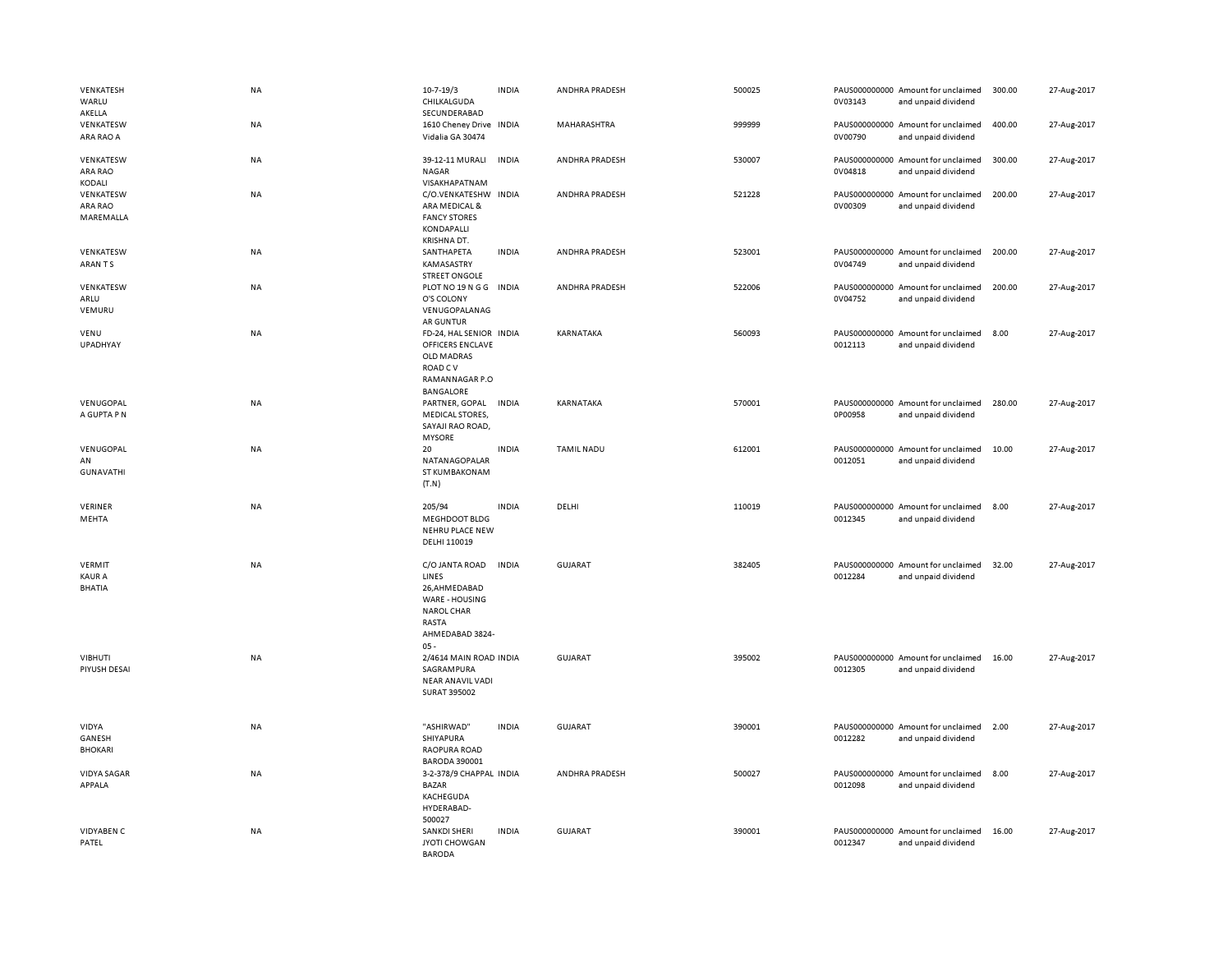| VENKATESH<br>WARLU<br>AKELLA                    | NA        | $10 - 7 - 19/3$<br>CHILKALGUDA<br>SECUNDERABAD                                                                       | <b>INDIA</b> | ANDHRA PRADESH    | 500025 | 0V03143 | PAUS000000000 Amount for unclaimed<br>and unpaid dividend | 300.00 | 27-Aug-2017 |
|-------------------------------------------------|-----------|----------------------------------------------------------------------------------------------------------------------|--------------|-------------------|--------|---------|-----------------------------------------------------------|--------|-------------|
| VENKATESW<br>ARA RAO A                          | <b>NA</b> | 1610 Cheney Drive INDIA<br>Vidalia GA 30474                                                                          |              | MAHARASHTRA       | 999999 | 0V00790 | PAUS000000000 Amount for unclaimed<br>and unpaid dividend | 400.00 | 27-Aug-2017 |
| VENKATESW<br>ARA RAO<br>KODALI                  | NA        | 39-12-11 MURALI<br><b>NAGAR</b><br>VISAKHAPATNAM                                                                     | <b>INDIA</b> | ANDHRA PRADESH    | 530007 | 0V04818 | PAUS000000000 Amount for unclaimed<br>and unpaid dividend | 300.00 | 27-Aug-2017 |
| VENKATESW<br>ARA RAO<br>MAREMALLA               | NA        | C/O.VENKATESHW INDIA<br>ARA MEDICAL &<br><b>FANCY STORES</b><br>KONDAPALLI<br>KRISHNA DT.                            |              | ANDHRA PRADESH    | 521228 | 0V00309 | PAUS000000000 Amount for unclaimed<br>and unpaid dividend | 200.00 | 27-Aug-2017 |
| VENKATESW<br>ARAN TS                            | NA        | SANTHAPETA<br>KAMASASTRY<br><b>STREET ONGOLE</b>                                                                     | <b>INDIA</b> | ANDHRA PRADESH    | 523001 | 0V04749 | PAUS000000000 Amount for unclaimed<br>and unpaid dividend | 200.00 | 27-Aug-2017 |
| VENKATESW<br>ARLU<br>VEMURU                     | NA        | PLOT NO 19 N G G<br>O'S COLONY<br>VENUGOPALANAG<br><b>AR GUNTUR</b>                                                  | <b>INDIA</b> | ANDHRA PRADESH    | 522006 | 0V04752 | PAUS000000000 Amount for unclaimed<br>and unpaid dividend | 200.00 | 27-Aug-2017 |
| VENU<br><b>UPADHYAY</b>                         | NA        | FD-24, HAL SENIOR INDIA<br><b>OFFICERS ENCLAVE</b><br>OLD MADRAS<br>ROAD C V<br>RAMANNAGAR P.O<br><b>BANGALORE</b>   |              | KARNATAKA         | 560093 | 0012113 | PAUS000000000 Amount for unclaimed<br>and unpaid dividend | 8.00   | 27-Aug-2017 |
| VENUGOPAL<br>A GUPTA P N                        | NA        | PARTNER, GOPAL<br><b>MEDICAL STORES,</b><br>SAYAJI RAO ROAD,<br><b>MYSORE</b>                                        | <b>INDIA</b> | KARNATAKA         | 570001 | 0P00958 | PAUS000000000 Amount for unclaimed<br>and unpaid dividend | 280.00 | 27-Aug-2017 |
| VENUGOPAL<br>AN<br><b>GUNAVATHI</b>             | <b>NA</b> | 20<br>NATANAGOPALAR<br>ST KUMBAKONAM<br>(T.N)                                                                        | <b>INDIA</b> | <b>TAMIL NADU</b> | 612001 | 0012051 | PAUS000000000 Amount for unclaimed<br>and unpaid dividend | 10.00  | 27-Aug-2017 |
| VERINER<br>MEHTA                                | NA        | 205/94<br>MEGHDOOT BLDG<br>NEHRU PLACE NEW<br>DELHI 110019                                                           | <b>INDIA</b> | DELHI             | 110019 | 0012345 | PAUS000000000 Amount for unclaimed<br>and unpaid dividend | 8.00   | 27-Aug-2017 |
| <b>VERMIT</b><br><b>KAUR A</b><br><b>BHATIA</b> | NA        | C/O JANTA ROAD<br>LINES<br>26,AHMEDABAD<br>WARE - HOUSING<br><b>NAROL CHAR</b><br>RASTA<br>AHMEDABAD 3824-<br>$05 -$ | <b>INDIA</b> | <b>GUJARAT</b>    | 382405 | 0012284 | PAUS000000000 Amount for unclaimed<br>and unpaid dividend | 32.00  | 27-Aug-2017 |
| <b>VIBHUTI</b><br>PIYUSH DESAI                  | NA        | 2/4614 MAIN ROAD INDIA<br>SAGRAMPURA<br>NEAR ANAVIL VADI<br>SURAT 395002                                             |              | <b>GUJARAT</b>    | 395002 | 0012305 | PAUS000000000 Amount for unclaimed<br>and unpaid dividend | 16.00  | 27-Aug-2017 |
| VIDYA<br>GANESH<br><b>BHOKARI</b>               | NA        | "ASHIRWAD"<br>SHIYAPURA<br>RAOPURA ROAD<br><b>BARODA 390001</b>                                                      | <b>INDIA</b> | <b>GUJARAT</b>    | 390001 | 0012282 | PAUS000000000 Amount for unclaimed<br>and unpaid dividend | 2.00   | 27-Aug-2017 |
| <b>VIDYA SAGAR</b><br>APPALA                    | NA        | 3-2-378/9 CHAPPAL INDIA<br><b>BAZAR</b><br>KACHEGUDA<br>HYDERABAD-<br>500027                                         |              | ANDHRA PRADESH    | 500027 | 0012098 | PAUS000000000 Amount for unclaimed<br>and unpaid dividend | 8.00   | 27-Aug-2017 |
| VIDYABEN C<br>PATEL                             | <b>NA</b> | SANKDI SHERI<br>JYOTI CHOWGAN<br>BARODA                                                                              | <b>INDIA</b> | <b>GUJARAT</b>    | 390001 | 0012347 | PAUS000000000 Amount for unclaimed<br>and unpaid dividend | 16.00  | 27-Aug-2017 |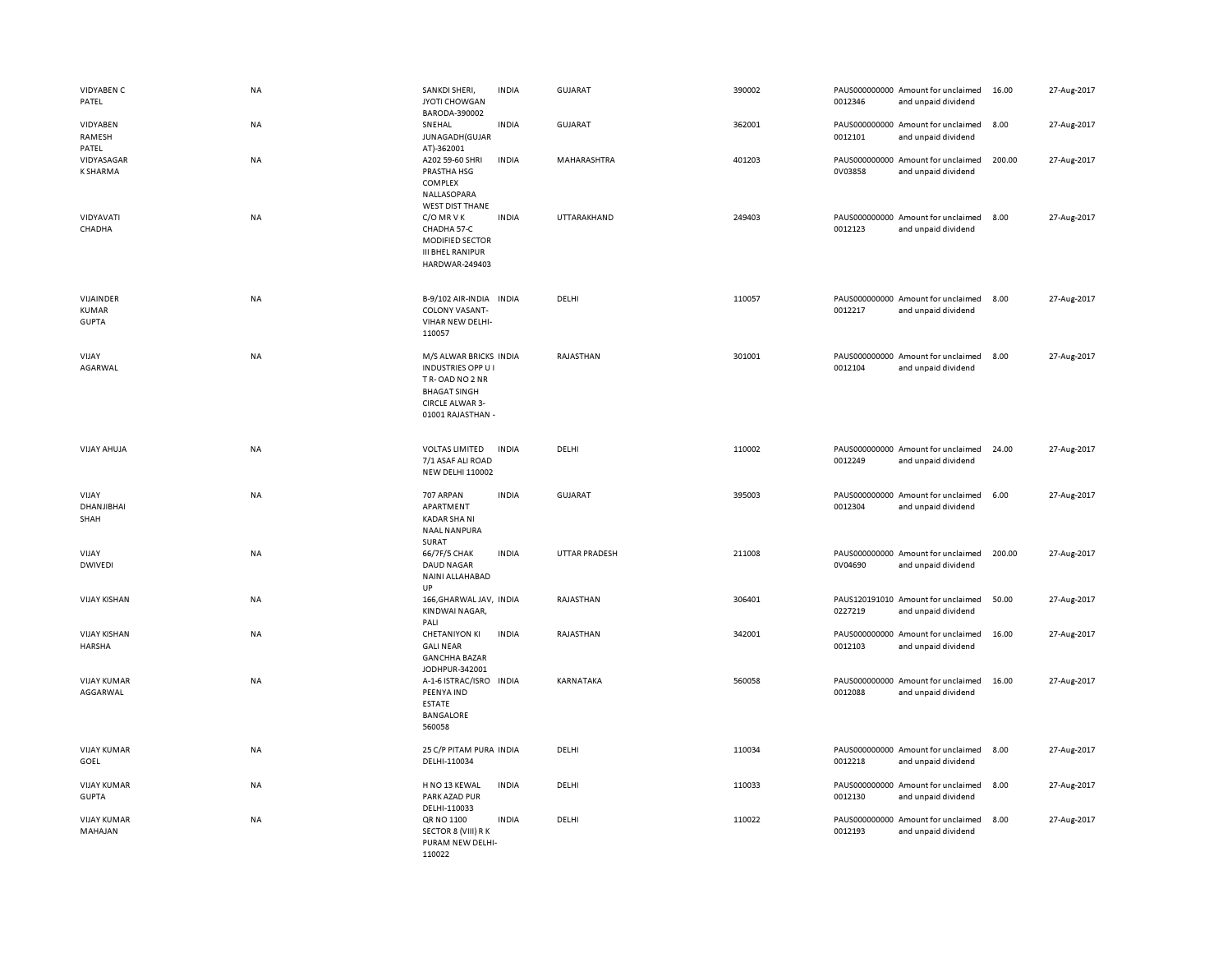| <b>VIDYABEN C</b><br>PATEL                | NA        | SANKDI SHERI,<br>JYOTI CHOWGAN<br>BARODA-390002                                                                                    | <b>INDIA</b> | <b>GUJARAT</b> | 390002 | 0012346                  | PAUS000000000 Amount for unclaimed<br>and unpaid dividend | 16.00  | 27-Aug-2017 |
|-------------------------------------------|-----------|------------------------------------------------------------------------------------------------------------------------------------|--------------|----------------|--------|--------------------------|-----------------------------------------------------------|--------|-------------|
| VIDYABEN<br>RAMESH<br>PATEL               | NA        | SNEHAL<br>JUNAGADH (GUJAR<br>AT)-362001                                                                                            | <b>INDIA</b> | GUJARAT        | 362001 | 0012101                  | PAUS000000000 Amount for unclaimed<br>and unpaid dividend | 8.00   | 27-Aug-2017 |
| VIDYASAGAR<br>K SHARMA                    | NA        | A202 59-60 SHRI<br>PRASTHA HSG<br>COMPLEX<br>NALLASOPARA<br><b>WEST DIST THANE</b>                                                 | <b>INDIA</b> | MAHARASHTRA    | 401203 | 0V03858                  | PAUS000000000 Amount for unclaimed<br>and unpaid dividend | 200.00 | 27-Aug-2017 |
| VIDYAVATI<br>CHADHA                       | <b>NA</b> | C/O MR V K<br>CHADHA 57-C<br>MODIFIED SECTOR<br><b>III BHEL RANIPUR</b><br>HARDWAR-249403                                          | <b>INDIA</b> | UTTARAKHAND    | 249403 | 0012123                  | PAUS000000000 Amount for unclaimed<br>and unpaid dividend | 8.00   | 27-Aug-2017 |
| VIJAINDER<br><b>KUMAR</b><br><b>GUPTA</b> | NA        | B-9/102 AIR-INDIA INDIA<br>COLONY VASANT-<br>VIHAR NEW DELHI-<br>110057                                                            |              | DELHI          | 110057 | 0012217                  | PAUS000000000 Amount for unclaimed<br>and unpaid dividend | 8.00   | 27-Aug-2017 |
| VIJAY<br>AGARWAL                          | NA        | M/S ALWAR BRICKS INDIA<br><b>INDUSTRIES OPP U</b><br>TR-OAD NO 2 NR<br><b>BHAGAT SINGH</b><br>CIRCLE ALWAR 3-<br>01001 RAJASTHAN - |              | RAJASTHAN      | 301001 | 0012104                  | PAUS000000000 Amount for unclaimed<br>and unpaid dividend | 8.00   | 27-Aug-2017 |
| <b>VIJAY AHUJA</b>                        | NA        | <b>VOLTAS LIMITED</b><br>7/1 ASAF ALI ROAD<br><b>NEW DELHI 110002</b>                                                              | <b>INDIA</b> | DELHI          | 110002 | 0012249                  | PAUS000000000 Amount for unclaimed<br>and unpaid dividend | 24.00  | 27-Aug-2017 |
| VIJAY<br>DHANJIBHAI<br>SHAH               | NA        | 707 ARPAN<br>APARTMENT<br><b>KADAR SHA NI</b><br><b>NAAL NANPURA</b><br>SURAT                                                      | <b>INDIA</b> | GUJARAT        | 395003 | PAUS000000000<br>0012304 | Amount for unclaimed<br>and unpaid dividend               | 6.00   | 27-Aug-2017 |
| VIJAY<br><b>DWIVEDI</b>                   | NA        | 66/7F/5 CHAK<br><b>DAUD NAGAR</b><br>NAINI ALLAHABAD<br>UP                                                                         | <b>INDIA</b> | UTTAR PRADESH  | 211008 | 0V04690                  | PAUS000000000 Amount for unclaimed<br>and unpaid dividend | 200.00 | 27-Aug-2017 |
| <b>VIJAY KISHAN</b>                       | NA        | 166, GHARWAL JAV, INDIA<br>KINDWAI NAGAR,<br>PALI                                                                                  |              | RAJASTHAN      | 306401 | 0227219                  | PAUS120191010 Amount for unclaimed<br>and unpaid dividend | 50.00  | 27-Aug-2017 |
| <b>VIJAY KISHAN</b><br><b>HARSHA</b>      | NA        | <b>CHETANIYON KI</b><br><b>GALINEAR</b><br><b>GANCHHA BAZAR</b>                                                                    | <b>INDIA</b> | RAJASTHAN      | 342001 | 0012103                  | PAUS000000000 Amount for unclaimed<br>and unpaid dividend | 16.00  | 27-Aug-2017 |
| <b>VIJAY KUMAR</b><br>AGGARWAL            | NA        | JODHPUR-342001<br>A-1-6 ISTRAC/ISRO INDIA<br>PEENYA IND<br><b>ESTATE</b><br>BANGALORE<br>560058                                    |              | KARNATAKA      | 560058 | 0012088                  | PAUS000000000 Amount for unclaimed<br>and unpaid dividend | 16.00  | 27-Aug-2017 |
| <b>VIJAY KUMAR</b><br>GOEL                | NA        | 25 C/P PITAM PURA INDIA<br>DELHI-110034                                                                                            |              | DELHI          | 110034 | 0012218                  | PAUS000000000 Amount for unclaimed<br>and unpaid dividend | 8.00   | 27-Aug-2017 |
| <b>VIJAY KUMAR</b><br><b>GUPTA</b>        | NA        | H NO 13 KEWAL<br>PARK AZAD PUR<br>DELHI-110033                                                                                     | <b>INDIA</b> | DELHI          | 110033 | 0012130                  | PAUS000000000 Amount for unclaimed<br>and unpaid dividend | 8.00   | 27-Aug-2017 |
| <b>VIJAY KUMAR</b><br>MAHAJAN             | NA        | QR NO 1100<br>SECTOR 8 (VIII) R K<br>PURAM NEW DELHI-<br>110022                                                                    | <b>INDIA</b> | DELHI          | 110022 | 0012193                  | PAUS000000000 Amount for unclaimed<br>and unpaid dividend | 8.00   | 27-Aug-2017 |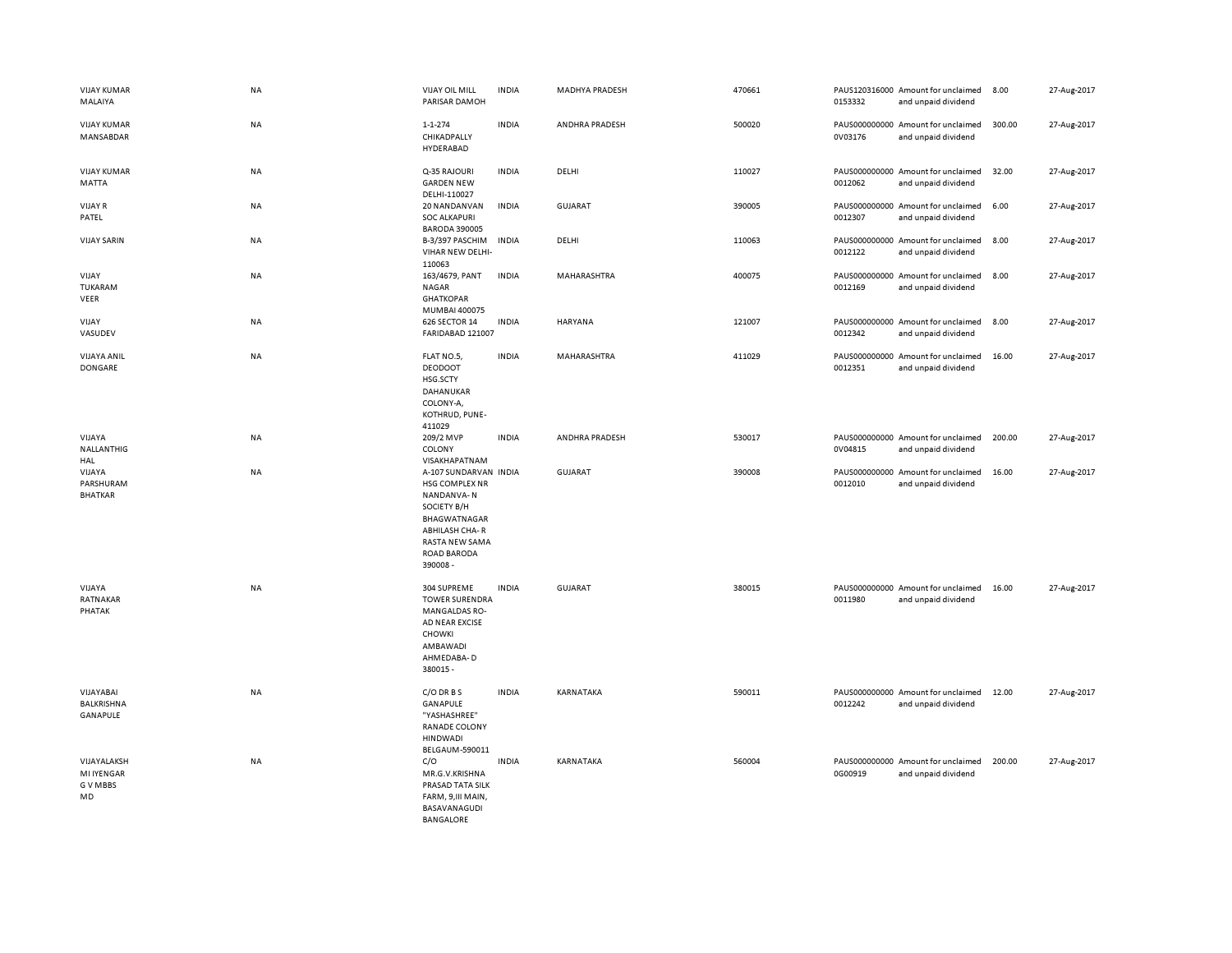| <b>VIJAY KUMAR</b><br>MALAIYA                      | NA        | <b>VIJAY OIL MILL</b><br>PARISAR DAMOH                                                                                                                    | <b>INDIA</b> | <b>MADHYA PRADESH</b> | 470661 | 0153332                  | PAUS120316000 Amount for unclaimed<br>and unpaid dividend | 8.00   | 27-Aug-2017 |
|----------------------------------------------------|-----------|-----------------------------------------------------------------------------------------------------------------------------------------------------------|--------------|-----------------------|--------|--------------------------|-----------------------------------------------------------|--------|-------------|
| <b>VIJAY KUMAR</b><br>MANSABDAR                    | NA        | $1 - 1 - 274$<br>CHIKADPALLY<br>HYDERABAD                                                                                                                 | <b>INDIA</b> | ANDHRA PRADESH        | 500020 | 0V03176                  | PAUS000000000 Amount for unclaimed<br>and unpaid dividend | 300.00 | 27-Aug-2017 |
| <b>VIJAY KUMAR</b><br><b>MATTA</b>                 | NA        | Q-35 RAJOURI<br><b>GARDEN NEW</b><br>DELHI-110027                                                                                                         | <b>INDIA</b> | DELHI                 | 110027 | 0012062                  | PAUS000000000 Amount for unclaimed<br>and unpaid dividend | 32.00  | 27-Aug-2017 |
| <b>VIJAY R</b><br>PATEL                            | NA        | 20 NANDANVAN<br><b>SOC ALKAPURI</b><br><b>BARODA 390005</b>                                                                                               | <b>INDIA</b> | GUJARAT               | 390005 | 0012307                  | PAUS000000000 Amount for unclaimed<br>and unpaid dividend | 6.00   | 27-Aug-2017 |
| <b>VIJAY SARIN</b>                                 | NA        | B-3/397 PASCHIM<br>VIHAR NEW DELHI-<br>110063                                                                                                             | <b>INDIA</b> | DELHI                 | 110063 | PAUS000000000<br>0012122 | Amount for unclaimed<br>and unpaid dividend               | 8.00   | 27-Aug-2017 |
| VIJAY<br>TUKARAM<br>VEER                           | NA        | 163/4679, PANT<br><b>NAGAR</b><br><b>GHATKOPAR</b><br>MUMBAI 400075                                                                                       | <b>INDIA</b> | MAHARASHTRA           | 400075 | 0012169                  | PAUS000000000 Amount for unclaimed<br>and unpaid dividend | 8.00   | 27-Aug-2017 |
| VIJAY<br>VASUDEV                                   | <b>NA</b> | 626 SECTOR 14<br>FARIDABAD 121007                                                                                                                         | <b>INDIA</b> | <b>HARYANA</b>        | 121007 | 0012342                  | PAUS000000000 Amount for unclaimed<br>and unpaid dividend | 8.00   | 27-Aug-2017 |
| <b>VIJAYA ANIL</b><br>DONGARE                      | NA        | FLAT NO.5,<br><b>DEODOOT</b><br>HSG.SCTY<br>DAHANUKAR<br>COLONY-A,<br>KOTHRUD, PUNE-<br>411029                                                            | <b>INDIA</b> | MAHARASHTRA           | 411029 | 0012351                  | PAUS000000000 Amount for unclaimed<br>and unpaid dividend | 16.00  | 27-Aug-2017 |
| VIJAYA<br>NALLANTHIG<br>HAL                        | NA        | 209/2 MVP<br>COLONY<br>VISAKHAPATNAM                                                                                                                      | <b>INDIA</b> | ANDHRA PRADESH        | 530017 | 0V04815                  | PAUS000000000 Amount for unclaimed<br>and unpaid dividend | 200.00 | 27-Aug-2017 |
| VIJAYA<br>PARSHURAM<br><b>BHATKAR</b>              | NA        | A-107 SUNDARVAN INDIA<br>HSG COMPLEX NR<br>NANDANVA-N<br>SOCIETY B/H<br>BHAGWATNAGAR<br><b>ABHILASH CHA-R</b><br>RASTA NEW SAMA<br>ROAD BARODA<br>390008- |              | <b>GUJARAT</b>        | 390008 | 0012010                  | PAUS000000000 Amount for unclaimed<br>and unpaid dividend | 16.00  | 27-Aug-2017 |
| VIJAYA<br>RATNAKAR<br>PHATAK                       | NA        | 304 SUPREME<br><b>TOWER SURENDRA</b><br><b>MANGALDAS RO-</b><br><b>AD NEAR EXCISE</b><br>CHOWKI<br>AMBAWADI<br>AHMEDABA-D<br>380015 -                     | <b>INDIA</b> | <b>GUJARAT</b>        | 380015 | 0011980                  | PAUS000000000 Amount for unclaimed<br>and unpaid dividend | 16.00  | 27-Aug-2017 |
| VIJAYABAI<br>BALKRISHNA<br>GANAPULE                | NA        | $C/O$ DR B S<br>GANAPULE<br>"YASHASHREE"<br>RANADE COLONY<br><b>HINDWADI</b><br>BELGAUM-590011                                                            | <b>INDIA</b> | KARNATAKA             | 590011 | 0012242                  | PAUS000000000 Amount for unclaimed<br>and unpaid dividend | 12.00  | 27-Aug-2017 |
| VIJAYALAKSH<br><b>MI IYENGAR</b><br>G V MBBS<br>MD | NA        | C/O<br>MR.G.V.KRISHNA<br>PRASAD TATA SILK<br>FARM, 9, III MAIN,<br>BASAVANAGUDI<br>BANGALORE                                                              | <b>INDIA</b> | KARNATAKA             | 560004 | 0G00919                  | PAUS000000000 Amount for unclaimed<br>and unpaid dividend | 200.00 | 27-Aug-2017 |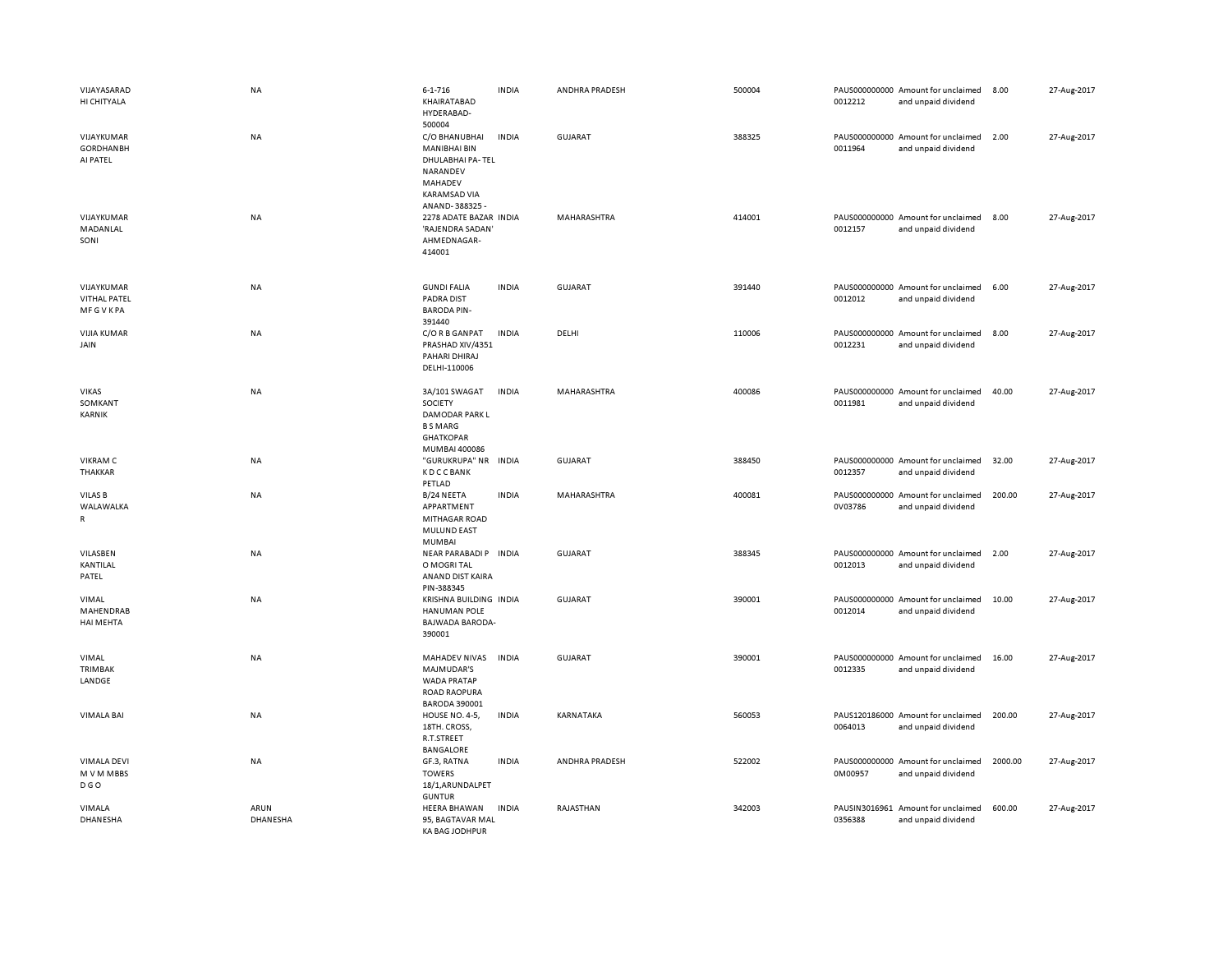| VIJAYASARAD<br>HI CHITYALA                          | <b>NA</b>        | $6 - 1 - 716$<br>KHAIRATABAD<br>HYDERABAD-<br>500004                                                             | <b>INDIA</b> | ANDHRA PRADESH | 500004 | 0012212                  | PAUS000000000 Amount for unclaimed<br>and unpaid dividend | 8.00    | 27-Aug-2017 |
|-----------------------------------------------------|------------------|------------------------------------------------------------------------------------------------------------------|--------------|----------------|--------|--------------------------|-----------------------------------------------------------|---------|-------------|
| VIJAYKUMAR<br><b>GORDHANBH</b><br>AI PATEL          | NA               | C/O BHANUBHAI<br><b>MANIBHAI BIN</b><br>DHULABHAI PA-TEL<br>NARANDEV<br>MAHADEV<br>KARAMSAD VIA<br>ANAND-388325- | <b>INDIA</b> | <b>GUJARAT</b> | 388325 | 0011964                  | PAUS000000000 Amount for unclaimed<br>and unpaid dividend | 2.00    | 27-Aug-2017 |
| VIJAYKUMAR<br>MADANLAL<br>SONI                      | NA               | 2278 ADATE BAZAR INDIA<br>'RAJENDRA SADAN<br>AHMEDNAGAR-<br>414001                                               |              | MAHARASHTRA    | 414001 | 0012157                  | PAUS000000000 Amount for unclaimed<br>and unpaid dividend | 8.00    | 27-Aug-2017 |
| VIJAYKUMAR<br><b>VITHAL PATEL</b><br><b>MFGVKPA</b> | <b>NA</b>        | <b>GUNDI FALIA</b><br><b>PADRA DIST</b><br><b>BARODA PIN-</b><br>391440                                          | <b>INDIA</b> | GUJARAT        | 391440 | 0012012                  | PAUS000000000 Amount for unclaimed<br>and unpaid dividend | 6.00    | 27-Aug-2017 |
| <b>VIJIA KUMAR</b><br>JAIN                          | NA               | C/O R B GANPAT<br>PRASHAD XIV/4351<br>PAHARI DHIRAJ<br>DELHI-110006                                              | <b>INDIA</b> | DELHI          | 110006 | 0012231                  | PAUS000000000 Amount for unclaimed<br>and unpaid dividend | 8.00    | 27-Aug-2017 |
| <b>VIKAS</b><br>SOMKANT<br>KARNIK                   | <b>NA</b>        | 3A/101 SWAGAT<br>SOCIETY<br>DAMODAR PARK L<br><b>B S MARG</b><br><b>GHATKOPAR</b><br>MUMBAI 400086               | <b>INDIA</b> | MAHARASHTRA    | 400086 | 0011981                  | PAUS000000000 Amount for unclaimed<br>and unpaid dividend | 40.00   | 27-Aug-2017 |
| <b>VIKRAM C</b><br><b>THAKKAR</b>                   | NA               | "GURUKRUPA" NR INDIA<br><b>KDCCBANK</b><br>PETLAD                                                                |              | <b>GUJARAT</b> | 388450 | 0012357                  | PAUS000000000 Amount for unclaimed<br>and unpaid dividend | 32.00   | 27-Aug-2017 |
| VILAS B<br>WALAWALKA<br>R                           | <b>NA</b>        | B/24 NEETA<br>APPARTMENT<br>MITHAGAR ROAD<br><b>MULUND EAST</b><br>MUMBAI                                        | <b>INDIA</b> | MAHARASHTRA    | 400081 | 0V03786                  | PAUS000000000 Amount for unclaimed<br>and unpaid dividend | 200.00  | 27-Aug-2017 |
| VILASBEN<br>KANTILAL<br>PATEL                       | NA               | NEAR PARABADI P INDIA<br>O MOGRI TAL<br>ANAND DIST KAIRA<br>PIN-388345                                           |              | <b>GUJARAT</b> | 388345 | 0012013                  | PAUS000000000 Amount for unclaimed<br>and unpaid dividend | 2.00    | 27-Aug-2017 |
| VIMAL<br>MAHENDRAB<br>HAI MEHTA                     | NA               | KRISHNA BUILDING INDIA<br><b>HANUMAN POLE</b><br>BAJWADA BARODA-<br>390001                                       |              | <b>GUJARAT</b> | 390001 | 0012014                  | PAUS000000000 Amount for unclaimed<br>and unpaid dividend | 10.00   | 27-Aug-2017 |
| VIMAL<br>TRIMBAK<br>LANDGE                          | NA               | MAHADEV NIVAS<br>MAJMUDAR'S<br><b>WADA PRATAP</b><br>ROAD RAOPURA<br><b>BARODA 390001</b>                        | <b>INDIA</b> | <b>GUJARAT</b> | 390001 | 0012335                  | PAUS000000000 Amount for unclaimed<br>and unpaid dividend | 16.00   | 27-Aug-2017 |
| <b>VIMALA BAI</b>                                   | <b>NA</b>        | HOUSE NO. 4-5,<br>18TH. CROSS,<br>R.T.STREET<br><b>BANGALORE</b>                                                 | <b>INDIA</b> | KARNATAKA      | 560053 | 0064013                  | PAUS120186000 Amount for unclaimed<br>and unpaid dividend | 200.00  | 27-Aug-2017 |
| VIMALA DEVI<br>M V M MBBS<br><b>DGO</b>             | NA               | GF.3, RATNA<br><b>TOWERS</b><br>18/1, ARUNDALPET<br><b>GUNTUR</b>                                                | <b>INDIA</b> | ANDHRA PRADESH | 522002 | 0M00957                  | PAUS000000000 Amount for unclaimed<br>and unpaid dividend | 2000.00 | 27-Aug-2017 |
| VIMALA<br>DHANESHA                                  | ARUN<br>DHANESHA | <b>HEERA BHAWAN</b><br>95, BAGTAVAR MAL<br>KA BAG JODHPUR                                                        | <b>INDIA</b> | RAJASTHAN      | 342003 | PAUSIN3016961<br>0356388 | Amount for unclaimed<br>and unpaid dividend               | 600.00  | 27-Aug-2017 |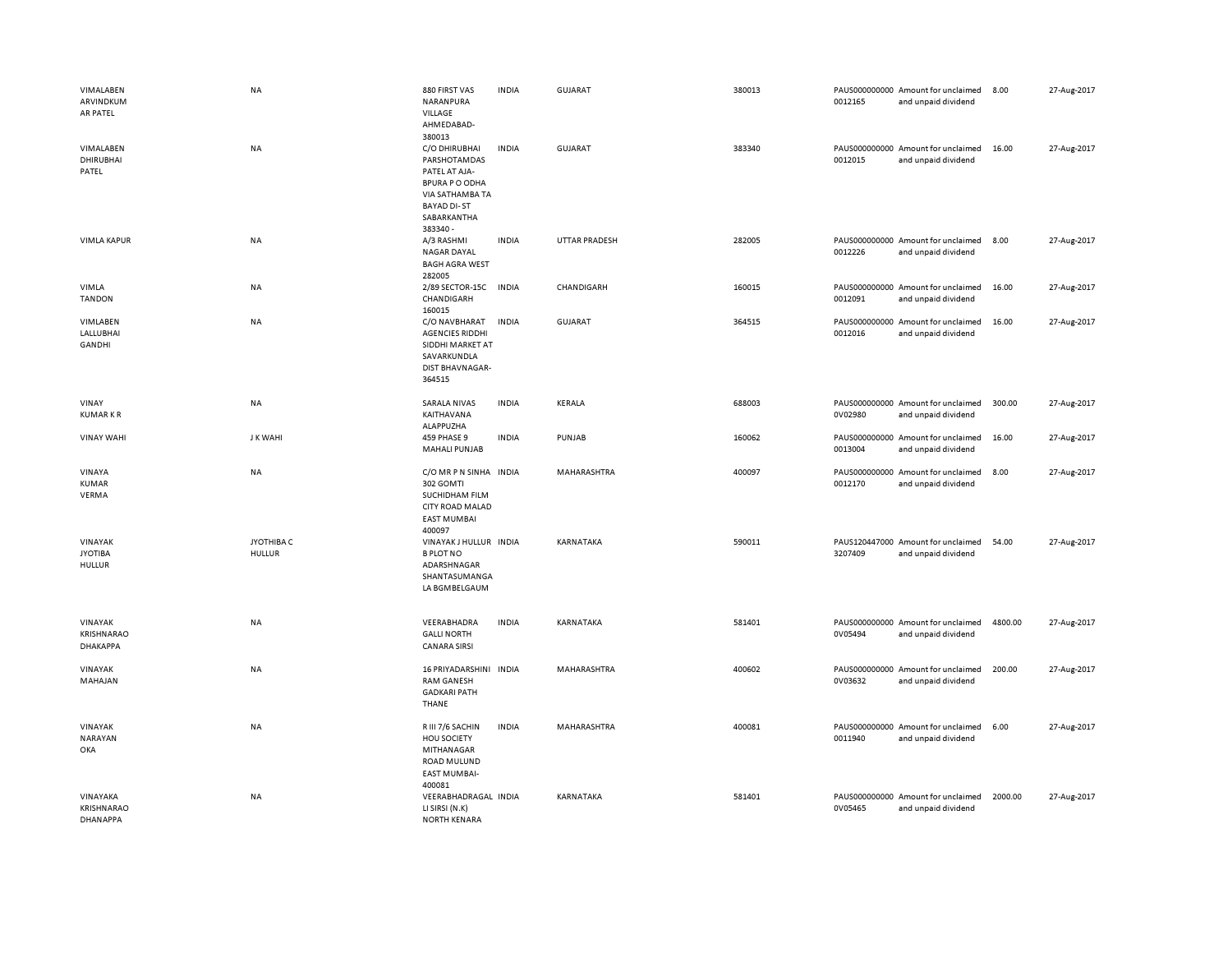|     | VIMALABEN<br>ARVINDKUM<br>AR PATEL                     | <b>NA</b>                   | 880 FIRST VAS<br>NARANPURA<br><b>VILLAGE</b><br>AHMEDABAD-<br>380013                                                                        | <b>INDIA</b> | GUJARAT        | 380013 | 0012165 | PAUS000000000 Amount for unclaimed<br>and unpaid dividend | 8.00    | 27-Aug-2017 |
|-----|--------------------------------------------------------|-----------------------------|---------------------------------------------------------------------------------------------------------------------------------------------|--------------|----------------|--------|---------|-----------------------------------------------------------|---------|-------------|
|     | VIMALABEN<br><b>DHIRUBHAI</b><br>PATEL                 | <b>NA</b>                   | C/O DHIRUBHAI<br>PARSHOTAMDAS<br>PATEL AT AJA-<br><b>BPURA P O ODHA</b><br>VIA SATHAMBA TA<br><b>BAYAD DI-ST</b><br>SABARKANTHA<br>383340 - | <b>INDIA</b> | <b>GUJARAT</b> | 383340 | 0012015 | PAUS000000000 Amount for unclaimed<br>and unpaid dividend | 16.00   | 27-Aug-2017 |
|     | <b>VIMLA KAPUR</b>                                     | <b>NA</b>                   | A/3 RASHMI<br>NAGAR DAYAL<br><b>BAGH AGRA WEST</b><br>282005                                                                                | <b>INDIA</b> | UTTAR PRADESH  | 282005 | 0012226 | PAUS000000000 Amount for unclaimed<br>and unpaid dividend | 8.00    | 27-Aug-2017 |
|     | VIMLA<br><b>TANDON</b>                                 | NA                          | 2/89 SECTOR-15C<br>CHANDIGARH<br>160015                                                                                                     | <b>INDIA</b> | CHANDIGARH     | 160015 | 0012091 | PAUS000000000 Amount for unclaimed<br>and unpaid dividend | 16.00   | 27-Aug-2017 |
|     | VIMLABEN<br>LALLUBHAI<br><b>GANDHI</b>                 | <b>NA</b>                   | C/O NAVBHARAT<br><b>AGENCIES RIDDHI</b><br>SIDDHI MARKET AT<br>SAVARKUNDLA<br>DIST BHAVNAGAR-<br>364515                                     | <b>INDIA</b> | <b>GUJARAT</b> | 364515 | 0012016 | PAUS000000000 Amount for unclaimed<br>and unpaid dividend | 16.00   | 27-Aug-2017 |
|     | VINAY<br><b>KUMARKR</b>                                | NA                          | <b>SARALA NIVAS</b><br>KAITHAVANA<br>ALAPPUZHA                                                                                              | <b>INDIA</b> | KERALA         | 688003 | 0V02980 | PAUS000000000 Amount for unclaimed<br>and unpaid dividend | 300.00  | 27-Aug-2017 |
|     | <b>VINAY WAHI</b>                                      | J K WAHI                    | 459 PHASE 9<br><b>MAHALI PUNJAB</b>                                                                                                         | <b>INDIA</b> | PUNJAB         | 160062 | 0013004 | PAUS000000000 Amount for unclaimed<br>and unpaid dividend | 16.00   | 27-Aug-2017 |
|     | VINAYA<br><b>KUMAR</b><br>VERMA                        | NA                          | C/O MR P N SINHA INDIA<br>302 GOMTI<br>SUCHIDHAM FILM<br>CITY ROAD MALAD<br><b>EAST MUMBAI</b><br>400097                                    |              | MAHARASHTRA    | 400097 | 0012170 | PAUS000000000 Amount for unclaimed<br>and unpaid dividend | 8.00    | 27-Aug-2017 |
|     | VINAYAK<br><b>JYOTIBA</b><br><b>HULLUR</b>             | JYOTHIBA C<br><b>HULLUR</b> | VINAYAK J HULLUR INDIA<br><b>B PLOT NO</b><br>ADARSHNAGAR<br>SHANTASUMANGA<br>LA BGMBELGAUM                                                 |              | KARNATAKA      | 590011 | 3207409 | PAUS120447000 Amount for unclaimed<br>and unpaid dividend | 54.00   | 27-Aug-2017 |
|     | VINAYAK<br><b>KRISHNARAO</b><br><b><i>DHAKAPPA</i></b> | <b>NA</b>                   | VEERABHADRA<br><b>GALLI NORTH</b><br><b>CANARA SIRSI</b>                                                                                    | <b>INDIA</b> | KARNATAKA      | 581401 | 0V05494 | PAUS000000000 Amount for unclaimed<br>and unpaid dividend | 4800.00 | 27-Aug-2017 |
|     | VINAYAK<br>MAHAJAN                                     | <b>NA</b>                   | 16 PRIYADARSHINI INDIA<br><b>RAM GANESH</b><br><b>GADKARI PATH</b><br>THANE                                                                 |              | MAHARASHTRA    | 400602 | 0V03632 | PAUS000000000 Amount for unclaimed<br>and unpaid dividend | 200.00  | 27-Aug-2017 |
| OKA | VINAYAK<br>NARAYAN                                     | <b>NA</b>                   | R III 7/6 SACHIN<br><b>HOU SOCIETY</b><br>MITHANAGAR<br>ROAD MULUND<br><b>EAST MUMBAI-</b><br>400081                                        | <b>INDIA</b> | MAHARASHTRA    | 400081 | 0011940 | PAUS000000000 Amount for unclaimed<br>and unpaid dividend | 6.00    | 27-Aug-2017 |
|     | VINAYAKA<br><b>KRISHNARAO</b><br><b>DHANAPPA</b>       | <b>NA</b>                   | VEERABHADRAGAL INDIA<br>LI SIRSI (N.K)<br><b>NORTH KENARA</b>                                                                               |              | KARNATAKA      | 581401 | 0V05465 | PAUS000000000 Amount for unclaimed<br>and unpaid dividend | 2000.00 | 27-Aug-2017 |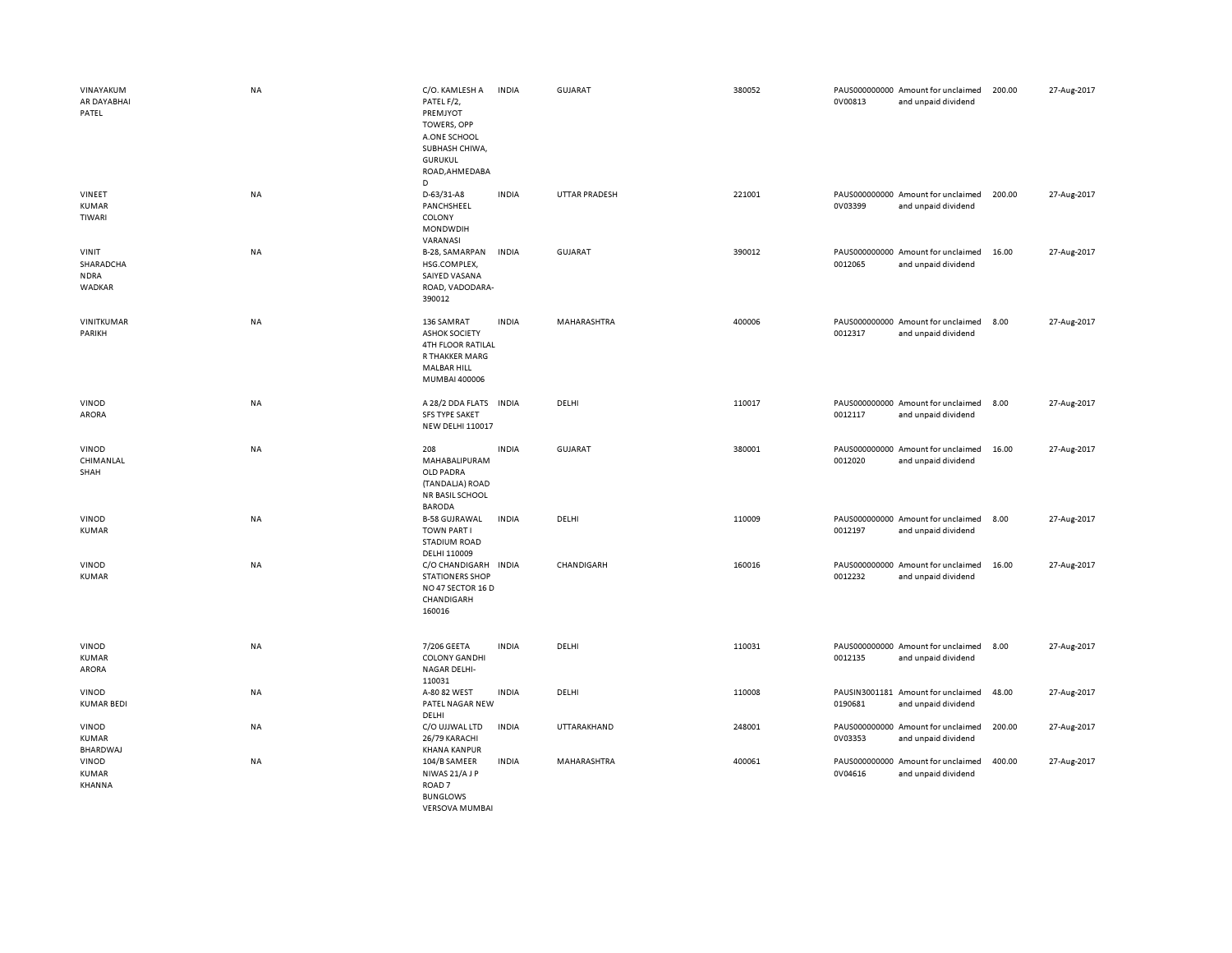| VINAYAKUM<br>AR DAYABHAI<br>PATEL           | <b>NA</b> | C/O. KAMLESH A<br>PATEL F/2,<br>PREMJYOT<br>TOWERS, OPP<br>A.ONE SCHOOL<br>SUBHASH CHIWA,<br><b>GURUKUL</b><br>ROAD, AHMEDABA<br>D | <b>INDIA</b> | <b>GUJARAT</b>       | 380052 | 0V00813 | PAUS000000000 Amount for unclaimed<br>and unpaid dividend | 200.00 | 27-Aug-2017 |
|---------------------------------------------|-----------|------------------------------------------------------------------------------------------------------------------------------------|--------------|----------------------|--------|---------|-----------------------------------------------------------|--------|-------------|
| VINEET<br><b>KUMAR</b><br>TIWARI            | NA        | D-63/31-A8<br>PANCHSHEEL<br>COLONY<br><b>MONDWDIH</b><br>VARANASI                                                                  | <b>INDIA</b> | <b>UTTAR PRADESH</b> | 221001 | 0V03399 | PAUS000000000 Amount for unclaimed<br>and unpaid dividend | 200.00 | 27-Aug-2017 |
| VINIT<br>SHARADCHA<br><b>NDRA</b><br>WADKAR | NA        | B-28, SAMARPAN<br>HSG.COMPLEX,<br>SAIYED VASANA<br>ROAD, VADODARA-<br>390012                                                       | <b>INDIA</b> | GUJARAT              | 390012 | 0012065 | PAUS000000000 Amount for unclaimed<br>and unpaid dividend | 16.00  | 27-Aug-2017 |
| VINITKUMAR<br>PARIKH                        | <b>NA</b> | 136 SAMRAT<br><b>ASHOK SOCIETY</b><br><b>4TH FLOOR RATILAL</b><br>R THAKKER MARG<br>MALBAR HILL<br>MUMBAI 400006                   | <b>INDIA</b> | MAHARASHTRA          | 400006 | 0012317 | PAUS000000000 Amount for unclaimed<br>and unpaid dividend | 8.00   | 27-Aug-2017 |
| VINOD<br><b>ARORA</b>                       | NA        | A 28/2 DDA FLATS<br><b>SFS TYPE SAKET</b><br><b>NEW DELHI 110017</b>                                                               | <b>INDIA</b> | DELHI                | 110017 | 0012117 | PAUS000000000 Amount for unclaimed<br>and unpaid dividend | 8.00   | 27-Aug-2017 |
| VINOD<br>CHIMANLAL<br>SHAH                  | NA        | 208<br>MAHABALIPURAM<br>OLD PADRA<br>(TANDALJA) ROAD<br><b>NR BASIL SCHOOL</b><br><b>BARODA</b>                                    | <b>INDIA</b> | GUJARAT              | 380001 | 0012020 | PAUS000000000 Amount for unclaimed<br>and unpaid dividend | 16.00  | 27-Aug-2017 |
| VINOD<br><b>KUMAR</b>                       | NA        | <b>B-58 GUJRAWAL</b><br><b>TOWN PART I</b><br><b>STADIUM ROAD</b><br>DELHI 110009                                                  | <b>INDIA</b> | DELHI                | 110009 | 0012197 | PAUS000000000 Amount for unclaimed<br>and unpaid dividend | 8.00   | 27-Aug-2017 |
| VINOD<br><b>KUMAR</b>                       | NA        | C/O CHANDIGARH INDIA<br><b>STATIONERS SHOP</b><br>NO 47 SECTOR 16 D<br>CHANDIGARH<br>160016                                        |              | CHANDIGARH           | 160016 | 0012232 | PAUS000000000 Amount for unclaimed<br>and unpaid dividend | 16.00  | 27-Aug-2017 |
| VINOD<br><b>KUMAR</b><br>ARORA              | <b>NA</b> | 7/206 GEETA<br><b>COLONY GANDHI</b><br><b>NAGAR DELHI-</b><br>110031                                                               | <b>INDIA</b> | DELHI                | 110031 | 0012135 | PAUS000000000 Amount for unclaimed<br>and unpaid dividend | 8.00   | 27-Aug-2017 |
| VINOD<br><b>KUMAR BEDI</b>                  | NA        | A-80 82 WEST<br>PATEL NAGAR NEW<br>DELHI                                                                                           | <b>INDIA</b> | DELHI                | 110008 | 0190681 | PAUSIN3001181 Amount for unclaimed<br>and unpaid dividend | 48.00  | 27-Aug-2017 |
| VINOD<br>KUMAR<br>BHARDWAJ                  | NA        | C/O UJJWAL LTD<br>26/79 KARACHI<br><b>KHANA KANPUR</b>                                                                             | <b>INDIA</b> | UTTARAKHAND          | 248001 | 0V03353 | PAUS000000000 Amount for unclaimed<br>and unpaid dividend | 200.00 | 27-Aug-2017 |
| VINOD<br>KUMAR<br>KHANNA                    | NA        | 104/B SAMEER<br>NIWAS 21/AJP<br>ROAD <sub>7</sub><br><b>BUNGLOWS</b><br><b>VERSOVA MUMBAL</b>                                      | <b>INDIA</b> | MAHARASHTRA          | 400061 | 0V04616 | PAUS000000000 Amount for unclaimed<br>and unpaid dividend | 400.00 | 27-Aug-2017 |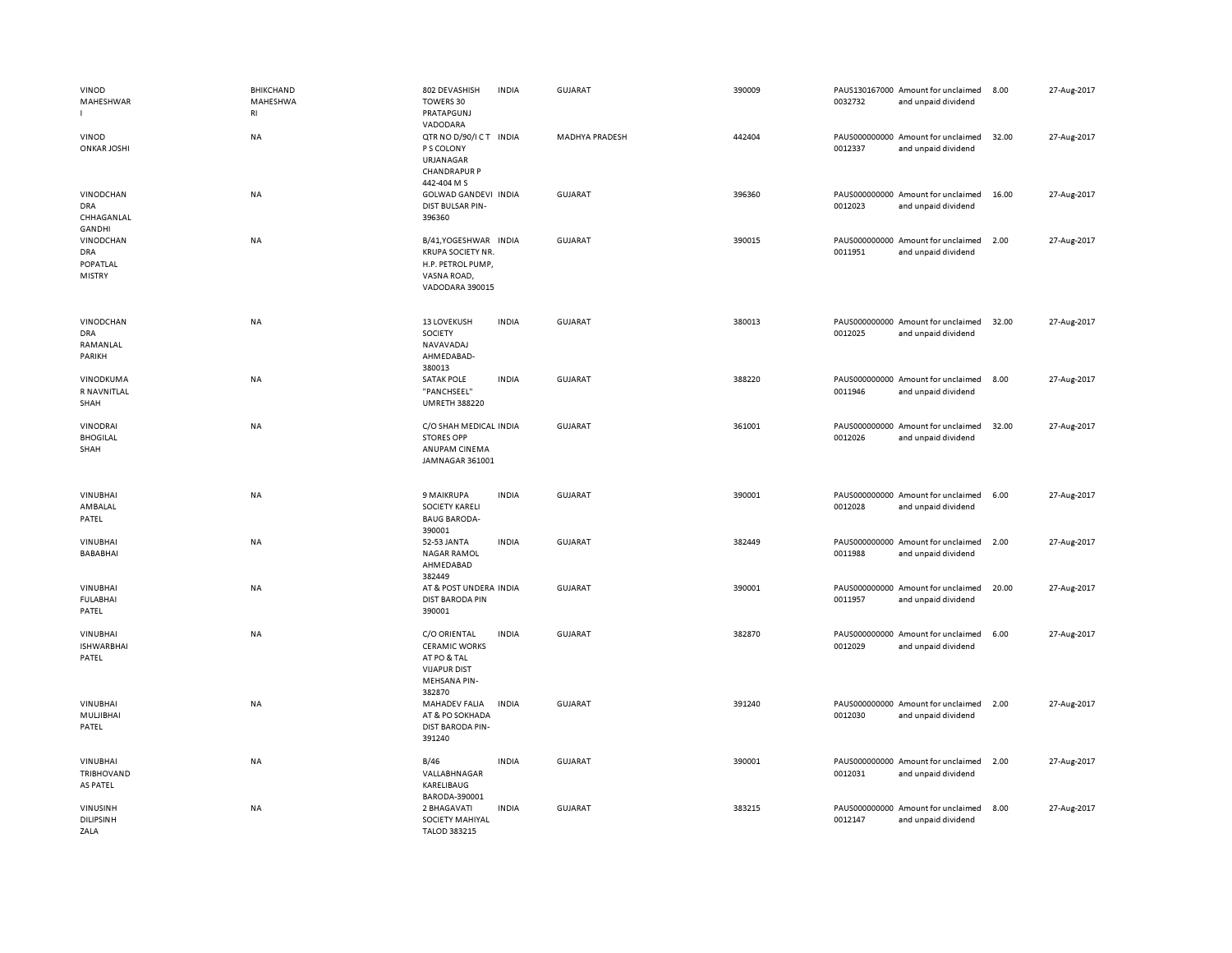| VINOD<br>MAHESHWAR<br>л.                             | <b>BHIKCHAND</b><br>MAHESHWA<br>$\mathsf{RI}$ | 802 DEVASHISH<br>TOWERS 30<br>PRATAPGUNJ                                                                    | <b>INDIA</b> | <b>GUJARAT</b> | 390009 | 0032732 | PAUS130167000 Amount for unclaimed<br>and unpaid dividend | 8.00  | 27-Aug-2017 |
|------------------------------------------------------|-----------------------------------------------|-------------------------------------------------------------------------------------------------------------|--------------|----------------|--------|---------|-----------------------------------------------------------|-------|-------------|
| VINOD<br><b>ONKAR JOSHI</b>                          | <b>NA</b>                                     | VADODARA<br>QTR NO D/90/I CT INDIA<br>P S COLONY<br>URJANAGAR<br><b>CHANDRAPUR P</b><br>442-404 M S         |              | MADHYA PRADESH | 442404 | 0012337 | PAUS000000000 Amount for unclaimed<br>and unpaid dividend | 32.00 | 27-Aug-2017 |
| VINODCHAN<br>DRA<br>CHHAGANLAL<br><b>GANDHI</b>      | <b>NA</b>                                     | GOLWAD GANDEVI INDIA<br>DIST BULSAR PIN-<br>396360                                                          |              | <b>GUJARAT</b> | 396360 | 0012023 | PAUS000000000 Amount for unclaimed<br>and unpaid dividend | 16.00 | 27-Aug-2017 |
| VINODCHAN<br><b>DRA</b><br>POPATLAL<br><b>MISTRY</b> | NA                                            | B/41, YOGESHWAR INDIA<br><b>KRUPA SOCIETY NR.</b><br>H.P. PETROL PUMP,<br>VASNA ROAD,<br>VADODARA 390015    |              | <b>GUJARAT</b> | 390015 | 0011951 | PAUS000000000 Amount for unclaimed<br>and unpaid dividend | 2.00  | 27-Aug-2017 |
| VINODCHAN<br><b>DRA</b><br>RAMANLAL<br>PARIKH        | NA                                            | <b>13 LOVEKUSH</b><br>SOCIETY<br>NAVAVADAJ<br>AHMEDABAD-<br>380013                                          | <b>INDIA</b> | <b>GUJARAT</b> | 380013 | 0012025 | PAUS000000000 Amount for unclaimed<br>and unpaid dividend | 32.00 | 27-Aug-2017 |
| VINODKUMA<br>R NAVNITLAL<br>SHAH                     | NA                                            | <b>SATAK POLE</b><br>"PANCHSEEL"<br><b>UMRETH 388220</b>                                                    | <b>INDIA</b> | <b>GUJARAT</b> | 388220 | 0011946 | PAUS000000000 Amount for unclaimed<br>and unpaid dividend | 8.00  | 27-Aug-2017 |
| VINODRAI<br><b>BHOGILAL</b><br>SHAH                  | NA                                            | C/O SHAH MEDICAL INDIA<br><b>STORES OPP</b><br>ANUPAM CINEMA<br>JAMNAGAR 361001                             |              | <b>GUJARAT</b> | 361001 | 0012026 | PAUS000000000 Amount for unclaimed<br>and unpaid dividend | 32.00 | 27-Aug-2017 |
| <b>VINUBHAI</b><br>AMBALAL<br>PATEL                  | <b>NA</b>                                     | <b>9 MAIKRUPA</b><br><b>SOCIETY KARELI</b><br><b>BAUG BARODA-</b><br>390001                                 | <b>INDIA</b> | <b>GUJARAT</b> | 390001 | 0012028 | PAUS000000000 Amount for unclaimed<br>and unpaid dividend | 6.00  | 27-Aug-2017 |
| VINUBHAI<br>BABABHAI                                 | NA                                            | 52-53 JANTA<br><b>NAGAR RAMOL</b><br>AHMEDABAD<br>382449                                                    | <b>INDIA</b> | <b>GUJARAT</b> | 382449 | 0011988 | PAUS000000000 Amount for unclaimed<br>and unpaid dividend | 2.00  | 27-Aug-2017 |
| VINUBHAI<br><b>FULABHAI</b><br>PATEL                 | NA                                            | AT & POST UNDERA INDIA<br><b>DIST BARODA PIN</b><br>390001                                                  |              | <b>GUJARAT</b> | 390001 | 0011957 | PAUS000000000 Amount for unclaimed<br>and unpaid dividend | 20.00 | 27-Aug-2017 |
| <b>VINUBHAI</b><br><b>ISHWARBHAI</b><br>PATEL        | NA                                            | C/O ORIENTAL<br><b>CERAMIC WORKS</b><br>AT PO & TAL<br><b>VIJAPUR DIST</b><br><b>MEHSANA PIN-</b><br>382870 | <b>INDIA</b> | <b>GUJARAT</b> | 382870 | 0012029 | PAUS000000000 Amount for unclaimed<br>and unpaid dividend | 6.00  | 27-Aug-2017 |
| VINUBHAI<br>MULJIBHAI<br>PATEL                       | NA                                            | MAHADEV FALIA<br>AT & PO SOKHADA<br><b>DIST BARODA PIN-</b><br>391240                                       | <b>INDIA</b> | <b>GUJARAT</b> | 391240 | 0012030 | PAUS000000000 Amount for unclaimed<br>and unpaid dividend | 2.00  | 27-Aug-2017 |
| VINUBHAI<br>TRIBHOVAND<br>AS PATEL                   | NA                                            | B/46<br>VALLABHNAGAR<br>KARELIBAUG<br>BARODA-390001                                                         | <b>INDIA</b> | <b>GUJARAT</b> | 390001 | 0012031 | PAUS000000000 Amount for unclaimed<br>and unpaid dividend | 2.00  | 27-Aug-2017 |
| <b>VINUSINH</b><br><b>DILIPSINH</b><br>ZALA          | NA                                            | 2 BHAGAVATI<br>SOCIETY MAHIYAL<br>TALOD 383215                                                              | <b>INDIA</b> | <b>GUJARAT</b> | 383215 | 0012147 | PAUS000000000 Amount for unclaimed<br>and unpaid dividend | 8.00  | 27-Aug-2017 |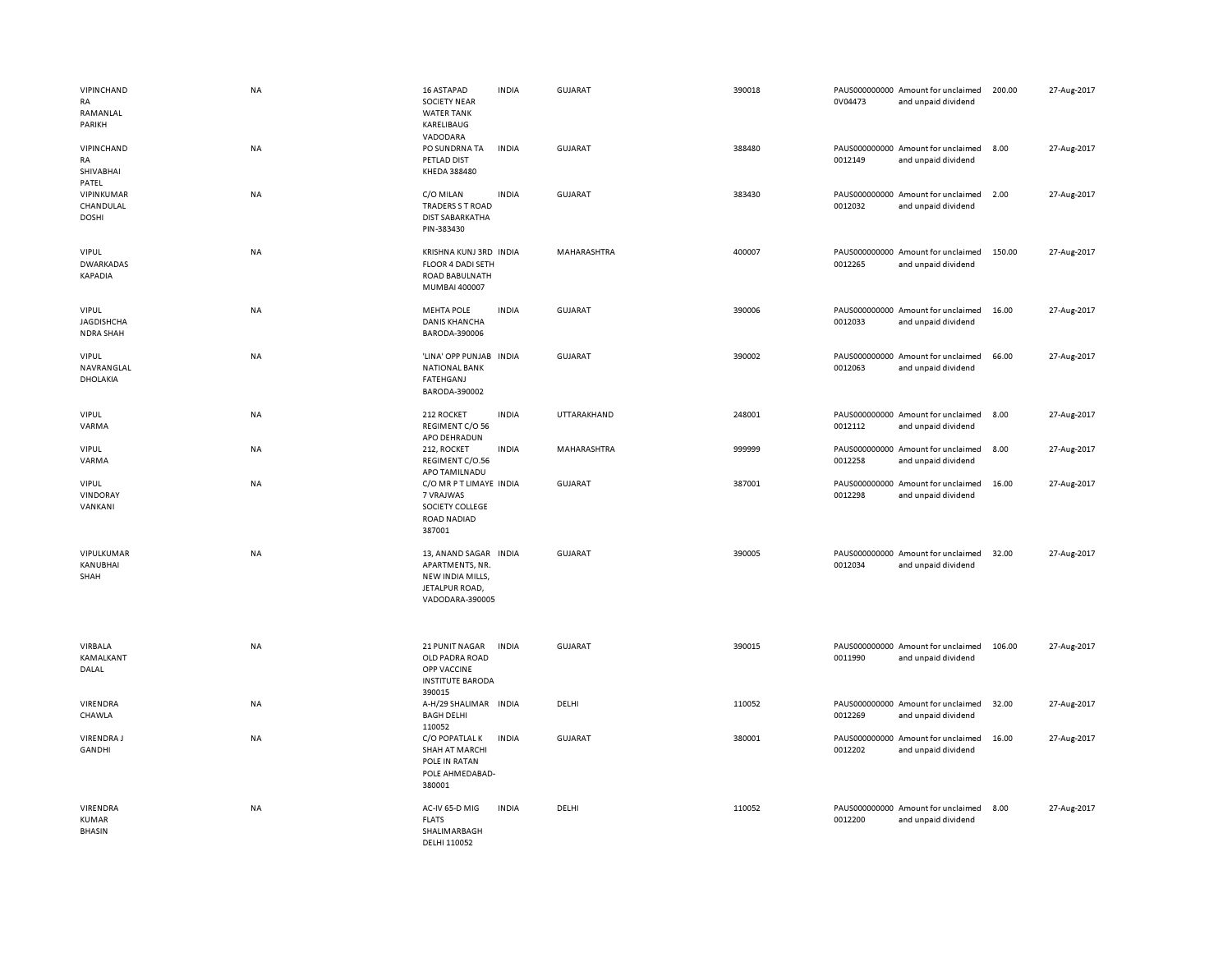| VIPINCHAND<br>RA<br>RAMANLAL<br>PARIKH                | <b>NA</b> | 16 ASTAPAD<br><b>SOCIETY NEAR</b><br><b>WATER TANK</b><br>KARELIBAUG<br>VADODARA                  | <b>INDIA</b> | <b>GUJARAT</b> | 390018 | 0V04473 | PAUS000000000 Amount for unclaimed<br>and unpaid dividend | 200.00 | 27-Aug-2017 |
|-------------------------------------------------------|-----------|---------------------------------------------------------------------------------------------------|--------------|----------------|--------|---------|-----------------------------------------------------------|--------|-------------|
| VIPINCHAND<br>RA<br>SHIVABHAI<br>PATEL                | NA        | PO SUNDRNA TA<br>PETLAD DIST<br>KHEDA 388480                                                      | <b>INDIA</b> | <b>GUJARAT</b> | 388480 | 0012149 | PAUS000000000 Amount for unclaimed<br>and unpaid dividend | 8.00   | 27-Aug-2017 |
| VIPINKUMAR<br>CHANDULAL<br><b>DOSHI</b>               | NA        | C/O MILAN<br>TRADERS S T ROAD<br><b>DIST SABARKATHA</b><br>PIN-383430                             | <b>INDIA</b> | <b>GUJARAT</b> | 383430 | 0012032 | PAUS000000000 Amount for unclaimed<br>and unpaid dividend | 2.00   | 27-Aug-2017 |
| VIPUL<br><b>DWARKADAS</b><br><b>KAPADIA</b>           | NA        | KRISHNA KUNJ 3RD INDIA<br><b>FLOOR 4 DADI SETH</b><br>ROAD BABULNATH<br>MUMBAI 400007             |              | MAHARASHTRA    | 400007 | 0012265 | PAUS000000000 Amount for unclaimed<br>and unpaid dividend | 150.00 | 27-Aug-2017 |
| <b>VIPUL</b><br><b>JAGDISHCHA</b><br><b>NDRA SHAH</b> | <b>NA</b> | <b>MEHTA POLE</b><br><b>DANIS KHANCHA</b><br>BARODA-390006                                        | <b>INDIA</b> | <b>GUJARAT</b> | 390006 | 0012033 | PAUS000000000 Amount for unclaimed<br>and unpaid dividend | 16.00  | 27-Aug-2017 |
| <b>VIPUL</b><br>NAVRANGLAL<br>DHOLAKIA                | <b>NA</b> | 'LINA' OPP PUNJAB<br><b>NATIONAL BANK</b><br><b>FATEHGANJ</b><br>BARODA-390002                    | <b>INDIA</b> | <b>GUJARAT</b> | 390002 | 0012063 | PAUS000000000 Amount for unclaimed<br>and unpaid dividend | 66.00  | 27-Aug-2017 |
| <b>VIPUL</b><br>VARMA                                 | NA        | 212 ROCKET<br>REGIMENT C/O 56<br>APO DEHRADUN                                                     | <b>INDIA</b> | UTTARAKHAND    | 248001 | 0012112 | PAUS000000000 Amount for unclaimed<br>and unpaid dividend | 8.00   | 27-Aug-2017 |
| <b>VIPUL</b><br>VARMA                                 | NA        | 212, ROCKET<br>REGIMENT C/O.56<br>APO TAMILNADU                                                   | <b>INDIA</b> | MAHARASHTRA    | 999999 | 0012258 | PAUS000000000 Amount for unclaimed<br>and unpaid dividend | 8.00   | 27-Aug-2017 |
| <b>VIPUL</b><br>VINDORAY<br>VANKANI                   | NA        | C/O MR P T LIMAYE INDIA<br>7 VRAJWAS<br>SOCIETY COLLEGE<br>ROAD NADIAD<br>387001                  |              | <b>GUJARAT</b> | 387001 | 0012298 | PAUS000000000 Amount for unclaimed<br>and unpaid dividend | 16.00  | 27-Aug-2017 |
| VIPULKUMAR<br>KANUBHAI<br>SHAH                        | NA        | 13, ANAND SAGAR INDIA<br>APARTMENTS, NR.<br>NEW INDIA MILLS,<br>JETALPUR ROAD,<br>VADODARA-390005 |              | <b>GUJARAT</b> | 390005 | 0012034 | PAUS000000000 Amount for unclaimed<br>and unpaid dividend | 32.00  | 27-Aug-2017 |
| VIRBALA<br>KAMALKANT<br>DALAL                         | NA        | 21 PUNIT NAGAR<br>OLD PADRA ROAD<br>OPP VACCINE<br><b>INSTITUTE BARODA</b><br>390015              | <b>INDIA</b> | <b>GUJARAT</b> | 390015 | 0011990 | PAUS000000000 Amount for unclaimed<br>and unpaid dividend | 106.00 | 27-Aug-2017 |
| VIRENDRA<br>CHAWLA                                    | NA        | A-H/29 SHALIMAR INDIA<br><b>BAGH DELHI</b><br>110052                                              |              | DELHI          | 110052 | 0012269 | PAUS000000000 Amount for unclaimed<br>and unpaid dividend | 32.00  | 27-Aug-2017 |
| <b>VIRENDRAJ</b><br>GANDHI                            | <b>NA</b> | C/O POPATLAL K<br><b>SHAH AT MARCHI</b><br>POLE IN RATAN<br>POLE AHMEDABAD-<br>380001             | <b>INDIA</b> | <b>GUJARAT</b> | 380001 | 0012202 | PAUS000000000 Amount for unclaimed<br>and unpaid dividend | 16.00  | 27-Aug-2017 |
| VIRENDRA<br>KUMAR<br>BHASIN                           | NA        | AC-IV 65-D MIG<br><b>FLATS</b><br>SHALIMARBAGH<br>DELHI 110052                                    | <b>INDIA</b> | DELHI          | 110052 | 0012200 | PAUS000000000 Amount for unclaimed<br>and unpaid dividend | 8.00   | 27-Aug-2017 |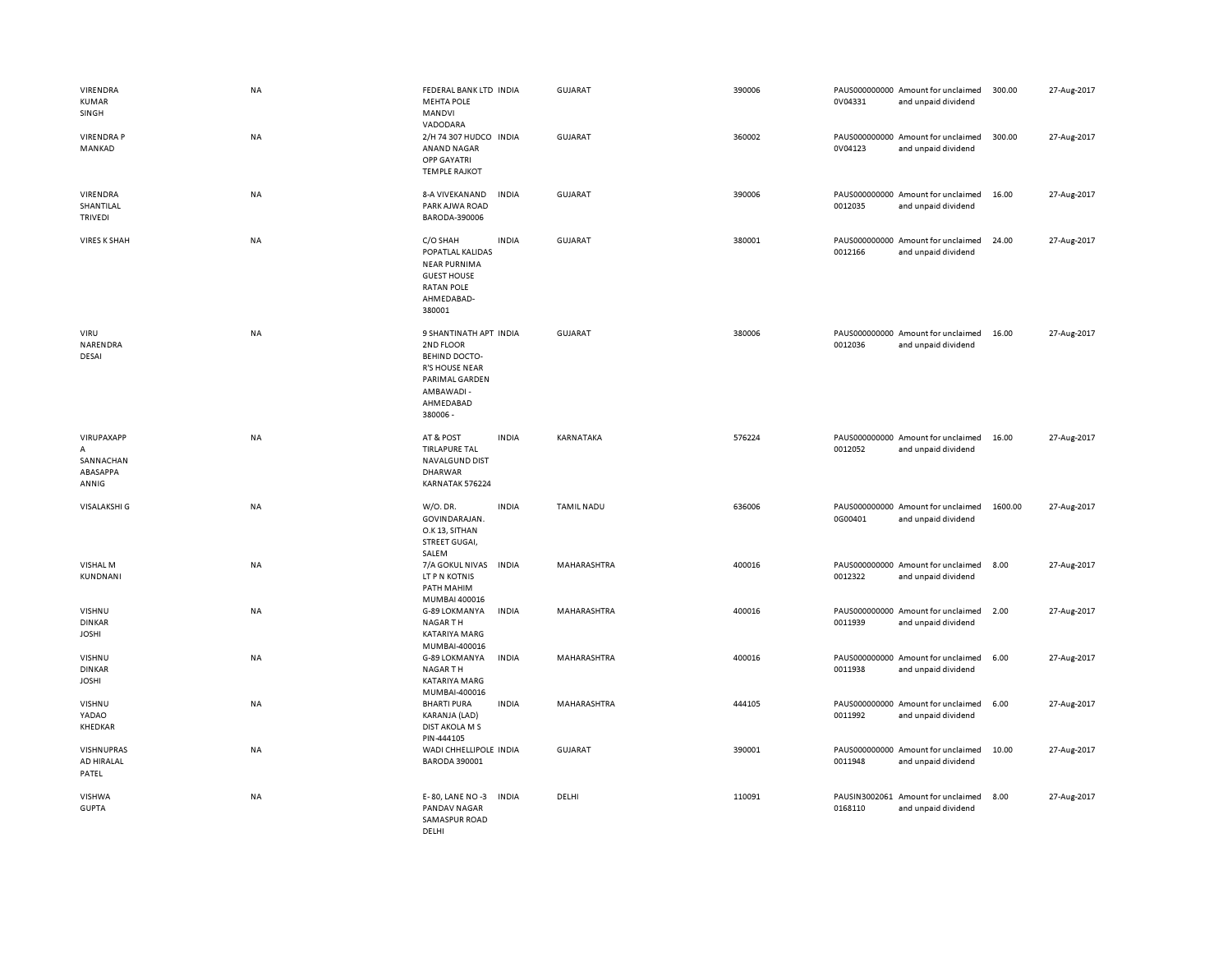| VIRENDRA<br><b>KUMAR</b><br>SINGH                 | NA        | FEDERAL BANK LTD INDIA<br><b>MEHTA POLE</b><br>MANDVI                                                                                        | <b>GUJARAT</b>    | 390006 | 0V04331                  | PAUS000000000 Amount for unclaimed<br>and unpaid dividend | 300.00  | 27-Aug-2017 |
|---------------------------------------------------|-----------|----------------------------------------------------------------------------------------------------------------------------------------------|-------------------|--------|--------------------------|-----------------------------------------------------------|---------|-------------|
| <b>VIRENDRAP</b><br>MANKAD                        | NA        | VADODARA<br>2/H 74 307 HUDCO INDIA<br>ANAND NAGAR<br>OPP GAYATRI<br><b>TEMPLE RAJKOT</b>                                                     | <b>GUJARAT</b>    | 360002 | 0V04123                  | PAUS000000000 Amount for unclaimed<br>and unpaid dividend | 300.00  | 27-Aug-2017 |
| VIRENDRA<br>SHANTILAL<br>TRIVEDI                  | NA        | <b>INDIA</b><br>8-A VIVEKANAND<br>PARK AJWA ROAD<br>BARODA-390006                                                                            | <b>GUJARAT</b>    | 390006 | 0012035                  | PAUS000000000 Amount for unclaimed<br>and unpaid dividend | 16.00   | 27-Aug-2017 |
| <b>VIRES K SHAH</b>                               | <b>NA</b> | C/O SHAH<br><b>INDIA</b><br>POPATLAL KALIDAS<br><b>NEAR PURNIMA</b><br><b>GUEST HOUSE</b><br><b>RATAN POLE</b><br>AHMEDABAD-<br>380001       | <b>GUJARAT</b>    | 380001 | PAUS000000000<br>0012166 | Amount for unclaimed<br>and unpaid dividend               | 24.00   | 27-Aug-2017 |
| VIRU<br>NARENDRA<br>DESAI                         | <b>NA</b> | 9 SHANTINATH APT INDIA<br>2ND FLOOR<br><b>BEHIND DOCTO-</b><br><b>R'S HOUSE NEAR</b><br>PARIMAL GARDEN<br>AMBAWADI-<br>AHMEDABAD<br>380006 - | <b>GUJARAT</b>    | 380006 | 0012036                  | PAUS000000000 Amount for unclaimed<br>and unpaid dividend | 16.00   | 27-Aug-2017 |
| VIRUPAXAPP<br>Α<br>SANNACHAN<br>ABASAPPA<br>ANNIG | NA        | <b>INDIA</b><br>AT & POST<br><b>TIRLAPURE TAL</b><br><b>NAVALGUND DIST</b><br>DHARWAR<br>KARNATAK 576224                                     | KARNATAKA         | 576224 | 0012052                  | PAUS000000000 Amount for unclaimed<br>and unpaid dividend | 16.00   | 27-Aug-2017 |
| <b>VISALAKSHI G</b>                               | <b>NA</b> | W/O. DR.<br><b>INDIA</b><br>GOVINDARAJAN.<br>O.K 13, SITHAN<br>STREET GUGAI,<br>SALEM                                                        | <b>TAMIL NADU</b> | 636006 | 0G00401                  | PAUS000000000 Amount for unclaimed<br>and unpaid dividend | 1600.00 | 27-Aug-2017 |
| VISHAL M<br>KUNDNANI                              | NA        | 7/A GOKUL NIVAS<br><b>INDIA</b><br>LT P N KOTNIS<br>PATH MAHIM<br>MUMBAI 400016                                                              | MAHARASHTRA       | 400016 | 0012322                  | PAUS000000000 Amount for unclaimed<br>and unpaid dividend | 8.00    | 27-Aug-2017 |
| VISHNU<br><b>DINKAR</b><br><b>JOSHI</b>           | NA        | G-89 LOKMANYA<br><b>INDIA</b><br><b>NAGARTH</b><br>KATARIYA MARG<br>MUMBAI-400016                                                            | MAHARASHTRA       | 400016 | 0011939                  | PAUS000000000 Amount for unclaimed<br>and unpaid dividend | 2.00    | 27-Aug-2017 |
| VISHNU<br><b>DINKAR</b><br><b>JOSHI</b>           | NA        | G-89 LOKMANYA<br>INDIA<br>NAGAR TH<br>KATARIYA MARG<br>MUMBAI-400016                                                                         | MAHARASHTRA       | 400016 | 0011938                  | PAUS000000000 Amount for unclaimed<br>and unpaid dividend | 6.00    | 27-Aug-2017 |
| VISHNU<br>YADAO<br>KHEDKAR                        | NA        | <b>BHARTI PURA</b><br><b>INDIA</b><br>KARANJA (LAD)<br>DIST AKOLA M S<br>PIN-444105                                                          | MAHARASHTRA       | 444105 | PAUS000000000<br>0011992 | Amount for unclaimed<br>and unpaid dividend               | 6.00    | 27-Aug-2017 |
| VISHNUPRAS<br>AD HIRALAL<br>PATEL                 | NA        | WADI CHHELLIPOLE INDIA<br><b>BARODA 390001</b>                                                                                               | <b>GUJARAT</b>    | 390001 | 0011948                  | PAUS000000000 Amount for unclaimed<br>and unpaid dividend | 10.00   | 27-Aug-2017 |
| <b>VISHWA</b><br><b>GUPTA</b>                     | NA        | E-80, LANE NO-3<br><b>INDIA</b><br>PANDAV NAGAR<br>SAMASPUR ROAD<br>DELHI                                                                    | DELHI             | 110091 | 0168110                  | PAUSIN3002061 Amount for unclaimed<br>and unpaid dividend | 8.00    | 27-Aug-2017 |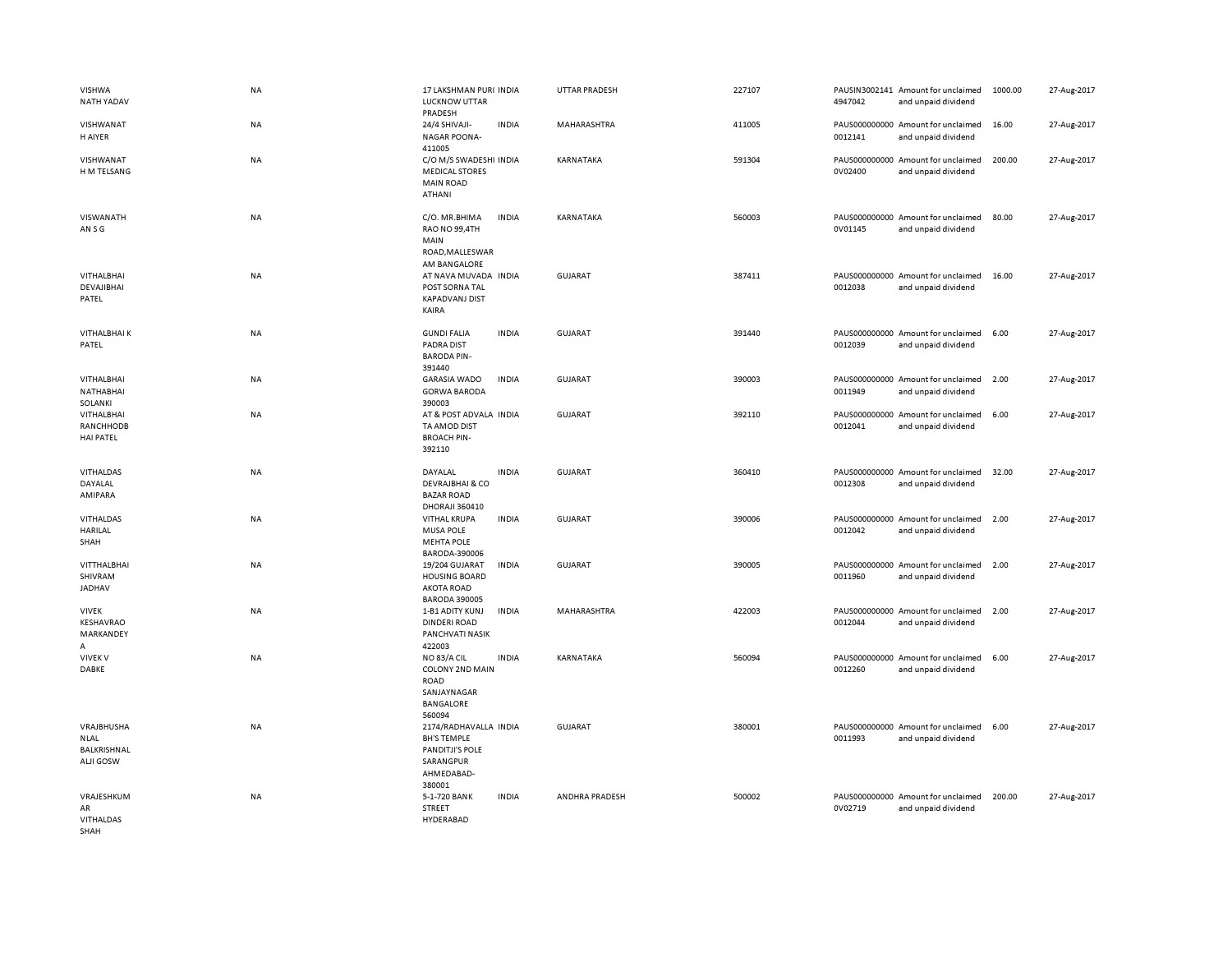| <b>VISHWA</b><br>NATH YADAV                                  | <b>NA</b> | 17 LAKSHMAN PURI INDIA<br><b>LUCKNOW UTTAR</b><br>PRADESH                                           |              | <b>UTTAR PRADESH</b> | 227107 | 4947042 | PAUSIN3002141 Amount for unclaimed<br>and unpaid dividend | 1000.00 | 27-Aug-2017 |
|--------------------------------------------------------------|-----------|-----------------------------------------------------------------------------------------------------|--------------|----------------------|--------|---------|-----------------------------------------------------------|---------|-------------|
| VISHWANAT<br>H AIYER                                         | NA        | 24/4 SHIVAJI-<br><b>NAGAR POONA-</b><br>411005                                                      | <b>INDIA</b> | MAHARASHTRA          | 411005 | 0012141 | PAUS000000000 Amount for unclaimed<br>and unpaid dividend | 16.00   | 27-Aug-2017 |
| VISHWANAT<br>H M TELSANG                                     | <b>NA</b> | C/O M/S SWADESHI INDIA<br><b>MEDICAL STORES</b><br><b>MAIN ROAD</b><br>ATHANI                       |              | KARNATAKA            | 591304 | 0V02400 | PAUS000000000 Amount for unclaimed<br>and unpaid dividend | 200.00  | 27-Aug-2017 |
| VISWANATH<br>AN S G                                          | <b>NA</b> | C/O. MR.BHIMA<br>RAO NO 99,4TH<br>MAIN<br>ROAD, MALLESWAR                                           | <b>INDIA</b> | KARNATAKA            | 560003 | 0V01145 | PAUS000000000 Amount for unclaimed<br>and unpaid dividend | 80.00   | 27-Aug-2017 |
| VITHALBHAI<br>DEVAJIBHAI<br>PATEL                            | NA        | AM BANGALORE<br>AT NAVA MUVADA INDIA<br>POST SORNA TAL<br><b>KAPADVANJ DIST</b><br>KAIRA            |              | <b>GUJARAT</b>       | 387411 | 0012038 | PAUS000000000 Amount for unclaimed<br>and unpaid dividend | 16.00   | 27-Aug-2017 |
| <b>VITHALBHAIK</b><br>PATEL                                  | <b>NA</b> | <b>GUNDI FALIA</b><br>PADRA DIST<br><b>BARODA PIN-</b><br>391440                                    | <b>INDIA</b> | <b>GUJARAT</b>       | 391440 | 0012039 | PAUS000000000 Amount for unclaimed<br>and unpaid dividend | 6.00    | 27-Aug-2017 |
| VITHALBHAI<br>NATHABHAI<br>SOLANKI                           | NA        | <b>GARASIA WADO</b><br><b>GORWA BARODA</b><br>390003                                                | <b>INDIA</b> | <b>GUJARAT</b>       | 390003 | 0011949 | PAUS000000000 Amount for unclaimed<br>and unpaid dividend | 2.00    | 27-Aug-2017 |
| VITHALBHAI<br>RANCHHODB<br><b>HAI PATEL</b>                  | <b>NA</b> | AT & POST ADVALA INDIA<br>TA AMOD DIST<br><b>BROACH PIN-</b><br>392110                              |              | <b>GUJARAT</b>       | 392110 | 0012041 | PAUS000000000 Amount for unclaimed<br>and unpaid dividend | 6.00    | 27-Aug-2017 |
| VITHALDAS<br>DAYALAL<br>AMIPARA                              | <b>NA</b> | DAYALAL<br><b>DEVRAJBHAI &amp; CO</b><br><b>BAZAR ROAD</b><br><b>DHORAJI 360410</b>                 | <b>INDIA</b> | <b>GUJARAT</b>       | 360410 | 0012308 | PAUS000000000 Amount for unclaimed<br>and unpaid dividend | 32.00   | 27-Aug-2017 |
| VITHALDAS<br>HARILAL<br>SHAH                                 | NA        | <b>VITHAL KRUPA</b><br><b>MUSA POLE</b><br><b>MEHTA POLE</b><br>BARODA-390006                       | <b>INDIA</b> | GUJARAT              | 390006 | 0012042 | PAUS000000000 Amount for unclaimed<br>and unpaid dividend | 2.00    | 27-Aug-2017 |
| VITTHALBHAI<br>SHIVRAM<br>JADHAV                             | NA        | 19/204 GUJARAT<br><b>HOUSING BOARD</b><br><b>AKOTA ROAD</b><br><b>BARODA 390005</b>                 | <b>INDIA</b> | <b>GUJARAT</b>       | 390005 | 0011960 | PAUS000000000 Amount for unclaimed<br>and unpaid dividend | 2.00    | 27-Aug-2017 |
| <b>VIVEK</b><br>KESHAVRAO<br>MARKANDEY<br>A                  | <b>NA</b> | 1-B1 ADITY KUNJ<br><b>DINDERI ROAD</b><br>PANCHVATI NASIK<br>422003                                 | <b>INDIA</b> | MAHARASHTRA          | 422003 | 0012044 | PAUS000000000 Amount for unclaimed<br>and unpaid dividend | 2.00    | 27-Aug-2017 |
| <b>VIVEK V</b><br><b>DABKE</b>                               | NA        | NO 83/A CIL<br>COLONY 2ND MAIN<br><b>ROAD</b><br>SANJAYNAGAR<br>BANGALORE<br>560094                 | <b>INDIA</b> | KARNATAKA            | 560094 | 0012260 | PAUS000000000 Amount for unclaimed<br>and unpaid dividend | 6.00    | 27-Aug-2017 |
| VRAJBHUSHA<br><b>NLAL</b><br>BALKRISHNAL<br><b>ALJI GOSW</b> | NA        | 2174/RADHAVALLA INDIA<br><b>BH'S TEMPLE</b><br>PANDITJI'S POLE<br>SARANGPUR<br>AHMEDABAD-<br>380001 |              | <b>GUJARAT</b>       | 380001 | 0011993 | PAUS000000000 Amount for unclaimed<br>and unpaid dividend | 6.00    | 27-Aug-2017 |
| VRAJESHKUM<br>AR<br>VITHALDAS<br>SHAH                        | NA        | 5-1-720 BANK<br>STREET<br>HYDERABAD                                                                 | <b>INDIA</b> | ANDHRA PRADESH       | 500002 | 0V02719 | PAUS000000000 Amount for unclaimed<br>and unpaid dividend | 200.00  | 27-Aug-2017 |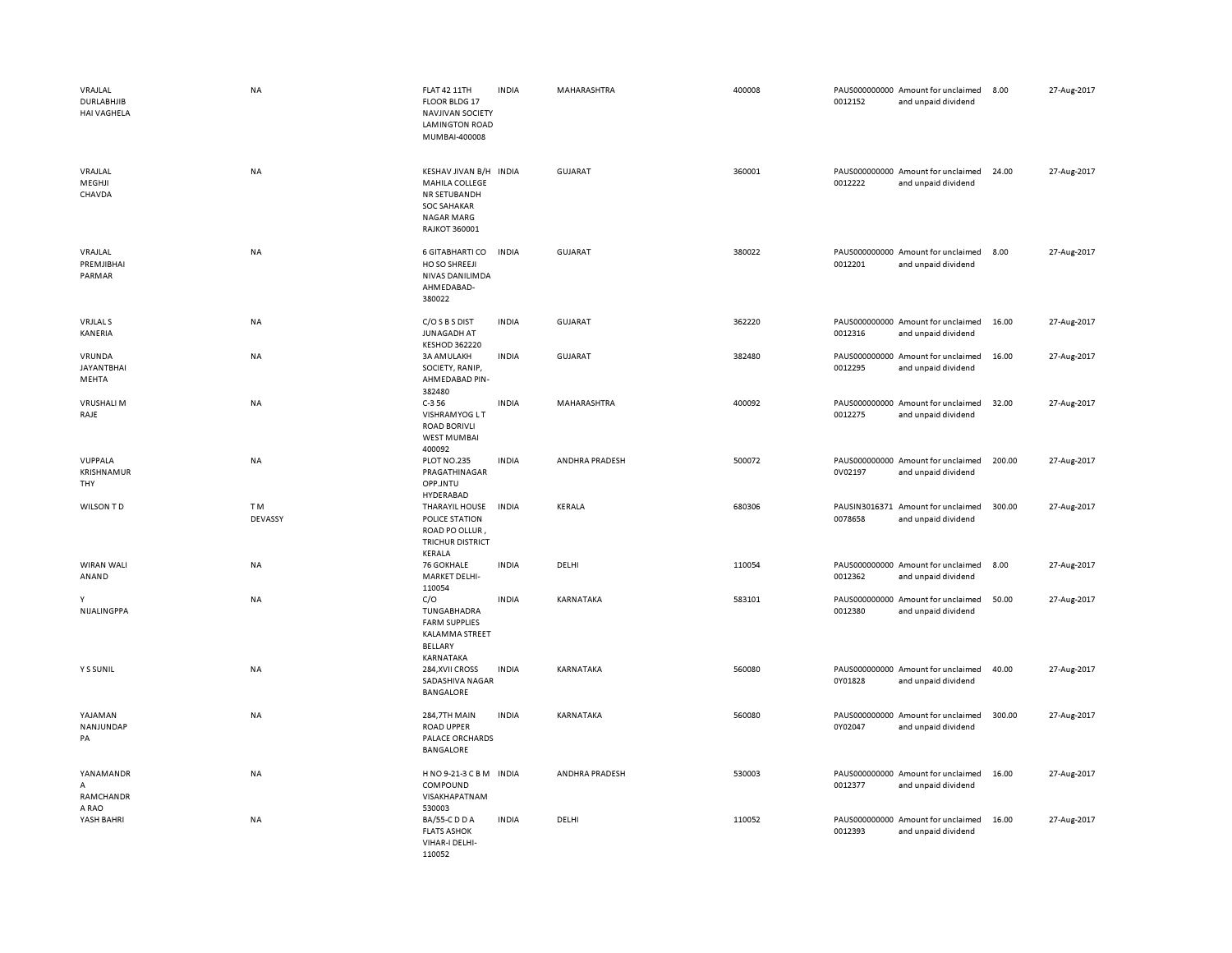| VRAJLAL<br>DURLABHJIB<br><b>HAI VAGHELA</b> | <b>NA</b>      | <b>FLAT 42 11TH</b><br>FLOOR BLDG 17<br><b>NAVJIVAN SOCIETY</b><br><b>LAMINGTON ROAD</b><br>MUMBAI-400008            | <b>INDIA</b> | MAHARASHTRA    | 400008 | 0012152 | PAUS000000000 Amount for unclaimed<br>and unpaid dividend | 8.00   | 27-Aug-2017 |
|---------------------------------------------|----------------|----------------------------------------------------------------------------------------------------------------------|--------------|----------------|--------|---------|-----------------------------------------------------------|--------|-------------|
| VRAJLAL<br>MEGHJI<br>CHAVDA                 | <b>NA</b>      | KESHAV JIVAN B/H INDIA<br>MAHILA COLLEGE<br>NR SETUBANDH<br><b>SOC SAHAKAR</b><br><b>NAGAR MARG</b><br>RAJKOT 360001 |              | <b>GUJARAT</b> | 360001 | 0012222 | PAUS000000000 Amount for unclaimed<br>and unpaid dividend | 24.00  | 27-Aug-2017 |
| VRAJLAL<br>PREMJIBHAI<br>PARMAR             | NA             | 6 GITABHARTI CO<br>HO SO SHREEJI<br>NIVAS DANILIMDA<br>AHMEDABAD-<br>380022                                          | <b>INDIA</b> | <b>GUJARAT</b> | 380022 | 0012201 | PAUS000000000 Amount for unclaimed<br>and unpaid dividend | 8.00   | 27-Aug-2017 |
| <b>VRJLAL S</b><br>KANERIA                  | <b>NA</b>      | C/O S B S DIST<br><b>JUNAGADH AT</b><br><b>KESHOD 362220</b>                                                         | <b>INDIA</b> | <b>GUJARAT</b> | 362220 | 0012316 | PAUS000000000 Amount for unclaimed<br>and unpaid dividend | 16.00  | 27-Aug-2017 |
| VRUNDA<br><b>JAYANTBHAI</b><br>MEHTA        | <b>NA</b>      | 3A AM ULAKH<br>SOCIETY, RANIP,<br>AHMEDABAD PIN-<br>382480                                                           | <b>INDIA</b> | <b>GUJARAT</b> | 382480 | 0012295 | PAUS000000000 Amount for unclaimed<br>and unpaid dividend | 16.00  | 27-Aug-2017 |
| <b>VRUSHALI M</b><br>RAJE                   | NA             | $C-356$<br><b>VISHRAMYOG LT</b><br><b>ROAD BORIVLI</b><br><b>WEST MUMBAI</b><br>400092                               | <b>INDIA</b> | MAHARASHTRA    | 400092 | 0012275 | PAUS000000000 Amount for unclaimed<br>and unpaid dividend | 32.00  | 27-Aug-2017 |
| VUPPALA<br>KRISHNAMUR<br>THY                | NA             | PLOT NO.235<br>PRAGATHINAGAR<br>OPP.JNTU<br>HYDERABAD                                                                | <b>INDIA</b> | ANDHRA PRADESH | 500072 | 0V02197 | PAUS000000000 Amount for unclaimed<br>and unpaid dividend | 200.00 | 27-Aug-2017 |
| <b>WILSON TD</b>                            | TM.<br>DEVASSY | THARAYIL HOUSE<br>POLICE STATION<br>ROAD PO OLLUR,<br><b>TRICHUR DISTRICT</b><br>KERALA                              | <b>INDIA</b> | KERALA         | 680306 | 0078658 | PAUSIN3016371 Amount for unclaimed<br>and unpaid dividend | 300.00 | 27-Aug-2017 |
| WIRAN WALI<br>ANAND                         | <b>NA</b>      | 76 GOKHALE<br><b>MARKET DELHI-</b><br>110054                                                                         | <b>INDIA</b> | DELHI          | 110054 | 0012362 | PAUS000000000 Amount for unclaimed<br>and unpaid dividend | 8.00   | 27-Aug-2017 |
| Y<br>NIJALINGPPA                            | NA             | C/O<br>TUNGABHADRA<br><b>FARM SUPPLIES</b><br>KALAMMA STREET<br><b>BELLARY</b><br>KARNATAKA                          | <b>INDIA</b> | KARNATAKA      | 583101 | 0012380 | PAUS000000000 Amount for unclaimed<br>and unpaid dividend | 50.00  | 27-Aug-2017 |
| Y S SUNIL                                   | NA             | 284, XVII CROSS<br>SADASHIVA NAGAR<br>BANGALORE                                                                      | <b>INDIA</b> | KARNATAKA      | 560080 | 0Y01828 | PAUS000000000 Amount for unclaimed<br>and unpaid dividend | 40.00  | 27-Aug-2017 |
| YAJAMAN<br>NANJUNDAP<br>PA                  | <b>NA</b>      | <b>284,7TH MAIN</b><br><b>ROAD UPPER</b><br>PALACE ORCHARDS<br>BANGALORE                                             | <b>INDIA</b> | KARNATAKA      | 560080 | 0Y02047 | PAUS000000000 Amount for unclaimed<br>and unpaid dividend | 300.00 | 27-Aug-2017 |
| YANAMANDR<br>A<br>RAMCHANDR<br>A RAO        | <b>NA</b>      | HNO 9-21-3 C B M INDIA<br>COMPOUND<br>VISAKHAPATNAM<br>530003                                                        |              | ANDHRA PRADESH | 530003 | 0012377 | PAUS000000000 Amount for unclaimed<br>and unpaid dividend | 16.00  | 27-Aug-2017 |
| YASH BAHRI                                  | NA             | BA/55-C D D A<br><b>FLATS ASHOK</b><br>VIHAR-I DELHI-<br>110052                                                      | <b>INDIA</b> | DELHI          | 110052 | 0012393 | PAUS000000000 Amount for unclaimed<br>and unpaid dividend | 16.00  | 27-Aug-2017 |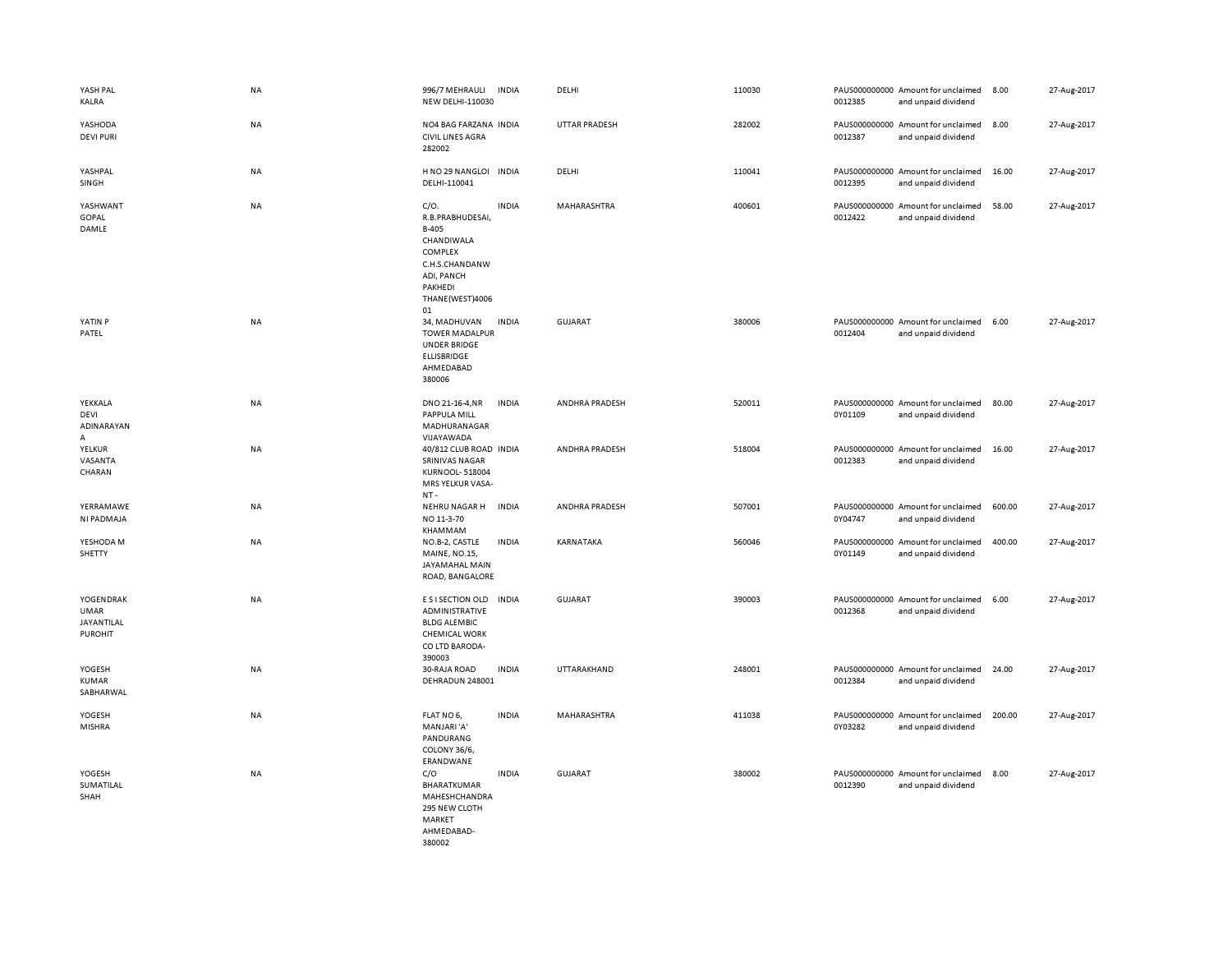| YASH PAL<br>KALRA                                               | NA        | 996/7 MEHRAULI<br>NEW DELHI-110030                                                                                             | <b>INDIA</b> | DELHI                | 110030 | 0012385 | PAUS000000000 Amount for unclaimed<br>and unpaid dividend | 8.00   | 27-Aug-2017 |
|-----------------------------------------------------------------|-----------|--------------------------------------------------------------------------------------------------------------------------------|--------------|----------------------|--------|---------|-----------------------------------------------------------|--------|-------------|
| YASHODA<br><b>DEVI PURI</b>                                     | NA        | NO4 BAG FARZANA INDIA<br><b>CIVIL LINES AGRA</b><br>282002                                                                     |              | <b>UTTAR PRADESH</b> | 282002 | 0012387 | PAUS000000000 Amount for unclaimed<br>and unpaid dividend | 8.00   | 27-Aug-2017 |
| YASHPAL<br>SINGH                                                | NA        | H NO 29 NANGLOI<br>DELHI-110041                                                                                                | <b>INDIA</b> | DELHI                | 110041 | 0012395 | PAUS000000000 Amount for unclaimed<br>and unpaid dividend | 16.00  | 27-Aug-2017 |
| YASHWANT<br>GOPAL<br>DAMLE                                      | <b>NA</b> | C/O.<br>R.B.PRABHUDESAI,<br>B-405<br>CHANDIWALA<br>COMPLEX<br>C.H.S.CHANDANW<br>ADI, PANCH<br>PAKHEDI<br>THANE(WEST)4006<br>01 | <b>INDIA</b> | MAHARASHTRA          | 400601 | 0012422 | PAUS000000000 Amount for unclaimed<br>and unpaid dividend | 58.00  | 27-Aug-2017 |
| YATIN P<br>PATEL                                                | <b>NA</b> | 34, MADHUVAN<br><b>TOWER MADALPUR</b><br><b>UNDER BRIDGE</b><br><b>ELLISBRIDGE</b><br>AHMEDABAD<br>380006                      | <b>INDIA</b> | GUJARAT              | 380006 | 0012404 | PAUS000000000 Amount for unclaimed<br>and unpaid dividend | 6.00   | 27-Aug-2017 |
| YEKKALA<br>DEVI<br>ADINARAYAN<br>A                              | <b>NA</b> | DNO 21-16-4, NR<br>PAPPULA MILL<br>MADHURANAGAR<br>VIJAYAWADA                                                                  | <b>INDIA</b> | ANDHRA PRADESH       | 520011 | 0Y01109 | PAUS000000000 Amount for unclaimed<br>and unpaid dividend | 80.00  | 27-Aug-2017 |
| <b>YELKUR</b><br>VASANTA<br>CHARAN                              | <b>NA</b> | 40/812 CLUB ROAD INDIA<br><b>SRINIVAS NAGAR</b><br>KURNOOL-518004<br>MRS YELKUR VASA-<br>$NT -$                                |              | ANDHRA PRADESH       | 518004 | 0012383 | PAUS000000000 Amount for unclaimed<br>and unpaid dividend | 16.00  | 27-Aug-2017 |
| YERRAMAWE<br>NI PADMAJA                                         | NA        | NEHRU NAGAR H<br>NO 11-3-70<br>KHAMMAM                                                                                         | <b>INDIA</b> | ANDHRA PRADESH       | 507001 | 0Y04747 | PAUS000000000 Amount for unclaimed<br>and unpaid dividend | 600.00 | 27-Aug-2017 |
| YESHODA M<br>SHETTY                                             | NA        | NO.B-2, CASTLE<br>MAINE, NO.15,<br>JAYAMAHAL MAIN<br>ROAD, BANGALORE                                                           | <b>INDIA</b> | KARNATAKA            | 560046 | 0Y01149 | PAUS000000000 Amount for unclaimed<br>and unpaid dividend | 400.00 | 27-Aug-2017 |
| YOGENDRAK<br><b>UMAR</b><br><b>JAYANTILAL</b><br><b>PUROHIT</b> | NA        | E S I SECTION OLD<br>ADMINISTRATIVE<br><b>BLDG ALEMBIC</b><br><b>CHEMICAL WORK</b><br>CO LTD BARODA-<br>390003                 | <b>INDIA</b> | <b>GUJARAT</b>       | 390003 | 0012368 | PAUS000000000 Amount for unclaimed<br>and unpaid dividend | 6.00   | 27-Aug-2017 |
| YOGESH<br><b>KUMAR</b><br>SABHARWAL                             | NA        | 30-RAJA ROAD<br>DEHRADUN 248001                                                                                                | <b>INDIA</b> | UTTARAKHAND          | 248001 | 0012384 | PAUS000000000 Amount for unclaimed<br>and unpaid dividend | 24.00  | 27-Aug-2017 |
| YOGESH<br><b>MISHRA</b>                                         | NA        | FLAT NO 6,<br>MANJARI 'A'<br>PANDURANG<br>COLONY 36/6,<br>ERANDWANE                                                            | <b>INDIA</b> | MAHARASHTRA          | 411038 | 0Y03282 | PAUS000000000 Amount for unclaimed<br>and unpaid dividend | 200.00 | 27-Aug-2017 |
| YOGESH<br>SUMATILAL<br>SHAH                                     | NA        | C/O<br>BHARATKUMAR<br>MAHESHCHANDRA<br>295 NEW CLOTH<br>MARKET<br>AHMEDABAD-<br>380002                                         | <b>INDIA</b> | <b>GUJARAT</b>       | 380002 | 0012390 | PAUS000000000 Amount for unclaimed<br>and unpaid dividend | 8.00   | 27-Aug-2017 |